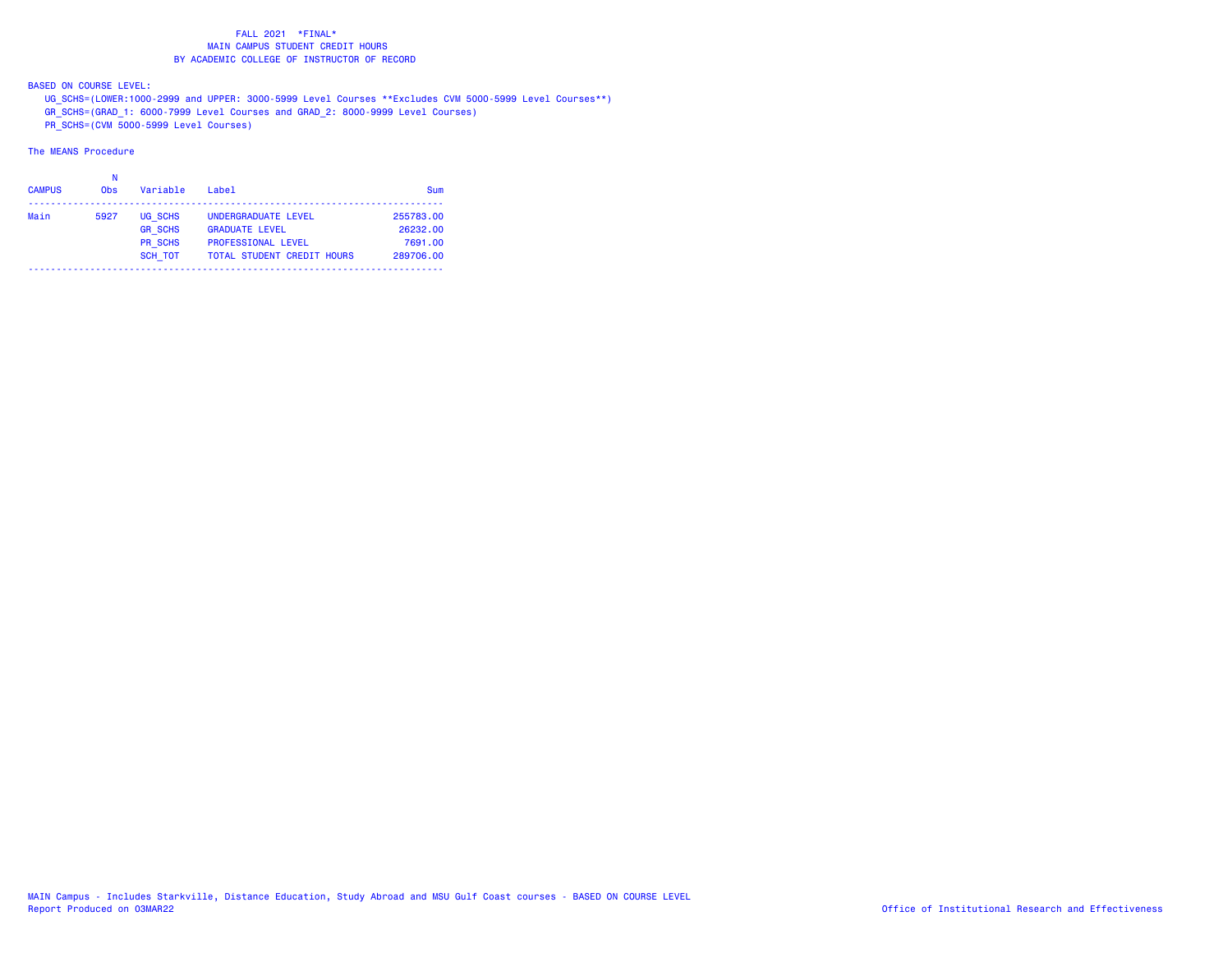BASED ON COURSE LEVEL:

UG\_SCHS=(LOWER:1000-2999 and UPPER: 3000-5999 Level Courses \*\*Excludes CVM 5000-5999 Level Courses\*\*)

GR\_SCHS=(GRAD\_1: 6000-7999 Level Courses and GRAD\_2: 8000-9999 Level Courses)

PR\_SCHS=(CVM 5000-5999 Level Courses)

| <b>CAMPUS</b> | <b>Obs</b> | Variable       | Label                             | Sum       |
|---------------|------------|----------------|-----------------------------------|-----------|
| Main          | 5927       | UG SCHS        | UNDERGRADUATE LEVEL               | 255783.00 |
|               |            | <b>GR SCHS</b> | <b>GRADUATE LEVEL</b>             | 26232.00  |
|               |            | <b>PR SCHS</b> | <b>PROFESSIONAL LEVEL</b>         | 7691.00   |
|               |            | <b>SCH TOT</b> | <b>TOTAL STUDENT CREDIT HOURS</b> | 289706.00 |
|               |            |                |                                   |           |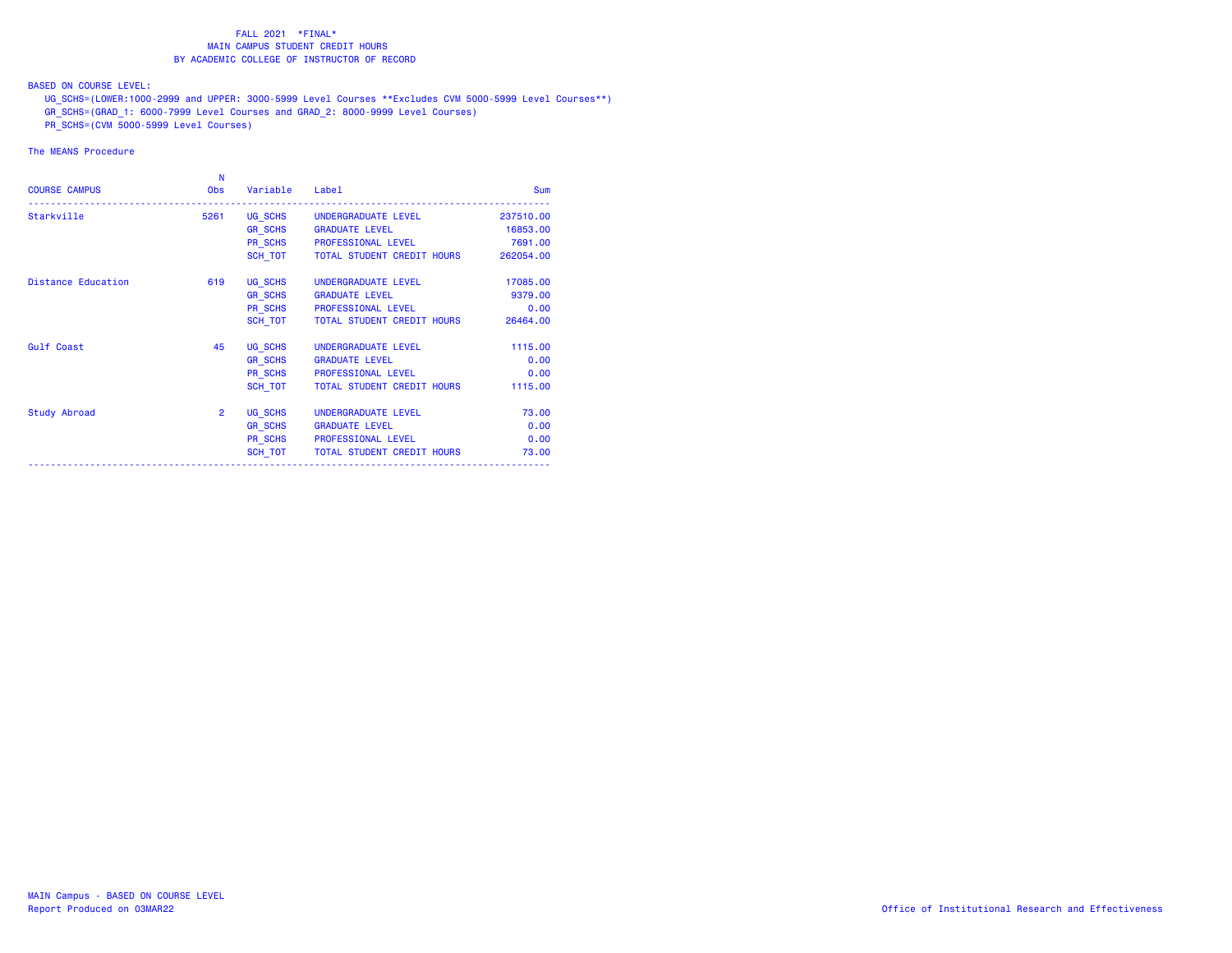BASED ON COURSE LEVEL:

UG\_SCHS=(LOWER:1000-2999 and UPPER: 3000-5999 Level Courses \*\*Excludes CVM 5000-5999 Level Courses\*\*)

- GR\_SCHS=(GRAD\_1: 6000-7999 Level Courses and GRAD\_2: 8000-9999 Level Courses)
- PR\_SCHS=(CVM 5000-5999 Level Courses)

| <b>COURSE CAMPUS</b>      | N<br><b>Obs</b> | Variable       | Label                                        | <b>Sum</b> |
|---------------------------|-----------------|----------------|----------------------------------------------|------------|
| Starkville                | 5261            |                | UG SCHS UNDERGRADUATE LEVEL                  | 237510.00  |
|                           |                 |                | GR SCHS GRADUATE LEVEL                       | 16853.00   |
|                           |                 |                | PR_SCHS PROFESSIONAL LEVEL                   | 7691.00    |
|                           |                 |                | SCH TOT TOTAL STUDENT CREDIT HOURS 262054.00 |            |
| <b>Distance Education</b> | 619             |                | UG SCHS UNDERGRADUATE LEVEL                  | 17085.00   |
|                           |                 |                | GR SCHS GRADUATE LEVEL                       | 9379.00    |
|                           |                 |                | PR SCHS PROFESSIONAL LEVEL                   | 0.00       |
|                           |                 | SCH TOT        | TOTAL STUDENT CREDIT HOURS                   | 26464.00   |
| <b>Gulf Coast</b>         | 45              | UG SCHS        | UNDERGRADUATE LEVEL                          | 1115.00    |
|                           |                 |                | GR_SCHS GRADUATE LEVEL                       | 0.00       |
|                           |                 |                | PR SCHS PROFESSIONAL LEVEL                   | 0.00       |
|                           |                 | SCH TOT        | TOTAL STUDENT CREDIT HOURS                   | 1115.00    |
| Study Abroad              | $\overline{2}$  |                | UG SCHS UNDERGRADUATE LEVEL                  | 73.00      |
|                           |                 | <b>GR SCHS</b> | <b>GRADUATE LEVEL</b>                        | 0.00       |
|                           |                 |                | PR SCHS PROFESSIONAL LEVEL                   | 0.00       |
|                           |                 | SCH TOT        | TOTAL STUDENT CREDIT HOURS                   | 73.00      |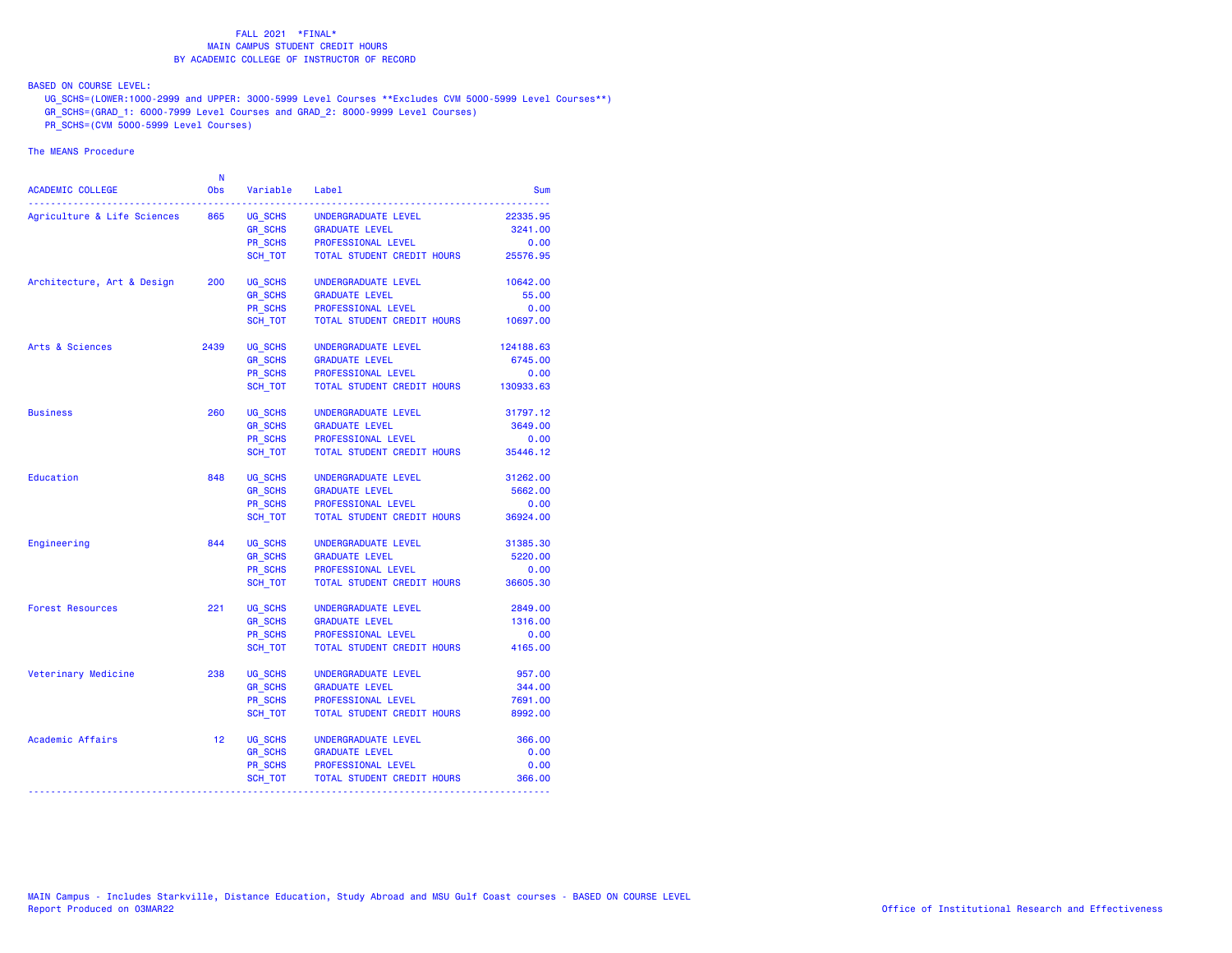BASED ON COURSE LEVEL:

UG\_SCHS=(LOWER:1000-2999 and UPPER: 3000-5999 Level Courses \*\*Excludes CVM 5000-5999 Level Courses\*\*)

GR\_SCHS=(GRAD\_1: 6000-7999 Level Courses and GRAD\_2: 8000-9999 Level Courses)

PR\_SCHS=(CVM 5000-5999 Level Courses)

| <b>ACADEMIC COLLEGE</b>     | N<br><b>Obs</b> | Variable       | Label                      | Sum       |
|-----------------------------|-----------------|----------------|----------------------------|-----------|
| Agriculture & Life Sciences | 865             | UG SCHS        | UNDERGRADUATE LEVEL        | 22335.95  |
|                             |                 | GR_SCHS        | <b>GRADUATE LEVEL</b>      | 3241.00   |
|                             |                 | PR_SCHS        | PROFESSIONAL LEVEL         | 0.00      |
|                             |                 | SCH TOT        | TOTAL STUDENT CREDIT HOURS | 25576.95  |
| Architecture, Art & Design  | 200             | UG SCHS        | UNDERGRADUATE LEVEL        | 10642.00  |
|                             |                 | <b>GR SCHS</b> | <b>GRADUATE LEVEL</b>      | 55.00     |
|                             |                 | PR SCHS        | PROFESSIONAL LEVEL         | 0.00      |
|                             |                 | SCH TOT        | TOTAL STUDENT CREDIT HOURS | 10697.00  |
| Arts & Sciences             | 2439            | UG SCHS        | UNDERGRADUATE LEVEL        | 124188.63 |
|                             |                 | <b>GR SCHS</b> | <b>GRADUATE LEVEL</b>      | 6745.00   |
|                             |                 | <b>PR SCHS</b> | PROFESSIONAL LEVEL         | 0.00      |
|                             |                 | SCH TOT        | TOTAL STUDENT CREDIT HOURS | 130933.63 |
| <b>Business</b>             | 260             | UG SCHS        | UNDERGRADUATE LEVEL        | 31797.12  |
|                             |                 | <b>GR_SCHS</b> | <b>GRADUATE LEVEL</b>      | 3649.00   |
|                             |                 | PR SCHS        | PROFESSIONAL LEVEL         | 0.00      |
|                             |                 | SCH_TOT        | TOTAL STUDENT CREDIT HOURS | 35446.12  |
| Education                   | 848             | UG SCHS        | UNDERGRADUATE LEVEL        | 31262.00  |
|                             |                 | <b>GR_SCHS</b> | <b>GRADUATE LEVEL</b>      | 5662.00   |
|                             |                 | PR SCHS        | PROFESSIONAL LEVEL         | 0.00      |
|                             |                 | SCH TOT        | TOTAL STUDENT CREDIT HOURS | 36924.00  |
| Engineering                 | 844             | UG SCHS        | UNDERGRADUATE LEVEL        | 31385.30  |
|                             |                 | <b>GR SCHS</b> | <b>GRADUATE LEVEL</b>      | 5220.00   |
|                             |                 | <b>PR SCHS</b> | PROFESSIONAL LEVEL         | 0.00      |
|                             |                 | SCH TOT        | TOTAL STUDENT CREDIT HOURS | 36605.30  |
| <b>Forest Resources</b>     | 221             | UG SCHS        | UNDERGRADUATE LEVEL        | 2849.00   |
|                             |                 | <b>GR SCHS</b> | <b>GRADUATE LEVEL</b>      | 1316.00   |
|                             |                 | PR_SCHS        | PROFESSIONAL LEVEL         | 0.00      |
|                             |                 | SCH TOT        | TOTAL STUDENT CREDIT HOURS | 4165.00   |
| Veterinary Medicine         | 238             | UG SCHS        | UNDERGRADUATE LEVEL        | 957.00    |
|                             |                 | <b>GR SCHS</b> | <b>GRADUATE LEVEL</b>      | 344.00    |
|                             |                 | <b>PR SCHS</b> | PROFESSIONAL LEVEL         | 7691.00   |
|                             |                 | SCH TOT        | TOTAL STUDENT CREDIT HOURS | 8992.00   |
| Academic Affairs            | 12              | UG SCHS        | UNDERGRADUATE LEVEL        | 366.00    |
|                             |                 | <b>GR_SCHS</b> | <b>GRADUATE LEVEL</b>      | 0.00      |
|                             |                 | PR_SCHS        | PROFESSIONAL LEVEL         | 0.00      |
|                             |                 | SCH_TOT        | TOTAL STUDENT CREDIT HOURS | 366.00    |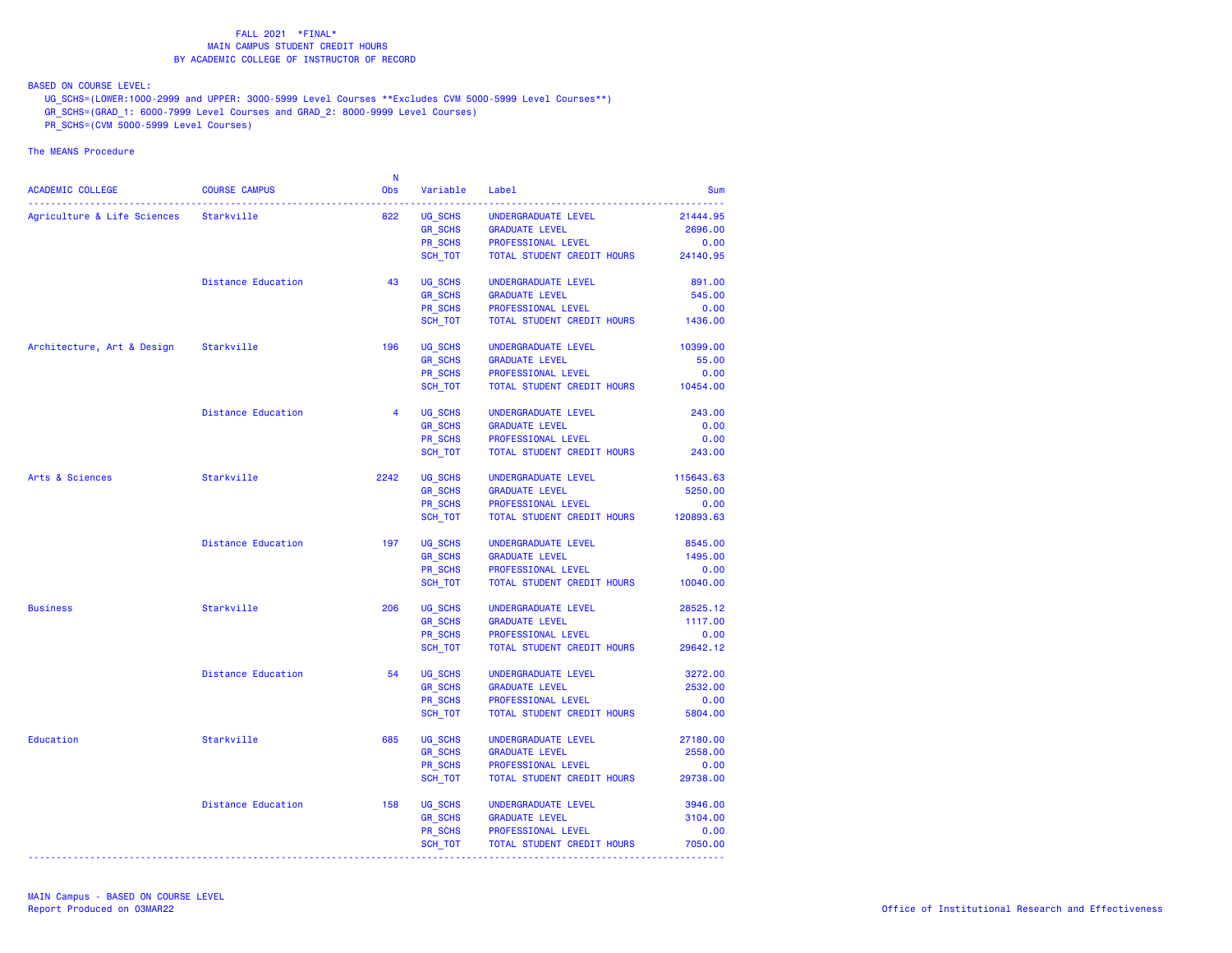BASED ON COURSE LEVEL:

UG\_SCHS=(LOWER:1000-2999 and UPPER: 3000-5999 Level Courses \*\*Excludes CVM 5000-5999 Level Courses\*\*)

- GR\_SCHS=(GRAD\_1: 6000-7999 Level Courses and GRAD\_2: 8000-9999 Level Courses)
- PR\_SCHS=(CVM 5000-5999 Level Courses)

|                                        |                           | -N             |                |                                     |                  |
|----------------------------------------|---------------------------|----------------|----------------|-------------------------------------|------------------|
| ACADEMIC COLLEGE                       | <b>COURSE CAMPUS</b>      | Obs            | Variable       | Label                               | <b>Sum</b>       |
| Agriculture & Life Sciences Starkville |                           | 822            | UG_SCHS        | UNDERGRADUATE LEVEL                 | 21444.95         |
|                                        |                           |                | GR_SCHS        | <b>GRADUATE LEVEL</b>               | 2696.00          |
|                                        |                           |                |                |                                     |                  |
|                                        |                           |                | PR SCHS        | PROFESSIONAL LEVEL                  | 0.00<br>24140.95 |
|                                        |                           |                | SCH_TOT        | TOTAL STUDENT CREDIT HOURS          |                  |
|                                        | <b>Distance Education</b> | 43             | UG SCHS        | UNDERGRADUATE LEVEL                 | 891.00           |
|                                        |                           |                | <b>GR SCHS</b> | <b>GRADUATE LEVEL</b>               | 545.00           |
|                                        |                           |                | PR SCHS        | PROFESSIONAL LEVEL                  | 0.00             |
|                                        |                           |                | SCH TOT        | TOTAL STUDENT CREDIT HOURS          | 1436.00          |
| Architecture, Art & Design Starkville  |                           | 196            | UG_SCHS        | UNDERGRADUATE LEVEL                 | 10399.00         |
|                                        |                           |                | <b>GR_SCHS</b> | <b>GRADUATE LEVEL</b>               | 55.00            |
|                                        |                           |                |                |                                     |                  |
|                                        |                           |                | PR SCHS        | PROFESSIONAL LEVEL                  | 0.00             |
|                                        |                           |                | SCH_TOT        | TOTAL STUDENT CREDIT HOURS 10454.00 |                  |
|                                        | <b>Distance Education</b> | $\overline{4}$ | UG SCHS        | UNDERGRADUATE LEVEL                 | 243.00           |
|                                        |                           |                | <b>GR SCHS</b> | <b>GRADUATE LEVEL</b>               | 0.00             |
|                                        |                           |                | PR SCHS        | PROFESSIONAL LEVEL                  | 0.00             |
|                                        |                           |                | SCH_TOT        | TOTAL STUDENT CREDIT HOURS          | 243.00           |
|                                        |                           |                |                |                                     |                  |
| Arts & Sciences                        | Starkville                | 2242           | UG SCHS        | UNDERGRADUATE LEVEL                 | 115643.63        |
|                                        |                           |                | <b>GR_SCHS</b> | <b>GRADUATE LEVEL</b>               | 5250.00          |
|                                        |                           |                | PR SCHS        | PROFESSIONAL LEVEL                  | 0.00             |
|                                        |                           |                | SCH TOT        | TOTAL STUDENT CREDIT HOURS          | 120893.63        |
|                                        | <b>Distance Education</b> | 197            | UG SCHS        | UNDERGRADUATE LEVEL                 | 8545.00          |
|                                        |                           |                | GR_SCHS        | <b>GRADUATE LEVEL</b>               | 1495.00          |
|                                        |                           |                | PR SCHS        | PROFESSIONAL LEVEL                  | 0.00             |
|                                        |                           |                | SCH_TOT        | TOTAL STUDENT CREDIT HOURS          | 10040.00         |
|                                        |                           | 206            |                |                                     |                  |
| <b>Business</b>                        | Starkville                |                | UG SCHS        | UNDERGRADUATE LEVEL                 | 28525.12         |
|                                        |                           |                | <b>GR_SCHS</b> | <b>GRADUATE LEVEL</b>               | 1117.00          |
|                                        |                           |                | PR SCHS        | PROFESSIONAL LEVEL                  | 0.00             |
|                                        |                           |                | SCH_TOT        | TOTAL STUDENT CREDIT HOURS          | 29642.12         |
|                                        | <b>Distance Education</b> | 54             | UG_SCHS        | UNDERGRADUATE LEVEL                 | 3272.00          |
|                                        |                           |                | <b>GR SCHS</b> | <b>GRADUATE LEVEL</b>               | 2532.00          |
|                                        |                           |                | PR_SCHS        | PROFESSIONAL LEVEL                  | 0.00             |
|                                        |                           |                | SCH TOT        | TOTAL STUDENT CREDIT HOURS          | 5804.00          |
| Education                              | Starkville                | 685            | UG_SCHS        | UNDERGRADUATE LEVEL                 | 27180.00         |
|                                        |                           |                | <b>GR_SCHS</b> | <b>GRADUATE LEVEL</b>               | 2558.00          |
|                                        |                           |                | PR SCHS        | PROFESSIONAL LEVEL                  | 0.00             |
|                                        |                           |                |                |                                     |                  |
|                                        |                           |                | SCH_TOT        | TOTAL STUDENT CREDIT HOURS          | 29738.00         |
|                                        | Distance Education        | 158            | UG SCHS        | UNDERGRADUATE LEVEL                 | 3946.00          |
|                                        |                           |                | <b>GR_SCHS</b> | <b>GRADUATE LEVEL</b>               | 3104.00          |
|                                        |                           |                | PR SCHS        | PROFESSIONAL LEVEL                  | 0.00             |
|                                        |                           |                | SCH_TOT        | TOTAL STUDENT CREDIT HOURS          | 7050.00          |
|                                        |                           |                |                |                                     |                  |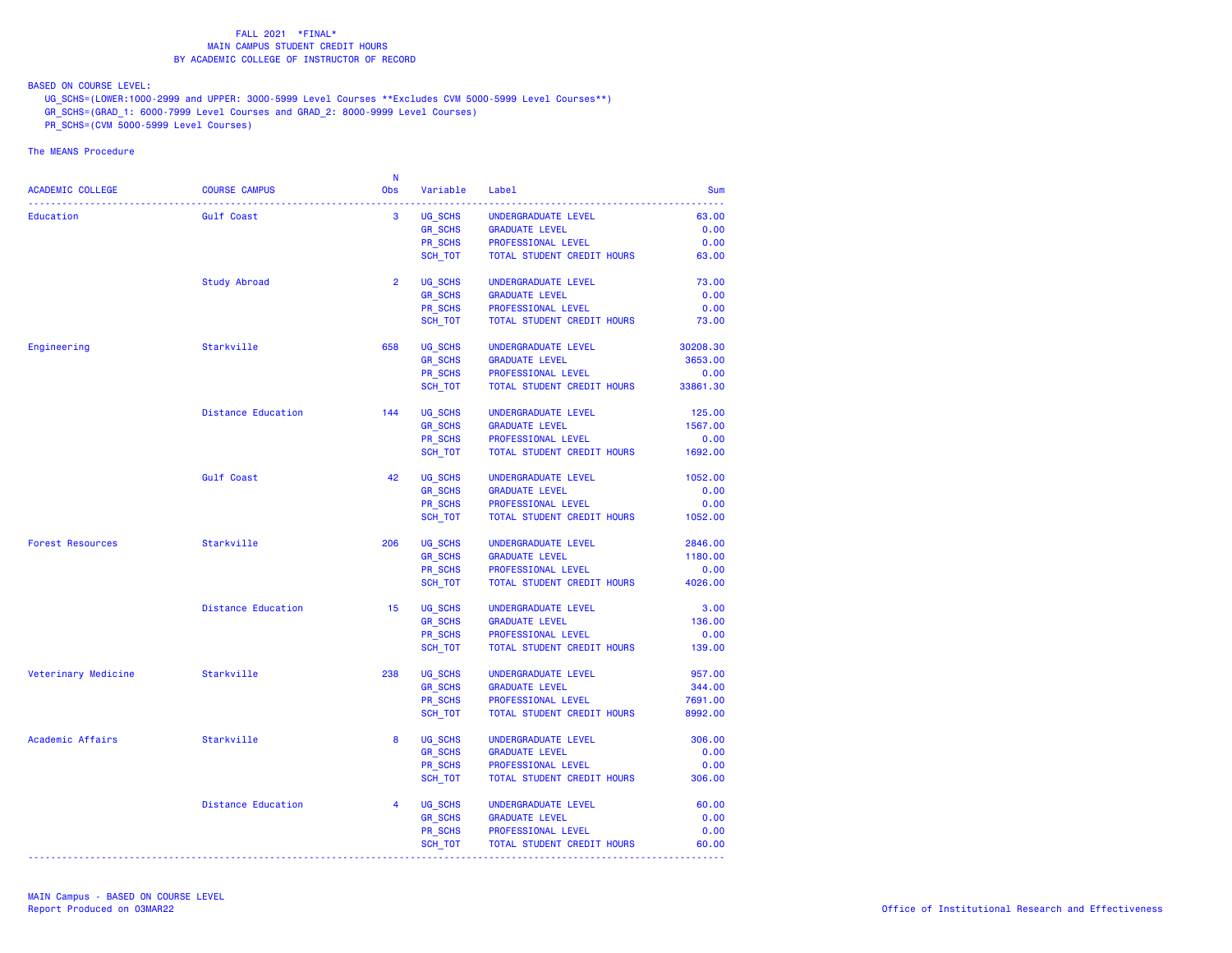BASED ON COURSE LEVEL:

UG\_SCHS=(LOWER:1000-2999 and UPPER: 3000-5999 Level Courses \*\*Excludes CVM 5000-5999 Level Courses\*\*)

- GR\_SCHS=(GRAD\_1: 6000-7999 Level Courses and GRAD\_2: 8000-9999 Level Courses)
- PR\_SCHS=(CVM 5000-5999 Level Courses)

|                         |                           | <b>N</b>       |                |                            |            |
|-------------------------|---------------------------|----------------|----------------|----------------------------|------------|
| ACADEMIC COLLEGE        | <b>COURSE CAMPUS</b>      | Obs            | Variable       | Label                      | <b>Sum</b> |
| Education               | <b>Gulf Coast</b>         | $\mathbf{3}$   | UG SCHS        | UNDERGRADUATE LEVEL        | 63.00      |
|                         |                           |                | <b>GR SCHS</b> | <b>GRADUATE LEVEL</b>      | 0.00       |
|                         |                           |                | PR_SCHS        | PROFESSIONAL LEVEL         | 0.00       |
|                         |                           |                | SCH TOT        | TOTAL STUDENT CREDIT HOURS | 63.00      |
|                         | <b>Study Abroad</b>       | $\overline{2}$ | UG SCHS        | UNDERGRADUATE LEVEL        | 73.00      |
|                         |                           |                | <b>GR_SCHS</b> | <b>GRADUATE LEVEL</b>      | 0.00       |
|                         |                           |                | PR SCHS        | PROFESSIONAL LEVEL         | 0.00       |
|                         |                           |                | SCH_TOT        | TOTAL STUDENT CREDIT HOURS | 73.00      |
| Engineering             | Starkville                | 658            | UG SCHS        | UNDERGRADUATE LEVEL        | 30208.30   |
|                         |                           |                | <b>GR SCHS</b> | <b>GRADUATE LEVEL</b>      | 3653.00    |
|                         |                           |                | PR SCHS        | PROFESSIONAL LEVEL         | 0.00       |
|                         |                           |                | SCH_TOT        | TOTAL STUDENT CREDIT HOURS | 33861.30   |
|                         | <b>Distance Education</b> | 144            | UG SCHS        | UNDERGRADUATE LEVEL        | 125.00     |
|                         |                           |                | <b>GR SCHS</b> | <b>GRADUATE LEVEL</b>      | 1567.00    |
|                         |                           |                | PR_SCHS        | PROFESSIONAL LEVEL         | 0.00       |
|                         |                           |                | SCH_TOT        | TOTAL STUDENT CREDIT HOURS | 1692.00    |
|                         |                           |                |                |                            |            |
|                         | <b>Gulf Coast</b>         | 42             | UG SCHS        | UNDERGRADUATE LEVEL        | 1052.00    |
|                         |                           |                | <b>GR_SCHS</b> | <b>GRADUATE LEVEL</b>      | 0.00       |
|                         |                           |                | PR SCHS        | PROFESSIONAL LEVEL         | 0.00       |
|                         |                           |                | SCH_TOT        | TOTAL STUDENT CREDIT HOURS | 1052.00    |
| <b>Forest Resources</b> | Starkville                | 206            | UG_SCHS        | UNDERGRADUATE LEVEL        | 2846.00    |
|                         |                           |                | <b>GR SCHS</b> | <b>GRADUATE LEVEL</b>      | 1180.00    |
|                         |                           |                | PR_SCHS        | PROFESSIONAL LEVEL         | 0.00       |
|                         |                           |                | SCH_TOT        | TOTAL STUDENT CREDIT HOURS | 4026.00    |
|                         | <b>Distance Education</b> | 15             | UG SCHS        | UNDERGRADUATE LEVEL        | 3.00       |
|                         |                           |                | <b>GR_SCHS</b> | <b>GRADUATE LEVEL</b>      | 136.00     |
|                         |                           |                | PR SCHS        | PROFESSIONAL LEVEL         | 0.00       |
|                         |                           |                | SCH_TOT        | TOTAL STUDENT CREDIT HOURS | 139.00     |
| Veterinary Medicine     | Starkville                | 238            | UG_SCHS        | UNDERGRADUATE LEVEL        | 957.00     |
|                         |                           |                | <b>GR SCHS</b> | <b>GRADUATE LEVEL</b>      | 344.00     |
|                         |                           |                | PR SCHS        | PROFESSIONAL LEVEL         | 7691.00    |
|                         |                           |                | SCH_TOT        | TOTAL STUDENT CREDIT HOURS | 8992.00    |
| Academic Affairs        | Starkville                | 8              | UG SCHS        | UNDERGRADUATE LEVEL        | 306.00     |
|                         |                           |                | <b>GR_SCHS</b> | <b>GRADUATE LEVEL</b>      | 0.00       |
|                         |                           |                | PR SCHS        | PROFESSIONAL LEVEL         | 0.00       |
|                         |                           |                | SCH_TOT        | TOTAL STUDENT CREDIT HOURS | 306.00     |
|                         | <b>Distance Education</b> | $\overline{4}$ | UG SCHS        | UNDERGRADUATE LEVEL        | 60.00      |
|                         |                           |                | <b>GR_SCHS</b> | <b>GRADUATE LEVEL</b>      | 0.00       |
|                         |                           |                | PR SCHS        | PROFESSIONAL LEVEL         | 0.00       |
|                         |                           |                | SCH_TOT        | TOTAL STUDENT CREDIT HOURS | 60.00      |
|                         |                           |                |                |                            |            |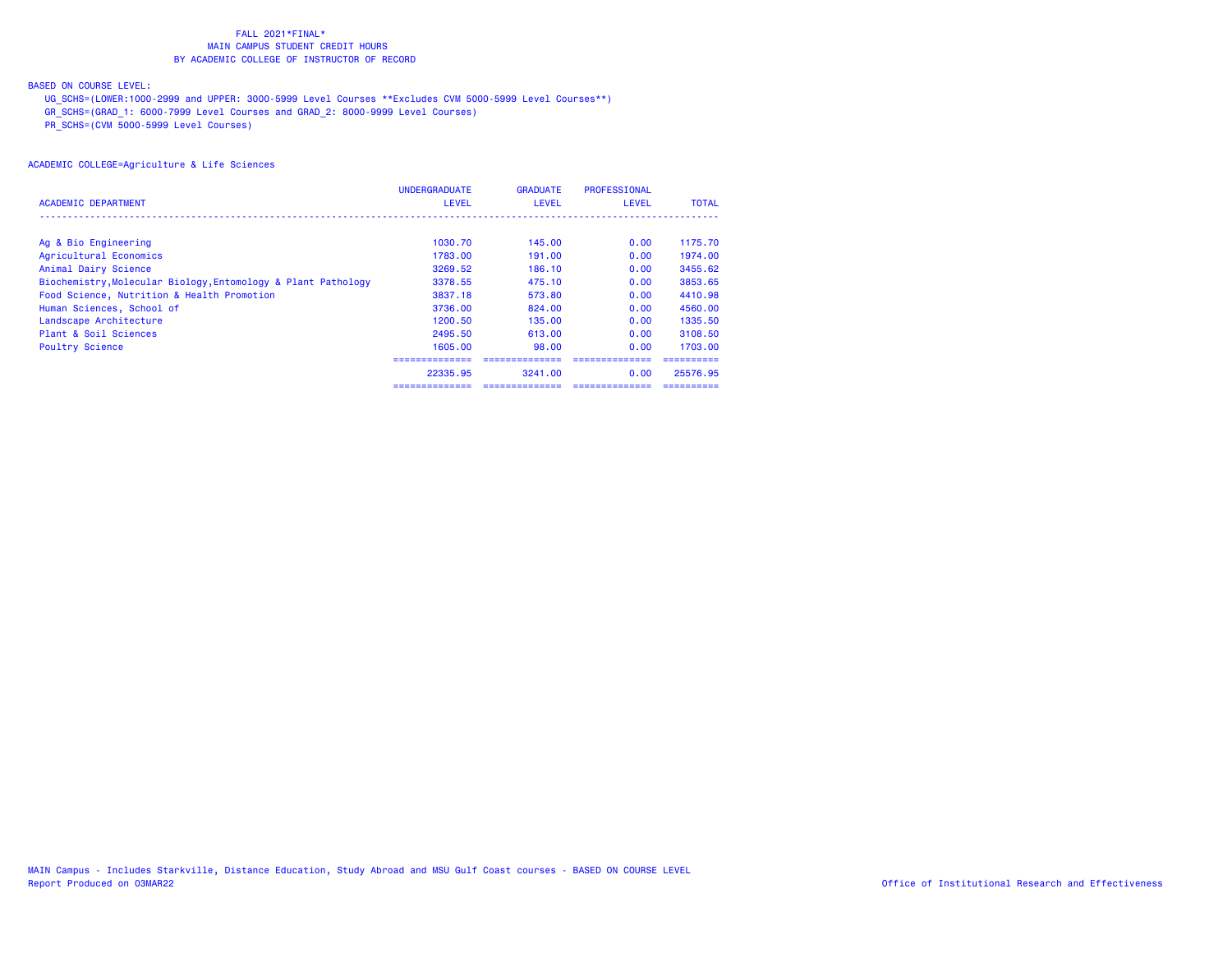## BASED ON COURSE LEVEL:

UG\_SCHS=(LOWER:1000-2999 and UPPER: 3000-5999 Level Courses \*\*Excludes CVM 5000-5999 Level Courses\*\*)

GR\_SCHS=(GRAD\_1: 6000-7999 Level Courses and GRAD\_2: 8000-9999 Level Courses)

PR\_SCHS=(CVM 5000-5999 Level Courses)

|                                                               | <b>UNDERGRADUATE</b> | <b>GRADUATE</b> | <b>PROFESSIONAL</b> |              |
|---------------------------------------------------------------|----------------------|-----------------|---------------------|--------------|
| <b>ACADEMIC DEPARTMENT</b>                                    | <b>LEVEL</b>         | <b>LEVEL</b>    | <b>LEVEL</b>        | <b>TOTAL</b> |
|                                                               |                      |                 |                     |              |
| Ag & Bio Engineering                                          | 1030.70              | 145.00          | 0.00                | 1175.70      |
| Agricultural Economics                                        | 1783.00              | 191,00          | 0.00                | 1974.00      |
| Animal Dairy Science                                          | 3269.52              | 186.10          | 0.00                | 3455.62      |
| Biochemistry, Molecular Biology, Entomology & Plant Pathology | 3378.55              | 475.10          | 0.00                | 3853.65      |
| Food Science, Nutrition & Health Promotion                    | 3837.18              | 573.80          | 0.00                | 4410.98      |
| Human Sciences, School of                                     | 3736.00              | 824.00          | 0.00                | 4560.00      |
| Landscape Architecture                                        | 1200.50              | 135,00          | 0.00                | 1335.50      |
| Plant & Soil Sciences                                         | 2495.50              | 613.00          | 0.00                | 3108.50      |
| <b>Poultry Science</b>                                        | 1605.00              | 98.00           | 0.00                | 1703.00      |
|                                                               |                      |                 |                     |              |
|                                                               | 22335.95             | 3241.00         | 0.00                | 25576.95     |
|                                                               |                      |                 |                     |              |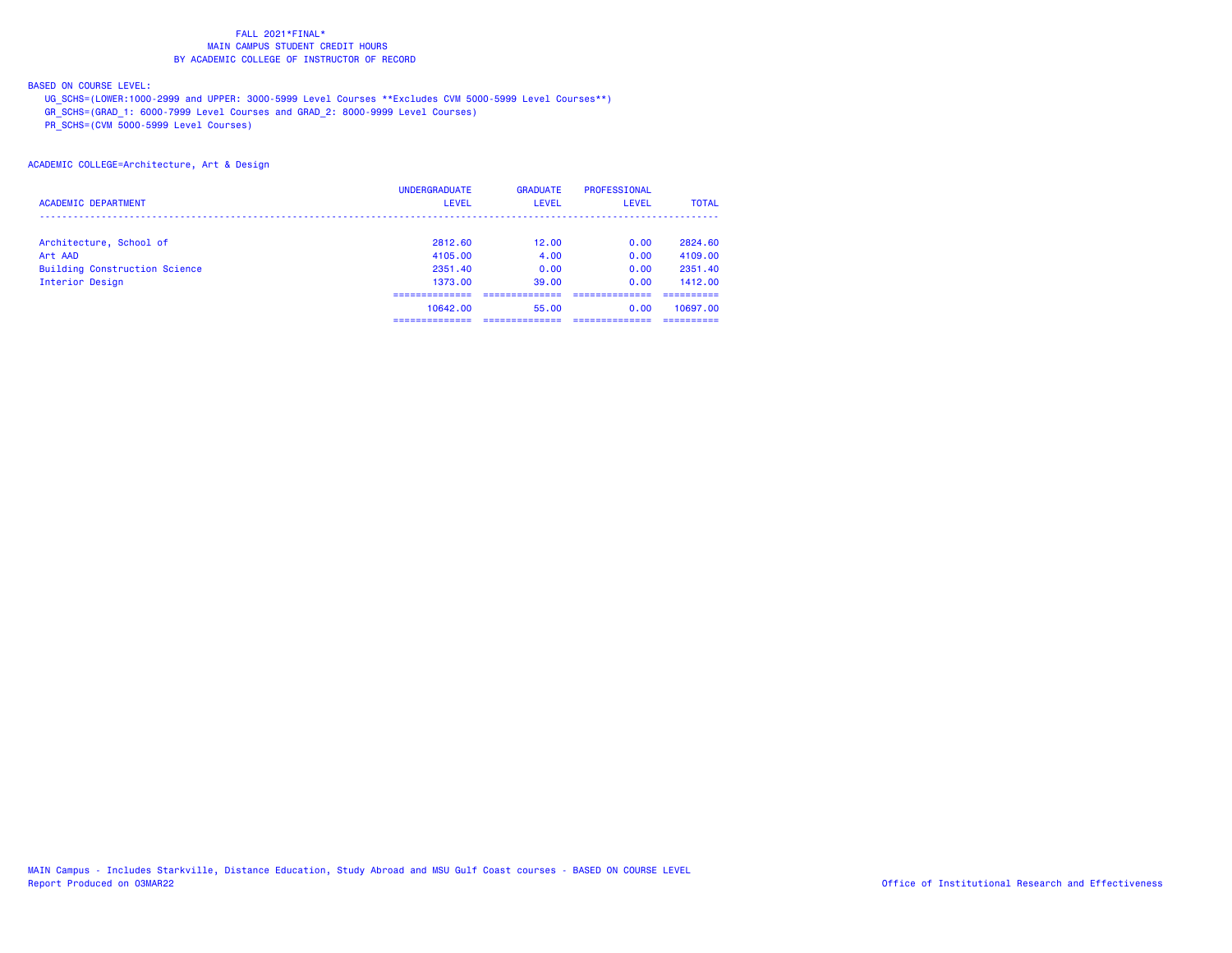## BASED ON COURSE LEVEL:

UG\_SCHS=(LOWER:1000-2999 and UPPER: 3000-5999 Level Courses \*\*Excludes CVM 5000-5999 Level Courses\*\*)

GR\_SCHS=(GRAD\_1: 6000-7999 Level Courses and GRAD\_2: 8000-9999 Level Courses)

PR\_SCHS=(CVM 5000-5999 Level Courses)

### ACADEMIC COLLEGE=Architecture, Art & Design

|                                      | <b>UNDERGRADUATE</b> | <b>GRADUATE</b> | PROFESSIONAL |              |
|--------------------------------------|----------------------|-----------------|--------------|--------------|
| <b>ACADEMIC DEPARTMENT</b>           | <b>LEVEL</b>         | LEVEL           | LEVEL        | <b>TOTAL</b> |
|                                      |                      |                 |              |              |
| Architecture, School of              | 2812.60              | 12.00           | 0.00         | 2824.60      |
| Art AAD                              | 4105.00              | 4.00            | 0.00         | 4109.00      |
| <b>Building Construction Science</b> | 2351.40              | 0.00            | 0.00         | 2351.40      |
| Interior Design                      | 1373.00              | 39.00           | 0.00         | 1412.00      |
|                                      |                      |                 |              |              |
|                                      | 10642.00             | 55.00           | 0.00         | 10697.00     |
|                                      |                      |                 |              |              |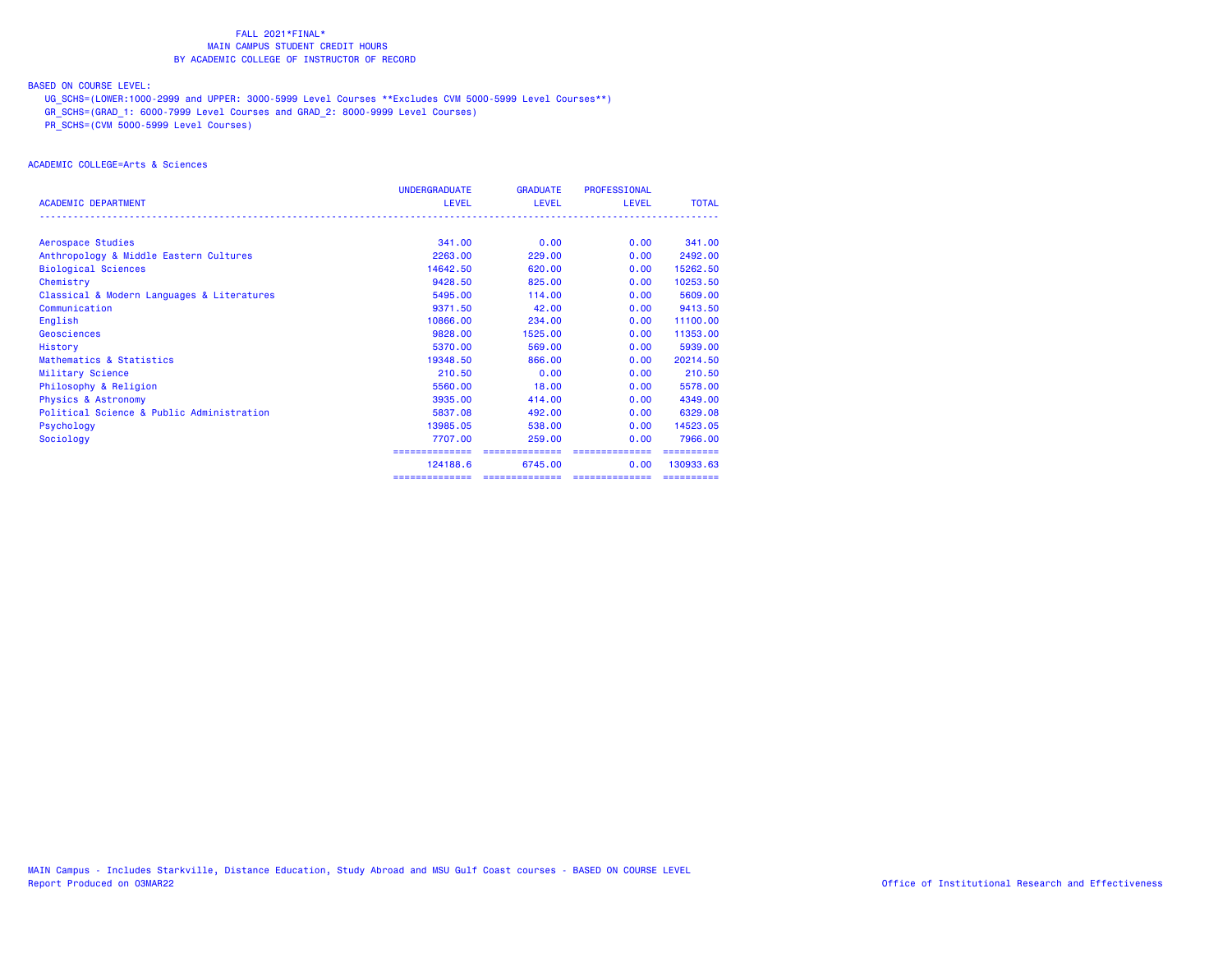## BASED ON COURSE LEVEL:

UG\_SCHS=(LOWER:1000-2999 and UPPER: 3000-5999 Level Courses \*\*Excludes CVM 5000-5999 Level Courses\*\*)

GR\_SCHS=(GRAD\_1: 6000-7999 Level Courses and GRAD\_2: 8000-9999 Level Courses)

PR\_SCHS=(CVM 5000-5999 Level Courses)

## ACADEMIC COLLEGE=Arts & Sciences

|                                            | <b>UNDERGRADUATE</b> | <b>GRADUATE</b> | PROFESSIONAL    |              |
|--------------------------------------------|----------------------|-----------------|-----------------|--------------|
| <b>ACADEMIC DEPARTMENT</b>                 | <b>LEVEL</b>         | <b>LEVEL</b>    | LEVEL           | <b>TOTAL</b> |
| Aerospace Studies                          | 341.00               | 0.00            | 0.00            | 341,00       |
| Anthropology & Middle Eastern Cultures     | 2263.00              | 229,00          | 0.00            | 2492.00      |
| <b>Biological Sciences</b>                 | 14642.50             | 620,00          | 0.00            | 15262.50     |
| Chemistry                                  | 9428.50              | 825,00          | 0.00            | 10253.50     |
| Classical & Modern Languages & Literatures | 5495.00              | 114.00          | 0.00            | 5609.00      |
| Communication                              | 9371.50              | 42.00           | 0.00            | 9413.50      |
| English                                    | 10866.00             | 234,00          | 0.00            | 11100.00     |
| Geosciences                                | 9828,00              | 1525,00         | 0.00            | 11353.00     |
| History                                    | 5370.00              | 569,00          | 0.00            | 5939.00      |
| Mathematics & Statistics                   | 19348.50             | 866.00          | 0.00            | 20214.50     |
| Military Science                           | 210.50               | 0.00            | 0.00            | 210.50       |
| Philosophy & Religion                      | 5560.00              | 18.00           | 0.00            | 5578.00      |
| <b>Physics &amp; Astronomy</b>             | 3935.00              | 414,00          | 0.00            | 4349.00      |
| Political Science & Public Administration  | 5837.08              | 492,00          | 0.00            | 6329.08      |
| Psychology                                 | 13985.05             | 538,00          | 0.00            | 14523.05     |
| Sociology                                  | 7707.00              | 259,00          | 0.00            | 7966.00      |
|                                            | ==============       | ==============  | ==============  | ==========   |
|                                            | 124188.6             | 6745.00         | 0.00            | 130933.63    |
|                                            | ==============       | ==============  | --------------- | ==========   |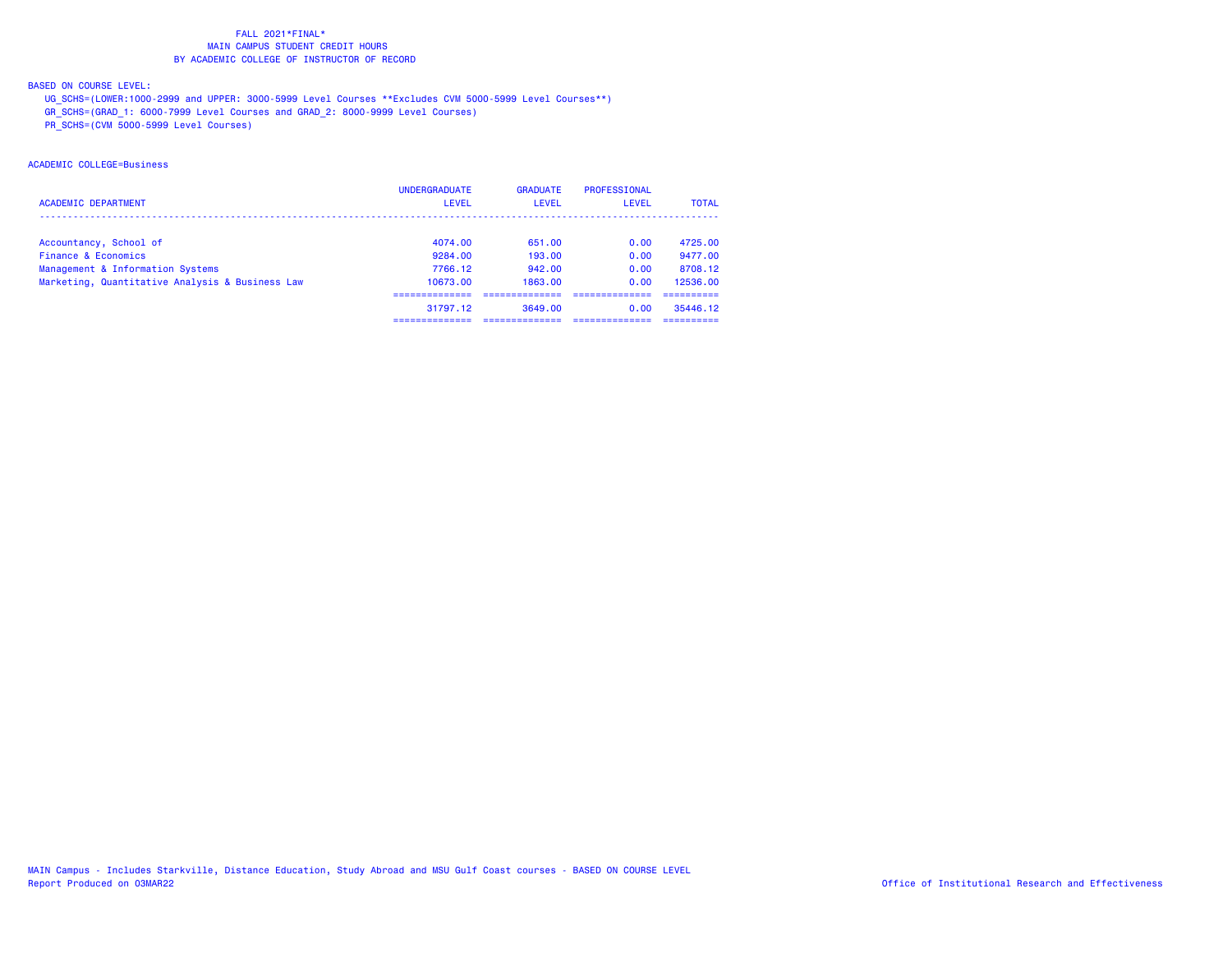### BASED ON COURSE LEVEL:

UG\_SCHS=(LOWER:1000-2999 and UPPER: 3000-5999 Level Courses \*\*Excludes CVM 5000-5999 Level Courses\*\*)

GR\_SCHS=(GRAD\_1: 6000-7999 Level Courses and GRAD\_2: 8000-9999 Level Courses)

PR\_SCHS=(CVM 5000-5999 Level Courses)

## ACADEMIC COLLEGE=Business

|                                                 | <b>UNDERGRADUATE</b> | <b>GRADUATE</b> | PROFESSIONAL |              |
|-------------------------------------------------|----------------------|-----------------|--------------|--------------|
| <b>ACADEMIC DEPARTMENT</b>                      | <b>LEVEL</b>         | <b>LEVEL</b>    | LEVEL        | <b>TOTAL</b> |
|                                                 |                      |                 |              |              |
| Accountancy, School of                          | 4074.00              | 651.00          | 0.00         | 4725.00      |
| Finance & Economics                             | 9284.00              | 193.00          | 0.00         | 9477.00      |
| Management & Information Systems                | 7766.12              | 942.00          | 0.00         | 8708.12      |
| Marketing, Quantitative Analysis & Business Law | 10673.00             | 1863.00         | 0.00         | 12536.00     |
|                                                 |                      |                 |              |              |
|                                                 | 31797.12             | 3649.00         | 0.00         | 35446.12     |
|                                                 |                      |                 |              |              |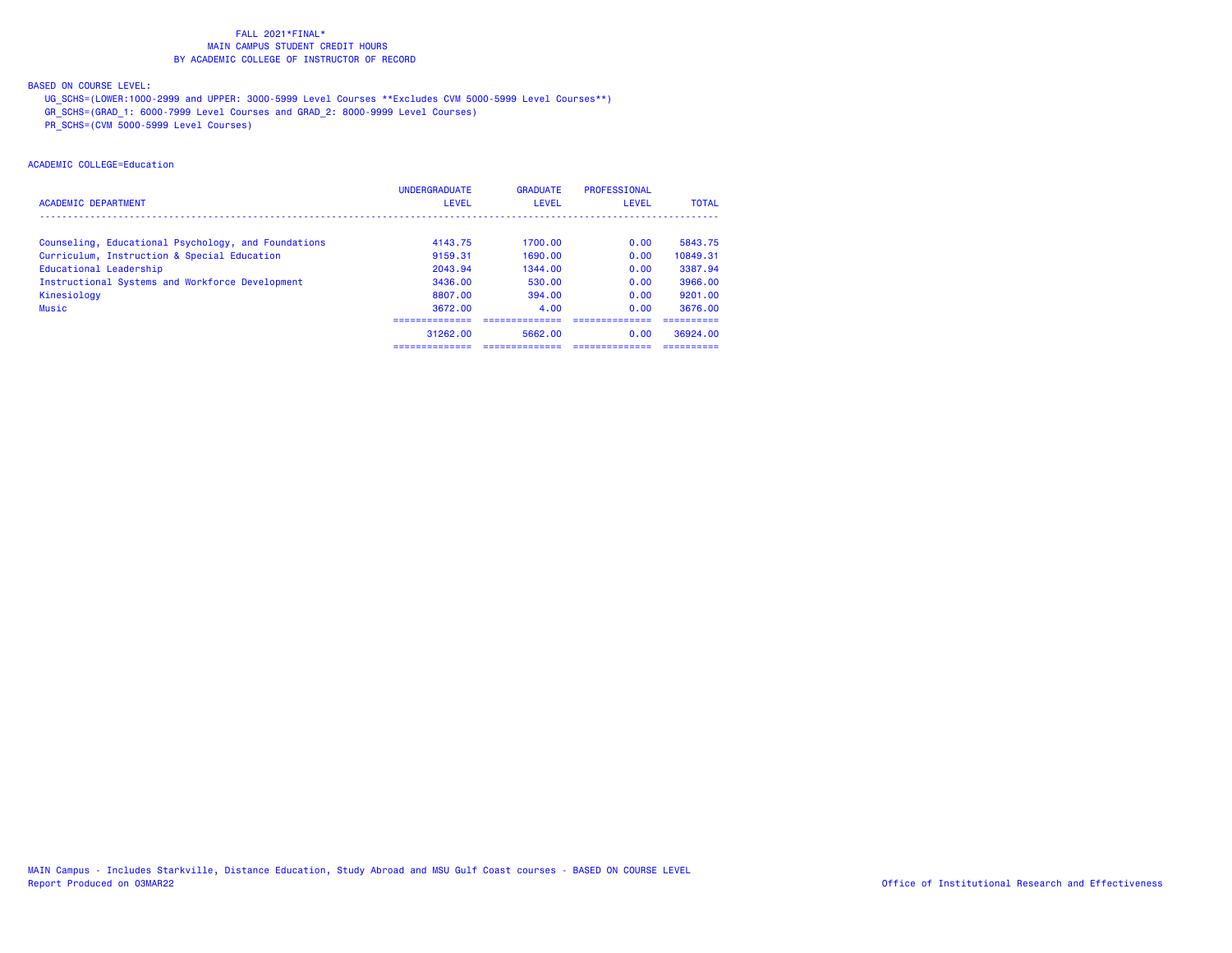## BASED ON COURSE LEVEL:

UG\_SCHS=(LOWER:1000-2999 and UPPER: 3000-5999 Level Courses \*\*Excludes CVM 5000-5999 Level Courses\*\*)

GR\_SCHS=(GRAD\_1: 6000-7999 Level Courses and GRAD\_2: 8000-9999 Level Courses)

PR\_SCHS=(CVM 5000-5999 Level Courses)

## ACADEMIC COLLEGE=Education

|                                                     | <b>UNDERGRADUATE</b> | <b>GRADUATE</b> | <b>PROFESSIONAL</b> |              |
|-----------------------------------------------------|----------------------|-----------------|---------------------|--------------|
| <b>ACADEMIC DEPARTMENT</b>                          | <b>LEVEL</b>         | LEVEL           | LEVEL               | <b>TOTAL</b> |
|                                                     |                      |                 |                     |              |
| Counseling, Educational Psychology, and Foundations | 4143.75              | 1700.00         | 0.00                | 5843.75      |
| Curriculum, Instruction & Special Education         | 9159.31              | 1690.00         | 0.00                | 10849.31     |
| Educational Leadership                              | 2043.94              | 1344.00         | 0.00                | 3387.94      |
| Instructional Systems and Workforce Development     | 3436.00              | 530.00          | 0.00                | 3966.00      |
| Kinesiology                                         | 8807.00              | 394.00          | 0.00                | 9201.00      |
| <b>Music</b>                                        | 3672.00              | 4.00            | 0.00                | 3676.00      |
|                                                     |                      |                 |                     |              |
|                                                     | 31262.00             | 5662.00         | 0.00                | 36924.00     |
|                                                     | ---------------      |                 |                     | ----------   |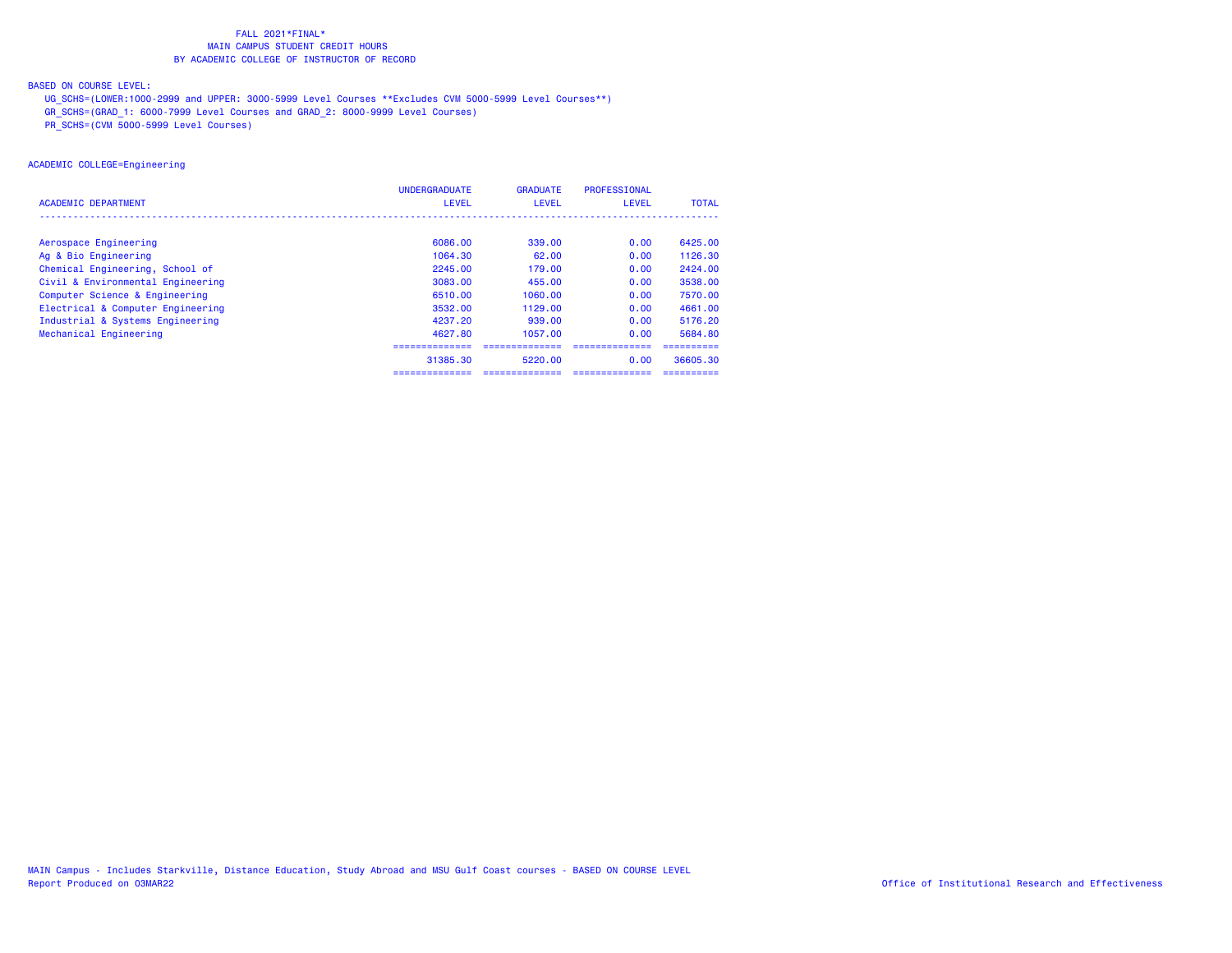## BASED ON COURSE LEVEL:

UG\_SCHS=(LOWER:1000-2999 and UPPER: 3000-5999 Level Courses \*\*Excludes CVM 5000-5999 Level Courses\*\*)

GR\_SCHS=(GRAD\_1: 6000-7999 Level Courses and GRAD\_2: 8000-9999 Level Courses)

PR\_SCHS=(CVM 5000-5999 Level Courses)

## ACADEMIC COLLEGE=Engineering

|                                   | <b>UNDERGRADUATE</b> | <b>GRADUATE</b> | PROFESSIONAL    |              |
|-----------------------------------|----------------------|-----------------|-----------------|--------------|
| <b>ACADEMIC DEPARTMENT</b>        | <b>LEVEL</b>         | <b>LEVEL</b>    | <b>LEVEL</b>    | <b>TOTAL</b> |
|                                   |                      |                 |                 |              |
| Aerospace Engineering             | 6086.00              | 339.00          | 0.00            | 6425,00      |
| Ag & Bio Engineering              | 1064.30              | 62.00           | 0.00            | 1126.30      |
| Chemical Engineering, School of   | 2245.00              | 179.00          | 0.00            | 2424.00      |
| Civil & Environmental Engineering | 3083.00              | 455.00          | 0.00            | 3538.00      |
| Computer Science & Engineering    | 6510.00              | 1060.00         | 0.00            | 7570.00      |
| Electrical & Computer Engineering | 3532.00              | 1129.00         | 0.00            | 4661.00      |
| Industrial & Systems Engineering  | 4237.20              | 939,00          | 0.00            | 5176.20      |
| Mechanical Engineering            | 4627.80              | 1057.00         | 0.00            | 5684.80      |
|                                   |                      |                 |                 |              |
|                                   | 31385.30             | 5220.00         | 0.00            | 36605.30     |
|                                   | ==============       | ==============  | --------------- |              |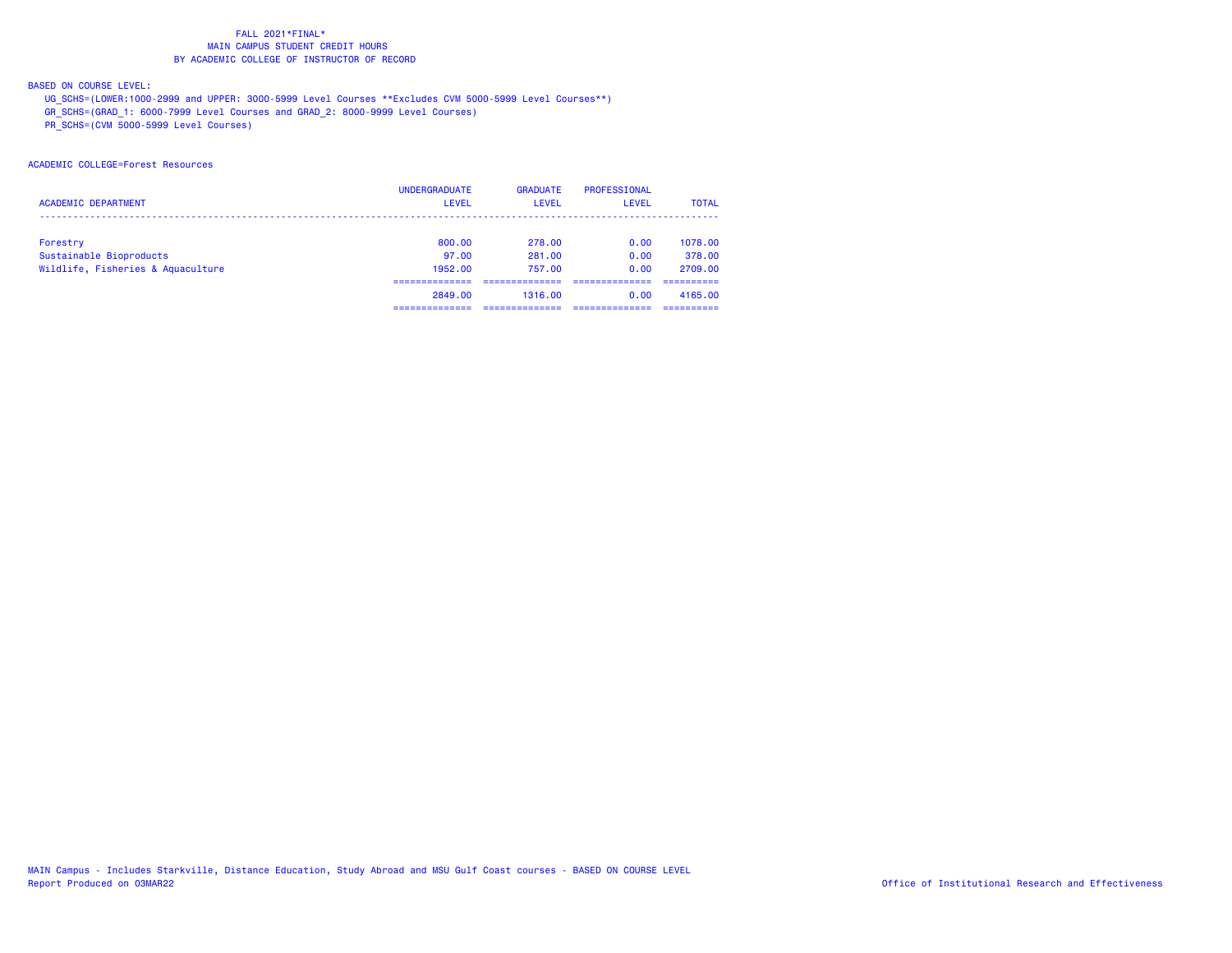## BASED ON COURSE LEVEL:

UG\_SCHS=(LOWER:1000-2999 and UPPER: 3000-5999 Level Courses \*\*Excludes CVM 5000-5999 Level Courses\*\*)

GR\_SCHS=(GRAD\_1: 6000-7999 Level Courses and GRAD\_2: 8000-9999 Level Courses)

PR\_SCHS=(CVM 5000-5999 Level Courses)

## ACADEMIC COLLEGE=Forest Resources

|                                   | <b>UNDERGRADUATE</b> | <b>GRADUATE</b> | PROFESSIONAL |              |
|-----------------------------------|----------------------|-----------------|--------------|--------------|
| <b>ACADEMIC DEPARTMENT</b>        | LEVEL                | <b>LEVEL</b>    | LEVEL        | <b>TOTAL</b> |
|                                   |                      |                 |              |              |
| Forestry                          | 800,00               | 278.00          | 0.00         | 1078.00      |
| Sustainable Bioproducts           | 97.00                | 281.00          | 0.00         | 378.00       |
| Wildlife, Fisheries & Aquaculture | 1952.00              | 757.00          | 0.00         | 2709.00      |
|                                   |                      |                 |              |              |
|                                   | 2849.00              | 1316.00         | 0.00         | 4165.00      |
|                                   |                      |                 |              |              |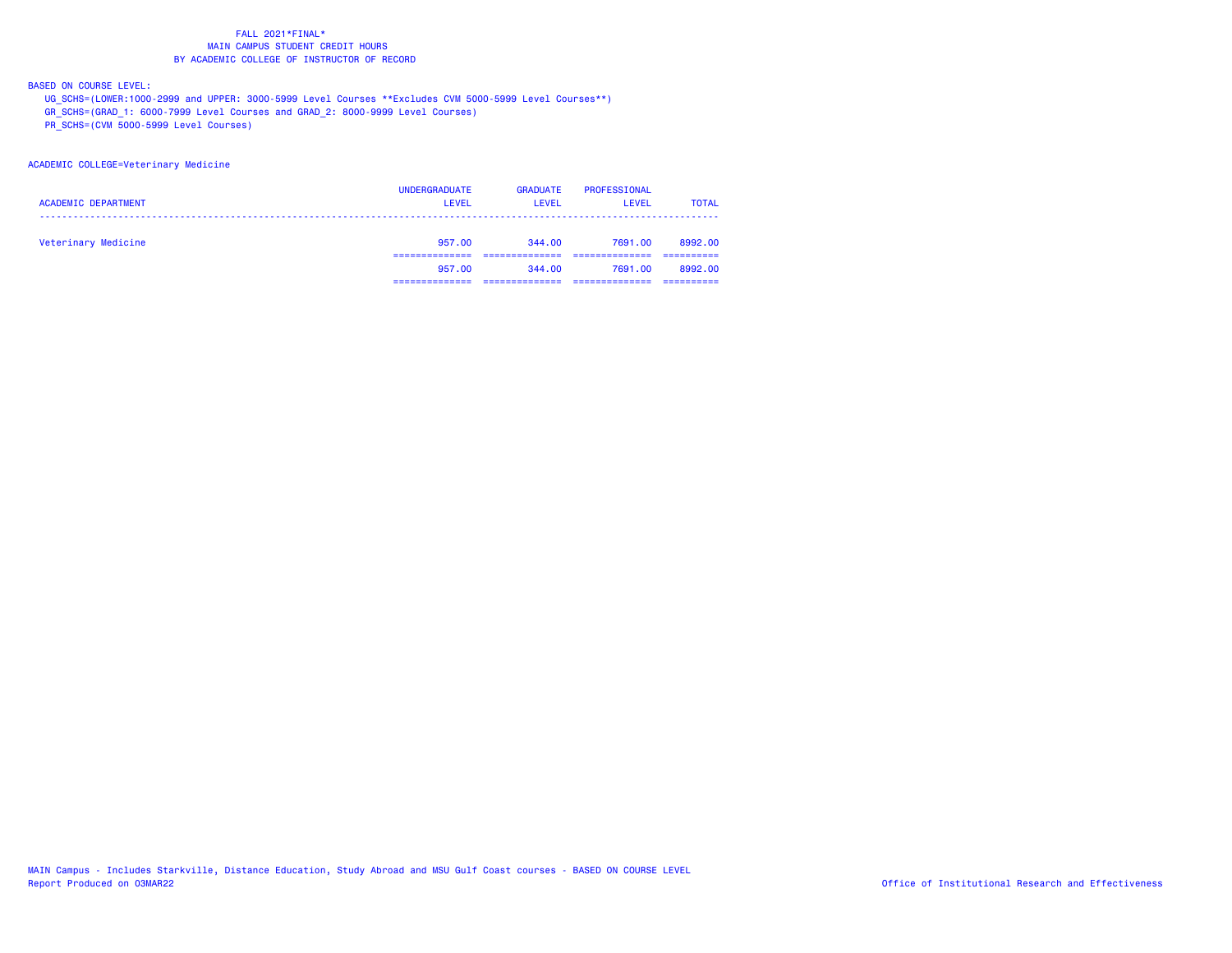BASED ON COURSE LEVEL:

UG\_SCHS=(LOWER:1000-2999 and UPPER: 3000-5999 Level Courses \*\*Excludes CVM 5000-5999 Level Courses\*\*)

GR\_SCHS=(GRAD\_1: 6000-7999 Level Courses and GRAD\_2: 8000-9999 Level Courses)

PR\_SCHS=(CVM 5000-5999 Level Courses)

ACADEMIC COLLEGE=Veterinary Medicine

| <b>ACADEMIC DEPARTMENT</b> | <b>UNDERGRADUATE</b><br><b>LEVEL</b> | <b>GRADUATE</b><br><b>LEVEL</b> | PROFESSIONAL<br>LEVEL | <b>TOTAL</b> |
|----------------------------|--------------------------------------|---------------------------------|-----------------------|--------------|
| Veterinary Medicine        | 957.00                               | 344.00                          | 7691.00               | 8992.00      |
|                            | 957.00                               | 344.00                          | 7691.00               | 8992.00      |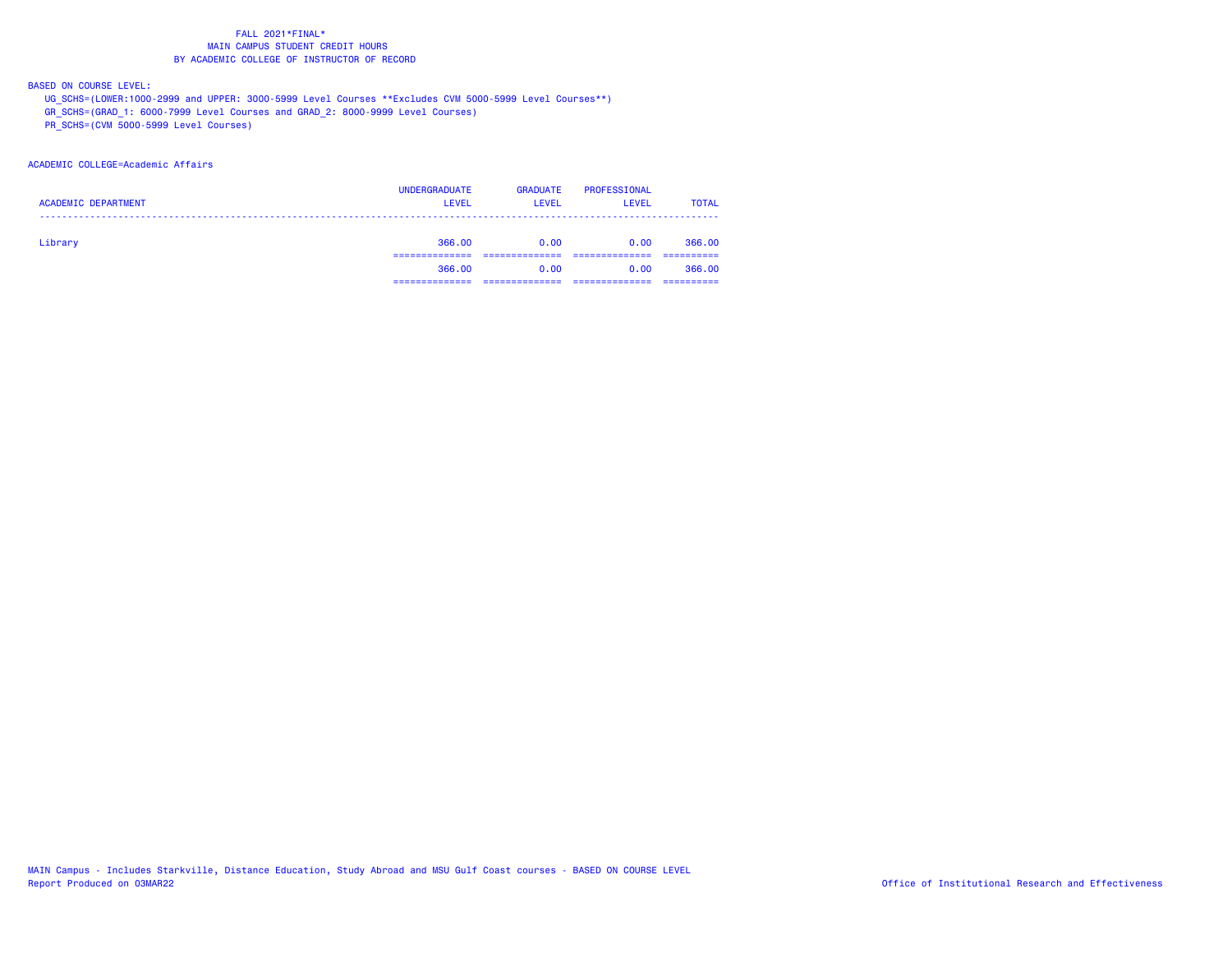### BASED ON COURSE LEVEL:

UG\_SCHS=(LOWER:1000-2999 and UPPER: 3000-5999 Level Courses \*\*Excludes CVM 5000-5999 Level Courses\*\*)

GR\_SCHS=(GRAD\_1: 6000-7999 Level Courses and GRAD\_2: 8000-9999 Level Courses)

PR\_SCHS=(CVM 5000-5999 Level Courses)

### ACADEMIC COLLEGE=Academic Affairs

| <b>ACADEMIC DEPARTMENT</b> | <b>UNDERGRADUATE</b><br><b>LEVEL</b> | <b>GRADUATE</b><br><b>LEVEL</b> | PROFESSIONAL<br><b>LEVEL</b> | <b>TOTAL</b> |
|----------------------------|--------------------------------------|---------------------------------|------------------------------|--------------|
| Library                    | 366,00                               | 0.00                            | 0.00                         | 366.00       |
|                            | 366,00                               | 0.00                            | 0.00                         | 366,00       |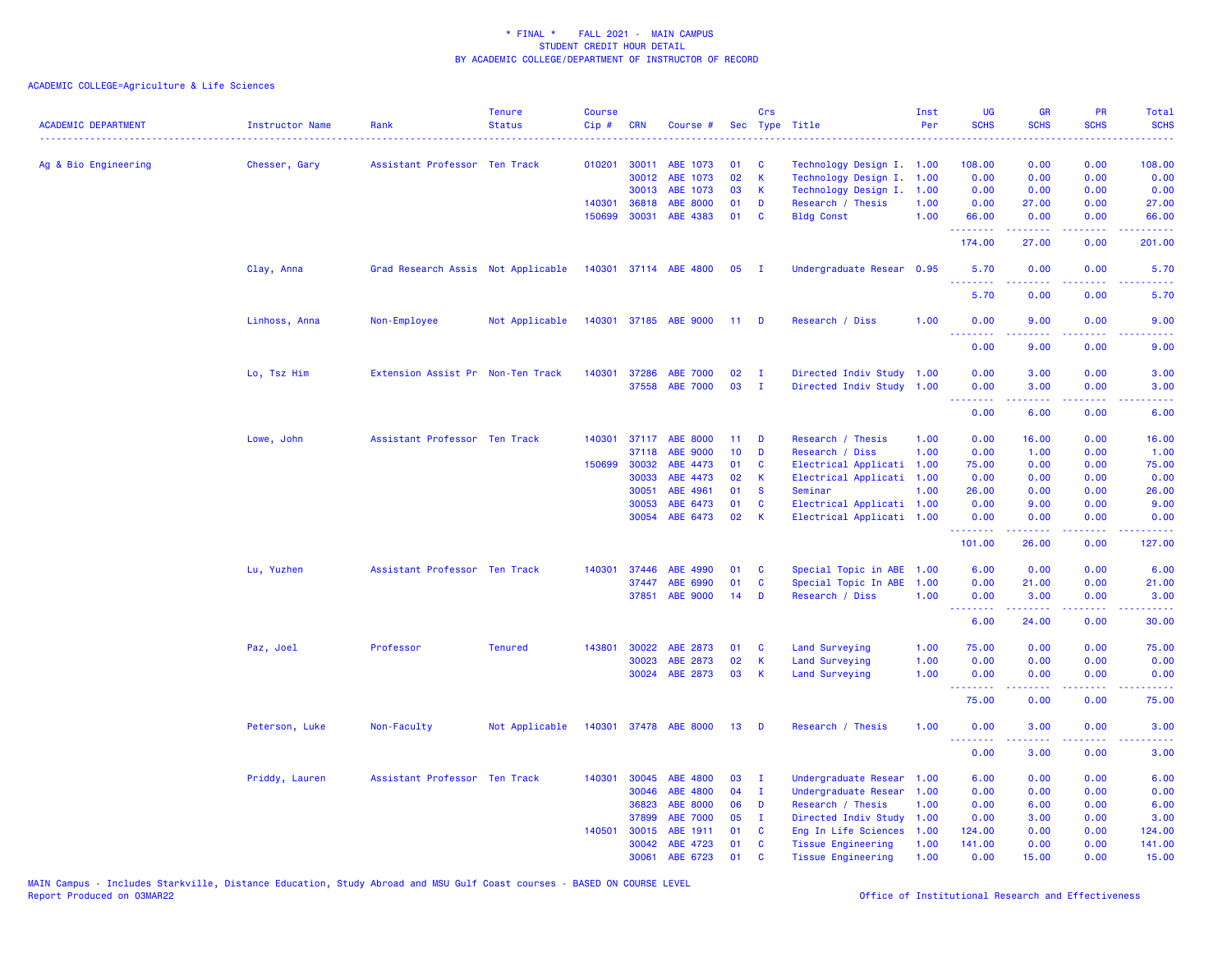| <b>ACADEMIC DEPARTMENT</b> | <b>Instructor Name</b> | Rank                               | <b>Tenure</b><br><b>Status</b> | <b>Course</b><br>$Cip$ # | <b>CRN</b>   | Course #              |      | Crs          | Sec Type Title            | Inst<br>Per | UG<br><b>SCHS</b> | <b>GR</b><br><b>SCHS</b>                                                                                                                                      | <b>PR</b><br><b>SCHS</b>     | Total<br><b>SCHS</b>                                                                                                              |
|----------------------------|------------------------|------------------------------------|--------------------------------|--------------------------|--------------|-----------------------|------|--------------|---------------------------|-------------|-------------------|---------------------------------------------------------------------------------------------------------------------------------------------------------------|------------------------------|-----------------------------------------------------------------------------------------------------------------------------------|
| Ag & Bio Engineering       | Chesser, Gary          | Assistant Professor Ten Track      |                                |                          | 010201 30011 | ABE 1073              | 01   | <b>C</b>     | Technology Design I. 1.00 |             | 108.00            | 0.00                                                                                                                                                          | 0.00                         | 108.00                                                                                                                            |
|                            |                        |                                    |                                |                          | 30012        | ABE 1073              | 02   | K            | Technology Design I.      | 1.00        | 0.00              | 0.00                                                                                                                                                          | 0.00                         | 0.00                                                                                                                              |
|                            |                        |                                    |                                |                          | 30013        | ABE 1073              | 03   | K            | Technology Design I.      | 1.00        | 0.00              | 0.00                                                                                                                                                          | 0.00                         | 0.00                                                                                                                              |
|                            |                        |                                    |                                |                          | 140301 36818 | ABE 8000              | 01   | D            | Research / Thesis         | 1.00        | 0.00              | 27.00                                                                                                                                                         | 0.00                         | 27.00                                                                                                                             |
|                            |                        |                                    |                                | 150699                   | 30031        | ABE 4383              | 01   | C            | <b>Bldg Const</b>         | 1.00        | 66.00<br>.        | 0.00<br>.                                                                                                                                                     | 0.00<br>$  -$                | 66.00<br>.                                                                                                                        |
|                            |                        |                                    |                                |                          |              |                       |      |              |                           |             | 174.00            | 27.00                                                                                                                                                         | 0.00                         | 201.00                                                                                                                            |
|                            | Clay, Anna             | Grad Research Assis Not Applicable |                                |                          |              | 140301 37114 ABE 4800 | 05   | - I          | Undergraduate Resear 0.95 |             | 5.70<br><u>.</u>  | 0.00                                                                                                                                                          | 0.00<br>.                    | 5.70                                                                                                                              |
|                            |                        |                                    |                                |                          |              |                       |      |              |                           |             | 5.70              | 0.00                                                                                                                                                          | 0.00                         | 5.70                                                                                                                              |
|                            | Linhoss, Anna          | Non-Employee                       | Not Applicable                 |                          |              | 140301 37185 ABE 9000 | 11 D |              | Research / Diss           | 1.00        | 0.00<br>.         | 9.00<br>$\frac{1}{2} \left( \frac{1}{2} \right) \left( \frac{1}{2} \right) \left( \frac{1}{2} \right) \left( \frac{1}{2} \right) \left( \frac{1}{2} \right)$  | 0.00<br>.                    | 9.00<br>$\frac{1}{2} \left( \frac{1}{2} \right) \left( \frac{1}{2} \right) \left( \frac{1}{2} \right) \left( \frac{1}{2} \right)$ |
|                            |                        |                                    |                                |                          |              |                       |      |              |                           |             | 0.00              | 9.00                                                                                                                                                          | 0.00                         | 9.00                                                                                                                              |
|                            | Lo, Tsz Him            | Extension Assist Pr Non-Ten Track  |                                | 140301                   | 37286        | <b>ABE 7000</b>       | 02   | $\mathbf I$  | Directed Indiv Study      | 1.00        | 0.00              | 3.00                                                                                                                                                          | 0.00                         | 3.00                                                                                                                              |
|                            |                        |                                    |                                |                          | 37558        | <b>ABE 7000</b>       | 03   | $\mathbf{I}$ | Directed Indiv Study      | 1.00        | 0.00              | 3.00                                                                                                                                                          | 0.00                         | 3.00                                                                                                                              |
|                            |                        |                                    |                                |                          |              |                       |      |              |                           |             | .                 | .                                                                                                                                                             | $\omega \equiv \omega$ .     |                                                                                                                                   |
|                            |                        |                                    |                                |                          |              |                       |      |              |                           |             | 0.00              | 6.00                                                                                                                                                          | 0.00                         | 6.00                                                                                                                              |
|                            | Lowe, John             | Assistant Professor Ten Track      |                                | 140301                   |              | 37117 ABE 8000        | 11   | D            | Research / Thesis         | 1.00        | 0.00              | 16.00                                                                                                                                                         | 0.00                         | 16.00                                                                                                                             |
|                            |                        |                                    |                                |                          | 37118        | <b>ABE 9000</b>       | 10   | D            | Research / Diss           | 1.00        | 0.00              | 1.00                                                                                                                                                          | 0.00                         | 1.00                                                                                                                              |
|                            |                        |                                    |                                |                          | 150699 30032 | ABE 4473              | 01   | C            | Electrical Applicati      | 1.00        | 75.00             | 0.00                                                                                                                                                          | 0.00                         | 75.00                                                                                                                             |
|                            |                        |                                    |                                |                          | 30033        | ABE 4473              | 02   | К            | Electrical Applicati      | 1.00        | 0.00              | 0.00                                                                                                                                                          | 0.00                         | 0.00                                                                                                                              |
|                            |                        |                                    |                                |                          | 30051        | ABE 4961              | 01   | <b>S</b>     | Seminar                   | 1.00        | 26.00             | 0.00                                                                                                                                                          | 0.00                         | 26.00                                                                                                                             |
|                            |                        |                                    |                                |                          | 30053        | ABE 6473              | 01   | C            | Electrical Applicati 1.00 |             | 0.00              | 9.00                                                                                                                                                          | 0.00                         | 9.00                                                                                                                              |
|                            |                        |                                    |                                |                          | 30054        | ABE 6473              | 02   | $\mathsf{K}$ | Electrical Applicati 1.00 |             | 0.00<br>.         | 0.00<br>المتمامين                                                                                                                                             | 0.00<br>.                    | 0.00<br><u>.</u>                                                                                                                  |
|                            |                        |                                    |                                |                          |              |                       |      |              |                           |             | 101.00            | 26.00                                                                                                                                                         | 0.00                         | 127.00                                                                                                                            |
|                            | Lu, Yuzhen             | Assistant Professor Ten Track      |                                | 140301                   | 37446        | ABE 4990              | 01   | C            | Special Topic in ABE      | 1.00        | 6.00              | 0.00                                                                                                                                                          | 0.00                         | 6.00                                                                                                                              |
|                            |                        |                                    |                                |                          | 37447        | ABE 6990              | 01   | C            | Special Topic In ABE      | 1.00        | 0.00              | 21.00                                                                                                                                                         | 0.00                         | 21.00                                                                                                                             |
|                            |                        |                                    |                                |                          |              | 37851 ABE 9000        | 14   | D            | Research / Diss           | 1.00        | 0.00              | 3.00                                                                                                                                                          | 0.00                         | 3.00                                                                                                                              |
|                            |                        |                                    |                                |                          |              |                       |      |              |                           |             | <b></b><br>6.00   | $\frac{1}{2} \left( \frac{1}{2} \right) \left( \frac{1}{2} \right) \left( \frac{1}{2} \right) \left( \frac{1}{2} \right) \left( \frac{1}{2} \right)$<br>24.00 | $\sim$ $\sim$ $\sim$<br>0.00 | 30.00                                                                                                                             |
|                            | Paz, Joel              | Professor                          | <b>Tenured</b>                 |                          | 143801 30022 | ABE 2873              | 01   | <b>C</b>     | <b>Land Surveying</b>     | 1.00        | 75.00             | 0.00                                                                                                                                                          | 0.00                         | 75.00                                                                                                                             |
|                            |                        |                                    |                                |                          | 30023        | ABE 2873              | 02   | $\mathsf{K}$ | Land Surveying            | 1.00        | 0.00              | 0.00                                                                                                                                                          | 0.00                         | 0.00                                                                                                                              |
|                            |                        |                                    |                                |                          | 30024        | ABE 2873              | 03   | K            | Land Surveying            | 1.00        | 0.00<br>.         | 0.00                                                                                                                                                          | 0.00                         | 0.00                                                                                                                              |
|                            |                        |                                    |                                |                          |              |                       |      |              |                           |             | 75.00             | 0.00                                                                                                                                                          | 0.00                         | 75.00                                                                                                                             |
|                            | Peterson, Luke         | Non-Faculty                        | Not Applicable                 |                          |              | 140301 37478 ABE 8000 | 13   | D            | Research / Thesis         | 1.00        | 0.00<br>.         | 3.00                                                                                                                                                          | 0.00                         | 3.00                                                                                                                              |
|                            |                        |                                    |                                |                          |              |                       |      |              |                           |             | 0.00              | 3.00                                                                                                                                                          | 0.00                         | 3.00                                                                                                                              |
|                            | Priddy, Lauren         | Assistant Professor Ten Track      |                                | 140301                   | 30045        | ABE 4800              | 03   | $\mathbf{I}$ | Undergraduate Resear      | 1.00        | 6.00              | 0.00                                                                                                                                                          | 0.00                         | 6.00                                                                                                                              |
|                            |                        |                                    |                                |                          | 30046        | ABE 4800              | 04   | $\mathbf{I}$ | Undergraduate Resear      | 1.00        | 0.00              | 0.00                                                                                                                                                          | 0.00                         | 0.00                                                                                                                              |
|                            |                        |                                    |                                |                          | 36823        | ABE 8000              | 06   | D            | Research / Thesis         | 1.00        | 0.00              | 6.00                                                                                                                                                          | 0.00                         | 6.00                                                                                                                              |
|                            |                        |                                    |                                |                          | 37899        | <b>ABE 7000</b>       | 05   | п            | Directed Indiv Study      | 1.00        | 0.00              | 3.00                                                                                                                                                          | 0.00                         | 3.00                                                                                                                              |
|                            |                        |                                    |                                |                          | 140501 30015 | ABE 1911              | 01   | C            | Eng In Life Sciences      | 1.00        | 124.00            | 0.00                                                                                                                                                          | 0.00                         | 124.00                                                                                                                            |
|                            |                        |                                    |                                |                          | 30042        | ABE 4723              | 01   | C            | <b>Tissue Engineering</b> | 1.00        | 141.00            | 0.00                                                                                                                                                          | 0.00                         | 141.00                                                                                                                            |
|                            |                        |                                    |                                |                          | 30061        | ABE 6723              | 01   | C            | <b>Tissue Engineering</b> | 1.00        | 0.00              | 15.00                                                                                                                                                         | 0.00                         | 15.00                                                                                                                             |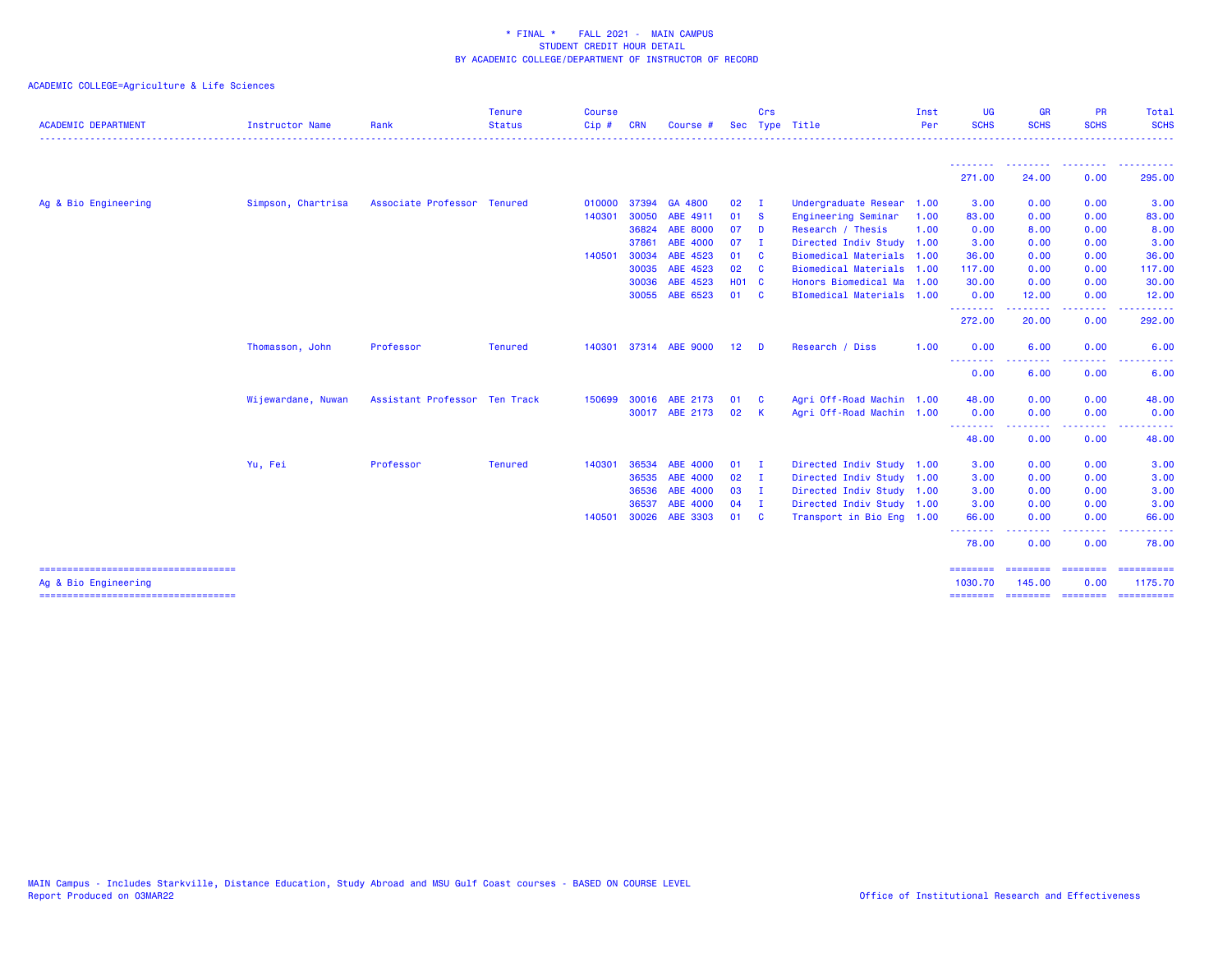| <b>ACADEMIC DEPARTMENT</b>            | <b>Instructor Name</b> | Rank                          | <b>Tenure</b><br><b>Status</b> | <b>Course</b><br>Cip# | <b>CRN</b> | Course #        | Sec             | Crs          | Type Title                | Inst<br>Per | <b>UG</b><br><b>SCHS</b><br>. <u>.</u>                | <b>GR</b><br><b>SCHS</b>             | <b>PR</b><br><b>SCHS</b>                                                                               | Total<br><b>SCHS</b><br>.                                                                                                                                                                                                                                                                                                                                                                                                                                                              |
|---------------------------------------|------------------------|-------------------------------|--------------------------------|-----------------------|------------|-----------------|-----------------|--------------|---------------------------|-------------|-------------------------------------------------------|--------------------------------------|--------------------------------------------------------------------------------------------------------|----------------------------------------------------------------------------------------------------------------------------------------------------------------------------------------------------------------------------------------------------------------------------------------------------------------------------------------------------------------------------------------------------------------------------------------------------------------------------------------|
|                                       |                        |                               |                                |                       |            |                 |                 |              |                           |             | ---------                                             | <b><i><u><u>ALLERS A</u></u></i></b> | <b><i><u>A A A A A A A A</u></i></b>                                                                   | <b>.</b>                                                                                                                                                                                                                                                                                                                                                                                                                                                                               |
|                                       |                        |                               |                                |                       |            |                 |                 |              |                           |             | 271.00                                                | 24.00                                | 0.00                                                                                                   | 295.00                                                                                                                                                                                                                                                                                                                                                                                                                                                                                 |
| Ag & Bio Engineering                  | Simpson, Chartrisa     | Associate Professor Tenured   |                                | 010000                | 37394      | GA 4800         | 02              | $\mathbf{I}$ | Undergraduate Resear      | 1.00        | 3.00                                                  | 0.00                                 | 0.00                                                                                                   | 3.00                                                                                                                                                                                                                                                                                                                                                                                                                                                                                   |
|                                       |                        |                               |                                | 140301                | 30050      | ABE 4911        | 01              | <b>S</b>     | Engineering Seminar       | 1.00        | 83.00                                                 | 0.00                                 | 0.00                                                                                                   | 83.00                                                                                                                                                                                                                                                                                                                                                                                                                                                                                  |
|                                       |                        |                               |                                |                       | 36824      | <b>ABE 8000</b> | 07              | D            | Research / Thesis         | 1.00        | 0.00                                                  | 8.00                                 | 0.00                                                                                                   | 8.00                                                                                                                                                                                                                                                                                                                                                                                                                                                                                   |
|                                       |                        |                               |                                |                       | 37861      | ABE 4000        | 07              | - I          | Directed Indiv Study 1.00 |             | 3.00                                                  | 0.00                                 | 0.00                                                                                                   | 3.00                                                                                                                                                                                                                                                                                                                                                                                                                                                                                   |
|                                       |                        |                               |                                | 140501                | 30034      | ABE 4523        | 01              | <b>C</b>     | Biomedical Materials 1.00 |             | 36.00                                                 | 0.00                                 | 0.00                                                                                                   | 36.00                                                                                                                                                                                                                                                                                                                                                                                                                                                                                  |
|                                       |                        |                               |                                |                       | 30035      | ABE 4523        | 02              | <b>C</b>     | Biomedical Materials 1.00 |             | 117.00                                                | 0.00                                 | 0.00                                                                                                   | 117.00                                                                                                                                                                                                                                                                                                                                                                                                                                                                                 |
|                                       |                        |                               |                                |                       | 30036      | ABE 4523        | <b>HO1 C</b>    |              | Honors Biomedical Ma      | 1.00        | 30.00                                                 | 0.00                                 | 0.00                                                                                                   | 30.00                                                                                                                                                                                                                                                                                                                                                                                                                                                                                  |
|                                       |                        |                               |                                |                       |            | 30055 ABE 6523  | 01              | <b>C</b>     | BIomedical Materials 1.00 |             | 0.00<br>.                                             | 12.00                                | 0.00                                                                                                   | 12.00                                                                                                                                                                                                                                                                                                                                                                                                                                                                                  |
|                                       |                        |                               |                                |                       |            |                 |                 |              |                           |             | 272.00                                                | .<br>20.00                           | .<br>0.00                                                                                              | .<br>292.00                                                                                                                                                                                                                                                                                                                                                                                                                                                                            |
|                                       | Thomasson, John        | Professor                     | <b>Tenured</b>                 | 140301                |            | 37314 ABE 9000  | 12 <sub>2</sub> | D            | Research / Diss           | 1.00        | 0.00                                                  | 6.00                                 | 0.00                                                                                                   | 6.00                                                                                                                                                                                                                                                                                                                                                                                                                                                                                   |
|                                       |                        |                               |                                |                       |            |                 |                 |              |                           |             | <b><i><u><u> - - - - - - - -</u></u></i></b><br>0.00  | د د د د د<br>6.00                    | .<br>0.00                                                                                              | $\sim 100$<br>6.00                                                                                                                                                                                                                                                                                                                                                                                                                                                                     |
|                                       | Wijewardane, Nuwan     | Assistant Professor Ten Track |                                | 150699                | 30016      | ABE 2173        | 01              | <b>C</b>     | Agri Off-Road Machin 1.00 |             | 48.00                                                 | 0.00                                 | 0.00                                                                                                   | 48.00                                                                                                                                                                                                                                                                                                                                                                                                                                                                                  |
|                                       |                        |                               |                                |                       | 30017      | ABE 2173        | 02              | $\mathbf{K}$ | Agri Off-Road Machin 1.00 |             | 0.00                                                  | 0.00                                 | 0.00                                                                                                   | 0.00                                                                                                                                                                                                                                                                                                                                                                                                                                                                                   |
|                                       |                        |                               |                                |                       |            |                 |                 |              |                           |             | <b><i><u><u> - - - - - - - -</u></u></i></b><br>48.00 | - - - - - - - -<br>0.00              | 0.00                                                                                                   | .<br>48.00                                                                                                                                                                                                                                                                                                                                                                                                                                                                             |
|                                       | Yu, Fei                | Professor                     | <b>Tenured</b>                 | 140301                | 36534      | ABE 4000        | 01              | $\mathbf{I}$ | Directed Indiv Study 1.00 |             | 3.00                                                  | 0.00                                 | 0.00                                                                                                   | 3.00                                                                                                                                                                                                                                                                                                                                                                                                                                                                                   |
|                                       |                        |                               |                                |                       | 36535      | ABE 4000        | 02              | - I          | Directed Indiv Study 1.00 |             | 3.00                                                  | 0.00                                 | 0.00                                                                                                   | 3.00                                                                                                                                                                                                                                                                                                                                                                                                                                                                                   |
|                                       |                        |                               |                                |                       | 36536      | ABE 4000        | 03 I            |              | Directed Indiv Study 1.00 |             | 3.00                                                  | 0.00                                 | 0.00                                                                                                   | 3.00                                                                                                                                                                                                                                                                                                                                                                                                                                                                                   |
|                                       |                        |                               |                                |                       | 36537      | ABE 4000        | 04              | $\mathbf{I}$ | Directed Indiv Study 1.00 |             | 3.00                                                  | 0.00                                 | 0.00                                                                                                   | 3.00                                                                                                                                                                                                                                                                                                                                                                                                                                                                                   |
|                                       |                        |                               |                                | 140501                | 30026      | ABE 3303        | 01 C            |              | Transport in Bio Eng 1.00 |             | 66.00                                                 | 0.00                                 | 0.00                                                                                                   | 66.00                                                                                                                                                                                                                                                                                                                                                                                                                                                                                  |
|                                       |                        |                               |                                |                       |            |                 |                 |              |                           |             | --------<br>78.00                                     | 0.00                                 | $\frac{1}{2} \left( \frac{1}{2} \right) \left( \frac{1}{2} \right) \left( \frac{1}{2} \right)$<br>0.00 | 78.00                                                                                                                                                                                                                                                                                                                                                                                                                                                                                  |
| ===================================== |                        |                               |                                |                       |            |                 |                 |              |                           |             | ========                                              | ========                             |                                                                                                        | $\begin{array}{cccccccccc} \multicolumn{2}{c}{} & \multicolumn{2}{c}{} & \multicolumn{2}{c}{} & \multicolumn{2}{c}{} & \multicolumn{2}{c}{} & \multicolumn{2}{c}{} & \multicolumn{2}{c}{} & \multicolumn{2}{c}{} & \multicolumn{2}{c}{} & \multicolumn{2}{c}{} & \multicolumn{2}{c}{} & \multicolumn{2}{c}{} & \multicolumn{2}{c}{} & \multicolumn{2}{c}{} & \multicolumn{2}{c}{} & \multicolumn{2}{c}{} & \multicolumn{2}{c}{} & \multicolumn{2}{c}{} & \multicolumn{2}{c}{} & \mult$ |
| Ag & Bio Engineering                  |                        |                               |                                |                       |            |                 |                 |              |                           |             | 1030.70                                               | 145.00                               | 0.00                                                                                                   | 1175.70                                                                                                                                                                                                                                                                                                                                                                                                                                                                                |
| ===================================== |                        |                               |                                |                       |            |                 |                 |              |                           |             | ========                                              |                                      | ======== ======== =========                                                                            |                                                                                                                                                                                                                                                                                                                                                                                                                                                                                        |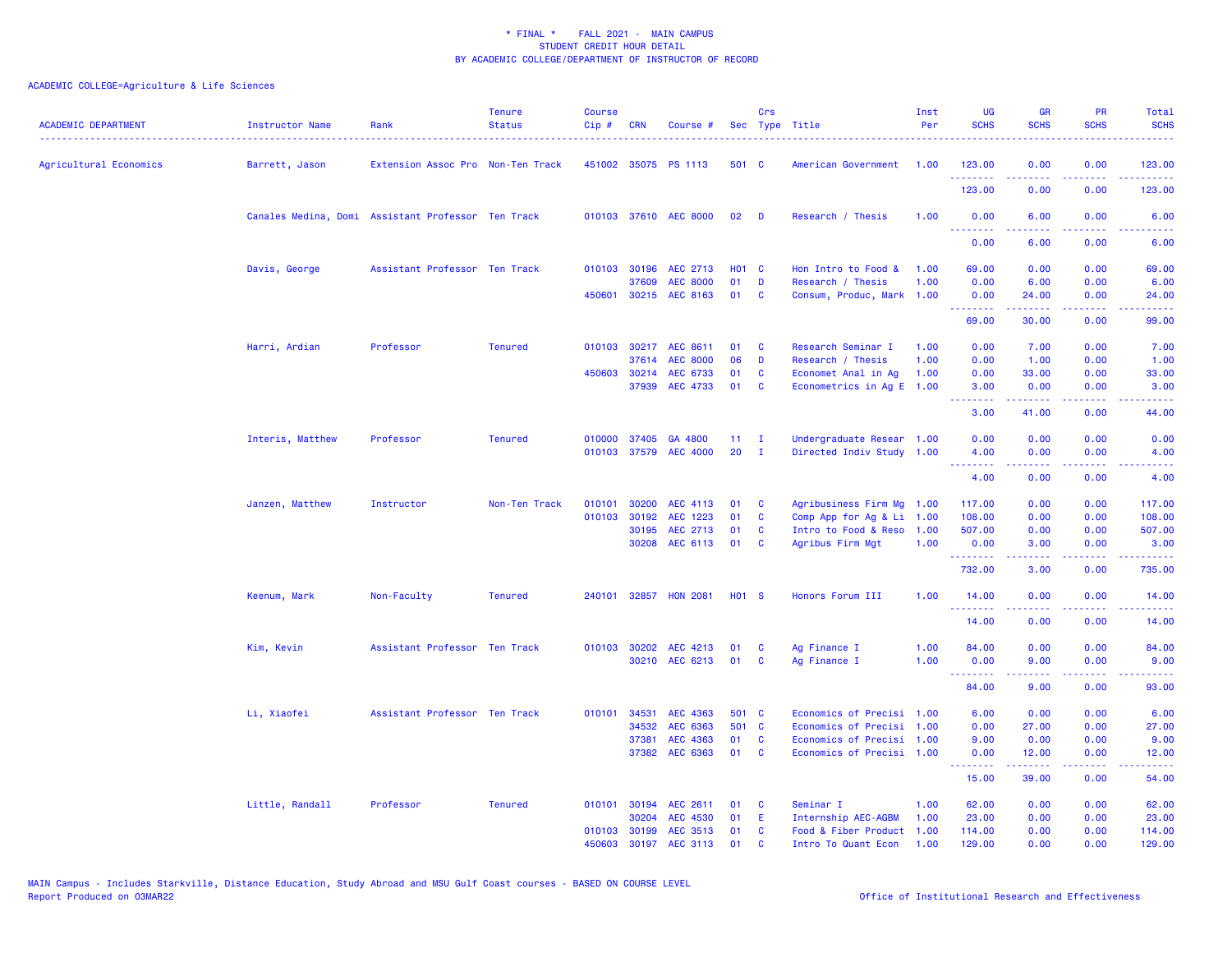| <b>ACADEMIC DEPARTMENT</b> | <b>Instructor Name</b> | Rank                                               | <b>Tenure</b><br><b>Status</b> | <b>Course</b><br>Cip# | <b>CRN</b>   | Course #              |                   | Crs          | Sec Type Title            | Inst<br>Per | <b>UG</b><br><b>SCHS</b>                                   | <b>GR</b><br><b>SCHS</b>                                                                                                                                      | <b>PR</b><br><b>SCHS</b>            | Total<br><b>SCHS</b><br>. <b>.</b> |
|----------------------------|------------------------|----------------------------------------------------|--------------------------------|-----------------------|--------------|-----------------------|-------------------|--------------|---------------------------|-------------|------------------------------------------------------------|---------------------------------------------------------------------------------------------------------------------------------------------------------------|-------------------------------------|------------------------------------|
| Agricultural Economics     | Barrett, Jason         | Extension Assoc Pro Non-Ten Track                  |                                |                       |              | 451002 35075 PS 1113  | 501 C             |              | American Government       | 1.00        | 123.00<br><u>.</u>                                         | 0.00                                                                                                                                                          | 0.00<br>.                           | 123.00                             |
|                            |                        |                                                    |                                |                       |              |                       |                   |              |                           |             | 123.00                                                     | .<br>0.00                                                                                                                                                     | 0.00                                | <b></b><br>123.00                  |
|                            |                        | Canales Medina, Domi Assistant Professor Ten Track |                                |                       |              | 010103 37610 AEC 8000 | 02                | D            | Research / Thesis         | 1.00        | 0.00                                                       | 6.00                                                                                                                                                          | 0.00                                | 6.00                               |
|                            |                        |                                                    |                                |                       |              |                       |                   |              |                           |             | .<br>0.00                                                  | .<br>6.00                                                                                                                                                     | .<br>0.00                           | $\omega$ is a set<br>6.00          |
|                            | Davis, George          | Assistant Professor Ten Track                      |                                | 010103                | 30196        | AEC 2713              | <b>HO1 C</b>      |              | Hon Intro to Food &       | 1.00        | 69.00                                                      | 0.00                                                                                                                                                          | 0.00                                | 69.00                              |
|                            |                        |                                                    |                                |                       | 37609        | <b>AEC 8000</b>       | 01                | D            | Research / Thesis         | 1.00        | 0.00                                                       | 6.00                                                                                                                                                          | 0.00                                | 6.00                               |
|                            |                        |                                                    |                                |                       |              | 450601 30215 AEC 8163 | 01                | C            | Consum, Produc, Mark 1.00 |             | 0.00<br>.                                                  | 24.00<br>.                                                                                                                                                    | 0.00<br>22222                       | 24.00<br>.                         |
|                            |                        |                                                    |                                |                       |              |                       |                   |              |                           |             | 69.00                                                      | 30.00                                                                                                                                                         | 0.00                                | 99.00                              |
|                            | Harri, Ardian          | Professor                                          | <b>Tenured</b>                 | 010103                |              | 30217 AEC 8611        | 01                | C            | Research Seminar I        | 1.00        | 0.00                                                       | 7.00                                                                                                                                                          | 0.00                                | 7.00                               |
|                            |                        |                                                    |                                |                       | 37614        | <b>AEC 8000</b>       | 06                | D            | Research / Thesis         | 1.00        | 0.00                                                       | 1.00                                                                                                                                                          | 0.00                                | 1.00                               |
|                            |                        |                                                    |                                | 450603                | 30214        | AEC 6733              | 01                | C            | Economet Anal in Ag       | 1.00        | 0.00                                                       | 33.00                                                                                                                                                         | 0.00                                | 33.00                              |
|                            |                        |                                                    |                                |                       | 37939        | AEC 4733              | 01                | C            | Econometrics in Ag E 1.00 |             | 3.00<br>.                                                  | 0.00<br>.                                                                                                                                                     | 0.00<br>.                           | 3.00<br>.                          |
|                            |                        |                                                    |                                |                       |              |                       |                   |              |                           |             | 3.00                                                       | 41.00                                                                                                                                                         | 0.00                                | 44.00                              |
|                            | Interis, Matthew       | Professor                                          | <b>Tenured</b>                 |                       |              | 010000 37405 GA 4800  | 11                | $\mathbf{I}$ | Undergraduate Resear 1.00 |             | 0.00                                                       | 0.00                                                                                                                                                          | 0.00                                | 0.00                               |
|                            |                        |                                                    |                                |                       |              | 010103 37579 AEC 4000 | 20                | - I          | Directed Indiv Study 1.00 |             | 4.00                                                       | 0.00                                                                                                                                                          | 0.00                                | 4.00                               |
|                            |                        |                                                    |                                |                       |              |                       |                   |              |                           |             | <b><i><u><u><b>A</b></u></u> A A A A A A A</i></b><br>4.00 | . <b>.</b><br>0.00                                                                                                                                            | .<br>0.00                           | د د د د د<br>4.00                  |
|                            | Janzen, Matthew        | Instructor                                         | Non-Ten Track                  | 010101                | 30200        | AEC 4113              | 01                | C            | Agribusiness Firm Mg      | 1.00        | 117.00                                                     | 0.00                                                                                                                                                          | 0.00                                | 117.00                             |
|                            |                        |                                                    |                                | 010103                | 30192        | AEC 1223              | 01                | C            | Comp App for Ag & Li      | 1.00        | 108.00                                                     | 0.00                                                                                                                                                          | 0.00                                | 108.00                             |
|                            |                        |                                                    |                                |                       | 30195        | AEC 2713              | 01                | <b>C</b>     | Intro to Food & Reso      | 1.00        | 507.00                                                     | 0.00                                                                                                                                                          | 0.00                                | 507.00                             |
|                            |                        |                                                    |                                |                       |              | 30208 AEC 6113        | 01                | C            | Agribus Firm Mgt          | 1.00        | 0.00<br>.                                                  | 3.00                                                                                                                                                          | 0.00                                | 3.00                               |
|                            |                        |                                                    |                                |                       |              |                       |                   |              |                           |             | 732.00                                                     | 3.00                                                                                                                                                          | 0.00                                | 735.00                             |
|                            | Keenum, Mark           | Non-Faculty                                        | <b>Tenured</b>                 | 240101                |              | 32857 HON 2081        | H <sub>01</sub> S |              | Honors Forum III          | 1.00        | 14.00                                                      | 0.00                                                                                                                                                          | 0.00                                | 14.00                              |
|                            |                        |                                                    |                                |                       |              |                       |                   |              |                           |             | .<br>14.00                                                 | 0.00                                                                                                                                                          | $\sim$ $\sim$ $\sim$ $\sim$<br>0.00 | المتماما<br>14.00                  |
|                            | Kim, Kevin             | Assistant Professor Ten Track                      |                                |                       | 010103 30202 | AEC 4213              | 01                | C            | Ag Finance I              | 1.00        | 84.00                                                      | 0.00                                                                                                                                                          | 0.00                                | 84.00                              |
|                            |                        |                                                    |                                |                       |              | 30210 AEC 6213        | 01                | C            | Ag Finance I              | 1.00        | 0.00                                                       | 9.00                                                                                                                                                          | 0.00                                | 9.00                               |
|                            |                        |                                                    |                                |                       |              |                       |                   |              |                           |             | 84.00                                                      | 9.00                                                                                                                                                          | 0.00                                | 93.00                              |
|                            | Li, Xiaofei            | Assistant Professor Ten Track                      |                                |                       | 010101 34531 | AEC 4363              | 501 C             |              | Economics of Precisi 1.00 |             | 6.00                                                       | 0.00                                                                                                                                                          | 0.00                                | 6.00                               |
|                            |                        |                                                    |                                |                       | 34532        | AEC 6363              | 501 C             |              | Economics of Precisi 1.00 |             | 0.00                                                       | 27.00                                                                                                                                                         | 0.00                                | 27.00                              |
|                            |                        |                                                    |                                |                       | 37381        | AEC 4363              | 01                | C            | Economics of Precisi 1.00 |             | 9.00                                                       | 0.00                                                                                                                                                          | 0.00                                | 9.00                               |
|                            |                        |                                                    |                                |                       |              | 37382 AEC 6363        | 01                | <b>C</b>     | Economics of Precisi 1.00 |             | 0.00                                                       | 12.00                                                                                                                                                         | 0.00                                | 12.00                              |
|                            |                        |                                                    |                                |                       |              |                       |                   |              |                           |             | .<br>15.00                                                 | $\frac{1}{2} \left( \frac{1}{2} \right) \left( \frac{1}{2} \right) \left( \frac{1}{2} \right) \left( \frac{1}{2} \right) \left( \frac{1}{2} \right)$<br>39.00 | .<br>0.00                           | .<br>54.00                         |
|                            | Little, Randall        | Professor                                          | <b>Tenured</b>                 |                       |              | 010101 30194 AEC 2611 | 01                | C            | Seminar I                 | 1.00        | 62.00                                                      | 0.00                                                                                                                                                          | 0.00                                | 62.00                              |
|                            |                        |                                                    |                                |                       | 30204        | <b>AEC 4530</b>       | 01                | E            | Internship AEC-AGBM       | 1.00        | 23.00                                                      | 0.00                                                                                                                                                          | 0.00                                | 23.00                              |
|                            |                        |                                                    |                                |                       | 010103 30199 | AEC 3513              | 01                | C            | Food & Fiber Product      | 1.00        | 114.00                                                     | 0.00                                                                                                                                                          | 0.00                                | 114.00                             |
|                            |                        |                                                    |                                | 450603                | 30197        | AEC 3113              | 01                | C.           | Intro To Quant Econ       | 1.00        | 129.00                                                     | 0.00                                                                                                                                                          | 0.00                                | 129.00                             |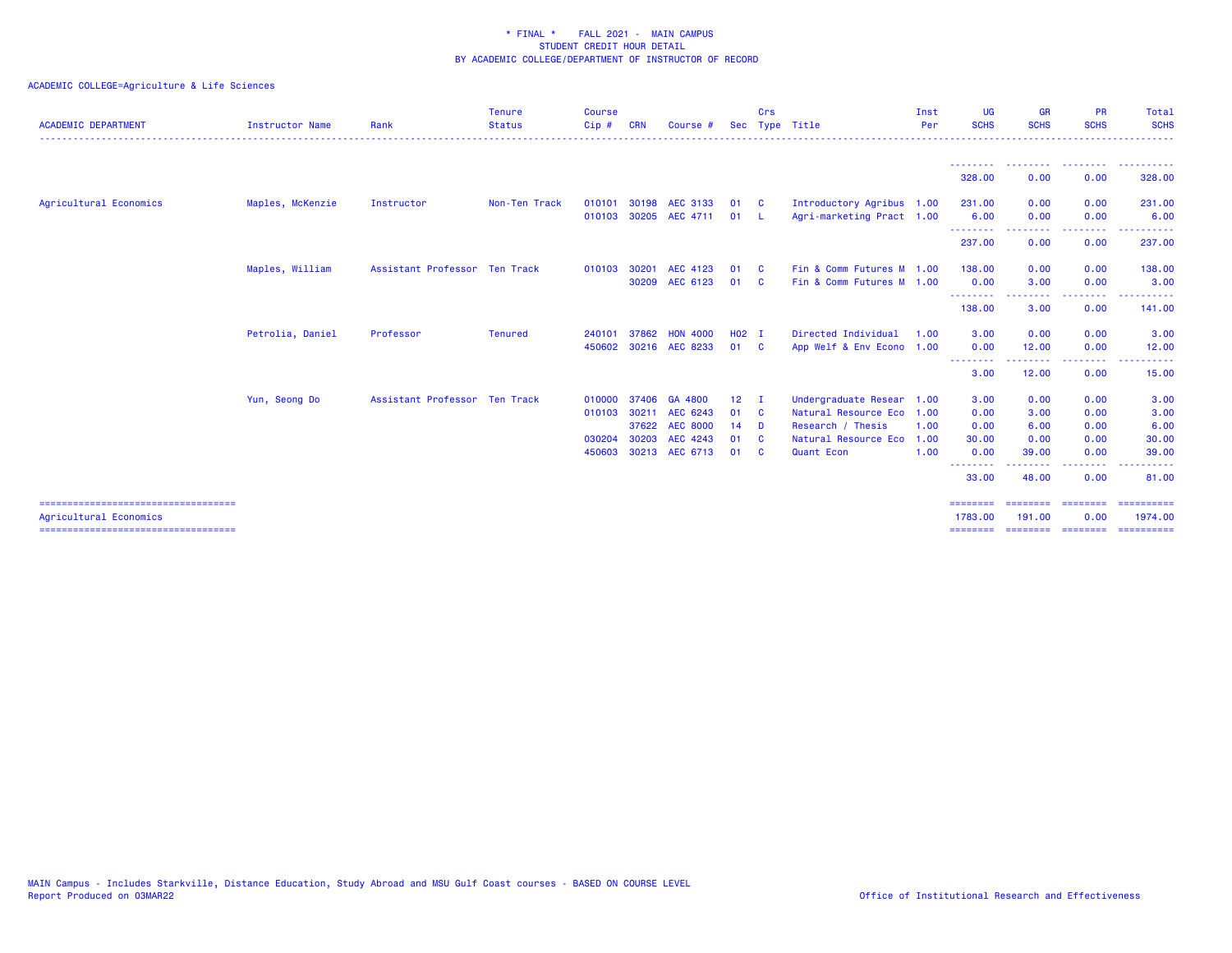| <b>ACADEMIC DEPARTMENT</b>                                     | Instructor Name  | Rank                          | <b>Tenure</b><br><b>Status</b> | <b>Course</b><br>$Cip$ #             | <b>CRN</b>              | Course $#$                                                          |                                         | Crs                                       | Sec Type Title                                                                                               | Inst<br>Per                  | <b>UG</b><br><b>SCHS</b>                                   | <b>GR</b><br><b>SCHS</b>                                | <b>PR</b><br><b>SCHS</b>                              | <b>Total</b><br><b>SCHS</b>                          |
|----------------------------------------------------------------|------------------|-------------------------------|--------------------------------|--------------------------------------|-------------------------|---------------------------------------------------------------------|-----------------------------------------|-------------------------------------------|--------------------------------------------------------------------------------------------------------------|------------------------------|------------------------------------------------------------|---------------------------------------------------------|-------------------------------------------------------|------------------------------------------------------|
|                                                                |                  |                               |                                |                                      |                         |                                                                     |                                         |                                           |                                                                                                              |                              | <u> - - - - - - - -</u><br>328.00                          | .<br>0.00                                               | .<br>0.00                                             | <b>.</b><br>328.00                                   |
| Agricultural Economics                                         | Maples, McKenzie | Instructor                    | Non-Ten Track                  | 010101<br>010103                     |                         | 30198 AEC 3133<br>30205 AEC 4711                                    | 01<br>01                                | - C<br>- L                                | Introductory Agribus 1.00<br>Agri-marketing Pract 1.00                                                       |                              | 231.00<br>6.00                                             | 0.00<br>0.00                                            | 0.00<br>0.00                                          | 231.00<br>6.00                                       |
|                                                                |                  |                               |                                |                                      |                         |                                                                     |                                         |                                           |                                                                                                              |                              | --------<br>237.00                                         | --------<br>0.00                                        | --------<br>0.00                                      | ----------<br>237.00                                 |
|                                                                | Maples, William  | Assistant Professor Ten Track |                                | 010103                               | 30201<br>30209          | AEC 4123<br>AEC 6123                                                | 01<br>01                                | - C<br>- C                                | Fin & Comm Futures M 1.00<br>Fin & Comm Futures M 1.00                                                       |                              | 138,00<br>0.00                                             | 0.00<br>3.00                                            | 0.00<br>0.00<br>.                                     | 138.00<br>3.00<br>.                                  |
|                                                                |                  |                               |                                |                                      |                         |                                                                     |                                         |                                           |                                                                                                              |                              | --------<br>138.00                                         | .<br>3.00                                               | 0.00                                                  | 141.00                                               |
|                                                                | Petrolia, Daniel | Professor                     | Tenured                        | 240101<br>450602                     | 37862                   | <b>HON 4000</b><br>30216 AEC 8233                                   | H <sub>02</sub> I<br>01                 | $\overline{c}$                            | Directed Individual<br>App Welf & Env Econo 1.00                                                             | 1.00                         | 3.00<br>0.00                                               | 0.00<br>12.00<br><u>.</u>                               | 0.00<br>0.00<br>.                                     | 3.00<br>12.00<br>. <u>.</u>                          |
|                                                                |                  |                               |                                |                                      |                         |                                                                     |                                         |                                           |                                                                                                              |                              | --------<br>3.00                                           | 12.00                                                   | 0.00                                                  | 15.00                                                |
|                                                                | Yun, Seong Do    | Assistant Professor Ten Track |                                | 010000<br>010103<br>030204<br>450603 | 37406<br>30211<br>30203 | GA 4800<br>AEC 6243<br>37622 AEC 8000<br>AEC 4243<br>30213 AEC 6713 | 12 <sub>1</sub><br>01<br>14<br>01<br>01 | - 1<br>- C<br>- D<br><b>C</b><br><b>C</b> | Undergraduate Resear 1.00<br>Natural Resource Eco<br>Research / Thesis<br>Natural Resource Eco<br>Quant Econ | 1.00<br>1.00<br>1.00<br>1.00 | 3.00<br>0.00<br>0.00<br>30.00<br>0.00<br>--------<br>33,00 | 0.00<br>3.00<br>6.00<br>0.00<br>39.00<br>-----<br>48.00 | 0.00<br>0.00<br>0.00<br>0.00<br>0.00<br>-----<br>0.00 | 3.00<br>3.00<br>6.00<br>30.00<br>39.00<br>.<br>81.00 |
| ====================================<br>Agricultural Economics |                  |                               |                                |                                      |                         |                                                                     |                                         |                                           |                                                                                                              |                              | ========<br>1783.00                                        | ========<br>191.00                                      | ========<br>0.00                                      | ==========<br>1974.00                                |
| ======================================                         |                  |                               |                                |                                      |                         |                                                                     |                                         |                                           |                                                                                                              |                              | ========                                                   |                                                         | --------- --------                                    | -----------                                          |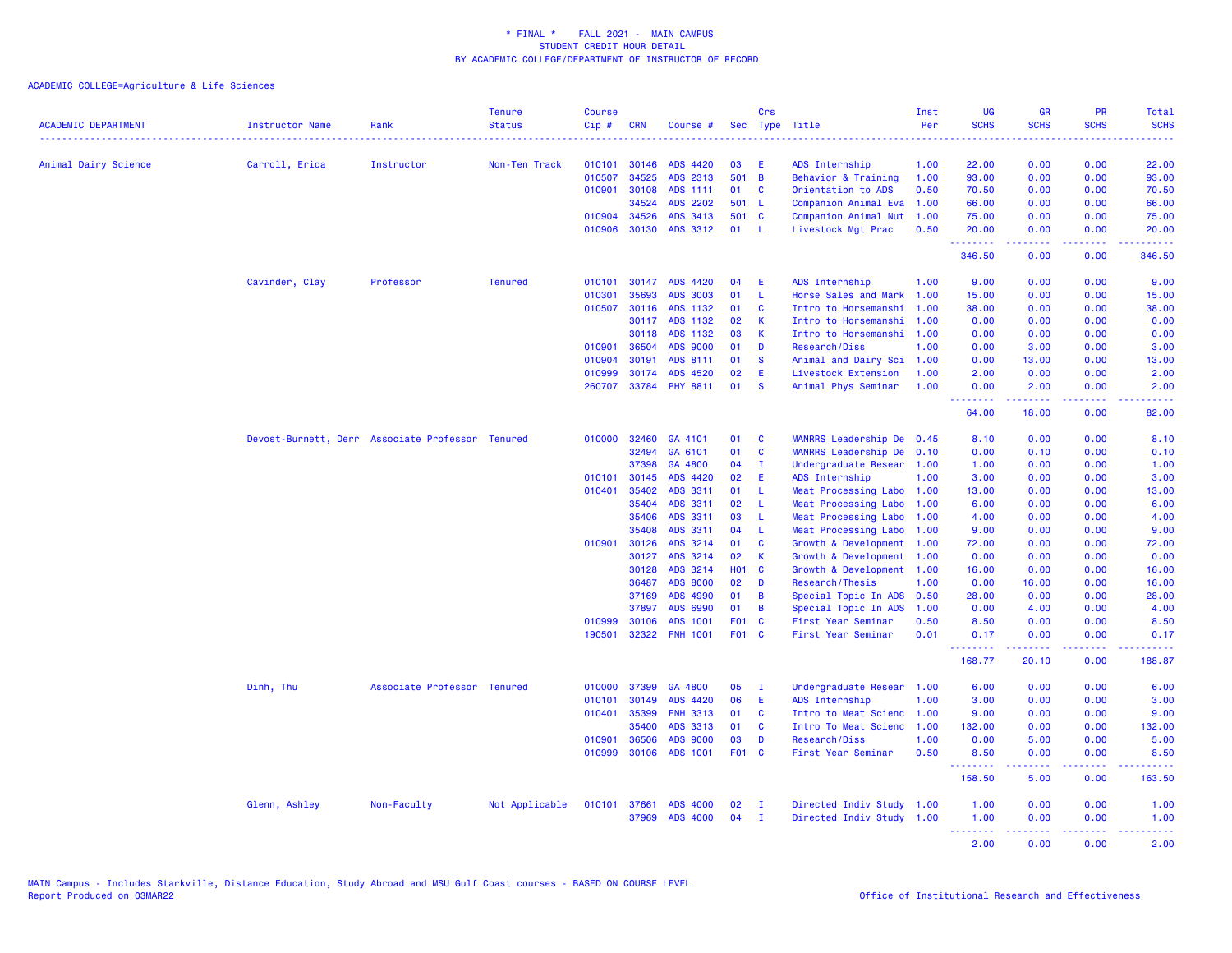| <b>ACADEMIC DEPARTMENT</b> | <b>Instructor Name</b> | Rank                                             | <b>Tenure</b><br><b>Status</b> | <b>Course</b><br>Cip# | <b>CRN</b> |                 |                 | Crs          | Sec Type Title            | Inst<br>Per | <b>UG</b><br><b>SCHS</b>                            | <b>GR</b><br><b>SCHS</b> | PR<br><b>SCHS</b> | Total<br><b>SCHS</b>                                                                                                                                 |
|----------------------------|------------------------|--------------------------------------------------|--------------------------------|-----------------------|------------|-----------------|-----------------|--------------|---------------------------|-------------|-----------------------------------------------------|--------------------------|-------------------|------------------------------------------------------------------------------------------------------------------------------------------------------|
|                            |                        |                                                  | <u>.</u>                       |                       |            | Course #        |                 |              |                           |             |                                                     |                          | .                 | $\frac{1}{2} \left( \frac{1}{2} \right) \left( \frac{1}{2} \right) \left( \frac{1}{2} \right) \left( \frac{1}{2} \right) \left( \frac{1}{2} \right)$ |
| Animal Dairy Science       | Carroll, Erica         | Instructor                                       | Non-Ten Track                  | 010101                | 30146      | ADS 4420        | 03              | Æ            | ADS Internship            | 1.00        | 22.00                                               | 0.00                     | 0.00              | 22.00                                                                                                                                                |
|                            |                        |                                                  |                                | 010507                | 34525      | ADS 2313        | 501             | B            | Behavior & Training       | 1.00        | 93.00                                               | 0.00                     | 0.00              | 93.00                                                                                                                                                |
|                            |                        |                                                  |                                | 010901                | 30108      | ADS 1111        | 01              | C            | Orientation to ADS        | 0.50        | 70.50                                               | 0.00                     | 0.00              | 70.50                                                                                                                                                |
|                            |                        |                                                  |                                |                       | 34524      | <b>ADS 2202</b> | 501 L           |              | Companion Animal Eva      | 1.00        | 66.00                                               | 0.00                     | 0.00              | 66.00                                                                                                                                                |
|                            |                        |                                                  |                                | 010904                | 34526      | ADS 3413        | 501             | <b>C</b>     | Companion Animal Nut      | 1.00        | 75.00                                               | 0.00                     | 0.00              | 75.00                                                                                                                                                |
|                            |                        |                                                  |                                | 010906                | 30130      | ADS 3312        | 01              | -L           | Livestock Mgt Prac        | 0.50        | 20.00                                               | 0.00                     | 0.00              | 20.00                                                                                                                                                |
|                            |                        |                                                  |                                |                       |            |                 |                 |              |                           |             | .<br>346.50                                         | 22222<br>0.00            | 22222<br>0.00     | .<br>346.50                                                                                                                                          |
|                            | Cavinder, Clay         | Professor                                        | <b>Tenured</b>                 | 010101                | 30147      | ADS 4420        | 04              | E            | ADS Internship            | 1.00        | 9.00                                                | 0.00                     | 0.00              | 9.00                                                                                                                                                 |
|                            |                        |                                                  |                                | 010301                | 35693      | <b>ADS 3003</b> | 01              | -L.          | Horse Sales and Mark      | 1.00        | 15.00                                               | 0.00                     | 0.00              | 15.00                                                                                                                                                |
|                            |                        |                                                  |                                | 010507                | 30116      | ADS 1132        | 01              | $\mathbf{C}$ | Intro to Horsemanshi      | 1.00        | 38.00                                               | 0.00                     | 0.00              | 38.00                                                                                                                                                |
|                            |                        |                                                  |                                |                       | 30117      | ADS 1132        | 02              | К            | Intro to Horsemanshi      | 1.00        | 0.00                                                | 0.00                     | 0.00              | 0.00                                                                                                                                                 |
|                            |                        |                                                  |                                |                       | 30118      | ADS 1132        | 03              | K            | Intro to Horsemanshi      | 1.00        | 0.00                                                | 0.00                     | 0.00              | 0.00                                                                                                                                                 |
|                            |                        |                                                  |                                | 010901                | 36504      | <b>ADS 9000</b> | 01              | D            | Research/Diss             | 1.00        | 0.00                                                | 3.00                     | 0.00              | 3.00                                                                                                                                                 |
|                            |                        |                                                  |                                | 010904                | 30191      | ADS 8111        | 01              | <b>S</b>     | Animal and Dairy Sci      | 1.00        | 0.00                                                | 13.00                    | 0.00              | 13.00                                                                                                                                                |
|                            |                        |                                                  |                                | 010999                | 30174      | ADS 4520        | 02              | Ε            | Livestock Extension       | 1.00        | 2.00                                                | 0.00                     | 0.00              | 2.00                                                                                                                                                 |
|                            |                        |                                                  |                                | 260707                |            | 33784 PHY 8811  | 01              | <b>S</b>     | Animal Phys Seminar       | 1.00        | 0.00                                                | 2.00                     | 0.00              | 2.00                                                                                                                                                 |
|                            |                        |                                                  |                                |                       |            |                 |                 |              |                           |             | <b><i><u><u> - - - - - - -</u></u></i></b><br>64.00 | د د د د د<br>18.00       | .<br>0.00         | $\frac{1}{2} \left( \frac{1}{2} \right) \left( \frac{1}{2} \right) \left( \frac{1}{2} \right) \left( \frac{1}{2} \right)$<br>82.00                   |
|                            |                        | Devost-Burnett, Derr Associate Professor Tenured |                                | 010000                | 32460      | GA 4101         | 01              | <b>C</b>     | MANRRS Leadership De      | 0.45        | 8.10                                                | 0.00                     | 0.00              | 8.10                                                                                                                                                 |
|                            |                        |                                                  |                                |                       | 32494      | GA 6101         | 01              | C            | MANRRS Leadership De      | 0.10        | 0.00                                                | 0.10                     | 0.00              | 0.10                                                                                                                                                 |
|                            |                        |                                                  |                                |                       | 37398      | GA 4800         | 04              | $\mathbf{I}$ | Undergraduate Resear 1.00 |             | 1.00                                                | 0.00                     | 0.00              | 1.00                                                                                                                                                 |
|                            |                        |                                                  |                                | 010101                | 30145      | ADS 4420        | 02              | E            | ADS Internship            | 1.00        | 3.00                                                | 0.00                     | 0.00              | 3.00                                                                                                                                                 |
|                            |                        |                                                  |                                | 010401                | 35402      | ADS 3311        | 01              | L            | Meat Processing Labo      | 1.00        | 13.00                                               | 0.00                     | 0.00              | 13.00                                                                                                                                                |
|                            |                        |                                                  |                                |                       | 35404      | ADS 3311        | 02              | -L.          | Meat Processing Labo      | 1.00        | 6.00                                                | 0.00                     | 0.00              | 6.00                                                                                                                                                 |
|                            |                        |                                                  |                                |                       | 35406      | ADS 3311        | 03              | -L           | Meat Processing Labo      | 1.00        | 4.00                                                | 0.00                     | 0.00              | 4.00                                                                                                                                                 |
|                            |                        |                                                  |                                |                       | 35408      | ADS 3311        | 04              | <b>L</b>     | Meat Processing Labo      | 1.00        | 9.00                                                | 0.00                     | 0.00              | 9.00                                                                                                                                                 |
|                            |                        |                                                  |                                | 010901                | 30126      | ADS 3214        | 01              | C            | Growth & Development      | 1.00        | 72.00                                               | 0.00                     | 0.00              | 72.00                                                                                                                                                |
|                            |                        |                                                  |                                |                       | 30127      | ADS 3214        | 02              | K            | Growth & Development 1.00 |             | 0.00                                                | 0.00                     | 0.00              | 0.00                                                                                                                                                 |
|                            |                        |                                                  |                                |                       | 30128      | ADS 3214        | <b>HO1</b>      | $\mathbf{C}$ | Growth & Development 1.00 |             | 16.00                                               | 0.00                     | 0.00              | 16.00                                                                                                                                                |
|                            |                        |                                                  |                                |                       | 36487      | <b>ADS 8000</b> | 02              | D            | Research/Thesis           | 1.00        | 0.00                                                | 16.00                    | 0.00              | 16.00                                                                                                                                                |
|                            |                        |                                                  |                                |                       | 37169      | ADS 4990        | 01              | B            | Special Topic In ADS 0.50 |             | 28.00                                               | 0.00                     | 0.00              | 28.00                                                                                                                                                |
|                            |                        |                                                  |                                |                       | 37897      | ADS 6990        | 01              | B            | Special Topic In ADS      | 1.00        | 0.00                                                | 4.00                     | 0.00              | 4.00                                                                                                                                                 |
|                            |                        |                                                  |                                | 010999                | 30106      | ADS 1001        | F <sub>01</sub> | $\mathbf{C}$ | First Year Seminar        | 0.50        | 8.50                                                | 0.00                     | 0.00              | 8.50                                                                                                                                                 |
|                            |                        |                                                  |                                | 190501                | 32322      | <b>FNH 1001</b> | F01 C           |              | First Year Seminar        | 0.01        | 0.17<br>.                                           | 0.00<br>.                | 0.00<br>والمحامر  | 0.17                                                                                                                                                 |
|                            |                        |                                                  |                                |                       |            |                 |                 |              |                           |             | 168.77                                              | 20.10                    | 0.00              | 188.87                                                                                                                                               |
|                            | Dinh, Thu              | Associate Professor Tenured                      |                                | 010000                | 37399      | GA 4800         | 05              | - I          | Undergraduate Resear 1.00 |             | 6.00                                                | 0.00                     | 0.00              | 6.00                                                                                                                                                 |
|                            |                        |                                                  |                                | 010101                | 30149      | ADS 4420        | 06              | Ε            | ADS Internship            | 1.00        | 3.00                                                | 0.00                     | 0.00              | 3.00                                                                                                                                                 |
|                            |                        |                                                  |                                | 010401                | 35399      | <b>FNH 3313</b> | 01              | <b>C</b>     | Intro to Meat Scienc      | 1.00        | 9.00                                                | 0.00                     | 0.00              | 9.00                                                                                                                                                 |
|                            |                        |                                                  |                                |                       | 35400      | ADS 3313        | 01              | C            | Intro To Meat Scienc      | 1.00        | 132.00                                              | 0.00                     | 0.00              | 132.00                                                                                                                                               |
|                            |                        |                                                  |                                | 010901                | 36506      | <b>ADS 9000</b> | 03              | D            | Research/Diss             | 1.00        | 0.00                                                | 5.00                     | 0.00              | 5.00                                                                                                                                                 |
|                            |                        |                                                  |                                | 010999                | 30106      | ADS 1001        | F01 C           |              | First Year Seminar        | 0.50        | 8.50<br><b><i><u><u> - - - - - - -</u></u></i></b>  | 0.00<br>.                | 0.00<br>22222     | 8.50<br>.                                                                                                                                            |
|                            |                        |                                                  |                                |                       |            |                 |                 |              |                           |             | 158.50                                              | 5.00                     | 0.00              | 163.50                                                                                                                                               |
|                            | Glenn, Ashley          | Non-Faculty                                      | Not Applicable                 | 010101                | 37661      | <b>ADS 4000</b> | 02              | п            | Directed Indiv Study      | 1.00        | 1.00                                                | 0.00                     | 0.00              | 1.00                                                                                                                                                 |
|                            |                        |                                                  |                                |                       | 37969      | <b>ADS 4000</b> | 04              | п.           | Directed Indiv Study      | 1.00        | 1.00                                                | 0.00                     | 0.00              | 1.00                                                                                                                                                 |
|                            |                        |                                                  |                                |                       |            |                 |                 |              |                           |             | <b><i><u><u><b>Little Little</b></u></u></i></b>    | 22222                    | 22222             | والمستحيل                                                                                                                                            |
|                            |                        |                                                  |                                |                       |            |                 |                 |              |                           |             | 2.00                                                | 0.00                     | 0.00              | 2.00                                                                                                                                                 |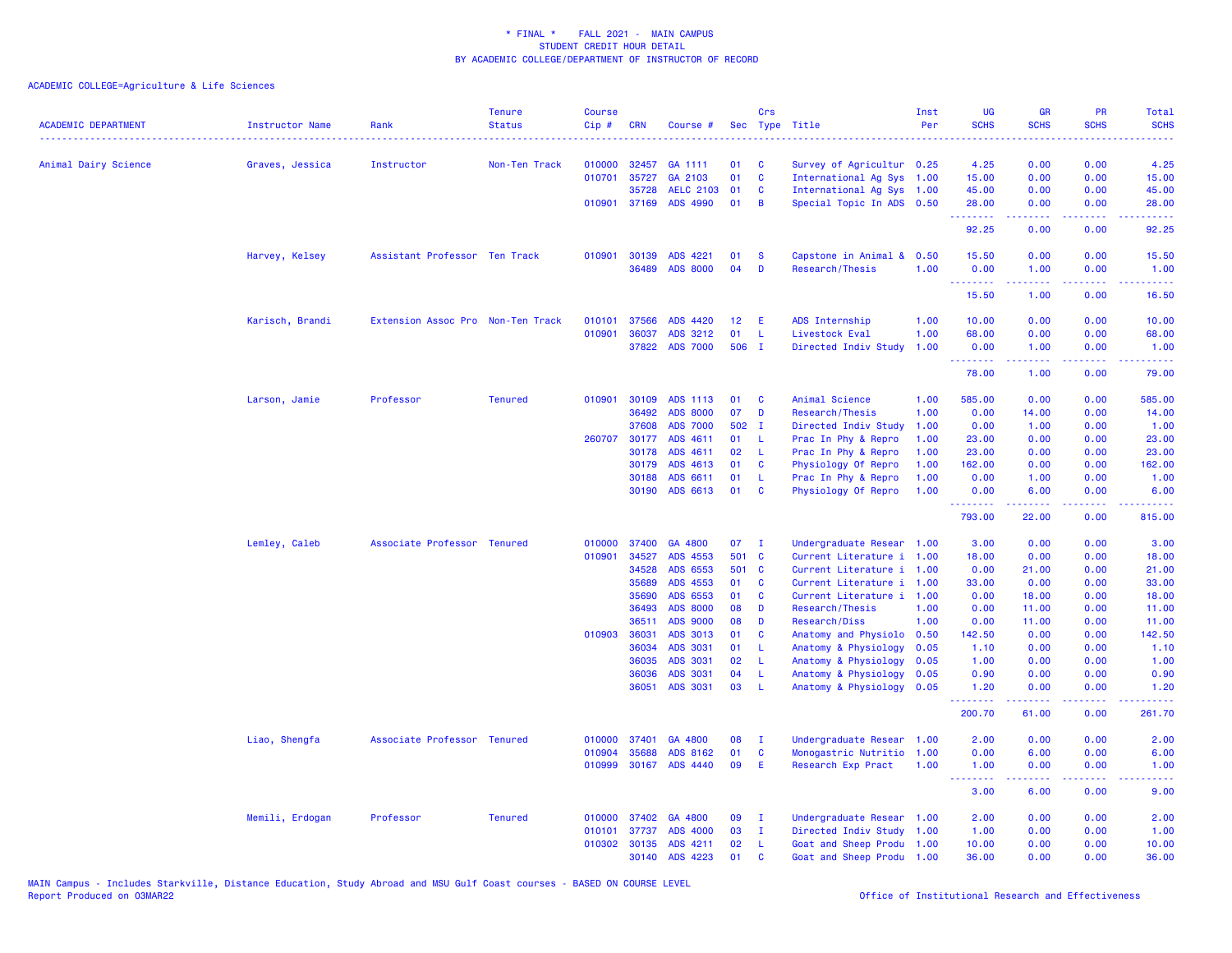| <b>ACADEMIC DEPARTMENT</b> | <b>Instructor Name</b> | Rank                              | <b>Tenure</b><br><b>Status</b> | <b>Course</b><br>Cip# | <b>CRN</b>     | Course #             |                 | Crs            | Sec Type Title                                    | Inst<br>Per | <b>UG</b><br><b>SCHS</b> | <b>GR</b><br><b>SCHS</b>                                                                                                                                     | <b>PR</b><br><b>SCHS</b>                                                                                                          | Total<br><b>SCHS</b><br>.                                                                                                                                      |
|----------------------------|------------------------|-----------------------------------|--------------------------------|-----------------------|----------------|----------------------|-----------------|----------------|---------------------------------------------------|-------------|--------------------------|--------------------------------------------------------------------------------------------------------------------------------------------------------------|-----------------------------------------------------------------------------------------------------------------------------------|----------------------------------------------------------------------------------------------------------------------------------------------------------------|
| Animal Dairy Science       | Graves, Jessica        | Instructor                        | Non-Ten Track                  | 010000                | 32457          | GA 1111              | 01              | <b>C</b>       | Survey of Agricultur 0.25                         |             | 4.25                     | 0.00                                                                                                                                                         | 0.00                                                                                                                              | 4.25                                                                                                                                                           |
|                            |                        |                                   |                                | 010701                | 35727          | GA 2103              | 01              | $\mathbf{C}$   | International Ag Sys 1.00                         |             | 15.00                    | 0.00                                                                                                                                                         | 0.00                                                                                                                              | 15.00                                                                                                                                                          |
|                            |                        |                                   |                                |                       | 35728          | <b>AELC 2103</b>     | 01              | $\mathbf{C}$   | International Ag Sys 1.00                         |             | 45.00                    | 0.00                                                                                                                                                         | 0.00                                                                                                                              | 45.00                                                                                                                                                          |
|                            |                        |                                   |                                |                       | 010901 37169   | ADS 4990             | 01              | $\overline{B}$ | Special Topic In ADS 0.50                         |             | 28.00<br>.               | 0.00<br>د د د د                                                                                                                                              | 0.00                                                                                                                              | 28.00                                                                                                                                                          |
|                            |                        |                                   |                                |                       |                |                      |                 |                |                                                   |             | 92.25                    | 0.00                                                                                                                                                         | 0.00                                                                                                                              | 92.25                                                                                                                                                          |
|                            | Harvey, Kelsey         | Assistant Professor Ten Track     |                                |                       | 010901 30139   | ADS 4221             | 01              | <b>S</b>       | Capstone in Animal & 0.50                         |             | 15.50                    | 0.00                                                                                                                                                         | 0.00                                                                                                                              | 15.50                                                                                                                                                          |
|                            |                        |                                   |                                |                       | 36489          | <b>ADS 8000</b>      | 04              | D              | Research/Thesis                                   | 1.00        | 0.00<br>.                | 1.00<br>.                                                                                                                                                    | 0.00                                                                                                                              | 1.00                                                                                                                                                           |
|                            |                        |                                   |                                |                       |                |                      |                 |                |                                                   |             | 15.50                    | 1.00                                                                                                                                                         | 0.00                                                                                                                              | 16.50                                                                                                                                                          |
|                            | Karisch, Brandi        | Extension Assoc Pro Non-Ten Track |                                | 010101                | 37566          | ADS 4420             | 12 <sub>2</sub> | -E             | ADS Internship                                    | 1.00        | 10.00                    | 0.00                                                                                                                                                         | 0.00                                                                                                                              | 10.00                                                                                                                                                          |
|                            |                        |                                   |                                | 010901                | 36037          | ADS 3212             | 01              | -L             | Livestock Eval                                    | 1.00        | 68.00                    | 0.00                                                                                                                                                         | 0.00                                                                                                                              | 68.00                                                                                                                                                          |
|                            |                        |                                   |                                |                       | 37822          | <b>ADS 7000</b>      | 506 I           |                | Directed Indiv Study                              | 1.00        | 0.00<br>.                | 1.00<br>.                                                                                                                                                    | 0.00                                                                                                                              | 1.00<br>.                                                                                                                                                      |
|                            |                        |                                   |                                |                       |                |                      |                 |                |                                                   |             | 78.00                    | 1.00                                                                                                                                                         | 0.00                                                                                                                              | 79.00                                                                                                                                                          |
|                            | Larson, Jamie          | Professor                         | <b>Tenured</b>                 | 010901                | 30109          | ADS 1113             | 01              | <b>C</b>       | Animal Science                                    | 1.00        | 585.00                   | 0.00                                                                                                                                                         | 0.00                                                                                                                              | 585.00                                                                                                                                                         |
|                            |                        |                                   |                                |                       | 36492          | <b>ADS 8000</b>      | 07              | D              | Research/Thesis                                   | 1.00        | 0.00                     | 14.00                                                                                                                                                        | 0.00                                                                                                                              | 14.00                                                                                                                                                          |
|                            |                        |                                   |                                |                       | 37608          | <b>ADS 7000</b>      | 502 I           |                | Directed Indiv Study                              | 1.00        | 0.00                     | 1.00                                                                                                                                                         | 0.00                                                                                                                              | 1.00                                                                                                                                                           |
|                            |                        |                                   |                                |                       | 260707 30177   | ADS 4611             | 01              | - 1            | Prac In Phy & Repro                               | 1.00        | 23.00                    | 0.00                                                                                                                                                         | 0.00                                                                                                                              | 23.00                                                                                                                                                          |
|                            |                        |                                   |                                |                       | 30178          | ADS 4611             | 02              | - L            | Prac In Phy & Repro                               | 1.00        | 23.00                    | 0.00                                                                                                                                                         | 0.00                                                                                                                              | 23.00                                                                                                                                                          |
|                            |                        |                                   |                                |                       | 30179          | ADS 4613             | 01              | $\mathbf{C}$   | Physiology Of Repro                               | 1.00        | 162.00                   | 0.00                                                                                                                                                         | 0.00                                                                                                                              | 162.00                                                                                                                                                         |
|                            |                        |                                   |                                |                       | 30188          | ADS 6611             | 01              | -L             | Prac In Phy & Repro                               | 1.00        | 0.00                     | 1.00                                                                                                                                                         | 0.00                                                                                                                              | 1.00                                                                                                                                                           |
|                            |                        |                                   |                                |                       | 30190          | ADS 6613             | 01              | <b>C</b>       | Physiology Of Repro                               | 1.00        | 0.00<br><u>.</u>         | 6.00<br>$\frac{1}{2} \left( \frac{1}{2} \right) \left( \frac{1}{2} \right) \left( \frac{1}{2} \right) \left( \frac{1}{2} \right) \left( \frac{1}{2} \right)$ | 0.00<br>$\frac{1}{2} \left( \frac{1}{2} \right) \left( \frac{1}{2} \right) \left( \frac{1}{2} \right) \left( \frac{1}{2} \right)$ | 6.00<br>.                                                                                                                                                      |
|                            |                        |                                   |                                |                       |                |                      |                 |                |                                                   |             | 793.00                   | 22.00                                                                                                                                                        | 0.00                                                                                                                              | 815.00                                                                                                                                                         |
|                            | Lemley, Caleb          | Associate Professor Tenured       |                                | 010000                | 37400          | GA 4800              | 07              | $\mathbf{I}$   | Undergraduate Resear 1.00                         |             | 3.00                     | 0.00                                                                                                                                                         | 0.00                                                                                                                              | 3.00                                                                                                                                                           |
|                            |                        |                                   |                                | 010901                | 34527          | ADS 4553             | 501 C           |                | Current Literature i 1.00                         |             | 18.00                    | 0.00                                                                                                                                                         | 0.00                                                                                                                              | 18.00                                                                                                                                                          |
|                            |                        |                                   |                                |                       | 34528          | ADS 6553             | 501 C           |                | Current Literature i 1.00                         |             | 0.00                     | 21.00                                                                                                                                                        | 0.00                                                                                                                              | 21.00                                                                                                                                                          |
|                            |                        |                                   |                                |                       | 35689          | ADS 4553             | 01              | <b>C</b>       | Current Literature i 1.00                         |             | 33.00                    | 0.00                                                                                                                                                         | 0.00                                                                                                                              | 33.00                                                                                                                                                          |
|                            |                        |                                   |                                |                       | 35690          | ADS 6553             | 01              | $\mathbf{C}$   | Current Literature i 1.00                         |             | 0.00                     | 18.00                                                                                                                                                        | 0.00                                                                                                                              | 18.00                                                                                                                                                          |
|                            |                        |                                   |                                |                       | 36493          | <b>ADS 8000</b>      | 08              | D              | Research/Thesis                                   | 1.00        | 0.00                     | 11.00                                                                                                                                                        | 0.00                                                                                                                              | 11.00                                                                                                                                                          |
|                            |                        |                                   |                                |                       | 36511          | ADS 9000             | 08              | D              | Research/Diss                                     | 1.00        | 0.00                     | 11.00                                                                                                                                                        | 0.00                                                                                                                              | 11.00                                                                                                                                                          |
|                            |                        |                                   |                                | 010903                | 36031          | ADS 3013             | 01              | $\mathbf{C}$   | Anatomy and Physiolo 0.50                         |             | 142.50                   | 0.00                                                                                                                                                         | 0.00                                                                                                                              | 142.50                                                                                                                                                         |
|                            |                        |                                   |                                |                       | 36034          | ADS 3031             | 01              | - L            | Anatomy & Physiology                              | 0.05        | 1.10                     | 0.00                                                                                                                                                         | 0.00                                                                                                                              | 1.10                                                                                                                                                           |
|                            |                        |                                   |                                |                       | 36035          | ADS 3031             | 02              | - L            | Anatomy & Physiology                              | 0.05        | 1.00                     | 0.00                                                                                                                                                         | 0.00                                                                                                                              | 1.00                                                                                                                                                           |
|                            |                        |                                   |                                |                       | 36036<br>36051 | ADS 3031<br>ADS 3031 | 04<br>03        | - L<br>- L     | Anatomy & Physiology<br>Anatomy & Physiology 0.05 | 0.05        | 0.90<br>1.20             | 0.00<br>0.00                                                                                                                                                 | 0.00<br>0.00                                                                                                                      | 0.90<br>1.20                                                                                                                                                   |
|                            |                        |                                   |                                |                       |                |                      |                 |                |                                                   |             | .<br>200.70              | .<br>61.00                                                                                                                                                   | .<br>0.00                                                                                                                         | $\frac{1}{2} \left( \frac{1}{2} \right) \left( \frac{1}{2} \right) \left( \frac{1}{2} \right) \left( \frac{1}{2} \right) \left( \frac{1}{2} \right)$<br>261.70 |
|                            |                        |                                   |                                |                       |                |                      |                 |                |                                                   |             |                          |                                                                                                                                                              |                                                                                                                                   |                                                                                                                                                                |
|                            | Liao, Shengfa          | Associate Professor Tenured       |                                | 010000                | 37401          | GA 4800              | 08              | $\mathbf I$    | Undergraduate Resear 1.00                         |             | 2.00                     | 0.00                                                                                                                                                         | 0.00                                                                                                                              | 2.00                                                                                                                                                           |
|                            |                        |                                   |                                | 010904                | 35688          | ADS 8162             | 01              | <b>C</b>       | Monogastric Nutritio 1.00                         |             | 0.00                     | 6.00                                                                                                                                                         | 0.00                                                                                                                              | 6.00                                                                                                                                                           |
|                            |                        |                                   |                                | 010999                | 30167          | <b>ADS 4440</b>      | 09              | -E             | Research Exp Pract                                | 1.00        | 1.00<br>.                | 0.00<br>.                                                                                                                                                    | 0.00<br>$\frac{1}{2} \left( \frac{1}{2} \right) \left( \frac{1}{2} \right) \left( \frac{1}{2} \right) \left( \frac{1}{2} \right)$ | 1.00                                                                                                                                                           |
|                            |                        |                                   |                                |                       |                |                      |                 |                |                                                   |             | 3.00                     | 6.00                                                                                                                                                         | 0.00                                                                                                                              | 9.00                                                                                                                                                           |
|                            | Memili, Erdogan        | Professor                         | <b>Tenured</b>                 | 010000                | 37402          | GA 4800              | 09              | $\mathbf I$    | Undergraduate Resear 1.00                         |             | 2.00                     | 0.00                                                                                                                                                         | 0.00                                                                                                                              | 2.00                                                                                                                                                           |
|                            |                        |                                   |                                | 010101                | 37737          | <b>ADS 4000</b>      | 03              | $\mathbf{I}$   | Directed Indiv Study 1.00                         |             | 1.00                     | 0.00                                                                                                                                                         | 0.00                                                                                                                              | 1.00                                                                                                                                                           |
|                            |                        |                                   |                                |                       | 010302 30135   | ADS 4211             | 02              | -L             | Goat and Sheep Produ 1.00                         |             | 10.00                    | 0.00                                                                                                                                                         | 0.00                                                                                                                              | 10.00                                                                                                                                                          |
|                            |                        |                                   |                                |                       | 30140          | ADS 4223             | 01              | $\mathbf{c}$   | Goat and Sheep Produ 1.00                         |             | 36.00                    | 0.00                                                                                                                                                         | 0.00                                                                                                                              | 36.00                                                                                                                                                          |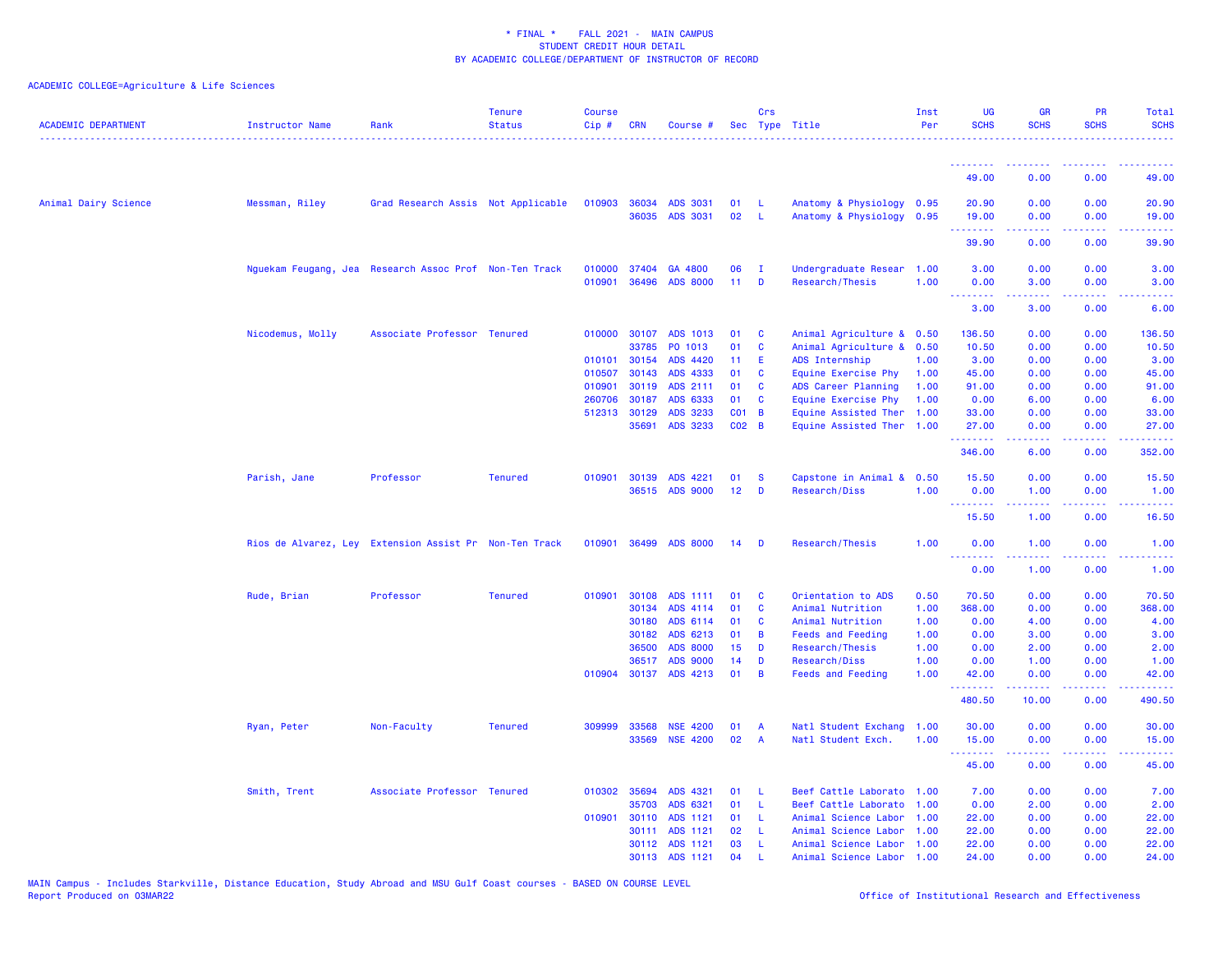| <b>ACADEMIC DEPARTMENT</b> | <b>Instructor Name</b> | Rank                                                   | <b>Tenure</b><br><b>Status</b> | <b>Course</b><br>$Cip \#$ | <b>CRN</b>                   | Course #                   |                       | Crs              | Sec Type Title                                    | Inst<br>Per  | UG<br><b>SCHS</b>       | <b>GR</b><br><b>SCHS</b> | <b>PR</b><br><b>SCHS</b>                                                                       | Total<br><b>SCHS</b>        |
|----------------------------|------------------------|--------------------------------------------------------|--------------------------------|---------------------------|------------------------------|----------------------------|-----------------------|------------------|---------------------------------------------------|--------------|-------------------------|--------------------------|------------------------------------------------------------------------------------------------|-----------------------------|
|                            |                        |                                                        |                                |                           |                              |                            |                       |                  |                                                   |              | .                       |                          |                                                                                                |                             |
|                            |                        |                                                        |                                |                           |                              |                            |                       |                  |                                                   |              | 49.00                   | 0.00                     | 0.00                                                                                           | 49.00                       |
| Animal Dairy Science       | Messman, Riley         | Grad Research Assis Not Applicable                     |                                | 010903 36034              | 36035                        | ADS 3031<br>ADS 3031       | 01<br>02              | -L<br>-L         | Anatomy & Physiology 0.95<br>Anatomy & Physiology | 0.95         | 20.90<br>19.00          | 0.00<br>0.00             | 0.00<br>0.00                                                                                   | 20.90<br>19.00              |
|                            |                        |                                                        |                                |                           |                              |                            |                       |                  |                                                   |              | د د د د د               |                          |                                                                                                |                             |
|                            |                        |                                                        |                                |                           |                              |                            |                       |                  |                                                   |              | 39.90                   | 0.00                     | 0.00                                                                                           | 39.90                       |
|                            |                        | Nguekam Feugang, Jea Research Assoc Prof Non-Ten Track |                                | 010000<br>010901          | 37404<br>36496               | GA 4800<br><b>ADS 8000</b> | 06<br>11 <sub>1</sub> | $\mathbf I$<br>D | Undergraduate Resear<br>Research/Thesis           | 1.00<br>1.00 | 3.00<br>0.00            | 0.00<br>3.00             | 0.00<br>0.00                                                                                   | 3.00<br>3.00                |
|                            |                        |                                                        |                                |                           |                              |                            |                       |                  |                                                   |              | .                       | د د د د                  | $\frac{1}{2} \left( \frac{1}{2} \right) \left( \frac{1}{2} \right) \left( \frac{1}{2} \right)$ | ----                        |
|                            |                        |                                                        |                                |                           |                              |                            |                       |                  |                                                   |              | 3.00                    | 3.00                     | 0.00                                                                                           | 6.00                        |
|                            | Nicodemus, Molly       | Associate Professor Tenured                            |                                |                           | 010000 30107                 | ADS 1013                   | 01                    | <b>C</b>         | Animal Agriculture & 0.50                         |              | 136.50                  | 0.00                     | 0.00                                                                                           | 136.50                      |
|                            |                        |                                                        |                                |                           | 33785                        | PO 1013                    | 01                    | C                | Animal Agriculture & 0.50                         |              | 10.50                   | 0.00                     | 0.00                                                                                           | 10.50                       |
|                            |                        |                                                        |                                |                           | 010101 30154                 | ADS 4420                   | 11 <sub>1</sub>       | E                | ADS Internship                                    | 1.00         | 3.00                    | 0.00                     | 0.00                                                                                           | 3.00                        |
|                            |                        |                                                        |                                | 010507                    | 30143                        | ADS 4333                   | 01                    | C                | Equine Exercise Phy                               | 1.00         | 45.00                   | 0.00                     | 0.00                                                                                           | 45.00                       |
|                            |                        |                                                        |                                | 010901                    | 30119                        | ADS 2111                   | 01<br>01              | <b>C</b><br>C    | ADS Career Planning                               | 1.00         | 91.00                   | 0.00                     | 0.00<br>0.00                                                                                   | 91.00                       |
|                            |                        |                                                        |                                |                           | 260706 30187<br>512313 30129 | ADS 6333<br>ADS 3233       | C01 B                 |                  | Equine Exercise Phy<br>Equine Assisted Ther       | 1.00<br>1.00 | 0.00<br>33.00           | 6.00<br>0.00             | 0.00                                                                                           | 6.00<br>33.00               |
|                            |                        |                                                        |                                |                           | 35691                        | ADS 3233                   | $CO2$ B               |                  | Equine Assisted Ther                              | 1.00         | 27.00                   | 0.00                     | 0.00                                                                                           | 27.00                       |
|                            |                        |                                                        |                                |                           |                              |                            |                       |                  |                                                   |              | .<br>346.00             | .<br>6.00                | $  -$<br>0.00                                                                                  | .<br>352.00                 |
|                            |                        |                                                        |                                |                           |                              |                            |                       |                  |                                                   |              |                         |                          |                                                                                                |                             |
|                            | Parish, Jane           | Professor                                              | <b>Tenured</b>                 |                           | 010901 30139                 | ADS 4221<br>36515 ADS 9000 | 01<br>12 <sub>2</sub> | <b>S</b><br>D    | Capstone in Animal &<br>Research/Diss             | 0.50<br>1.00 | 15.50<br>0.00           | 0.00<br>1.00             | 0.00<br>0.00                                                                                   | 15.50<br>1.00               |
|                            |                        |                                                        |                                |                           |                              |                            |                       |                  |                                                   |              | <u> - - - - - - - -</u> |                          | والمحامر                                                                                       | $\sim$ $\sim$ $\sim$ $\sim$ |
|                            |                        |                                                        |                                |                           |                              |                            |                       |                  |                                                   |              | 15.50                   | 1.00                     | 0.00                                                                                           | 16.50                       |
|                            |                        | Rios de Alvarez, Ley Extension Assist Pr Non-Ten Track |                                |                           |                              | 010901 36499 ADS 8000      | 14                    | D                | Research/Thesis                                   | 1.00         | 0.00<br>.               | 1.00<br>.                | 0.00<br>$\sim$ $\sim$ $\sim$ $\sim$                                                            | 1.00<br>.                   |
|                            |                        |                                                        |                                |                           |                              |                            |                       |                  |                                                   |              | 0.00                    | 1.00                     | 0.00                                                                                           | 1.00                        |
|                            | Rude, Brian            | Professor                                              | <b>Tenured</b>                 | 010901                    | 30108                        | ADS 1111                   | 01                    | C                | Orientation to ADS                                | 0.50         | 70.50                   | 0.00                     | 0.00                                                                                           | 70.50                       |
|                            |                        |                                                        |                                |                           | 30134                        | ADS 4114                   | 01                    | C                | Animal Nutrition                                  | 1.00         | 368.00                  | 0.00                     | 0.00                                                                                           | 368.00                      |
|                            |                        |                                                        |                                |                           | 30180                        | ADS 6114                   | 01                    | C                | Animal Nutrition                                  | 1.00         | 0.00                    | 4.00                     | 0.00                                                                                           | 4.00                        |
|                            |                        |                                                        |                                |                           | 30182                        | ADS 6213                   | 01                    | B                | <b>Feeds and Feeding</b>                          | 1.00         | 0.00                    | 3.00                     | 0.00                                                                                           | 3.00                        |
|                            |                        |                                                        |                                |                           | 36500                        | <b>ADS 8000</b>            | 15 <sub>15</sub>      | D                | Research/Thesis                                   | 1.00         | 0.00                    | 2.00                     | 0.00                                                                                           | 2.00                        |
|                            |                        |                                                        |                                |                           | 36517                        | <b>ADS 9000</b>            | 14                    | D                | Research/Diss                                     | 1.00         | 0.00                    | 1.00                     | 0.00                                                                                           | 1.00                        |
|                            |                        |                                                        |                                |                           |                              | 010904 30137 ADS 4213      | 01                    | B                | <b>Feeds and Feeding</b>                          | 1.00         | 42.00<br>.              | 0.00<br>-----            | 0.00<br>.                                                                                      | 42.00<br>.                  |
|                            |                        |                                                        |                                |                           |                              |                            |                       |                  |                                                   |              | 480.50                  | 10.00                    | 0.00                                                                                           | 490.50                      |
|                            | Ryan, Peter            | Non-Faculty                                            | <b>Tenured</b>                 | 309999                    | 33568                        | <b>NSE 4200</b>            | 01                    | $\overline{A}$   | Natl Student Exchang                              | 1.00         | 30.00                   | 0.00                     | 0.00                                                                                           | 30.00                       |
|                            |                        |                                                        |                                |                           | 33569                        | <b>NSE 4200</b>            | 02                    | <b>A</b>         | Natl Student Exch.                                | 1.00         | 15.00<br>.              | 0.00                     | 0.00<br>$\sim$ $\sim$ $\sim$                                                                   | 15.00                       |
|                            |                        |                                                        |                                |                           |                              |                            |                       |                  |                                                   |              | 45.00                   | 0.00                     | 0.00                                                                                           | 45.00                       |
|                            | Smith, Trent           | Associate Professor Tenured                            |                                |                           | 010302 35694                 | ADS 4321                   | 01                    | L                | Beef Cattle Laborato                              | 1.00         | 7.00                    | 0.00                     | 0.00                                                                                           | 7.00                        |
|                            |                        |                                                        |                                |                           | 35703                        | ADS 6321                   | 01                    | L                | Beef Cattle Laborato                              | 1.00         | 0.00                    | 2.00                     | 0.00                                                                                           | 2.00                        |
|                            |                        |                                                        |                                |                           | 010901 30110                 | ADS 1121                   | 01                    | L                | Animal Science Labor                              | 1.00         | 22.00                   | 0.00                     | 0.00                                                                                           | 22.00                       |
|                            |                        |                                                        |                                |                           | 30111                        | ADS 1121                   | 02                    | -L               | Animal Science Labor                              | 1.00         | 22.00                   | 0.00                     | 0.00                                                                                           | 22.00                       |
|                            |                        |                                                        |                                |                           |                              | 30112 ADS 1121             | 03                    | L                | Animal Science Labor 1.00                         |              | 22.00                   | 0.00                     | 0.00                                                                                           | 22.00                       |
|                            |                        |                                                        |                                |                           |                              | 30113 ADS 1121             | 04                    |                  | Animal Science Labor 1.00                         |              | 24.00                   | 0.00                     | 0.00                                                                                           | 24.00                       |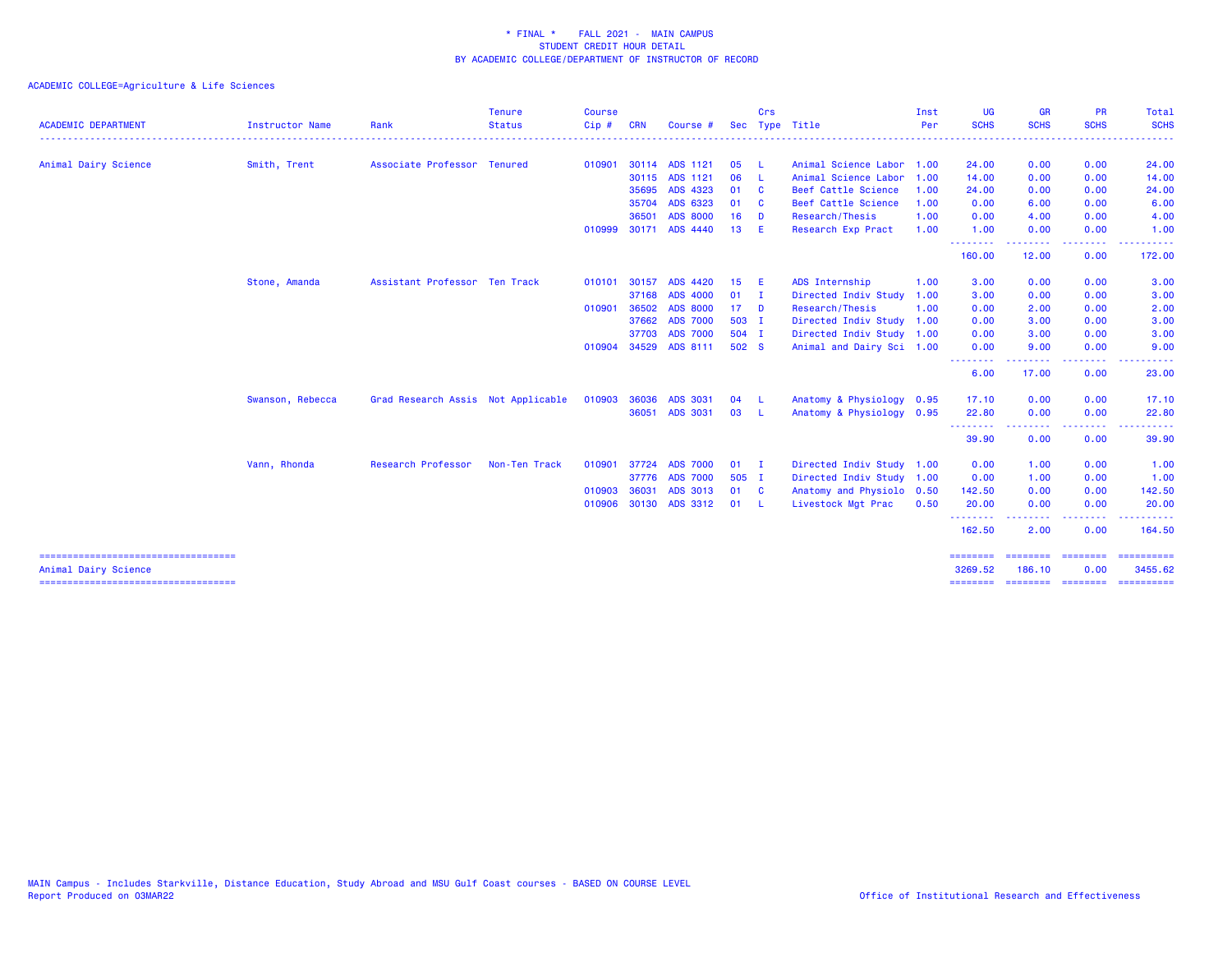| <b>ACADEMIC DEPARTMENT</b> | <b>Instructor Name</b> | Rank                               | <b>Tenure</b><br><b>Status</b> | <b>Course</b><br>$Cip$ # | <b>CRN</b> | Course #        | <b>Sec</b>      | Crs            | Type Title                | Inst<br>Per | <b>UG</b><br><b>SCHS</b>                              | <b>GR</b><br><b>SCHS</b> | <b>PR</b><br><b>SCHS</b>                                                                               | Total<br><b>SCHS</b>      |
|----------------------------|------------------------|------------------------------------|--------------------------------|--------------------------|------------|-----------------|-----------------|----------------|---------------------------|-------------|-------------------------------------------------------|--------------------------|--------------------------------------------------------------------------------------------------------|---------------------------|
|                            |                        |                                    |                                |                          |            |                 |                 |                |                           |             |                                                       |                          |                                                                                                        |                           |
| Animal Dairy Science       | Smith, Trent           | Associate Professor Tenured        |                                | 010901                   |            | 30114 ADS 1121  | 05              | - L            | Animal Science Labor 1.00 |             | 24.00                                                 | 0.00                     | 0.00                                                                                                   | 24.00                     |
|                            |                        |                                    |                                |                          |            | 30115 ADS 1121  | 06              | - 1.           | Animal Science Labor      | 1.00        | 14.00                                                 | 0.00                     | 0.00                                                                                                   | 14.00                     |
|                            |                        |                                    |                                |                          | 35695      | ADS 4323        | 01              | <b>C</b>       | Beef Cattle Science       | 1.00        | 24.00                                                 | 0.00                     | 0.00                                                                                                   | 24.00                     |
|                            |                        |                                    |                                |                          | 35704      | ADS 6323        | 01              | <b>C</b>       | Beef Cattle Science       | 1.00        | 0.00                                                  | 6.00                     | 0.00                                                                                                   | 6.00                      |
|                            |                        |                                    |                                |                          | 36501      | <b>ADS 8000</b> | 16              | <b>D</b>       | Research/Thesis           | 1.00        | 0.00                                                  | 4.00                     | 0.00                                                                                                   | 4.00                      |
|                            |                        |                                    |                                | 010999                   |            | 30171 ADS 4440  | 13              | E              | Research Exp Pract        | 1.00        | 1.00                                                  | 0.00                     | 0.00                                                                                                   | 1.00                      |
|                            |                        |                                    |                                |                          |            |                 |                 |                |                           |             | --------<br>160.00                                    | 12.00                    | $\frac{1}{2} \left( \frac{1}{2} \right) \left( \frac{1}{2} \right) \left( \frac{1}{2} \right)$<br>0.00 | 172.00                    |
|                            | Stone, Amanda          | Assistant Professor Ten Track      |                                | 010101                   | 30157      | ADS 4420        | 15              | - E            | ADS Internship            | 1.00        | 3.00                                                  | 0.00                     | 0.00                                                                                                   | 3.00                      |
|                            |                        |                                    |                                |                          | 37168      | <b>ADS 4000</b> | 01              | $\blacksquare$ | Directed Indiv Study      | 1.00        | 3.00                                                  | 0.00                     | 0.00                                                                                                   | 3.00                      |
|                            |                        |                                    |                                | 010901                   | 36502      | <b>ADS 8000</b> | 17 <sup>2</sup> | - D            | Research/Thesis           | 1.00        | 0.00                                                  | 2.00                     | 0.00                                                                                                   | 2.00                      |
|                            |                        |                                    |                                |                          | 37662      | <b>ADS 7000</b> | 503 I           |                | Directed Indiv Study 1.00 |             | 0.00                                                  | 3.00                     | 0.00                                                                                                   | 3.00                      |
|                            |                        |                                    |                                |                          |            | 37703 ADS 7000  | 504 I           |                | Directed Indiv Study 1.00 |             | 0.00                                                  | 3.00                     | 0.00                                                                                                   | 3.00                      |
|                            |                        |                                    |                                | 010904                   |            | 34529 ADS 8111  | 502 S           |                | Animal and Dairy Sci 1.00 |             | 0.00                                                  | 9.00                     | 0.00                                                                                                   | 9.00                      |
|                            |                        |                                    |                                |                          |            |                 |                 |                |                           |             | --------<br>6.00                                      | .<br>17.00               | .<br>0.00                                                                                              | 23.00                     |
|                            | Swanson, Rebecca       | Grad Research Assis Not Applicable |                                | 010903                   | 36036      | ADS 3031        | 04              | - L            | Anatomy & Physiology 0.95 |             | 17.10                                                 | 0.00                     | 0.00                                                                                                   | 17.10                     |
|                            |                        |                                    |                                |                          | 36051      | ADS 3031        | 03              | - L            | Anatomy & Physiology 0.95 |             | 22.80                                                 | 0.00                     | 0.00                                                                                                   | 22.80                     |
|                            |                        |                                    |                                |                          |            |                 |                 |                |                           |             | <b><i><u><u> - - - - - - - -</u></u></i></b><br>39.90 | . <u>.</u><br>0.00       | .<br>0.00                                                                                              | . <b>.</b> .<br>39.90     |
|                            | Vann, Rhonda           | Research Professor                 | Non-Ten Track                  | 010901                   | 37724      | <b>ADS 7000</b> | 01              | $\blacksquare$ | Directed Indiv Study 1.00 |             | 0.00                                                  | 1.00                     | 0.00                                                                                                   | 1.00                      |
|                            |                        |                                    |                                |                          | 37776      | <b>ADS 7000</b> | 505 I           |                | Directed Indiv Study 1.00 |             | 0.00                                                  | 1.00                     | 0.00                                                                                                   | 1.00                      |
|                            |                        |                                    |                                | 010903                   | 36031      | ADS 3013        | 01              | $\mathbf{C}$   | Anatomy and Physiolo 0.50 |             | 142.50                                                | 0.00                     | 0.00                                                                                                   | 142.50                    |
|                            |                        |                                    |                                | 010906                   |            | 30130 ADS 3312  | 01              | - 1.           | Livestock Mgt Prac        | 0.50        | 20.00                                                 | 0.00                     | 0.00                                                                                                   | 20.00                     |
|                            |                        |                                    |                                |                          |            |                 |                 |                |                           |             | .<br>162.50                                           | 2.00                     | ----<br>0.00                                                                                           | 164.50                    |
| Animal Dairy Science       |                        |                                    |                                |                          |            |                 |                 |                |                           |             | $=$ = = = = = = =<br>3269.52                          | ========<br>186.10       | ---------<br>0.00                                                                                      | $=$ ==========<br>3455.62 |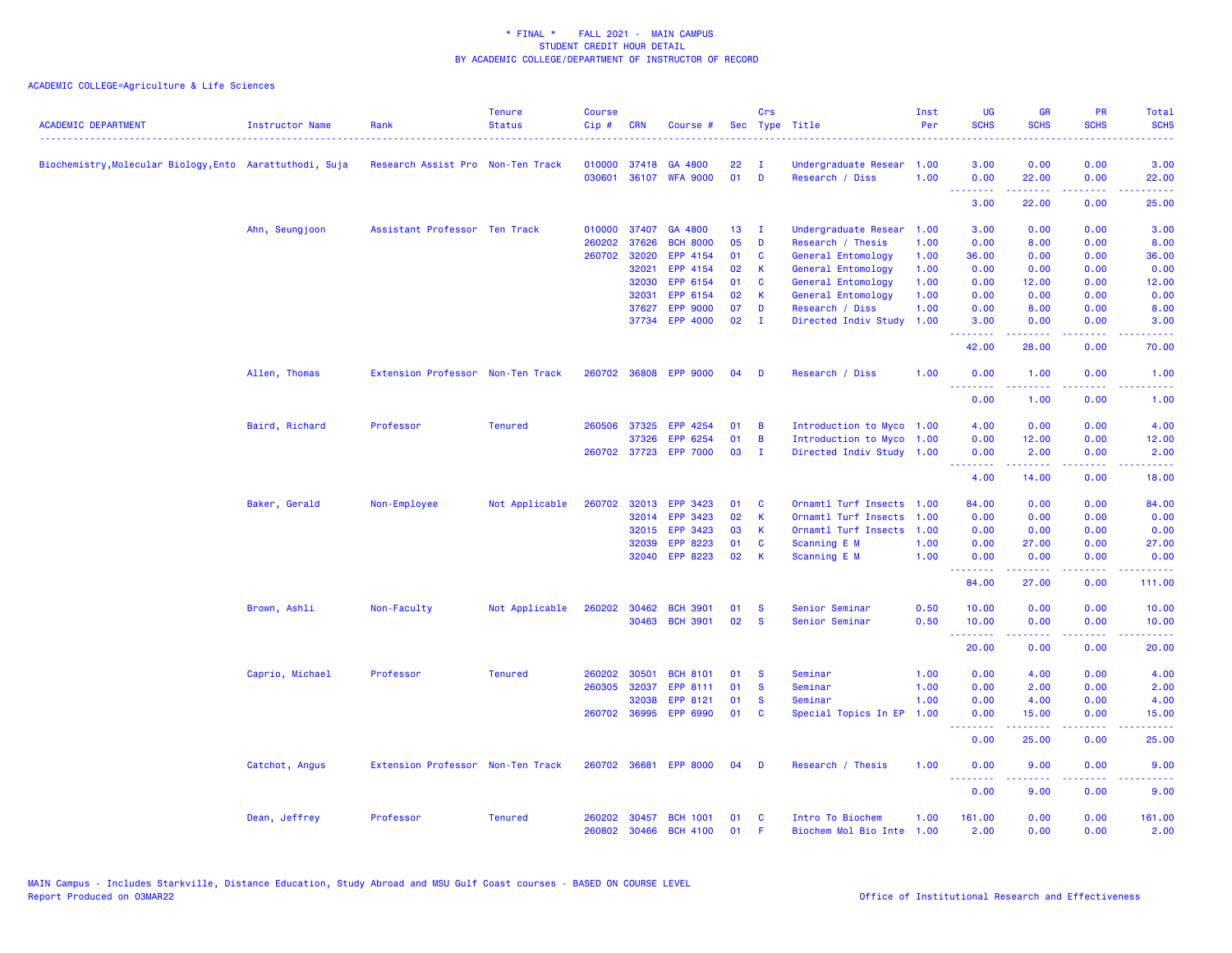| <b>ACADEMIC DEPARTMENT</b>                             | <b>Instructor Name</b> | Rank                              | <b>Tenure</b><br><b>Status</b> | <b>Course</b><br>Cip# | <b>CRN</b>   | Course #        |    | Crs          | Sec Type Title            | Inst<br>Per | UG<br><b>SCHS</b> | <b>GR</b><br><b>SCHS</b>                                                                                                                                      | <b>PR</b><br><b>SCHS</b>                                                                                                          | Total<br><b>SCHS</b>                                                                                                               |
|--------------------------------------------------------|------------------------|-----------------------------------|--------------------------------|-----------------------|--------------|-----------------|----|--------------|---------------------------|-------------|-------------------|---------------------------------------------------------------------------------------------------------------------------------------------------------------|-----------------------------------------------------------------------------------------------------------------------------------|------------------------------------------------------------------------------------------------------------------------------------|
| Biochemistry,Molecular Biology,Ento Aarattuthodi, Suja |                        | Research Assist Pro Non-Ten Track |                                | 010000                | 37418        | GA 4800         | 22 | $\mathbf{I}$ | Undergraduate Resear      | 1.00        | 3.00              | 0.00                                                                                                                                                          | 0.00                                                                                                                              | 3.00                                                                                                                               |
|                                                        |                        |                                   |                                | 030601                | 36107        | <b>WFA 9000</b> | 01 | D            | Research / Diss           | 1.00        | 0.00              | 22.00                                                                                                                                                         | 0.00                                                                                                                              | 22.00                                                                                                                              |
|                                                        |                        |                                   |                                |                       |              |                 |    |              |                           |             | المتمامين<br>3.00 | $\frac{1}{2} \left( \frac{1}{2} \right) \left( \frac{1}{2} \right) \left( \frac{1}{2} \right) \left( \frac{1}{2} \right) \left( \frac{1}{2} \right)$<br>22.00 | $\frac{1}{2} \left( \frac{1}{2} \right) \left( \frac{1}{2} \right) \left( \frac{1}{2} \right) \left( \frac{1}{2} \right)$<br>0.00 | $\frac{1}{2} \left( \frac{1}{2} \right) \left( \frac{1}{2} \right) \left( \frac{1}{2} \right) \left( \frac{1}{2} \right)$<br>25.00 |
|                                                        | Ahn, Seungjoon         | Assistant Professor Ten Track     |                                | 010000                | 37407        | GA 4800         | 13 | $\mathbf{I}$ | Undergraduate Resear      | 1.00        | 3.00              | 0.00                                                                                                                                                          | 0.00                                                                                                                              | 3.00                                                                                                                               |
|                                                        |                        |                                   |                                | 260202                | 37626        | <b>BCH 8000</b> | 05 | D            | Research / Thesis         | 1.00        | 0.00              | 8.00                                                                                                                                                          | 0.00                                                                                                                              | 8.00                                                                                                                               |
|                                                        |                        |                                   |                                | 260702                | 32020        | EPP 4154        | 01 | C            | General Entomology        | 1.00        | 36.00             | 0.00                                                                                                                                                          | 0.00                                                                                                                              | 36.00                                                                                                                              |
|                                                        |                        |                                   |                                |                       | 32021        | EPP 4154        | 02 | К            | General Entomology        | 1.00        | 0.00              | 0.00                                                                                                                                                          | 0.00                                                                                                                              | 0.00                                                                                                                               |
|                                                        |                        |                                   |                                |                       | 32030        | EPP 6154        | 01 | C            | General Entomology        | 1.00        | 0.00              | 12.00                                                                                                                                                         | 0.00                                                                                                                              | 12.00                                                                                                                              |
|                                                        |                        |                                   |                                |                       | 32031        | EPP 6154        | 02 | $\mathsf{K}$ | General Entomology        | 1.00        | 0.00              | 0.00                                                                                                                                                          | 0.00                                                                                                                              | 0.00                                                                                                                               |
|                                                        |                        |                                   |                                |                       | 37627        | <b>EPP 9000</b> | 07 | D            | Research / Diss           | 1.00        | 0.00              | 8.00                                                                                                                                                          | 0.00                                                                                                                              | 8.00                                                                                                                               |
|                                                        |                        |                                   |                                |                       | 37734        | <b>EPP 4000</b> | 02 | $\mathbf{I}$ | Directed Indiv Study      | 1.00        | 3.00<br>.         | 0.00                                                                                                                                                          | 0.00<br>$\omega_{\rm{eff}}$ and $\omega_{\rm{eff}}$                                                                               | 3.00                                                                                                                               |
|                                                        |                        |                                   |                                |                       |              |                 |    |              |                           |             | 42.00             | 28.00                                                                                                                                                         | 0.00                                                                                                                              | 70.00                                                                                                                              |
|                                                        | Allen, Thomas          | Extension Professor Non-Ten Track |                                | 260702                | 36808        | <b>EPP 9000</b> | 04 | D            | Research / Diss           | 1.00        | 0.00<br>.         | 1.00                                                                                                                                                          | 0.00                                                                                                                              | 1.00                                                                                                                               |
|                                                        |                        |                                   |                                |                       |              |                 |    |              |                           |             | 0.00              | 22222<br>1.00                                                                                                                                                 | $\sim$ $\sim$ $\sim$<br>0.00                                                                                                      | $\frac{1}{2} \left( \frac{1}{2} \right) \left( \frac{1}{2} \right) \left( \frac{1}{2} \right) \left( \frac{1}{2} \right)$<br>1.00  |
|                                                        | Baird, Richard         | Professor                         | <b>Tenured</b>                 | 260506                | 37325        | EPP 4254        | 01 | B            | Introduction to Myco 1.00 |             | 4.00              | 0.00                                                                                                                                                          | 0.00                                                                                                                              | 4.00                                                                                                                               |
|                                                        |                        |                                   |                                |                       | 37326        | EPP 6254        | 01 | B            | Introduction to Myco 1.00 |             | 0.00              | 12.00                                                                                                                                                         | 0.00                                                                                                                              | 12.00                                                                                                                              |
|                                                        |                        |                                   |                                |                       | 260702 37723 | <b>EPP 7000</b> | 03 | $\mathbf{I}$ | Directed Indiv Study 1.00 |             | 0.00              | 2.00                                                                                                                                                          | 0.00                                                                                                                              | 2.00                                                                                                                               |
|                                                        |                        |                                   |                                |                       |              |                 |    |              |                           |             | <u>.</u><br>4.00  | المتمامين<br>14.00                                                                                                                                            | .<br>0.00                                                                                                                         | وعاعاتها<br>18.00                                                                                                                  |
|                                                        | Baker, Gerald          | Non-Employee                      | Not Applicable                 |                       | 260702 32013 | EPP 3423        | 01 | C            | Ornamtl Turf Insects      | 1.00        | 84.00             | 0.00                                                                                                                                                          | 0.00                                                                                                                              | 84.00                                                                                                                              |
|                                                        |                        |                                   |                                |                       | 32014        | EPP 3423        | 02 | К            | Ornamtl Turf Insects      | 1.00        | 0.00              | 0.00                                                                                                                                                          | 0.00                                                                                                                              | 0.00                                                                                                                               |
|                                                        |                        |                                   |                                |                       | 32015        | <b>EPP 3423</b> | 03 | $\mathsf{K}$ | Ornamtl Turf Insects      | 1.00        | 0.00              | 0.00                                                                                                                                                          | 0.00                                                                                                                              | 0.00                                                                                                                               |
|                                                        |                        |                                   |                                |                       | 32039        | EPP 8223        | 01 | C            | Scanning E M              | 1.00        | 0.00              | 27.00                                                                                                                                                         | 0.00                                                                                                                              | 27.00                                                                                                                              |
|                                                        |                        |                                   |                                |                       | 32040        | EPP 8223        | 02 | К            | Scanning E M              | 1.00        | 0.00              | 0.00                                                                                                                                                          | 0.00                                                                                                                              | 0.00                                                                                                                               |
|                                                        |                        |                                   |                                |                       |              |                 |    |              |                           |             | .<br>84.00        | $\frac{1}{2} \left( \frac{1}{2} \right) \left( \frac{1}{2} \right) \left( \frac{1}{2} \right) \left( \frac{1}{2} \right)$<br>27.00                            | ----<br>0.00                                                                                                                      | 111.00                                                                                                                             |
|                                                        | Brown, Ashli           | Non-Faculty                       | Not Applicable                 | 260202                | 30462        | <b>BCH 3901</b> | 01 | <b>S</b>     | Senior Seminar            | 0.50        | 10.00             | 0.00                                                                                                                                                          | 0.00                                                                                                                              | 10.00                                                                                                                              |
|                                                        |                        |                                   |                                |                       | 30463        | <b>BCH 3901</b> | 02 | <b>S</b>     | Senior Seminar            | 0.50        | 10.00<br>.        | 0.00<br>$\frac{1}{2} \left( \frac{1}{2} \right) \left( \frac{1}{2} \right) \left( \frac{1}{2} \right) \left( \frac{1}{2} \right) \left( \frac{1}{2} \right)$  | 0.00<br>.                                                                                                                         | 10.00<br>.                                                                                                                         |
|                                                        |                        |                                   |                                |                       |              |                 |    |              |                           |             | 20.00             | 0.00                                                                                                                                                          | 0.00                                                                                                                              | 20.00                                                                                                                              |
|                                                        | Caprio, Michael        | Professor                         | <b>Tenured</b>                 | 260202                | 30501        | <b>BCH 8101</b> | 01 | <b>S</b>     | Seminar                   | 1.00        | 0.00              | 4.00                                                                                                                                                          | 0.00                                                                                                                              | 4.00                                                                                                                               |
|                                                        |                        |                                   |                                | 260305 32037          |              | EPP 8111        | 01 | $\mathbf{s}$ | Seminar                   | 1.00        | 0.00              | 2.00                                                                                                                                                          | 0.00                                                                                                                              | 2.00                                                                                                                               |
|                                                        |                        |                                   |                                |                       | 32038        | EPP 8121        | 01 | -S           | Seminar                   | 1.00        | 0.00              | 4.00                                                                                                                                                          | 0.00                                                                                                                              | 4.00                                                                                                                               |
|                                                        |                        |                                   |                                |                       | 260702 36995 | EPP 6990        | 01 | C            | Special Topics In EP      | 1.00        | 0.00<br>.         | 15.00<br>.                                                                                                                                                    | 0.00                                                                                                                              | 15.00                                                                                                                              |
|                                                        |                        |                                   |                                |                       |              |                 |    |              |                           |             | 0.00              | 25.00                                                                                                                                                         | 0.00                                                                                                                              | 25.00                                                                                                                              |
|                                                        | Catchot, Angus         | Extension Professor Non-Ten Track |                                |                       | 260702 36681 | <b>EPP 8000</b> | 04 | D            | Research / Thesis         | 1.00        | 0.00              | 9.00                                                                                                                                                          | 0.00                                                                                                                              | 9.00                                                                                                                               |
|                                                        |                        |                                   |                                |                       |              |                 |    |              |                           |             | .<br>0.00         | بالأباب<br>9.00                                                                                                                                               | $\sim$ $\sim$ $\sim$ $\sim$<br>0.00                                                                                               | 9.00                                                                                                                               |
|                                                        | Dean, Jeffrey          | Professor                         | <b>Tenured</b>                 | 260202                | 30457        | <b>BCH 1001</b> | 01 | <b>C</b>     | Intro To Biochem          | 1.00        | 161.00            | 0.00                                                                                                                                                          | 0.00                                                                                                                              | 161.00                                                                                                                             |
|                                                        |                        |                                   |                                | 260802                | 30466        | <b>BCH 4100</b> | 01 |              | Biochem Mol Bio Inte      | 1.00        | 2.00              | 0.00                                                                                                                                                          | 0.00                                                                                                                              | 2.00                                                                                                                               |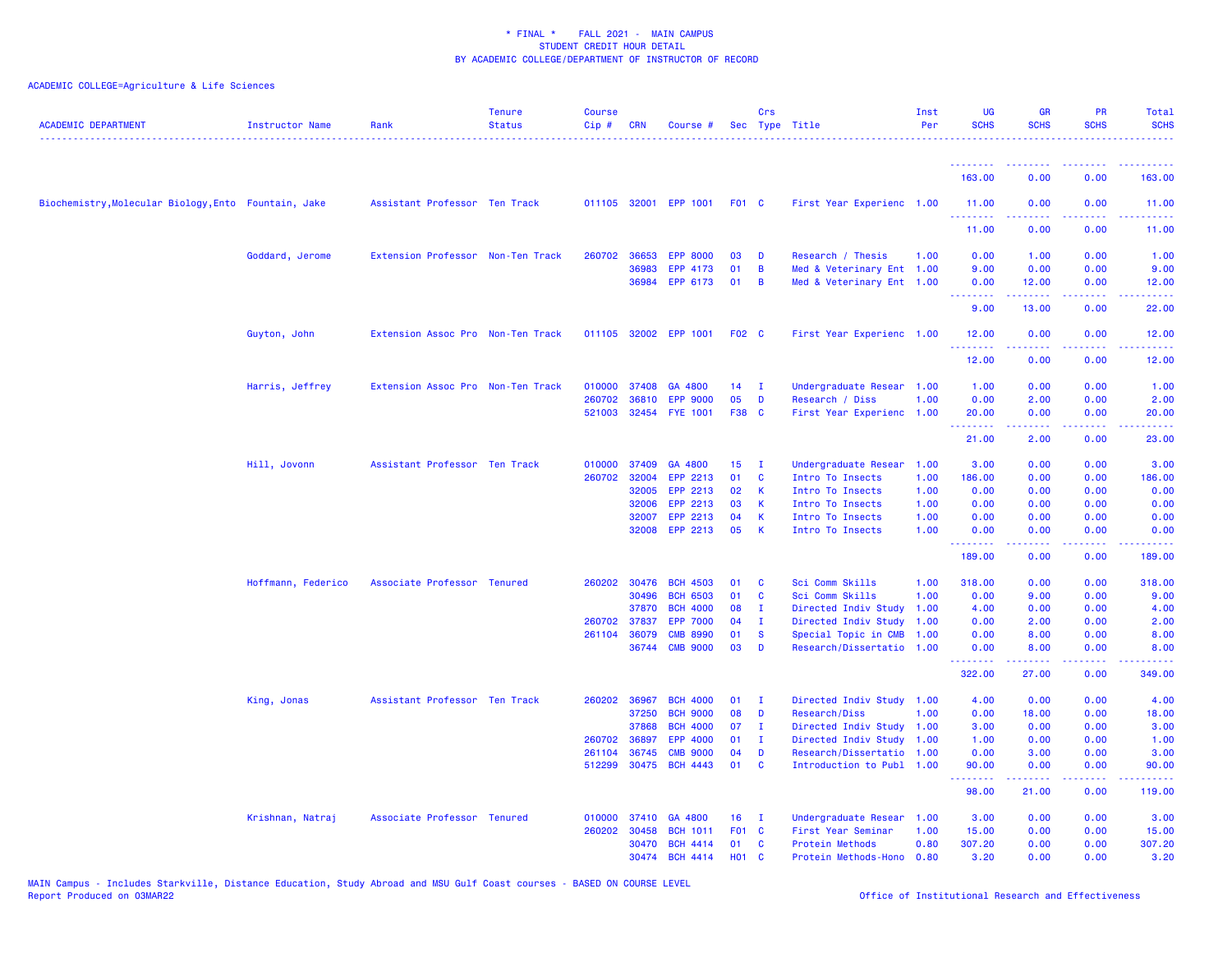| <b>ACADEMIC DEPARTMENT</b>                           | <b>Instructor Name</b> | Rank                              | <b>Tenure</b><br><b>Status</b> | <b>Course</b><br>$Cip \#$ | <b>CRN</b>   | Course #                           |                   | Crs               | Sec Type Title                                         | Inst<br>Per  | UG<br><b>SCHS</b> | <b>GR</b><br><b>SCHS</b> | <b>PR</b><br><b>SCHS</b>                                                                               | <b>Total</b><br><b>SCHS</b> |
|------------------------------------------------------|------------------------|-----------------------------------|--------------------------------|---------------------------|--------------|------------------------------------|-------------------|-------------------|--------------------------------------------------------|--------------|-------------------|--------------------------|--------------------------------------------------------------------------------------------------------|-----------------------------|
|                                                      |                        |                                   |                                |                           |              |                                    |                   |                   |                                                        |              |                   |                          |                                                                                                        |                             |
|                                                      |                        |                                   |                                |                           |              |                                    |                   |                   |                                                        |              | .<br>163.00       | --------<br>0.00         | 0.00                                                                                                   | 163.00                      |
| Biochemistry, Molecular Biology, Ento Fountain, Jake |                        | Assistant Professor Ten Track     |                                |                           |              | 011105 32001 EPP 1001              | <b>F01 C</b>      |                   | First Year Experienc 1.00                              |              | 11.00<br>.        | 0.00<br>.                | 0.00                                                                                                   | 11.00<br>المتمامي           |
|                                                      |                        |                                   |                                |                           |              |                                    |                   |                   |                                                        |              | 11.00             | 0.00                     | 0.00                                                                                                   | 11.00                       |
|                                                      | Goddard, Jerome        | Extension Professor Non-Ten Track |                                |                           | 260702 36653 | <b>EPP 8000</b>                    | 03                | D                 | Research / Thesis                                      | 1.00         | 0.00              | 1.00                     | 0.00                                                                                                   | 1.00                        |
|                                                      |                        |                                   |                                |                           | 36983        | EPP 4173                           | 01                | B                 | Med & Veterinary Ent 1.00                              |              | 9.00              | 0.00                     | 0.00                                                                                                   | 9.00                        |
|                                                      |                        |                                   |                                |                           | 36984        | EPP 6173                           | 01                | B                 | Med & Veterinary Ent 1.00                              |              | 0.00<br>.         | 12.00                    | 0.00<br>$\frac{1}{2} \left( \frac{1}{2} \right) \left( \frac{1}{2} \right) \left( \frac{1}{2} \right)$ | 12.00                       |
|                                                      |                        |                                   |                                |                           |              |                                    |                   |                   |                                                        |              | 9.00              | 13.00                    | 0.00                                                                                                   | 22.00                       |
|                                                      | Guyton, John           | Extension Assoc Pro Non-Ten Track |                                |                           |              | 011105 32002 EPP 1001              | F <sub>02</sub> C |                   | First Year Experienc 1.00                              |              | 12.00<br>.        | 0.00                     | 0.00<br>.                                                                                              | 12.00                       |
|                                                      |                        |                                   |                                |                           |              |                                    |                   |                   |                                                        |              | 12.00             | 0.00                     | 0.00                                                                                                   | 12.00                       |
|                                                      | Harris, Jeffrey        | Extension Assoc Pro Non-Ten Track |                                | 010000                    | 37408        | GA 4800                            | 14                | - I               | Undergraduate Resear 1.00                              |              | 1.00              | 0.00                     | 0.00                                                                                                   | 1.00                        |
|                                                      |                        |                                   |                                | 260702                    | 36810        | <b>EPP 9000</b>                    | 05                | D                 | Research / Diss                                        | 1.00         | 0.00              | 2.00                     | 0.00                                                                                                   | 2.00                        |
|                                                      |                        |                                   |                                |                           |              | 521003 32454 FYE 1001              | F38 C             |                   | First Year Experienc 1.00                              |              | 20.00<br><u>.</u> | 0.00<br>.                | 0.00<br>.                                                                                              | 20.00<br>.                  |
|                                                      |                        |                                   |                                |                           |              |                                    |                   |                   |                                                        |              | 21.00             | 2.00                     | 0.00                                                                                                   | 23.00                       |
|                                                      | Hill, Jovonn           | Assistant Professor Ten Track     |                                | 010000                    | 37409        | GA 4800                            | 15 <sub>1</sub>   | - I               | Undergraduate Resear                                   | 1.00         | 3.00              | 0.00                     | 0.00                                                                                                   | 3.00                        |
|                                                      |                        |                                   |                                |                           | 260702 32004 | EPP 2213                           | 01                | C                 | Intro To Insects                                       | 1.00         | 186.00            | 0.00                     | 0.00                                                                                                   | 186.00                      |
|                                                      |                        |                                   |                                |                           | 32005        | EPP 2213                           | 02                | K                 | Intro To Insects                                       | 1.00         | 0.00              | 0.00                     | 0.00                                                                                                   | 0.00                        |
|                                                      |                        |                                   |                                |                           | 32006        | EPP 2213                           | 03<br>04          | K                 | Intro To Insects                                       | 1.00         | 0.00              | 0.00                     | 0.00                                                                                                   | 0.00                        |
|                                                      |                        |                                   |                                |                           | 32007        | EPP 2213<br>32008 EPP 2213         | 05                | K<br>$\mathsf{K}$ | Intro To Insects<br>Intro To Insects                   | 1.00<br>1.00 | 0.00<br>0.00      | 0.00<br>0.00             | 0.00<br>0.00                                                                                           | 0.00<br>0.00                |
|                                                      |                        |                                   |                                |                           |              |                                    |                   |                   |                                                        |              | .                 |                          | $\sim$ $\sim$ $\sim$                                                                                   |                             |
|                                                      |                        |                                   |                                |                           |              |                                    |                   |                   |                                                        |              | 189.00            | 0.00                     | 0.00                                                                                                   | 189.00                      |
|                                                      | Hoffmann, Federico     | Associate Professor Tenured       |                                |                           |              | 260202 30476 BCH 4503              | 01                | <b>C</b>          | Sci Comm Skills                                        | 1.00         | 318.00            | 0.00                     | 0.00                                                                                                   | 318.00                      |
|                                                      |                        |                                   |                                |                           | 30496        | <b>BCH 6503</b>                    | 01                | C                 | Sci Comm Skills                                        | 1.00         | 0.00              | 9.00                     | 0.00                                                                                                   | 9.00                        |
|                                                      |                        |                                   |                                |                           | 37870        | <b>BCH 4000</b>                    | 08                | T                 | Directed Indiv Study                                   | 1.00         | 4.00              | 0.00                     | 0.00                                                                                                   | 4.00                        |
|                                                      |                        |                                   |                                |                           | 260702 37837 | <b>EPP 7000</b>                    | 04                | - 1               | Directed Indiv Study                                   | 1.00         | 0.00              | 2.00                     | 0.00                                                                                                   | 2.00                        |
|                                                      |                        |                                   |                                | 261104                    | 36079        | <b>CMB 8990</b><br><b>CMB 9000</b> | 01<br>03          | <b>S</b><br>D     | Special Topic in CMB                                   | 1.00         | 0.00              | 8.00                     | 0.00<br>0.00                                                                                           | 8.00                        |
|                                                      |                        |                                   |                                |                           | 36744        |                                    |                   |                   | Research/Dissertatio 1.00                              |              | 0.00<br>.         | 8.00<br>.                | .                                                                                                      | 8.00<br>.                   |
|                                                      |                        |                                   |                                |                           |              |                                    |                   |                   |                                                        |              | 322.00            | 27.00                    | 0.00                                                                                                   | 349.00                      |
|                                                      | King, Jonas            | Assistant Professor Ten Track     |                                |                           | 260202 36967 | <b>BCH 4000</b>                    | 01                | T                 | Directed Indiv Study 1.00                              |              | 4.00              | 0.00                     | 0.00                                                                                                   | 4.00                        |
|                                                      |                        |                                   |                                |                           | 37250        | <b>BCH 9000</b>                    | 08                | D                 | Research/Diss                                          | 1.00         | 0.00              | 18.00                    | 0.00                                                                                                   | 18.00                       |
|                                                      |                        |                                   |                                |                           | 37868        | <b>BCH 4000</b>                    | 07                | $\mathbf{I}$      | Directed Indiv Study 1.00                              |              | 3.00              | 0.00                     | 0.00                                                                                                   | 3.00                        |
|                                                      |                        |                                   |                                |                           | 260702 36897 | EPP 4000                           | 01                | $\mathbf{I}$<br>D | Directed Indiv Study 1.00                              |              | 1.00              | 0.00                     | 0.00                                                                                                   | 1.00                        |
|                                                      |                        |                                   |                                | 261104<br>512299          | 36745        | <b>CMB 9000</b><br>30475 BCH 4443  | 04<br>01          | $\mathbf{c}$      | Research/Dissertatio 1.00<br>Introduction to Publ 1.00 |              | 0.00<br>90.00     | 3.00<br>0.00             | 0.00<br>0.00                                                                                           | 3.00<br>90.00               |
|                                                      |                        |                                   |                                |                           |              |                                    |                   |                   |                                                        |              | .<br>98.00        | .<br>21.00               | .<br>0.00                                                                                              | .<br>119.00                 |
|                                                      | Krishnan, Natraj       | Associate Professor Tenured       |                                | 010000                    | 37410        | GA 4800                            | 16                | $\mathbf{I}$      | Undergraduate Resear                                   | 1.00         | 3.00              | 0.00                     | 0.00                                                                                                   | 3.00                        |
|                                                      |                        |                                   |                                | 260202                    | 30458        | <b>BCH 1011</b>                    | F01 C             |                   | First Year Seminar                                     | 1.00         | 15.00             | 0.00                     | 0.00                                                                                                   | 15.00                       |
|                                                      |                        |                                   |                                |                           |              | 30470 BCH 4414                     | 01                | C                 | Protein Methods                                        | 0.80         | 307.20            | 0.00                     | 0.00                                                                                                   | 307.20                      |
|                                                      |                        |                                   |                                |                           |              | 30474 RCH 4414                     | <b>HO1</b>        | - C               | Protein Methods-Hono                                   | 0.80         | 3.20              | 0.00                     | 0.00                                                                                                   | 3.20                        |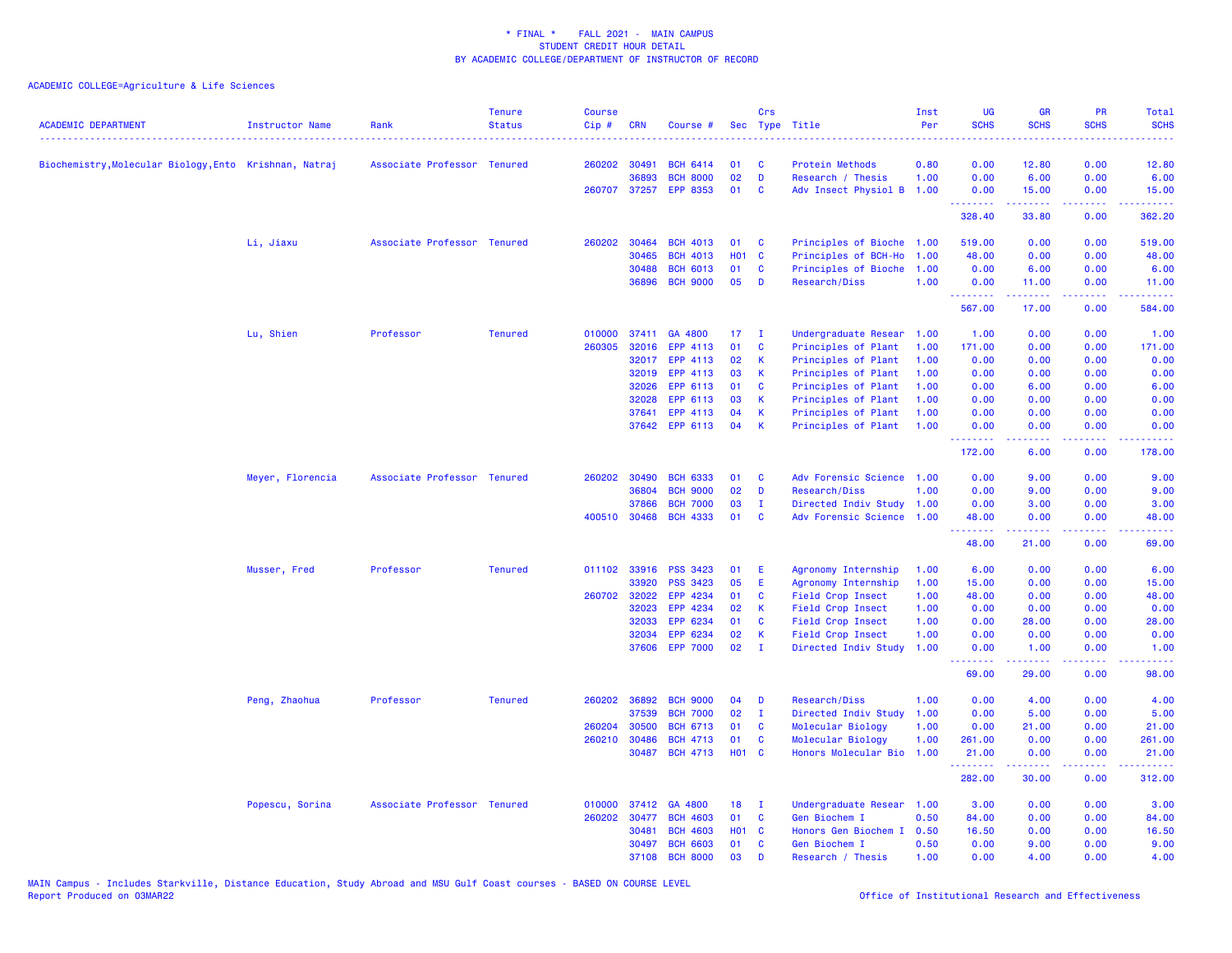| <b>ACADEMIC DEPARTMENT</b>                             | Instructor Name  | Rank                        | <b>Tenure</b><br><b>Status</b> | Course<br>Cip# | <b>CRN</b>   | Course #              |            | Crs          | Sec Type Title            | Inst<br>Per | UG<br><b>SCHS</b><br>. | <b>GR</b><br><b>SCHS</b>                                                                                                                                     | PR<br><b>SCHS</b> | Total<br><b>SCHS</b><br>والمستناط |
|--------------------------------------------------------|------------------|-----------------------------|--------------------------------|----------------|--------------|-----------------------|------------|--------------|---------------------------|-------------|------------------------|--------------------------------------------------------------------------------------------------------------------------------------------------------------|-------------------|-----------------------------------|
| Biochemistry, Molecular Biology, Ento Krishnan, Natraj |                  | Associate Professor Tenured |                                | 260202         | 30491        | <b>BCH 6414</b>       | 01         | C            | Protein Methods           | 0.80        | 0.00                   | 12.80                                                                                                                                                        | 0.00              | 12.80                             |
|                                                        |                  |                             |                                |                | 36893        | <b>BCH 8000</b>       | 02         | D            | Research / Thesis         | 1.00        | 0.00                   | 6.00                                                                                                                                                         | 0.00              | 6.00                              |
|                                                        |                  |                             |                                |                |              | 260707 37257 EPP 8353 | 01         | C            | Adv Insect Physiol B      | 1.00        | 0.00<br>.              | 15.00<br>المتمامين                                                                                                                                           | 0.00              | 15.00                             |
|                                                        |                  |                             |                                |                |              |                       |            |              |                           |             | 328.40                 | 33.80                                                                                                                                                        | بالأباء<br>0.00   | .<br>362.20                       |
|                                                        | Li, Jiaxu        | Associate Professor Tenured |                                | 260202         | 30464        | <b>BCH 4013</b>       | 01         | C            | Principles of Bioche 1.00 |             | 519.00                 | 0.00                                                                                                                                                         | 0.00              | 519.00                            |
|                                                        |                  |                             |                                |                | 30465        | <b>BCH 4013</b>       | <b>HO1</b> | $\mathbf{C}$ | Principles of BCH-Ho      | 1.00        | 48.00                  | 0.00                                                                                                                                                         | 0.00              | 48.00                             |
|                                                        |                  |                             |                                |                | 30488        | <b>BCH 6013</b>       | 01         | C            | Principles of Bioche      | 1.00        | 0.00                   | 6.00                                                                                                                                                         | 0.00              | 6.00                              |
|                                                        |                  |                             |                                |                | 36896        | <b>BCH 9000</b>       | 05         | D            | Research/Diss             | 1.00        | 0.00<br><u>.</u>       | 11.00<br>المستمعا                                                                                                                                            | 0.00<br>بالأباء   | 11.00<br>المتمامي                 |
|                                                        |                  |                             |                                |                |              |                       |            |              |                           |             | 567.00                 | 17.00                                                                                                                                                        | 0.00              | 584.00                            |
|                                                        | Lu, Shien        | Professor                   | <b>Tenured</b>                 | 010000         | 37411        | GA 4800               | 17         | $\mathbf{I}$ | Undergraduate Resear      | 1.00        | 1.00                   | 0.00                                                                                                                                                         | 0.00              | 1.00                              |
|                                                        |                  |                             |                                | 260305         | 32016        | EPP 4113              | 01         | C            | Principles of Plant       | 1.00        | 171.00                 | 0.00                                                                                                                                                         | 0.00              | 171.00                            |
|                                                        |                  |                             |                                |                | 32017        | EPP 4113              | 02         | К            | Principles of Plant       | 1.00        | 0.00                   | 0.00                                                                                                                                                         | 0.00              | 0.00                              |
|                                                        |                  |                             |                                |                | 32019        | EPP 4113              | 03         | $\mathsf{K}$ | Principles of Plant       | 1.00        | 0.00                   | 0.00                                                                                                                                                         | 0.00              | 0.00                              |
|                                                        |                  |                             |                                |                | 32026        | EPP 6113              | 01         | C            | Principles of Plant       | 1.00        | 0.00                   | 6.00                                                                                                                                                         | 0.00              | 6.00                              |
|                                                        |                  |                             |                                |                | 32028        | EPP 6113              | 03         | К            | Principles of Plant       | 1.00        | 0.00                   | 0.00                                                                                                                                                         | 0.00              | 0.00                              |
|                                                        |                  |                             |                                |                | 37641        | EPP 4113              | 04         | К            | Principles of Plant       | 1.00        | 0.00                   | 0.00                                                                                                                                                         | 0.00              | 0.00                              |
|                                                        |                  |                             |                                |                |              | 37642 EPP 6113        | 04         | K            | Principles of Plant       | 1.00        | 0.00                   | 0.00                                                                                                                                                         | 0.00<br>.         | 0.00                              |
|                                                        |                  |                             |                                |                |              |                       |            |              |                           |             | 172.00                 | 6.00                                                                                                                                                         | 0.00              | 178.00                            |
|                                                        | Meyer, Florencia | Associate Professor Tenured |                                | 260202         | 30490        | <b>BCH 6333</b>       | 01         | C            | Adv Forensic Science 1.00 |             | 0.00                   | 9.00                                                                                                                                                         | 0.00              | 9.00                              |
|                                                        |                  |                             |                                |                | 36804        | <b>BCH 9000</b>       | 02         | D            | Research/Diss             | 1.00        | 0.00                   | 9.00                                                                                                                                                         | 0.00              | 9.00                              |
|                                                        |                  |                             |                                |                | 37866        | <b>BCH 7000</b>       | 03         | $\mathbf I$  | Directed Indiv Study 1.00 |             | 0.00                   | 3.00                                                                                                                                                         | 0.00              | 3.00                              |
|                                                        |                  |                             |                                |                | 400510 30468 | <b>BCH 4333</b>       | 01         | C            | Adv Forensic Science 1.00 |             | 48.00<br>.             | 0.00<br>$\frac{1}{2} \left( \frac{1}{2} \right) \left( \frac{1}{2} \right) \left( \frac{1}{2} \right) \left( \frac{1}{2} \right) \left( \frac{1}{2} \right)$ | 0.00<br>.         | 48.00<br>د د د د                  |
|                                                        |                  |                             |                                |                |              |                       |            |              |                           |             | 48.00                  | 21.00                                                                                                                                                        | 0.00              | 69.00                             |
|                                                        | Musser, Fred     | Professor                   | <b>Tenured</b>                 | 011102 33916   |              | PSS 3423              | 01         | Ε            | Agronomy Internship       | 1.00        | 6.00                   | 0.00                                                                                                                                                         | 0.00              | 6.00                              |
|                                                        |                  |                             |                                |                | 33920        | <b>PSS 3423</b>       | 05         | E            | Agronomy Internship       | 1.00        | 15.00                  | 0.00                                                                                                                                                         | 0.00              | 15.00                             |
|                                                        |                  |                             |                                | 260702 32022   |              | EPP 4234              | 01         | C            | Field Crop Insect         | 1.00        | 48.00                  | 0.00                                                                                                                                                         | 0.00              | 48.00                             |
|                                                        |                  |                             |                                |                | 32023        | EPP 4234              | 02         | К            | Field Crop Insect         | 1.00        | 0.00                   | 0.00                                                                                                                                                         | 0.00              | 0.00                              |
|                                                        |                  |                             |                                |                | 32033        | EPP 6234              | 01         | C            | Field Crop Insect         | 1.00        | 0.00                   | 28.00                                                                                                                                                        | 0.00              | 28.00                             |
|                                                        |                  |                             |                                |                | 32034        | EPP 6234              | 02         | К            | Field Crop Insect         | 1.00        | 0.00                   | 0.00                                                                                                                                                         | 0.00              | 0.00                              |
|                                                        |                  |                             |                                |                | 37606        | <b>EPP 7000</b>       | 02         | $\mathbf{I}$ | Directed Indiv Study      | 1.00        | 0.00<br>.              | 1.00<br>$\frac{1}{2} \left( \frac{1}{2} \right) \left( \frac{1}{2} \right) \left( \frac{1}{2} \right) \left( \frac{1}{2} \right) \left( \frac{1}{2} \right)$ | 0.00<br>د د د د   | 1.00<br>.                         |
|                                                        |                  |                             |                                |                |              |                       |            |              |                           |             | 69.00                  | 29.00                                                                                                                                                        | 0.00              | 98.00                             |
|                                                        | Peng, Zhaohua    | Professor                   | <b>Tenured</b>                 | 260202         | 36892        | <b>BCH 9000</b>       | 04         | D            | Research/Diss             | 1.00        | 0.00                   | 4.00                                                                                                                                                         | 0.00              | 4.00                              |
|                                                        |                  |                             |                                |                | 37539        | <b>BCH 7000</b>       | 02         | $\mathbf{I}$ | Directed Indiv Study      | 1.00        | 0.00                   | 5.00                                                                                                                                                         | 0.00              | 5.00                              |
|                                                        |                  |                             |                                | 260204         | 30500        | <b>BCH 6713</b>       | 01         | C            | Molecular Biology         | 1.00        | 0.00                   | 21.00                                                                                                                                                        | 0.00              | 21.00                             |
|                                                        |                  |                             |                                | 260210         | 30486        | <b>BCH 4713</b>       | 01         | $\mathbf{C}$ | Molecular Biology         | 1.00        | 261.00                 | 0.00                                                                                                                                                         | 0.00              | 261.00                            |
|                                                        |                  |                             |                                |                | 30487        | <b>BCH 4713</b>       | H01 C      |              | Honors Molecular Bio      | 1.00        | 21.00<br>.             | 0.00<br>.                                                                                                                                                    | 0.00<br>د د د د   | 21.00<br>المتمام مالم             |
|                                                        |                  |                             |                                |                |              |                       |            |              |                           |             | 282.00                 | 30.00                                                                                                                                                        | 0.00              | 312.00                            |
|                                                        | Popescu, Sorina  | Associate Professor Tenured |                                | 010000         | 37412        | GA 4800               | 18         | - 1          | Undergraduate Resear 1.00 |             | 3.00                   | 0.00                                                                                                                                                         | 0.00              | 3.00                              |
|                                                        |                  |                             |                                | 260202         | 30477        | <b>BCH 4603</b>       | 01         | C            | Gen Biochem I             | 0.50        | 84.00                  | 0.00                                                                                                                                                         | 0.00              | 84.00                             |
|                                                        |                  |                             |                                |                | 30481        | <b>BCH 4603</b>       | <b>HO1</b> | C            | Honors Gen Biochem I      | 0.50        | 16.50                  | 0.00                                                                                                                                                         | 0.00              | 16.50                             |
|                                                        |                  |                             |                                |                | 30497        | <b>BCH 6603</b>       | 01         | C            | Gen Biochem I             | 0.50        | 0.00                   | 9.00                                                                                                                                                         | 0.00              | 9.00                              |
|                                                        |                  |                             |                                |                | 37108        | <b>BCH 8000</b>       | 03         | D            | Research / Thesis         | 1.00        | 0.00                   | 4.00                                                                                                                                                         | 0.00              | 4.00                              |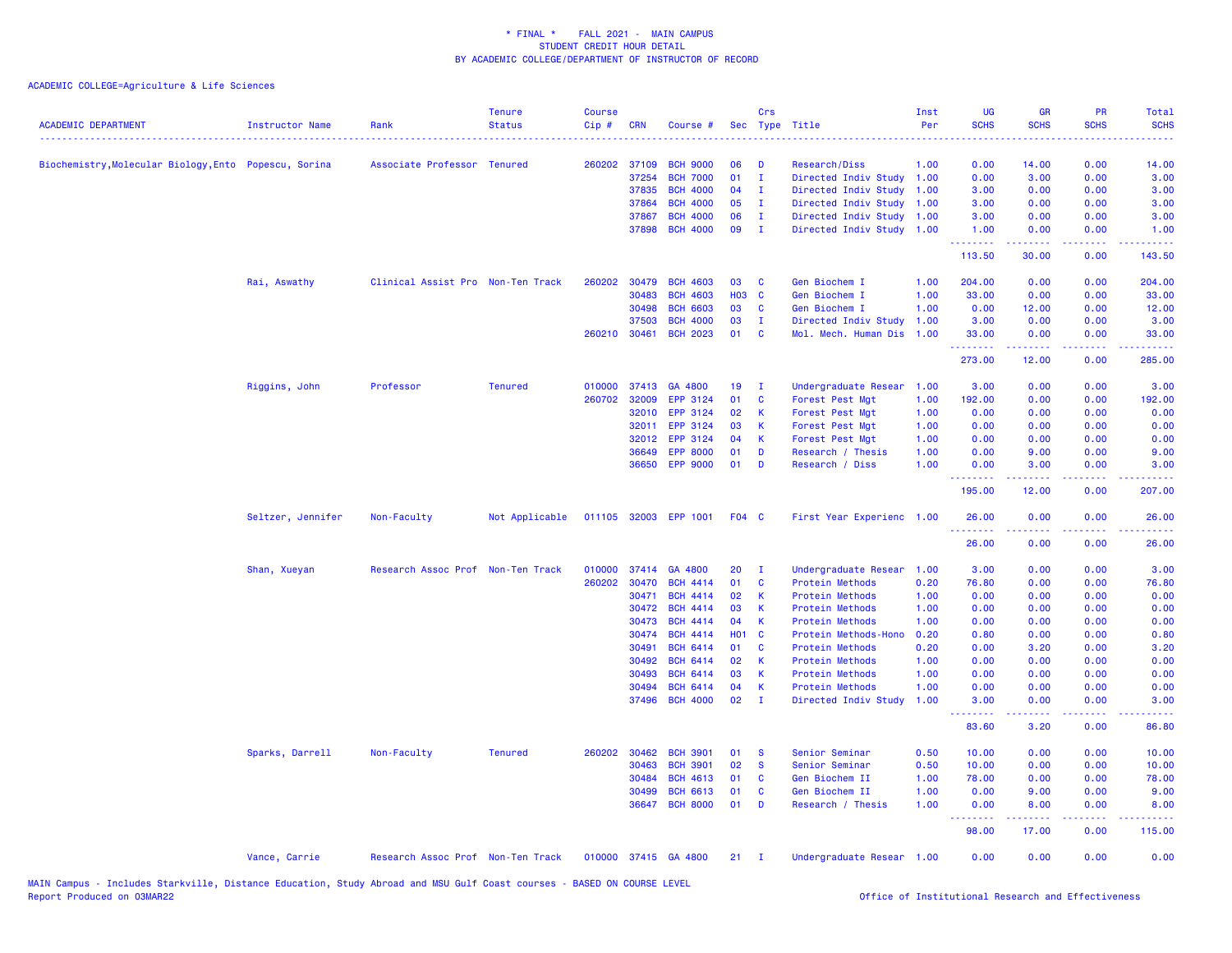| <b>ACADEMIC DEPARTMENT</b>                            | Instructor Name   | Rank                              | <b>Tenure</b><br><b>Status</b> | <b>Course</b><br>$Cip \#$ | <b>CRN</b>   | Course #              |            | Crs          | Sec Type Title            | Inst<br>Per | UG<br><b>SCHS</b><br>$\frac{1}{2} \left( \frac{1}{2} \right) \left( \frac{1}{2} \right) \left( \frac{1}{2} \right) \left( \frac{1}{2} \right)$ | <b>GR</b><br><b>SCHS</b>                                                                                                                                     | PR<br><b>SCHS</b>                   | Total<br><b>SCHS</b> |
|-------------------------------------------------------|-------------------|-----------------------------------|--------------------------------|---------------------------|--------------|-----------------------|------------|--------------|---------------------------|-------------|------------------------------------------------------------------------------------------------------------------------------------------------|--------------------------------------------------------------------------------------------------------------------------------------------------------------|-------------------------------------|----------------------|
| Biochemistry, Molecular Biology, Ento Popescu, Sorina |                   | Associate Professor Tenured       |                                |                           | 260202 37109 | <b>BCH 9000</b>       | 06         | Ð            | Research/Diss             | 1.00        | 0.00                                                                                                                                           | 14.00                                                                                                                                                        | 0.00                                | 14.00                |
|                                                       |                   |                                   |                                |                           | 37254        | <b>BCH 7000</b>       | 01         | $\mathbf I$  | Directed Indiv Study      | 1.00        | 0.00                                                                                                                                           | 3.00                                                                                                                                                         | 0.00                                | 3.00                 |
|                                                       |                   |                                   |                                |                           | 37835        | <b>BCH 4000</b>       | 04         | $\mathbf{I}$ | Directed Indiv Study      | 1.00        | 3.00                                                                                                                                           | 0.00                                                                                                                                                         | 0.00                                | 3.00                 |
|                                                       |                   |                                   |                                |                           | 37864        | <b>BCH 4000</b>       | 05         | $\mathbf{I}$ | Directed Indiv Study      | 1.00        | 3.00                                                                                                                                           | 0.00                                                                                                                                                         | 0.00                                | 3.00                 |
|                                                       |                   |                                   |                                |                           | 37867        | <b>BCH 4000</b>       | 06         | $\mathbf{I}$ | Directed Indiv Study      | 1.00        | 3.00                                                                                                                                           | 0.00                                                                                                                                                         | 0.00                                | 3.00                 |
|                                                       |                   |                                   |                                |                           |              | 37898 BCH 4000        | 09         | - 1          | Directed Indiv Study 1.00 |             | 1.00<br><b><i><u><u> - - - - - - -</u></u></i></b>                                                                                             | 0.00<br>$\frac{1}{2} \left( \frac{1}{2} \right) \left( \frac{1}{2} \right) \left( \frac{1}{2} \right) \left( \frac{1}{2} \right) \left( \frac{1}{2} \right)$ | 0.00<br>.                           | 1.00<br>.            |
|                                                       |                   |                                   |                                |                           |              |                       |            |              |                           |             | 113.50                                                                                                                                         | 30.00                                                                                                                                                        | 0.00                                | 143.50               |
|                                                       | Rai, Aswathy      | Clinical Assist Pro Non-Ten Track |                                | 260202                    | 30479        | <b>BCH 4603</b>       | 03         | C            | Gen Biochem I             | 1.00        | 204.00                                                                                                                                         | 0.00                                                                                                                                                         | 0.00                                | 204.00               |
|                                                       |                   |                                   |                                |                           | 30483        | <b>BCH 4603</b>       | <b>HO3</b> | C            | Gen Biochem I             | 1.00        | 33.00                                                                                                                                          | 0.00                                                                                                                                                         | 0.00                                | 33.00                |
|                                                       |                   |                                   |                                |                           | 30498        | <b>BCH 6603</b>       | 03         | C            | Gen Biochem I             | 1.00        | 0.00                                                                                                                                           | 12.00                                                                                                                                                        | 0.00                                | 12.00                |
|                                                       |                   |                                   |                                |                           | 37503        | <b>BCH 4000</b>       | 03         | $\mathbf I$  | Directed Indiv Study      | 1.00        | 3.00                                                                                                                                           | 0.00                                                                                                                                                         | 0.00                                | 3.00                 |
|                                                       |                   |                                   |                                |                           | 260210 30461 | <b>BCH 2023</b>       | 01         | C            | Mol. Mech. Human Dis      | 1.00        | 33.00<br>.                                                                                                                                     | 0.00<br>22222                                                                                                                                                | 0.00<br>د د د د                     | 33.00<br>المتمامين   |
|                                                       |                   |                                   |                                |                           |              |                       |            |              |                           |             | 273.00                                                                                                                                         | 12.00                                                                                                                                                        | 0.00                                | 285.00               |
|                                                       | Riggins, John     | Professor                         | <b>Tenured</b>                 | 010000                    | 37413        | GA 4800               | 19         | $\mathbf{I}$ | Undergraduate Resear      | 1.00        | 3.00                                                                                                                                           | 0.00                                                                                                                                                         | 0.00                                | 3.00                 |
|                                                       |                   |                                   |                                | 260702                    | 32009        | EPP 3124              | 01         | C            | Forest Pest Mgt           | 1.00        | 192.00                                                                                                                                         | 0.00                                                                                                                                                         | 0.00                                | 192.00               |
|                                                       |                   |                                   |                                |                           | 32010        | EPP 3124              | 02         | К            | Forest Pest Mgt           | 1.00        | 0.00                                                                                                                                           | 0.00                                                                                                                                                         | 0.00                                | 0.00                 |
|                                                       |                   |                                   |                                |                           | 32011        | EPP 3124              | 03         | К            | Forest Pest Mgt           | 1.00        | 0.00                                                                                                                                           | 0.00                                                                                                                                                         | 0.00                                | 0.00                 |
|                                                       |                   |                                   |                                |                           | 32012        | EPP 3124              | 04         | К            | Forest Pest Mgt           | 1.00        | 0.00                                                                                                                                           | 0.00                                                                                                                                                         | 0.00                                | 0.00                 |
|                                                       |                   |                                   |                                |                           | 36649        | <b>EPP 8000</b>       | 01         | D            | Research / Thesis         | 1.00        | 0.00                                                                                                                                           | 9.00                                                                                                                                                         | 0.00                                | 9.00                 |
|                                                       |                   |                                   |                                |                           |              | 36650 EPP 9000        | 01         | D            | Research / Diss           | 1.00        | 0.00<br>.                                                                                                                                      | 3.00                                                                                                                                                         | 0.00<br>$\sim$ $\sim$ $\sim$ $\sim$ | 3.00                 |
|                                                       |                   |                                   |                                |                           |              |                       |            |              |                           |             | 195.00                                                                                                                                         | 12.00                                                                                                                                                        | 0.00                                | 207.00               |
|                                                       | Seltzer, Jennifer | Non-Faculty                       | Not Applicable                 |                           |              | 011105 32003 EPP 1001 | F04 C      |              | First Year Experienc 1.00 |             | 26.00<br><b></b>                                                                                                                               | 0.00<br>.                                                                                                                                                    | 0.00<br>.                           | 26.00<br>.           |
|                                                       |                   |                                   |                                |                           |              |                       |            |              |                           |             | 26.00                                                                                                                                          | 0.00                                                                                                                                                         | 0.00                                | 26.00                |
|                                                       | Shan, Xueyan      | Research Assoc Prof Non-Ten Track |                                | 010000                    |              | 37414 GA 4800         | 20         | $\mathbf{I}$ | Undergraduate Resear      | 1.00        | 3.00                                                                                                                                           | 0.00                                                                                                                                                         | 0.00                                | 3.00                 |
|                                                       |                   |                                   |                                | 260202                    | 30470        | <b>BCH 4414</b>       | 01         | C            | Protein Methods           | 0.20        | 76.80                                                                                                                                          | 0.00                                                                                                                                                         | 0.00                                | 76.80                |
|                                                       |                   |                                   |                                |                           | 30471        | <b>BCH 4414</b>       | 02         | К            | Protein Methods           | 1.00        | 0.00                                                                                                                                           | 0.00                                                                                                                                                         | 0.00                                | 0.00                 |
|                                                       |                   |                                   |                                |                           | 30472        | <b>BCH 4414</b>       | 03         | К            | Protein Methods           | 1.00        | 0.00                                                                                                                                           | 0.00                                                                                                                                                         | 0.00                                | 0.00                 |
|                                                       |                   |                                   |                                |                           | 30473        | <b>BCH 4414</b>       | 04         | К            | Protein Methods           | 1.00        | 0.00                                                                                                                                           | 0.00                                                                                                                                                         | 0.00                                | 0.00                 |
|                                                       |                   |                                   |                                |                           | 30474        | <b>BCH 4414</b>       | <b>HO1</b> | C            | Protein Methods-Hono      | 0.20        | 0.80                                                                                                                                           | 0.00                                                                                                                                                         | 0.00                                | 0.80                 |
|                                                       |                   |                                   |                                |                           | 30491        | <b>BCH 6414</b>       | 01         | C            | <b>Protein Methods</b>    | 0.20        | 0.00                                                                                                                                           | 3.20                                                                                                                                                         | 0.00                                | 3.20                 |
|                                                       |                   |                                   |                                |                           | 30492        | <b>BCH 6414</b>       | 02         | К            | Protein Methods           | 1.00        | 0.00                                                                                                                                           | 0.00                                                                                                                                                         | 0.00                                | 0.00                 |
|                                                       |                   |                                   |                                |                           | 30493        | <b>BCH 6414</b>       | 03         | K            | Protein Methods           | 1.00        | 0.00                                                                                                                                           | 0.00                                                                                                                                                         | 0.00                                | 0.00                 |
|                                                       |                   |                                   |                                |                           | 30494        | <b>BCH 6414</b>       | 04         | К            | Protein Methods           | 1.00        | 0.00                                                                                                                                           | 0.00                                                                                                                                                         | 0.00                                | 0.00                 |
|                                                       |                   |                                   |                                |                           | 37496        | <b>BCH 4000</b>       | 02         | $\mathbf{I}$ | Directed Indiv Study      | 1.00        | 3.00<br><u> 22222222</u>                                                                                                                       | 0.00<br>.                                                                                                                                                    | 0.00<br>.                           | 3.00<br>.            |
|                                                       |                   |                                   |                                |                           |              |                       |            |              |                           |             | 83.60                                                                                                                                          | 3.20                                                                                                                                                         | 0.00                                | 86.80                |
|                                                       | Sparks, Darrell   | Non-Faculty                       | <b>Tenured</b>                 | 260202                    | 30462        | <b>BCH 3901</b>       | 01         | <b>S</b>     | Senior Seminar            | 0.50        | 10.00                                                                                                                                          | 0.00                                                                                                                                                         | 0.00                                | 10.00                |
|                                                       |                   |                                   |                                |                           | 30463        | <b>BCH 3901</b>       | 02         | $\mathbf{s}$ | Senior Seminar            | 0.50        | 10.00                                                                                                                                          | 0.00                                                                                                                                                         | 0.00                                | 10.00                |
|                                                       |                   |                                   |                                |                           | 30484        | <b>BCH 4613</b>       | 01         | C            | Gen Biochem II            | 1.00        | 78.00                                                                                                                                          | 0.00                                                                                                                                                         | 0.00                                | 78.00                |
|                                                       |                   |                                   |                                |                           | 30499        | <b>BCH 6613</b>       | 01         | C            | Gen Biochem II            | 1.00        | 0.00                                                                                                                                           | 9.00                                                                                                                                                         | 0.00                                | 9.00                 |
|                                                       |                   |                                   |                                |                           |              | 36647 BCH 8000        | 01         | D            | Research / Thesis         | 1.00        | 0.00<br><u>.</u>                                                                                                                               | 8.00<br>-----                                                                                                                                                | 0.00<br>.                           | 8.00<br>.            |
|                                                       |                   |                                   |                                |                           |              |                       |            |              |                           |             | 98.00                                                                                                                                          | 17.00                                                                                                                                                        | 0.00                                | 115.00               |
|                                                       | Vance, Carrie     | Research Assoc Prof Non-Ten Track |                                |                           |              | 010000 37415 GA 4800  | 21         | $\mathbf{I}$ | Undergraduate Resear 1.00 |             | 0.00                                                                                                                                           | 0.00                                                                                                                                                         | 0.00                                | 0.00                 |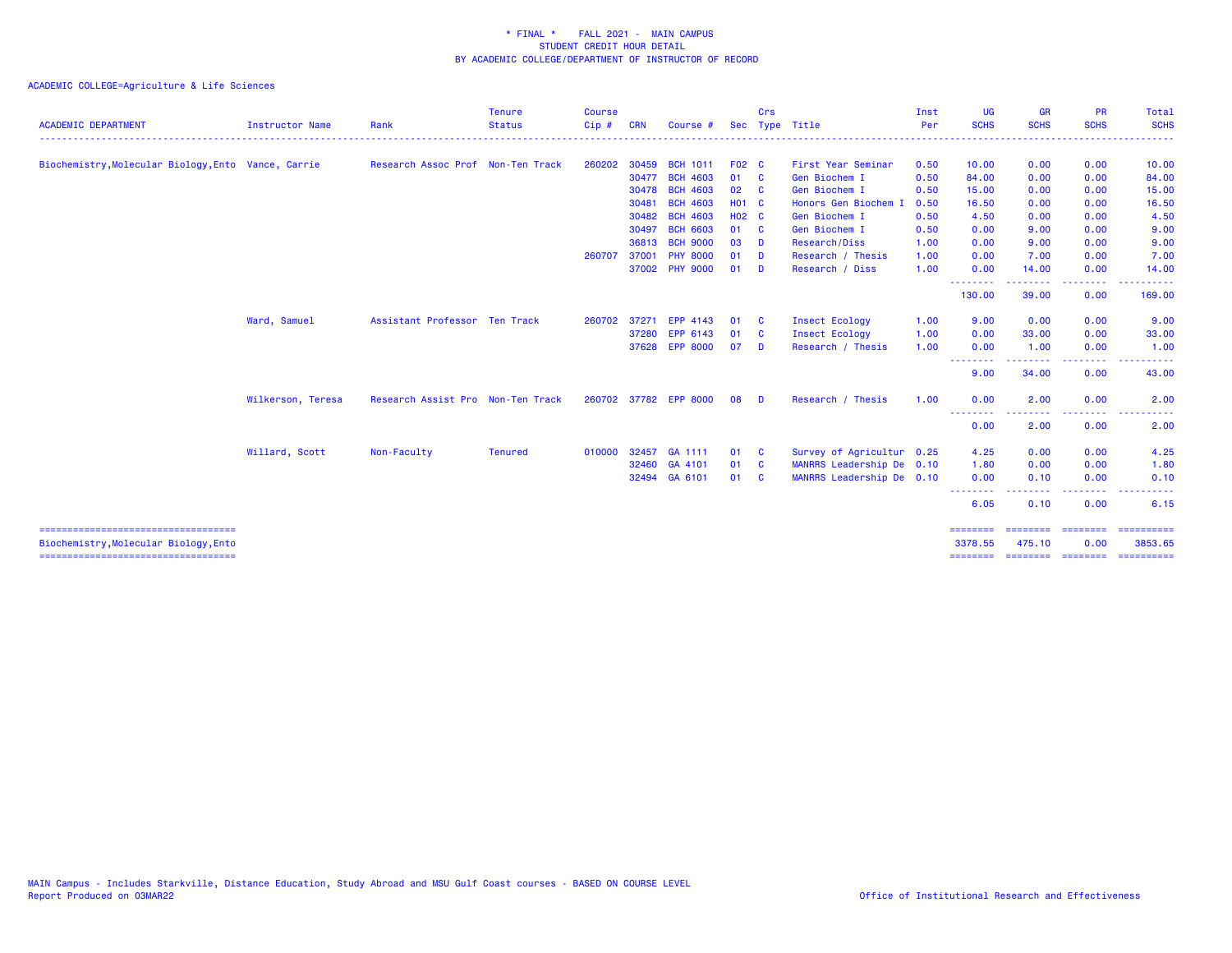| <b>ACADEMIC DEPARTMENT</b>                                                    | <b>Instructor Name</b> | Rank                              | <b>Tenure</b><br><b>Status</b> | <b>Course</b><br>$Cip$ # | <b>CRN</b> | Course #              |              | Crs          | Sec Type Title            | Inst<br>Per | <b>UG</b><br><b>SCHS</b>                                                                                                          | <b>GR</b><br><b>SCHS</b> | <b>PR</b><br><b>SCHS</b>                                                                                                          | Total<br><b>SCHS</b>      |
|-------------------------------------------------------------------------------|------------------------|-----------------------------------|--------------------------------|--------------------------|------------|-----------------------|--------------|--------------|---------------------------|-------------|-----------------------------------------------------------------------------------------------------------------------------------|--------------------------|-----------------------------------------------------------------------------------------------------------------------------------|---------------------------|
| Biochemistry, Molecular Biology, Ento Vance, Carrie                           |                        | Research Assoc Prof Non-Ten Track |                                | 260202                   | 30459      | <b>BCH 1011</b>       | F02 C        |              | First Year Seminar        | 0.50        | 10.00                                                                                                                             | 0.00                     | 0.00                                                                                                                              | 10.00                     |
|                                                                               |                        |                                   |                                |                          | 30477      | <b>BCH 4603</b>       | 01           | $\mathbf{C}$ | Gen Biochem I             | 0.50        | 84.00                                                                                                                             | 0.00                     | 0.00                                                                                                                              | 84.00                     |
|                                                                               |                        |                                   |                                |                          | 30478      | <b>BCH 4603</b>       | 02           | <b>C</b>     | Gen Biochem I             | 0.50        | 15.00                                                                                                                             | 0.00                     | 0.00                                                                                                                              | 15.00                     |
|                                                                               |                        |                                   |                                |                          | 30481      | <b>BCH 4603</b>       | <b>HO1 C</b> |              | Honors Gen Biochem I      | 0.50        | 16.50                                                                                                                             | 0.00                     | 0.00                                                                                                                              | 16.50                     |
|                                                                               |                        |                                   |                                |                          | 30482      | <b>BCH 4603</b>       | <b>HO2 C</b> |              | Gen Biochem I             | 0.50        | 4.50                                                                                                                              | 0.00                     | 0.00                                                                                                                              | 4.50                      |
|                                                                               |                        |                                   |                                |                          | 30497      | <b>BCH 6603</b>       | 01           | $\mathbf{C}$ | Gen Biochem I             | 0.50        | 0.00                                                                                                                              | 9.00                     | 0.00                                                                                                                              | 9.00                      |
|                                                                               |                        |                                   |                                |                          |            | 36813 BCH 9000        | 03           | - D          | Research/Diss             | 1.00        | 0.00                                                                                                                              | 9.00                     | 0.00                                                                                                                              | 9.00                      |
|                                                                               |                        |                                   |                                | 260707                   | 37001      | <b>PHY 8000</b>       | 01           | - D          | Research / Thesis         | 1.00        | 0.00                                                                                                                              | 7.00                     | 0.00                                                                                                                              | 7.00                      |
|                                                                               |                        |                                   |                                |                          |            | 37002 PHY 9000        | 01           | - D          | Research / Diss           | 1.00        | 0.00                                                                                                                              | 14.00                    | 0.00                                                                                                                              | 14.00                     |
|                                                                               |                        |                                   |                                |                          |            |                       |              |              |                           |             | .<br>130.00                                                                                                                       | . <u>.</u> .<br>39.00    | .<br>0.00                                                                                                                         | . <b>.</b> .<br>169.00    |
|                                                                               | Ward, Samuel           | Assistant Professor Ten Track     |                                | 260702                   |            | 37271 EPP 4143        | 01           | - C          | <b>Insect Ecology</b>     | 1.00        | 9.00                                                                                                                              | 0.00                     | 0.00                                                                                                                              | 9.00                      |
|                                                                               |                        |                                   |                                |                          |            | 37280 EPP 6143        | 01           | - C          | <b>Insect Ecology</b>     | 1.00        | 0.00                                                                                                                              | 33.00                    | 0.00                                                                                                                              | 33.00                     |
|                                                                               |                        |                                   |                                |                          |            | 37628 EPP 8000        | 07           | - D          | Research / Thesis         | 1.00        | 0.00                                                                                                                              | 1.00                     | 0.00                                                                                                                              | 1.00                      |
|                                                                               |                        |                                   |                                |                          |            |                       |              |              |                           |             | .<br>9.00                                                                                                                         | .<br>34.00               | -----<br>0.00                                                                                                                     | .<br>43.00                |
|                                                                               | Wilkerson, Teresa      | Research Assist Pro Non-Ten Track |                                |                          |            | 260702 37782 EPP 8000 | 08           | - D          | Research / Thesis         | 1.00        | 0.00                                                                                                                              | 2.00                     | 0.00                                                                                                                              | 2.00                      |
|                                                                               |                        |                                   |                                |                          |            |                       |              |              |                           |             | $\frac{1}{2} \left( \frac{1}{2} \right) \left( \frac{1}{2} \right) \left( \frac{1}{2} \right) \left( \frac{1}{2} \right)$<br>0.00 | 2.00                     | 0.00                                                                                                                              | 2.00                      |
|                                                                               | Willard, Scott         | Non-Faculty                       | <b>Tenured</b>                 |                          |            | 010000 32457 GA 1111  | 01 C         |              | Survey of Agricultur 0.25 |             | 4.25                                                                                                                              | 0.00                     | 0.00                                                                                                                              | 4.25                      |
|                                                                               |                        |                                   |                                |                          |            | 32460 GA 4101         | 01           | $\mathbf{c}$ | MANRRS Leadership De 0.10 |             | 1.80                                                                                                                              | 0.00                     | 0.00                                                                                                                              | 1.80                      |
|                                                                               |                        |                                   |                                |                          |            | 32494 GA 6101         | 01           | <b>C</b>     | MANRRS Leadership De 0.10 |             | 0.00                                                                                                                              | 0.10<br>.                | 0.00<br>$\frac{1}{2} \left( \frac{1}{2} \right) \left( \frac{1}{2} \right) \left( \frac{1}{2} \right) \left( \frac{1}{2} \right)$ | 0.10                      |
|                                                                               |                        |                                   |                                |                          |            |                       |              |              |                           |             | --------<br>6.05                                                                                                                  | 0.10                     | 0.00                                                                                                                              | 6.15                      |
| ====================================<br>Biochemistry, Molecular Biology, Ento |                        |                                   |                                |                          |            |                       |              |              |                           |             | ========<br>3378.55                                                                                                               | 475.10                   | ---------<br>0.00                                                                                                                 | $=$ ==========<br>3853.65 |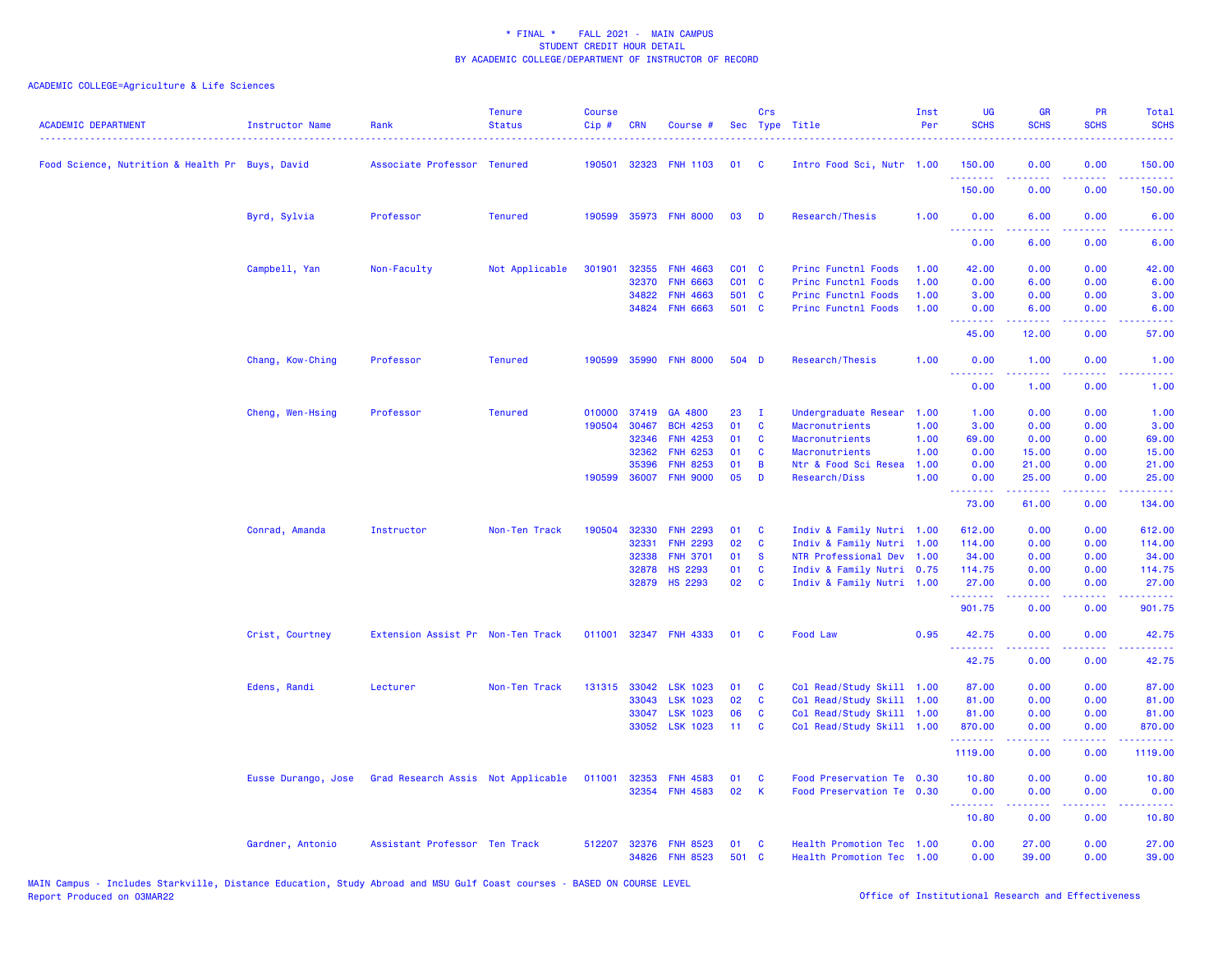| <b>ACADEMIC DEPARTMENT</b>                      | <b>Instructor Name</b> | Rank                               | <b>Tenure</b><br><b>Status</b> | <b>Course</b><br>Cip# | <b>CRN</b> | Course #              |                   | Crs          | Sec Type Title            | Inst<br>Per | <b>UG</b><br><b>SCHS</b>              | <b>GR</b><br><b>SCHS</b> | PR<br><b>SCHS</b>                   | Total<br><b>SCHS</b>                                                                                                 |
|-------------------------------------------------|------------------------|------------------------------------|--------------------------------|-----------------------|------------|-----------------------|-------------------|--------------|---------------------------|-------------|---------------------------------------|--------------------------|-------------------------------------|----------------------------------------------------------------------------------------------------------------------|
| Food Science, Nutrition & Health Pr Buys, David |                        | Associate Professor Tenured        |                                | 190501                |            | 32323 FNH 1103        | 01                | <b>C</b>     | Intro Food Sci, Nutr 1.00 |             | 150.00<br>.                           | 0.00<br>.                | 0.00<br>.                           | 150.00<br>222223                                                                                                     |
|                                                 |                        |                                    |                                |                       |            |                       |                   |              |                           |             | 150.00                                | 0.00                     | 0.00                                | 150.00                                                                                                               |
|                                                 | Byrd, Sylvia           | Professor                          | <b>Tenured</b>                 | 190599                |            | 35973 FNH 8000        | 03                | D            | Research/Thesis           | 1.00        | 0.00<br>.                             | 6.00                     | 0.00                                | 6.00                                                                                                                 |
|                                                 |                        |                                    |                                |                       |            |                       |                   |              |                           |             | 0.00                                  | 6.00                     | 0.00                                | 6.00                                                                                                                 |
|                                                 | Campbell, Yan          | Non-Faculty                        | Not Applicable                 | 301901                | 32355      | <b>FNH 4663</b>       | $CO1$ $C$         |              | Princ Functnl Foods       | 1.00        | 42.00                                 | 0.00                     | 0.00                                | 42.00                                                                                                                |
|                                                 |                        |                                    |                                |                       | 32370      | <b>FNH 6663</b>       | CO <sub>1</sub> C |              | Princ Functnl Foods       | 1.00        | 0.00                                  | 6.00                     | 0.00                                | 6.00                                                                                                                 |
|                                                 |                        |                                    |                                |                       | 34822      | <b>FNH 4663</b>       | 501 C             |              | Princ Functnl Foods       | 1.00        | 3.00                                  | 0.00                     | 0.00                                | 3.00                                                                                                                 |
|                                                 |                        |                                    |                                |                       | 34824      | <b>FNH 6663</b>       | 501 C             |              | Princ Functnl Foods       | 1.00        | 0.00<br><b></b>                       | 6.00                     | 0.00                                | 6.00                                                                                                                 |
|                                                 |                        |                                    |                                |                       |            |                       |                   |              |                           |             | 45.00                                 | 12.00                    | 0.00                                | 57.00                                                                                                                |
|                                                 | Chang, Kow-Ching       | Professor                          | <b>Tenured</b>                 | 190599                |            | 35990 FNH 8000        | 504 D             |              | Research/Thesis           | 1.00        | 0.00<br><u>.</u>                      | 1.00<br>.                | 0.00<br>$\sim$ $\sim$ $\sim$ $\sim$ | 1.00<br>.                                                                                                            |
|                                                 |                        |                                    |                                |                       |            |                       |                   |              |                           |             | 0.00                                  | 1.00                     | 0.00                                | 1.00                                                                                                                 |
|                                                 | Cheng, Wen-Hsing       | Professor                          | <b>Tenured</b>                 | 010000                | 37419      | GA 4800               | 23                | Ι.           | Undergraduate Resear      | 1.00        | 1.00                                  | 0.00                     | 0.00                                | 1.00                                                                                                                 |
|                                                 |                        |                                    |                                | 190504                | 30467      | <b>BCH 4253</b>       | 01                | <b>C</b>     | <b>Macronutrients</b>     | 1.00        | 3.00                                  | 0.00                     | 0.00                                | 3.00                                                                                                                 |
|                                                 |                        |                                    |                                |                       | 32346      | <b>FNH 4253</b>       | 01                | <b>C</b>     | Macronutrients            | 1.00        | 69.00                                 | 0.00                     | 0.00                                | 69.00                                                                                                                |
|                                                 |                        |                                    |                                |                       | 32362      | <b>FNH 6253</b>       | 01                | C            | Macronutrients            | 1.00        | 0.00                                  | 15.00                    | 0.00                                | 15.00                                                                                                                |
|                                                 |                        |                                    |                                |                       | 35396      | <b>FNH 8253</b>       | 01                | $\mathbf B$  | Ntr & Food Sci Resea      | 1.00        | 0.00                                  | 21.00                    | 0.00                                | 21.00                                                                                                                |
|                                                 |                        |                                    |                                | 190599                | 36007      | <b>FNH 9000</b>       | 05                | D            | Research/Diss             | 1.00        | 0.00<br>.                             | 25.00<br><u>.</u>        | 0.00<br>$\sim$ $\sim$ $\sim$ $\sim$ | 25.00<br>$\sim$ $\sim$ $\sim$ $\sim$ $\sim$                                                                          |
|                                                 |                        |                                    |                                |                       |            |                       |                   |              |                           |             | 73.00                                 | 61.00                    | 0.00                                | 134.00                                                                                                               |
|                                                 | Conrad, Amanda         | Instructor                         | Non-Ten Track                  | 190504                | 32330      | <b>FNH 2293</b>       | 01                | C            | Indiv & Family Nutri 1.00 |             | 612.00                                | 0.00                     | 0.00                                | 612.00                                                                                                               |
|                                                 |                        |                                    |                                |                       | 32331      | <b>FNH 2293</b>       | 02                | C            | Indiv & Family Nutri 1.00 |             | 114.00                                | 0.00                     | 0.00                                | 114.00                                                                                                               |
|                                                 |                        |                                    |                                |                       | 32338      | <b>FNH 3701</b>       | 01                | $\mathbf{s}$ | NTR Professional Dev 1.00 |             | 34.00                                 | 0.00                     | 0.00                                | 34.00                                                                                                                |
|                                                 |                        |                                    |                                |                       | 32878      | <b>HS 2293</b>        | 01                | C            | Indiv & Family Nutri 0.75 |             | 114.75                                | 0.00                     | 0.00                                | 114.75                                                                                                               |
|                                                 |                        |                                    |                                |                       |            | 32879 HS 2293         | 02                | C            | Indiv & Family Nutri 1.00 |             | 27.00<br><u>.</u>                     | 0.00<br>.                | 0.00<br>.                           | 27.00<br>$\begin{array}{cccccccccc} \bullet & \bullet & \bullet & \bullet & \bullet & \bullet & \bullet \end{array}$ |
|                                                 |                        |                                    |                                |                       |            |                       |                   |              |                           |             | 901.75                                | 0.00                     | 0.00                                | 901.75                                                                                                               |
|                                                 | Crist, Courtney        | Extension Assist Pr Non-Ten Track  |                                | 011001                |            | 32347 FNH 4333        | 01                | <b>C</b>     | Food Law                  | 0.95        | 42.75<br><b><i><u>PARADER</u></i></b> | 0.00<br>.                | 0.00<br>د د د د                     | 42.75<br>.                                                                                                           |
|                                                 |                        |                                    |                                |                       |            |                       |                   |              |                           |             | 42.75                                 | 0.00                     | 0.00                                | 42.75                                                                                                                |
|                                                 | Edens, Randi           | Lecturer                           | Non-Ten Track                  |                       |            | 131315 33042 LSK 1023 | 01                | C            | Col Read/Study Skill 1.00 |             | 87.00                                 | 0.00                     | 0.00                                | 87.00                                                                                                                |
|                                                 |                        |                                    |                                |                       | 33043      | <b>LSK 1023</b>       | 02                | $\mathbf{C}$ | Col Read/Study Skill 1.00 |             | 81.00                                 | 0.00                     | 0.00                                | 81.00                                                                                                                |
|                                                 |                        |                                    |                                |                       | 33047      | <b>LSK 1023</b>       | 06                | C            | Col Read/Study Skill 1.00 |             | 81.00                                 | 0.00                     | 0.00                                | 81.00                                                                                                                |
|                                                 |                        |                                    |                                |                       |            | 33052 LSK 1023        | 11                | $\mathbf{C}$ | Col Read/Study Skill 1.00 |             | 870.00                                | 0.00                     | 0.00<br>.                           | 870.00                                                                                                               |
|                                                 |                        |                                    |                                |                       |            |                       |                   |              |                           |             | .<br>1119.00                          | 0.00                     | 0.00                                | .<br>1119.00                                                                                                         |
|                                                 | Eusse Durango, Jose    | Grad Research Assis Not Applicable |                                | 011001                | 32353      | <b>FNH 4583</b>       | 01                | C            | Food Preservation Te 0.30 |             | 10.80                                 | 0.00                     | 0.00                                | 10.80                                                                                                                |
|                                                 |                        |                                    |                                |                       | 32354      | <b>FNH 4583</b>       | 02                | K            | Food Preservation Te 0.30 |             | 0.00<br>.                             | 0.00<br>.                | 0.00<br>المتمالين                   | 0.00<br>والمستحيل                                                                                                    |
|                                                 |                        |                                    |                                |                       |            |                       |                   |              |                           |             | 10.80                                 | 0.00                     | 0.00                                | 10.80                                                                                                                |
|                                                 | Gardner, Antonio       | Assistant Professor Ten Track      |                                | 512207                | 32376      | <b>FNH 8523</b>       | 01                | C            | Health Promotion Tec 1.00 |             | 0.00                                  | 27.00                    | 0.00                                | 27.00                                                                                                                |
|                                                 |                        |                                    |                                |                       |            | 34826 FNH 8523        | 501 C             |              | Health Promotion Tec 1.00 |             | 0.00                                  | 39.00                    | 0.00                                | 39.00                                                                                                                |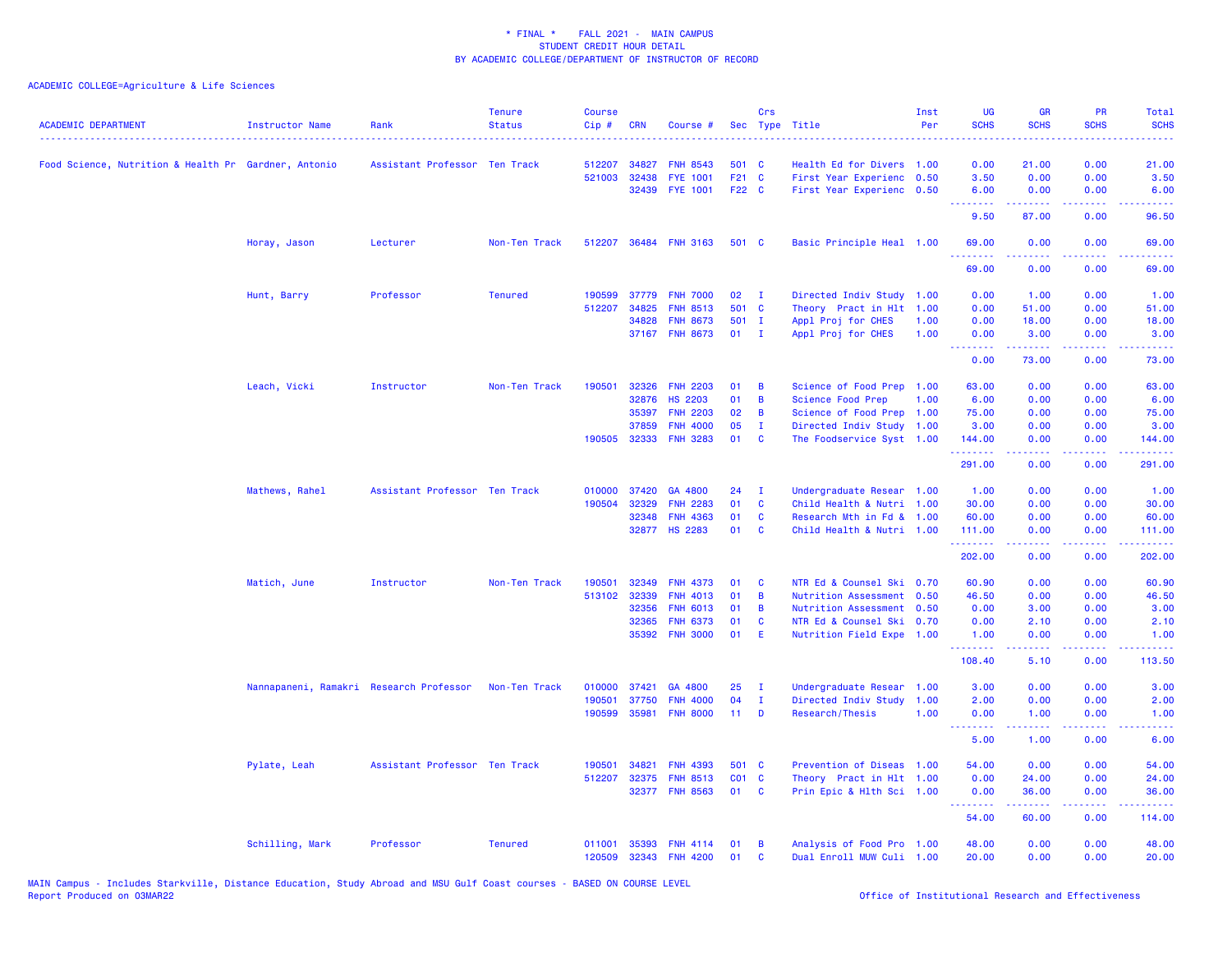| <b>ACADEMIC DEPARTMENT</b>                           | Instructor Name                         | Rank                          | <b>Tenure</b><br><b>Status</b> | <b>Course</b><br>Cip# | <b>CRN</b>   | Course #        |                 | Crs          | Sec Type Title            | Inst<br>Per | UG<br><b>SCHS</b>  | <b>GR</b><br><b>SCHS</b> | <b>PR</b><br><b>SCHS</b> | Total<br><b>SCHS</b>                |
|------------------------------------------------------|-----------------------------------------|-------------------------------|--------------------------------|-----------------------|--------------|-----------------|-----------------|--------------|---------------------------|-------------|--------------------|--------------------------|--------------------------|-------------------------------------|
| Food Science, Nutrition & Health Pr Gardner, Antonio |                                         | Assistant Professor Ten Track |                                | 512207                | 34827        | <b>FNH 8543</b> | 501 C           |              | Health Ed for Divers 1.00 |             | 0.00               | 21.00                    | 0.00                     | 21.00                               |
|                                                      |                                         |                               |                                | 521003                | 32438        | <b>FYE 1001</b> | F21 C           |              | First Year Experienc 0.50 |             | 3.50               | 0.00                     | 0.00                     | 3.50                                |
|                                                      |                                         |                               |                                |                       | 32439        | <b>FYE 1001</b> | F22 C           |              | First Year Experienc 0.50 |             | 6.00<br><b>.</b> . | 0.00<br>بالأبالي         | 0.00<br>بالأباب          | 6.00<br>$\sim$ $\sim$ $\sim$ $\sim$ |
|                                                      |                                         |                               |                                |                       |              |                 |                 |              |                           |             | 9.50               | 87.00                    | 0.00                     | 96.50                               |
|                                                      | Horay, Jason                            | Lecturer                      | Non-Ten Track                  | 512207                |              | 36484 FNH 3163  | 501 C           |              | Basic Principle Heal 1.00 |             | 69.00<br>.         | 0.00<br>22222            | 0.00<br>.                | 69.00<br>.                          |
|                                                      |                                         |                               |                                |                       |              |                 |                 |              |                           |             | 69.00              | 0.00                     | 0.00                     | 69.00                               |
|                                                      | Hunt, Barry                             | Professor                     | <b>Tenured</b>                 | 190599                | 37779        | <b>FNH 7000</b> | 02              | $\mathbf I$  | Directed Indiv Study 1.00 |             | 0.00               | 1.00                     | 0.00                     | 1.00                                |
|                                                      |                                         |                               |                                | 512207                | 34825        | <b>FNH 8513</b> | 501 C           |              | Theory Pract in Hlt 1.00  |             | 0.00               | 51.00                    | 0.00                     | 51.00                               |
|                                                      |                                         |                               |                                |                       | 34828        | <b>FNH 8673</b> | 501 I           |              | Appl Proj for CHES        | 1.00        | 0.00               | 18.00                    | 0.00                     | 18.00                               |
|                                                      |                                         |                               |                                |                       |              | 37167 FNH 8673  | 01              | $\mathbf{I}$ | Appl Proj for CHES        | 1.00        | 0.00<br><u>.</u>   | 3.00<br>.                | 0.00<br>.                | 3.00<br>.                           |
|                                                      |                                         |                               |                                |                       |              |                 |                 |              |                           |             | 0.00               | 73.00                    | 0.00                     | 73.00                               |
|                                                      | Leach, Vicki                            | Instructor                    | Non-Ten Track                  | 190501                | 32326        | <b>FNH 2203</b> | 01              | B            | Science of Food Prep 1.00 |             | 63.00              | 0.00                     | 0.00                     | 63.00                               |
|                                                      |                                         |                               |                                |                       | 32876        | <b>HS 2203</b>  | 01              | B            | <b>Science Food Prep</b>  | 1.00        | 6.00               | 0.00                     | 0.00                     | 6.00                                |
|                                                      |                                         |                               |                                |                       | 35397        | <b>FNH 2203</b> | 02              | B            | Science of Food Prep 1.00 |             | 75.00              | 0.00                     | 0.00                     | 75.00                               |
|                                                      |                                         |                               |                                |                       | 37859        | <b>FNH 4000</b> | 05              | $\mathbf{I}$ | Directed Indiv Study 1.00 |             | 3.00               | 0.00                     | 0.00                     | 3.00                                |
|                                                      |                                         |                               |                                |                       | 190505 32333 | <b>FNH 3283</b> | 01              | <b>C</b>     | The Foodservice Syst 1.00 |             | 144.00<br>.        | 0.00                     | 0.00<br>بالمحامي         | 144.00<br>.                         |
|                                                      |                                         |                               |                                |                       |              |                 |                 |              |                           |             | 291.00             | 0.00                     | 0.00                     | 291.00                              |
|                                                      | Mathews, Rahel                          | Assistant Professor Ten Track |                                | 010000                | 37420        | GA 4800         | 24              | - I          | Undergraduate Resear 1.00 |             | 1.00               | 0.00                     | 0.00                     | 1.00                                |
|                                                      |                                         |                               |                                | 190504                | 32329        | <b>FNH 2283</b> | 01              | $\mathbf{C}$ | Child Health & Nutri 1.00 |             | 30.00              | 0.00                     | 0.00                     | 30.00                               |
|                                                      |                                         |                               |                                |                       | 32348        | <b>FNH 4363</b> | 01              | C            | Research Mth in Fd & 1.00 |             | 60.00              | 0.00                     | 0.00                     | 60.00                               |
|                                                      |                                         |                               |                                |                       |              | 32877 HS 2283   | 01              | <b>C</b>     | Child Health & Nutri 1.00 |             | 111.00<br>.        | 0.00                     | 0.00<br>د د د د          | 111.00                              |
|                                                      |                                         |                               |                                |                       |              |                 |                 |              |                           |             | 202.00             | 0.00                     | 0.00                     | 202.00                              |
|                                                      | Matich, June                            | Instructor                    | Non-Ten Track                  | 190501                | 32349        | <b>FNH 4373</b> | 01              | - C          | NTR Ed & Counsel Ski 0.70 |             | 60.90              | 0.00                     | 0.00                     | 60.90                               |
|                                                      |                                         |                               |                                | 513102                | 32339        | <b>FNH 4013</b> | 01              | B            | Nutrition Assessment 0.50 |             | 46.50              | 0.00                     | 0.00                     | 46.50                               |
|                                                      |                                         |                               |                                |                       | 32356        | <b>FNH 6013</b> | 01              | B            | Nutrition Assessment 0.50 |             | 0.00               | 3.00                     | 0.00                     | 3.00                                |
|                                                      |                                         |                               |                                |                       | 32365        | <b>FNH 6373</b> | 01              | C            | NTR Ed & Counsel Ski 0.70 |             | 0.00               | 2.10                     | 0.00                     | 2.10                                |
|                                                      |                                         |                               |                                |                       | 35392        | <b>FNH 3000</b> | 01              | E            | Nutrition Field Expe 1.00 |             | 1.00<br><u>.</u>   | 0.00<br>.                | 0.00                     | 1.00<br>.                           |
|                                                      |                                         |                               |                                |                       |              |                 |                 |              |                           |             | 108.40             | 5.10                     | 0.00                     | 113.50                              |
|                                                      | Nannapaneni, Ramakri Research Professor |                               | Non-Ten Track                  | 010000                | 37421        | GA 4800         | 25              | $\mathbf I$  | Undergraduate Resear 1.00 |             | 3.00               | 0.00                     | 0.00                     | 3.00                                |
|                                                      |                                         |                               |                                | 190501                | 37750        | <b>FNH 4000</b> | 04              | $\mathbf{I}$ | Directed Indiv Study      | 1.00        | 2.00               | 0.00                     | 0.00                     | 2.00                                |
|                                                      |                                         |                               |                                | 190599                | 35981        | <b>FNH 8000</b> | 11 <sub>1</sub> | D            | Research/Thesis           | 1.00        | 0.00               | 1.00                     | 0.00                     | 1.00                                |
|                                                      |                                         |                               |                                |                       |              |                 |                 |              |                           |             | .<br>5.00          | 1.00                     | 0.00                     | 6.00                                |
|                                                      | Pylate, Leah                            | Assistant Professor Ten Track |                                | 190501                | 34821        | <b>FNH 4393</b> | 501 C           |              | Prevention of Diseas 1.00 |             | 54.00              | 0.00                     | 0.00                     | 54.00                               |
|                                                      |                                         |                               |                                | 512207                | 32375        | <b>FNH 8513</b> | CO1 C           |              | Theory Pract in Hlt 1.00  |             | 0.00               | 24.00                    | 0.00                     | 24.00                               |
|                                                      |                                         |                               |                                |                       |              | 32377 FNH 8563  | 01              | $\mathbf{C}$ | Prin Epic & Hlth Sci 1.00 |             | 0.00               | 36.00                    | 0.00                     | 36.00                               |
|                                                      |                                         |                               |                                |                       |              |                 |                 |              |                           |             | <u>.</u><br>54.00  | .<br>60.00               | .<br>0.00                | .<br>114.00                         |
|                                                      | Schilling, Mark                         | Professor                     | <b>Tenured</b>                 | 011001                | 35393        | <b>FNH 4114</b> | 01              | B            | Analysis of Food Pro 1.00 |             | 48.00              | 0.00                     | 0.00                     | 48.00                               |
|                                                      |                                         |                               |                                | 120509                | 32343        | <b>FNH 4200</b> | 01              | C            | Dual Enroll MUW Culi 1.00 |             | 20.00              | 0.00                     | 0.00                     | 20.00                               |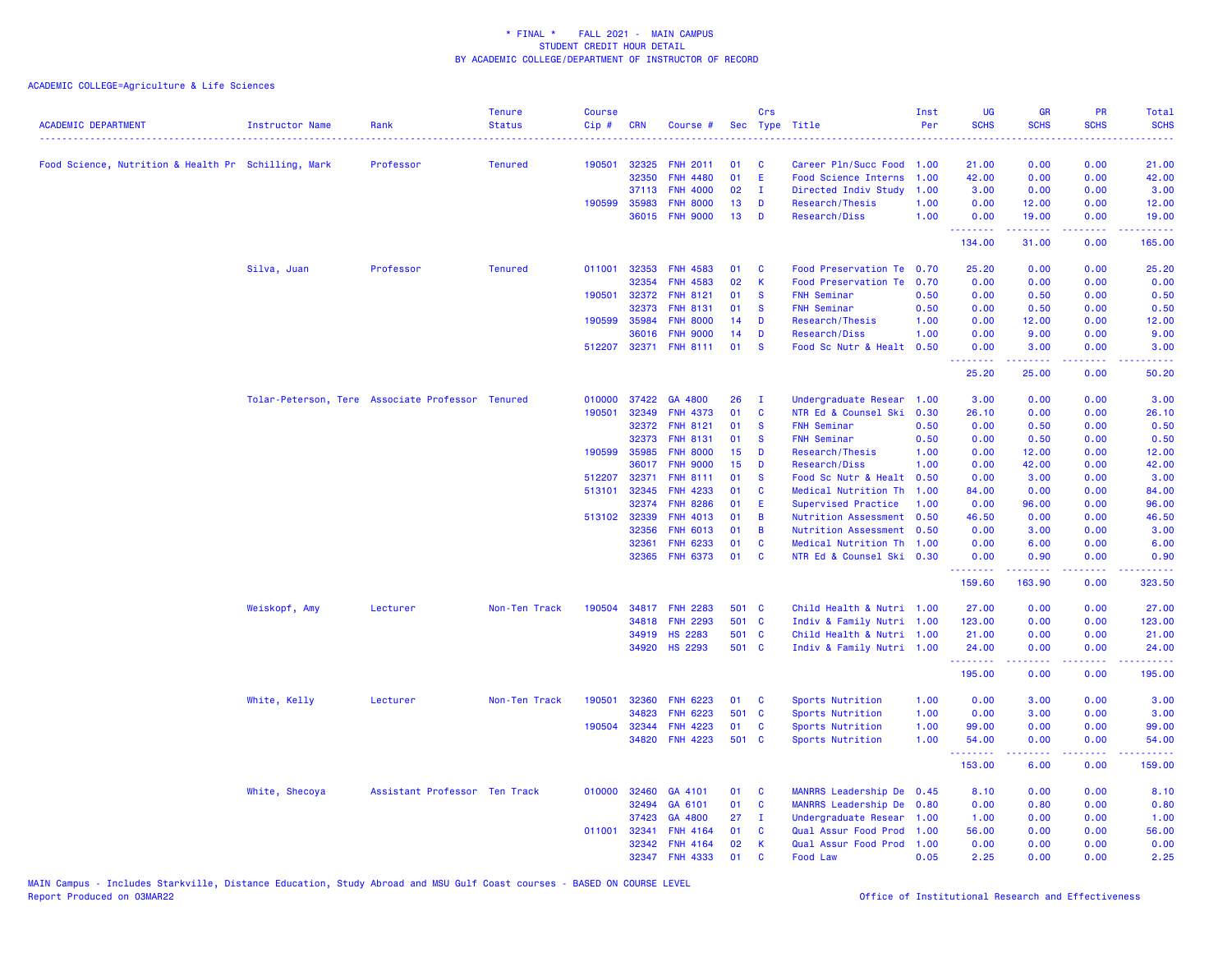| <b>ACADEMIC DEPARTMENT</b>                          | <b>Instructor Name</b>                           | Rank                          | <b>Tenure</b><br><b>Status</b> | <b>Course</b><br>Cip# | <b>CRN</b>   | Course #        | Sec   | Crs          | Type Title                  | Inst<br>Per | <b>UG</b><br><b>SCHS</b> | <b>GR</b><br><b>SCHS</b>                                 | PR<br><b>SCHS</b> | Total<br><b>SCHS</b><br>$\frac{1}{2} \left( \frac{1}{2} \right) \left( \frac{1}{2} \right) \left( \frac{1}{2} \right) \left( \frac{1}{2} \right)$ |
|-----------------------------------------------------|--------------------------------------------------|-------------------------------|--------------------------------|-----------------------|--------------|-----------------|-------|--------------|-----------------------------|-------------|--------------------------|----------------------------------------------------------|-------------------|---------------------------------------------------------------------------------------------------------------------------------------------------|
| Food Science, Nutrition & Health Pr Schilling, Mark |                                                  | Professor                     | <b>Tenured</b>                 | 190501                | 32325        | <b>FNH 2011</b> | 01    | C            | Career Pln/Succ Food        | 1.00        | 21.00                    | 0.00                                                     | 0.00              | 21.00                                                                                                                                             |
|                                                     |                                                  |                               |                                |                       | 32350        | <b>FNH 4480</b> | 01    | Ε            | Food Science Interns        | 1.00        | 42.00                    | 0.00                                                     | 0.00              | 42.00                                                                                                                                             |
|                                                     |                                                  |                               |                                |                       | 37113        | <b>FNH 4000</b> | 02    | $\mathbf{I}$ | Directed Indiv Study        | 1.00        | 3.00                     | 0.00                                                     | 0.00              | 3.00                                                                                                                                              |
|                                                     |                                                  |                               |                                | 190599                | 35983        | <b>FNH 8000</b> | 13    | D            | Research/Thesis             | 1.00        | 0.00                     | 12.00                                                    | 0.00              | 12.00                                                                                                                                             |
|                                                     |                                                  |                               |                                |                       |              | 36015 FNH 9000  | 13    | D            | Research/Diss               | 1.00        | 0.00<br>.                | 19.00                                                    | 0.00<br>22222     | 19.00<br>$\begin{array}{cccccccccc} \bullet & \bullet & \bullet & \bullet & \bullet & \bullet & \bullet & \bullet \end{array}$                    |
|                                                     |                                                  |                               |                                |                       |              |                 |       |              |                             |             | 134.00                   | 31.00                                                    | 0.00              | 165.00                                                                                                                                            |
|                                                     | Silva, Juan                                      | Professor                     | <b>Tenured</b>                 | 011001                | 32353        | <b>FNH 4583</b> | 01    | C            | Food Preservation Te        | 0.70        | 25.20                    | 0.00                                                     | 0.00              | 25.20                                                                                                                                             |
|                                                     |                                                  |                               |                                |                       | 32354        | <b>FNH 4583</b> | 02    | K            | <b>Food Preservation Te</b> | 0.70        | 0.00                     | 0.00                                                     | 0.00              | 0.00                                                                                                                                              |
|                                                     |                                                  |                               |                                | 190501                | 32372        | <b>FNH 8121</b> | 01    | <b>S</b>     | <b>FNH Seminar</b>          | 0.50        | 0.00                     | 0.50                                                     | 0.00              | 0.50                                                                                                                                              |
|                                                     |                                                  |                               |                                |                       | 32373        | <b>FNH 8131</b> | 01    | <b>S</b>     | <b>FNH Seminar</b>          | 0.50        | 0.00                     | 0.50                                                     | 0.00              | 0.50                                                                                                                                              |
|                                                     |                                                  |                               |                                | 190599                | 35984        | <b>FNH 8000</b> | 14    | D            | Research/Thesis             | 1.00        | 0.00                     | 12.00                                                    | 0.00              | 12.00                                                                                                                                             |
|                                                     |                                                  |                               |                                |                       | 36016        | <b>FNH 9000</b> | 14    | D            | Research/Diss               | 1.00        | 0.00                     | 9.00                                                     | 0.00              | 9.00                                                                                                                                              |
|                                                     |                                                  |                               |                                | 512207                | 32371        | <b>FNH 8111</b> | 01    | $\mathbf{s}$ | Food Sc Nutr & Healt        | 0.50        | 0.00<br><b>.</b>         | 3.00<br>.                                                | 0.00<br>.         | 3.00<br>وعاديات                                                                                                                                   |
|                                                     |                                                  |                               |                                |                       |              |                 |       |              |                             |             | 25.20                    | 25.00                                                    | 0.00              | 50.20                                                                                                                                             |
|                                                     | Tolar-Peterson, Tere Associate Professor Tenured |                               |                                | 010000                | 37422        | GA 4800         | 26    | л.           | Undergraduate Resear        | 1.00        | 3.00                     | 0.00                                                     | 0.00              | 3.00                                                                                                                                              |
|                                                     |                                                  |                               |                                | 190501                | 32349        | <b>FNH 4373</b> | 01    | C            | NTR Ed & Counsel Ski        | 0.30        | 26.10                    | 0.00                                                     | 0.00              | 26.10                                                                                                                                             |
|                                                     |                                                  |                               |                                |                       | 32372        | <b>FNH 8121</b> | 01    | <b>S</b>     | <b>FNH Seminar</b>          | 0.50        | 0.00                     | 0.50                                                     | 0.00              | 0.50                                                                                                                                              |
|                                                     |                                                  |                               |                                |                       | 32373        | <b>FNH 8131</b> | 01    | <b>S</b>     | <b>FNH Seminar</b>          | 0.50        | 0.00                     | 0.50                                                     | 0.00              | 0.50                                                                                                                                              |
|                                                     |                                                  |                               |                                | 190599                | 35985        | <b>FNH 8000</b> | 15    | D            | Research/Thesis             | 1.00        | 0.00                     | 12.00                                                    | 0.00              | 12.00                                                                                                                                             |
|                                                     |                                                  |                               |                                |                       | 36017        | <b>FNH 9000</b> | 15    | D            | Research/Diss               | 1.00        | 0.00                     | 42.00                                                    | 0.00              | 42.00                                                                                                                                             |
|                                                     |                                                  |                               |                                | 512207                | 32371        | <b>FNH 8111</b> | 01    | <b>S</b>     | Food Sc Nutr & Healt        | 0.50        | 0.00                     | 3.00                                                     | 0.00              | 3.00                                                                                                                                              |
|                                                     |                                                  |                               |                                | 513101                | 32345        | <b>FNH 4233</b> | 01    | C            | Medical Nutrition Th        | 1.00        | 84.00                    | 0.00                                                     | 0.00              | 84.00                                                                                                                                             |
|                                                     |                                                  |                               |                                |                       | 32374        | <b>FNH 8286</b> | 01    | E            | Supervised Practice         | 1.00        | 0.00                     | 96.00                                                    | 0.00              | 96.00                                                                                                                                             |
|                                                     |                                                  |                               |                                |                       | 513102 32339 | <b>FNH 4013</b> | 01    | B            | Nutrition Assessment 0.50   |             | 46.50                    | 0.00                                                     | 0.00              | 46.50                                                                                                                                             |
|                                                     |                                                  |                               |                                |                       | 32356        | <b>FNH 6013</b> | 01    | B            | Nutrition Assessment 0.50   |             | 0.00                     | 3.00                                                     | 0.00              | 3.00                                                                                                                                              |
|                                                     |                                                  |                               |                                |                       | 32361        | <b>FNH 6233</b> | 01    | C            | Medical Nutrition Th 1.00   |             | 0.00                     | 6.00                                                     | 0.00              | 6.00                                                                                                                                              |
|                                                     |                                                  |                               |                                |                       | 32365        | <b>FNH 6373</b> | 01    | C            | NTR Ed & Counsel Ski 0.30   |             | 0.00<br>---------        | 0.90<br><b><i><u><u><b>Little Little</b></u></u></i></b> | 0.00<br>بالاناباذ | 0.90<br>.                                                                                                                                         |
|                                                     |                                                  |                               |                                |                       |              |                 |       |              |                             |             | 159.60                   | 163.90                                                   | 0.00              | 323.50                                                                                                                                            |
|                                                     | Weiskopf, Amy                                    | Lecturer                      | Non-Ten Track                  | 190504                | 34817        | <b>FNH 2283</b> | 501 C |              | Child Health & Nutri 1.00   |             | 27.00                    | 0.00                                                     | 0.00              | 27.00                                                                                                                                             |
|                                                     |                                                  |                               |                                |                       | 34818        | <b>FNH 2293</b> | 501 C |              | Indiv & Family Nutri 1.00   |             | 123.00                   | 0.00                                                     | 0.00              | 123.00                                                                                                                                            |
|                                                     |                                                  |                               |                                |                       | 34919        | <b>HS 2283</b>  | 501 C |              | Child Health & Nutri 1.00   |             | 21.00                    | 0.00                                                     | 0.00              | 21.00                                                                                                                                             |
|                                                     |                                                  |                               |                                |                       | 34920        | <b>HS 2293</b>  | 501 C |              | Indiv & Family Nutri 1.00   |             | 24.00<br>.               | 0.00                                                     | 0.00<br>.         | 24.00<br>.                                                                                                                                        |
|                                                     |                                                  |                               |                                |                       |              |                 |       |              |                             |             | 195.00                   | .<br>0.00                                                | 0.00              | 195.00                                                                                                                                            |
|                                                     | White, Kelly                                     | Lecturer                      | Non-Ten Track                  | 190501                | 32360        | <b>FNH 6223</b> | 01    | C            | Sports Nutrition            | 1.00        | 0.00                     | 3.00                                                     | 0.00              | 3.00                                                                                                                                              |
|                                                     |                                                  |                               |                                |                       | 34823        | <b>FNH 6223</b> | 501   | $\mathbf{C}$ | Sports Nutrition            | 1.00        | 0.00                     | 3.00                                                     | 0.00              | 3.00                                                                                                                                              |
|                                                     |                                                  |                               |                                | 190504                | 32344        | <b>FNH 4223</b> | 01    | C            | Sports Nutrition            | 1.00        | 99.00                    | 0.00                                                     | 0.00              | 99.00                                                                                                                                             |
|                                                     |                                                  |                               |                                |                       | 34820        | <b>FNH 4223</b> | 501 C |              | Sports Nutrition            | 1.00        | 54.00                    | 0.00                                                     | 0.00              | 54.00                                                                                                                                             |
|                                                     |                                                  |                               |                                |                       |              |                 |       |              |                             |             | .<br>153.00              | 22222<br>6.00                                            | .<br>0.00         | وعاعاها<br>159.00                                                                                                                                 |
|                                                     | White, Shecoya                                   | Assistant Professor Ten Track |                                | 010000                | 32460        | GA 4101         | 01    | C            | MANRRS Leadership De        | 0.45        | 8.10                     | 0.00                                                     | 0.00              | 8.10                                                                                                                                              |
|                                                     |                                                  |                               |                                |                       | 32494        | GA 6101         | 01    | C            | MANRRS Leadership De        | 0.80        | 0.00                     | 0.80                                                     | 0.00              | 0.80                                                                                                                                              |
|                                                     |                                                  |                               |                                |                       | 37423        | GA 4800         | 27    | $\mathbf{I}$ | Undergraduate Resear        | 1.00        | 1.00                     | 0.00                                                     | 0.00              | 1.00                                                                                                                                              |
|                                                     |                                                  |                               |                                | 011001                | 32341        | <b>FNH 4164</b> | 01    | <b>C</b>     | Qual Assur Food Prod        | 1.00        | 56.00                    | 0.00                                                     | 0.00              | 56.00                                                                                                                                             |
|                                                     |                                                  |                               |                                |                       | 32342        | <b>FNH 4164</b> | 02    | K            | Qual Assur Food Prod        | 1.00        | 0.00                     | 0.00                                                     | 0.00              | 0.00                                                                                                                                              |
|                                                     |                                                  |                               |                                |                       |              | 32347 FNH 4333  | 01    | $\mathbf{C}$ | Food Law                    | 0.05        | 2.25                     | 0.00                                                     | 0.00              | 2.25                                                                                                                                              |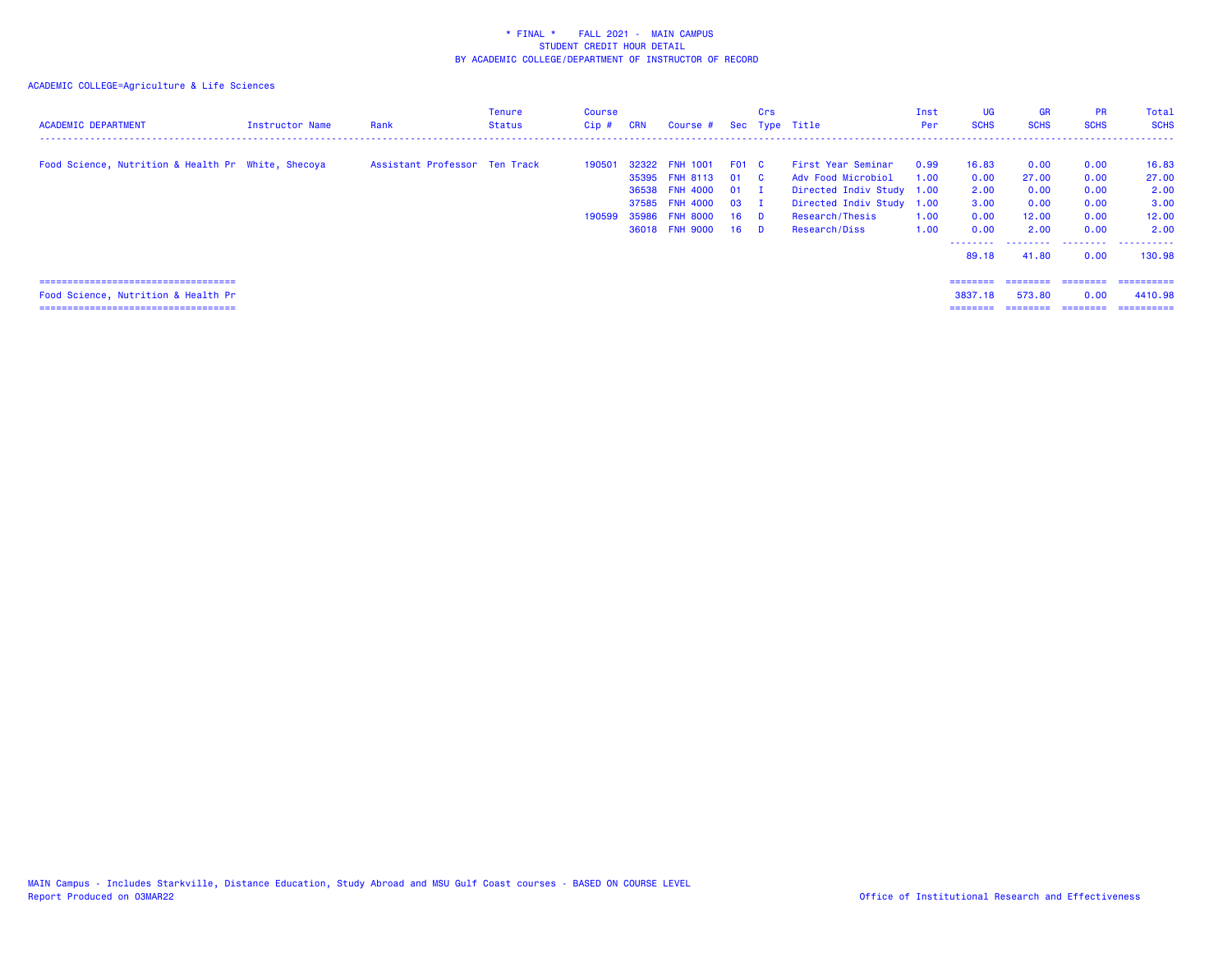| <b>ACADEMIC DEPARTMENT</b>                                                                                             | Instructor Name | Rank                          | Tenure<br><b>Status</b> | Course<br>Cip#   | <b>CRN</b> | Course #                                                                                                      |                                                | Crs                                 | Sec Type Title                                                                                                                         | Inst<br>Per                  | <b>UG</b><br><b>SCHS</b>                               | <b>GR</b><br><b>SCHS</b>                                     | <b>PR</b><br><b>SCHS</b>                             | Total<br><b>SCHS</b>                                          |
|------------------------------------------------------------------------------------------------------------------------|-----------------|-------------------------------|-------------------------|------------------|------------|---------------------------------------------------------------------------------------------------------------|------------------------------------------------|-------------------------------------|----------------------------------------------------------------------------------------------------------------------------------------|------------------------------|--------------------------------------------------------|--------------------------------------------------------------|------------------------------------------------------|---------------------------------------------------------------|
| Food Science, Nutrition & Health Pr White, Shecoya                                                                     |                 | Assistant Professor Ten Track |                         | 190501<br>190599 |            | 32322 FNH 1001<br>35395 FNH 8113 01 C<br>36538 FNH 4000<br>37585 FNH 4000<br>35986 FNH 8000<br>36018 FNH 9000 | FO1 C<br>01<br>03<br>$16$ D<br>16 <sup>1</sup> | $\mathbf{I}$<br>$\mathbf{I}$<br>- D | First Year Seminar<br>Adv Food Microbiol<br>Directed Indiv Study 1.00<br>Directed Indiv Study 1.00<br>Research/Thesis<br>Research/Diss | 0.99<br>1.00<br>1.00<br>1.00 | 16.83<br>0.00<br>2.00<br>3.00<br>0.00<br>0.00<br>89.18 | 0.00<br>27,00<br>0.00<br>0.00<br>12.00<br>2.00<br>.<br>41.80 | 0.00<br>0.00<br>0.00<br>0.00<br>0.00<br>0.00<br>0.00 | 16.83<br>27.00<br>2.00<br>3.00<br>12.00<br>2.00<br><br>130.98 |
| ======================================<br>Food Science, Nutrition & Health Pr<br>===================================== |                 |                               |                         |                  |            |                                                                                                               |                                                |                                     |                                                                                                                                        |                              | ========<br>3837.18                                    | ========<br>573.80<br>========                               | ========<br>0.00<br>---------                        | -----------<br>4410.98<br>==========                          |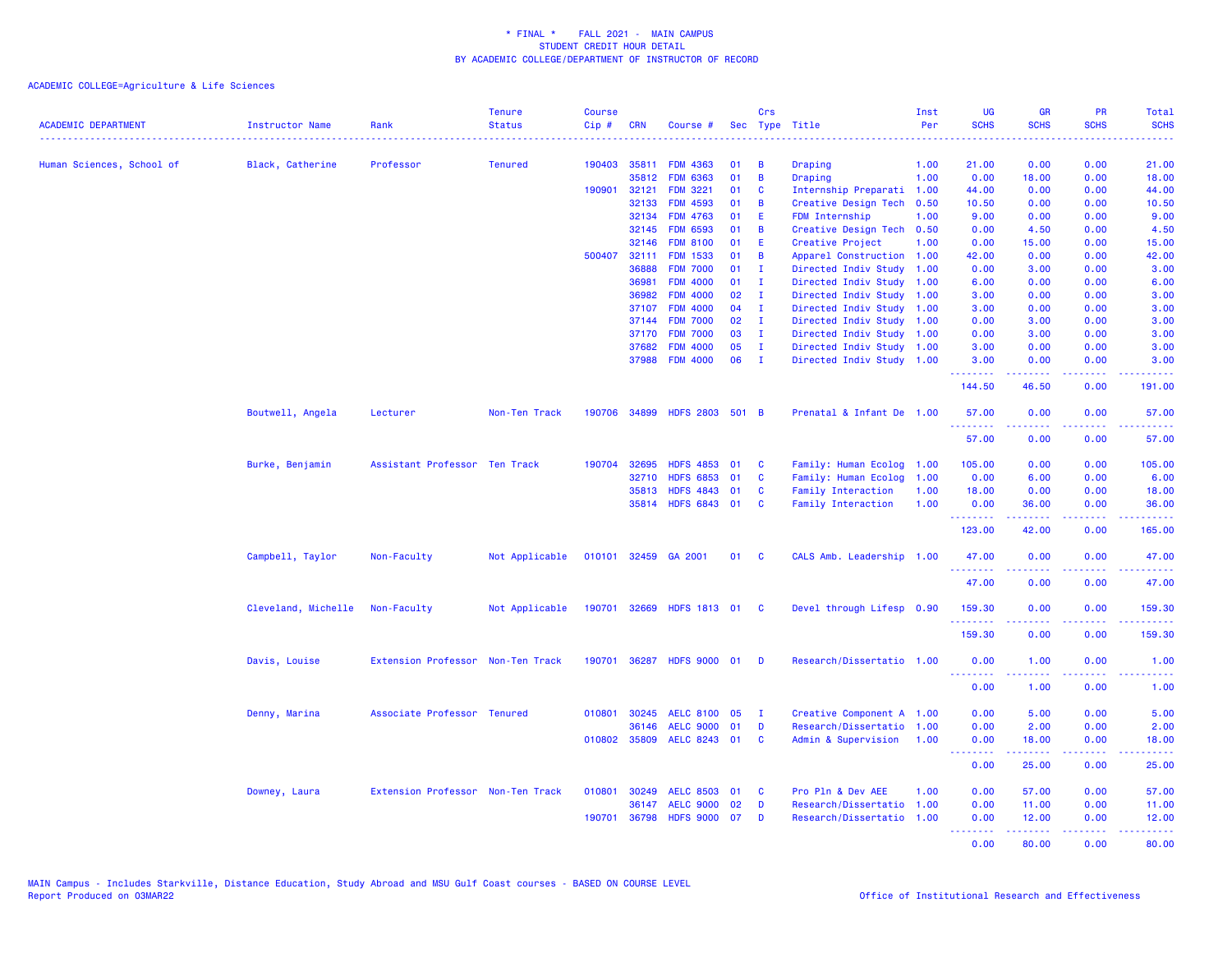| <b>ACADEMIC DEPARTMENT</b> | Instructor Name     | Rank                              | <b>Tenure</b><br><b>Status</b> | <b>Course</b><br>Cip# | <b>CRN</b>   | Course #                  | Sec | <b>Crs</b>   | Type Title                | Inst<br>Per | <b>UG</b><br><b>SCHS</b>                                 | <b>GR</b><br><b>SCHS</b> | <b>PR</b><br><b>SCHS</b> | <b>Total</b><br><b>SCHS</b><br><u>.</u>                                                                                         |
|----------------------------|---------------------|-----------------------------------|--------------------------------|-----------------------|--------------|---------------------------|-----|--------------|---------------------------|-------------|----------------------------------------------------------|--------------------------|--------------------------|---------------------------------------------------------------------------------------------------------------------------------|
| Human Sciences, School of  | Black, Catherine    | Professor                         | <b>Tenured</b>                 | 190403                | 35811        | <b>FDM 4363</b>           | 01  | B            | Draping                   | 1.00        | 21.00                                                    | 0.00                     | 0.00                     | 21.00                                                                                                                           |
|                            |                     |                                   |                                |                       | 35812        | <b>FDM 6363</b>           | 01  | B            | Draping                   | 1.00        | 0.00                                                     | 18.00                    | 0.00                     | 18.00                                                                                                                           |
|                            |                     |                                   |                                | 190901                | 32121        | <b>FDM 3221</b>           | 01  | C            | Internship Preparati 1.00 |             | 44.00                                                    | 0.00                     | 0.00                     | 44.00                                                                                                                           |
|                            |                     |                                   |                                |                       | 32133        | <b>FDM 4593</b>           | 01  | B            | Creative Design Tech      | 0.50        | 10.50                                                    | 0.00                     | 0.00                     | 10.50                                                                                                                           |
|                            |                     |                                   |                                |                       | 32134        | <b>FDM 4763</b>           | 01  | Ε            | FDM Internship            | 1.00        | 9.00                                                     | 0.00                     | 0.00                     | 9.00                                                                                                                            |
|                            |                     |                                   |                                |                       | 32145        | <b>FDM 6593</b>           | 01  | B            | Creative Design Tech 0.50 |             | 0.00                                                     | 4.50                     | 0.00                     | 4.50                                                                                                                            |
|                            |                     |                                   |                                |                       | 32146        | <b>FDM 8100</b>           | 01  | E.           | Creative Project          | 1.00        | 0.00                                                     | 15.00                    | 0.00                     | 15.00                                                                                                                           |
|                            |                     |                                   |                                | 500407                | 32111        | <b>FDM 1533</b>           | 01  | B            | Apparel Construction 1.00 |             | 42.00                                                    | 0.00                     | 0.00                     | 42.00                                                                                                                           |
|                            |                     |                                   |                                |                       | 36888        | <b>FDM 7000</b>           | 01  | $\mathbf{I}$ | Directed Indiv Study      | 1.00        | 0.00                                                     | 3.00                     | 0.00                     | 3.00                                                                                                                            |
|                            |                     |                                   |                                |                       | 36981        | <b>FDM 4000</b>           | 01  | $\mathbf{I}$ | Directed Indiv Study      | 1.00        | 6.00                                                     | 0.00                     | 0.00                     | 6.00                                                                                                                            |
|                            |                     |                                   |                                |                       | 36982        | <b>FDM 4000</b>           | 02  | $\mathbf{I}$ | Directed Indiv Study      | 1.00        | 3.00                                                     | 0.00                     | 0.00                     | 3.00                                                                                                                            |
|                            |                     |                                   |                                |                       | 37107        | <b>FDM 4000</b>           | 04  | $\mathbf{I}$ | Directed Indiv Study      | 1.00        | 3.00                                                     | 0.00                     | 0.00                     | 3.00                                                                                                                            |
|                            |                     |                                   |                                |                       | 37144        | <b>FDM 7000</b>           | 02  | Ι.           | Directed Indiv Study      | 1.00        | 0.00                                                     | 3.00                     | 0.00                     | 3.00                                                                                                                            |
|                            |                     |                                   |                                |                       | 37170        | <b>FDM 7000</b>           | 03  | п.           | Directed Indiv Study      | 1.00        | 0.00                                                     | 3.00                     | 0.00                     | 3.00                                                                                                                            |
|                            |                     |                                   |                                |                       | 37682        | <b>FDM 4000</b>           | 05  | $\mathbf{I}$ | Directed Indiv Study      | 1.00        | 3.00                                                     | 0.00                     | 0.00                     | 3.00                                                                                                                            |
|                            |                     |                                   |                                |                       | 37988        | <b>FDM 4000</b>           | 06  | $\mathbf{I}$ | Directed Indiv Study 1.00 |             | 3.00<br>.                                                | 0.00                     | 0.00<br>.                | 3.00                                                                                                                            |
|                            |                     |                                   |                                |                       |              |                           |     |              |                           |             | 144.50                                                   | 46.50                    | 0.00                     | 191.00                                                                                                                          |
|                            | Boutwell, Angela    | Lecturer                          | Non-Ten Track                  | 190706                | 34899        | HDFS 2803 501 B           |     |              | Prenatal & Infant De 1.00 |             | 57.00<br><u>.</u>                                        | 0.00                     | 0.00                     | 57.00<br>.                                                                                                                      |
|                            |                     |                                   |                                |                       |              |                           |     |              |                           |             | 57.00                                                    | 0.00                     | 0.00                     | 57.00                                                                                                                           |
|                            | Burke, Benjamin     | Assistant Professor Ten Track     |                                | 190704                | 32695        | <b>HDFS 4853</b>          | 01  | C            | Family: Human Ecolog      | 1.00        | 105.00                                                   | 0.00                     | 0.00                     | 105.00                                                                                                                          |
|                            |                     |                                   |                                |                       | 32710        | HDFS 6853 01              |     | C            | Family: Human Ecolog      | 1.00        | 0.00                                                     | 6.00                     | 0.00                     | 6.00                                                                                                                            |
|                            |                     |                                   |                                |                       | 35813        | HDFS 4843 01              |     | C            | Family Interaction        | 1.00        | 18.00                                                    | 0.00                     | 0.00                     | 18.00                                                                                                                           |
|                            |                     |                                   |                                |                       |              | 35814 HDFS 6843 01        |     | C            | Family Interaction        | 1.00        | 0.00<br><b><i><u><u> - - - - - - -</u></u></i></b>       | 36.00<br>.               | 0.00<br>.                | 36.00<br>.                                                                                                                      |
|                            |                     |                                   |                                |                       |              |                           |     |              |                           |             | 123.00                                                   | 42.00                    | 0.00                     | 165.00                                                                                                                          |
|                            | Campbell, Taylor    | Non-Faculty                       | Not Applicable                 |                       |              | 010101 32459 GA 2001      | 01  | <b>C</b>     | CALS Amb. Leadership 1.00 |             | 47.00<br><u>.</u>                                        | 0.00                     | 0.00<br>د د د د          | 47.00<br>.                                                                                                                      |
|                            |                     |                                   |                                |                       |              |                           |     |              |                           |             | 47.00                                                    | <u>.</u><br>0.00         | 0.00                     | 47.00                                                                                                                           |
|                            | Cleveland, Michelle | Non-Faculty                       | Not Applicable                 |                       |              | 190701 32669 HDFS 1813 01 |     | - C          | Devel through Lifesp 0.90 |             | 159.30<br>.                                              | 0.00<br>.                | 0.00<br>.                | 159.30<br>$\begin{array}{cccccccccc} \bullet & \bullet & \bullet & \bullet & \bullet & \bullet & \bullet & \bullet \end{array}$ |
|                            |                     |                                   |                                |                       |              |                           |     |              |                           |             | 159.30                                                   | 0.00                     | 0.00                     | 159.30                                                                                                                          |
|                            | Davis, Louise       | Extension Professor Non-Ten Track |                                |                       |              | 190701 36287 HDFS 9000 01 |     | - D          | Research/Dissertatio 1.00 |             | 0.00<br><b><i><u><u><b>a</b></u></u> a a a a a a</i></b> | 1.00<br>.                | 0.00                     | 1.00<br>.                                                                                                                       |
|                            |                     |                                   |                                |                       |              |                           |     |              |                           |             | 0.00                                                     | 1.00                     | 0.00                     | 1.00                                                                                                                            |
|                            | Denny, Marina       | Associate Professor Tenured       |                                |                       | 010801 30245 | AELC 8100 05              |     | $\mathbf{I}$ | Creative Component A 1.00 |             | 0.00                                                     | 5.00                     | 0.00                     | 5.00                                                                                                                            |
|                            |                     |                                   |                                |                       | 36146        | AELC 9000 01              |     | D            | Research/Dissertatio      | 1.00        | 0.00                                                     | 2.00                     | 0.00                     | 2.00                                                                                                                            |
|                            |                     |                                   |                                |                       | 010802 35809 | AELC 8243 01              |     | C            | Admin & Supervision       | 1.00        | 0.00<br><b>.</b>                                         | 18.00<br>22222           | 0.00<br>.                | 18.00<br>والمالمات                                                                                                              |
|                            |                     |                                   |                                |                       |              |                           |     |              |                           |             | 0.00                                                     | 25.00                    | 0.00                     | 25.00                                                                                                                           |
|                            | Downey, Laura       | Extension Professor Non-Ten Track |                                | 010801                | 30249        | AELC 8503 01              |     | C            | Pro Pln & Dev AEE         | 1.00        | 0.00                                                     | 57.00                    | 0.00                     | 57.00                                                                                                                           |
|                            |                     |                                   |                                |                       | 36147        | <b>AELC 9000</b>          | 02  | D            | Research/Dissertatio 1.00 |             | 0.00                                                     | 11.00                    | 0.00                     | 11.00                                                                                                                           |
|                            |                     |                                   |                                | 190701                | 36798        | <b>HDFS 9000</b>          | 07  | D            | Research/Dissertatio 1.00 |             | 0.00                                                     | 12.00                    | 0.00                     | 12.00                                                                                                                           |
|                            |                     |                                   |                                |                       |              |                           |     |              |                           |             | <b><i><u><u><b>Little Little</b></u></u></i></b><br>0.00 | .<br>80.00               | المتمامين<br>0.00        | .<br>80.00                                                                                                                      |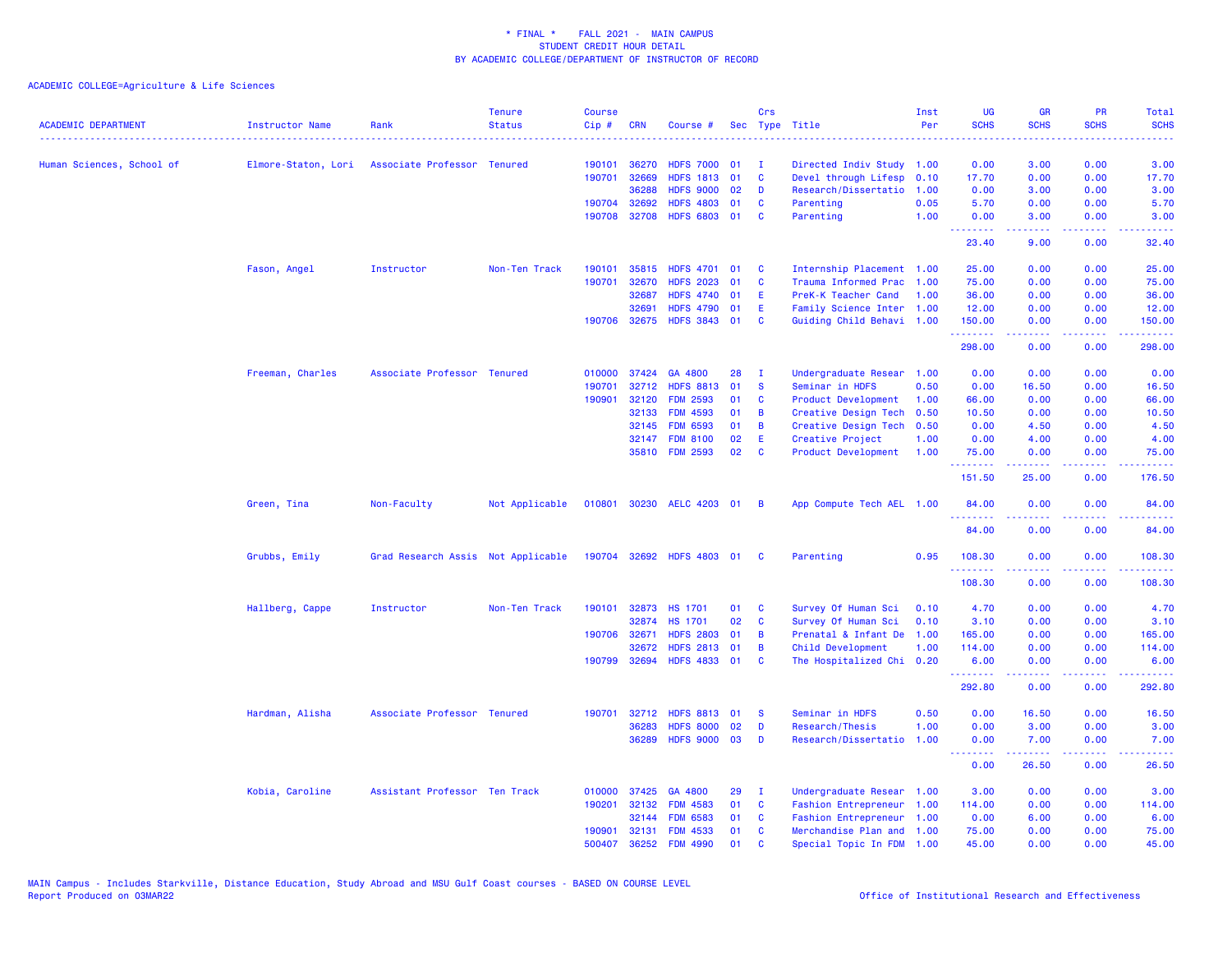| <b>ACADEMIC DEPARTMENT</b> | Instructor Name     | Rank                               | <b>Tenure</b><br><b>Status</b> | <b>Course</b><br>Cip# | <b>CRN</b>   | Course #                  |    | Crs            | Sec Type Title                                    | Inst<br>Per | <b>UG</b><br><b>SCHS</b> | <b>GR</b><br><b>SCHS</b> | <b>PR</b><br><b>SCHS</b>              | Total<br><b>SCHS</b> |
|----------------------------|---------------------|------------------------------------|--------------------------------|-----------------------|--------------|---------------------------|----|----------------|---------------------------------------------------|-------------|--------------------------|--------------------------|---------------------------------------|----------------------|
|                            |                     |                                    |                                | 190101                | 36270        | <b>HDFS 7000</b>          | 01 | T              |                                                   |             | 0.00                     | 3.00                     | 0.00                                  | 3.00                 |
| Human Sciences, School of  | Elmore-Staton, Lori | Associate Professor Tenured        |                                | 190701                | 32669        | HDFS 1813 01              |    | C              | Directed Indiv Study 1.00<br>Devel through Lifesp | 0.10        | 17.70                    | 0.00                     | 0.00                                  | 17.70                |
|                            |                     |                                    |                                |                       | 36288        | <b>HDFS 9000</b>          | 02 | D              | Research/Dissertatio                              | 1.00        | 0.00                     | 3.00                     | 0.00                                  | 3.00                 |
|                            |                     |                                    |                                | 190704                | 32692        | <b>HDFS 4803</b>          | 01 | C              | Parenting                                         | 0.05        | 5.70                     | 0.00                     | 0.00                                  | 5.70                 |
|                            |                     |                                    |                                |                       | 190708 32708 | HDFS 6803 01              |    | C              | Parenting                                         | 1.00        | 0.00                     | 3.00                     | 0.00                                  | 3.00                 |
|                            |                     |                                    |                                |                       |              |                           |    |                |                                                   |             | .<br>23.40               | .<br>9.00                | .<br>0.00                             | .<br>32.40           |
|                            | Fason, Angel        | Instructor                         | Non-Ten Track                  | 190101                | 35815        | <b>HDFS 4701</b>          | 01 | C              | Internship Placement 1.00                         |             | 25.00                    | 0.00                     | 0.00                                  | 25.00                |
|                            |                     |                                    |                                | 190701                | 32670        | <b>HDFS 2023</b>          | 01 | C              | Trauma Informed Prac                              | 1.00        | 75.00                    | 0.00                     | 0.00                                  | 75.00                |
|                            |                     |                                    |                                |                       | 32687        | <b>HDFS 4740</b>          | 01 | Ε              | PreK-K Teacher Cand                               | 1.00        | 36.00                    | 0.00                     | 0.00                                  | 36.00                |
|                            |                     |                                    |                                |                       | 32691        | <b>HDFS 4790</b>          | 01 | Ε              | Family Science Inter 1.00                         |             | 12.00                    | 0.00                     | 0.00                                  | 12.00                |
|                            |                     |                                    |                                |                       | 190706 32675 | HDFS 3843 01              |    | C              | Guiding Child Behavi 1.00                         |             | 150.00                   | 0.00                     | 0.00                                  | 150.00               |
|                            |                     |                                    |                                |                       |              |                           |    |                |                                                   |             | .<br>298.00              | .<br>0.00                | .<br>0.00                             | 22222.<br>298.00     |
|                            | Freeman, Charles    | Associate Professor Tenured        |                                | 010000                | 37424        | GA 4800                   | 28 | $\mathbf{I}$   | Undergraduate Resear 1.00                         |             | 0.00                     | 0.00                     | 0.00                                  | 0.00                 |
|                            |                     |                                    |                                | 190701                | 32712        | <b>HDFS 8813</b>          | 01 | <b>S</b>       | Seminar in HDFS                                   | 0.50        | 0.00                     | 16.50                    | 0.00                                  | 16.50                |
|                            |                     |                                    |                                | 190901                | 32120        | <b>FDM 2593</b>           | 01 | C              | Product Development                               | 1.00        | 66.00                    | 0.00                     | 0.00                                  | 66.00                |
|                            |                     |                                    |                                |                       | 32133        | <b>FDM 4593</b>           | 01 | B              | Creative Design Tech                              | 0.50        | 10.50                    | 0.00                     | 0.00                                  | 10.50                |
|                            |                     |                                    |                                |                       | 32145        | <b>FDM 6593</b>           | 01 | B              | Creative Design Tech                              | 0.50        | 0.00                     | 4.50                     | 0.00                                  | 4.50                 |
|                            |                     |                                    |                                |                       | 32147        | <b>FDM 8100</b>           | 02 | Ε              | Creative Project                                  | 1.00        | 0.00                     | 4.00                     | 0.00                                  | 4.00                 |
|                            |                     |                                    |                                |                       |              | 35810 FDM 2593            | 02 | C              | Product Development                               | 1.00        | 75.00<br>بالمتمام        | 0.00                     | 0.00<br>د د د د                       | 75.00<br>.           |
|                            |                     |                                    |                                |                       |              |                           |    |                |                                                   |             | 151.50                   | 25.00                    | 0.00                                  | 176.50               |
|                            | Green, Tina         | Non-Faculty                        | Not Applicable                 | 010801                |              | 30230 AELC 4203 01        |    | $\overline{B}$ | App Compute Tech AEL 1.00                         |             | 84.00<br><u>.</u>        | 0.00                     | 0.00<br><b><i><u><u>.</u></u></i></b> | 84.00                |
|                            |                     |                                    |                                |                       |              |                           |    |                |                                                   |             | 84.00                    | 0.00                     | 0.00                                  | 84.00                |
|                            | Grubbs, Emily       | Grad Research Assis Not Applicable |                                |                       |              | 190704 32692 HDFS 4803 01 |    | $\mathbf{C}$   | Parenting                                         | 0.95        | 108.30<br>.              | 0.00<br>.                | 0.00<br>.                             | 108.30<br>.          |
|                            |                     |                                    |                                |                       |              |                           |    |                |                                                   |             | 108.30                   | 0.00                     | 0.00                                  | 108.30               |
|                            | Hallberg, Cappe     | Instructor                         | Non-Ten Track                  | 190101                | 32873        | <b>HS 1701</b>            | 01 | C              | Survey Of Human Sci                               | 0.10        | 4.70                     | 0.00                     | 0.00                                  | 4.70                 |
|                            |                     |                                    |                                |                       | 32874        | <b>HS 1701</b>            | 02 | C              | Survey Of Human Sci                               | 0.10        | 3.10                     | 0.00                     | 0.00                                  | 3.10                 |
|                            |                     |                                    |                                |                       | 190706 32671 | <b>HDFS 2803</b>          | 01 | B              | Prenatal & Infant De                              | 1.00        | 165.00                   | 0.00                     | 0.00                                  | 165.00               |
|                            |                     |                                    |                                |                       | 32672        | <b>HDFS 2813</b>          | 01 | B              | Child Development                                 | 1.00        | 114.00                   | 0.00                     | 0.00                                  | 114.00               |
|                            |                     |                                    |                                | 190799                | 32694        | <b>HDFS 4833</b>          | 01 | C              | The Hospitalized Chi                              | 0.20        | 6.00<br>.                | 0.00                     | 0.00<br><b><i><u>ALC ALC</u></i></b>  | 6.00<br>.            |
|                            |                     |                                    |                                |                       |              |                           |    |                |                                                   |             | 292.80                   | 0.00                     | 0.00                                  | 292.80               |
|                            | Hardman, Alisha     | Associate Professor Tenured        |                                | 190701                | 32712        | <b>HDFS 8813</b>          | 01 | <b>S</b>       | Seminar in HDFS                                   | 0.50        | 0.00                     | 16.50                    | 0.00                                  | 16.50                |
|                            |                     |                                    |                                |                       | 36283        | <b>HDFS 8000</b>          | 02 | D              | Research/Thesis                                   | 1.00        | 0.00                     | 3.00                     | 0.00                                  | 3.00                 |
|                            |                     |                                    |                                |                       | 36289        | <b>HDFS 9000</b>          | 03 | D              | Research/Dissertatio                              | 1.00        | 0.00<br>.                | 7.00                     | 0.00<br>2222                          | 7.00                 |
|                            |                     |                                    |                                |                       |              |                           |    |                |                                                   |             | 0.00                     | 26.50                    | 0.00                                  | 26.50                |
|                            | Kobia, Caroline     | Assistant Professor Ten Track      |                                | 010000                | 37425        | GA 4800                   | 29 | <b>I</b>       | Undergraduate Resear 1.00                         |             | 3.00                     | 0.00                     | 0.00                                  | 3.00                 |
|                            |                     |                                    |                                | 190201                | 32132        | <b>FDM 4583</b>           | 01 | C              | Fashion Entrepreneur 1.00                         |             | 114.00                   | 0.00                     | 0.00                                  | 114.00               |
|                            |                     |                                    |                                |                       | 32144        | <b>FDM 6583</b>           | 01 | C              | Fashion Entrepreneur 1.00                         |             | 0.00                     | 6.00                     | 0.00                                  | 6.00                 |
|                            |                     |                                    |                                | 190901                | 32131        | <b>FDM 4533</b>           | 01 | C              | Merchandise Plan and 1.00                         |             | 75.00                    | 0.00                     | 0.00                                  | 75.00                |
|                            |                     |                                    |                                | 500407                | 36252        | <b>FDM 4990</b>           | 01 | $\mathbf{C}$   | Special Topic In FDM                              | 1.00        | 45.00                    | 0.00                     | 0.00                                  | 45.00                |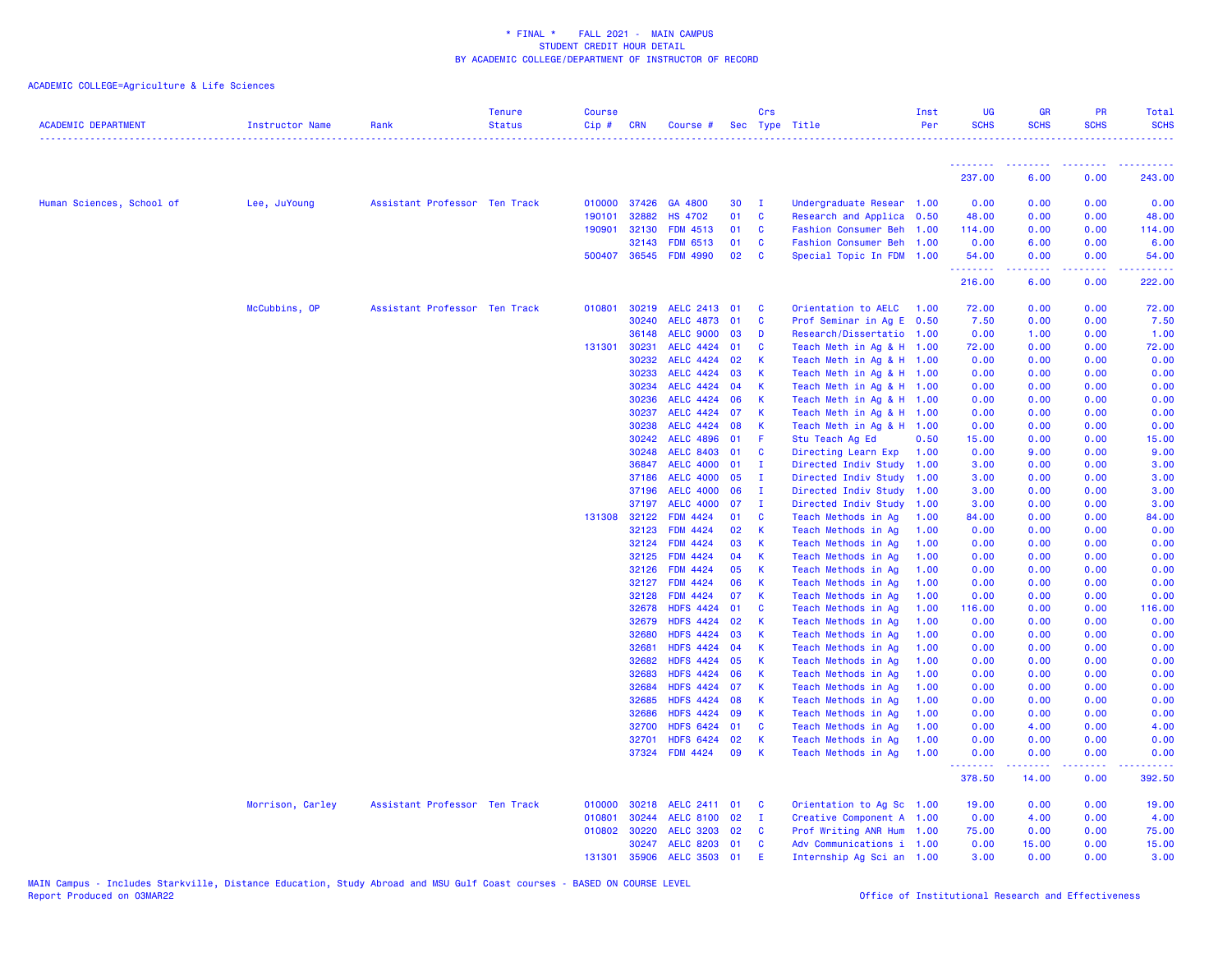| <b>ACADEMIC DEPARTMENT</b> | <b>Instructor Name</b> | Rank                          | <b>Tenure</b><br><b>Status</b> | <b>Course</b><br>$Cip \#$ | <b>CRN</b>   | Course #         |    | Crs          | Sec Type Title            | Inst<br>Per | <b>UG</b><br><b>SCHS</b> | <b>GR</b><br><b>SCHS</b>                                                                                                                                     | PR<br><b>SCHS</b>  | Total<br><b>SCHS</b> |
|----------------------------|------------------------|-------------------------------|--------------------------------|---------------------------|--------------|------------------|----|--------------|---------------------------|-------------|--------------------------|--------------------------------------------------------------------------------------------------------------------------------------------------------------|--------------------|----------------------|
|                            |                        |                               |                                |                           |              |                  |    |              |                           |             | <u>.</u>                 |                                                                                                                                                              |                    |                      |
|                            |                        |                               |                                |                           |              |                  |    |              |                           |             | 237.00                   | 6.00                                                                                                                                                         | 0.00               | 243.00               |
| Human Sciences, School of  | Lee, JuYoung           | Assistant Professor Ten Track |                                |                           | 010000 37426 | GA 4800          | 30 | $\mathbf I$  | Undergraduate Resear 1.00 |             | 0.00                     | 0.00                                                                                                                                                         | 0.00               | 0.00                 |
|                            |                        |                               |                                | 190101                    | 32882        | <b>HS 4702</b>   | 01 | $\mathbf{C}$ | Research and Applica 0.50 |             | 48.00                    | 0.00                                                                                                                                                         | 0.00               | 48.00                |
|                            |                        |                               |                                | 190901                    | 32130        | <b>FDM 4513</b>  | 01 | <b>C</b>     | Fashion Consumer Beh 1.00 |             | 114.00                   | 0.00                                                                                                                                                         | 0.00               | 114.00               |
|                            |                        |                               |                                |                           | 32143        | <b>FDM 6513</b>  | 01 | <b>C</b>     | Fashion Consumer Beh 1.00 |             | 0.00                     | 6.00                                                                                                                                                         | 0.00               | 6.00                 |
|                            |                        |                               |                                |                           | 500407 36545 | <b>FDM 4990</b>  | 02 | <b>C</b>     | Special Topic In FDM 1.00 |             | 54.00<br>.               | 0.00<br>$\frac{1}{2} \left( \frac{1}{2} \right) \left( \frac{1}{2} \right) \left( \frac{1}{2} \right) \left( \frac{1}{2} \right) \left( \frac{1}{2} \right)$ | 0.00<br>. <b>.</b> | 54.00                |
|                            |                        |                               |                                |                           |              |                  |    |              |                           |             | 216.00                   | 6.00                                                                                                                                                         | 0.00               | 222.00               |
|                            | McCubbins, OP          | Assistant Professor Ten Track |                                | 010801                    | 30219        | AELC 2413 01     |    | C            | Orientation to AELC 1.00  |             | 72.00                    | 0.00                                                                                                                                                         | 0.00               | 72.00                |
|                            |                        |                               |                                |                           | 30240        | <b>AELC 4873</b> | 01 | $\mathbf{C}$ | Prof Seminar in Ag E 0.50 |             | 7.50                     | 0.00                                                                                                                                                         | 0.00               | 7.50                 |
|                            |                        |                               |                                |                           | 36148        | <b>AELC 9000</b> | 03 | D            | Research/Dissertatio 1.00 |             | 0.00                     | 1.00                                                                                                                                                         | 0.00               | 1.00                 |
|                            |                        |                               |                                | 131301                    | 30231        | <b>AELC 4424</b> | 01 | C            | Teach Meth in Ag & H 1.00 |             | 72.00                    | 0.00                                                                                                                                                         | 0.00               | 72.00                |
|                            |                        |                               |                                |                           | 30232        | AELC 4424 02     |    | -K           | Teach Meth in Ag & H 1.00 |             | 0.00                     | 0.00                                                                                                                                                         | 0.00               | 0.00                 |
|                            |                        |                               |                                |                           | 30233        | <b>AELC 4424</b> | 03 | $\mathsf{K}$ | Teach Meth in Ag & H 1.00 |             | 0.00                     | 0.00                                                                                                                                                         | 0.00               | 0.00                 |
|                            |                        |                               |                                |                           | 30234        | <b>AELC 4424</b> | 04 | K            | Teach Meth in Ag & H 1.00 |             | 0.00                     | 0.00                                                                                                                                                         | 0.00               | 0.00                 |
|                            |                        |                               |                                |                           | 30236        | <b>AELC 4424</b> | 06 | К            | Teach Meth in Ag & H 1.00 |             | 0.00                     | 0.00                                                                                                                                                         | 0.00               | 0.00                 |
|                            |                        |                               |                                |                           | 30237        | <b>AELC 4424</b> | 07 | $\mathsf{K}$ | Teach Meth in Ag & H 1.00 |             | 0.00                     | 0.00                                                                                                                                                         | 0.00               | 0.00                 |
|                            |                        |                               |                                |                           | 30238        | <b>AELC 4424</b> | 08 | -K           | Teach Meth in Ag & H 1.00 |             | 0.00                     | 0.00                                                                                                                                                         | 0.00               | 0.00                 |
|                            |                        |                               |                                |                           | 30242        | <b>AELC 4896</b> | 01 | -F           | Stu Teach Ag Ed           | 0.50        | 15.00                    | 0.00                                                                                                                                                         | 0.00               | 15.00                |
|                            |                        |                               |                                |                           | 30248        | <b>AELC 8403</b> | 01 | <b>C</b>     | Directing Learn Exp       | 1.00        | 0.00                     | 9.00                                                                                                                                                         | 0.00               | 9.00                 |
|                            |                        |                               |                                |                           | 36847        | <b>AELC 4000</b> | 01 | $\mathbf I$  | Directed Indiv Study      | 1.00        | 3.00                     | 0.00                                                                                                                                                         | 0.00               | 3.00                 |
|                            |                        |                               |                                |                           | 37186        | <b>AELC 4000</b> | 05 | <b>I</b>     | Directed Indiv Study 1.00 |             | 3.00                     | 0.00                                                                                                                                                         | 0.00               | 3.00                 |
|                            |                        |                               |                                |                           | 37196        | <b>AELC 4000</b> | 06 | $\mathbf I$  | Directed Indiv Study      | 1.00        | 3.00                     | 0.00                                                                                                                                                         | 0.00               | 3.00                 |
|                            |                        |                               |                                |                           | 37197        | <b>AELC 4000</b> | 07 | $\mathbf I$  | Directed Indiv Study      | 1.00        | 3.00                     | 0.00                                                                                                                                                         | 0.00               | 3.00                 |
|                            |                        |                               |                                |                           | 131308 32122 | <b>FDM 4424</b>  | 01 | <b>C</b>     | Teach Methods in Ag       | 1.00        | 84.00                    | 0.00                                                                                                                                                         | 0.00               | 84.00                |
|                            |                        |                               |                                |                           | 32123        | <b>FDM 4424</b>  | 02 | K            | Teach Methods in Ag       | 1.00        | 0.00                     | 0.00                                                                                                                                                         | 0.00               | 0.00                 |
|                            |                        |                               |                                |                           | 32124        | <b>FDM 4424</b>  | 03 | K            | Teach Methods in Ag       | 1.00        | 0.00                     | 0.00                                                                                                                                                         | 0.00               | 0.00                 |
|                            |                        |                               |                                |                           | 32125        | <b>FDM 4424</b>  | 04 | K            | Teach Methods in Ag       | 1.00        | 0.00                     | 0.00                                                                                                                                                         | 0.00               | 0.00                 |
|                            |                        |                               |                                |                           | 32126        | <b>FDM 4424</b>  | 05 | K            | Teach Methods in Ag       | 1.00        | 0.00                     | 0.00                                                                                                                                                         | 0.00               | 0.00                 |
|                            |                        |                               |                                |                           | 32127        | <b>FDM 4424</b>  | 06 | K            | Teach Methods in Ag       | 1.00        | 0.00                     | 0.00                                                                                                                                                         | 0.00               | 0.00                 |
|                            |                        |                               |                                |                           | 32128        | <b>FDM 4424</b>  | 07 | $\mathsf{K}$ | Teach Methods in Ag       | 1.00        | 0.00                     | 0.00                                                                                                                                                         | 0.00               | 0.00                 |
|                            |                        |                               |                                |                           | 32678        | <b>HDFS 4424</b> | 01 | C            | Teach Methods in Ag       | 1.00        | 116.00                   | 0.00                                                                                                                                                         | 0.00               | 116.00               |
|                            |                        |                               |                                |                           | 32679        | <b>HDFS 4424</b> | 02 | К            | Teach Methods in Ag       | 1.00        | 0.00                     | 0.00                                                                                                                                                         | 0.00               | 0.00                 |
|                            |                        |                               |                                |                           | 32680        | <b>HDFS 4424</b> | 03 | K            | Teach Methods in Ag       | 1.00        | 0.00                     | 0.00                                                                                                                                                         | 0.00               | 0.00                 |
|                            |                        |                               |                                |                           | 32681        | <b>HDFS 4424</b> | 04 | $\mathsf{K}$ | Teach Methods in Ag       | 1.00        | 0.00                     | 0.00                                                                                                                                                         | 0.00               | 0.00                 |
|                            |                        |                               |                                |                           | 32682        | <b>HDFS 4424</b> | 05 | K            | Teach Methods in Ag       | 1.00        | 0.00                     | 0.00                                                                                                                                                         | 0.00               | 0.00                 |
|                            |                        |                               |                                |                           | 32683        | <b>HDFS 4424</b> | 06 | $\mathsf{K}$ | Teach Methods in Ag       | 1.00        | 0.00                     | 0.00                                                                                                                                                         | 0.00               | 0.00                 |
|                            |                        |                               |                                |                           | 32684        | <b>HDFS 4424</b> | 07 | -K           | Teach Methods in Ag       | 1.00        | 0.00                     | 0.00                                                                                                                                                         | 0.00               | 0.00                 |
|                            |                        |                               |                                |                           | 32685        | <b>HDFS 4424</b> | 08 | K            | Teach Methods in Ag       | 1.00        | 0.00                     | 0.00                                                                                                                                                         | 0.00               | 0.00                 |
|                            |                        |                               |                                |                           | 32686        | <b>HDFS 4424</b> | 09 | K            | Teach Methods in Ag       | 1.00        | 0.00                     | 0.00                                                                                                                                                         | 0.00               | 0.00                 |
|                            |                        |                               |                                |                           | 32700        | <b>HDFS 6424</b> | 01 | C            | Teach Methods in Ag       | 1.00        | 0.00                     | 4.00                                                                                                                                                         | 0.00               | 4.00                 |
|                            |                        |                               |                                |                           | 32701        | <b>HDFS 6424</b> | 02 | $\mathsf{K}$ | Teach Methods in Ag       | 1.00        | 0.00                     | 0.00                                                                                                                                                         | 0.00               | 0.00                 |
|                            |                        |                               |                                |                           | 37324        | <b>FDM 4424</b>  | 09 | K            | Teach Methods in Ag       | 1.00        | 0.00<br>.                | 0.00<br>بالمستمال                                                                                                                                            | 0.00               | 0.00<br>------       |
|                            |                        |                               |                                |                           |              |                  |    |              |                           |             | 378.50                   | 14.00                                                                                                                                                        | 0.00               | 392.50               |
|                            | Morrison, Carley       | Assistant Professor Ten Track |                                | 010000                    | 30218        | AELC 2411 01     |    | C            | Orientation to Ag Sc 1.00 |             | 19.00                    | 0.00                                                                                                                                                         | 0.00               | 19.00                |
|                            |                        |                               |                                | 010801                    | 30244        | <b>AELC 8100</b> | 02 | $\mathbf I$  | Creative Component A 1.00 |             | 0.00                     | 4.00                                                                                                                                                         | 0.00               | 4.00                 |
|                            |                        |                               |                                | 010802                    | 30220        | <b>AELC 3203</b> | 02 | <b>C</b>     | Prof Writing ANR Hum 1.00 |             | 75.00                    | 0.00                                                                                                                                                         | 0.00               | 75.00                |
|                            |                        |                               |                                |                           | 30247        | AELC 8203 01     |    | C            | Adv Communications i 1.00 |             | 0.00                     | 15.00                                                                                                                                                        | 0.00               | 15.00                |
|                            |                        |                               |                                | 131301                    | 35906        | AELC 3503 01     |    | E            | Internship Ag Sci an 1.00 |             | 3.00                     | 0.00                                                                                                                                                         | 0.00               | 3.00                 |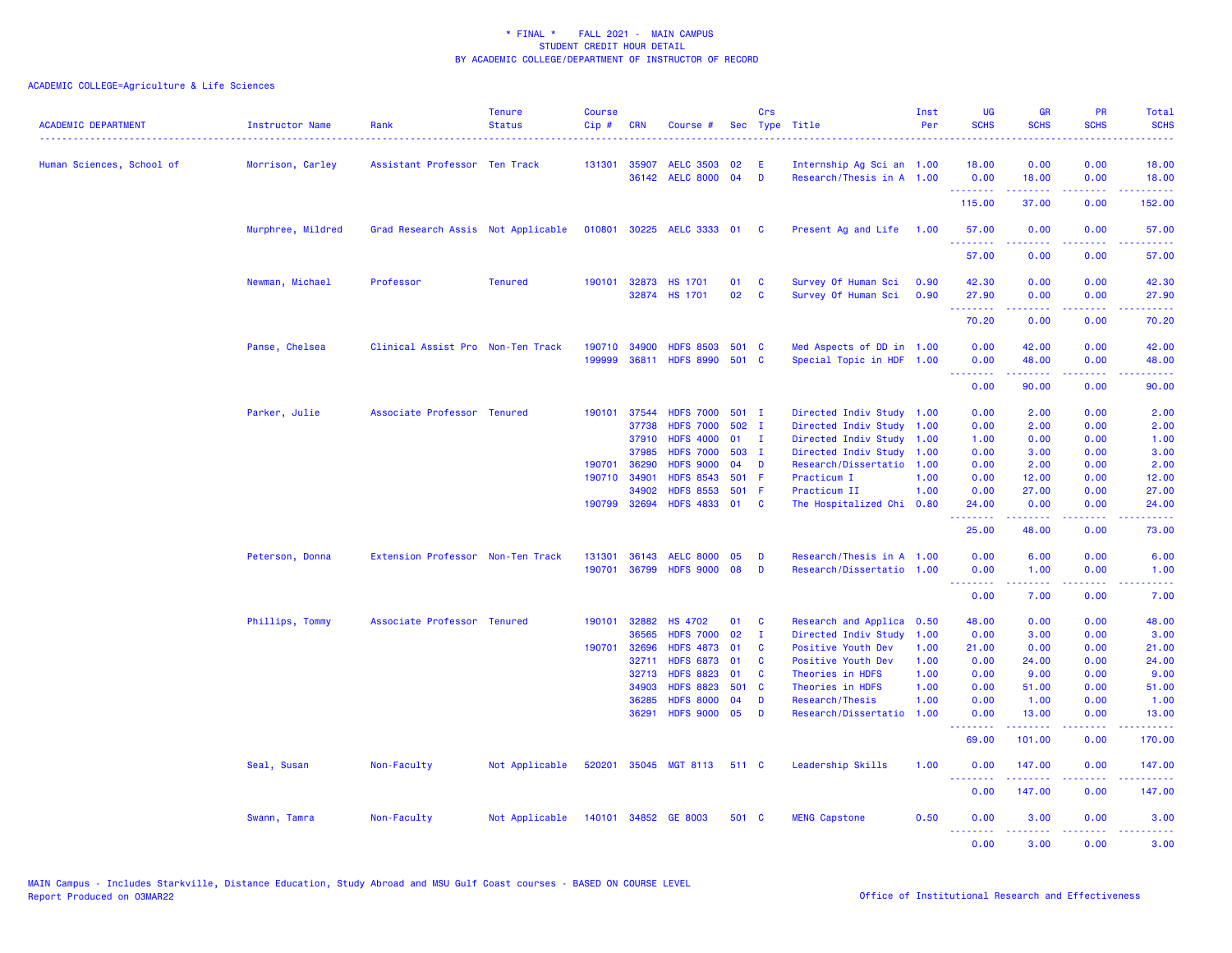| <b>ACADEMIC DEPARTMENT</b> | Instructor Name   | Rank                               | <b>Tenure</b><br><b>Status</b> | <b>Course</b><br>Cip# | <b>CRN</b>     | Course #                             |             | Crs          | Sec Type Title                            | Inst<br>Per  | <b>UG</b><br><b>SCHS</b> | <b>GR</b><br><b>SCHS</b>                                                                                                                                      | <b>PR</b><br><b>SCHS</b>                                                                                                          | Total<br><b>SCHS</b><br>. |
|----------------------------|-------------------|------------------------------------|--------------------------------|-----------------------|----------------|--------------------------------------|-------------|--------------|-------------------------------------------|--------------|--------------------------|---------------------------------------------------------------------------------------------------------------------------------------------------------------|-----------------------------------------------------------------------------------------------------------------------------------|---------------------------|
| Human Sciences, School of  | Morrison, Carley  | Assistant Professor Ten Track      |                                | 131301                | 35907          | <b>AELC 3503</b>                     | 02          | E            | Internship Ag Sci an 1.00                 |              | 18.00                    | 0.00                                                                                                                                                          | 0.00                                                                                                                              | 18.00                     |
|                            |                   |                                    |                                |                       |                | 36142 AELC 8000 04                   |             | <b>D</b>     | Research/Thesis in A 1.00                 |              | 0.00<br>. <u>.</u>       | 18.00                                                                                                                                                         | 0.00<br>.                                                                                                                         | 18.00                     |
|                            |                   |                                    |                                |                       |                |                                      |             |              |                                           |              | 115.00                   | 37.00                                                                                                                                                         | 0.00                                                                                                                              | 152.00                    |
|                            | Murphree, Mildred | Grad Research Assis Not Applicable |                                |                       |                | 010801 30225 AELC 3333 01 C          |             |              | Present Ag and Life                       | 1.00         | 57.00<br>.               | 0.00<br>$\frac{1}{2} \left( \frac{1}{2} \right) \left( \frac{1}{2} \right) \left( \frac{1}{2} \right) \left( \frac{1}{2} \right) \left( \frac{1}{2} \right)$  | 0.00<br>.                                                                                                                         | 57.00<br>.                |
|                            |                   |                                    |                                |                       |                |                                      |             |              |                                           |              | 57.00                    | 0.00                                                                                                                                                          | 0.00                                                                                                                              | 57.00                     |
|                            | Newman, Michael   | Professor                          | <b>Tenured</b>                 | 190101                | 32873          | <b>HS 1701</b>                       | 01          | <b>C</b>     | Survey Of Human Sci                       | 0.90         | 42.30                    | 0.00                                                                                                                                                          | 0.00                                                                                                                              | 42.30                     |
|                            |                   |                                    |                                |                       |                | 32874 HS 1701                        | 02          | $\mathbf{C}$ | Survey Of Human Sci                       | 0.90         | 27.90<br>.               | 0.00<br>$\frac{1}{2} \left( \frac{1}{2} \right) \left( \frac{1}{2} \right) \left( \frac{1}{2} \right) \left( \frac{1}{2} \right)$                             | 0.00<br>$\frac{1}{2} \left( \frac{1}{2} \right) \left( \frac{1}{2} \right) \left( \frac{1}{2} \right) \left( \frac{1}{2} \right)$ | 27.90<br>.                |
|                            |                   |                                    |                                |                       |                |                                      |             |              |                                           |              | 70.20                    | 0.00                                                                                                                                                          | 0.00                                                                                                                              | 70.20                     |
|                            | Panse, Chelsea    | Clinical Assist Pro Non-Ten Track  |                                | 190710                | 34900          | <b>HDFS 8503</b>                     | 501 C       |              | Med Aspects of DD in 1.00                 |              | 0.00                     | 42.00                                                                                                                                                         | 0.00                                                                                                                              | 42.00                     |
|                            |                   |                                    |                                | 199999                | 36811          | <b>HDFS 8990</b>                     | 501 C       |              | Special Topic in HDF 1.00                 |              | 0.00<br><u>.</u>         | 48.00<br>$\frac{1}{2} \left( \frac{1}{2} \right) \left( \frac{1}{2} \right) \left( \frac{1}{2} \right) \left( \frac{1}{2} \right) \left( \frac{1}{2} \right)$ | 0.00<br>.                                                                                                                         | 48.00<br>.                |
|                            |                   |                                    |                                |                       |                |                                      |             |              |                                           |              | 0.00                     | 90.00                                                                                                                                                         | 0.00                                                                                                                              | 90.00                     |
|                            | Parker, Julie     | Associate Professor Tenured        |                                | 190101                | 37544          | <b>HDFS 7000</b>                     | 501 I       |              | Directed Indiv Study 1.00                 |              | 0.00                     | 2.00                                                                                                                                                          | 0.00                                                                                                                              | 2.00                      |
|                            |                   |                                    |                                |                       | 37738          | <b>HDFS 7000</b>                     | 502 I       |              | Directed Indiv Study 1.00                 |              | 0.00                     | 2.00                                                                                                                                                          | 0.00                                                                                                                              | 2.00                      |
|                            |                   |                                    |                                |                       | 37910          | <b>HDFS 4000</b>                     | 01          | $\mathbf{I}$ | Directed Indiv Study 1.00                 |              | 1.00                     | 0.00                                                                                                                                                          | 0.00                                                                                                                              | 1.00                      |
|                            |                   |                                    |                                |                       | 37985          | <b>HDFS 7000</b>                     | 503 I       |              | Directed Indiv Study 1.00                 |              | 0.00                     | 3.00                                                                                                                                                          | 0.00                                                                                                                              | 3.00                      |
|                            |                   |                                    |                                | 190701                | 36290          | <b>HDFS 9000</b>                     | 04          | D            | Research/Dissertatio 1.00                 |              | 0.00                     | 2.00                                                                                                                                                          | 0.00                                                                                                                              | 2.00                      |
|                            |                   |                                    |                                |                       | 190710 34901   | <b>HDFS 8543</b>                     | 501 F       |              | Practicum I                               | 1.00         | 0.00                     | 12.00                                                                                                                                                         | 0.00                                                                                                                              | 12.00                     |
|                            |                   |                                    |                                | 190799                | 34902<br>32694 | <b>HDFS 8553</b><br><b>HDFS 4833</b> | 501 F<br>01 | <b>C</b>     | Practicum II<br>The Hospitalized Chi 0.80 | 1.00         | 0.00<br>24.00            | 27.00<br>0.00                                                                                                                                                 | 0.00<br>0.00                                                                                                                      | 27.00<br>24.00            |
|                            |                   |                                    |                                |                       |                |                                      |             |              |                                           |              | 25.00                    | 48.00                                                                                                                                                         | 0.00                                                                                                                              | 73.00                     |
|                            | Peterson, Donna   | Extension Professor Non-Ten Track  |                                | 131301                | 36143          | <b>AELC 8000</b>                     | 05          | D            | Research/Thesis in A 1.00                 |              | 0.00                     | 6.00                                                                                                                                                          | 0.00                                                                                                                              | 6.00                      |
|                            |                   |                                    |                                | 190701                | 36799          | <b>HDFS 9000</b>                     | 08          | D            | Research/Dissertatio 1.00                 |              | 0.00                     | 1.00                                                                                                                                                          | 0.00                                                                                                                              | 1.00                      |
|                            |                   |                                    |                                |                       |                |                                      |             |              |                                           |              | .<br>0.00                | $\frac{1}{2} \left( \frac{1}{2} \right) \left( \frac{1}{2} \right) \left( \frac{1}{2} \right) \left( \frac{1}{2} \right) \left( \frac{1}{2} \right)$<br>7.00  | .<br>0.00                                                                                                                         | وعاديات<br>7.00           |
|                            |                   |                                    |                                |                       |                |                                      |             |              |                                           |              |                          |                                                                                                                                                               |                                                                                                                                   |                           |
|                            | Phillips, Tommy   | Associate Professor Tenured        |                                | 190101                | 32882          | <b>HS 4702</b>                       | 01          | <b>C</b>     | Research and Applica 0.50                 |              | 48.00                    | 0.00                                                                                                                                                          | 0.00                                                                                                                              | 48.00                     |
|                            |                   |                                    |                                |                       | 36565          | <b>HDFS 7000</b>                     | 02          | $\mathbf I$  | Directed Indiv Study                      | 1.00         | 0.00                     | 3.00                                                                                                                                                          | 0.00                                                                                                                              | 3.00                      |
|                            |                   |                                    |                                |                       | 190701 32696   | <b>HDFS 4873</b>                     | 01          | $\mathbf{C}$ | Positive Youth Dev                        | 1.00         | 21.00                    | 0.00                                                                                                                                                          | 0.00                                                                                                                              | 21.00                     |
|                            |                   |                                    |                                |                       | 32711          | <b>HDFS 6873</b>                     | 01          | $\mathbf{C}$ | Positive Youth Dev                        | 1.00         | 0.00                     | 24.00                                                                                                                                                         | 0.00                                                                                                                              | 24.00                     |
|                            |                   |                                    |                                |                       | 32713<br>34903 | <b>HDFS 8823</b><br><b>HDFS 8823</b> | 01<br>501 C | <b>C</b>     | Theories in HDFS<br>Theories in HDFS      | 1.00<br>1.00 | 0.00<br>0.00             | 9.00<br>51.00                                                                                                                                                 | 0.00<br>0.00                                                                                                                      | 9.00<br>51.00             |
|                            |                   |                                    |                                |                       | 36285          | <b>HDFS 8000</b>                     | 04          | D            | Research/Thesis                           | 1.00         | 0.00                     | 1.00                                                                                                                                                          | 0.00                                                                                                                              | 1.00                      |
|                            |                   |                                    |                                |                       | 36291          | <b>HDFS 9000</b>                     | 05          | D            | Research/Dissertatio                      | 1.00         | 0.00                     | 13.00                                                                                                                                                         | 0.00                                                                                                                              | 13.00                     |
|                            |                   |                                    |                                |                       |                |                                      |             |              |                                           |              | <u>.</u><br>69.00        | 101.00                                                                                                                                                        | 0.00                                                                                                                              | 170.00                    |
|                            | Seal, Susan       | Non-Faculty                        | Not Applicable                 |                       |                | 520201 35045 MGT 8113                | 511 C       |              | Leadership Skills                         | 1.00         | 0.00                     | 147.00                                                                                                                                                        | 0.00                                                                                                                              | 147.00                    |
|                            |                   |                                    |                                |                       |                |                                      |             |              |                                           |              | <u>.</u><br>0.00         | $- - - - - - -$<br>147.00                                                                                                                                     | .<br>0.00                                                                                                                         | $- - - - - -$<br>147.00   |
|                            | Swann, Tamra      | Non-Faculty                        | Not Applicable                 |                       |                | 140101 34852 GE 8003                 | 501 C       |              | <b>MENG Capstone</b>                      | 0.50         | 0.00                     | 3.00                                                                                                                                                          | 0.00                                                                                                                              | 3.00                      |
|                            |                   |                                    |                                |                       |                |                                      |             |              |                                           |              | <u>.</u><br>0.00         | <u>.</u><br>3.00                                                                                                                                              | .<br>0.00                                                                                                                         | <u>.</u><br>3.00          |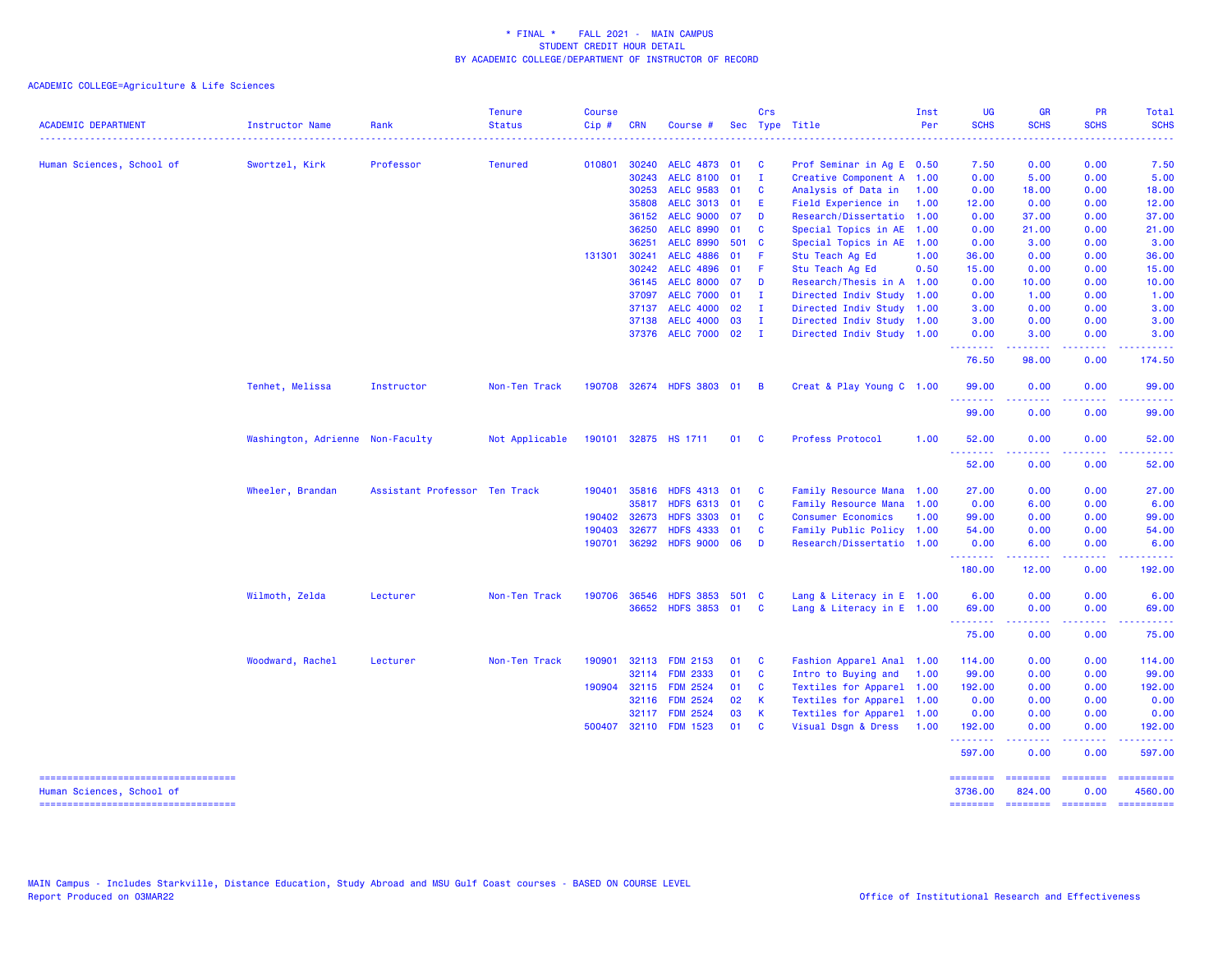| <b>ACADEMIC DEPARTMENT</b>                                       | <b>Instructor Name</b><br><u>.</u> | Rank                          | <b>Tenure</b><br><b>Status</b> | <b>Course</b><br>Cip# | <b>CRN</b> | Course #              |       | Crs                     | Sec Type Title            | Inst<br>Per | <b>UG</b><br><b>SCHS</b><br>$\frac{1}{2} \left( \frac{1}{2} \right) \left( \frac{1}{2} \right) \left( \frac{1}{2} \right) \left( \frac{1}{2} \right)$ | <b>GR</b><br><b>SCHS</b>                                                                                                                                     | <b>PR</b><br><b>SCHS</b> | Total<br><b>SCHS</b>                  |
|------------------------------------------------------------------|------------------------------------|-------------------------------|--------------------------------|-----------------------|------------|-----------------------|-------|-------------------------|---------------------------|-------------|-------------------------------------------------------------------------------------------------------------------------------------------------------|--------------------------------------------------------------------------------------------------------------------------------------------------------------|--------------------------|---------------------------------------|
| Human Sciences, School of                                        | Swortzel, Kirk                     | Professor                     | <b>Tenured</b>                 | 010801                | 30240      | <b>AELC 4873</b>      | - 01  | $\mathbf{C}$            | Prof Seminar in Ag E 0.50 |             | 7.50                                                                                                                                                  | 0.00                                                                                                                                                         | 0.00                     | 7.50                                  |
|                                                                  |                                    |                               |                                |                       | 30243      | <b>AELC 8100</b>      | 01    | $\mathbf{I}$            | Creative Component A 1.00 |             | 0.00                                                                                                                                                  | 5.00                                                                                                                                                         | 0.00                     | 5.00                                  |
|                                                                  |                                    |                               |                                |                       | 30253      | <b>AELC 9583</b>      | 01    | <b>C</b>                | Analysis of Data in       | 1.00        | 0.00                                                                                                                                                  | 18.00                                                                                                                                                        | 0.00                     | 18.00                                 |
|                                                                  |                                    |                               |                                |                       | 35808      | <b>AELC 3013</b>      | 01    | E                       | Field Experience in       | 1.00        | 12.00                                                                                                                                                 | 0.00                                                                                                                                                         | 0.00                     | 12.00                                 |
|                                                                  |                                    |                               |                                |                       | 36152      | <b>AELC 9000</b>      | 07    | <b>D</b>                | Research/Dissertatio 1.00 |             | 0.00                                                                                                                                                  | 37.00                                                                                                                                                        | 0.00                     | 37.00                                 |
|                                                                  |                                    |                               |                                |                       | 36250      | <b>AELC 8990</b>      | 01    | <b>C</b>                | Special Topics in AE 1.00 |             | 0.00                                                                                                                                                  | 21.00                                                                                                                                                        | 0.00                     | 21.00                                 |
|                                                                  |                                    |                               |                                |                       | 36251      | <b>AELC 8990</b>      | 501 C |                         | Special Topics in AE 1.00 |             | 0.00                                                                                                                                                  | 3.00                                                                                                                                                         | 0.00                     | 3.00                                  |
|                                                                  |                                    |                               |                                | 131301                | 30241      | <b>AELC 4886</b>      | 01    | - F                     | Stu Teach Ag Ed           | 1.00        | 36.00                                                                                                                                                 | 0.00                                                                                                                                                         | 0.00                     | 36.00                                 |
|                                                                  |                                    |                               |                                |                       | 30242      | <b>AELC 4896</b>      | 01    | - F                     | Stu Teach Ag Ed           | 0.50        | 15.00                                                                                                                                                 | 0.00                                                                                                                                                         | 0.00                     | 15.00                                 |
|                                                                  |                                    |                               |                                |                       | 36145      | <b>AELC 8000</b>      | 07    | <b>D</b>                | Research/Thesis in A 1.00 |             | 0.00                                                                                                                                                  | 10.00                                                                                                                                                        | 0.00                     | 10.00                                 |
|                                                                  |                                    |                               |                                |                       | 37097      | <b>AELC 7000</b>      | 01    | $\mathbf{I}$            | Directed Indiv Study 1.00 |             | 0.00                                                                                                                                                  | 1.00                                                                                                                                                         | 0.00                     | 1.00                                  |
|                                                                  |                                    |                               |                                |                       | 37137      | <b>AELC 4000</b>      | 02    | $\mathbf{I}$            | Directed Indiv Study 1.00 |             | 3.00                                                                                                                                                  | 0.00                                                                                                                                                         | 0.00                     | 3.00                                  |
|                                                                  |                                    |                               |                                |                       | 37138      | <b>AELC 4000</b>      | 03    | $\blacksquare$          | Directed Indiv Study 1.00 |             | 3.00                                                                                                                                                  | 0.00                                                                                                                                                         | 0.00                     | 3.00                                  |
|                                                                  |                                    |                               |                                |                       |            | 37376 AELC 7000 02 I  |       |                         | Directed Indiv Study 1.00 |             | 0.00<br><u>.</u>                                                                                                                                      | 3.00<br>$\frac{1}{2} \left( \frac{1}{2} \right) \left( \frac{1}{2} \right) \left( \frac{1}{2} \right) \left( \frac{1}{2} \right) \left( \frac{1}{2} \right)$ | 0.00<br>.                | 3.00<br>.                             |
|                                                                  |                                    |                               |                                |                       |            |                       |       |                         |                           |             | 76.50                                                                                                                                                 | 98.00                                                                                                                                                        | 0.00                     | 174.50                                |
|                                                                  | Tenhet, Melissa                    | Instructor                    | Non-Ten Track                  | 190708                |            | 32674 HDFS 3803 01    |       | $\overline{B}$          | Creat & Play Young C 1.00 |             | 99.00                                                                                                                                                 | 0.00                                                                                                                                                         | 0.00                     | 99.00                                 |
|                                                                  |                                    |                               |                                |                       |            |                       |       |                         |                           |             | .<br>99.00                                                                                                                                            | 0.00                                                                                                                                                         | 0.00                     | 99.00                                 |
|                                                                  | Washington, Adrienne Non-Faculty   |                               | Not Applicable                 |                       |            | 190101 32875 HS 1711  | 01 C  |                         | <b>Profess Protocol</b>   | 1.00        | 52.00                                                                                                                                                 | 0.00                                                                                                                                                         | 0.00                     | 52.00                                 |
|                                                                  |                                    |                               |                                |                       |            |                       |       |                         |                           |             | --------<br>52.00                                                                                                                                     | -----<br>0.00                                                                                                                                                | . <u>.</u> .<br>0.00     | . <b>.</b><br>52.00                   |
|                                                                  | Wheeler, Brandan                   | Assistant Professor Ten Track |                                | 190401                | 35816      | <b>HDFS 4313</b>      | 01    | $\mathbf{C}$            | Family Resource Mana 1.00 |             | 27.00                                                                                                                                                 | 0.00                                                                                                                                                         | 0.00                     | 27.00                                 |
|                                                                  |                                    |                               |                                |                       | 35817      | <b>HDFS 6313</b>      | 01    | $\mathbf{C}$            | Family Resource Mana      | 1.00        | 0.00                                                                                                                                                  | 6.00                                                                                                                                                         | 0.00                     | 6.00                                  |
|                                                                  |                                    |                               |                                | 190402                | 32673      | <b>HDFS 3303</b>      | 01    | <b>C</b>                | <b>Consumer Economics</b> | 1.00        | 99.00                                                                                                                                                 | 0.00                                                                                                                                                         | 0.00                     | 99.00                                 |
|                                                                  |                                    |                               |                                | 190403                | 32677      | <b>HDFS 4333</b>      | 01    | $\mathbf{C}$            | Family Public Policy 1.00 |             | 54.00                                                                                                                                                 | 0.00                                                                                                                                                         | 0.00                     | 54.00                                 |
|                                                                  |                                    |                               |                                | 190701                | 36292      | HDFS 9000 06          |       | <b>D</b>                | Research/Dissertatio 1.00 |             | 0.00<br>.                                                                                                                                             | 6.00                                                                                                                                                         | 0.00<br>.                | 6.00                                  |
|                                                                  |                                    |                               |                                |                       |            |                       |       |                         |                           |             | 180.00                                                                                                                                                | 12.00                                                                                                                                                        | 0.00                     | 192.00                                |
|                                                                  | Wilmoth, Zelda                     | Lecturer                      | Non-Ten Track                  | 190706                | 36546      | <b>HDFS 3853</b>      | 501 C |                         | Lang & Literacy in E 1.00 |             | 6.00                                                                                                                                                  | 0.00                                                                                                                                                         | 0.00                     | 6.00                                  |
|                                                                  |                                    |                               |                                |                       |            | 36652 HDFS 3853 01    |       | $\overline{\mathbf{C}}$ | Lang & Literacy in E 1.00 |             | 69.00<br>--------                                                                                                                                     | 0.00<br>$\frac{1}{2} \left( \frac{1}{2} \right) \left( \frac{1}{2} \right) \left( \frac{1}{2} \right) \left( \frac{1}{2} \right) \left( \frac{1}{2} \right)$ | 0.00<br>.                | 69.00<br>.                            |
|                                                                  |                                    |                               |                                |                       |            |                       |       |                         |                           |             | 75.00                                                                                                                                                 | 0.00                                                                                                                                                         | 0.00                     | 75.00                                 |
|                                                                  | Woodward, Rachel                   | Lecturer                      | Non-Ten Track                  | 190901                | 32113      | <b>FDM 2153</b>       | 01    | $\mathbf{C}$            | Fashion Apparel Anal 1.00 |             | 114.00                                                                                                                                                | 0.00                                                                                                                                                         | 0.00                     | 114.00                                |
|                                                                  |                                    |                               |                                |                       | 32114      | <b>FDM 2333</b>       | 01    | $\mathbf{C}$            | Intro to Buying and       | 1.00        | 99.00                                                                                                                                                 | 0.00                                                                                                                                                         | 0.00                     | 99.00                                 |
|                                                                  |                                    |                               |                                |                       |            | 190904 32115 FDM 2524 | 01 C  |                         | Textiles for Apparel 1.00 |             | 192.00                                                                                                                                                | 0.00                                                                                                                                                         | 0.00                     | 192.00                                |
|                                                                  |                                    |                               |                                |                       | 32116      | <b>FDM 2524</b>       | 02    | $\mathsf{K}$            | Textiles for Apparel 1.00 |             | 0.00                                                                                                                                                  | 0.00                                                                                                                                                         | 0.00                     | 0.00                                  |
|                                                                  |                                    |                               |                                |                       |            | 32117 FDM 2524        | 03    | <b>K</b>                | Textiles for Apparel 1.00 |             | 0.00                                                                                                                                                  | 0.00                                                                                                                                                         | 0.00                     | 0.00                                  |
|                                                                  |                                    |                               |                                |                       |            | 500407 32110 FDM 1523 | 01    | $\mathbf{C}$            | Visual Dsgn & Dress       | 1.00        | 192.00<br>.                                                                                                                                           | 0.00<br>$\mathbf{L}^{\prime} = \mathbf{L}^{\prime} + \mathbf{L}^{\prime} + \mathbf{L}^{\prime}$                                                              | 0.00<br>.                | 192.00                                |
|                                                                  |                                    |                               |                                |                       |            |                       |       |                         |                           |             | 597.00                                                                                                                                                | 0.00                                                                                                                                                         | 0.00                     | 597.00                                |
| -----------------------------------                              |                                    |                               |                                |                       |            |                       |       |                         |                           |             | $=$ = = = = = = =                                                                                                                                     | $=$ ========                                                                                                                                                 | <b>SEESSEES</b>          | ==========                            |
| Human Sciences, School of<br>----------------------------------- |                                    |                               |                                |                       |            |                       |       |                         |                           |             | 3736.00<br>--------                                                                                                                                   | 824.00                                                                                                                                                       | 0.00                     | 4560.00<br>-------- ------- --------- |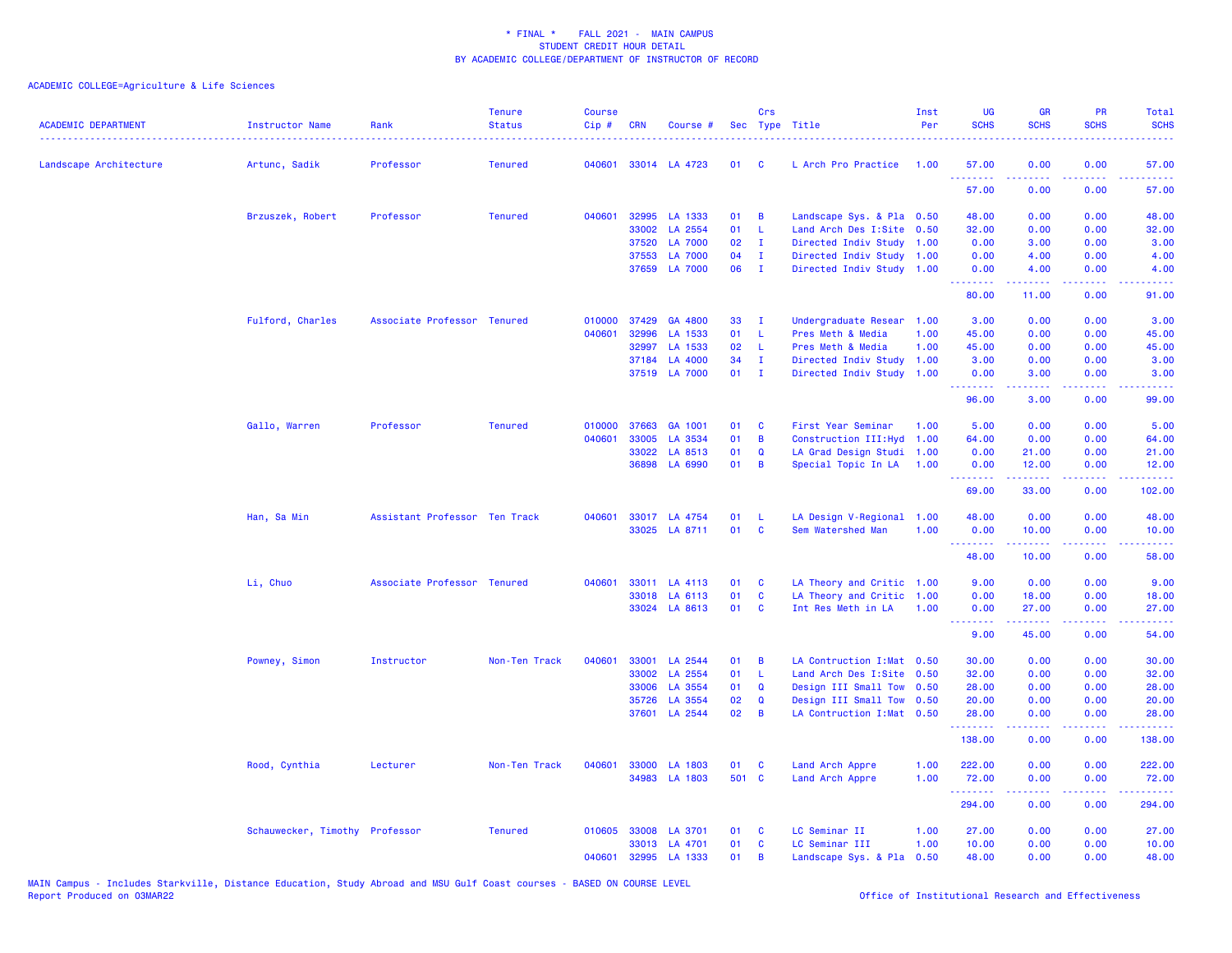| <b>ACADEMIC DEPARTMENT</b> | Instructor Name                | Rank                          | <b>Tenure</b><br><b>Status</b> | <b>Course</b><br>Cip# | CRN          | Course #       |       | Crs            | Sec Type Title             | Inst<br>Per | <b>UG</b><br><b>SCHS</b>                                                                                                                                                                                                                                                                                                                                                                                                                                                                        | <b>GR</b><br><b>SCHS</b> | PR<br><b>SCHS</b>                                                                                      | Total<br><b>SCHS</b><br>وعاعات                                                                                                    |
|----------------------------|--------------------------------|-------------------------------|--------------------------------|-----------------------|--------------|----------------|-------|----------------|----------------------------|-------------|-------------------------------------------------------------------------------------------------------------------------------------------------------------------------------------------------------------------------------------------------------------------------------------------------------------------------------------------------------------------------------------------------------------------------------------------------------------------------------------------------|--------------------------|--------------------------------------------------------------------------------------------------------|-----------------------------------------------------------------------------------------------------------------------------------|
| Landscape Architecture     | Artunc, Sadik                  | Professor                     | <b>Tenured</b>                 | 040601                |              | 33014 LA 4723  | 01 C  |                | L Arch Pro Practice        | 1.00        | 57.00                                                                                                                                                                                                                                                                                                                                                                                                                                                                                           | 0.00                     | 0.00                                                                                                   | 57.00                                                                                                                             |
|                            |                                |                               |                                |                       |              |                |       |                |                            |             | <u>.</u><br>57.00                                                                                                                                                                                                                                                                                                                                                                                                                                                                               | 0.00                     | $\frac{1}{2} \left( \frac{1}{2} \right) \left( \frac{1}{2} \right) \left( \frac{1}{2} \right)$<br>0.00 | .<br>57.00                                                                                                                        |
|                            | Brzuszek, Robert               | Professor                     | <b>Tenured</b>                 | 040601                | 32995        | LA 1333        | 01    | B              | Landscape Sys. & Pla 0.50  |             | 48.00                                                                                                                                                                                                                                                                                                                                                                                                                                                                                           | 0.00                     | 0.00                                                                                                   | 48.00                                                                                                                             |
|                            |                                |                               |                                |                       | 33002        | LA 2554        | 01    | $\mathsf{L}$   | Land Arch Des I:Site 0.50  |             | 32.00                                                                                                                                                                                                                                                                                                                                                                                                                                                                                           | 0.00                     | 0.00                                                                                                   | 32.00                                                                                                                             |
|                            |                                |                               |                                |                       | 37520        | <b>LA 7000</b> | 02    | $\mathbf{I}$   | Directed Indiv Study 1.00  |             | 0.00                                                                                                                                                                                                                                                                                                                                                                                                                                                                                            | 3.00                     | 0.00                                                                                                   | 3.00                                                                                                                              |
|                            |                                |                               |                                |                       | 37553        | <b>LA 7000</b> | 04    | $\mathbf{I}$   | Directed Indiv Study 1.00  |             | 0.00                                                                                                                                                                                                                                                                                                                                                                                                                                                                                            | 4.00                     | 0.00                                                                                                   | 4.00                                                                                                                              |
|                            |                                |                               |                                |                       |              | 37659 LA 7000  | 06    | $\mathbf{I}$   | Directed Indiv Study 1.00  |             | 0.00<br><u>.</u>                                                                                                                                                                                                                                                                                                                                                                                                                                                                                | 4.00<br>.                | 0.00<br><b><i><u><u>.</u></u></i></b>                                                                  | 4.00<br><u>.</u>                                                                                                                  |
|                            |                                |                               |                                |                       |              |                |       |                |                            |             | 80.00                                                                                                                                                                                                                                                                                                                                                                                                                                                                                           | 11.00                    | 0.00                                                                                                   | 91.00                                                                                                                             |
|                            | Fulford, Charles               | Associate Professor Tenured   |                                |                       | 010000 37429 | GA 4800        | 33    | $\mathbf{I}$   | Undergraduate Resear 1.00  |             | 3.00                                                                                                                                                                                                                                                                                                                                                                                                                                                                                            | 0.00                     | 0.00                                                                                                   | 3.00                                                                                                                              |
|                            |                                |                               |                                | 040601                | 32996        | LA 1533        | 01    | $\mathsf{L}$   | Pres Meth & Media          | 1.00        | 45.00                                                                                                                                                                                                                                                                                                                                                                                                                                                                                           | 0.00                     | 0.00                                                                                                   | 45.00                                                                                                                             |
|                            |                                |                               |                                |                       | 32997        | LA 1533        | 02    | -L             | Pres Meth & Media          | 1.00        | 45.00                                                                                                                                                                                                                                                                                                                                                                                                                                                                                           | 0.00                     | 0.00                                                                                                   | 45.00                                                                                                                             |
|                            |                                |                               |                                |                       | 37184        | LA 4000        | 34    | $\mathbf{I}$   | Directed Indiv Study 1.00  |             | 3.00                                                                                                                                                                                                                                                                                                                                                                                                                                                                                            | 0.00                     | 0.00                                                                                                   | 3.00                                                                                                                              |
|                            |                                |                               |                                |                       |              | 37519 LA 7000  | 01    | $\mathbf{I}$   | Directed Indiv Study 1.00  |             | 0.00<br>.                                                                                                                                                                                                                                                                                                                                                                                                                                                                                       | 3.00<br>.                | 0.00<br>د د د د                                                                                        | 3.00<br>$\frac{1}{2} \left( \frac{1}{2} \right) \left( \frac{1}{2} \right) \left( \frac{1}{2} \right) \left( \frac{1}{2} \right)$ |
|                            |                                |                               |                                |                       |              |                |       |                |                            |             | 96.00                                                                                                                                                                                                                                                                                                                                                                                                                                                                                           | 3.00                     | 0.00                                                                                                   | 99.00                                                                                                                             |
|                            | Gallo, Warren                  | Professor                     | <b>Tenured</b>                 | 010000                | 37663        | GA 1001        | 01    | <b>C</b>       | First Year Seminar         | 1.00        | 5.00                                                                                                                                                                                                                                                                                                                                                                                                                                                                                            | 0.00                     | 0.00                                                                                                   | 5.00                                                                                                                              |
|                            |                                |                               |                                | 040601                | 33005        | LA 3534        | 01    | $\overline{B}$ | Construction III: Hyd      | 1.00        | 64.00                                                                                                                                                                                                                                                                                                                                                                                                                                                                                           | 0.00                     | 0.00                                                                                                   | 64.00                                                                                                                             |
|                            |                                |                               |                                |                       | 33022        | LA 8513        | 01    | $\mathbf Q$    | LA Grad Design Studi 1.00  |             | 0.00                                                                                                                                                                                                                                                                                                                                                                                                                                                                                            | 21.00                    | 0.00                                                                                                   | 21.00                                                                                                                             |
|                            |                                |                               |                                |                       | 36898        | LA 6990        | 01    | $\overline{B}$ | Special Topic In LA        | 1.00        | 0.00<br><b>.</b> .                                                                                                                                                                                                                                                                                                                                                                                                                                                                              | 12.00<br>بالمستما        | 0.00<br>بالأباب                                                                                        | 12.00<br>وعاعاها                                                                                                                  |
|                            |                                |                               |                                |                       |              |                |       |                |                            |             | 69.00                                                                                                                                                                                                                                                                                                                                                                                                                                                                                           | 33.00                    | 0.00                                                                                                   | 102.00                                                                                                                            |
|                            | Han, Sa Min                    | Assistant Professor Ten Track |                                | 040601                |              | 33017 LA 4754  | 01    | - Li           | LA Design V-Regional 1.00  |             | 48.00                                                                                                                                                                                                                                                                                                                                                                                                                                                                                           | 0.00                     | 0.00                                                                                                   | 48.00                                                                                                                             |
|                            |                                |                               |                                |                       |              | 33025 LA 8711  | 01    | <b>C</b>       | Sem Watershed Man          | 1.00        | 0.00                                                                                                                                                                                                                                                                                                                                                                                                                                                                                            | 10.00                    | 0.00                                                                                                   | 10.00                                                                                                                             |
|                            |                                |                               |                                |                       |              |                |       |                |                            |             | $\begin{array}{cccccccccccccc} \multicolumn{2}{c}{} & \multicolumn{2}{c}{} & \multicolumn{2}{c}{} & \multicolumn{2}{c}{} & \multicolumn{2}{c}{} & \multicolumn{2}{c}{} & \multicolumn{2}{c}{} & \multicolumn{2}{c}{} & \multicolumn{2}{c}{} & \multicolumn{2}{c}{} & \multicolumn{2}{c}{} & \multicolumn{2}{c}{} & \multicolumn{2}{c}{} & \multicolumn{2}{c}{} & \multicolumn{2}{c}{} & \multicolumn{2}{c}{} & \multicolumn{2}{c}{} & \multicolumn{2}{c}{} & \multicolumn{2}{c}{} & \$<br>48.00 | 10.00                    | 0.00                                                                                                   | د د د د د<br>58.00                                                                                                                |
|                            | Li, Chuo                       | Associate Professor Tenured   |                                | 040601                |              | 33011 LA 4113  | 01    | <b>C</b>       | LA Theory and Critic 1.00  |             | 9.00                                                                                                                                                                                                                                                                                                                                                                                                                                                                                            | 0.00                     | 0.00                                                                                                   | 9.00                                                                                                                              |
|                            |                                |                               |                                |                       |              | 33018 LA 6113  | 01    | $\mathbf{C}$   | LA Theory and Critic 1.00  |             | 0.00                                                                                                                                                                                                                                                                                                                                                                                                                                                                                            | 18.00                    | 0.00                                                                                                   | 18.00                                                                                                                             |
|                            |                                |                               |                                |                       |              | 33024 LA 8613  | 01    | $\mathbf{C}$   | Int Res Meth in LA         | 1.00        | 0.00                                                                                                                                                                                                                                                                                                                                                                                                                                                                                            | 27.00                    | 0.00                                                                                                   | 27.00                                                                                                                             |
|                            |                                |                               |                                |                       |              |                |       |                |                            |             | $\begin{array}{cccccccccccccc} \multicolumn{2}{c}{} & \multicolumn{2}{c}{} & \multicolumn{2}{c}{} & \multicolumn{2}{c}{} & \multicolumn{2}{c}{} & \multicolumn{2}{c}{} & \multicolumn{2}{c}{} & \multicolumn{2}{c}{} & \multicolumn{2}{c}{} & \multicolumn{2}{c}{} & \multicolumn{2}{c}{} & \multicolumn{2}{c}{} & \multicolumn{2}{c}{} & \multicolumn{2}{c}{} & \multicolumn{2}{c}{} & \multicolumn{2}{c}{} & \multicolumn{2}{c}{} & \multicolumn{2}{c}{} & \multicolumn{2}{c}{} & \$<br>9.00  | .<br>45.00               | .<br>0.00                                                                                              | .<br>54.00                                                                                                                        |
|                            | Powney, Simon                  | Instructor                    | Non-Ten Track                  | 040601                | 33001        | LA 2544        | 01    | $\overline{B}$ | LA Contruction I: Mat 0.50 |             | 30.00                                                                                                                                                                                                                                                                                                                                                                                                                                                                                           | 0.00                     | 0.00                                                                                                   | 30.00                                                                                                                             |
|                            |                                |                               |                                |                       | 33002        | LA 2554        | 01    | - Li           | Land Arch Des I:Site 0.50  |             | 32.00                                                                                                                                                                                                                                                                                                                                                                                                                                                                                           | 0.00                     | 0.00                                                                                                   | 32.00                                                                                                                             |
|                            |                                |                               |                                |                       | 33006        | LA 3554        | 01    | Q              | Design III Small Tow 0.50  |             | 28.00                                                                                                                                                                                                                                                                                                                                                                                                                                                                                           | 0.00                     | 0.00                                                                                                   | 28.00                                                                                                                             |
|                            |                                |                               |                                |                       | 35726        | LA 3554        | 02    | $\mathbf Q$    | Design III Small Tow 0.50  |             | 20.00                                                                                                                                                                                                                                                                                                                                                                                                                                                                                           | 0.00                     | 0.00                                                                                                   | 20.00                                                                                                                             |
|                            |                                |                               |                                |                       | 37601        | LA 2544        | 02    | $\overline{B}$ | LA Contruction I: Mat 0.50 |             | 28.00<br><u>.</u>                                                                                                                                                                                                                                                                                                                                                                                                                                                                               | 0.00                     | 0.00                                                                                                   | 28.00<br>وعاعاها                                                                                                                  |
|                            |                                |                               |                                |                       |              |                |       |                |                            |             | 138.00                                                                                                                                                                                                                                                                                                                                                                                                                                                                                          | 0.00                     | 0.00                                                                                                   | 138.00                                                                                                                            |
|                            | Rood, Cynthia                  | Lecturer                      | Non-Ten Track                  | 040601                |              | 33000 LA 1803  | 01    | <b>C</b>       | Land Arch Appre            | 1.00        | 222.00                                                                                                                                                                                                                                                                                                                                                                                                                                                                                          | 0.00                     | 0.00                                                                                                   | 222.00                                                                                                                            |
|                            |                                |                               |                                |                       |              | 34983 LA 1803  | 501 C |                | Land Arch Appre            | 1.00        | 72.00<br><u>.</u>                                                                                                                                                                                                                                                                                                                                                                                                                                                                               | 0.00<br>$- - - - -$      | 0.00<br>.                                                                                              | 72.00<br><u>.</u>                                                                                                                 |
|                            |                                |                               |                                |                       |              |                |       |                |                            |             | 294.00                                                                                                                                                                                                                                                                                                                                                                                                                                                                                          | 0.00                     | 0.00                                                                                                   | 294.00                                                                                                                            |
|                            | Schauwecker, Timothy Professor |                               | <b>Tenured</b>                 | 010605                |              | 33008 LA 3701  | 01    | <b>C</b>       | LC Seminar II              | 1.00        | 27,00                                                                                                                                                                                                                                                                                                                                                                                                                                                                                           | 0.00                     | 0.00                                                                                                   | 27,00                                                                                                                             |
|                            |                                |                               |                                |                       |              | 33013 LA 4701  | 01    | <b>C</b>       | LC Seminar III             | 1.00        | 10.00                                                                                                                                                                                                                                                                                                                                                                                                                                                                                           | 0.00                     | 0.00                                                                                                   | 10.00                                                                                                                             |
|                            |                                |                               |                                | 040601                |              | 32995 LA 1333  | 01    | <b>B</b>       | Landscape Sys. & Pla 0.50  |             | 48.00                                                                                                                                                                                                                                                                                                                                                                                                                                                                                           | 0.00                     | 0.00                                                                                                   | 48.00                                                                                                                             |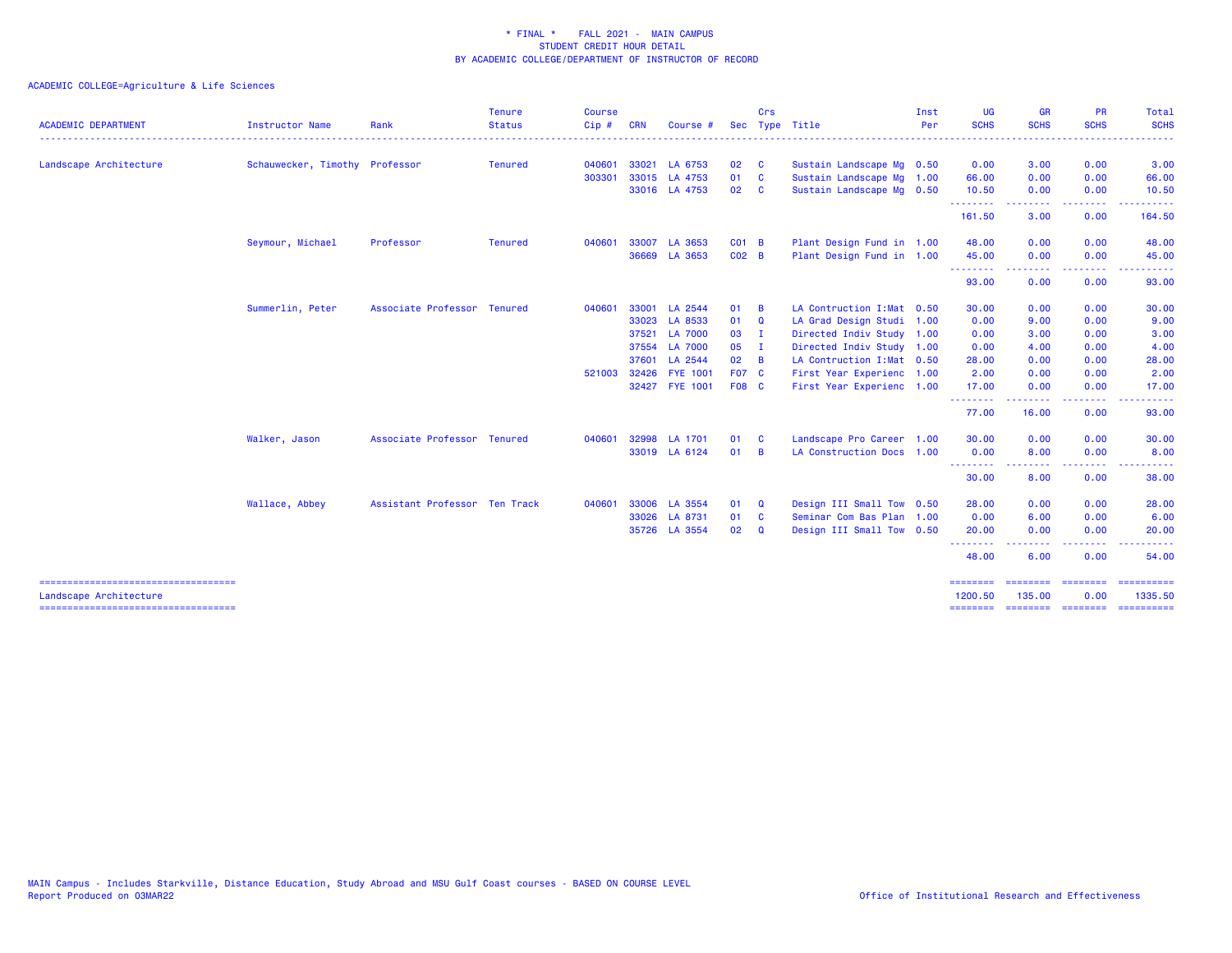| <b>ACADEMIC DEPARTMENT</b>                                       | <b>Instructor Name</b>         | Rank                          | <b>Tenure</b><br><b>Status</b> | <b>Course</b><br>Cip# | <b>CRN</b>   | Course #        |               | Crs                     | Sec Type Title             | Inst<br>Per | <b>UG</b><br><b>SCHS</b> | <b>GR</b><br><b>SCHS</b> | <b>PR</b><br><b>SCHS</b> | Total<br><b>SCHS</b>                                                                                                                                                                                                                                                                                                                                                                                                                                                                   |
|------------------------------------------------------------------|--------------------------------|-------------------------------|--------------------------------|-----------------------|--------------|-----------------|---------------|-------------------------|----------------------------|-------------|--------------------------|--------------------------|--------------------------|----------------------------------------------------------------------------------------------------------------------------------------------------------------------------------------------------------------------------------------------------------------------------------------------------------------------------------------------------------------------------------------------------------------------------------------------------------------------------------------|
| Landscape Architecture                                           | Schauwecker, Timothy Professor |                               | Tenured                        | 040601                |              | 33021 LA 6753   | 02            | $\overline{\mathbf{C}}$ | Sustain Landscape Mg 0.50  |             | 0.00                     | 3.00                     | 0.00                     | 3.00                                                                                                                                                                                                                                                                                                                                                                                                                                                                                   |
|                                                                  |                                |                               |                                | 303301                |              | 33015 LA 4753   | 01            | $\mathbf{C}$            | Sustain Landscape Mg 1.00  |             | 66.00                    | 0.00                     | 0.00                     | 66.00                                                                                                                                                                                                                                                                                                                                                                                                                                                                                  |
|                                                                  |                                |                               |                                |                       |              | 33016 LA 4753   | 02            | <b>C</b>                | Sustain Landscape Mg 0.50  |             | 10.50                    | 0.00                     | 0.00                     | 10.50                                                                                                                                                                                                                                                                                                                                                                                                                                                                                  |
|                                                                  |                                |                               |                                |                       |              |                 |               |                         |                            |             | .<br>161.50              | .<br>3.00                | -----<br>0.00            | .<br>164.50                                                                                                                                                                                                                                                                                                                                                                                                                                                                            |
|                                                                  | Seymour, Michael               | Professor                     | <b>Tenured</b>                 | 040601                | 33007        | LA 3653         | CO1 B         |                         | Plant Design Fund in 1.00  |             | 48.00                    | 0.00                     | 0.00                     | 48.00                                                                                                                                                                                                                                                                                                                                                                                                                                                                                  |
|                                                                  |                                |                               |                                |                       |              | 36669 LA 3653   | $CO2$ B       |                         | Plant Design Fund in 1.00  |             | 45.00                    | 0.00                     | 0.00                     | 45.00                                                                                                                                                                                                                                                                                                                                                                                                                                                                                  |
|                                                                  |                                |                               |                                |                       |              |                 |               |                         |                            |             | .<br>93.00               | .<br>0.00                | .<br>0.00                | 93.00                                                                                                                                                                                                                                                                                                                                                                                                                                                                                  |
|                                                                  | Summerlin, Peter               | Associate Professor Tenured   |                                | 040601                | 33001        | LA 2544         | 01            | $\overline{B}$          | LA Contruction I: Mat 0.50 |             | 30.00                    | 0.00                     | 0.00                     | 30.00                                                                                                                                                                                                                                                                                                                                                                                                                                                                                  |
|                                                                  |                                |                               |                                |                       | 33023        | LA 8533         | 01            | Q                       | LA Grad Design Studi 1.00  |             | 0.00                     | 9.00                     | 0.00                     | 9.00                                                                                                                                                                                                                                                                                                                                                                                                                                                                                   |
|                                                                  |                                |                               |                                |                       |              | 37521 LA 7000   | 03 I          |                         | Directed Indiv Study 1.00  |             | 0.00                     | 3.00                     | 0.00                     | 3.00                                                                                                                                                                                                                                                                                                                                                                                                                                                                                   |
|                                                                  |                                |                               |                                |                       |              | 37554 LA 7000   | $05$ I        |                         | Directed Indiv Study 1.00  |             | 0.00                     | 4.00                     | 0.00                     | 4.00                                                                                                                                                                                                                                                                                                                                                                                                                                                                                   |
|                                                                  |                                |                               |                                |                       |              | 37601 LA 2544   | $02 \quad B$  |                         | LA Contruction I: Mat 0.50 |             | 28.00                    | 0.00                     | 0.00                     | 28.00                                                                                                                                                                                                                                                                                                                                                                                                                                                                                  |
|                                                                  |                                |                               |                                |                       | 521003 32426 | <b>FYE 1001</b> | <b>F07 C</b>  |                         | First Year Experienc 1.00  |             | 2.00                     | 0.00                     | 0.00                     | 2.00                                                                                                                                                                                                                                                                                                                                                                                                                                                                                   |
|                                                                  |                                |                               |                                |                       |              | 32427 FYE 1001  | <b>F08 C</b>  |                         | First Year Experienc 1.00  |             | 17.00                    | 0.00                     | 0.00                     | 17.00                                                                                                                                                                                                                                                                                                                                                                                                                                                                                  |
|                                                                  |                                |                               |                                |                       |              |                 |               |                         |                            |             | .<br>77.00               | 16.00                    | 0.00                     | 93.00                                                                                                                                                                                                                                                                                                                                                                                                                                                                                  |
|                                                                  | Walker, Jason                  | Associate Professor Tenured   |                                | 040601                | 32998        | LA 1701         | 01            | <b>C</b>                | Landscape Pro Career 1.00  |             | 30.00                    | 0.00                     | 0.00                     | 30.00                                                                                                                                                                                                                                                                                                                                                                                                                                                                                  |
|                                                                  |                                |                               |                                |                       |              | 33019 LA 6124   | 01            | $\overline{B}$          | LA Construction Docs 1.00  |             | 0.00                     | 8.00                     | 0.00                     | 8.00                                                                                                                                                                                                                                                                                                                                                                                                                                                                                   |
|                                                                  |                                |                               |                                |                       |              |                 |               |                         |                            |             | --------<br>30.00        | -----<br>8.00            | .<br>0.00                | 38.00                                                                                                                                                                                                                                                                                                                                                                                                                                                                                  |
|                                                                  | Wallace, Abbey                 | Assistant Professor Ten Track |                                | 040601                | 33006        | LA 3554         | 01            | Q                       | Design III Small Tow 0.50  |             | 28.00                    | 0.00                     | 0.00                     | 28.00                                                                                                                                                                                                                                                                                                                                                                                                                                                                                  |
|                                                                  |                                |                               |                                |                       |              | 33026 LA 8731   | 01            | C                       | Seminar Com Bas Plan 1.00  |             | 0.00                     | 6.00                     | 0.00                     | 6.00                                                                                                                                                                                                                                                                                                                                                                                                                                                                                   |
|                                                                  |                                |                               |                                |                       |              | 35726 LA 3554   | $02 \qquad Q$ |                         | Design III Small Tow 0.50  |             | 20.00                    | 0.00                     | 0.00                     | 20.00                                                                                                                                                                                                                                                                                                                                                                                                                                                                                  |
|                                                                  |                                |                               |                                |                       |              |                 |               |                         |                            |             | <u>.</u><br>48.00        | .<br>6.00                | .<br>0.00                | $\cdots$<br>54.00                                                                                                                                                                                                                                                                                                                                                                                                                                                                      |
| ======================================<br>Landscape Architecture |                                |                               |                                |                       |              |                 |               |                         |                            |             | ========<br>1200.50      | <b>EBBERSE</b><br>135.00 | <b>EEEEEEE</b><br>0.00   | ==========<br>1335.50                                                                                                                                                                                                                                                                                                                                                                                                                                                                  |
| ======================================                           |                                |                               |                                |                       |              |                 |               |                         |                            |             | ========                 | ===================      |                          | $\begin{array}{cccccccccc} \multicolumn{2}{c}{} & \multicolumn{2}{c}{} & \multicolumn{2}{c}{} & \multicolumn{2}{c}{} & \multicolumn{2}{c}{} & \multicolumn{2}{c}{} & \multicolumn{2}{c}{} & \multicolumn{2}{c}{} & \multicolumn{2}{c}{} & \multicolumn{2}{c}{} & \multicolumn{2}{c}{} & \multicolumn{2}{c}{} & \multicolumn{2}{c}{} & \multicolumn{2}{c}{} & \multicolumn{2}{c}{} & \multicolumn{2}{c}{} & \multicolumn{2}{c}{} & \multicolumn{2}{c}{} & \multicolumn{2}{c}{} & \mult$ |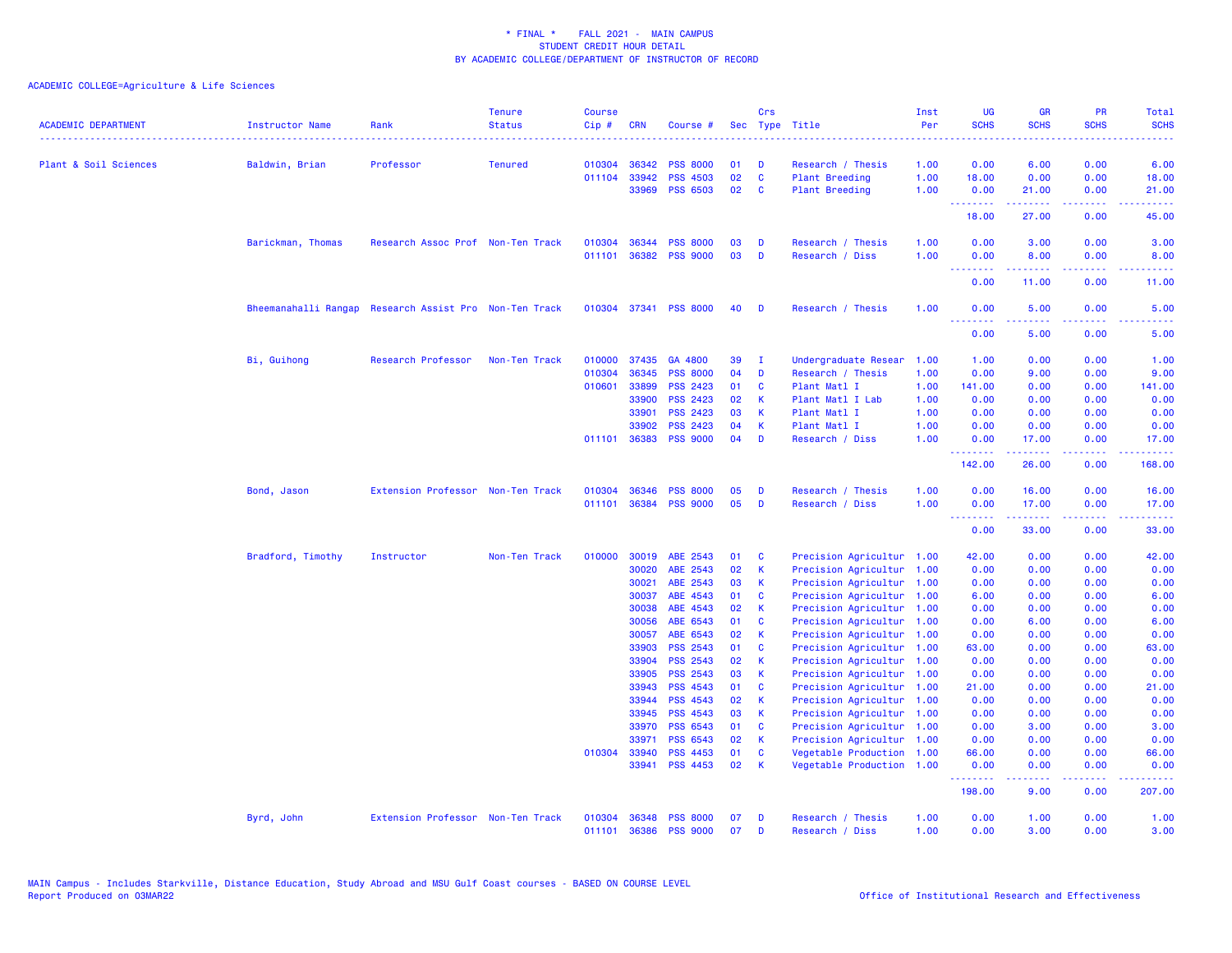| <b>ACADEMIC DEPARTMENT</b> | <b>Instructor Name</b>                                 | Rank                              | <b>Tenure</b><br><b>Status</b> | <b>Course</b><br>$Cip \#$ | <b>CRN</b>   | Course #              |    | Crs          | Sec Type Title            | Inst<br>Per | <b>UG</b><br><b>SCHS</b> | <b>GR</b><br><b>SCHS</b> | <b>PR</b><br><b>SCHS</b>                                                                                                                                     | Total<br><b>SCHS</b>   |
|----------------------------|--------------------------------------------------------|-----------------------------------|--------------------------------|---------------------------|--------------|-----------------------|----|--------------|---------------------------|-------------|--------------------------|--------------------------|--------------------------------------------------------------------------------------------------------------------------------------------------------------|------------------------|
|                            | . <u>.</u>                                             |                                   |                                |                           |              |                       |    |              |                           |             |                          |                          |                                                                                                                                                              |                        |
| Plant & Soil Sciences      | Baldwin, Brian                                         | Professor                         | <b>Tenured</b>                 | 010304                    | 36342        | <b>PSS 8000</b>       | 01 | D            | Research / Thesis         | 1.00        | 0.00                     | 6.00                     | 0.00                                                                                                                                                         | 6.00                   |
|                            |                                                        |                                   |                                | 011104                    | 33942        | <b>PSS 4503</b>       | 02 | $\mathbf{C}$ | <b>Plant Breeding</b>     | 1.00        | 18.00                    | 0.00                     | 0.00                                                                                                                                                         | 18.00                  |
|                            |                                                        |                                   |                                |                           | 33969        | <b>PSS 6503</b>       | 02 | C            | <b>Plant Breeding</b>     | 1.00        | 0.00<br>.                | 21.00<br>.               | 0.00<br>2.2.2.2.2                                                                                                                                            | 21.00<br><u>.</u>      |
|                            |                                                        |                                   |                                |                           |              |                       |    |              |                           |             | 18.00                    | 27.00                    | 0.00                                                                                                                                                         | 45.00                  |
|                            | Barickman, Thomas                                      | Research Assoc Prof Non-Ten Track |                                | 010304                    | 36344        | <b>PSS 8000</b>       | 03 | D            | Research / Thesis         | 1.00        | 0.00                     | 3.00                     | 0.00                                                                                                                                                         | 3.00                   |
|                            |                                                        |                                   |                                | 011101                    | 36382        | <b>PSS 9000</b>       | 03 | D            | Research / Diss           | 1.00        | 0.00<br><u>.</u>         | 8.00<br>.                | 0.00<br>.                                                                                                                                                    | 8.00<br>المتمامين      |
|                            |                                                        |                                   |                                |                           |              |                       |    |              |                           |             | 0.00                     | 11.00                    | 0.00                                                                                                                                                         | 11.00                  |
|                            | Bheemanahalli Rangap Research Assist Pro Non-Ten Track |                                   |                                |                           |              | 010304 37341 PSS 8000 | 40 | D            | Research / Thesis         | 1.00        | 0.00<br>.                | 5.00<br>.                | 0.00                                                                                                                                                         | 5.00                   |
|                            |                                                        |                                   |                                |                           |              |                       |    |              |                           |             | 0.00                     | 5.00                     | 0.00                                                                                                                                                         | 5.00                   |
|                            | Bi, Guihong                                            | Research Professor                | Non-Ten Track                  | 010000                    | 37435        | GA 4800               | 39 | - 1          | Undergraduate Resear      | 1.00        | 1.00                     | 0.00                     | 0.00                                                                                                                                                         | 1.00                   |
|                            |                                                        |                                   |                                | 010304                    | 36345        | <b>PSS 8000</b>       | 04 | D            | Research / Thesis         | 1.00        | 0.00                     | 9.00                     | 0.00                                                                                                                                                         | 9.00                   |
|                            |                                                        |                                   |                                | 010601                    | 33899        | <b>PSS 2423</b>       | 01 | C            | Plant Matl I              | 1.00        | 141.00                   | 0.00                     | 0.00                                                                                                                                                         | 141.00                 |
|                            |                                                        |                                   |                                |                           | 33900        | <b>PSS 2423</b>       | 02 | К            | Plant Matl I Lab          | 1.00        | 0.00                     | 0.00                     | 0.00                                                                                                                                                         | 0.00                   |
|                            |                                                        |                                   |                                |                           | 33901        | PSS 2423              | 03 | K            | Plant Matl I              | 1.00        | 0.00                     | 0.00                     | 0.00                                                                                                                                                         | 0.00                   |
|                            |                                                        |                                   |                                |                           | 33902        | <b>PSS 2423</b>       | 04 | К            | Plant Matl I              | 1.00        | 0.00                     | 0.00                     | 0.00                                                                                                                                                         | 0.00                   |
|                            |                                                        |                                   |                                |                           | 011101 36383 | <b>PSS 9000</b>       | 04 | D            | Research / Diss           | 1.00        | 0.00                     | 17.00                    | 0.00                                                                                                                                                         | 17.00                  |
|                            |                                                        |                                   |                                |                           |              |                       |    |              |                           |             | .<br>142.00              | الدامات مال<br>26.00     | الداعات عادة<br>0.00                                                                                                                                         | .<br>168.00            |
|                            | Bond, Jason                                            | Extension Professor Non-Ten Track |                                | 010304                    | 36346        | <b>PSS 8000</b>       | 05 | D            | Research / Thesis         | 1.00        | 0.00                     | 16.00                    | 0.00                                                                                                                                                         | 16.00                  |
|                            |                                                        |                                   |                                | 011101                    | 36384        | <b>PSS 9000</b>       | 05 | D            | Research / Diss           | 1.00        | 0.00<br>.                | 17.00<br>.               | 0.00<br>$\frac{1}{2} \left( \frac{1}{2} \right) \left( \frac{1}{2} \right) \left( \frac{1}{2} \right) \left( \frac{1}{2} \right) \left( \frac{1}{2} \right)$ | 17.00<br>.             |
|                            |                                                        |                                   |                                |                           |              |                       |    |              |                           |             | 0.00                     | 33.00                    | 0.00                                                                                                                                                         | 33.00                  |
|                            | Bradford, Timothy                                      | Instructor                        | Non-Ten Track                  | 010000                    | 30019        | ABE 2543              | 01 | C            | Precision Agricultur 1.00 |             | 42.00                    | 0.00                     | 0.00                                                                                                                                                         | 42.00                  |
|                            |                                                        |                                   |                                |                           | 30020        | ABE 2543              | 02 | K            | Precision Agricultur 1.00 |             | 0.00                     | 0.00                     | 0.00                                                                                                                                                         | 0.00                   |
|                            |                                                        |                                   |                                |                           | 30021        | ABE 2543              | 03 | K            | Precision Agricultur      | 1.00        | 0.00                     | 0.00                     | 0.00                                                                                                                                                         | 0.00                   |
|                            |                                                        |                                   |                                |                           | 30037        | ABE 4543              | 01 | C            | Precision Agricultur      | 1.00        | 6.00                     | 0.00                     | 0.00                                                                                                                                                         | 6.00                   |
|                            |                                                        |                                   |                                |                           | 30038        | ABE 4543              | 02 | $\mathsf{K}$ | Precision Agricultur      | 1.00        | 0.00                     | 0.00                     | 0.00                                                                                                                                                         | 0.00                   |
|                            |                                                        |                                   |                                |                           | 30056        | ABE 6543              | 01 | C            | Precision Agricultur      | 1.00        | 0.00                     | 6.00                     | 0.00                                                                                                                                                         | 6.00                   |
|                            |                                                        |                                   |                                |                           | 30057        | ABE 6543              | 02 | $\mathsf{K}$ | Precision Agricultur      | 1.00        | 0.00                     | 0.00                     | 0.00                                                                                                                                                         | 0.00                   |
|                            |                                                        |                                   |                                |                           | 33903        | <b>PSS 2543</b>       | 01 | $\mathbf{C}$ | Precision Agricultur      | 1.00        | 63.00                    | 0.00                     | 0.00                                                                                                                                                         | 63.00                  |
|                            |                                                        |                                   |                                |                           | 33904        | <b>PSS 2543</b>       | 02 | K            | Precision Agricultur      | 1.00        | 0.00                     | 0.00                     | 0.00                                                                                                                                                         | 0.00                   |
|                            |                                                        |                                   |                                |                           | 33905        | <b>PSS 2543</b>       | 03 | К            | Precision Agricultur      | 1.00        | 0.00                     | 0.00                     | 0.00                                                                                                                                                         | 0.00                   |
|                            |                                                        |                                   |                                |                           | 33943        | <b>PSS 4543</b>       | 01 | <b>C</b>     | Precision Agricultur      | 1.00        | 21.00                    | 0.00                     | 0.00                                                                                                                                                         | 21.00                  |
|                            |                                                        |                                   |                                |                           | 33944        | <b>PSS 4543</b>       | 02 | K            | Precision Agricultur      | 1.00        | 0.00                     | 0.00                     | 0.00                                                                                                                                                         | 0.00                   |
|                            |                                                        |                                   |                                |                           | 33945        | <b>PSS 4543</b>       | 03 | K            | Precision Agricultur      | 1.00        | 0.00                     | 0.00                     | 0.00                                                                                                                                                         | 0.00                   |
|                            |                                                        |                                   |                                |                           | 33970        | PSS 6543              | 01 | $\mathbf{C}$ | Precision Agricultur 1.00 |             | 0.00                     | 3.00                     | 0.00                                                                                                                                                         | 3.00                   |
|                            |                                                        |                                   |                                |                           | 33971        | PSS 6543              | 02 | $\mathsf K$  | Precision Agricultur 1.00 |             | 0.00                     | 0.00                     | 0.00                                                                                                                                                         | 0.00                   |
|                            |                                                        |                                   |                                | 010304                    | 33940        | <b>PSS 4453</b>       | 01 | C            | Vegetable Production 1.00 |             | 66.00                    | 0.00                     | 0.00                                                                                                                                                         | 66.00                  |
|                            |                                                        |                                   |                                |                           | 33941        | PSS 4453              | 02 | $\mathsf{K}$ | Vegetable Production 1.00 |             | 0.00                     | 0.00                     | 0.00                                                                                                                                                         | 0.00                   |
|                            |                                                        |                                   |                                |                           |              |                       |    |              |                           |             | .<br>198.00              | 22222<br>9.00            | .<br>0.00                                                                                                                                                    | المتمام مالم<br>207.00 |
|                            | Byrd, John                                             | Extension Professor Non-Ten Track |                                | 010304                    | 36348        | <b>PSS 8000</b>       | 07 | D            | Research / Thesis         | 1.00        | 0.00                     | 1.00                     | 0.00                                                                                                                                                         | 1.00                   |
|                            |                                                        |                                   |                                | 011101                    | 36386        | <b>PSS 9000</b>       | 07 | D            | Research / Diss           | 1.00        | 0.00                     | 3.00                     | 0.00                                                                                                                                                         | 3.00                   |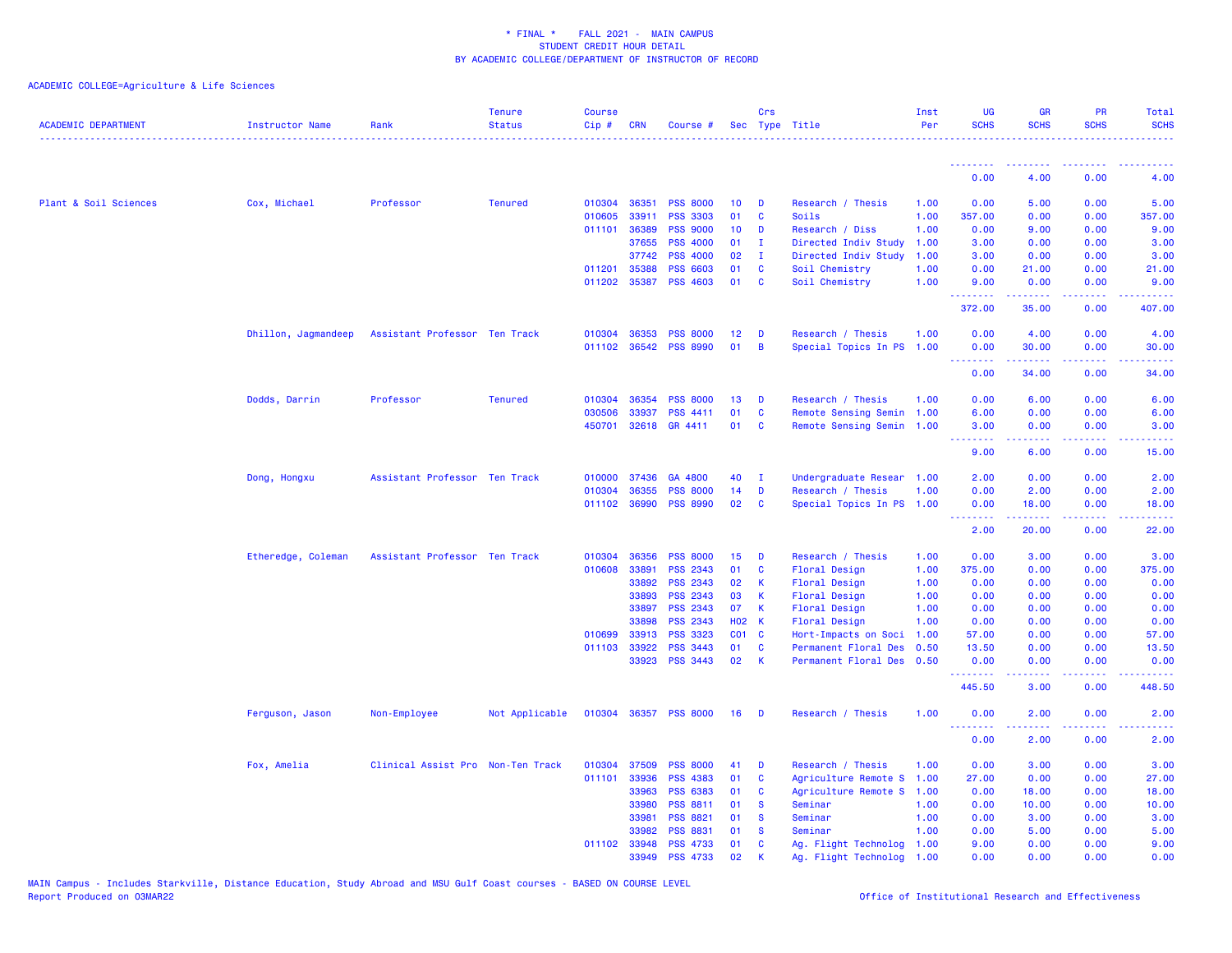| <b>ACADEMIC DEPARTMENT</b> | Instructor Name     | Rank                              | <b>Tenure</b><br><b>Status</b> | <b>Course</b><br>Cip# | <b>CRN</b>     | Course #                                 |                       | Crs<br>Sec Type Title |                                                | Inst<br>Per  | <b>UG</b><br><b>SCHS</b>                                   | <b>GR</b><br><b>SCHS</b> | <b>PR</b><br><b>SCHS</b> | Total<br><b>SCHS</b> |
|----------------------------|---------------------|-----------------------------------|--------------------------------|-----------------------|----------------|------------------------------------------|-----------------------|-----------------------|------------------------------------------------|--------------|------------------------------------------------------------|--------------------------|--------------------------|----------------------|
|                            |                     |                                   |                                |                       |                |                                          |                       |                       |                                                |              | <u> - - - - - - - -</u>                                    | --------                 | . <b>.</b>               |                      |
|                            |                     |                                   |                                |                       |                |                                          |                       |                       |                                                |              | 0.00                                                       | 4.00                     | 0.00                     | 4.00                 |
| Plant & Soil Sciences      | Cox, Michael        | Professor                         | <b>Tenured</b>                 | 010304                | 36351          | <b>PSS 8000</b>                          | 10                    | D                     | Research / Thesis                              | 1.00         | 0.00                                                       | 5.00                     | 0.00                     | 5.00                 |
|                            |                     |                                   |                                | 010605                | 33911          | <b>PSS 3303</b>                          | 01                    | C                     | Soils                                          | 1.00         | 357.00                                                     | 0.00                     | 0.00                     | 357.00               |
|                            |                     |                                   |                                | 011101                | 36389          | <b>PSS 9000</b>                          | 10 <sub>1</sub>       | D                     | Research / Diss                                | 1.00         | 0.00                                                       | 9.00                     | 0.00                     | 9.00                 |
|                            |                     |                                   |                                |                       | 37655          | <b>PSS 4000</b>                          | 01                    | $\mathbf{I}$          | Directed Indiv Study                           | 1.00         | 3.00                                                       | 0.00                     | 0.00                     | 3.00                 |
|                            |                     |                                   |                                |                       | 37742          | <b>PSS 4000</b>                          | 02                    | - I                   | Directed Indiv Study                           | 1.00         | 3.00                                                       | 0.00                     | 0.00                     | 3.00                 |
|                            |                     |                                   |                                | 011201                | 35388          | <b>PSS 6603</b>                          | 01                    | C                     | Soil Chemistry                                 | 1.00         | 0.00                                                       | 21.00                    | 0.00                     | 21.00                |
|                            |                     |                                   |                                | 011202                | 35387          | <b>PSS 4603</b>                          | 01                    | $\mathbf{C}$          | Soil Chemistry                                 | 1.00         | 9.00<br>.                                                  | 0.00<br>بالأباليات       | 0.00<br>.                | 9.00<br>.            |
|                            |                     |                                   |                                |                       |                |                                          |                       |                       |                                                |              | 372.00                                                     | 35.00                    | 0.00                     | 407.00               |
|                            | Dhillon, Jagmandeep | Assistant Professor Ten Track     |                                | 010304                | 36353          | <b>PSS 8000</b>                          | 12 <sub>2</sub>       | D                     | Research / Thesis                              | 1.00         | 0.00                                                       | 4.00                     | 0.00                     | 4.00                 |
|                            |                     |                                   |                                | 011102                | 36542          | <b>PSS 8990</b>                          | 01                    | B                     | Special Topics In PS                           | 1.00         | 0.00                                                       | 30.00                    | 0.00                     | 30.00                |
|                            |                     |                                   |                                |                       |                |                                          |                       |                       |                                                |              | <b></b><br>0.00                                            | $- - - - -$<br>34.00     | .<br>0.00                | .<br>34.00           |
|                            | Dodds, Darrin       | Professor                         | <b>Tenured</b>                 | 010304                | 36354          | <b>PSS 8000</b>                          | 13                    | D                     | Research / Thesis                              | 1.00         | 0.00                                                       | 6.00                     | 0.00                     | 6.00                 |
|                            |                     |                                   |                                | 030506                | 33937          | <b>PSS 4411</b>                          | 01                    | C                     | Remote Sensing Semin                           | 1.00         | 6.00                                                       | 0.00                     | 0.00                     | 6.00                 |
|                            |                     |                                   |                                | 450701                | 32618          | GR 4411                                  | 01                    | C                     | Remote Sensing Semin                           | 1.00         | 3.00                                                       | 0.00                     | 0.00                     | 3.00                 |
|                            |                     |                                   |                                |                       |                |                                          |                       |                       |                                                |              | <b><i><u><u><b>A</b></u></u> A A A A A A A</i></b><br>9.00 | 22222<br>6.00            | .<br>0.00                | .<br>15.00           |
|                            |                     |                                   |                                |                       |                |                                          |                       |                       |                                                |              |                                                            |                          |                          |                      |
|                            | Dong, Hongxu        | Assistant Professor Ten Track     |                                | 010000                | 37436          | GA 4800                                  | 40                    | $\mathbf{I}$          | Undergraduate Resear                           | 1.00         | 2.00                                                       | 0.00                     | 0.00                     | 2.00                 |
|                            |                     |                                   |                                | 010304                | 36355          | <b>PSS 8000</b><br>011102 36990 PSS 8990 | 14<br>02 <sub>2</sub> | D<br>C                | Research / Thesis<br>Special Topics In PS 1.00 | 1.00         | 0.00<br>0.00                                               | 2.00<br>18.00            | 0.00<br>0.00             | 2.00<br>18.00        |
|                            |                     |                                   |                                |                       |                |                                          |                       |                       |                                                |              | <u> - - - - - - - -</u>                                    | .                        | .                        | الداعات عادة         |
|                            |                     |                                   |                                |                       |                |                                          |                       |                       |                                                |              | 2.00                                                       | 20.00                    | 0.00                     | 22.00                |
|                            | Etheredge, Coleman  | Assistant Professor Ten Track     |                                | 010304                | 36356          | <b>PSS 8000</b>                          | 15                    | D                     | Research / Thesis                              | 1.00         | 0.00                                                       | 3.00                     | 0.00                     | 3.00                 |
|                            |                     |                                   |                                | 010608                | 33891          | <b>PSS 2343</b>                          | 01                    | C                     | <b>Floral Design</b>                           | 1.00         | 375.00                                                     | 0.00                     | 0.00                     | 375.00               |
|                            |                     |                                   |                                |                       | 33892          | <b>PSS 2343</b>                          | 02                    | К                     | <b>Floral Design</b>                           | 1.00         | 0.00                                                       | 0.00                     | 0.00                     | 0.00                 |
|                            |                     |                                   |                                |                       | 33893          | <b>PSS 2343</b>                          | 03                    | К                     | <b>Floral Design</b>                           | 1.00         | 0.00                                                       | 0.00                     | 0.00                     | 0.00                 |
|                            |                     |                                   |                                |                       | 33897<br>33898 | <b>PSS 2343</b><br><b>PSS 2343</b>       | 07<br><b>HO2 K</b>    | K                     | Floral Design<br><b>Floral Design</b>          | 1.00<br>1.00 | 0.00<br>0.00                                               | 0.00<br>0.00             | 0.00<br>0.00             | 0.00<br>0.00         |
|                            |                     |                                   |                                | 010699                | 33913          | <b>PSS 3323</b>                          | CO <sub>1</sub>       | <b>C</b>              | Hort-Impacts on Soci                           | 1.00         | 57.00                                                      | 0.00                     | 0.00                     | 57.00                |
|                            |                     |                                   |                                | 011103                | 33922          | <b>PSS 3443</b>                          | 01                    | C                     | Permanent Floral Des                           | 0.50         | 13.50                                                      | 0.00                     | 0.00                     | 13.50                |
|                            |                     |                                   |                                |                       | 33923          | <b>PSS 3443</b>                          | 02                    | К                     | Permanent Floral Des                           | 0.50         | 0.00                                                       | 0.00                     | 0.00                     | 0.00                 |
|                            |                     |                                   |                                |                       |                |                                          |                       |                       |                                                |              | . <b>.</b><br>445.50                                       | 3.00                     | والمحامر<br>0.00         | 448.50               |
|                            | Ferguson, Jason     | Non-Employee                      | Not Applicable                 |                       |                | 010304 36357 PSS 8000                    | 16                    | - D                   | Research / Thesis                              | 1.00         | 0.00                                                       | 2.00                     | 0.00                     | 2.00                 |
|                            |                     |                                   |                                |                       |                |                                          |                       |                       |                                                |              | .<br>0.00                                                  | 2.00                     | 0.00                     | 2.00                 |
|                            | Fox, Amelia         | Clinical Assist Pro Non-Ten Track |                                | 010304                | 37509          | <b>PSS 8000</b>                          | 41                    | D                     | Research / Thesis                              | 1.00         | 0.00                                                       | 3.00                     | 0.00                     | 3.00                 |
|                            |                     |                                   |                                | 011101                | 33936          | <b>PSS 4383</b>                          | 01                    | C                     | Agriculture Remote S                           | 1.00         | 27.00                                                      | 0.00                     | 0.00                     | 27.00                |
|                            |                     |                                   |                                |                       | 33963          | <b>PSS 6383</b>                          | 01                    | C                     | Agriculture Remote S                           | 1.00         | 0.00                                                       | 18.00                    | 0.00                     | 18.00                |
|                            |                     |                                   |                                |                       | 33980          | <b>PSS 8811</b>                          | 01                    | <b>S</b>              | Seminar                                        | 1.00         | 0.00                                                       | 10.00                    | 0.00                     | 10.00                |
|                            |                     |                                   |                                |                       | 33981          | PSS 8821                                 | 01                    | <b>S</b>              | Seminar                                        | 1.00         | 0.00                                                       | 3.00                     | 0.00                     | 3.00                 |
|                            |                     |                                   |                                |                       | 33982          | <b>PSS 8831</b>                          | 01                    | <b>S</b>              | Seminar                                        | 1.00         | 0.00                                                       | 5.00                     | 0.00                     | 5.00                 |
|                            |                     |                                   |                                |                       | 011102 33948   | <b>PSS 4733</b>                          | 01                    | C                     | Ag. Flight Technolog                           | 1.00         | 9.00                                                       | 0.00                     | 0.00                     | 9.00                 |
|                            |                     |                                   |                                |                       | 33949          | <b>PSS 4733</b>                          | 02                    | К                     | Ag. Flight Technolog                           | 1.00         | 0.00                                                       | 0.00                     | 0.00                     | 0.00                 |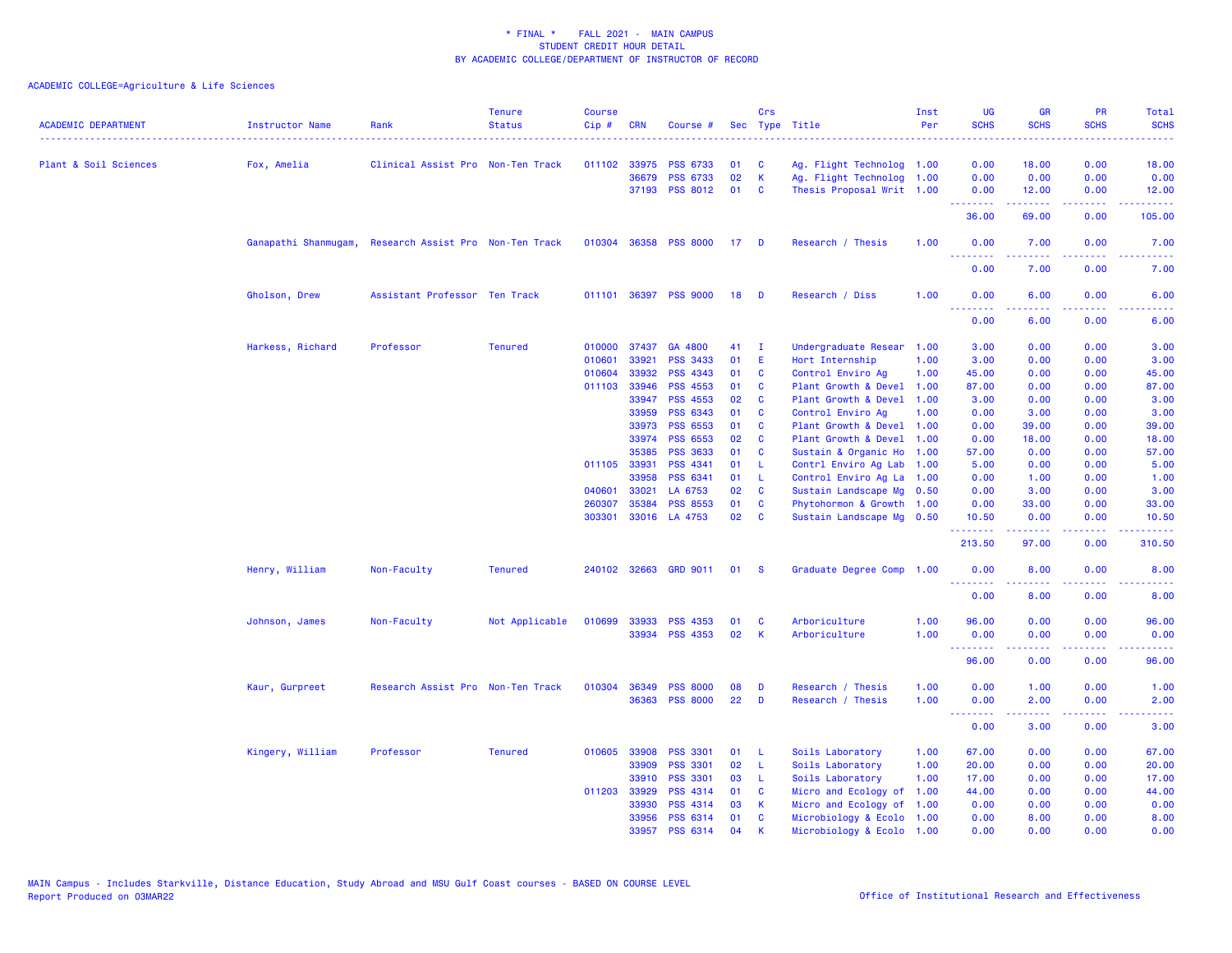| <b>ACADEMIC DEPARTMENT</b> | Instructor Name                                        | Rank                              | <b>Tenure</b><br><b>Status</b> | <b>Course</b><br>Cip# | <b>CRN</b>   | Course #              |      | Crs          | Sec Type Title            | Inst<br>Per | UG<br><b>SCHS</b>                                                                                                                                                                                                                                                                                                                                                                                                                                                                               | <b>GR</b><br><b>SCHS</b> | PR<br><b>SCHS</b>                                                                                                                 | Total<br><b>SCHS</b>                                                                                                              |
|----------------------------|--------------------------------------------------------|-----------------------------------|--------------------------------|-----------------------|--------------|-----------------------|------|--------------|---------------------------|-------------|-------------------------------------------------------------------------------------------------------------------------------------------------------------------------------------------------------------------------------------------------------------------------------------------------------------------------------------------------------------------------------------------------------------------------------------------------------------------------------------------------|--------------------------|-----------------------------------------------------------------------------------------------------------------------------------|-----------------------------------------------------------------------------------------------------------------------------------|
| Plant & Soil Sciences      | Fox, Amelia                                            | Clinical Assist Pro Non-Ten Track |                                | 011102                | 33975        | <b>PSS 6733</b>       | 01   | C            | Ag. Flight Technolog 1.00 |             | 0.00                                                                                                                                                                                                                                                                                                                                                                                                                                                                                            | 18.00                    | 0.00                                                                                                                              | 18.00                                                                                                                             |
|                            |                                                        |                                   |                                |                       | 36679        | <b>PSS 6733</b>       | 02   | K            | Ag. Flight Technolog 1.00 |             | 0.00                                                                                                                                                                                                                                                                                                                                                                                                                                                                                            | 0.00                     | 0.00                                                                                                                              | 0.00                                                                                                                              |
|                            |                                                        |                                   |                                |                       |              | 37193 PSS 8012        | 01   | <b>C</b>     | Thesis Proposal Writ 1.00 |             | 0.00                                                                                                                                                                                                                                                                                                                                                                                                                                                                                            | 12.00                    | 0.00                                                                                                                              | 12.00                                                                                                                             |
|                            |                                                        |                                   |                                |                       |              |                       |      |              |                           |             | <u>.</u><br>36.00                                                                                                                                                                                                                                                                                                                                                                                                                                                                               | 69.00                    | $\frac{1}{2} \left( \frac{1}{2} \right) \left( \frac{1}{2} \right) \left( \frac{1}{2} \right) \left( \frac{1}{2} \right)$<br>0.00 | .<br>105.00                                                                                                                       |
|                            | Ganapathi Shanmugam, Research Assist Pro Non-Ten Track |                                   |                                |                       |              | 010304 36358 PSS 8000 | 17 D |              | Research / Thesis         | 1.00        | 0.00                                                                                                                                                                                                                                                                                                                                                                                                                                                                                            | 7.00                     | 0.00<br>$\sim$ $\sim$ $\sim$ $\sim$                                                                                               | 7.00                                                                                                                              |
|                            |                                                        |                                   |                                |                       |              |                       |      |              |                           |             | 0.00                                                                                                                                                                                                                                                                                                                                                                                                                                                                                            | 7.00                     | 0.00                                                                                                                              | 7.00                                                                                                                              |
|                            | Gholson, Drew                                          | Assistant Professor Ten Track     |                                |                       |              | 011101 36397 PSS 9000 | 18   | <b>D</b>     | Research / Diss           | 1.00        | 0.00<br><u> - - - - - - - -</u>                                                                                                                                                                                                                                                                                                                                                                                                                                                                 | 6.00<br>.                | 0.00<br>د د د د                                                                                                                   | 6.00<br>.                                                                                                                         |
|                            |                                                        |                                   |                                |                       |              |                       |      |              |                           |             | 0.00                                                                                                                                                                                                                                                                                                                                                                                                                                                                                            | 6.00                     | 0.00                                                                                                                              | 6.00                                                                                                                              |
|                            | Harkess, Richard                                       | Professor                         | <b>Tenured</b>                 | 010000                | 37437        | GA 4800               | 41   | $\mathbf{I}$ | Undergraduate Resear 1.00 |             | 3.00                                                                                                                                                                                                                                                                                                                                                                                                                                                                                            | 0.00                     | 0.00                                                                                                                              | 3.00                                                                                                                              |
|                            |                                                        |                                   |                                | 010601                | 33921        | <b>PSS 3433</b>       | 01   | -E           | Hort Internship           | 1.00        | 3.00                                                                                                                                                                                                                                                                                                                                                                                                                                                                                            | 0.00                     | 0.00                                                                                                                              | 3.00                                                                                                                              |
|                            |                                                        |                                   |                                | 010604                | 33932        | PSS 4343              | 01   | $\mathbf{C}$ | Control Enviro Ag         | 1.00        | 45.00                                                                                                                                                                                                                                                                                                                                                                                                                                                                                           | 0.00                     | 0.00                                                                                                                              | 45.00                                                                                                                             |
|                            |                                                        |                                   |                                | 011103                | 33946        | <b>PSS 4553</b>       | 01   | <b>C</b>     | Plant Growth & Devel 1.00 |             | 87.00                                                                                                                                                                                                                                                                                                                                                                                                                                                                                           | 0.00                     | 0.00                                                                                                                              | 87.00                                                                                                                             |
|                            |                                                        |                                   |                                |                       | 33947        | PSS 4553              | 02   | <b>C</b>     | Plant Growth & Devel 1.00 |             | 3.00                                                                                                                                                                                                                                                                                                                                                                                                                                                                                            | 0.00                     | 0.00                                                                                                                              | 3.00                                                                                                                              |
|                            |                                                        |                                   |                                |                       | 33959        | <b>PSS 6343</b>       | 01   | $\mathbf{C}$ | Control Enviro Ag         | 1.00        | 0.00                                                                                                                                                                                                                                                                                                                                                                                                                                                                                            | 3.00                     | 0.00                                                                                                                              | 3.00                                                                                                                              |
|                            |                                                        |                                   |                                |                       | 33973        | <b>PSS 6553</b>       | 01   | <b>C</b>     | Plant Growth & Devel 1.00 |             | 0.00                                                                                                                                                                                                                                                                                                                                                                                                                                                                                            | 39.00                    | 0.00                                                                                                                              | 39.00                                                                                                                             |
|                            |                                                        |                                   |                                |                       | 33974        | PSS 6553              | 02   | $\mathbf{C}$ | Plant Growth & Devel 1.00 |             | 0.00                                                                                                                                                                                                                                                                                                                                                                                                                                                                                            | 18.00                    | 0.00                                                                                                                              | 18.00                                                                                                                             |
|                            |                                                        |                                   |                                |                       | 35385        | <b>PSS 3633</b>       | 01   | <b>C</b>     | Sustain & Organic Ho 1.00 |             | 57.00                                                                                                                                                                                                                                                                                                                                                                                                                                                                                           | 0.00                     | 0.00                                                                                                                              | 57.00                                                                                                                             |
|                            |                                                        |                                   |                                |                       | 011105 33931 | PSS 4341              | 01   | - L          | Contrl Enviro Ag Lab 1.00 |             | 5.00                                                                                                                                                                                                                                                                                                                                                                                                                                                                                            | 0.00                     | 0.00                                                                                                                              | 5.00                                                                                                                              |
|                            |                                                        |                                   |                                |                       | 33958        | PSS 6341              | 01   | -L           | Control Enviro Ag La 1.00 |             | 0.00                                                                                                                                                                                                                                                                                                                                                                                                                                                                                            | 1.00                     | 0.00                                                                                                                              | 1.00                                                                                                                              |
|                            |                                                        |                                   |                                | 040601                | 33021        | LA 6753               | 02   | $\mathbf{C}$ | Sustain Landscape Mg 0.50 |             | 0.00                                                                                                                                                                                                                                                                                                                                                                                                                                                                                            | 3.00                     | 0.00                                                                                                                              | 3.00                                                                                                                              |
|                            |                                                        |                                   |                                | 260307                | 35384        | <b>PSS 8553</b>       | 01   | <b>C</b>     | Phytohormon & Growth 1.00 |             | 0.00                                                                                                                                                                                                                                                                                                                                                                                                                                                                                            | 33.00                    | 0.00                                                                                                                              | 33.00                                                                                                                             |
|                            |                                                        |                                   |                                | 303301                |              | 33016 LA 4753         | 02   | <b>C</b>     | Sustain Landscape Mg 0.50 |             | 10.50<br>.                                                                                                                                                                                                                                                                                                                                                                                                                                                                                      | 0.00<br>.                | 0.00<br>د د د د .                                                                                                                 | 10.50<br>.                                                                                                                        |
|                            |                                                        |                                   |                                |                       |              |                       |      |              |                           |             | 213.50                                                                                                                                                                                                                                                                                                                                                                                                                                                                                          | 97.00                    | 0.00                                                                                                                              | 310.50                                                                                                                            |
|                            | Henry, William                                         | Non-Faculty                       | <b>Tenured</b>                 |                       |              | 240102 32663 GRD 9011 | 01   | <b>S</b>     | Graduate Degree Comp      | 1.00        | 0.00<br><u>.</u>                                                                                                                                                                                                                                                                                                                                                                                                                                                                                | 8.00<br>.                | 0.00<br>$\frac{1}{2} \left( \frac{1}{2} \right) \left( \frac{1}{2} \right) \left( \frac{1}{2} \right) \left( \frac{1}{2} \right)$ | 8.00<br>$\frac{1}{2} \left( \frac{1}{2} \right) \left( \frac{1}{2} \right) \left( \frac{1}{2} \right) \left( \frac{1}{2} \right)$ |
|                            |                                                        |                                   |                                |                       |              |                       |      |              |                           |             | 0.00                                                                                                                                                                                                                                                                                                                                                                                                                                                                                            | 8.00                     | 0.00                                                                                                                              | 8.00                                                                                                                              |
|                            | Johnson, James                                         | Non-Faculty                       | Not Applicable                 |                       | 010699 33933 | <b>PSS 4353</b>       | 01   | <b>C</b>     | Arboriculture             | 1.00        | 96.00                                                                                                                                                                                                                                                                                                                                                                                                                                                                                           | 0.00                     | 0.00                                                                                                                              | 96.00                                                                                                                             |
|                            |                                                        |                                   |                                |                       |              | 33934 PSS 4353        | 02   | $\mathsf{K}$ | Arboriculture             | 1.00        | 0.00                                                                                                                                                                                                                                                                                                                                                                                                                                                                                            | 0.00                     | 0.00                                                                                                                              | 0.00                                                                                                                              |
|                            |                                                        |                                   |                                |                       |              |                       |      |              |                           |             | $\begin{array}{cccccccccccccc} \multicolumn{2}{c}{} & \multicolumn{2}{c}{} & \multicolumn{2}{c}{} & \multicolumn{2}{c}{} & \multicolumn{2}{c}{} & \multicolumn{2}{c}{} & \multicolumn{2}{c}{} & \multicolumn{2}{c}{} & \multicolumn{2}{c}{} & \multicolumn{2}{c}{} & \multicolumn{2}{c}{} & \multicolumn{2}{c}{} & \multicolumn{2}{c}{} & \multicolumn{2}{c}{} & \multicolumn{2}{c}{} & \multicolumn{2}{c}{} & \multicolumn{2}{c}{} & \multicolumn{2}{c}{} & \multicolumn{2}{c}{} & \$<br>96.00 | .<br>0.00                | بالمحامي<br>0.00                                                                                                                  | وعامات<br>96.00                                                                                                                   |
|                            | Kaur, Gurpreet                                         | Research Assist Pro Non-Ten Track |                                | 010304                | 36349        | <b>PSS 8000</b>       | 08   | D            | Research / Thesis         | 1.00        | 0.00                                                                                                                                                                                                                                                                                                                                                                                                                                                                                            | 1.00                     | 0.00                                                                                                                              | 1.00                                                                                                                              |
|                            |                                                        |                                   |                                |                       |              | 36363 PSS 8000        | 22   | D            | Research / Thesis         | 1.00        | 0.00<br><u>.</u>                                                                                                                                                                                                                                                                                                                                                                                                                                                                                | 2.00<br>.                | 0.00<br>بالمحامي                                                                                                                  | 2.00                                                                                                                              |
|                            |                                                        |                                   |                                |                       |              |                       |      |              |                           |             | 0.00                                                                                                                                                                                                                                                                                                                                                                                                                                                                                            | 3.00                     | 0.00                                                                                                                              | 3.00                                                                                                                              |
|                            | Kingery, William                                       | Professor                         | <b>Tenured</b>                 |                       | 010605 33908 | <b>PSS 3301</b>       | 01   | - L          | Soils Laboratory          | 1.00        | 67.00                                                                                                                                                                                                                                                                                                                                                                                                                                                                                           | 0.00                     | 0.00                                                                                                                              | 67.00                                                                                                                             |
|                            |                                                        |                                   |                                |                       | 33909        | <b>PSS 3301</b>       | 02   | - L          | Soils Laboratory          | 1.00        | 20.00                                                                                                                                                                                                                                                                                                                                                                                                                                                                                           | 0.00                     | 0.00                                                                                                                              | 20.00                                                                                                                             |
|                            |                                                        |                                   |                                |                       | 33910        | <b>PSS 3301</b>       | 03   | - L          | Soils Laboratory          | 1.00        | 17.00                                                                                                                                                                                                                                                                                                                                                                                                                                                                                           | 0.00                     | 0.00                                                                                                                              | 17.00                                                                                                                             |
|                            |                                                        |                                   |                                |                       | 011203 33929 | PSS 4314              | 01   | <b>C</b>     | Micro and Ecology of 1.00 |             | 44.00                                                                                                                                                                                                                                                                                                                                                                                                                                                                                           | 0.00                     | 0.00                                                                                                                              | 44.00                                                                                                                             |
|                            |                                                        |                                   |                                |                       | 33930        | <b>PSS 4314</b>       | 03   | К            | Micro and Ecology of 1.00 |             | 0.00                                                                                                                                                                                                                                                                                                                                                                                                                                                                                            | 0.00                     | 0.00                                                                                                                              | 0.00                                                                                                                              |
|                            |                                                        |                                   |                                |                       | 33956        | PSS 6314              | 01   | <b>C</b>     | Microbiology & Ecolo 1.00 |             | 0.00                                                                                                                                                                                                                                                                                                                                                                                                                                                                                            | 8.00                     | 0.00                                                                                                                              | 8.00                                                                                                                              |
|                            |                                                        |                                   |                                |                       | 33957        | PSS 6314              | 04   | K            | Microbiology & Ecolo 1.00 |             | 0.00                                                                                                                                                                                                                                                                                                                                                                                                                                                                                            | 0.00                     | 0.00                                                                                                                              | 0.00                                                                                                                              |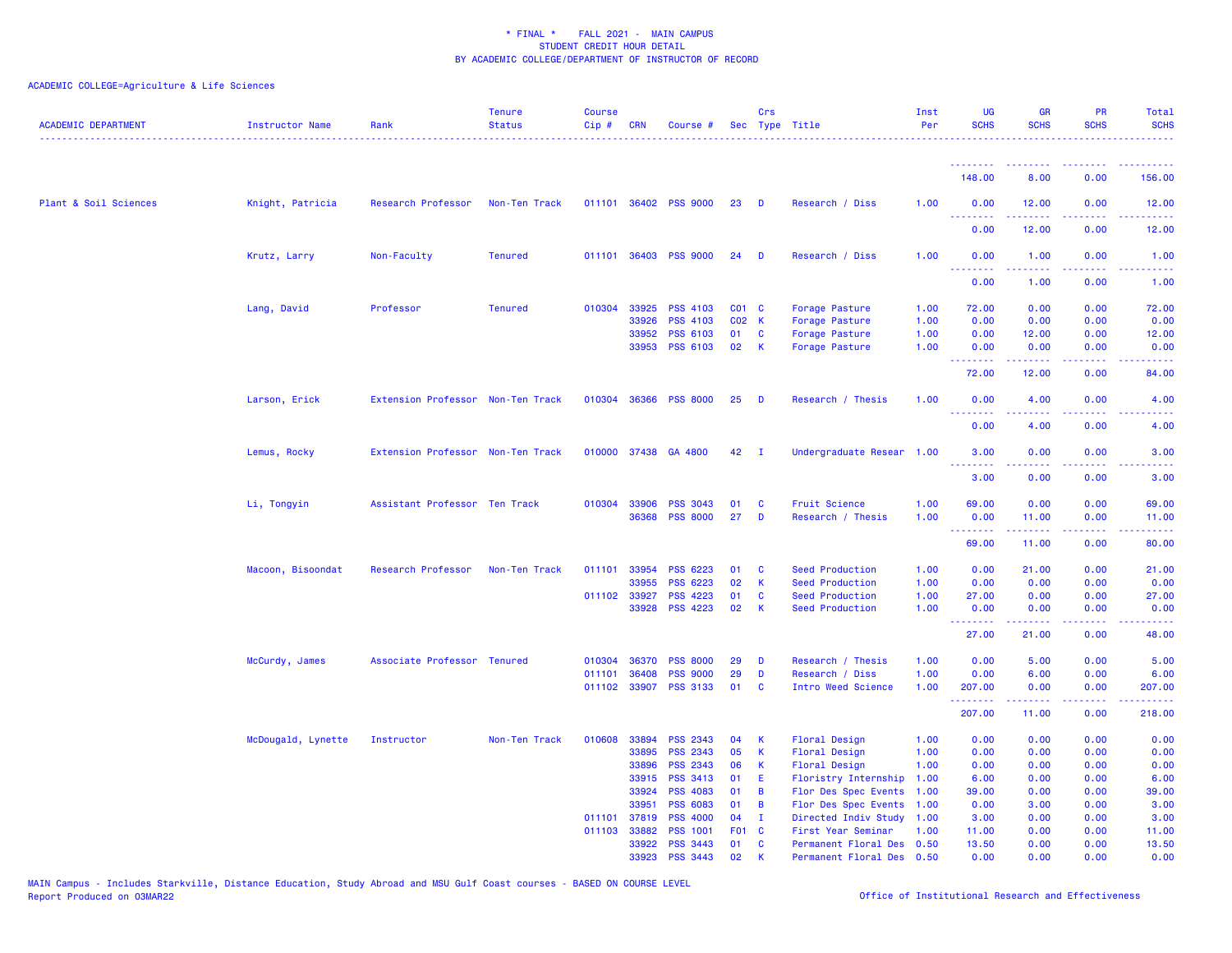| <b>ACADEMIC DEPARTMENT</b> | <b>Instructor Name</b> | Rank                              | <b>Tenure</b><br><b>Status</b> | <b>Course</b><br>Cip# | CRN            | Course #                           |          | Crs          | Sec Type Title                               | Inst<br>Per  | UG<br><b>SCHS</b>                                        | <b>GR</b><br><b>SCHS</b> | <b>PR</b><br><b>SCHS</b>              | Total<br><b>SCHS</b>                                                                                                              |
|----------------------------|------------------------|-----------------------------------|--------------------------------|-----------------------|----------------|------------------------------------|----------|--------------|----------------------------------------------|--------------|----------------------------------------------------------|--------------------------|---------------------------------------|-----------------------------------------------------------------------------------------------------------------------------------|
|                            |                        |                                   |                                |                       |                |                                    |          |              |                                              |              | <u>.</u>                                                 |                          |                                       |                                                                                                                                   |
|                            |                        |                                   |                                |                       |                |                                    |          |              |                                              |              | 148.00                                                   | 8.00                     | 0.00                                  | 156.00                                                                                                                            |
| Plant & Soil Sciences      | Knight, Patricia       | Research Professor                | Non-Ten Track                  |                       |                | 011101 36402 PSS 9000              | 23       | D            | Research / Diss                              | 1.00         | 0.00<br>.                                                | 12.00                    | 0.00                                  | 12.00<br>----                                                                                                                     |
|                            |                        |                                   |                                |                       |                |                                    |          |              |                                              |              | 0.00                                                     | 12.00                    | 0.00                                  | 12.00                                                                                                                             |
|                            | Krutz, Larry           | Non-Faculty                       | <b>Tenured</b>                 |                       |                | 011101 36403 PSS 9000              | 24       | D            | Research / Diss                              | 1.00         | 0.00<br>.                                                | 1.00                     | 0.00                                  | 1.00                                                                                                                              |
|                            |                        |                                   |                                |                       |                |                                    |          |              |                                              |              | 0.00                                                     | 1.00                     | 0.00                                  | 1.00                                                                                                                              |
|                            | Lang, David            | Professor                         | <b>Tenured</b>                 | 010304 33925          |                | <b>PSS 4103</b>                    | C01 C    |              | Forage Pasture                               | 1.00         | 72.00                                                    | 0.00                     | 0.00                                  | 72.00                                                                                                                             |
|                            |                        |                                   |                                |                       | 33926          | <b>PSS 4103</b>                    | C02 K    |              | Forage Pasture                               | 1.00         | 0.00                                                     | 0.00                     | 0.00                                  | 0.00                                                                                                                              |
|                            |                        |                                   |                                |                       | 33952          | PSS 6103                           | 01       | <b>C</b>     | Forage Pasture                               | 1.00         | 0.00                                                     | 12.00                    | 0.00                                  | 12.00                                                                                                                             |
|                            |                        |                                   |                                |                       | 33953          | <b>PSS 6103</b>                    | 02       | К            | Forage Pasture                               | 1.00         | 0.00<br>.                                                | 0.00<br>.                | 0.00<br><b><i><u><u>.</u></u></i></b> | 0.00                                                                                                                              |
|                            |                        |                                   |                                |                       |                |                                    |          |              |                                              |              | 72.00                                                    | 12.00                    | 0.00                                  | 84.00                                                                                                                             |
|                            | Larson, Erick          | Extension Professor Non-Ten Track |                                |                       |                | 010304 36366 PSS 8000              | 25       | D            | Research / Thesis                            | 1.00         | 0.00<br>.                                                | 4.00<br>د د د د د        | 0.00<br>.                             | 4.00<br>$\frac{1}{2} \left( \frac{1}{2} \right) \left( \frac{1}{2} \right) \left( \frac{1}{2} \right) \left( \frac{1}{2} \right)$ |
|                            |                        |                                   |                                |                       |                |                                    |          |              |                                              |              | 0.00                                                     | 4.00                     | 0.00                                  | 4.00                                                                                                                              |
|                            | Lemus, Rocky           | Extension Professor Non-Ten Track |                                |                       |                | 010000 37438 GA 4800               | 42       | $\mathbf I$  | Undergraduate Resear 1.00                    |              | 3.00<br><b><i><u><u><b>Little Little</b></u></u></i></b> | 0.00<br>22222            | 0.00<br>بالمحام                       | 3.00<br>----                                                                                                                      |
|                            |                        |                                   |                                |                       |                |                                    |          |              |                                              |              | 3.00                                                     | 0.00                     | 0.00                                  | 3.00                                                                                                                              |
|                            | Li, Tongyin            | Assistant Professor Ten Track     |                                | 010304 33906          |                | <b>PSS 3043</b>                    | 01       | C            | Fruit Science                                | 1.00         | 69.00                                                    | 0.00                     | 0.00                                  | 69.00                                                                                                                             |
|                            |                        |                                   |                                |                       | 36368          | <b>PSS 8000</b>                    | 27       | D            | Research / Thesis                            | 1.00         | 0.00<br>.                                                | 11.00<br>.               | 0.00<br>.                             | 11.00<br>.                                                                                                                        |
|                            |                        |                                   |                                |                       |                |                                    |          |              |                                              |              | 69.00                                                    | 11.00                    | 0.00                                  | 80.00                                                                                                                             |
|                            | Macoon, Bisoondat      | Research Professor                | Non-Ten Track                  | 011101                | 33954          | <b>PSS 6223</b>                    | 01       | C            | Seed Production                              | 1.00         | 0.00                                                     | 21.00                    | 0.00                                  | 21.00                                                                                                                             |
|                            |                        |                                   |                                |                       | 33955          | <b>PSS 6223</b>                    | 02       | K            | Seed Production                              | 1.00         | 0.00                                                     | 0.00                     | 0.00                                  | 0.00                                                                                                                              |
|                            |                        |                                   |                                | 011102 33927          |                | <b>PSS 4223</b>                    | 01       | C            | Seed Production                              | 1.00         | 27.00                                                    | 0.00                     | 0.00                                  | 27.00                                                                                                                             |
|                            |                        |                                   |                                |                       | 33928          | <b>PSS 4223</b>                    | 02       | К            | Seed Production                              | 1.00         | 0.00<br>.                                                | 0.00<br>2.2.2.2.2        | 0.00<br>.                             | 0.00<br>.                                                                                                                         |
|                            |                        |                                   |                                |                       |                |                                    |          |              |                                              |              | 27.00                                                    | 21.00                    | 0.00                                  | 48.00                                                                                                                             |
|                            | McCurdy, James         | Associate Professor Tenured       |                                | 010304 36370          |                | <b>PSS 8000</b>                    | 29       | D            | Research / Thesis                            | 1.00         | 0.00                                                     | 5.00                     | 0.00                                  | 5.00                                                                                                                              |
|                            |                        |                                   |                                | 011101                | 36408          | <b>PSS 9000</b>                    | 29       | D            | Research / Diss                              | 1.00         | 0.00                                                     | 6.00                     | 0.00                                  | 6.00                                                                                                                              |
|                            |                        |                                   |                                | 011102                | 33907          | <b>PSS 3133</b>                    | 01       | C            | Intro Weed Science                           | 1.00         | 207.00<br>.                                              | 0.00<br>2.2.2.2.2        | 0.00<br>.                             | 207.00<br>2.2.2.2.2.                                                                                                              |
|                            |                        |                                   |                                |                       |                |                                    |          |              |                                              |              | 207.00                                                   | 11.00                    | 0.00                                  | 218.00                                                                                                                            |
|                            | McDougald, Lynette     | Instructor                        | Non-Ten Track                  | 010608                | 33894          | <b>PSS 2343</b>                    | 04       | К            | Floral Design                                | 1.00         | 0.00                                                     | 0.00                     | 0.00                                  | 0.00                                                                                                                              |
|                            |                        |                                   |                                |                       | 33895          | <b>PSS 2343</b>                    | 05       | К            | Floral Design                                | 1.00         | 0.00                                                     | 0.00                     | 0.00                                  | 0.00                                                                                                                              |
|                            |                        |                                   |                                |                       | 33896          | PSS 2343                           | 06       | К            | <b>Floral Design</b>                         | 1.00         | 0.00                                                     | 0.00                     | 0.00                                  | 0.00                                                                                                                              |
|                            |                        |                                   |                                |                       | 33915          | <b>PSS 3413</b><br><b>PSS 4083</b> | 01<br>01 | E            | Floristry Internship                         | 1.00         | 6.00                                                     | 0.00                     | 0.00                                  | 6.00                                                                                                                              |
|                            |                        |                                   |                                |                       | 33924<br>33951 | PSS 6083                           | 01       | B<br>B       | Flor Des Spec Events<br>Flor Des Spec Events | 1.00<br>1.00 | 39.00<br>0.00                                            | 0.00<br>3.00             | 0.00<br>0.00                          | 39.00<br>3.00                                                                                                                     |
|                            |                        |                                   |                                | 011101 37819          |                | <b>PSS 4000</b>                    | 04       | $\mathbf{I}$ | Directed Indiv Study                         | 1.00         | 3.00                                                     | 0.00                     | 0.00                                  | 3.00                                                                                                                              |
|                            |                        |                                   |                                | 011103 33882          |                | <b>PSS 1001</b>                    | F01 C    |              | First Year Seminar                           | 1.00         | 11.00                                                    | 0.00                     | 0.00                                  | 11.00                                                                                                                             |
|                            |                        |                                   |                                |                       | 33922          | <b>PSS 3443</b>                    | 01       | C            | Permanent Floral Des 0.50                    |              | 13.50                                                    | 0.00                     | 0.00                                  | 13.50                                                                                                                             |
|                            |                        |                                   |                                |                       | 33923          | <b>PSS 3443</b>                    | 02       | К            | Permanent Floral Des 0.50                    |              | 0.00                                                     | 0.00                     | 0.00                                  | 0.00                                                                                                                              |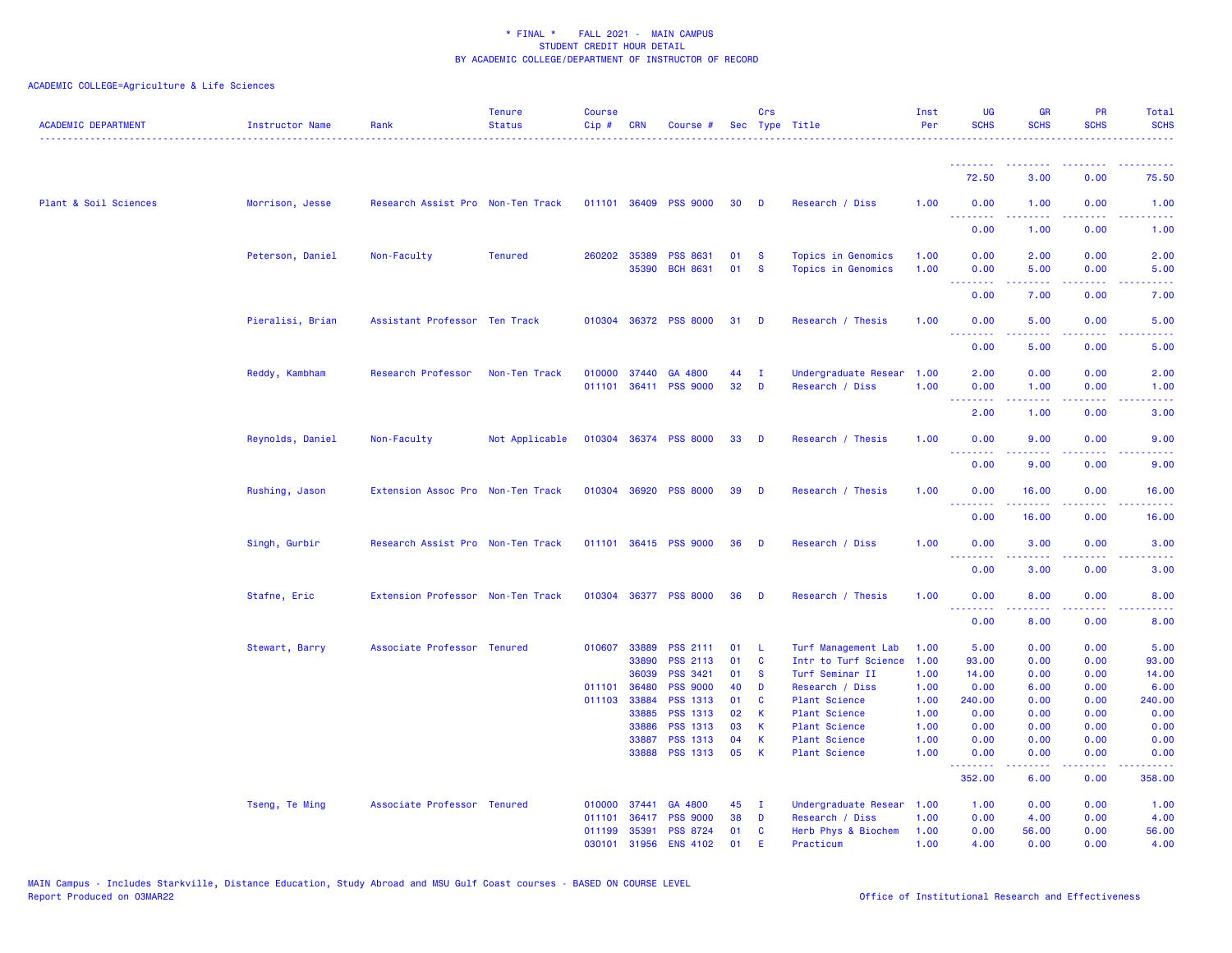| <b>ACADEMIC DEPARTMENT</b> | Instructor Name  | Rank                              | <b>Tenure</b><br><b>Status</b> | <b>Course</b><br>Cip# | <b>CRN</b>     | Course #                    |          | Crs                          | Sec Type Title                               | Inst<br>Per  | <b>UG</b><br><b>SCHS</b>              | <b>GR</b><br><b>SCHS</b>                                                                                                                                     | <b>PR</b><br><b>SCHS</b>                                                                                                          | Total<br><b>SCHS</b> |
|----------------------------|------------------|-----------------------------------|--------------------------------|-----------------------|----------------|-----------------------------|----------|------------------------------|----------------------------------------------|--------------|---------------------------------------|--------------------------------------------------------------------------------------------------------------------------------------------------------------|-----------------------------------------------------------------------------------------------------------------------------------|----------------------|
|                            |                  |                                   |                                |                       |                |                             |          |                              |                                              |              |                                       |                                                                                                                                                              |                                                                                                                                   |                      |
|                            |                  |                                   |                                |                       |                |                             |          |                              |                                              |              | 72.50                                 | 3.00                                                                                                                                                         | 0.00                                                                                                                              | 75.50                |
| Plant & Soil Sciences      | Morrison, Jesse  | Research Assist Pro Non-Ten Track |                                |                       |                | 011101 36409 PSS 9000       | 30       | <b>D</b>                     | Research / Diss                              | 1.00         | 0.00<br>ولالات                        | 1.00                                                                                                                                                         | 0.00                                                                                                                              | 1.00                 |
|                            |                  |                                   |                                |                       |                |                             |          |                              |                                              |              | 0.00                                  | 1.00                                                                                                                                                         | 0.00                                                                                                                              | 1.00                 |
|                            | Peterson, Daniel | Non-Faculty                       | <b>Tenured</b>                 |                       | 260202 35389   | <b>PSS 8631</b>             | 01       | - S                          | Topics in Genomics                           | 1.00         | 0.00                                  | 2.00                                                                                                                                                         | 0.00                                                                                                                              | 2.00                 |
|                            |                  |                                   |                                |                       | 35390          | <b>BCH 8631</b>             | 01       | $\mathbf{s}$                 | Topics in Genomics                           | 1.00         | 0.00                                  | 5.00                                                                                                                                                         | 0.00                                                                                                                              | 5.00                 |
|                            |                  |                                   |                                |                       |                |                             |          |                              |                                              |              | $\sim$ $\sim$ $\sim$<br>-----<br>0.00 | 7.00                                                                                                                                                         | 0.00                                                                                                                              | 7.00                 |
|                            | Pieralisi, Brian | Assistant Professor Ten Track     |                                |                       |                | 010304 36372 PSS 8000       | 31       | <b>D</b>                     | Research / Thesis                            | 1.00         | 0.00                                  | 5.00                                                                                                                                                         | 0.00                                                                                                                              | 5.00                 |
|                            |                  |                                   |                                |                       |                |                             |          |                              |                                              |              | .<br>0.00                             | 5.00                                                                                                                                                         | 0.00                                                                                                                              | 5.00                 |
|                            | Reddy, Kambham   | Research Professor                | Non-Ten Track                  |                       |                | 010000 37440 GA 4800        | 44       | $\mathbf I$                  | Undergraduate Resear 1.00                    |              | 2.00                                  | 0.00                                                                                                                                                         | 0.00                                                                                                                              | 2.00                 |
|                            |                  |                                   |                                |                       |                | 011101 36411 PSS 9000       | 32       | D                            | Research / Diss                              | 1.00         | 0.00                                  | 1.00                                                                                                                                                         | 0.00                                                                                                                              | 1.00                 |
|                            |                  |                                   |                                |                       |                |                             |          |                              |                                              |              | .<br>2.00                             | .<br>1.00                                                                                                                                                    | $\frac{1}{2} \left( \frac{1}{2} \right) \left( \frac{1}{2} \right) \left( \frac{1}{2} \right)$<br>0.00                            | 3.00                 |
|                            | Reynolds, Daniel | Non-Faculty                       | Not Applicable                 |                       |                | 010304 36374 PSS 8000       | 33       | $\blacksquare$               | Research / Thesis                            | 1.00         | 0.00                                  | 9.00                                                                                                                                                         | 0.00                                                                                                                              | 9.00                 |
|                            |                  |                                   |                                |                       |                |                             |          |                              |                                              |              | <u> - - - - - - - -</u>               |                                                                                                                                                              |                                                                                                                                   |                      |
|                            |                  |                                   |                                |                       |                |                             |          |                              |                                              |              | 0.00                                  | 9.00                                                                                                                                                         | 0.00                                                                                                                              | 9.00                 |
|                            | Rushing, Jason   | Extension Assoc Pro Non-Ten Track |                                |                       | 010304 36920   | <b>PSS 8000</b>             | 39       | D                            | Research / Thesis                            | 1.00         | 0.00<br>.                             | 16.00                                                                                                                                                        | 0.00                                                                                                                              | 16.00                |
|                            |                  |                                   |                                |                       |                |                             |          |                              |                                              |              | 0.00                                  | 16.00                                                                                                                                                        | 0.00                                                                                                                              | 16.00                |
|                            | Singh, Gurbir    | Research Assist Pro Non-Ten Track |                                |                       |                | 011101 36415 PSS 9000       | 36       | <b>D</b>                     | Research / Diss                              | 1.00         | 0.00                                  | 3.00                                                                                                                                                         | 0.00                                                                                                                              | 3.00                 |
|                            |                  |                                   |                                |                       |                |                             |          |                              |                                              |              | .<br>0.00                             | $\frac{1}{2} \left( \frac{1}{2} \right) \left( \frac{1}{2} \right) \left( \frac{1}{2} \right) \left( \frac{1}{2} \right) \left( \frac{1}{2} \right)$<br>3.00 | .<br>0.00                                                                                                                         | 3.00                 |
|                            | Stafne, Eric     | Extension Professor Non-Ten Track |                                |                       |                | 010304 36377 PSS 8000       | 36       | D                            | Research / Thesis                            | 1.00         | 0.00                                  | 8.00                                                                                                                                                         | 0.00                                                                                                                              | 8.00                 |
|                            |                  |                                   |                                |                       |                |                             |          |                              |                                              |              | .<br>0.00                             | .<br>8.00                                                                                                                                                    | $\frac{1}{2} \left( \frac{1}{2} \right) \left( \frac{1}{2} \right) \left( \frac{1}{2} \right) \left( \frac{1}{2} \right)$<br>0.00 | 8.00                 |
|                            | Stewart, Barry   | Associate Professor Tenured       |                                | 010607                | 33889          | PSS 2111                    | 01       | - L                          | Turf Management Lab                          | 1.00         | 5.00                                  | 0.00                                                                                                                                                         | 0.00                                                                                                                              | 5.00                 |
|                            |                  |                                   |                                |                       | 33890          | PSS 2113                    | 01       | $\mathbf{C}$                 | Intr to Turf Science                         | 1.00         | 93.00                                 | 0.00                                                                                                                                                         | 0.00                                                                                                                              | 93.00                |
|                            |                  |                                   |                                |                       | 36039          | PSS 3421                    | 01       | $\mathbf{s}$                 | Turf Seminar II                              | 1.00         | 14.00                                 | 0.00                                                                                                                                                         | 0.00                                                                                                                              | 14.00                |
|                            |                  |                                   |                                |                       | 011101 36480   | <b>PSS 9000</b>             | 40       | D                            | Research / Diss                              | 1.00         | 0.00                                  | 6.00                                                                                                                                                         | 0.00                                                                                                                              | 6.00                 |
|                            |                  |                                   |                                |                       | 011103 33884   | <b>PSS 1313</b>             | 01       | C                            | <b>Plant Science</b>                         | 1.00         | 240.00                                | 0.00                                                                                                                                                         | 0.00                                                                                                                              | 240.00               |
|                            |                  |                                   |                                |                       | 33885          | PSS 1313                    | 02       | $\mathsf{K}$                 | <b>Plant Science</b>                         | 1.00         | 0.00                                  | 0.00                                                                                                                                                         | 0.00                                                                                                                              | 0.00                 |
|                            |                  |                                   |                                |                       | 33886          | PSS 1313                    | 03       | $\mathsf{K}$                 | <b>Plant Science</b>                         | 1.00         | 0.00                                  | 0.00                                                                                                                                                         | 0.00                                                                                                                              | 0.00                 |
|                            |                  |                                   |                                |                       | 33887<br>33888 | PSS 1313<br><b>PSS 1313</b> | 04<br>05 | $\mathsf{K}$<br>$\mathsf{K}$ | <b>Plant Science</b><br><b>Plant Science</b> | 1.00<br>1.00 | 0.00<br>0.00                          | 0.00<br>0.00                                                                                                                                                 | 0.00<br>0.00                                                                                                                      | 0.00<br>0.00         |
|                            |                  |                                   |                                |                       |                |                             |          |                              |                                              |              | .<br>352.00                           | .<br>6.00                                                                                                                                                    | .<br>0.00                                                                                                                         | 358.00               |
|                            | Tseng, Te Ming   | Associate Professor Tenured       |                                | 010000                | 37441          | GA 4800                     | 45       | $\mathbf I$                  | Undergraduate Resear 1.00                    |              | 1.00                                  | 0.00                                                                                                                                                         | 0.00                                                                                                                              | 1.00                 |
|                            |                  |                                   |                                | 011101                | 36417          | <b>PSS 9000</b>             | 38       | D                            | Research / Diss                              | 1.00         | 0.00                                  | 4.00                                                                                                                                                         | 0.00                                                                                                                              | 4.00                 |
|                            |                  |                                   |                                |                       |                | 011199 35391 PSS 8724       | 01       | C                            | Herb Phys & Biochem                          | 1.00         | 0.00                                  | 56.00                                                                                                                                                        | 0.00                                                                                                                              | 56.00                |
|                            |                  |                                   |                                | 030101                | 31956          | <b>FNS 4102</b>             | 01       | F.                           | Practicum                                    | 1.00         | 4.00                                  | 0.00                                                                                                                                                         | 0.00                                                                                                                              | 4.00                 |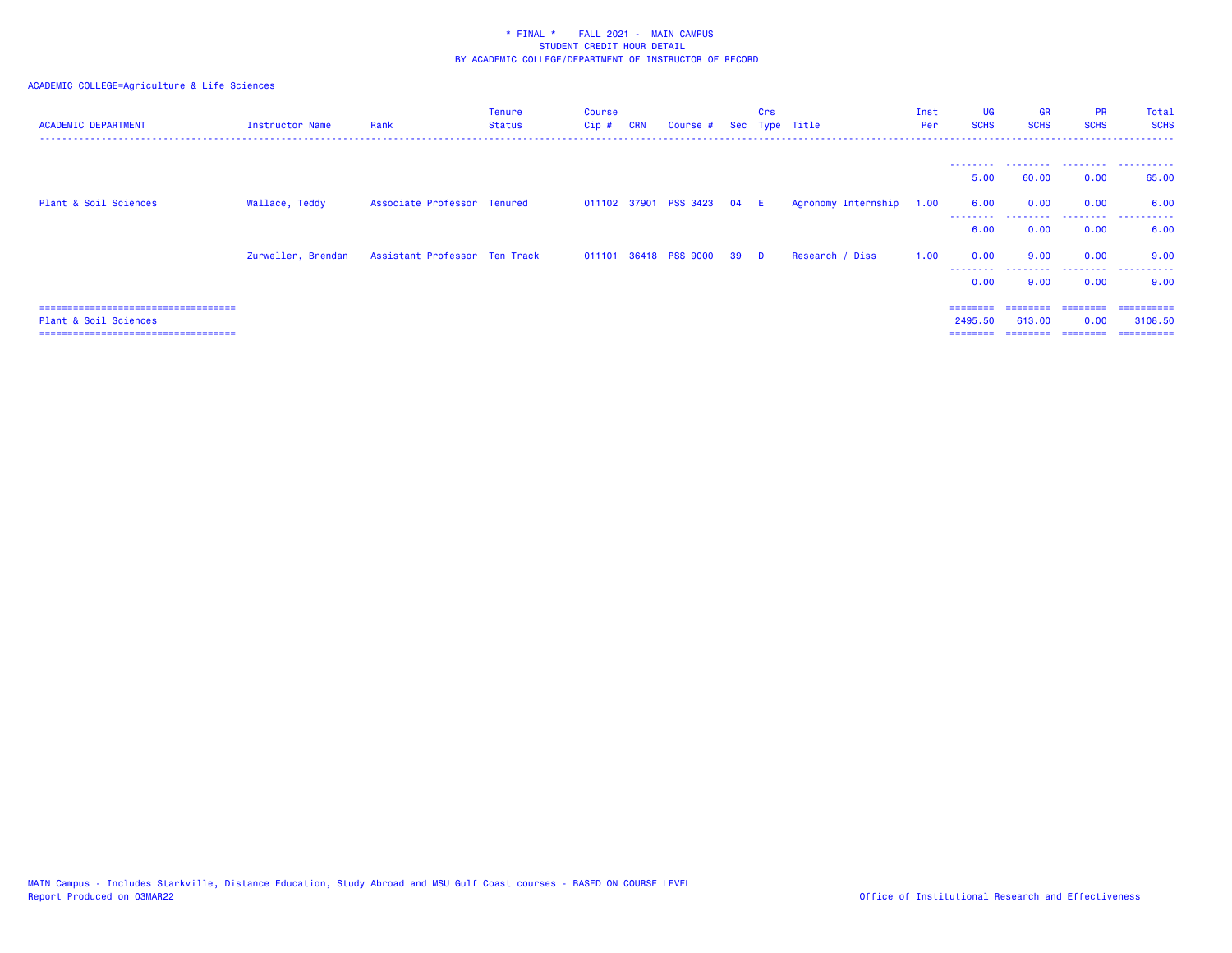| <b>ACADEMIC DEPARTMENT</b>                                     | Instructor Name    | Rank                          | <b>Tenure</b><br><b>Status</b> | Course<br>Cip# | <b>CRN</b> | Course #                   |    | Crs      | Sec Type Title      | Inst<br>Per | UG<br><b>SCHS</b>   | <b>GR</b><br><b>SCHS</b> | <b>PR</b><br><b>SCHS</b> | Total<br><b>SCHS</b>   |
|----------------------------------------------------------------|--------------------|-------------------------------|--------------------------------|----------------|------------|----------------------------|----|----------|---------------------|-------------|---------------------|--------------------------|--------------------------|------------------------|
|                                                                |                    |                               |                                |                |            |                            |    |          |                     |             | 5.00                | 60.00                    | 0.00                     | 65.00                  |
| Plant & Soil Sciences                                          | Wallace, Teddy     | Associate Professor Tenured   |                                |                |            | 011102 37901 PSS 3423 04 E |    |          | Agronomy Internship | 1.00        | 6.00<br>.           | 0.00                     | 0.00<br>.                | 6.00<br>.              |
|                                                                |                    |                               |                                |                |            |                            |    |          |                     |             | 6.00                | 0.00                     | 0.00                     | 6.00                   |
|                                                                | Zurweller, Brendan | Assistant Professor Ten Track |                                |                |            | 011101 36418 PSS 9000      | 39 | <b>D</b> | Research / Diss     | 1.00        | 0.00<br>.           | 9.00<br>.                | 0.00<br>.                | 9.00<br>.              |
|                                                                |                    |                               |                                |                |            |                            |    |          |                     |             | 0.00                | 9.00                     | 0.00                     | 9.00                   |
| ====================================                           |                    |                               |                                |                |            |                            |    |          |                     |             |                     |                          |                          | =========              |
| Plant & Soil Sciences<br>===================================== |                    |                               |                                |                |            |                            |    |          |                     |             | 2495.50<br>======== | 613,00<br>========       | 0.00<br>---------        | 3108.50<br>----------- |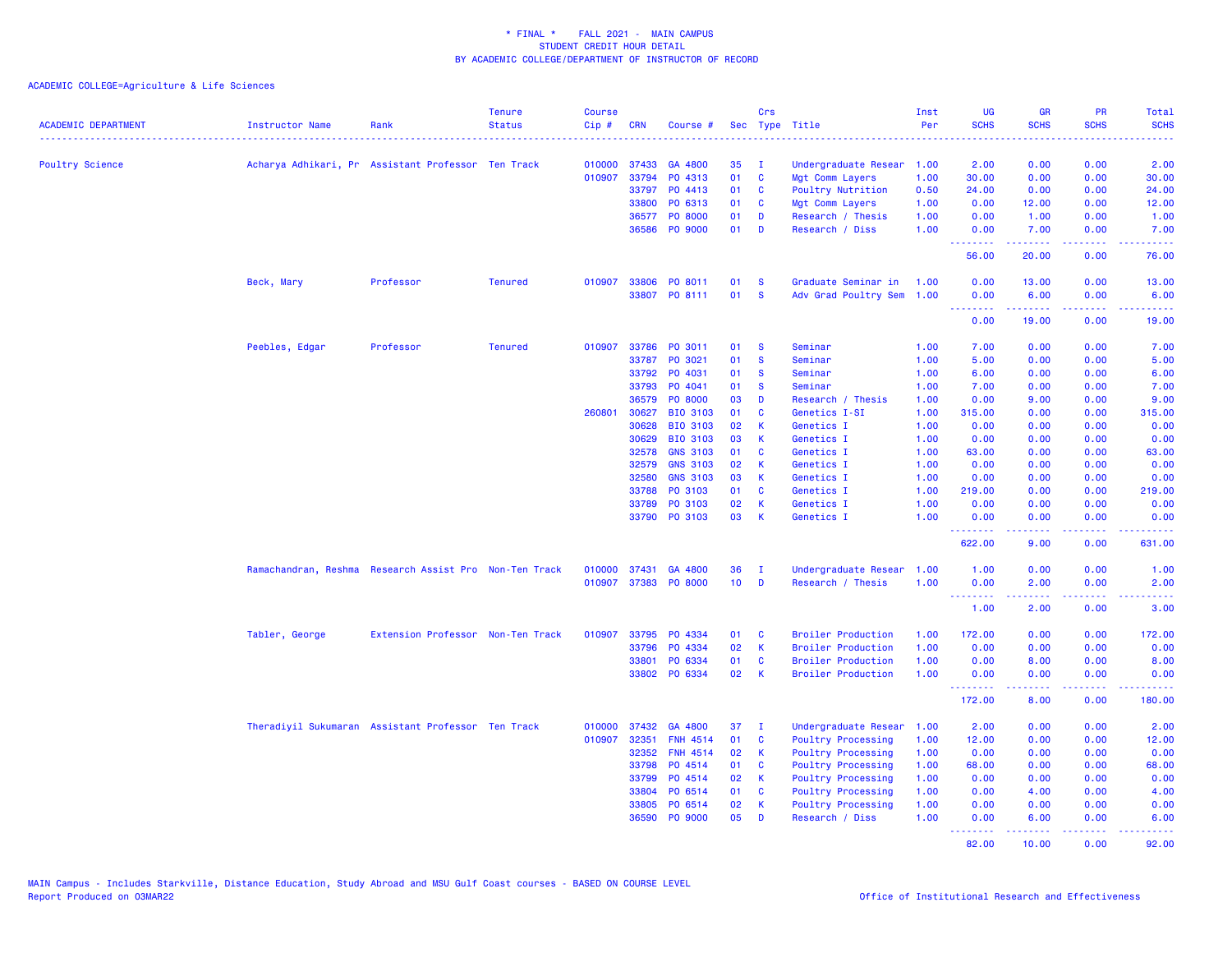| <b>ACADEMIC DEPARTMENT</b> | Instructor Name                                        | Rank                              | <b>Tenure</b><br><b>Status</b> | <b>Course</b><br>Cip# | <b>CRN</b> | Course #        |                 | Crs          | Sec Type Title            | Inst<br>Per | UG<br><b>SCHS</b>                                        | <b>GR</b><br><b>SCHS</b> | PR<br><b>SCHS</b>                   | <b>Total</b><br><b>SCHS</b><br>$\frac{1}{2} \left( \frac{1}{2} \right) \left( \frac{1}{2} \right) \left( \frac{1}{2} \right) \left( \frac{1}{2} \right)$ |
|----------------------------|--------------------------------------------------------|-----------------------------------|--------------------------------|-----------------------|------------|-----------------|-----------------|--------------|---------------------------|-------------|----------------------------------------------------------|--------------------------|-------------------------------------|----------------------------------------------------------------------------------------------------------------------------------------------------------|
| <b>Poultry Science</b>     | Acharya Adhikari, Pr Assistant Professor Ten Track     |                                   |                                | 010000                | 37433      | GA 4800         | 35              | $\mathbf{I}$ | Undergraduate Resear      | 1.00        | 2.00                                                     | 0.00                     | 0.00                                | 2.00                                                                                                                                                     |
|                            |                                                        |                                   |                                | 010907                | 33794      | PO 4313         | 01              | <b>C</b>     | Mgt Comm Layers           | 1.00        | 30.00                                                    | 0.00                     | 0.00                                | 30.00                                                                                                                                                    |
|                            |                                                        |                                   |                                |                       | 33797      | PO 4413         | 01              | C            | Poultry Nutrition         | 0.50        | 24.00                                                    | 0.00                     | 0.00                                | 24.00                                                                                                                                                    |
|                            |                                                        |                                   |                                |                       | 33800      | PO 6313         | 01              | <b>C</b>     | Mgt Comm Layers           | 1.00        | 0.00                                                     | 12.00                    | 0.00                                | 12.00                                                                                                                                                    |
|                            |                                                        |                                   |                                |                       | 36577      | PO 8000         | 01              | D            | Research / Thesis         | 1.00        | 0.00                                                     | 1.00                     | 0.00                                | 1.00                                                                                                                                                     |
|                            |                                                        |                                   |                                |                       | 36586      | PO 9000         | 01              | D            | Research / Diss           | 1.00        | 0.00                                                     | 7.00                     | 0.00                                | 7.00                                                                                                                                                     |
|                            |                                                        |                                   |                                |                       |            |                 |                 |              |                           |             | <u>.</u><br>56.00                                        | بالأباب<br>20.00         | $\sim$ $\sim$ $\sim$ $\sim$<br>0.00 | المحامية<br>76.00                                                                                                                                        |
|                            | Beck, Mary                                             | Professor                         | <b>Tenured</b>                 | 010907                | 33806      | PO 8011         | 01              | <b>S</b>     | Graduate Seminar in       | 1.00        | 0.00                                                     | 13.00                    | 0.00                                | 13.00                                                                                                                                                    |
|                            |                                                        |                                   |                                |                       |            | 33807 PO 8111   | 01              | <b>S</b>     | Adv Grad Poultry Sem 1.00 |             | 0.00<br><b><i><u><u> - - - - - - -</u></u></i></b>       | 6.00<br>.                | 0.00<br>.                           | 6.00<br>وعاديات                                                                                                                                          |
|                            |                                                        |                                   |                                |                       |            |                 |                 |              |                           |             | 0.00                                                     | 19.00                    | 0.00                                | 19.00                                                                                                                                                    |
|                            | Peebles, Edgar                                         | Professor                         | <b>Tenured</b>                 | 010907                | 33786      | PO 3011         | 01              | $\mathbf{s}$ | Seminar                   | 1.00        | 7.00                                                     | 0.00                     | 0.00                                | 7.00                                                                                                                                                     |
|                            |                                                        |                                   |                                |                       | 33787      | PO 3021         | 01              | <b>S</b>     | Seminar                   | 1.00        | 5.00                                                     | 0.00                     | 0.00                                | 5.00                                                                                                                                                     |
|                            |                                                        |                                   |                                |                       | 33792      | PO 4031         | 01              | <b>S</b>     | Seminar                   | 1.00        | 6.00                                                     | 0.00                     | 0.00                                | 6.00                                                                                                                                                     |
|                            |                                                        |                                   |                                |                       | 33793      | PO 4041         | 01              | <b>S</b>     | Seminar                   | 1.00        | 7.00                                                     | 0.00                     | 0.00                                | 7.00                                                                                                                                                     |
|                            |                                                        |                                   |                                |                       | 36579      | PO 8000         | 03              | D            | Research / Thesis         | 1.00        | 0.00                                                     | 9.00                     | 0.00                                | 9.00                                                                                                                                                     |
|                            |                                                        |                                   |                                | 260801                | 30627      | BIO 3103        | 01              | C            | Genetics I-SI             | 1.00        | 315.00                                                   | 0.00                     | 0.00                                | 315.00                                                                                                                                                   |
|                            |                                                        |                                   |                                |                       | 30628      | <b>BIO 3103</b> | 02              | K            | Genetics I                | 1.00        | 0.00                                                     | 0.00                     | 0.00                                | 0.00                                                                                                                                                     |
|                            |                                                        |                                   |                                |                       | 30629      | <b>BIO 3103</b> | 03              | K            | Genetics I                | 1.00        | 0.00                                                     | 0.00                     | 0.00                                | 0.00                                                                                                                                                     |
|                            |                                                        |                                   |                                |                       | 32578      | <b>GNS 3103</b> | 01              | C            | Genetics I                | 1.00        | 63.00                                                    | 0.00                     | 0.00                                | 63.00                                                                                                                                                    |
|                            |                                                        |                                   |                                |                       | 32579      | <b>GNS 3103</b> | 02              | $\mathsf{K}$ | Genetics I                | 1.00        | 0.00                                                     | 0.00                     | 0.00                                | 0.00                                                                                                                                                     |
|                            |                                                        |                                   |                                |                       | 32580      | <b>GNS 3103</b> | 03              | K            | Genetics I                | 1.00        | 0.00                                                     | 0.00                     | 0.00                                | 0.00                                                                                                                                                     |
|                            |                                                        |                                   |                                |                       | 33788      | PO 3103         | 01              | <b>C</b>     | Genetics I                | 1.00        | 219.00                                                   | 0.00                     | 0.00                                | 219.00                                                                                                                                                   |
|                            |                                                        |                                   |                                |                       | 33789      | PO 3103         | 02              | K            | Genetics I                | 1.00        | 0.00                                                     | 0.00                     | 0.00                                | 0.00                                                                                                                                                     |
|                            |                                                        |                                   |                                |                       | 33790      | PO 3103         | 03              | $\mathsf{K}$ | Genetics I                | 1.00        | 0.00<br>.                                                | 0.00<br>.                | 0.00<br>الدائد الدائد               | 0.00<br>.                                                                                                                                                |
|                            |                                                        |                                   |                                |                       |            |                 |                 |              |                           |             | 622.00                                                   | 9.00                     | 0.00                                | 631.00                                                                                                                                                   |
|                            | Ramachandran, Reshma Research Assist Pro Non-Ten Track |                                   |                                | 010000                | 37431      | GA 4800         | 36              | $\mathbf{I}$ | Undergraduate Resear      | 1.00        | 1.00                                                     | 0.00                     | 0.00                                | 1.00                                                                                                                                                     |
|                            |                                                        |                                   |                                | 010907                |            | 37383 PO 8000   | 10 <sup>°</sup> | D            | Research / Thesis         | 1.00        | 0.00                                                     | 2.00                     | 0.00                                | 2.00                                                                                                                                                     |
|                            |                                                        |                                   |                                |                       |            |                 |                 |              |                           |             | <b><i><u><u><b>Little Little</b></u></u></i></b><br>1.00 | .<br>2.00                | د د د د<br>0.00                     | <u>.</u><br>3.00                                                                                                                                         |
|                            | Tabler, George                                         | Extension Professor Non-Ten Track |                                | 010907                |            | 33795 PO 4334   | 01              | <b>C</b>     | <b>Broiler Production</b> | 1.00        | 172.00                                                   | 0.00                     | 0.00                                | 172.00                                                                                                                                                   |
|                            |                                                        |                                   |                                |                       | 33796      | PO 4334         | 02              | K            | <b>Broiler Production</b> | 1.00        | 0.00                                                     | 0.00                     | 0.00                                | 0.00                                                                                                                                                     |
|                            |                                                        |                                   |                                |                       | 33801      | PO 6334         | 01              | C            | <b>Broiler Production</b> | 1.00        | 0.00                                                     | 8.00                     | 0.00                                | 8.00                                                                                                                                                     |
|                            |                                                        |                                   |                                |                       |            | 33802 PO 6334   | 02              | K            | <b>Broiler Production</b> | 1.00        | 0.00                                                     | 0.00                     | 0.00<br>$\sim$ $\sim$ $\sim$ $\sim$ | 0.00                                                                                                                                                     |
|                            |                                                        |                                   |                                |                       |            |                 |                 |              |                           |             | 172.00                                                   | 8.00                     | 0.00                                | 180.00                                                                                                                                                   |
|                            | Theradiyil Sukumaran Assistant Professor Ten Track     |                                   |                                | 010000                | 37432      | GA 4800         | 37              | $\mathbf{I}$ | Undergraduate Resear      | 1.00        | 2.00                                                     | 0.00                     | 0.00                                | 2.00                                                                                                                                                     |
|                            |                                                        |                                   |                                | 010907                | 32351      | <b>FNH 4514</b> | 01              | C            | <b>Poultry Processing</b> | 1.00        | 12.00                                                    | 0.00                     | 0.00                                | 12.00                                                                                                                                                    |
|                            |                                                        |                                   |                                |                       | 32352      | <b>FNH 4514</b> | 02              | K            | Poultry Processing        | 1.00        | 0.00                                                     | 0.00                     | 0.00                                | 0.00                                                                                                                                                     |
|                            |                                                        |                                   |                                |                       | 33798      | PO 4514         | 01              | C            | <b>Poultry Processing</b> | 1.00        | 68.00                                                    | 0.00                     | 0.00                                | 68.00                                                                                                                                                    |
|                            |                                                        |                                   |                                |                       | 33799      | PO 4514         | 02              | K            | Poultry Processing        | 1.00        | 0.00                                                     | 0.00                     | 0.00                                | 0.00                                                                                                                                                     |
|                            |                                                        |                                   |                                |                       | 33804      | PO 6514         | 01              | C            | Poultry Processing        | 1.00        | 0.00                                                     | 4.00                     | 0.00                                | 4.00                                                                                                                                                     |
|                            |                                                        |                                   |                                |                       | 33805      | PO 6514         | 02              | K            | <b>Poultry Processing</b> | 1.00        | 0.00                                                     | 0.00                     | 0.00                                | 0.00                                                                                                                                                     |
|                            |                                                        |                                   |                                |                       | 36590      | PO 9000         | 05              | D            | Research / Diss           | 1.00        | 0.00<br><u>.</u>                                         | 6.00<br>22222            | 0.00<br>الدائد الدائد               | 6.00<br>$\frac{1}{2} \left( \frac{1}{2} \right) \left( \frac{1}{2} \right) \left( \frac{1}{2} \right) \left( \frac{1}{2} \right)$                        |
|                            |                                                        |                                   |                                |                       |            |                 |                 |              |                           |             | 82.00                                                    | 10.00                    | 0.00                                | 92.00                                                                                                                                                    |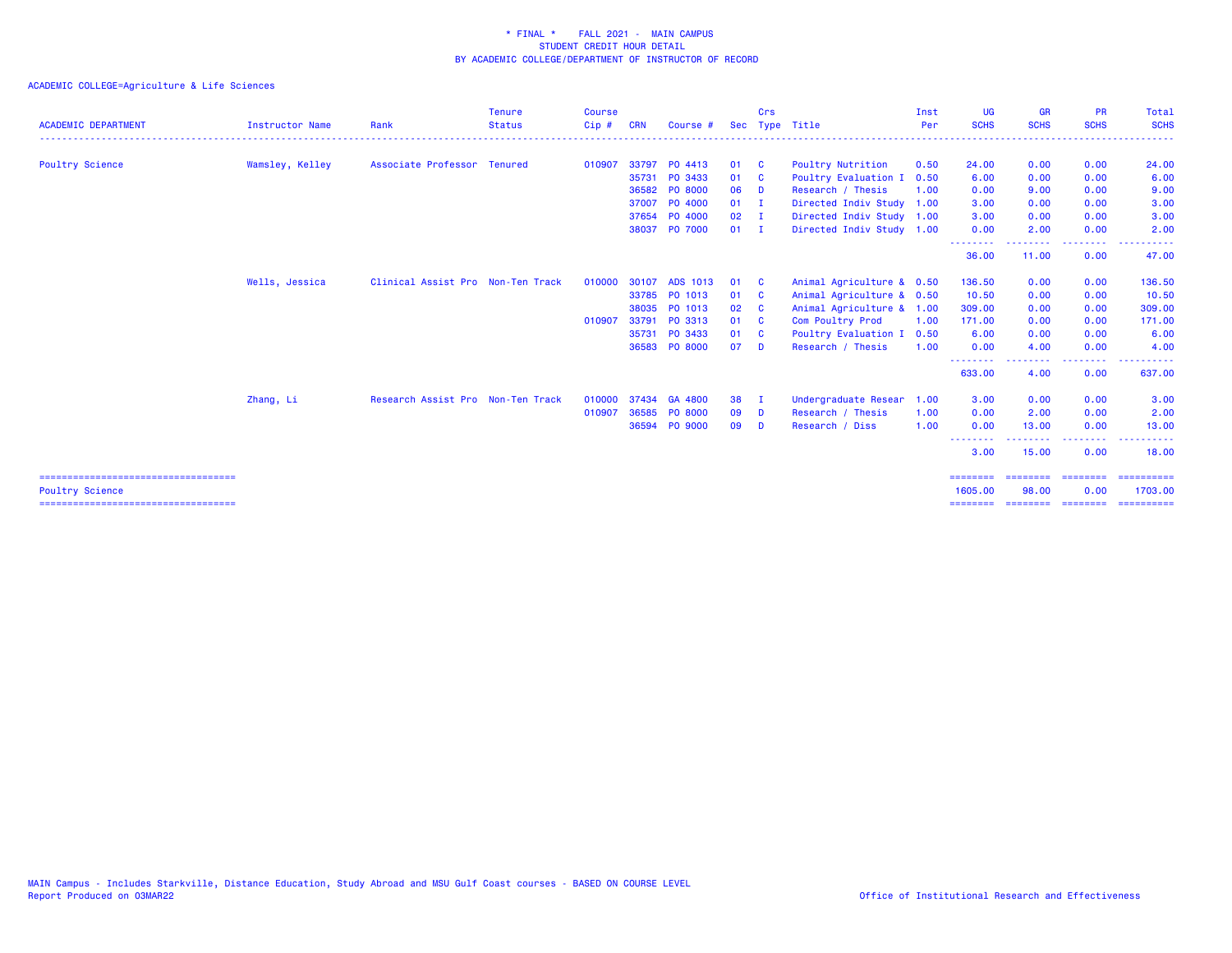| <b>ACADEMIC DEPARTMENT</b>                                                                        | <b>Instructor Name</b> | Rank                              | <b>Tenure</b><br><b>Status</b> | <b>Course</b><br>$Cip$ # | <b>CRN</b> | Course #      |               | Crs                     | Sec Type Title            | Inst<br>Per | <b>UG</b><br><b>SCHS</b>        | <b>GR</b><br><b>SCHS</b>               | <b>PR</b><br><b>SCHS</b>     | Total<br><b>SCHS</b>                             |
|---------------------------------------------------------------------------------------------------|------------------------|-----------------------------------|--------------------------------|--------------------------|------------|---------------|---------------|-------------------------|---------------------------|-------------|---------------------------------|----------------------------------------|------------------------------|--------------------------------------------------|
| <b>Poultry Science</b>                                                                            | Wamsley, Kelley        | Associate Professor Tenured       |                                | 010907                   |            | 33797 PO 4413 | 01 C          |                         | <b>Poultry Nutrition</b>  | 0.50        | 24.00                           | 0.00                                   | 0.00                         | 24.00                                            |
|                                                                                                   |                        |                                   |                                |                          |            | 35731 PO 3433 | 01 C          |                         | Poultry Evaluation I      | 0.50        | 6.00                            | 0.00                                   | 0.00                         | 6.00                                             |
|                                                                                                   |                        |                                   |                                |                          |            | 36582 PO 8000 | 06            | <b>D</b>                | Research / Thesis         | 1.00        | 0.00                            | 9.00                                   | 0.00                         | 9.00                                             |
|                                                                                                   |                        |                                   |                                |                          |            | 37007 PO 4000 | $01 \quad I$  |                         | Directed Indiv Study 1.00 |             | 3.00                            | 0.00                                   | 0.00                         | 3.00                                             |
|                                                                                                   |                        |                                   |                                |                          |            | 37654 PO 4000 | $02 \qquad I$ |                         | Directed Indiv Study 1.00 |             | 3.00                            | 0.00                                   | 0.00                         | 3.00                                             |
|                                                                                                   |                        |                                   |                                |                          |            | 38037 PO 7000 | $01$ I        |                         | Directed Indiv Study 1.00 |             | 0.00                            | 2.00                                   | 0.00                         | 2.00                                             |
|                                                                                                   |                        |                                   |                                |                          |            |               |               |                         |                           |             | --------<br>36,00               | <u> - - - - - - - -</u><br>11.00       | .<br>0.00                    | $\sim$ $\sim$ $\sim$ $\sim$<br><u>.</u><br>47.00 |
|                                                                                                   | Wells, Jessica         | Clinical Assist Pro Non-Ten Track |                                | 010000                   | 30107      | ADS 1013      | 01            | $\mathbf{C}$            | Animal Agriculture & 0.50 |             | 136.50                          | 0.00                                   | 0.00                         | 136.50                                           |
|                                                                                                   |                        |                                   |                                |                          |            | 33785 PO 1013 | 01 C          |                         | Animal Agriculture & 0.50 |             | 10.50                           | 0.00                                   | 0.00                         | 10.50                                            |
|                                                                                                   |                        |                                   |                                |                          |            | 38035 PO 1013 | 02            | $\overline{\mathbf{C}}$ | Animal Agriculture & 1.00 |             | 309.00                          | 0.00                                   | 0.00                         | 309.00                                           |
|                                                                                                   |                        |                                   |                                | 010907                   |            | 33791 PO 3313 | 01 C          |                         | Com Poultry Prod          | 1.00        | 171.00                          | 0.00                                   | 0.00                         | 171.00                                           |
|                                                                                                   |                        |                                   |                                |                          |            | 35731 PO 3433 | 01 C          |                         | Poultry Evaluation I      | 0.50        | 6.00                            | 0.00                                   | 0.00                         | 6.00                                             |
|                                                                                                   |                        |                                   |                                |                          |            | 36583 PO 8000 | 07            | <b>D</b>                | Research / Thesis         | 1.00        | 0.00<br><u>.</u>                | 4.00<br><u>.</u>                       | 0.00<br>.                    | 4.00<br>. <u>.</u>                               |
|                                                                                                   |                        |                                   |                                |                          |            |               |               |                         |                           |             | 633,00                          | 4.00                                   | 0.00                         | 637.00                                           |
|                                                                                                   | Zhang, Li              | Research Assist Pro Non-Ten Track |                                | 010000                   |            | 37434 GA 4800 | 38            | $\mathbf{I}$            | Undergraduate Resear      | 1.00        | 3.00                            | 0.00                                   | 0.00                         | 3.00                                             |
|                                                                                                   |                        |                                   |                                | 010907                   |            | 36585 PO 8000 | 09            | - D                     | Research / Thesis         | 1.00        | 0.00                            | 2.00                                   | 0.00                         | 2.00                                             |
|                                                                                                   |                        |                                   |                                |                          |            | 36594 PO 9000 | 09            | <b>D</b>                | Research / Diss           | 1.00        | 0.00                            | 13.00                                  | 0.00                         | 13.00                                            |
|                                                                                                   |                        |                                   |                                |                          |            |               |               |                         |                           |             | $- - -$<br>3.00                 | -----<br>15.00                         | <u>.</u><br>0.00             | - - - - - -<br>18.00                             |
| ====================================<br>Poultry Science<br>====================================== |                        |                                   |                                |                          |            |               |               |                         |                           |             | ========<br>1605.00<br>======== | $=$ = = = = = = =<br>98.00<br>======== | ========<br>0.00<br>======== | ==========<br>1703.00                            |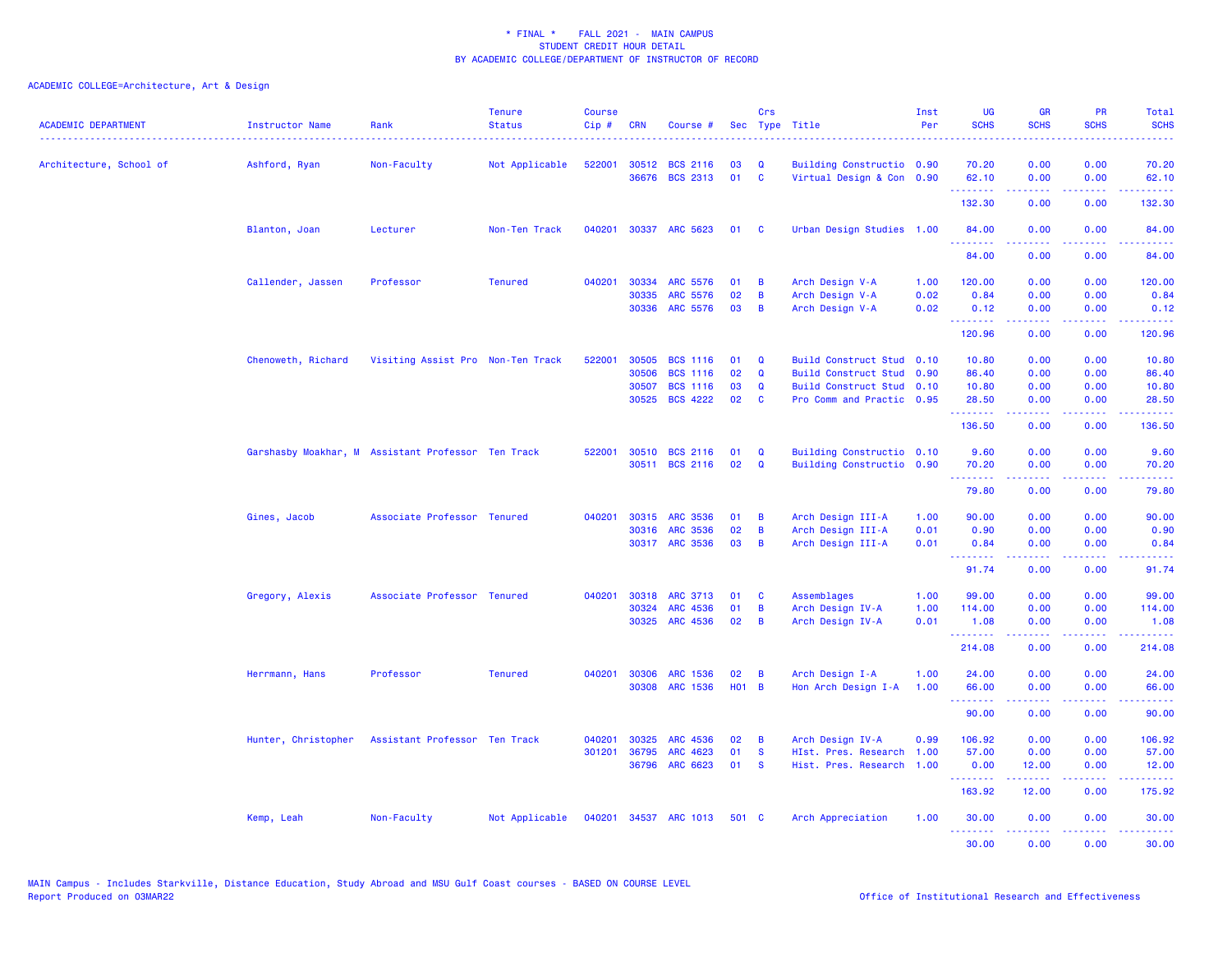| <b>ACADEMIC DEPARTMENT</b> | <b>Instructor Name</b> | Rank                                               | <b>Tenure</b><br><b>Status</b> | <b>Course</b><br>$Cip \#$ | <b>CRN</b>     | Course #                    |          | Crs         | Sec Type Title                     | Inst<br>Per  | <b>UG</b><br><b>SCHS</b>                                                                                                                                                                                                                                                                                                                                                                                                                                                                        | <b>GR</b><br><b>SCHS</b> | PR<br><b>SCHS</b>                                                                                                                 | Total<br><b>SCHS</b> |
|----------------------------|------------------------|----------------------------------------------------|--------------------------------|---------------------------|----------------|-----------------------------|----------|-------------|------------------------------------|--------------|-------------------------------------------------------------------------------------------------------------------------------------------------------------------------------------------------------------------------------------------------------------------------------------------------------------------------------------------------------------------------------------------------------------------------------------------------------------------------------------------------|--------------------------|-----------------------------------------------------------------------------------------------------------------------------------|----------------------|
| Architecture, School of    | Ashford, Ryan          | Non-Faculty                                        | Not Applicable                 | 522001                    |                | 30512 BCS 2116              | 03       | Q           | Building Constructio 0.90          |              | 70.20                                                                                                                                                                                                                                                                                                                                                                                                                                                                                           | 0.00                     | 0.00                                                                                                                              | 70.20                |
|                            |                        |                                                    |                                |                           |                | 36676 BCS 2313              | 01       | <b>C</b>    | Virtual Design & Con 0.90          |              | 62.10                                                                                                                                                                                                                                                                                                                                                                                                                                                                                           | 0.00                     | 0.00<br>$\omega_{\rm{eff}}$ and $\omega_{\rm{eff}}$                                                                               | 62.10                |
|                            |                        |                                                    |                                |                           |                |                             |          |             |                                    |              | 132.30                                                                                                                                                                                                                                                                                                                                                                                                                                                                                          | 0.00                     | 0.00                                                                                                                              | 132.30               |
|                            | Blanton, Joan          | Lecturer                                           | Non-Ten Track                  | 040201                    |                | 30337 ARC 5623              | 01       | <b>C</b>    | Urban Design Studies 1.00          |              | 84.00<br>.                                                                                                                                                                                                                                                                                                                                                                                                                                                                                      | 0.00<br>.                | 0.00<br>بالمحام                                                                                                                   | 84.00<br>.           |
|                            |                        |                                                    |                                |                           |                |                             |          |             |                                    |              | 84.00                                                                                                                                                                                                                                                                                                                                                                                                                                                                                           | 0.00                     | 0.00                                                                                                                              | 84.00                |
|                            | Callender, Jassen      | Professor                                          | <b>Tenured</b>                 | 040201                    | 30334<br>30335 | <b>ARC 5576</b><br>ARC 5576 | 01<br>02 | В<br>B      | Arch Design V-A                    | 1.00<br>0.02 | 120.00<br>0.84                                                                                                                                                                                                                                                                                                                                                                                                                                                                                  | 0.00<br>0.00             | 0.00<br>0.00                                                                                                                      | 120.00<br>0.84       |
|                            |                        |                                                    |                                |                           |                | 30336 ARC 5576              | 03       | B           | Arch Design V-A<br>Arch Design V-A | 0.02         | 0.12                                                                                                                                                                                                                                                                                                                                                                                                                                                                                            | 0.00                     | 0.00                                                                                                                              | 0.12                 |
|                            |                        |                                                    |                                |                           |                |                             |          |             |                                    |              | <b><i><u><u> - - - - - - -</u></u></i></b><br>120.96                                                                                                                                                                                                                                                                                                                                                                                                                                            | 22222<br>0.00            | .<br>0.00                                                                                                                         | .<br>120.96          |
|                            | Chenoweth, Richard     | Visiting Assist Pro Non-Ten Track                  |                                | 522001                    | 30505          | <b>BCS 1116</b>             | 01       | Q           | Build Construct Stud 0.10          |              | 10.80                                                                                                                                                                                                                                                                                                                                                                                                                                                                                           | 0.00                     | 0.00                                                                                                                              | 10.80                |
|                            |                        |                                                    |                                |                           | 30506          | <b>BCS 1116</b>             | 02       | Q           | <b>Build Construct Stud</b>        | 0.90         | 86.40                                                                                                                                                                                                                                                                                                                                                                                                                                                                                           | 0.00                     | 0.00                                                                                                                              | 86.40                |
|                            |                        |                                                    |                                |                           | 30507          | <b>BCS 1116</b>             | 03       | $\mathbf Q$ | Build Construct Stud 0.10          |              | 10.80                                                                                                                                                                                                                                                                                                                                                                                                                                                                                           | 0.00                     | 0.00                                                                                                                              | 10.80                |
|                            |                        |                                                    |                                |                           | 30525          | <b>BCS 4222</b>             | 02       | C           | Pro Comm and Practic 0.95          |              | 28.50<br>.                                                                                                                                                                                                                                                                                                                                                                                                                                                                                      | 0.00<br>.                | 0.00<br>د د د د .                                                                                                                 | 28.50<br>.           |
|                            |                        |                                                    |                                |                           |                |                             |          |             |                                    |              | 136.50                                                                                                                                                                                                                                                                                                                                                                                                                                                                                          | 0.00                     | 0.00                                                                                                                              | 136.50               |
|                            |                        | Garshasby Moakhar, M Assistant Professor Ten Track |                                | 522001                    | 30510          | <b>BCS 2116</b>             | 01       | Q           | Building Constructio 0.10          |              | 9.60                                                                                                                                                                                                                                                                                                                                                                                                                                                                                            | 0.00                     | 0.00                                                                                                                              | 9.60                 |
|                            |                        |                                                    |                                |                           |                | 30511 BCS 2116              | 02       | $\mathbf Q$ | Building Constructio 0.90          |              | 70.20<br><u>.</u>                                                                                                                                                                                                                                                                                                                                                                                                                                                                               | 0.00<br>.                | 0.00                                                                                                                              | 70.20<br>وعاعاها     |
|                            |                        |                                                    |                                |                           |                |                             |          |             |                                    |              | 79.80                                                                                                                                                                                                                                                                                                                                                                                                                                                                                           | 0.00                     | 0.00                                                                                                                              | 79.80                |
|                            | Gines, Jacob           | Associate Professor Tenured                        |                                | 040201                    |                | 30315 ARC 3536              | 01       | B           | Arch Design III-A                  | 1.00         | 90.00                                                                                                                                                                                                                                                                                                                                                                                                                                                                                           | 0.00                     | 0.00                                                                                                                              | 90.00                |
|                            |                        |                                                    |                                |                           | 30316          | <b>ARC 3536</b>             | 02       | B           | Arch Design III-A                  | 0.01         | 0.90                                                                                                                                                                                                                                                                                                                                                                                                                                                                                            | 0.00                     | 0.00                                                                                                                              | 0.90                 |
|                            |                        |                                                    |                                |                           |                | 30317 ARC 3536              | 03       | B           | Arch Design III-A                  | 0.01         | 0.84<br><b><i><u><u> - - - - - - -</u></u></i></b>                                                                                                                                                                                                                                                                                                                                                                                                                                              | 0.00                     | 0.00<br>$\sim$ $\sim$ $\sim$ $\sim$                                                                                               | 0.84<br>.            |
|                            |                        |                                                    |                                |                           |                |                             |          |             |                                    |              | 91.74                                                                                                                                                                                                                                                                                                                                                                                                                                                                                           | 0.00                     | 0.00                                                                                                                              | 91.74                |
|                            | Gregory, Alexis        | Associate Professor Tenured                        |                                | 040201                    | 30318          | ARC 3713                    | 01       | C           | Assemblages                        | 1.00         | 99.00                                                                                                                                                                                                                                                                                                                                                                                                                                                                                           | 0.00                     | 0.00                                                                                                                              | 99.00                |
|                            |                        |                                                    |                                |                           | 30324          | ARC 4536                    | 01       | B           | Arch Design IV-A                   | 1.00         | 114.00                                                                                                                                                                                                                                                                                                                                                                                                                                                                                          | 0.00                     | 0.00                                                                                                                              | 114.00               |
|                            |                        |                                                    |                                |                           | 30325          | ARC 4536                    | 02       | B           | Arch Design IV-A                   | 0.01         | 1.08<br>.                                                                                                                                                                                                                                                                                                                                                                                                                                                                                       | 0.00                     | 0.00<br>والمحامر                                                                                                                  | 1.08<br>22222        |
|                            |                        |                                                    |                                |                           |                |                             |          |             |                                    |              | 214.08                                                                                                                                                                                                                                                                                                                                                                                                                                                                                          | 0.00                     | 0.00                                                                                                                              | 214.08               |
|                            | Herrmann, Hans         | Professor                                          | <b>Tenured</b>                 | 040201                    | 30306          | ARC 1536                    | 02       | B           | Arch Design I-A                    | 1.00         | 24.00                                                                                                                                                                                                                                                                                                                                                                                                                                                                                           | 0.00                     | 0.00                                                                                                                              | 24.00                |
|                            |                        |                                                    |                                |                           |                | 30308 ARC 1536              | $H01$ B  |             | Hon Arch Design I-A                | 1.00         | 66.00<br>$\begin{array}{cccccccccccccc} \multicolumn{2}{c}{} & \multicolumn{2}{c}{} & \multicolumn{2}{c}{} & \multicolumn{2}{c}{} & \multicolumn{2}{c}{} & \multicolumn{2}{c}{} & \multicolumn{2}{c}{} & \multicolumn{2}{c}{} & \multicolumn{2}{c}{} & \multicolumn{2}{c}{} & \multicolumn{2}{c}{} & \multicolumn{2}{c}{} & \multicolumn{2}{c}{} & \multicolumn{2}{c}{} & \multicolumn{2}{c}{} & \multicolumn{2}{c}{} & \multicolumn{2}{c}{} & \multicolumn{2}{c}{} & \multicolumn{2}{c}{} & \$ | 0.00<br>-----            | 0.00<br>.                                                                                                                         | 66.00<br>.           |
|                            |                        |                                                    |                                |                           |                |                             |          |             |                                    |              | 90.00                                                                                                                                                                                                                                                                                                                                                                                                                                                                                           | 0.00                     | 0.00                                                                                                                              | 90.00                |
|                            | Hunter, Christopher    | Assistant Professor Ten Track                      |                                | 040201                    | 30325          | <b>ARC 4536</b>             | 02       | B           | Arch Design IV-A                   | 0.99         | 106.92                                                                                                                                                                                                                                                                                                                                                                                                                                                                                          | 0.00                     | 0.00                                                                                                                              | 106.92               |
|                            |                        |                                                    |                                | 301201                    | 36795          | ARC 4623                    | 01       | <b>S</b>    | HIst. Pres. Research               | 1.00         | 57.00                                                                                                                                                                                                                                                                                                                                                                                                                                                                                           | 0.00                     | 0.00                                                                                                                              | 57.00                |
|                            |                        |                                                    |                                |                           | 36796          | ARC 6623                    | 01       | <b>S</b>    | Hist. Pres. Research               | 1.00         | 0.00<br>.                                                                                                                                                                                                                                                                                                                                                                                                                                                                                       | 12.00                    | 0.00<br>$\frac{1}{2} \left( \frac{1}{2} \right) \left( \frac{1}{2} \right) \left( \frac{1}{2} \right) \left( \frac{1}{2} \right)$ | 12.00<br>.           |
|                            |                        |                                                    |                                |                           |                |                             |          |             |                                    |              | 163.92                                                                                                                                                                                                                                                                                                                                                                                                                                                                                          | 12.00                    | 0.00                                                                                                                              | 175.92               |
|                            | Kemp, Leah             | Non-Faculty                                        | Not Applicable                 |                           |                | 040201 34537 ARC 1013       | 501 C    |             | Arch Appreciation                  | 1.00         | 30.00<br>.                                                                                                                                                                                                                                                                                                                                                                                                                                                                                      | 0.00<br>2.2.2.2.2        | 0.00<br>22222                                                                                                                     | 30.00<br><u>.</u>    |
|                            |                        |                                                    |                                |                           |                |                             |          |             |                                    |              | 30.00                                                                                                                                                                                                                                                                                                                                                                                                                                                                                           | 0.00                     | 0.00                                                                                                                              | 30.00                |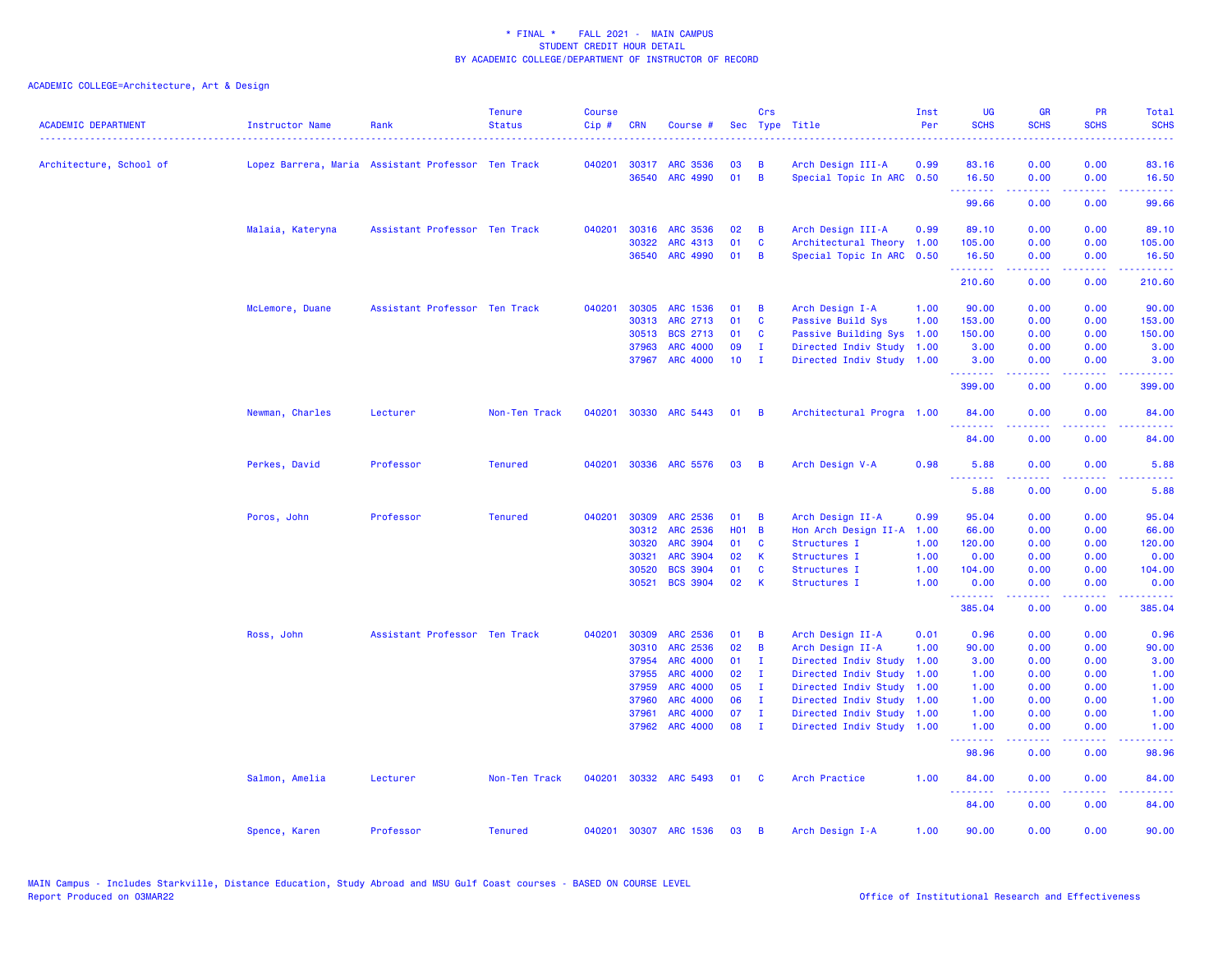| <b>ACADEMIC DEPARTMENT</b> | <b>Instructor Name</b><br>.                        | Rank                          | <b>Tenure</b><br><b>Status</b> | <b>Course</b><br>Cip# | <b>CRN</b> | Course #              |            | <b>Crs</b>     | Sec Type Title            | Inst<br>Per | <b>UG</b><br><b>SCHS</b>              | <b>GR</b><br><b>SCHS</b> | PR<br><b>SCHS</b>                                                                                      | Total<br><b>SCHS</b> |
|----------------------------|----------------------------------------------------|-------------------------------|--------------------------------|-----------------------|------------|-----------------------|------------|----------------|---------------------------|-------------|---------------------------------------|--------------------------|--------------------------------------------------------------------------------------------------------|----------------------|
| Architecture, School of    | Lopez Barrera, Maria Assistant Professor Ten Track |                               |                                | 040201                | 30317      | <b>ARC 3536</b>       | 03         | B              | Arch Design III-A         | 0.99        | 83.16                                 | 0.00                     | 0.00                                                                                                   | 83.16                |
|                            |                                                    |                               |                                |                       | 36540      | <b>ARC 4990</b>       | 01         | $\mathbf B$    | Special Topic In ARC 0.50 |             | 16.50                                 | 0.00                     | 0.00                                                                                                   | 16.50                |
|                            |                                                    |                               |                                |                       |            |                       |            |                |                           |             | ---------<br>99.66                    | بالأباب<br>0.00          | $\sim$ $\sim$ $\sim$ $\sim$<br>0.00                                                                    | وبالمستريب<br>99.66  |
|                            | Malaia, Kateryna                                   | Assistant Professor Ten Track |                                | 040201                | 30316      | <b>ARC 3536</b>       | 02         | в              | Arch Design III-A         | 0.99        | 89.10                                 | 0.00                     | 0.00                                                                                                   | 89.10                |
|                            |                                                    |                               |                                |                       | 30322      | <b>ARC 4313</b>       | 01         | C              | Architectural Theory      | 1.00        | 105.00                                | 0.00                     | 0.00                                                                                                   | 105.00               |
|                            |                                                    |                               |                                |                       |            | 36540 ARC 4990        | 01         | B              | Special Topic In ARC      | 0.50        | 16.50<br><u>.</u>                     | 0.00<br>بالأباب          | 0.00<br>المتمالين                                                                                      | 16.50<br>.           |
|                            |                                                    |                               |                                |                       |            |                       |            |                |                           |             | 210.60                                | 0.00                     | 0.00                                                                                                   | 210.60               |
|                            | McLemore, Duane                                    | Assistant Professor Ten Track |                                | 040201                | 30305      | <b>ARC 1536</b>       | 01         | B              | Arch Design I-A           | 1.00        | 90.00                                 | 0.00                     | 0.00                                                                                                   | 90.00                |
|                            |                                                    |                               |                                |                       | 30313      | ARC 2713              | 01         | C              | Passive Build Sys         | 1.00        | 153.00                                | 0.00                     | 0.00                                                                                                   | 153.00               |
|                            |                                                    |                               |                                |                       | 30513      | <b>BCS 2713</b>       | 01         | C              | Passive Building Sys      | 1.00        | 150.00                                | 0.00                     | 0.00                                                                                                   | 150.00               |
|                            |                                                    |                               |                                |                       | 37963      | <b>ARC 4000</b>       | 09         | $\mathbf{I}$   | Directed Indiv Study      | 1.00        | 3.00                                  | 0.00                     | 0.00                                                                                                   | 3.00                 |
|                            |                                                    |                               |                                |                       | 37967      | <b>ARC 4000</b>       | 10         | $\mathbf{I}$   | Directed Indiv Study 1.00 |             | 3.00<br>.                             | 0.00<br>. <u>.</u> .     | 0.00<br>.                                                                                              | 3.00<br>.            |
|                            |                                                    |                               |                                |                       |            |                       |            |                |                           |             | 399.00                                | 0.00                     | 0.00                                                                                                   | 399.00               |
|                            | Newman, Charles                                    | Lecturer                      | Non-Ten Track                  |                       |            | 040201 30330 ARC 5443 | 01         | B              | Architectural Progra 1.00 |             | 84.00<br>.                            | 0.00<br>.                | 0.00<br>د د د د                                                                                        | 84.00<br>.           |
|                            |                                                    |                               |                                |                       |            |                       |            |                |                           |             | 84.00                                 | 0.00                     | 0.00                                                                                                   | 84.00                |
|                            | Perkes, David                                      | Professor                     | <b>Tenured</b>                 | 040201                |            | 30336 ARC 5576        | 03         | B              | Arch Design V-A           | 0.98        | 5.88                                  | 0.00                     | 0.00                                                                                                   | 5.88                 |
|                            |                                                    |                               |                                |                       |            |                       |            |                |                           |             | .<br>5.88                             | .<br>0.00                | $\frac{1}{2} \left( \frac{1}{2} \right) \left( \frac{1}{2} \right) \left( \frac{1}{2} \right)$<br>0.00 | <u>.</u><br>5.88     |
|                            | Poros, John                                        | Professor                     | <b>Tenured</b>                 | 040201                | 30309      | <b>ARC 2536</b>       | 01         | B              | Arch Design II-A          | 0.99        | 95.04                                 | 0.00                     | 0.00                                                                                                   | 95.04                |
|                            |                                                    |                               |                                |                       | 30312      | <b>ARC 2536</b>       | <b>HO1</b> | $\overline{B}$ | Hon Arch Design II-A 1.00 |             | 66.00                                 | 0.00                     | 0.00                                                                                                   | 66.00                |
|                            |                                                    |                               |                                |                       | 30320      | <b>ARC 3904</b>       | 01         | C              | Structures I              | 1.00        | 120.00                                | 0.00                     | 0.00                                                                                                   | 120.00               |
|                            |                                                    |                               |                                |                       | 30321      | <b>ARC 3904</b>       | 02         | К              | Structures I              | 1.00        | 0.00                                  | 0.00                     | 0.00                                                                                                   | 0.00                 |
|                            |                                                    |                               |                                |                       | 30520      | <b>BCS 3904</b>       | 01         | C              | Structures I              | 1.00        | 104.00                                | 0.00                     | 0.00                                                                                                   | 104.00               |
|                            |                                                    |                               |                                |                       | 30521      | <b>BCS 3904</b>       | 02         | K              | Structures I              | 1.00        | 0.00<br>.                             | 0.00<br>22222            | 0.00<br>.                                                                                              | 0.00<br>.            |
|                            |                                                    |                               |                                |                       |            |                       |            |                |                           |             | 385.04                                | 0.00                     | 0.00                                                                                                   | 385.04               |
|                            | Ross, John                                         | Assistant Professor Ten Track |                                | 040201                | 30309      | ARC 2536              | 01         | B              | Arch Design II-A          | 0.01        | 0.96                                  | 0.00                     | 0.00                                                                                                   | 0.96                 |
|                            |                                                    |                               |                                |                       | 30310      | ARC 2536              | 02         | B              | Arch Design II-A          | 1.00        | 90.00                                 | 0.00                     | 0.00                                                                                                   | 90.00                |
|                            |                                                    |                               |                                |                       | 37954      | <b>ARC 4000</b>       | 01         | $\mathbf{I}$   | Directed Indiv Study      | 1.00        | 3.00                                  | 0.00                     | 0.00                                                                                                   | 3.00                 |
|                            |                                                    |                               |                                |                       | 37955      | <b>ARC 4000</b>       | 02         | $\mathbf{I}$   | Directed Indiv Study      | 1.00        | 1.00                                  | 0.00                     | 0.00                                                                                                   | 1.00                 |
|                            |                                                    |                               |                                |                       | 37959      | ARC 4000              | 05         | $\mathbf{I}$   | Directed Indiv Study      | 1.00        | 1.00                                  | 0.00                     | 0.00                                                                                                   | 1.00                 |
|                            |                                                    |                               |                                |                       | 37960      | <b>ARC 4000</b>       | 06         | $\mathbf{I}$   | Directed Indiv Study      | 1.00        | 1.00                                  | 0.00                     | 0.00                                                                                                   | 1.00                 |
|                            |                                                    |                               |                                |                       | 37961      | <b>ARC 4000</b>       | 07         | $\mathbf{I}$   | Directed Indiv Study      | 1.00        | 1.00                                  | 0.00                     | 0.00                                                                                                   | 1.00                 |
|                            |                                                    |                               |                                |                       | 37962      | <b>ARC 4000</b>       | 08         | $\mathbf{I}$   | Directed Indiv Study 1.00 |             | 1.00<br>.                             | 0.00                     | 0.00<br>2222                                                                                           | 1.00                 |
|                            |                                                    |                               |                                |                       |            |                       |            |                |                           |             | 98.96                                 | 0.00                     | 0.00                                                                                                   | 98.96                |
|                            | Salmon, Amelia                                     | Lecturer                      | Non-Ten Track                  | 040201                |            | 30332 ARC 5493        | 01         | <b>C</b>       | Arch Practice             | 1.00        | 84.00<br><b><i><u>AAAAAAA</u></i></b> | 0.00<br>-----            | 0.00<br>22222                                                                                          | 84.00<br>.           |
|                            |                                                    |                               |                                |                       |            |                       |            |                |                           |             | 84.00                                 | 0.00                     | 0.00                                                                                                   | 84.00                |
|                            | Spence, Karen                                      | Professor                     | <b>Tenured</b>                 | 040201                |            | 30307 ARC 1536        | 03         | B              | Arch Design I-A           | 1.00        | 90.00                                 | 0.00                     | 0.00                                                                                                   | 90.00                |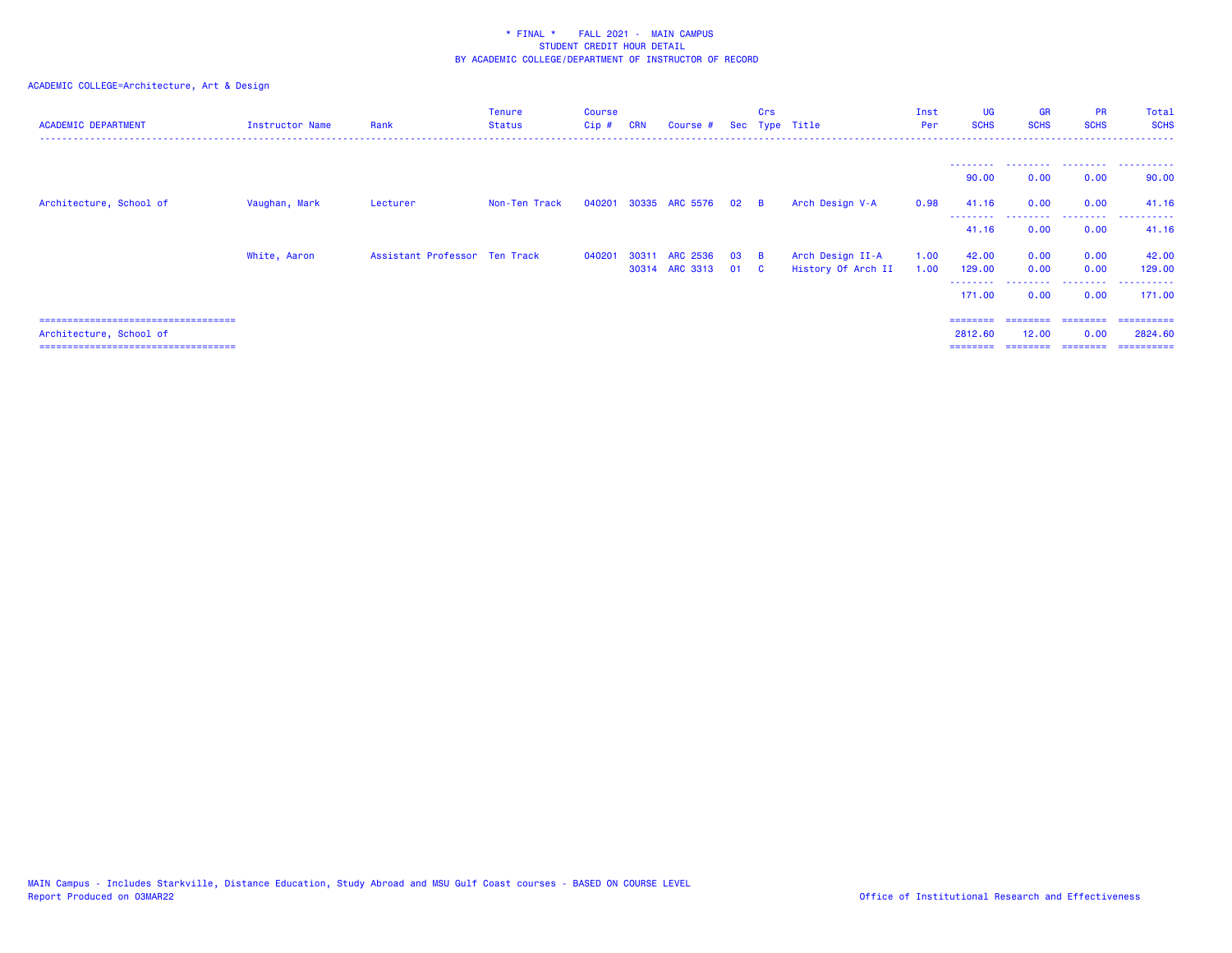| <b>ACADEMIC DEPARTMENT</b>             | Instructor Name | Rank                          | <b>Tenure</b><br><b>Status</b> | Course<br>$Cip$ # | <b>CRN</b> | Course #            |    | Crs            | Sec Type Title     | Inst<br>Per | <b>UG</b><br><b>SCHS</b> | <b>GR</b><br><b>SCHS</b> | <b>PR</b><br><b>SCHS</b> | Total<br><b>SCHS</b> |
|----------------------------------------|-----------------|-------------------------------|--------------------------------|-------------------|------------|---------------------|----|----------------|--------------------|-------------|--------------------------|--------------------------|--------------------------|----------------------|
|                                        |                 |                               |                                |                   |            |                     |    |                |                    |             |                          |                          |                          |                      |
|                                        |                 |                               |                                |                   |            |                     |    |                |                    |             | --------<br>90.00        | .<br>0.00                | .<br>0.00                | .<br>90.00           |
| Architecture, School of                | Vaughan, Mark   | Lecturer                      | Non-Ten Track                  | 040201            |            | 30335 ARC 5576 02 B |    |                | Arch Design V-A    | 0.98        | 41.16                    | 0.00                     | 0.00                     | 41.16                |
|                                        |                 |                               |                                |                   |            |                     |    |                |                    |             | 41.16                    | 0.00                     | 0.00                     | 41.16                |
|                                        | White, Aaron    | Assistant Professor Ten Track |                                | 040201            | 30311      | ARC 2536            | 03 | $\overline{B}$ | Arch Design II-A   | 1.00        | 42.00                    | 0.00                     | 0.00                     | 42.00                |
|                                        |                 |                               |                                |                   |            | 30314 ARC 3313      | 01 | $\mathbf{C}$   | History Of Arch II | 1.00        | 129.00                   | 0.00                     | 0.00                     | 129.00               |
|                                        |                 |                               |                                |                   |            |                     |    |                |                    |             | --------<br>171.00       | 0.00                     | .<br>0.00                | ----------<br>171.00 |
| ====================================== |                 |                               |                                |                   |            |                     |    |                |                    |             | ========                 |                          |                          | =========            |
| Architecture, School of                |                 |                               |                                |                   |            |                     |    |                |                    |             | 2812.60                  | 12.00                    | 0.00                     | 2824.60              |
| =====================================  |                 |                               |                                |                   |            |                     |    |                |                    |             | ========                 |                          | =================        | ==========           |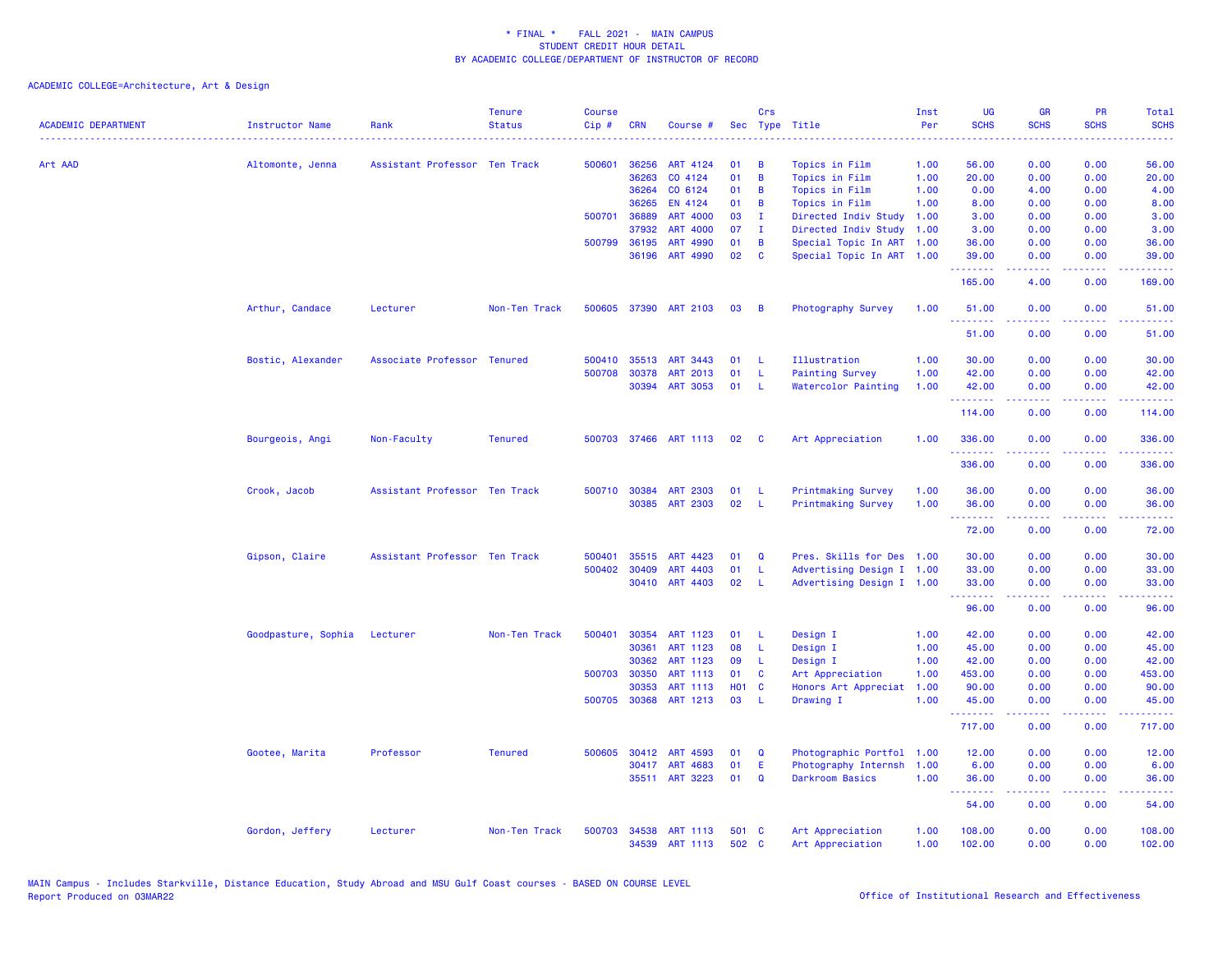| <b>ACADEMIC DEPARTMENT</b> | <b>Instructor Name</b> | Rank                          | <b>Tenure</b><br><b>Status</b> | <b>Course</b><br>Cip# | <b>CRN</b>     | Course #              |                | Crs          | Sec Type Title            | Inst<br>Per  | UG<br><b>SCHS</b>  | <b>GR</b><br><b>SCHS</b>                                                                                                                                     | PR<br><b>SCHS</b>              | <b>Total</b><br><b>SCHS</b> |
|----------------------------|------------------------|-------------------------------|--------------------------------|-----------------------|----------------|-----------------------|----------------|--------------|---------------------------|--------------|--------------------|--------------------------------------------------------------------------------------------------------------------------------------------------------------|--------------------------------|-----------------------------|
|                            |                        |                               |                                |                       |                |                       |                |              |                           |              |                    |                                                                                                                                                              |                                |                             |
| Art AAD                    | Altomonte, Jenna       | Assistant Professor Ten Track |                                | 500601                | 36256          | ART 4124              | 01             | B            | Topics in Film            | 1.00         | 56.00              | 0.00                                                                                                                                                         | 0.00                           | 56.00                       |
|                            |                        |                               |                                |                       | 36263          | CO 4124               | 01             | B            | Topics in Film            | 1.00         | 20.00              | 0.00                                                                                                                                                         | 0.00                           | 20.00                       |
|                            |                        |                               |                                |                       | 36264          | CO 6124               | 01             | B            | Topics in Film            | 1.00         | 0.00               | 4.00                                                                                                                                                         | 0.00                           | 4.00                        |
|                            |                        |                               |                                |                       | 36265          | EN 4124               | 01             | B            | Topics in Film            | 1.00         | 8.00               | 0.00                                                                                                                                                         | 0.00                           | 8.00                        |
|                            |                        |                               |                                | 500701                | 36889          | <b>ART 4000</b>       | 03             | T            | Directed Indiv Study      | 1.00         | 3.00               | 0.00                                                                                                                                                         | 0.00                           | 3.00                        |
|                            |                        |                               |                                |                       | 37932          | <b>ART 4000</b>       | 07             | $\mathbf{I}$ | Directed Indiv Study      | 1.00         | 3.00               | 0.00                                                                                                                                                         | 0.00                           | 3.00                        |
|                            |                        |                               |                                | 500799                | 36195          | ART 4990              | 01             | B            | Special Topic In ART      | 1.00         | 36.00              | 0.00                                                                                                                                                         | 0.00                           | 36.00                       |
|                            |                        |                               |                                |                       | 36196          | ART 4990              | 02             | C            | Special Topic In ART 1.00 |              | 39.00<br>.         | 0.00<br>.                                                                                                                                                    | 0.00<br>والمحامر               | 39.00                       |
|                            |                        |                               |                                |                       |                |                       |                |              |                           |              | 165.00             | 4.00                                                                                                                                                         | 0.00                           | 169.00                      |
|                            | Arthur, Candace        | Lecturer                      | Non-Ten Track                  | 500605                | 37390          | ART 2103              | 03             | B            | Photography Survey        | 1.00         | 51.00              | 0.00                                                                                                                                                         | 0.00                           | 51.00                       |
|                            |                        |                               |                                |                       |                |                       |                |              |                           |              | .<br>51.00         | $\frac{1}{2} \left( \frac{1}{2} \right) \left( \frac{1}{2} \right) \left( \frac{1}{2} \right) \left( \frac{1}{2} \right) \left( \frac{1}{2} \right)$<br>0.00 | .<br>0.00                      | .<br>51.00                  |
|                            | Bostic, Alexander      | Associate Professor Tenured   |                                | 500410                | 35513          | ART 3443              | 01             | L            | Illustration              | 1.00         | 30.00              | 0.00                                                                                                                                                         | 0.00                           | 30.00                       |
|                            |                        |                               |                                | 500708                | 30378          | <b>ART 2013</b>       | 01             | L            | <b>Painting Survey</b>    | 1.00         | 42.00              | 0.00                                                                                                                                                         | 0.00                           | 42.00                       |
|                            |                        |                               |                                |                       | 30394          | <b>ART 3053</b>       | 01             | -L           | Watercolor Painting       | 1.00         | 42.00              | 0.00                                                                                                                                                         | 0.00                           | 42.00                       |
|                            |                        |                               |                                |                       |                |                       |                |              |                           |              | <u>.</u><br>114.00 | <u>.</u><br>0.00                                                                                                                                             | .<br>0.00                      | .<br>114.00                 |
|                            | Bourgeois, Angi        | Non-Faculty                   | <b>Tenured</b>                 |                       |                | 500703 37466 ART 1113 | 02             | C            | Art Appreciation          | 1.00         | 336.00<br>.        | 0.00                                                                                                                                                         | 0.00<br>.                      | 336.00<br>.                 |
|                            |                        |                               |                                |                       |                |                       |                |              |                           |              | 336.00             | 0.00                                                                                                                                                         | 0.00                           | 336.00                      |
|                            | Crook, Jacob           | Assistant Professor Ten Track |                                | 500710                | 30384          | <b>ART 2303</b>       | 01             | L            | Printmaking Survey        | 1.00         | 36.00              | 0.00                                                                                                                                                         | 0.00                           | 36.00                       |
|                            |                        |                               |                                |                       | 30385          | <b>ART 2303</b>       | 02             | L            | <b>Printmaking Survey</b> | 1.00         | 36.00<br>.         | 0.00                                                                                                                                                         | 0.00                           | 36.00                       |
|                            |                        |                               |                                |                       |                |                       |                |              |                           |              | 72.00              | 0.00                                                                                                                                                         | 0.00                           | 72.00                       |
|                            | Gipson, Claire         | Assistant Professor Ten Track |                                | 500401                | 35515          | ART 4423              | 01             | Q            | Pres. Skills for Des 1.00 |              | 30.00              | 0.00                                                                                                                                                         | 0.00                           | 30.00                       |
|                            |                        |                               |                                | 500402                | 30409          | ART 4403              | 01             | L            | Advertising Design I 1.00 |              | 33.00              | 0.00                                                                                                                                                         | 0.00                           | 33.00                       |
|                            |                        |                               |                                |                       | 30410          | ART 4403              | 02             | L            | Advertising Design I 1.00 |              | 33.00              | 0.00                                                                                                                                                         | 0.00                           | 33.00                       |
|                            |                        |                               |                                |                       |                |                       |                |              |                           |              | .                  | 22222                                                                                                                                                        | <b><i><u>ALC ALC</u></i></b>   | .                           |
|                            |                        |                               |                                |                       |                |                       |                |              |                           |              | 96.00              | 0.00                                                                                                                                                         | 0.00                           | 96.00                       |
|                            | Goodpasture, Sophia    | Lecturer                      | Non-Ten Track                  | 500401                | 30354          | ART 1123              | 01             | L            | Design I                  | 1.00         | 42.00              | 0.00                                                                                                                                                         | 0.00                           | 42.00                       |
|                            |                        |                               |                                |                       | 30361          | ART 1123              | 08             | $\mathsf{L}$ | Design I                  | 1.00         | 45.00              | 0.00                                                                                                                                                         | 0.00                           | 45.00                       |
|                            |                        |                               |                                |                       | 30362          | ART 1123              | 09             | L            | Design I                  | 1.00         | 42.00              | 0.00                                                                                                                                                         | 0.00                           | 42.00                       |
|                            |                        |                               |                                |                       | 500703 30350   | ART 1113              | 01             | C            | Art Appreciation          | 1.00         | 453.00             | 0.00                                                                                                                                                         | 0.00                           | 453.00                      |
|                            |                        |                               |                                |                       | 30353          | <b>ART 1113</b>       | <b>HO1</b>     | <b>C</b>     | Honors Art Appreciat      | 1.00         | 90.00              | 0.00                                                                                                                                                         | 0.00                           | 90.00                       |
|                            |                        |                               |                                | 500705                | 30368          | ART 1213              | 03             | L            | Drawing I                 | 1.00         | 45.00<br>.         | 0.00<br>.                                                                                                                                                    | 0.00<br>المتمامين              | 45.00<br>.                  |
|                            |                        |                               |                                |                       |                |                       |                |              |                           |              | 717.00             | 0.00                                                                                                                                                         | 0.00                           | 717.00                      |
|                            | Gootee, Marita         | Professor                     | <b>Tenured</b>                 | 500605                | 30412          | ART 4593              | 01             | $\Omega$     | Photographic Portfol      | 1.00         | 12.00              | 0.00                                                                                                                                                         | 0.00                           | 12.00                       |
|                            |                        |                               |                                |                       |                | 30417 ART 4683        | 01             | E            | Photography Internsh      | 1.00         | 6.00               | 0.00                                                                                                                                                         | 0.00                           | 6.00                        |
|                            |                        |                               |                                |                       |                | 35511 ART 3223        | 01             | $\Omega$     | <b>Darkroom Basics</b>    | 1.00         | 36.00<br>.         | 0.00<br>بالأباب                                                                                                                                              | 0.00<br>$\omega$ is a $\omega$ | 36.00<br>$\omega$ is a set  |
|                            |                        |                               |                                |                       |                |                       |                |              |                           |              | 54.00              | 0.00                                                                                                                                                         | 0.00                           | 54.00                       |
|                            | Gordon, Jeffery        | Lecturer                      | Non-Ten Track                  | 500703                | 34538<br>34539 | ART 1113<br>ART 1113  | 501 C<br>502 C |              | Art Appreciation          | 1.00<br>1.00 | 108.00<br>102.00   | 0.00<br>0.00                                                                                                                                                 | 0.00<br>0.00                   | 108.00<br>102.00            |
|                            |                        |                               |                                |                       |                |                       |                |              | Art Appreciation          |              |                    |                                                                                                                                                              |                                |                             |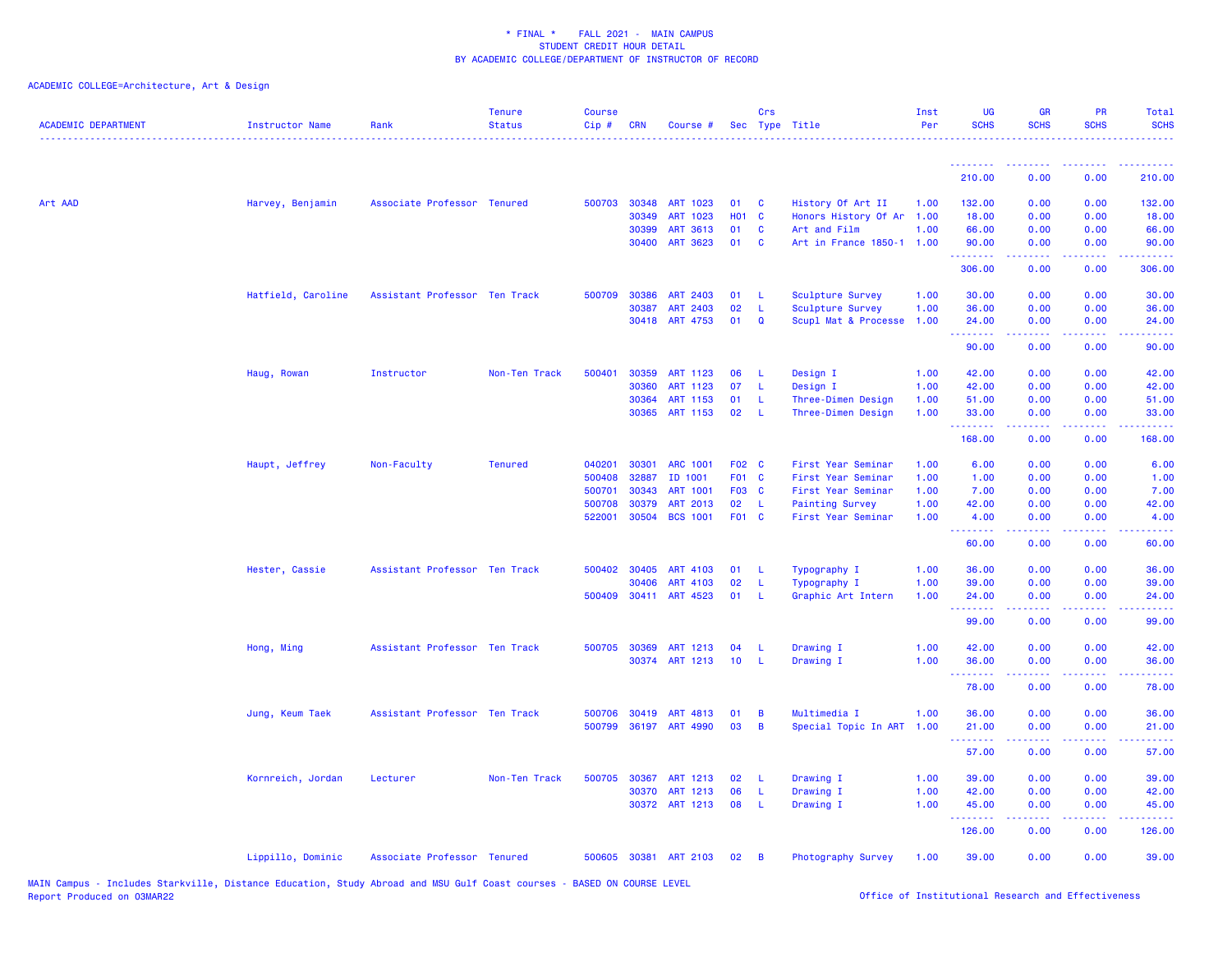| <b>ACADEMIC DEPARTMENT</b> | <b>Instructor Name</b> | Rank                          | <b>Tenure</b><br><b>Status</b> | <b>Course</b><br>Cip# | CRN          | Course #                   |                 | Crs           | Sec Type Title            | Inst<br>Per  | UG<br><b>SCHS</b>                                                                                                              | <b>GR</b><br><b>SCHS</b> | <b>PR</b><br><b>SCHS</b>            | <b>Total</b><br><b>SCHS</b>                                                                                                        |
|----------------------------|------------------------|-------------------------------|--------------------------------|-----------------------|--------------|----------------------------|-----------------|---------------|---------------------------|--------------|--------------------------------------------------------------------------------------------------------------------------------|--------------------------|-------------------------------------|------------------------------------------------------------------------------------------------------------------------------------|
|                            |                        |                               |                                |                       |              |                            |                 |               |                           |              | 210.00                                                                                                                         | 0.00                     | 0.00                                | 210.00                                                                                                                             |
|                            |                        |                               |                                |                       |              |                            |                 |               |                           |              |                                                                                                                                |                          |                                     |                                                                                                                                    |
| Art AAD                    | Harvey, Benjamin       | Associate Professor Tenured   |                                | 500703                | 30348        | ART 1023                   | 01              | <b>C</b>      | History Of Art II         | 1.00         | 132.00                                                                                                                         | 0.00                     | 0.00                                | 132.00                                                                                                                             |
|                            |                        |                               |                                |                       | 30349        | ART 1023                   | <b>HO1</b>      | $\mathbf{C}$  | Honors History Of Ar      | 1.00         | 18.00                                                                                                                          | 0.00                     | 0.00                                | 18.00                                                                                                                              |
|                            |                        |                               |                                |                       | 30399        | ART 3613                   | 01              | C             | Art and Film              | 1.00         | 66.00                                                                                                                          | 0.00                     | 0.00                                | 66.00                                                                                                                              |
|                            |                        |                               |                                |                       | 30400        | ART 3623                   | 01              | C             | Art in France 1850-1 1.00 |              | 90.00<br>.                                                                                                                     | 0.00<br>. <b>.</b>       | 0.00<br>المتمامين                   | 90.00<br>.                                                                                                                         |
|                            |                        |                               |                                |                       |              |                            |                 |               |                           |              | 306.00                                                                                                                         | 0.00                     | 0.00                                | 306.00                                                                                                                             |
|                            | Hatfield, Caroline     | Assistant Professor Ten Track |                                | 500709                | 30386        | ART 2403                   | 01              | - L           | Sculpture Survey          | 1.00         | 30.00                                                                                                                          | 0.00                     | 0.00                                | 30.00                                                                                                                              |
|                            |                        |                               |                                |                       | 30387        | ART 2403                   | 02              | - L           | Sculpture Survey          | 1.00         | 36.00                                                                                                                          | 0.00                     | 0.00                                | 36.00                                                                                                                              |
|                            |                        |                               |                                |                       |              | 30418 ART 4753             | 01              | $\mathbf Q$   | Scupl Mat & Processe      | 1.00         | 24.00<br>$\begin{array}{cccccccccc} \bullet & \bullet & \bullet & \bullet & \bullet & \bullet & \bullet & \bullet \end{array}$ | 0.00                     | 0.00<br>$\sim$ $\sim$ $\sim$ $\sim$ | 24.00<br>$\frac{1}{2} \left( \frac{1}{2} \right) \left( \frac{1}{2} \right) \left( \frac{1}{2} \right) \left( \frac{1}{2} \right)$ |
|                            |                        |                               |                                |                       |              |                            |                 |               |                           |              | 90.00                                                                                                                          | 0.00                     | 0.00                                | 90.00                                                                                                                              |
|                            | Haug, Rowan            | Instructor                    | Non-Ten Track                  | 500401                | 30359        | ART 1123                   | 06              | L             | Design I                  | 1.00         | 42.00                                                                                                                          | 0.00                     | 0.00                                | 42.00                                                                                                                              |
|                            |                        |                               |                                |                       | 30360        | ART 1123                   | 07              | L.            | Design I                  | 1.00         | 42.00                                                                                                                          | 0.00                     | 0.00                                | 42.00                                                                                                                              |
|                            |                        |                               |                                |                       | 30364        | ART 1153                   | 01              | -L            | Three-Dimen Design        | 1.00         | 51.00                                                                                                                          | 0.00                     | 0.00                                | 51.00                                                                                                                              |
|                            |                        |                               |                                |                       | 30365        | ART 1153                   | 02              | - L           | Three-Dimen Design        | 1.00         | 33.00<br>.                                                                                                                     | 0.00                     | 0.00                                | 33.00<br>المتمامي                                                                                                                  |
|                            |                        |                               |                                |                       |              |                            |                 |               |                           |              | 168.00                                                                                                                         | 0.00                     | 0.00                                | 168.00                                                                                                                             |
|                            | Haupt, Jeffrey         | Non-Faculty                   | <b>Tenured</b>                 | 040201                | 30301        | <b>ARC 1001</b>            | F02 C           |               | First Year Seminar        | 1.00         | 6.00                                                                                                                           | 0.00                     | 0.00                                | 6.00                                                                                                                               |
|                            |                        |                               |                                | 500408                | 32887        | ID 1001                    | F01 C           |               | First Year Seminar        | 1.00         | 1.00                                                                                                                           | 0.00                     | 0.00                                | 1.00                                                                                                                               |
|                            |                        |                               |                                | 500701                | 30343        | <b>ART 1001</b>            | F03 C           |               | First Year Seminar        | 1.00         | 7.00                                                                                                                           | 0.00                     | 0.00                                | 7.00                                                                                                                               |
|                            |                        |                               |                                | 500708                | 30379        | ART 2013                   | 02 <sub>o</sub> | - L           | <b>Painting Survey</b>    | 1.00         | 42.00                                                                                                                          | 0.00                     | 0.00                                | 42.00                                                                                                                              |
|                            |                        |                               |                                | 522001                | 30504        | <b>BCS 1001</b>            | F01 C           |               | First Year Seminar        | 1.00         | 4.00<br>.                                                                                                                      | 0.00<br>$  -$            | 0.00                                | 4.00<br>$\sim$ $\sim$ $\sim$ $\sim$                                                                                                |
|                            |                        |                               |                                |                       |              |                            |                 |               |                           |              | 60.00                                                                                                                          | 0.00                     | 0.00                                | 60.00                                                                                                                              |
|                            | Hester, Cassie         | Assistant Professor Ten Track |                                |                       | 500402 30405 | ART 4103                   | 01              | - L           | Typography I              | 1.00         | 36.00                                                                                                                          | 0.00                     | 0.00                                | 36.00                                                                                                                              |
|                            |                        |                               |                                |                       | 30406        | ART 4103                   | 02              | <b>L</b>      | Typography I              | 1.00         | 39.00                                                                                                                          | 0.00                     | 0.00                                | 39.00                                                                                                                              |
|                            |                        |                               |                                | 500409                | 30411        | ART 4523                   | 01              | L             | Graphic Art Intern        | 1.00         | 24.00                                                                                                                          | 0.00                     | 0.00                                | 24.00                                                                                                                              |
|                            |                        |                               |                                |                       |              |                            |                 |               |                           |              | .<br>99.00                                                                                                                     | 0.00                     | 0.00                                | والمرامين مرابط<br>99.00                                                                                                           |
|                            | Hong, Ming             | Assistant Professor Ten Track |                                | 500705                | 30369        | ART 1213                   | 04              | - L           | Drawing I                 | 1.00         | 42.00                                                                                                                          | 0.00                     | 0.00                                | 42.00                                                                                                                              |
|                            |                        |                               |                                |                       |              | 30374 ART 1213             | 10              | - L           | Drawing I                 | 1.00         | 36.00                                                                                                                          | 0.00                     | 0.00                                | 36.00                                                                                                                              |
|                            |                        |                               |                                |                       |              |                            |                 |               |                           |              | <b>.</b> .<br>78.00                                                                                                            | .<br>0.00                | 0.00                                | .<br>78.00                                                                                                                         |
|                            | Jung, Keum Taek        | Assistant Professor Ten Track |                                | 500706                |              | 30419 ART 4813             | 01              | B             | Multimedia I              | 1.00         | 36.00                                                                                                                          | 0.00                     | 0.00                                | 36.00                                                                                                                              |
|                            |                        |                               |                                | 500799                |              | 36197 ART 4990             | 03              | B             | Special Topic In ART      | 1.00         | 21.00                                                                                                                          | 0.00                     | 0.00                                | 21.00                                                                                                                              |
|                            |                        |                               |                                |                       |              |                            |                 |               |                           |              | <u>.</u><br>57.00                                                                                                              | $- - - - -$<br>0.00      | .<br>0.00                           | .<br>57.00                                                                                                                         |
|                            |                        |                               |                                |                       |              |                            |                 |               |                           |              |                                                                                                                                |                          |                                     |                                                                                                                                    |
|                            | Kornreich, Jordan      | Lecturer                      | Non-Ten Track                  | 500705                | 30367        | ART 1213                   | 02              | - L           | Drawing I                 | 1.00         | 39.00                                                                                                                          | 0.00                     | 0.00                                | 39.00                                                                                                                              |
|                            |                        |                               |                                |                       | 30370        | ART 1213<br>30372 ART 1213 | 06<br>08        | L<br><b>L</b> | Drawing I<br>Drawing I    | 1.00<br>1.00 | 42.00<br>45.00                                                                                                                 | 0.00<br>0.00             | 0.00<br>0.00                        | 42.00<br>45.00                                                                                                                     |
|                            |                        |                               |                                |                       |              |                            |                 |               |                           |              | .                                                                                                                              |                          |                                     |                                                                                                                                    |
|                            |                        |                               |                                |                       |              |                            |                 |               |                           |              | 126.00                                                                                                                         | 0.00                     | 0.00                                | 126.00                                                                                                                             |
|                            | Lippillo, Dominic      | Associate Professor Tenured   |                                |                       |              | 500605 30381 ART 2103      | 02              | - B           | Photography Survey        | 1.00         | 39.00                                                                                                                          | 0.00                     | 0.00                                | 39.00                                                                                                                              |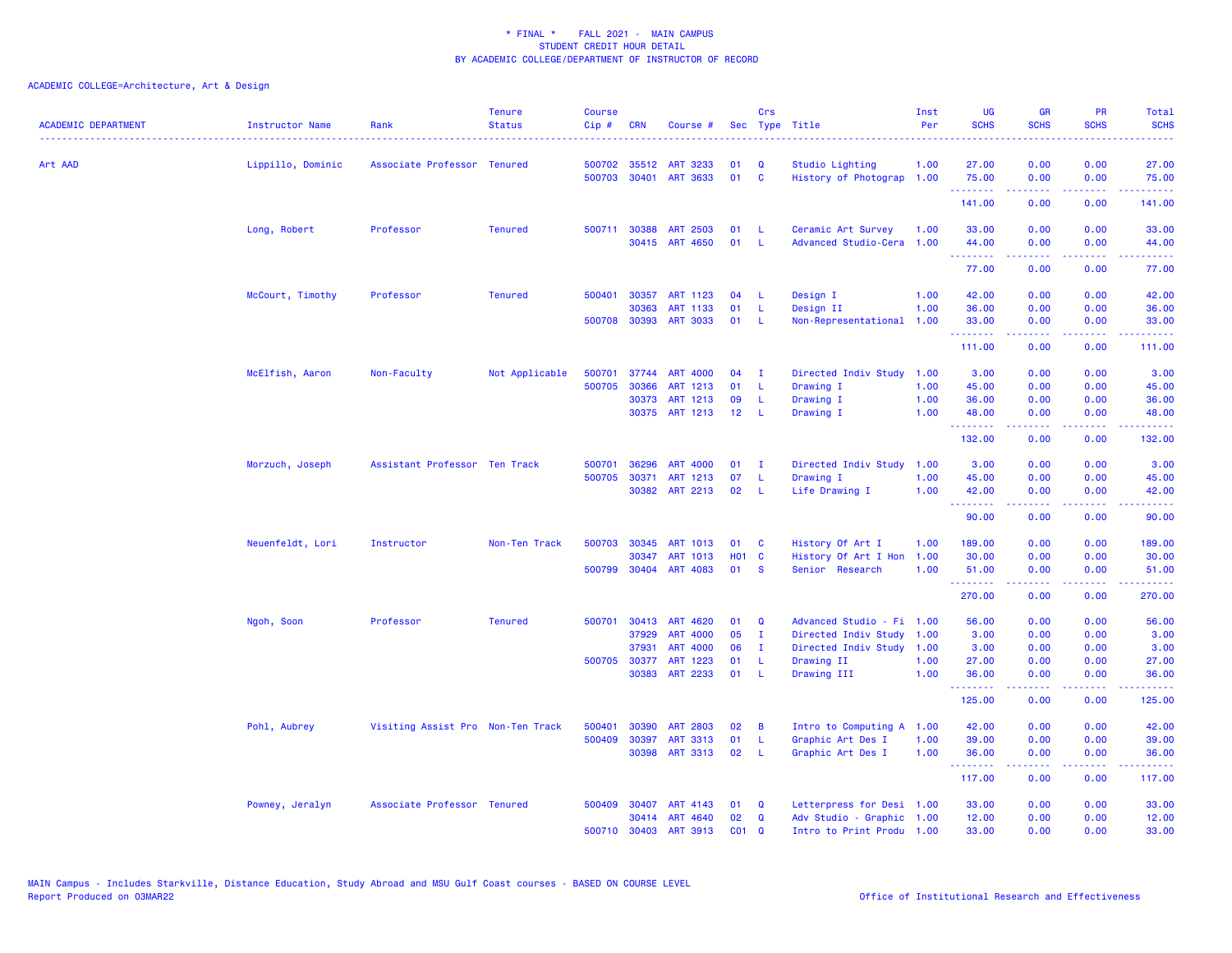| <b>ACADEMIC DEPARTMENT</b> | Instructor Name   | Rank                              | <b>Tenure</b><br><b>Status</b> | <b>Course</b><br>Cip# | <b>CRN</b>   | Course #        |            | Crs          | Sec Type Title            | Inst<br>Per | UG<br><b>SCHS</b>                                                                                                                                                                                                                                                                                                                                                                                                                                                                               | <b>GR</b><br><b>SCHS</b> | <b>PR</b><br><b>SCHS</b>         | Total<br><b>SCHS</b> |
|----------------------------|-------------------|-----------------------------------|--------------------------------|-----------------------|--------------|-----------------|------------|--------------|---------------------------|-------------|-------------------------------------------------------------------------------------------------------------------------------------------------------------------------------------------------------------------------------------------------------------------------------------------------------------------------------------------------------------------------------------------------------------------------------------------------------------------------------------------------|--------------------------|----------------------------------|----------------------|
| Art AAD                    | Lippillo, Dominic | Associate Professor Tenured       |                                | 500702                | 35512        | <b>ART 3233</b> | 01         | $\mathbf Q$  | Studio Lighting           | 1.00        | 27.00                                                                                                                                                                                                                                                                                                                                                                                                                                                                                           | 0.00                     | 0.00                             | 27.00                |
|                            |                   |                                   |                                | 500703                | 30401        | ART 3633        | 01         | $\mathbf{C}$ | History of Photograp 1.00 |             | 75.00<br>.                                                                                                                                                                                                                                                                                                                                                                                                                                                                                      | 0.00<br>.                | 0.00<br>د د د د                  | 75.00<br>.           |
|                            |                   |                                   |                                |                       |              |                 |            |              |                           |             | 141.00                                                                                                                                                                                                                                                                                                                                                                                                                                                                                          | 0.00                     | 0.00                             | 141.00               |
|                            | Long, Robert      | Professor                         | <b>Tenured</b>                 | 500711                | 30388        | <b>ART 2503</b> | 01         | -L           | Ceramic Art Survey        | 1.00        | 33.00                                                                                                                                                                                                                                                                                                                                                                                                                                                                                           | 0.00                     | 0.00                             | 33.00                |
|                            |                   |                                   |                                |                       |              | 30415 ART 4650  | 01         | $\mathsf{L}$ | Advanced Studio-Cera 1.00 |             | 44.00                                                                                                                                                                                                                                                                                                                                                                                                                                                                                           | 0.00<br>.                | 0.00<br>بالمحامي                 | 44.00<br>.           |
|                            |                   |                                   |                                |                       |              |                 |            |              |                           |             | 77.00                                                                                                                                                                                                                                                                                                                                                                                                                                                                                           | 0.00                     | 0.00                             | 77.00                |
|                            | McCourt, Timothy  | Professor                         | <b>Tenured</b>                 | 500401                | 30357        | ART 1123        | 04         | - L          | Design I                  | 1.00        | 42.00                                                                                                                                                                                                                                                                                                                                                                                                                                                                                           | 0.00                     | 0.00                             | 42.00                |
|                            |                   |                                   |                                |                       | 30363        | <b>ART 1133</b> | 01         | -L.          | Design II                 | 1.00        | 36.00                                                                                                                                                                                                                                                                                                                                                                                                                                                                                           | 0.00                     | 0.00                             | 36.00                |
|                            |                   |                                   |                                | 500708                | 30393        | <b>ART 3033</b> | 01         | -L           | Non-Representational 1.00 |             | 33.00<br>$\begin{array}{cccccccccccccc} \multicolumn{2}{c}{} & \multicolumn{2}{c}{} & \multicolumn{2}{c}{} & \multicolumn{2}{c}{} & \multicolumn{2}{c}{} & \multicolumn{2}{c}{} & \multicolumn{2}{c}{} & \multicolumn{2}{c}{} & \multicolumn{2}{c}{} & \multicolumn{2}{c}{} & \multicolumn{2}{c}{} & \multicolumn{2}{c}{} & \multicolumn{2}{c}{} & \multicolumn{2}{c}{} & \multicolumn{2}{c}{} & \multicolumn{2}{c}{} & \multicolumn{2}{c}{} & \multicolumn{2}{c}{} & \multicolumn{2}{c}{} & \$ | 0.00<br>.                | 0.00<br>بالمحامي                 | 33.00<br>.           |
|                            |                   |                                   |                                |                       |              |                 |            |              |                           |             | 111.00                                                                                                                                                                                                                                                                                                                                                                                                                                                                                          | 0.00                     | 0.00                             | 111.00               |
|                            | McElfish, Aaron   | Non-Faculty                       | Not Applicable                 | 500701                | 37744        | <b>ART 4000</b> | 04         | $\mathbf{I}$ | Directed Indiv Study 1.00 |             | 3.00                                                                                                                                                                                                                                                                                                                                                                                                                                                                                            | 0.00                     | 0.00                             | 3.00                 |
|                            |                   |                                   |                                | 500705                | 30366        | ART 1213        | 01         | L.           | Drawing I                 | 1.00        | 45.00                                                                                                                                                                                                                                                                                                                                                                                                                                                                                           | 0.00                     | 0.00                             | 45.00                |
|                            |                   |                                   |                                |                       | 30373        | ART 1213        | 09         | L.           | Drawing I                 | 1.00        | 36.00                                                                                                                                                                                                                                                                                                                                                                                                                                                                                           | 0.00                     | 0.00                             | 36.00                |
|                            |                   |                                   |                                |                       |              | 30375 ART 1213  | 12         | $\mathsf{L}$ | Drawing I                 | 1.00        | 48.00<br>.                                                                                                                                                                                                                                                                                                                                                                                                                                                                                      | 0.00<br>.                | 0.00<br>$\omega = \omega/\omega$ | 48.00<br>بالأبالات   |
|                            |                   |                                   |                                |                       |              |                 |            |              |                           |             | 132.00                                                                                                                                                                                                                                                                                                                                                                                                                                                                                          | 0.00                     | 0.00                             | 132.00               |
|                            | Morzuch, Joseph   | Assistant Professor Ten Track     |                                | 500701                | 36296        | <b>ART 4000</b> | 01         | л.           | Directed Indiv Study      | 1.00        | 3.00                                                                                                                                                                                                                                                                                                                                                                                                                                                                                            | 0.00                     | 0.00                             | 3.00                 |
|                            |                   |                                   |                                | 500705                | 30371        | ART 1213        | 07         | -L.          | Drawing I                 | 1.00        | 45.00                                                                                                                                                                                                                                                                                                                                                                                                                                                                                           | 0.00                     | 0.00                             | 45.00                |
|                            |                   |                                   |                                |                       |              | 30382 ART 2213  | 02         | L.           | Life Drawing I            | 1.00        | 42.00<br><b>.</b> .                                                                                                                                                                                                                                                                                                                                                                                                                                                                             | 0.00<br>المستما          | 0.00<br>بالأباب                  | 42.00<br>وبالمحام    |
|                            |                   |                                   |                                |                       |              |                 |            |              |                           |             | 90.00                                                                                                                                                                                                                                                                                                                                                                                                                                                                                           | 0.00                     | 0.00                             | 90.00                |
|                            | Neuenfeldt, Lori  | Instructor                        | Non-Ten Track                  | 500703                | 30345        | ART 1013        | 01         | C            | History Of Art I          | 1.00        | 189.00                                                                                                                                                                                                                                                                                                                                                                                                                                                                                          | 0.00                     | 0.00                             | 189.00               |
|                            |                   |                                   |                                |                       | 30347        | ART 1013        | <b>HO1</b> | $\mathbf{C}$ | History Of Art I Hon      | 1.00        | 30.00                                                                                                                                                                                                                                                                                                                                                                                                                                                                                           | 0.00                     | 0.00                             | 30.00                |
|                            |                   |                                   |                                | 500799                |              | 30404 ART 4083  | 01         | -S           | Senior Research           | 1.00        | 51.00                                                                                                                                                                                                                                                                                                                                                                                                                                                                                           | 0.00                     | 0.00<br>د د د د                  | 51.00                |
|                            |                   |                                   |                                |                       |              |                 |            |              |                           |             | --------<br>270.00                                                                                                                                                                                                                                                                                                                                                                                                                                                                              | -----<br>0.00            | 0.00                             | .<br>270.00          |
|                            | Ngoh, Soon        | Professor                         | <b>Tenured</b>                 | 500701                | 30413        | <b>ART 4620</b> | 01         | Q            | Advanced Studio - Fi 1.00 |             | 56.00                                                                                                                                                                                                                                                                                                                                                                                                                                                                                           | 0.00                     | 0.00                             | 56.00                |
|                            |                   |                                   |                                |                       | 37929        | <b>ART 4000</b> | 05         | T            | Directed Indiv Study      | 1.00        | 3.00                                                                                                                                                                                                                                                                                                                                                                                                                                                                                            | 0.00                     | 0.00                             | 3.00                 |
|                            |                   |                                   |                                |                       | 37931        | <b>ART 4000</b> | 06         | $\mathbf I$  | Directed Indiv Study 1.00 |             | 3.00                                                                                                                                                                                                                                                                                                                                                                                                                                                                                            | 0.00                     | 0.00                             | 3.00                 |
|                            |                   |                                   |                                |                       | 500705 30377 | ART 1223        | 01         | -L           | Drawing II                | 1.00        | 27.00                                                                                                                                                                                                                                                                                                                                                                                                                                                                                           | 0.00                     | 0.00                             | 27.00                |
|                            |                   |                                   |                                |                       |              | 30383 ART 2233  | 01         | -L           | Drawing III               | 1.00        | 36.00<br><u>.</u>                                                                                                                                                                                                                                                                                                                                                                                                                                                                               | 0.00<br>.                | 0.00<br>.                        | 36.00<br>.           |
|                            |                   |                                   |                                |                       |              |                 |            |              |                           |             | 125.00                                                                                                                                                                                                                                                                                                                                                                                                                                                                                          | 0.00                     | 0.00                             | 125.00               |
|                            | Pohl, Aubrey      | Visiting Assist Pro Non-Ten Track |                                | 500401                | 30390        | <b>ART 2803</b> | 02         | B            | Intro to Computing A 1.00 |             | 42.00                                                                                                                                                                                                                                                                                                                                                                                                                                                                                           | 0.00                     | 0.00                             | 42.00                |
|                            |                   |                                   |                                | 500409                | 30397        | ART 3313        | 01         | -L           | Graphic Art Des I         | 1.00        | 39.00                                                                                                                                                                                                                                                                                                                                                                                                                                                                                           | 0.00                     | 0.00                             | 39.00                |
|                            |                   |                                   |                                |                       | 30398        | ART 3313        | 02         | -L           | Graphic Art Des I         | 1.00        | 36.00                                                                                                                                                                                                                                                                                                                                                                                                                                                                                           | 0.00<br>.                | 0.00<br>د د د د                  | 36.00<br>.           |
|                            |                   |                                   |                                |                       |              |                 |            |              |                           |             | 117.00                                                                                                                                                                                                                                                                                                                                                                                                                                                                                          | 0.00                     | 0.00                             | 117.00               |
|                            | Powney, Jeralyn   | Associate Professor Tenured       |                                |                       | 500409 30407 | ART 4143        | 01         | Q            | Letterpress for Desi 1.00 |             | 33.00                                                                                                                                                                                                                                                                                                                                                                                                                                                                                           | 0.00                     | 0.00                             | 33.00                |
|                            |                   |                                   |                                |                       | 30414        | ART 4640        | 02         | $\mathbf Q$  | Adv Studio - Graphic 1.00 |             | 12.00                                                                                                                                                                                                                                                                                                                                                                                                                                                                                           | 0.00                     | 0.00                             | 12.00                |
|                            |                   |                                   |                                | 500710                | 30403        | <b>ART 3913</b> | $CO1$ $Q$  |              | Intro to Print Produ 1.00 |             | 33,00                                                                                                                                                                                                                                                                                                                                                                                                                                                                                           | 0.00                     | 0.00                             | 33,00                |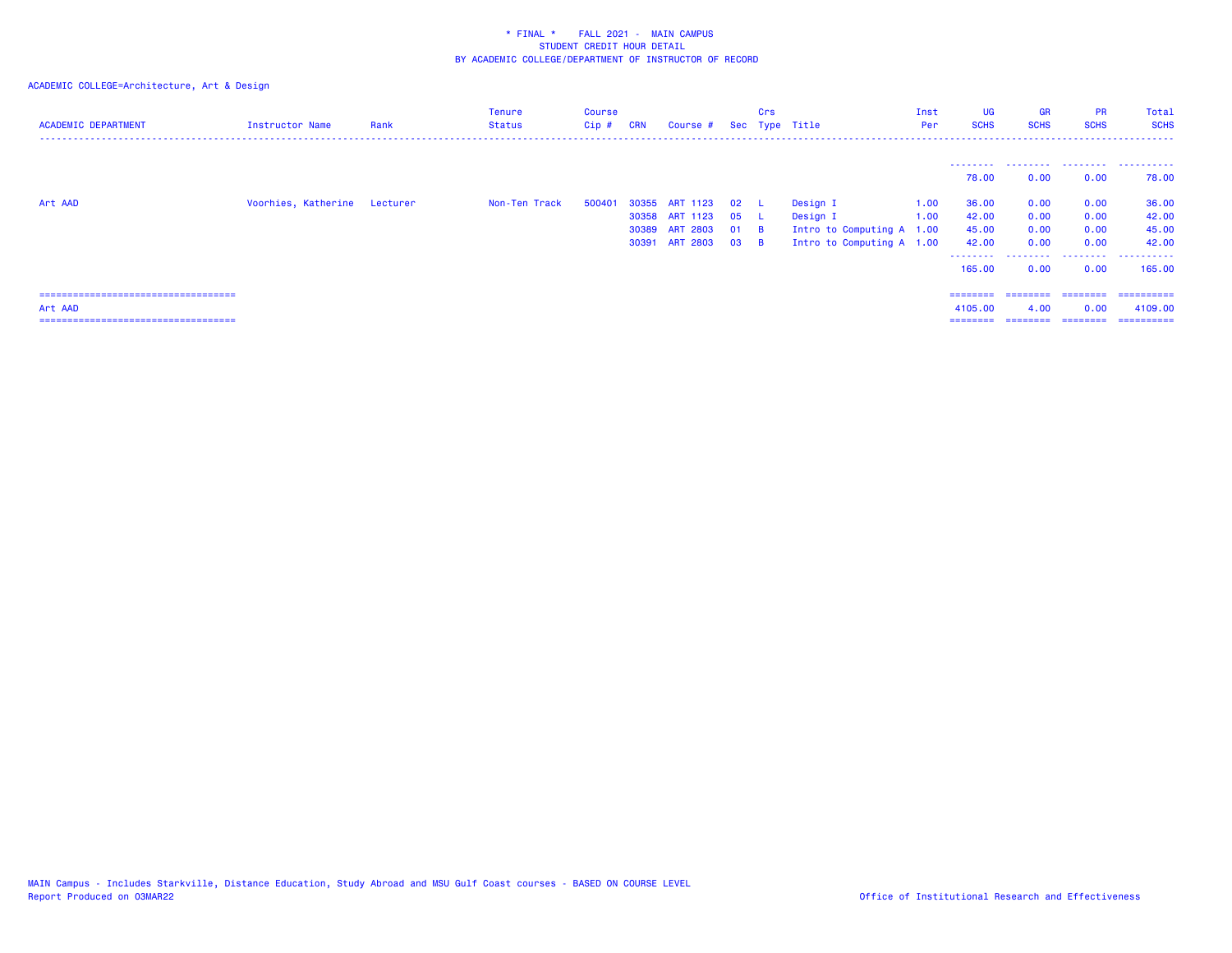| <b>ACADEMIC DEPARTMENT</b>             | Instructor Name              | Rank | <b>Tenure</b><br>Status | Course<br>$Cip$ # | <b>CRN</b> | Course # Sec Type Title |        | Crs            |                           | Inst<br>Per | <b>UG</b><br><b>SCHS</b> | <b>GR</b><br><b>SCHS</b>     | <b>PR</b><br><b>SCHS</b> | Total<br><b>SCHS</b> |
|----------------------------------------|------------------------------|------|-------------------------|-------------------|------------|-------------------------|--------|----------------|---------------------------|-------------|--------------------------|------------------------------|--------------------------|----------------------|
|                                        |                              |      |                         |                   |            |                         |        |                |                           |             |                          |                              | .                        | ------               |
|                                        |                              |      |                         |                   |            |                         |        |                |                           |             | 78.00                    | 0.00                         | 0.00                     | 78.00                |
| Art AAD                                | Voorhies, Katherine Lecturer |      | Non-Ten Track           | 500401            |            | 30355 ART 1123          | 02     |                | Design I                  | 1.00        | 36.00                    | 0.00                         | 0.00                     | 36.00                |
|                                        |                              |      |                         |                   |            | 30358 ART 1123          | 05     | - 11           | Design I                  | 1.00        | 42.00                    | 0.00                         | 0.00                     | 42.00                |
|                                        |                              |      |                         |                   |            | 30389 ART 2803          | 01     | $\overline{B}$ | Intro to Computing A 1.00 |             | 45.00                    | 0.00                         | 0.00                     | 45.00                |
|                                        |                              |      |                         |                   |            | 30391 ART 2803          | $03$ B |                | Intro to Computing A 1.00 |             | 42.00                    | 0.00                         | 0.00                     | 42.00                |
|                                        |                              |      |                         |                   |            |                         |        |                |                           |             | 165.00                   | --------- -------- -<br>0.00 | 0.00                     | 165,00               |
| ====================================== |                              |      |                         |                   |            |                         |        |                |                           |             | ========                 | ---------                    | ========                 | -----------          |
| Art AAD                                |                              |      |                         |                   |            |                         |        |                |                           |             | 4105.00                  | 4.00                         | 0.00                     | 4109.00              |
| ====================================== |                              |      |                         |                   |            |                         |        |                |                           |             | $=$ = = = = = = =        | ========                     | ========                 | ==========           |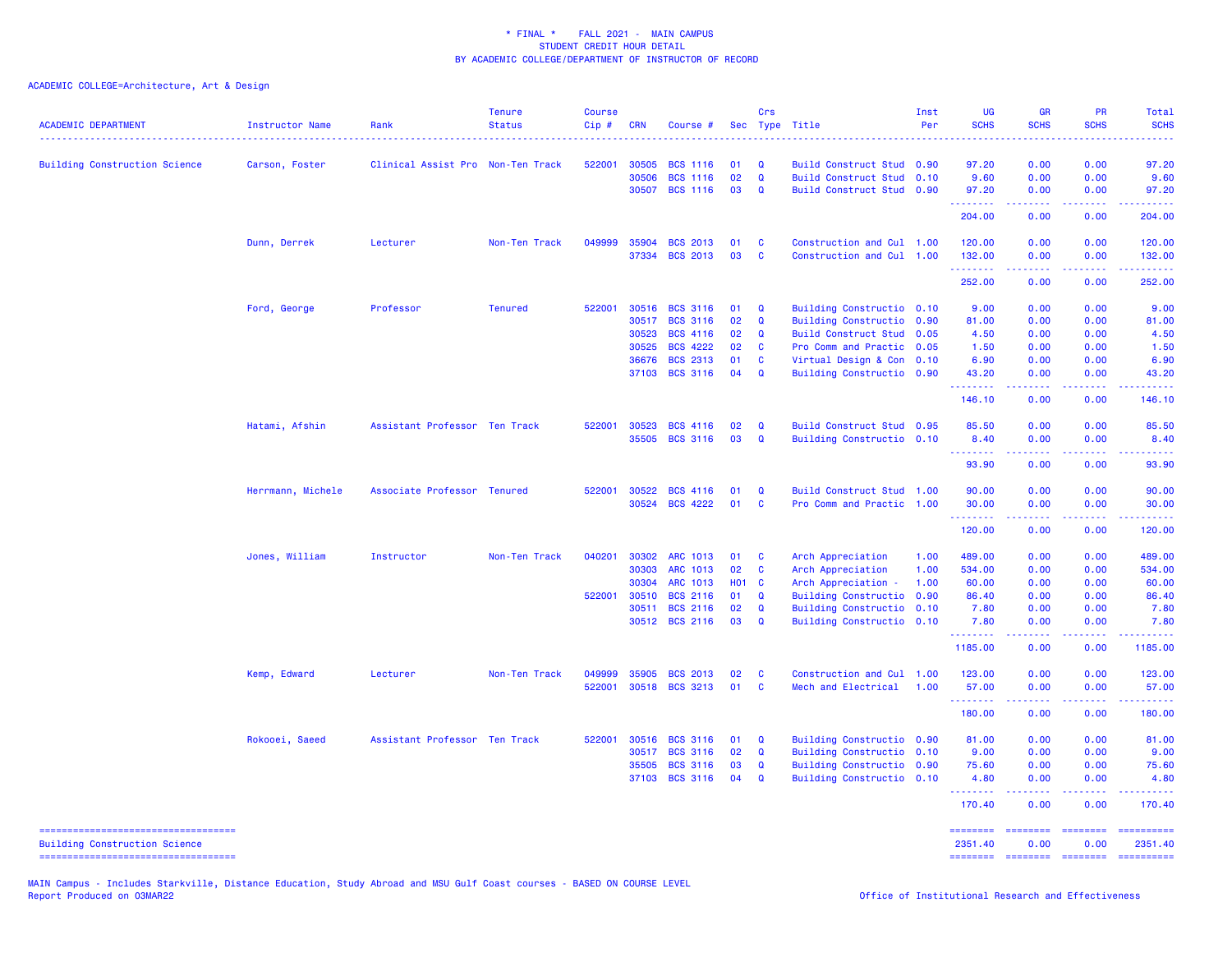ACADEMIC COLLEGE=Architecture, Art & Design

| <b>ACADEMIC DEPARTMENT</b>           | Instructor Name   | Rank                              | <b>Tenure</b><br><b>Status</b> | <b>Course</b><br>Cip# | <b>CRN</b> | Course #        |              | Crs          | Sec Type Title            | Inst<br>Per | UG<br><b>SCHS</b> | <b>GR</b><br><b>SCHS</b>                                                                                                                                     | PR<br><b>SCHS</b>    | <b>Total</b><br><b>SCHS</b> |
|--------------------------------------|-------------------|-----------------------------------|--------------------------------|-----------------------|------------|-----------------|--------------|--------------|---------------------------|-------------|-------------------|--------------------------------------------------------------------------------------------------------------------------------------------------------------|----------------------|-----------------------------|
| <b>Building Construction Science</b> | Carson, Foster    | Clinical Assist Pro Non-Ten Track |                                | 522001                | 30505      | <b>BCS 1116</b> | 01           | Q            | Build Construct Stud 0.90 |             | 97.20             | 0.00                                                                                                                                                         | 0.00                 | 97.20                       |
|                                      |                   |                                   |                                |                       | 30506      | <b>BCS 1116</b> | 02           | $\mathbf Q$  | Build Construct Stud 0.10 |             | 9.60              | 0.00                                                                                                                                                         | 0.00                 | 9.60                        |
|                                      |                   |                                   |                                |                       | 30507      | <b>BCS 1116</b> | 03           | $\mathbf Q$  | Build Construct Stud 0.90 |             | 97.20             | 0.00                                                                                                                                                         | 0.00                 | 97.20                       |
|                                      |                   |                                   |                                |                       |            |                 |              |              |                           |             | .<br>204.00       | $\omega$ is a set<br>0.00                                                                                                                                    | .<br>0.00            | .<br>204.00                 |
|                                      | Dunn, Derrek      | Lecturer                          | Non-Ten Track                  | 049999                | 35904      | <b>BCS 2013</b> | 01           | $\mathbf{C}$ | Construction and Cul 1.00 |             | 120.00            | 0.00                                                                                                                                                         | 0.00                 | 120.00                      |
|                                      |                   |                                   |                                |                       | 37334      | <b>BCS 2013</b> | 03           | <b>C</b>     | Construction and Cul 1.00 |             | 132.00<br><b></b> | 0.00<br>$\frac{1}{2} \left( \frac{1}{2} \right) \left( \frac{1}{2} \right) \left( \frac{1}{2} \right) \left( \frac{1}{2} \right) \left( \frac{1}{2} \right)$ | 0.00<br>.            | 132.00<br>.                 |
|                                      |                   |                                   |                                |                       |            |                 |              |              |                           |             | 252.00            | 0.00                                                                                                                                                         | 0.00                 | 252.00                      |
|                                      | Ford, George      | Professor                         | <b>Tenured</b>                 | 522001                | 30516      | <b>BCS 3116</b> | 01           | Q            | Building Constructio 0.10 |             | 9.00              | 0.00                                                                                                                                                         | 0.00                 | 9.00                        |
|                                      |                   |                                   |                                |                       | 30517      | <b>BCS 3116</b> | 02           | $\mathbf Q$  | Building Constructio 0.90 |             | 81.00             | 0.00                                                                                                                                                         | 0.00                 | 81.00                       |
|                                      |                   |                                   |                                |                       | 30523      | <b>BCS 4116</b> | 02           | $\mathbf Q$  | Build Construct Stud 0.05 |             | 4.50              | 0.00                                                                                                                                                         | 0.00                 | 4.50                        |
|                                      |                   |                                   |                                |                       | 30525      | <b>BCS 4222</b> | 02           | $\mathbf{C}$ | Pro Comm and Practic 0.05 |             | 1.50              | 0.00                                                                                                                                                         | 0.00                 | 1.50                        |
|                                      |                   |                                   |                                |                       | 36676      | <b>BCS 2313</b> | 01           | $\mathbf{C}$ | Virtual Design & Con 0.10 |             | 6.90              | 0.00                                                                                                                                                         | 0.00                 | 6.90                        |
|                                      |                   |                                   |                                |                       | 37103      | <b>BCS 3116</b> | 04           | $\mathbf Q$  | Building Constructio 0.90 |             | 43.20<br>.        | 0.00<br>22222                                                                                                                                                | 0.00<br>.            | 43.20<br>.                  |
|                                      |                   |                                   |                                |                       |            |                 |              |              |                           |             | 146.10            | 0.00                                                                                                                                                         | 0.00                 | 146.10                      |
|                                      | Hatami, Afshin    | Assistant Professor Ten Track     |                                | 522001                | 30523      | <b>BCS 4116</b> | 02           | $\mathbf Q$  | Build Construct Stud 0.95 |             | 85.50             | 0.00                                                                                                                                                         | 0.00                 | 85.50                       |
|                                      |                   |                                   |                                |                       | 35505      | <b>BCS 3116</b> | 03           | $\mathbf Q$  | Building Constructio 0.10 |             | 8.40              | 0.00                                                                                                                                                         | 0.00                 | 8.40                        |
|                                      |                   |                                   |                                |                       |            |                 |              |              |                           |             | .<br>93.90        | $\frac{1}{2} \left( \frac{1}{2} \right) \left( \frac{1}{2} \right) \left( \frac{1}{2} \right) \left( \frac{1}{2} \right) \left( \frac{1}{2} \right)$<br>0.00 | .<br>0.00            | 93.90                       |
|                                      | Herrmann, Michele | Associate Professor Tenured       |                                | 522001                | 30522      | <b>BCS 4116</b> | 01           | $\mathbf Q$  | Build Construct Stud 1.00 |             | 90.00             | 0.00                                                                                                                                                         | 0.00                 | 90.00                       |
|                                      |                   |                                   |                                |                       | 30524      | <b>BCS 4222</b> | 01           | $\mathbf{C}$ | Pro Comm and Practic 1.00 |             | 30.00<br>.        | 0.00<br>.                                                                                                                                                    | 0.00<br>الدامات      | 30.00<br>.                  |
|                                      |                   |                                   |                                |                       |            |                 |              |              |                           |             | 120.00            | 0.00                                                                                                                                                         | 0.00                 | 120.00                      |
|                                      | Jones, William    | Instructor                        | Non-Ten Track                  | 040201                | 30302      | ARC 1013        | 01           | $\mathbf{C}$ | Arch Appreciation         | 1.00        | 489.00            | 0.00                                                                                                                                                         | 0.00                 | 489.00                      |
|                                      |                   |                                   |                                |                       | 30303      | ARC 1013        | 02           | $\mathbf{C}$ | Arch Appreciation         | 1.00        | 534.00            | 0.00                                                                                                                                                         | 0.00                 | 534.00                      |
|                                      |                   |                                   |                                |                       | 30304      | ARC 1013        | <b>HO1 C</b> |              | Arch Appreciation -       | 1.00        | 60.00             | 0.00                                                                                                                                                         | 0.00                 | 60.00                       |
|                                      |                   |                                   |                                | 522001                | 30510      | <b>BCS 2116</b> | 01           | $\mathbf Q$  | Building Constructio 0.90 |             | 86.40             | 0.00                                                                                                                                                         | 0.00                 | 86.40                       |
|                                      |                   |                                   |                                |                       | 30511      | <b>BCS 2116</b> | 02           | $\mathbf Q$  | Building Constructio 0.10 |             | 7.80              | 0.00                                                                                                                                                         | 0.00                 | 7.80                        |
|                                      |                   |                                   |                                |                       |            | 30512 BCS 2116  | 03           | $\mathbf Q$  | Building Constructio 0.10 |             | 7.80<br>.         | 0.00<br>.                                                                                                                                                    | 0.00<br>.            | 7.80<br>.                   |
|                                      |                   |                                   |                                |                       |            |                 |              |              |                           |             | 1185.00           | 0.00                                                                                                                                                         | 0.00                 | 1185.00                     |
|                                      | Kemp, Edward      | Lecturer                          | Non-Ten Track                  | 049999                | 35905      | <b>BCS 2013</b> | 02           | C            | Construction and Cul 1.00 |             | 123.00            | 0.00                                                                                                                                                         | 0.00                 | 123.00                      |
|                                      |                   |                                   |                                | 522001                | 30518      | <b>BCS 3213</b> | 01           | $\mathbf{C}$ | Mech and Electrical       | 1.00        | 57.00             | 0.00                                                                                                                                                         | 0.00                 | 57.00                       |
|                                      |                   |                                   |                                |                       |            |                 |              |              |                           |             | .<br>180.00       | 22222<br>0.00                                                                                                                                                | المتمام الما<br>0.00 | .<br>180.00                 |
|                                      | Rokooei, Saeed    | Assistant Professor Ten Track     |                                | 522001                | 30516      | <b>BCS 3116</b> | 01           | Q            | Building Constructio 0.90 |             | 81.00             | 0.00                                                                                                                                                         | 0.00                 | 81.00                       |
|                                      |                   |                                   |                                |                       | 30517      | <b>BCS 3116</b> | 02           | Q            | Building Constructio 0.10 |             | 9.00              | 0.00                                                                                                                                                         | 0.00                 | 9.00                        |
|                                      |                   |                                   |                                |                       | 35505      | <b>BCS 3116</b> | 03           | $\mathbf Q$  | Building Constructio 0.90 |             | 75.60             | 0.00                                                                                                                                                         | 0.00                 | 75.60                       |
|                                      |                   |                                   |                                |                       | 37103      | <b>BCS 3116</b> | 04           | $\mathbf Q$  | Building Constructio 0.10 |             | 4.80              | 0.00                                                                                                                                                         | 0.00                 | 4.80                        |
|                                      |                   |                                   |                                |                       |            |                 |              |              |                           |             | .<br>170.40       | 2.2.2.2.2<br>0.00                                                                                                                                            | .<br>0.00            | 2.2.2.2.2<br>170.40         |
| ----------------------------------   |                   |                                   |                                |                       |            |                 |              |              |                           |             |                   | . <b>.</b>                                                                                                                                                   |                      | ==========                  |
| <b>Building Construction Science</b> |                   |                                   |                                |                       |            |                 |              |              |                           |             | 2351.40           | 0.00                                                                                                                                                         | 0.00                 | 2351.40                     |
| ----------------------------------   |                   |                                   |                                |                       |            |                 |              |              |                           |             | ========          | <b>BEBEDDED</b>                                                                                                                                              | $= 1.122222222$      | ==========                  |

MAIN Campus - Includes Starkville, Distance Education, Study Abroad and MSU Gulf Coast courses - BASED ON COURSE LEVEL<br>Report Produced on O3MAR22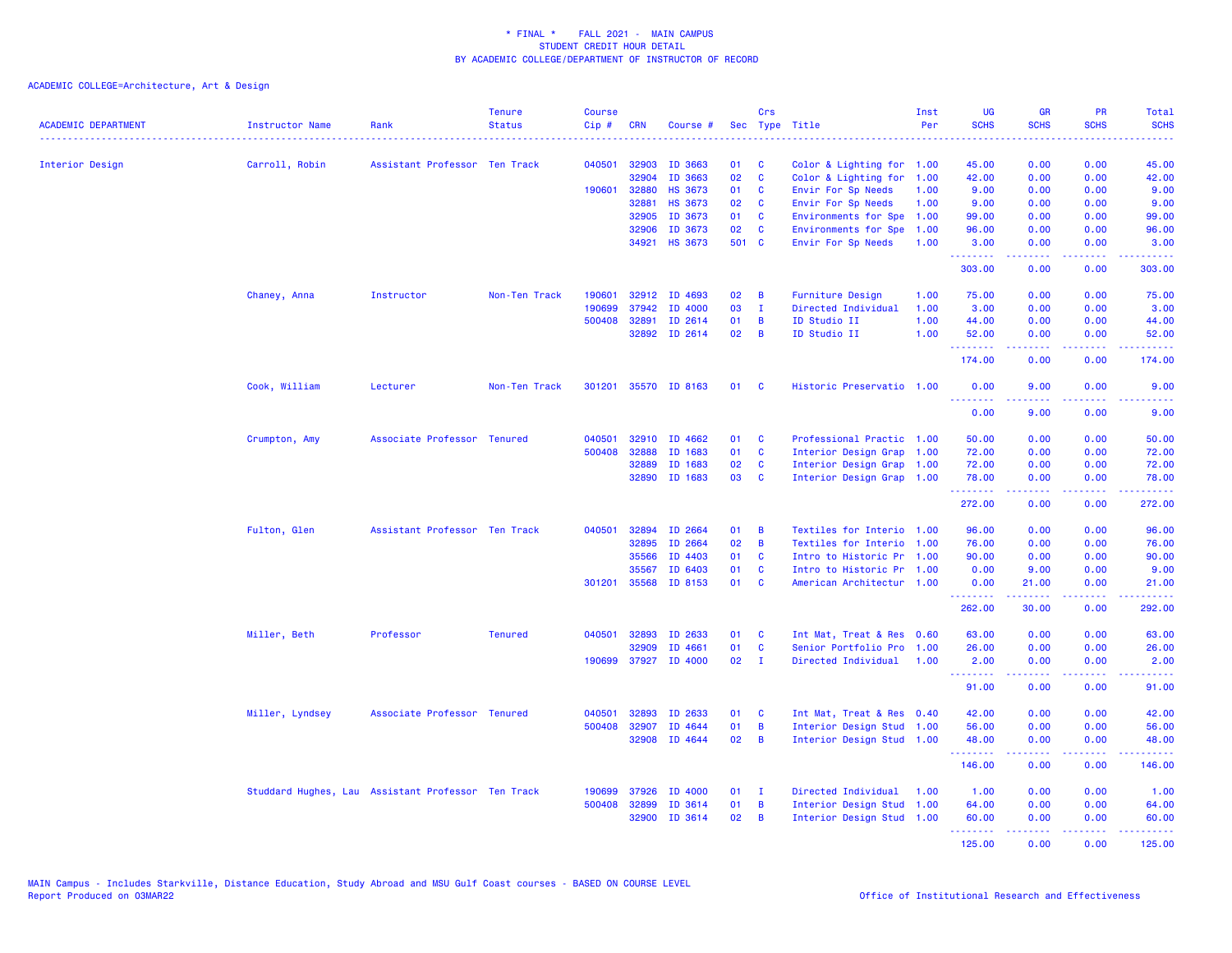| <b>ACADEMIC DEPARTMENT</b> | Instructor Name                                    | Rank                          | <b>Tenure</b><br><b>Status</b> | <b>Course</b><br>Cip# | <b>CRN</b> | Course #             |       | Crs            | Sec Type Title            | Inst<br>Per | <b>UG</b><br><b>SCHS</b>                                 | <b>GR</b><br><b>SCHS</b>                                                                                                                                     | PR<br><b>SCHS</b> | Total<br><b>SCHS</b>                                                                                                              |
|----------------------------|----------------------------------------------------|-------------------------------|--------------------------------|-----------------------|------------|----------------------|-------|----------------|---------------------------|-------------|----------------------------------------------------------|--------------------------------------------------------------------------------------------------------------------------------------------------------------|-------------------|-----------------------------------------------------------------------------------------------------------------------------------|
|                            |                                                    |                               |                                |                       |            |                      |       |                |                           |             |                                                          |                                                                                                                                                              |                   |                                                                                                                                   |
| Interior Design            | Carroll, Robin                                     | Assistant Professor Ten Track |                                | 040501                | 32903      | ID 3663              | 01    | C              | Color & Lighting for 1.00 |             | 45.00                                                    | 0.00                                                                                                                                                         | 0.00              | 45.00                                                                                                                             |
|                            |                                                    |                               |                                |                       | 32904      | ID 3663              | 02    | $\mathbf{C}$   | Color & Lighting for      | 1.00        | 42.00                                                    | 0.00                                                                                                                                                         | 0.00              | 42.00                                                                                                                             |
|                            |                                                    |                               |                                | 190601                | 32880      | <b>HS 3673</b>       | 01    | C              | Envir For Sp Needs        | 1.00        | 9.00                                                     | 0.00                                                                                                                                                         | 0.00              | 9.00                                                                                                                              |
|                            |                                                    |                               |                                |                       | 32881      | <b>HS 3673</b>       | 02    | <b>C</b>       | Envir For Sp Needs        | 1.00        | 9.00                                                     | 0.00                                                                                                                                                         | 0.00              | 9.00                                                                                                                              |
|                            |                                                    |                               |                                |                       | 32905      | ID 3673              | 01    | C              | Environments for Spe      | 1.00        | 99.00                                                    | 0.00                                                                                                                                                         | 0.00              | 99.00                                                                                                                             |
|                            |                                                    |                               |                                |                       | 32906      | ID 3673              | 02    | $\mathbf{C}$   | Environments for Spe      | 1.00        | 96.00                                                    | 0.00                                                                                                                                                         | 0.00              | 96.00                                                                                                                             |
|                            |                                                    |                               |                                |                       | 34921      | <b>HS 3673</b>       | 501 C |                | Envir For Sp Needs        | 1.00        | 3.00                                                     | 0.00                                                                                                                                                         | 0.00              | 3.00                                                                                                                              |
|                            |                                                    |                               |                                |                       |            |                      |       |                |                           |             | <u>.</u><br>303.00                                       | 0.00                                                                                                                                                         | د د د د<br>0.00   | وعاديات<br>303.00                                                                                                                 |
|                            | Chaney, Anna                                       | Instructor                    | Non-Ten Track                  | 190601                |            | 32912 ID 4693        | 02    | B              | Furniture Design          | 1.00        | 75.00                                                    | 0.00                                                                                                                                                         | 0.00              | 75.00                                                                                                                             |
|                            |                                                    |                               |                                | 190699                | 37942      | ID 4000              | 03    | $\mathbf{I}$   | Directed Individual       | 1.00        | 3.00                                                     | 0.00                                                                                                                                                         | 0.00              | 3.00                                                                                                                              |
|                            |                                                    |                               |                                | 500408                | 32891      | ID 2614              | 01    | B              | ID Studio II              | 1.00        | 44.00                                                    | 0.00                                                                                                                                                         | 0.00              | 44.00                                                                                                                             |
|                            |                                                    |                               |                                |                       |            | 32892 ID 2614        | 02    | B              | ID Studio II              | 1.00        | 52.00                                                    | 0.00                                                                                                                                                         | 0.00              | 52.00                                                                                                                             |
|                            |                                                    |                               |                                |                       |            |                      |       |                |                           |             | .<br>174.00                                              | $\frac{1}{2} \left( \frac{1}{2} \right) \left( \frac{1}{2} \right) \left( \frac{1}{2} \right) \left( \frac{1}{2} \right) \left( \frac{1}{2} \right)$<br>0.00 | 22222<br>0.00     | .<br>174.00                                                                                                                       |
|                            | Cook, William                                      | Lecturer                      | Non-Ten Track                  |                       |            | 301201 35570 ID 8163 | 01    | <b>C</b>       | Historic Preservatio 1.00 |             | 0.00                                                     | 9.00                                                                                                                                                         | 0.00              | 9.00                                                                                                                              |
|                            |                                                    |                               |                                |                       |            |                      |       |                |                           |             | <b><i><u><u><b>a</b></u></u> a a a a a a</i></b><br>0.00 | 2.2.2.2.2<br>9.00                                                                                                                                            | .<br>0.00         | $\frac{1}{2} \left( \frac{1}{2} \right) \left( \frac{1}{2} \right) \left( \frac{1}{2} \right) \left( \frac{1}{2} \right)$<br>9.00 |
|                            | Crumpton, Amy                                      | Associate Professor Tenured   |                                | 040501                | 32910      | ID 4662              | 01    | <b>C</b>       | Professional Practic 1.00 |             | 50.00                                                    | 0.00                                                                                                                                                         | 0.00              | 50.00                                                                                                                             |
|                            |                                                    |                               |                                | 500408                | 32888      | ID 1683              | 01    | C              | Interior Design Grap 1.00 |             | 72.00                                                    | 0.00                                                                                                                                                         | 0.00              | 72.00                                                                                                                             |
|                            |                                                    |                               |                                |                       | 32889      | ID 1683              | 02    | C              | Interior Design Grap 1.00 |             | 72.00                                                    | 0.00                                                                                                                                                         | 0.00              | 72.00                                                                                                                             |
|                            |                                                    |                               |                                |                       | 32890      | ID 1683              | 03    | C              | Interior Design Grap 1.00 |             | 78.00                                                    | 0.00                                                                                                                                                         | 0.00              | 78.00                                                                                                                             |
|                            |                                                    |                               |                                |                       |            |                      |       |                |                           |             | .<br>272.00                                              | .<br>0.00                                                                                                                                                    | .<br>0.00         | .<br>272.00                                                                                                                       |
|                            | Fulton, Glen                                       | Assistant Professor Ten Track |                                | 040501                | 32894      | ID 2664              | 01    | B              | Textiles for Interio 1.00 |             | 96.00                                                    | 0.00                                                                                                                                                         | 0.00              | 96.00                                                                                                                             |
|                            |                                                    |                               |                                |                       | 32895      | ID 2664              | 02    | B              | Textiles for Interio 1.00 |             | 76.00                                                    | 0.00                                                                                                                                                         | 0.00              | 76.00                                                                                                                             |
|                            |                                                    |                               |                                |                       | 35566      | ID 4403              | 01    | <b>C</b>       | Intro to Historic Pr 1.00 |             | 90.00                                                    | 0.00                                                                                                                                                         | 0.00              | 90.00                                                                                                                             |
|                            |                                                    |                               |                                |                       | 35567      | ID 6403              | 01    | C              | Intro to Historic Pr 1.00 |             | 0.00                                                     | 9.00                                                                                                                                                         | 0.00              | 9.00                                                                                                                              |
|                            |                                                    |                               |                                | 301201                | 35568      | ID 8153              | 01    | <b>C</b>       | American Architectur 1.00 |             | 0.00                                                     | 21.00                                                                                                                                                        | 0.00              | 21.00                                                                                                                             |
|                            |                                                    |                               |                                |                       |            |                      |       |                |                           |             | <b><i><u><u> - - - - - - -</u></u></i></b>               | .                                                                                                                                                            | .                 | ------                                                                                                                            |
|                            |                                                    |                               |                                |                       |            |                      |       |                |                           |             | 262.00                                                   | 30.00                                                                                                                                                        | 0.00              | 292.00                                                                                                                            |
|                            | Miller, Beth                                       | Professor                     | <b>Tenured</b>                 | 040501                | 32893      | ID 2633              | 01    | C              | Int Mat, Treat & Res 0.60 |             | 63.00                                                    | 0.00                                                                                                                                                         | 0.00              | 63.00                                                                                                                             |
|                            |                                                    |                               |                                |                       | 32909      | ID 4661              | 01    | C              | Senior Portfolio Pro 1.00 |             | 26.00                                                    | 0.00                                                                                                                                                         | 0.00              | 26.00                                                                                                                             |
|                            |                                                    |                               |                                | 190699                | 37927      | ID 4000              | 02    | $\mathbf{I}$   | Directed Individual       | 1.00        | 2.00<br><u>.</u>                                         | 0.00                                                                                                                                                         | 0.00<br>$  -$     | 2.00<br>.                                                                                                                         |
|                            |                                                    |                               |                                |                       |            |                      |       |                |                           |             | 91.00                                                    | 0.00                                                                                                                                                         | 0.00              | 91.00                                                                                                                             |
|                            | Miller, Lyndsey                                    | Associate Professor Tenured   |                                | 040501                | 32893      | ID 2633              | 01    | C              | Int Mat, Treat & Res 0.40 |             | 42.00                                                    | 0.00                                                                                                                                                         | 0.00              | 42.00                                                                                                                             |
|                            |                                                    |                               |                                | 500408                | 32907      | ID 4644              | 01    | $\overline{B}$ | Interior Design Stud      | 1.00        | 56.00                                                    | 0.00                                                                                                                                                         | 0.00              | 56.00                                                                                                                             |
|                            |                                                    |                               |                                |                       | 32908      | ID 4644              | 02    | B              | Interior Design Stud 1.00 |             | 48.00<br><u>.</u>                                        | 0.00<br>د د د د                                                                                                                                              | 0.00<br>المتمالين | 48.00<br>.                                                                                                                        |
|                            |                                                    |                               |                                |                       |            |                      |       |                |                           |             | 146.00                                                   | 0.00                                                                                                                                                         | 0.00              | 146.00                                                                                                                            |
|                            | Studdard Hughes, Lau Assistant Professor Ten Track |                               |                                | 190699                | 37926      | ID 4000              | 01    | - I            | Directed Individual       | 1.00        | 1.00                                                     | 0.00                                                                                                                                                         | 0.00              | 1.00                                                                                                                              |
|                            |                                                    |                               |                                | 500408                | 32899      | ID 3614              | 01    | B              | Interior Design Stud 1.00 |             | 64.00                                                    | 0.00                                                                                                                                                         | 0.00              | 64.00                                                                                                                             |
|                            |                                                    |                               |                                |                       | 32900      | ID 3614              | 02    | B              | Interior Design Stud 1.00 |             | 60.00                                                    | 0.00                                                                                                                                                         | 0.00              | 60.00                                                                                                                             |
|                            |                                                    |                               |                                |                       |            |                      |       |                |                           |             | <b></b><br>125.00                                        | $\mathbf{L}^{\prime} = \mathbf{L}^{\prime} + \mathbf{L}^{\prime} + \mathbf{L}^{\prime}$<br>0.00                                                              | 0.00              | 125.00                                                                                                                            |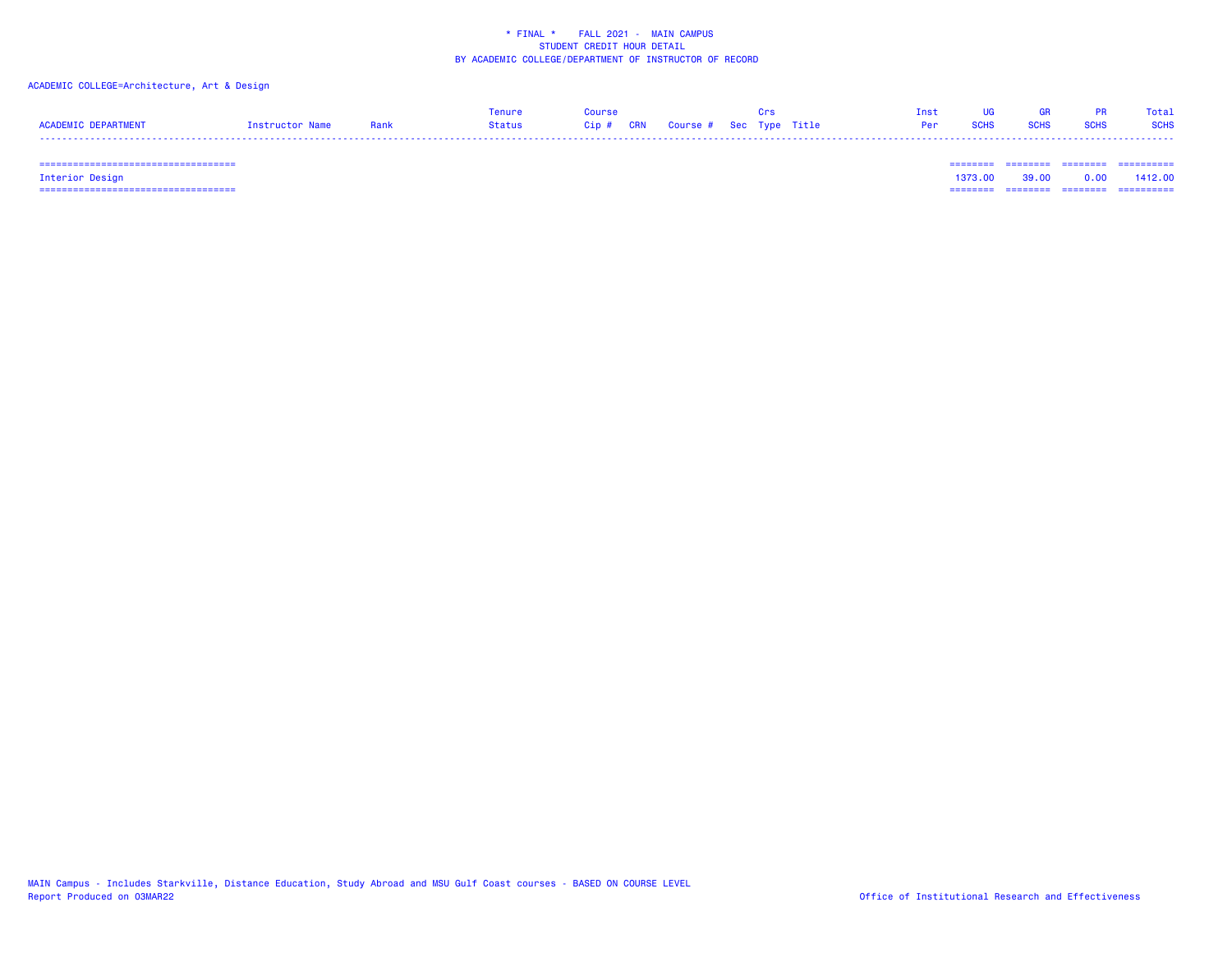## ACADEMIC COLLEGE=Architecture, Art & Design

|                     |                      | Tenure | Course |                         |  | Inst UG GR PR Total |  |
|---------------------|----------------------|--------|--------|-------------------------|--|---------------------|--|
| ACADEMIC DEPARTMENT | Instructor Name Bank |        |        | Per SCHS SCHS SCHS SCHS |  |                     |  |
| -----               |                      |        |        |                         |  |                     |  |

 =================================== ======== ======== ======== ==========Interior Design 1373.00 39.00 0.00 1412.00 =================================== ======== ======== ======== ==========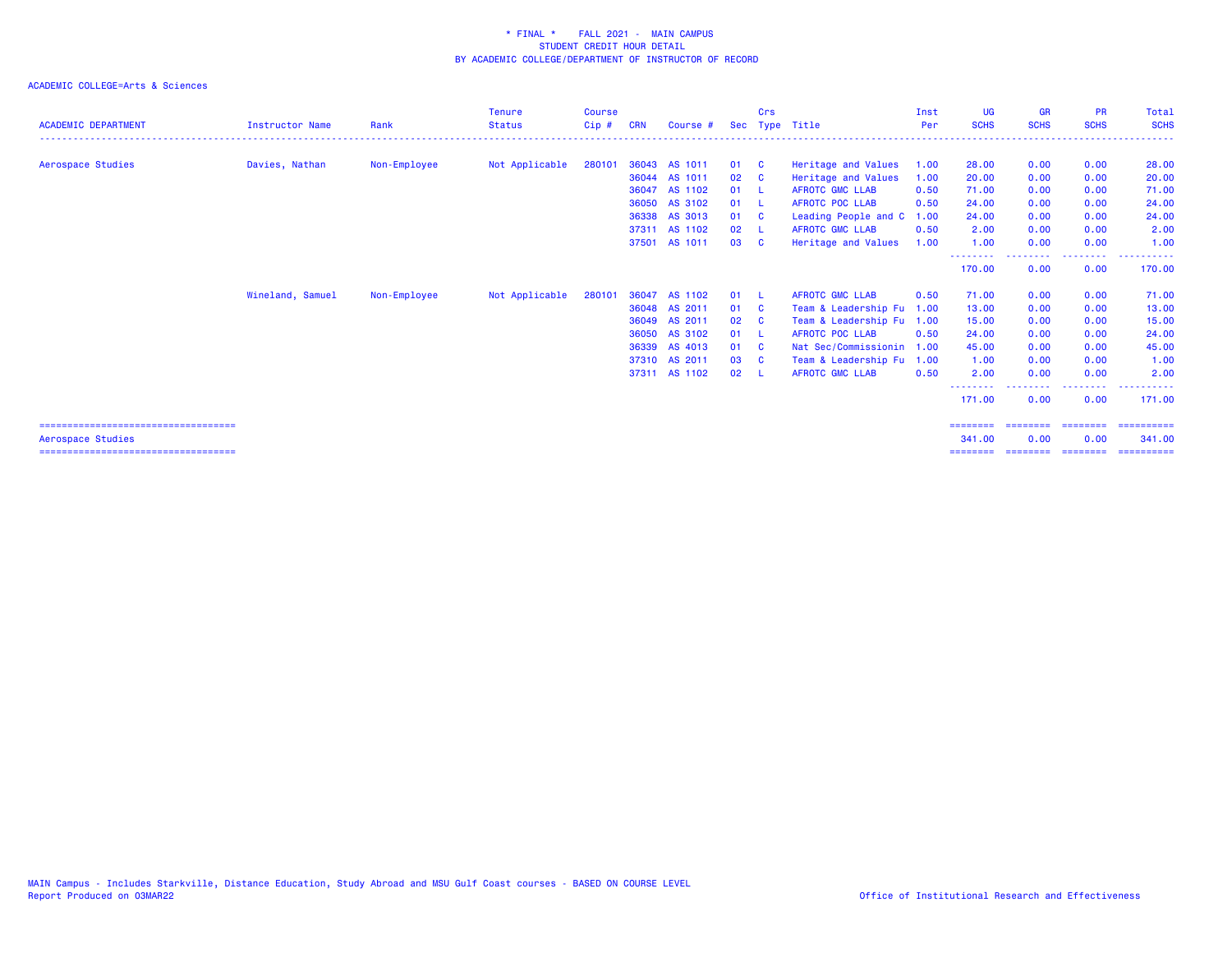# ACADEMIC COLLEGE=Arts & Sciences

| <b>ACADEMIC DEPARTMENT</b>                                | <b>Instructor Name</b> | Rank         | <b>Tenure</b><br><b>Status</b> | <b>Course</b><br>$C$ ip $#$ | <b>CRN</b> | Course #      | Sec  | Crs          | Type Title                | Inst<br>Per | <b>UG</b><br><b>SCHS</b> | <b>GR</b><br><b>SCHS</b> | <b>PR</b><br><b>SCHS</b> | Total<br><b>SCHS</b> |
|-----------------------------------------------------------|------------------------|--------------|--------------------------------|-----------------------------|------------|---------------|------|--------------|---------------------------|-------------|--------------------------|--------------------------|--------------------------|----------------------|
|                                                           |                        |              |                                |                             |            |               |      |              |                           |             |                          |                          |                          |                      |
| Aerospace Studies                                         | Davies, Nathan         | Non-Employee | Not Applicable                 | 280101                      |            | 36043 AS 1011 | 01 C |              | Heritage and Values       | 1.00        | 28.00                    | 0.00                     | 0.00                     | 28.00                |
|                                                           |                        |              |                                |                             |            | 36044 AS 1011 | 02   | $\mathbf{C}$ | Heritage and Values       | 1.00        | 20.00                    | 0.00                     | 0.00                     | 20.00                |
|                                                           |                        |              |                                |                             |            | 36047 AS 1102 | 01   | - 1          | AFROTC GMC LLAB           | 0.50        | 71.00                    | 0.00                     | 0.00                     | 71.00                |
|                                                           |                        |              |                                |                             |            | 36050 AS 3102 | 01   | $\mathbf{L}$ | <b>AFROTC POC LLAB</b>    | 0.50        | 24.00                    | 0.00                     | 0.00                     | 24.00                |
|                                                           |                        |              |                                |                             |            | 36338 AS 3013 | 01 C |              | Leading People and C      | 1.00        | 24.00                    | 0.00                     | 0.00                     | 24.00                |
|                                                           |                        |              |                                |                             |            | 37311 AS 1102 | 02   |              | <b>AFROTC GMC LLAB</b>    | 0.50        | 2.00                     | 0.00                     | 0.00                     | 2.00                 |
|                                                           |                        |              |                                |                             |            | 37501 AS 1011 | 03   | <b>C</b>     | Heritage and Values       | 1.00        | 1.00                     | 0.00                     | 0.00                     | 1.00                 |
|                                                           |                        |              |                                |                             |            |               |      |              |                           |             | --------<br>170.00       | 0.00                     | ----<br>0.00             | .<br>170.00          |
|                                                           | Wineland, Samuel       | Non-Employee | Not Applicable                 | 280101                      |            | 36047 AS 1102 | 01 L |              | <b>AFROTC GMC LLAB</b>    | 0.50        | 71.00                    | 0.00                     | 0.00                     | 71.00                |
|                                                           |                        |              |                                |                             |            | 36048 AS 2011 | 01 C |              | Team & Leadership Fu 1.00 |             | 13,00                    | 0.00                     | 0.00                     | 13.00                |
|                                                           |                        |              |                                |                             |            | 36049 AS 2011 | 02   | $\mathbf{C}$ | Team & Leadership Fu 1.00 |             | 15.00                    | 0.00                     | 0.00                     | 15.00                |
|                                                           |                        |              |                                |                             | 36050      | AS 3102       | 01   |              | <b>AFROTC POC LLAB</b>    | 0.50        | 24.00                    | 0.00                     | 0.00                     | 24.00                |
|                                                           |                        |              |                                |                             | 36339      | AS 4013       | 01   | $\mathbf{C}$ | Nat Sec/Commissionin      | 1.00        | 45.00                    | 0.00                     | 0.00                     | 45.00                |
|                                                           |                        |              |                                |                             |            | 37310 AS 2011 | 03   | <b>C</b>     | Team & Leadership Fu 1.00 |             | 1.00                     | 0.00                     | 0.00                     | 1.00                 |
|                                                           |                        |              |                                |                             |            | 37311 AS 1102 | 02   | - 1          | <b>AFROTC GMC LLAB</b>    | 0.50        | 2.00                     | 0.00                     | 0.00                     | 2.00                 |
|                                                           |                        |              |                                |                             |            |               |      |              |                           |             | 171.00                   | 0.00                     | .<br>0.00                | ----------<br>171.00 |
| ====================================<br>Aerospace Studies |                        |              |                                |                             |            |               |      |              |                           |             | ========<br>341.00       | ========<br>0.00         | ========<br>0.00         | ==========<br>341.00 |

=================================== ======== ======== ======== ==========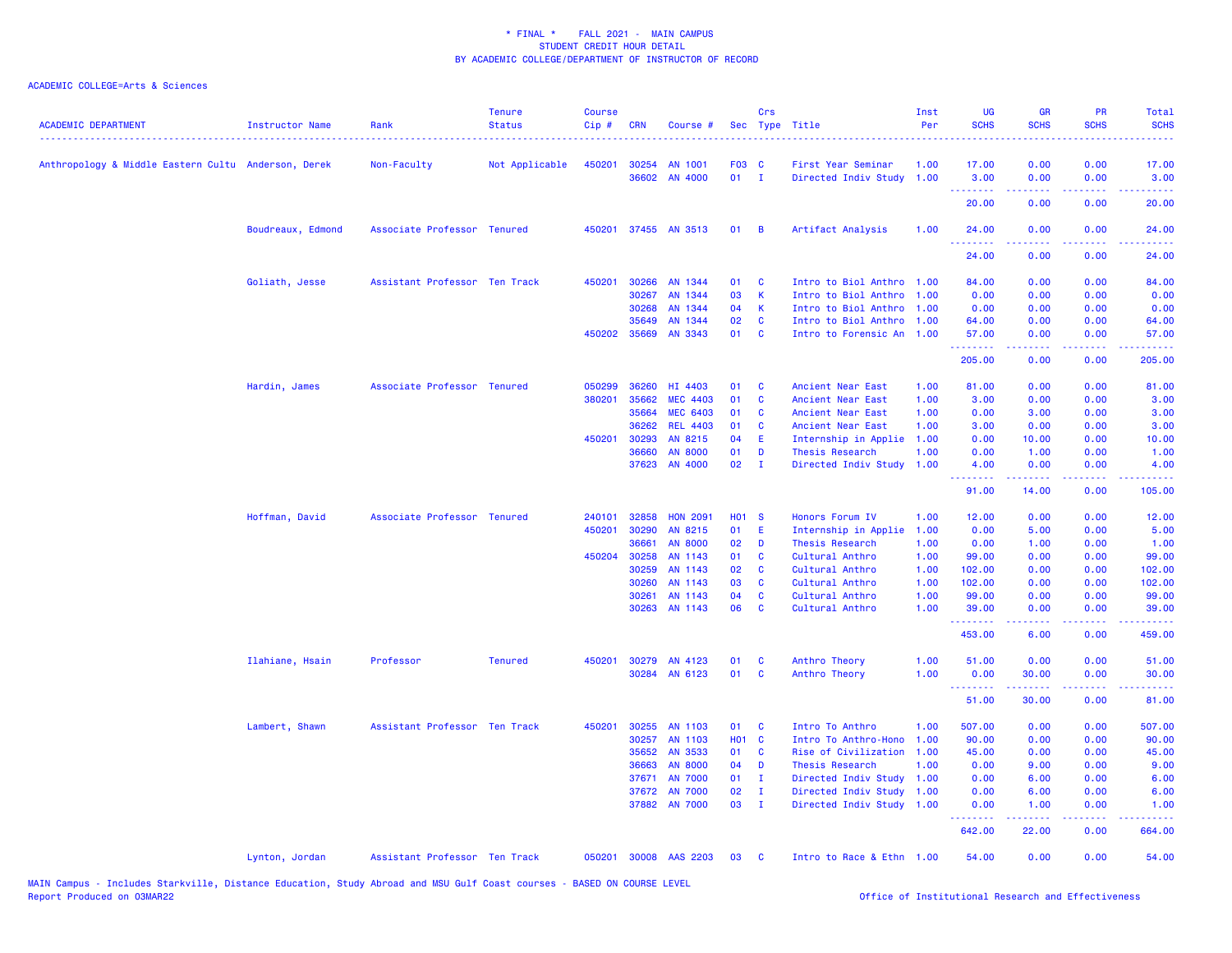| <b>ACADEMIC DEPARTMENT</b>                          | Instructor Name   | Rank                          | <b>Tenure</b><br><b>Status</b> | <b>Course</b><br>Cip# | <b>CRN</b>   | Course #        |              | Crs            | Sec Type Title            | Inst<br>Per | <b>UG</b><br><b>SCHS</b>                                                                                                       | <b>GR</b><br><b>SCHS</b> | PR<br><b>SCHS</b>                                                                                                                 | Total<br><b>SCHS</b>  |
|-----------------------------------------------------|-------------------|-------------------------------|--------------------------------|-----------------------|--------------|-----------------|--------------|----------------|---------------------------|-------------|--------------------------------------------------------------------------------------------------------------------------------|--------------------------|-----------------------------------------------------------------------------------------------------------------------------------|-----------------------|
| Anthropology & Middle Eastern Cultu Anderson, Derek |                   | Non-Faculty                   | Not Applicable                 | 450201                | 30254        | AN 1001         | F03 C        |                | First Year Seminar        | 1.00        | 17.00                                                                                                                          | 0.00                     | 0.00                                                                                                                              | 17.00                 |
|                                                     |                   |                               |                                |                       | 36602        | AN 4000         | $01$ I       |                | Directed Indiv Study 1.00 |             | 3.00                                                                                                                           | 0.00                     | 0.00                                                                                                                              | 3.00                  |
|                                                     |                   |                               |                                |                       |              |                 |              |                |                           |             | .<br>20.00                                                                                                                     | 0.00                     | $  -$<br>0.00                                                                                                                     | 20.00                 |
|                                                     | Boudreaux, Edmond | Associate Professor Tenured   |                                | 450201                |              | 37455 AN 3513   | 01           | $\overline{B}$ | Artifact Analysis         | 1.00        | 24.00                                                                                                                          | 0.00                     | 0.00                                                                                                                              | 24.00                 |
|                                                     |                   |                               |                                |                       |              |                 |              |                |                           |             | $\begin{array}{cccccccccc} \bullet & \bullet & \bullet & \bullet & \bullet & \bullet & \bullet & \bullet \end{array}$<br>24.00 | 0.00                     | 0.00                                                                                                                              | 24.00                 |
|                                                     | Goliath, Jesse    | Assistant Professor Ten Track |                                | 450201                | 30266        | AN 1344         | 01           | <b>C</b>       | Intro to Biol Anthro 1.00 |             | 84.00                                                                                                                          | 0.00                     | 0.00                                                                                                                              | 84.00                 |
|                                                     |                   |                               |                                |                       | 30267        | AN 1344         | 03           | $\mathsf{K}$   | Intro to Biol Anthro      | 1.00        | 0.00                                                                                                                           | 0.00                     | 0.00                                                                                                                              | 0.00                  |
|                                                     |                   |                               |                                |                       | 30268        | AN 1344         | 04           | K              | Intro to Biol Anthro 1.00 |             | 0.00                                                                                                                           | 0.00                     | 0.00                                                                                                                              | 0.00                  |
|                                                     |                   |                               |                                |                       | 35649        | AN 1344         | 02           | <b>C</b>       | Intro to Biol Anthro 1.00 |             | 64.00                                                                                                                          | 0.00                     | 0.00                                                                                                                              | 64.00                 |
|                                                     |                   |                               |                                |                       | 450202 35669 | <b>AN 3343</b>  | 01           | $\mathbf{C}$   | Intro to Forensic An 1.00 |             | 57.00                                                                                                                          | 0.00                     | 0.00                                                                                                                              | 57.00                 |
|                                                     |                   |                               |                                |                       |              |                 |              |                |                           |             | .<br>205.00                                                                                                                    | .<br>0.00                | المتحدث<br>0.00                                                                                                                   | وعاعاها<br>205.00     |
|                                                     | Hardin, James     | Associate Professor Tenured   |                                | 050299                | 36260        | HI 4403         | 01           | <b>C</b>       | Ancient Near East         | 1.00        | 81.00                                                                                                                          | 0.00                     | 0.00                                                                                                                              | 81.00                 |
|                                                     |                   |                               |                                | 380201                | 35662        | <b>MEC 4403</b> | 01           | <b>C</b>       | Ancient Near East         | 1.00        | 3.00                                                                                                                           | 0.00                     | 0.00                                                                                                                              | 3.00                  |
|                                                     |                   |                               |                                |                       | 35664        | <b>MEC 6403</b> | 01           | C              | Ancient Near East         | 1.00        | 0.00                                                                                                                           | 3.00                     | 0.00                                                                                                                              | 3.00                  |
|                                                     |                   |                               |                                |                       | 36262        | <b>REL 4403</b> | 01           | C              | Ancient Near East         | 1.00        | 3.00                                                                                                                           | 0.00                     | 0.00                                                                                                                              | 3.00                  |
|                                                     |                   |                               |                                | 450201                | 30293        | AN 8215         | 04           | E              | Internship in Applie      | 1.00        | 0.00                                                                                                                           | 10.00                    | 0.00                                                                                                                              | 10.00                 |
|                                                     |                   |                               |                                |                       | 36660        | <b>AN 8000</b>  | 01           | D              | Thesis Research           | 1.00        | 0.00                                                                                                                           | 1.00                     | 0.00                                                                                                                              | 1.00                  |
|                                                     |                   |                               |                                |                       | 37623        | AN 4000         | 02           | $\mathbf{I}$   | Directed Indiv Study 1.00 |             | 4.00                                                                                                                           | 0.00                     | 0.00                                                                                                                              | 4.00                  |
|                                                     |                   |                               |                                |                       |              |                 |              |                |                           |             | .<br>91.00                                                                                                                     | 14.00                    | $\omega$ is $\omega$ in<br>0.00                                                                                                   | 105.00                |
|                                                     | Hoffman, David    | Associate Professor Tenured   |                                | 240101                | 32858        | <b>HON 2091</b> | <b>HO1 S</b> |                | Honors Forum IV           | 1.00        | 12.00                                                                                                                          | 0.00                     | 0.00                                                                                                                              | 12.00                 |
|                                                     |                   |                               |                                | 450201                | 30290        | AN 8215         | 01           | E.             | Internship in Applie      | 1.00        | 0.00                                                                                                                           | 5.00                     | 0.00                                                                                                                              | 5.00                  |
|                                                     |                   |                               |                                |                       | 36661        | <b>AN 8000</b>  | 02           | D              | Thesis Research           | 1.00        | 0.00                                                                                                                           | 1.00                     | 0.00                                                                                                                              | 1.00                  |
|                                                     |                   |                               |                                | 450204                | 30258        | AN 1143         | 01           | C              | Cultural Anthro           | 1.00        | 99.00                                                                                                                          | 0.00                     | 0.00                                                                                                                              | 99.00                 |
|                                                     |                   |                               |                                |                       | 30259        | AN 1143         | 02           | C              | Cultural Anthro           | 1.00        | 102.00                                                                                                                         | 0.00                     | 0.00                                                                                                                              | 102.00                |
|                                                     |                   |                               |                                |                       | 30260        | AN 1143         | 03           | $\mathbf{C}$   | Cultural Anthro           | 1.00        | 102.00                                                                                                                         | 0.00                     | 0.00                                                                                                                              | 102.00                |
|                                                     |                   |                               |                                |                       | 30261        | AN 1143         | 04           | $\mathbf{C}$   | Cultural Anthro           | 1.00        | 99.00                                                                                                                          | 0.00                     | 0.00                                                                                                                              | 99.00                 |
|                                                     |                   |                               |                                |                       | 30263        | AN 1143         | 06           | C              | Cultural Anthro           | 1.00        | 39.00                                                                                                                          | 0.00                     | 0.00                                                                                                                              | 39.00                 |
|                                                     |                   |                               |                                |                       |              |                 |              |                |                           |             | .<br>453.00                                                                                                                    | 6.00                     | $\frac{1}{2} \left( \frac{1}{2} \right) \left( \frac{1}{2} \right) \left( \frac{1}{2} \right) \left( \frac{1}{2} \right)$<br>0.00 | .<br>459.00           |
|                                                     | Ilahiane, Hsain   | Professor                     | <b>Tenured</b>                 | 450201                | 30279        | AN 4123         | 01           | C              | Anthro Theory             | 1.00        | 51.00                                                                                                                          | 0.00                     | 0.00                                                                                                                              | 51.00                 |
|                                                     |                   |                               |                                |                       | 30284        | AN 6123         | 01           | $\mathbf{C}$   | Anthro Theory             | 1.00        | 0.00<br>. <b>.</b>                                                                                                             | 30.00<br>.               | 0.00<br>$\frac{1}{2} \left( \frac{1}{2} \right) \left( \frac{1}{2} \right) \left( \frac{1}{2} \right) \left( \frac{1}{2} \right)$ | 30.00<br>. <u>.</u> . |
|                                                     |                   |                               |                                |                       |              |                 |              |                |                           |             | 51.00                                                                                                                          | 30.00                    | 0.00                                                                                                                              | 81.00                 |
|                                                     | Lambert, Shawn    | Assistant Professor Ten Track |                                | 450201                | 30255        | AN 1103         | 01           | <b>C</b>       | Intro To Anthro           | 1.00        | 507.00                                                                                                                         | 0.00                     | 0.00                                                                                                                              | 507.00                |
|                                                     |                   |                               |                                |                       | 30257        | AN 1103         | H01 C        |                | Intro To Anthro-Hono      | 1.00        | 90.00                                                                                                                          | 0.00                     | 0.00                                                                                                                              | 90.00                 |
|                                                     |                   |                               |                                |                       | 35652        | AN 3533         | 01           | C              | Rise of Civilization      | 1.00        | 45.00                                                                                                                          | 0.00                     | 0.00                                                                                                                              | 45.00                 |
|                                                     |                   |                               |                                |                       | 36663        | <b>AN 8000</b>  | 04           | D              | Thesis Research           | 1.00        | 0.00                                                                                                                           | 9.00                     | 0.00                                                                                                                              | 9.00                  |
|                                                     |                   |                               |                                |                       | 37671        | <b>AN 7000</b>  | 01           | $\mathbf{I}$   | Directed Indiv Study      | 1.00        | 0.00                                                                                                                           | 6.00                     | 0.00                                                                                                                              | 6.00                  |
|                                                     |                   |                               |                                |                       | 37672        | <b>AN 7000</b>  | 02           | $\mathbf I$    | Directed Indiv Study 1.00 |             | 0.00                                                                                                                           | 6.00                     | 0.00                                                                                                                              | 6.00                  |
|                                                     |                   |                               |                                |                       |              | 37882 AN 7000   | 03           | $\mathbf I$    | Directed Indiv Study 1.00 |             | 0.00                                                                                                                           | 1.00                     | 0.00<br>.                                                                                                                         | 1.00                  |
|                                                     |                   |                               |                                |                       |              |                 |              |                |                           |             | .<br>642.00                                                                                                                    | -----<br>22.00           | 0.00                                                                                                                              | 664.00                |
|                                                     | Lynton, Jordan    | Assistant Professor Ten Track |                                | 050201                |              | 30008 AAS 2203  | 03           | C              | Intro to Race & Ethn 1.00 |             | 54.00                                                                                                                          | 0.00                     | 0.00                                                                                                                              | 54.00                 |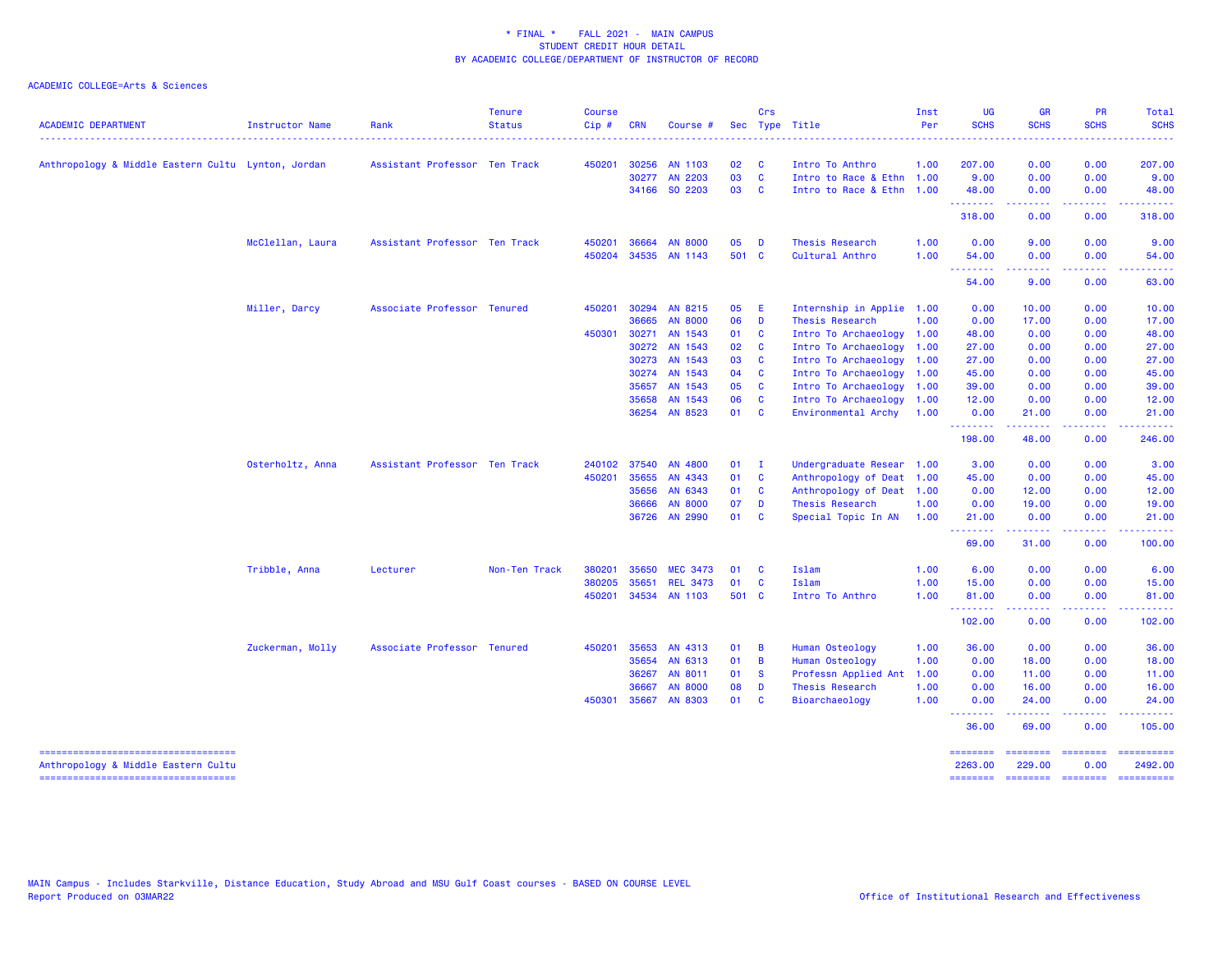| <b>ACADEMIC DEPARTMENT</b>                                                | Instructor Name  | Rank                          | <b>Tenure</b><br><b>Status</b> | Course<br>$Cip$ # | <b>CRN</b> | Course #        |       | Crs          | Sec Type Title            | Inst<br>Per | <b>UG</b><br><b>SCHS</b>                                    | <b>GR</b><br><b>SCHS</b><br>.                                                                                                                                | <b>PR</b><br><b>SCHS</b><br><b>.</b>                                                                                              | Total<br><b>SCHS</b><br>.           |
|---------------------------------------------------------------------------|------------------|-------------------------------|--------------------------------|-------------------|------------|-----------------|-------|--------------|---------------------------|-------------|-------------------------------------------------------------|--------------------------------------------------------------------------------------------------------------------------------------------------------------|-----------------------------------------------------------------------------------------------------------------------------------|-------------------------------------|
| Anthropology & Middle Eastern Cultu Lynton, Jordan                        |                  | Assistant Professor Ten Track |                                | 450201            |            | 30256 AN 1103   | 02    | C            | Intro To Anthro           | 1.00        | 207.00                                                      | 0.00                                                                                                                                                         | 0.00                                                                                                                              | 207.00                              |
|                                                                           |                  |                               |                                |                   |            | 30277 AN 2203   | 03    | C            | Intro to Race & Ethn 1.00 |             | 9.00                                                        | 0.00                                                                                                                                                         | 0.00                                                                                                                              | 9.00                                |
|                                                                           |                  |                               |                                |                   |            | 34166 SO 2203   | 03    | <b>C</b>     | Intro to Race & Ethn 1.00 |             | 48.00<br>.                                                  | 0.00<br>.                                                                                                                                                    | 0.00<br>$\sim$ $\sim$ $\sim$ $\sim$                                                                                               | 48.00<br>222223                     |
|                                                                           |                  |                               |                                |                   |            |                 |       |              |                           |             | 318.00                                                      | 0.00                                                                                                                                                         | 0.00                                                                                                                              | 318.00                              |
|                                                                           | McClellan, Laura | Assistant Professor Ten Track |                                | 450201            | 36664      | <b>AN 8000</b>  | 05    | D            | Thesis Research           | 1.00        | 0.00                                                        | 9.00                                                                                                                                                         | 0.00                                                                                                                              | 9.00                                |
|                                                                           |                  |                               |                                | 450204            |            | 34535 AN 1143   | 501 C |              | Cultural Anthro           | 1.00        | 54.00<br><u> - - - - - - - -</u>                            | 0.00<br>.                                                                                                                                                    | 0.00<br>.                                                                                                                         | 54.00<br>.                          |
|                                                                           |                  |                               |                                |                   |            |                 |       |              |                           |             | 54.00                                                       | 9.00                                                                                                                                                         | 0.00                                                                                                                              | 63.00                               |
|                                                                           | Miller, Darcy    | Associate Professor Tenured   |                                | 450201            | 30294      | AN 8215         | 05    | Æ            | Internship in Applie 1.00 |             | 0.00                                                        | 10.00                                                                                                                                                        | 0.00                                                                                                                              | 10.00                               |
|                                                                           |                  |                               |                                |                   | 36665      | <b>AN 8000</b>  | 06    | D            | Thesis Research           | 1.00        | 0.00                                                        | 17.00                                                                                                                                                        | 0.00                                                                                                                              | 17.00                               |
|                                                                           |                  |                               |                                | 450301            | 30271      | AN 1543         | 01    | <b>C</b>     | Intro To Archaeology 1.00 |             | 48.00                                                       | 0.00                                                                                                                                                         | 0.00                                                                                                                              | 48.00                               |
|                                                                           |                  |                               |                                |                   |            | 30272 AN 1543   | 02    | <b>C</b>     | Intro To Archaeology      | 1.00        | 27.00                                                       | 0.00                                                                                                                                                         | 0.00                                                                                                                              | 27.00                               |
|                                                                           |                  |                               |                                |                   |            | 30273 AN 1543   | 03    | <b>C</b>     | Intro To Archaeology      | 1.00        | 27.00                                                       | 0.00                                                                                                                                                         | 0.00                                                                                                                              | 27.00                               |
|                                                                           |                  |                               |                                |                   | 30274      | AN 1543         | 04    | <b>C</b>     | Intro To Archaeology 1.00 |             | 45.00                                                       | 0.00                                                                                                                                                         | 0.00                                                                                                                              | 45.00                               |
|                                                                           |                  |                               |                                |                   |            | 35657 AN 1543   | 05    | <b>C</b>     | Intro To Archaeology 1.00 |             | 39.00                                                       | 0.00                                                                                                                                                         | 0.00                                                                                                                              | 39.00                               |
|                                                                           |                  |                               |                                |                   | 35658      | AN 1543         | 06    | $\mathbf{C}$ | Intro To Archaeology 1.00 |             | 12.00                                                       | 0.00                                                                                                                                                         | 0.00                                                                                                                              | 12.00                               |
|                                                                           |                  |                               |                                |                   |            | 36254 AN 8523   | 01    | <b>C</b>     | Environmental Archy       | 1.00        | 0.00<br><b>.</b>                                            | 21.00<br><b>.</b>                                                                                                                                            | 0.00<br>$\frac{1}{2} \left( \frac{1}{2} \right) \left( \frac{1}{2} \right) \left( \frac{1}{2} \right) \left( \frac{1}{2} \right)$ | 21.00<br>.                          |
|                                                                           |                  |                               |                                |                   |            |                 |       |              |                           |             | 198.00                                                      | 48.00                                                                                                                                                        | 0.00                                                                                                                              | 246.00                              |
|                                                                           | Osterholtz, Anna | Assistant Professor Ten Track |                                | 240102            | 37540      | AN 4800         | 01    | $\mathbf{I}$ | Undergraduate Resear 1.00 |             | 3.00                                                        | 0.00                                                                                                                                                         | 0.00                                                                                                                              | 3.00                                |
|                                                                           |                  |                               |                                | 450201            | 35655      | AN 4343         | 01    | $\mathbf{C}$ | Anthropology of Deat 1.00 |             | 45.00                                                       | 0.00                                                                                                                                                         | 0.00                                                                                                                              | 45.00                               |
|                                                                           |                  |                               |                                |                   | 35656      | AN 6343         | 01    | $\mathbf{C}$ | Anthropology of Deat 1.00 |             | 0.00                                                        | 12.00                                                                                                                                                        | 0.00                                                                                                                              | 12.00                               |
|                                                                           |                  |                               |                                |                   | 36666      | <b>AN 8000</b>  | 07    | D            | Thesis Research           | 1.00        | 0.00                                                        | 19.00                                                                                                                                                        | 0.00                                                                                                                              | 19.00                               |
|                                                                           |                  |                               |                                |                   | 36726      | AN 2990         | 01    | $\mathbf{C}$ | Special Topic In AN       | 1.00        | 21.00                                                       | 0.00                                                                                                                                                         | 0.00                                                                                                                              | 21.00                               |
|                                                                           |                  |                               |                                |                   |            |                 |       |              |                           |             | <b></b><br>69.00                                            | $\omega = \omega \left( \omega \right) \omega$<br>31.00                                                                                                      | .<br>0.00                                                                                                                         | المتمام<br>100.00                   |
|                                                                           | Tribble, Anna    | Lecturer                      | Non-Ten Track                  | 380201            | 35650      | <b>MEC 3473</b> | 01    | <b>C</b>     | Islam                     | 1.00        | 6.00                                                        | 0.00                                                                                                                                                         | 0.00                                                                                                                              | 6.00                                |
|                                                                           |                  |                               |                                | 380205            | 35651      | <b>REL 3473</b> | 01    | C            | <b>Islam</b>              | 1.00        | 15.00                                                       | 0.00                                                                                                                                                         | 0.00                                                                                                                              | 15.00                               |
|                                                                           |                  |                               |                                | 450201            |            | 34534 AN 1103   | 501 C |              | Intro To Anthro           | 1.00        | 81.00<br><b><i><u><u><b>a</b></u></u> a a a a a a a</i></b> | 0.00<br>$\frac{1}{2} \left( \frac{1}{2} \right) \left( \frac{1}{2} \right) \left( \frac{1}{2} \right) \left( \frac{1}{2} \right) \left( \frac{1}{2} \right)$ | 0.00<br>.                                                                                                                         | 81.00<br>.                          |
|                                                                           |                  |                               |                                |                   |            |                 |       |              |                           |             | 102.00                                                      | 0.00                                                                                                                                                         | 0.00                                                                                                                              | 102.00                              |
|                                                                           | Zuckerman, Molly | Associate Professor Tenured   |                                | 450201            | 35653      | AN 4313         | 01    | B            | Human Osteology           | 1.00        | 36.00                                                       | 0.00                                                                                                                                                         | 0.00                                                                                                                              | 36.00                               |
|                                                                           |                  |                               |                                |                   | 35654      | AN 6313         | 01    | B            | Human Osteology           | 1.00        | 0.00                                                        | 18.00                                                                                                                                                        | 0.00                                                                                                                              | 18.00                               |
|                                                                           |                  |                               |                                |                   | 36267      | AN 8011         | 01    | <b>S</b>     | Professn Applied Ant      | 1.00        | 0.00                                                        | 11.00                                                                                                                                                        | 0.00                                                                                                                              | 11.00                               |
|                                                                           |                  |                               |                                |                   | 36667      | <b>AN 8000</b>  | 08    | D            | Thesis Research           | 1.00        | 0.00                                                        | 16.00                                                                                                                                                        | 0.00                                                                                                                              | 16.00                               |
|                                                                           |                  |                               |                                | 450301            | 35667      | <b>AN 8303</b>  | 01    | <b>C</b>     | Bioarchaeology            | 1.00        | 0.00<br><u>.</u>                                            | 24.00                                                                                                                                                        | 0.00                                                                                                                              | 24.00                               |
|                                                                           |                  |                               |                                |                   |            |                 |       |              |                           |             | 36.00                                                       | 69.00                                                                                                                                                        | 0.00                                                                                                                              | 105.00                              |
| Anthropology & Middle Eastern Cultu<br>---------------------------------- |                  |                               |                                |                   |            |                 |       |              |                           |             | --------<br>2263.00<br>======== =======                     | ========<br>229.00                                                                                                                                           | eccesses<br>0.00<br>========                                                                                                      | ==========<br>2492.00<br>========== |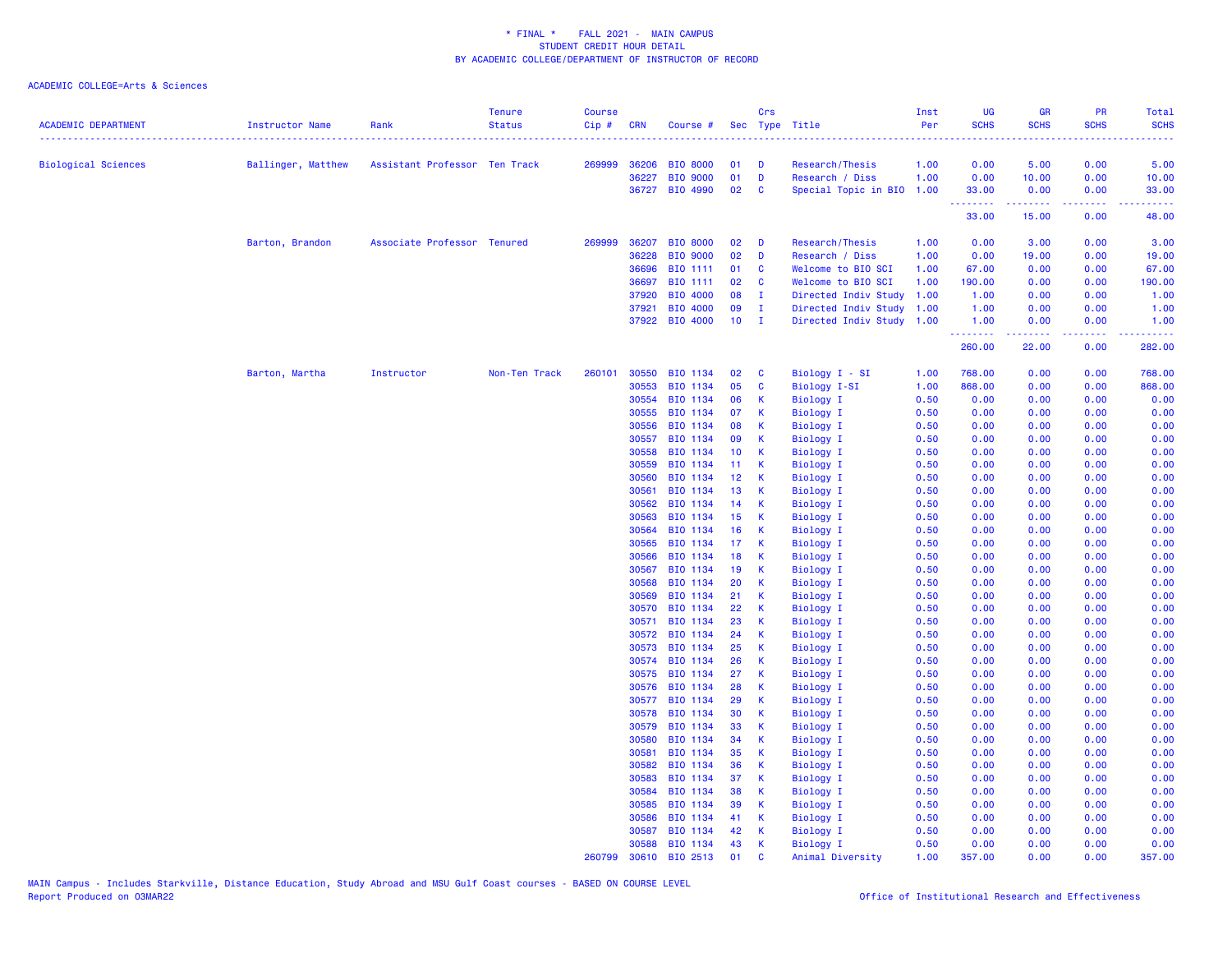| <b>ACADEMIC DEPARTMENT</b> | <b>Instructor Name</b> | Rank                          | <b>Tenure</b><br><b>Status</b> | <b>Course</b><br>Cip# | <b>CRN</b>     | Course #             |                       | Crs          | Sec Type Title                | Inst<br>Per  | UG<br><b>SCHS</b><br>. | <b>GR</b><br><b>SCHS</b> | <b>PR</b><br><b>SCHS</b><br>$\omega$ is a $\omega$ | <b>Total</b><br><b>SCHS</b><br>$\omega$ is $\omega$ in . |
|----------------------------|------------------------|-------------------------------|--------------------------------|-----------------------|----------------|----------------------|-----------------------|--------------|-------------------------------|--------------|------------------------|--------------------------|----------------------------------------------------|----------------------------------------------------------|
| <b>Biological Sciences</b> | Ballinger, Matthew     | Assistant Professor Ten Track |                                |                       | 269999 36206   | <b>BIO 8000</b>      | 01                    | D            | Research/Thesis               | 1.00         | 0.00                   | 5.00                     | 0.00                                               | 5.00                                                     |
|                            |                        |                               |                                |                       | 36227          | <b>BIO 9000</b>      | 01                    | D            | Research / Diss               | 1.00         | 0.00                   | 10.00                    | 0.00                                               | 10.00                                                    |
|                            |                        |                               |                                |                       | 36727          | BIO 4990             | 02                    | C            | Special Topic in BIO 1.00     |              | 33.00                  | 0.00                     | 0.00                                               | 33.00                                                    |
|                            |                        |                               |                                |                       |                |                      |                       |              |                               |              | .<br>33.00             | المتمامين<br>15.00       | الأبالات<br>0.00                                   | $\omega_{\rm c}$ and $\omega_{\rm c}$<br>48.00           |
|                            | Barton, Brandon        | Associate Professor Tenured   |                                | 269999                | 36207          | <b>BIO 8000</b>      | 02                    | D            | Research/Thesis               | 1.00         | 0.00                   | 3.00                     | 0.00                                               | 3.00                                                     |
|                            |                        |                               |                                |                       | 36228          | <b>BIO 9000</b>      | 02                    | D            | Research / Diss               | 1.00         | 0.00                   | 19.00                    | 0.00                                               | 19.00                                                    |
|                            |                        |                               |                                |                       | 36696          | <b>BIO 1111</b>      | 01                    | C            | Welcome to BIO SCI            | 1.00         | 67.00                  | 0.00                     | 0.00                                               | 67.00                                                    |
|                            |                        |                               |                                |                       | 36697          | <b>BIO 1111</b>      | 02                    | C            | Welcome to BIO SCI            | 1.00         | 190.00                 | 0.00                     | 0.00                                               | 190.00                                                   |
|                            |                        |                               |                                |                       | 37920          | BIO 4000             | 08                    | $\mathbf{I}$ | Directed Indiv Study          | 1.00         | 1.00                   | 0.00                     | 0.00                                               | 1.00                                                     |
|                            |                        |                               |                                |                       | 37921          | BIO 4000             | 09                    | $\mathbf{I}$ | Directed Indiv Study          | 1.00         | 1.00                   | 0.00                     | 0.00                                               | 1.00                                                     |
|                            |                        |                               |                                |                       |                | 37922 BIO 4000       | 10 <sub>1</sub>       | $\mathbf{I}$ | Directed Indiv Study 1.00     |              | 1.00<br>.              | 0.00<br>.                | 0.00<br>.                                          | 1.00<br>المتمامين                                        |
|                            |                        |                               |                                |                       |                |                      |                       |              |                               |              | 260.00                 | 22.00                    | 0.00                                               | 282.00                                                   |
|                            | Barton, Martha         | Instructor                    | Non-Ten Track                  | 260101                | 30550          | BIO 1134             | 02                    | C            | Biology I - SI                | 1.00         | 768,00                 | 0.00                     | 0.00                                               | 768.00                                                   |
|                            |                        |                               |                                |                       | 30553          | BIO 1134             | 05                    | C            | Biology I-SI                  | 1.00         | 868.00                 | 0.00                     | 0.00                                               | 868.00                                                   |
|                            |                        |                               |                                |                       | 30554          | BIO 1134             | 06                    | К            | <b>Biology I</b>              | 0.50         | 0.00                   | 0.00                     | 0.00                                               | 0.00                                                     |
|                            |                        |                               |                                |                       | 30555          | BIO 1134             | 07                    | K            | Biology I                     | 0.50         | 0.00                   | 0.00                     | 0.00                                               | 0.00                                                     |
|                            |                        |                               |                                |                       | 30556          | BIO 1134             | 08                    | K            | <b>Biology I</b>              | 0.50         | 0.00                   | 0.00                     | 0.00                                               | 0.00                                                     |
|                            |                        |                               |                                |                       | 30557          | BIO 1134             | 09                    | K            | <b>Biology I</b>              | 0.50         | 0.00                   | 0.00                     | 0.00                                               | 0.00                                                     |
|                            |                        |                               |                                |                       | 30558          | BIO 1134             | 10 <sup>°</sup>       | К            | Biology I                     | 0.50         | 0.00                   | 0.00                     | 0.00                                               | 0.00                                                     |
|                            |                        |                               |                                |                       | 30559          | BIO 1134             | 11                    | К            | Biology I                     | 0.50         | 0.00                   | 0.00                     | 0.00                                               | 0.00                                                     |
|                            |                        |                               |                                |                       | 30560          | BIO 1134             | 12                    | К            | <b>Biology I</b>              | 0.50         | 0.00                   | 0.00                     | 0.00                                               | 0.00                                                     |
|                            |                        |                               |                                |                       | 30561          | BIO 1134             | 13                    | K            | <b>Biology I</b>              | 0.50         | 0.00                   | 0.00                     | 0.00                                               | 0.00                                                     |
|                            |                        |                               |                                |                       | 30562          | BIO 1134             | 14                    | К            | Biology I                     | 0.50         | 0.00                   | 0.00                     | 0.00                                               | 0.00                                                     |
|                            |                        |                               |                                |                       | 30563          | BIO 1134             | 15                    | К            | Biology I                     | 0.50         | 0.00                   | 0.00                     | 0.00                                               | 0.00                                                     |
|                            |                        |                               |                                |                       | 30564          | BIO 1134             | 16                    | K            | <b>Biology I</b>              | 0.50         | 0.00                   | 0.00                     | 0.00                                               | 0.00                                                     |
|                            |                        |                               |                                |                       | 30565<br>30566 | BIO 1134<br>BIO 1134 | 17 <sub>2</sub><br>18 | K<br>K       | <b>Biology I</b>              | 0.50<br>0.50 | 0.00<br>0.00           | 0.00<br>0.00             | 0.00<br>0.00                                       | 0.00<br>0.00                                             |
|                            |                        |                               |                                |                       | 30567          | BIO 1134             | 19                    | K            | Biology I<br><b>Biology I</b> | 0.50         | 0.00                   | 0.00                     | 0.00                                               | 0.00                                                     |
|                            |                        |                               |                                |                       | 30568          | BIO 1134             | 20                    | K            | <b>Biology I</b>              | 0.50         | 0.00                   | 0.00                     | 0.00                                               | 0.00                                                     |
|                            |                        |                               |                                |                       | 30569          | BIO 1134             | 21                    | К            | <b>Biology I</b>              | 0.50         | 0.00                   | 0.00                     | 0.00                                               | 0.00                                                     |
|                            |                        |                               |                                |                       | 30570          | BIO 1134             | 22                    | К            | Biology I                     | 0.50         | 0.00                   | 0.00                     | 0.00                                               | 0.00                                                     |
|                            |                        |                               |                                |                       | 30571          | BIO 1134             | 23                    | K            | <b>Biology I</b>              | 0.50         | 0.00                   | 0.00                     | 0.00                                               | 0.00                                                     |
|                            |                        |                               |                                |                       | 30572          | BIO 1134             | 24                    | K            | <b>Biology I</b>              | 0.50         | 0.00                   | 0.00                     | 0.00                                               | 0.00                                                     |
|                            |                        |                               |                                |                       | 30573          | BIO 1134             | 25                    | K            | <b>Biology I</b>              | 0.50         | 0.00                   | 0.00                     | 0.00                                               | 0.00                                                     |
|                            |                        |                               |                                |                       | 30574          | BIO 1134             | 26                    | K            | Biology I                     | 0.50         | 0.00                   | 0.00                     | 0.00                                               | 0.00                                                     |
|                            |                        |                               |                                |                       | 30575          | BIO 1134             | 27                    | К            | Biology I                     | 0.50         | 0.00                   | 0.00                     | 0.00                                               | 0.00                                                     |
|                            |                        |                               |                                |                       | 30576          | BIO 1134             | 28                    | K            | <b>Biology I</b>              | 0.50         | 0.00                   | 0.00                     | 0.00                                               | 0.00                                                     |
|                            |                        |                               |                                |                       | 30577          | BIO 1134             | 29                    | K            | <b>Biology I</b>              | 0.50         | 0.00                   | 0.00                     | 0.00                                               | 0.00                                                     |
|                            |                        |                               |                                |                       | 30578          | BIO 1134             | 30                    | К            | <b>Biology I</b>              | 0.50         | 0.00                   | 0.00                     | 0.00                                               | 0.00                                                     |
|                            |                        |                               |                                |                       | 30579          | BIO 1134             | 33                    | К            | <b>Biology I</b>              | 0.50         | 0.00                   | 0.00                     | 0.00                                               | 0.00                                                     |
|                            |                        |                               |                                |                       | 30580          | BIO 1134             | 34                    | К            | Biology I                     | 0.50         | 0.00                   | 0.00                     | 0.00                                               | 0.00                                                     |
|                            |                        |                               |                                |                       | 30581          | BIO 1134             | 35                    | K            | <b>Biology I</b>              | 0.50         | 0.00                   | 0.00                     | 0.00                                               | 0.00                                                     |
|                            |                        |                               |                                |                       | 30582          | BIO 1134             | 36                    | К            | Biology I                     | 0.50         | 0.00                   | 0.00                     | 0.00                                               | 0.00                                                     |
|                            |                        |                               |                                |                       | 30583          | BIO 1134             | 37                    | К            | Biology I                     | 0.50         | 0.00                   | 0.00                     | 0.00                                               | 0.00                                                     |
|                            |                        |                               |                                |                       | 30584          | BIO 1134             | 38                    | К            | Biology I                     | 0.50         | 0.00                   | 0.00                     | 0.00                                               | 0.00                                                     |
|                            |                        |                               |                                |                       | 30585          | BIO 1134             | 39                    | K            | <b>Biology I</b>              | 0.50         | 0.00                   | 0.00                     | 0.00                                               | 0.00                                                     |
|                            |                        |                               |                                |                       | 30586          | BIO 1134             | 41                    | К            | Biology I                     | 0.50         | 0.00                   | 0.00                     | 0.00                                               | 0.00                                                     |
|                            |                        |                               |                                |                       | 30587          | BIO 1134             | 42                    | K            | Biology I                     | 0.50         | 0.00                   | 0.00                     | 0.00                                               | 0.00                                                     |
|                            |                        |                               |                                |                       | 30588          | BIO 1134             | 43                    | $\mathsf{K}$ | Biology I                     | 0.50         | 0.00                   | 0.00                     | 0.00                                               | 0.00                                                     |
|                            |                        |                               |                                | 260799                | 30610          | BIO 2513             | 01                    | $\mathbf{C}$ | Animal Diversity              | 1.00         | 357.00                 | 0.00                     | 0.00                                               | 357.00                                                   |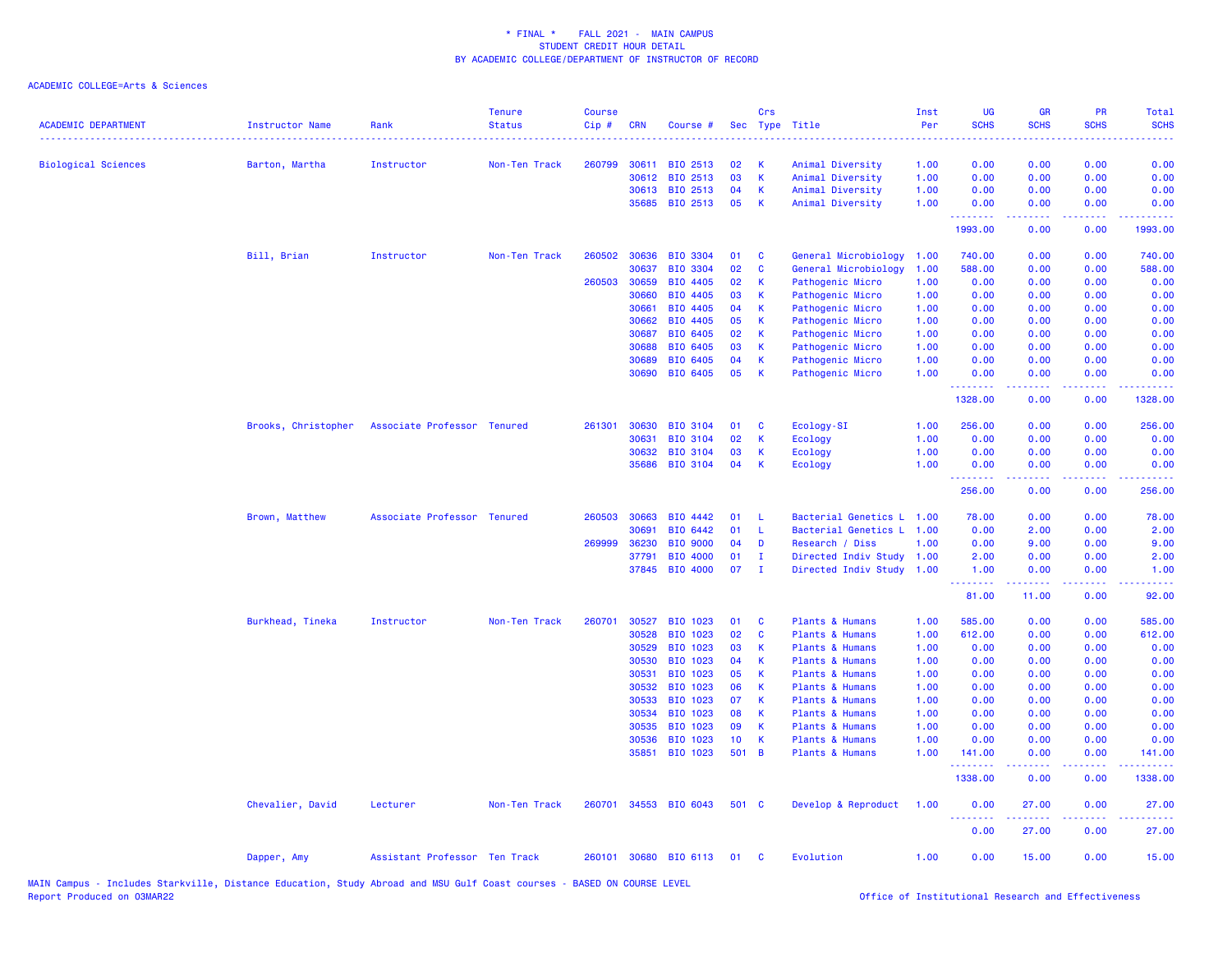| <b>ACADEMIC DEPARTMENT</b> | <b>Instructor Name</b> | Rank                          | <b>Tenure</b><br><b>Status</b> | <b>Course</b><br>Cip# | <b>CRN</b>     | Course #              | Sec      | Crs          | Type Title                           | Inst<br>Per  | UG<br><b>SCHS</b>  | <b>GR</b><br><b>SCHS</b>                                                                                                                                     | PR<br><b>SCHS</b>                                                                                      | <b>Total</b><br><b>SCHS</b> |
|----------------------------|------------------------|-------------------------------|--------------------------------|-----------------------|----------------|-----------------------|----------|--------------|--------------------------------------|--------------|--------------------|--------------------------------------------------------------------------------------------------------------------------------------------------------------|--------------------------------------------------------------------------------------------------------|-----------------------------|
| <b>Biological Sciences</b> | Barton, Martha         | Instructor                    | Non-Ten Track                  | 260799                | 30611          | BIO 2513              | 02       | К            | Animal Diversity                     | 1.00         | 0.00               | 0.00                                                                                                                                                         | 0.00                                                                                                   | 0.00                        |
|                            |                        |                               |                                |                       | 30612          | BIO 2513              | 03       | $\mathsf{K}$ | Animal Diversity                     | 1.00         | 0.00               | 0.00                                                                                                                                                         | 0.00                                                                                                   | 0.00                        |
|                            |                        |                               |                                |                       | 30613          | BIO 2513              | 04       | К            | Animal Diversity                     | 1.00         | 0.00               | 0.00                                                                                                                                                         | 0.00                                                                                                   | 0.00                        |
|                            |                        |                               |                                |                       | 35685          | BIO 2513              | 05       | К            | Animal Diversity                     | 1.00         | 0.00<br>.          | 0.00<br>.                                                                                                                                                    | 0.00<br>$\frac{1}{2} \left( \frac{1}{2} \right) \left( \frac{1}{2} \right) \left( \frac{1}{2} \right)$ | 0.00<br>$- - - - -$         |
|                            |                        |                               |                                |                       |                |                       |          |              |                                      |              | 1993.00            | 0.00                                                                                                                                                         | 0.00                                                                                                   | 1993.00                     |
|                            | Bill, Brian            | Instructor                    | Non-Ten Track                  | 260502                | 30636          | <b>BIO 3304</b>       | 01       | C            | General Microbiology                 | 1.00         | 740.00             | 0.00                                                                                                                                                         | 0.00                                                                                                   | 740.00                      |
|                            |                        |                               |                                |                       | 30637          | <b>BIO 3304</b>       | 02       | $\mathbf{c}$ | General Microbiology                 | 1.00         | 588.00             | 0.00                                                                                                                                                         | 0.00                                                                                                   | 588.00                      |
|                            |                        |                               |                                | 260503                | 30659          | BIO 4405              | 02       | К            | Pathogenic Micro                     | 1.00         | 0.00               | 0.00                                                                                                                                                         | 0.00                                                                                                   | 0.00                        |
|                            |                        |                               |                                |                       | 30660          | BIO 4405              | 03       | К            | Pathogenic Micro                     | 1.00         | 0.00               | 0.00                                                                                                                                                         | 0.00                                                                                                   | 0.00                        |
|                            |                        |                               |                                |                       | 30661          | BIO 4405              | 04       | K            | Pathogenic Micro                     | 1.00         | 0.00               | 0.00                                                                                                                                                         | 0.00                                                                                                   | 0.00                        |
|                            |                        |                               |                                |                       | 30662          | BIO 4405              | 05       | K            | Pathogenic Micro                     | 1.00         | 0.00               | 0.00                                                                                                                                                         | 0.00                                                                                                   | 0.00                        |
|                            |                        |                               |                                |                       | 30687          | BIO 6405              | 02       | K            | Pathogenic Micro                     | 1.00         | 0.00               | 0.00                                                                                                                                                         | 0.00                                                                                                   | 0.00                        |
|                            |                        |                               |                                |                       | 30688          | BIO 6405              | 03       | К            | Pathogenic Micro                     | 1.00         | 0.00               | 0.00                                                                                                                                                         | 0.00                                                                                                   | 0.00                        |
|                            |                        |                               |                                |                       | 30689<br>30690 | BIO 6405<br>BIO 6405  | 04<br>05 | K<br>K       | Pathogenic Micro<br>Pathogenic Micro | 1.00<br>1.00 | 0.00<br>0.00       | 0.00<br>0.00                                                                                                                                                 | 0.00<br>0.00                                                                                           | 0.00<br>0.00                |
|                            |                        |                               |                                |                       |                |                       |          |              |                                      |              | .<br>1328.00       | 0.00                                                                                                                                                         | 0.00                                                                                                   | 1328.00                     |
|                            | Brooks, Christopher    | Associate Professor Tenured   |                                | 261301                | 30630          | <b>BIO 3104</b>       | 01       | C            | Ecology-SI                           | 1.00         | 256.00             | 0.00                                                                                                                                                         | 0.00                                                                                                   | 256.00                      |
|                            |                        |                               |                                |                       | 30631          | <b>BIO 3104</b>       | 02       | К            | Ecology                              | 1.00         | 0.00               | 0.00                                                                                                                                                         | 0.00                                                                                                   | 0.00                        |
|                            |                        |                               |                                |                       | 30632          | <b>BIO 3104</b>       | 03       | K            | Ecology                              | 1.00         | 0.00               | 0.00                                                                                                                                                         | 0.00                                                                                                   | 0.00                        |
|                            |                        |                               |                                |                       | 35686          | BIO 3104              | 04       | К            | Ecology                              | 1.00         | 0.00               | 0.00                                                                                                                                                         | 0.00                                                                                                   | 0.00                        |
|                            |                        |                               |                                |                       |                |                       |          |              |                                      |              | .                  | .                                                                                                                                                            | $\frac{1}{2}$                                                                                          |                             |
|                            |                        |                               |                                |                       |                |                       |          |              |                                      |              | 256.00             | 0.00                                                                                                                                                         | 0.00                                                                                                   | 256.00                      |
|                            | Brown, Matthew         | Associate Professor Tenured   |                                | 260503                | 30663          | BIO 4442              | 01       | -L           | Bacterial Genetics L                 | 1.00         | 78.00              | 0.00                                                                                                                                                         | 0.00                                                                                                   | 78.00                       |
|                            |                        |                               |                                |                       | 30691          | BIO 6442              | 01       | L            | Bacterial Genetics L                 | 1.00         | 0.00               | 2.00                                                                                                                                                         | 0.00                                                                                                   | 2.00                        |
|                            |                        |                               |                                | 269999                | 36230          | <b>BIO 9000</b>       | 04       | D            | Research / Diss                      | 1.00         | 0.00               | 9.00                                                                                                                                                         | 0.00                                                                                                   | 9.00                        |
|                            |                        |                               |                                |                       | 37791          | BIO 4000              | 01       | $\mathbf{I}$ | Directed Indiv Study                 | 1.00         | 2.00               | 0.00                                                                                                                                                         | 0.00                                                                                                   | 2.00                        |
|                            |                        |                               |                                |                       | 37845          | <b>BIO 4000</b>       | 07       | $\mathbf I$  | Directed Indiv Study                 | 1.00         | 1.00<br>. <b>.</b> | 0.00<br>$\frac{1}{2} \left( \frac{1}{2} \right) \left( \frac{1}{2} \right) \left( \frac{1}{2} \right) \left( \frac{1}{2} \right) \left( \frac{1}{2} \right)$ | 0.00<br>.                                                                                              | 1.00<br>.                   |
|                            |                        |                               |                                |                       |                |                       |          |              |                                      |              | 81.00              | 11.00                                                                                                                                                        | 0.00                                                                                                   | 92.00                       |
|                            | Burkhead, Tineka       | Instructor                    | Non-Ten Track                  | 260701                | 30527          | BIO 1023              | 01       | C            | Plants & Humans                      | 1.00         | 585.00             | 0.00                                                                                                                                                         | 0.00                                                                                                   | 585.00                      |
|                            |                        |                               |                                |                       | 30528          | BIO 1023              | 02       | C            | Plants & Humans                      | 1.00         | 612.00             | 0.00                                                                                                                                                         | 0.00                                                                                                   | 612.00                      |
|                            |                        |                               |                                |                       | 30529<br>30530 | BIO 1023<br>BIO 1023  | 03<br>04 | K<br>K       | Plants & Humans<br>Plants & Humans   | 1.00         | 0.00<br>0.00       | 0.00<br>0.00                                                                                                                                                 | 0.00<br>0.00                                                                                           | 0.00<br>0.00                |
|                            |                        |                               |                                |                       | 30531          | BIO 1023              | 05       | К            | Plants & Humans                      | 1.00<br>1.00 | 0.00               | 0.00                                                                                                                                                         | 0.00                                                                                                   | 0.00                        |
|                            |                        |                               |                                |                       | 30532          | BIO 1023              | 06       | K            | Plants & Humans                      | 1.00         | 0.00               | 0.00                                                                                                                                                         | 0.00                                                                                                   | 0.00                        |
|                            |                        |                               |                                |                       | 30533          | BIO 1023              | 07       | K            | Plants & Humans                      | 1.00         | 0.00               | 0.00                                                                                                                                                         | 0.00                                                                                                   | 0.00                        |
|                            |                        |                               |                                |                       | 30534          | BIO 1023              | 08       | K            | Plants & Humans                      | 1.00         | 0.00               | 0.00                                                                                                                                                         | 0.00                                                                                                   | 0.00                        |
|                            |                        |                               |                                |                       | 30535          | BIO 1023              | 09       | K            | Plants & Humans                      | 1.00         | 0.00               | 0.00                                                                                                                                                         | 0.00                                                                                                   | 0.00                        |
|                            |                        |                               |                                |                       | 30536          | BIO 1023              | 10       | K            | Plants & Humans                      | 1.00         | 0.00               | 0.00                                                                                                                                                         | 0.00                                                                                                   | 0.00                        |
|                            |                        |                               |                                |                       | 35851          | BIO 1023              | 501 B    |              | Plants & Humans                      | 1.00         | 141.00             | 0.00                                                                                                                                                         | 0.00                                                                                                   | 141.00                      |
|                            |                        |                               |                                |                       |                |                       |          |              |                                      |              | 1338.00            | 0.00                                                                                                                                                         | 0.00                                                                                                   | 1338.00                     |
|                            | Chevalier, David       | Lecturer                      | Non-Ten Track                  |                       |                | 260701 34553 BIO 6043 | 501 C    |              | Develop & Reproduct                  | 1.00         | 0.00<br><u>.</u>   | 27.00                                                                                                                                                        | 0.00                                                                                                   | 27.00                       |
|                            |                        |                               |                                |                       |                |                       |          |              |                                      |              | 0.00               | .<br>27.00                                                                                                                                                   | .<br>0.00                                                                                              | 27.00                       |
|                            | Dapper, Amy            | Assistant Professor Ten Track |                                |                       |                | 260101 30680 BIO 6113 | 01       | - C          | Evolution                            | 1.00         | 0.00               | 15.00                                                                                                                                                        | 0.00                                                                                                   | 15.00                       |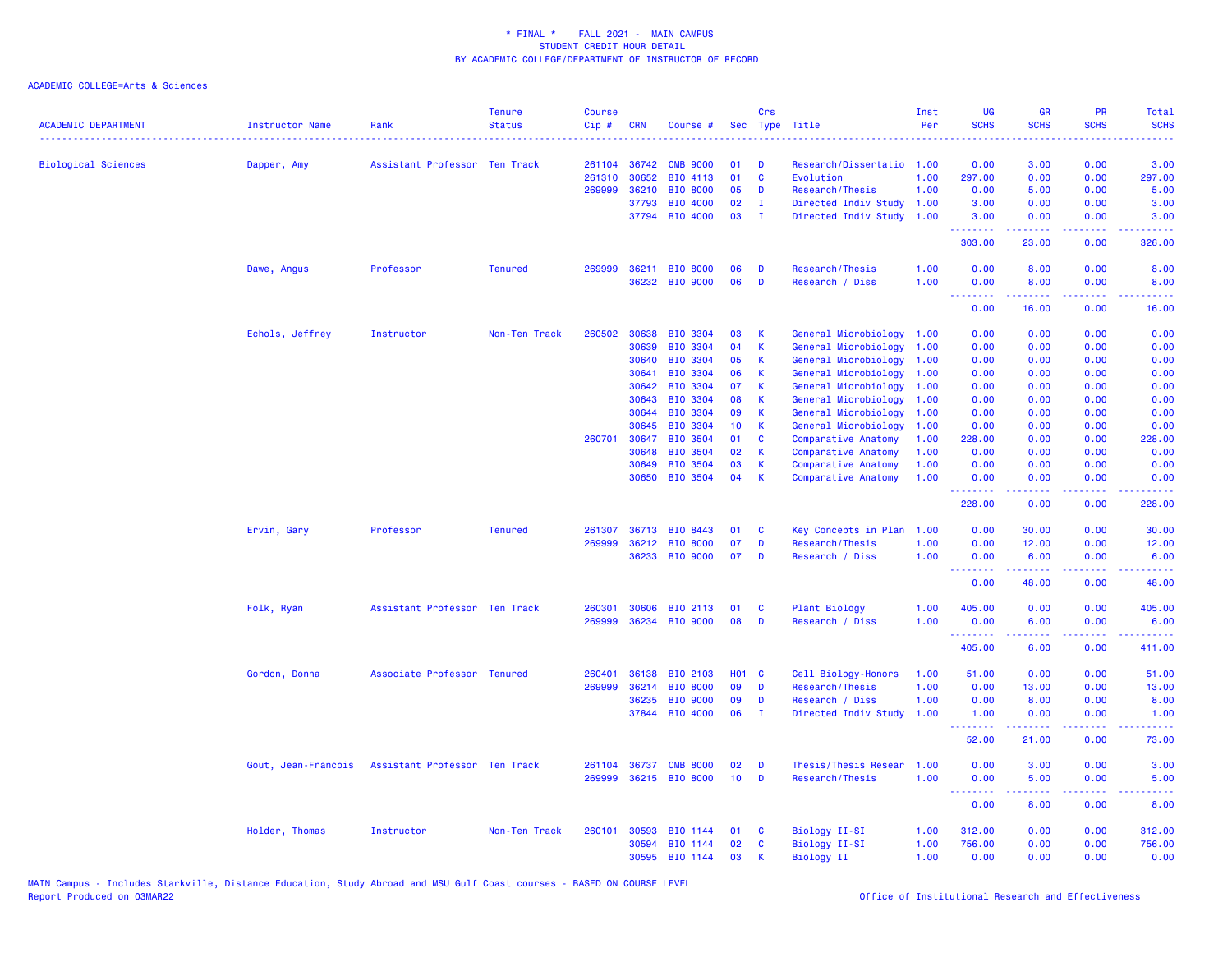| <b>ACADEMIC DEPARTMENT</b> | <b>Instructor Name</b> | Rank                          | <b>Tenure</b><br><b>Status</b> | <b>Course</b><br>Cip# | <b>CRN</b>     | Course #                           | Sec          | Crs          | Type Title                                 | Inst<br>Per  | UG<br><b>SCHS</b>                     | <b>GR</b><br><b>SCHS</b>                                                                                                                                     | PR<br><b>SCHS</b>                                                                                      | Total<br><b>SCHS</b>                                                                                                              |
|----------------------------|------------------------|-------------------------------|--------------------------------|-----------------------|----------------|------------------------------------|--------------|--------------|--------------------------------------------|--------------|---------------------------------------|--------------------------------------------------------------------------------------------------------------------------------------------------------------|--------------------------------------------------------------------------------------------------------|-----------------------------------------------------------------------------------------------------------------------------------|
| <b>Biological Sciences</b> | Dapper, Amy            | Assistant Professor Ten Track |                                | 261104                | 36742          | <b>CMB 9000</b>                    | 01           | D            | Research/Dissertatio 1.00                  |              | 0.00                                  | 3.00                                                                                                                                                         | 0.00                                                                                                   | 3.00                                                                                                                              |
|                            |                        |                               |                                | 261310                | 30652          | BIO 4113                           | 01           | $\mathbf{C}$ | Evolution                                  | 1.00         | 297.00                                | 0.00                                                                                                                                                         | 0.00                                                                                                   | 297.00                                                                                                                            |
|                            |                        |                               |                                | 269999                | 36210          | <b>BIO 8000</b>                    | 05           | D            | Research/Thesis                            | 1.00         | 0.00                                  | 5.00                                                                                                                                                         | 0.00                                                                                                   | 5.00                                                                                                                              |
|                            |                        |                               |                                |                       | 37793          | <b>BIO 4000</b>                    | 02           | п.           | Directed Indiv Study 1.00                  |              | 3.00                                  | 0.00                                                                                                                                                         | 0.00                                                                                                   | 3.00                                                                                                                              |
|                            |                        |                               |                                |                       | 37794          | BIO 4000                           | 03           | - I          | Directed Indiv Study                       | 1.00         | 3.00<br>.                             | 0.00                                                                                                                                                         | 0.00<br>$  -$                                                                                          | 3.00                                                                                                                              |
|                            |                        |                               |                                |                       |                |                                    |              |              |                                            |              | 303.00                                | 23.00                                                                                                                                                        | 0.00                                                                                                   | 326.00                                                                                                                            |
|                            | Dawe, Angus            | Professor                     | <b>Tenured</b>                 | 269999                |                | 36211 BIO 8000                     | 06           | D            | Research/Thesis                            | 1.00         | 0.00                                  | 8.00                                                                                                                                                         | 0.00                                                                                                   | 8.00                                                                                                                              |
|                            |                        |                               |                                |                       |                | 36232 BIO 9000                     | 06           | D            | Research / Diss                            | 1.00         | 0.00<br>.                             | 8.00<br>$\frac{1}{2} \left( \frac{1}{2} \right) \left( \frac{1}{2} \right) \left( \frac{1}{2} \right) \left( \frac{1}{2} \right) \left( \frac{1}{2} \right)$ | 0.00<br>.                                                                                              | 8.00<br>$\frac{1}{2} \left( \frac{1}{2} \right) \left( \frac{1}{2} \right) \left( \frac{1}{2} \right) \left( \frac{1}{2} \right)$ |
|                            |                        |                               |                                |                       |                |                                    |              |              |                                            |              | 0.00                                  | 16.00                                                                                                                                                        | 0.00                                                                                                   | 16.00                                                                                                                             |
|                            | Echols, Jeffrey        | Instructor                    | Non-Ten Track                  | 260502                | 30638          | <b>BIO 3304</b>                    | 03           | $\mathsf K$  | General Microbiology                       | 1.00         | 0.00                                  | 0.00                                                                                                                                                         | 0.00                                                                                                   | 0.00                                                                                                                              |
|                            |                        |                               |                                |                       | 30639          | <b>BIO 3304</b>                    | 04           | K            | General Microbiology                       | 1.00         | 0.00                                  | 0.00                                                                                                                                                         | 0.00                                                                                                   | 0.00                                                                                                                              |
|                            |                        |                               |                                |                       | 30640          | <b>BIO 3304</b>                    | 05           | K            | General Microbiology                       | 1.00         | 0.00                                  | 0.00                                                                                                                                                         | 0.00                                                                                                   | 0.00                                                                                                                              |
|                            |                        |                               |                                |                       | 30641          | BIO 3304                           | 06           | K            | General Microbiology                       | 1.00         | 0.00                                  | 0.00                                                                                                                                                         | 0.00                                                                                                   | 0.00                                                                                                                              |
|                            |                        |                               |                                |                       | 30642          | <b>BIO 3304</b>                    | 07           | K            | General Microbiology                       | 1.00         | 0.00                                  | 0.00                                                                                                                                                         | 0.00                                                                                                   | 0.00                                                                                                                              |
|                            |                        |                               |                                |                       | 30643          | <b>BIO 3304</b>                    | 08           | К            | General Microbiology                       | 1.00         | 0.00                                  | 0.00                                                                                                                                                         | 0.00                                                                                                   | 0.00                                                                                                                              |
|                            |                        |                               |                                |                       | 30644          | BIO 3304                           | 09           | K            | General Microbiology                       | 1.00         | 0.00                                  | 0.00                                                                                                                                                         | 0.00                                                                                                   | 0.00                                                                                                                              |
|                            |                        |                               |                                |                       | 30645          | <b>BIO 3304</b>                    | 10           | K            | General Microbiology                       | 1.00         | 0.00                                  | 0.00                                                                                                                                                         | 0.00                                                                                                   | 0.00                                                                                                                              |
|                            |                        |                               |                                | 260701                | 30647          | <b>BIO 3504</b>                    | 01           | <b>C</b>     | Comparative Anatomy                        | 1.00         | 228.00                                | 0.00                                                                                                                                                         | 0.00                                                                                                   | 228.00                                                                                                                            |
|                            |                        |                               |                                |                       | 30648          | <b>BIO 3504</b>                    | 02           | K            | Comparative Anatomy                        | 1.00         | 0.00                                  | 0.00                                                                                                                                                         | 0.00                                                                                                   | 0.00                                                                                                                              |
|                            |                        |                               |                                |                       | 30649<br>30650 | <b>BIO 3504</b><br><b>BIO 3504</b> | 03<br>04     | K<br>К       | Comparative Anatomy<br>Comparative Anatomy | 1.00<br>1.00 | 0.00<br>0.00                          | 0.00<br>0.00                                                                                                                                                 | 0.00<br>0.00                                                                                           | 0.00<br>0.00                                                                                                                      |
|                            |                        |                               |                                |                       |                |                                    |              |              |                                            |              | .<br>228.00                           | $\frac{1}{2} \left( \frac{1}{2} \right) \left( \frac{1}{2} \right) \left( \frac{1}{2} \right) \left( \frac{1}{2} \right) \left( \frac{1}{2} \right)$<br>0.00 | .<br>0.00                                                                                              | .<br>228.00                                                                                                                       |
|                            | Ervin, Gary            | Professor                     | <b>Tenured</b>                 | 261307                | 36713          | BIO 8443                           | 01           | <b>C</b>     | Key Concepts in Plan                       | 1.00         | 0.00                                  | 30.00                                                                                                                                                        | 0.00                                                                                                   | 30.00                                                                                                                             |
|                            |                        |                               |                                | 269999                | 36212          | <b>BIO 8000</b>                    | 07           | D            | Research/Thesis                            | 1.00         | 0.00                                  | 12.00                                                                                                                                                        | 0.00                                                                                                   | 12.00                                                                                                                             |
|                            |                        |                               |                                |                       |                | 36233 BIO 9000                     | 07           | D            | Research / Diss                            | 1.00         | 0.00                                  | 6.00                                                                                                                                                         | 0.00                                                                                                   | 6.00                                                                                                                              |
|                            |                        |                               |                                |                       |                |                                    |              |              |                                            |              | <b><i><u>AAAAAAAA</u></i></b><br>0.00 | . <u>.</u><br>48.00                                                                                                                                          | .<br>0.00                                                                                              | .<br>48.00                                                                                                                        |
|                            | Folk, Ryan             | Assistant Professor Ten Track |                                | 260301                | 30606          | <b>BIO 2113</b>                    | 01           | C            | <b>Plant Biology</b>                       | 1.00         | 405.00                                | 0.00                                                                                                                                                         | 0.00                                                                                                   | 405.00                                                                                                                            |
|                            |                        |                               |                                | 269999                |                | 36234 BIO 9000                     | 08           | D            | Research / Diss                            | 1.00         | 0.00                                  | 6.00                                                                                                                                                         | 0.00                                                                                                   | 6.00                                                                                                                              |
|                            |                        |                               |                                |                       |                |                                    |              |              |                                            |              | .<br>405.00                           | <u>.</u><br>6.00                                                                                                                                             | .<br>0.00                                                                                              | وعاعاته عامل<br>411.00                                                                                                            |
|                            | Gordon, Donna          | Associate Professor Tenured   |                                | 260401                | 36138          | <b>BIO 2103</b>                    | <b>HO1 C</b> |              | Cell Biology-Honors                        | 1.00         | 51.00                                 | 0.00                                                                                                                                                         | 0.00                                                                                                   | 51.00                                                                                                                             |
|                            |                        |                               |                                | 269999                | 36214          | <b>BIO 8000</b>                    | 09           | D            | Research/Thesis                            | 1.00         | 0.00                                  | 13.00                                                                                                                                                        | 0.00                                                                                                   | 13.00                                                                                                                             |
|                            |                        |                               |                                |                       | 36235          | <b>BIO 9000</b>                    | 09           | D            | Research / Diss                            | 1.00         | 0.00                                  | 8.00                                                                                                                                                         | 0.00                                                                                                   | 8.00                                                                                                                              |
|                            |                        |                               |                                |                       | 37844          | <b>BIO 4000</b>                    | 06           | T            | Directed Indiv Study                       | 1.00         | 1.00<br><u> - - - - - - - -</u>       | 0.00                                                                                                                                                         | 0.00<br>$\frac{1}{2} \left( \frac{1}{2} \right) \left( \frac{1}{2} \right) \left( \frac{1}{2} \right)$ | 1.00<br>$\frac{1}{2} \left( \frac{1}{2} \right) \left( \frac{1}{2} \right) \left( \frac{1}{2} \right) \left( \frac{1}{2} \right)$ |
|                            |                        |                               |                                |                       |                |                                    |              |              |                                            |              | 52.00                                 | 21.00                                                                                                                                                        | 0.00                                                                                                   | 73.00                                                                                                                             |
|                            | Gout, Jean-Francois    | Assistant Professor Ten Track |                                | 261104                | 36737          | <b>CMB 8000</b>                    | 02           | D            | Thesis/Thesis Resear                       | 1.00         | 0.00                                  | 3.00                                                                                                                                                         | 0.00                                                                                                   | 3.00                                                                                                                              |
|                            |                        |                               |                                | 269999                |                | 36215 BIO 8000                     | 10           | D            | Research/Thesis                            | 1.00         | 0.00<br>$\sim 100$                    | 5.00                                                                                                                                                         | 0.00<br>$\sim 100$                                                                                     | 5.00                                                                                                                              |
|                            |                        |                               |                                |                       |                |                                    |              |              |                                            |              | 0.00                                  | 8.00                                                                                                                                                         | 0.00                                                                                                   | 8.00                                                                                                                              |
|                            | Holder, Thomas         | Instructor                    | Non-Ten Track                  | 260101                | 30593          | BIO 1144                           | 01           | <b>C</b>     | Biology II-SI                              | 1.00         | 312.00                                | 0.00                                                                                                                                                         | 0.00                                                                                                   | 312.00                                                                                                                            |
|                            |                        |                               |                                |                       | 30594          | BIO 1144                           | 02           | C            | <b>Biology II-SI</b>                       | 1.00         | 756.00                                | 0.00                                                                                                                                                         | 0.00                                                                                                   | 756.00                                                                                                                            |
|                            |                        |                               |                                |                       | 30595          | BIO 1144                           | 03           | K            | <b>Biology II</b>                          | 1.00         | 0.00                                  | 0.00                                                                                                                                                         | 0.00                                                                                                   | 0.00                                                                                                                              |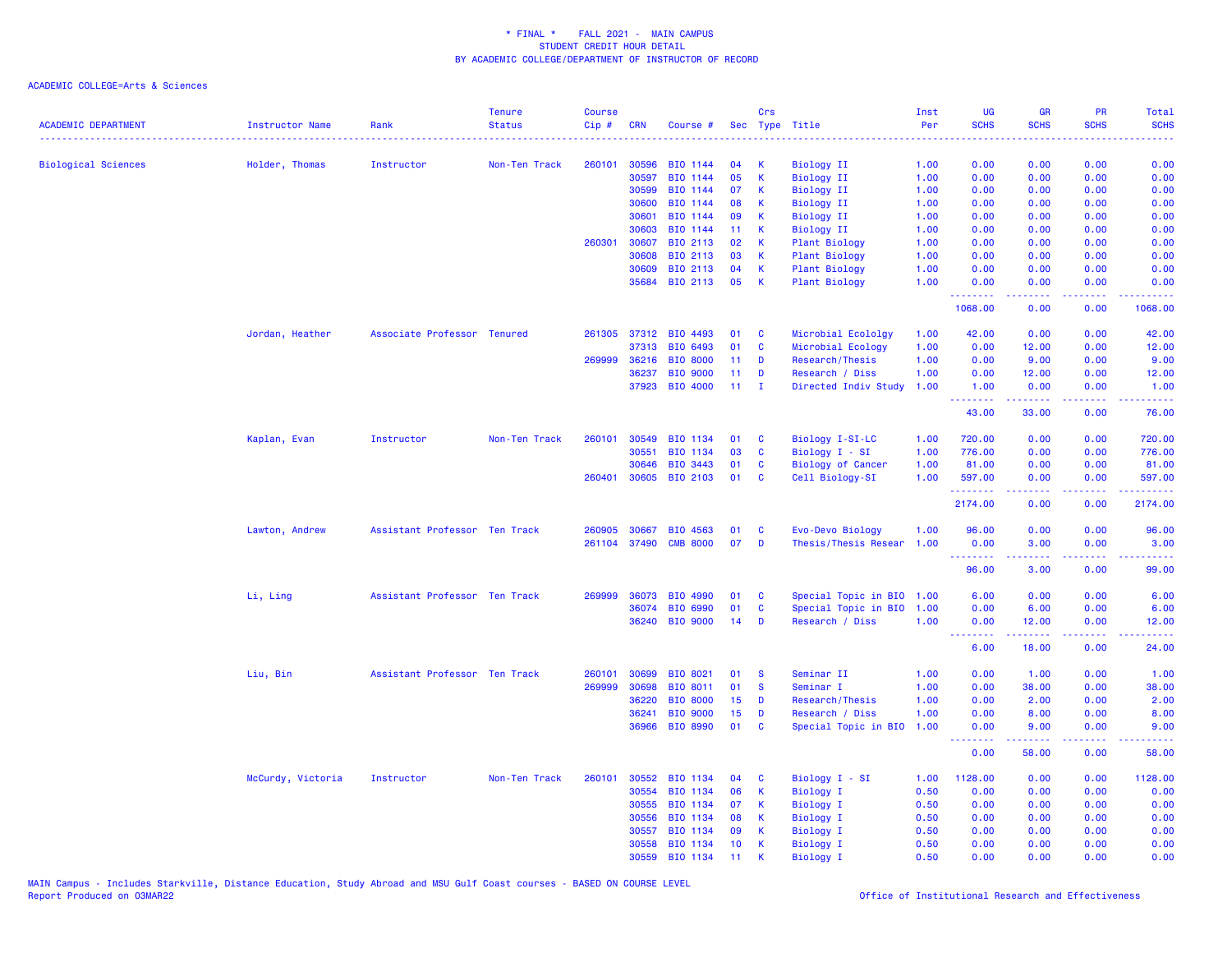| <b>ACADEMIC DEPARTMENT</b> | Instructor Name   | Rank                          | <b>Tenure</b><br><b>Status</b> | <b>Course</b><br>Cip# | <b>CRN</b>   | Course #        |                  | Crs               | Sec Type Title            | Inst<br>Per | <b>UG</b><br><b>SCHS</b> | <b>GR</b><br><b>SCHS</b> | <b>PR</b><br><b>SCHS</b>                                                                               | <b>Total</b><br><b>SCHS</b> |
|----------------------------|-------------------|-------------------------------|--------------------------------|-----------------------|--------------|-----------------|------------------|-------------------|---------------------------|-------------|--------------------------|--------------------------|--------------------------------------------------------------------------------------------------------|-----------------------------|
|                            |                   |                               |                                |                       |              |                 |                  |                   |                           |             |                          |                          |                                                                                                        |                             |
| <b>Biological Sciences</b> | Holder, Thomas    | Instructor                    | Non-Ten Track                  | 260101                | 30596        | BIO 1144        | 04               | K                 | <b>Biology II</b>         | 1.00        | 0.00                     | 0.00                     | 0.00                                                                                                   | 0.00                        |
|                            |                   |                               |                                |                       | 30597        | BIO 1144        | 05               | К                 | <b>Biology II</b>         | 1.00        | 0.00                     | 0.00                     | 0.00                                                                                                   | 0.00                        |
|                            |                   |                               |                                |                       | 30599        | BIO 1144        | 07               | К                 | <b>Biology II</b>         | 1.00        | 0.00                     | 0.00                     | 0.00                                                                                                   | 0.00                        |
|                            |                   |                               |                                |                       | 30600        | BIO 1144        | 08               | K                 | <b>Biology II</b>         | 1.00        | 0.00                     | 0.00                     | 0.00                                                                                                   | 0.00                        |
|                            |                   |                               |                                |                       | 30601        | BIO 1144        | 09               | K                 | <b>Biology II</b>         | 1.00        | 0.00                     | 0.00                     | 0.00                                                                                                   | 0.00                        |
|                            |                   |                               |                                |                       | 30603        | BIO 1144        | 11               | К                 | <b>Biology II</b>         | 1.00        | 0.00                     | 0.00                     | 0.00                                                                                                   | 0.00                        |
|                            |                   |                               |                                | 260301                | 30607        | BIO 2113        | 02               | K                 | Plant Biology             | 1.00        | 0.00                     | 0.00                     | 0.00                                                                                                   | 0.00                        |
|                            |                   |                               |                                |                       | 30608        | BIO 2113        | 03               | K                 | <b>Plant Biology</b>      | 1.00        | 0.00                     | 0.00                     | 0.00                                                                                                   | 0.00                        |
|                            |                   |                               |                                |                       | 30609        | BIO 2113        | 04<br>05         | К<br>$\mathsf{K}$ | Plant Biology             | 1.00        | 0.00                     | 0.00                     | 0.00                                                                                                   | 0.00                        |
|                            |                   |                               |                                |                       | 35684        | BIO 2113        |                  |                   | Plant Biology             | 1.00        | 0.00<br>.                | 0.00<br>.                | 0.00<br>د د د د                                                                                        | 0.00<br>2.2.2.2.2           |
|                            |                   |                               |                                |                       |              |                 |                  |                   |                           |             | 1068.00                  | 0.00                     | 0.00                                                                                                   | 1068.00                     |
|                            | Jordan, Heather   | Associate Professor Tenured   |                                | 261305                | 37312        | BIO 4493        | 01               | C                 | Microbial Ecololgy        | 1.00        | 42.00                    | 0.00                     | 0.00                                                                                                   | 42.00                       |
|                            |                   |                               |                                |                       | 37313        | BIO 6493        | 01               | C                 | Microbial Ecology         | 1.00        | 0.00                     | 12.00                    | 0.00                                                                                                   | 12.00                       |
|                            |                   |                               |                                | 269999                | 36216        | <b>BIO 8000</b> | 11 <sub>1</sub>  | D                 | Research/Thesis           | 1.00        | 0.00                     | 9.00                     | 0.00                                                                                                   | 9.00                        |
|                            |                   |                               |                                |                       | 36237        | <b>BIO 9000</b> | 11               | D                 | Research / Diss           | 1.00        | 0.00                     | 12.00                    | 0.00                                                                                                   | 12.00                       |
|                            |                   |                               |                                |                       | 37923        | <b>BIO 4000</b> | 11 <sub>1</sub>  | $\mathbf{I}$      | Directed Indiv Study      | 1.00        | 1.00<br>.                | 0.00                     | 0.00                                                                                                   | 1.00                        |
|                            |                   |                               |                                |                       |              |                 |                  |                   |                           |             | 43.00                    | 33.00                    | 0.00                                                                                                   | 76.00                       |
|                            | Kaplan, Evan      | Instructor                    | Non-Ten Track                  | 260101                | 30549        | BIO 1134        | 01               | <b>C</b>          | Biology I-SI-LC           | 1.00        | 720.00                   | 0.00                     | 0.00                                                                                                   | 720.00                      |
|                            |                   |                               |                                |                       | 30551        | BIO 1134        | 03               | C                 | Biology I - SI            | 1.00        | 776.00                   | 0.00                     | 0.00                                                                                                   | 776.00                      |
|                            |                   |                               |                                |                       | 30646        | BIO 3443        | 01               | C                 | <b>Biology of Cancer</b>  | 1.00        | 81.00                    | 0.00                     | 0.00                                                                                                   | 81.00                       |
|                            |                   |                               |                                |                       | 260401 30605 | BIO 2103        | 01               | C                 | Cell Biology-SI           | 1.00        | 597.00<br>.              | 0.00                     | 0.00                                                                                                   | 597.00<br>22222             |
|                            |                   |                               |                                |                       |              |                 |                  |                   |                           |             | 2174.00                  | 0.00                     | 0.00                                                                                                   | 2174.00                     |
|                            | Lawton, Andrew    | Assistant Professor Ten Track |                                | 260905                | 30667        | BIO 4563        | 01               | C                 | Evo-Devo Biology          | 1.00        | 96.00                    | 0.00                     | 0.00                                                                                                   | 96.00                       |
|                            |                   |                               |                                |                       | 261104 37490 | <b>CMB 8000</b> | 07               | D                 | Thesis/Thesis Resear      | 1.00        | 0.00                     | 3.00                     | 0.00                                                                                                   | 3.00                        |
|                            |                   |                               |                                |                       |              |                 |                  |                   |                           |             | .                        | .                        | $\frac{1}{2} \left( \frac{1}{2} \right) \left( \frac{1}{2} \right) \left( \frac{1}{2} \right)$         | .                           |
|                            |                   |                               |                                |                       |              |                 |                  |                   |                           |             | 96.00                    | 3.00                     | 0.00                                                                                                   | 99.00                       |
|                            | Li, Ling          | Assistant Professor Ten Track |                                | 269999                | 36073        | BIO 4990        | 01               | C                 | Special Topic in BIO 1.00 |             | 6.00                     | 0.00                     | 0.00                                                                                                   | 6.00                        |
|                            |                   |                               |                                |                       | 36074        | <b>BIO 6990</b> | 01               | C                 | Special Topic in BIO      | 1.00        | 0.00                     | 6.00                     | 0.00                                                                                                   | 6.00                        |
|                            |                   |                               |                                |                       | 36240        | <b>BIO 9000</b> | 14               | D                 | Research / Diss           | 1.00        | 0.00<br><u>.</u>         | 12.00<br>.               | 0.00<br>.                                                                                              | 12.00<br>.                  |
|                            |                   |                               |                                |                       |              |                 |                  |                   |                           |             | 6.00                     | 18.00                    | 0.00                                                                                                   | 24.00                       |
|                            | Liu, Bin          | Assistant Professor Ten Track |                                | 260101                | 30699        | BIO 8021        | 01               | -S                | Seminar II                | 1.00        | 0.00                     | 1.00                     | 0.00                                                                                                   | 1.00                        |
|                            |                   |                               |                                | 269999                | 30698        | BIO 8011        | 01               | <b>S</b>          | Seminar I                 | 1.00        | 0.00                     | 38.00                    | 0.00                                                                                                   | 38.00                       |
|                            |                   |                               |                                |                       | 36220        | <b>BIO 8000</b> | 15               | D                 | Research/Thesis           | 1.00        | 0.00                     | 2.00                     | 0.00                                                                                                   | 2.00                        |
|                            |                   |                               |                                |                       | 36241        | <b>BIO 9000</b> | 15 <sub>15</sub> | D                 | Research / Diss           | 1.00        | 0.00                     | 8.00                     | 0.00                                                                                                   | 8.00                        |
|                            |                   |                               |                                |                       | 36966        | BIO 8990        | 01               | C                 | Special Topic in BIO      | 1.00        | 0.00<br>.                | 9.00<br>.                | 0.00<br>$\frac{1}{2} \left( \frac{1}{2} \right) \left( \frac{1}{2} \right) \left( \frac{1}{2} \right)$ | 9.00                        |
|                            |                   |                               |                                |                       |              |                 |                  |                   |                           |             | 0.00                     | 58.00                    | 0.00                                                                                                   | 58.00                       |
|                            | McCurdy, Victoria | Instructor                    | Non-Ten Track                  | 260101                | 30552        | <b>BIO 1134</b> | 04               | C                 | Biology I - SI            | 1.00        | 1128.00                  | 0.00                     | 0.00                                                                                                   | 1128.00                     |
|                            |                   |                               |                                |                       | 30554        | <b>BIO 1134</b> | 06               | K                 | <b>Biology I</b>          | 0.50        | 0.00                     | 0.00                     | 0.00                                                                                                   | 0.00                        |
|                            |                   |                               |                                |                       | 30555        | BIO 1134        | 07               | K                 | <b>Biology I</b>          | 0.50        | 0.00                     | 0.00                     | 0.00                                                                                                   | 0.00                        |
|                            |                   |                               |                                |                       | 30556        | BIO 1134        | 08               | K                 | <b>Biology I</b>          | 0.50        | 0.00                     | 0.00                     | 0.00                                                                                                   | 0.00                        |
|                            |                   |                               |                                |                       | 30557        | BIO 1134        | 09               | K                 | Biology I                 | 0.50        | 0.00                     | 0.00                     | 0.00                                                                                                   | 0.00                        |
|                            |                   |                               |                                |                       | 30558        | BIO 1134        | 10 <sup>°</sup>  | К                 | Biology I                 | 0.50        | 0.00                     | 0.00                     | 0.00                                                                                                   | 0.00                        |
|                            |                   |                               |                                |                       | 30559        | BIO 1134        | 11               | K                 | <b>Biology I</b>          | 0.50        | 0.00                     | 0.00                     | 0.00                                                                                                   | 0.00                        |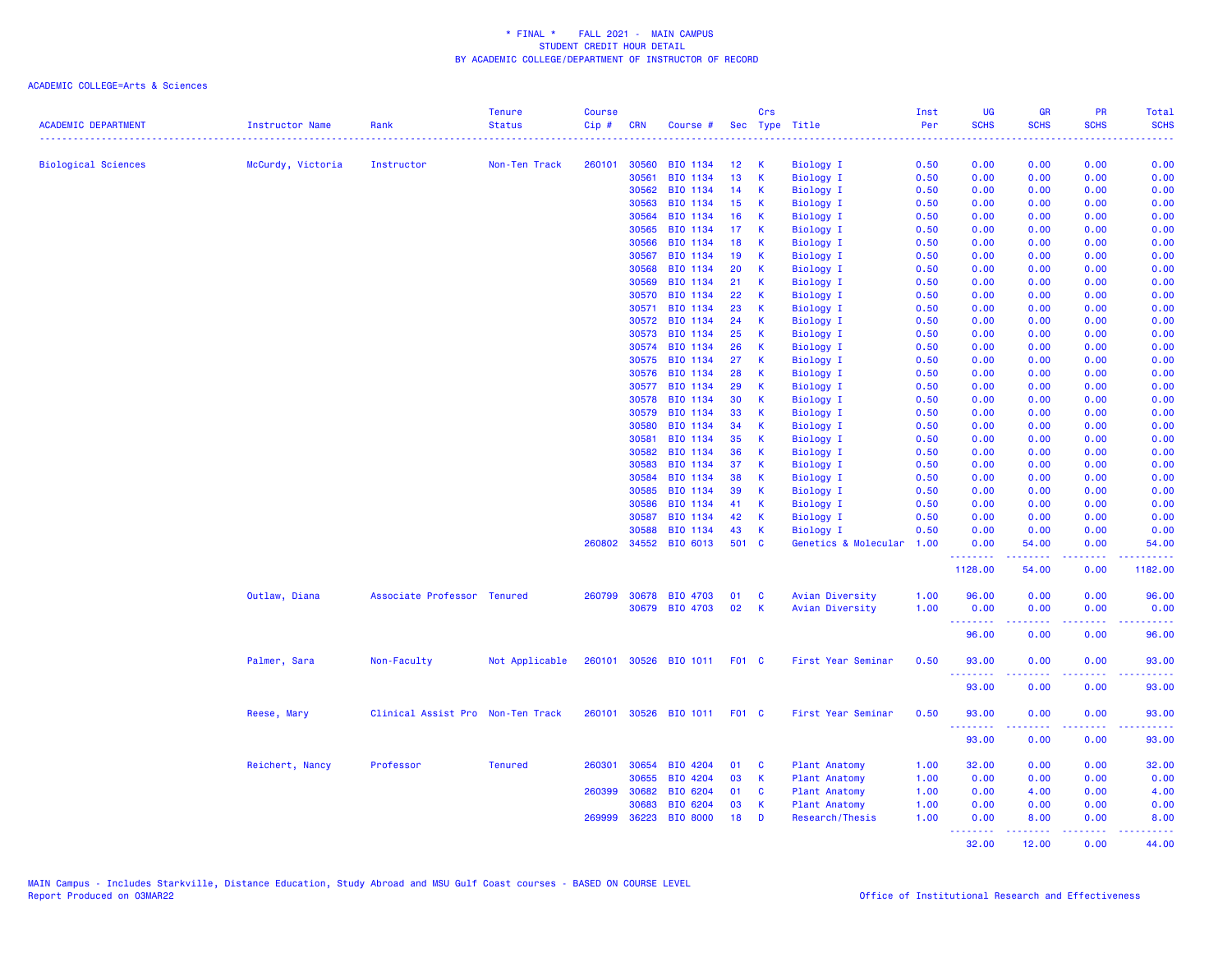|                            |                   |                                   | <b>Tenure</b>  | <b>Course</b> |            |                             |       | Crs         |                      | Inst | <b>UG</b>          | <b>GR</b>                                                                                                                                                     | PR              | <b>Total</b>       |
|----------------------------|-------------------|-----------------------------------|----------------|---------------|------------|-----------------------------|-------|-------------|----------------------|------|--------------------|---------------------------------------------------------------------------------------------------------------------------------------------------------------|-----------------|--------------------|
| <b>ACADEMIC DEPARTMENT</b> | Instructor Name   | Rank                              | <b>Status</b>  | $Cip$ #       | <b>CRN</b> | Course #                    | Sec   |             | Type Title           | Per  | <b>SCHS</b>        | <b>SCHS</b>                                                                                                                                                   | <b>SCHS</b>     | <b>SCHS</b>        |
| <b>Biological Sciences</b> | McCurdy, Victoria | Instructor                        | Non-Ten Track  | 260101        | 30560      | BIO 1134                    | 12    | К           | <b>Biology I</b>     | 0.50 | 0.00               | 0.00                                                                                                                                                          | 0.00            | 0.00               |
|                            |                   |                                   |                |               | 30561      | BIO 1134                    | 13    | $\mathsf K$ | <b>Biology I</b>     | 0.50 | 0.00               | 0.00                                                                                                                                                          | 0.00            | 0.00               |
|                            |                   |                                   |                |               | 30562      | BIO 1134                    | 14    | К           | Biology I            | 0.50 | 0.00               | 0.00                                                                                                                                                          | 0.00            | 0.00               |
|                            |                   |                                   |                |               | 30563      | BIO 1134                    | 15    | K           | <b>Biology I</b>     | 0.50 | 0.00               | 0.00                                                                                                                                                          | 0.00            | 0.00               |
|                            |                   |                                   |                |               | 30564      | BIO 1134                    | 16    | K           | <b>Biology I</b>     | 0.50 | 0.00               | 0.00                                                                                                                                                          | 0.00            | 0.00               |
|                            |                   |                                   |                |               | 30565      | BIO 1134                    | 17    | К           | Biology I            | 0.50 | 0.00               | 0.00                                                                                                                                                          | 0.00            | 0.00               |
|                            |                   |                                   |                |               | 30566      | BIO 1134                    | 18    | K           | <b>Biology I</b>     | 0.50 | 0.00               | 0.00                                                                                                                                                          | 0.00            | 0.00               |
|                            |                   |                                   |                |               | 30567      | BIO 1134                    | 19    | К           | Biology I            | 0.50 | 0.00               | 0.00                                                                                                                                                          | 0.00            | 0.00               |
|                            |                   |                                   |                |               | 30568      | BIO 1134                    | 20    | $\mathsf K$ | <b>Biology I</b>     | 0.50 | 0.00               | 0.00                                                                                                                                                          | 0.00            | 0.00               |
|                            |                   |                                   |                |               | 30569      | BIO 1134                    | 21    | K           | <b>Biology I</b>     | 0.50 | 0.00               | 0.00                                                                                                                                                          | 0.00            | 0.00               |
|                            |                   |                                   |                |               | 30570      | BIO 1134                    | 22    | K           | <b>Biology I</b>     | 0.50 | 0.00               | 0.00                                                                                                                                                          | 0.00            | 0.00               |
|                            |                   |                                   |                |               | 30571      | BIO 1134                    | 23    | $\mathsf K$ | <b>Biology I</b>     | 0.50 | 0.00               | 0.00                                                                                                                                                          | 0.00            | 0.00               |
|                            |                   |                                   |                |               | 30572      | BIO 1134                    | 24    | К           | Biology I            | 0.50 | 0.00               | 0.00                                                                                                                                                          | 0.00            | 0.00               |
|                            |                   |                                   |                |               | 30573      | BIO 1134                    | 25    | K           | <b>Biology I</b>     | 0.50 | 0.00               | 0.00                                                                                                                                                          | 0.00            | 0.00               |
|                            |                   |                                   |                |               | 30574      | BIO 1134                    | 26    | $\mathsf K$ | <b>Biology I</b>     | 0.50 | 0.00               | 0.00                                                                                                                                                          | 0.00            | 0.00               |
|                            |                   |                                   |                |               | 30575      | BIO 1134                    | 27    | К           | Biology I            | 0.50 | 0.00               | 0.00                                                                                                                                                          | 0.00            | 0.00               |
|                            |                   |                                   |                |               | 30576      | <b>BIO 1134</b>             | 28    | K           | <b>Biology I</b>     | 0.50 | 0.00               | 0.00                                                                                                                                                          | 0.00            | 0.00               |
|                            |                   |                                   |                |               | 30577      | BIO 1134                    | 29    | К           | Biology I            | 0.50 | 0.00               | 0.00                                                                                                                                                          | 0.00            | 0.00               |
|                            |                   |                                   |                |               | 30578      | BIO 1134                    | 30    | K           | Biology I            | 0.50 | 0.00               | 0.00                                                                                                                                                          | 0.00            | 0.00               |
|                            |                   |                                   |                |               | 30579      | BIO 1134                    | 33    | K           | <b>Biology I</b>     | 0.50 | 0.00               | 0.00                                                                                                                                                          | 0.00            | 0.00               |
|                            |                   |                                   |                |               | 30580      | BIO 1134                    | 34    | K           | Biology I            | 0.50 | 0.00               | 0.00                                                                                                                                                          | 0.00            | 0.00               |
|                            |                   |                                   |                |               | 30581      | BIO 1134                    | 35    | K           | <b>Biology I</b>     | 0.50 | 0.00               | 0.00                                                                                                                                                          | 0.00            | 0.00               |
|                            |                   |                                   |                |               | 30582      | BIO 1134                    | 36    | К           | Biology I            | 0.50 | 0.00               | 0.00                                                                                                                                                          | 0.00            | 0.00               |
|                            |                   |                                   |                |               | 30583      | BIO 1134                    | 37    | K           | Biology I            | 0.50 | 0.00               | 0.00                                                                                                                                                          | 0.00            | 0.00               |
|                            |                   |                                   |                |               | 30584      | BIO 1134                    | 38    | K           | <b>Biology I</b>     | 0.50 | 0.00               | 0.00                                                                                                                                                          | 0.00            | 0.00               |
|                            |                   |                                   |                |               | 30585      | BIO 1134                    | 39    | К           | Biology I            | 0.50 | 0.00               | 0.00                                                                                                                                                          | 0.00            | 0.00               |
|                            |                   |                                   |                |               | 30586      | BIO 1134                    | 41    | K           | <b>Biology I</b>     | 0.50 | 0.00               | 0.00                                                                                                                                                          | 0.00            | 0.00               |
|                            |                   |                                   |                |               | 30587      | BIO 1134                    | 42    | K           | <b>Biology I</b>     | 0.50 | 0.00               | 0.00                                                                                                                                                          | 0.00            | 0.00               |
|                            |                   |                                   |                |               | 30588      | BIO 1134                    | 43    | К           | Biology I            | 0.50 | 0.00               | 0.00                                                                                                                                                          | 0.00            | 0.00               |
|                            |                   |                                   |                | 260802        | 34552      | BIO 6013                    | 501 C |             | Genetics & Molecular | 1.00 | 0.00               | 54.00                                                                                                                                                         | 0.00            | 54.00              |
|                            |                   |                                   |                |               |            |                             |       |             |                      |      | <b></b><br>1128.00 | $\frac{1}{2} \left( \frac{1}{2} \right) \left( \frac{1}{2} \right) \left( \frac{1}{2} \right) \left( \frac{1}{2} \right) \left( \frac{1}{2} \right)$<br>54.00 | .<br>0.00       | .<br>1182.00       |
|                            | Outlaw, Diana     | Associate Professor Tenured       |                |               |            | 260799 30678 BIO 4703       | 01    | C           | Avian Diversity      | 1.00 | 96.00              | 0.00                                                                                                                                                          | 0.00            | 96.00              |
|                            |                   |                                   |                |               |            | 30679 BIO 4703              | 02    | $\mathsf K$ | Avian Diversity      | 1.00 | 0.00<br>--------   | 0.00<br>.                                                                                                                                                     | 0.00<br>.       | 0.00<br>والمستحيل  |
|                            |                   |                                   |                |               |            |                             |       |             |                      |      | 96.00              | 0.00                                                                                                                                                          | 0.00            | 96.00              |
|                            | Palmer, Sara      | Non-Faculty                       | Not Applicable |               |            | 260101 30526 BIO 1011       | F01 C |             | First Year Seminar   | 0.50 | 93.00              | 0.00                                                                                                                                                          | 0.00            | 93.00              |
|                            |                   |                                   |                |               |            |                             |       |             |                      |      | 93.00              | 0.00                                                                                                                                                          | 0.00            | 93.00              |
|                            | Reese, Mary       | Clinical Assist Pro Non-Ten Track |                |               |            | 260101 30526 BIO 1011 F01 C |       |             | First Year Seminar   | 0.50 | 93.00              | 0.00                                                                                                                                                          | 0.00            | 93.00              |
|                            |                   |                                   |                |               |            |                             |       |             |                      |      | 93.00              | 0.00                                                                                                                                                          | 0.00            | 93.00              |
|                            | Reichert, Nancy   | Professor                         | <b>Tenured</b> | 260301        | 30654      | BIO 4204                    | 01    | C           | <b>Plant Anatomy</b> | 1.00 | 32.00              | 0.00                                                                                                                                                          | 0.00            | 32.00              |
|                            |                   |                                   |                |               | 30655      | BIO 4204                    | 03    | К           | <b>Plant Anatomy</b> | 1.00 | 0.00               | 0.00                                                                                                                                                          | 0.00            | 0.00               |
|                            |                   |                                   |                | 260399        | 30682      | BIO 6204                    | 01    | C           | <b>Plant Anatomy</b> | 1.00 | 0.00               | 4.00                                                                                                                                                          | 0.00            | 4.00               |
|                            |                   |                                   |                |               | 30683      | BIO 6204                    | 03    | $\mathsf K$ | <b>Plant Anatomy</b> | 1.00 | 0.00               | 0.00                                                                                                                                                          | 0.00            | 0.00               |
|                            |                   |                                   |                | 269999        | 36223      | <b>BIO 8000</b>             | 18    | D           | Research/Thesis      | 1.00 | 0.00<br>.          | 8.00<br>.                                                                                                                                                     | 0.00<br>د د د د | 8.00<br>وبالاناداد |
|                            |                   |                                   |                |               |            |                             |       |             |                      |      | 32.00              | 12.00                                                                                                                                                         | 0.00            | 44.00              |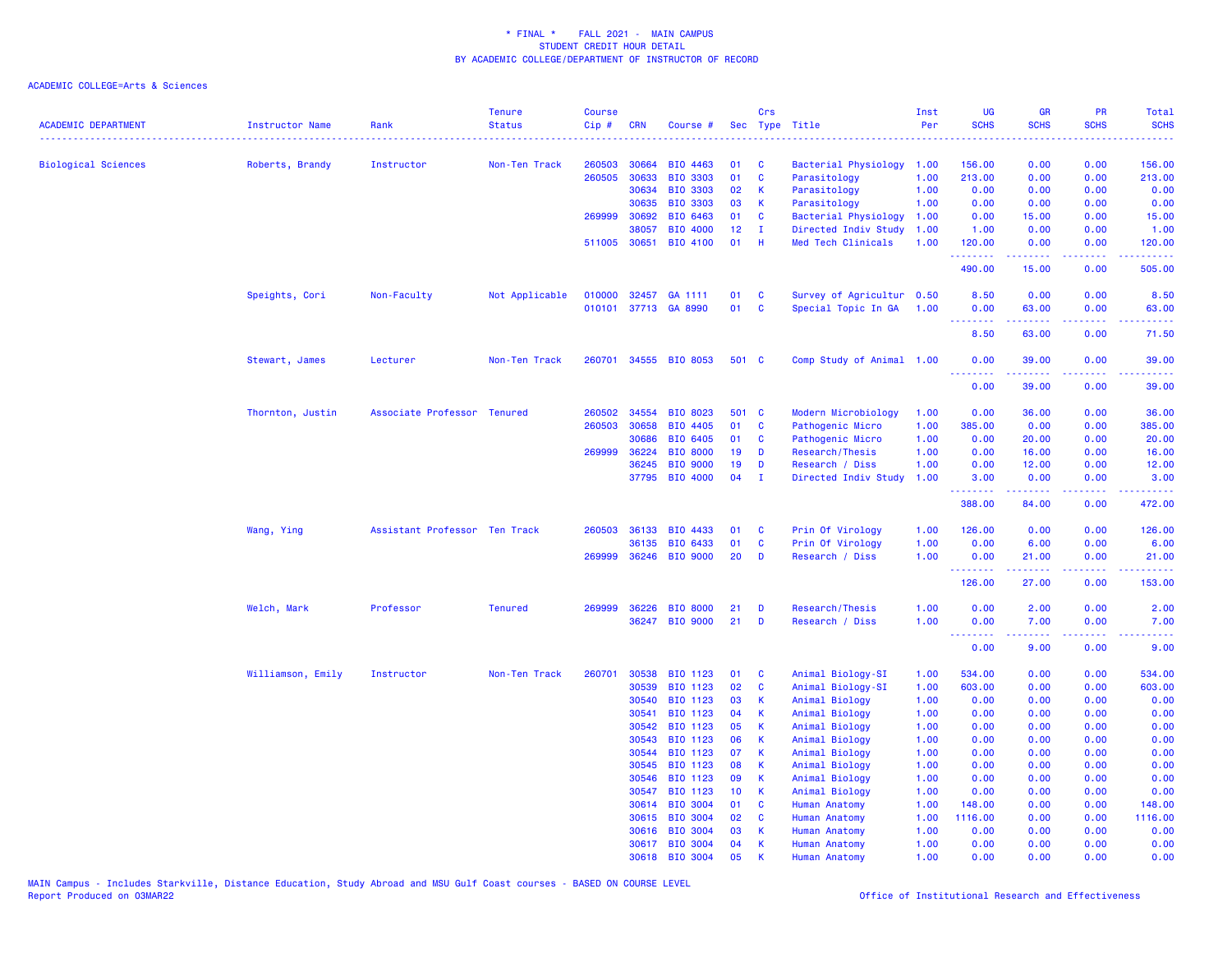| <b>ACADEMIC DEPARTMENT</b> | Instructor Name   | Rank                          | <b>Tenure</b><br><b>Status</b> | <b>Course</b><br>Cip# | <b>CRN</b>   | Course #        |                 | Crs          | Sec Type Title            | Inst<br>Per | <b>UG</b><br><b>SCHS</b>     | <b>GR</b><br><b>SCHS</b> | PR<br><b>SCHS</b> | Total<br><b>SCHS</b>                                                                                                            |
|----------------------------|-------------------|-------------------------------|--------------------------------|-----------------------|--------------|-----------------|-----------------|--------------|---------------------------|-------------|------------------------------|--------------------------|-------------------|---------------------------------------------------------------------------------------------------------------------------------|
|                            |                   |                               |                                |                       |              |                 |                 |              |                           |             |                              |                          |                   |                                                                                                                                 |
| <b>Biological Sciences</b> | Roberts, Brandy   | Instructor                    | Non-Ten Track                  | 260503                | 30664        | BIO 4463        | 01              | <b>C</b>     | Bacterial Physiology      | 1.00        | 156.00                       | 0.00                     | 0.00              | 156.00                                                                                                                          |
|                            |                   |                               |                                | 260505                | 30633        | BIO 3303        | 01              | C            | Parasitology              | 1.00        | 213.00                       | 0.00                     | 0.00              | 213.00                                                                                                                          |
|                            |                   |                               |                                |                       | 30634        | BIO 3303        | 02              | $\mathsf{K}$ | Parasitology              | 1.00        | 0.00                         | 0.00                     | 0.00              | 0.00                                                                                                                            |
|                            |                   |                               |                                |                       | 30635        | <b>BIO 3303</b> | 03              | K            | Parasitology              | 1.00        | 0.00                         | 0.00                     | 0.00              | 0.00                                                                                                                            |
|                            |                   |                               |                                | 269999                | 30692        | BIO 6463        | 01              | C            | Bacterial Physiology      | 1.00        | 0.00                         | 15.00                    | 0.00              | 15.00                                                                                                                           |
|                            |                   |                               |                                |                       | 38057        | BIO 4000        | 12              | п            | Directed Indiv Study      | 1.00        | 1.00                         | 0.00                     | 0.00              | 1.00                                                                                                                            |
|                            |                   |                               |                                |                       | 511005 30651 | BIO 4100        | 01              | H            | Med Tech Clinicals        | 1.00        | 120.00<br>.                  | 0.00<br>المتمامين        | 0.00<br>.         | 120.00<br>$\begin{array}{cccccccccc} \bullet & \bullet & \bullet & \bullet & \bullet & \bullet & \bullet \end{array}$           |
|                            |                   |                               |                                |                       |              |                 |                 |              |                           |             | 490.00                       | 15.00                    | 0.00              | 505.00                                                                                                                          |
|                            | Speights, Cori    | Non-Faculty                   | Not Applicable                 | 010000                | 32457        | GA 1111         | 01              | C            | Survey of Agricultur 0.50 |             | 8.50                         | 0.00                     | 0.00              | 8.50                                                                                                                            |
|                            |                   |                               |                                | 010101                |              | 37713 GA 8990   | 01              | C            | Special Topic In GA       | 1.00        | 0.00<br>.                    | 63.00                    | 0.00              | 63.00                                                                                                                           |
|                            |                   |                               |                                |                       |              |                 |                 |              |                           |             | 8.50                         | 63.00                    | 0.00              | 71.50                                                                                                                           |
|                            | Stewart, James    | Lecturer                      | Non-Ten Track                  | 260701                |              | 34555 BIO 8053  | 501 C           |              | Comp Study of Animal 1.00 |             | 0.00                         | 39.00                    | 0.00              | 39.00                                                                                                                           |
|                            |                   |                               |                                |                       |              |                 |                 |              |                           |             | $\sim$ $\sim$ $\sim$<br>0.00 | 39.00                    | 0.00              | 39.00                                                                                                                           |
|                            | Thornton, Justin  | Associate Professor Tenured   |                                | 260502                | 34554        | BIO 8023        | 501 C           |              | Modern Microbiology       | 1.00        | 0.00                         | 36.00                    | 0.00              | 36.00                                                                                                                           |
|                            |                   |                               |                                | 260503                | 30658        | BIO 4405        | 01              | $\mathbf{C}$ | Pathogenic Micro          | 1.00        | 385.00                       | 0.00                     | 0.00              | 385.00                                                                                                                          |
|                            |                   |                               |                                |                       | 30686        | BIO 6405        | 01              | C            | Pathogenic Micro          | 1.00        | 0.00                         | 20.00                    | 0.00              | 20.00                                                                                                                           |
|                            |                   |                               |                                | 269999                | 36224        | <b>BIO 8000</b> | 19              | D            | Research/Thesis           | 1.00        | 0.00                         | 16.00                    | 0.00              | 16.00                                                                                                                           |
|                            |                   |                               |                                |                       | 36245        | <b>BIO 9000</b> | 19              | D            | Research / Diss           | 1.00        | 0.00                         | 12.00                    | 0.00              | 12.00                                                                                                                           |
|                            |                   |                               |                                |                       | 37795        | <b>BIO 4000</b> | 04              | $\mathbf{I}$ | Directed Indiv Study      | 1.00        | 3.00                         | 0.00                     | 0.00              | 3.00                                                                                                                            |
|                            |                   |                               |                                |                       |              |                 |                 |              |                           |             | .<br>388.00                  | . <u>.</u> .<br>84.00    | .<br>0.00         | 472.00                                                                                                                          |
|                            | Wang, Ying        | Assistant Professor Ten Track |                                | 260503                | 36133        | BIO 4433        | 01              | C            | Prin Of Virology          | 1.00        | 126.00                       | 0.00                     | 0.00              | 126.00                                                                                                                          |
|                            |                   |                               |                                |                       | 36135        | BIO 6433        | 01              | <b>C</b>     | Prin Of Virology          | 1.00        | 0.00                         | 6.00                     | 0.00              | 6.00                                                                                                                            |
|                            |                   |                               |                                |                       | 269999 36246 | <b>BIO 9000</b> | 20              | D            | Research / Diss           | 1.00        | 0.00                         | 21.00                    | 0.00              | 21.00                                                                                                                           |
|                            |                   |                               |                                |                       |              |                 |                 |              |                           |             | .<br>126.00                  | .<br>27.00               | .<br>0.00         | $\begin{array}{cccccccccc} \bullet & \bullet & \bullet & \bullet & \bullet & \bullet & \bullet & \bullet \end{array}$<br>153.00 |
|                            | Welch, Mark       | Professor                     | <b>Tenured</b>                 | 269999                | 36226        | <b>BIO 8000</b> | 21              | D            | Research/Thesis           | 1.00        | 0.00                         | 2.00                     | 0.00              | 2.00                                                                                                                            |
|                            |                   |                               |                                |                       | 36247        | <b>BIO 9000</b> | 21              | D            | Research / Diss           | 1.00        | 0.00<br>.                    | 7.00<br>-----            | 0.00<br>.         | 7.00<br>والمستناط                                                                                                               |
|                            |                   |                               |                                |                       |              |                 |                 |              |                           |             | 0.00                         | 9.00                     | 0.00              | 9.00                                                                                                                            |
|                            | Williamson, Emily | Instructor                    | Non-Ten Track                  | 260701                | 30538        | BIO 1123        | 01              | C            | Animal Biology-SI         | 1.00        | 534.00                       | 0.00                     | 0.00              | 534.00                                                                                                                          |
|                            |                   |                               |                                |                       | 30539        | BIO 1123        | 02              | $\mathbf{C}$ | Animal Biology-SI         | 1.00        | 603.00                       | 0.00                     | 0.00              | 603.00                                                                                                                          |
|                            |                   |                               |                                |                       | 30540        | BIO 1123        | 03              | $\mathsf{K}$ | Animal Biology            | 1.00        | 0.00                         | 0.00                     | 0.00              | 0.00                                                                                                                            |
|                            |                   |                               |                                |                       | 30541        | BIO 1123        | 04              | K            | Animal Biology            | 1.00        | 0.00                         | 0.00                     | 0.00              | 0.00                                                                                                                            |
|                            |                   |                               |                                |                       | 30542        | BIO 1123        | 05              | K            | Animal Biology            | 1.00        | 0.00                         | 0.00                     | 0.00              | 0.00                                                                                                                            |
|                            |                   |                               |                                |                       | 30543        | BIO 1123        | 06              | $\mathsf{K}$ | Animal Biology            | 1.00        | 0.00                         | 0.00                     | 0.00              | 0.00                                                                                                                            |
|                            |                   |                               |                                |                       | 30544        | BIO 1123        | 07              | К            | Animal Biology            | 1.00        | 0.00                         | 0.00                     | 0.00              | 0.00                                                                                                                            |
|                            |                   |                               |                                |                       | 30545        | BIO 1123        | 08              | K            | Animal Biology            | 1.00        | 0.00                         | 0.00                     | 0.00              | 0.00                                                                                                                            |
|                            |                   |                               |                                |                       | 30546        | BIO 1123        | 09              | $\mathsf{K}$ | Animal Biology            | 1.00        | 0.00                         | 0.00                     | 0.00              | 0.00                                                                                                                            |
|                            |                   |                               |                                |                       | 30547        | BIO 1123        | 10 <sub>1</sub> | -K           | Animal Biology            | 1.00        | 0.00                         | 0.00                     | 0.00              | 0.00                                                                                                                            |
|                            |                   |                               |                                |                       | 30614        | <b>BIO 3004</b> | 01              | $\mathbf{C}$ | Human Anatomy             | 1.00        | 148.00                       | 0.00                     | 0.00              | 148.00                                                                                                                          |
|                            |                   |                               |                                |                       | 30615        | <b>BIO 3004</b> | 02              | C            | <b>Human Anatomy</b>      | 1.00        | 1116.00                      | 0.00                     | 0.00              | 1116.00                                                                                                                         |
|                            |                   |                               |                                |                       | 30616        | <b>BIO 3004</b> | 03              | К            | <b>Human Anatomy</b>      | 1.00        | 0.00                         | 0.00                     | 0.00              | 0.00                                                                                                                            |
|                            |                   |                               |                                |                       |              | 30617 BIO 3004  | 04              | К            | Human Anatomy             | 1.00        | 0.00                         | 0.00                     | 0.00              | 0.00                                                                                                                            |
|                            |                   |                               |                                |                       | 30618        | <b>BIO 3004</b> | 05              | К            | <b>Human Anatomy</b>      | 1.00        | 0.00                         | 0.00                     | 0.00              | 0.00                                                                                                                            |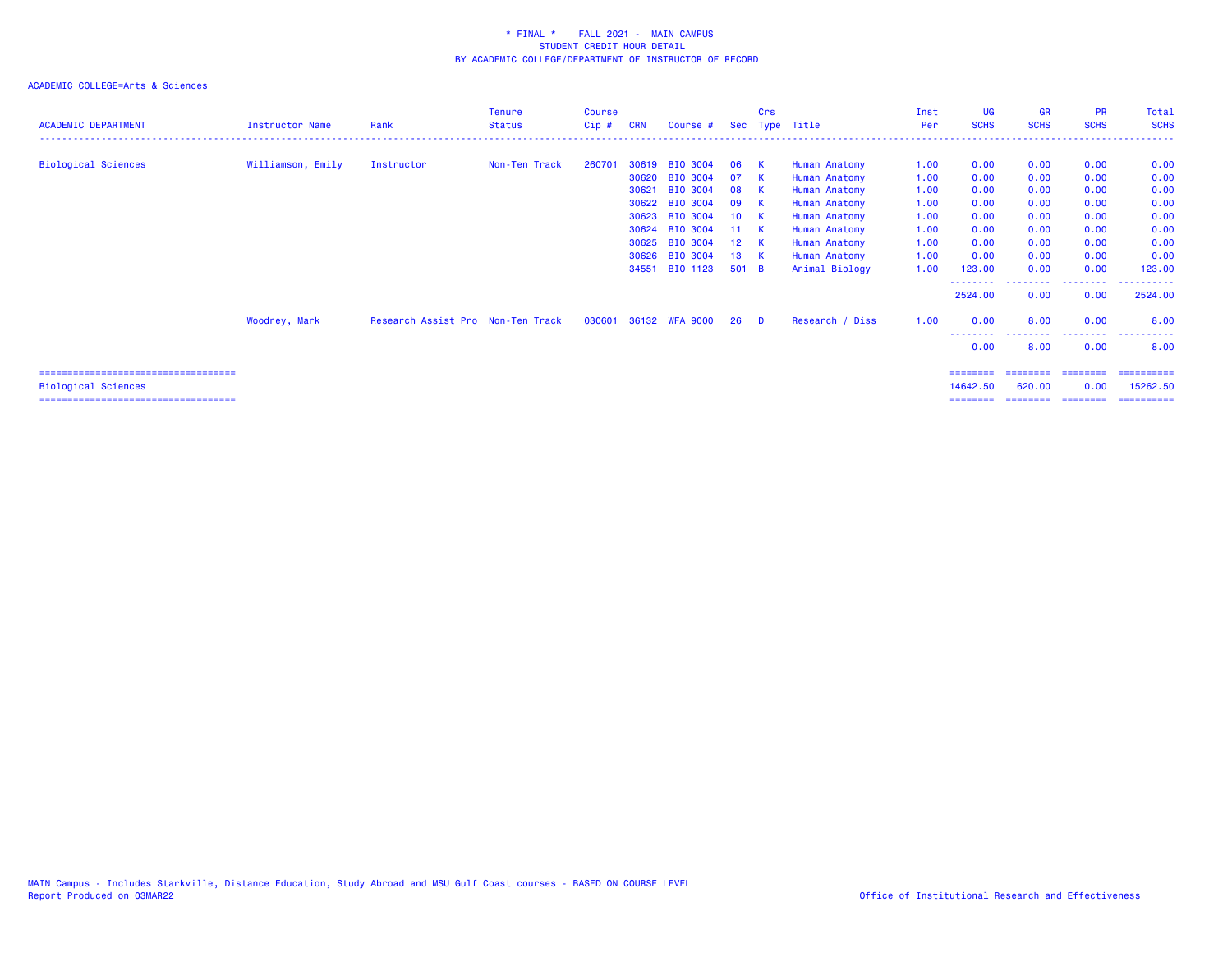| <b>ACADEMIC DEPARTMENT</b>           | <b>Instructor Name</b> | Rank                              | <b>Tenure</b><br><b>Status</b> | <b>Course</b><br>$Cip$ # | <b>CRN</b> | Course #        |                 | Crs            | Sec Type Title  | Inst<br>Per | <b>UG</b><br><b>SCHS</b> | <b>GR</b><br><b>SCHS</b> | <b>PR</b><br><b>SCHS</b> | Total<br><b>SCHS</b>  |
|--------------------------------------|------------------------|-----------------------------------|--------------------------------|--------------------------|------------|-----------------|-----------------|----------------|-----------------|-------------|--------------------------|--------------------------|--------------------------|-----------------------|
| <b>Biological Sciences</b>           | Williamson, Emily      | Instructor                        | Non-Ten Track                  | 260701                   |            | 30619 BIO 3004  | 06              | -к             | Human Anatomy   | 1.00        | 0.00                     | 0.00                     | 0.00                     | 0.00                  |
|                                      |                        |                                   |                                |                          | 30620      | <b>BIO 3004</b> | 07              | -к             | Human Anatomy   | 1.00        | 0.00                     | 0.00                     | 0.00                     | 0.00                  |
|                                      |                        |                                   |                                |                          | 30621      | <b>BIO 3004</b> | 08              | K              | Human Anatomy   | 1.00        | 0.00                     | 0.00                     | 0.00                     | 0.00                  |
|                                      |                        |                                   |                                |                          | 30622      | <b>BIO 3004</b> | 09              | -к             | Human Anatomy   | 1.00        | 0.00                     | 0.00                     | 0.00                     | 0.00                  |
|                                      |                        |                                   |                                |                          | 30623      | <b>BIO 3004</b> | 10 <sub>1</sub> | -к             | Human Anatomy   | 1.00        | 0.00                     | 0.00                     | 0.00                     | 0.00                  |
|                                      |                        |                                   |                                |                          | 30624      | <b>BIO 3004</b> | 11 K            |                | Human Anatomy   | 1.00        | 0.00                     | 0.00                     | 0.00                     | 0.00                  |
|                                      |                        |                                   |                                |                          | 30625      | <b>BIO 3004</b> | 12 <sup>°</sup> | <b>K</b>       | Human Anatomy   | 1.00        | 0.00                     | 0.00                     | 0.00                     | 0.00                  |
|                                      |                        |                                   |                                |                          | 30626      | <b>BIO 3004</b> | 13              | -к             | Human Anatomy   | 1.00        | 0.00                     | 0.00                     | 0.00                     | 0.00                  |
|                                      |                        |                                   |                                |                          | 34551      | BIO 1123        | 501 B           |                | Animal Biology  | 1.00        | 123.00                   | 0.00                     | 0.00                     | 123.00                |
|                                      |                        |                                   |                                |                          |            |                 |                 |                |                 |             | ---------<br>2524.00     | .<br>0.00                | ---------<br>0.00        | ----------<br>2524.00 |
|                                      | Woodrey, Mark          | Research Assist Pro Non-Ten Track |                                | 030601                   |            | 36132 WFA 9000  | 26              | $\blacksquare$ | Research / Diss | 1.00        | 0.00                     | 8.00                     | 0.00                     | 8.00                  |
|                                      |                        |                                   |                                |                          |            |                 |                 |                |                 |             | 0.00                     | 8.00                     | 0.00                     | 8.00                  |
| ==================================== |                        |                                   |                                |                          |            |                 |                 |                |                 |             | ========                 |                          |                          | ==========            |
| <b>Biological Sciences</b>           |                        |                                   |                                |                          |            |                 |                 |                |                 |             | 14642.50                 | 620,00                   | 0.00                     | 15262.50              |
| ==================================== |                        |                                   |                                |                          |            |                 |                 |                |                 |             | ========                 | ========                 | ---------                | ==========            |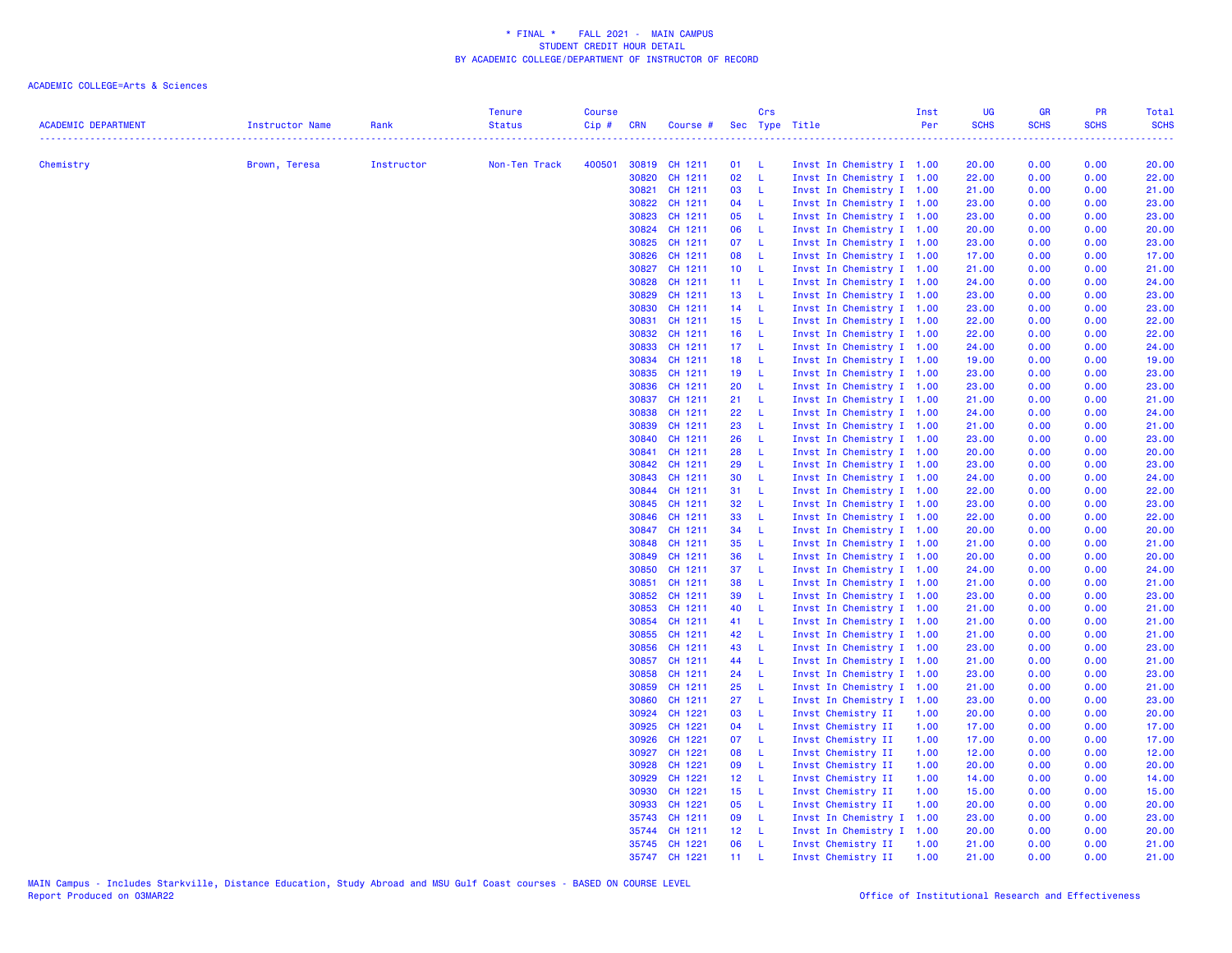| <b>ACADEMIC DEPARTMENT</b> | Instructor Name | Rank       | <b>Tenure</b><br><b>Status</b> | <b>Course</b><br>$Cip \#$ | <b>CRN</b>     | Course # Sec Type Title  |                 | Crs                 |                                                        |                           | Inst<br>Per | UG<br><b>SCHS</b> | <b>GR</b><br><b>SCHS</b> | <b>PR</b><br><b>SCHS</b> | Total<br><b>SCHS</b> |
|----------------------------|-----------------|------------|--------------------------------|---------------------------|----------------|--------------------------|-----------------|---------------------|--------------------------------------------------------|---------------------------|-------------|-------------------|--------------------------|--------------------------|----------------------|
|                            |                 |            |                                |                           |                |                          |                 |                     |                                                        |                           |             | <u>.</u>          |                          |                          |                      |
| Chemistry                  | Brown, Teresa   | Instructor | Non-Ten Track                  | 400501                    |                | 30819 CH 1211            | 01              | - L                 | Invst In Chemistry I 1.00                              |                           |             | 20.00             | 0.00                     | 0.00                     | 20.00                |
|                            |                 |            |                                |                           | 30820          | CH 1211                  | 02<br>03        | - L<br>$\mathbf{L}$ | Invst In Chemistry I 1.00                              |                           |             | 22.00             | 0.00                     | 0.00                     | 22.00                |
|                            |                 |            |                                |                           | 30822          | 30821 CH 1211<br>CH 1211 | 04              | $-L$                | Invst In Chemistry I 1.00                              |                           |             | 21.00<br>23.00    | 0.00                     | 0.00<br>0.00             | 21.00                |
|                            |                 |            |                                |                           | 30823          | CH 1211                  | 05              | - L                 | Invst In Chemistry I 1.00<br>Invst In Chemistry I 1.00 |                           |             | 23.00             | 0.00<br>0.00             | 0.00                     | 23.00<br>23.00       |
|                            |                 |            |                                |                           |                | 30824 CH 1211            | 06              | $\mathsf{L}$        | Invst In Chemistry I 1.00                              |                           |             | 20.00             | 0.00                     | 0.00                     | 20.00                |
|                            |                 |            |                                |                           | 30825          | CH 1211                  | 07              | - L                 | Invst In Chemistry I 1.00                              |                           |             | 23.00             | 0.00                     | 0.00                     | 23.00                |
|                            |                 |            |                                |                           |                | 30826 CH 1211            | 08              | - L                 | Invst In Chemistry I 1.00                              |                           |             | 17.00             | 0.00                     | 0.00                     | 17.00                |
|                            |                 |            |                                |                           | 30827          | CH 1211                  | 10 <sub>1</sub> | - L                 | Invst In Chemistry I 1.00                              |                           |             | 21.00             | 0.00                     | 0.00                     | 21.00                |
|                            |                 |            |                                |                           | 30828          | CH 1211                  | $11 - L$        |                     | Invst In Chemistry I 1.00                              |                           |             | 24.00             | 0.00                     | 0.00                     | 24.00                |
|                            |                 |            |                                |                           | 30829          | CH 1211                  | 13 <sup>°</sup> | $\mathbf{L}$        | Invst In Chemistry I 1.00                              |                           |             | 23.00             | 0.00                     | 0.00                     | 23.00                |
|                            |                 |            |                                |                           | 30830          | CH 1211                  | 14              | - L                 |                                                        | Invst In Chemistry I 1.00 |             | 23.00             | 0.00                     | 0.00                     | 23.00                |
|                            |                 |            |                                |                           | 30831          | CH 1211                  | 15 <sub>1</sub> | - L                 | Invst In Chemistry I 1.00                              |                           |             | 22.00             | 0.00                     | 0.00                     | 22.00                |
|                            |                 |            |                                |                           | 30832          | CH 1211                  | 16              | $\mathbf{L}$        | Invst In Chemistry I 1.00                              |                           |             | 22.00             | 0.00                     | 0.00                     | 22.00                |
|                            |                 |            |                                |                           | 30833          | CH 1211                  | 17 <sub>1</sub> | - L                 | Invst In Chemistry I 1.00                              |                           |             | 24.00             | 0.00                     | 0.00                     | 24.00                |
|                            |                 |            |                                |                           |                | 30834 CH 1211            | 18              | $\mathsf{L}$        | Invst In Chemistry I 1.00                              |                           |             | 19.00             | 0.00                     | 0.00                     | 19.00                |
|                            |                 |            |                                |                           | 30835          | CH 1211                  | 19              | $\mathsf{L}$        | Invst In Chemistry I 1.00                              |                           |             | 23.00             | 0.00                     | 0.00                     | 23.00                |
|                            |                 |            |                                |                           | 30836          | CH 1211                  | 20              | - L                 | Invst In Chemistry I 1.00                              |                           |             | 23.00             | 0.00                     | 0.00                     | 23.00                |
|                            |                 |            |                                |                           |                | 30837 CH 1211            | 21              | - L                 | Invst In Chemistry I 1.00                              |                           |             | 21.00             | 0.00                     | 0.00                     | 21.00                |
|                            |                 |            |                                |                           | 30838          | CH 1211                  | 22              | - L                 | Invst In Chemistry I 1.00                              |                           |             | 24.00             | 0.00                     | 0.00                     | 24.00                |
|                            |                 |            |                                |                           | 30839          | CH 1211                  | 23              | $\mathsf{L}$        | Invst In Chemistry I 1.00                              |                           |             | 21.00             | 0.00                     | 0.00                     | 21.00                |
|                            |                 |            |                                |                           | 30840          | CH 1211                  | 26              | $-L$                | Invst In Chemistry I 1.00                              |                           |             | 23.00             | 0.00                     | 0.00                     | 23.00                |
|                            |                 |            |                                |                           | 30841          | CH 1211                  | 28              | - L                 | Invst In Chemistry I 1.00                              |                           |             | 20.00             | 0.00                     | 0.00                     | 20.00                |
|                            |                 |            |                                |                           | 30842          | CH 1211                  | 29              | -L                  |                                                        | Invst In Chemistry I 1.00 |             | 23.00             | 0.00                     | 0.00                     | 23.00                |
|                            |                 |            |                                |                           | 30843          | CH 1211                  | 30              | - L                 | Invst In Chemistry I 1.00                              |                           |             | 24.00             | 0.00                     | 0.00                     | 24.00                |
|                            |                 |            |                                |                           |                | 30844 CH 1211            | 31              | - L                 | Invst In Chemistry I 1.00                              |                           |             | 22.00             | 0.00                     | 0.00                     | 22.00                |
|                            |                 |            |                                |                           |                | 30845 CH 1211            | 32              | $-L$                | Invst In Chemistry I 1.00                              |                           |             | 23.00             | 0.00                     | 0.00                     | 23.00                |
|                            |                 |            |                                |                           |                | 30846 CH 1211            | 33              | $\mathsf{L}$        | Invst In Chemistry I 1.00                              |                           |             | 22.00             | 0.00                     | 0.00                     | 22.00                |
|                            |                 |            |                                |                           |                | 30847 CH 1211            | 34              | $\mathsf{L}$        |                                                        | Invst In Chemistry I 1.00 |             | 20.00             | 0.00                     | 0.00                     | 20.00                |
|                            |                 |            |                                |                           | 30848          | CH 1211                  | 35              | - L                 | Invst In Chemistry I 1.00                              |                           |             | 21.00             | 0.00                     | 0.00                     | 21.00                |
|                            |                 |            |                                |                           | 30849          | CH 1211                  | 36              | -L                  | Invst In Chemistry I 1.00                              |                           |             | 20.00             | 0.00                     | 0.00                     | 20.00                |
|                            |                 |            |                                |                           | 30850<br>30851 | CH 1211<br>CH 1211       | 37<br>38        | - L<br>- L          | Invst In Chemistry I 1.00<br>Invst In Chemistry I 1.00 |                           |             | 24.00<br>21.00    | 0.00<br>0.00             | 0.00<br>0.00             | 24.00<br>21.00       |
|                            |                 |            |                                |                           | 30852          | CH 1211                  | 39              | $\mathsf{L}$        | Invst In Chemistry I 1.00                              |                           |             | 23.00             | 0.00                     | 0.00                     |                      |
|                            |                 |            |                                |                           | 30853          | CH 1211                  | 40              | $\mathsf{L}$        | Invst In Chemistry I 1.00                              |                           |             | 21.00             | 0.00                     | 0.00                     | 23.00<br>21.00       |
|                            |                 |            |                                |                           |                | 30854 CH 1211            | 41              | - L                 |                                                        | Invst In Chemistry I 1.00 |             | 21.00             | 0.00                     | 0.00                     | 21.00                |
|                            |                 |            |                                |                           | 30855          | CH 1211                  | 42              | - L                 | Invst In Chemistry I 1.00                              |                           |             | 21.00             | 0.00                     | 0.00                     | 21.00                |
|                            |                 |            |                                |                           | 30856          | CH 1211                  | 43              | $\mathsf{L}$        | Invst In Chemistry I 1.00                              |                           |             | 23.00             | 0.00                     | 0.00                     | 23.00                |
|                            |                 |            |                                |                           |                | 30857 CH 1211            | 44              | $\mathsf{L}$        | Invst In Chemistry I 1.00                              |                           |             | 21.00             | 0.00                     | 0.00                     | 21.00                |
|                            |                 |            |                                |                           | 30858          | CH 1211                  | 24              | L                   | Invst In Chemistry I 1.00                              |                           |             | 23.00             | 0.00                     | 0.00                     | 23.00                |
|                            |                 |            |                                |                           | 30859          | CH 1211                  | 25              | - L                 | Invst In Chemistry I 1.00                              |                           |             | 21.00             | 0.00                     | 0.00                     | 21.00                |
|                            |                 |            |                                |                           | 30860          | CH 1211                  | 27              | - L                 | Invst In Chemistry I 1.00                              |                           |             | 23.00             | 0.00                     | 0.00                     | 23.00                |
|                            |                 |            |                                |                           | 30924          | CH 1221                  | 03              | - L                 | Invst Chemistry II                                     |                           | 1.00        | 20.00             | 0.00                     | 0.00                     | 20.00                |
|                            |                 |            |                                |                           | 30925          | CH 1221                  | 04              | $-L$                | Invst Chemistry II                                     |                           | 1.00        | 17.00             | 0.00                     | 0.00                     | 17.00                |
|                            |                 |            |                                |                           | 30926          | CH 1221                  | 07              | $\mathsf{L}$        | Invst Chemistry II                                     |                           | 1.00        | 17.00             | 0.00                     | 0.00                     | 17.00                |
|                            |                 |            |                                |                           |                | 30927 CH 1221            | 08              | $-L$                | Invst Chemistry II                                     |                           | 1.00        | 12.00             | 0.00                     | 0.00                     | 12.00                |
|                            |                 |            |                                |                           | 30928          | CH 1221                  | 09              | L                   | Invst Chemistry II                                     |                           | 1.00        | 20.00             | 0.00                     | 0.00                     | 20.00                |
|                            |                 |            |                                |                           | 30929          | CH 1221                  | 12 <sup>7</sup> | $-1$                | Invst Chemistry II                                     |                           | 1.00        | 14.00             | 0.00                     | 0.00                     | 14.00                |
|                            |                 |            |                                |                           | 30930          | CH 1221                  | 15 <sub>1</sub> | $-1$                | Invst Chemistry II                                     |                           | 1.00        | 15.00             | 0.00                     | 0.00                     | 15.00                |
|                            |                 |            |                                |                           | 30933          | CH 1221                  | 05              | $\mathsf{L}$        | Invst Chemistry II                                     |                           | 1.00        | 20.00             | 0.00                     | 0.00                     | 20.00                |
|                            |                 |            |                                |                           |                | 35743 CH 1211            | 09              | - L                 | Invst In Chemistry I 1.00                              |                           |             | 23.00             | 0.00                     | 0.00                     | 23.00                |
|                            |                 |            |                                |                           |                | 35744 CH 1211            | 12 <sub>2</sub> | - L                 | Invst In Chemistry I 1.00                              |                           |             | 20.00             | 0.00                     | 0.00                     | 20.00                |
|                            |                 |            |                                |                           |                | 35745 CH 1221            | 06              | -L                  | Invst Chemistry II                                     |                           | 1.00        | 21.00             | 0.00                     | 0.00                     | 21.00                |
|                            |                 |            |                                |                           |                | 35747 CH 1221            | 11              | L                   | Invst Chemistry II                                     |                           | 1.00        | 21.00             | 0.00                     | 0.00                     | 21.00                |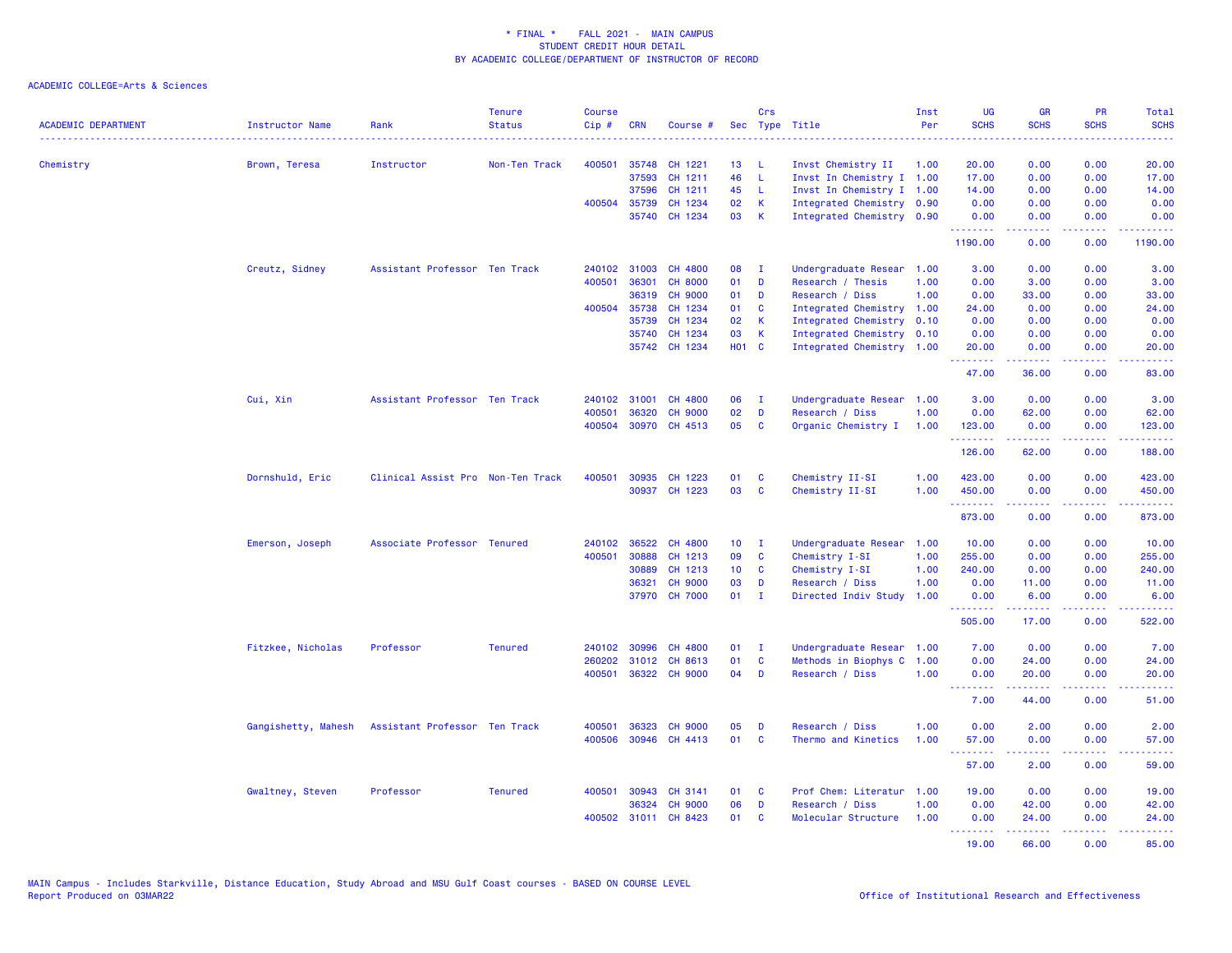| <b>ACADEMIC DEPARTMENT</b> | Instructor Name     | Rank                              | <b>Tenure</b><br><b>Status</b> | Course<br>Cip# | <b>CRN</b>     | Course #             |                 | Crs          | Sec Type Title                                         | Inst<br>Per | UG<br><b>SCHS</b>                                                                                                                                    | <b>GR</b><br><b>SCHS</b>                                                                                                                                      | PR<br><b>SCHS</b>                     | Total<br><b>SCHS</b>                                                                                                      |
|----------------------------|---------------------|-----------------------------------|--------------------------------|----------------|----------------|----------------------|-----------------|--------------|--------------------------------------------------------|-------------|------------------------------------------------------------------------------------------------------------------------------------------------------|---------------------------------------------------------------------------------------------------------------------------------------------------------------|---------------------------------------|---------------------------------------------------------------------------------------------------------------------------|
|                            |                     |                                   |                                |                |                |                      |                 |              |                                                        |             | $\frac{1}{2} \left( \frac{1}{2} \right) \left( \frac{1}{2} \right) \left( \frac{1}{2} \right) \left( \frac{1}{2} \right) \left( \frac{1}{2} \right)$ |                                                                                                                                                               | ----                                  | $\frac{1}{2} \left( \frac{1}{2} \right) \left( \frac{1}{2} \right) \left( \frac{1}{2} \right) \left( \frac{1}{2} \right)$ |
| Chemistry                  | Brown, Teresa       | Instructor                        | Non-Ten Track                  | 400501         | 35748          | CH 1221              | 13<br>46        | -L           | Invst Chemistry II                                     | 1.00        | 20.00                                                                                                                                                | 0.00                                                                                                                                                          | 0.00                                  | 20.00                                                                                                                     |
|                            |                     |                                   |                                |                | 37593<br>37596 | CH 1211<br>CH 1211   | 45              | L<br>L.      | Invst In Chemistry I 1.00<br>Invst In Chemistry I 1.00 |             | 17.00<br>14.00                                                                                                                                       | 0.00<br>0.00                                                                                                                                                  | 0.00<br>0.00                          | 17.00<br>14.00                                                                                                            |
|                            |                     |                                   |                                | 400504         | 35739          | CH 1234              | 02              | K            | Integrated Chemistry 0.90                              |             | 0.00                                                                                                                                                 | 0.00                                                                                                                                                          | 0.00                                  | 0.00                                                                                                                      |
|                            |                     |                                   |                                |                |                | 35740 CH 1234        | 03              | K            | Integrated Chemistry 0.90                              |             | 0.00                                                                                                                                                 | 0.00                                                                                                                                                          | 0.00                                  | 0.00                                                                                                                      |
|                            |                     |                                   |                                |                |                |                      |                 |              |                                                        |             | .<br>1190.00                                                                                                                                         | .<br>0.00                                                                                                                                                     | د د د د<br>0.00                       | 1190.00                                                                                                                   |
|                            | Creutz, Sidney      | Assistant Professor Ten Track     |                                | 240102         | 31003          | CH 4800              | 08              | $\mathbf{I}$ | Undergraduate Resear                                   | 1.00        | 3.00                                                                                                                                                 | 0.00                                                                                                                                                          | 0.00                                  | 3.00                                                                                                                      |
|                            |                     |                                   |                                | 400501         | 36301          | <b>CH 8000</b>       | 01              | D            | Research / Thesis                                      | 1.00        | 0.00                                                                                                                                                 | 3.00                                                                                                                                                          | 0.00                                  | 3.00                                                                                                                      |
|                            |                     |                                   |                                |                | 36319          | <b>CH 9000</b>       | 01              | D            | Research / Diss                                        | 1.00        | 0.00                                                                                                                                                 | 33.00                                                                                                                                                         | 0.00                                  | 33.00                                                                                                                     |
|                            |                     |                                   |                                |                | 400504 35738   | CH 1234              | 01              | C            | Integrated Chemistry 1.00                              |             | 24.00                                                                                                                                                | 0.00                                                                                                                                                          | 0.00                                  | 24.00                                                                                                                     |
|                            |                     |                                   |                                |                | 35739          | CH 1234              | 02              | K            | Integrated Chemistry 0.10                              |             | 0.00                                                                                                                                                 | 0.00                                                                                                                                                          | 0.00                                  | 0.00                                                                                                                      |
|                            |                     |                                   |                                |                | 35740          | CH 1234              | 03              | К            | Integrated Chemistry 0.10                              |             | 0.00                                                                                                                                                 | 0.00                                                                                                                                                          | 0.00                                  | 0.00                                                                                                                      |
|                            |                     |                                   |                                |                |                | 35742 CH 1234        | <b>HO1 C</b>    |              | Integrated Chemistry 1.00                              |             | 20.00<br>.                                                                                                                                           | 0.00<br>-----                                                                                                                                                 | 0.00<br>د د د د                       | 20.00<br>$\omega$ is $\omega$ in                                                                                          |
|                            |                     |                                   |                                |                |                |                      |                 |              |                                                        |             | 47.00                                                                                                                                                | 36.00                                                                                                                                                         | 0.00                                  | 83.00                                                                                                                     |
|                            | Cui, Xin            | Assistant Professor Ten Track     |                                | 240102         | 31001          | CH 4800              | 06              | $\mathbf{I}$ | Undergraduate Resear                                   | 1.00        | 3.00                                                                                                                                                 | 0.00                                                                                                                                                          | 0.00                                  | 3.00                                                                                                                      |
|                            |                     |                                   |                                | 400501         | 36320          | <b>CH 9000</b>       | 02              | D            | Research / Diss                                        | 1.00        | 0.00                                                                                                                                                 | 62.00                                                                                                                                                         | 0.00                                  | 62.00                                                                                                                     |
|                            |                     |                                   |                                | 400504         |                | 30970 CH 4513        | 05              | C            | Organic Chemistry I                                    | 1.00        | 123.00                                                                                                                                               | 0.00                                                                                                                                                          | 0.00                                  | 123.00                                                                                                                    |
|                            |                     |                                   |                                |                |                |                      |                 |              |                                                        |             | .<br>126.00                                                                                                                                          | .<br>62.00                                                                                                                                                    | <b><i><u><u>.</u></u></i></b><br>0.00 | .<br>188.00                                                                                                               |
|                            | Dornshuld, Eric     | Clinical Assist Pro Non-Ten Track |                                | 400501         |                | 30935 CH 1223        | 01              | C            | Chemistry II-SI                                        | 1.00        | 423.00                                                                                                                                               | 0.00                                                                                                                                                          | 0.00                                  | 423.00                                                                                                                    |
|                            |                     |                                   |                                |                | 30937          | CH 1223              | 03              | C            | Chemistry II-SI                                        | 1.00        | 450.00                                                                                                                                               | 0.00                                                                                                                                                          | 0.00                                  | 450.00                                                                                                                    |
|                            |                     |                                   |                                |                |                |                      |                 |              |                                                        |             | .                                                                                                                                                    |                                                                                                                                                               | $\sim$ $\sim$ $\sim$ $\sim$           | .                                                                                                                         |
|                            |                     |                                   |                                |                |                |                      |                 |              |                                                        |             | 873.00                                                                                                                                               | 0.00                                                                                                                                                          | 0.00                                  | 873.00                                                                                                                    |
|                            | Emerson, Joseph     | Associate Professor Tenured       |                                | 240102         | 36522          | CH 4800              | 10 <sub>1</sub> | - I          | Undergraduate Resear                                   | 1.00        | 10.00                                                                                                                                                | 0.00                                                                                                                                                          | 0.00                                  | 10.00                                                                                                                     |
|                            |                     |                                   |                                | 400501         | 30888          | CH 1213              | 09              | C            | Chemistry I-SI                                         | 1.00        | 255.00                                                                                                                                               | 0.00                                                                                                                                                          | 0.00                                  | 255.00                                                                                                                    |
|                            |                     |                                   |                                |                | 30889          | CH 1213              | 10 <sub>1</sub> | C            | Chemistry I-SI                                         | 1.00        | 240.00                                                                                                                                               | 0.00                                                                                                                                                          | 0.00                                  | 240.00                                                                                                                    |
|                            |                     |                                   |                                |                | 36321          | <b>CH 9000</b>       | 03              | D            | Research / Diss                                        | 1.00        | 0.00                                                                                                                                                 | 11.00                                                                                                                                                         | 0.00                                  | 11.00                                                                                                                     |
|                            |                     |                                   |                                |                |                | 37970 CH 7000        | 01              | $\mathbf{I}$ | Directed Indiv Study                                   | 1.00        | 0.00<br>.                                                                                                                                            | 6.00<br>.                                                                                                                                                     | 0.00<br>$\sim$ $\sim$ $\sim$ $\sim$   | 6.00<br>$- - - - -$                                                                                                       |
|                            |                     |                                   |                                |                |                |                      |                 |              |                                                        |             | 505.00                                                                                                                                               | 17.00                                                                                                                                                         | 0.00                                  | 522.00                                                                                                                    |
|                            | Fitzkee, Nicholas   | Professor                         | <b>Tenured</b>                 | 240102         | 30996          | CH 4800              | 01              | $\mathbf{I}$ | Undergraduate Resear                                   | 1.00        | 7.00                                                                                                                                                 | 0.00                                                                                                                                                          | 0.00                                  | 7.00                                                                                                                      |
|                            |                     |                                   |                                | 260202         | 31012          | CH 8613              | 01              | C            | Methods in Biophys C                                   | 1.00        | 0.00                                                                                                                                                 | 24.00                                                                                                                                                         | 0.00                                  | 24.00                                                                                                                     |
|                            |                     |                                   |                                | 400501         |                | 36322 CH 9000        | 04              | D            | Research / Diss                                        | 1.00        | 0.00<br><b></b>                                                                                                                                      | 20.00<br>$\frac{1}{2} \left( \frac{1}{2} \right) \left( \frac{1}{2} \right) \left( \frac{1}{2} \right) \left( \frac{1}{2} \right) \left( \frac{1}{2} \right)$ | 0.00<br>.                             | 20.00<br>.                                                                                                                |
|                            |                     |                                   |                                |                |                |                      |                 |              |                                                        |             | 7.00                                                                                                                                                 | 44.00                                                                                                                                                         | 0.00                                  | 51.00                                                                                                                     |
|                            | Gangishetty, Mahesh | Assistant Professor Ten Track     |                                | 400501         | 36323          | <b>CH 9000</b>       | 05              | D            | Research / Diss                                        | 1.00        | 0.00                                                                                                                                                 | 2.00                                                                                                                                                          | 0.00                                  | 2.00                                                                                                                      |
|                            |                     |                                   |                                | 400506         | 30946          | CH 4413              | 01              | $\mathbf{C}$ | Thermo and Kinetics                                    | 1.00        | 57.00                                                                                                                                                | 0.00                                                                                                                                                          | 0.00                                  | 57.00                                                                                                                     |
|                            |                     |                                   |                                |                |                |                      |                 |              |                                                        |             | <u>.</u><br>57.00                                                                                                                                    | المستملة<br>2.00                                                                                                                                              | الأبالات<br>0.00                      | .<br>59.00                                                                                                                |
|                            | Gwaltney, Steven    | Professor                         | <b>Tenured</b>                 | 400501         | 30943          | CH 3141              | 01              | C            | Prof Chem: Literatur                                   | 1.00        | 19.00                                                                                                                                                | 0.00                                                                                                                                                          | 0.00                                  | 19.00                                                                                                                     |
|                            |                     |                                   |                                |                | 36324          | <b>CH 9000</b>       | 06              | D            | Research / Diss                                        | 1.00        | 0.00                                                                                                                                                 | 42.00                                                                                                                                                         | 0.00                                  | 42.00                                                                                                                     |
|                            |                     |                                   |                                |                |                | 400502 31011 CH 8423 | 01              | C            | Molecular Structure                                    | 1.00        | 0.00<br>.                                                                                                                                            | 24.00<br>.                                                                                                                                                    | 0.00<br>.                             | 24.00<br>.                                                                                                                |
|                            |                     |                                   |                                |                |                |                      |                 |              |                                                        |             | 19.00                                                                                                                                                | 66.00                                                                                                                                                         | 0.00                                  | 85.00                                                                                                                     |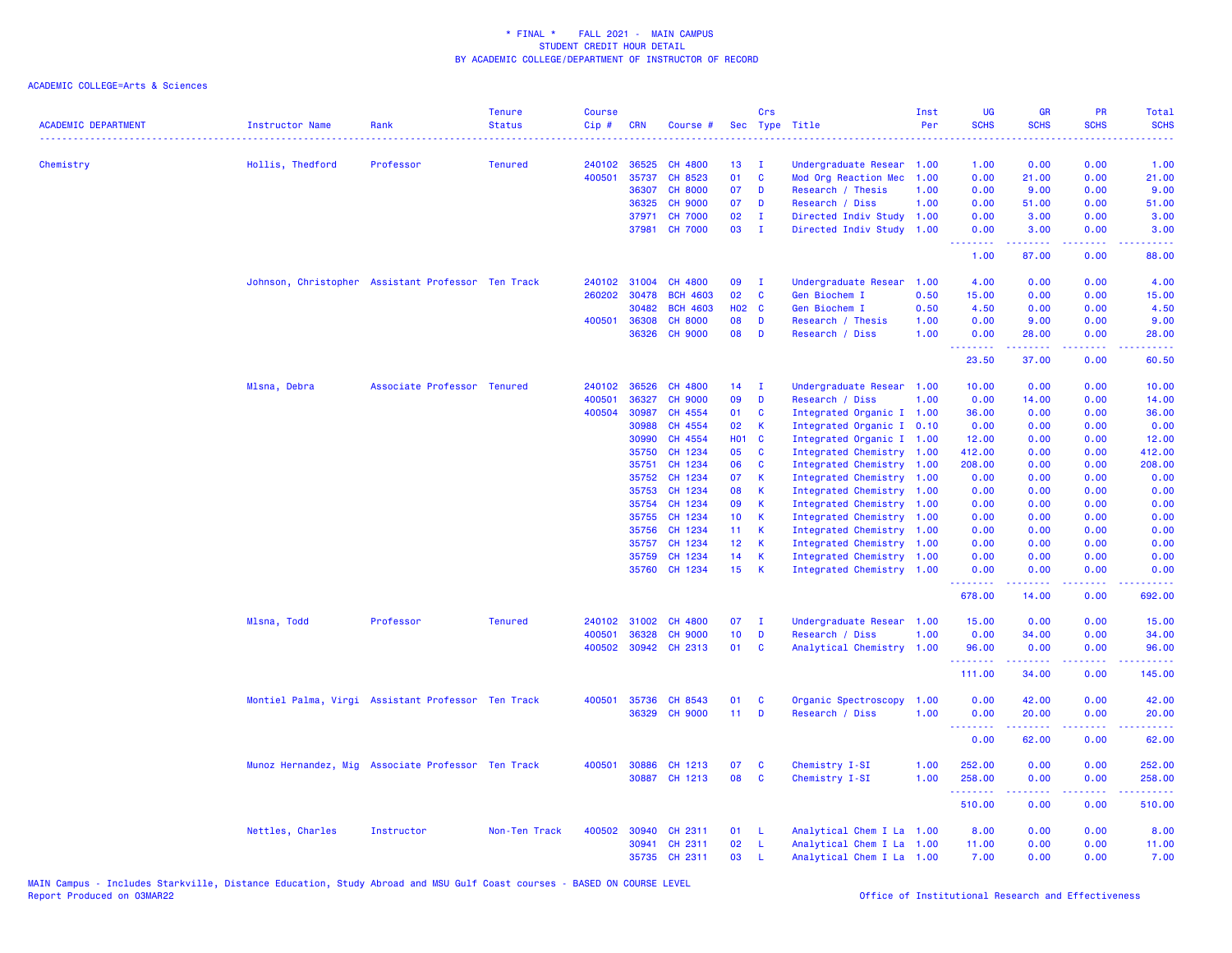| <b>ACADEMIC DEPARTMENT</b> | Instructor Name                                    | Rank                        | <b>Tenure</b><br><b>Status</b> | <b>Course</b><br>Cip# | <b>CRN</b> | Course #        |                 | Crs          | Sec Type Title            | Inst<br>Per | <b>UG</b><br><b>SCHS</b>        | <b>GR</b><br><b>SCHS</b> | <b>PR</b><br><b>SCHS</b>       | <b>Total</b><br><b>SCHS</b><br>. |
|----------------------------|----------------------------------------------------|-----------------------------|--------------------------------|-----------------------|------------|-----------------|-----------------|--------------|---------------------------|-------------|---------------------------------|--------------------------|--------------------------------|----------------------------------|
| Chemistry                  | Hollis, Thedford                                   | Professor                   | <b>Tenured</b>                 | 240102                | 36525      | <b>CH 4800</b>  | 13 <sup>°</sup> | $\mathbf{I}$ | Undergraduate Resear 1.00 |             | 1.00                            | 0.00                     | 0.00                           | 1.00                             |
|                            |                                                    |                             |                                | 400501                | 35737      | CH 8523         | 01              | $\mathbf{C}$ | Mod Org Reaction Mec      | 1.00        | 0.00                            | 21.00                    | 0.00                           | 21.00                            |
|                            |                                                    |                             |                                |                       | 36307      | <b>CH 8000</b>  | 07              | D            | Research / Thesis         | 1.00        | 0.00                            | 9.00                     | 0.00                           | 9.00                             |
|                            |                                                    |                             |                                |                       | 36325      | <b>CH 9000</b>  | 07              | D            | Research / Diss           | 1.00        | 0.00                            | 51.00                    | 0.00                           | 51.00                            |
|                            |                                                    |                             |                                |                       | 37971      | <b>CH 7000</b>  | 02              | $\mathbf{I}$ | Directed Indiv Study      | 1.00        | 0.00                            | 3.00                     | 0.00                           | 3.00                             |
|                            |                                                    |                             |                                |                       | 37981      | <b>CH 7000</b>  | 03              | $\mathbf{I}$ | Directed Indiv Study      | 1.00        | 0.00<br>.                       | 3.00<br>.                | 0.00<br>.                      | 3.00<br>د د د د د                |
|                            |                                                    |                             |                                |                       |            |                 |                 |              |                           |             | 1.00                            | 87.00                    | 0.00                           | 88.00                            |
|                            | Johnson, Christopher Assistant Professor Ten Track |                             |                                | 240102                | 31004      | CH 4800         | 09              | $\mathbf{I}$ | Undergraduate Resear      | 1.00        | 4.00                            | 0.00                     | 0.00                           | 4.00                             |
|                            |                                                    |                             |                                | 260202                | 30478      | <b>BCH 4603</b> | 02              | <b>C</b>     | Gen Biochem I             | 0.50        | 15.00                           | 0.00                     | 0.00                           | 15.00                            |
|                            |                                                    |                             |                                |                       | 30482      | <b>BCH 4603</b> | <b>HO2 C</b>    |              | Gen Biochem I             | 0.50        | 4.50                            | 0.00                     | 0.00                           | 4.50                             |
|                            |                                                    |                             |                                | 400501                | 36308      | <b>CH 8000</b>  | 08              | D            | Research / Thesis         | 1.00        | 0.00                            | 9.00                     | 0.00                           | 9.00                             |
|                            |                                                    |                             |                                |                       | 36326      | <b>CH 9000</b>  | 08              | D            | Research / Diss           | 1.00        | 0.00<br><u> - - - - - - - -</u> | 28.00<br>.               | 0.00<br>.                      | 28.00<br>د د د د د               |
|                            |                                                    |                             |                                |                       |            |                 |                 |              |                           |             | 23.50                           | 37.00                    | 0.00                           | 60.50                            |
|                            | Mlsna, Debra                                       | Associate Professor Tenured |                                | 240102                | 36526      | CH 4800         | 14              | $\mathbf{I}$ | Undergraduate Resear      | 1.00        | 10.00                           | 0.00                     | 0.00                           | 10.00                            |
|                            |                                                    |                             |                                | 400501                | 36327      | <b>CH 9000</b>  | 09              | D            | Research / Diss           | 1.00        | 0.00                            | 14.00                    | 0.00                           | 14.00                            |
|                            |                                                    |                             |                                | 400504                | 30987      | CH 4554         | 01              | <b>C</b>     | Integrated Organic I 1.00 |             | 36.00                           | 0.00                     | 0.00                           | 36.00                            |
|                            |                                                    |                             |                                |                       | 30988      | CH 4554         | 02              | $\mathbf{K}$ | Integrated Organic I 0.10 |             | 0.00                            | 0.00                     | 0.00                           | 0.00                             |
|                            |                                                    |                             |                                |                       | 30990      | CH 4554         | H01 C           |              | Integrated Organic I 1.00 |             | 12.00                           | 0.00                     | 0.00                           | 12.00                            |
|                            |                                                    |                             |                                |                       | 35750      | CH 1234         | 05              | <b>C</b>     | Integrated Chemistry 1.00 |             | 412.00                          | 0.00                     | 0.00                           | 412.00                           |
|                            |                                                    |                             |                                |                       | 35751      | CH 1234         | 06              | $\mathbf{C}$ | Integrated Chemistry 1.00 |             | 208.00                          | 0.00                     | 0.00                           | 208.00                           |
|                            |                                                    |                             |                                |                       | 35752      | CH 1234         | 07              | -K           | Integrated Chemistry 1.00 |             | 0.00                            | 0.00                     | 0.00                           | 0.00                             |
|                            |                                                    |                             |                                |                       | 35753      | CH 1234         | 08              | - K          | Integrated Chemistry 1.00 |             | 0.00                            | 0.00                     | 0.00                           | 0.00                             |
|                            |                                                    |                             |                                |                       | 35754      | CH 1234         | 09              | $\mathsf{K}$ | Integrated Chemistry 1.00 |             | 0.00                            | 0.00                     | 0.00                           | 0.00                             |
|                            |                                                    |                             |                                |                       | 35755      | CH 1234         | 10 <sub>1</sub> | $\mathbf{K}$ | Integrated Chemistry 1.00 |             | 0.00                            | 0.00                     | 0.00                           | 0.00                             |
|                            |                                                    |                             |                                |                       | 35756      | CH 1234         | 11 <sub>1</sub> | $\mathbf{K}$ | Integrated Chemistry 1.00 |             | 0.00                            | 0.00                     | 0.00                           | 0.00                             |
|                            |                                                    |                             |                                |                       | 35757      | CH 1234         | 12 <sub>2</sub> | $\mathbf{K}$ | Integrated Chemistry 1.00 |             | 0.00                            | 0.00                     | 0.00                           | 0.00                             |
|                            |                                                    |                             |                                |                       | 35759      | CH 1234         | 14              | $\mathsf{K}$ | Integrated Chemistry 1.00 |             | 0.00                            | 0.00                     | 0.00                           | 0.00                             |
|                            |                                                    |                             |                                |                       | 35760      | CH 1234         | 15 <sub>1</sub> | - K          | Integrated Chemistry 1.00 |             | 0.00                            | 0.00                     | 0.00<br>$\omega$ is a $\omega$ | 0.00                             |
|                            |                                                    |                             |                                |                       |            |                 |                 |              |                           |             | 678.00                          | 14.00                    | 0.00                           | 692.00                           |
|                            | Mlsna, Todd                                        | Professor                   | <b>Tenured</b>                 | 240102                | 31002      | <b>CH 4800</b>  | 07              | $\mathbf{I}$ | Undergraduate Resear 1.00 |             | 15.00                           | 0.00                     | 0.00                           | 15.00                            |
|                            |                                                    |                             |                                | 400501                | 36328      | <b>CH 9000</b>  | 10 <sub>1</sub> | D            | Research / Diss           | 1.00        | 0.00                            | 34.00                    | 0.00                           | 34.00                            |
|                            |                                                    |                             |                                | 400502                |            | 30942 CH 2313   | 01              | <b>C</b>     | Analytical Chemistry 1.00 |             | 96.00<br>.                      | 0.00<br>المتمامين        | 0.00<br>.                      | 96.00<br>222222                  |
|                            |                                                    |                             |                                |                       |            |                 |                 |              |                           |             | 111.00                          | 34.00                    | 0.00                           | 145.00                           |
|                            | Montiel Palma, Virgi Assistant Professor Ten Track |                             |                                | 400501                | 35736      | CH 8543         | 01              | C            | Organic Spectroscopy      | 1.00        | 0.00                            | 42.00                    | 0.00                           | 42.00                            |
|                            |                                                    |                             |                                |                       | 36329      | <b>CH 9000</b>  | 11 <sub>1</sub> | D            | Research / Diss           | 1.00        | 0.00                            | 20.00                    | 0.00                           | 20.00                            |
|                            |                                                    |                             |                                |                       |            |                 |                 |              |                           |             | <u>.</u><br>0.00                | 62.00                    | د د د د<br>0.00                | وبالمستريب<br>62.00              |
|                            | Munoz Hernandez, Mig Associate Professor Ten Track |                             |                                | 400501                | 30886      | CH 1213         | 07              | <b>C</b>     | Chemistry I-SI            | 1.00        | 252.00                          | 0.00                     | 0.00                           | 252.00                           |
|                            |                                                    |                             |                                |                       |            | 30887 CH 1213   | 08              | $\mathbf{C}$ | Chemistry I-SI            | 1.00        | 258.00<br>.                     | 0.00<br>-----            | 0.00<br>.                      | 258.00<br>.                      |
|                            |                                                    |                             |                                |                       |            |                 |                 |              |                           |             | 510.00                          | 0.00                     | 0.00                           | 510.00                           |
|                            | Nettles, Charles                                   | Instructor                  | Non-Ten Track                  | 400502                | 30940      | CH 2311         | 01              | - L          | Analytical Chem I La 1.00 |             | 8.00                            | 0.00                     | 0.00                           | 8.00                             |
|                            |                                                    |                             |                                |                       | 30941      | CH 2311         | 02              | -L           | Analytical Chem I La 1.00 |             | 11.00                           | 0.00                     | 0.00                           | 11.00                            |
|                            |                                                    |                             |                                |                       | 35735      | CH 2311         | 03              | $\mathsf{L}$ | Analytical Chem I La 1.00 |             | 7.00                            | 0.00                     | 0.00                           | 7.00                             |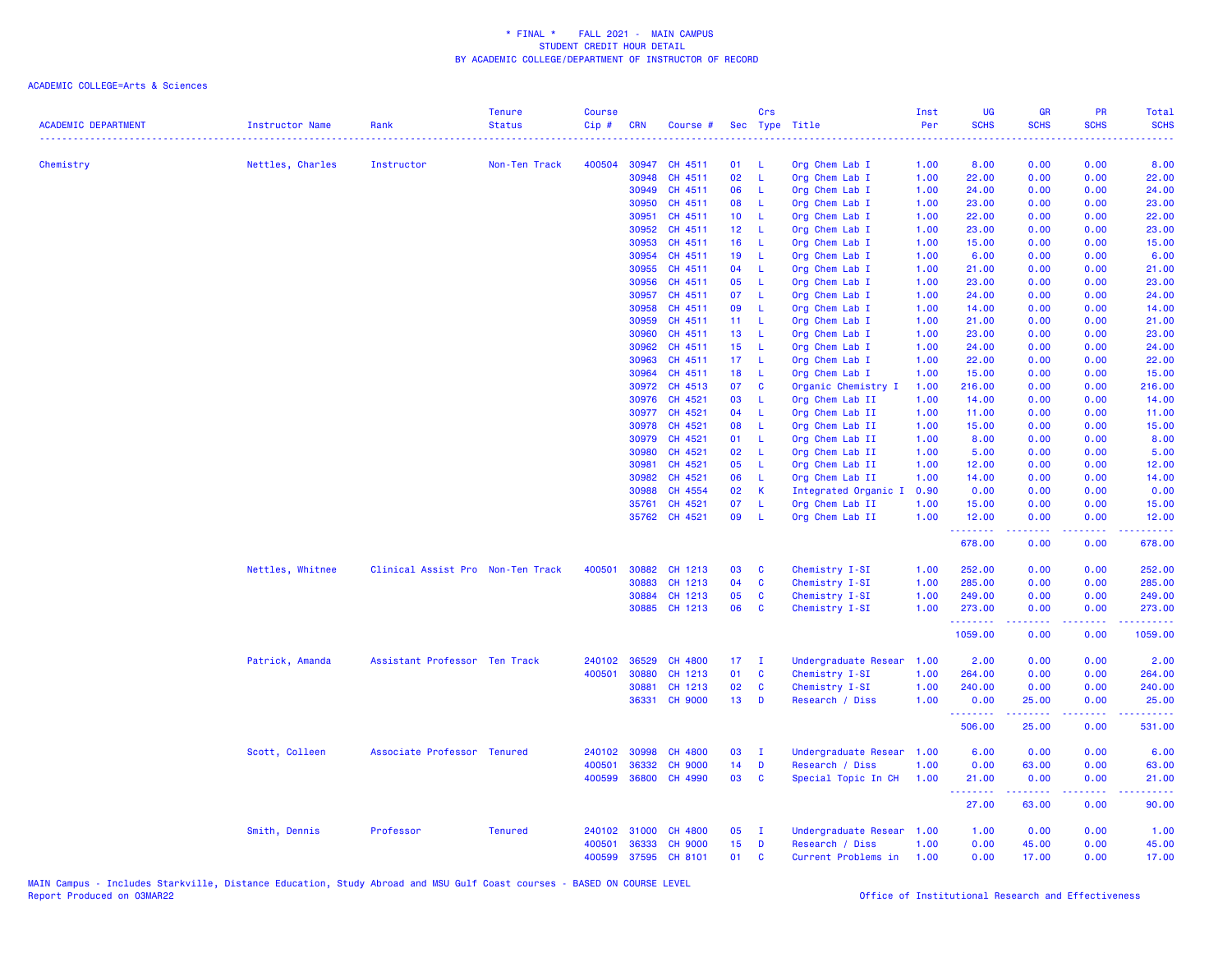| <b>ACADEMIC DEPARTMENT</b> | Instructor Name  | Rank                              | <b>Tenure</b><br><b>Status</b> | <b>Course</b><br>Cip# | <b>CRN</b> | Course #       |                 | Crs          | Sec Type Title       | Inst<br>Per | <b>UG</b><br><b>SCHS</b>                                    | <b>GR</b><br><b>SCHS</b> | <b>PR</b><br><b>SCHS</b> | Total<br><b>SCHS</b>                                                                                                                                          |
|----------------------------|------------------|-----------------------------------|--------------------------------|-----------------------|------------|----------------|-----------------|--------------|----------------------|-------------|-------------------------------------------------------------|--------------------------|--------------------------|---------------------------------------------------------------------------------------------------------------------------------------------------------------|
|                            |                  | . <u>.</u> .                      |                                |                       |            |                |                 |              |                      | .           |                                                             |                          |                          | .                                                                                                                                                             |
| Chemistry                  | Nettles, Charles | Instructor                        | Non-Ten Track                  | 400504                | 30947      | CH 4511        | 01              | - L          | Org Chem Lab I       | 1.00        | 8.00                                                        | 0.00                     | 0.00                     | 8.00                                                                                                                                                          |
|                            |                  |                                   |                                |                       | 30948      | CH 4511        | 02              | L            | Org Chem Lab I       | 1.00        | 22.00                                                       | 0.00                     | 0.00                     | 22.00                                                                                                                                                         |
|                            |                  |                                   |                                |                       | 30949      | CH 4511        | 06              | L            | Org Chem Lab I       | 1.00        | 24.00                                                       | 0.00                     | 0.00                     | 24.00                                                                                                                                                         |
|                            |                  |                                   |                                |                       | 30950      | CH 4511        | 08              | L.           | Org Chem Lab I       | 1.00        | 23.00                                                       | 0.00                     | 0.00                     | 23.00                                                                                                                                                         |
|                            |                  |                                   |                                |                       | 30951      | CH 4511        | 10 <sub>1</sub> | L            | Org Chem Lab I       | 1.00        | 22.00                                                       | 0.00                     | 0.00                     | 22.00                                                                                                                                                         |
|                            |                  |                                   |                                |                       | 30952      | CH 4511        | 12 <sub>2</sub> | L            | Org Chem Lab I       | 1.00        | 23.00                                                       | 0.00                     | 0.00                     | 23.00                                                                                                                                                         |
|                            |                  |                                   |                                |                       | 30953      | CH 4511        | 16              | -L           | Org Chem Lab I       | 1.00        | 15.00                                                       | 0.00                     | 0.00                     | 15.00                                                                                                                                                         |
|                            |                  |                                   |                                |                       | 30954      | CH 4511        | 19              | L            | Org Chem Lab I       | 1.00        | 6.00                                                        | 0.00                     | 0.00                     | 6.00                                                                                                                                                          |
|                            |                  |                                   |                                |                       | 30955      | CH 4511        | 04              | <b>L</b>     | Org Chem Lab I       | 1.00        | 21.00                                                       | 0.00                     | 0.00                     | 21.00                                                                                                                                                         |
|                            |                  |                                   |                                |                       | 30956      | CH 4511        | 05              | -L           | Org Chem Lab I       | 1.00        | 23.00                                                       | 0.00                     | 0.00                     | 23.00                                                                                                                                                         |
|                            |                  |                                   |                                |                       | 30957      | CH 4511        | 07              | L.           | Org Chem Lab I       | 1.00        | 24.00                                                       | 0.00                     | 0.00                     | 24.00                                                                                                                                                         |
|                            |                  |                                   |                                |                       | 30958      | CH 4511        | 09              | -L           | Org Chem Lab I       | 1.00        | 14.00                                                       | 0.00                     | 0.00                     | 14.00                                                                                                                                                         |
|                            |                  |                                   |                                |                       | 30959      | CH 4511        | 11 <sub>1</sub> | $\mathsf{L}$ | Org Chem Lab I       | 1.00        | 21.00                                                       | 0.00                     | 0.00                     | 21.00                                                                                                                                                         |
|                            |                  |                                   |                                |                       | 30960      | CH 4511        | 13              | -L           | Org Chem Lab I       | 1.00        | 23.00                                                       | 0.00                     | 0.00                     | 23.00                                                                                                                                                         |
|                            |                  |                                   |                                |                       | 30962      | CH 4511        | 15 <sub>1</sub> | L            | Org Chem Lab I       | 1.00        | 24.00                                                       | 0.00                     | 0.00                     | 24.00                                                                                                                                                         |
|                            |                  |                                   |                                |                       | 30963      | CH 4511        | 17 <sub>1</sub> | -L           | Org Chem Lab I       | 1.00        | 22.00                                                       | 0.00                     | 0.00                     | 22.00                                                                                                                                                         |
|                            |                  |                                   |                                |                       | 30964      | CH 4511        | 18              | L            | Org Chem Lab I       | 1.00        | 15.00                                                       | 0.00                     | 0.00                     | 15.00                                                                                                                                                         |
|                            |                  |                                   |                                |                       | 30972      | CH 4513        | 07              | C            | Organic Chemistry I  | 1.00        | 216.00                                                      | 0.00                     | 0.00                     | 216.00                                                                                                                                                        |
|                            |                  |                                   |                                |                       | 30976      | CH 4521        | 03              | L            | Org Chem Lab II      | 1.00        | 14.00                                                       | 0.00                     | 0.00                     | 14.00                                                                                                                                                         |
|                            |                  |                                   |                                |                       | 30977      | CH 4521        | 04              | L            | Org Chem Lab II      | 1.00        | 11.00                                                       | 0.00                     | 0.00                     | 11.00                                                                                                                                                         |
|                            |                  |                                   |                                |                       | 30978      | CH 4521        | 08              | L.           | Org Chem Lab II      | 1.00        | 15.00                                                       | 0.00                     | 0.00                     | 15.00                                                                                                                                                         |
|                            |                  |                                   |                                |                       | 30979      | CH 4521        | 01              | -L           | Org Chem Lab II      | 1.00        | 8.00                                                        | 0.00                     | 0.00                     | 8.00                                                                                                                                                          |
|                            |                  |                                   |                                |                       | 30980      | CH 4521        | 02              | -L           | Org Chem Lab II      | 1.00        | 5.00                                                        | 0.00                     | 0.00                     | 5.00                                                                                                                                                          |
|                            |                  |                                   |                                |                       | 30981      | CH 4521        | 05              | -L           | Org Chem Lab II      | 1.00        | 12.00                                                       | 0.00                     | 0.00                     | 12.00                                                                                                                                                         |
|                            |                  |                                   |                                |                       | 30982      | CH 4521        | 06              | L.           | Org Chem Lab II      | 1.00        | 14.00                                                       | 0.00                     | 0.00                     | 14.00                                                                                                                                                         |
|                            |                  |                                   |                                |                       | 30988      | CH 4554        | 02              | K            | Integrated Organic I | 0.90        | 0.00                                                        | 0.00                     | 0.00                     | 0.00                                                                                                                                                          |
|                            |                  |                                   |                                |                       | 35761      | CH 4521        | 07              | L            | Org Chem Lab II      | 1.00        | 15.00                                                       | 0.00                     | 0.00                     | 15.00                                                                                                                                                         |
|                            |                  |                                   |                                |                       |            | 35762 CH 4521  | 09              | L            | Org Chem Lab II      | 1.00        | 12.00                                                       | 0.00                     | 0.00                     | 12.00                                                                                                                                                         |
|                            |                  |                                   |                                |                       |            |                |                 |              |                      |             | .                                                           | .                        | .                        | .                                                                                                                                                             |
|                            |                  |                                   |                                |                       |            |                |                 |              |                      |             | 678.00                                                      | 0.00                     | 0.00                     | 678.00                                                                                                                                                        |
|                            | Nettles, Whitnee | Clinical Assist Pro Non-Ten Track |                                | 400501                | 30882      | CH 1213        | 03              | C            | Chemistry I-SI       | 1.00        | 252.00                                                      | 0.00                     | 0.00                     | 252.00                                                                                                                                                        |
|                            |                  |                                   |                                |                       | 30883      | CH 1213        | 04              | $\mathbf c$  | Chemistry I-SI       | 1.00        | 285.00                                                      | 0.00                     | 0.00                     | 285.00                                                                                                                                                        |
|                            |                  |                                   |                                |                       | 30884      | CH 1213        | 05              | C            | Chemistry I-SI       | 1.00        | 249.00                                                      | 0.00                     | 0.00                     | 249.00                                                                                                                                                        |
|                            |                  |                                   |                                |                       |            | 30885 CH 1213  | 06              | C            | Chemistry I-SI       | 1.00        | 273.00                                                      | 0.00                     | 0.00                     | 273.00                                                                                                                                                        |
|                            |                  |                                   |                                |                       |            |                |                 |              |                      |             |                                                             |                          |                          | المستمات                                                                                                                                                      |
|                            |                  |                                   |                                |                       |            |                |                 |              |                      |             | 1059.00                                                     | 0.00                     | 0.00                     | 1059.00                                                                                                                                                       |
|                            | Patrick, Amanda  | Assistant Professor Ten Track     |                                | 240102                | 36529      | CH 4800        | 17              | $\mathbf{I}$ | Undergraduate Resear | 1.00        | 2.00                                                        | 0.00                     | 0.00                     | 2.00                                                                                                                                                          |
|                            |                  |                                   |                                | 400501                | 30880      | CH 1213        | 01              | C            | Chemistry I-SI       | 1.00        | 264.00                                                      | 0.00                     | 0.00                     | 264.00                                                                                                                                                        |
|                            |                  |                                   |                                |                       | 30881      | CH 1213        | 02              | C            | Chemistry I-SI       | 1.00        | 240.00                                                      | 0.00                     | 0.00                     | 240.00                                                                                                                                                        |
|                            |                  |                                   |                                |                       |            | 36331 CH 9000  | 13 <sup>°</sup> | D            | Research / Diss      | 1.00        | 0.00<br><u>.</u>                                            | 25.00<br>.               | 0.00<br>-----            | 25.00<br>$\frac{1}{2} \left( \frac{1}{2} \right) \left( \frac{1}{2} \right) \left( \frac{1}{2} \right) \left( \frac{1}{2} \right) \left( \frac{1}{2} \right)$ |
|                            |                  |                                   |                                |                       |            |                |                 |              |                      |             | 506.00                                                      | 25.00                    | 0.00                     | 531.00                                                                                                                                                        |
|                            | Scott, Colleen   | Associate Professor Tenured       |                                | 240102                | 30998      | <b>CH 4800</b> | 03              | - 1          | Undergraduate Resear | 1.00        | 6.00                                                        | 0.00                     | 0.00                     | 6.00                                                                                                                                                          |
|                            |                  |                                   |                                | 400501                | 36332      | <b>CH 9000</b> | 14              | D            | Research / Diss      | 1.00        | 0.00                                                        | 63.00                    | 0.00                     | 63.00                                                                                                                                                         |
|                            |                  |                                   |                                | 400599                | 36800      | CH 4990        | 03              | C            | Special Topic In CH  | 1.00        | 21.00<br><b><i><u><u><b>A</b></u></u> A A A A A A A</i></b> | 0.00<br>.                | 0.00<br>.                | 21.00<br>.                                                                                                                                                    |
|                            |                  |                                   |                                |                       |            |                |                 |              |                      |             | 27.00                                                       | 63.00                    | 0.00                     | 90.00                                                                                                                                                         |
|                            | Smith, Dennis    | Professor                         | <b>Tenured</b>                 | 240102                | 31000      | <b>CH 4800</b> | 05              | $\mathbf{I}$ | Undergraduate Resear | 1.00        | 1.00                                                        | 0.00                     | 0.00                     | 1.00                                                                                                                                                          |
|                            |                  |                                   |                                | 400501                |            | 36333 CH 9000  | 15              | D            | Research / Diss      | 1.00        | 0.00                                                        | 45.00                    | 0.00                     | 45.00                                                                                                                                                         |
|                            |                  |                                   |                                | 400599                |            | 37595 CH 8101  | 01              | $\mathbf{C}$ | Current Problems in  | 1.00        | 0.00                                                        | 17.00                    | 0.00                     | 17.00                                                                                                                                                         |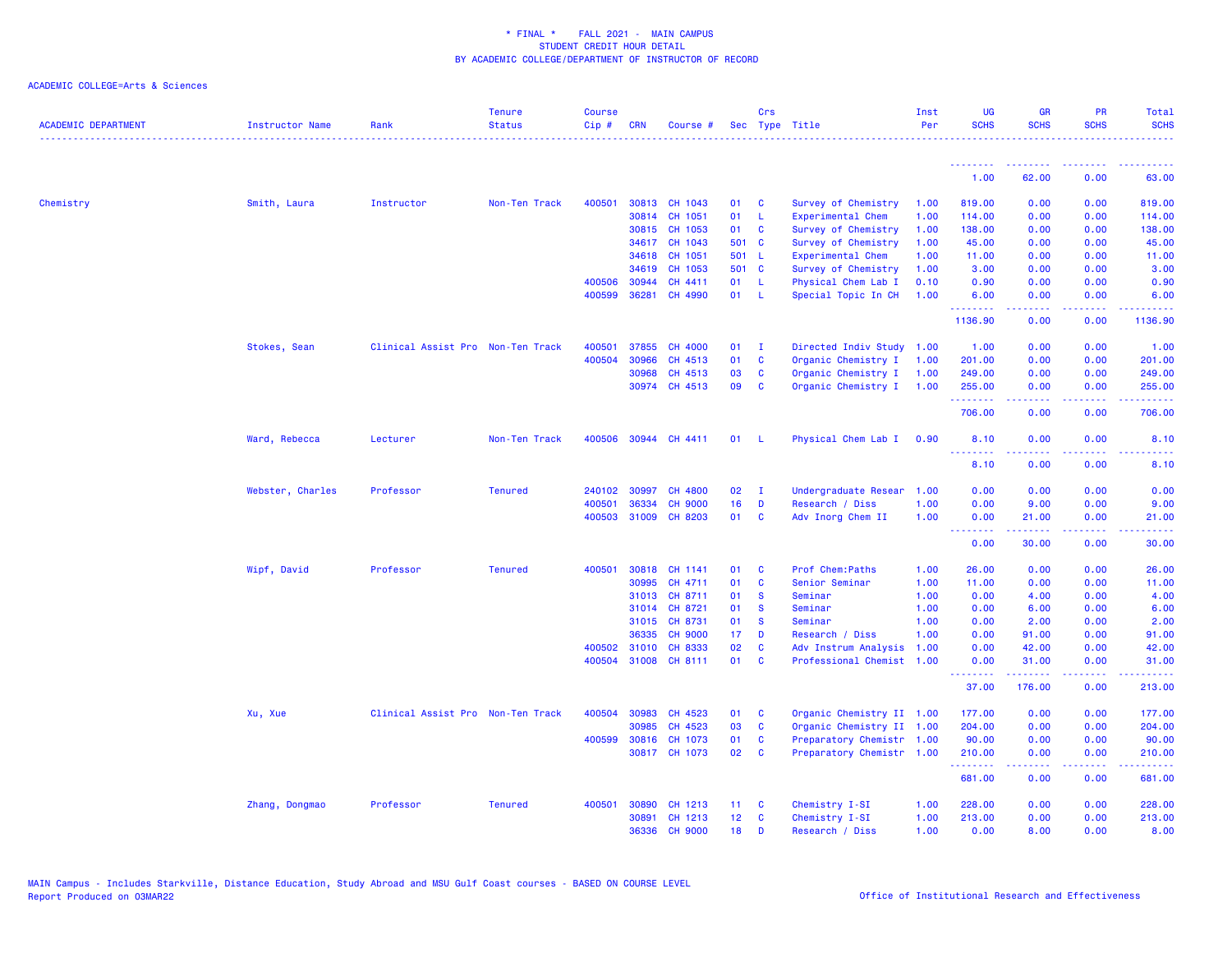| <b>ACADEMIC DEPARTMENT</b> | <b>Instructor Name</b> | Rank                              | <b>Tenure</b><br><b>Status</b> | <b>Course</b><br>Cip# | <b>CRN</b>     | Course #             |                 | Crs               | Sec Type Title            | Inst<br>Per | UG<br><b>SCHS</b> | <b>GR</b><br><b>SCHS</b>                                                                                                                                     | <b>PR</b><br><b>SCHS</b> | Total<br><b>SCHS</b>                                                                                                                                           |
|----------------------------|------------------------|-----------------------------------|--------------------------------|-----------------------|----------------|----------------------|-----------------|-------------------|---------------------------|-------------|-------------------|--------------------------------------------------------------------------------------------------------------------------------------------------------------|--------------------------|----------------------------------------------------------------------------------------------------------------------------------------------------------------|
|                            |                        |                                   |                                |                       |                |                      |                 |                   |                           |             | <u>.</u>          | .                                                                                                                                                            |                          |                                                                                                                                                                |
|                            |                        |                                   |                                |                       |                |                      |                 |                   |                           |             | 1.00              | 62.00                                                                                                                                                        | 0.00                     | 63.00                                                                                                                                                          |
| Chemistry                  | Smith, Laura           | Instructor                        | Non-Ten Track                  | 400501                |                | 30813 CH 1043        | 01              | C                 | Survey of Chemistry       | 1.00        | 819.00            | 0.00                                                                                                                                                         | 0.00                     | 819.00                                                                                                                                                         |
|                            |                        |                                   |                                |                       |                | 30814 CH 1051        | 01              | -L                | Experimental Chem         | 1.00        | 114.00            | 0.00                                                                                                                                                         | 0.00                     | 114.00                                                                                                                                                         |
|                            |                        |                                   |                                |                       |                | 30815 CH 1053        | 01              | <b>C</b>          | Survey of Chemistry       | 1.00        | 138.00            | 0.00                                                                                                                                                         | 0.00                     | 138.00                                                                                                                                                         |
|                            |                        |                                   |                                |                       |                | 34617 CH 1043        | 501 C           |                   | Survey of Chemistry       | 1.00        | 45.00             | 0.00                                                                                                                                                         | 0.00                     | 45.00                                                                                                                                                          |
|                            |                        |                                   |                                |                       | 34618          | CH 1051              | 501 L           |                   | Experimental Chem         | 1.00        | 11.00             | 0.00                                                                                                                                                         | 0.00                     | 11.00                                                                                                                                                          |
|                            |                        |                                   |                                |                       | 34619          | CH 1053              | 501 C           |                   | Survey of Chemistry       | 1.00        | 3.00              | 0.00                                                                                                                                                         | 0.00                     | 3.00                                                                                                                                                           |
|                            |                        |                                   |                                | 400506<br>400599      | 30944<br>36281 | CH 4411              | 01<br>01        | L<br>$\mathsf{L}$ | Physical Chem Lab I       | 0.10        | 0.90              | 0.00                                                                                                                                                         | 0.00                     | 0.90                                                                                                                                                           |
|                            |                        |                                   |                                |                       |                | CH 4990              |                 |                   | Special Topic In CH       | 1.00        | 6.00<br><u>.</u>  | 0.00<br>المستملة                                                                                                                                             | 0.00<br>د د د د .        | 6.00                                                                                                                                                           |
|                            |                        |                                   |                                |                       |                |                      |                 |                   |                           |             | 1136.90           | 0.00                                                                                                                                                         | 0.00                     | 1136.90                                                                                                                                                        |
|                            | Stokes, Sean           | Clinical Assist Pro Non-Ten Track |                                | 400501                | 37855          | CH 4000              | 01              | $\mathbf{I}$      | Directed Indiv Study 1.00 |             | 1.00              | 0.00                                                                                                                                                         | 0.00                     | 1.00                                                                                                                                                           |
|                            |                        |                                   |                                | 400504                | 30966          | CH 4513              | 01              | C                 | Organic Chemistry I       | 1.00        | 201.00            | 0.00                                                                                                                                                         | 0.00                     | 201.00                                                                                                                                                         |
|                            |                        |                                   |                                |                       | 30968          | CH 4513              | 03              | C                 | Organic Chemistry I       | 1.00        | 249.00            | 0.00                                                                                                                                                         | 0.00                     | 249.00                                                                                                                                                         |
|                            |                        |                                   |                                |                       |                | 30974 CH 4513        | 09              | C                 | Organic Chemistry I       | 1.00        | 255.00<br>.       | 0.00<br>2.2.2.2.2                                                                                                                                            | 0.00<br>.                | 255.00<br>$\frac{1}{2} \left( \frac{1}{2} \right) \left( \frac{1}{2} \right) \left( \frac{1}{2} \right) \left( \frac{1}{2} \right) \left( \frac{1}{2} \right)$ |
|                            |                        |                                   |                                |                       |                |                      |                 |                   |                           |             | 706.00            | 0.00                                                                                                                                                         | 0.00                     | 706.00                                                                                                                                                         |
|                            | Ward, Rebecca          | Lecturer                          | Non-Ten Track                  |                       |                | 400506 30944 CH 4411 | 01              | - 1.              | Physical Chem Lab I       | 0.90        | 8.10              | 0.00                                                                                                                                                         | 0.00                     | 8.10                                                                                                                                                           |
|                            |                        |                                   |                                |                       |                |                      |                 |                   |                           |             | 8.10              | 0.00                                                                                                                                                         | 0.00                     | 8.10                                                                                                                                                           |
|                            | Webster, Charles       | Professor                         | <b>Tenured</b>                 |                       | 240102 30997   | CH 4800              | 02              | $\mathbf{I}$      | Undergraduate Resear      | 1.00        | 0.00              | 0.00                                                                                                                                                         | 0.00                     | 0.00                                                                                                                                                           |
|                            |                        |                                   |                                | 400501                | 36334          | <b>CH 9000</b>       | 16              | D                 | Research / Diss           | 1.00        | 0.00              | 9.00                                                                                                                                                         | 0.00                     | 9.00                                                                                                                                                           |
|                            |                        |                                   |                                |                       | 400503 31009   | CH 8203              | 01              | C                 | Adv Inorg Chem II         | 1.00        | 0.00              | 21.00                                                                                                                                                        | 0.00                     | 21.00                                                                                                                                                          |
|                            |                        |                                   |                                |                       |                |                      |                 |                   |                           |             | <b></b><br>0.00   | د د د د د<br>30.00                                                                                                                                           | .<br>0.00                | 30.00                                                                                                                                                          |
|                            | Wipf, David            | Professor                         | <b>Tenured</b>                 | 400501                | 30818          | CH 1141              | 01              | C                 | Prof Chem: Paths          | 1.00        | 26.00             | 0.00                                                                                                                                                         | 0.00                     | 26.00                                                                                                                                                          |
|                            |                        |                                   |                                |                       | 30995          | CH 4711              | 01              | <b>C</b>          | Senior Seminar            | 1.00        | 11.00             | 0.00                                                                                                                                                         | 0.00                     | 11.00                                                                                                                                                          |
|                            |                        |                                   |                                |                       | 31013          | CH 8711              | 01              | <b>S</b>          | Seminar                   | 1.00        | 0.00              | 4.00                                                                                                                                                         | 0.00                     | 4.00                                                                                                                                                           |
|                            |                        |                                   |                                |                       | 31014          | CH 8721              | 01              | $\mathbf{s}$      | Seminar                   | 1.00        | 0.00              | 6.00                                                                                                                                                         | 0.00                     | 6.00                                                                                                                                                           |
|                            |                        |                                   |                                |                       | 31015          | CH 8731              | 01              | <b>S</b>          | Seminar                   | 1.00        | 0.00              | 2.00                                                                                                                                                         | 0.00                     | 2.00                                                                                                                                                           |
|                            |                        |                                   |                                |                       | 36335          | <b>CH 9000</b>       | 17 <sub>2</sub> | D                 | Research / Diss           | 1.00        | 0.00              | 91.00                                                                                                                                                        | 0.00                     | 91.00                                                                                                                                                          |
|                            |                        |                                   |                                |                       | 400502 31010   | CH 8333              | 02              | C                 | Adv Instrum Analysis      | 1.00        | 0.00              | 42.00                                                                                                                                                        | 0.00                     | 42.00                                                                                                                                                          |
|                            |                        |                                   |                                |                       | 400504 31008   | CH 8111              | 01              | <b>C</b>          | Professional Chemist 1.00 |             | 0.00<br>.         | 31.00<br>.                                                                                                                                                   | 0.00<br>.                | 31.00<br>$\begin{array}{cccccccccc} \bullet & \bullet & \bullet & \bullet & \bullet & \bullet & \bullet & \bullet \end{array}$                                 |
|                            |                        |                                   |                                |                       |                |                      |                 |                   |                           |             | 37.00             | 176.00                                                                                                                                                       | 0.00                     | 213.00                                                                                                                                                         |
|                            | Xu, Xue                | Clinical Assist Pro Non-Ten Track |                                | 400504                | 30983          | CH 4523              | 01              | C                 | Organic Chemistry II 1.00 |             | 177.00            | 0.00                                                                                                                                                         | 0.00                     | 177.00                                                                                                                                                         |
|                            |                        |                                   |                                |                       | 30985          | CH 4523              | 03              | C                 | Organic Chemistry II 1.00 |             | 204.00            | 0.00                                                                                                                                                         | 0.00                     | 204.00                                                                                                                                                         |
|                            |                        |                                   |                                |                       | 400599 30816   | CH 1073              | 01              | <b>C</b>          | Preparatory Chemistr 1.00 |             | 90.00             | 0.00                                                                                                                                                         | 0.00                     | 90.00                                                                                                                                                          |
|                            |                        |                                   |                                |                       |                | 30817 CH 1073        | 02              | <b>C</b>          | Preparatory Chemistr 1.00 |             | 210.00<br>.       | 0.00<br>$\frac{1}{2} \left( \frac{1}{2} \right) \left( \frac{1}{2} \right) \left( \frac{1}{2} \right) \left( \frac{1}{2} \right) \left( \frac{1}{2} \right)$ | 0.00<br>.                | 210.00<br>.                                                                                                                                                    |
|                            |                        |                                   |                                |                       |                |                      |                 |                   |                           |             | 681.00            | 0.00                                                                                                                                                         | 0.00                     | 681.00                                                                                                                                                         |
|                            | Zhang, Dongmao         | Professor                         | <b>Tenured</b>                 | 400501                | 30890          | CH 1213              | 11 <sub>1</sub> | C                 | Chemistry I-SI            | 1.00        | 228.00            | 0.00                                                                                                                                                         | 0.00                     | 228.00                                                                                                                                                         |
|                            |                        |                                   |                                |                       | 30891          | CH 1213              | 12 <sup>7</sup> | C                 | Chemistry I-SI            | 1.00        | 213.00            | 0.00                                                                                                                                                         | 0.00                     | 213.00                                                                                                                                                         |
|                            |                        |                                   |                                |                       | 36336          | <b>CH 9000</b>       | 18              | D                 | Research / Diss           | 1.00        | 0.00              | 8.00                                                                                                                                                         | 0.00                     | 8.00                                                                                                                                                           |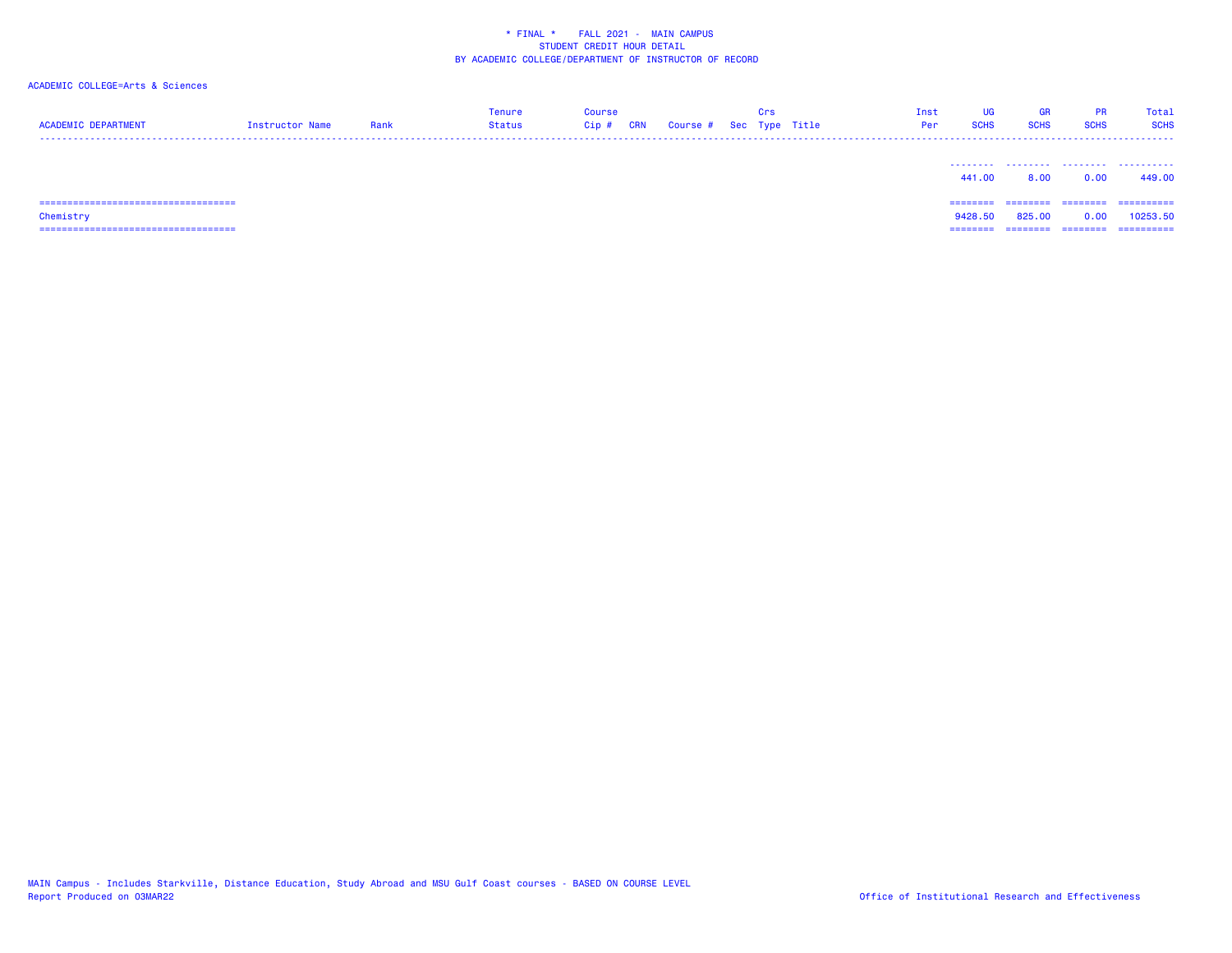| <b>ACADEMIC DEPARTMENT</b>     | Instructor Name | Rank | <b>Tenure</b><br><b>Status</b> | <b>Course</b><br>$Cip$ # | CRN | Course # Sec Type Title | Crs | Inst<br>Per | UG<br><b>SCHS</b> | <b>GR</b><br><b>SCHS</b> | PR<br><b>SCHS</b> | Total<br><b>SCHS</b> |
|--------------------------------|-----------------|------|--------------------------------|--------------------------|-----|-------------------------|-----|-------------|-------------------|--------------------------|-------------------|----------------------|
|                                |                 |      |                                |                          |     |                         |     |             | 441.00            | .<br>8.00                | .<br>0.00         | .<br>449.00          |
| :============================= |                 |      |                                |                          |     |                         |     |             | ========          |                          | ========          | ==========           |
| Chemistry                      |                 |      |                                |                          |     |                         |     |             | 9428.50           | 825.00                   | 0.00              | 10253.50             |
|                                |                 |      |                                |                          |     |                         |     |             | --------          | --------                 | --------          | -----------          |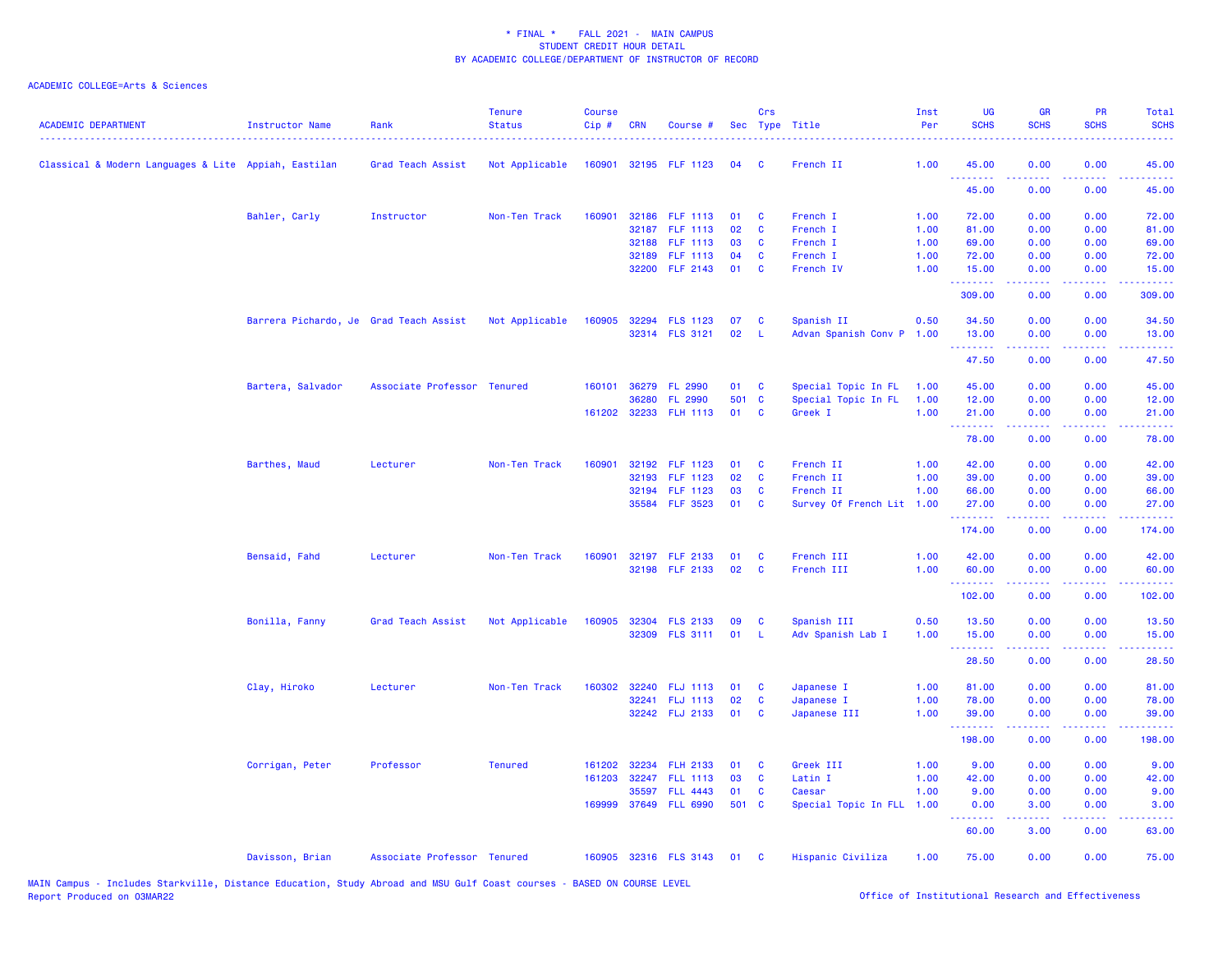# ACADEMIC COLLEGE=Arts & Sciences

| <b>ACADEMIC DEPARTMENT</b>                           | Instructor Name                        | Rank                        | <b>Tenure</b><br><b>Status</b> | <b>Course</b><br>Cip# | <b>CRN</b> | Course #              |       | Crs      | Sec Type Title            | Inst<br>Per | <b>UG</b><br><b>SCHS</b>                        | <b>GR</b><br><b>SCHS</b> | PR<br><b>SCHS</b> | Total<br><b>SCHS</b>       |
|------------------------------------------------------|----------------------------------------|-----------------------------|--------------------------------|-----------------------|------------|-----------------------|-------|----------|---------------------------|-------------|-------------------------------------------------|--------------------------|-------------------|----------------------------|
| Classical & Modern Languages & Lite Appiah, Eastilan |                                        | Grad Teach Assist           | Not Applicable                 | 160901                |            | 32195 FLF 1123        | 04    | C.       | French II                 | 1.00        | 45.00<br><u>.</u>                               | 0.00                     | 0.00              | 45.00<br>.                 |
|                                                      |                                        |                             |                                |                       |            |                       |       |          |                           |             | 45.00                                           | 0.00                     | 0.00              | 45.00                      |
|                                                      | Bahler, Carly                          | Instructor                  | Non-Ten Track                  | 160901                |            | 32186 FLF 1113        | 01    | C        | French I                  | 1.00        | 72.00                                           | 0.00                     | 0.00              | 72.00                      |
|                                                      |                                        |                             |                                |                       |            | 32187 FLF 1113        | 02    | C        | French I                  | 1.00        | 81.00                                           | 0.00                     | 0.00              | 81.00                      |
|                                                      |                                        |                             |                                |                       | 32188      | <b>FLF 1113</b>       | 03    | C        | French I                  | 1.00        | 69.00                                           | 0.00                     | 0.00              | 69.00                      |
|                                                      |                                        |                             |                                |                       |            | 32189 FLF 1113        | 04    | C        | French I                  | 1.00        | 72.00                                           | 0.00                     | 0.00              | 72.00                      |
|                                                      |                                        |                             |                                |                       |            | 32200 FLF 2143        | 01    | C        | French IV                 | 1.00        | 15.00<br>.                                      | 0.00                     | 0.00              | 15.00<br>.                 |
|                                                      |                                        |                             |                                |                       |            |                       |       |          |                           |             | 309.00                                          | 0.00                     | 0.00              | 309.00                     |
|                                                      | Barrera Pichardo, Je Grad Teach Assist |                             | Not Applicable                 | 160905                |            | 32294 FLS 1123        | 07    | C        | Spanish II                | 0.50        | 34.50                                           | 0.00                     | 0.00              | 34.50                      |
|                                                      |                                        |                             |                                |                       |            | 32314 FLS 3121        | 02    | L        | Advan Spanish Conv P      | 1.00        | 13.00<br><b><i><u><u> - - - - -</u></u></i></b> | 0.00<br>.                | 0.00<br>.         | 13.00<br>. د د د د         |
|                                                      |                                        |                             |                                |                       |            |                       |       |          |                           |             | 47.50                                           | 0.00                     | 0.00              | 47.50                      |
|                                                      | Bartera, Salvador                      | Associate Professor Tenured |                                | 160101                |            | 36279 FL 2990         | 01    | C        | Special Topic In FL       | 1.00        | 45.00                                           | 0.00                     | 0.00              | 45.00                      |
|                                                      |                                        |                             |                                |                       | 36280      | <b>FL 2990</b>        | 501 C |          | Special Topic In FL       | 1.00        | 12.00                                           | 0.00                     | 0.00              | 12.00                      |
|                                                      |                                        |                             |                                |                       |            | 161202 32233 FLH 1113 | 01    | C        | Greek I                   | 1.00        | 21.00<br><b></b>                                | 0.00<br>.                | 0.00<br>.         | 21.00<br>وعاويات           |
|                                                      |                                        |                             |                                |                       |            |                       |       |          |                           |             | 78.00                                           | 0.00                     | 0.00              | 78.00                      |
|                                                      | Barthes, Maud                          | Lecturer                    | Non-Ten Track                  | 160901                |            | 32192 FLF 1123        | 01    | C        | French II                 | 1.00        | 42.00                                           | 0.00                     | 0.00              | 42.00                      |
|                                                      |                                        |                             |                                |                       | 32193      | <b>FLF 1123</b>       | 02    | C        | French II                 | 1.00        | 39.00                                           | 0.00                     | 0.00              | 39.00                      |
|                                                      |                                        |                             |                                |                       |            | 32194 FLF 1123        | 03    | C        | French II                 | 1.00        | 66.00                                           | 0.00                     | 0.00              | 66.00                      |
|                                                      |                                        |                             |                                |                       |            | 35584 FLF 3523        | 01    | C        | Survey Of French Lit 1.00 |             | 27.00<br>.                                      | 0.00                     | 0.00              | 27.00<br>المتمام           |
|                                                      |                                        |                             |                                |                       |            |                       |       |          |                           |             | 174.00                                          | 0.00                     | 0.00              | 174.00                     |
|                                                      | Bensaid, Fahd                          | Lecturer                    | Non-Ten Track                  | 160901                |            | 32197 FLF 2133        | 01    | C        | French III                | 1.00        | 42.00                                           | 0.00                     | 0.00              | 42.00                      |
|                                                      |                                        |                             |                                |                       |            | 32198 FLF 2133        | 02    | C        | French III                | 1.00        | 60.00                                           | 0.00                     | 0.00              | 60.00                      |
|                                                      |                                        |                             |                                |                       |            |                       |       |          |                           |             | --------<br>102.00                              | .<br>0.00                | .<br>0.00         | .<br>102.00                |
|                                                      | Bonilla, Fanny                         | Grad Teach Assist           | Not Applicable                 | 160905                | 32304      | <b>FLS 2133</b>       | 09    | C        | Spanish III               | 0.50        | 13.50                                           | 0.00                     | 0.00              | 13.50                      |
|                                                      |                                        |                             |                                |                       |            | 32309 FLS 3111        | 01    | -L       | Adv Spanish Lab I         | 1.00        | 15.00                                           | 0.00                     | 0.00              | 15.00                      |
|                                                      |                                        |                             |                                |                       |            |                       |       |          |                           |             | <b>.</b><br>28.50                               | 0.00                     | 0.00              | 28.50                      |
|                                                      | Clay, Hiroko                           | Lecturer                    | Non-Ten Track                  | 160302                |            | 32240 FLJ 1113        | 01    | C        | Japanese I                | 1.00        | 81.00                                           | 0.00                     | 0.00              | 81.00                      |
|                                                      |                                        |                             |                                |                       |            | 32241 FLJ 1113        | 02    | C        | Japanese I                | 1.00        | 78.00                                           | 0.00                     | 0.00              | 78.00                      |
|                                                      |                                        |                             |                                |                       |            | 32242 FLJ 2133        | 01    | C        | Japanese III              | 1.00        | 39.00                                           | 0.00                     | 0.00              | 39.00                      |
|                                                      |                                        |                             |                                |                       |            |                       |       |          |                           |             | .<br>198.00                                     | بالأباب<br>0.00          | .<br>0.00         | .<br>198.00                |
|                                                      | Corrigan, Peter                        | Professor                   | <b>Tenured</b>                 | 161202                | 32234      | <b>FLH 2133</b>       | 01    | C        | Greek III                 | 1.00        | 9.00                                            | 0.00                     | 0.00              | 9.00                       |
|                                                      |                                        |                             |                                | 161203                | 32247      | <b>FLL 1113</b>       | 03    | C        | Latin I                   | 1.00        | 42.00                                           | 0.00                     | 0.00              | 42.00                      |
|                                                      |                                        |                             |                                |                       |            | 35597 FLL 4443        | 01    | C        | Caesar                    | 1.00        | 9.00                                            | 0.00                     | 0.00              | 9.00                       |
|                                                      |                                        |                             |                                |                       |            | 169999 37649 FLL 6990 | 501 C |          | Special Topic In FLL      | 1.00        | 0.00                                            | 3.00                     | 0.00              | 3.00                       |
|                                                      |                                        |                             |                                |                       |            |                       |       |          |                           |             | --------<br>60.00                               | .<br>3.00                | .<br>0.00         | المالما لمالية ال<br>63.00 |
|                                                      | Davisson, Brian                        | Associate Professor Tenured |                                |                       |            | 160905 32316 FLS 3143 | 01    | <b>C</b> | Hispanic Civiliza         | 1.00        | 75.00                                           | 0.00                     | 0.00              | 75.00                      |

MAIN Campus - Includes Starkville, Distance Education, Study Abroad and MSU Gulf Coast courses - BASED ON COURSE LEVEL<br>Report Produced on O3MAR22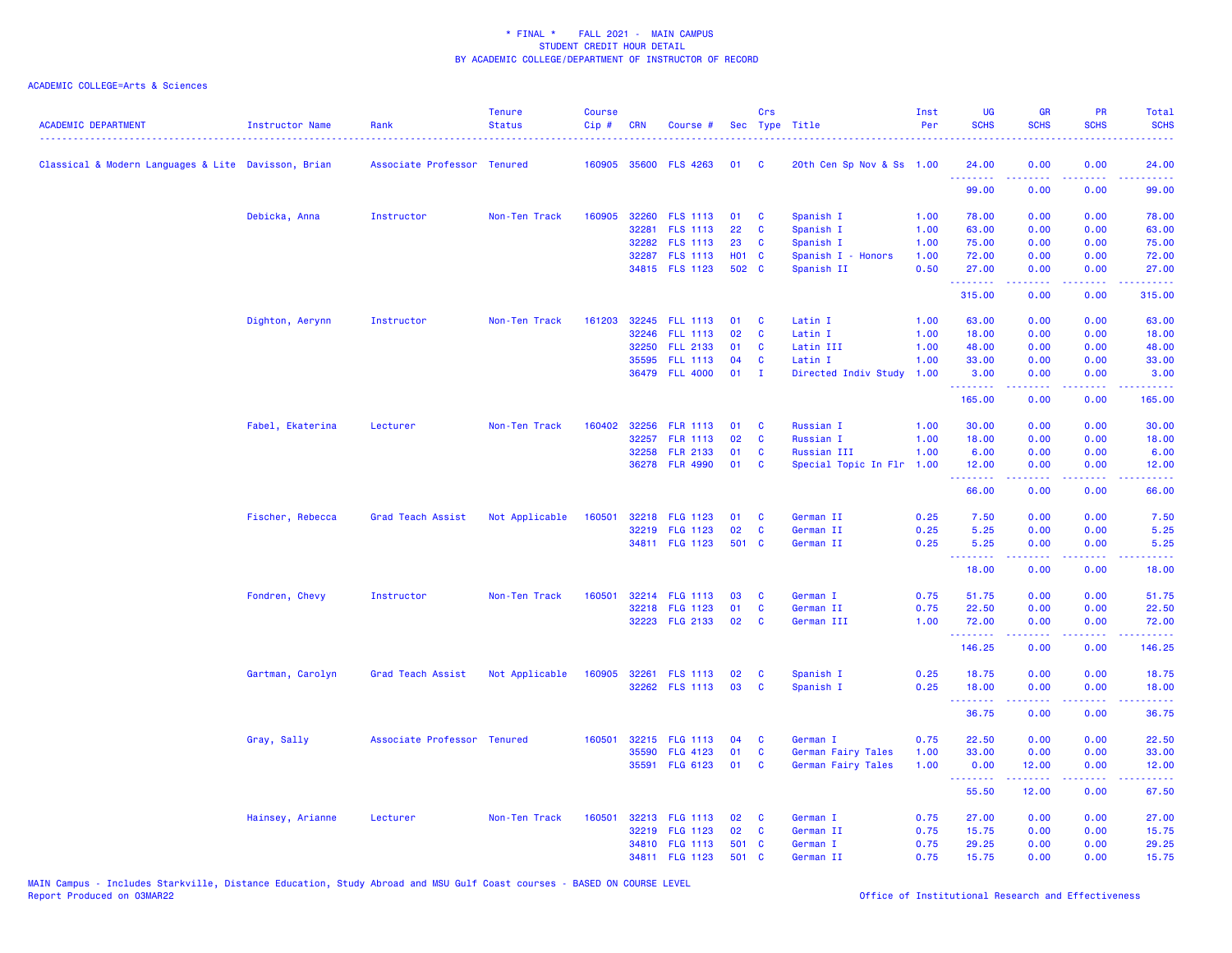| <b>ACADEMIC DEPARTMENT</b>                          | Instructor Name  | Rank                        | <b>Tenure</b><br><b>Status</b> | Course<br>Cip# | <b>CRN</b> | Course #                          |                   | Crs          | Sec Type Title            | Inst<br>Per | <b>UG</b><br><b>SCHS</b>                                     | <b>GR</b><br><b>SCHS</b> | PR<br><b>SCHS</b>                   | Total<br><b>SCHS</b>                                                                                                              |
|-----------------------------------------------------|------------------|-----------------------------|--------------------------------|----------------|------------|-----------------------------------|-------------------|--------------|---------------------------|-------------|--------------------------------------------------------------|--------------------------|-------------------------------------|-----------------------------------------------------------------------------------------------------------------------------------|
| Classical & Modern Languages & Lite Davisson, Brian |                  | Associate Professor Tenured |                                |                |            | 160905 35600 FLS 4263             | 01                | <b>C</b>     | 20th Cen Sp Nov & Ss 1.00 |             | 24.00<br>.                                                   | 0.00                     | 0.00<br>$\sim$ $\sim$ $\sim$ $\sim$ | 24.00<br>.                                                                                                                        |
|                                                     |                  |                             |                                |                |            |                                   |                   |              |                           |             | 99.00                                                        | 0.00                     | 0.00                                | 99.00                                                                                                                             |
|                                                     | Debicka, Anna    | Instructor                  | Non-Ten Track                  | 160905         |            | 32260 FLS 1113                    | 01                | C            | Spanish I                 | 1.00        | 78.00                                                        | 0.00                     | 0.00                                | 78.00                                                                                                                             |
|                                                     |                  |                             |                                |                |            | 32281 FLS 1113                    | 22                | C            | Spanish I                 | 1.00        | 63.00                                                        | 0.00                     | 0.00                                | 63.00                                                                                                                             |
|                                                     |                  |                             |                                |                | 32282      | <b>FLS 1113</b>                   | 23                | C            | Spanish I                 | 1.00        | 75.00                                                        | 0.00                     | 0.00                                | 75.00                                                                                                                             |
|                                                     |                  |                             |                                |                |            | 32287 FLS 1113                    | H <sub>01</sub> C |              | Spanish I - Honors        | 1.00        | 72.00                                                        | 0.00                     | 0.00                                | 72.00                                                                                                                             |
|                                                     |                  |                             |                                |                |            | 34815 FLS 1123                    | 502 C             |              | Spanish II                | 0.50        | 27.00<br>.                                                   | 0.00                     | 0.00<br>2222                        | 27.00                                                                                                                             |
|                                                     |                  |                             |                                |                |            |                                   |                   |              |                           |             | 315.00                                                       | 0.00                     | 0.00                                | 315.00                                                                                                                            |
|                                                     | Dighton, Aerynn  | Instructor                  | Non-Ten Track                  |                |            | 161203 32245 FLL 1113             | 01                | <b>C</b>     | Latin I                   | 1.00        | 63.00                                                        | 0.00                     | 0.00                                | 63.00                                                                                                                             |
|                                                     |                  |                             |                                |                |            | 32246 FLL 1113                    | 02                | C            | Latin I                   | 1.00        | 18.00                                                        | 0.00                     | 0.00                                | 18.00                                                                                                                             |
|                                                     |                  |                             |                                |                | 32250      | <b>FLL 2133</b>                   | 01                | C            | Latin III                 | 1.00        | 48.00                                                        | 0.00                     | 0.00                                | 48.00                                                                                                                             |
|                                                     |                  |                             |                                |                |            | 35595 FLL 1113                    | 04                | C            | Latin I                   | 1.00        | 33.00                                                        | 0.00                     | 0.00                                | 33.00                                                                                                                             |
|                                                     |                  |                             |                                |                |            | 36479 FLL 4000                    | 01                | $\mathbf{I}$ | Directed Indiv Study      | 1.00        | 3.00<br>.                                                    | 0.00<br>.                | 0.00<br>د د د د .                   | 3.00<br>.                                                                                                                         |
|                                                     |                  |                             |                                |                |            |                                   |                   |              |                           |             | 165.00                                                       | 0.00                     | 0.00                                | 165.00                                                                                                                            |
|                                                     | Fabel, Ekaterina | Lecturer                    | Non-Ten Track                  | 160402         |            | 32256 FLR 1113                    | 01                | C            | Russian I                 | 1.00        | 30.00                                                        | 0.00                     | 0.00                                | 30.00                                                                                                                             |
|                                                     |                  |                             |                                |                | 32257      | <b>FLR 1113</b>                   | 02                | C            | Russian I                 | 1.00        | 18.00                                                        | 0.00                     | 0.00                                | 18.00                                                                                                                             |
|                                                     |                  |                             |                                |                |            | 32258 FLR 2133                    | 01                | C            | Russian III               | 1.00        | 6.00                                                         | 0.00                     | 0.00                                | 6.00                                                                                                                              |
|                                                     |                  |                             |                                |                |            | 36278 FLR 4990                    | 01                | C            | Special Topic In Flr      | 1.00        | 12.00<br>.                                                   | 0.00<br>. <b>.</b>       | 0.00<br>.                           | 12.00<br>.                                                                                                                        |
|                                                     |                  |                             |                                |                |            |                                   |                   |              |                           |             | 66.00                                                        | 0.00                     | 0.00                                | 66.00                                                                                                                             |
|                                                     | Fischer, Rebecca | Grad Teach Assist           | Not Applicable                 | 160501         | 32218      | <b>FLG 1123</b>                   | 01                | C            | German II                 | 0.25        | 7.50                                                         | 0.00                     | 0.00                                | 7.50                                                                                                                              |
|                                                     |                  |                             |                                |                |            | 32219 FLG 1123                    | 02                | C            | German II                 | 0.25        | 5.25                                                         | 0.00                     | 0.00                                | 5.25                                                                                                                              |
|                                                     |                  |                             |                                |                |            | 34811 FLG 1123                    | 501 C             |              | German II                 | 0.25        | 5.25<br><b></b>                                              | 0.00<br>.                | 0.00<br>.                           | 5.25<br>$\frac{1}{2} \left( \frac{1}{2} \right) \left( \frac{1}{2} \right) \left( \frac{1}{2} \right) \left( \frac{1}{2} \right)$ |
|                                                     |                  |                             |                                |                |            |                                   |                   |              |                           |             | 18.00                                                        | 0.00                     | 0.00                                | 18.00                                                                                                                             |
|                                                     | Fondren, Chevy   | Instructor                  | Non-Ten Track                  | 160501         |            | 32214 FLG 1113                    | 03                | C            | German I                  | 0.75        | 51.75                                                        | 0.00                     | 0.00                                | 51.75                                                                                                                             |
|                                                     |                  |                             |                                |                |            | 32218 FLG 1123                    | 01                | C            | German II                 | 0.75        | 22.50                                                        | 0.00                     | 0.00                                | 22.50                                                                                                                             |
|                                                     |                  |                             |                                |                |            | 32223 FLG 2133                    | 02                | C            | German III                | 1.00        | 72.00                                                        | 0.00                     | 0.00                                | 72.00                                                                                                                             |
|                                                     |                  |                             |                                |                |            |                                   |                   |              |                           |             | <b><i><u><u><b>A</b></u></u> A A A A A A A</i></b><br>146.25 | .<br>0.00                | .<br>0.00                           | $\begin{array}{cccccccccc} \bullet & \bullet & \bullet & \bullet & \bullet & \bullet & \bullet & \bullet \end{array}$<br>146.25   |
|                                                     |                  |                             |                                | 160905         |            |                                   |                   |              |                           | 0.25        |                                                              | 0.00                     | 0.00                                |                                                                                                                                   |
|                                                     | Gartman, Carolyn | Grad Teach Assist           | Not Applicable                 |                | 32261      | <b>FLS 1113</b><br>32262 FLS 1113 | 02<br>03          | C<br>C       | Spanish I<br>Spanish I    | 0.25        | 18.75<br>18.00                                               | 0.00                     | 0.00                                | 18.75<br>18.00                                                                                                                    |
|                                                     |                  |                             |                                |                |            |                                   |                   |              |                           |             | <b>.</b> .                                                   | .                        | .                                   | .                                                                                                                                 |
|                                                     |                  |                             |                                |                |            |                                   |                   |              |                           |             | 36.75                                                        | 0.00                     | 0.00                                | 36.75                                                                                                                             |
|                                                     | Gray, Sally      | Associate Professor Tenured |                                | 160501         |            | 32215 FLG 1113                    | 04                | C            | German I                  | 0.75        | 22.50                                                        | 0.00                     | 0.00                                | 22.50                                                                                                                             |
|                                                     |                  |                             |                                |                | 35590      | <b>FLG 4123</b>                   | 01                | C            | German Fairy Tales        | 1.00        | 33.00                                                        | 0.00                     | 0.00                                | 33.00                                                                                                                             |
|                                                     |                  |                             |                                |                |            | 35591 FLG 6123                    | 01                | <b>C</b>     | German Fairy Tales        | 1.00        | 0.00                                                         | 12.00                    | 0.00<br>$\sim$ $\sim$ $\sim$ $\sim$ | 12.00                                                                                                                             |
|                                                     |                  |                             |                                |                |            |                                   |                   |              |                           |             | 55.50                                                        | 12.00                    | 0.00                                | 67.50                                                                                                                             |
|                                                     | Hainsey, Arianne | Lecturer                    | Non-Ten Track                  | 160501         |            | 32213 FLG 1113                    | 02                | <b>C</b>     | German I                  | 0.75        | 27.00                                                        | 0.00                     | 0.00                                | 27.00                                                                                                                             |
|                                                     |                  |                             |                                |                | 32219      | <b>FLG 1123</b>                   | 02                | C            | German II                 | 0.75        | 15.75                                                        | 0.00                     | 0.00                                | 15.75                                                                                                                             |
|                                                     |                  |                             |                                |                |            | 34810 FLG 1113                    | 501               | <b>C</b>     | German I                  | 0.75        | 29.25                                                        | 0.00                     | 0.00                                | 29.25                                                                                                                             |
|                                                     |                  |                             |                                |                |            | 34811 FLG 1123                    | 501               | C            | German II                 | 0.75        | 15.75                                                        | 0.00                     | 0.00                                | 15.75                                                                                                                             |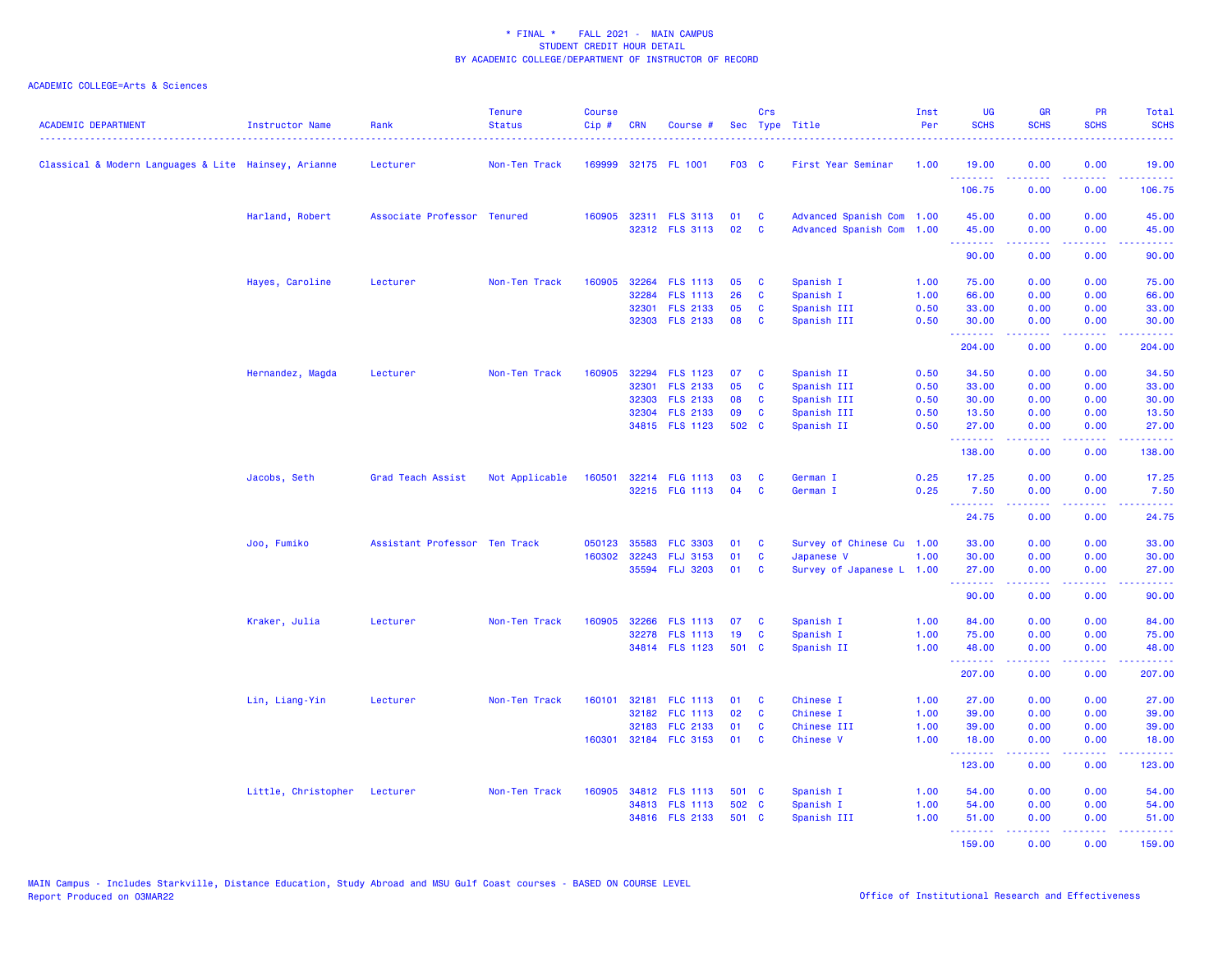| <b>ACADEMIC DEPARTMENT</b>                           | Instructor Name              | Rank                          | <b>Tenure</b><br><b>Status</b> | <b>Course</b><br>$Cip \#$ | <b>CRN</b> | Course #                                |          | Crs                  | Sec Type Title                                         | Inst<br>Per | <b>UG</b><br><b>SCHS</b> | <b>GR</b><br><b>SCHS</b>                                                                                                                                     | <b>PR</b><br><b>SCHS</b> | Total<br><b>SCHS</b>                                                                                                                                                                                                                                                                                                                                                                                                                                                                           |
|------------------------------------------------------|------------------------------|-------------------------------|--------------------------------|---------------------------|------------|-----------------------------------------|----------|----------------------|--------------------------------------------------------|-------------|--------------------------|--------------------------------------------------------------------------------------------------------------------------------------------------------------|--------------------------|------------------------------------------------------------------------------------------------------------------------------------------------------------------------------------------------------------------------------------------------------------------------------------------------------------------------------------------------------------------------------------------------------------------------------------------------------------------------------------------------|
| Classical & Modern Languages & Lite Hainsey, Arianne |                              | Lecturer                      | Non-Ten Track                  |                           |            | 169999 32175 FL 1001                    | F03 C    |                      | First Year Seminar                                     | 1.00        | 19.00<br><b></b>         | 0.00<br>22222                                                                                                                                                | 0.00<br>.                | 19.00<br>$\begin{array}{cccccccccc} \bullet & \bullet & \bullet & \bullet & \bullet & \bullet & \bullet \end{array}$                                                                                                                                                                                                                                                                                                                                                                           |
|                                                      |                              |                               |                                |                           |            |                                         |          |                      |                                                        |             | 106.75                   | 0.00                                                                                                                                                         | 0.00                     | 106.75                                                                                                                                                                                                                                                                                                                                                                                                                                                                                         |
|                                                      | Harland, Robert              | Associate Professor Tenured   |                                |                           |            | 160905 32311 FLS 3113<br>32312 FLS 3113 | 01<br>02 | <b>C</b><br><b>C</b> | Advanced Spanish Com 1.00<br>Advanced Spanish Com 1.00 |             | 45.00<br>45.00           | 0.00<br>0.00                                                                                                                                                 | 0.00<br>0.00             | 45.00<br>45.00                                                                                                                                                                                                                                                                                                                                                                                                                                                                                 |
|                                                      |                              |                               |                                |                           |            |                                         |          |                      |                                                        |             | .<br>90.00               | .<br>0.00                                                                                                                                                    | .<br>0.00                | .<br>90.00                                                                                                                                                                                                                                                                                                                                                                                                                                                                                     |
|                                                      | Hayes, Caroline              | Lecturer                      | Non-Ten Track                  | 160905                    |            | 32264 FLS 1113                          | 05       | <b>C</b>             | Spanish I                                              | 1.00        | 75.00                    | 0.00                                                                                                                                                         | 0.00                     | 75.00                                                                                                                                                                                                                                                                                                                                                                                                                                                                                          |
|                                                      |                              |                               |                                |                           | 32284      | <b>FLS 1113</b>                         | 26       | C                    | Spanish I                                              | 1.00        | 66.00                    | 0.00                                                                                                                                                         | 0.00                     | 66.00                                                                                                                                                                                                                                                                                                                                                                                                                                                                                          |
|                                                      |                              |                               |                                |                           |            | 32301 FLS 2133                          | 05       | <b>C</b>             | Spanish III                                            | 0.50        | 33.00                    | 0.00                                                                                                                                                         | 0.00                     | 33.00                                                                                                                                                                                                                                                                                                                                                                                                                                                                                          |
|                                                      |                              |                               |                                |                           |            | 32303 FLS 2133                          | 08       | C                    | Spanish III                                            | 0.50        | 30.00<br><b>.</b> .      | 0.00<br>22222                                                                                                                                                | 0.00<br>المستمال         | 30.00<br>د د د د د د                                                                                                                                                                                                                                                                                                                                                                                                                                                                           |
|                                                      |                              |                               |                                |                           |            |                                         |          |                      |                                                        |             | 204.00                   | 0.00                                                                                                                                                         | 0.00                     | 204.00                                                                                                                                                                                                                                                                                                                                                                                                                                                                                         |
|                                                      | Hernandez, Magda             | Lecturer                      | Non-Ten Track                  | 160905                    |            | 32294 FLS 1123                          | 07       | C                    | Spanish II                                             | 0.50        | 34.50                    | 0.00                                                                                                                                                         | 0.00                     | 34.50                                                                                                                                                                                                                                                                                                                                                                                                                                                                                          |
|                                                      |                              |                               |                                |                           |            | 32301 FLS 2133                          | 05       | C                    | Spanish III                                            | 0.50        | 33.00                    | 0.00                                                                                                                                                         | 0.00                     | 33.00                                                                                                                                                                                                                                                                                                                                                                                                                                                                                          |
|                                                      |                              |                               |                                |                           |            | 32303 FLS 2133                          | 08       | C                    | Spanish III                                            | 0.50        | 30.00                    | 0.00                                                                                                                                                         | 0.00                     | 30.00                                                                                                                                                                                                                                                                                                                                                                                                                                                                                          |
|                                                      |                              |                               |                                |                           |            | 32304 FLS 2133                          | 09       | C                    | Spanish III                                            | 0.50        | 13.50                    | 0.00                                                                                                                                                         | 0.00                     | 13.50                                                                                                                                                                                                                                                                                                                                                                                                                                                                                          |
|                                                      |                              |                               |                                |                           |            | 34815 FLS 1123                          | 502 C    |                      | Spanish II                                             | 0.50        | 27.00<br>.               | 0.00<br>$\frac{1}{2} \left( \frac{1}{2} \right) \left( \frac{1}{2} \right) \left( \frac{1}{2} \right) \left( \frac{1}{2} \right) \left( \frac{1}{2} \right)$ | 0.00<br>.                | 27.00<br>.                                                                                                                                                                                                                                                                                                                                                                                                                                                                                     |
|                                                      |                              |                               |                                |                           |            |                                         |          |                      |                                                        |             | 138.00                   | 0.00                                                                                                                                                         | 0.00                     | 138.00                                                                                                                                                                                                                                                                                                                                                                                                                                                                                         |
|                                                      | Jacobs, Seth                 | Grad Teach Assist             | Not Applicable                 | 160501                    |            | 32214 FLG 1113                          | 03       | C                    | German I                                               | 0.25        | 17.25                    | 0.00                                                                                                                                                         | 0.00                     | 17.25                                                                                                                                                                                                                                                                                                                                                                                                                                                                                          |
|                                                      |                              |                               |                                |                           |            | 32215 FLG 1113                          | 04       | <b>C</b>             | German I                                               | 0.25        | 7.50<br><u>.</u>         | 0.00<br>22222                                                                                                                                                | 0.00<br>المتمامية        | 7.50<br>$\begin{array}{cccccccccc} \multicolumn{2}{c}{} & \multicolumn{2}{c}{} & \multicolumn{2}{c}{} & \multicolumn{2}{c}{} & \multicolumn{2}{c}{} & \multicolumn{2}{c}{} & \multicolumn{2}{c}{} & \multicolumn{2}{c}{} & \multicolumn{2}{c}{} & \multicolumn{2}{c}{} & \multicolumn{2}{c}{} & \multicolumn{2}{c}{} & \multicolumn{2}{c}{} & \multicolumn{2}{c}{} & \multicolumn{2}{c}{} & \multicolumn{2}{c}{} & \multicolumn{2}{c}{} & \multicolumn{2}{c}{} & \multicolumn{2}{c}{} & \mult$ |
|                                                      |                              |                               |                                |                           |            |                                         |          |                      |                                                        |             | 24.75                    | 0.00                                                                                                                                                         | 0.00                     | 24.75                                                                                                                                                                                                                                                                                                                                                                                                                                                                                          |
|                                                      | Joo, Fumiko                  | Assistant Professor Ten Track |                                | 050123                    | 35583      | <b>FLC 3303</b>                         | 01       | C                    | Survey of Chinese Cu 1.00                              |             | 33.00                    | 0.00                                                                                                                                                         | 0.00                     | 33.00                                                                                                                                                                                                                                                                                                                                                                                                                                                                                          |
|                                                      |                              |                               |                                | 160302                    |            | 32243 FLJ 3153                          | 01       | <b>C</b>             | Japanese V                                             | 1.00        | 30.00                    | 0.00                                                                                                                                                         | 0.00                     | 30.00                                                                                                                                                                                                                                                                                                                                                                                                                                                                                          |
|                                                      |                              |                               |                                |                           |            | 35594 FLJ 3203                          | 01       | <b>C</b>             | Survey of Japanese L 1.00                              |             | 27.00<br>.               | 0.00<br>.                                                                                                                                                    | 0.00<br>المتمام المتمار  | 27.00<br><b><i><u><u> - - - - -</u></u></i></b>                                                                                                                                                                                                                                                                                                                                                                                                                                                |
|                                                      |                              |                               |                                |                           |            |                                         |          |                      |                                                        |             | 90.00                    | 0.00                                                                                                                                                         | 0.00                     | 90.00                                                                                                                                                                                                                                                                                                                                                                                                                                                                                          |
|                                                      | Kraker, Julia                | Lecturer                      | Non-Ten Track                  | 160905                    |            | 32266 FLS 1113                          | 07       | C                    | Spanish I                                              | 1.00        | 84.00                    | 0.00                                                                                                                                                         | 0.00                     | 84.00                                                                                                                                                                                                                                                                                                                                                                                                                                                                                          |
|                                                      |                              |                               |                                |                           |            | 32278 FLS 1113                          | 19       | C                    | Spanish I                                              | 1.00        | 75.00                    | 0.00                                                                                                                                                         | 0.00                     | 75.00                                                                                                                                                                                                                                                                                                                                                                                                                                                                                          |
|                                                      |                              |                               |                                |                           |            | 34814 FLS 1123                          | 501 C    |                      | Spanish II                                             | 1.00        | 48.00<br><u>.</u> .      | 0.00<br>د د د د د                                                                                                                                            | 0.00<br>بالمستمال        | 48.00<br>د د د د د د                                                                                                                                                                                                                                                                                                                                                                                                                                                                           |
|                                                      |                              |                               |                                |                           |            |                                         |          |                      |                                                        |             | 207.00                   | 0.00                                                                                                                                                         | 0.00                     | 207.00                                                                                                                                                                                                                                                                                                                                                                                                                                                                                         |
|                                                      | Lin, Liang-Yin               | Lecturer                      | Non-Ten Track                  | 160101                    | 32181      | <b>FLC 1113</b>                         | 01       | C                    | Chinese I                                              | 1.00        | 27.00                    | 0.00                                                                                                                                                         | 0.00                     | 27.00                                                                                                                                                                                                                                                                                                                                                                                                                                                                                          |
|                                                      |                              |                               |                                |                           |            | 32182 FLC 1113                          | 02       | <b>C</b>             | Chinese I                                              | 1.00        | 39.00                    | 0.00                                                                                                                                                         | 0.00                     | 39.00                                                                                                                                                                                                                                                                                                                                                                                                                                                                                          |
|                                                      |                              |                               |                                |                           |            | 32183 FLC 2133                          | 01       | C                    | Chinese III                                            | 1.00        | 39.00                    | 0.00                                                                                                                                                         | 0.00                     | 39.00                                                                                                                                                                                                                                                                                                                                                                                                                                                                                          |
|                                                      |                              |                               |                                | 160301                    |            | 32184 FLC 3153                          | 01       | <b>C</b>             | <b>Chinese V</b>                                       | 1.00        | 18.00<br><b>.</b> .      | 0.00<br>بالأبابات                                                                                                                                            | 0.00<br>.                | 18.00<br>وبالمستمال                                                                                                                                                                                                                                                                                                                                                                                                                                                                            |
|                                                      |                              |                               |                                |                           |            |                                         |          |                      |                                                        |             | 123.00                   | 0.00                                                                                                                                                         | 0.00                     | 123.00                                                                                                                                                                                                                                                                                                                                                                                                                                                                                         |
|                                                      | Little, Christopher Lecturer |                               | Non-Ten Track                  | 160905                    |            | 34812 FLS 1113                          | 501 C    |                      | Spanish I                                              | 1.00        | 54.00                    | 0.00                                                                                                                                                         | 0.00                     | 54.00                                                                                                                                                                                                                                                                                                                                                                                                                                                                                          |
|                                                      |                              |                               |                                |                           |            | 34813 FLS 1113                          | 502 C    |                      | Spanish I                                              | 1.00        | 54.00                    | 0.00                                                                                                                                                         | 0.00                     | 54.00                                                                                                                                                                                                                                                                                                                                                                                                                                                                                          |
|                                                      |                              |                               |                                |                           |            | 34816 FLS 2133                          | 501 C    |                      | Spanish III                                            | 1.00        | 51.00<br><b>.</b> .      | 0.00                                                                                                                                                         | 0.00<br><u>.</u>         | 51.00<br><u>.</u>                                                                                                                                                                                                                                                                                                                                                                                                                                                                              |
|                                                      |                              |                               |                                |                           |            |                                         |          |                      |                                                        |             | 159.00                   | 0.00                                                                                                                                                         | 0.00                     | 159.00                                                                                                                                                                                                                                                                                                                                                                                                                                                                                         |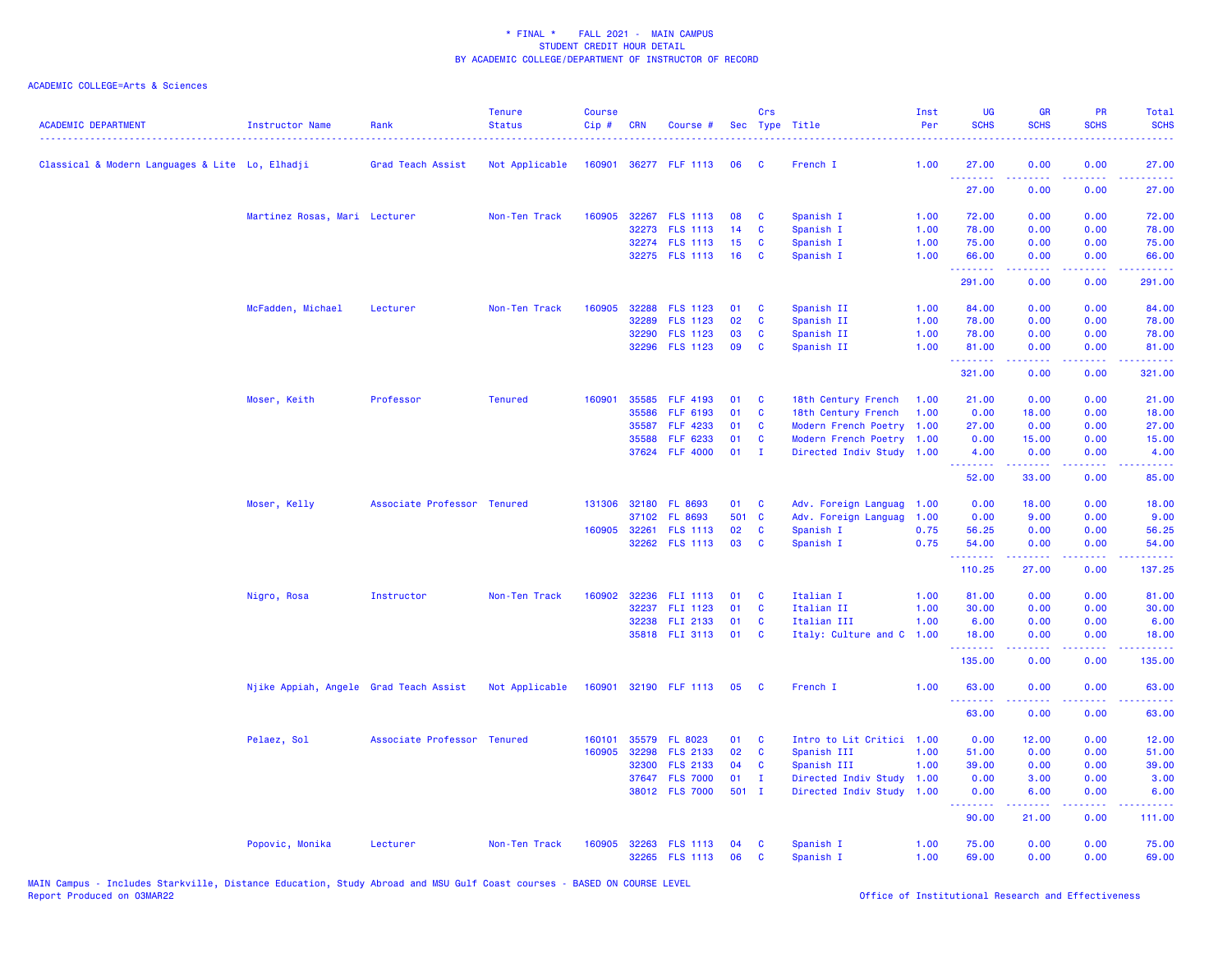| Classical & Modern Languages & Lite Lo, Elhadji<br>Grad Teach Assist<br>Not Applicable<br>160901<br>36277 FLF 1113<br>French I<br>1.00<br>27.00<br>06<br>- C<br>.<br>27.00<br>Martinez Rosas, Mari Lecturer<br>Non-Ten Track<br>160905<br>32267 FLS 1113<br>08<br>C<br>Spanish I<br>1.00<br>72.00<br>32273 FLS 1113<br>14<br>C<br>Spanish I<br>1.00<br>78.00 | 0.00<br>0.00<br>0.00<br>0.00<br>0.00<br>0.00<br>0.00<br>0.00 | 27.00<br>27.00  |
|--------------------------------------------------------------------------------------------------------------------------------------------------------------------------------------------------------------------------------------------------------------------------------------------------------------------------------------------------------------|--------------------------------------------------------------|-----------------|
|                                                                                                                                                                                                                                                                                                                                                              |                                                              |                 |
|                                                                                                                                                                                                                                                                                                                                                              |                                                              |                 |
|                                                                                                                                                                                                                                                                                                                                                              |                                                              | 72.00           |
|                                                                                                                                                                                                                                                                                                                                                              |                                                              | 78.00           |
| 32274 FLS 1113<br>15<br>C<br>Spanish I<br>1.00<br>75.00                                                                                                                                                                                                                                                                                                      | 0.00<br>0.00                                                 | 75.00           |
| 32275 FLS 1113<br>16<br>1.00<br>C<br>Spanish I<br>66.00<br>.                                                                                                                                                                                                                                                                                                 | 0.00<br>0.00<br>22222<br>.                                   | 66.00<br>.      |
| 291.00                                                                                                                                                                                                                                                                                                                                                       | 0.00<br>0.00                                                 | 291.00          |
| McFadden, Michael<br>Non-Ten Track<br>160905<br>32288 FLS 1123<br>Spanish II<br>84.00<br>Lecturer<br>01<br>C<br>1.00                                                                                                                                                                                                                                         | 0.00<br>0.00                                                 | 84.00           |
| 32289<br><b>FLS 1123</b><br>02<br>C<br>Spanish II<br>1.00<br>78.00                                                                                                                                                                                                                                                                                           | 0.00<br>0.00                                                 | 78.00           |
| 32290<br>03<br>Spanish II<br>78.00<br><b>FLS 1123</b><br>C<br>1.00                                                                                                                                                                                                                                                                                           | 0.00<br>0.00                                                 | 78.00           |
| 32296 FLS 1123<br>09<br>C<br>Spanish II<br>1.00<br>81.00<br>.                                                                                                                                                                                                                                                                                                | 0.00<br>0.00<br>.<br>.                                       | 81.00<br>22222) |
| 321.00                                                                                                                                                                                                                                                                                                                                                       | 0.00<br>0.00                                                 | 321.00          |
| Moser, Keith<br>Professor<br><b>Tenured</b><br>160901<br>35585 FLF 4193<br>18th Century French<br>21.00<br>01<br>C<br>1.00                                                                                                                                                                                                                                   | 0.00<br>0.00                                                 | 21.00           |
| 35586<br>FLF 6193<br>01<br>$\mathbf{C}$<br>18th Century French<br>0.00<br>1.00                                                                                                                                                                                                                                                                               | 0.00<br>18.00                                                | 18.00           |
| 35587<br>FLF 4233<br>01<br>C<br>Modern French Poetry 1.00<br>27.00                                                                                                                                                                                                                                                                                           | 0.00<br>0.00                                                 | 27.00           |
| FLF 6233<br>01<br><b>C</b><br>Modern French Poetry 1.00<br>0.00<br>35588                                                                                                                                                                                                                                                                                     | 0.00<br>15.00                                                | 15.00           |
| 37624 FLF 4000<br>01<br>Directed Indiv Study 1.00<br>4.00<br>$\mathbf{I}$                                                                                                                                                                                                                                                                                    | 0.00<br>0.00                                                 | 4.00            |
| .<br>52.00                                                                                                                                                                                                                                                                                                                                                   | 2222<br>33.00<br>0.00                                        | 85.00           |
| Moser, Kelly<br>Associate Professor Tenured<br>131306 32180 FL 8693<br>01<br><b>C</b><br>Adv. Foreign Languag<br>0.00<br>1.00                                                                                                                                                                                                                                | 18.00<br>0.00                                                | 18.00           |
| 501 C<br>37102<br><b>FL 8693</b><br>Adv. Foreign Languag<br>1.00<br>0.00                                                                                                                                                                                                                                                                                     | 9.00<br>0.00                                                 | 9.00            |
| <b>FLS 1113</b><br>02<br>0.75<br>56.25<br>160905<br>32261<br>C<br>Spanish I                                                                                                                                                                                                                                                                                  | 0.00<br>0.00                                                 | 56.25           |
| 03<br>32262 FLS 1113<br>C<br>Spanish I<br>0.75<br>54.00<br>.                                                                                                                                                                                                                                                                                                 | 0.00<br>0.00<br>.<br>-----                                   | 54.00<br>.      |
| 110.25                                                                                                                                                                                                                                                                                                                                                       | 27.00<br>0.00                                                | 137.25          |
| Italian I<br>Nigro, Rosa<br>Instructor<br>Non-Ten Track<br>160902<br>32236 FLI 1113<br>01<br><b>C</b><br>1.00<br>81.00                                                                                                                                                                                                                                       | 0.00<br>0.00                                                 | 81.00           |
| 32237 FLI 1123<br>01<br>C<br>Italian II<br>1.00<br>30.00                                                                                                                                                                                                                                                                                                     | 0.00<br>0.00                                                 | 30.00           |
| 32238 FLI 2133<br>01<br>Italian III<br>1.00<br>6.00<br>C                                                                                                                                                                                                                                                                                                     | 0.00<br>0.00                                                 | 6.00            |
| 35818 FLI 3113<br>01<br>C<br>Italy: Culture and C<br>1.00<br>18.00                                                                                                                                                                                                                                                                                           | 0.00<br>0.00                                                 | 18.00           |
| .<br>135.00                                                                                                                                                                                                                                                                                                                                                  | .<br>.<br>0.00<br>0.00                                       | .<br>135.00     |
| Njike Appiah, Angele Grad Teach Assist<br>Not Applicable<br>160901<br>32190 FLF 1113<br>French I<br>1.00<br>63,00<br>05<br><b>C</b>                                                                                                                                                                                                                          | 0.00<br>0.00                                                 | 63,00           |
| <u>.</u><br>63.00                                                                                                                                                                                                                                                                                                                                            | .<br>.<br>0.00<br>0.00                                       | .<br>63.00      |
|                                                                                                                                                                                                                                                                                                                                                              |                                                              |                 |
| Pelaez, Sol<br>Associate Professor Tenured<br>35579 FL 8023<br>01<br><b>C</b><br>Intro to Lit Critici 1.00<br>0.00<br>160101<br>160905<br>32298<br><b>FLS 2133</b><br>02<br>Spanish III<br>1.00<br>51.00<br>C                                                                                                                                                | 12.00<br>0.00<br>0.00<br>0.00                                | 12.00<br>51.00  |
| 32300<br><b>FLS 2133</b><br>04<br>C<br>Spanish III<br>1.00<br>39.00                                                                                                                                                                                                                                                                                          | 0.00<br>0.00                                                 | 39.00           |
| 37647 FLS 7000<br>01<br>0.00<br>$\mathbf{I}$<br>Directed Indiv Study<br>1.00                                                                                                                                                                                                                                                                                 | 3.00<br>0.00                                                 | 3.00            |
| 38012 FLS 7000<br>$501$ I<br>Directed Indiv Study 1.00<br>0.00                                                                                                                                                                                                                                                                                               | 0.00<br>6.00                                                 | 6.00            |
| .<br>90.00                                                                                                                                                                                                                                                                                                                                                   | .<br><b>.</b><br>21.00<br>0.00                               | .<br>111.00     |
| Spanish I<br>Popovic, Monika<br>Lecturer<br>Non-Ten Track<br>160905<br>32263 FLS 1113<br>04<br>C<br>1.00<br>75.00                                                                                                                                                                                                                                            | 0.00<br>0.00                                                 | 75.00           |
| 32265 FLS 1113<br>06<br>C<br>Spanish I<br>1.00<br>69.00                                                                                                                                                                                                                                                                                                      | 0.00<br>0.00                                                 | 69.00           |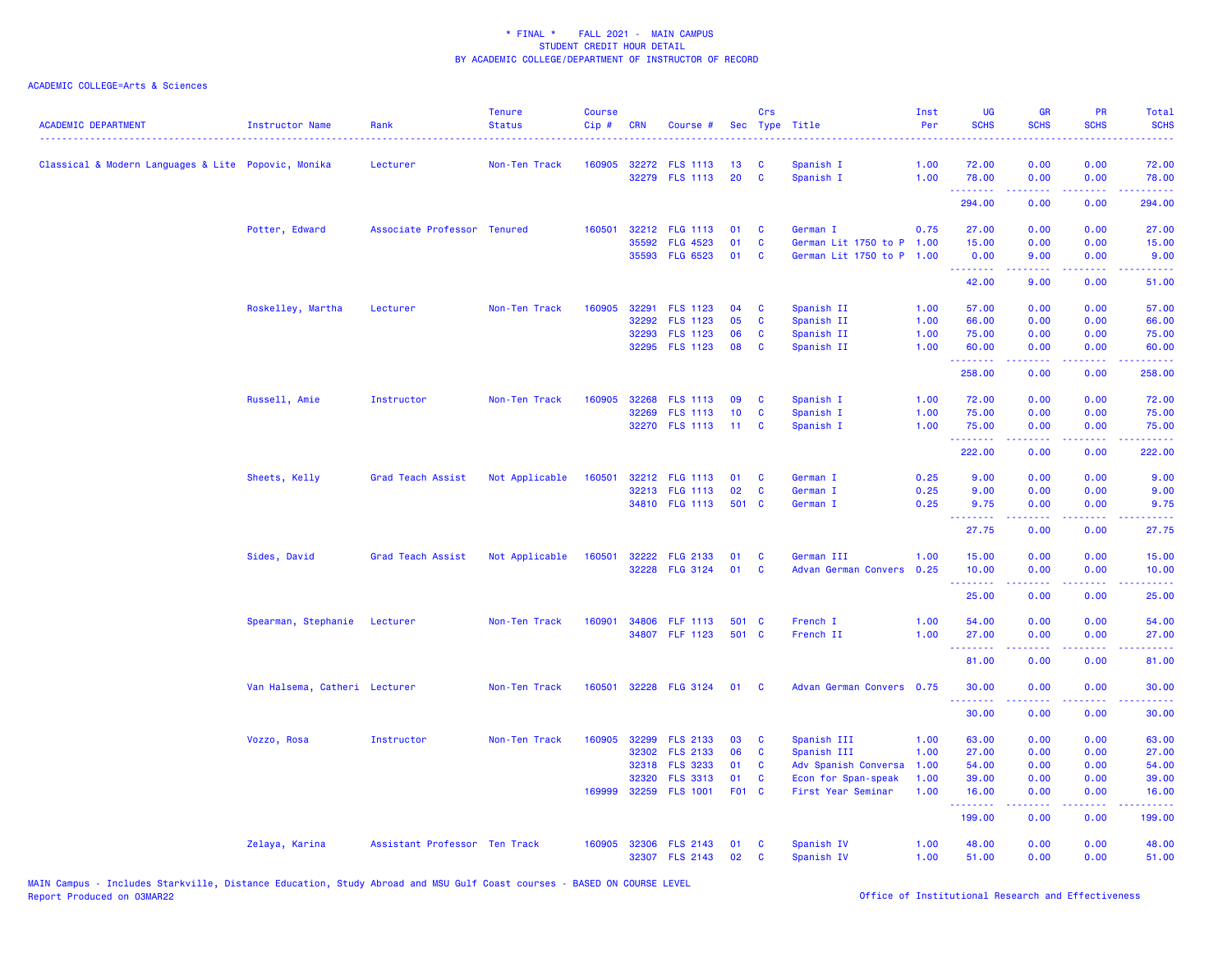| <b>ACADEMIC DEPARTMENT</b>                          | Instructor Name               | Rank                          | <b>Tenure</b><br><b>Status</b> | <b>Course</b><br>Cip# | <b>CRN</b> | Course #              |       | Crs          | Sec Type Title            | Inst<br>Per | <b>UG</b><br><b>SCHS</b>                      | <b>GR</b><br><b>SCHS</b> | <b>PR</b><br><b>SCHS</b>                                                                               | Total<br><b>SCHS</b><br>$\frac{1}{2} \left( \frac{1}{2} \right) \left( \frac{1}{2} \right) \left( \frac{1}{2} \right) \left( \frac{1}{2} \right)$ |
|-----------------------------------------------------|-------------------------------|-------------------------------|--------------------------------|-----------------------|------------|-----------------------|-------|--------------|---------------------------|-------------|-----------------------------------------------|--------------------------|--------------------------------------------------------------------------------------------------------|---------------------------------------------------------------------------------------------------------------------------------------------------|
| Classical & Modern Languages & Lite Popovic, Monika |                               | Lecturer                      | Non-Ten Track                  |                       |            | 160905 32272 FLS 1113 | 13    | C            | Spanish I                 | 1.00        | 72.00                                         | 0.00                     | 0.00                                                                                                   | 72.00                                                                                                                                             |
|                                                     |                               |                               |                                |                       |            | 32279 FLS 1113        | 20    | $\mathbf{C}$ | Spanish I                 | 1.00        | 78.00<br>.                                    | 0.00<br>.                | 0.00<br>بالمحامي                                                                                       | 78.00<br>.                                                                                                                                        |
|                                                     |                               |                               |                                |                       |            |                       |       |              |                           |             | 294.00                                        | 0.00                     | 0.00                                                                                                   | 294.00                                                                                                                                            |
|                                                     | Potter, Edward                | Associate Professor Tenured   |                                | 160501                |            | 32212 FLG 1113        | 01    | <b>C</b>     | German I                  | 0.75        | 27.00                                         | 0.00                     | 0.00                                                                                                   | 27.00                                                                                                                                             |
|                                                     |                               |                               |                                |                       | 35592      | <b>FLG 4523</b>       | 01    | $\mathbf c$  | German Lit 1750 to P 1.00 |             | 15.00                                         | 0.00                     | 0.00                                                                                                   | 15.00                                                                                                                                             |
|                                                     |                               |                               |                                |                       |            | 35593 FLG 6523        | 01    | <b>C</b>     | German Lit 1750 to P 1.00 |             | 0.00<br><b>.</b> .                            | 9.00<br>.                | 0.00<br>د د د د                                                                                        | 9.00<br>وساعات                                                                                                                                    |
|                                                     |                               |                               |                                |                       |            |                       |       |              |                           |             | 42.00                                         | 9.00                     | 0.00                                                                                                   | 51.00                                                                                                                                             |
|                                                     | Roskelley, Martha             | Lecturer                      | Non-Ten Track                  | 160905                |            | 32291 FLS 1123        | 04    | $\mathbf{C}$ | Spanish II                | 1.00        | 57.00                                         | 0.00                     | 0.00                                                                                                   | 57.00                                                                                                                                             |
|                                                     |                               |                               |                                |                       |            | 32292 FLS 1123        | 05    | $\mathbf{C}$ | Spanish II                | 1.00        | 66.00                                         | 0.00                     | 0.00                                                                                                   | 66.00                                                                                                                                             |
|                                                     |                               |                               |                                |                       | 32293      | <b>FLS 1123</b>       | 06    | $\mathbf{C}$ | Spanish II                | 1.00        | 75.00                                         | 0.00                     | 0.00                                                                                                   | 75.00                                                                                                                                             |
|                                                     |                               |                               |                                |                       |            | 32295 FLS 1123        | 08    | $\mathbf{C}$ | Spanish II                | 1.00        | 60.00<br><b>.</b> .                           | 0.00                     | 0.00<br>$\frac{1}{2} \left( \frac{1}{2} \right) \left( \frac{1}{2} \right) \left( \frac{1}{2} \right)$ | 60.00<br>.                                                                                                                                        |
|                                                     |                               |                               |                                |                       |            |                       |       |              |                           |             | 258.00                                        | 0.00                     | 0.00                                                                                                   | 258.00                                                                                                                                            |
|                                                     | Russell, Amie                 | Instructor                    | Non-Ten Track                  | 160905                |            | 32268 FLS 1113        | 09    | $\mathbf{C}$ | Spanish I                 | 1.00        | 72.00                                         | 0.00                     | 0.00                                                                                                   | 72.00                                                                                                                                             |
|                                                     |                               |                               |                                |                       |            | 32269 FLS 1113        | 10    | $\mathbf{C}$ | Spanish I                 | 1.00        | 75.00                                         | 0.00                     | 0.00                                                                                                   | 75.00                                                                                                                                             |
|                                                     |                               |                               |                                |                       |            | 32270 FLS 1113        | 11    | C            | Spanish I                 | 1.00        | 75.00                                         | 0.00                     | 0.00                                                                                                   | 75.00                                                                                                                                             |
|                                                     |                               |                               |                                |                       |            |                       |       |              |                           |             | <u>.</u><br>222.00                            | .<br>0.00                | د د د د<br>0.00                                                                                        | .<br>222.00                                                                                                                                       |
|                                                     | Sheets, Kelly                 | Grad Teach Assist             | Not Applicable                 | 160501                |            | 32212 FLG 1113        | 01    | <b>C</b>     | German I                  | 0.25        | 9.00                                          | 0.00                     | 0.00                                                                                                   | 9.00                                                                                                                                              |
|                                                     |                               |                               |                                |                       |            | 32213 FLG 1113        | 02    | $\mathbf{C}$ | German I                  | 0.25        | 9.00                                          | 0.00                     | 0.00                                                                                                   | 9.00                                                                                                                                              |
|                                                     |                               |                               |                                |                       |            | 34810 FLG 1113        | 501 C |              | German I                  | 0.25        | 9.75                                          | 0.00                     | 0.00                                                                                                   | 9.75                                                                                                                                              |
|                                                     |                               |                               |                                |                       |            |                       |       |              |                           |             | <b><i><u><u>ALLER LE</u></u></i></b><br>27.75 | 22222<br>0.00            | .<br>0.00                                                                                              | وعاعاتها<br>27.75                                                                                                                                 |
|                                                     | Sides, David                  | Grad Teach Assist             | Not Applicable                 | 160501                |            | 32222 FLG 2133        | 01    | C            | German III                | 1.00        | 15.00                                         | 0.00                     | 0.00                                                                                                   | 15.00                                                                                                                                             |
|                                                     |                               |                               |                                |                       |            | 32228 FLG 3124        | 01    | <b>C</b>     | Advan German Convers      | 0.25        | 10.00                                         | 0.00                     | 0.00                                                                                                   | 10.00                                                                                                                                             |
|                                                     |                               |                               |                                |                       |            |                       |       |              |                           |             | .<br>25.00                                    | 0.00                     | $\sim$ $\sim$ $\sim$ $\sim$<br>0.00                                                                    | 25.00                                                                                                                                             |
|                                                     | Spearman, Stephanie           | Lecturer                      | Non-Ten Track                  | 160901                |            | 34806 FLF 1113        | 501 C |              | French I                  | 1.00        | 54.00                                         | 0.00                     | 0.00                                                                                                   | 54.00                                                                                                                                             |
|                                                     |                               |                               |                                |                       |            | 34807 FLF 1123        | 501 C |              | French II                 | 1.00        | 27.00                                         | 0.00                     | 0.00                                                                                                   | 27.00                                                                                                                                             |
|                                                     |                               |                               |                                |                       |            |                       |       |              |                           |             | .                                             |                          | 222                                                                                                    |                                                                                                                                                   |
|                                                     |                               |                               |                                |                       |            |                       |       |              |                           |             | 81.00                                         | 0.00                     | 0.00                                                                                                   | 81.00                                                                                                                                             |
|                                                     | Van Halsema, Catheri Lecturer |                               | Non-Ten Track                  | 160501                |            | 32228 FLG 3124        | 01 C  |              | Advan German Convers 0.75 |             | 30.00<br><u>.</u>                             | 0.00<br>22222            | 0.00<br>.                                                                                              | 30.00<br>.                                                                                                                                        |
|                                                     |                               |                               |                                |                       |            |                       |       |              |                           |             | 30.00                                         | 0.00                     | 0.00                                                                                                   | 30.00                                                                                                                                             |
|                                                     | Vozzo, Rosa                   | Instructor                    | Non-Ten Track                  | 160905                |            | 32299 FLS 2133        | 03    | <b>C</b>     | Spanish III               | 1.00        | 63.00                                         | 0.00                     | 0.00                                                                                                   | 63.00                                                                                                                                             |
|                                                     |                               |                               |                                |                       |            | 32302 FLS 2133        | 06    | $\mathbf{C}$ | Spanish III               | 1.00        | 27.00                                         | 0.00                     | 0.00                                                                                                   | 27.00                                                                                                                                             |
|                                                     |                               |                               |                                |                       |            | 32318 FLS 3233        | 01    | <b>C</b>     | Adv Spanish Conversa      | 1.00        | 54.00                                         | 0.00                     | 0.00                                                                                                   | 54.00                                                                                                                                             |
|                                                     |                               |                               |                                |                       | 32320      | <b>FLS 3313</b>       | 01    | <b>C</b>     | Econ for Span-speak       | 1.00        | 39.00                                         | 0.00                     | 0.00                                                                                                   | 39.00                                                                                                                                             |
|                                                     |                               |                               |                                | 169999                | 32259      | <b>FLS 1001</b>       | F01 C |              | First Year Seminar        | 1.00        | 16.00<br>---------                            | 0.00<br>.                | 0.00<br>المستما                                                                                        | 16.00<br>.                                                                                                                                        |
|                                                     |                               |                               |                                |                       |            |                       |       |              |                           |             | 199.00                                        | 0.00                     | 0.00                                                                                                   | 199.00                                                                                                                                            |
|                                                     | Zelaya, Karina                | Assistant Professor Ten Track |                                | 160905                |            | 32306 FLS 2143        | 01    | <b>C</b>     | Spanish IV                | 1.00        | 48,00                                         | 0.00                     | 0.00                                                                                                   | 48.00                                                                                                                                             |
|                                                     |                               |                               |                                |                       |            | 32307 FLS 2143        | 02    | <b>C</b>     | Spanish IV                | 1.00        | 51.00                                         | 0.00                     | 0.00                                                                                                   | 51.00                                                                                                                                             |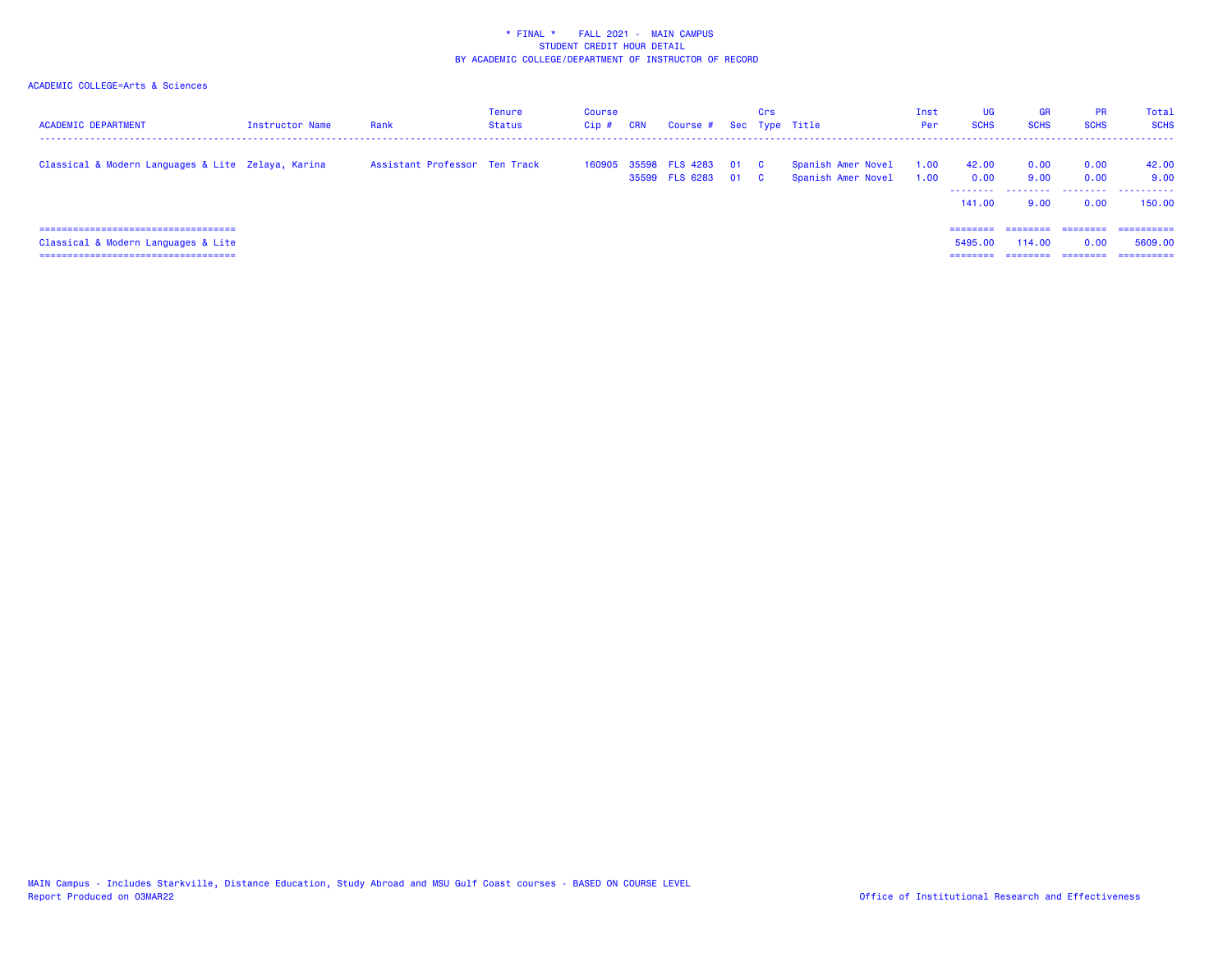| <b>ACADEMIC DEPARTMENT</b>                         | Instructor Name | Rank                          | <b>Tenure</b><br><b>Status</b> | Course<br>Cip # | <b>CRN</b> | Course # Sec Type Title                    | Crs |                                          | Inst<br>Per  | UG<br><b>SCHS</b>                    | <b>GR</b><br><b>SCHS</b> | <b>PR</b><br><b>SCHS</b> | Total<br><b>SCHS</b>    |
|----------------------------------------------------|-----------------|-------------------------------|--------------------------------|-----------------|------------|--------------------------------------------|-----|------------------------------------------|--------------|--------------------------------------|--------------------------|--------------------------|-------------------------|
| Classical & Modern Languages & Lite Zelaya, Karina |                 | Assistant Professor Ten Track |                                | 160905          |            | 35598 FLS 4283 01 C<br>35599 FLS 6283 01 C |     | Spanish Amer Novel<br>Spanish Amer Novel | 1.00<br>1.00 | 42.00<br>0.00<br>---------<br>141.00 | 0.00<br>9.00<br>9.00     | 0.00<br>0.00<br>0.00     | 42.00<br>9.00<br>150.00 |
| =====================================              |                 |                               |                                |                 |            |                                            |     |                                          |              | ========                             | ---------                | $=$ = = = = = = =        | ==========              |
| Classical & Modern Languages & Lite                |                 |                               |                                |                 |            |                                            |     |                                          |              | 5495.00                              | 114,00                   | 0.00                     | 5609.00                 |
| ======================================             |                 |                               |                                |                 |            |                                            |     |                                          |              | =====                                |                          | ========                 | ==========              |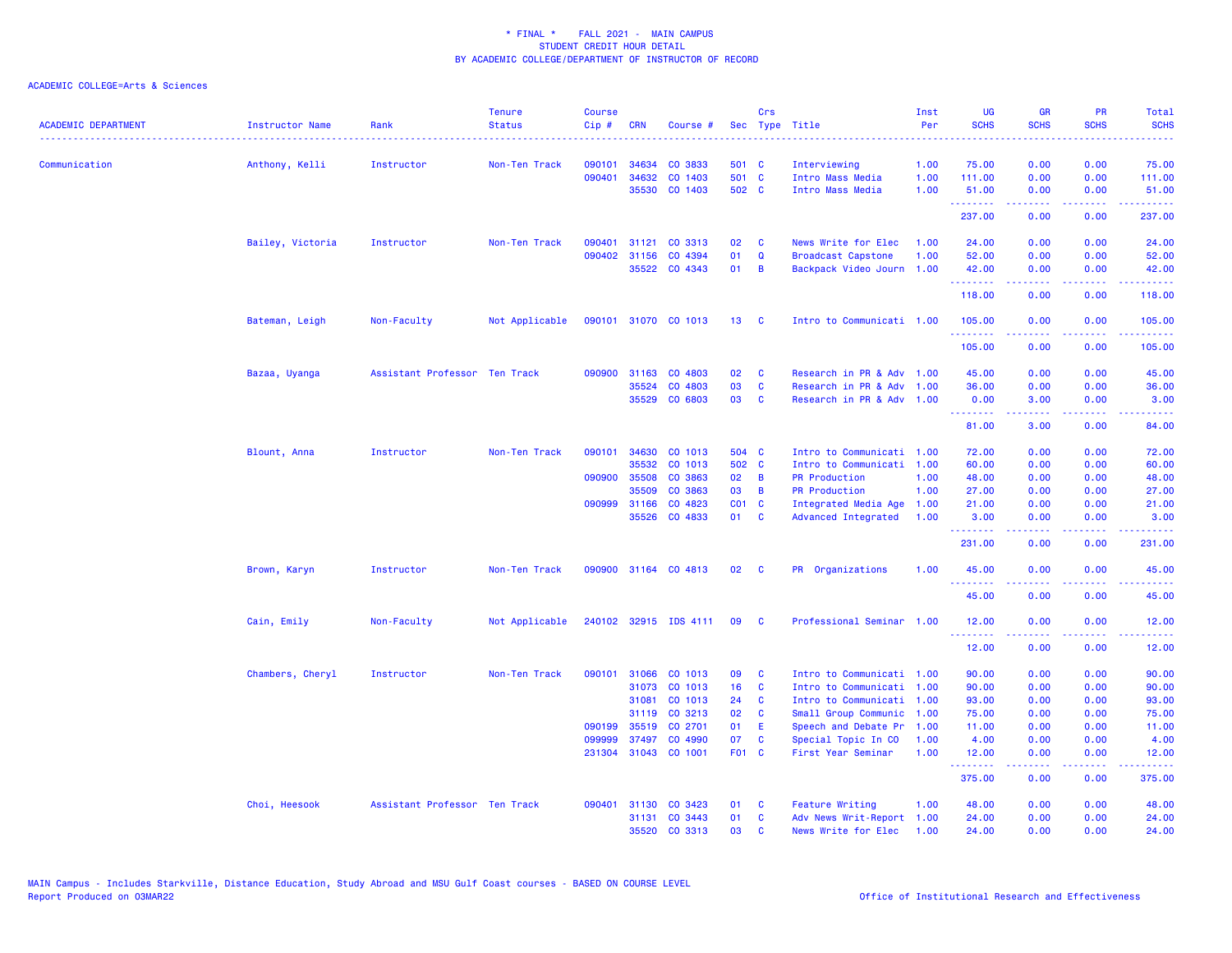| <b>ACADEMIC DEPARTMENT</b> | <b>Instructor Name</b> | Rank                          | <b>Tenure</b><br><b>Status</b> | <b>Course</b><br>Cip# | <b>CRN</b>   | Course #              |                 | Crs          | Sec Type Title            | Inst<br>Per | <b>UG</b><br><b>SCHS</b> | <b>GR</b><br><b>SCHS</b> | PR<br><b>SCHS</b>                                                                                                                 | Total<br><b>SCHS</b>  |
|----------------------------|------------------------|-------------------------------|--------------------------------|-----------------------|--------------|-----------------------|-----------------|--------------|---------------------------|-------------|--------------------------|--------------------------|-----------------------------------------------------------------------------------------------------------------------------------|-----------------------|
| Communication              | Anthony, Kelli         | Instructor                    | Non-Ten Track                  | 090101                | 34634        | CO 3833               | 501 C           |              | Interviewing              | 1.00        | 75.00                    | 0.00                     | 0.00                                                                                                                              | 75.00                 |
|                            |                        |                               |                                | 090401                | 34632        | CO 1403               | 501 C           |              | Intro Mass Media          | 1.00        | 111.00                   | 0.00                     | 0.00                                                                                                                              | 111.00                |
|                            |                        |                               |                                |                       | 35530        | CO 1403               | 502 C           |              | Intro Mass Media          | 1.00        | 51.00<br>.               | 0.00                     | 0.00                                                                                                                              | 51.00                 |
|                            |                        |                               |                                |                       |              |                       |                 |              |                           |             | 237.00                   | -----<br>0.00            | بالأباد<br>0.00                                                                                                                   | 237.00                |
|                            | Bailey, Victoria       | Instructor                    | Non-Ten Track                  | 090401                | 31121        | CO 3313               | 02              | C            | News Write for Elec       | 1.00        | 24.00                    | 0.00                     | 0.00                                                                                                                              | 24.00                 |
|                            |                        |                               |                                |                       | 090402 31156 | CO 4394               | 01              | $\Omega$     | <b>Broadcast Capstone</b> | 1.00        | 52.00                    | 0.00                     | 0.00                                                                                                                              | 52.00                 |
|                            |                        |                               |                                |                       |              | 35522 CO 4343         | 01              | B            | Backpack Video Journ 1.00 |             | 42.00<br>.               | 0.00                     | 0.00                                                                                                                              | 42.00                 |
|                            |                        |                               |                                |                       |              |                       |                 |              |                           |             | 118.00                   | 0.00                     | 0.00                                                                                                                              | 118.00                |
|                            | Bateman, Leigh         | Non-Faculty                   | Not Applicable                 |                       |              | 090101 31070 CO 1013  | 13 <sup>°</sup> | $\mathbf{C}$ | Intro to Communicati 1.00 |             | 105,00<br>.              | 0.00<br>.                | 0.00<br>$\sim$ $\sim$ $\sim$ $\sim$                                                                                               | 105.00<br><u>.</u>    |
|                            |                        |                               |                                |                       |              |                       |                 |              |                           |             | 105.00                   | 0.00                     | 0.00                                                                                                                              | 105.00                |
|                            | Bazaa, Uyanga          | Assistant Professor Ten Track |                                |                       |              | 090900 31163 CO 4803  | 02              | C            | Research in PR & Adv 1.00 |             | 45.00                    | 0.00                     | 0.00                                                                                                                              | 45.00                 |
|                            |                        |                               |                                |                       | 35524        | CO 4803               | 03              | C            | Research in PR & Adv 1.00 |             | 36.00                    | 0.00                     | 0.00                                                                                                                              | 36.00                 |
|                            |                        |                               |                                |                       | 35529        | CO 6803               | 03              | C            | Research in PR & Adv 1.00 |             | 0.00<br>.                | 3.00<br>22222            | 0.00<br>المالما لمالية ال                                                                                                         | 3.00<br>.             |
|                            |                        |                               |                                |                       |              |                       |                 |              |                           |             | 81.00                    | 3.00                     | 0.00                                                                                                                              | 84.00                 |
|                            | Blount, Anna           | Instructor                    | Non-Ten Track                  | 090101                | 34630        | CO 1013               | 504 C           |              | Intro to Communicati 1.00 |             | 72.00                    | 0.00                     | 0.00                                                                                                                              | 72.00                 |
|                            |                        |                               |                                |                       | 35532        | CO 1013               | 502 C           |              | Intro to Communicati 1.00 |             | 60.00                    | 0.00                     | 0.00                                                                                                                              | 60.00                 |
|                            |                        |                               |                                | 090900                | 35508        | CO 3863               | 02              | B            | <b>PR Production</b>      | 1.00        | 48.00                    | 0.00                     | 0.00                                                                                                                              | 48.00                 |
|                            |                        |                               |                                |                       | 35509        | CO 3863               | 03              | B            | <b>PR Production</b>      | 1.00        | 27.00                    | 0.00                     | 0.00                                                                                                                              | 27.00                 |
|                            |                        |                               |                                |                       | 090999 31166 | CO 4823               | CO1 C           |              | Integrated Media Age      | 1.00        | 21.00                    | 0.00                     | 0.00                                                                                                                              | 21.00                 |
|                            |                        |                               |                                |                       | 35526        | CO 4833               | 01              | C            | Advanced Integrated       | 1.00        | 3.00<br>.                | 0.00<br>.                | 0.00<br>$\frac{1}{2} \left( \frac{1}{2} \right) \left( \frac{1}{2} \right) \left( \frac{1}{2} \right) \left( \frac{1}{2} \right)$ | 3.00<br><u>.</u>      |
|                            |                        |                               |                                |                       |              |                       |                 |              |                           |             | 231.00                   | 0.00                     | 0.00                                                                                                                              | 231.00                |
|                            | Brown, Karyn           | Instructor                    | Non-Ten Track                  |                       |              | 090900 31164 CO 4813  | 02              | <b>C</b>     | PR Organizations          | 1.00        | 45.00<br>.               | 0.00                     | 0.00<br>.                                                                                                                         | 45.00<br>.            |
|                            |                        |                               |                                |                       |              |                       |                 |              |                           |             | 45.00                    | 0.00                     | 0.00                                                                                                                              | 45.00                 |
|                            | Cain, Emily            | Non-Faculty                   | Not Applicable                 |                       |              | 240102 32915 IDS 4111 | 09              | <b>C</b>     | Professional Seminar 1.00 |             | 12.00<br>.               | 0.00<br>.                | 0.00<br>.                                                                                                                         | 12.00                 |
|                            |                        |                               |                                |                       |              |                       |                 |              |                           |             | 12.00                    | 0.00                     | 0.00                                                                                                                              | 12.00                 |
|                            | Chambers, Cheryl       | Instructor                    | Non-Ten Track                  | 090101                | 31066        | CO 1013               | 09              | C            | Intro to Communicati 1.00 |             | 90.00                    | 0.00                     | 0.00                                                                                                                              | 90.00                 |
|                            |                        |                               |                                |                       | 31073        | CO 1013               | 16              | C            | Intro to Communicati 1.00 |             | 90.00                    | 0.00                     | 0.00                                                                                                                              | 90.00                 |
|                            |                        |                               |                                |                       | 31081        | CO 1013               | 24              | C            | Intro to Communicati 1.00 |             | 93.00                    | 0.00                     | 0.00                                                                                                                              | 93.00                 |
|                            |                        |                               |                                |                       | 31119        | CO 3213               | 02              | C            | Small Group Communic 1.00 |             | 75.00                    | 0.00                     | 0.00                                                                                                                              | 75.00                 |
|                            |                        |                               |                                | 090199                | 35519        | CO 2701               | 01              | Æ            | Speech and Debate Pr      | 1.00        | 11.00                    | 0.00                     | 0.00                                                                                                                              | 11.00                 |
|                            |                        |                               |                                | 099999                | 37497        | CO 4990               | 07              | C            | Special Topic In CO       | 1.00        | 4.00                     | 0.00                     | 0.00                                                                                                                              | 4.00                  |
|                            |                        |                               |                                |                       |              | 231304 31043 CO 1001  | F01 C           |              | First Year Seminar        | 1.00        | 12.00<br><u>.</u>        | 0.00<br>.                | 0.00                                                                                                                              | 12.00<br>. <u>.</u> . |
|                            |                        |                               |                                |                       |              |                       |                 |              |                           |             | 375.00                   | 0.00                     | 0.00                                                                                                                              | 375.00                |
|                            | Choi, Heesook          | Assistant Professor Ten Track |                                | 090401                |              | 31130 CO 3423         | 01              | <b>C</b>     | <b>Feature Writing</b>    | 1.00        | 48.00                    | 0.00                     | 0.00                                                                                                                              | 48.00                 |
|                            |                        |                               |                                |                       | 31131        | CO 3443               | 01              | C            | Adv News Writ-Report 1.00 |             | 24.00                    | 0.00                     | 0.00                                                                                                                              | 24.00                 |
|                            |                        |                               |                                |                       | 35520        | CO 3313               | 03              | $\mathbf{c}$ | News Write for Elec       | 1.00        | 24,00                    | 0.00                     | 0.00                                                                                                                              | 24.00                 |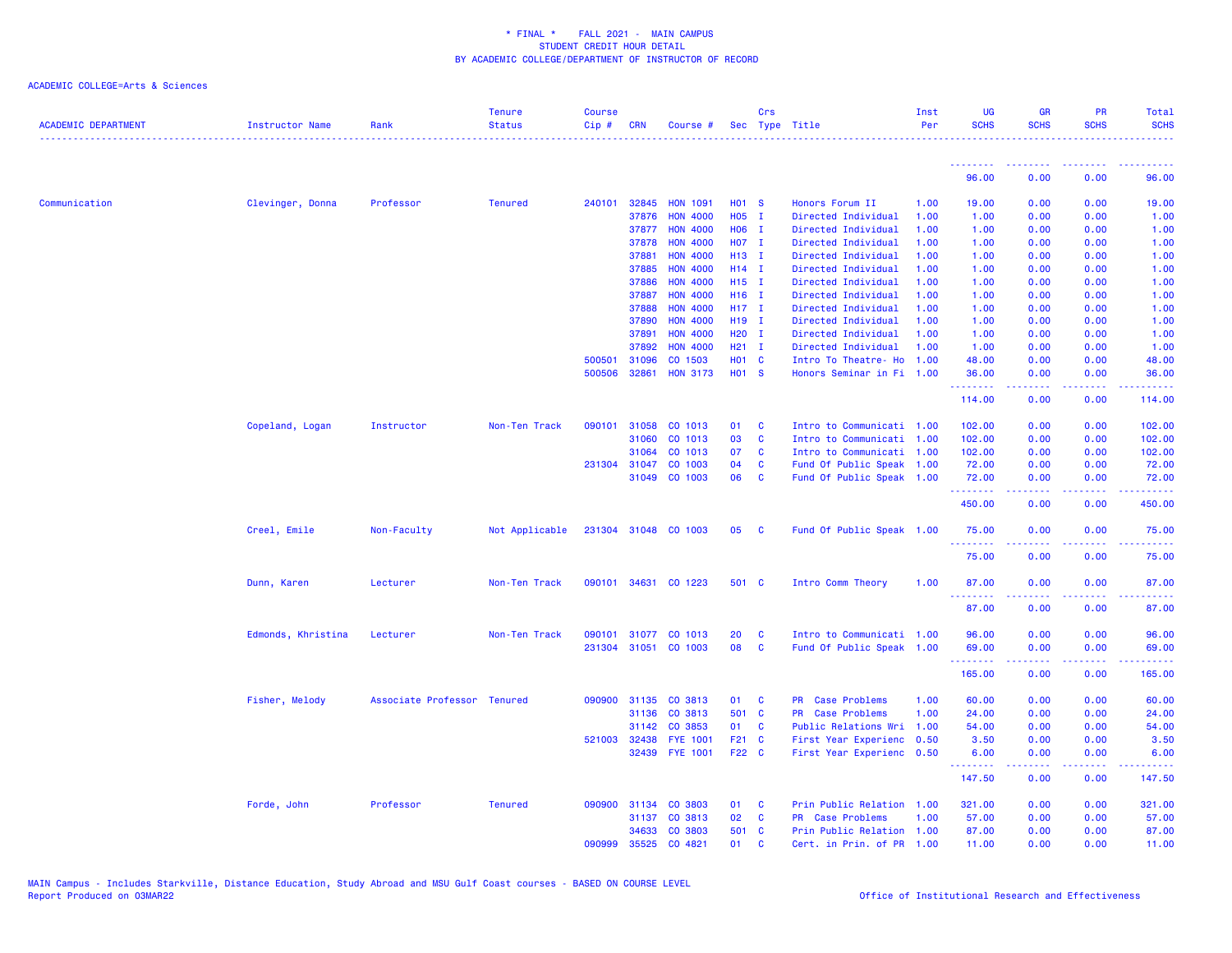| <b>ACADEMIC DEPARTMENT</b> | <b>Instructor Name</b> | Rank                        | <b>Tenure</b><br><b>Status</b> | <b>Course</b><br>Cip # | <b>CRN</b>   | Course #             |                   | Crs          | Sec Type Title            | Inst<br>Per | UG<br><b>SCHS</b> | <b>GR</b><br><b>SCHS</b> | <b>PR</b><br><b>SCHS</b>                                                                                                          | Total<br><b>SCHS</b><br>. |
|----------------------------|------------------------|-----------------------------|--------------------------------|------------------------|--------------|----------------------|-------------------|--------------|---------------------------|-------------|-------------------|--------------------------|-----------------------------------------------------------------------------------------------------------------------------------|---------------------------|
|                            |                        |                             |                                |                        |              |                      |                   |              |                           |             | .                 | <u> - - - - - - - -</u>  | ----                                                                                                                              |                           |
|                            |                        |                             |                                |                        |              |                      |                   |              |                           |             | 96.00             | 0.00                     | 0.00                                                                                                                              | 96.00                     |
| Communication              | Clevinger, Donna       | Professor                   | <b>Tenured</b>                 | 240101                 | 32845        | <b>HON 1091</b>      | <b>HO1 S</b>      |              | Honors Forum II           | 1.00        | 19.00             | 0.00                     | 0.00                                                                                                                              | 19.00                     |
|                            |                        |                             |                                |                        | 37876        | <b>HON 4000</b>      | H05 I             |              | Directed Individual       | 1.00        | 1.00              | 0.00                     | 0.00                                                                                                                              | 1.00                      |
|                            |                        |                             |                                |                        | 37877        | <b>HON 4000</b>      | H06 I             |              | Directed Individual       | 1.00        | 1.00              | 0.00                     | 0.00                                                                                                                              | 1.00                      |
|                            |                        |                             |                                |                        | 37878        | <b>HON 4000</b>      | H07 I             |              | Directed Individual       | 1.00        | 1.00              | 0.00                     | 0.00                                                                                                                              | 1.00                      |
|                            |                        |                             |                                |                        | 37881        | <b>HON 4000</b>      | H13 I             |              | Directed Individual       | 1.00        | 1.00              | 0.00                     | 0.00                                                                                                                              | 1.00                      |
|                            |                        |                             |                                |                        | 37885        | <b>HON 4000</b>      | $H14$ I           |              | Directed Individual       | 1.00        | 1.00              | 0.00                     | 0.00                                                                                                                              | 1.00                      |
|                            |                        |                             |                                |                        | 37886        | <b>HON 4000</b>      | H15 I             |              | Directed Individual       | 1.00        | 1.00              | 0.00                     | 0.00                                                                                                                              | 1.00                      |
|                            |                        |                             |                                |                        | 37887        | <b>HON 4000</b>      | H16 I             |              | Directed Individual       | 1.00        | 1.00              | 0.00                     | 0.00                                                                                                                              | 1.00                      |
|                            |                        |                             |                                |                        | 37888        | <b>HON 4000</b>      | $H17$ I           |              | Directed Individual       | 1.00        | 1.00              | 0.00                     | 0.00                                                                                                                              | 1.00                      |
|                            |                        |                             |                                |                        | 37890        | <b>HON 4000</b>      | H19 I             |              | Directed Individual       | 1.00        | 1.00              | 0.00                     | 0.00                                                                                                                              | 1.00                      |
|                            |                        |                             |                                |                        | 37891        | <b>HON 4000</b>      | H <sub>20</sub> I |              | Directed Individual       | 1.00        | 1.00              | 0.00                     | 0.00                                                                                                                              | 1.00                      |
|                            |                        |                             |                                |                        | 37892        | <b>HON 4000</b>      | $H21$ I           |              | Directed Individual       | 1.00        | 1.00              | 0.00                     | 0.00                                                                                                                              | 1.00                      |
|                            |                        |                             |                                | 500501                 | 31096        | CO 1503              | <b>HO1 C</b>      |              | Intro To Theatre- Ho      | 1.00        | 48.00             | 0.00                     | 0.00                                                                                                                              | 48.00                     |
|                            |                        |                             |                                | 500506                 | 32861        | <b>HON 3173</b>      | H01 S             |              | Honors Seminar in Fi 1.00 |             | 36.00<br>.        | 0.00<br>.                | 0.00<br>.                                                                                                                         | 36.00<br><u>.</u>         |
|                            |                        |                             |                                |                        |              |                      |                   |              |                           |             | 114.00            | 0.00                     | 0.00                                                                                                                              | 114.00                    |
|                            | Copeland, Logan        | Instructor                  | Non-Ten Track                  | 090101                 | 31058        | CO 1013              | 01                | <b>C</b>     | Intro to Communicati 1.00 |             | 102.00            | 0.00                     | 0.00                                                                                                                              | 102.00                    |
|                            |                        |                             |                                |                        | 31060        | CO 1013              | 03                | $\mathbf{C}$ | Intro to Communicati 1.00 |             | 102.00            | 0.00                     | 0.00                                                                                                                              | 102.00                    |
|                            |                        |                             |                                |                        | 31064        | CO 1013              | 07                | <b>C</b>     | Intro to Communicati 1.00 |             | 102.00            | 0.00                     | 0.00                                                                                                                              | 102.00                    |
|                            |                        |                             |                                |                        | 231304 31047 | CO 1003              | 04                | $\mathbf{C}$ | Fund Of Public Speak 1.00 |             | 72.00             | 0.00                     | 0.00                                                                                                                              | 72.00                     |
|                            |                        |                             |                                |                        | 31049        | CO 1003              | 06                | $\mathbf{C}$ | Fund Of Public Speak 1.00 |             | 72.00             | 0.00                     | 0.00                                                                                                                              | 72.00                     |
|                            |                        |                             |                                |                        |              |                      |                   |              |                           |             | .<br>450.00       | . <b>.</b><br>0.00       | د د د د<br>0.00                                                                                                                   | 222222<br>450.00          |
|                            | Creel, Emile           | Non-Faculty                 | Not Applicable                 |                        |              | 231304 31048 CO 1003 | 05 C              |              | Fund Of Public Speak 1.00 |             | 75.00             | 0.00                     | 0.00                                                                                                                              | 75.00                     |
|                            |                        |                             |                                |                        |              |                      |                   |              |                           |             | .<br>75.00        | .<br>0.00                | .<br>0.00                                                                                                                         | .<br>75.00                |
|                            | Dunn, Karen            | Lecturer                    | Non-Ten Track                  | 090101                 |              | 34631 CO 1223        | 501 C             |              | Intro Comm Theory         | 1.00        | 87.00             | 0.00                     | 0.00                                                                                                                              | 87.00                     |
|                            |                        |                             |                                |                        |              |                      |                   |              |                           |             | <u>.</u><br>87.00 | .<br>0.00                | .<br>0.00                                                                                                                         | .<br>87.00                |
|                            | Edmonds, Khristina     | Lecturer                    | Non-Ten Track                  |                        |              | 090101 31077 CO 1013 | 20                | <b>C</b>     | Intro to Communicati 1.00 |             | 96.00             | 0.00                     | 0.00                                                                                                                              | 96.00                     |
|                            |                        |                             |                                |                        |              | 231304 31051 CO 1003 | 08                | C            | Fund Of Public Speak 1.00 |             | 69.00             | 0.00                     | 0.00                                                                                                                              | 69.00                     |
|                            |                        |                             |                                |                        |              |                      |                   |              |                           |             | ---------         | .                        | .                                                                                                                                 | .                         |
|                            |                        |                             |                                |                        |              |                      |                   |              |                           |             | 165.00            | 0.00                     | 0.00                                                                                                                              | 165.00                    |
|                            | Fisher, Melody         | Associate Professor Tenured |                                |                        | 090900 31135 | CO 3813              | 01                | $\mathbf{C}$ | PR Case Problems          | 1.00        | 60.00             | 0.00                     | 0.00                                                                                                                              | 60.00                     |
|                            |                        |                             |                                |                        | 31136        | CO 3813              | 501 C             |              | PR Case Problems          | 1.00        | 24.00             | 0.00                     | 0.00                                                                                                                              | 24.00                     |
|                            |                        |                             |                                |                        | 31142        | CO 3853              | 01                | <b>C</b>     | Public Relations Wri      | 1.00        | 54.00             | 0.00                     | 0.00                                                                                                                              | 54.00                     |
|                            |                        |                             |                                | 521003                 | 32438        | <b>FYE 1001</b>      | F21 C             |              | First Year Experienc      | 0.50        | 3.50              | 0.00                     | 0.00                                                                                                                              | 3.50                      |
|                            |                        |                             |                                |                        |              | 32439 FYE 1001       | F22 C             |              | First Year Experienc 0.50 |             | 6.00              | 0.00                     | 0.00                                                                                                                              | 6.00                      |
|                            |                        |                             |                                |                        |              |                      |                   |              |                           |             | .<br>147.50       | 0.00                     | $\frac{1}{2} \left( \frac{1}{2} \right) \left( \frac{1}{2} \right) \left( \frac{1}{2} \right) \left( \frac{1}{2} \right)$<br>0.00 | .<br>147.50               |
|                            | Forde, John            | Professor                   | <b>Tenured</b>                 |                        |              | 090900 31134 CO 3803 | 01 C              |              | Prin Public Relation 1.00 |             | 321.00            | 0.00                     | 0.00                                                                                                                              | 321.00                    |
|                            |                        |                             |                                |                        | 31137        | CO 3813              | 02                | C            | PR Case Problems          | 1.00        | 57.00             | 0.00                     | 0.00                                                                                                                              | 57.00                     |
|                            |                        |                             |                                |                        |              | 34633 CO 3803        | 501 C             |              | Prin Public Relation 1.00 |             | 87.00             | 0.00                     | 0.00                                                                                                                              | 87.00                     |
|                            |                        |                             |                                | 090999                 |              | 35525 CO 4821        | 01                | <b>C</b>     | Cert, in Prin, of PR 1.00 |             | 11.00             | 0.00                     | 0.00                                                                                                                              | 11.00                     |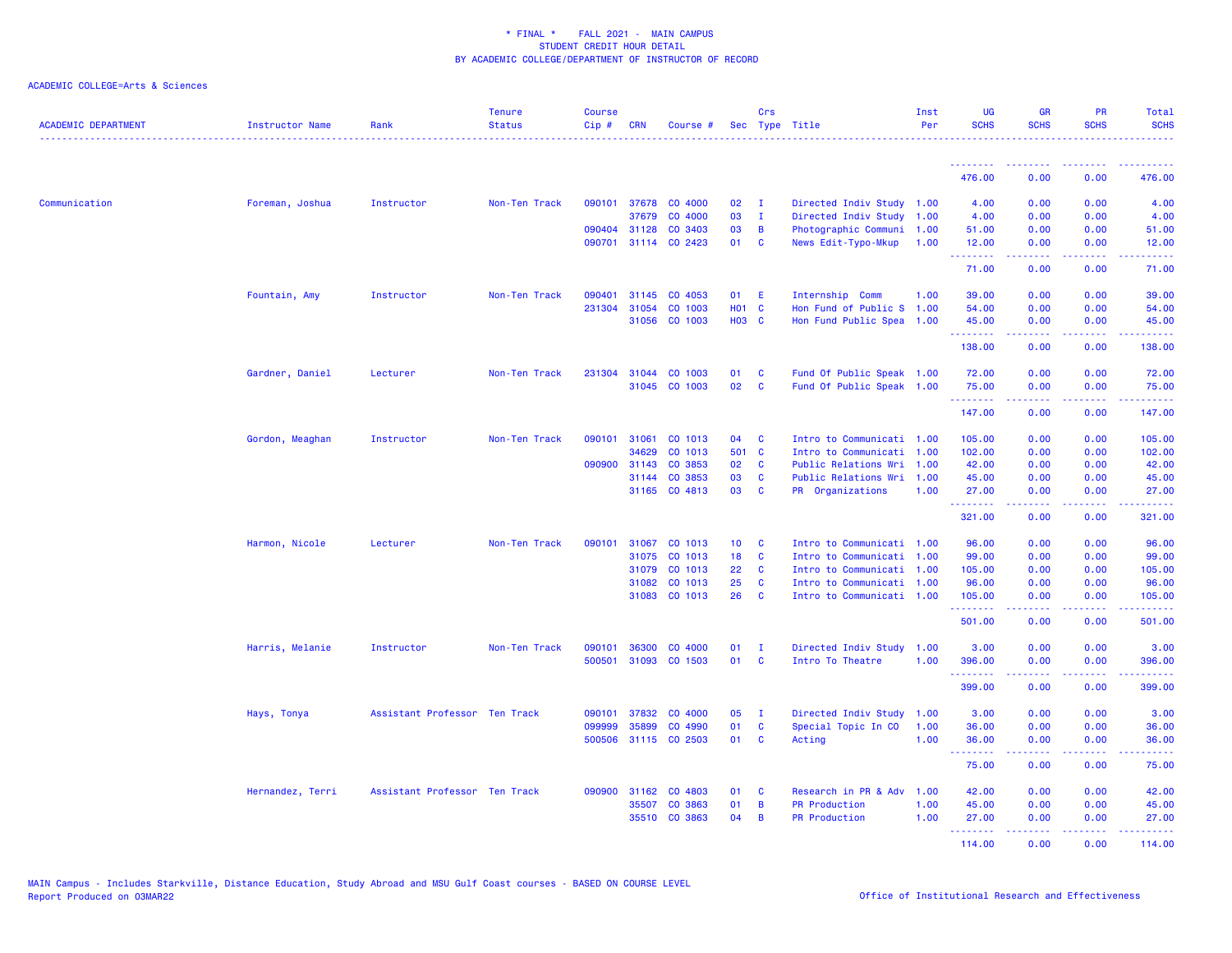| <b>ACADEMIC DEPARTMENT</b> | Instructor Name  | Rank                          | <b>Tenure</b><br><b>Status</b> | <b>Course</b><br>Cip# | CRN          | Course #             |                 | Crs            | Sec Type Title            | Inst<br>Per | <b>UG</b><br><b>SCHS</b> | <b>GR</b><br><b>SCHS</b> | <b>PR</b><br><b>SCHS</b> | Total<br><b>SCHS</b>                                                                                                            |
|----------------------------|------------------|-------------------------------|--------------------------------|-----------------------|--------------|----------------------|-----------------|----------------|---------------------------|-------------|--------------------------|--------------------------|--------------------------|---------------------------------------------------------------------------------------------------------------------------------|
|                            |                  |                               |                                |                       |              |                      |                 |                |                           |             |                          |                          |                          |                                                                                                                                 |
|                            |                  |                               |                                |                       |              |                      |                 |                |                           |             | 476.00                   | 0.00                     | 0.00                     | 476.00                                                                                                                          |
| Communication              | Foreman, Joshua  | Instructor                    | Non-Ten Track                  |                       |              | 090101 37678 CO 4000 | 02              | $\mathbf{I}$   | Directed Indiv Study 1.00 |             | 4.00                     | 0.00                     | 0.00                     | 4.00                                                                                                                            |
|                            |                  |                               |                                |                       | 37679        | CO 4000              | 03              | $\mathbf{I}$   | Directed Indiv Study 1.00 |             | 4.00                     | 0.00                     | 0.00                     | 4.00                                                                                                                            |
|                            |                  |                               |                                |                       | 090404 31128 | CO 3403              | 03              | $\overline{B}$ | Photographic Communi 1.00 |             | 51.00                    | 0.00                     | 0.00                     | 51.00                                                                                                                           |
|                            |                  |                               |                                | 090701                |              | 31114 CO 2423        | 01              | <b>C</b>       | News Edit-Typo-Mkup       | 1.00        | 12.00<br><b>.</b> .      | 0.00<br>-----            | 0.00<br>بالأباد          | 12.00<br>وساعات                                                                                                                 |
|                            |                  |                               |                                |                       |              |                      |                 |                |                           |             | 71.00                    | 0.00                     | 0.00                     | 71.00                                                                                                                           |
|                            | Fountain, Amy    | Instructor                    | Non-Ten Track                  | 090401                |              | 31145 CO 4053        | 01 E            |                | Internship Comm           | 1.00        | 39.00                    | 0.00                     | 0.00                     | 39.00                                                                                                                           |
|                            |                  |                               |                                | 231304                |              | 31054 CO 1003        | <b>HO1 C</b>    |                | Hon Fund of Public S 1.00 |             | 54.00                    | 0.00                     | 0.00                     | 54.00                                                                                                                           |
|                            |                  |                               |                                |                       |              | 31056 CO 1003        | <b>HO3 C</b>    |                | Hon Fund Public Spea 1.00 |             | 45.00<br><b>.</b> .      | 0.00<br>22222            | 0.00<br>.                | 45.00<br>د د د د د د                                                                                                            |
|                            |                  |                               |                                |                       |              |                      |                 |                |                           |             | 138.00                   | 0.00                     | 0.00                     | 138.00                                                                                                                          |
|                            | Gardner, Daniel  | Lecturer                      | Non-Ten Track                  |                       |              | 231304 31044 CO 1003 | 01              | $\mathbf{C}$   | Fund Of Public Speak 1.00 |             | 72.00                    | 0.00                     | 0.00                     | 72.00                                                                                                                           |
|                            |                  |                               |                                |                       |              | 31045 CO 1003        | 02              | $\mathbf{C}$   | Fund Of Public Speak 1.00 |             | 75.00                    | 0.00                     | 0.00                     | 75.00                                                                                                                           |
|                            |                  |                               |                                |                       |              |                      |                 |                |                           |             | <b>.</b> .<br>147.00     | بالأبابات<br>0.00        | .<br>0.00                | .<br>147.00                                                                                                                     |
|                            | Gordon, Meaghan  | Instructor                    | Non-Ten Track                  | 090101                | 31061        | CO 1013              | 04              | <b>C</b>       | Intro to Communicati 1.00 |             | 105.00                   | 0.00                     | 0.00                     | 105.00                                                                                                                          |
|                            |                  |                               |                                |                       | 34629        | CO 1013              | 501 C           |                | Intro to Communicati 1.00 |             | 102.00                   | 0.00                     | 0.00                     | 102.00                                                                                                                          |
|                            |                  |                               |                                |                       | 090900 31143 | CO 3853              | 02              | <b>C</b>       | Public Relations Wri 1.00 |             | 42.00                    | 0.00                     | 0.00                     | 42.00                                                                                                                           |
|                            |                  |                               |                                |                       | 31144        | CO 3853              | 03              | $\mathbf{C}$   | Public Relations Wri 1.00 |             | 45.00                    | 0.00                     | 0.00                     | 45.00                                                                                                                           |
|                            |                  |                               |                                |                       |              | 31165 CO 4813        | 03              | $\mathbf{C}$   | PR Organizations          | 1.00        | 27.00<br><b>.</b> .      | 0.00<br>.                | 0.00<br>.                | 27.00<br>.                                                                                                                      |
|                            |                  |                               |                                |                       |              |                      |                 |                |                           |             | 321.00                   | 0.00                     | 0.00                     | 321.00                                                                                                                          |
|                            | Harmon, Nicole   | Lecturer                      | Non-Ten Track                  | 090101                | 31067        | CO 1013              | 10 <sub>1</sub> | C              | Intro to Communicati 1.00 |             | 96.00                    | 0.00                     | 0.00                     | 96.00                                                                                                                           |
|                            |                  |                               |                                |                       |              | 31075 CO 1013        | 18              | $\mathbf{C}$   | Intro to Communicati 1.00 |             | 99.00                    | 0.00                     | 0.00                     | 99.00                                                                                                                           |
|                            |                  |                               |                                |                       |              | 31079 CO 1013        | 22              | <b>C</b>       | Intro to Communicati 1.00 |             | 105.00                   | 0.00                     | 0.00                     | 105.00                                                                                                                          |
|                            |                  |                               |                                |                       | 31082        | CO 1013              | 25              | C              | Intro to Communicati 1.00 |             | 96.00                    | 0.00                     | 0.00                     | 96.00                                                                                                                           |
|                            |                  |                               |                                |                       |              | 31083 CO 1013        | 26              | $\mathbf{C}$   | Intro to Communicati 1.00 |             | 105.00<br>.              | 0.00<br>.                | 0.00<br>المتمامين        | 105.00<br>وعاعاته عامل                                                                                                          |
|                            |                  |                               |                                |                       |              |                      |                 |                |                           |             | 501.00                   | 0.00                     | 0.00                     | 501.00                                                                                                                          |
|                            | Harris, Melanie  | Instructor                    | Non-Ten Track                  | 090101                | 36300        | CO 4000              | 01              | $\mathbf{I}$   | Directed Indiv Study 1.00 |             | 3.00                     | 0.00                     | 0.00                     | 3.00                                                                                                                            |
|                            |                  |                               |                                | 500501                |              | 31093 CO 1503        | 01              | $\mathbf{C}$   | Intro To Theatre          | 1.00        | 396.00<br><u>.</u>       | 0.00<br>.                | 0.00<br>.                | 396.00<br>$\begin{array}{cccccccccc} \bullet & \bullet & \bullet & \bullet & \bullet & \bullet & \bullet & \bullet \end{array}$ |
|                            |                  |                               |                                |                       |              |                      |                 |                |                           |             | 399.00                   | 0.00                     | 0.00                     | 399.00                                                                                                                          |
|                            | Hays, Tonya      | Assistant Professor Ten Track |                                | 090101                |              | 37832 CO 4000        | 05              | - I            | Directed Indiv Study      | 1.00        | 3.00                     | 0.00                     | 0.00                     | 3.00                                                                                                                            |
|                            |                  |                               |                                | 099999                | 35899        | CO 4990              | 01              | $\mathbf{C}$   | Special Topic In CO       | 1.00        | 36.00                    | 0.00                     | 0.00                     | 36.00                                                                                                                           |
|                            |                  |                               |                                | 500506                |              | 31115 CO 2503        | 01              | $\mathbf{C}$   | Acting                    | 1.00        | 36.00                    | 0.00                     | 0.00                     | 36.00                                                                                                                           |
|                            |                  |                               |                                |                       |              |                      |                 |                |                           |             | 75.00                    | .<br>0.00                | بالمحامي<br>0.00         | .<br>75.00                                                                                                                      |
|                            | Hernandez, Terri | Assistant Professor Ten Track |                                |                       |              | 090900 31162 CO 4803 | 01              | <b>C</b>       | Research in PR & Adv      | 1.00        | 42.00                    | 0.00                     | 0.00                     | 42.00                                                                                                                           |
|                            |                  |                               |                                |                       | 35507        | CO 3863              | 01              | B              | <b>PR Production</b>      | 1.00        | 45.00                    | 0.00                     | 0.00                     | 45.00                                                                                                                           |
|                            |                  |                               |                                |                       |              | 35510 CO 3863        | 04              | $\overline{B}$ | <b>PR Production</b>      | 1.00        | 27.00                    | 0.00                     | 0.00                     | 27.00                                                                                                                           |
|                            |                  |                               |                                |                       |              |                      |                 |                |                           |             | 114.00                   | <u>.</u><br>0.00         | .<br>0.00                | . <u>.</u> .<br>114.00                                                                                                          |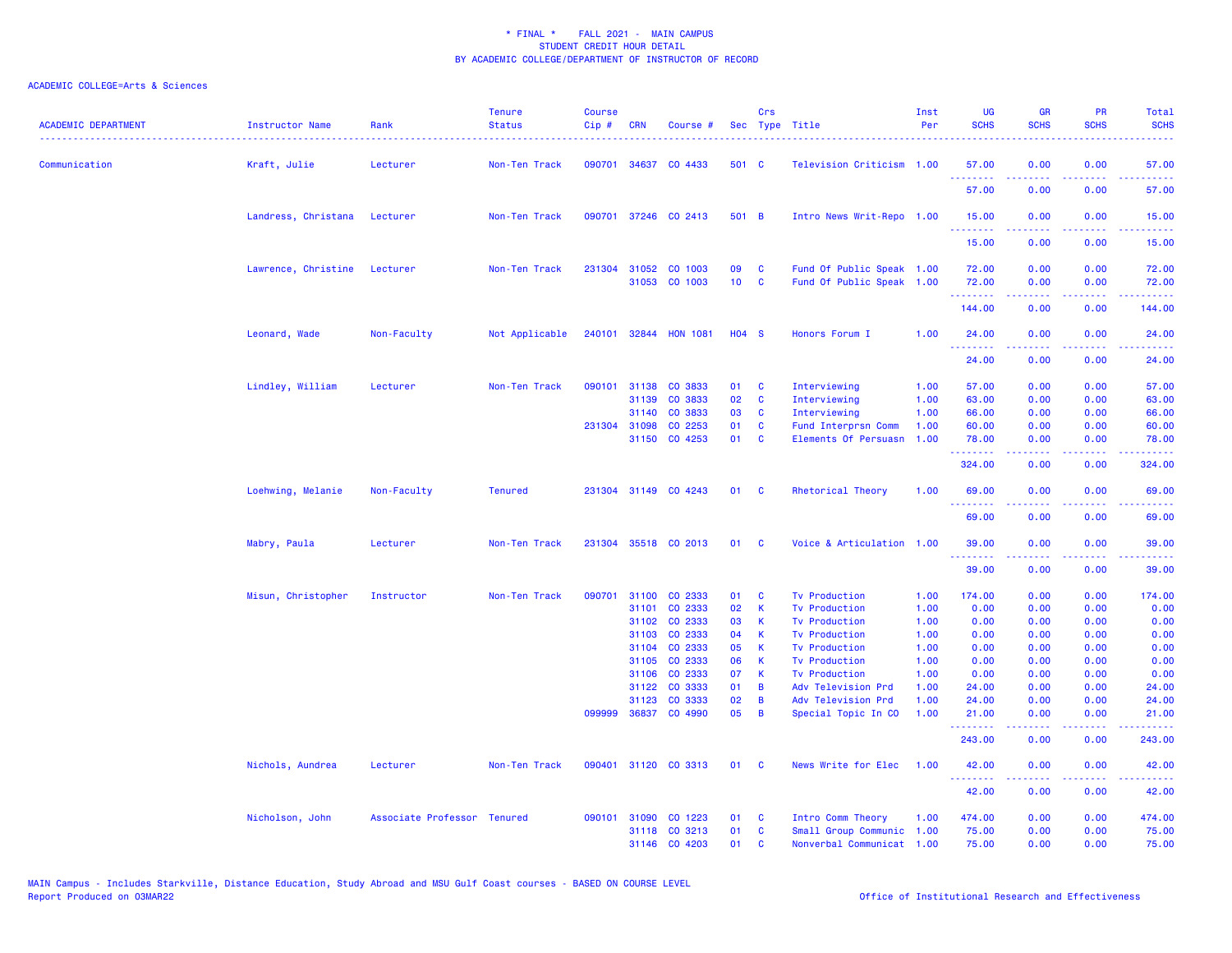| <b>ACADEMIC DEPARTMENT</b> | Instructor Name     | Rank                        | <b>Tenure</b><br><b>Status</b> | <b>Course</b><br>Cip# | <b>CRN</b>   | Course #              |                 | Crs          | Sec Type Title            | Inst<br>Per | <b>UG</b><br><b>SCHS</b> | <b>GR</b><br><b>SCHS</b>                                                                                                                                     | <b>PR</b><br><b>SCHS</b> | Total<br><b>SCHS</b>                                                                                                                                          |
|----------------------------|---------------------|-----------------------------|--------------------------------|-----------------------|--------------|-----------------------|-----------------|--------------|---------------------------|-------------|--------------------------|--------------------------------------------------------------------------------------------------------------------------------------------------------------|--------------------------|---------------------------------------------------------------------------------------------------------------------------------------------------------------|
| Communication              | Kraft, Julie        | Lecturer                    | Non-Ten Track                  |                       |              | 090701 34637 CO 4433  | 501 C           |              | Television Criticism 1.00 |             | 57.00<br>.               | 0.00                                                                                                                                                         | 0.00                     | 57.00                                                                                                                                                         |
|                            |                     |                             |                                |                       |              |                       |                 |              |                           |             | 57.00                    | 0.00                                                                                                                                                         | 0.00                     | 57.00                                                                                                                                                         |
|                            | Landress, Christana | Lecturer                    | Non-Ten Track                  |                       |              | 090701 37246 CO 2413  | 501 B           |              | Intro News Writ-Repo 1.00 |             | 15.00<br>. <b>.</b>      | 0.00                                                                                                                                                         | 0.00<br>.                | 15.00                                                                                                                                                         |
|                            |                     |                             |                                |                       |              |                       |                 |              |                           |             | 15.00                    | 0.00                                                                                                                                                         | 0.00                     | 15.00                                                                                                                                                         |
|                            | Lawrence, Christine | Lecturer                    | Non-Ten Track                  |                       | 231304 31052 | CO 1003               | 09              | C            | Fund Of Public Speak 1.00 |             | 72.00                    | 0.00                                                                                                                                                         | 0.00                     | 72.00                                                                                                                                                         |
|                            |                     |                             |                                |                       | 31053        | CO 1003               | 10 <sub>1</sub> | $\mathbf{C}$ | Fund Of Public Speak 1.00 |             | 72.00<br>.               | 0.00<br>-----                                                                                                                                                | 0.00                     | 72.00<br>.                                                                                                                                                    |
|                            |                     |                             |                                |                       |              |                       |                 |              |                           |             | 144.00                   | 0.00                                                                                                                                                         | 0.00                     | 144.00                                                                                                                                                        |
|                            | Leonard, Wade       | Non-Faculty                 | Not Applicable                 |                       |              | 240101 32844 HON 1081 | <b>HO4 S</b>    |              | Honors Forum I            | 1.00        | 24.00<br>.               | 0.00<br>.                                                                                                                                                    | 0.00<br>$  -$            | 24.00<br>.                                                                                                                                                    |
|                            |                     |                             |                                |                       |              |                       |                 |              |                           |             | 24.00                    | 0.00                                                                                                                                                         | 0.00                     | 24.00                                                                                                                                                         |
|                            | Lindley, William    | Lecturer                    | Non-Ten Track                  |                       | 090101 31138 | CO 3833               | 01              | C            | Interviewing              | 1.00        | 57.00                    | 0.00                                                                                                                                                         | 0.00                     | 57.00                                                                                                                                                         |
|                            |                     |                             |                                |                       | 31139        | CO 3833               | 02              | C            | Interviewing              | 1.00        | 63.00                    | 0.00                                                                                                                                                         | 0.00                     | 63.00                                                                                                                                                         |
|                            |                     |                             |                                |                       | 31140        | CO 3833               | 03              | C            | Interviewing              | 1.00        | 66.00                    | 0.00                                                                                                                                                         | 0.00                     | 66.00                                                                                                                                                         |
|                            |                     |                             |                                |                       | 231304 31098 | CO 2253               | 01              | C            | Fund Interprsn Comm       | 1.00        | 60.00                    | 0.00                                                                                                                                                         | 0.00                     | 60.00                                                                                                                                                         |
|                            |                     |                             |                                |                       | 31150        | CO 4253               | 01              | C            | Elements Of Persuasn      | 1.00        | 78.00<br>.               | 0.00<br>.                                                                                                                                                    | 0.00<br>.                | 78.00<br>.                                                                                                                                                    |
|                            |                     |                             |                                |                       |              |                       |                 |              |                           |             | 324.00                   | 0.00                                                                                                                                                         | 0.00                     | 324.00                                                                                                                                                        |
|                            | Loehwing, Melanie   | Non-Faculty                 | <b>Tenured</b>                 |                       |              | 231304 31149 CO 4243  | 01 C            |              | Rhetorical Theory         | 1.00        | 69.00<br>. <b>.</b>      | 0.00                                                                                                                                                         | 0.00                     | 69.00                                                                                                                                                         |
|                            |                     |                             |                                |                       |              |                       |                 |              |                           |             | 69.00                    | 0.00                                                                                                                                                         | 0.00                     | 69.00                                                                                                                                                         |
|                            | Mabry, Paula        | Lecturer                    | Non-Ten Track                  |                       |              | 231304 35518 CO 2013  | 01              | <b>C</b>     | Voice & Articulation 1.00 |             | 39.00<br><u>.</u>        | 0.00                                                                                                                                                         | 0.00                     | 39.00<br>$\frac{1}{2} \left( \frac{1}{2} \right) \left( \frac{1}{2} \right) \left( \frac{1}{2} \right) \left( \frac{1}{2} \right) \left( \frac{1}{2} \right)$ |
|                            |                     |                             |                                |                       |              |                       |                 |              |                           |             | 39.00                    | 0.00                                                                                                                                                         | 0.00                     | 39.00                                                                                                                                                         |
|                            | Misun, Christopher  | Instructor                  | Non-Ten Track                  |                       |              | 090701 31100 CO 2333  | 01              | C            | <b>Tv Production</b>      | 1.00        | 174.00                   | 0.00                                                                                                                                                         | 0.00                     | 174.00                                                                                                                                                        |
|                            |                     |                             |                                |                       | 31101        | CO 2333               | 02              | K            | <b>Tv Production</b>      | 1.00        | 0.00                     | 0.00                                                                                                                                                         | 0.00                     | 0.00                                                                                                                                                          |
|                            |                     |                             |                                |                       | 31102        | CO 2333               | 03              | К            | <b>Tv Production</b>      | 1.00        | 0.00                     | 0.00                                                                                                                                                         | 0.00                     | 0.00                                                                                                                                                          |
|                            |                     |                             |                                |                       | 31103        | CO 2333               | 04              | К            | <b>Tv Production</b>      | 1.00        | 0.00                     | 0.00                                                                                                                                                         | 0.00                     | 0.00                                                                                                                                                          |
|                            |                     |                             |                                |                       | 31104        | CO 2333               | 05              | К            | <b>Tv Production</b>      | 1.00        | 0.00                     | 0.00                                                                                                                                                         | 0.00                     | 0.00                                                                                                                                                          |
|                            |                     |                             |                                |                       | 31105        | CO 2333               | 06              | К            | <b>Tv Production</b>      | 1.00        | 0.00                     | 0.00                                                                                                                                                         | 0.00                     | 0.00                                                                                                                                                          |
|                            |                     |                             |                                |                       | 31106        | CO 2333               | 07              | К            | <b>Tv Production</b>      | 1.00        | 0.00                     | 0.00                                                                                                                                                         | 0.00                     | 0.00                                                                                                                                                          |
|                            |                     |                             |                                |                       | 31122        | CO 3333               | 01              | B            | Adv Television Prd        | 1.00        | 24.00                    | 0.00                                                                                                                                                         | 0.00                     | 24.00                                                                                                                                                         |
|                            |                     |                             |                                |                       | 31123        | CO 3333               | 02              | B            | Adv Television Prd        | 1.00        | 24.00                    | 0.00                                                                                                                                                         | 0.00                     | 24.00                                                                                                                                                         |
|                            |                     |                             |                                | 099999                |              | 36837 CO 4990         | 05              | B            | Special Topic In CO       | 1.00        | 21.00<br>.               | 0.00<br>.                                                                                                                                                    | 0.00<br>.                | 21.00<br>.                                                                                                                                                    |
|                            |                     |                             |                                |                       |              |                       |                 |              |                           |             | 243.00                   | 0.00                                                                                                                                                         | 0.00                     | 243.00                                                                                                                                                        |
|                            | Nichols, Aundrea    | Lecturer                    | Non-Ten Track                  |                       |              | 090401 31120 CO 3313  | 01              | $\mathbf{C}$ | News Write for Elec       | 1.00        | 42.00<br>.               | 0.00<br>$\frac{1}{2} \left( \frac{1}{2} \right) \left( \frac{1}{2} \right) \left( \frac{1}{2} \right) \left( \frac{1}{2} \right) \left( \frac{1}{2} \right)$ | 0.00<br>-----            | 42.00<br>.                                                                                                                                                    |
|                            |                     |                             |                                |                       |              |                       |                 |              |                           |             | 42.00                    | 0.00                                                                                                                                                         | 0.00                     | 42.00                                                                                                                                                         |
|                            | Nicholson, John     | Associate Professor Tenured |                                |                       | 090101 31090 | CO 1223               | 01              | <b>C</b>     | Intro Comm Theory         | 1.00        | 474.00                   | 0.00                                                                                                                                                         | 0.00                     | 474.00                                                                                                                                                        |
|                            |                     |                             |                                |                       |              | 31118 CO 3213         | 01              | C            | Small Group Communic      | 1.00        | 75.00                    | 0.00                                                                                                                                                         | 0.00                     | 75.00                                                                                                                                                         |
|                            |                     |                             |                                |                       |              | 31146 CO 4203         | 01              | C            | Nonverbal Communicat 1.00 |             | 75.00                    | 0.00                                                                                                                                                         | 0.00                     | 75.00                                                                                                                                                         |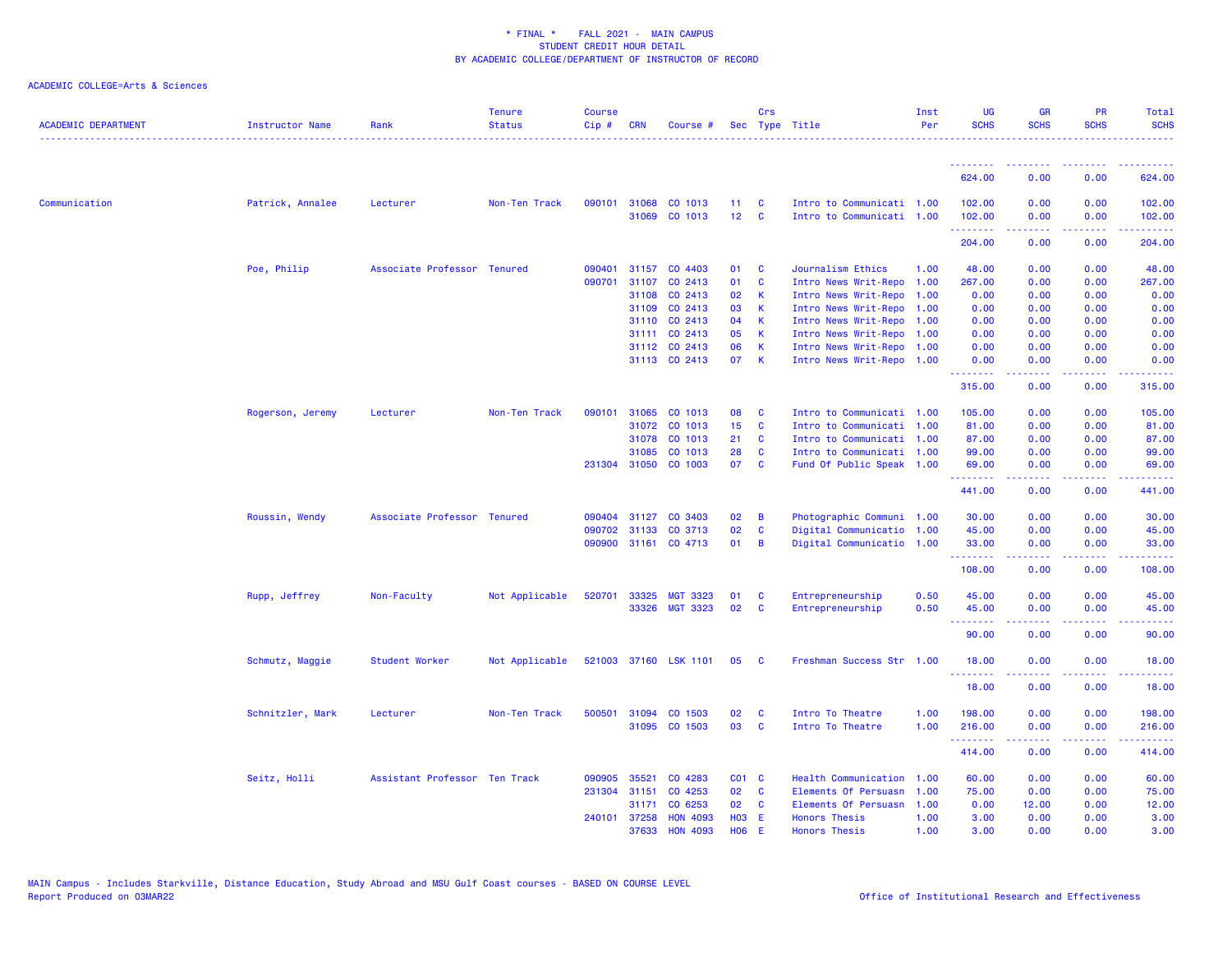| <b>ACADEMIC DEPARTMENT</b> | Instructor Name  | Rank                          | <b>Tenure</b><br><b>Status</b> | <b>Course</b><br>$Cip$ # | <b>CRN</b>   | Course #                       |                 | Crs          | Sec Type Title                                         | Inst<br>Per | <b>UG</b><br><b>SCHS</b> | <b>GR</b><br><b>SCHS</b> | PR<br><b>SCHS</b> | Total<br><b>SCHS</b> |
|----------------------------|------------------|-------------------------------|--------------------------------|--------------------------|--------------|--------------------------------|-----------------|--------------|--------------------------------------------------------|-------------|--------------------------|--------------------------|-------------------|----------------------|
|                            |                  |                               |                                |                          |              |                                |                 |              |                                                        |             | <u>.</u>                 | <u>.</u>                 | .                 |                      |
|                            |                  |                               |                                |                          |              |                                |                 |              |                                                        |             | 624.00                   | 0.00                     | 0.00              | 624.00               |
| Communication              | Patrick, Annalee | Lecturer                      | Non-Ten Track                  | 090101                   | 31068        | CO 1013                        | 11              | C            | Intro to Communicati 1.00                              |             | 102.00                   | 0.00                     | 0.00              | 102.00               |
|                            |                  |                               |                                |                          | 31069        | CO 1013                        | 12 <sub>2</sub> | <b>C</b>     | Intro to Communicati 1.00                              |             | 102.00<br>.              | 0.00<br>-----            | 0.00<br>.         | 102.00<br>.          |
|                            |                  |                               |                                |                          |              |                                |                 |              |                                                        |             | 204.00                   | 0.00                     | 0.00              | 204.00               |
|                            | Poe, Philip      | Associate Professor Tenured   |                                | 090401                   | 31157        | CO 4403                        | 01              | <b>C</b>     | Journalism Ethics                                      | 1.00        | 48.00                    | 0.00                     | 0.00              | 48.00                |
|                            |                  |                               |                                | 090701                   | 31107        | CO 2413                        | 01              | <b>C</b>     | Intro News Writ-Repo                                   | 1.00        | 267.00                   | 0.00                     | 0.00              | 267.00               |
|                            |                  |                               |                                |                          | 31108        | CO 2413                        | 02              | <b>K</b>     | Intro News Writ-Repo                                   | 1.00        | 0.00                     | 0.00                     | 0.00              | 0.00                 |
|                            |                  |                               |                                |                          | 31109        | CO 2413                        | 03              | K            | Intro News Writ-Repo 1.00                              |             | 0.00                     | 0.00                     | 0.00              | 0.00                 |
|                            |                  |                               |                                |                          | 31110        | CO 2413                        | 04              | K            | Intro News Writ-Repo 1.00                              |             | 0.00                     | 0.00                     | 0.00              | 0.00                 |
|                            |                  |                               |                                |                          | 31111        | CO 2413                        | 05              | $\mathsf{K}$ | Intro News Writ-Repo 1.00                              |             | 0.00                     | 0.00                     | 0.00              | 0.00                 |
|                            |                  |                               |                                |                          |              | 31112 CO 2413<br>31113 CO 2413 | 06<br>07        | K<br>K       | Intro News Writ-Repo 1.00<br>Intro News Writ-Repo 1.00 |             | 0.00<br>0.00             | 0.00<br>0.00             | 0.00<br>0.00      | 0.00<br>0.00         |
|                            |                  |                               |                                |                          |              |                                |                 |              |                                                        |             | .                        | .                        | بالأباد           | .                    |
|                            |                  |                               |                                |                          |              |                                |                 |              |                                                        |             | 315.00                   | 0.00                     | 0.00              | 315.00               |
|                            | Rogerson, Jeremy | Lecturer                      | Non-Ten Track                  | 090101                   | 31065        | CO 1013                        | 08              | C            | Intro to Communicati 1.00                              |             | 105.00                   | 0.00                     | 0.00              | 105.00               |
|                            |                  |                               |                                |                          | 31072        | CO 1013                        | 15              | C            | Intro to Communicati 1.00                              |             | 81.00                    | 0.00                     | 0.00              | 81.00                |
|                            |                  |                               |                                |                          | 31078        | CO 1013                        | 21              | C            | Intro to Communicati 1.00                              |             | 87.00                    | 0.00                     | 0.00              | 87.00                |
|                            |                  |                               |                                |                          | 31085        | CO 1013                        | 28              | C            | Intro to Communicati 1.00                              |             | 99.00                    | 0.00                     | 0.00              | 99.00                |
|                            |                  |                               |                                |                          |              | 231304 31050 CO 1003           | 07              | <b>C</b>     | Fund Of Public Speak 1.00                              |             | 69.00<br>--------        | 0.00<br>.                | 0.00<br>.         | 69.00<br>.           |
|                            |                  |                               |                                |                          |              |                                |                 |              |                                                        |             | 441.00                   | 0.00                     | 0.00              | 441.00               |
|                            | Roussin, Wendy   | Associate Professor Tenured   |                                | 090404                   | 31127        | CO 3403                        | 02              | B            | Photographic Communi 1.00                              |             | 30.00                    | 0.00                     | 0.00              | 30.00                |
|                            |                  |                               |                                | 090702                   | 31133        | CO 3713                        | 02              | C            | Digital Communicatio 1.00                              |             | 45.00                    | 0.00                     | 0.00              | 45.00                |
|                            |                  |                               |                                | 090900                   |              | 31161 CO 4713                  | 01              | B            | Digital Communicatio 1.00                              |             | 33.00                    | 0.00                     | 0.00              | 33.00                |
|                            |                  |                               |                                |                          |              |                                |                 |              |                                                        |             | .<br>108.00              | 0.00                     | .<br>0.00         | .<br>108.00          |
|                            | Rupp, Jeffrey    | Non-Faculty                   | Not Applicable                 | 520701                   | 33325        | <b>MGT 3323</b>                | 01              | C            | Entrepreneurship                                       | 0.50        | 45.00                    | 0.00                     | 0.00              | 45.00                |
|                            |                  |                               |                                |                          | 33326        | <b>MGT 3323</b>                | 02              | C            | Entrepreneurship                                       | 0.50        | 45.00                    | 0.00                     | 0.00              | 45.00                |
|                            |                  |                               |                                |                          |              |                                |                 |              |                                                        |             | <u>.</u><br>90.00        | .<br>0.00                | المالمات<br>0.00  | .<br>90.00           |
|                            | Schmutz, Maggie  | Student Worker                | Not Applicable                 |                          |              | 521003 37160 LSK 1101          | 05              | C            | Freshman Success Str 1.00                              |             | 18.00                    | 0.00                     | 0.00              | 18.00                |
|                            |                  |                               |                                |                          |              |                                |                 |              |                                                        |             | <u>.</u>                 |                          | والمحامر          | وعاويات              |
|                            |                  |                               |                                |                          |              |                                |                 |              |                                                        |             | 18.00                    | 0.00                     | 0.00              | 18.00                |
|                            | Schnitzler, Mark | Lecturer                      | Non-Ten Track                  | 500501                   | 31094        | CO 1503                        | 02              | C            | Intro To Theatre                                       | 1.00        | 198.00                   | 0.00                     | 0.00              | 198.00               |
|                            |                  |                               |                                |                          |              | 31095 CO 1503                  | 03              | C            | Intro To Theatre                                       | 1.00        | 216.00<br>.              | 0.00<br>.                | 0.00<br>.         | 216.00<br>.          |
|                            |                  |                               |                                |                          |              |                                |                 |              |                                                        |             | 414.00                   | 0.00                     | 0.00              | 414.00               |
|                            | Seitz, Holli     | Assistant Professor Ten Track |                                | 090905                   | 35521        | CO 4283                        | $CO1$ $C$       |              | Health Communication                                   | 1.00        | 60.00                    | 0.00                     | 0.00              | 60.00                |
|                            |                  |                               |                                | 231304                   | 31151        | CO 4253                        | 02              | <b>C</b>     | Elements Of Persuasn                                   | 1.00        | 75.00                    | 0.00                     | 0.00              | 75.00                |
|                            |                  |                               |                                |                          | 31171        | CO 6253                        | 02              | <b>C</b>     | Elements Of Persuasn                                   | 1.00        | 0.00                     | 12.00                    | 0.00              | 12.00                |
|                            |                  |                               |                                |                          | 240101 37258 | <b>HON 4093</b>                | <b>HO3</b>      | - E          | <b>Honors Thesis</b>                                   | 1.00        | 3.00                     | 0.00                     | 0.00              | 3.00                 |
|                            |                  |                               |                                |                          | 37633        | <b>HON 4093</b>                | <b>HO6</b>      | E            | <b>Honors Thesis</b>                                   | 1.00        | 3.00                     | 0.00                     | 0.00              | 3.00                 |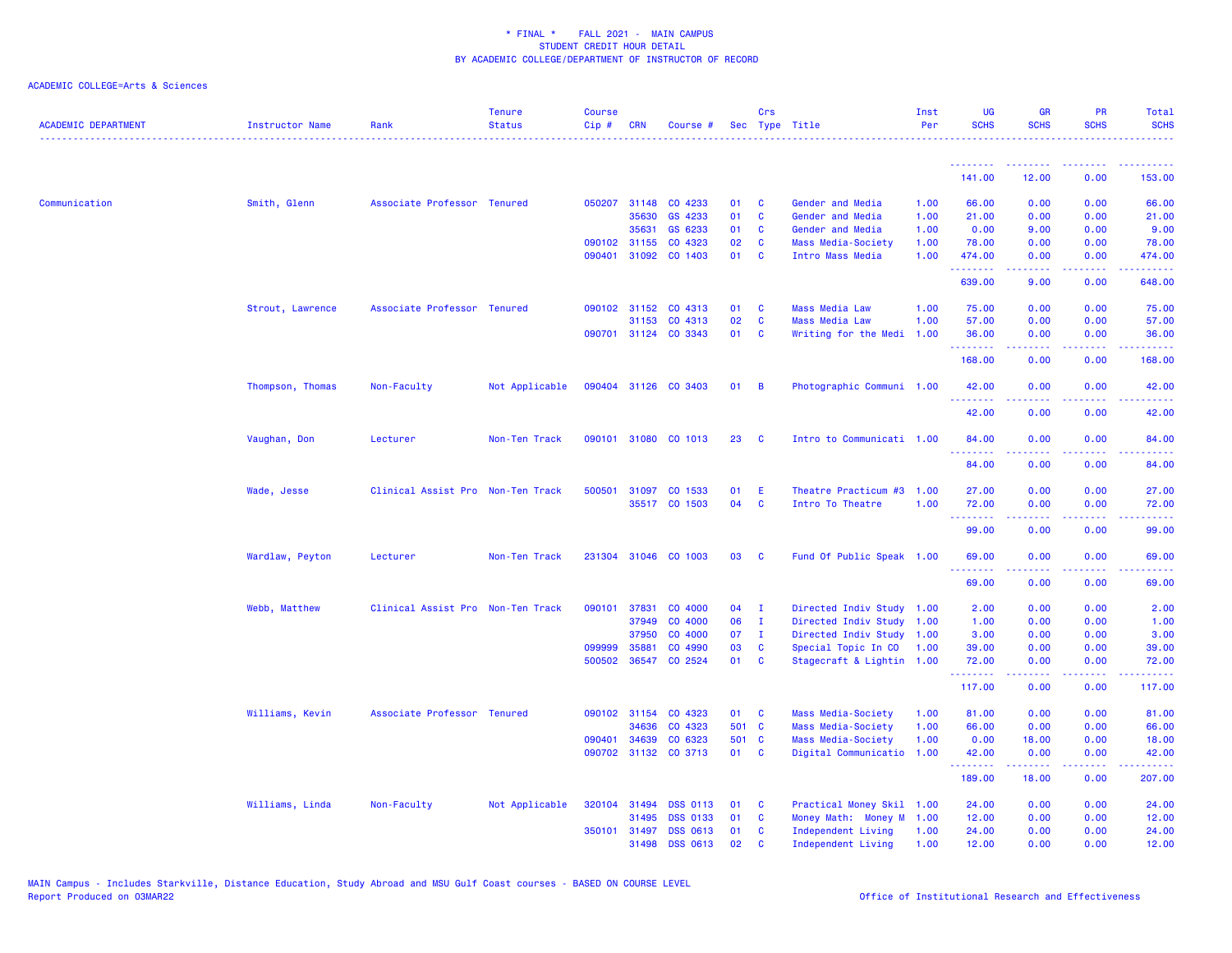| <b>ACADEMIC DEPARTMENT</b> | Instructor Name  | Rank                              | <b>Tenure</b><br><b>Status</b> | <b>Course</b><br>Cip# | <b>CRN</b>   | Course #                        |              | Crs           | Sec Type Title            | Inst<br>Per | <b>UG</b><br><b>SCHS</b> | <b>GR</b><br><b>SCHS</b>                                                                                                                                     | <b>PR</b><br><b>SCHS</b>            | Total<br><b>SCHS</b>                                                                                                                                           |
|----------------------------|------------------|-----------------------------------|--------------------------------|-----------------------|--------------|---------------------------------|--------------|---------------|---------------------------|-------------|--------------------------|--------------------------------------------------------------------------------------------------------------------------------------------------------------|-------------------------------------|----------------------------------------------------------------------------------------------------------------------------------------------------------------|
|                            |                  |                                   |                                |                       |              |                                 |              |               |                           |             | 141.00                   | 12.00                                                                                                                                                        | 0.00                                | 153.00                                                                                                                                                         |
|                            |                  |                                   |                                |                       |              |                                 |              |               |                           |             |                          |                                                                                                                                                              |                                     |                                                                                                                                                                |
| Communication              | Smith, Glenn     | Associate Professor Tenured       |                                |                       | 050207 31148 | CO 4233                         | 01           | C             | Gender and Media          | 1.00        | 66.00                    | 0.00                                                                                                                                                         | 0.00                                | 66.00                                                                                                                                                          |
|                            |                  |                                   |                                |                       | 35630        | GS 4233                         | 01           | C             | Gender and Media          | 1.00        | 21.00                    | 0.00                                                                                                                                                         | 0.00                                | 21.00                                                                                                                                                          |
|                            |                  |                                   |                                |                       | 35631        | GS 6233                         | 01           | C             | Gender and Media          | 1.00        | 0.00                     | 9.00                                                                                                                                                         | 0.00                                | 9.00                                                                                                                                                           |
|                            |                  |                                   |                                |                       | 090102 31155 | CO 4323<br>090401 31092 CO 1403 | 02<br>01     | C<br><b>C</b> | Mass Media-Society        | 1.00        | 78.00                    | 0.00                                                                                                                                                         | 0.00                                | 78.00                                                                                                                                                          |
|                            |                  |                                   |                                |                       |              |                                 |              |               | Intro Mass Media          | 1.00        | 474.00<br>.              | 0.00<br>$\frac{1}{2} \left( \frac{1}{2} \right) \left( \frac{1}{2} \right) \left( \frac{1}{2} \right) \left( \frac{1}{2} \right) \left( \frac{1}{2} \right)$ | 0.00<br>.                           | 474.00<br>$\frac{1}{2} \left( \frac{1}{2} \right) \left( \frac{1}{2} \right) \left( \frac{1}{2} \right) \left( \frac{1}{2} \right) \left( \frac{1}{2} \right)$ |
|                            |                  |                                   |                                |                       |              |                                 |              |               |                           |             | 639.00                   | 9.00                                                                                                                                                         | 0.00                                | 648.00                                                                                                                                                         |
|                            | Strout, Lawrence | Associate Professor Tenured       |                                |                       | 090102 31152 | CO 4313                         | 01           | C             | <b>Mass Media Law</b>     | 1.00        | 75.00                    | 0.00                                                                                                                                                         | 0.00                                | 75.00                                                                                                                                                          |
|                            |                  |                                   |                                |                       | 31153        | CO 4313                         | 02           | <b>C</b>      | <b>Mass Media Law</b>     | 1.00        | 57.00                    | 0.00                                                                                                                                                         | 0.00                                | 57.00                                                                                                                                                          |
|                            |                  |                                   |                                |                       |              | 090701 31124 CO 3343            | 01           | <b>C</b>      | Writing for the Medi      | 1.00        | 36.00                    | 0.00                                                                                                                                                         | 0.00                                | 36.00                                                                                                                                                          |
|                            |                  |                                   |                                |                       |              |                                 |              |               |                           |             | .<br>168.00              | $\frac{1}{2} \left( \frac{1}{2} \right) \left( \frac{1}{2} \right) \left( \frac{1}{2} \right) \left( \frac{1}{2} \right) \left( \frac{1}{2} \right)$<br>0.00 | .<br>0.00                           | .<br>168.00                                                                                                                                                    |
|                            | Thompson, Thomas | Non-Faculty                       | Not Applicable                 |                       |              | 090404 31126 CO 3403            | $01 \quad B$ |               | Photographic Communi 1.00 |             | 42.00                    | 0.00                                                                                                                                                         | 0.00                                | 42.00                                                                                                                                                          |
|                            |                  |                                   |                                |                       |              |                                 |              |               |                           |             | .<br>42.00               | .<br>0.00                                                                                                                                                    | .<br>0.00                           | .<br>42.00                                                                                                                                                     |
|                            | Vaughan, Don     | Lecturer                          | Non-Ten Track                  |                       | 090101 31080 | CO 1013                         | 23           | <b>C</b>      | Intro to Communicati 1.00 |             | 84.00<br>. <u>.</u>      | 0.00<br>.                                                                                                                                                    | 0.00<br>$  -$                       | 84.00<br>$\frac{1}{2} \left( \frac{1}{2} \right) \left( \frac{1}{2} \right) \left( \frac{1}{2} \right) \left( \frac{1}{2} \right)$                             |
|                            |                  |                                   |                                |                       |              |                                 |              |               |                           |             | 84.00                    | 0.00                                                                                                                                                         | 0.00                                | 84.00                                                                                                                                                          |
|                            | Wade, Jesse      | Clinical Assist Pro Non-Ten Track |                                |                       | 500501 31097 | CO 1533                         | 01           | E             | Theatre Practicum #3      | 1.00        | 27.00                    | 0.00                                                                                                                                                         | 0.00                                | 27.00                                                                                                                                                          |
|                            |                  |                                   |                                |                       |              | 35517 CO 1503                   | 04           | C             | Intro To Theatre          | 1.00        | 72.00                    | 0.00                                                                                                                                                         | 0.00                                | 72.00                                                                                                                                                          |
|                            |                  |                                   |                                |                       |              |                                 |              |               |                           |             | <u>.</u><br>99.00        | 0.00                                                                                                                                                         | 0.00                                | $\sim$ $\sim$ $\sim$ $\sim$<br>99.00                                                                                                                           |
|                            | Wardlaw, Peyton  | Lecturer                          | Non-Ten Track                  |                       |              | 231304 31046 CO 1003            | 03           | <b>C</b>      | Fund Of Public Speak 1.00 |             | 69.00                    | 0.00                                                                                                                                                         | 0.00                                | 69.00                                                                                                                                                          |
|                            |                  |                                   |                                |                       |              |                                 |              |               |                           |             | .<br>69.00               | 0.00                                                                                                                                                         | $\sim$ $\sim$ $\sim$ $\sim$<br>0.00 | المتمامين<br>69.00                                                                                                                                             |
|                            | Webb, Matthew    | Clinical Assist Pro Non-Ten Track |                                | 090101                | 37831        | CO 4000                         | 04           | $\mathbf{I}$  | Directed Indiv Study      | 1.00        | 2.00                     | 0.00                                                                                                                                                         | 0.00                                | 2.00                                                                                                                                                           |
|                            |                  |                                   |                                |                       | 37949        | CO 4000                         | 06           | $\mathbf{I}$  | Directed Indiv Study      | 1.00        | 1.00                     | 0.00                                                                                                                                                         | 0.00                                | 1.00                                                                                                                                                           |
|                            |                  |                                   |                                |                       | 37950        | CO 4000                         | 07           | $\mathbf{I}$  | Directed Indiv Study      | 1.00        | 3.00                     | 0.00                                                                                                                                                         | 0.00                                | 3.00                                                                                                                                                           |
|                            |                  |                                   |                                | 099999                | 35881        | CO 4990                         | 03           | <b>C</b>      | Special Topic In CO       | 1.00        | 39.00                    | 0.00                                                                                                                                                         | 0.00                                | 39.00                                                                                                                                                          |
|                            |                  |                                   |                                |                       | 500502 36547 | CO 2524                         | 01           | <b>C</b>      | Stagecraft & Lightin 1.00 |             | 72.00<br>.               | 0.00                                                                                                                                                         | 0.00                                | 72.00                                                                                                                                                          |
|                            |                  |                                   |                                |                       |              |                                 |              |               |                           |             | 117.00                   | 0.00                                                                                                                                                         | 0.00                                | 117.00                                                                                                                                                         |
|                            | Williams, Kevin  | Associate Professor Tenured       |                                |                       |              | 090102 31154 CO 4323            | 01           | <b>C</b>      | Mass Media-Society        | 1.00        | 81.00                    | 0.00                                                                                                                                                         | 0.00                                | 81.00                                                                                                                                                          |
|                            |                  |                                   |                                |                       | 34636        | CO 4323                         | 501 C        |               | Mass Media-Society        | 1.00        | 66.00                    | 0.00                                                                                                                                                         | 0.00                                | 66.00                                                                                                                                                          |
|                            |                  |                                   |                                | 090401                | 34639        | CO 6323                         | 501 C        |               | Mass Media-Society        | 1.00        | 0.00                     | 18.00                                                                                                                                                        | 0.00                                | 18.00                                                                                                                                                          |
|                            |                  |                                   |                                |                       |              | 090702 31132 CO 3713            | 01 C         |               | Digital Communicatio      | 1.00        | 42.00<br>.               | 0.00<br>.                                                                                                                                                    | 0.00<br>.                           | 42.00<br>2.2.2.2.2.4                                                                                                                                           |
|                            |                  |                                   |                                |                       |              |                                 |              |               |                           |             | 189.00                   | 18.00                                                                                                                                                        | 0.00                                | 207.00                                                                                                                                                         |
|                            | Williams, Linda  | Non-Faculty                       | Not Applicable                 |                       | 320104 31494 | <b>DSS 0113</b>                 | 01           | <b>C</b>      | Practical Money Skil 1.00 |             | 24.00                    | 0.00                                                                                                                                                         | 0.00                                | 24.00                                                                                                                                                          |
|                            |                  |                                   |                                |                       | 31495        | <b>DSS 0133</b>                 | 01           | C             | Money Math: Money M 1.00  |             | 12.00                    | 0.00                                                                                                                                                         | 0.00                                | 12.00                                                                                                                                                          |
|                            |                  |                                   |                                |                       | 350101 31497 | <b>DSS 0613</b>                 | 01           | C             | Independent Living        | 1.00        | 24.00                    | 0.00                                                                                                                                                         | 0.00                                | 24.00                                                                                                                                                          |
|                            |                  |                                   |                                |                       | 31498        | <b>DSS 0613</b>                 | 02           | C             | Independent Living        | 1.00        | 12.00                    | 0.00                                                                                                                                                         | 0.00                                | 12.00                                                                                                                                                          |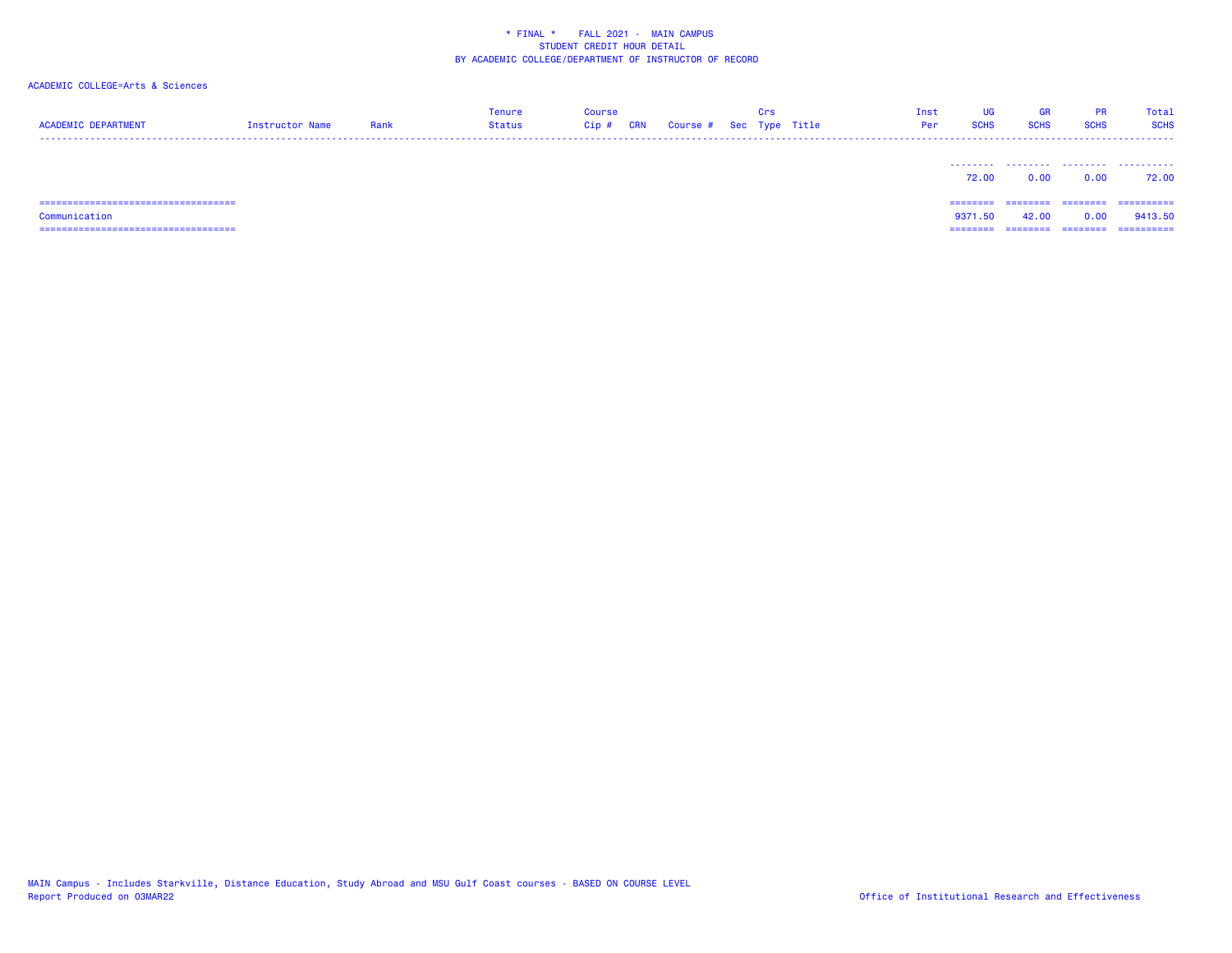| <b>ACADEMIC DEPARTMENT</b>    | Instructor Name | Rank | <b>Tenure</b><br><b>Status</b> | Course<br>$Cip$ # | CRN | Course # Sec Type Title | Crs | Inst<br>Per | UG<br><b>SCHS</b> | <b>GR</b><br><b>SCHS</b> | PR<br><b>SCHS</b> | Total<br><b>SCHS</b> |
|-------------------------------|-----------------|------|--------------------------------|-------------------|-----|-------------------------|-----|-------------|-------------------|--------------------------|-------------------|----------------------|
|                               |                 |      |                                |                   |     |                         |     |             | 72.00             | <br>0.00                 | .<br>0.00         | .<br>72.00           |
| ----------------------------- |                 |      |                                |                   |     |                         |     |             | ========          |                          | ========          | ==========           |
| Communication                 |                 |      |                                |                   |     |                         |     |             | 9371.50           | 42.00                    | 0.00              | 9413.50              |
|                               |                 |      |                                |                   |     |                         |     |             | --------          | --------                 | --------          | -----------          |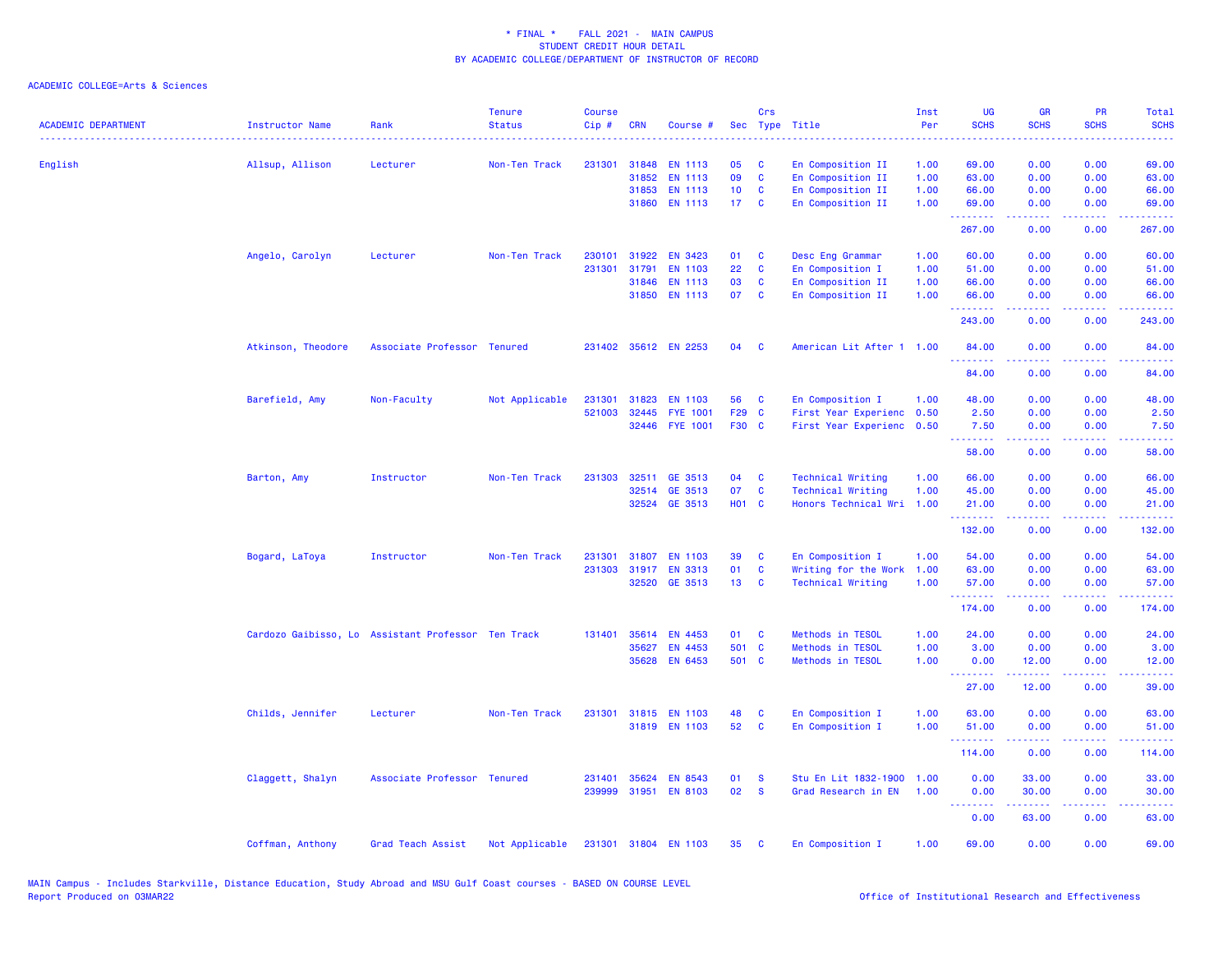| <b>ACADEMIC DEPARTMENT</b> | <b>Instructor Name</b>                             | Rank                        | <b>Tenure</b><br><b>Status</b> | <b>Course</b><br>Cip# | <b>CRN</b>   | Course #             |                 | Crs          | Sec Type Title            | Inst<br>Per<br>. | <b>UG</b><br><b>SCHS</b> | <b>GR</b><br><b>SCHS</b>                                                                                                  | PR<br><b>SCHS</b>                   | Total<br><b>SCHS</b><br>$\frac{1}{2} \left( \frac{1}{2} \right) \left( \frac{1}{2} \right) \left( \frac{1}{2} \right) \left( \frac{1}{2} \right)$ |
|----------------------------|----------------------------------------------------|-----------------------------|--------------------------------|-----------------------|--------------|----------------------|-----------------|--------------|---------------------------|------------------|--------------------------|---------------------------------------------------------------------------------------------------------------------------|-------------------------------------|---------------------------------------------------------------------------------------------------------------------------------------------------|
| English                    | Allsup, Allison                                    | Lecturer                    | Non-Ten Track                  | 231301                | 31848        | <b>EN 1113</b>       | 05              | C            | En Composition II         | 1.00             | 69.00                    | 0.00                                                                                                                      | 0.00                                | 69.00                                                                                                                                             |
|                            |                                                    |                             |                                |                       | 31852        | <b>EN 1113</b>       | 09              | $\mathbf c$  | En Composition II         | 1.00             | 63.00                    | 0.00                                                                                                                      | 0.00                                | 63.00                                                                                                                                             |
|                            |                                                    |                             |                                |                       | 31853        | <b>EN 1113</b>       | 10 <sub>1</sub> | C            | En Composition II         | 1.00             | 66.00                    | 0.00                                                                                                                      | 0.00                                | 66.00                                                                                                                                             |
|                            |                                                    |                             |                                |                       | 31860        | <b>EN 1113</b>       | 17 <sup>7</sup> | $\mathbf{C}$ | En Composition II         | 1.00             | 69.00<br><u>.</u>        | 0.00                                                                                                                      | 0.00                                | 69.00                                                                                                                                             |
|                            |                                                    |                             |                                |                       |              |                      |                 |              |                           |                  | 267.00                   | 0.00                                                                                                                      | 0.00                                | 267.00                                                                                                                                            |
|                            | Angelo, Carolyn                                    | Lecturer                    | Non-Ten Track                  | 230101                | 31922        | <b>EN 3423</b>       | 01              | <b>C</b>     | Desc Eng Grammar          | 1.00             | 60.00                    | 0.00                                                                                                                      | 0.00                                | 60.00                                                                                                                                             |
|                            |                                                    |                             |                                | 231301                | 31791        | <b>EN 1103</b>       | 22              | C            | En Composition I          | 1.00             | 51.00                    | 0.00                                                                                                                      | 0.00                                | 51.00                                                                                                                                             |
|                            |                                                    |                             |                                |                       | 31846        | <b>EN 1113</b>       | 03              | $\mathbf{C}$ | En Composition II         | 1.00             | 66.00                    | 0.00                                                                                                                      | 0.00                                | 66.00                                                                                                                                             |
|                            |                                                    |                             |                                |                       | 31850        | <b>EN 1113</b>       | 07              | $\mathbf{C}$ | En Composition II         | 1.00             | 66.00<br>.               | 0.00<br>22222                                                                                                             | 0.00<br>$\sim$ $\sim$ $\sim$ $\sim$ | 66.00<br>.                                                                                                                                        |
|                            |                                                    |                             |                                |                       |              |                      |                 |              |                           |                  | 243.00                   | 0.00                                                                                                                      | 0.00                                | 243.00                                                                                                                                            |
|                            | Atkinson, Theodore                                 | Associate Professor Tenured |                                |                       |              | 231402 35612 EN 2253 | 04              | <b>C</b>     | American Lit After 1 1.00 |                  | 84.00<br>. <u>.</u>      | 0.00                                                                                                                      | 0.00                                | 84.00                                                                                                                                             |
|                            |                                                    |                             |                                |                       |              |                      |                 |              |                           |                  | 84.00                    | 0.00                                                                                                                      | 0.00                                | 84.00                                                                                                                                             |
|                            | Barefield, Amy                                     | Non-Faculty                 | Not Applicable                 |                       | 231301 31823 | <b>EN 1103</b>       | 56              | C            | En Composition I          | 1.00             | 48.00                    | 0.00                                                                                                                      | 0.00                                | 48.00                                                                                                                                             |
|                            |                                                    |                             |                                | 521003                | 32445        | <b>FYE 1001</b>      | F29 C           |              | First Year Experienc 0.50 |                  | 2.50                     | 0.00                                                                                                                      | 0.00                                | 2.50                                                                                                                                              |
|                            |                                                    |                             |                                |                       | 32446        | <b>FYE 1001</b>      | F30 C           |              | First Year Experienc 0.50 |                  | 7.50<br><u>.</u>         | 0.00                                                                                                                      | 0.00                                | 7.50                                                                                                                                              |
|                            |                                                    |                             |                                |                       |              |                      |                 |              |                           |                  | 58.00                    | 0.00                                                                                                                      | 0.00                                | 58.00                                                                                                                                             |
|                            | Barton, Amy                                        | Instructor                  | Non-Ten Track                  |                       | 231303 32511 | GE 3513              | 04              | C            | <b>Technical Writing</b>  | 1.00             | 66.00                    | 0.00                                                                                                                      | 0.00                                | 66.00                                                                                                                                             |
|                            |                                                    |                             |                                |                       |              | 32514 GE 3513        | 07              | C            | <b>Technical Writing</b>  | 1.00             | 45.00                    | 0.00                                                                                                                      | 0.00                                | 45.00                                                                                                                                             |
|                            |                                                    |                             |                                |                       | 32524        | GE 3513              | H01 C           |              | Honors Technical Wri      | 1.00             | 21.00<br>.               | 0.00<br>22222                                                                                                             | 0.00<br>.                           | 21.00<br>.                                                                                                                                        |
|                            |                                                    |                             |                                |                       |              |                      |                 |              |                           |                  | 132.00                   | 0.00                                                                                                                      | 0.00                                | 132.00                                                                                                                                            |
|                            | Bogard, LaToya                                     | Instructor                  | Non-Ten Track                  | 231301                | 31807        | <b>EN 1103</b>       | 39              | C            | En Composition I          | 1.00             | 54.00                    | 0.00                                                                                                                      | 0.00                                | 54.00                                                                                                                                             |
|                            |                                                    |                             |                                |                       | 231303 31917 | <b>EN 3313</b>       | 01              | C            | Writing for the Work      | 1.00             | 63.00                    | 0.00                                                                                                                      | 0.00                                | 63.00                                                                                                                                             |
|                            |                                                    |                             |                                |                       |              | 32520 GE 3513        | 13 <sup>°</sup> | $\mathbf c$  | <b>Technical Writing</b>  | 1.00             | 57.00                    | 0.00                                                                                                                      | 0.00                                | 57.00                                                                                                                                             |
|                            |                                                    |                             |                                |                       |              |                      |                 |              |                           |                  | .<br>174.00              | بالمستمال<br>0.00                                                                                                         | الأبالات<br>0.00                    | المتمامين<br>174.00                                                                                                                               |
|                            | Cardozo Gaibisso, Lo Assistant Professor Ten Track |                             |                                | 131401                | 35614        | EN 4453              | 01              | C            | Methods in TESOL          | 1.00             | 24.00                    | 0.00                                                                                                                      | 0.00                                | 24.00                                                                                                                                             |
|                            |                                                    |                             |                                |                       | 35627        | EN 4453              | 501 C           |              | Methods in TESOL          | 1.00             | 3.00                     | 0.00                                                                                                                      | 0.00                                | 3.00                                                                                                                                              |
|                            |                                                    |                             |                                |                       |              | 35628 EN 6453        | 501 C           |              | Methods in TESOL          | 1.00             | 0.00<br>.                | 12.00                                                                                                                     | 0.00                                | 12.00                                                                                                                                             |
|                            |                                                    |                             |                                |                       |              |                      |                 |              |                           |                  | 27.00                    | 12.00                                                                                                                     | 0.00                                | 39.00                                                                                                                                             |
|                            | Childs, Jennifer                                   | Lecturer                    | Non-Ten Track                  |                       |              | 231301 31815 EN 1103 | 48              | C            | En Composition I          | 1.00             | 63.00                    | 0.00                                                                                                                      | 0.00                                | 63.00                                                                                                                                             |
|                            |                                                    |                             |                                |                       |              | 31819 EN 1103        | 52              | C            | En Composition I          | 1.00             | 51.00                    | 0.00                                                                                                                      | 0.00                                | 51.00                                                                                                                                             |
|                            |                                                    |                             |                                |                       |              |                      |                 |              |                           |                  | .<br>114.00              | 0.00                                                                                                                      | 0.00                                | 114.00                                                                                                                                            |
|                            | Claggett, Shalyn                                   | Associate Professor Tenured |                                | 231401                | 35624        | <b>EN 8543</b>       | 01              | <b>S</b>     | Stu En Lit 1832-1900      | 1.00             | 0.00                     | 33.00                                                                                                                     | 0.00                                | 33.00                                                                                                                                             |
|                            |                                                    |                             |                                |                       |              | 239999 31951 EN 8103 | 02              | <b>S</b>     | Grad Research in EN       | 1.00             | 0.00                     | 30.00                                                                                                                     | 0.00                                | 30.00                                                                                                                                             |
|                            |                                                    |                             |                                |                       |              |                      |                 |              |                           |                  | <u>.</u>                 | $\frac{1}{2} \left( \frac{1}{2} \right) \left( \frac{1}{2} \right) \left( \frac{1}{2} \right) \left( \frac{1}{2} \right)$ |                                     |                                                                                                                                                   |
|                            |                                                    |                             |                                |                       |              |                      |                 |              |                           |                  | 0.00                     | 63.00                                                                                                                     | 0.00                                | 63.00                                                                                                                                             |
|                            | Coffman, Anthony                                   | Grad Teach Assist           | Not Applicable                 |                       |              | 231301 31804 EN 1103 | 35              | <b>C</b>     | En Composition I          | 1.00             | 69.00                    | 0.00                                                                                                                      | 0.00                                | 69.00                                                                                                                                             |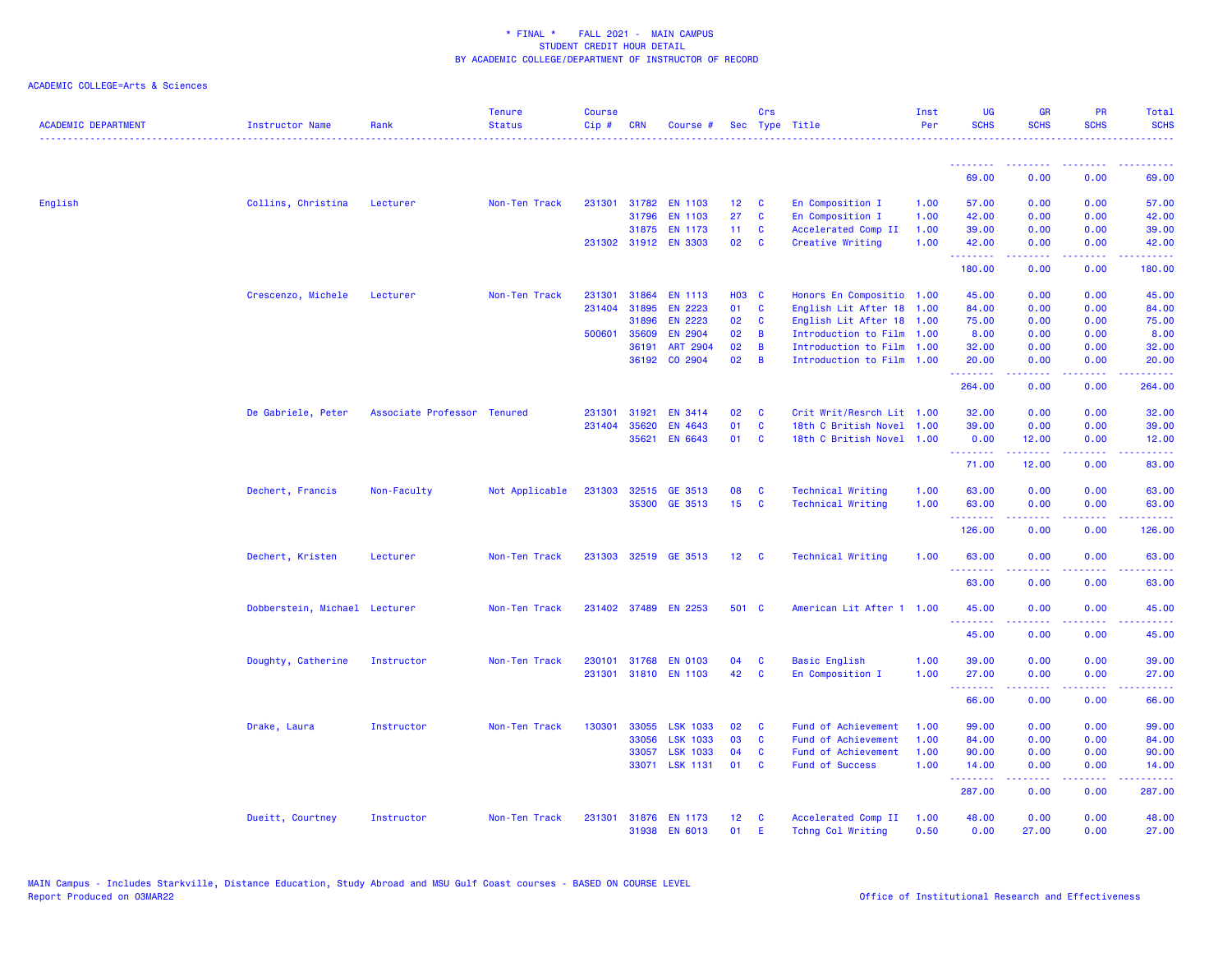| <b>ACADEMIC DEPARTMENT</b> | Instructor Name               | Rank                        | <b>Tenure</b><br><b>Status</b> | <b>Course</b><br>Cip# | <b>CRN</b>   | Course #             |                 | Crs                     | Sec Type Title            | Inst<br>Per | <b>UG</b><br><b>SCHS</b>                                 | <b>GR</b><br><b>SCHS</b>                                                                                                                                     | <b>PR</b><br><b>SCHS</b>                                                                               | Total<br><b>SCHS</b> |
|----------------------------|-------------------------------|-----------------------------|--------------------------------|-----------------------|--------------|----------------------|-----------------|-------------------------|---------------------------|-------------|----------------------------------------------------------|--------------------------------------------------------------------------------------------------------------------------------------------------------------|--------------------------------------------------------------------------------------------------------|----------------------|
|                            |                               |                             |                                |                       |              |                      |                 |                         |                           |             | <u> - - - - - - - -</u>                                  |                                                                                                                                                              |                                                                                                        |                      |
|                            |                               |                             |                                |                       |              |                      |                 |                         |                           |             | 69.00                                                    | 0.00                                                                                                                                                         | 0.00                                                                                                   | 69.00                |
| English                    | Collins, Christina            | Lecturer                    | Non-Ten Track                  |                       |              | 231301 31782 EN 1103 | 12 <sub>2</sub> | C                       | En Composition I          | 1.00        | 57.00                                                    | 0.00                                                                                                                                                         | 0.00                                                                                                   | 57.00                |
|                            |                               |                             |                                |                       | 31796        | <b>EN 1103</b>       | 27              | C                       | En Composition I          | 1.00        | 42.00                                                    | 0.00                                                                                                                                                         | 0.00                                                                                                   | 42.00                |
|                            |                               |                             |                                |                       |              | 31875 EN 1173        | 11              | <b>C</b>                | Accelerated Comp II       | 1.00        | 39.00                                                    | 0.00                                                                                                                                                         | 0.00                                                                                                   | 39.00                |
|                            |                               |                             |                                |                       |              | 231302 31912 EN 3303 | 02              | <b>C</b>                | Creative Writing          | 1.00        | 42.00<br>.                                               | 0.00<br>22222                                                                                                                                                | 0.00<br>$\frac{1}{2} \left( \frac{1}{2} \right) \left( \frac{1}{2} \right) \left( \frac{1}{2} \right)$ | 42.00<br>. د د د د   |
|                            |                               |                             |                                |                       |              |                      |                 |                         |                           |             | 180.00                                                   | 0.00                                                                                                                                                         | 0.00                                                                                                   | 180.00               |
|                            | Crescenzo, Michele            | Lecturer                    | Non-Ten Track                  | 231301                | 31864        | <b>EN 1113</b>       | <b>HO3 C</b>    |                         | Honors En Compositio 1.00 |             | 45.00                                                    | 0.00                                                                                                                                                         | 0.00                                                                                                   | 45.00                |
|                            |                               |                             |                                | 231404                | 31895        | <b>EN 2223</b>       | 01              | C                       | English Lit After 18      | 1.00        | 84.00                                                    | 0.00                                                                                                                                                         | 0.00                                                                                                   | 84.00                |
|                            |                               |                             |                                |                       | 31896        | <b>EN 2223</b>       | 02              | C                       | English Lit After 18 1.00 |             | 75.00                                                    | 0.00                                                                                                                                                         | 0.00                                                                                                   | 75.00                |
|                            |                               |                             |                                |                       | 500601 35609 | EN 2904              | 02              | B                       | Introduction to Film 1.00 |             | 8.00                                                     | 0.00                                                                                                                                                         | 0.00                                                                                                   | 8.00                 |
|                            |                               |                             |                                |                       | 36191        | ART 2904             | 02              | B                       | Introduction to Film 1.00 |             | 32.00                                                    | 0.00                                                                                                                                                         | 0.00                                                                                                   | 32.00                |
|                            |                               |                             |                                |                       | 36192        | CO 2904              | 02              | $\overline{B}$          | Introduction to Film 1.00 |             | 20.00<br>.                                               | 0.00<br>.                                                                                                                                                    | 0.00<br>$\frac{1}{2}$                                                                                  | 20.00<br>.           |
|                            |                               |                             |                                |                       |              |                      |                 |                         |                           |             | 264.00                                                   | 0.00                                                                                                                                                         | 0.00                                                                                                   | 264,00               |
|                            | De Gabriele, Peter            | Associate Professor Tenured |                                | 231301                | 31921        | <b>EN 3414</b>       | 02              | <b>C</b>                | Crit Writ/Resrch Lit 1.00 |             | 32.00                                                    | 0.00                                                                                                                                                         | 0.00                                                                                                   | 32.00                |
|                            |                               |                             |                                | 231404                | 35620        | EN 4643              | 01              | C                       | 18th C British Novel      | 1.00        | 39.00                                                    | 0.00                                                                                                                                                         | 0.00                                                                                                   | 39.00                |
|                            |                               |                             |                                |                       | 35621        | EN 6643              | 01              | $\overline{\mathbf{C}}$ | 18th C British Novel 1.00 |             | 0.00<br><b><i><u><u><b>Little Little</b></u></u></i></b> | 12.00<br>.                                                                                                                                                   | 0.00<br>$\sim$ $\sim$ $\sim$ $\sim$                                                                    | 12.00<br>. د د د د   |
|                            |                               |                             |                                |                       |              |                      |                 |                         |                           |             | 71.00                                                    | 12.00                                                                                                                                                        | 0.00                                                                                                   | 83.00                |
|                            | Dechert, Francis              | Non-Faculty                 | Not Applicable                 |                       |              | 231303 32515 GE 3513 | 08              | C                       | <b>Technical Writing</b>  | 1.00        | 63.00                                                    | 0.00                                                                                                                                                         | 0.00                                                                                                   | 63.00                |
|                            |                               |                             |                                |                       |              | 35300 GE 3513        | 15 <sub>1</sub> | <b>C</b>                | <b>Technical Writing</b>  | 1.00        | 63.00                                                    | 0.00                                                                                                                                                         | 0.00                                                                                                   | 63.00                |
|                            |                               |                             |                                |                       |              |                      |                 |                         |                           |             | .<br>126.00                                              | $\frac{1}{2} \left( \frac{1}{2} \right) \left( \frac{1}{2} \right) \left( \frac{1}{2} \right) \left( \frac{1}{2} \right) \left( \frac{1}{2} \right)$<br>0.00 | .<br>0.00                                                                                              | .<br>126.00          |
|                            | Dechert, Kristen              | Lecturer                    | Non-Ten Track                  |                       |              | 231303 32519 GE 3513 | 12 <sub>2</sub> | <b>C</b>                | <b>Technical Writing</b>  | 1.00        | 63.00                                                    | 0.00                                                                                                                                                         | 0.00                                                                                                   | 63.00                |
|                            |                               |                             |                                |                       |              |                      |                 |                         |                           |             | <u>.</u><br>63.00                                        | 0.00                                                                                                                                                         | 0.00                                                                                                   | $- - - -$<br>63.00   |
|                            | Dobberstein, Michael Lecturer |                             | Non-Ten Track                  |                       |              | 231402 37489 EN 2253 | 501 C           |                         | American Lit After 1 1.00 |             | 45.00                                                    | 0.00                                                                                                                                                         | 0.00                                                                                                   | 45.00                |
|                            |                               |                             |                                |                       |              |                      |                 |                         |                           |             | .<br>45.00                                               | بالأباب<br>0.00                                                                                                                                              | $\sim$ $\sim$ $\sim$ $\sim$<br>0.00                                                                    | المتمام<br>45.00     |
|                            |                               |                             |                                |                       |              |                      |                 |                         |                           |             |                                                          |                                                                                                                                                              |                                                                                                        |                      |
|                            | Doughty, Catherine            | Instructor                  | Non-Ten Track                  |                       | 230101 31768 | <b>EN 0103</b>       | 04              | <b>C</b>                | <b>Basic English</b>      | 1.00        | 39,00                                                    | 0.00                                                                                                                                                         | 0.00                                                                                                   | 39.00                |
|                            |                               |                             |                                |                       |              | 231301 31810 EN 1103 | 42              | <b>C</b>                | En Composition I          | 1.00        | 27.00<br><u>.</u>                                        | 0.00<br>.                                                                                                                                                    | 0.00<br>$  -$                                                                                          | 27.00<br>.           |
|                            |                               |                             |                                |                       |              |                      |                 |                         |                           |             | 66.00                                                    | 0.00                                                                                                                                                         | 0.00                                                                                                   | 66.00                |
|                            | Drake, Laura                  | Instructor                  | Non-Ten Track                  | 130301                | 33055        | <b>LSK 1033</b>      | 02              | C                       | Fund of Achievement       | 1.00        | 99.00                                                    | 0.00                                                                                                                                                         | 0.00                                                                                                   | 99.00                |
|                            |                               |                             |                                |                       | 33056        | <b>LSK 1033</b>      | 03              | C                       | Fund of Achievement       | 1.00        | 84.00                                                    | 0.00                                                                                                                                                         | 0.00                                                                                                   | 84.00                |
|                            |                               |                             |                                |                       | 33057        | <b>LSK 1033</b>      | 04              | C                       | Fund of Achievement       | 1.00        | 90.00                                                    | 0.00                                                                                                                                                         | 0.00                                                                                                   | 90.00                |
|                            |                               |                             |                                |                       |              | 33071 LSK 1131       | 01              | $\mathbf{c}$            | <b>Fund of Success</b>    | 1.00        | 14.00<br>.                                               | 0.00<br>بالمستمال                                                                                                                                            | 0.00<br>الأبالات                                                                                       | 14.00<br>المتمام     |
|                            |                               |                             |                                |                       |              |                      |                 |                         |                           |             | 287.00                                                   | 0.00                                                                                                                                                         | 0.00                                                                                                   | 287.00               |
|                            | Dueitt, Courtney              | Instructor                  | Non-Ten Track                  | 231301                |              | 31876 EN 1173        | 12 <sup>2</sup> | <b>C</b>                | Accelerated Comp II       | 1.00        | 48.00                                                    | 0.00                                                                                                                                                         | 0.00                                                                                                   | 48.00                |
|                            |                               |                             |                                |                       | 31938        | <b>EN 6013</b>       | 01              | E                       | Tchng Col Writing         | 0.50        | 0.00                                                     | 27,00                                                                                                                                                        | 0.00                                                                                                   | 27.00                |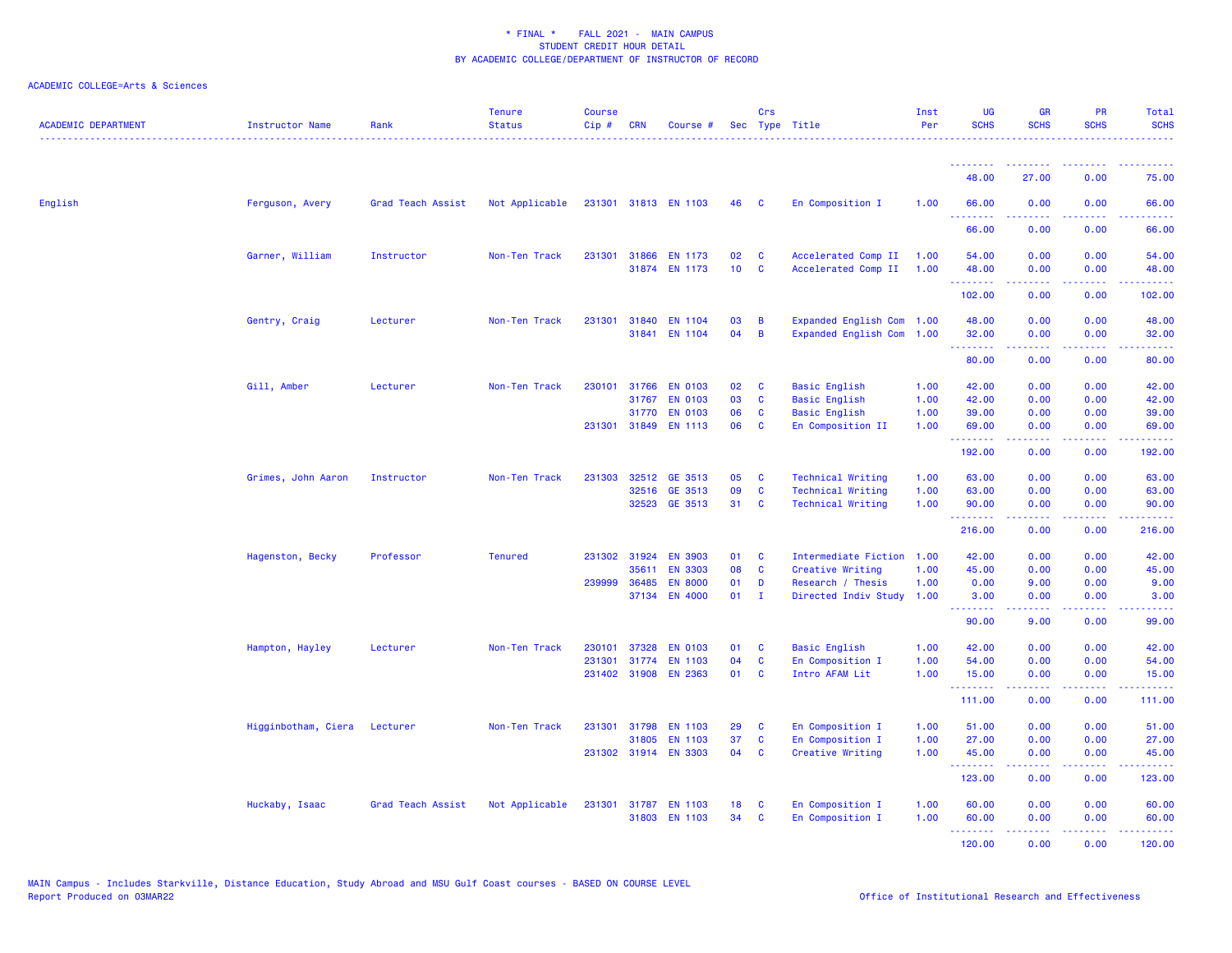| ACADEMIC DEPARTMENT | Instructor Name     | Rank              | <b>Tenure</b><br><b>Status</b> | <b>Course</b><br>Cip# | <b>CRN</b> | Course #                               |                 | Crs               | Sec Type Title                                 | Inst<br>Per  | <b>UG</b><br><b>SCHS</b> | <b>GR</b><br><b>SCHS</b> | PR<br><b>SCHS</b>                   | Total<br><b>SCHS</b> |
|---------------------|---------------------|-------------------|--------------------------------|-----------------------|------------|----------------------------------------|-----------------|-------------------|------------------------------------------------|--------------|--------------------------|--------------------------|-------------------------------------|----------------------|
|                     |                     |                   |                                |                       |            |                                        |                 |                   |                                                |              | <u>.</u>                 |                          |                                     |                      |
|                     |                     |                   |                                |                       |            |                                        |                 |                   |                                                |              | 48.00                    | 27.00                    | 0.00                                | 75.00                |
| English             | Ferguson, Avery     | Grad Teach Assist | Not Applicable                 |                       |            | 231301 31813 EN 1103                   | 46              | C                 | En Composition I                               | 1.00         | 66.00<br><u>.</u>        | 0.00<br>.                | 0.00<br>$\sim$ $\sim$ $\sim$ $\sim$ | 66.00<br>.           |
|                     |                     |                   |                                |                       |            |                                        |                 |                   |                                                |              | 66.00                    | 0.00                     | 0.00                                | 66.00                |
|                     | Garner, William     | Instructor        | Non-Ten Track                  |                       |            | 231301 31866 EN 1173                   | 02              | C                 | Accelerated Comp II                            | 1.00         | 54.00                    | 0.00                     | 0.00                                | 54.00                |
|                     |                     |                   |                                |                       |            | 31874 EN 1173                          | 10 <sub>1</sub> | C                 | Accelerated Comp II                            | 1.00         | 48.00<br>.               | 0.00<br>.                | 0.00<br>بالمحام                     | 48.00<br>.           |
|                     |                     |                   |                                |                       |            |                                        |                 |                   |                                                |              | 102.00                   | 0.00                     | 0.00                                | 102.00               |
|                     | Gentry, Craig       | Lecturer          | Non-Ten Track                  | 231301                |            | 31840 EN 1104                          | 03              | B                 | Expanded English Com 1.00                      |              | 48.00                    | 0.00                     | 0.00                                | 48.00                |
|                     |                     |                   |                                |                       |            | 31841 EN 1104                          | 04              | B                 | Expanded English Com 1.00                      |              | 32.00<br>.               | 0.00                     | 0.00<br>$\sim$ $\sim$ $\sim$        | 32.00                |
|                     |                     |                   |                                |                       |            |                                        |                 |                   |                                                |              | 80.00                    | 0.00                     | 0.00                                | 80.00                |
|                     | Gill, Amber         | Lecturer          | Non-Ten Track                  | 230101                | 31766      | <b>EN 0103</b>                         | 02              | C                 | <b>Basic English</b>                           | 1.00         | 42.00                    | 0.00                     | 0.00                                | 42.00                |
|                     |                     |                   |                                |                       | 31767      | <b>EN 0103</b>                         | 03              | C                 | <b>Basic English</b>                           | 1.00         | 42.00                    | 0.00                     | 0.00                                | 42.00                |
|                     |                     |                   |                                |                       | 31770      | <b>EN 0103</b><br>231301 31849 EN 1113 | 06<br>06        | C                 | <b>Basic English</b>                           | 1.00         | 39.00                    | 0.00                     | 0.00                                | 39.00                |
|                     |                     |                   |                                |                       |            |                                        |                 | <b>C</b>          | En Composition II                              | 1.00         | 69.00<br>.               | 0.00<br>22222            | 0.00<br>.                           | 69.00<br>.           |
|                     |                     |                   |                                |                       |            |                                        |                 |                   |                                                |              | 192.00                   | 0.00                     | 0.00                                | 192.00               |
|                     | Grimes, John Aaron  | Instructor        | Non-Ten Track                  | 231303                |            | 32512 GE 3513                          | 05              | C                 | <b>Technical Writing</b>                       | 1.00         | 63.00                    | 0.00                     | 0.00                                | 63.00                |
|                     |                     |                   |                                |                       | 32516      | GE 3513                                | 09              | C                 | <b>Technical Writing</b>                       | 1.00         | 63.00                    | 0.00                     | 0.00                                | 63.00                |
|                     |                     |                   |                                |                       |            | 32523 GE 3513                          | 31              | <b>C</b>          | <b>Technical Writing</b>                       | 1.00         | 90.00<br><u>.</u>        | 0.00                     | 0.00<br><b>.</b>                    | 90.00                |
|                     |                     |                   |                                |                       |            |                                        |                 |                   |                                                |              | 216.00                   | 0.00                     | 0.00                                | 216.00               |
|                     | Hagenston, Becky    | Professor         | <b>Tenured</b>                 |                       |            | 231302 31924 EN 3903                   | 01              | <b>C</b>          | Intermediate Fiction 1.00                      |              | 42.00                    | 0.00                     | 0.00                                | 42.00                |
|                     |                     |                   |                                |                       | 35611      | <b>EN 3303</b>                         | 08              | C                 | Creative Writing                               | 1.00         | 45.00                    | 0.00                     | 0.00                                | 45.00                |
|                     |                     |                   |                                | 239999                | 36485      | <b>EN 8000</b><br>37134 EN 4000        | 01<br>01        | D<br>$\mathbf{I}$ | Research / Thesis<br>Directed Indiv Study 1.00 | 1.00         | 0.00<br>3.00             | 9.00<br>0.00             | 0.00<br>0.00                        | 9.00<br>3.00         |
|                     |                     |                   |                                |                       |            |                                        |                 |                   |                                                |              | .                        | .                        | .                                   | . د د د د            |
|                     |                     |                   |                                |                       |            |                                        |                 |                   |                                                |              | 90.00                    | 9.00                     | 0.00                                | 99.00                |
|                     | Hampton, Hayley     | Lecturer          | Non-Ten Track                  | 230101                | 37328      | <b>EN 0103</b>                         | 01              | <b>C</b>          | <b>Basic English</b>                           | 1.00         | 42.00                    | 0.00                     | 0.00                                | 42.00                |
|                     |                     |                   |                                | 231301                | 31774      | <b>EN 1103</b>                         | 04              | C                 | En Composition I                               | 1.00         | 54.00                    | 0.00                     | 0.00                                | 54.00                |
|                     |                     |                   |                                |                       |            | 231402 31908 EN 2363                   | 01              | <b>C</b>          | Intro AFAM Lit                                 | 1.00         | 15.00<br>.               | 0.00                     | 0.00<br><b>.</b>                    | 15.00                |
|                     |                     |                   |                                |                       |            |                                        |                 |                   |                                                |              | 111.00                   | 0.00                     | 0.00                                | 111.00               |
|                     | Higginbotham, Ciera | Lecturer          | Non-Ten Track                  | 231301                | 31798      | <b>EN 1103</b>                         | 29              | C                 | En Composition I                               | 1.00         | 51.00                    | 0.00                     | 0.00                                | 51.00                |
|                     |                     |                   |                                |                       |            | 31805 EN 1103<br>231302 31914 EN 3303  | 37<br>04        | <b>C</b><br>C     | En Composition I<br>Creative Writing           | 1.00<br>1.00 | 27.00<br>45.00           | 0.00<br>0.00             | 0.00<br>0.00                        | 27.00<br>45.00       |
|                     |                     |                   |                                |                       |            |                                        |                 |                   |                                                |              | <u>.</u>                 | .                        | .                                   | <u>.</u>             |
|                     |                     |                   |                                |                       |            |                                        |                 |                   |                                                |              | 123.00                   | 0.00                     | 0.00                                | 123.00               |
|                     | Huckaby, Isaac      | Grad Teach Assist | Not Applicable                 |                       |            | 231301 31787 EN 1103                   | 18              | C                 | En Composition I                               | 1.00         | 60.00                    | 0.00                     | 0.00                                | 60.00                |
|                     |                     |                   |                                |                       | 31803      | <b>EN 1103</b>                         | 34              | <b>C</b>          | En Composition I                               | 1.00         | 60.00<br>.               | 0.00<br>.                | 0.00<br>.                           | 60.00<br>.           |
|                     |                     |                   |                                |                       |            |                                        |                 |                   |                                                |              | 120.00                   | 0.00                     | 0.00                                | 120.00               |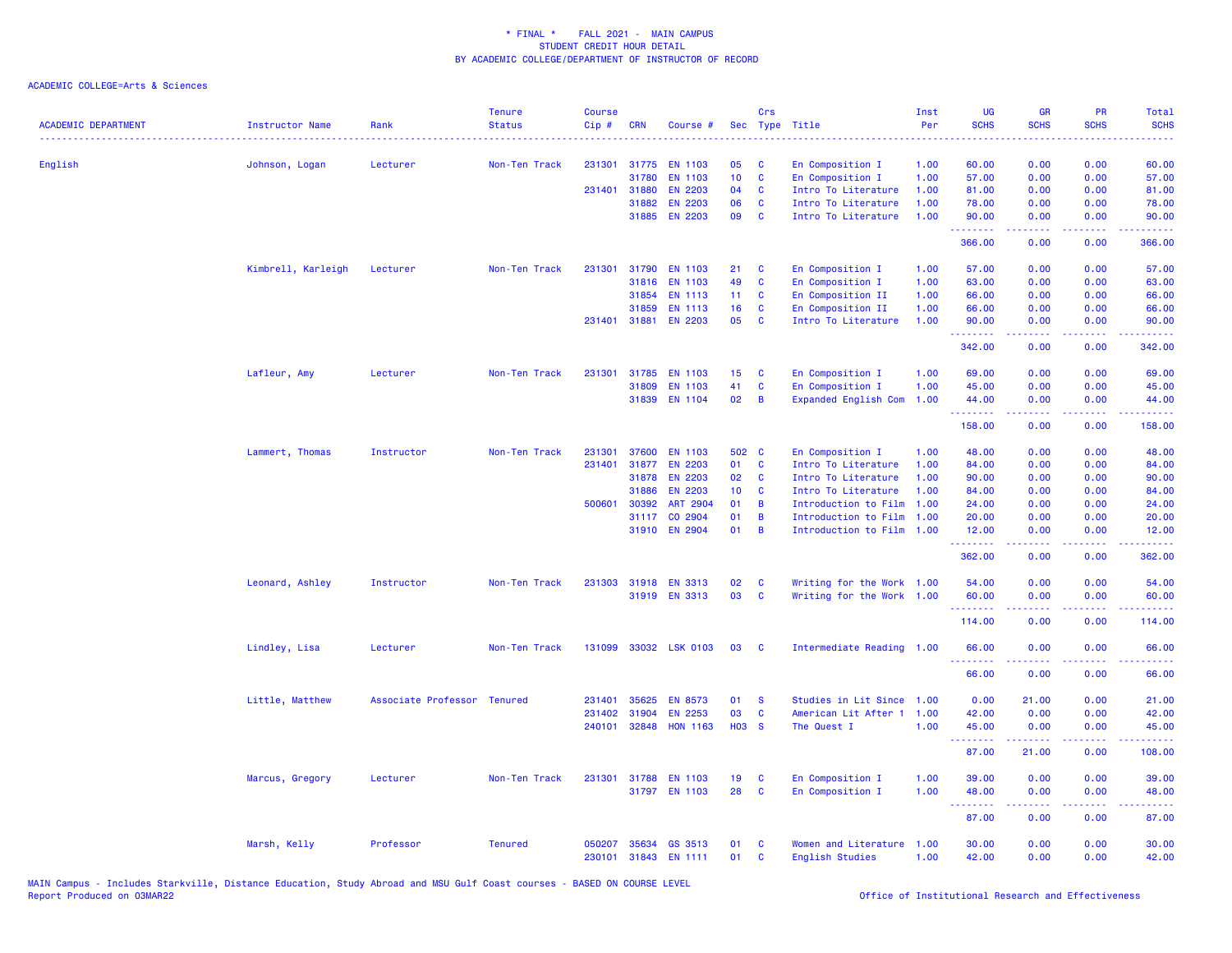| <b>ACADEMIC DEPARTMENT</b> | <b>Instructor Name</b><br>. | Rank                        | <b>Tenure</b><br><b>Status</b> | <b>Course</b><br>Cip# | <b>CRN</b>   | Course #        |                  | Crs          | Sec Type Title              | Inst<br>Per | UG<br><b>SCHS</b> | <b>GR</b><br><b>SCHS</b>                                                                                                                                     | PR<br><b>SCHS</b> | Total<br><b>SCHS</b><br>.  |
|----------------------------|-----------------------------|-----------------------------|--------------------------------|-----------------------|--------------|-----------------|------------------|--------------|-----------------------------|-------------|-------------------|--------------------------------------------------------------------------------------------------------------------------------------------------------------|-------------------|----------------------------|
| English                    | Johnson, Logan              | Lecturer                    | Non-Ten Track                  | 231301                |              | 31775 EN 1103   | 05               | C            | En Composition I            | 1.00        | 60.00             | 0.00                                                                                                                                                         | 0.00              | 60.00                      |
|                            |                             |                             |                                |                       | 31780        | <b>EN 1103</b>  | 10               | $\mathbf{C}$ | En Composition I            | 1.00        | 57.00             | 0.00                                                                                                                                                         | 0.00              | 57.00                      |
|                            |                             |                             |                                |                       | 231401 31880 | <b>EN 2203</b>  | 04               | C            | Intro To Literature         | 1.00        | 81.00             | 0.00                                                                                                                                                         | 0.00              | 81.00                      |
|                            |                             |                             |                                |                       | 31882        | <b>EN 2203</b>  | 06               | C            | Intro To Literature         | 1.00        | 78.00             | 0.00                                                                                                                                                         | 0.00              | 78.00                      |
|                            |                             |                             |                                |                       |              | 31885 EN 2203   | 09               | C            | Intro To Literature         | 1.00        | 90.00<br>.        | 0.00                                                                                                                                                         | 0.00              | 90.00                      |
|                            |                             |                             |                                |                       |              |                 |                  |              |                             |             | 366.00            | 0.00                                                                                                                                                         | 0.00              | 366.00                     |
|                            | Kimbrell, Karleigh          | Lecturer                    | Non-Ten Track                  | 231301                | 31790        | <b>EN 1103</b>  | 21               | C            | En Composition I            | 1.00        | 57.00             | 0.00                                                                                                                                                         | 0.00              | 57.00                      |
|                            |                             |                             |                                |                       | 31816        | <b>EN 1103</b>  | 49               | C            | En Composition I            | 1.00        | 63.00             | 0.00                                                                                                                                                         | 0.00              | 63.00                      |
|                            |                             |                             |                                |                       | 31854        | <b>EN 1113</b>  | 11 <sub>1</sub>  | C            | En Composition II           | 1.00        | 66.00             | 0.00                                                                                                                                                         | 0.00              | 66.00                      |
|                            |                             |                             |                                |                       | 31859        | <b>EN 1113</b>  | 16               | C            | En Composition II           | 1.00        | 66.00             | 0.00                                                                                                                                                         | 0.00              | 66.00                      |
|                            |                             |                             |                                | 231401                |              | 31881 EN 2203   | 05               | C            | Intro To Literature         | 1.00        | 90.00<br>.        | 0.00<br>.                                                                                                                                                    | 0.00<br>د د د د   | 90.00<br>.                 |
|                            |                             |                             |                                |                       |              |                 |                  |              |                             |             | 342.00            | 0.00                                                                                                                                                         | 0.00              | 342.00                     |
|                            | Lafleur, Amy                | Lecturer                    | Non-Ten Track                  | 231301                | 31785        | <b>EN 1103</b>  | 15 <sub>15</sub> | C            | En Composition I            | 1.00        | 69.00             | 0.00                                                                                                                                                         | 0.00              | 69.00                      |
|                            |                             |                             |                                |                       | 31809        | <b>EN 1103</b>  | 41               | C            | En Composition I            | 1.00        | 45.00             | 0.00                                                                                                                                                         | 0.00              | 45.00                      |
|                            |                             |                             |                                |                       |              | 31839 EN 1104   | 02               | B            | <b>Expanded English Com</b> | 1.00        | 44.00             | 0.00                                                                                                                                                         | 0.00              | 44.00                      |
|                            |                             |                             |                                |                       |              |                 |                  |              |                             |             | .<br>158.00       | 0.00                                                                                                                                                         | .<br>0.00         | .<br>158.00                |
|                            | Lammert, Thomas             | Instructor                  | Non-Ten Track                  | 231301                | 37600        | <b>EN 1103</b>  | 502 C            |              | En Composition I            | 1.00        | 48.00             | 0.00                                                                                                                                                         | 0.00              | 48.00                      |
|                            |                             |                             |                                | 231401                |              | 31877 EN 2203   | 01               | C            | Intro To Literature         | 1.00        | 84.00             | 0.00                                                                                                                                                         | 0.00              | 84.00                      |
|                            |                             |                             |                                |                       | 31878        | <b>EN 2203</b>  | 02               | <b>C</b>     | Intro To Literature         | 1.00        | 90.00             | 0.00                                                                                                                                                         | 0.00              | 90.00                      |
|                            |                             |                             |                                |                       | 31886        | <b>EN 2203</b>  | 10 <sub>1</sub>  | C            | Intro To Literature         | 1.00        | 84.00             | 0.00                                                                                                                                                         | 0.00              | 84.00                      |
|                            |                             |                             |                                | 500601                | 30392        | <b>ART 2904</b> | 01               | B            | Introduction to Film        | 1.00        | 24.00             | 0.00                                                                                                                                                         | 0.00              | 24.00                      |
|                            |                             |                             |                                |                       | 31117        | CO 2904         | 01               | B            | Introduction to Film        | 1.00        | 20.00             | 0.00                                                                                                                                                         | 0.00              | 20.00                      |
|                            |                             |                             |                                |                       | 31910        | <b>EN 2904</b>  | 01               | B            | Introduction to Film        | 1.00        | 12.00             | 0.00                                                                                                                                                         | 0.00<br>$  -$     | 12.00<br>.                 |
|                            |                             |                             |                                |                       |              |                 |                  |              |                             |             | .<br>362.00       | .<br>0.00                                                                                                                                                    | 0.00              | 362.00                     |
|                            | Leonard, Ashley             | Instructor                  | Non-Ten Track                  | 231303                |              | 31918 EN 3313   | 02               | C            | Writing for the Work 1.00   |             | 54.00             | 0.00                                                                                                                                                         | 0.00              | 54.00                      |
|                            |                             |                             |                                |                       |              | 31919 EN 3313   | 03               | $\mathbf{C}$ | Writing for the Work 1.00   |             | 60.00             | 0.00                                                                                                                                                         | 0.00              | 60.00                      |
|                            |                             |                             |                                |                       |              |                 |                  |              |                             |             | .                 | .                                                                                                                                                            | ----              | .                          |
|                            |                             |                             |                                |                       |              |                 |                  |              |                             |             | 114.00            | 0.00                                                                                                                                                         | 0.00              | 114.00                     |
|                            | Lindley, Lisa               | Lecturer                    | Non-Ten Track                  | 131099                |              | 33032 LSK 0103  | 03               | <b>C</b>     | Intermediate Reading 1.00   |             | 66.00             | 0.00                                                                                                                                                         | 0.00              | 66.00                      |
|                            |                             |                             |                                |                       |              |                 |                  |              |                             |             | 66.00             | 0.00                                                                                                                                                         | 0.00              | 66.00                      |
|                            | Little, Matthew             | Associate Professor Tenured |                                | 231401                | 35625        | <b>EN 8573</b>  | 01               | <b>S</b>     | Studies in Lit Since        | 1.00        | 0.00              | 21.00                                                                                                                                                        | 0.00              | 21.00                      |
|                            |                             |                             |                                | 231402                | 31904        | <b>EN 2253</b>  | 03               | $\mathbf{C}$ | American Lit After 1 1.00   |             | 42.00             | 0.00                                                                                                                                                         | 0.00              | 42.00                      |
|                            |                             |                             |                                | 240101                |              | 32848 HON 1163  | <b>HO3 S</b>     |              | The Quest I                 | 1.00        | 45.00<br><b>.</b> | 0.00<br>$\frac{1}{2} \left( \frac{1}{2} \right) \left( \frac{1}{2} \right) \left( \frac{1}{2} \right) \left( \frac{1}{2} \right) \left( \frac{1}{2} \right)$ | 0.00<br>.         | 45.00<br>.                 |
|                            |                             |                             |                                |                       |              |                 |                  |              |                             |             | 87.00             | 21.00                                                                                                                                                        | 0.00              | 108.00                     |
|                            | Marcus, Gregory             | Lecturer                    | Non-Ten Track                  | 231301                | 31788        | <b>EN 1103</b>  | 19               | C            | En Composition I            | 1.00        | 39.00             | 0.00                                                                                                                                                         | 0.00              | 39.00                      |
|                            |                             |                             |                                |                       |              | 31797 EN 1103   | 28               | $\mathbf{C}$ | En Composition I            | 1.00        | 48.00             | 0.00                                                                                                                                                         | 0.00              | 48.00                      |
|                            |                             |                             |                                |                       |              |                 |                  |              |                             |             | .<br>87.00        | .<br>0.00                                                                                                                                                    | والمحامر<br>0.00  | المالما لمالية ال<br>87.00 |
|                            | Marsh, Kelly                | Professor                   | <b>Tenured</b>                 | 050207                |              | 35634 GS 3513   | 01               | C            | Women and Literature        | 1.00        | 30.00             | 0.00                                                                                                                                                         | 0.00              | 30.00                      |
|                            |                             |                             |                                | 230101                |              | 31843 EN 1111   | 01               | C            | English Studies             | 1.00        | 42.00             | 0.00                                                                                                                                                         | 0.00              | 42.00                      |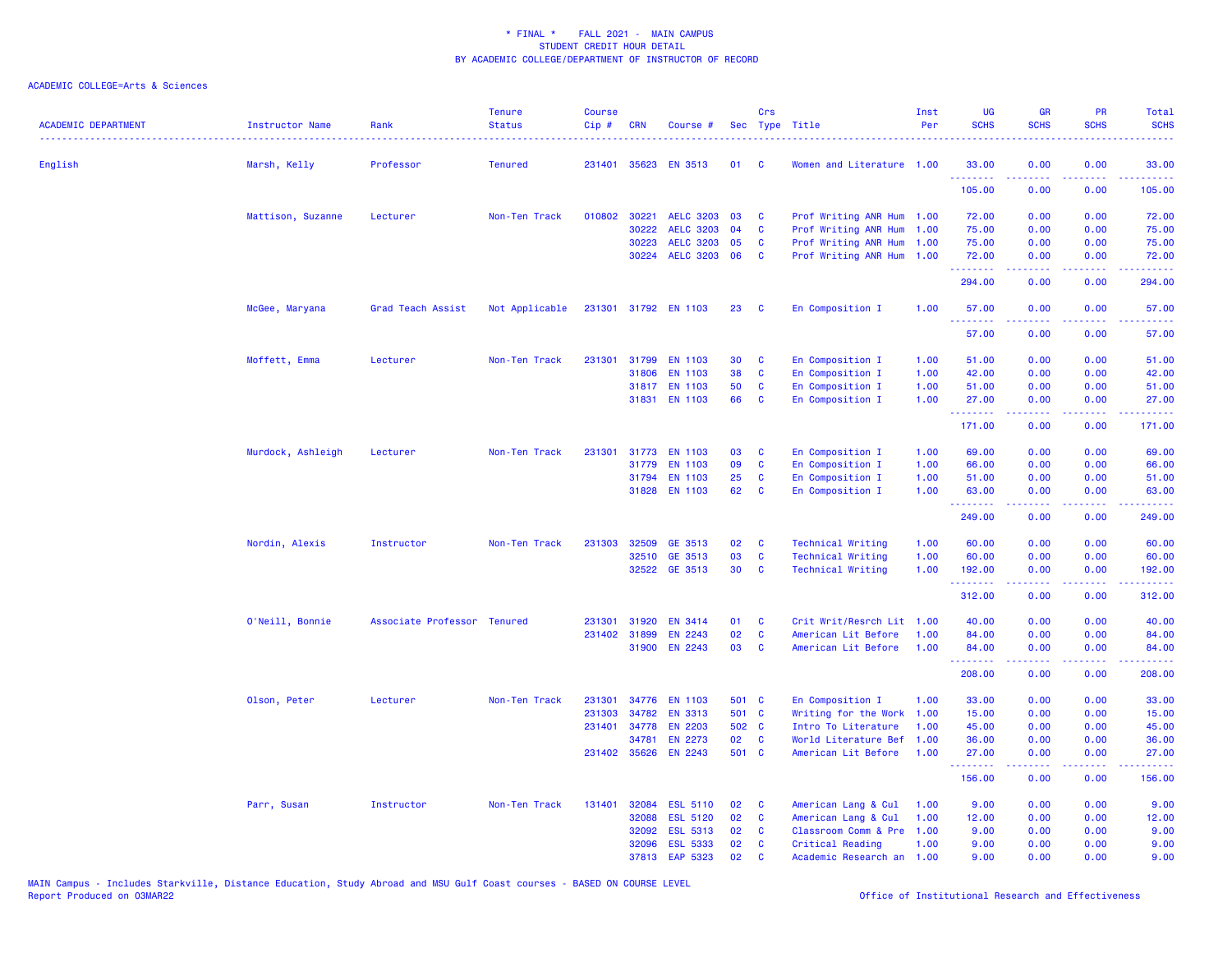| <b>ACADEMIC DEPARTMENT</b> | <b>Instructor Name</b> | Rank<br><u>.</u>            | <b>Tenure</b><br><b>Status</b> | Course<br>Cip# | <b>CRN</b>   | Course #             |       | Crs          | Sec Type Title            | Inst<br>Per | <b>UG</b><br><b>SCHS</b> | <b>GR</b><br><b>SCHS</b> | <b>PR</b><br><b>SCHS</b>                                                                               | Total<br><b>SCHS</b> |
|----------------------------|------------------------|-----------------------------|--------------------------------|----------------|--------------|----------------------|-------|--------------|---------------------------|-------------|--------------------------|--------------------------|--------------------------------------------------------------------------------------------------------|----------------------|
| English                    | Marsh, Kelly           | Professor                   | <b>Tenured</b>                 | 231401         |              | 35623 EN 3513        | 01    | - C          | Women and Literature 1.00 |             | 33.00                    | 0.00                     | 0.00                                                                                                   | 33.00                |
|                            |                        |                             |                                |                |              |                      |       |              |                           |             | 105.00                   | 0.00                     | 0.00                                                                                                   | 105.00               |
|                            | Mattison, Suzanne      | Lecturer                    | Non-Ten Track                  | 010802         | 30221        | <b>AELC 3203</b>     | 03    | C            | Prof Writing ANR Hum 1.00 |             | 72.00                    | 0.00                     | 0.00                                                                                                   | 72.00                |
|                            |                        |                             |                                |                | 30222        | <b>AELC 3203</b>     | 04    | C            | Prof Writing ANR Hum      | 1.00        | 75.00                    | 0.00                     | 0.00                                                                                                   | 75.00                |
|                            |                        |                             |                                |                | 30223        | <b>AELC 3203</b>     | 05    | C            | Prof Writing ANR Hum      | 1.00        | 75.00                    | 0.00                     | 0.00                                                                                                   | 75.00                |
|                            |                        |                             |                                |                | 30224        | <b>AELC 3203</b>     | 06    | C            | Prof Writing ANR Hum 1.00 |             | 72.00<br>.               | 0.00<br>.                | 0.00<br>.                                                                                              | 72.00<br>وعامامات    |
|                            |                        |                             |                                |                |              |                      |       |              |                           |             | 294.00                   | 0.00                     | 0.00                                                                                                   | 294.00               |
|                            | McGee, Maryana         | Grad Teach Assist           | Not Applicable                 |                |              | 231301 31792 EN 1103 | 23    | C            | En Composition I          | 1.00        | 57.00<br>.               | 0.00<br>.                | 0.00<br>.                                                                                              | 57.00<br>.           |
|                            |                        |                             |                                |                |              |                      |       |              |                           |             | 57.00                    | 0.00                     | 0.00                                                                                                   | 57.00                |
|                            | Moffett, Emma          | Lecturer                    | Non-Ten Track                  | 231301         |              | 31799 EN 1103        | 30    | C            | En Composition I          | 1.00        | 51.00                    | 0.00                     | 0.00                                                                                                   | 51.00                |
|                            |                        |                             |                                |                | 31806        | <b>EN 1103</b>       | 38    | C            | En Composition I          | 1.00        | 42.00                    | 0.00                     | 0.00                                                                                                   | 42.00                |
|                            |                        |                             |                                |                |              | 31817 EN 1103        | 50    | C            | En Composition I          | 1.00        | 51.00                    | 0.00                     | 0.00                                                                                                   | 51.00                |
|                            |                        |                             |                                |                |              | 31831 EN 1103        | 66    | C            | En Composition I          | 1.00        | 27.00<br><u>.</u>        | 0.00<br>.                | 0.00<br>.                                                                                              | 27.00                |
|                            |                        |                             |                                |                |              |                      |       |              |                           |             | 171.00                   | 0.00                     | 0.00                                                                                                   | 171.00               |
|                            | Murdock, Ashleigh      | Lecturer                    | Non-Ten Track                  | 231301         |              | 31773 EN 1103        | 03    | C            | En Composition I          | 1.00        | 69.00                    | 0.00                     | 0.00                                                                                                   | 69.00                |
|                            |                        |                             |                                |                | 31779        | <b>EN 1103</b>       | 09    | C            | En Composition I          | 1.00        | 66.00                    | 0.00                     | 0.00                                                                                                   | 66.00                |
|                            |                        |                             |                                |                | 31794        | <b>EN 1103</b>       | 25    | C            | En Composition I          | 1.00        | 51.00                    | 0.00                     | 0.00                                                                                                   | 51.00                |
|                            |                        |                             |                                |                |              | 31828 EN 1103        | 62    | C            | En Composition I          | 1.00        | 63.00<br>.               | 0.00<br>.                | 0.00<br>د د د د                                                                                        | 63.00<br><u>.</u>    |
|                            |                        |                             |                                |                |              |                      |       |              |                           |             | 249.00                   | 0.00                     | 0.00                                                                                                   | 249.00               |
|                            | Nordin, Alexis         | Instructor                  | Non-Ten Track                  | 231303         |              | 32509 GE 3513        | 02    | C            | <b>Technical Writing</b>  | 1.00        | 60.00                    | 0.00                     | 0.00                                                                                                   | 60.00                |
|                            |                        |                             |                                |                | 32510        | GE 3513              | 03    | <b>C</b>     | <b>Technical Writing</b>  | 1.00        | 60.00                    | 0.00                     | 0.00                                                                                                   | 60.00                |
|                            |                        |                             |                                |                |              | 32522 GE 3513        | 30    | $\mathbf{C}$ | <b>Technical Writing</b>  | 1.00        | 192.00<br>.              | 0.00                     | 0.00<br>$  -$                                                                                          | 192.00               |
|                            |                        |                             |                                |                |              |                      |       |              |                           |             | 312.00                   | 0.00                     | 0.00                                                                                                   | 312.00               |
|                            | O'Neill, Bonnie        | Associate Professor Tenured |                                | 231301         | 31920        | <b>EN 3414</b>       | 01    | C            | Crit Writ/Resrch Lit      | 1.00        | 40.00                    | 0.00                     | 0.00                                                                                                   | 40.00                |
|                            |                        |                             |                                |                | 231402 31899 | <b>EN 2243</b>       | 02    | C            | American Lit Before       | 1.00        | 84.00                    | 0.00                     | 0.00                                                                                                   | 84.00                |
|                            |                        |                             |                                |                | 31900        | <b>EN 2243</b>       | 03    | <b>C</b>     | American Lit Before       | 1.00        | 84.00<br><u>.</u>        | 0.00<br>.                | 0.00<br>$\frac{1}{2} \left( \frac{1}{2} \right) \left( \frac{1}{2} \right) \left( \frac{1}{2} \right)$ | 84.00<br>.           |
|                            |                        |                             |                                |                |              |                      |       |              |                           |             | 208.00                   | 0.00                     | 0.00                                                                                                   | 208.00               |
|                            | Olson, Peter           | Lecturer                    | Non-Ten Track                  | 231301         | 34776        | <b>EN 1103</b>       | 501 C |              | En Composition I          | 1.00        | 33.00                    | 0.00                     | 0.00                                                                                                   | 33.00                |
|                            |                        |                             |                                | 231303         | 34782        | <b>EN 3313</b>       | 501 C |              | Writing for the Work      | 1.00        | 15.00                    | 0.00                     | 0.00                                                                                                   | 15.00                |
|                            |                        |                             |                                |                |              | 231401 34778 EN 2203 | 502 C |              | Intro To Literature       | 1.00        | 45.00                    | 0.00                     | 0.00                                                                                                   | 45.00                |
|                            |                        |                             |                                |                | 34781        | <b>EN 2273</b>       | 02    | <b>C</b>     | World Literature Bef      | 1.00        | 36.00                    | 0.00                     | 0.00                                                                                                   | 36.00                |
|                            |                        |                             |                                |                | 231402 35626 | <b>EN 2243</b>       | 501 C |              | American Lit Before       | 1.00        | 27.00<br>.               | 0.00                     | 0.00                                                                                                   | 27.00                |
|                            |                        |                             |                                |                |              |                      |       |              |                           |             | 156.00                   | 0.00                     | 0.00                                                                                                   | 156.00               |
|                            | Parr, Susan            | Instructor                  | Non-Ten Track                  | 131401         |              | 32084 ESL 5110       | 02    | C            | American Lang & Cul       | 1.00        | 9.00                     | 0.00                     | 0.00                                                                                                   | 9.00                 |
|                            |                        |                             |                                |                | 32088        | <b>ESL 5120</b>      | 02    | C            | American Lang & Cul       | 1.00        | 12.00                    | 0.00                     | 0.00                                                                                                   | 12.00                |
|                            |                        |                             |                                |                | 32092        | <b>ESL 5313</b>      | 02    | C            | Classroom Comm & Pre      | 1.00        | 9.00                     | 0.00                     | 0.00                                                                                                   | 9.00                 |
|                            |                        |                             |                                |                | 32096        | <b>ESL 5333</b>      | 02    | C            | Critical Reading          | 1.00        | 9.00                     | 0.00                     | 0.00                                                                                                   | 9.00                 |
|                            |                        |                             |                                |                | 37813        | EAP 5323             | 02    | $\mathbf{c}$ | Academic Research an      | 1.00        | 9.00                     | 0.00                     | 0.00                                                                                                   | 9.00                 |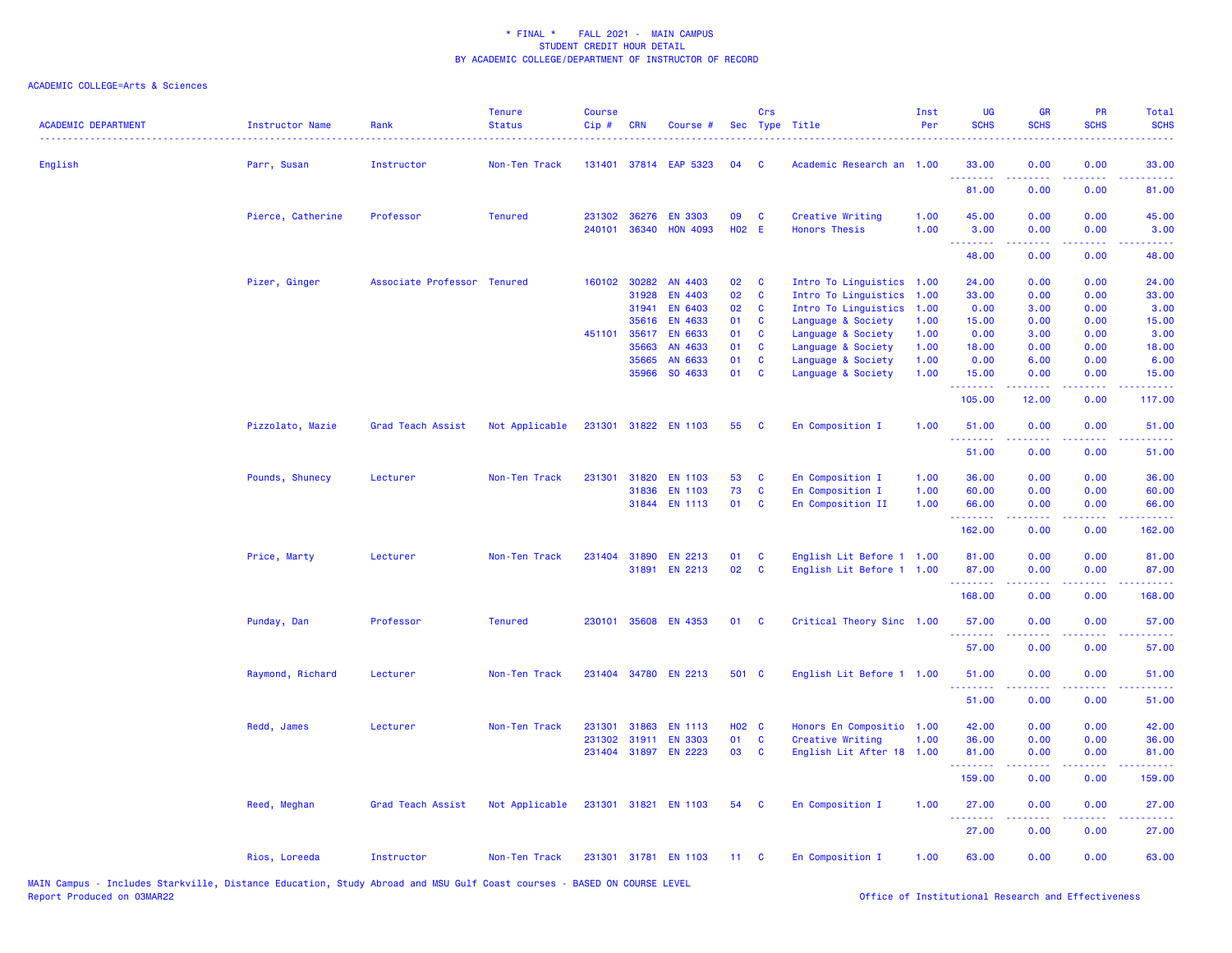| <b>ACADEMIC DEPARTMENT</b> | Instructor Name   | Rank                        | <b>Tenure</b><br><b>Status</b> | <b>Course</b><br>$Cip$ # | <b>CRN</b>   | Course #              |       | Crs          | Sec Type Title            | Inst<br>Per | UG<br><b>SCHS</b>                                                                                                                                                                                                                                                                                                                                                                                                                                                                              | <b>GR</b><br><b>SCHS</b>                                                                                                                                     | PR<br><b>SCHS</b> | Total<br><b>SCHS</b> |
|----------------------------|-------------------|-----------------------------|--------------------------------|--------------------------|--------------|-----------------------|-------|--------------|---------------------------|-------------|------------------------------------------------------------------------------------------------------------------------------------------------------------------------------------------------------------------------------------------------------------------------------------------------------------------------------------------------------------------------------------------------------------------------------------------------------------------------------------------------|--------------------------------------------------------------------------------------------------------------------------------------------------------------|-------------------|----------------------|
| English                    | Parr, Susan       | Instructor                  | Non-Ten Track                  |                          |              | 131401 37814 EAP 5323 | 04    | C            | Academic Research an 1.00 |             | 33.00<br>.                                                                                                                                                                                                                                                                                                                                                                                                                                                                                     | 0.00                                                                                                                                                         | 0.00              | 33.00<br>وعاعاها     |
|                            |                   |                             |                                |                          |              |                       |       |              |                           |             | 81.00                                                                                                                                                                                                                                                                                                                                                                                                                                                                                          | 0.00                                                                                                                                                         | 0.00              | 81.00                |
|                            | Pierce, Catherine | Professor                   | <b>Tenured</b>                 | 231302                   | 36276        | <b>EN 3303</b>        | 09    | <b>C</b>     | Creative Writing          | 1.00        | 45.00                                                                                                                                                                                                                                                                                                                                                                                                                                                                                          | 0.00                                                                                                                                                         | 0.00              | 45.00                |
|                            |                   |                             |                                |                          |              | 240101 36340 HON 4093 | H02 E |              | <b>Honors Thesis</b>      | 1.00        | 3.00<br>$\begin{array}{cccccccccccccc} \multicolumn{2}{c}{} & \multicolumn{2}{c}{} & \multicolumn{2}{c}{} & \multicolumn{2}{c}{} & \multicolumn{2}{c}{} & \multicolumn{2}{c}{} & \multicolumn{2}{c}{} & \multicolumn{2}{c}{} & \multicolumn{2}{c}{} & \multicolumn{2}{c}{} & \multicolumn{2}{c}{} & \multicolumn{2}{c}{} & \multicolumn{2}{c}{} & \multicolumn{2}{c}{} & \multicolumn{2}{c}{} & \multicolumn{2}{c}{} & \multicolumn{2}{c}{} & \multicolumn{2}{c}{} & \multicolumn{2}{c}{} & \$ | 0.00<br>.                                                                                                                                                    | 0.00<br>د د د د   | 3.00<br>وعاعاها      |
|                            |                   |                             |                                |                          |              |                       |       |              |                           |             | 48.00                                                                                                                                                                                                                                                                                                                                                                                                                                                                                          | 0.00                                                                                                                                                         | 0.00              | 48.00                |
|                            | Pizer, Ginger     | Associate Professor Tenured |                                |                          | 160102 30282 | AN 4403               | 02    | $\mathbf{C}$ | Intro To Linguistics 1.00 |             | 24.00                                                                                                                                                                                                                                                                                                                                                                                                                                                                                          | 0.00                                                                                                                                                         | 0.00              | 24.00                |
|                            |                   |                             |                                |                          | 31928        | EN 4403               | 02    | C            | Intro To Linguistics      | 1.00        | 33.00                                                                                                                                                                                                                                                                                                                                                                                                                                                                                          | 0.00                                                                                                                                                         | 0.00              | 33.00                |
|                            |                   |                             |                                |                          | 31941        | <b>EN 6403</b>        | 02    | <b>C</b>     | Intro To Linguistics      | 1.00        | 0.00                                                                                                                                                                                                                                                                                                                                                                                                                                                                                           | 3.00                                                                                                                                                         | 0.00              | 3.00                 |
|                            |                   |                             |                                |                          | 35616        | <b>EN 4633</b>        | 01    | C            | Language & Society        | 1.00        | 15.00                                                                                                                                                                                                                                                                                                                                                                                                                                                                                          | 0.00                                                                                                                                                         | 0.00              | 15.00                |
|                            |                   |                             |                                | 451101                   | 35617        | <b>EN 6633</b>        | 01    | <b>C</b>     | Language & Society        | 1.00        | 0.00                                                                                                                                                                                                                                                                                                                                                                                                                                                                                           | 3.00                                                                                                                                                         | 0.00              | 3.00                 |
|                            |                   |                             |                                |                          | 35663        | AN 4633               | 01    | <b>C</b>     | Language & Society        | 1.00        | 18.00                                                                                                                                                                                                                                                                                                                                                                                                                                                                                          | 0.00                                                                                                                                                         | 0.00              | 18.00                |
|                            |                   |                             |                                |                          | 35665        | AN 6633               | 01    | $\mathbf{C}$ | Language & Society        | 1.00        | 0.00                                                                                                                                                                                                                                                                                                                                                                                                                                                                                           | 6.00                                                                                                                                                         | 0.00              | 6.00                 |
|                            |                   |                             |                                |                          | 35966        | SO 4633               | 01 C  |              | Language & Society        | 1.00        | 15.00<br>.                                                                                                                                                                                                                                                                                                                                                                                                                                                                                     | 0.00<br>$\frac{1}{2} \left( \frac{1}{2} \right) \left( \frac{1}{2} \right) \left( \frac{1}{2} \right) \left( \frac{1}{2} \right) \left( \frac{1}{2} \right)$ | 0.00<br>.         | 15.00<br>.           |
|                            |                   |                             |                                |                          |              |                       |       |              |                           |             | 105.00                                                                                                                                                                                                                                                                                                                                                                                                                                                                                         | 12.00                                                                                                                                                        | 0.00              | 117.00               |
|                            | Pizzolato, Mazie  | Grad Teach Assist           | Not Applicable                 |                          |              | 231301 31822 EN 1103  | 55    | <b>C</b>     | En Composition I          | 1.00        | 51.00                                                                                                                                                                                                                                                                                                                                                                                                                                                                                          | 0.00                                                                                                                                                         | 0.00              | 51.00                |
|                            |                   |                             |                                |                          |              |                       |       |              |                           |             | .<br>51.00                                                                                                                                                                                                                                                                                                                                                                                                                                                                                     | 0.00                                                                                                                                                         | د د د<br>0.00     | وعامات<br>51.00      |
|                            | Pounds, Shunecy   | Lecturer                    | Non-Ten Track                  | 231301                   | 31820        | <b>EN 1103</b>        | 53    | $\mathbf{C}$ | En Composition I          | 1.00        | 36.00                                                                                                                                                                                                                                                                                                                                                                                                                                                                                          | 0.00                                                                                                                                                         | 0.00              | 36.00                |
|                            |                   |                             |                                |                          | 31836        | <b>EN 1103</b>        | 73    | C            | En Composition I          | 1.00        | 60.00                                                                                                                                                                                                                                                                                                                                                                                                                                                                                          | 0.00                                                                                                                                                         | 0.00              | 60.00                |
|                            |                   |                             |                                |                          |              | 31844 EN 1113         | 01    | $\mathbf{C}$ | En Composition II         | 1.00        | 66.00<br>.                                                                                                                                                                                                                                                                                                                                                                                                                                                                                     | 0.00<br>.                                                                                                                                                    | 0.00<br>.         | 66.00<br>.           |
|                            |                   |                             |                                |                          |              |                       |       |              |                           |             | 162.00                                                                                                                                                                                                                                                                                                                                                                                                                                                                                         | 0.00                                                                                                                                                         | 0.00              | 162.00               |
|                            | Price, Marty      | Lecturer                    | Non-Ten Track                  | 231404                   | 31890        | <b>EN 2213</b>        | 01    | C            | English Lit Before 1 1.00 |             | 81.00                                                                                                                                                                                                                                                                                                                                                                                                                                                                                          | 0.00                                                                                                                                                         | 0.00              | 81.00                |
|                            |                   |                             |                                |                          | 31891        | <b>EN 2213</b>        | 02    | $\mathbf{c}$ | English Lit Before 1 1.00 |             | 87.00                                                                                                                                                                                                                                                                                                                                                                                                                                                                                          | 0.00                                                                                                                                                         | 0.00              | 87.00                |
|                            |                   |                             |                                |                          |              |                       |       |              |                           |             | <b>.</b> .                                                                                                                                                                                                                                                                                                                                                                                                                                                                                     | -----                                                                                                                                                        | بالأباد           | .                    |
|                            |                   |                             |                                |                          |              |                       |       |              |                           |             | 168.00                                                                                                                                                                                                                                                                                                                                                                                                                                                                                         | 0.00                                                                                                                                                         | 0.00              | 168.00               |
|                            | Punday, Dan       | Professor                   | <b>Tenured</b>                 | 230101                   |              | 35608 EN 4353         | 01    | $\mathbf{C}$ | Critical Theory Sinc 1.00 |             | 57.00<br><u>.</u>                                                                                                                                                                                                                                                                                                                                                                                                                                                                              | 0.00<br>.                                                                                                                                                    | 0.00<br>.         | 57.00<br>د د د د د   |
|                            |                   |                             |                                |                          |              |                       |       |              |                           |             | 57.00                                                                                                                                                                                                                                                                                                                                                                                                                                                                                          | 0.00                                                                                                                                                         | 0.00              | 57.00                |
|                            | Raymond, Richard  | Lecturer                    | Non-Ten Track                  | 231404                   |              | 34780 EN 2213         | 501 C |              | English Lit Before 1 1.00 |             | 51.00<br><u> - - - - - - - -</u>                                                                                                                                                                                                                                                                                                                                                                                                                                                               | 0.00                                                                                                                                                         | 0.00<br>.         | 51.00<br>.           |
|                            |                   |                             |                                |                          |              |                       |       |              |                           |             | 51.00                                                                                                                                                                                                                                                                                                                                                                                                                                                                                          | 0.00                                                                                                                                                         | 0.00              | 51.00                |
|                            | Redd, James       | Lecturer                    | Non-Ten Track                  | 231301                   | 31863        | <b>EN 1113</b>        | H02 C |              | Honors En Compositio 1.00 |             | 42.00                                                                                                                                                                                                                                                                                                                                                                                                                                                                                          | 0.00                                                                                                                                                         | 0.00              | 42.00                |
|                            |                   |                             |                                | 231302                   | 31911        | <b>EN 3303</b>        | 01    | $\mathbf c$  | <b>Creative Writing</b>   | 1.00        | 36.00                                                                                                                                                                                                                                                                                                                                                                                                                                                                                          | 0.00                                                                                                                                                         | 0.00              | 36.00                |
|                            |                   |                             |                                |                          |              | 231404 31897 EN 2223  | 03    | $\mathbf{C}$ | English Lit After 18 1.00 |             | 81.00                                                                                                                                                                                                                                                                                                                                                                                                                                                                                          | 0.00                                                                                                                                                         | 0.00<br>.         | 81.00                |
|                            |                   |                             |                                |                          |              |                       |       |              |                           |             | .<br>159.00                                                                                                                                                                                                                                                                                                                                                                                                                                                                                    | 22222<br>0.00                                                                                                                                                | 0.00              | .<br>159.00          |
|                            | Reed, Meghan      | Grad Teach Assist           | Not Applicable                 |                          |              | 231301 31821 EN 1103  | 54 C  |              | En Composition I          | 1.00        | 27.00<br>.                                                                                                                                                                                                                                                                                                                                                                                                                                                                                     | 0.00<br>.                                                                                                                                                    | 0.00<br>د د د د   | 27.00<br>وعاعاها     |
|                            |                   |                             |                                |                          |              |                       |       |              |                           |             | 27.00                                                                                                                                                                                                                                                                                                                                                                                                                                                                                          | 0.00                                                                                                                                                         | 0.00              | 27.00                |
|                            | Rios, Loreeda     | Instructor                  | Non-Ten Track                  |                          |              | 231301 31781 EN 1103  | 11    | <b>C</b>     | En Composition I          | 1.00        | 63.00                                                                                                                                                                                                                                                                                                                                                                                                                                                                                          | 0.00                                                                                                                                                         | 0.00              | 63.00                |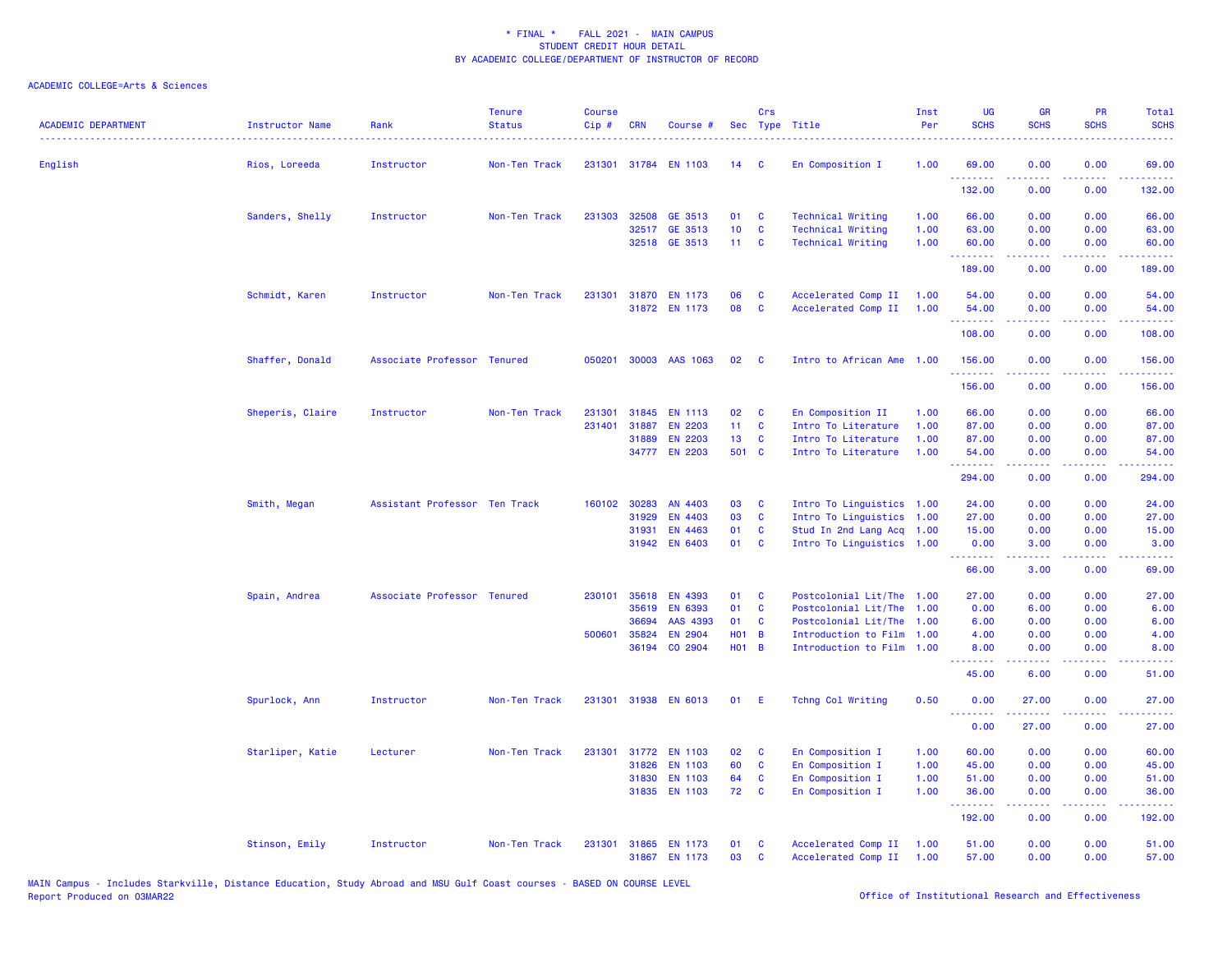| <b>ACADEMIC DEPARTMENT</b> | <b>Instructor Name</b><br>. | Rank                          | <b>Tenure</b><br><b>Status</b> | <b>Course</b><br>Cip# | <b>CRN</b>   | Course #       |                 | Crs            | Sec Type Title            | Inst<br>Per | UG<br><b>SCHS</b>                                                                                                   | <b>GR</b><br><b>SCHS</b> | PR<br><b>SCHS</b>                   | Total<br><b>SCHS</b>                                                                                                              |
|----------------------------|-----------------------------|-------------------------------|--------------------------------|-----------------------|--------------|----------------|-----------------|----------------|---------------------------|-------------|---------------------------------------------------------------------------------------------------------------------|--------------------------|-------------------------------------|-----------------------------------------------------------------------------------------------------------------------------------|
| English                    | Rios, Loreeda               | Instructor                    | Non-Ten Track                  | 231301                |              | 31784 EN 1103  | 14              | - C            | En Composition I          | 1.00        | 69.00<br><u>.</u>                                                                                                   | 0.00                     | 0.00                                | 69.00                                                                                                                             |
|                            |                             |                               |                                |                       |              |                |                 |                |                           |             | 132.00                                                                                                              | 0.00                     | 0.00                                | 132.00                                                                                                                            |
|                            | Sanders, Shelly             | Instructor                    | Non-Ten Track                  | 231303                | 32508        | GE 3513        | 01              | C              | <b>Technical Writing</b>  | 1.00        | 66.00                                                                                                               | 0.00                     | 0.00                                | 66.00                                                                                                                             |
|                            |                             |                               |                                |                       |              | 32517 GE 3513  | 10 <sub>1</sub> | C              | <b>Technical Writing</b>  | 1.00        | 63.00                                                                                                               | 0.00                     | 0.00                                | 63.00                                                                                                                             |
|                            |                             |                               |                                |                       |              | 32518 GE 3513  | 11 <sub>1</sub> | $\mathbf{C}$   | <b>Technical Writing</b>  | 1.00        | 60.00<br>.                                                                                                          | 0.00<br>22222            | 0.00<br>.                           | 60.00<br>.                                                                                                                        |
|                            |                             |                               |                                |                       |              |                |                 |                |                           |             | 189.00                                                                                                              | 0.00                     | 0.00                                | 189.00                                                                                                                            |
|                            | Schmidt, Karen              | Instructor                    | Non-Ten Track                  | 231301                | 31870        | <b>EN 1173</b> | 06              | C              | Accelerated Comp II       | 1.00        | 54.00                                                                                                               | 0.00                     | 0.00                                | 54.00                                                                                                                             |
|                            |                             |                               |                                |                       |              | 31872 EN 1173  | 08              | $\mathbf{C}$   | Accelerated Comp II       | 1.00        | 54.00<br>.                                                                                                          | 0.00<br>.                | 0.00                                | 54.00<br>22222                                                                                                                    |
|                            |                             |                               |                                |                       |              |                |                 |                |                           |             | 108.00                                                                                                              | 0.00                     | 0.00                                | 108.00                                                                                                                            |
|                            | Shaffer, Donald             | Associate Professor Tenured   |                                | 050201                |              | 30003 AAS 1063 | 02              | C              | Intro to African Ame 1.00 |             | 156.00<br>.                                                                                                         | 0.00                     | 0.00<br>$  -$                       | 156.00<br>$- - - - -$                                                                                                             |
|                            |                             |                               |                                |                       |              |                |                 |                |                           |             | 156.00                                                                                                              | 0.00                     | 0.00                                | 156.00                                                                                                                            |
|                            | Sheperis, Claire            | Instructor                    | Non-Ten Track                  | 231301                | 31845        | <b>EN 1113</b> | 02              | C              | En Composition II         | 1.00        | 66.00                                                                                                               | 0.00                     | 0.00                                | 66.00                                                                                                                             |
|                            |                             |                               |                                | 231401                | 31887        | <b>EN 2203</b> | 11 <sub>1</sub> | <b>C</b>       | Intro To Literature       | 1.00        | 87.00                                                                                                               | 0.00                     | 0.00                                | 87.00                                                                                                                             |
|                            |                             |                               |                                |                       |              | 31889 EN 2203  | 13              | <b>C</b>       | Intro To Literature       | 1.00        | 87.00                                                                                                               | 0.00                     | 0.00                                | 87.00                                                                                                                             |
|                            |                             |                               |                                |                       |              | 34777 EN 2203  | 501 C           |                | Intro To Literature       | 1.00        | 54.00<br>.                                                                                                          | 0.00<br>.                | 0.00<br>$   -$                      | 54.00<br>.                                                                                                                        |
|                            |                             |                               |                                |                       |              |                |                 |                |                           |             | 294.00                                                                                                              | 0.00                     | 0.00                                | 294.00                                                                                                                            |
|                            | Smith, Megan                | Assistant Professor Ten Track |                                |                       | 160102 30283 | AN 4403        | 03              | C              | Intro To Linguistics 1.00 |             | 24.00                                                                                                               | 0.00                     | 0.00                                | 24.00                                                                                                                             |
|                            |                             |                               |                                |                       | 31929        | <b>EN 4403</b> | 03              | C              | Intro To Linguistics      | 1.00        | 27.00                                                                                                               | 0.00                     | 0.00                                | 27.00                                                                                                                             |
|                            |                             |                               |                                |                       | 31931        | <b>EN 4463</b> | 01              | <b>C</b>       | Stud In 2nd Lang Acq 1.00 |             | 15.00                                                                                                               | 0.00                     | 0.00                                | 15.00                                                                                                                             |
|                            |                             |                               |                                |                       |              | 31942 EN 6403  | 01              | C              | Intro To Linguistics 1.00 |             | 0.00<br>.                                                                                                           | 3.00<br>.                | 0.00<br>.                           | 3.00<br>.                                                                                                                         |
|                            |                             |                               |                                |                       |              |                |                 |                |                           |             | 66.00                                                                                                               | 3.00                     | 0.00                                | 69.00                                                                                                                             |
|                            | Spain, Andrea               | Associate Professor Tenured   |                                | 230101                | 35618        | <b>EN 4393</b> | 01              | C              | Postcolonial Lit/The      | 1.00        | 27.00                                                                                                               | 0.00                     | 0.00                                | 27.00                                                                                                                             |
|                            |                             |                               |                                |                       | 35619        | <b>EN 6393</b> | 01              | C              | Postcolonial Lit/The      | 1.00        | 0.00                                                                                                                | 6.00                     | 0.00                                | 6.00                                                                                                                              |
|                            |                             |                               |                                |                       | 36694        | AAS 4393       | 01              | C              | Postcolonial Lit/The      | 1.00        | 6.00                                                                                                                | 0.00                     | 0.00                                | 6.00                                                                                                                              |
|                            |                             |                               |                                | 500601                | 35824        | <b>EN 2904</b> | <b>HO1</b>      | $\overline{B}$ | Introduction to Film      | 1.00        | 4.00                                                                                                                | 0.00                     | 0.00                                | 4.00                                                                                                                              |
|                            |                             |                               |                                |                       | 36194        | CO 2904        | H01 B           |                | Introduction to Film 1.00 |             | 8.00<br>$\begin{array}{cccccccccc} \bullet & \bullet & \bullet & \bullet & \bullet & \bullet & \bullet \end{array}$ | 0.00<br>.                | 0.00<br>$\sim$ $\sim$ $\sim$ $\sim$ | 8.00<br>$\frac{1}{2} \left( \frac{1}{2} \right) \left( \frac{1}{2} \right) \left( \frac{1}{2} \right) \left( \frac{1}{2} \right)$ |
|                            |                             |                               |                                |                       |              |                |                 |                |                           |             | 45.00                                                                                                               | 6.00                     | 0.00                                | 51.00                                                                                                                             |
|                            | Spurlock, Ann               | Instructor                    | Non-Ten Track                  | 231301                |              | 31938 EN 6013  | 01              | E              | Tchng Col Writing         | 0.50        | 0.00                                                                                                                | 27,00<br>22222           | 0.00<br>$\omega$ is a $\omega$      | 27.00<br>المتمامين                                                                                                                |
|                            |                             |                               |                                |                       |              |                |                 |                |                           |             | 0.00                                                                                                                | 27.00                    | 0.00                                | 27.00                                                                                                                             |
|                            | Starliper, Katie            | Lecturer                      | Non-Ten Track                  | 231301                |              | 31772 EN 1103  | 02              | C              | En Composition I          | 1.00        | 60.00                                                                                                               | 0.00                     | 0.00                                | 60.00                                                                                                                             |
|                            |                             |                               |                                |                       | 31826        | <b>EN 1103</b> | 60              | C              | En Composition I          | 1.00        | 45.00                                                                                                               | 0.00                     | 0.00                                | 45.00                                                                                                                             |
|                            |                             |                               |                                |                       | 31830        | <b>EN 1103</b> | 64              | $\mathbf{C}$   | En Composition I          | 1.00        | 51.00                                                                                                               | 0.00                     | 0.00                                | 51.00                                                                                                                             |
|                            |                             |                               |                                |                       | 31835        | <b>EN 1103</b> | 72              | C              | En Composition I          | 1.00        | 36.00<br>.                                                                                                          | 0.00<br>.                | 0.00<br>د د د د .                   | 36.00<br>.                                                                                                                        |
|                            |                             |                               |                                |                       |              |                |                 |                |                           |             | 192.00                                                                                                              | 0.00                     | 0.00                                | 192.00                                                                                                                            |
|                            | Stinson, Emily              | Instructor                    | Non-Ten Track                  | 231301                |              | 31865 EN 1173  | 01              | C              | Accelerated Comp II       | 1.00        | 51.00                                                                                                               | 0.00                     | 0.00                                | 51.00                                                                                                                             |
|                            |                             |                               |                                |                       |              | 31867 EN 1173  | 03              | C              | Accelerated Comp II       | 1.00        | 57.00                                                                                                               | 0.00                     | 0.00                                | 57.00                                                                                                                             |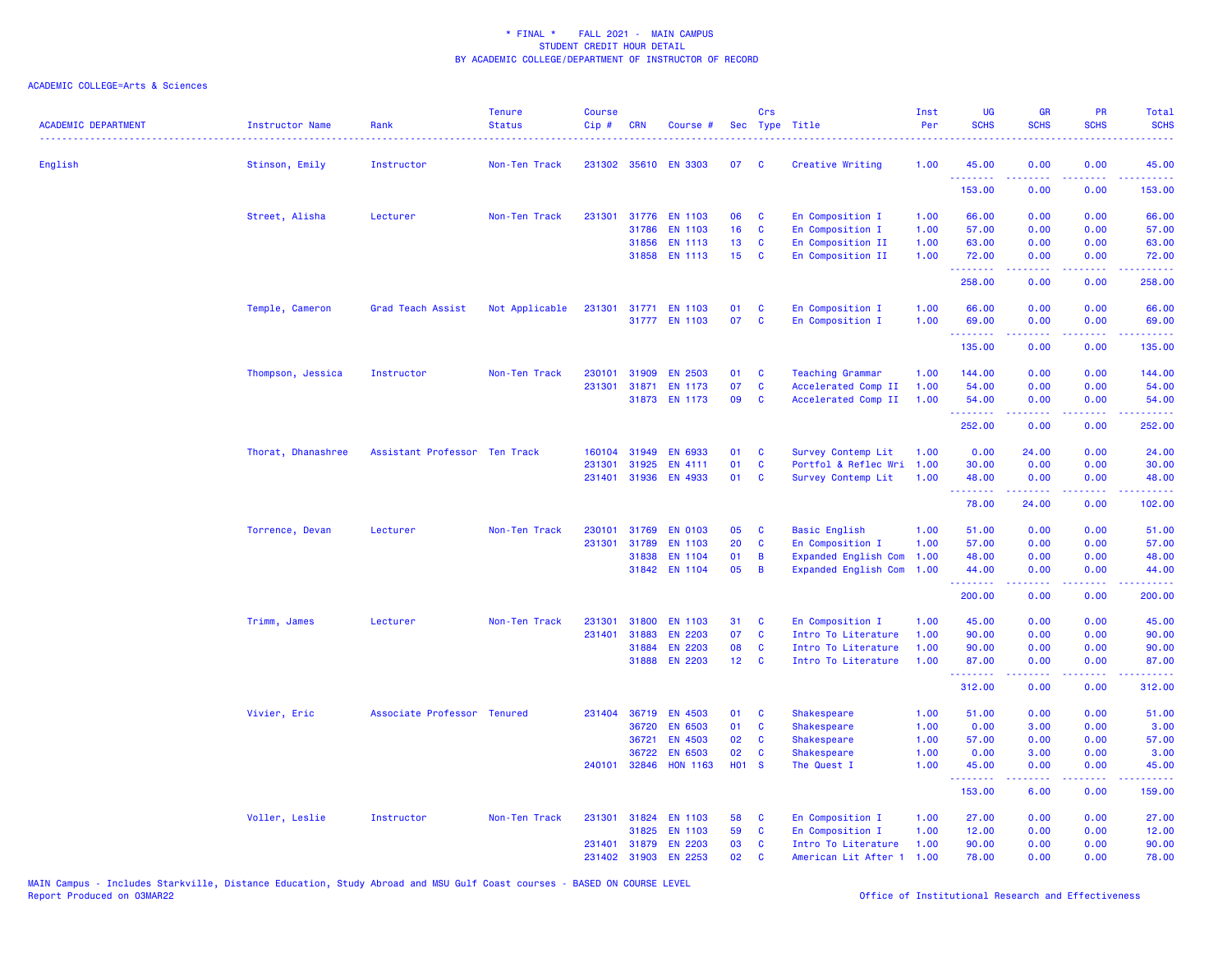| <b>ACADEMIC DEPARTMENT</b> | <b>Instructor Name</b> | Rank                          | <b>Tenure</b><br><b>Status</b> | <b>Course</b><br>Cip# | <b>CRN</b>   | Course #             |                   | Crs          | Sec Type Title              | Inst<br>Per | UG<br><b>SCHS</b> | <b>GR</b><br><b>SCHS</b> | <b>PR</b><br><b>SCHS</b> | Total<br><b>SCHS</b> |
|----------------------------|------------------------|-------------------------------|--------------------------------|-----------------------|--------------|----------------------|-------------------|--------------|-----------------------------|-------------|-------------------|--------------------------|--------------------------|----------------------|
| English                    | Stinson, Emily         | Instructor                    | Non-Ten Track                  |                       |              | 231302 35610 EN 3303 | 07                | <b>C</b>     | Creative Writing            | 1.00        | 45.00             | 0.00                     | 0.00                     | 45.00                |
|                            |                        |                               |                                |                       |              |                      |                   |              |                             |             | .<br>153.00       | .<br>0.00                | 0.00                     | .<br>153.00          |
|                            | Street, Alisha         | Lecturer                      | Non-Ten Track                  |                       |              | 231301 31776 EN 1103 | 06                | C            | En Composition I            | 1.00        | 66.00             | 0.00                     | 0.00                     | 66.00                |
|                            |                        |                               |                                |                       | 31786        | EN 1103              | 16                | C            | En Composition I            | 1.00        | 57.00             | 0.00                     | 0.00                     | 57.00                |
|                            |                        |                               |                                |                       | 31856        | <b>EN 1113</b>       | 13                | C            | En Composition II           | 1.00        | 63.00             | 0.00                     | 0.00                     | 63.00                |
|                            |                        |                               |                                |                       | 31858        | <b>EN 1113</b>       | 15                | C            | En Composition II           | 1.00        | 72.00<br>.        | 0.00<br>22222            | 0.00<br>.                | 72.00<br>.           |
|                            |                        |                               |                                |                       |              |                      |                   |              |                             |             | 258.00            | 0.00                     | 0.00                     | 258.00               |
|                            | Temple, Cameron        | Grad Teach Assist             | Not Applicable                 | 231301                |              | 31771 EN 1103        | 01                | C            | En Composition I            | 1.00        | 66.00             | 0.00                     | 0.00                     | 66.00                |
|                            |                        |                               |                                |                       |              | 31777 EN 1103        | 07                | $\mathbf{c}$ | En Composition I            | 1.00        | 69.00             | 0.00                     | 0.00                     | 69.00                |
|                            |                        |                               |                                |                       |              |                      |                   |              |                             |             | <b>.</b>          | بالأباب                  | الأبالات                 | المتمامين            |
|                            |                        |                               |                                |                       |              |                      |                   |              |                             |             | 135.00            | 0.00                     | 0.00                     | 135.00               |
|                            | Thompson, Jessica      | Instructor                    | Non-Ten Track                  | 230101                | 31909        | <b>EN 2503</b>       | 01                | C            | <b>Teaching Grammar</b>     | 1.00        | 144.00            | 0.00                     | 0.00                     | 144.00               |
|                            |                        |                               |                                | 231301                | 31871        | <b>EN 1173</b>       | 07                | C            | Accelerated Comp II         | 1.00        | 54.00             | 0.00                     | 0.00                     | 54.00                |
|                            |                        |                               |                                |                       |              | 31873 EN 1173        | 09                | C            | Accelerated Comp II         | 1.00        | 54.00<br>.        | 0.00<br>2.2.2.2.2        | 0.00<br>.                | 54.00<br>.           |
|                            |                        |                               |                                |                       |              |                      |                   |              |                             |             | 252.00            | 0.00                     | 0.00                     | 252.00               |
|                            | Thorat, Dhanashree     | Assistant Professor Ten Track |                                | 160104                | 31949        | <b>EN 6933</b>       | 01                | C            | Survey Contemp Lit          | 1.00        | 0.00              | 24.00                    | 0.00                     | 24,00                |
|                            |                        |                               |                                | 231301                | 31925        | EN 4111              | 01                | $\mathbf c$  | Portfol & Reflec Wri        | 1.00        | 30.00             | 0.00                     | 0.00                     | 30.00                |
|                            |                        |                               |                                |                       | 231401 31936 | EN 4933              | 01                | C            | Survey Contemp Lit          | 1.00        | 48.00             | 0.00                     | 0.00                     | 48.00                |
|                            |                        |                               |                                |                       |              |                      |                   |              |                             |             | <u>.</u><br>78.00 | .<br>24.00               | .<br>0.00                | .<br>102.00          |
|                            | Torrence, Devan        | Lecturer                      | Non-Ten Track                  | 230101                | 31769        | <b>EN 0103</b>       | 05                | C            | <b>Basic English</b>        | 1.00        | 51.00             | 0.00                     | 0.00                     | 51.00                |
|                            |                        |                               |                                |                       | 231301 31789 | <b>EN 1103</b>       | 20                | C            | En Composition I            | 1.00        | 57.00             | 0.00                     | 0.00                     | 57.00                |
|                            |                        |                               |                                |                       | 31838        | EN 1104              | 01                | B            | <b>Expanded English Com</b> | 1.00        | 48.00             | 0.00                     | 0.00                     | 48.00                |
|                            |                        |                               |                                |                       | 31842        | EN 1104              | 05                | B            | <b>Expanded English Com</b> | 1.00        | 44.00<br>.        | 0.00<br>22222            | 0.00<br>.                | 44.00<br>.           |
|                            |                        |                               |                                |                       |              |                      |                   |              |                             |             | 200.00            | 0.00                     | 0.00                     | 200.00               |
|                            | Trimm, James           | Lecturer                      | Non-Ten Track                  | 231301                | 31800        | <b>EN 1103</b>       | 31                | C            | En Composition I            | 1.00        | 45.00             | 0.00                     | 0.00                     | 45.00                |
|                            |                        |                               |                                | 231401                | 31883        | <b>EN 2203</b>       | 07                | $\mathbf c$  | Intro To Literature         | 1.00        | 90.00             | 0.00                     | 0.00                     | 90.00                |
|                            |                        |                               |                                |                       | 31884        | <b>EN 2203</b>       | 08                | C            | Intro To Literature         | 1.00        | 90.00             | 0.00                     | 0.00                     | 90.00                |
|                            |                        |                               |                                |                       | 31888        | <b>EN 2203</b>       | 12 <sub>2</sub>   | $\mathbf{C}$ | Intro To Literature         | 1.00        | 87.00<br>.        | 0.00<br>.                | 0.00<br>.                | 87.00<br>.           |
|                            |                        |                               |                                |                       |              |                      |                   |              |                             |             | 312.00            | 0.00                     | 0.00                     | 312.00               |
|                            | Vivier, Eric           | Associate Professor Tenured   |                                |                       | 231404 36719 | <b>EN 4503</b>       | 01                | C            | <b>Shakespeare</b>          | 1.00        | 51.00             | 0.00                     | 0.00                     | 51.00                |
|                            |                        |                               |                                |                       | 36720        | <b>EN 6503</b>       | 01                | C            | Shakespeare                 | 1.00        | 0.00              | 3.00                     | 0.00                     | 3.00                 |
|                            |                        |                               |                                |                       | 36721        | <b>EN 4503</b>       | 02                | C            | Shakespeare                 | 1.00        | 57.00             | 0.00                     | 0.00                     | 57.00                |
|                            |                        |                               |                                |                       | 36722        | <b>EN 6503</b>       | 02                | C            | Shakespeare                 | 1.00        | 0.00              | 3.00                     | 0.00                     | 3.00                 |
|                            |                        |                               |                                | 240101                | 32846        | <b>HON 1163</b>      | H <sub>01</sub> S |              | The Quest I                 | 1.00        | 45.00<br>.        | 0.00<br>.                | 0.00<br>$\frac{1}{2}$    | 45.00                |
|                            |                        |                               |                                |                       |              |                      |                   |              |                             |             | 153.00            | 6.00                     | 0.00                     | 159.00               |
|                            | Voller, Leslie         | Instructor                    | Non-Ten Track                  |                       |              | 231301 31824 EN 1103 | 58                | C            | En Composition I            | 1.00        | 27.00             | 0.00                     | 0.00                     | 27.00                |
|                            |                        |                               |                                |                       | 31825        | <b>EN 1103</b>       | 59                | C            | En Composition I            | 1.00        | 12.00             | 0.00                     | 0.00                     | 12.00                |
|                            |                        |                               |                                |                       |              | 231401 31879 EN 2203 | 03                | C            | Intro To Literature         | 1.00        | 90.00             | 0.00                     | 0.00                     | 90.00                |
|                            |                        |                               |                                | 231402                | 31903        | <b>EN 2253</b>       | 02                | C            | American Lit After 1        | 1.00        | 78.00             | 0.00                     | 0.00                     | 78.00                |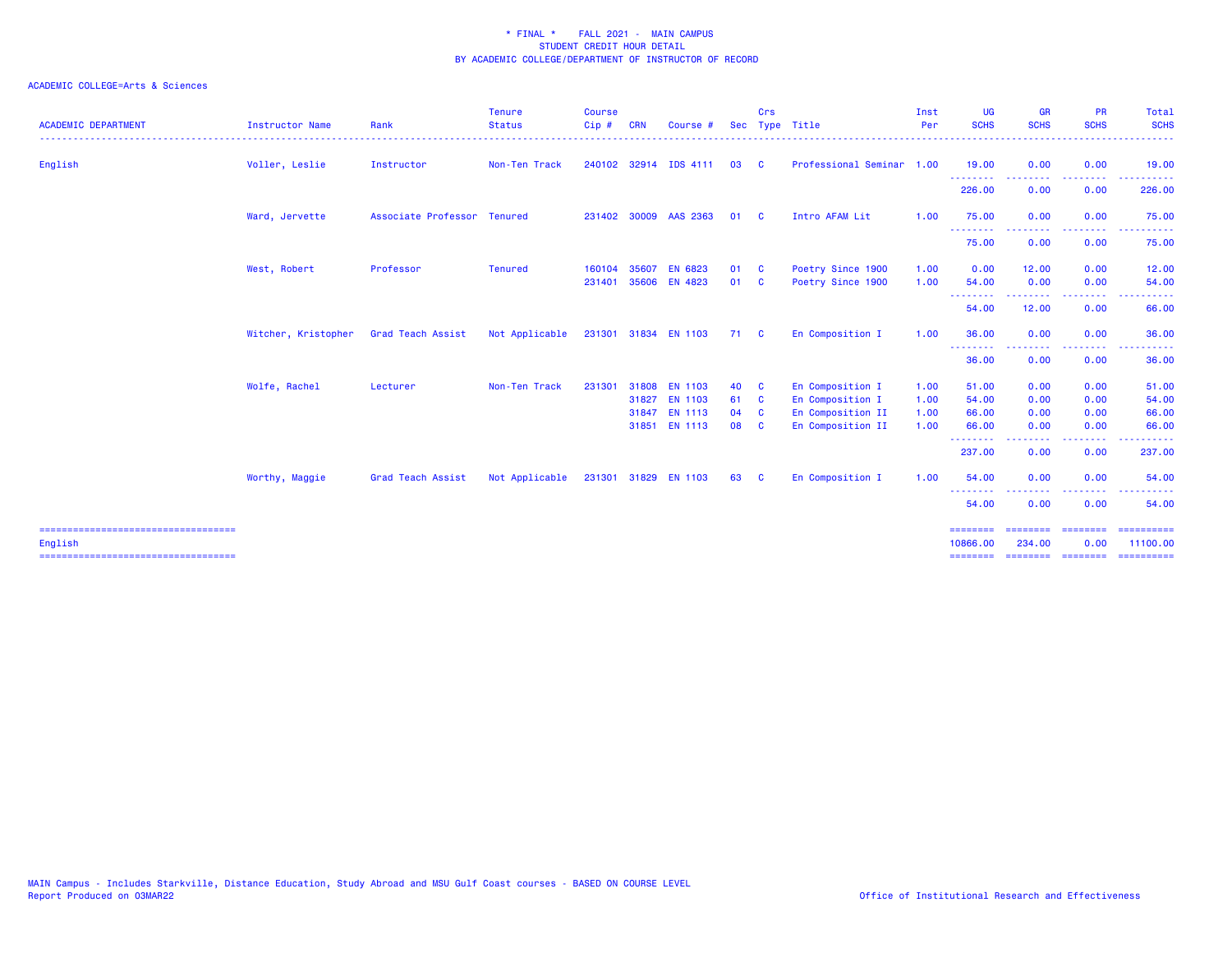| <b>ACADEMIC DEPARTMENT</b>                       | <b>Instructor Name</b> | Rank                        | <b>Tenure</b><br><b>Status</b> | <b>Course</b><br>Cip# | <b>CRN</b> | Course #              |      | Crs          | Sec Type Title            | Inst<br>Per | <b>UG</b><br><b>SCHS</b> | <b>GR</b><br><b>SCHS</b> | <b>PR</b><br><b>SCHS</b> | Total<br><b>SCHS</b><br>.                                                                                                                                                                                                                                                                                                                                                                                                                                                              |
|--------------------------------------------------|------------------------|-----------------------------|--------------------------------|-----------------------|------------|-----------------------|------|--------------|---------------------------|-------------|--------------------------|--------------------------|--------------------------|----------------------------------------------------------------------------------------------------------------------------------------------------------------------------------------------------------------------------------------------------------------------------------------------------------------------------------------------------------------------------------------------------------------------------------------------------------------------------------------|
| English                                          | Voller, Leslie         | Instructor                  | Non-Ten Track                  |                       |            | 240102 32914 IDS 4111 | 03   | <b>C</b>     | Professional Seminar 1.00 |             | 19.00                    | 0.00                     | 0.00                     | 19.00                                                                                                                                                                                                                                                                                                                                                                                                                                                                                  |
|                                                  |                        |                             |                                |                       |            |                       |      |              |                           |             | .<br>226.00              | 0.00                     | 0.00                     | 226.00                                                                                                                                                                                                                                                                                                                                                                                                                                                                                 |
|                                                  | Ward, Jervette         | Associate Professor Tenured |                                |                       |            | 231402 30009 AAS 2363 | 01   | - C          | Intro AFAM Lit            | 1.00        | 75.00                    | 0.00                     | 0.00                     | 75.00                                                                                                                                                                                                                                                                                                                                                                                                                                                                                  |
|                                                  |                        |                             |                                |                       |            |                       |      |              |                           |             | --------<br>75.00        | .<br>0.00                | المستمال<br>0.00         | ------<br>75.00                                                                                                                                                                                                                                                                                                                                                                                                                                                                        |
|                                                  | West, Robert           | Professor                   | <b>Tenured</b>                 | 160104                | 35607      | EN 6823               | 01   | - C          | Poetry Since 1900         | 1.00        | 0.00                     | 12.00                    | 0.00                     | 12.00                                                                                                                                                                                                                                                                                                                                                                                                                                                                                  |
|                                                  |                        |                             |                                | 231401 35606          |            | EN 4823               | 01 C |              | Poetry Since 1900         | 1.00        | 54.00                    | 0.00                     | 0.00                     | 54.00                                                                                                                                                                                                                                                                                                                                                                                                                                                                                  |
|                                                  |                        |                             |                                |                       |            |                       |      |              |                           |             | --------<br>54.00        | .<br>12.00               | -----<br>0.00            | .<br>66.00                                                                                                                                                                                                                                                                                                                                                                                                                                                                             |
|                                                  | Witcher, Kristopher    | <b>Grad Teach Assist</b>    | Not Applicable                 |                       |            | 231301 31834 EN 1103  | 71 C |              | En Composition I          | 1.00        | 36.00                    | 0.00                     | 0.00                     | 36.00                                                                                                                                                                                                                                                                                                                                                                                                                                                                                  |
|                                                  |                        |                             |                                |                       |            |                       |      |              |                           |             | --------<br>36.00        | 0.00                     | 0.00                     | 36.00                                                                                                                                                                                                                                                                                                                                                                                                                                                                                  |
|                                                  | Wolfe, Rachel          | Lecturer                    | Non-Ten Track                  | 231301                | 31808      | <b>EN 1103</b>        | 40   | - C          | En Composition I          | 1.00        | 51.00                    | 0.00                     | 0.00                     | 51.00                                                                                                                                                                                                                                                                                                                                                                                                                                                                                  |
|                                                  |                        |                             |                                |                       | 31827      | <b>EN 1103</b>        | 61   | $\mathbf{C}$ | En Composition I          | 1.00        | 54.00                    | 0.00                     | 0.00                     | 54.00                                                                                                                                                                                                                                                                                                                                                                                                                                                                                  |
|                                                  |                        |                             |                                |                       | 31847      | <b>EN 1113</b>        | 04   | <b>C</b>     | En Composition II         | 1.00        | 66.00                    | 0.00                     | 0.00                     | 66.00                                                                                                                                                                                                                                                                                                                                                                                                                                                                                  |
|                                                  |                        |                             |                                |                       |            | 31851 EN 1113         | 08   | <b>C</b>     | En Composition II         | 1.00        | 66.00<br>--------        | 0.00                     | 0.00                     | 66.00                                                                                                                                                                                                                                                                                                                                                                                                                                                                                  |
|                                                  |                        |                             |                                |                       |            |                       |      |              |                           |             | 237.00                   | 0.00                     | 0.00                     | 237.00                                                                                                                                                                                                                                                                                                                                                                                                                                                                                 |
|                                                  | Worthy, Maggie         | Grad Teach Assist           | Not Applicable                 |                       |            | 231301 31829 EN 1103  | 63   | - C          | En Composition I          | 1.00        | 54.00                    | 0.00                     | 0.00                     | 54.00                                                                                                                                                                                                                                                                                                                                                                                                                                                                                  |
|                                                  |                        |                             |                                |                       |            |                       |      |              |                           |             | --------<br>54.00        | 0.00                     | 0.00                     | 54.00                                                                                                                                                                                                                                                                                                                                                                                                                                                                                  |
| =====================================<br>English |                        |                             |                                |                       |            |                       |      |              |                           |             | ========<br>10866.00     | ========<br>234.00       | ---------<br>0.00        | 11100.00                                                                                                                                                                                                                                                                                                                                                                                                                                                                               |
| ====================================             |                        |                             |                                |                       |            |                       |      |              |                           |             | ========                 | $=$ =======              | $=$ ========             | $\begin{array}{cccccccccc} \multicolumn{2}{c}{} & \multicolumn{2}{c}{} & \multicolumn{2}{c}{} & \multicolumn{2}{c}{} & \multicolumn{2}{c}{} & \multicolumn{2}{c}{} & \multicolumn{2}{c}{} & \multicolumn{2}{c}{} & \multicolumn{2}{c}{} & \multicolumn{2}{c}{} & \multicolumn{2}{c}{} & \multicolumn{2}{c}{} & \multicolumn{2}{c}{} & \multicolumn{2}{c}{} & \multicolumn{2}{c}{} & \multicolumn{2}{c}{} & \multicolumn{2}{c}{} & \multicolumn{2}{c}{} & \multicolumn{2}{c}{} & \mult$ |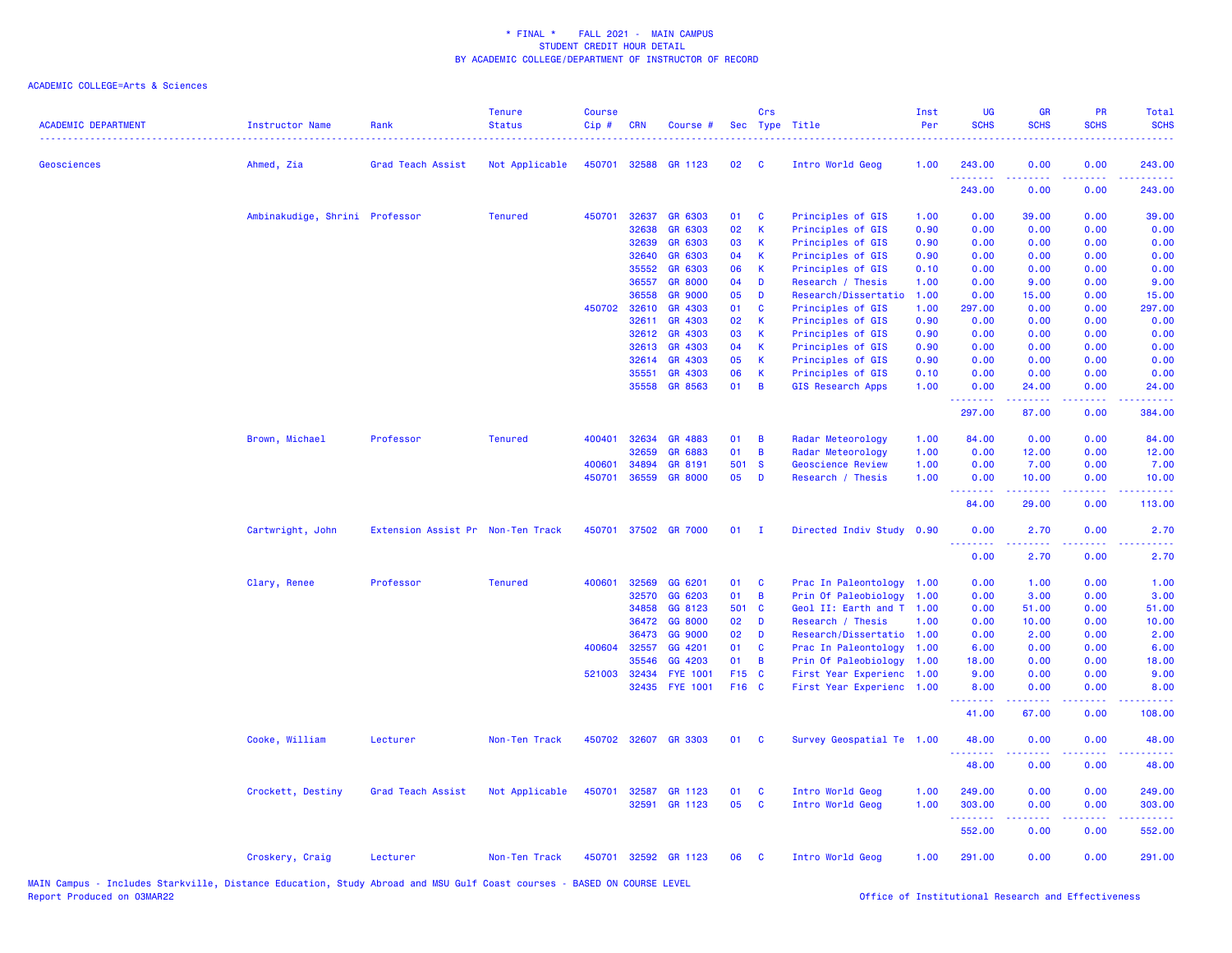| <b>ACADEMIC DEPARTMENT</b> | Instructor Name                | Rank                              | <b>Tenure</b><br><b>Status</b> | <b>Course</b><br>$Cip$ # | <b>CRN</b>     | Course #                  |          | Crs          | Sec Type Title                         | Inst<br>Per  | UG<br><b>SCHS</b>         | <b>GR</b><br><b>SCHS</b>                                                                                                           | PR<br><b>SCHS</b>                                                                                                                 | Total<br><b>SCHS</b> |
|----------------------------|--------------------------------|-----------------------------------|--------------------------------|--------------------------|----------------|---------------------------|----------|--------------|----------------------------------------|--------------|---------------------------|------------------------------------------------------------------------------------------------------------------------------------|-----------------------------------------------------------------------------------------------------------------------------------|----------------------|
| <b>Geosciences</b>         | Ahmed, Zia                     | Grad Teach Assist                 | Not Applicable                 | 450701                   |                | 32588 GR 1123             | 02       | - C          | Intro World Geog                       | 1.00         | 243.00                    | 0.00                                                                                                                               | 0.00                                                                                                                              | 243.00<br>.          |
|                            |                                |                                   |                                |                          |                |                           |          |              |                                        |              | 243.00                    | 0.00                                                                                                                               | 0.00                                                                                                                              | 243.00               |
|                            | Ambinakudige, Shrini Professor |                                   | <b>Tenured</b>                 | 450701                   | 32637          | GR 6303                   | 01       | C            | Principles of GIS                      | 1.00         | 0.00                      | 39.00                                                                                                                              | 0.00                                                                                                                              | 39.00                |
|                            |                                |                                   |                                |                          | 32638          | GR 6303                   | 02       | К            | Principles of GIS                      | 0.90         | 0.00                      | 0.00                                                                                                                               | 0.00                                                                                                                              | 0.00                 |
|                            |                                |                                   |                                |                          | 32639          | GR 6303                   | 03       | К            | Principles of GIS                      | 0.90         | 0.00                      | 0.00                                                                                                                               | 0.00                                                                                                                              | 0.00                 |
|                            |                                |                                   |                                |                          | 32640          | GR 6303                   | 04       | К            | Principles of GIS                      | 0.90         | 0.00                      | 0.00                                                                                                                               | 0.00                                                                                                                              | 0.00                 |
|                            |                                |                                   |                                |                          | 35552<br>36557 | GR 6303<br><b>GR 8000</b> | 06<br>04 | K<br>D       | Principles of GIS<br>Research / Thesis | 0.10<br>1.00 | 0.00<br>0.00              | 0.00<br>9.00                                                                                                                       | 0.00<br>0.00                                                                                                                      | 0.00<br>9.00         |
|                            |                                |                                   |                                |                          | 36558          | <b>GR 9000</b>            | 05       | D            | Research/Dissertatio                   | 1.00         | 0.00                      | 15.00                                                                                                                              | 0.00                                                                                                                              | 15.00                |
|                            |                                |                                   |                                |                          | 450702 32610   | GR 4303                   | 01       | C            | Principles of GIS                      | 1.00         | 297.00                    | 0.00                                                                                                                               | 0.00                                                                                                                              | 297.00               |
|                            |                                |                                   |                                |                          | 32611          | GR 4303                   | 02       | К            | Principles of GIS                      | 0.90         | 0.00                      | 0.00                                                                                                                               | 0.00                                                                                                                              | 0.00                 |
|                            |                                |                                   |                                |                          | 32612          | GR 4303                   | 03       | К            | Principles of GIS                      | 0.90         | 0.00                      | 0.00                                                                                                                               | 0.00                                                                                                                              | 0.00                 |
|                            |                                |                                   |                                |                          | 32613          | GR 4303                   | 04       | K            | Principles of GIS                      | 0.90         | 0.00                      | 0.00                                                                                                                               | 0.00                                                                                                                              | 0.00                 |
|                            |                                |                                   |                                |                          | 32614          | GR 4303                   | 05       | К            | Principles of GIS                      | 0.90         | 0.00                      | 0.00                                                                                                                               | 0.00                                                                                                                              | 0.00                 |
|                            |                                |                                   |                                |                          | 35551          | GR 4303                   | 06       | К            | Principles of GIS                      | 0.10         | 0.00                      | 0.00                                                                                                                               | 0.00                                                                                                                              | 0.00                 |
|                            |                                |                                   |                                |                          | 35558          | GR 8563                   | 01       | B            | <b>GIS Research Apps</b>               | 1.00         | 0.00                      | 24.00                                                                                                                              | 0.00                                                                                                                              | 24.00                |
|                            |                                |                                   |                                |                          |                |                           |          |              |                                        |              | .<br>297.00               | $\frac{1}{2} \left( \frac{1}{2} \right) \left( \frac{1}{2} \right) \left( \frac{1}{2} \right) \left( \frac{1}{2} \right)$<br>87.00 | د د د د<br>0.00                                                                                                                   | .<br>384.00          |
|                            | Brown, Michael                 | Professor                         | <b>Tenured</b>                 | 400401                   | 32634          | GR 4883                   | 01       | B            | Radar Meteorology                      | 1.00         | 84.00                     | 0.00                                                                                                                               | 0.00                                                                                                                              | 84.00                |
|                            |                                |                                   |                                |                          | 32659          | GR 6883                   | 01       | B            | Radar Meteorology                      | 1.00         | 0.00                      | 12.00                                                                                                                              | 0.00                                                                                                                              | 12.00                |
|                            |                                |                                   |                                | 400601                   | 34894          | GR 8191                   | 501      | <b>S</b>     | <b>Geoscience Review</b>               | 1.00         | 0.00                      | 7.00                                                                                                                               | 0.00                                                                                                                              | 7.00                 |
|                            |                                |                                   |                                | 450701                   | 36559          | <b>GR 8000</b>            | 05       | D            | Research / Thesis                      | 1.00         | 0.00                      | 10.00                                                                                                                              | 0.00                                                                                                                              | 10.00                |
|                            |                                |                                   |                                |                          |                |                           |          |              |                                        |              | <u> 22222222</u><br>84.00 | .<br>29.00                                                                                                                         | .<br>0.00                                                                                                                         | .<br>113.00          |
|                            | Cartwright, John               | Extension Assist Pr Non-Ten Track |                                | 450701                   |                | 37502 GR 7000             | 01       | $\mathbf{I}$ | Directed Indiv Study 0.90              |              | 0.00                      | 2.70<br>.                                                                                                                          | 0.00<br><b>.</b>                                                                                                                  | 2.70<br>- - - -      |
|                            |                                |                                   |                                |                          |                |                           |          |              |                                        |              | 0.00                      | 2.70                                                                                                                               | 0.00                                                                                                                              | 2.70                 |
|                            | Clary, Renee                   | Professor                         | <b>Tenured</b>                 | 400601                   | 32569          | GG 6201                   | 01       | C            | Prac In Paleontology                   | 1.00         | 0.00                      | 1.00                                                                                                                               | 0.00                                                                                                                              | 1.00                 |
|                            |                                |                                   |                                |                          | 32570          | GG 6203                   | 01       | B            | Prin Of Paleobiology                   | 1.00         | 0.00                      | 3.00                                                                                                                               | 0.00                                                                                                                              | 3.00                 |
|                            |                                |                                   |                                |                          | 34858          | GG 8123                   | 501 C    |              | Geol II: Earth and T 1.00              |              | 0.00                      | 51.00                                                                                                                              | 0.00                                                                                                                              | 51.00                |
|                            |                                |                                   |                                |                          | 36472          | GG 8000                   | 02       | D            | Research / Thesis                      | 1.00         | 0.00                      | 10.00                                                                                                                              | 0.00                                                                                                                              | 10.00                |
|                            |                                |                                   |                                |                          | 36473          | GG 9000                   | 02       | D            | Research/Dissertatio                   | 1.00         | 0.00                      | 2.00                                                                                                                               | 0.00                                                                                                                              | 2.00                 |
|                            |                                |                                   |                                | 400604                   | 32557          | GG 4201                   | 01       | C            | Prac In Paleontology                   | 1.00         | 6.00                      | 0.00                                                                                                                               | 0.00                                                                                                                              | 6.00                 |
|                            |                                |                                   |                                |                          | 35546          | GG 4203                   | 01       | B            | Prin Of Paleobiology                   | 1.00         | 18.00                     | 0.00                                                                                                                               | 0.00                                                                                                                              | 18.00                |
|                            |                                |                                   |                                | 521003                   | 32434          | <b>FYE 1001</b>           | F15 C    |              | First Year Experienc 1.00              |              | 9.00                      | 0.00                                                                                                                               | 0.00                                                                                                                              | 9.00                 |
|                            |                                |                                   |                                |                          |                | 32435 FYE 1001            | F16 C    |              | First Year Experienc 1.00              |              | 8.00                      | 0.00                                                                                                                               | 0.00                                                                                                                              | 8.00                 |
|                            |                                |                                   |                                |                          |                |                           |          |              |                                        |              | 41.00                     | 67.00                                                                                                                              | 0.00                                                                                                                              | 108.00               |
|                            | Cooke, William                 | Lecturer                          | Non-Ten Track                  |                          |                | 450702 32607 GR 3303      | 01       | <b>C</b>     | Survey Geospatial Te 1.00              |              | 48.00                     | 0.00                                                                                                                               | 0.00                                                                                                                              | 48.00                |
|                            |                                |                                   |                                |                          |                |                           |          |              |                                        |              | 48.00                     | 0.00                                                                                                                               | 0.00                                                                                                                              | 48.00                |
|                            | Crockett, Destiny              | Grad Teach Assist                 | Not Applicable                 | 450701                   | 32587          | GR 1123                   | 01       | C            | Intro World Geog                       | 1.00         | 249.00                    | 0.00                                                                                                                               | 0.00                                                                                                                              | 249.00               |
|                            |                                |                                   |                                |                          | 32591          | GR 1123                   | 05       | C            | Intro World Geog                       | 1.00         | 303.00<br>.               | 0.00                                                                                                                               | 0.00<br>$\frac{1}{2} \left( \frac{1}{2} \right) \left( \frac{1}{2} \right) \left( \frac{1}{2} \right) \left( \frac{1}{2} \right)$ | 303.00<br>.          |
|                            |                                |                                   |                                |                          |                |                           |          |              |                                        |              | 552.00                    | 0.00                                                                                                                               | 0.00                                                                                                                              | 552.00               |
|                            | Croskery, Craig                | Lecturer                          | Non-Ten Track                  |                          |                | 450701 32592 GR 1123      | 06       | - C          | Intro World Geog                       | 1.00         | 291.00                    | 0.00                                                                                                                               | 0.00                                                                                                                              | 291.00               |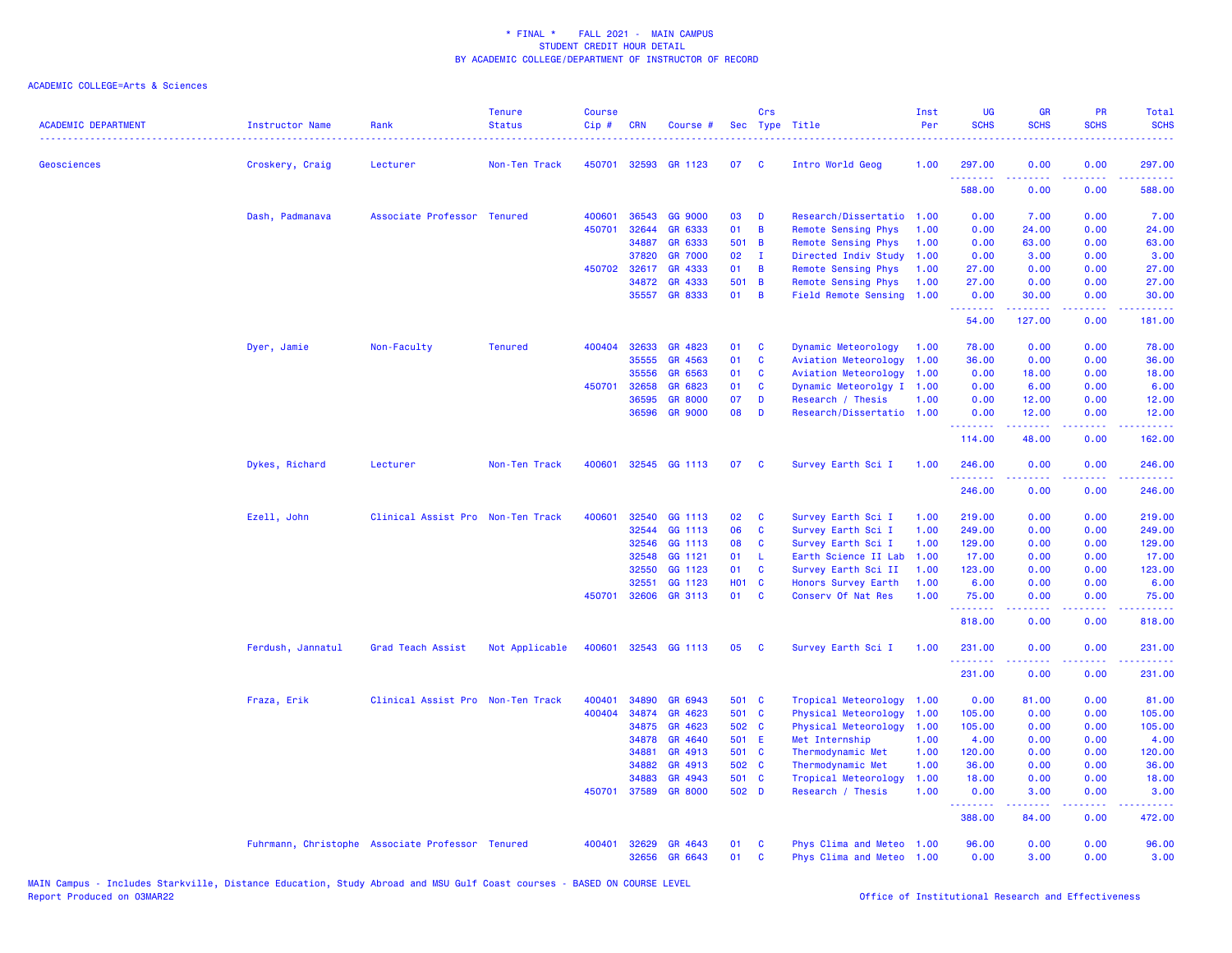| <b>ACADEMIC DEPARTMENT</b> | <b>Instructor Name</b>                           | Rank                              | <b>Tenure</b><br><b>Status</b> | <b>Course</b><br>Cip# | <b>CRN</b> | Course #       |              | Crs          | Sec Type Title              | Inst<br>Per | UG<br><b>SCHS</b>                | <b>GR</b><br><b>SCHS</b> | PR<br><b>SCHS</b>              | Total<br><b>SCHS</b>                                                                                                                                           |
|----------------------------|--------------------------------------------------|-----------------------------------|--------------------------------|-----------------------|------------|----------------|--------------|--------------|-----------------------------|-------------|----------------------------------|--------------------------|--------------------------------|----------------------------------------------------------------------------------------------------------------------------------------------------------------|
| <b>Geosciences</b>         | Croskery, Craig                                  | Lecturer                          | Non-Ten Track                  | 450701                |            | 32593 GR 1123  | 07           | - C          | Intro World Geog            | 1.00        | 297.00                           | 0.00                     | 0.00                           | 297.00                                                                                                                                                         |
|                            |                                                  |                                   |                                |                       |            |                |              |              |                             |             | 588.00                           | 0.00                     | 0.00                           | 588.00                                                                                                                                                         |
|                            | Dash, Padmanava                                  | Associate Professor Tenured       |                                | 400601                | 36543      | GG 9000        | 03           | D            | Research/Dissertatio        | 1.00        | 0.00                             | 7.00                     | 0.00                           | 7.00                                                                                                                                                           |
|                            |                                                  |                                   |                                | 450701                | 32644      | GR 6333        | 01           | B            | Remote Sensing Phys         | 1.00        | 0.00                             | 24.00                    | 0.00                           | 24.00                                                                                                                                                          |
|                            |                                                  |                                   |                                |                       | 34887      | GR 6333        | 501 B        |              | <b>Remote Sensing Phys</b>  | 1.00        | 0.00                             | 63.00                    | 0.00                           | 63.00                                                                                                                                                          |
|                            |                                                  |                                   |                                |                       | 37820      | <b>GR 7000</b> | 02           | - I          | Directed Indiv Study        | 1.00        | 0.00                             | 3.00                     | 0.00                           | 3.00                                                                                                                                                           |
|                            |                                                  |                                   |                                | 450702                | 32617      | GR 4333        | 01           | B            | Remote Sensing Phys         | 1.00        | 27.00                            | 0.00                     | 0.00                           | 27.00                                                                                                                                                          |
|                            |                                                  |                                   |                                |                       | 34872      | GR 4333        | 501 B        |              | Remote Sensing Phys         | 1.00        | 27.00                            | 0.00                     | 0.00                           | 27.00                                                                                                                                                          |
|                            |                                                  |                                   |                                |                       | 35557      | <b>GR 8333</b> | 01           | B            | <b>Field Remote Sensing</b> | 1.00        | 0.00<br>.                        | 30.00<br>$- - - - -$     | 0.00<br>.                      | 30.00<br>.                                                                                                                                                     |
|                            |                                                  |                                   |                                |                       |            |                |              |              |                             |             | 54.00                            | 127.00                   | 0.00                           | 181.00                                                                                                                                                         |
|                            | Dyer, Jamie                                      | Non-Faculty                       | <b>Tenured</b>                 | 400404                | 32633      | GR 4823        | 01           | C            | Dynamic Meteorology         | 1.00        | 78.00                            | 0.00                     | 0.00                           | 78.00                                                                                                                                                          |
|                            |                                                  |                                   |                                |                       | 35555      | GR 4563        | 01           | C            | Aviation Meteorology        | 1.00        | 36.00                            | 0.00                     | 0.00                           | 36.00                                                                                                                                                          |
|                            |                                                  |                                   |                                |                       | 35556      | GR 6563        | 01           | C            | Aviation Meteorology        | 1.00        | 0.00                             | 18.00                    | 0.00                           | 18.00                                                                                                                                                          |
|                            |                                                  |                                   |                                | 450701                | 32658      | GR 6823        | 01           | C            | Dynamic Meteorolgy I        | 1.00        | 0.00                             | 6.00                     | 0.00                           | 6.00                                                                                                                                                           |
|                            |                                                  |                                   |                                |                       | 36595      | <b>GR 8000</b> | 07           | D            | Research / Thesis           | 1.00        | 0.00                             | 12.00                    | 0.00                           | 12.00                                                                                                                                                          |
|                            |                                                  |                                   |                                |                       |            | 36596 GR 9000  | 08           | D            | Research/Dissertatio 1.00   |             | 0.00<br>.                        | 12.00<br>د د د د د       | 0.00<br>.                      | 12.00<br>.                                                                                                                                                     |
|                            |                                                  |                                   |                                |                       |            |                |              |              |                             |             | 114.00                           | 48.00                    | 0.00                           | 162.00                                                                                                                                                         |
|                            | Dykes, Richard                                   | Lecturer                          | Non-Ten Track                  | 400601                |            | 32545 GG 1113  | 07           | C            | Survey Earth Sci I          | 1.00        | 246.00                           | 0.00                     | 0.00<br>$\omega$ is a $\omega$ | 246.00<br>$\frac{1}{2} \left( \frac{1}{2} \right) \left( \frac{1}{2} \right) \left( \frac{1}{2} \right) \left( \frac{1}{2} \right)$                            |
|                            |                                                  |                                   |                                |                       |            |                |              |              |                             |             | 246.00                           | 0.00                     | 0.00                           | 246.00                                                                                                                                                         |
|                            | Ezell, John                                      | Clinical Assist Pro Non-Ten Track |                                | 400601                | 32540      | GG 1113        | 02           | C            | Survey Earth Sci I          | 1.00        | 219.00                           | 0.00                     | 0.00                           | 219.00                                                                                                                                                         |
|                            |                                                  |                                   |                                |                       | 32544      | GG 1113        | 06           | C            | Survey Earth Sci I          | 1.00        | 249.00                           | 0.00                     | 0.00                           | 249.00                                                                                                                                                         |
|                            |                                                  |                                   |                                |                       | 32546      | GG 1113        | 08           | C            | Survey Earth Sci I          | 1.00        | 129.00                           | 0.00                     | 0.00                           | 129.00                                                                                                                                                         |
|                            |                                                  |                                   |                                |                       | 32548      | GG 1121        | 01           | -L           | Earth Science II Lab        | 1.00        | 17.00                            | 0.00                     | 0.00                           | 17.00                                                                                                                                                          |
|                            |                                                  |                                   |                                |                       | 32550      | GG 1123        | 01           | C            | Survey Earth Sci II         | 1.00        | 123.00                           | 0.00                     | 0.00                           | 123.00                                                                                                                                                         |
|                            |                                                  |                                   |                                |                       | 32551      | GG 1123        | <b>HO1 C</b> |              | Honors Survey Earth         | 1.00        | 6.00                             | 0.00                     | 0.00                           | 6.00                                                                                                                                                           |
|                            |                                                  |                                   |                                | 450701                |            | 32606 GR 3113  | 01           | <b>C</b>     | Conserv Of Nat Res          | 1.00        | 75.00<br><u> - - - - - - - -</u> | 0.00<br>.                | 0.00<br>.                      | 75.00<br>22222.                                                                                                                                                |
|                            |                                                  |                                   |                                |                       |            |                |              |              |                             |             | 818.00                           | 0.00                     | 0.00                           | 818.00                                                                                                                                                         |
|                            | Ferdush, Jannatul                                | Grad Teach Assist                 | Not Applicable                 | 400601                |            | 32543 GG 1113  | 05           | C            | Survey Earth Sci I          | 1.00        | 231.00<br>.                      | 0.00<br>.                | 0.00<br>د د د د                | 231.00<br>$\frac{1}{2} \left( \frac{1}{2} \right) \left( \frac{1}{2} \right) \left( \frac{1}{2} \right) \left( \frac{1}{2} \right) \left( \frac{1}{2} \right)$ |
|                            |                                                  |                                   |                                |                       |            |                |              |              |                             |             | 231.00                           | 0.00                     | 0.00                           | 231.00                                                                                                                                                         |
|                            | Fraza, Erik                                      | Clinical Assist Pro Non-Ten Track |                                | 400401                | 34890      | GR 6943        | 501 C        |              | Tropical Meteorology        | 1.00        | 0.00                             | 81.00                    | 0.00                           | 81.00                                                                                                                                                          |
|                            |                                                  |                                   |                                | 400404                | 34874      | GR 4623        | 501 C        |              | Physical Meteorology        | 1.00        | 105.00                           | 0.00                     | 0.00                           | 105.00                                                                                                                                                         |
|                            |                                                  |                                   |                                |                       | 34875      | GR 4623        | 502 C        |              | Physical Meteorology        | 1.00        | 105.00                           | 0.00                     | 0.00                           | 105.00                                                                                                                                                         |
|                            |                                                  |                                   |                                |                       | 34878      | GR 4640        | 501 E        |              | Met Internship              | 1.00        | 4.00                             | 0.00                     | 0.00                           | 4.00                                                                                                                                                           |
|                            |                                                  |                                   |                                |                       | 34881      | GR 4913        | 501 C        |              | Thermodynamic Met           | 1.00        | 120.00                           | 0.00                     | 0.00                           | 120.00                                                                                                                                                         |
|                            |                                                  |                                   |                                |                       | 34882      | GR 4913        | 502 C        |              | Thermodynamic Met           | 1.00        | 36.00                            | 0.00                     | 0.00                           | 36.00                                                                                                                                                          |
|                            |                                                  |                                   |                                |                       | 34883      | GR 4943        | 501 C        |              | Tropical Meteorology        | 1.00        | 18.00                            | 0.00                     | 0.00                           | 18.00                                                                                                                                                          |
|                            |                                                  |                                   |                                | 450701                | 37589      | <b>GR 8000</b> | 502 D        |              | Research / Thesis           | 1.00        | 0.00<br>.                        | 3.00<br><u>.</u>         | 0.00<br>د د د د                | 3.00<br>.                                                                                                                                                      |
|                            |                                                  |                                   |                                |                       |            |                |              |              |                             |             | 388.00                           | 84.00                    | 0.00                           | 472.00                                                                                                                                                         |
|                            | Fuhrmann, Christophe Associate Professor Tenured |                                   |                                | 400401                | 32629      | GR 4643        | 01           | C            | Phys Clima and Meteo 1.00   |             | 96.00                            | 0.00                     | 0.00                           | 96.00                                                                                                                                                          |
|                            |                                                  |                                   |                                |                       | 32656      | GR 6643        | 01           | $\mathbf{C}$ | Phys Clima and Meteo 1.00   |             | 0.00                             | 3.00                     | 0.00                           | 3.00                                                                                                                                                           |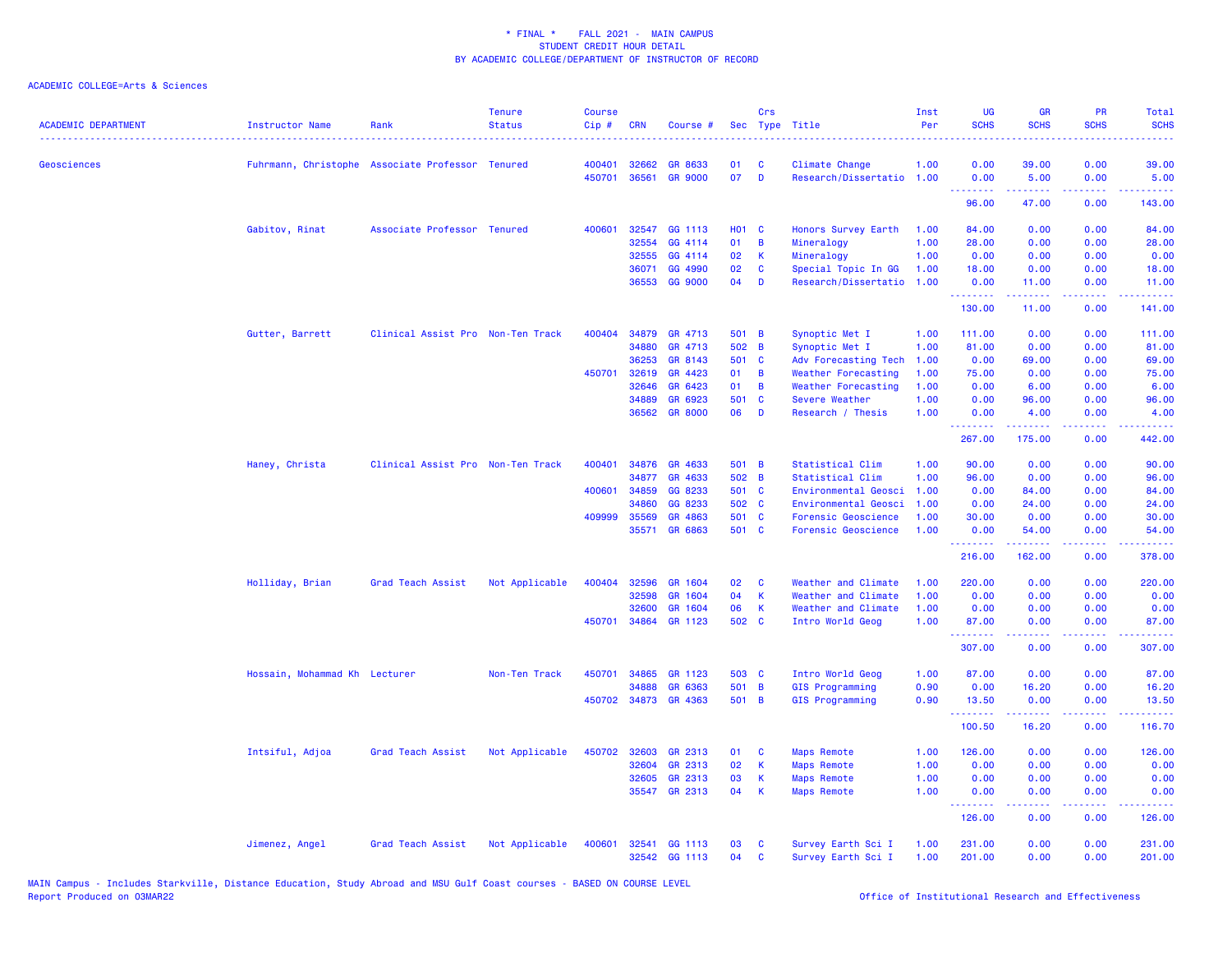| <b>ACADEMIC DEPARTMENT</b> | <b>Instructor Name</b>        | Rank                                             | <b>Tenure</b><br><b>Status</b> | <b>Course</b><br>Cip# | <b>CRN</b> | Course #             | <b>Sec</b>   | Crs          | Type Title                | Inst<br>Per | <b>UG</b><br><b>SCHS</b> | <b>GR</b><br><b>SCHS</b>           | PR<br><b>SCHS</b> | <b>Total</b><br><b>SCHS</b><br><u>.</u> |
|----------------------------|-------------------------------|--------------------------------------------------|--------------------------------|-----------------------|------------|----------------------|--------------|--------------|---------------------------|-------------|--------------------------|------------------------------------|-------------------|-----------------------------------------|
| <b>Geosciences</b>         |                               | Fuhrmann, Christophe Associate Professor Tenured |                                | 400401                | 32662      | GR 8633              | 01           | C            | Climate Change            | 1.00        | 0.00                     | 39.00                              | 0.00              | 39.00                                   |
|                            |                               |                                                  |                                | 450701                | 36561      | <b>GR 9000</b>       | 07           | D            | Research/Dissertatio 1.00 |             | 0.00<br>.                | 5.00<br>د د د د د                  | 0.00<br>د د د د   | 5.00<br>المتمامين                       |
|                            |                               |                                                  |                                |                       |            |                      |              |              |                           |             | 96.00                    | 47.00                              | 0.00              | 143.00                                  |
|                            | Gabitov, Rinat                | Associate Professor Tenured                      |                                | 400601                | 32547      | GG 1113              | <b>HO1 C</b> |              | Honors Survey Earth       | 1.00        | 84.00                    | 0.00                               | 0.00              | 84.00                                   |
|                            |                               |                                                  |                                |                       | 32554      | GG 4114              | 01           | $\,$ B       | Mineralogy                | 1.00        | 28.00                    | 0.00                               | 0.00              | 28.00                                   |
|                            |                               |                                                  |                                |                       | 32555      | GG 4114              | 02           | K            | Mineralogy                | 1.00        | 0.00                     | 0.00                               | 0.00              | 0.00                                    |
|                            |                               |                                                  |                                |                       | 36071      | GG 4990              | 02           | C            | Special Topic In GG       | 1.00        | 18.00                    | 0.00                               | 0.00              | 18.00                                   |
|                            |                               |                                                  |                                |                       | 36553      | GG 9000              | 04           | D            | Research/Dissertatio      | 1.00        | 0.00<br>والمتواديات      | 11.00<br>$\omega$ is a $\omega$ in | 0.00<br>المستبدا  | 11.00<br>.                              |
|                            |                               |                                                  |                                |                       |            |                      |              |              |                           |             | 130.00                   | 11.00                              | 0.00              | 141.00                                  |
|                            | Gutter, Barrett               | Clinical Assist Pro Non-Ten Track                |                                | 400404                | 34879      | GR 4713              | 501 B        |              | Synoptic Met I            | 1.00        | 111.00                   | 0.00                               | 0.00              | 111.00                                  |
|                            |                               |                                                  |                                |                       | 34880      | GR 4713              | 502 B        |              | Synoptic Met I            | 1.00        | 81.00                    | 0.00                               | 0.00              | 81.00                                   |
|                            |                               |                                                  |                                |                       | 36253      | GR 8143              | 501 C        |              | Adv Forecasting Tech      | 1.00        | 0.00                     | 69.00                              | 0.00              | 69.00                                   |
|                            |                               |                                                  |                                | 450701                | 32619      | GR 4423              | 01           | B            | Weather Forecasting       | 1.00        | 75.00                    | 0.00                               | 0.00              | 75.00                                   |
|                            |                               |                                                  |                                |                       | 32646      | GR 6423              | 01           | B            | Weather Forecasting       | 1.00        | 0.00                     | 6.00                               | 0.00              | 6.00                                    |
|                            |                               |                                                  |                                |                       | 34889      | GR 6923              | 501          | $\mathbf{C}$ | Severe Weather            | 1.00        | 0.00                     | 96.00                              | 0.00              | 96.00                                   |
|                            |                               |                                                  |                                |                       | 36562      | <b>GR 8000</b>       | 06           | D            | Research / Thesis         | 1.00        | 0.00<br><b></b>          | 4.00<br>.                          | 0.00<br>.         | 4.00<br>.                               |
|                            |                               |                                                  |                                |                       |            |                      |              |              |                           |             | 267.00                   | 175.00                             | 0.00              | 442.00                                  |
|                            | Haney, Christa                | Clinical Assist Pro Non-Ten Track                |                                | 400401                | 34876      | GR 4633              | 501 B        |              | Statistical Clim          | 1.00        | 90.00                    | 0.00                               | 0.00              | 90.00                                   |
|                            |                               |                                                  |                                |                       | 34877      | GR 4633              | 502 B        |              | Statistical Clim          | 1.00        | 96.00                    | 0.00                               | 0.00              | 96.00                                   |
|                            |                               |                                                  |                                | 400601                | 34859      | GG 8233              | 501 C        |              | Environmental Geosci      | 1.00        | 0.00                     | 84.00                              | 0.00              | 84.00                                   |
|                            |                               |                                                  |                                |                       | 34860      | GG 8233              | 502 C        |              | Environmental Geosci      | 1.00        | 0.00                     | 24.00                              | 0.00              | 24.00                                   |
|                            |                               |                                                  |                                | 409999                | 35569      | GR 4863              | 501 C        |              | Forensic Geoscience       | 1.00        | 30.00                    | 0.00                               | 0.00              | 30.00                                   |
|                            |                               |                                                  |                                |                       | 35571      | GR 6863              | 501 C        |              | Forensic Geoscience       | 1.00        | 0.00<br><u>.</u>         | 54.00                              | 0.00              | 54.00                                   |
|                            |                               |                                                  |                                |                       |            |                      |              |              |                           |             | 216.00                   | 162.00                             | 0.00              | 378.00                                  |
|                            | Holliday, Brian               | Grad Teach Assist                                | Not Applicable                 | 400404                | 32596      | GR 1604              | 02           | <b>C</b>     | Weather and Climate       | 1.00        | 220.00                   | 0.00                               | 0.00              | 220.00                                  |
|                            |                               |                                                  |                                |                       | 32598      | GR 1604              | 04           | $\mathsf K$  | Weather and Climate       | 1.00        | 0.00                     | 0.00                               | 0.00              | 0.00                                    |
|                            |                               |                                                  |                                |                       | 32600      | GR 1604              | 06           | $\mathsf K$  | Weather and Climate       | 1.00        | 0.00                     | 0.00                               | 0.00              | 0.00                                    |
|                            |                               |                                                  |                                | 450701                | 34864      | GR 1123              | 502 C        |              | Intro World Geog          | 1.00        | 87.00<br><u>.</u>        | 0.00<br>22222                      | 0.00<br>.         | 87.00<br>بالأباليات                     |
|                            |                               |                                                  |                                |                       |            |                      |              |              |                           |             | 307.00                   | 0.00                               | 0.00              | 307.00                                  |
|                            | Hossain, Mohammad Kh Lecturer |                                                  | Non-Ten Track                  | 450701                | 34865      | GR 1123              | 503 C        |              | Intro World Geog          | 1.00        | 87.00                    | 0.00                               | 0.00              | 87.00                                   |
|                            |                               |                                                  |                                |                       | 34888      | GR 6363              | 501 B        |              | <b>GIS Programming</b>    | 0.90        | 0.00                     | 16.20                              | 0.00              | 16.20                                   |
|                            |                               |                                                  |                                |                       |            | 450702 34873 GR 4363 | 501 B        |              | GIS Programming           | 0.90        | 13.50                    | 0.00                               | 0.00              | 13.50                                   |
|                            |                               |                                                  |                                |                       |            |                      |              |              |                           |             | <u>.</u><br>100.50       | 22222<br>16.20                     | .<br>0.00         | .<br>116.70                             |
|                            | Intsiful, Adjoa               | <b>Grad Teach Assist</b>                         | Not Applicable                 | 450702                | 32603      | GR 2313              | 01           | C            | <b>Maps Remote</b>        | 1.00        | 126.00                   | 0.00                               | 0.00              | 126.00                                  |
|                            |                               |                                                  |                                |                       | 32604      | GR 2313              | 02           | $\mathsf K$  | <b>Maps Remote</b>        | 1.00        | 0.00                     | 0.00                               | 0.00              | 0.00                                    |
|                            |                               |                                                  |                                |                       | 32605      | GR 2313              | 03           | K            | <b>Maps Remote</b>        | 1.00        | 0.00                     | 0.00                               | 0.00              | 0.00                                    |
|                            |                               |                                                  |                                |                       | 35547      | GR 2313              | 04           | K            | <b>Maps Remote</b>        | 1.00        | 0.00                     | 0.00                               | 0.00              | 0.00                                    |
|                            |                               |                                                  |                                |                       |            |                      |              |              |                           |             | .<br>126.00              | .<br>0.00                          | د د د د<br>0.00   | .<br>126.00                             |
|                            | Jimenez, Angel                | Grad Teach Assist                                | Not Applicable                 | 400601                | 32541      | GG 1113              | 03           | C            | Survey Earth Sci I        | 1.00        | 231.00                   | 0.00                               | 0.00              | 231.00                                  |
|                            |                               |                                                  |                                |                       |            | 32542 GG 1113        | 04           | C            | Survey Earth Sci I        | 1.00        | 201.00                   | 0.00                               | 0.00              | 201.00                                  |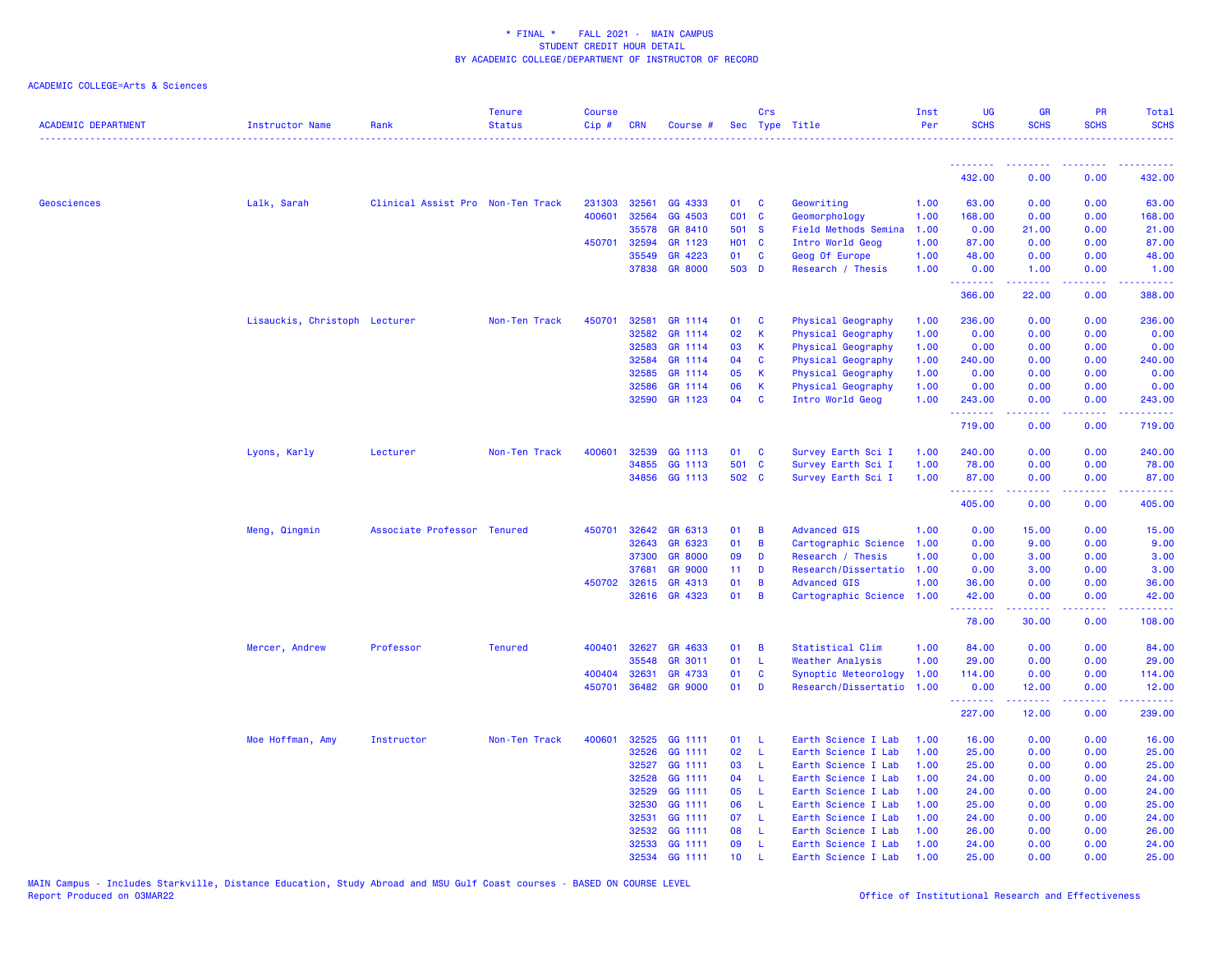| <b>ACADEMIC DEPARTMENT</b> | <b>Instructor Name</b>        | Rank                              | <b>Tenure</b><br><b>Status</b> | <b>Course</b><br>Cip# | <b>CRN</b>   | Course #       |                 | Crs          | Sec Type Title              | Inst<br>Per | UG<br><b>SCHS</b> | <b>GR</b><br><b>SCHS</b>                                                                                                          | PR<br><b>SCHS</b> | Total<br><b>SCHS</b> |
|----------------------------|-------------------------------|-----------------------------------|--------------------------------|-----------------------|--------------|----------------|-----------------|--------------|-----------------------------|-------------|-------------------|-----------------------------------------------------------------------------------------------------------------------------------|-------------------|----------------------|
|                            |                               |                                   |                                |                       |              |                |                 |              |                             |             |                   |                                                                                                                                   |                   |                      |
|                            |                               |                                   |                                |                       |              |                |                 |              |                             |             | 432.00            | 0.00                                                                                                                              | 0.00              | 432.00               |
| Geosciences                | Lalk, Sarah                   | Clinical Assist Pro Non-Ten Track |                                | 231303                | 32561        | GG 4333        | 01              | C            | Geowriting                  | 1.00        | 63.00             | 0.00                                                                                                                              | 0.00              | 63.00                |
|                            |                               |                                   |                                | 400601                | 32564        | GG 4503        | CO <sub>1</sub> | <b>C</b>     | Geomorphology               | 1.00        | 168.00            | 0.00                                                                                                                              | 0.00              | 168.00               |
|                            |                               |                                   |                                |                       | 35578        | GR 8410        | 501 S           |              | <b>Field Methods Semina</b> | 1.00        | 0.00              | 21.00                                                                                                                             | 0.00              | 21.00                |
|                            |                               |                                   |                                | 450701                | 32594        | GR 1123        | <b>HO1 C</b>    |              | Intro World Geog            | 1.00        | 87.00             | 0.00                                                                                                                              | 0.00              | 87.00                |
|                            |                               |                                   |                                |                       | 35549        | GR 4223        | 01              | C            | Geog Of Europe              | 1.00        | 48.00             | 0.00                                                                                                                              | 0.00              | 48.00                |
|                            |                               |                                   |                                |                       |              | 37838 GR 8000  | 503 D           |              | Research / Thesis           | 1.00        | 0.00<br><u>.</u>  | 1.00<br>$\frac{1}{2} \left( \frac{1}{2} \right) \left( \frac{1}{2} \right) \left( \frac{1}{2} \right) \left( \frac{1}{2} \right)$ | 0.00<br>د د د د   | 1.00<br>.            |
|                            |                               |                                   |                                |                       |              |                |                 |              |                             |             | 366.00            | 22.00                                                                                                                             | 0.00              | 388.00               |
|                            | Lisauckis, Christoph Lecturer |                                   | Non-Ten Track                  | 450701                | 32581        | GR 1114        | 01              | C            | Physical Geography          | 1.00        | 236.00            | 0.00                                                                                                                              | 0.00              | 236.00               |
|                            |                               |                                   |                                |                       | 32582        | GR 1114        | 02              | K            | Physical Geography          | 1.00        | 0.00              | 0.00                                                                                                                              | 0.00              | 0.00                 |
|                            |                               |                                   |                                |                       | 32583        | GR 1114        | 03              | K            | Physical Geography          | 1.00        | 0.00              | 0.00                                                                                                                              | 0.00              | 0.00                 |
|                            |                               |                                   |                                |                       | 32584        | GR 1114        | 04              | C            | Physical Geography          | 1.00        | 240.00            | 0.00                                                                                                                              | 0.00              | 240.00               |
|                            |                               |                                   |                                |                       | 32585        | GR 1114        | 05              | К            | Physical Geography          | 1.00        | 0.00              | 0.00                                                                                                                              | 0.00              | 0.00                 |
|                            |                               |                                   |                                |                       | 32586        | GR 1114        | 06              | K            | Physical Geography          | 1.00        | 0.00              | 0.00                                                                                                                              | 0.00              | 0.00                 |
|                            |                               |                                   |                                |                       |              | 32590 GR 1123  | 04              | C            | Intro World Geog            | 1.00        | 243.00<br>.       | 0.00<br>.                                                                                                                         | 0.00<br>د د د د   | 243.00<br>.          |
|                            |                               |                                   |                                |                       |              |                |                 |              |                             |             | 719.00            | 0.00                                                                                                                              | 0.00              | 719.00               |
|                            | Lyons, Karly                  | Lecturer                          | Non-Ten Track                  | 400601                | 32539        | GG 1113        | 01              | <b>C</b>     | Survey Earth Sci I          | 1.00        | 240.00            | 0.00                                                                                                                              | 0.00              | 240.00               |
|                            |                               |                                   |                                |                       | 34855        | GG 1113        | 501 C           |              | Survey Earth Sci I          | 1.00        | 78.00             | 0.00                                                                                                                              | 0.00              | 78.00                |
|                            |                               |                                   |                                |                       |              | 34856 GG 1113  | 502 C           |              | Survey Earth Sci I          | 1.00        | 87.00<br>.        | 0.00<br>22222                                                                                                                     | 0.00<br>22222     | 87.00<br><u>.</u>    |
|                            |                               |                                   |                                |                       |              |                |                 |              |                             |             | 405.00            | 0.00                                                                                                                              | 0.00              | 405.00               |
|                            | Meng, Qingmin                 | Associate Professor Tenured       |                                | 450701                | 32642        | GR 6313        | 01              | B            | <b>Advanced GIS</b>         | 1.00        | 0.00              | 15.00                                                                                                                             | 0.00              | 15.00                |
|                            |                               |                                   |                                |                       | 32643        | GR 6323        | 01              | $\, {\bf B}$ | Cartographic Science        | 1.00        | 0.00              | 9.00                                                                                                                              | 0.00              | 9.00                 |
|                            |                               |                                   |                                |                       | 37300        | <b>GR 8000</b> | 09              | D            | Research / Thesis           | 1.00        | 0.00              | 3.00                                                                                                                              | 0.00              | 3.00                 |
|                            |                               |                                   |                                |                       | 37681        | <b>GR 9000</b> | 11              | D            | Research/Dissertatio 1.00   |             | 0.00              | 3.00                                                                                                                              | 0.00              | 3.00                 |
|                            |                               |                                   |                                |                       | 450702 32615 | GR 4313        | 01              | B            | <b>Advanced GIS</b>         | 1.00        | 36.00             | 0.00                                                                                                                              | 0.00              | 36.00                |
|                            |                               |                                   |                                |                       | 32616        | GR 4323        | 01              | B            | Cartographic Science        | 1.00        | 42.00<br><u>.</u> | 0.00<br>22222                                                                                                                     | 0.00<br>المالمات  | 42.00<br>.           |
|                            |                               |                                   |                                |                       |              |                |                 |              |                             |             | 78.00             | 30.00                                                                                                                             | 0.00              | 108.00               |
|                            | Mercer, Andrew                | Professor                         | <b>Tenured</b>                 | 400401                | 32627        | GR 4633        | 01              | B            | Statistical Clim            | 1.00        | 84.00             | 0.00                                                                                                                              | 0.00              | 84.00                |
|                            |                               |                                   |                                |                       | 35548        | GR 3011        | 01              | <b>L</b>     | <b>Weather Analysis</b>     | 1.00        | 29.00             | 0.00                                                                                                                              | 0.00              | 29.00                |
|                            |                               |                                   |                                | 400404                | 32631        | GR 4733        | 01              | C            | Synoptic Meteorology        | 1.00        | 114.00            | 0.00                                                                                                                              | 0.00              | 114.00               |
|                            |                               |                                   |                                | 450701                | 36482        | <b>GR 9000</b> | 01              | D            | Research/Dissertatio        | 1.00        | 0.00              | 12.00                                                                                                                             | 0.00              | 12.00                |
|                            |                               |                                   |                                |                       |              |                |                 |              |                             |             | .<br>227.00       | 22222<br>12.00                                                                                                                    | د د د د<br>0.00   | .<br>239.00          |
|                            | Moe Hoffman, Amy              | Instructor                        | Non-Ten Track                  | 400601                | 32525        | GG 1111        | 01              | - L          | Earth Science I Lab         | 1.00        | 16.00             | 0.00                                                                                                                              | 0.00              | 16.00                |
|                            |                               |                                   |                                |                       | 32526        | GG 1111        | 02              | -L           | Earth Science I Lab         | 1.00        | 25.00             | 0.00                                                                                                                              | 0.00              | 25.00                |
|                            |                               |                                   |                                |                       | 32527        | GG 1111        | 03              | -L           | Earth Science I Lab         | 1.00        | 25.00             | 0.00                                                                                                                              | 0.00              | 25.00                |
|                            |                               |                                   |                                |                       | 32528        | GG 1111        | 04              | -L           | Earth Science I Lab         | 1.00        | 24.00             | 0.00                                                                                                                              | 0.00              | 24.00                |
|                            |                               |                                   |                                |                       | 32529        | GG 1111        | 05              | L            | Earth Science I Lab         | 1.00        | 24.00             | 0.00                                                                                                                              | 0.00              | 24.00                |
|                            |                               |                                   |                                |                       | 32530        | GG 1111        | 06              | -L           | Earth Science I Lab         | 1.00        | 25.00             | 0.00                                                                                                                              | 0.00              | 25.00                |
|                            |                               |                                   |                                |                       | 32531        | GG 1111        | 07              | - L          | Earth Science I Lab         | 1.00        | 24.00             | 0.00                                                                                                                              | 0.00              | 24.00                |
|                            |                               |                                   |                                |                       | 32532        | GG 1111        | 80              | -L.          | Earth Science I Lab         | 1.00        | 26.00             | 0.00                                                                                                                              | 0.00              | 26.00                |
|                            |                               |                                   |                                |                       |              | 32533 GG 1111  | 09              | -L           | Earth Science I Lab         | 1.00        | 24.00             | 0.00                                                                                                                              | 0.00              | 24.00                |
|                            |                               |                                   |                                |                       |              | 32534 GG 1111  | 10 <sup>1</sup> |              | Earth Science I Lab         | 1.00        | 25.00             | 0.00                                                                                                                              | 0.00              | 25.00                |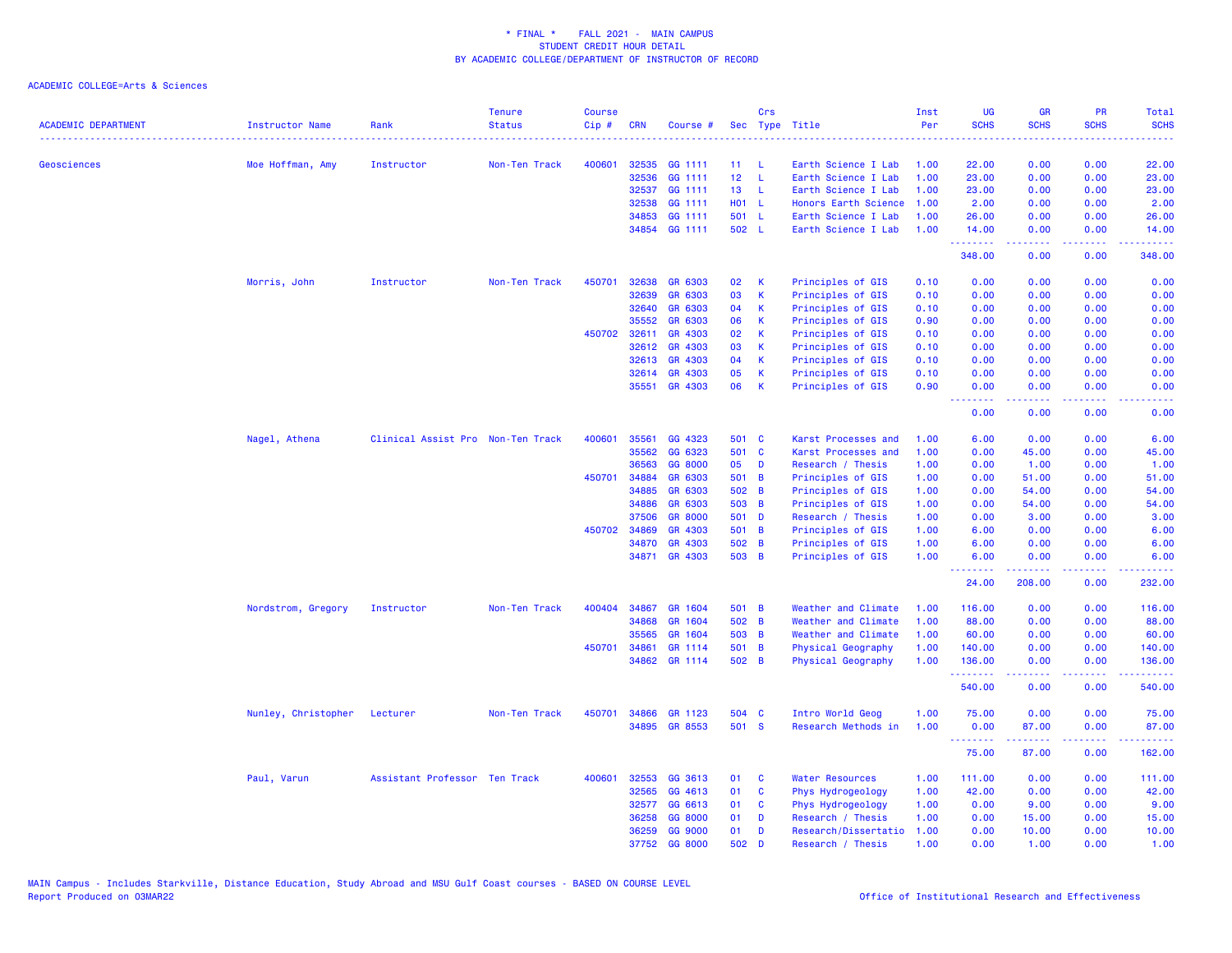| <b>ACADEMIC DEPARTMENT</b> | Instructor Name     | Rank                              | <b>Tenure</b><br><b>Status</b> | <b>Course</b><br>Cip # | <b>CRN</b> | Course #       |                 | Crs          | Sec Type Title         | Inst<br>Per | UG<br><b>SCHS</b> | GR<br><b>SCHS</b>         | PR<br><b>SCHS</b>                   | Total<br><b>SCHS</b> |
|----------------------------|---------------------|-----------------------------------|--------------------------------|------------------------|------------|----------------|-----------------|--------------|------------------------|-------------|-------------------|---------------------------|-------------------------------------|----------------------|
|                            |                     |                                   |                                |                        |            |                |                 |              |                        | .           |                   |                           |                                     |                      |
| Geosciences                | Moe Hoffman, Amy    | Instructor                        | Non-Ten Track                  | 400601                 | 32535      | GG 1111        | 11 <sub>1</sub> | - L          | Earth Science I Lab    | 1.00        | 22.00             | 0.00                      | 0.00                                | 22.00                |
|                            |                     |                                   |                                |                        | 32536      | GG 1111        | 12 <sub>2</sub> | $\mathbf{L}$ | Earth Science I Lab    | 1.00        | 23.00             | 0.00                      | 0.00                                | 23.00                |
|                            |                     |                                   |                                |                        | 32537      | GG 1111        | 13 <sup>°</sup> | - L          | Earth Science I Lab    | 1.00        | 23.00             | 0.00                      | 0.00                                | 23.00                |
|                            |                     |                                   |                                |                        | 32538      | GG 1111        | H01 L           |              | Honors Earth Science   | 1.00        | 2.00              | 0.00                      | 0.00                                | 2.00                 |
|                            |                     |                                   |                                |                        | 34853      | GG 1111        | 501 L           |              | Earth Science I Lab    | 1.00        | 26.00             | 0.00                      | 0.00                                | 26.00                |
|                            |                     |                                   |                                |                        | 34854      | GG 1111        | 502 L           |              | Earth Science I Lab    | 1.00        | 14.00<br>.        | 0.00<br>.                 | 0.00<br>بالمحامي                    | 14.00<br>الداعات بال |
|                            |                     |                                   |                                |                        |            |                |                 |              |                        |             | 348.00            | 0.00                      | 0.00                                | 348.00               |
|                            | Morris, John        | Instructor                        | Non-Ten Track                  | 450701                 | 32638      | GR 6303        | 02              | -K           | Principles of GIS      | 0.10        | 0.00              | 0.00                      | 0.00                                | 0.00                 |
|                            |                     |                                   |                                |                        | 32639      | GR 6303        | 03              | K            | Principles of GIS      | 0.10        | 0.00              | 0.00                      | 0.00                                | 0.00                 |
|                            |                     |                                   |                                |                        | 32640      | GR 6303        | 04              | К            | Principles of GIS      | 0.10        | 0.00              | 0.00                      | 0.00                                | 0.00                 |
|                            |                     |                                   |                                |                        | 35552      | GR 6303        | 06              | К            | Principles of GIS      | 0.90        | 0.00              | 0.00                      | 0.00                                | 0.00                 |
|                            |                     |                                   |                                | 450702                 | 32611      | GR 4303        | 02              | K            | Principles of GIS      | 0.10        | 0.00              | 0.00                      | 0.00                                | 0.00                 |
|                            |                     |                                   |                                |                        | 32612      | GR 4303        | 03              | -K           | Principles of GIS      | 0.10        | 0.00              | 0.00                      | 0.00                                | 0.00                 |
|                            |                     |                                   |                                |                        | 32613      | GR 4303        | 04              | К            | Principles of GIS      | 0.10        | 0.00              | 0.00                      | 0.00                                | 0.00                 |
|                            |                     |                                   |                                |                        | 32614      | GR 4303        | 05              | K            | Principles of GIS      | 0.10        | 0.00              | 0.00                      | 0.00                                | 0.00                 |
|                            |                     |                                   |                                |                        | 35551      | GR 4303        | 06              | $\mathsf{K}$ | Principles of GIS      | 0.90        | 0.00              | 0.00                      | 0.00                                | 0.00                 |
|                            |                     |                                   |                                |                        |            |                |                 |              |                        |             | .<br>0.00         | .<br>0.00                 | د د د د<br>0.00                     | .<br>0.00            |
|                            | Nagel, Athena       | Clinical Assist Pro Non-Ten Track |                                | 400601                 | 35561      | GG 4323        | 501 C           |              | Karst Processes and    | 1.00        | 6.00              | 0.00                      | 0.00                                | 6.00                 |
|                            |                     |                                   |                                |                        | 35562      | GG 6323        | 501 C           |              | Karst Processes and    | 1.00        | 0.00              | 45.00                     | 0.00                                | 45.00                |
|                            |                     |                                   |                                |                        | 36563      | GG 8000        | 05              | <b>D</b>     | Research / Thesis      | 1.00        | 0.00              | 1.00                      | 0.00                                | 1.00                 |
|                            |                     |                                   |                                | 450701                 | 34884      | GR 6303        | 501 B           |              | Principles of GIS      | 1.00        | 0.00              | 51.00                     | 0.00                                | 51.00                |
|                            |                     |                                   |                                |                        | 34885      | GR 6303        | 502 B           |              | Principles of GIS      | 1.00        | 0.00              | 54.00                     | 0.00                                | 54.00                |
|                            |                     |                                   |                                |                        | 34886      | GR 6303        | 503 B           |              | Principles of GIS      | 1.00        | 0.00              | 54.00                     | 0.00                                | 54.00                |
|                            |                     |                                   |                                |                        | 37506      | <b>GR 8000</b> | 501 D           |              | Research / Thesis      | 1.00        | 0.00              | 3.00                      | 0.00                                | 3.00                 |
|                            |                     |                                   |                                | 450702                 | 34869      | GR 4303        | 501 B           |              | Principles of GIS      | 1.00        | 6.00              | 0.00                      | 0.00                                | 6.00                 |
|                            |                     |                                   |                                |                        | 34870      | GR 4303        | 502 B           |              | Principles of GIS      | 1.00        | 6.00              | 0.00                      | 0.00                                | 6.00                 |
|                            |                     |                                   |                                |                        | 34871      | GR 4303        | 503 B           |              | Principles of GIS      | 1.00        | 6.00              | 0.00                      | 0.00                                | 6.00                 |
|                            |                     |                                   |                                |                        |            |                |                 |              |                        |             | <u>.</u><br>24.00 | المتمام المتمار<br>208.00 | د د د د<br>0.00                     | .<br>232.00          |
|                            | Nordstrom, Gregory  | Instructor                        | Non-Ten Track                  | 400404                 | 34867      | GR 1604        | 501 B           |              | Weather and Climate    | 1.00        | 116.00            | 0.00                      | 0.00                                | 116.00               |
|                            |                     |                                   |                                |                        | 34868      | GR 1604        | 502 B           |              | Weather and Climate    | 1.00        | 88.00             | 0.00                      | 0.00                                | 88.00                |
|                            |                     |                                   |                                |                        | 35565      | GR 1604        | 503 B           |              | Weather and Climate    | 1.00        | 60.00             | 0.00                      | 0.00                                | 60.00                |
|                            |                     |                                   |                                | 450701                 | 34861      | GR 1114        | 501 B           |              | Physical Geography     | 1.00        | 140.00            | 0.00                      | 0.00                                | 140.00               |
|                            |                     |                                   |                                |                        | 34862      | GR 1114        | 502 B           |              | Physical Geography     | 1.00        | 136.00            | 0.00                      | 0.00                                | 136.00               |
|                            |                     |                                   |                                |                        |            |                |                 |              |                        |             | .<br>540.00       | 0.00                      | $\sim$ $\sim$ $\sim$ $\sim$<br>0.00 | .<br>540.00          |
|                            | Nunley, Christopher | Lecturer                          | Non-Ten Track                  | 450701                 | 34866      | GR 1123        | 504 C           |              | Intro World Geog       | 1.00        | 75.00             | 0.00                      | 0.00                                | 75.00                |
|                            |                     |                                   |                                |                        |            | 34895 GR 8553  | 501 S           |              | Research Methods in    | 1.00        | 0.00<br>.         | 87.00<br>.                | 0.00<br>.                           | 87.00<br>22222       |
|                            |                     |                                   |                                |                        |            |                |                 |              |                        |             | 75.00             | 87.00                     | 0.00                                | 162.00               |
|                            | Paul, Varun         | Assistant Professor Ten Track     |                                | 400601                 | 32553      | GG 3613        | 01              | <b>C</b>     | <b>Water Resources</b> | 1.00        | 111.00            | 0.00                      | 0.00                                | 111.00               |
|                            |                     |                                   |                                |                        | 32565      | GG 4613        | 01              | $\mathbf{C}$ | Phys Hydrogeology      | 1.00        | 42.00             | 0.00                      | 0.00                                | 42.00                |
|                            |                     |                                   |                                |                        | 32577      | GG 6613        | 01              | $\mathbf{C}$ | Phys Hydrogeology      | 1.00        | 0.00              | 9.00                      | 0.00                                | 9.00                 |
|                            |                     |                                   |                                |                        | 36258      | GG 8000        | 01              | D            | Research / Thesis      | 1.00        | 0.00              | 15.00                     | 0.00                                | 15.00                |
|                            |                     |                                   |                                |                        | 36259      | GG 9000        | 01              | D            | Research/Dissertatio   | 1.00        | 0.00              | 10.00                     | 0.00                                | 10.00                |
|                            |                     |                                   |                                |                        |            | 37752 GG 8000  | 502             | D            | Research / Thesis      | 1.00        | 0.00              | 1.00                      | 0.00                                | 1.00                 |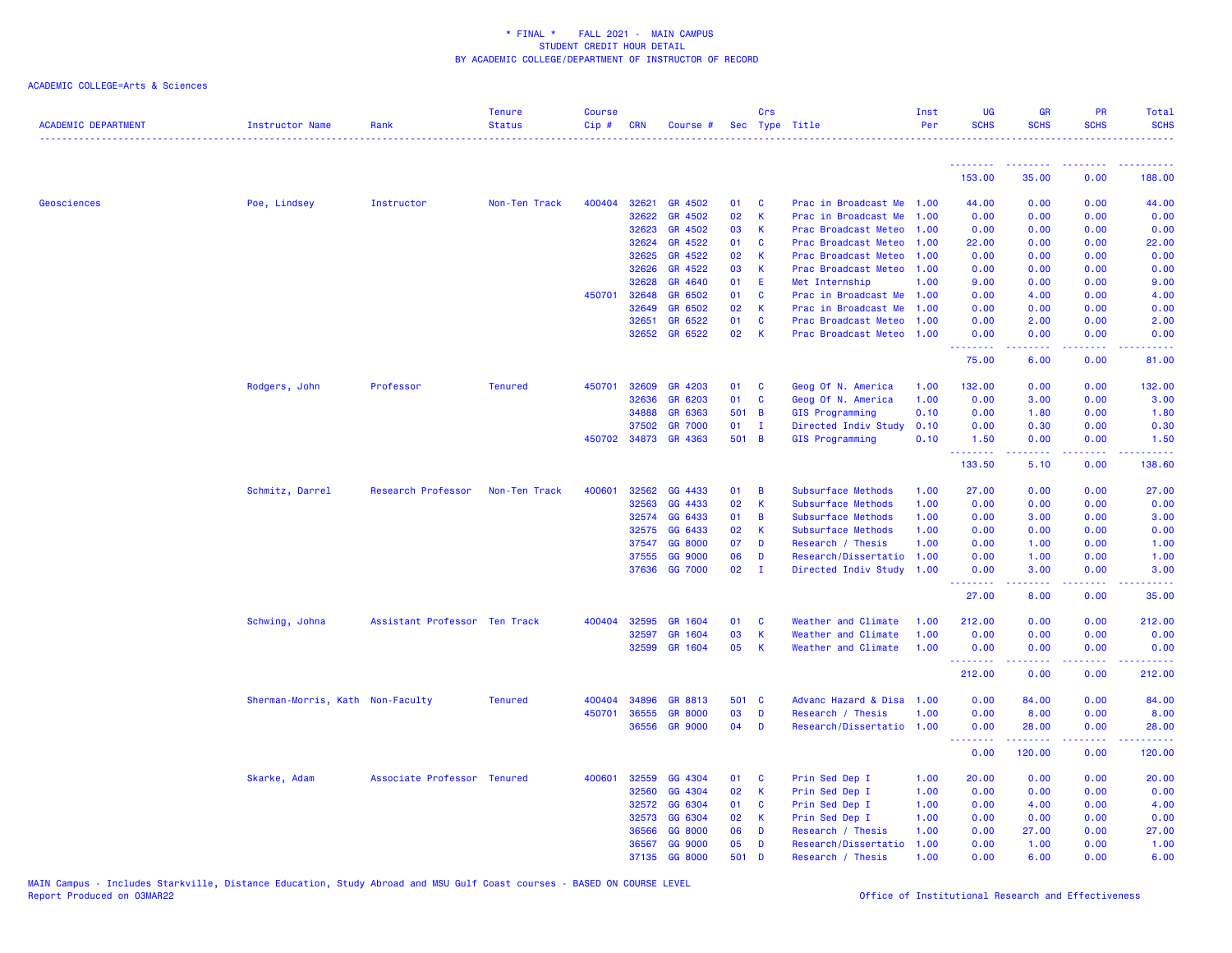| ACADEMIC DEPARTMENT | <b>Instructor Name</b>           | Rank                          | <b>Tenure</b><br><b>Status</b> | <b>Course</b><br>Cip# | CRN          | Course #             |       | Crs          | Sec Type Title            | Inst<br>Per | <b>UG</b><br><b>SCHS</b> | <b>GR</b><br><b>SCHS</b>                                                                                                                                     | <b>PR</b><br><b>SCHS</b> | Total<br><b>SCHS</b>                                                                                                              |
|---------------------|----------------------------------|-------------------------------|--------------------------------|-----------------------|--------------|----------------------|-------|--------------|---------------------------|-------------|--------------------------|--------------------------------------------------------------------------------------------------------------------------------------------------------------|--------------------------|-----------------------------------------------------------------------------------------------------------------------------------|
|                     |                                  |                               |                                |                       |              |                      |       |              |                           |             | <u>.</u>                 | <b><i><u><u><b>a</b></u></u> a a a a a a a</i></b>                                                                                                           | .                        |                                                                                                                                   |
|                     |                                  |                               |                                |                       |              |                      |       |              |                           |             | 153.00                   | 35.00                                                                                                                                                        | 0.00                     | 188.00                                                                                                                            |
| Geosciences         | Poe, Lindsey                     | Instructor                    | Non-Ten Track                  | 400404                | 32621        | GR 4502              | 01    | <b>C</b>     | Prac in Broadcast Me      | 1.00        | 44.00                    | 0.00                                                                                                                                                         | 0.00                     | 44.00                                                                                                                             |
|                     |                                  |                               |                                |                       | 32622        | GR 4502              | 02    | $\mathsf K$  | Prac in Broadcast Me      | 1.00        | 0.00                     | 0.00                                                                                                                                                         | 0.00                     | 0.00                                                                                                                              |
|                     |                                  |                               |                                |                       | 32623        | GR 4502              | 03    | K            | Prac Broadcast Meteo      | 1.00        | 0.00                     | 0.00                                                                                                                                                         | 0.00                     | 0.00                                                                                                                              |
|                     |                                  |                               |                                |                       | 32624        | GR 4522              | 01    | C            | Prac Broadcast Meteo      | 1.00        | 22.00                    | 0.00                                                                                                                                                         | 0.00                     | 22.00                                                                                                                             |
|                     |                                  |                               |                                |                       | 32625        | GR 4522              | 02    | К            | Prac Broadcast Meteo      | 1.00        | 0.00                     | 0.00                                                                                                                                                         | 0.00                     | 0.00                                                                                                                              |
|                     |                                  |                               |                                |                       | 32626        | GR 4522              | 03    | К            | Prac Broadcast Meteo      | 1.00        | 0.00                     | 0.00                                                                                                                                                         | 0.00                     | 0.00                                                                                                                              |
|                     |                                  |                               |                                |                       | 32628        | GR 4640              | 01    | -E           | Met Internship            | 1.00        | 9.00                     | 0.00                                                                                                                                                         | 0.00                     | 9.00                                                                                                                              |
|                     |                                  |                               |                                | 450701                | 32648        | GR 6502              | 01    | C            | Prac in Broadcast Me      | 1.00        | 0.00                     | 4.00                                                                                                                                                         | 0.00                     | 4.00                                                                                                                              |
|                     |                                  |                               |                                |                       | 32649        | GR 6502              | 02    | K            | Prac in Broadcast Me      | 1.00        | 0.00                     | 0.00                                                                                                                                                         | 0.00                     | 0.00                                                                                                                              |
|                     |                                  |                               |                                |                       | 32651        | GR 6522              | 01    | $\mathbf{C}$ | Prac Broadcast Meteo      | 1.00        | 0.00                     | 2.00                                                                                                                                                         | 0.00                     | 2.00                                                                                                                              |
|                     |                                  |                               |                                |                       |              | 32652 GR 6522        | 02    | K            | Prac Broadcast Meteo      | 1.00        | 0.00<br>.                | 0.00<br>.                                                                                                                                                    | 0.00<br>.                | 0.00<br>.                                                                                                                         |
|                     |                                  |                               |                                |                       |              |                      |       |              |                           |             | 75.00                    | 6.00                                                                                                                                                         | 0.00                     | 81.00                                                                                                                             |
|                     | Rodgers, John                    | Professor                     | <b>Tenured</b>                 | 450701                | 32609        | GR 4203              | 01    | <b>C</b>     | Geog Of N. America        | 1.00        | 132.00                   | 0.00                                                                                                                                                         | 0.00                     | 132.00                                                                                                                            |
|                     |                                  |                               |                                |                       | 32636        | GR 6203              | 01    | C            | Geog Of N. America        | 1.00        | 0.00                     | 3.00                                                                                                                                                         | 0.00                     | 3.00                                                                                                                              |
|                     |                                  |                               |                                |                       | 34888        | GR 6363              | 501 B |              | GIS Programming           | 0.10        | 0.00                     | 1.80                                                                                                                                                         | 0.00                     | 1.80                                                                                                                              |
|                     |                                  |                               |                                |                       | 37502        | <b>GR 7000</b>       | 01    | $\mathbf{I}$ | Directed Indiv Study      | 0.10        | 0.00                     | 0.30                                                                                                                                                         | 0.00                     | 0.30                                                                                                                              |
|                     |                                  |                               |                                |                       |              | 450702 34873 GR 4363 | 501 B |              | GIS Programming           | 0.10        | 1.50                     | 0.00                                                                                                                                                         | 0.00                     | 1.50                                                                                                                              |
|                     |                                  |                               |                                |                       |              |                      |       |              |                           |             | .<br>133.50              | $\frac{1}{2} \left( \frac{1}{2} \right) \left( \frac{1}{2} \right) \left( \frac{1}{2} \right) \left( \frac{1}{2} \right) \left( \frac{1}{2} \right)$<br>5.10 | .<br>0.00                | وعاعاته عامل<br>138.60                                                                                                            |
|                     | Schmitz, Darrel                  | Research Professor            | Non-Ten Track                  | 400601                | 32562        | GG 4433              | 01    | B            | Subsurface Methods        | 1.00        | 27.00                    | 0.00                                                                                                                                                         | 0.00                     | 27.00                                                                                                                             |
|                     |                                  |                               |                                |                       | 32563        | GG 4433              | 02    | K            | Subsurface Methods        | 1.00        | 0.00                     | 0.00                                                                                                                                                         | 0.00                     | 0.00                                                                                                                              |
|                     |                                  |                               |                                |                       | 32574        | GG 6433              | 01    | B            | Subsurface Methods        | 1.00        | 0.00                     | 3.00                                                                                                                                                         | 0.00                     | 3.00                                                                                                                              |
|                     |                                  |                               |                                |                       | 32575        | GG 6433              | 02    | К            | Subsurface Methods        | 1.00        | 0.00                     | 0.00                                                                                                                                                         | 0.00                     | 0.00                                                                                                                              |
|                     |                                  |                               |                                |                       | 37547        | GG 8000              | 07    | D            | Research / Thesis         | 1.00        | 0.00                     | 1.00                                                                                                                                                         | 0.00                     | 1.00                                                                                                                              |
|                     |                                  |                               |                                |                       | 37555        | GG 9000              | 06    | D            | Research/Dissertatio      | 1.00        | 0.00                     | 1.00                                                                                                                                                         | 0.00                     | 1.00                                                                                                                              |
|                     |                                  |                               |                                |                       |              | 37636 GG 7000        | 02    | $\mathbf{I}$ | Directed Indiv Study      | 1.00        | 0.00<br>.                | 3.00<br>.                                                                                                                                                    | 0.00                     | 3.00<br>$\frac{1}{2} \left( \frac{1}{2} \right) \left( \frac{1}{2} \right) \left( \frac{1}{2} \right) \left( \frac{1}{2} \right)$ |
|                     |                                  |                               |                                |                       |              |                      |       |              |                           |             | 27.00                    | 8.00                                                                                                                                                         | 0.00                     | 35.00                                                                                                                             |
|                     | Schwing, Johna                   | Assistant Professor Ten Track |                                |                       | 400404 32595 | GR 1604              | 01    | C            | Weather and Climate       | 1.00        | 212.00                   | 0.00                                                                                                                                                         | 0.00                     | 212.00                                                                                                                            |
|                     |                                  |                               |                                |                       | 32597        | GR 1604              | 03    | $\mathsf K$  | Weather and Climate       | 1.00        | 0.00                     | 0.00                                                                                                                                                         | 0.00                     | 0.00                                                                                                                              |
|                     |                                  |                               |                                |                       | 32599        | GR 1604              | 05    | K            | Weather and Climate       | 1.00        | 0.00                     | 0.00                                                                                                                                                         | 0.00                     | 0.00                                                                                                                              |
|                     |                                  |                               |                                |                       |              |                      |       |              |                           |             | .<br>212.00              | 0.00                                                                                                                                                         | 0.00                     | 212.00                                                                                                                            |
|                     | Sherman-Morris, Kath Non-Faculty |                               | <b>Tenured</b>                 | 400404                | 34896        | GR 8813              | 501 C |              | Advanc Hazard & Disa 1.00 |             | 0.00                     | 84.00                                                                                                                                                        | 0.00                     | 84.00                                                                                                                             |
|                     |                                  |                               |                                | 450701                | 36555        | <b>GR 8000</b>       | 03    | D            | Research / Thesis         | 1.00        | 0.00                     | 8.00                                                                                                                                                         | 0.00                     | 8.00                                                                                                                              |
|                     |                                  |                               |                                |                       | 36556        | <b>GR 9000</b>       | 04    | D            | Research/Dissertatio 1.00 |             | 0.00                     | 28.00                                                                                                                                                        | 0.00                     | 28.00                                                                                                                             |
|                     |                                  |                               |                                |                       |              |                      |       |              |                           |             | <u>.</u><br>0.00         | المستمال<br>120.00                                                                                                                                           | .<br>0.00                | المستمل<br>120.00                                                                                                                 |
|                     | Skarke, Adam                     | Associate Professor Tenured   |                                | 400601                | 32559        | GG 4304              | 01    | <b>C</b>     | Prin Sed Dep I            | 1.00        | 20.00                    | 0.00                                                                                                                                                         | 0.00                     | 20.00                                                                                                                             |
|                     |                                  |                               |                                |                       | 32560        | GG 4304              | 02    | К            | Prin Sed Dep I            | 1.00        | 0.00                     | 0.00                                                                                                                                                         | 0.00                     | 0.00                                                                                                                              |
|                     |                                  |                               |                                |                       | 32572        | GG 6304              | 01    | C            | Prin Sed Dep I            | 1.00        | 0.00                     | 4.00                                                                                                                                                         | 0.00                     | 4.00                                                                                                                              |
|                     |                                  |                               |                                |                       | 32573        | GG 6304              | 02    | K            | Prin Sed Dep I            | 1.00        | 0.00                     | 0.00                                                                                                                                                         | 0.00                     | 0.00                                                                                                                              |
|                     |                                  |                               |                                |                       | 36566        | GG 8000              | 06    | D            | Research / Thesis         | 1.00        | 0.00                     | 27.00                                                                                                                                                        | 0.00                     | 27.00                                                                                                                             |
|                     |                                  |                               |                                |                       |              | 36567 GG 9000        | 05    | D            | Research/Dissertatio      | 1.00        | 0.00                     | 1.00                                                                                                                                                         | 0.00                     | 1.00                                                                                                                              |
|                     |                                  |                               |                                |                       |              | 37135 GG 8000        | 501   | D            | Research / Thesis         | 1.00        | 0.00                     | 6.00                                                                                                                                                         | 0.00                     | 6.00                                                                                                                              |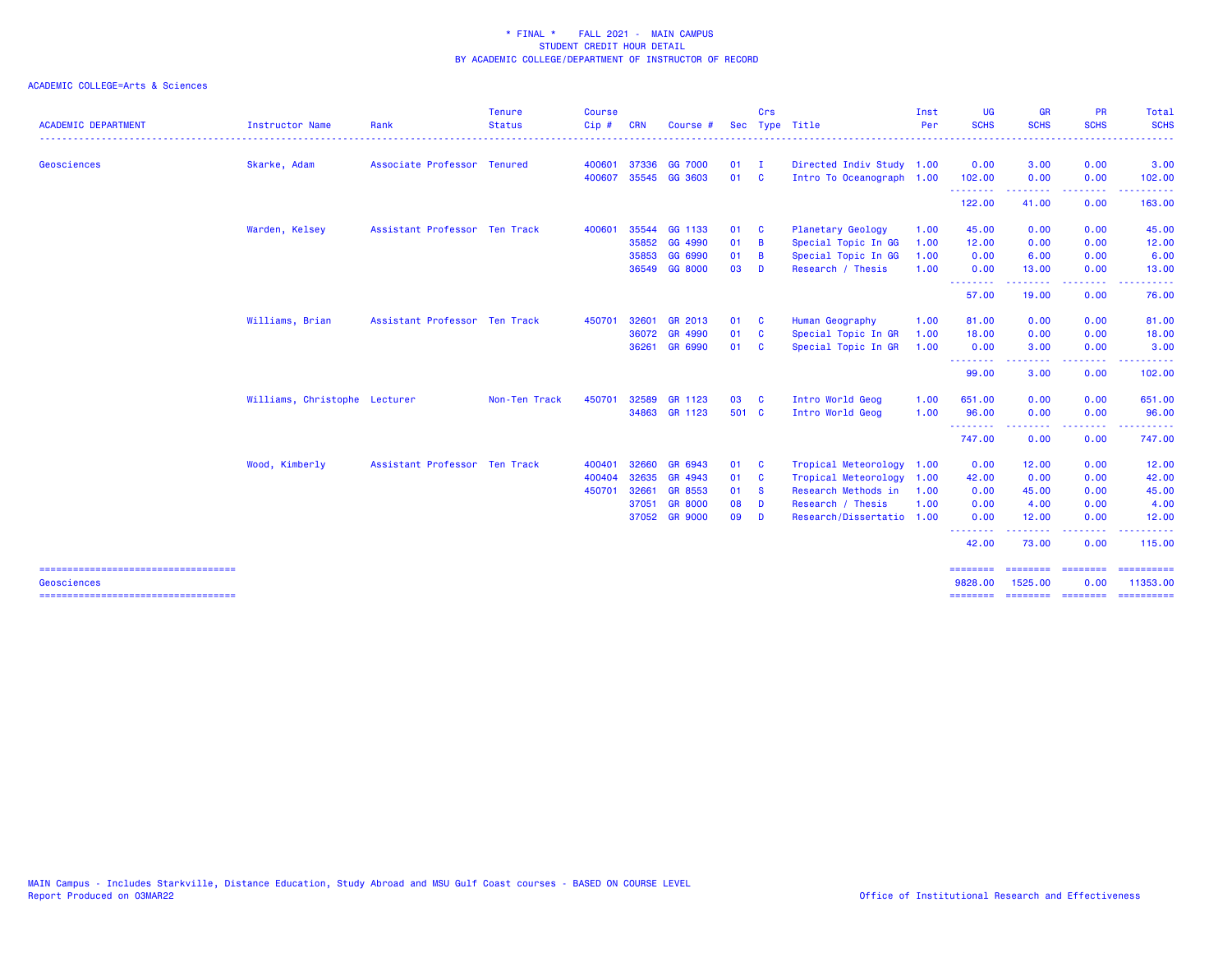| <b>ACADEMIC DEPARTMENT</b>                            | Instructor Name               | Rank                          | <b>Tenure</b><br><b>Status</b> | <b>Course</b><br>Cip# | <b>CRN</b> | Course #       |        | Crs                     | Sec Type Title            | Inst<br>Per | <b>UG</b><br><b>SCHS</b> | <b>GR</b><br><b>SCHS</b>   | <b>PR</b><br><b>SCHS</b>                                                                                                          | Total<br><b>SCHS</b>                                                                                                                                                                                                                                                                                                                                                                                                                                                                   |
|-------------------------------------------------------|-------------------------------|-------------------------------|--------------------------------|-----------------------|------------|----------------|--------|-------------------------|---------------------------|-------------|--------------------------|----------------------------|-----------------------------------------------------------------------------------------------------------------------------------|----------------------------------------------------------------------------------------------------------------------------------------------------------------------------------------------------------------------------------------------------------------------------------------------------------------------------------------------------------------------------------------------------------------------------------------------------------------------------------------|
| <b>Geosciences</b>                                    | Skarke, Adam                  | Associate Professor Tenured   |                                | 400601                | 37336      | <b>GG 7000</b> | $01$ I |                         | Directed Indiv Study 1.00 |             | 0.00                     | 3.00                       | 0.00                                                                                                                              | 3.00                                                                                                                                                                                                                                                                                                                                                                                                                                                                                   |
|                                                       |                               |                               |                                | 400607                |            | 35545 GG 3603  | 01 C   |                         | Intro To Oceanograph 1.00 |             | 102.00<br>.              | 0.00<br>. <u>.</u>         | 0.00<br>.                                                                                                                         | 102.00<br>.                                                                                                                                                                                                                                                                                                                                                                                                                                                                            |
|                                                       |                               |                               |                                |                       |            |                |        |                         |                           |             | 122.00                   | 41.00                      | 0.00                                                                                                                              | 163.00                                                                                                                                                                                                                                                                                                                                                                                                                                                                                 |
|                                                       | Warden, Kelsey                | Assistant Professor Ten Track |                                | 400601                |            | 35544 GG 1133  | 01     | $\mathbf{C}$            | Planetary Geology         | 1.00        | 45.00                    | 0.00                       | 0.00                                                                                                                              | 45.00                                                                                                                                                                                                                                                                                                                                                                                                                                                                                  |
|                                                       |                               |                               |                                |                       | 35852      | GG 4990        | 01     | - B                     | Special Topic In GG       | 1.00        | 12.00                    | 0.00                       | 0.00                                                                                                                              | 12.00                                                                                                                                                                                                                                                                                                                                                                                                                                                                                  |
|                                                       |                               |                               |                                |                       | 35853      | GG 6990        | 01     | <b>B</b>                | Special Topic In GG       | 1.00        | 0.00                     | 6.00                       | 0.00                                                                                                                              | 6.00                                                                                                                                                                                                                                                                                                                                                                                                                                                                                   |
|                                                       |                               |                               |                                |                       |            | 36549 GG 8000  | 03     | D                       | Research / Thesis         | 1.00        | 0.00<br>--------         | 13.00<br>.                 | 0.00<br>د د د د                                                                                                                   | 13.00<br>$\frac{1}{2}$                                                                                                                                                                                                                                                                                                                                                                                                                                                                 |
|                                                       |                               |                               |                                |                       |            |                |        |                         |                           |             | 57.00                    | 19.00                      | 0.00                                                                                                                              | 76.00                                                                                                                                                                                                                                                                                                                                                                                                                                                                                  |
|                                                       | Williams, Brian               | Assistant Professor Ten Track |                                | 450701                | 32601      | GR 2013        | 01     | <b>C</b>                | Human Geography           | 1.00        | 81.00                    | 0.00                       | 0.00                                                                                                                              | 81.00                                                                                                                                                                                                                                                                                                                                                                                                                                                                                  |
|                                                       |                               |                               |                                |                       |            | 36072 GR 4990  | 01     | $\overline{\mathbf{c}}$ | Special Topic In GR       | 1.00        | 18.00                    | 0.00                       | 0.00                                                                                                                              | 18.00                                                                                                                                                                                                                                                                                                                                                                                                                                                                                  |
|                                                       |                               |                               |                                |                       |            | 36261 GR 6990  | 01 C   |                         | Special Topic In GR       | 1.00        | 0.00                     | 3.00                       | 0.00                                                                                                                              | 3.00                                                                                                                                                                                                                                                                                                                                                                                                                                                                                   |
|                                                       |                               |                               |                                |                       |            |                |        |                         |                           |             | .<br>99.00               | 3.00                       | . <u>.</u> .<br>0.00                                                                                                              | 102.00                                                                                                                                                                                                                                                                                                                                                                                                                                                                                 |
|                                                       | Williams, Christophe Lecturer |                               | Non-Ten Track                  | 450701                | 32589      | GR 1123        | 03     | <b>C</b>                | Intro World Geog          | 1.00        | 651.00                   | 0.00                       | 0.00                                                                                                                              | 651.00                                                                                                                                                                                                                                                                                                                                                                                                                                                                                 |
|                                                       |                               |                               |                                |                       |            | 34863 GR 1123  | 501 C  |                         | Intro World Geog          | 1.00        | 96.00                    | 0.00                       | 0.00                                                                                                                              | 96.00                                                                                                                                                                                                                                                                                                                                                                                                                                                                                  |
|                                                       |                               |                               |                                |                       |            |                |        |                         |                           |             | .<br>747.00              | 0.00                       | $\frac{1}{2} \left( \frac{1}{2} \right) \left( \frac{1}{2} \right) \left( \frac{1}{2} \right) \left( \frac{1}{2} \right)$<br>0.00 | 747.00                                                                                                                                                                                                                                                                                                                                                                                                                                                                                 |
|                                                       | Wood, Kimberly                | Assistant Professor Ten Track |                                | 400401                | 32660      | GR 6943        | 01     | $\mathbf{C}$            | Tropical Meteorology 1.00 |             | 0.00                     | 12.00                      | 0.00                                                                                                                              | 12.00                                                                                                                                                                                                                                                                                                                                                                                                                                                                                  |
|                                                       |                               |                               |                                | 400404                | 32635      | GR 4943        | 01 C   |                         | Tropical Meteorology      | 1.00        | 42.00                    | 0.00                       | 0.00                                                                                                                              | 42.00                                                                                                                                                                                                                                                                                                                                                                                                                                                                                  |
|                                                       |                               |                               |                                | 450701                | 32661      | GR 8553        | 01 S   |                         | Research Methods in       | 1.00        | 0.00                     | 45.00                      | 0.00                                                                                                                              | 45.00                                                                                                                                                                                                                                                                                                                                                                                                                                                                                  |
|                                                       |                               |                               |                                |                       | 37051      | <b>GR 8000</b> | 08     | <b>D</b>                | Research / Thesis         | 1.00        | 0.00                     | 4.00                       | 0.00                                                                                                                              | 4.00                                                                                                                                                                                                                                                                                                                                                                                                                                                                                   |
|                                                       |                               |                               |                                |                       |            | 37052 GR 9000  | 09     | <b>D</b>                | Research/Dissertatio 1.00 |             | 0.00                     | 12.00                      | 0.00                                                                                                                              | 12.00                                                                                                                                                                                                                                                                                                                                                                                                                                                                                  |
|                                                       |                               |                               |                                |                       |            |                |        |                         |                           |             | .<br>42.00               | .<br>73.00                 | <b><i><u><u> - - - -</u></u></i></b><br>0.00                                                                                      | .<br>115.00                                                                                                                                                                                                                                                                                                                                                                                                                                                                            |
| ======================================<br>Geosciences |                               |                               |                                |                       |            |                |        |                         |                           |             | ========<br>9828.00      | <b>SESSESSE</b><br>1525.00 | ========<br>0.00                                                                                                                  | 11353.00                                                                                                                                                                                                                                                                                                                                                                                                                                                                               |
| =====================================                 |                               |                               |                                |                       |            |                |        |                         |                           |             |                          |                            |                                                                                                                                   | $\begin{array}{cccccccccc} \multicolumn{2}{c}{} & \multicolumn{2}{c}{} & \multicolumn{2}{c}{} & \multicolumn{2}{c}{} & \multicolumn{2}{c}{} & \multicolumn{2}{c}{} & \multicolumn{2}{c}{} & \multicolumn{2}{c}{} & \multicolumn{2}{c}{} & \multicolumn{2}{c}{} & \multicolumn{2}{c}{} & \multicolumn{2}{c}{} & \multicolumn{2}{c}{} & \multicolumn{2}{c}{} & \multicolumn{2}{c}{} & \multicolumn{2}{c}{} & \multicolumn{2}{c}{} & \multicolumn{2}{c}{} & \multicolumn{2}{c}{} & \mult$ |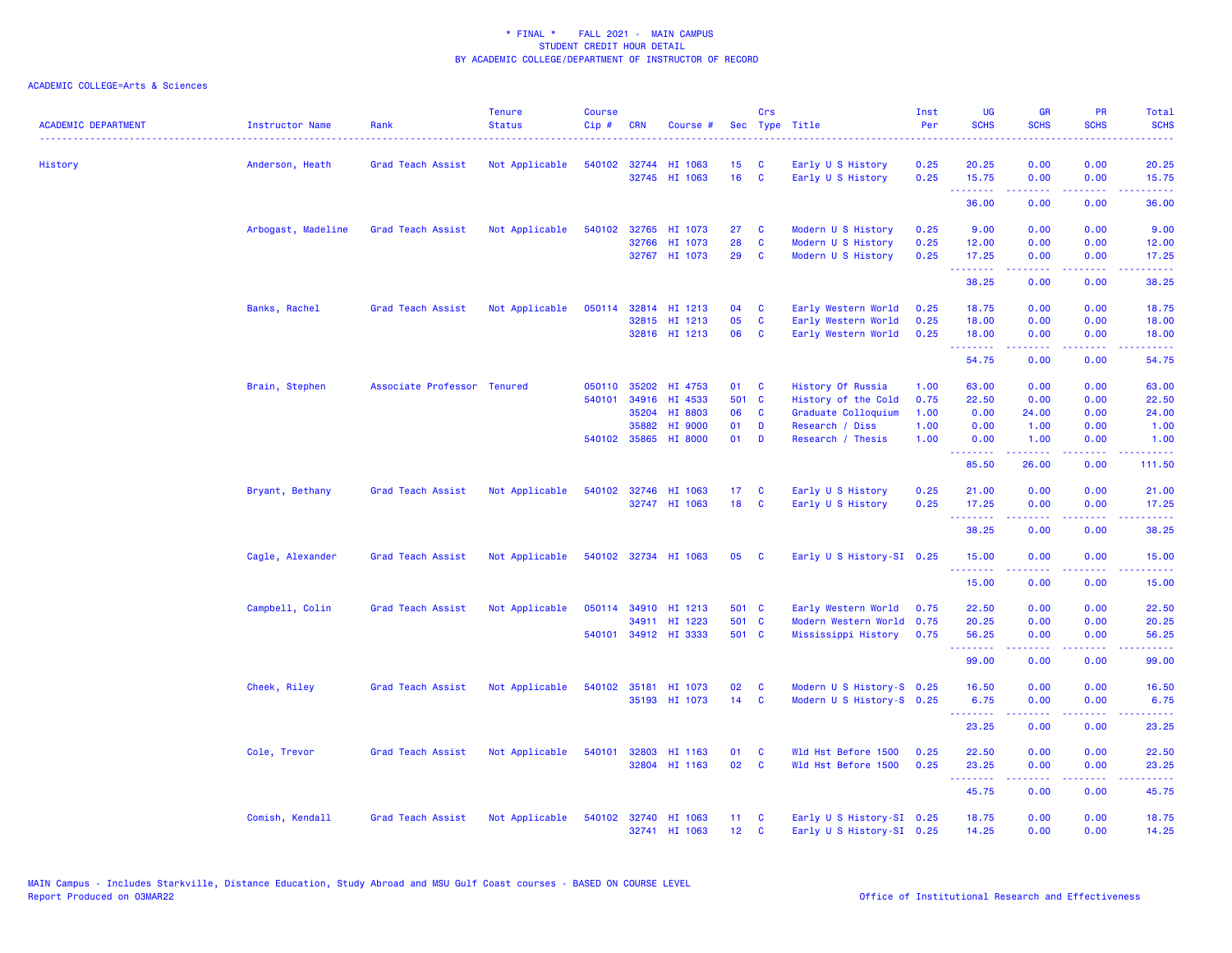| <b>ACADEMIC DEPARTMENT</b> | <b>Instructor Name</b> | Rank                        | <b>Tenure</b><br><b>Status</b> | <b>Course</b><br>Cip# | <b>CRN</b>   | Course #             |                 | Crs                     | Sec Type Title            | Inst<br>Per | <b>UG</b><br><b>SCHS</b> | <b>GR</b><br><b>SCHS</b>                                                                                                                                     | <b>PR</b><br><b>SCHS</b>            | Total<br><b>SCHS</b>                                                                                                                                          |
|----------------------------|------------------------|-----------------------------|--------------------------------|-----------------------|--------------|----------------------|-----------------|-------------------------|---------------------------|-------------|--------------------------|--------------------------------------------------------------------------------------------------------------------------------------------------------------|-------------------------------------|---------------------------------------------------------------------------------------------------------------------------------------------------------------|
| History                    | Anderson, Heath        | Grad Teach Assist           | Not Applicable                 |                       |              | 540102 32744 HI 1063 | 15              | C                       | Early U S History         | 0.25        | 20.25                    | 0.00                                                                                                                                                         | 0.00                                | 20.25                                                                                                                                                         |
|                            |                        |                             |                                |                       |              | 32745 HI 1063        | 16              | C                       | Early U S History         | 0.25        | 15.75<br>.               | 0.00                                                                                                                                                         | 0.00<br>.                           | 15.75<br>.                                                                                                                                                    |
|                            |                        |                             |                                |                       |              |                      |                 |                         |                           |             | 36.00                    | $\frac{1}{2} \left( \frac{1}{2} \right) \left( \frac{1}{2} \right) \left( \frac{1}{2} \right) \left( \frac{1}{2} \right) \left( \frac{1}{2} \right)$<br>0.00 | 0.00                                | 36.00                                                                                                                                                         |
|                            | Arbogast, Madeline     | Grad Teach Assist           | Not Applicable                 | 540102                | 32765        | HI 1073              | 27              | C                       | Modern U S History        | 0.25        | 9.00                     | 0.00                                                                                                                                                         | 0.00                                | 9.00                                                                                                                                                          |
|                            |                        |                             |                                |                       | 32766        | HI 1073              | 28              | C                       | Modern U S History        | 0.25        | 12.00                    | 0.00                                                                                                                                                         | 0.00                                | 12.00                                                                                                                                                         |
|                            |                        |                             |                                |                       | 32767        | HI 1073              | 29              | C                       | Modern U S History        | 0.25        | 17.25<br>.               | 0.00<br>$\frac{1}{2} \left( \frac{1}{2} \right) \left( \frac{1}{2} \right) \left( \frac{1}{2} \right) \left( \frac{1}{2} \right) \left( \frac{1}{2} \right)$ | 0.00<br>.                           | 17.25<br>.                                                                                                                                                    |
|                            |                        |                             |                                |                       |              |                      |                 |                         |                           |             | 38.25                    | 0.00                                                                                                                                                         | 0.00                                | 38.25                                                                                                                                                         |
|                            | Banks, Rachel          | Grad Teach Assist           | Not Applicable                 | 050114                |              | 32814 HI 1213        | 04              | C                       | Early Western World       | 0.25        | 18.75                    | 0.00                                                                                                                                                         | 0.00                                | 18.75                                                                                                                                                         |
|                            |                        |                             |                                |                       | 32815        | HI 1213              | 05              | C                       | Early Western World       | 0.25        | 18.00                    | 0.00                                                                                                                                                         | 0.00                                | 18.00                                                                                                                                                         |
|                            |                        |                             |                                |                       |              | 32816 HI 1213        | 06              | C                       | Early Western World       | 0.25        | 18.00<br>.               | 0.00<br>المستملة                                                                                                                                             | 0.00<br>$\sim$ $\sim$ $\sim$ $\sim$ | 18.00<br>وعاويات                                                                                                                                              |
|                            |                        |                             |                                |                       |              |                      |                 |                         |                           |             | 54.75                    | 0.00                                                                                                                                                         | 0.00                                | 54.75                                                                                                                                                         |
|                            | Brain, Stephen         | Associate Professor Tenured |                                | 050110                | 35202        | HI 4753              | 01              | - C                     | History Of Russia         | 1.00        | 63.00                    | 0.00                                                                                                                                                         | 0.00                                | 63.00                                                                                                                                                         |
|                            |                        |                             |                                | 540101                | 34916        | HI 4533              | 501 C           |                         | History of the Cold       | 0.75        | 22.50                    | 0.00                                                                                                                                                         | 0.00                                | 22.50                                                                                                                                                         |
|                            |                        |                             |                                |                       | 35204        | HI 8803              | 06              | C                       | Graduate Colloquium       | 1.00        | 0.00                     | 24.00                                                                                                                                                        | 0.00                                | 24.00                                                                                                                                                         |
|                            |                        |                             |                                |                       | 35882        | HI 9000              | 01              | D                       | Research / Diss           | 1.00        | 0.00                     | 1.00                                                                                                                                                         | 0.00                                | 1.00                                                                                                                                                          |
|                            |                        |                             |                                |                       | 540102 35865 | <b>HI 8000</b>       | 01              | D                       | Research / Thesis         | 1.00        | 0.00<br>.                | 1.00<br>$\frac{1}{2} \left( \frac{1}{2} \right) \left( \frac{1}{2} \right) \left( \frac{1}{2} \right) \left( \frac{1}{2} \right) \left( \frac{1}{2} \right)$ | 0.00<br>$\sim$ $\sim$ $\sim$ $\sim$ | 1.00<br>.                                                                                                                                                     |
|                            |                        |                             |                                |                       |              |                      |                 |                         |                           |             | 85.50                    | 26.00                                                                                                                                                        | 0.00                                | 111.50                                                                                                                                                        |
|                            | Bryant, Bethany        | Grad Teach Assist           | Not Applicable                 |                       |              | 540102 32746 HI 1063 | 17 <sup>2</sup> | <b>C</b>                | Early U S History         | 0.25        | 21.00                    | 0.00                                                                                                                                                         | 0.00                                | 21.00                                                                                                                                                         |
|                            |                        |                             |                                |                       |              | 32747 HI 1063        | 18              | <b>C</b>                | Early U S History         | 0.25        | 17.25<br>.               | 0.00<br>$\frac{1}{2} \left( \frac{1}{2} \right) \left( \frac{1}{2} \right) \left( \frac{1}{2} \right) \left( \frac{1}{2} \right) \left( \frac{1}{2} \right)$ | 0.00<br>.                           | 17.25<br>.                                                                                                                                                    |
|                            |                        |                             |                                |                       |              |                      |                 |                         |                           |             | 38.25                    | 0.00                                                                                                                                                         | 0.00                                | 38.25                                                                                                                                                         |
|                            | Cagle, Alexander       | Grad Teach Assist           | Not Applicable                 |                       |              | 540102 32734 HI 1063 | 05              | <b>C</b>                | Early U S History-SI 0.25 |             | 15.00                    | 0.00                                                                                                                                                         | 0.00                                | 15.00                                                                                                                                                         |
|                            |                        |                             |                                |                       |              |                      |                 |                         |                           |             | .<br>15.00               | .<br>0.00                                                                                                                                                    | 0.00                                | د د د د د<br>15.00                                                                                                                                            |
|                            | Campbell, Colin        | Grad Teach Assist           | Not Applicable                 |                       |              | 050114 34910 HI 1213 | 501 C           |                         | Early Western World       | 0.75        | 22.50                    | 0.00                                                                                                                                                         | 0.00                                | 22.50                                                                                                                                                         |
|                            |                        |                             |                                |                       | 34911        | HI 1223              | 501 C           |                         | Modern Western World 0.75 |             | 20.25                    | 0.00                                                                                                                                                         | 0.00                                | 20.25                                                                                                                                                         |
|                            |                        |                             |                                |                       |              | 540101 34912 HI 3333 | 501 C           |                         | Mississippi History       | 0.75        | 56.25<br>.               | 0.00<br>.                                                                                                                                                    | 0.00                                | 56.25<br>$\frac{1}{2} \left( \frac{1}{2} \right) \left( \frac{1}{2} \right) \left( \frac{1}{2} \right) \left( \frac{1}{2} \right) \left( \frac{1}{2} \right)$ |
|                            |                        |                             |                                |                       |              |                      |                 |                         |                           |             | 99.00                    | 0.00                                                                                                                                                         | 0.00                                | 99.00                                                                                                                                                         |
|                            | Cheek, Riley           | Grad Teach Assist           | Not Applicable                 |                       |              | 540102 35181 HI 1073 | 02              | <b>C</b>                | Modern U S History-S 0.25 |             | 16.50                    | 0.00                                                                                                                                                         | 0.00                                | 16.50                                                                                                                                                         |
|                            |                        |                             |                                |                       |              | 35193 HI 1073        | 14              | C                       | Modern U S History-S 0.25 |             | 6.75<br>. <b>.</b> .     | 0.00                                                                                                                                                         | 0.00                                | 6.75<br>$\frac{1}{2} \left( \frac{1}{2} \right) \left( \frac{1}{2} \right) \left( \frac{1}{2} \right) \left( \frac{1}{2} \right)$                             |
|                            |                        |                             |                                |                       |              |                      |                 |                         |                           |             | 23.25                    | 0.00                                                                                                                                                         | 0.00                                | 23.25                                                                                                                                                         |
|                            | Cole, Trevor           | Grad Teach Assist           | Not Applicable                 | 540101                | 32803        | HI 1163              | 01              | <b>C</b>                | Wld Hst Before 1500       | 0.25        | 22.50                    | 0.00                                                                                                                                                         | 0.00                                | 22.50                                                                                                                                                         |
|                            |                        |                             |                                |                       |              | 32804 HI 1163        | 02              | $\overline{\mathbf{C}}$ | Wld Hst Before 1500       | 0.25        | 23.25<br>.               | 0.00<br>$\frac{1}{2} \left( \frac{1}{2} \right) \left( \frac{1}{2} \right) \left( \frac{1}{2} \right) \left( \frac{1}{2} \right) \left( \frac{1}{2} \right)$ | 0.00<br>.                           | 23.25<br>.                                                                                                                                                    |
|                            |                        |                             |                                |                       |              |                      |                 |                         |                           |             | 45.75                    | 0.00                                                                                                                                                         | 0.00                                | 45.75                                                                                                                                                         |
|                            | Comish, Kendall        | Grad Teach Assist           | Not Applicable                 |                       |              | 540102 32740 HI 1063 | 11 <sub>1</sub> | C                       | Early U S History-SI 0.25 |             | 18.75                    | 0.00                                                                                                                                                         | 0.00                                | 18.75                                                                                                                                                         |
|                            |                        |                             |                                |                       |              | 32741 HI 1063        | 12 <sub>2</sub> | <b>C</b>                | Early U S History-SI 0.25 |             | 14.25                    | 0.00                                                                                                                                                         | 0.00                                | 14.25                                                                                                                                                         |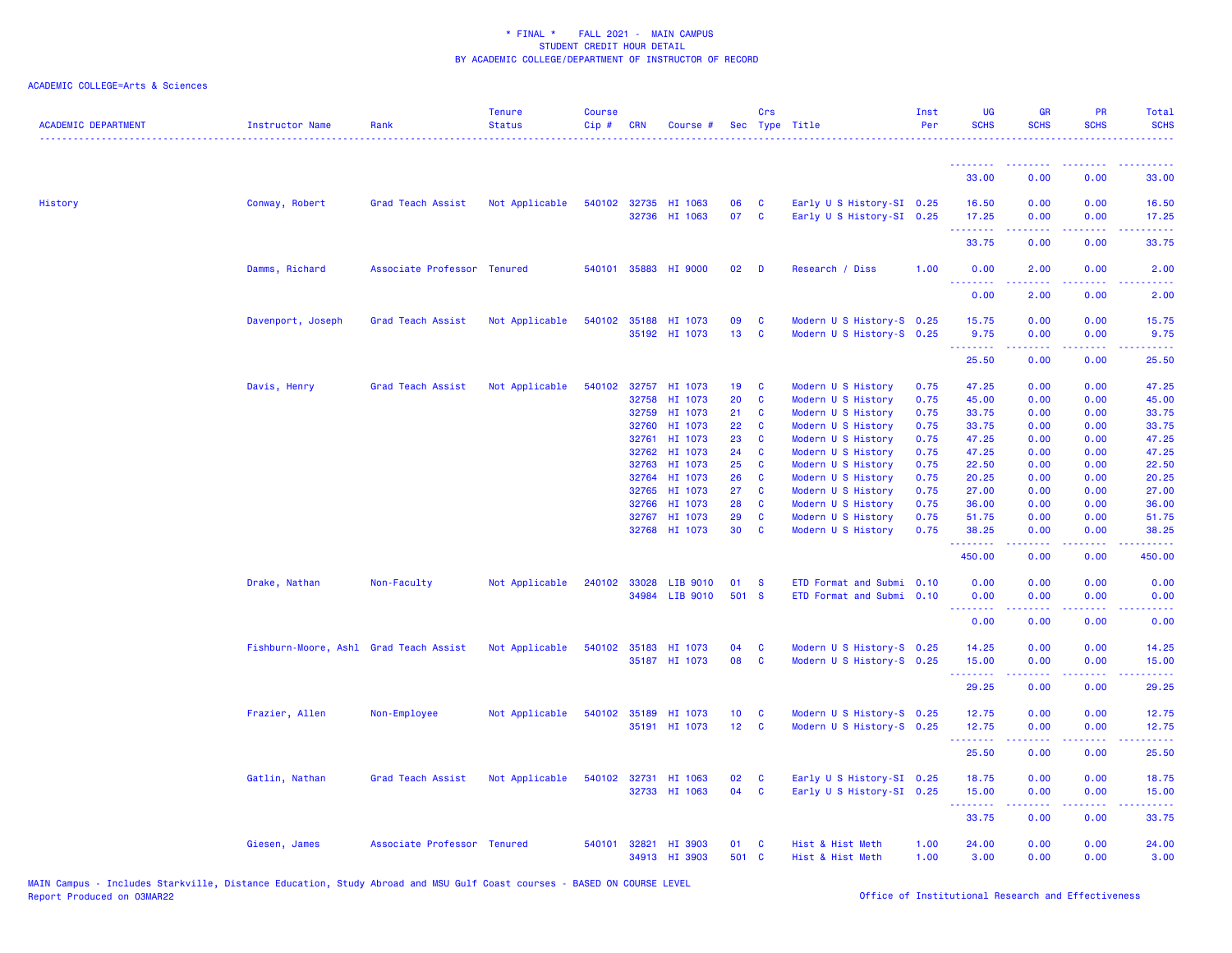| <b>ACADEMIC DEPARTMENT</b> | <b>Instructor Name</b>                 | Rank                        | <b>Tenure</b><br><b>Status</b> | <b>Course</b><br>$Cip$ # | <b>CRN</b> | Course #              |                 | Crs          | Sec Type Title            | Inst<br>Per | <b>UG</b><br><b>SCHS</b>                                    | <b>GR</b><br><b>SCHS</b>                                                                        | <b>PR</b><br><b>SCHS</b>                                                                                                                                     | Total<br><b>SCHS</b>                                                                                                              |
|----------------------------|----------------------------------------|-----------------------------|--------------------------------|--------------------------|------------|-----------------------|-----------------|--------------|---------------------------|-------------|-------------------------------------------------------------|-------------------------------------------------------------------------------------------------|--------------------------------------------------------------------------------------------------------------------------------------------------------------|-----------------------------------------------------------------------------------------------------------------------------------|
|                            |                                        |                             |                                |                          |            |                       |                 |              |                           |             | <b><i><u><u><b>A</b></u></u> A A A A A A A</i></b><br>33.00 | 0.00                                                                                            | 0.00                                                                                                                                                         | 33.00                                                                                                                             |
| History                    | Conway, Robert                         | Grad Teach Assist           | Not Applicable                 |                          |            | 540102 32735 HI 1063  | 06              | $\mathbf{C}$ | Early U S History-SI 0.25 |             | 16.50                                                       | 0.00                                                                                            | 0.00                                                                                                                                                         | 16.50                                                                                                                             |
|                            |                                        |                             |                                |                          |            | 32736 HI 1063         | 07 C            |              | Early U S History-SI 0.25 |             | 17.25                                                       | 0.00<br>$\mathbf{L}^{\prime} = \mathbf{L}^{\prime} + \mathbf{L}^{\prime} + \mathbf{L}^{\prime}$ | 0.00<br>$\frac{1}{2} \left( \frac{1}{2} \right) \left( \frac{1}{2} \right) \left( \frac{1}{2} \right) \left( \frac{1}{2} \right) \left( \frac{1}{2} \right)$ | 17.25<br><u>.</u>                                                                                                                 |
|                            |                                        |                             |                                |                          |            |                       |                 |              |                           |             | <b><i><u><u> - - - - - - -</u></u></i></b><br>33.75         | 0.00                                                                                            | 0.00                                                                                                                                                         | 33.75                                                                                                                             |
|                            | Damms, Richard                         | Associate Professor Tenured |                                |                          |            | 540101 35883 HI 9000  | 02              | <b>D</b>     | Research / Diss           | 1.00        | 0.00                                                        | 2.00                                                                                            | 0.00                                                                                                                                                         | 2.00                                                                                                                              |
|                            |                                        |                             |                                |                          |            |                       |                 |              |                           |             | <u>.</u><br>0.00                                            | .<br>2.00                                                                                       | .<br>0.00                                                                                                                                                    | $\frac{1}{2} \left( \frac{1}{2} \right) \left( \frac{1}{2} \right) \left( \frac{1}{2} \right) \left( \frac{1}{2} \right)$<br>2.00 |
|                            | Davenport, Joseph                      | Grad Teach Assist           | Not Applicable                 |                          |            | 540102 35188 HI 1073  | 09              | C            | Modern U S History-S 0.25 |             | 15.75                                                       | 0.00                                                                                            | 0.00                                                                                                                                                         | 15.75                                                                                                                             |
|                            |                                        |                             |                                |                          |            | 35192 HI 1073         | 13 <sup>7</sup> | $\mathbf{C}$ | Modern U S History-S 0.25 |             | 9.75                                                        | 0.00                                                                                            | 0.00                                                                                                                                                         | 9.75                                                                                                                              |
|                            |                                        |                             |                                |                          |            |                       |                 |              |                           |             | <u>.</u><br>25.50                                           | 0.00                                                                                            | $\sim$ $\sim$ $\sim$ $\sim$<br>0.00                                                                                                                          | المستما<br>25.50                                                                                                                  |
|                            | Davis, Henry                           | Grad Teach Assist           | Not Applicable                 |                          |            | 540102 32757 HI 1073  | 19 <sup>°</sup> | C            | Modern U S History        | 0.75        | 47.25                                                       | 0.00                                                                                            | 0.00                                                                                                                                                         | 47.25                                                                                                                             |
|                            |                                        |                             |                                |                          |            | 32758 HI 1073         | 20              | C            | Modern U S History        | 0.75        | 45.00                                                       | 0.00                                                                                            | 0.00                                                                                                                                                         | 45.00                                                                                                                             |
|                            |                                        |                             |                                |                          |            | 32759 HI 1073         | 21              | <b>C</b>     | Modern U S History        | 0.75        | 33.75                                                       | 0.00                                                                                            | 0.00                                                                                                                                                         | 33.75                                                                                                                             |
|                            |                                        |                             |                                |                          | 32760      | HI 1073               | 22              | C            | Modern U S History        | 0.75        | 33.75                                                       | 0.00                                                                                            | 0.00                                                                                                                                                         | 33.75                                                                                                                             |
|                            |                                        |                             |                                |                          | 32761      | HI 1073               | 23              | C            | Modern U S History        | 0.75        | 47.25                                                       | 0.00                                                                                            | 0.00                                                                                                                                                         | 47.25                                                                                                                             |
|                            |                                        |                             |                                |                          |            | 32762 HI 1073         | 24              | C            | Modern U S History        | 0.75        | 47.25                                                       | 0.00                                                                                            | 0.00                                                                                                                                                         | 47.25                                                                                                                             |
|                            |                                        |                             |                                |                          | 32763      | HI 1073               | 25              | <b>C</b>     | Modern U S History        | 0.75        | 22.50                                                       | 0.00                                                                                            | 0.00                                                                                                                                                         | 22.50                                                                                                                             |
|                            |                                        |                             |                                |                          | 32764      | HI 1073               | 26              | <b>C</b>     | Modern U S History        | 0.75        | 20.25                                                       | 0.00                                                                                            | 0.00                                                                                                                                                         | 20.25                                                                                                                             |
|                            |                                        |                             |                                |                          |            | 32765 HI 1073         | 27              | <b>C</b>     | Modern U S History        | 0.75        | 27.00                                                       | 0.00                                                                                            | 0.00                                                                                                                                                         | 27.00                                                                                                                             |
|                            |                                        |                             |                                |                          | 32766      | HI 1073               | 28              | <b>C</b>     | Modern U S History        | 0.75        | 36.00                                                       | 0.00                                                                                            | 0.00                                                                                                                                                         | 36.00                                                                                                                             |
|                            |                                        |                             |                                |                          | 32767      | HI 1073               | 29              | C            | Modern U S History        | 0.75        | 51.75                                                       | 0.00                                                                                            | 0.00                                                                                                                                                         | 51.75                                                                                                                             |
|                            |                                        |                             |                                |                          |            | 32768 HI 1073         | 30              | C            | Modern U S History        | 0.75        | 38.25<br><u>.</u>                                           | 0.00<br>المستمال                                                                                | 0.00<br>$\sim$ $\sim$ $\sim$ $\sim$                                                                                                                          | 38.25<br>المتمامين                                                                                                                |
|                            |                                        |                             |                                |                          |            |                       |                 |              |                           |             | 450.00                                                      | 0.00                                                                                            | 0.00                                                                                                                                                         | 450.00                                                                                                                            |
|                            | Drake, Nathan                          | Non-Faculty                 | Not Applicable                 |                          |            | 240102 33028 LIB 9010 | 01              | <b>S</b>     | ETD Format and Submi 0.10 |             | 0.00                                                        | 0.00                                                                                            | 0.00                                                                                                                                                         | 0.00                                                                                                                              |
|                            |                                        |                             |                                |                          |            | 34984 LIB 9010        | 501 S           |              | ETD Format and Submi 0.10 |             | 0.00                                                        | 0.00                                                                                            | 0.00                                                                                                                                                         | 0.00                                                                                                                              |
|                            |                                        |                             |                                |                          |            |                       |                 |              |                           |             | <b><i><u><u> - - - - - - -</u></u></i></b><br>0.00          | .<br>0.00                                                                                       | .<br>0.00                                                                                                                                                    | $\frac{1}{2} \left( \frac{1}{2} \right) \left( \frac{1}{2} \right) \left( \frac{1}{2} \right) \left( \frac{1}{2} \right)$<br>0.00 |
|                            |                                        |                             |                                |                          |            |                       |                 |              |                           |             |                                                             |                                                                                                 |                                                                                                                                                              |                                                                                                                                   |
|                            | Fishburn-Moore, Ashl Grad Teach Assist |                             | Not Applicable                 |                          |            | 540102 35183 HI 1073  | 04              | C            | Modern U S History-S 0.25 |             | 14.25                                                       | 0.00                                                                                            | 0.00                                                                                                                                                         | 14.25                                                                                                                             |
|                            |                                        |                             |                                |                          |            | 35187 HI 1073         | 08              | <b>C</b>     | Modern U S History-S 0.25 |             | 15.00<br>.                                                  | 0.00<br>.                                                                                       | 0.00<br>-----                                                                                                                                                | 15.00<br>.                                                                                                                        |
|                            |                                        |                             |                                |                          |            |                       |                 |              |                           |             | 29.25                                                       | 0.00                                                                                            | 0.00                                                                                                                                                         | 29.25                                                                                                                             |
|                            | Frazier, Allen                         | Non-Employee                | Not Applicable                 |                          |            | 540102 35189 HI 1073  | 10 <sub>1</sub> | C            | Modern U S History-S 0.25 |             | 12.75                                                       | 0.00                                                                                            | 0.00                                                                                                                                                         | 12.75                                                                                                                             |
|                            |                                        |                             |                                |                          |            | 35191 HI 1073         | 12 <sub>2</sub> | $\mathbf{C}$ | Modern U S History-S 0.25 |             | 12.75                                                       | 0.00                                                                                            | 0.00                                                                                                                                                         | 12.75                                                                                                                             |
|                            |                                        |                             |                                |                          |            |                       |                 |              |                           |             | <b><i><u><u><b>Little Little</b></u></u></i></b>            | .                                                                                               | د د د د                                                                                                                                                      | المتمامي                                                                                                                          |
|                            |                                        |                             |                                |                          |            |                       |                 |              |                           |             | 25.50                                                       | 0.00                                                                                            | 0.00                                                                                                                                                         | 25.50                                                                                                                             |
|                            | Gatlin, Nathan                         | Grad Teach Assist           | Not Applicable                 |                          |            | 540102 32731 HI 1063  | 02              | C            | Early U S History-SI 0.25 |             | 18.75                                                       | 0.00                                                                                            | 0.00                                                                                                                                                         | 18.75                                                                                                                             |
|                            |                                        |                             |                                |                          |            | 32733 HI 1063         | 04              | <b>C</b>     | Early U S History-SI 0.25 |             | 15.00<br><b><i><u><u><b>A</b></u></u> A A A A A A A</i></b> | 0.00<br>.                                                                                       | 0.00<br>.                                                                                                                                                    | 15.00<br>.                                                                                                                        |
|                            |                                        |                             |                                |                          |            |                       |                 |              |                           |             | 33.75                                                       | 0.00                                                                                            | 0.00                                                                                                                                                         | 33.75                                                                                                                             |
|                            | Giesen, James                          | Associate Professor Tenured |                                | 540101                   |            | 32821 HI 3903         | 01              | <b>C</b>     | Hist & Hist Meth          | 1.00        | 24.00                                                       | 0.00                                                                                            | 0.00                                                                                                                                                         | 24.00                                                                                                                             |
|                            |                                        |                             |                                |                          |            | 34913 HI 3903         | 501 C           |              | Hist & Hist Meth          | 1.00        | 3.00                                                        | 0.00                                                                                            | 0.00                                                                                                                                                         | 3.00                                                                                                                              |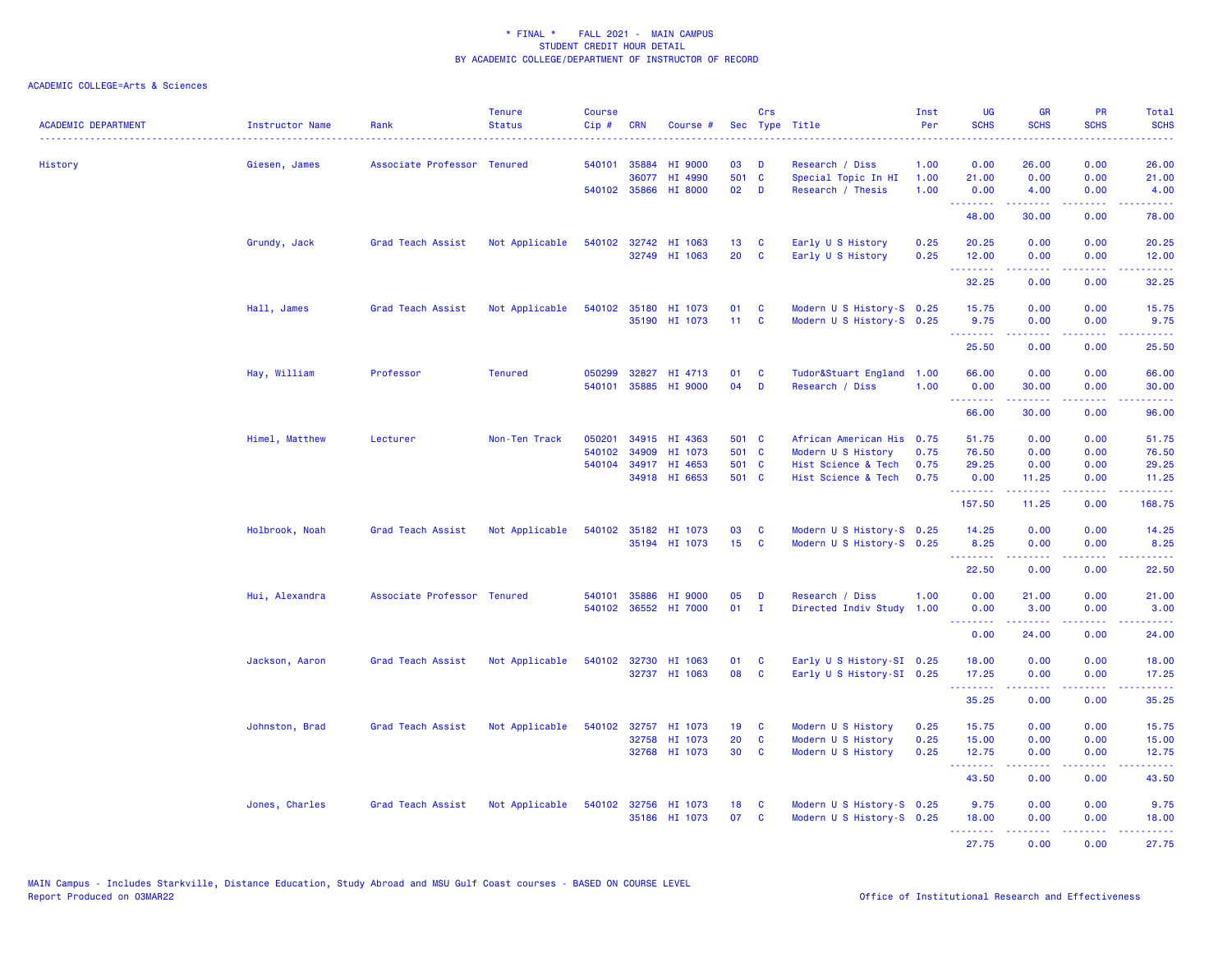| <b>ACADEMIC DEPARTMENT</b> | <b>Instructor Name</b> | Rank                        | <b>Tenure</b><br><b>Status</b> | <b>Course</b><br>Cip# | <b>CRN</b>   | Course #             |                 | Crs          | Sec Type Title            | Inst<br>Per | <b>UG</b><br><b>SCHS</b>                                  | <b>GR</b><br><b>SCHS</b> | PR<br><b>SCHS</b>              | Total<br><b>SCHS</b><br>وبالاناداد                                                                                                 |
|----------------------------|------------------------|-----------------------------|--------------------------------|-----------------------|--------------|----------------------|-----------------|--------------|---------------------------|-------------|-----------------------------------------------------------|--------------------------|--------------------------------|------------------------------------------------------------------------------------------------------------------------------------|
| History                    | Giesen, James          | Associate Professor Tenured |                                |                       | 540101 35884 | HI 9000              | 03              | D            | Research / Diss           | 1.00        | 0.00                                                      | 26.00                    | 0.00                           | 26.00                                                                                                                              |
|                            |                        |                             |                                |                       | 36077        | HI 4990              | 501             | $\mathbf{C}$ | Special Topic In HI       | 1.00        | 21.00                                                     | 0.00                     | 0.00                           | 21.00                                                                                                                              |
|                            |                        |                             |                                |                       |              | 540102 35866 HI 8000 | 02              | D            | Research / Thesis         | 1.00        | 0.00<br><b><i><u>AAAAAAA</u></i></b>                      | 4.00<br>.                | 0.00<br>22222                  | 4.00<br>.                                                                                                                          |
|                            |                        |                             |                                |                       |              |                      |                 |              |                           |             | 48.00                                                     | 30.00                    | 0.00                           | 78.00                                                                                                                              |
|                            | Grundy, Jack           | Grad Teach Assist           | Not Applicable                 |                       |              | 540102 32742 HI 1063 | 13 <sup>°</sup> | <b>C</b>     | Early U S History         | 0.25        | 20.25                                                     | 0.00                     | 0.00                           | 20.25                                                                                                                              |
|                            |                        |                             |                                |                       |              | 32749 HI 1063        | 20              | <b>C</b>     | Early U S History         | 0.25        | 12.00<br>.                                                | 0.00<br>22222            | 0.00<br>.                      | 12.00<br>.                                                                                                                         |
|                            |                        |                             |                                |                       |              |                      |                 |              |                           |             | 32.25                                                     | 0.00                     | 0.00                           | 32.25                                                                                                                              |
|                            | Hall, James            | Grad Teach Assist           | Not Applicable                 |                       |              | 540102 35180 HI 1073 | 01              | <b>C</b>     | Modern U S History-S 0.25 |             | 15.75                                                     | 0.00                     | 0.00                           | 15.75                                                                                                                              |
|                            |                        |                             |                                |                       |              | 35190 HI 1073        | $11 -$          | <b>C</b>     | Modern U S History-S 0.25 |             | 9.75                                                      | 0.00                     | 0.00                           | 9.75                                                                                                                               |
|                            |                        |                             |                                |                       |              |                      |                 |              |                           |             | .<br>25.50                                                | الأنابات<br>0.00         | $\omega$ is a $\omega$<br>0.00 | $\frac{1}{2} \left( \frac{1}{2} \right) \left( \frac{1}{2} \right) \left( \frac{1}{2} \right) \left( \frac{1}{2} \right)$<br>25.50 |
|                            | Hay, William           | Professor                   | <b>Tenured</b>                 | 050299                | 32827        | HI 4713              | 01              | C            | Tudor&Stuart England 1.00 |             | 66.00                                                     | 0.00                     | 0.00                           | 66.00                                                                                                                              |
|                            |                        |                             |                                | 540101                |              | 35885 HI 9000        | 04              | D            | Research / Diss           | 1.00        | 0.00                                                      | 30.00                    | 0.00                           | 30.00                                                                                                                              |
|                            |                        |                             |                                |                       |              |                      |                 |              |                           |             | <b><i><u><u><b>Little Little</b></u></u></i></b><br>66.00 | بالأبادي<br>30.00        | د د د د<br>0.00                | وعاعاها<br>96.00                                                                                                                   |
|                            | Himel, Matthew         | Lecturer                    | Non-Ten Track                  | 050201                |              | 34915 HI 4363        | 501 C           |              | African American His 0.75 |             | 51.75                                                     | 0.00                     | 0.00                           | 51.75                                                                                                                              |
|                            |                        |                             |                                | 540102                | 34909        | HI 1073              | 501 C           |              | Modern U S History        | 0.75        | 76.50                                                     | 0.00                     | 0.00                           | 76.50                                                                                                                              |
|                            |                        |                             |                                | 540104                |              | 34917 HI 4653        | 501 C           |              | Hist Science & Tech       | 0.75        | 29.25                                                     | 0.00                     | 0.00                           | 29.25                                                                                                                              |
|                            |                        |                             |                                |                       |              | 34918 HI 6653        | 501 C           |              | Hist Science & Tech       | 0.75        | 0.00<br>.                                                 | 11.25<br>222222          | 0.00<br>.                      | 11.25<br>.                                                                                                                         |
|                            |                        |                             |                                |                       |              |                      |                 |              |                           |             | 157.50                                                    | 11.25                    | 0.00                           | 168.75                                                                                                                             |
|                            | Holbrook, Noah         | Grad Teach Assist           | Not Applicable                 |                       |              | 540102 35182 HI 1073 | 03              | C            | Modern U S History-S 0.25 |             | 14.25                                                     | 0.00                     | 0.00                           | 14.25                                                                                                                              |
|                            |                        |                             |                                |                       |              | 35194 HI 1073        | 15              | C            | Modern U S History-S 0.25 |             | 8.25                                                      | 0.00<br>22222            | 0.00<br>.                      | 8.25                                                                                                                               |
|                            |                        |                             |                                |                       |              |                      |                 |              |                           |             | <b><i><u><u> - - - - - - -</u></u></i></b><br>22.50       | 0.00                     | 0.00                           | وبالمستريب<br>22.50                                                                                                                |
|                            | Hui, Alexandra         | Associate Professor Tenured |                                | 540101                | 35886        | HI 9000              | 05              | D            | Research / Diss           | 1.00        | 0.00                                                      | 21.00                    | 0.00                           | 21.00                                                                                                                              |
|                            |                        |                             |                                | 540102                |              | 36552 HI 7000        | 01              | $\mathbf{I}$ | Directed Indiv Study      | 1.00        | 0.00<br><b><i><u><u><b>Little Little</b></u></u></i></b>  | 3.00<br>.                | 0.00<br>22222                  | 3.00<br>.                                                                                                                          |
|                            |                        |                             |                                |                       |              |                      |                 |              |                           |             | 0.00                                                      | 24.00                    | 0.00                           | 24.00                                                                                                                              |
|                            | Jackson, Aaron         | Grad Teach Assist           | Not Applicable                 | 540102                |              | 32730 HI 1063        | 01              | <b>C</b>     | Early U S History-SI 0.25 |             | 18.00                                                     | 0.00                     | 0.00                           | 18.00                                                                                                                              |
|                            |                        |                             |                                |                       |              | 32737 HI 1063        | 08              | C            | Early U S History-SI 0.25 |             | 17.25                                                     | 0.00                     | 0.00                           | 17.25                                                                                                                              |
|                            |                        |                             |                                |                       |              |                      |                 |              |                           |             | <b></b><br>35.25                                          | -----<br>0.00            | 22222<br>0.00                  | .<br>35.25                                                                                                                         |
|                            | Johnston, Brad         | Grad Teach Assist           | Not Applicable                 |                       |              | 540102 32757 HI 1073 | 19              | <b>C</b>     | Modern U S History        | 0.25        | 15.75                                                     | 0.00                     | 0.00                           | 15.75                                                                                                                              |
|                            |                        |                             |                                |                       | 32758        | HI 1073              | 20              | C            | Modern U S History        | 0.25        | 15.00                                                     | 0.00                     | 0.00                           | 15.00                                                                                                                              |
|                            |                        |                             |                                |                       |              | 32768 HI 1073        | 30              | $\mathbf{C}$ | Modern U S History        | 0.25        | 12.75                                                     | 0.00                     | 0.00                           | 12.75                                                                                                                              |
|                            |                        |                             |                                |                       |              |                      |                 |              |                           |             | <u>.</u><br>43.50                                         | بالأبابات<br>0.00        | .<br>0.00                      | وبالمستريب<br>43.50                                                                                                                |
|                            | Jones, Charles         | Grad Teach Assist           | Not Applicable                 |                       |              | 540102 32756 HI 1073 | 18              | C            | Modern U S History-S 0.25 |             | 9.75                                                      | 0.00                     | 0.00                           | 9.75                                                                                                                               |
|                            |                        |                             |                                |                       |              | 35186 HI 1073        | 07              | <b>C</b>     | Modern U S History-S 0.25 |             | 18.00                                                     | 0.00                     | 0.00                           | 18.00                                                                                                                              |
|                            |                        |                             |                                |                       |              |                      |                 |              |                           |             | .                                                         | 22222                    | 22222                          | .                                                                                                                                  |
|                            |                        |                             |                                |                       |              |                      |                 |              |                           |             | 27.75                                                     | 0.00                     | 0.00                           | 27.75                                                                                                                              |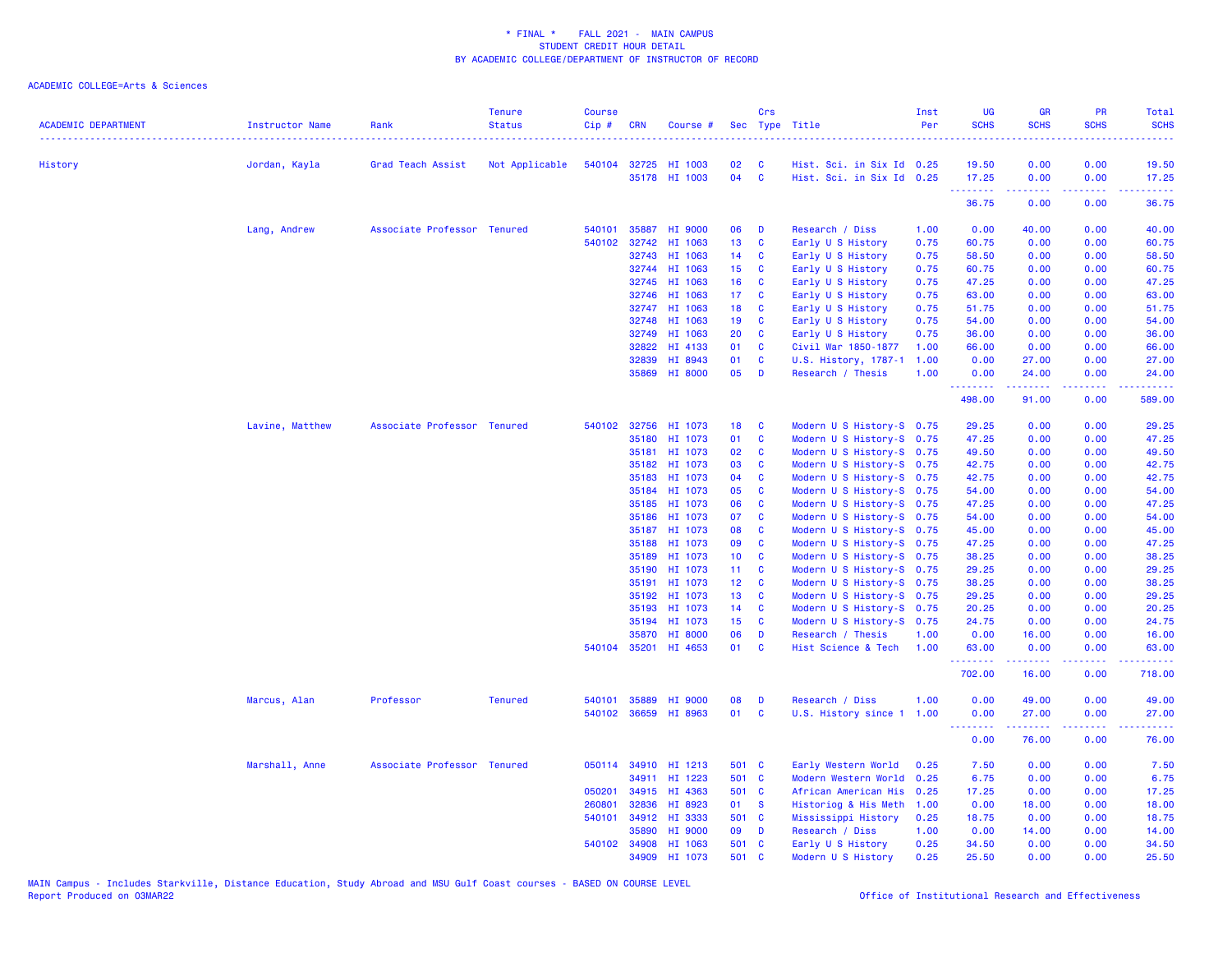| <b>ACADEMIC DEPARTMENT</b> | <b>Instructor Name</b> | Rank                        | <b>Tenure</b><br><b>Status</b> | <b>Course</b><br>Cip# | <b>CRN</b>            | Course #             |                 | Crs               | Sec Type Title            | Inst<br>Per  | <b>UG</b><br><b>SCHS</b>                   | <b>GR</b><br><b>SCHS</b> | <b>PR</b><br><b>SCHS</b> | Total<br><b>SCHS</b>                                                                                                               |
|----------------------------|------------------------|-----------------------------|--------------------------------|-----------------------|-----------------------|----------------------|-----------------|-------------------|---------------------------|--------------|--------------------------------------------|--------------------------|--------------------------|------------------------------------------------------------------------------------------------------------------------------------|
|                            |                        |                             |                                |                       |                       | 540104 32725 HI 1003 | 02              | <b>C</b>          | Hist. Sci. in Six Id 0.25 |              | 19.50                                      | 0.00                     | 0.00                     | $\frac{1}{2} \left( \frac{1}{2} \right) \left( \frac{1}{2} \right) \left( \frac{1}{2} \right) \left( \frac{1}{2} \right)$<br>19.50 |
| History                    | Jordan, Kayla          | Grad Teach Assist           | Not Applicable                 |                       |                       | 35178 HI 1003        | 04              | $\mathbf{C}$      | Hist. Sci. in Six Id 0.25 |              | 17.25                                      | 0.00                     | 0.00                     | 17.25                                                                                                                              |
|                            |                        |                             |                                |                       |                       |                      |                 |                   |                           |              | .<br>36.75                                 | 0.00                     | .<br>0.00                | 36.75                                                                                                                              |
|                            | Lang, Andrew           | Associate Professor Tenured |                                | 540101                |                       | 35887 HI 9000        | 06              | D                 | Research / Diss           | 1.00         | 0.00                                       | 40.00                    | 0.00                     | 40.00                                                                                                                              |
|                            |                        |                             |                                | 540102                | 32742                 | HI 1063              | 13              | C                 | Early U S History         | 0.75         | 60.75                                      | 0.00                     | 0.00                     | 60.75                                                                                                                              |
|                            |                        |                             |                                |                       | 32743                 | HI 1063              | 14              | <b>C</b>          | Early U S History         | 0.75         | 58.50                                      | 0.00                     | 0.00                     | 58.50                                                                                                                              |
|                            |                        |                             |                                |                       | 32744                 | HI 1063              | 15 <sub>1</sub> | C                 | Early U S History         | 0.75         | 60.75                                      | 0.00                     | 0.00                     | 60.75                                                                                                                              |
|                            |                        |                             |                                |                       | 32745                 | HI 1063              | 16              | $\mathbf{C}$      | Early U S History         | 0.75         | 47.25                                      | 0.00                     | 0.00                     | 47.25                                                                                                                              |
|                            |                        |                             |                                |                       | 32746                 | HI 1063              | 17 <sup>2</sup> | <b>C</b>          | Early U S History         | 0.75         | 63.00                                      | 0.00                     | 0.00                     | 63.00                                                                                                                              |
|                            |                        |                             |                                |                       |                       | 32747 HI 1063        | 18              | C                 | Early U S History         | 0.75         | 51.75                                      | 0.00                     | 0.00                     | 51.75                                                                                                                              |
|                            |                        |                             |                                |                       | 32748                 | HI 1063              | 19              | $\mathbf{C}$      | Early U S History         | 0.75         | 54.00                                      | 0.00                     | 0.00                     | 54.00                                                                                                                              |
|                            |                        |                             |                                |                       | 32749                 | HI 1063              | 20              | C                 | Early U S History         | 0.75         | 36.00                                      | 0.00                     | 0.00                     | 36.00                                                                                                                              |
|                            |                        |                             |                                |                       | 32822                 | HI 4133              | 01              | <b>C</b>          | Civil War 1850-1877       | 1.00         | 66.00                                      | 0.00                     | 0.00                     | 66.00                                                                                                                              |
|                            |                        |                             |                                |                       | 32839                 | HI 8943              | 01              | C                 | U.S. History, 1787-1      | 1.00         | 0.00                                       | 27.00                    | 0.00                     | 27.00                                                                                                                              |
|                            |                        |                             |                                |                       | 35869                 | HI 8000              | 05              | $\mathbf{D}$      | Research / Thesis         | 1.00         | 0.00<br>.                                  | 24.00<br>الداعات عامات   | 0.00<br>.                | 24.00<br>.                                                                                                                         |
|                            |                        |                             |                                |                       |                       |                      |                 |                   |                           |              | 498.00                                     | 91.00                    | 0.00                     | 589.00                                                                                                                             |
|                            | Lavine, Matthew        | Associate Professor Tenured |                                |                       | 540102 32756          | HI 1073              | 18              | <b>C</b>          | Modern U S History-S 0.75 |              | 29.25                                      | 0.00                     | 0.00                     | 29.25                                                                                                                              |
|                            |                        |                             |                                |                       | 35180                 | HI 1073              | 01              | C                 | Modern U S History-S 0.75 |              | 47.25                                      | 0.00                     | 0.00                     | 47.25                                                                                                                              |
|                            |                        |                             |                                |                       |                       | 35181 HI 1073        | 02              | <b>C</b>          | Modern U S History-S 0.75 |              | 49.50                                      | 0.00                     | 0.00                     | 49.50                                                                                                                              |
|                            |                        |                             |                                |                       | 35182                 | HI 1073              | 03              | $\mathbf{C}$      | Modern U S History-S 0.75 |              | 42.75                                      | 0.00                     | 0.00                     | 42.75                                                                                                                              |
|                            |                        |                             |                                |                       | 35183                 | HI 1073              | 04              | C                 | Modern U S History-S 0.75 |              | 42.75                                      | 0.00                     | 0.00                     | 42.75                                                                                                                              |
|                            |                        |                             |                                |                       |                       | 35184 HI 1073        | 05              | C                 | Modern U S History-S 0.75 |              | 54.00                                      | 0.00                     | 0.00                     | 54.00                                                                                                                              |
|                            |                        |                             |                                |                       | 35185                 | HI 1073              | 06              | C                 | Modern U S History-S 0.75 |              | 47.25                                      | 0.00                     | 0.00                     | 47.25                                                                                                                              |
|                            |                        |                             |                                |                       | 35186                 | HI 1073              | 07              | C                 | Modern U S History-S 0.75 |              | 54.00                                      | 0.00                     | 0.00                     | 54.00                                                                                                                              |
|                            |                        |                             |                                |                       |                       | 35187 HI 1073        | 80              | <b>C</b>          | Modern U S History-S 0.75 |              | 45.00                                      | 0.00                     | 0.00                     | 45.00                                                                                                                              |
|                            |                        |                             |                                |                       | 35188                 | HI 1073              | 09              | C                 | Modern U S History-S 0.75 |              | 47.25                                      | 0.00                     | 0.00                     | 47.25                                                                                                                              |
|                            |                        |                             |                                |                       | 35189                 | HI 1073              | 10 <sub>1</sub> | $\mathbf{C}$      | Modern U S History-S 0.75 |              | 38.25                                      | 0.00                     | 0.00                     | 38.25                                                                                                                              |
|                            |                        |                             |                                |                       | 35190                 | HI 1073              | 11 <sub>1</sub> | $\mathbf{C}$      | Modern U S History-S 0.75 |              | 29.25                                      | 0.00                     | 0.00                     | 29.25                                                                                                                              |
|                            |                        |                             |                                |                       | 35191                 | HI 1073              | 12 <sub>2</sub> | C                 | Modern U S History-S 0.75 |              | 38.25                                      | 0.00                     | 0.00                     | 38.25                                                                                                                              |
|                            |                        |                             |                                |                       | 35192                 | HI 1073              | 13 <sup>°</sup> | $\mathbf{C}$      | Modern U S History-S 0.75 |              | 29.25                                      | 0.00                     | 0.00                     | 29.25                                                                                                                              |
|                            |                        |                             |                                |                       | 35193                 | HI 1073              | 14              | $\mathbf{C}$      | Modern U S History-S 0.75 |              | 20.25                                      | 0.00                     | 0.00                     | 20.25                                                                                                                              |
|                            |                        |                             |                                |                       |                       | 35194 HI 1073        | 15 <sub>1</sub> | <b>C</b>          | Modern U S History-S 0.75 |              | 24.75                                      | 0.00                     | 0.00                     | 24.75                                                                                                                              |
|                            |                        |                             |                                |                       | 35870<br>540104 35201 | HI 8000<br>HI 4653   | 06<br>01        | D<br>$\mathbf{C}$ | Research / Thesis         | 1.00<br>1.00 | 0.00                                       | 16.00                    | 0.00<br>0.00             | 16.00<br>63.00                                                                                                                     |
|                            |                        |                             |                                |                       |                       |                      |                 |                   | Hist Science & Tech       |              | 63.00<br>.                                 | 0.00<br>المتمام المتمار  | المستما                  | .                                                                                                                                  |
|                            |                        |                             |                                |                       |                       |                      |                 |                   |                           |              | 702.00                                     | 16.00                    | 0.00                     | 718.00                                                                                                                             |
|                            | Marcus, Alan           | Professor                   | <b>Tenured</b>                 | 540101                | 35889                 | HI 9000              | 08              | D                 | Research / Diss           | 1.00         | 0.00                                       | 49.00                    | 0.00                     | 49.00                                                                                                                              |
|                            |                        |                             |                                |                       |                       | 540102 36659 HI 8963 | 01              | C                 | U.S. History since 1      | 1.00         | 0.00<br><b><i><u>Little Little</u></i></b> | 27.00<br>.               | 0.00<br>.                | 27.00<br>.                                                                                                                         |
|                            |                        |                             |                                |                       |                       |                      |                 |                   |                           |              | 0.00                                       | 76.00                    | 0.00                     | 76.00                                                                                                                              |
|                            | Marshall, Anne         | Associate Professor Tenured |                                |                       |                       | 050114 34910 HI 1213 | 501 C           |                   | Early Western World       | 0.25         | 7.50                                       | 0.00                     | 0.00                     | 7.50                                                                                                                               |
|                            |                        |                             |                                |                       | 34911                 | HI 1223              | 501 C           |                   | Modern Western World      | 0.25         | 6.75                                       | 0.00                     | 0.00                     | 6.75                                                                                                                               |
|                            |                        |                             |                                | 050201                |                       | 34915 HI 4363        | 501 C           |                   | African American His 0.25 |              | 17.25                                      | 0.00                     | 0.00                     | 17.25                                                                                                                              |
|                            |                        |                             |                                | 260801                | 32836                 | HI 8923              | 01              | $\mathbf{s}$      | Historiog & His Meth      | 1.00         | 0.00                                       | 18.00                    | 0.00                     | 18.00                                                                                                                              |
|                            |                        |                             |                                |                       |                       | 540101 34912 HI 3333 | 501 C           |                   | Mississippi History       | 0.25         | 18.75                                      | 0.00                     | 0.00                     | 18.75                                                                                                                              |
|                            |                        |                             |                                |                       | 35890                 | HI 9000              | 09              | D                 | Research / Diss           | 1.00         | 0.00                                       | 14.00                    | 0.00                     | 14.00                                                                                                                              |
|                            |                        |                             |                                |                       | 540102 34908          | HI 1063              | 501 C           |                   | Early U S History         | 0.25         | 34.50                                      | 0.00                     | 0.00                     | 34.50                                                                                                                              |
|                            |                        |                             |                                |                       | 34909                 | HI 1073              | 501             | C                 | Modern U S History        | 0.25         | 25.50                                      | 0.00                     | 0.00                     | 25.50                                                                                                                              |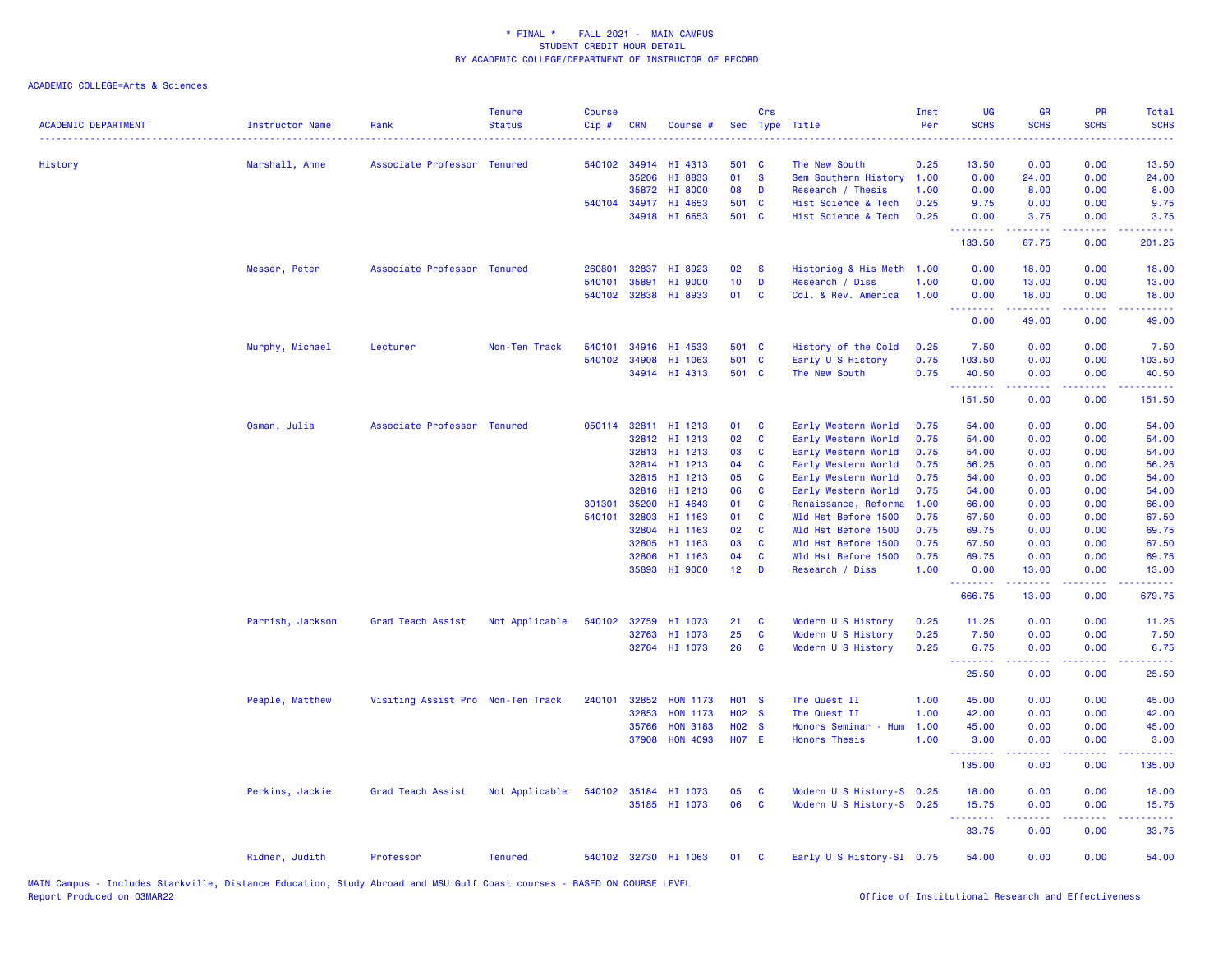| <b>ACADEMIC DEPARTMENT</b> | <b>Instructor Name</b> | Rank                              | <b>Tenure</b><br><b>Status</b> | <b>Course</b><br>Cip# | <b>CRN</b>   | Course #             |                   | Crs      | Sec Type Title            | Inst<br>Per | <b>UG</b><br><b>SCHS</b> | <b>GR</b><br><b>SCHS</b>                                                                                                                                      | PR<br><b>SCHS</b>                   | Total<br><b>SCHS</b><br>- - - - |
|----------------------------|------------------------|-----------------------------------|--------------------------------|-----------------------|--------------|----------------------|-------------------|----------|---------------------------|-------------|--------------------------|---------------------------------------------------------------------------------------------------------------------------------------------------------------|-------------------------------------|---------------------------------|
| History                    | Marshall, Anne         | Associate Professor Tenured       |                                |                       |              | 540102 34914 HI 4313 | 501 C             |          | The New South             | 0.25        | 13.50                    | 0.00                                                                                                                                                          | 0.00                                | 13.50                           |
|                            |                        |                                   |                                |                       | 35206        | HI 8833              | 01                | <b>S</b> | Sem Southern History      | 1.00        | 0.00                     | 24.00                                                                                                                                                         | 0.00                                | 24.00                           |
|                            |                        |                                   |                                |                       | 35872        | <b>HI 8000</b>       | 08                | D        | Research / Thesis         | 1.00        | 0.00                     | 8.00                                                                                                                                                          | 0.00                                | 8.00                            |
|                            |                        |                                   |                                |                       | 540104 34917 | HI 4653              | 501 C             |          | Hist Science & Tech       | 0.25        | 9.75                     | 0.00                                                                                                                                                          | 0.00                                | 9.75                            |
|                            |                        |                                   |                                |                       |              | 34918 HI 6653        | 501 C             |          | Hist Science & Tech       | 0.25        | 0.00<br>.                | 3.75<br>$\frac{1}{2} \left( \frac{1}{2} \right) \left( \frac{1}{2} \right) \left( \frac{1}{2} \right) \left( \frac{1}{2} \right) \left( \frac{1}{2} \right)$  | 0.00<br>$-1$                        | 3.75<br>.                       |
|                            |                        |                                   |                                |                       |              |                      |                   |          |                           |             | 133.50                   | 67.75                                                                                                                                                         | 0.00                                | 201.25                          |
|                            | Messer, Peter          | Associate Professor Tenured       |                                | 260801                | 32837        | HI 8923              | 02                | -S       | Historiog & His Meth 1.00 |             | 0.00                     | 18.00                                                                                                                                                         | 0.00                                | 18.00                           |
|                            |                        |                                   |                                | 540101                | 35891        | HI 9000              | 10 <sub>1</sub>   | D        | Research / Diss           | 1.00        | 0.00                     | 13.00                                                                                                                                                         | 0.00                                | 13.00                           |
|                            |                        |                                   |                                |                       | 540102 32838 | HI 8933              | 01                | C        | Col. & Rev. America       | 1.00        | 0.00                     | 18.00                                                                                                                                                         | 0.00                                | 18.00                           |
|                            |                        |                                   |                                |                       |              |                      |                   |          |                           |             | <u>.</u><br>0.00         | .<br>49.00                                                                                                                                                    | .<br>0.00                           | .<br>49.00                      |
|                            | Murphy, Michael        | Lecturer                          | Non-Ten Track                  | 540101                | 34916        | HI 4533              | 501 C             |          | History of the Cold       | 0.25        | 7.50                     | 0.00                                                                                                                                                          | 0.00                                | 7.50                            |
|                            |                        |                                   |                                | 540102 34908          |              | HI 1063              | 501 C             |          | Early U S History         | 0.75        | 103.50                   | 0.00                                                                                                                                                          | 0.00                                | 103.50                          |
|                            |                        |                                   |                                |                       |              | 34914 HI 4313        | 501 C             |          | The New South             | 0.75        | 40.50                    | 0.00                                                                                                                                                          | 0.00                                | 40.50                           |
|                            |                        |                                   |                                |                       |              |                      |                   |          |                           |             | .<br>151.50              | .<br>0.00                                                                                                                                                     | $\frac{1}{2}$<br>0.00               | .<br>151.50                     |
|                            | Osman, Julia           | Associate Professor Tenured       |                                |                       |              | 050114 32811 HI 1213 | 01                | C        | Early Western World       | 0.75        | 54.00                    | 0.00                                                                                                                                                          | 0.00                                | 54.00                           |
|                            |                        |                                   |                                |                       | 32812        | HI 1213              | 02                | C        |                           | 0.75        | 54.00                    | 0.00                                                                                                                                                          | 0.00                                | 54.00                           |
|                            |                        |                                   |                                |                       | 32813        | HI 1213              | 03                | C        | Early Western World       | 0.75        | 54.00                    | 0.00                                                                                                                                                          | 0.00                                | 54.00                           |
|                            |                        |                                   |                                |                       |              |                      |                   |          | Early Western World       |             |                          |                                                                                                                                                               |                                     |                                 |
|                            |                        |                                   |                                |                       | 32814        | HI 1213              | 04                | C        | Early Western World       | 0.75        | 56.25                    | 0.00                                                                                                                                                          | 0.00                                | 56.25                           |
|                            |                        |                                   |                                |                       | 32815        | HI 1213              | 05                | C        | Early Western World       | 0.75        | 54.00                    | 0.00                                                                                                                                                          | 0.00                                | 54.00                           |
|                            |                        |                                   |                                |                       | 32816        | HI 1213              | 06                | C        | Early Western World       | 0.75        | 54.00                    | 0.00                                                                                                                                                          | 0.00                                | 54.00                           |
|                            |                        |                                   |                                | 301301                | 35200        | HI 4643              | 01                | <b>C</b> | Renaissance, Reforma      | 1.00        | 66.00                    | 0.00                                                                                                                                                          | 0.00                                | 66.00                           |
|                            |                        |                                   |                                | 540101                | 32803        | HI 1163              | 01                | C        | Wld Hst Before 1500       | 0.75        | 67.50                    | 0.00                                                                                                                                                          | 0.00                                | 67.50                           |
|                            |                        |                                   |                                |                       | 32804        | HI 1163              | 02                | C        | Wld Hst Before 1500       | 0.75        | 69.75                    | 0.00                                                                                                                                                          | 0.00                                | 69.75                           |
|                            |                        |                                   |                                |                       | 32805        | HI 1163              | 03                | C        | Wld Hst Before 1500       | 0.75        | 67.50                    | 0.00                                                                                                                                                          | 0.00                                | 67.50                           |
|                            |                        |                                   |                                |                       | 32806        | HI 1163              | 04                | C        | Wld Hst Before 1500       | 0.75        | 69.75                    | 0.00                                                                                                                                                          | 0.00                                | 69.75                           |
|                            |                        |                                   |                                |                       | 35893        | HI 9000              | 12 <sub>2</sub>   | D        | Research / Diss           | 1.00        | 0.00<br>.                | 13.00<br>$\frac{1}{2} \left( \frac{1}{2} \right) \left( \frac{1}{2} \right) \left( \frac{1}{2} \right) \left( \frac{1}{2} \right) \left( \frac{1}{2} \right)$ | 0.00<br>$\sim$ $\sim$ $\sim$ $\sim$ | 13.00<br>.                      |
|                            |                        |                                   |                                |                       |              |                      |                   |          |                           |             | 666.75                   | 13.00                                                                                                                                                         | 0.00                                | 679.75                          |
|                            | Parrish, Jackson       | Grad Teach Assist                 | Not Applicable                 | 540102                | 32759        | HI 1073              | 21                | C        | Modern U S History        | 0.25        | 11.25                    | 0.00                                                                                                                                                          | 0.00                                | 11.25                           |
|                            |                        |                                   |                                |                       | 32763        | HI 1073              | 25                | C        | Modern U S History        | 0.25        | 7.50                     | 0.00                                                                                                                                                          | 0.00                                | 7.50                            |
|                            |                        |                                   |                                |                       |              | 32764 HI 1073        | 26                | <b>C</b> | Modern U S History        | 0.25        | 6.75<br>.                | 0.00<br>$\frac{1}{2} \left( \frac{1}{2} \right) \left( \frac{1}{2} \right) \left( \frac{1}{2} \right) \left( \frac{1}{2} \right) \left( \frac{1}{2} \right)$  | 0.00<br>.                           | 6.75<br>.                       |
|                            |                        |                                   |                                |                       |              |                      |                   |          |                           |             | 25.50                    | 0.00                                                                                                                                                          | 0.00                                | 25.50                           |
|                            | Peaple, Matthew        | Visiting Assist Pro Non-Ten Track |                                | 240101                | 32852        | <b>HON 1173</b>      | H <sub>01</sub> S |          | The Quest II              | 1.00        | 45.00                    | 0.00                                                                                                                                                          | 0.00                                | 45.00                           |
|                            |                        |                                   |                                |                       | 32853        | <b>HON 1173</b>      | H <sub>02</sub> S |          | The Quest II              | 1.00        | 42.00                    | 0.00                                                                                                                                                          | 0.00                                | 42.00                           |
|                            |                        |                                   |                                |                       | 35766        | <b>HON 3183</b>      | H <sub>02</sub> S |          | Honors Seminar - Hum      | 1.00        | 45.00                    | 0.00                                                                                                                                                          | 0.00                                | 45.00                           |
|                            |                        |                                   |                                |                       | 37908        | <b>HON 4093</b>      | <b>HO7 E</b>      |          | Honors Thesis             | 1.00        | 3.00                     | 0.00                                                                                                                                                          | 0.00                                | 3.00                            |
|                            |                        |                                   |                                |                       |              |                      |                   |          |                           |             | .<br>135.00              | .<br>0.00                                                                                                                                                     | $  -$<br>0.00                       | .<br>135.00                     |
|                            | Perkins, Jackie        | Grad Teach Assist                 | Not Applicable                 |                       |              | 540102 35184 HI 1073 | 05                | <b>C</b> | Modern U S History-S 0.25 |             | 18.00                    | 0.00                                                                                                                                                          | 0.00                                | 18.00                           |
|                            |                        |                                   |                                |                       |              | 35185 HI 1073        | 06                | C        | Modern U S History-S 0.25 |             | 15.75                    | 0.00                                                                                                                                                          | 0.00                                | 15.75                           |
|                            |                        |                                   |                                |                       |              |                      |                   |          |                           |             | .                        | 22222                                                                                                                                                         |                                     | .                               |
|                            |                        |                                   |                                |                       |              |                      |                   |          |                           |             | 33.75                    | 0.00                                                                                                                                                          | 0.00                                | 33.75                           |
|                            | Ridner, Judith         | Professor                         | <b>Tenured</b>                 |                       |              | 540102 32730 HI 1063 | 01                | <b>C</b> | Early U S History-SI 0.75 |             | 54.00                    | 0.00                                                                                                                                                          | 0.00                                | 54.00                           |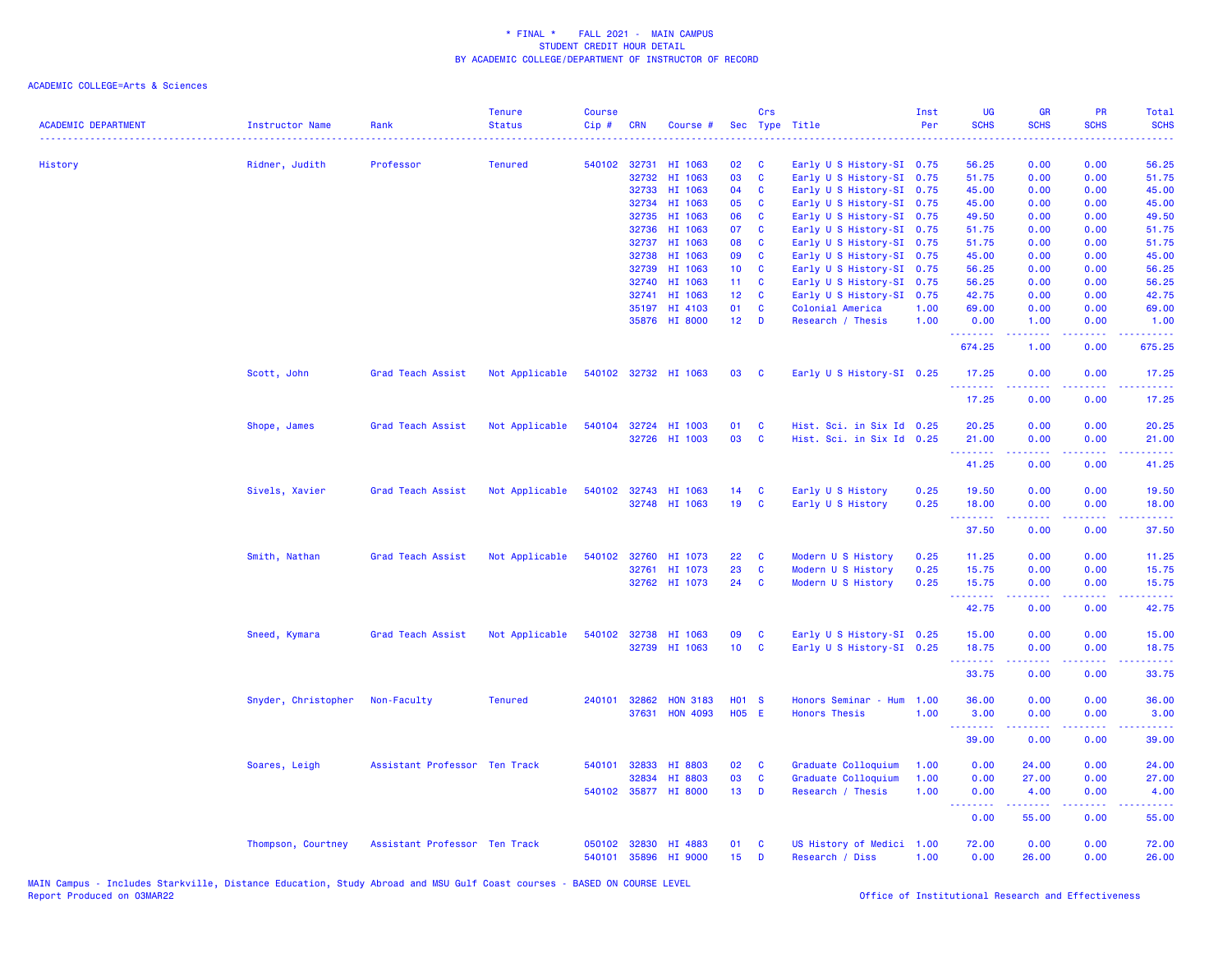| HI 1063<br>Early U S History-SI 0.75<br>0.00<br>0.00<br>56.25<br>History<br>Ridner, Judith<br>Professor<br><b>Tenured</b><br>540102 32731<br>02<br>C<br>56.25<br>03<br>$\mathbf{C}$<br>32732<br>HI 1063<br>Early U S History-SI 0.75<br>51.75<br>0.00<br>0.00<br>51.75<br>32733<br>HI 1063<br>04<br><b>C</b><br>Early U S History-SI 0.75<br>45.00<br>0.00<br>0.00<br>45.00<br>32734<br>HI 1063<br>05<br><b>C</b><br>Early U S History-SI 0.75<br>45.00<br>0.00<br>45.00<br>0.00<br>06<br>32735<br>HI 1063<br>Early U S History-SI 0.75<br>49.50<br>0.00<br>49.50<br>C<br>0.00<br>HI 1063<br>07<br>C<br>32736<br>Early U S History-SI 0.75<br>51.75<br>0.00<br>0.00<br>51.75<br>08<br>C<br>51.75<br>32737<br>HI 1063<br>Early U S History-SI 0.75<br>0.00<br>0.00<br>51.75<br>HI 1063<br>32738<br>09<br>C<br>Early U S History-SI 0.75<br>45.00<br>0.00<br>0.00<br>45.00<br>32739<br>HI 1063<br>10 <sub>1</sub><br>$\mathbf{C}$<br>Early U S History-SI 0.75<br>56.25<br>0.00<br>56.25<br>0.00<br>HI 1063<br>11 <sub>1</sub><br>$\mathbf{C}$<br>56.25<br>56.25<br>32740<br>Early U S History-SI 0.75<br>0.00<br>0.00<br>32741<br>HI 1063<br>12 <sub>2</sub><br>$\mathbf{C}$<br>Early U S History-SI 0.75<br>42.75<br>0.00<br>0.00<br>42.75<br>HI 4103<br>01<br>1.00<br>69.00<br>0.00<br>69.00<br>35197<br><b>C</b><br>Colonial America<br>0.00<br>35876 HI 8000<br>12 <sup>7</sup><br>D<br>Research / Thesis<br>1.00<br>0.00<br>1.00<br>0.00<br>1.00<br>$\omega$ is a $\omega$<br>.<br>.<br>.<br>0.00<br>675.25<br>674.25<br>1.00<br>Scott, John<br>Grad Teach Assist<br>Not Applicable<br>540102 32732 HI 1063<br>03<br>Early U S History-SI 0.25<br>17.25<br>0.00<br>0.00<br>17.25<br>$\mathbf{C}$<br>.<br>.<br>.<br>.<br>17.25<br>0.00<br>0.00<br>17.25<br>Not Applicable<br>540104 32724 HI 1003<br>Hist. Sci. in Six Id 0.25<br>20.25<br>0.00<br>0.00<br>20.25<br>Shope, James<br>Grad Teach Assist<br>01<br><b>C</b><br>03<br>32726 HI 1003<br>$\mathbf{C}$<br>Hist. Sci. in Six Id 0.25<br>21.00<br>0.00<br>0.00<br>21.00<br>.<br>.<br>.<br>.<br>41.25<br>0.00<br>0.00<br>41.25<br>Sivels, Xavier<br>Grad Teach Assist<br>Not Applicable<br>540102<br>32743 HI 1063<br>14<br>Early U S History<br>0.25<br>19.50<br>0.00<br>0.00<br>19.50<br>C<br>19<br>$\mathbf{C}$<br>32748 HI 1063<br>Early U S History<br>0.25<br>18.00<br>0.00<br>0.00<br>18.00<br>.<br>22222<br>22222<br>.<br>37.50<br>0.00<br>0.00<br>37.50<br>540102<br>22<br>0.25<br>0.00<br>0.00<br>Smith, Nathan<br>Grad Teach Assist<br>Not Applicable<br>32760<br>HI 1073<br>C<br>Modern U S History<br>11.25<br>11.25<br>23<br>$\mathbf{C}$<br>HI 1073<br>0.25<br>0.00<br>0.00<br>15.75<br>32761<br>Modern U S History<br>15.75<br>32762 HI 1073<br>24<br>0.25<br><b>C</b><br>Modern U S History<br>15.75<br>0.00<br>0.00<br>15.75<br>.<br>.<br>المتمامين<br>-----<br>42.75<br>0.00<br>0.00<br>42.75<br>09<br>Early U S History-SI 0.25<br>0.00<br>0.00<br>15.00<br>Sneed, Kymara<br>Grad Teach Assist<br>Not Applicable<br>540102 32738 HI 1063<br>C<br>15.00<br>32739 HI 1063<br>10<br>$\mathbf{C}$<br>Early U S History-SI 0.25<br>18.75<br>0.00<br>0.00<br>18.75<br>$\frac{1}{2} \left( \frac{1}{2} \right) \left( \frac{1}{2} \right) \left( \frac{1}{2} \right) \left( \frac{1}{2} \right)$<br>$\frac{1}{2} \left( \frac{1}{2} \right) \left( \frac{1}{2} \right) \left( \frac{1}{2} \right) \left( \frac{1}{2} \right)$<br>33.75<br>0.00<br>0.00<br>33.75<br>Snyder, Christopher<br>Non-Faculty<br><b>Tenured</b><br>240101<br>32862<br><b>HON 3183</b><br><b>HO1 S</b><br>Honors Seminar - Hum<br>1.00<br>36.00<br>0.00<br>0.00<br>36.00<br><b>H05 E</b><br>37631<br><b>HON 4093</b><br><b>Honors Thesis</b><br>1.00<br>3.00<br>0.00<br>0.00<br>3.00<br>.<br>.<br>22222<br>.<br>39.00<br>39.00<br>0.00<br>0.00<br>32833<br>HI 8803<br>02<br>Graduate Colloquium<br>0.00<br>24.00<br>0.00<br>24.00<br>Soares, Leigh<br>Assistant Professor Ten Track<br>540101<br>C<br>1.00<br>03<br>32834<br>HI 8803<br>C<br>Graduate Colloquium<br>1.00<br>0.00<br>27.00<br>0.00<br>27.00<br>540102 35877 HI 8000<br>13 <sup>7</sup><br>D<br>1.00<br>Research / Thesis<br>0.00<br>4.00<br>0.00<br>4.00<br><b><i><u><u> - - - - - - -</u></u></i></b><br>$\frac{1}{2} \left( \frac{1}{2} \right) \left( \frac{1}{2} \right) \left( \frac{1}{2} \right) \left( \frac{1}{2} \right) \left( \frac{1}{2} \right)$<br>.<br>.<br>0.00<br>55.00<br>0.00<br>55.00<br>Assistant Professor Ten Track<br>050102<br>32830 HI 4883<br>01<br>C<br>US History of Medici 1.00<br>72.00<br>0.00<br>0.00<br>72.00<br>Thompson, Courtney<br>15 <sub>15</sub><br>0.00<br>0.00<br>540101<br>35896 HI 9000<br>D<br>Research / Diss<br>1.00<br>26.00<br>26.00 | <b>ACADEMIC DEPARTMENT</b> | Instructor Name | Rank | <b>Tenure</b><br><b>Status</b> | <b>Course</b><br>Cip# | <b>CRN</b> | Course # | Crs | Sec Type Title | Inst<br>Per | UG<br><b>SCHS</b> | <b>GR</b><br><b>SCHS</b> | PR<br><b>SCHS</b> | Total<br><b>SCHS</b><br>$\omega$ is $\omega$ . |
|----------------------------------------------------------------------------------------------------------------------------------------------------------------------------------------------------------------------------------------------------------------------------------------------------------------------------------------------------------------------------------------------------------------------------------------------------------------------------------------------------------------------------------------------------------------------------------------------------------------------------------------------------------------------------------------------------------------------------------------------------------------------------------------------------------------------------------------------------------------------------------------------------------------------------------------------------------------------------------------------------------------------------------------------------------------------------------------------------------------------------------------------------------------------------------------------------------------------------------------------------------------------------------------------------------------------------------------------------------------------------------------------------------------------------------------------------------------------------------------------------------------------------------------------------------------------------------------------------------------------------------------------------------------------------------------------------------------------------------------------------------------------------------------------------------------------------------------------------------------------------------------------------------------------------------------------------------------------------------------------------------------------------------------------------------------------------------------------------------------------------------------------------------------------------------------------------------------------------------------------------------------------------------------------------------------------------------------------------------------------------------------------------------------------------------------------------------------------------------------------------------------------------------------------------------------------------------------------------------------------------------------------------------------------------------------------------------------------------------------------------------------------------------------------------------------------------------------------------------------------------------------------------------------------------------------------------------------------------------------------------------------------------------------------------------------------------------------------------------------------------------------------------------------------------------------------------------------------------------------------------------------------------------------------------------------------------------------------------------------------------------------------------------------------------------------------------------------------------------------------------------------------------------------------------------------------------------------------------------------------------------------------------------------------------------------------------------------------------------------------------------------------------------------------------------------------------------------------------------------------------------------------------------------------------------------------------------------------------------------------------------------------------------------------------------------------------------------------------------------------------------------------------------------------------------------------------------------------------------------------------------------------------------------------------------------------------------------------------------------------------------------------------------------------------------------------------------------------------------------------------------------------------------------------------------------------------------------------------------------------------------------------------------------------------------------------------|----------------------------|-----------------|------|--------------------------------|-----------------------|------------|----------|-----|----------------|-------------|-------------------|--------------------------|-------------------|------------------------------------------------|
|                                                                                                                                                                                                                                                                                                                                                                                                                                                                                                                                                                                                                                                                                                                                                                                                                                                                                                                                                                                                                                                                                                                                                                                                                                                                                                                                                                                                                                                                                                                                                                                                                                                                                                                                                                                                                                                                                                                                                                                                                                                                                                                                                                                                                                                                                                                                                                                                                                                                                                                                                                                                                                                                                                                                                                                                                                                                                                                                                                                                                                                                                                                                                                                                                                                                                                                                                                                                                                                                                                                                                                                                                                                                                                                                                                                                                                                                                                                                                                                                                                                                                                                                                                                                                                                                                                                                                                                                                                                                                                                                                                                                                                                                                                    |                            |                 |      |                                |                       |            |          |     |                |             |                   |                          |                   |                                                |
|                                                                                                                                                                                                                                                                                                                                                                                                                                                                                                                                                                                                                                                                                                                                                                                                                                                                                                                                                                                                                                                                                                                                                                                                                                                                                                                                                                                                                                                                                                                                                                                                                                                                                                                                                                                                                                                                                                                                                                                                                                                                                                                                                                                                                                                                                                                                                                                                                                                                                                                                                                                                                                                                                                                                                                                                                                                                                                                                                                                                                                                                                                                                                                                                                                                                                                                                                                                                                                                                                                                                                                                                                                                                                                                                                                                                                                                                                                                                                                                                                                                                                                                                                                                                                                                                                                                                                                                                                                                                                                                                                                                                                                                                                                    |                            |                 |      |                                |                       |            |          |     |                |             |                   |                          |                   |                                                |
|                                                                                                                                                                                                                                                                                                                                                                                                                                                                                                                                                                                                                                                                                                                                                                                                                                                                                                                                                                                                                                                                                                                                                                                                                                                                                                                                                                                                                                                                                                                                                                                                                                                                                                                                                                                                                                                                                                                                                                                                                                                                                                                                                                                                                                                                                                                                                                                                                                                                                                                                                                                                                                                                                                                                                                                                                                                                                                                                                                                                                                                                                                                                                                                                                                                                                                                                                                                                                                                                                                                                                                                                                                                                                                                                                                                                                                                                                                                                                                                                                                                                                                                                                                                                                                                                                                                                                                                                                                                                                                                                                                                                                                                                                                    |                            |                 |      |                                |                       |            |          |     |                |             |                   |                          |                   |                                                |
|                                                                                                                                                                                                                                                                                                                                                                                                                                                                                                                                                                                                                                                                                                                                                                                                                                                                                                                                                                                                                                                                                                                                                                                                                                                                                                                                                                                                                                                                                                                                                                                                                                                                                                                                                                                                                                                                                                                                                                                                                                                                                                                                                                                                                                                                                                                                                                                                                                                                                                                                                                                                                                                                                                                                                                                                                                                                                                                                                                                                                                                                                                                                                                                                                                                                                                                                                                                                                                                                                                                                                                                                                                                                                                                                                                                                                                                                                                                                                                                                                                                                                                                                                                                                                                                                                                                                                                                                                                                                                                                                                                                                                                                                                                    |                            |                 |      |                                |                       |            |          |     |                |             |                   |                          |                   |                                                |
|                                                                                                                                                                                                                                                                                                                                                                                                                                                                                                                                                                                                                                                                                                                                                                                                                                                                                                                                                                                                                                                                                                                                                                                                                                                                                                                                                                                                                                                                                                                                                                                                                                                                                                                                                                                                                                                                                                                                                                                                                                                                                                                                                                                                                                                                                                                                                                                                                                                                                                                                                                                                                                                                                                                                                                                                                                                                                                                                                                                                                                                                                                                                                                                                                                                                                                                                                                                                                                                                                                                                                                                                                                                                                                                                                                                                                                                                                                                                                                                                                                                                                                                                                                                                                                                                                                                                                                                                                                                                                                                                                                                                                                                                                                    |                            |                 |      |                                |                       |            |          |     |                |             |                   |                          |                   |                                                |
|                                                                                                                                                                                                                                                                                                                                                                                                                                                                                                                                                                                                                                                                                                                                                                                                                                                                                                                                                                                                                                                                                                                                                                                                                                                                                                                                                                                                                                                                                                                                                                                                                                                                                                                                                                                                                                                                                                                                                                                                                                                                                                                                                                                                                                                                                                                                                                                                                                                                                                                                                                                                                                                                                                                                                                                                                                                                                                                                                                                                                                                                                                                                                                                                                                                                                                                                                                                                                                                                                                                                                                                                                                                                                                                                                                                                                                                                                                                                                                                                                                                                                                                                                                                                                                                                                                                                                                                                                                                                                                                                                                                                                                                                                                    |                            |                 |      |                                |                       |            |          |     |                |             |                   |                          |                   |                                                |
|                                                                                                                                                                                                                                                                                                                                                                                                                                                                                                                                                                                                                                                                                                                                                                                                                                                                                                                                                                                                                                                                                                                                                                                                                                                                                                                                                                                                                                                                                                                                                                                                                                                                                                                                                                                                                                                                                                                                                                                                                                                                                                                                                                                                                                                                                                                                                                                                                                                                                                                                                                                                                                                                                                                                                                                                                                                                                                                                                                                                                                                                                                                                                                                                                                                                                                                                                                                                                                                                                                                                                                                                                                                                                                                                                                                                                                                                                                                                                                                                                                                                                                                                                                                                                                                                                                                                                                                                                                                                                                                                                                                                                                                                                                    |                            |                 |      |                                |                       |            |          |     |                |             |                   |                          |                   |                                                |
|                                                                                                                                                                                                                                                                                                                                                                                                                                                                                                                                                                                                                                                                                                                                                                                                                                                                                                                                                                                                                                                                                                                                                                                                                                                                                                                                                                                                                                                                                                                                                                                                                                                                                                                                                                                                                                                                                                                                                                                                                                                                                                                                                                                                                                                                                                                                                                                                                                                                                                                                                                                                                                                                                                                                                                                                                                                                                                                                                                                                                                                                                                                                                                                                                                                                                                                                                                                                                                                                                                                                                                                                                                                                                                                                                                                                                                                                                                                                                                                                                                                                                                                                                                                                                                                                                                                                                                                                                                                                                                                                                                                                                                                                                                    |                            |                 |      |                                |                       |            |          |     |                |             |                   |                          |                   |                                                |
|                                                                                                                                                                                                                                                                                                                                                                                                                                                                                                                                                                                                                                                                                                                                                                                                                                                                                                                                                                                                                                                                                                                                                                                                                                                                                                                                                                                                                                                                                                                                                                                                                                                                                                                                                                                                                                                                                                                                                                                                                                                                                                                                                                                                                                                                                                                                                                                                                                                                                                                                                                                                                                                                                                                                                                                                                                                                                                                                                                                                                                                                                                                                                                                                                                                                                                                                                                                                                                                                                                                                                                                                                                                                                                                                                                                                                                                                                                                                                                                                                                                                                                                                                                                                                                                                                                                                                                                                                                                                                                                                                                                                                                                                                                    |                            |                 |      |                                |                       |            |          |     |                |             |                   |                          |                   |                                                |
|                                                                                                                                                                                                                                                                                                                                                                                                                                                                                                                                                                                                                                                                                                                                                                                                                                                                                                                                                                                                                                                                                                                                                                                                                                                                                                                                                                                                                                                                                                                                                                                                                                                                                                                                                                                                                                                                                                                                                                                                                                                                                                                                                                                                                                                                                                                                                                                                                                                                                                                                                                                                                                                                                                                                                                                                                                                                                                                                                                                                                                                                                                                                                                                                                                                                                                                                                                                                                                                                                                                                                                                                                                                                                                                                                                                                                                                                                                                                                                                                                                                                                                                                                                                                                                                                                                                                                                                                                                                                                                                                                                                                                                                                                                    |                            |                 |      |                                |                       |            |          |     |                |             |                   |                          |                   |                                                |
|                                                                                                                                                                                                                                                                                                                                                                                                                                                                                                                                                                                                                                                                                                                                                                                                                                                                                                                                                                                                                                                                                                                                                                                                                                                                                                                                                                                                                                                                                                                                                                                                                                                                                                                                                                                                                                                                                                                                                                                                                                                                                                                                                                                                                                                                                                                                                                                                                                                                                                                                                                                                                                                                                                                                                                                                                                                                                                                                                                                                                                                                                                                                                                                                                                                                                                                                                                                                                                                                                                                                                                                                                                                                                                                                                                                                                                                                                                                                                                                                                                                                                                                                                                                                                                                                                                                                                                                                                                                                                                                                                                                                                                                                                                    |                            |                 |      |                                |                       |            |          |     |                |             |                   |                          |                   |                                                |
|                                                                                                                                                                                                                                                                                                                                                                                                                                                                                                                                                                                                                                                                                                                                                                                                                                                                                                                                                                                                                                                                                                                                                                                                                                                                                                                                                                                                                                                                                                                                                                                                                                                                                                                                                                                                                                                                                                                                                                                                                                                                                                                                                                                                                                                                                                                                                                                                                                                                                                                                                                                                                                                                                                                                                                                                                                                                                                                                                                                                                                                                                                                                                                                                                                                                                                                                                                                                                                                                                                                                                                                                                                                                                                                                                                                                                                                                                                                                                                                                                                                                                                                                                                                                                                                                                                                                                                                                                                                                                                                                                                                                                                                                                                    |                            |                 |      |                                |                       |            |          |     |                |             |                   |                          |                   |                                                |
|                                                                                                                                                                                                                                                                                                                                                                                                                                                                                                                                                                                                                                                                                                                                                                                                                                                                                                                                                                                                                                                                                                                                                                                                                                                                                                                                                                                                                                                                                                                                                                                                                                                                                                                                                                                                                                                                                                                                                                                                                                                                                                                                                                                                                                                                                                                                                                                                                                                                                                                                                                                                                                                                                                                                                                                                                                                                                                                                                                                                                                                                                                                                                                                                                                                                                                                                                                                                                                                                                                                                                                                                                                                                                                                                                                                                                                                                                                                                                                                                                                                                                                                                                                                                                                                                                                                                                                                                                                                                                                                                                                                                                                                                                                    |                            |                 |      |                                |                       |            |          |     |                |             |                   |                          |                   |                                                |
|                                                                                                                                                                                                                                                                                                                                                                                                                                                                                                                                                                                                                                                                                                                                                                                                                                                                                                                                                                                                                                                                                                                                                                                                                                                                                                                                                                                                                                                                                                                                                                                                                                                                                                                                                                                                                                                                                                                                                                                                                                                                                                                                                                                                                                                                                                                                                                                                                                                                                                                                                                                                                                                                                                                                                                                                                                                                                                                                                                                                                                                                                                                                                                                                                                                                                                                                                                                                                                                                                                                                                                                                                                                                                                                                                                                                                                                                                                                                                                                                                                                                                                                                                                                                                                                                                                                                                                                                                                                                                                                                                                                                                                                                                                    |                            |                 |      |                                |                       |            |          |     |                |             |                   |                          |                   |                                                |
|                                                                                                                                                                                                                                                                                                                                                                                                                                                                                                                                                                                                                                                                                                                                                                                                                                                                                                                                                                                                                                                                                                                                                                                                                                                                                                                                                                                                                                                                                                                                                                                                                                                                                                                                                                                                                                                                                                                                                                                                                                                                                                                                                                                                                                                                                                                                                                                                                                                                                                                                                                                                                                                                                                                                                                                                                                                                                                                                                                                                                                                                                                                                                                                                                                                                                                                                                                                                                                                                                                                                                                                                                                                                                                                                                                                                                                                                                                                                                                                                                                                                                                                                                                                                                                                                                                                                                                                                                                                                                                                                                                                                                                                                                                    |                            |                 |      |                                |                       |            |          |     |                |             |                   |                          |                   |                                                |
|                                                                                                                                                                                                                                                                                                                                                                                                                                                                                                                                                                                                                                                                                                                                                                                                                                                                                                                                                                                                                                                                                                                                                                                                                                                                                                                                                                                                                                                                                                                                                                                                                                                                                                                                                                                                                                                                                                                                                                                                                                                                                                                                                                                                                                                                                                                                                                                                                                                                                                                                                                                                                                                                                                                                                                                                                                                                                                                                                                                                                                                                                                                                                                                                                                                                                                                                                                                                                                                                                                                                                                                                                                                                                                                                                                                                                                                                                                                                                                                                                                                                                                                                                                                                                                                                                                                                                                                                                                                                                                                                                                                                                                                                                                    |                            |                 |      |                                |                       |            |          |     |                |             |                   |                          |                   |                                                |
|                                                                                                                                                                                                                                                                                                                                                                                                                                                                                                                                                                                                                                                                                                                                                                                                                                                                                                                                                                                                                                                                                                                                                                                                                                                                                                                                                                                                                                                                                                                                                                                                                                                                                                                                                                                                                                                                                                                                                                                                                                                                                                                                                                                                                                                                                                                                                                                                                                                                                                                                                                                                                                                                                                                                                                                                                                                                                                                                                                                                                                                                                                                                                                                                                                                                                                                                                                                                                                                                                                                                                                                                                                                                                                                                                                                                                                                                                                                                                                                                                                                                                                                                                                                                                                                                                                                                                                                                                                                                                                                                                                                                                                                                                                    |                            |                 |      |                                |                       |            |          |     |                |             |                   |                          |                   |                                                |
|                                                                                                                                                                                                                                                                                                                                                                                                                                                                                                                                                                                                                                                                                                                                                                                                                                                                                                                                                                                                                                                                                                                                                                                                                                                                                                                                                                                                                                                                                                                                                                                                                                                                                                                                                                                                                                                                                                                                                                                                                                                                                                                                                                                                                                                                                                                                                                                                                                                                                                                                                                                                                                                                                                                                                                                                                                                                                                                                                                                                                                                                                                                                                                                                                                                                                                                                                                                                                                                                                                                                                                                                                                                                                                                                                                                                                                                                                                                                                                                                                                                                                                                                                                                                                                                                                                                                                                                                                                                                                                                                                                                                                                                                                                    |                            |                 |      |                                |                       |            |          |     |                |             |                   |                          |                   |                                                |
|                                                                                                                                                                                                                                                                                                                                                                                                                                                                                                                                                                                                                                                                                                                                                                                                                                                                                                                                                                                                                                                                                                                                                                                                                                                                                                                                                                                                                                                                                                                                                                                                                                                                                                                                                                                                                                                                                                                                                                                                                                                                                                                                                                                                                                                                                                                                                                                                                                                                                                                                                                                                                                                                                                                                                                                                                                                                                                                                                                                                                                                                                                                                                                                                                                                                                                                                                                                                                                                                                                                                                                                                                                                                                                                                                                                                                                                                                                                                                                                                                                                                                                                                                                                                                                                                                                                                                                                                                                                                                                                                                                                                                                                                                                    |                            |                 |      |                                |                       |            |          |     |                |             |                   |                          |                   |                                                |
|                                                                                                                                                                                                                                                                                                                                                                                                                                                                                                                                                                                                                                                                                                                                                                                                                                                                                                                                                                                                                                                                                                                                                                                                                                                                                                                                                                                                                                                                                                                                                                                                                                                                                                                                                                                                                                                                                                                                                                                                                                                                                                                                                                                                                                                                                                                                                                                                                                                                                                                                                                                                                                                                                                                                                                                                                                                                                                                                                                                                                                                                                                                                                                                                                                                                                                                                                                                                                                                                                                                                                                                                                                                                                                                                                                                                                                                                                                                                                                                                                                                                                                                                                                                                                                                                                                                                                                                                                                                                                                                                                                                                                                                                                                    |                            |                 |      |                                |                       |            |          |     |                |             |                   |                          |                   |                                                |
|                                                                                                                                                                                                                                                                                                                                                                                                                                                                                                                                                                                                                                                                                                                                                                                                                                                                                                                                                                                                                                                                                                                                                                                                                                                                                                                                                                                                                                                                                                                                                                                                                                                                                                                                                                                                                                                                                                                                                                                                                                                                                                                                                                                                                                                                                                                                                                                                                                                                                                                                                                                                                                                                                                                                                                                                                                                                                                                                                                                                                                                                                                                                                                                                                                                                                                                                                                                                                                                                                                                                                                                                                                                                                                                                                                                                                                                                                                                                                                                                                                                                                                                                                                                                                                                                                                                                                                                                                                                                                                                                                                                                                                                                                                    |                            |                 |      |                                |                       |            |          |     |                |             |                   |                          |                   |                                                |
|                                                                                                                                                                                                                                                                                                                                                                                                                                                                                                                                                                                                                                                                                                                                                                                                                                                                                                                                                                                                                                                                                                                                                                                                                                                                                                                                                                                                                                                                                                                                                                                                                                                                                                                                                                                                                                                                                                                                                                                                                                                                                                                                                                                                                                                                                                                                                                                                                                                                                                                                                                                                                                                                                                                                                                                                                                                                                                                                                                                                                                                                                                                                                                                                                                                                                                                                                                                                                                                                                                                                                                                                                                                                                                                                                                                                                                                                                                                                                                                                                                                                                                                                                                                                                                                                                                                                                                                                                                                                                                                                                                                                                                                                                                    |                            |                 |      |                                |                       |            |          |     |                |             |                   |                          |                   |                                                |
|                                                                                                                                                                                                                                                                                                                                                                                                                                                                                                                                                                                                                                                                                                                                                                                                                                                                                                                                                                                                                                                                                                                                                                                                                                                                                                                                                                                                                                                                                                                                                                                                                                                                                                                                                                                                                                                                                                                                                                                                                                                                                                                                                                                                                                                                                                                                                                                                                                                                                                                                                                                                                                                                                                                                                                                                                                                                                                                                                                                                                                                                                                                                                                                                                                                                                                                                                                                                                                                                                                                                                                                                                                                                                                                                                                                                                                                                                                                                                                                                                                                                                                                                                                                                                                                                                                                                                                                                                                                                                                                                                                                                                                                                                                    |                            |                 |      |                                |                       |            |          |     |                |             |                   |                          |                   |                                                |
|                                                                                                                                                                                                                                                                                                                                                                                                                                                                                                                                                                                                                                                                                                                                                                                                                                                                                                                                                                                                                                                                                                                                                                                                                                                                                                                                                                                                                                                                                                                                                                                                                                                                                                                                                                                                                                                                                                                                                                                                                                                                                                                                                                                                                                                                                                                                                                                                                                                                                                                                                                                                                                                                                                                                                                                                                                                                                                                                                                                                                                                                                                                                                                                                                                                                                                                                                                                                                                                                                                                                                                                                                                                                                                                                                                                                                                                                                                                                                                                                                                                                                                                                                                                                                                                                                                                                                                                                                                                                                                                                                                                                                                                                                                    |                            |                 |      |                                |                       |            |          |     |                |             |                   |                          |                   |                                                |
|                                                                                                                                                                                                                                                                                                                                                                                                                                                                                                                                                                                                                                                                                                                                                                                                                                                                                                                                                                                                                                                                                                                                                                                                                                                                                                                                                                                                                                                                                                                                                                                                                                                                                                                                                                                                                                                                                                                                                                                                                                                                                                                                                                                                                                                                                                                                                                                                                                                                                                                                                                                                                                                                                                                                                                                                                                                                                                                                                                                                                                                                                                                                                                                                                                                                                                                                                                                                                                                                                                                                                                                                                                                                                                                                                                                                                                                                                                                                                                                                                                                                                                                                                                                                                                                                                                                                                                                                                                                                                                                                                                                                                                                                                                    |                            |                 |      |                                |                       |            |          |     |                |             |                   |                          |                   |                                                |
|                                                                                                                                                                                                                                                                                                                                                                                                                                                                                                                                                                                                                                                                                                                                                                                                                                                                                                                                                                                                                                                                                                                                                                                                                                                                                                                                                                                                                                                                                                                                                                                                                                                                                                                                                                                                                                                                                                                                                                                                                                                                                                                                                                                                                                                                                                                                                                                                                                                                                                                                                                                                                                                                                                                                                                                                                                                                                                                                                                                                                                                                                                                                                                                                                                                                                                                                                                                                                                                                                                                                                                                                                                                                                                                                                                                                                                                                                                                                                                                                                                                                                                                                                                                                                                                                                                                                                                                                                                                                                                                                                                                                                                                                                                    |                            |                 |      |                                |                       |            |          |     |                |             |                   |                          |                   |                                                |
|                                                                                                                                                                                                                                                                                                                                                                                                                                                                                                                                                                                                                                                                                                                                                                                                                                                                                                                                                                                                                                                                                                                                                                                                                                                                                                                                                                                                                                                                                                                                                                                                                                                                                                                                                                                                                                                                                                                                                                                                                                                                                                                                                                                                                                                                                                                                                                                                                                                                                                                                                                                                                                                                                                                                                                                                                                                                                                                                                                                                                                                                                                                                                                                                                                                                                                                                                                                                                                                                                                                                                                                                                                                                                                                                                                                                                                                                                                                                                                                                                                                                                                                                                                                                                                                                                                                                                                                                                                                                                                                                                                                                                                                                                                    |                            |                 |      |                                |                       |            |          |     |                |             |                   |                          |                   |                                                |
|                                                                                                                                                                                                                                                                                                                                                                                                                                                                                                                                                                                                                                                                                                                                                                                                                                                                                                                                                                                                                                                                                                                                                                                                                                                                                                                                                                                                                                                                                                                                                                                                                                                                                                                                                                                                                                                                                                                                                                                                                                                                                                                                                                                                                                                                                                                                                                                                                                                                                                                                                                                                                                                                                                                                                                                                                                                                                                                                                                                                                                                                                                                                                                                                                                                                                                                                                                                                                                                                                                                                                                                                                                                                                                                                                                                                                                                                                                                                                                                                                                                                                                                                                                                                                                                                                                                                                                                                                                                                                                                                                                                                                                                                                                    |                            |                 |      |                                |                       |            |          |     |                |             |                   |                          |                   |                                                |
|                                                                                                                                                                                                                                                                                                                                                                                                                                                                                                                                                                                                                                                                                                                                                                                                                                                                                                                                                                                                                                                                                                                                                                                                                                                                                                                                                                                                                                                                                                                                                                                                                                                                                                                                                                                                                                                                                                                                                                                                                                                                                                                                                                                                                                                                                                                                                                                                                                                                                                                                                                                                                                                                                                                                                                                                                                                                                                                                                                                                                                                                                                                                                                                                                                                                                                                                                                                                                                                                                                                                                                                                                                                                                                                                                                                                                                                                                                                                                                                                                                                                                                                                                                                                                                                                                                                                                                                                                                                                                                                                                                                                                                                                                                    |                            |                 |      |                                |                       |            |          |     |                |             |                   |                          |                   |                                                |
|                                                                                                                                                                                                                                                                                                                                                                                                                                                                                                                                                                                                                                                                                                                                                                                                                                                                                                                                                                                                                                                                                                                                                                                                                                                                                                                                                                                                                                                                                                                                                                                                                                                                                                                                                                                                                                                                                                                                                                                                                                                                                                                                                                                                                                                                                                                                                                                                                                                                                                                                                                                                                                                                                                                                                                                                                                                                                                                                                                                                                                                                                                                                                                                                                                                                                                                                                                                                                                                                                                                                                                                                                                                                                                                                                                                                                                                                                                                                                                                                                                                                                                                                                                                                                                                                                                                                                                                                                                                                                                                                                                                                                                                                                                    |                            |                 |      |                                |                       |            |          |     |                |             |                   |                          |                   |                                                |
|                                                                                                                                                                                                                                                                                                                                                                                                                                                                                                                                                                                                                                                                                                                                                                                                                                                                                                                                                                                                                                                                                                                                                                                                                                                                                                                                                                                                                                                                                                                                                                                                                                                                                                                                                                                                                                                                                                                                                                                                                                                                                                                                                                                                                                                                                                                                                                                                                                                                                                                                                                                                                                                                                                                                                                                                                                                                                                                                                                                                                                                                                                                                                                                                                                                                                                                                                                                                                                                                                                                                                                                                                                                                                                                                                                                                                                                                                                                                                                                                                                                                                                                                                                                                                                                                                                                                                                                                                                                                                                                                                                                                                                                                                                    |                            |                 |      |                                |                       |            |          |     |                |             |                   |                          |                   |                                                |
|                                                                                                                                                                                                                                                                                                                                                                                                                                                                                                                                                                                                                                                                                                                                                                                                                                                                                                                                                                                                                                                                                                                                                                                                                                                                                                                                                                                                                                                                                                                                                                                                                                                                                                                                                                                                                                                                                                                                                                                                                                                                                                                                                                                                                                                                                                                                                                                                                                                                                                                                                                                                                                                                                                                                                                                                                                                                                                                                                                                                                                                                                                                                                                                                                                                                                                                                                                                                                                                                                                                                                                                                                                                                                                                                                                                                                                                                                                                                                                                                                                                                                                                                                                                                                                                                                                                                                                                                                                                                                                                                                                                                                                                                                                    |                            |                 |      |                                |                       |            |          |     |                |             |                   |                          |                   |                                                |
|                                                                                                                                                                                                                                                                                                                                                                                                                                                                                                                                                                                                                                                                                                                                                                                                                                                                                                                                                                                                                                                                                                                                                                                                                                                                                                                                                                                                                                                                                                                                                                                                                                                                                                                                                                                                                                                                                                                                                                                                                                                                                                                                                                                                                                                                                                                                                                                                                                                                                                                                                                                                                                                                                                                                                                                                                                                                                                                                                                                                                                                                                                                                                                                                                                                                                                                                                                                                                                                                                                                                                                                                                                                                                                                                                                                                                                                                                                                                                                                                                                                                                                                                                                                                                                                                                                                                                                                                                                                                                                                                                                                                                                                                                                    |                            |                 |      |                                |                       |            |          |     |                |             |                   |                          |                   |                                                |
|                                                                                                                                                                                                                                                                                                                                                                                                                                                                                                                                                                                                                                                                                                                                                                                                                                                                                                                                                                                                                                                                                                                                                                                                                                                                                                                                                                                                                                                                                                                                                                                                                                                                                                                                                                                                                                                                                                                                                                                                                                                                                                                                                                                                                                                                                                                                                                                                                                                                                                                                                                                                                                                                                                                                                                                                                                                                                                                                                                                                                                                                                                                                                                                                                                                                                                                                                                                                                                                                                                                                                                                                                                                                                                                                                                                                                                                                                                                                                                                                                                                                                                                                                                                                                                                                                                                                                                                                                                                                                                                                                                                                                                                                                                    |                            |                 |      |                                |                       |            |          |     |                |             |                   |                          |                   |                                                |
|                                                                                                                                                                                                                                                                                                                                                                                                                                                                                                                                                                                                                                                                                                                                                                                                                                                                                                                                                                                                                                                                                                                                                                                                                                                                                                                                                                                                                                                                                                                                                                                                                                                                                                                                                                                                                                                                                                                                                                                                                                                                                                                                                                                                                                                                                                                                                                                                                                                                                                                                                                                                                                                                                                                                                                                                                                                                                                                                                                                                                                                                                                                                                                                                                                                                                                                                                                                                                                                                                                                                                                                                                                                                                                                                                                                                                                                                                                                                                                                                                                                                                                                                                                                                                                                                                                                                                                                                                                                                                                                                                                                                                                                                                                    |                            |                 |      |                                |                       |            |          |     |                |             |                   |                          |                   |                                                |
|                                                                                                                                                                                                                                                                                                                                                                                                                                                                                                                                                                                                                                                                                                                                                                                                                                                                                                                                                                                                                                                                                                                                                                                                                                                                                                                                                                                                                                                                                                                                                                                                                                                                                                                                                                                                                                                                                                                                                                                                                                                                                                                                                                                                                                                                                                                                                                                                                                                                                                                                                                                                                                                                                                                                                                                                                                                                                                                                                                                                                                                                                                                                                                                                                                                                                                                                                                                                                                                                                                                                                                                                                                                                                                                                                                                                                                                                                                                                                                                                                                                                                                                                                                                                                                                                                                                                                                                                                                                                                                                                                                                                                                                                                                    |                            |                 |      |                                |                       |            |          |     |                |             |                   |                          |                   |                                                |
|                                                                                                                                                                                                                                                                                                                                                                                                                                                                                                                                                                                                                                                                                                                                                                                                                                                                                                                                                                                                                                                                                                                                                                                                                                                                                                                                                                                                                                                                                                                                                                                                                                                                                                                                                                                                                                                                                                                                                                                                                                                                                                                                                                                                                                                                                                                                                                                                                                                                                                                                                                                                                                                                                                                                                                                                                                                                                                                                                                                                                                                                                                                                                                                                                                                                                                                                                                                                                                                                                                                                                                                                                                                                                                                                                                                                                                                                                                                                                                                                                                                                                                                                                                                                                                                                                                                                                                                                                                                                                                                                                                                                                                                                                                    |                            |                 |      |                                |                       |            |          |     |                |             |                   |                          |                   |                                                |
|                                                                                                                                                                                                                                                                                                                                                                                                                                                                                                                                                                                                                                                                                                                                                                                                                                                                                                                                                                                                                                                                                                                                                                                                                                                                                                                                                                                                                                                                                                                                                                                                                                                                                                                                                                                                                                                                                                                                                                                                                                                                                                                                                                                                                                                                                                                                                                                                                                                                                                                                                                                                                                                                                                                                                                                                                                                                                                                                                                                                                                                                                                                                                                                                                                                                                                                                                                                                                                                                                                                                                                                                                                                                                                                                                                                                                                                                                                                                                                                                                                                                                                                                                                                                                                                                                                                                                                                                                                                                                                                                                                                                                                                                                                    |                            |                 |      |                                |                       |            |          |     |                |             |                   |                          |                   |                                                |
|                                                                                                                                                                                                                                                                                                                                                                                                                                                                                                                                                                                                                                                                                                                                                                                                                                                                                                                                                                                                                                                                                                                                                                                                                                                                                                                                                                                                                                                                                                                                                                                                                                                                                                                                                                                                                                                                                                                                                                                                                                                                                                                                                                                                                                                                                                                                                                                                                                                                                                                                                                                                                                                                                                                                                                                                                                                                                                                                                                                                                                                                                                                                                                                                                                                                                                                                                                                                                                                                                                                                                                                                                                                                                                                                                                                                                                                                                                                                                                                                                                                                                                                                                                                                                                                                                                                                                                                                                                                                                                                                                                                                                                                                                                    |                            |                 |      |                                |                       |            |          |     |                |             |                   |                          |                   |                                                |
|                                                                                                                                                                                                                                                                                                                                                                                                                                                                                                                                                                                                                                                                                                                                                                                                                                                                                                                                                                                                                                                                                                                                                                                                                                                                                                                                                                                                                                                                                                                                                                                                                                                                                                                                                                                                                                                                                                                                                                                                                                                                                                                                                                                                                                                                                                                                                                                                                                                                                                                                                                                                                                                                                                                                                                                                                                                                                                                                                                                                                                                                                                                                                                                                                                                                                                                                                                                                                                                                                                                                                                                                                                                                                                                                                                                                                                                                                                                                                                                                                                                                                                                                                                                                                                                                                                                                                                                                                                                                                                                                                                                                                                                                                                    |                            |                 |      |                                |                       |            |          |     |                |             |                   |                          |                   |                                                |
|                                                                                                                                                                                                                                                                                                                                                                                                                                                                                                                                                                                                                                                                                                                                                                                                                                                                                                                                                                                                                                                                                                                                                                                                                                                                                                                                                                                                                                                                                                                                                                                                                                                                                                                                                                                                                                                                                                                                                                                                                                                                                                                                                                                                                                                                                                                                                                                                                                                                                                                                                                                                                                                                                                                                                                                                                                                                                                                                                                                                                                                                                                                                                                                                                                                                                                                                                                                                                                                                                                                                                                                                                                                                                                                                                                                                                                                                                                                                                                                                                                                                                                                                                                                                                                                                                                                                                                                                                                                                                                                                                                                                                                                                                                    |                            |                 |      |                                |                       |            |          |     |                |             |                   |                          |                   |                                                |
|                                                                                                                                                                                                                                                                                                                                                                                                                                                                                                                                                                                                                                                                                                                                                                                                                                                                                                                                                                                                                                                                                                                                                                                                                                                                                                                                                                                                                                                                                                                                                                                                                                                                                                                                                                                                                                                                                                                                                                                                                                                                                                                                                                                                                                                                                                                                                                                                                                                                                                                                                                                                                                                                                                                                                                                                                                                                                                                                                                                                                                                                                                                                                                                                                                                                                                                                                                                                                                                                                                                                                                                                                                                                                                                                                                                                                                                                                                                                                                                                                                                                                                                                                                                                                                                                                                                                                                                                                                                                                                                                                                                                                                                                                                    |                            |                 |      |                                |                       |            |          |     |                |             |                   |                          |                   |                                                |
|                                                                                                                                                                                                                                                                                                                                                                                                                                                                                                                                                                                                                                                                                                                                                                                                                                                                                                                                                                                                                                                                                                                                                                                                                                                                                                                                                                                                                                                                                                                                                                                                                                                                                                                                                                                                                                                                                                                                                                                                                                                                                                                                                                                                                                                                                                                                                                                                                                                                                                                                                                                                                                                                                                                                                                                                                                                                                                                                                                                                                                                                                                                                                                                                                                                                                                                                                                                                                                                                                                                                                                                                                                                                                                                                                                                                                                                                                                                                                                                                                                                                                                                                                                                                                                                                                                                                                                                                                                                                                                                                                                                                                                                                                                    |                            |                 |      |                                |                       |            |          |     |                |             |                   |                          |                   |                                                |
|                                                                                                                                                                                                                                                                                                                                                                                                                                                                                                                                                                                                                                                                                                                                                                                                                                                                                                                                                                                                                                                                                                                                                                                                                                                                                                                                                                                                                                                                                                                                                                                                                                                                                                                                                                                                                                                                                                                                                                                                                                                                                                                                                                                                                                                                                                                                                                                                                                                                                                                                                                                                                                                                                                                                                                                                                                                                                                                                                                                                                                                                                                                                                                                                                                                                                                                                                                                                                                                                                                                                                                                                                                                                                                                                                                                                                                                                                                                                                                                                                                                                                                                                                                                                                                                                                                                                                                                                                                                                                                                                                                                                                                                                                                    |                            |                 |      |                                |                       |            |          |     |                |             |                   |                          |                   |                                                |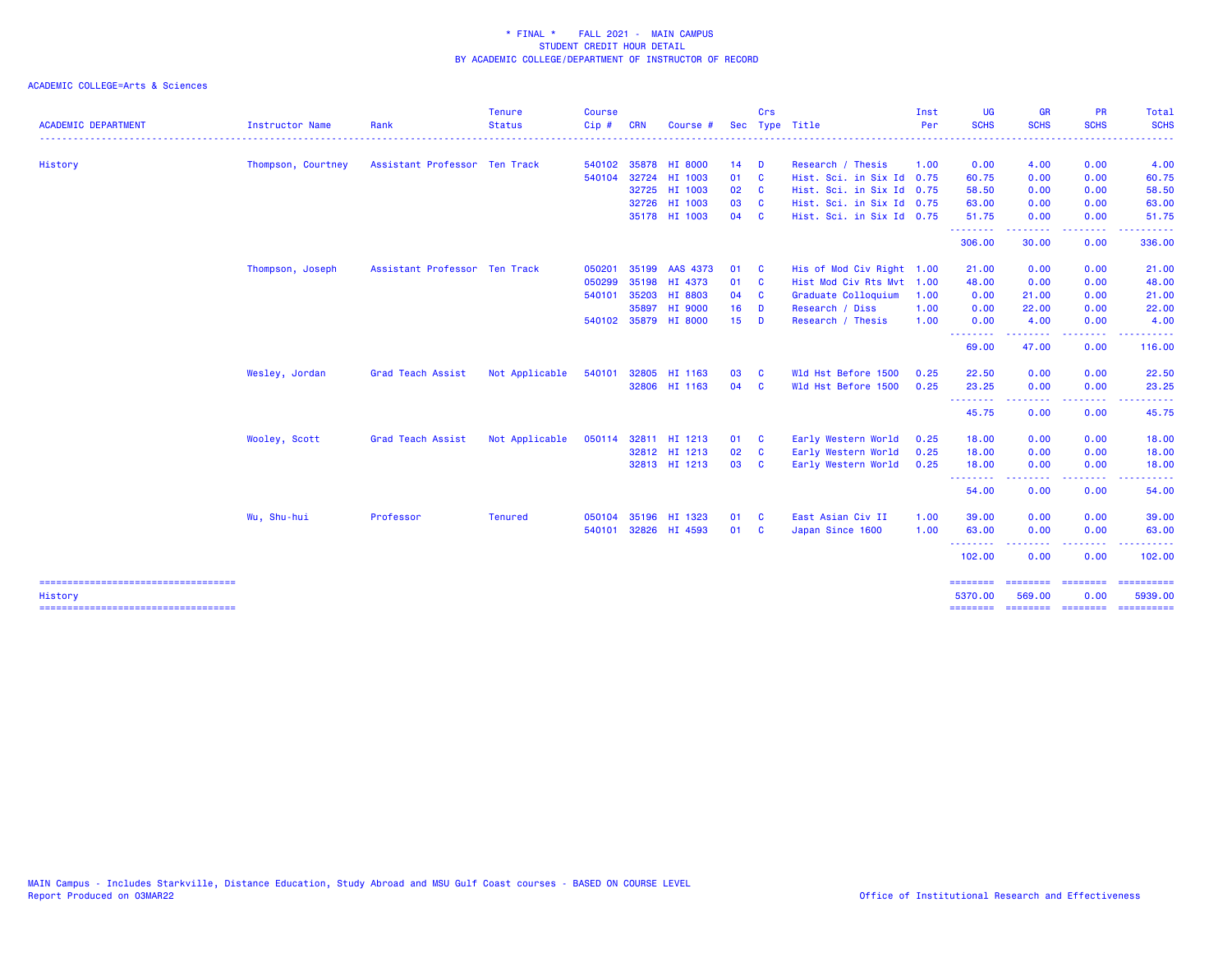| <b>ACADEMIC DEPARTMENT</b>                       | <b>Instructor Name</b> | Rank                          | <b>Tenure</b><br><b>Status</b> | <b>Course</b><br>Cip# | <b>CRN</b> | Course               | <b>Sec</b>      | Crs          | Type Title                | Inst<br>Per | <b>UG</b><br><b>SCHS</b>                      | <b>GR</b><br><b>SCHS</b>                                                                                                          | <b>PR</b><br><b>SCHS</b>  | Total<br><b>SCHS</b>                                                                                                      |
|--------------------------------------------------|------------------------|-------------------------------|--------------------------------|-----------------------|------------|----------------------|-----------------|--------------|---------------------------|-------------|-----------------------------------------------|-----------------------------------------------------------------------------------------------------------------------------------|---------------------------|---------------------------------------------------------------------------------------------------------------------------|
|                                                  |                        |                               |                                |                       |            |                      |                 |              |                           |             |                                               |                                                                                                                                   | <u>.</u>                  | $\frac{1}{2} \left( \frac{1}{2} \right) \left( \frac{1}{2} \right) \left( \frac{1}{2} \right) \left( \frac{1}{2} \right)$ |
| History                                          | Thompson, Courtney     | Assistant Professor Ten Track |                                | 540102                |            | 35878 HI 8000        | 14              | <b>D</b>     | Research / Thesis         | 1.00        | 0.00                                          | 4.00                                                                                                                              | 0.00                      | 4.00                                                                                                                      |
|                                                  |                        |                               |                                | 540104                |            | 32724 HI 1003        | 01              | $\mathbf{C}$ | Hist. Sci. in Six Id 0.75 |             | 60.75                                         | 0.00                                                                                                                              | 0.00                      | 60.75                                                                                                                     |
|                                                  |                        |                               |                                |                       |            | 32725 HI 1003        | 02 <sub>o</sub> | $\mathbf{C}$ | Hist. Sci. in Six Id 0.75 |             | 58.50                                         | 0.00                                                                                                                              | 0.00                      | 58.50                                                                                                                     |
|                                                  |                        |                               |                                |                       |            | 32726 HI 1003        | 03              | $\mathbf{C}$ | Hist. Sci. in Six Id 0.75 |             | 63.00                                         | 0.00                                                                                                                              | 0.00                      | 63.00                                                                                                                     |
|                                                  |                        |                               |                                |                       |            | 35178 HI 1003        | 04 C            |              | Hist. Sci. in Six Id 0.75 |             | 51.75<br>.                                    | 0.00<br>.                                                                                                                         | 0.00<br>.                 | 51.75<br>.                                                                                                                |
|                                                  |                        |                               |                                |                       |            |                      |                 |              |                           |             | 306.00                                        | 30.00                                                                                                                             | 0.00                      | 336.00                                                                                                                    |
|                                                  | Thompson, Joseph       | Assistant Professor Ten Track |                                | 050201                |            | 35199 AAS 4373       | 01              | <b>C</b>     | His of Mod Civ Right 1.00 |             | 21.00                                         | 0.00                                                                                                                              | 0.00                      | 21.00                                                                                                                     |
|                                                  |                        |                               |                                | 050299                |            | 35198 HI 4373        | 01              | $\mathbf{C}$ | Hist Mod Civ Rts Mvt 1.00 |             | 48.00                                         | 0.00                                                                                                                              | 0.00                      | 48.00                                                                                                                     |
|                                                  |                        |                               |                                | 540101                | 35203      | HI 8803              | 04              | $\mathbf{C}$ | Graduate Colloquium       | 1.00        | 0.00                                          | 21.00                                                                                                                             | 0.00                      | 21.00                                                                                                                     |
|                                                  |                        |                               |                                |                       | 35897      | HI 9000              | 16              | <b>D</b>     | Research / Diss           | 1.00        | 0.00                                          | 22.00                                                                                                                             | 0.00                      | 22.00                                                                                                                     |
|                                                  |                        |                               |                                |                       |            | 540102 35879 HI 8000 | 15              | <b>D</b>     | Research / Thesis         | 1.00        | 0.00<br><b><i><u><u>ALLER ARE</u></u></i></b> | 4.00<br><u>.</u>                                                                                                                  | 0.00<br>المالما لمالية ال | 4.00<br>.                                                                                                                 |
|                                                  |                        |                               |                                |                       |            |                      |                 |              |                           |             | 69.00                                         | 47.00                                                                                                                             | 0.00                      | 116.00                                                                                                                    |
|                                                  | Wesley, Jordan         | Grad Teach Assist             | Not Applicable                 | 540101                |            | 32805 HI 1163        | 03              | <b>C</b>     | Wld Hst Before 1500       | 0.25        | 22.50                                         | 0.00                                                                                                                              | 0.00                      | 22.50                                                                                                                     |
|                                                  |                        |                               |                                |                       |            | 32806 HI 1163        | 04              | $\mathbf{C}$ | Wld Hst Before 1500       | 0.25        | 23.25<br><b><i><u><u>AAAAAAA</u></u></i></b>  | 0.00<br>$\frac{1}{2} \left( \frac{1}{2} \right) \left( \frac{1}{2} \right) \left( \frac{1}{2} \right) \left( \frac{1}{2} \right)$ | 0.00<br>.                 | 23.25<br>.                                                                                                                |
|                                                  |                        |                               |                                |                       |            |                      |                 |              |                           |             | 45.75                                         | 0.00                                                                                                                              | 0.00                      | 45.75                                                                                                                     |
|                                                  | Wooley, Scott          | Grad Teach Assist             | Not Applicable                 | 050114                |            | 32811 HI 1213        | 01 C            |              | Early Western World       | 0.25        | 18.00                                         | 0.00                                                                                                                              | 0.00                      | 18.00                                                                                                                     |
|                                                  |                        |                               |                                |                       |            | 32812 HI 1213        | 02 C            |              | Early Western World       | 0.25        | 18.00                                         | 0.00                                                                                                                              | 0.00                      | 18.00                                                                                                                     |
|                                                  |                        |                               |                                |                       |            | 32813 HI 1213        | 03              | $\mathbf{C}$ | Early Western World       | 0.25        | 18.00                                         | 0.00<br>.                                                                                                                         | 0.00<br>----              | 18.00                                                                                                                     |
|                                                  |                        |                               |                                |                       |            |                      |                 |              |                           |             | .<br>54.00                                    | 0.00                                                                                                                              | 0.00                      | 54.00                                                                                                                     |
|                                                  | Wu, Shu-hui            | Professor                     | <b>Tenured</b>                 | 050104                |            | 35196 HI 1323        | 01 C            |              | East Asian Civ II         | 1.00        | 39.00                                         | 0.00                                                                                                                              | 0.00                      | 39.00                                                                                                                     |
|                                                  |                        |                               |                                | 540101                |            | 32826 HI 4593        | 01 C            |              | Japan Since 1600          | 1.00        | 63.00                                         | 0.00                                                                                                                              | 0.00                      | 63.00                                                                                                                     |
|                                                  |                        |                               |                                |                       |            |                      |                 |              |                           |             | --------<br>102.00                            | 0.00                                                                                                                              | $- - - -$<br>0.00         | 102.00                                                                                                                    |
| =====================================<br>History |                        |                               |                                |                       |            |                      |                 |              |                           |             | ---------<br>5370.00                          | 569.00                                                                                                                            | ---------<br>0.00         | ==========<br>5939.00                                                                                                     |
| =====================================            |                        |                               |                                |                       |            |                      |                 |              |                           |             | <b>SESSESSE</b>                               |                                                                                                                                   |                           | ==========                                                                                                                |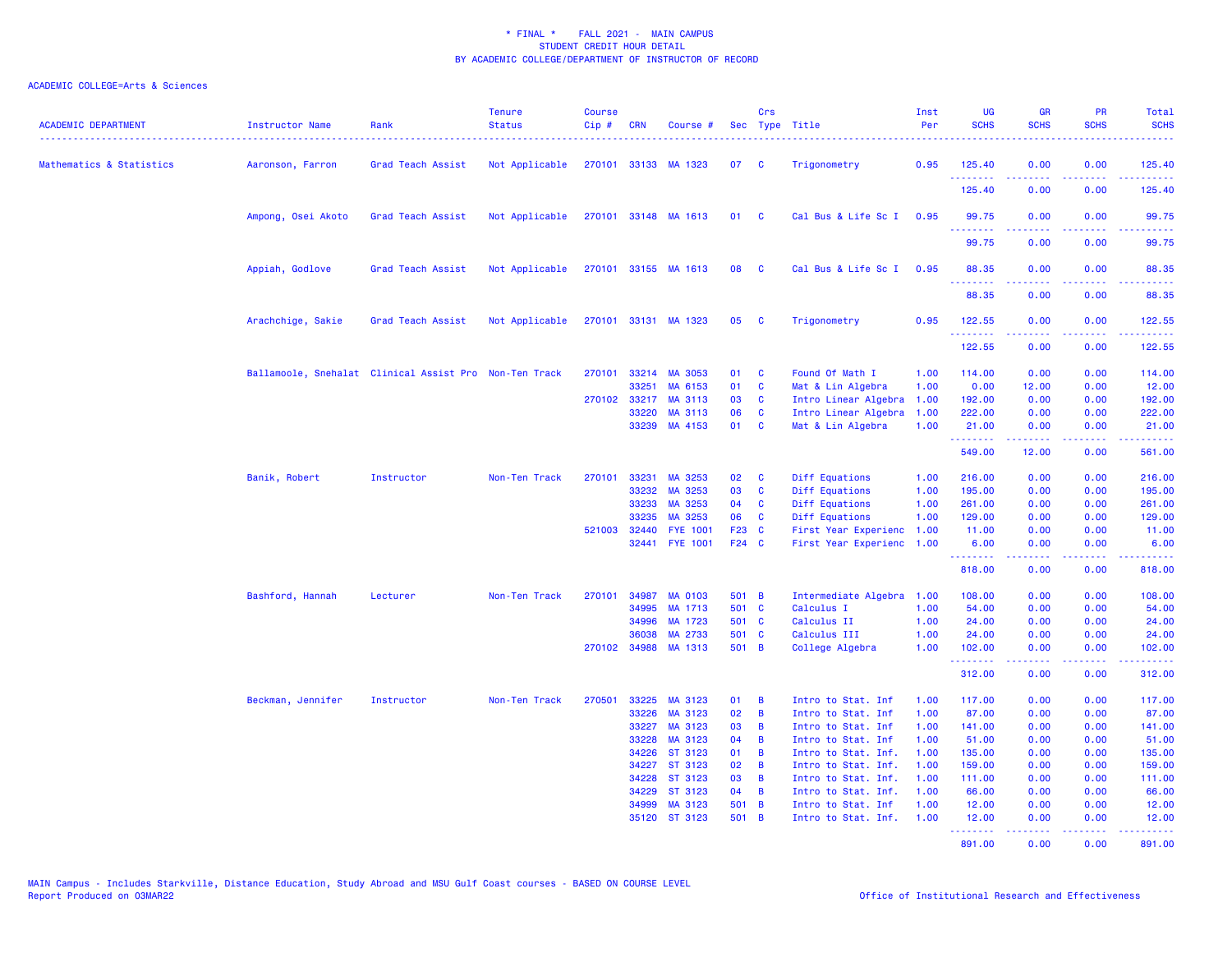| <b>ACADEMIC DEPARTMENT</b> | Instructor Name    | Rank                                                   | <b>Tenure</b><br><b>Status</b> | <b>Course</b><br>Cip# | <b>CRN</b>   | Course #             |       | Crs          | Sec Type Title       | Inst<br>Per | <b>UG</b><br><b>SCHS</b> | <b>GR</b><br><b>SCHS</b> | PR<br><b>SCHS</b> | Total<br><b>SCHS</b> |
|----------------------------|--------------------|--------------------------------------------------------|--------------------------------|-----------------------|--------------|----------------------|-------|--------------|----------------------|-------------|--------------------------|--------------------------|-------------------|----------------------|
| Mathematics & Statistics   | Aaronson, Farron   | Grad Teach Assist                                      | Not Applicable                 |                       |              | 270101 33133 MA 1323 | 07    | <b>C</b>     | Trigonometry         | 0.95        | 125.40<br><b>.</b>       | 0.00<br>.                | 0.00<br>والمحامر  | 125.40<br><u>.</u>   |
|                            |                    |                                                        |                                |                       |              |                      |       |              |                      |             | 125.40                   | 0.00                     | 0.00              | 125.40               |
|                            | Ampong, Osei Akoto | Grad Teach Assist                                      | Not Applicable                 |                       |              | 270101 33148 MA 1613 | 01    | <b>C</b>     | Cal Bus & Life Sc I  | 0.95        | 99.75<br>.               | 0.00<br>.                | 0.00<br>.         | 99.75<br>.           |
|                            |                    |                                                        |                                |                       |              |                      |       |              |                      |             | 99.75                    | 0.00                     | 0.00              | 99.75                |
|                            | Appiah, Godlove    | Grad Teach Assist                                      | Not Applicable                 |                       |              | 270101 33155 MA 1613 | 08    | <b>C</b>     | Cal Bus & Life Sc I  | 0.95        | 88.35<br>.               | 0.00<br>.                | 0.00<br>د د د د   | 88.35<br>د د د د د   |
|                            |                    |                                                        |                                |                       |              |                      |       |              |                      |             | 88.35                    | 0.00                     | 0.00              | 88.35                |
|                            | Arachchige, Sakie  | Grad Teach Assist                                      | Not Applicable                 |                       |              | 270101 33131 MA 1323 | 05    | <b>C</b>     | Trigonometry         | 0.95        | 122.55<br>.              | 0.00                     | 0.00              | 122.55<br>.          |
|                            |                    |                                                        |                                |                       |              |                      |       |              |                      |             | 122.55                   | 0.00                     | 0.00              | 122.55               |
|                            |                    | Ballamoole, Snehalat Clinical Assist Pro Non-Ten Track |                                | 270101                |              | 33214 MA 3053        | 01    | <b>C</b>     | Found Of Math I      | 1.00        | 114.00                   | 0.00                     | 0.00              | 114.00               |
|                            |                    |                                                        |                                |                       | 33251        | MA 6153              | 01    | C            | Mat & Lin Algebra    | 1.00        | 0.00                     | 12.00                    | 0.00              | 12.00                |
|                            |                    |                                                        |                                | 270102                | 33217        | MA 3113              | 03    | C            | Intro Linear Algebra | 1.00        | 192.00                   | 0.00                     | 0.00              | 192.00               |
|                            |                    |                                                        |                                |                       | 33220        | MA 3113              | 06    | <b>C</b>     | Intro Linear Algebra | 1.00        | 222.00                   | 0.00                     | 0.00              | 222.00               |
|                            |                    |                                                        |                                |                       |              | 33239 MA 4153        | 01    | $\mathbf{C}$ | Mat & Lin Algebra    | 1.00        | 21.00<br>.               | 0.00<br>22222            | 0.00<br>د د د د   | 21.00<br>.           |
|                            |                    |                                                        |                                |                       |              |                      |       |              |                      |             | 549.00                   | 12.00                    | 0.00              | 561.00               |
|                            | Banik, Robert      | Instructor                                             | Non-Ten Track                  | 270101                | 33231        | MA 3253              | 02    | C            | Diff Equations       | 1.00        | 216.00                   | 0.00                     | 0.00              | 216.00               |
|                            |                    |                                                        |                                |                       | 33232        | MA 3253              | 03    | C            | Diff Equations       | 1.00        | 195.00                   | 0.00                     | 0.00              | 195.00               |
|                            |                    |                                                        |                                |                       | 33233        | MA 3253              | 04    | <b>C</b>     | Diff Equations       | 1.00        | 261.00                   | 0.00                     | 0.00              | 261.00               |
|                            |                    |                                                        |                                |                       | 33235        | MA 3253              | 06    | C            | Diff Equations       | 1.00        | 129.00                   | 0.00                     | 0.00              | 129.00               |
|                            |                    |                                                        |                                | 521003                | 32440        | <b>FYE 1001</b>      | F23 C |              | First Year Experienc | 1.00        | 11.00                    | 0.00                     | 0.00              | 11.00                |
|                            |                    |                                                        |                                |                       |              | 32441 FYE 1001       | F24 C |              | First Year Experienc | 1.00        | 6.00<br>.                | 0.00                     | 0.00              | 6.00<br>.            |
|                            |                    |                                                        |                                |                       |              |                      |       |              |                      |             | 818.00                   | 0.00                     | 0.00              | 818.00               |
|                            | Bashford, Hannah   | Lecturer                                               | Non-Ten Track                  | 270101                | 34987        | <b>MA 0103</b>       | 501 B |              | Intermediate Algebra | 1.00        | 108.00                   | 0.00                     | 0.00              | 108.00               |
|                            |                    |                                                        |                                |                       | 34995        | MA 1713              | 501 C |              | Calculus I           | 1.00        | 54.00                    | 0.00                     | 0.00              | 54.00                |
|                            |                    |                                                        |                                |                       | 34996        | MA 1723              | 501 C |              | Calculus II          | 1.00        | 24.00                    | 0.00                     | 0.00              | 24.00                |
|                            |                    |                                                        |                                |                       | 36038        | MA 2733              | 501 C |              | Calculus III         | 1.00        | 24.00                    | 0.00                     | 0.00              | 24.00                |
|                            |                    |                                                        |                                |                       | 270102 34988 | MA 1313              | 501 B |              | College Algebra      | 1.00        | 102.00<br>.              | 0.00<br>-----            | 0.00<br>-----     | 102.00<br><u>.</u>   |
|                            |                    |                                                        |                                |                       |              |                      |       |              |                      |             | 312.00                   | 0.00                     | 0.00              | 312.00               |
|                            | Beckman, Jennifer  | Instructor                                             | Non-Ten Track                  | 270501                | 33225        | MA 3123              | 01    | B            | Intro to Stat. Inf   | 1.00        | 117.00                   | 0.00                     | 0.00              | 117.00               |
|                            |                    |                                                        |                                |                       | 33226        | MA 3123              | 02    | B            | Intro to Stat. Inf   | 1.00        | 87.00                    | 0.00                     | 0.00              | 87.00                |
|                            |                    |                                                        |                                |                       | 33227        | MA 3123              | 03    | B            | Intro to Stat. Inf   | 1.00        | 141.00                   | 0.00                     | 0.00              | 141.00               |
|                            |                    |                                                        |                                |                       | 33228        | MA 3123              | 04    | B            | Intro to Stat. Inf   | 1.00        | 51.00                    | 0.00                     | 0.00              | 51.00                |
|                            |                    |                                                        |                                |                       | 34226        | ST 3123              | 01    | B            | Intro to Stat. Inf.  | 1.00        | 135.00                   | 0.00                     | 0.00              | 135.00               |
|                            |                    |                                                        |                                |                       | 34227        | ST 3123              | 02    | B            | Intro to Stat. Inf.  | 1.00        | 159.00                   | 0.00                     | 0.00              | 159.00               |
|                            |                    |                                                        |                                |                       | 34228        | ST 3123              | 03    | B            | Intro to Stat. Inf.  | 1.00        | 111.00                   | 0.00                     | 0.00              | 111.00               |
|                            |                    |                                                        |                                |                       | 34229        | ST 3123              | 04    | B            | Intro to Stat. Inf.  | 1.00        | 66.00                    | 0.00                     | 0.00              | 66.00                |
|                            |                    |                                                        |                                |                       | 34999        | MA 3123              | 501 B |              | Intro to Stat. Inf   | 1.00        | 12.00                    | 0.00                     | 0.00              | 12.00                |
|                            |                    |                                                        |                                |                       |              | 35120 ST 3123        | 501 B |              | Intro to Stat. Inf.  | 1.00        | 12.00<br><u>.</u> .      | 0.00<br><u>.</u>         | 0.00<br><u>.</u>  | 12.00<br><u>.</u>    |
|                            |                    |                                                        |                                |                       |              |                      |       |              |                      |             | 891.00                   | 0.00                     | 0.00              | 891.00               |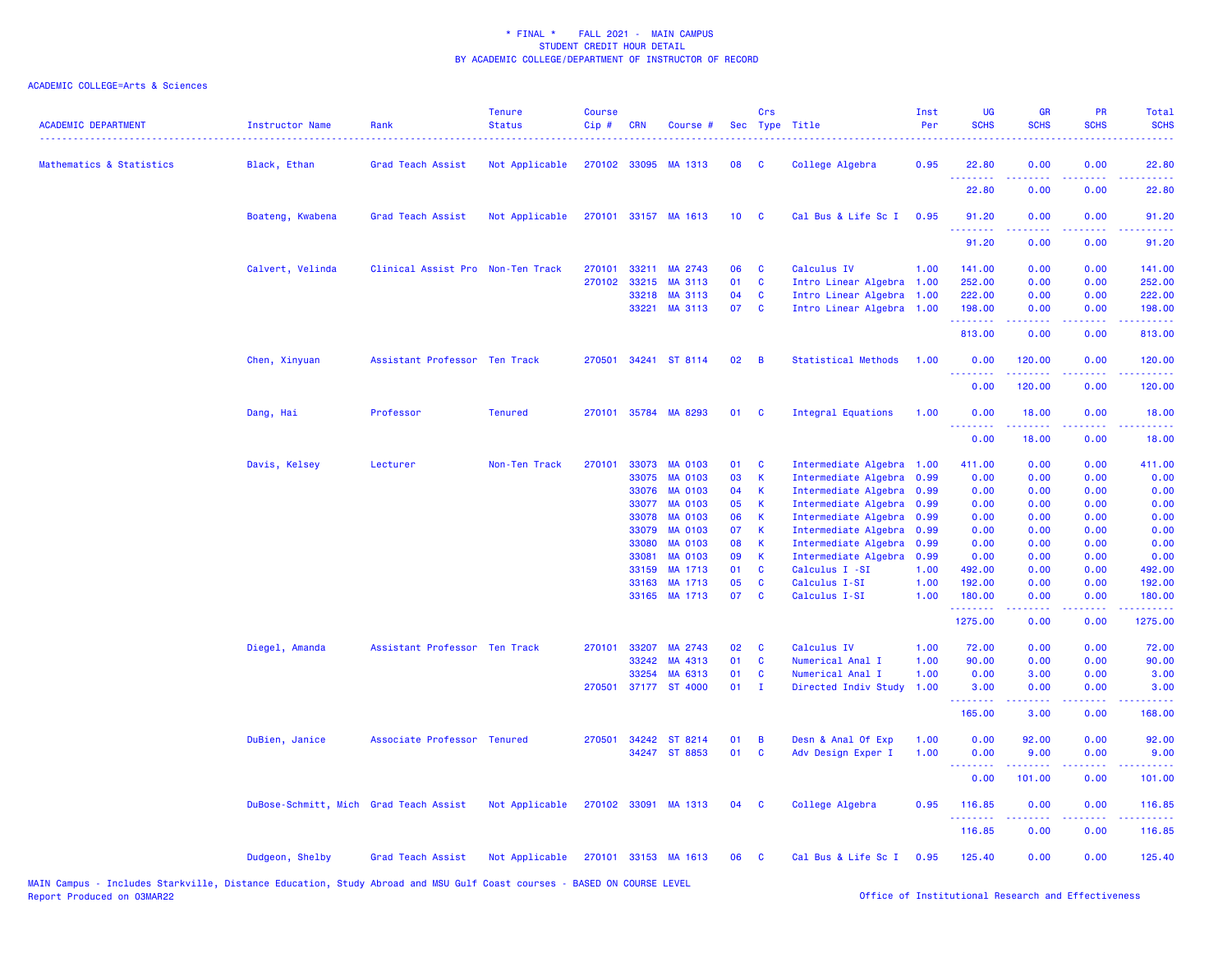| <b>ACADEMIC DEPARTMENT</b> | Instructor Name                        | Rank                              | <b>Tenure</b><br><b>Status</b> | <b>Course</b><br>Cip# | <b>CRN</b>     | Course #                  |                 | Crs               | Sec Type Title                         | Inst<br>Per<br>. | UG<br><b>SCHS</b> | <b>GR</b><br><b>SCHS</b>                                                                                                                                     | PR<br><b>SCHS</b>                   | Total<br><b>SCHS</b><br>$- - - - -$                                                                                                                           |
|----------------------------|----------------------------------------|-----------------------------------|--------------------------------|-----------------------|----------------|---------------------------|-----------------|-------------------|----------------------------------------|------------------|-------------------|--------------------------------------------------------------------------------------------------------------------------------------------------------------|-------------------------------------|---------------------------------------------------------------------------------------------------------------------------------------------------------------|
| Mathematics & Statistics   | Black, Ethan                           | Grad Teach Assist                 | Not Applicable                 |                       |                | 270102 33095 MA 1313      | 08              | <b>C</b>          | College Algebra                        | 0.95             | 22.80<br>.        | 0.00<br>.                                                                                                                                                    | 0.00<br>$\sim$ $\sim$ $\sim$        | 22.80<br>.                                                                                                                                                    |
|                            |                                        |                                   |                                |                       |                |                           |                 |                   |                                        |                  | 22.80             | 0.00                                                                                                                                                         | 0.00                                | 22.80                                                                                                                                                         |
|                            | Boateng, Kwabena                       | Grad Teach Assist                 | Not Applicable                 |                       |                | 270101 33157 MA 1613      | 10 <sub>1</sub> | <b>C</b>          | Cal Bus & Life Sc I                    | 0.95             | 91.20<br><u>.</u> | 0.00                                                                                                                                                         | 0.00<br>$\sim$ $\sim$ $\sim$ $\sim$ | 91.20<br>.                                                                                                                                                    |
|                            |                                        |                                   |                                |                       |                |                           |                 |                   |                                        |                  | 91.20             | 0.00                                                                                                                                                         | 0.00                                | 91.20                                                                                                                                                         |
|                            | Calvert, Velinda                       | Clinical Assist Pro Non-Ten Track |                                | 270101                | 33211          | MA 2743                   | 06              | <b>C</b>          | Calculus IV                            | 1.00             | 141.00            | 0.00                                                                                                                                                         | 0.00                                | 141.00                                                                                                                                                        |
|                            |                                        |                                   |                                |                       | 270102 33215   | MA 3113                   | 01              | $\mathbf{C}$      | Intro Linear Algebra 1.00              |                  | 252.00            | 0.00                                                                                                                                                         | 0.00                                | 252.00                                                                                                                                                        |
|                            |                                        |                                   |                                |                       | 33218          | MA 3113                   | 04              | C                 | Intro Linear Algebra 1.00              |                  | 222.00            | 0.00                                                                                                                                                         | 0.00                                | 222.00                                                                                                                                                        |
|                            |                                        |                                   |                                |                       | 33221          | MA 3113                   | 07              | $\mathbf{C}$      | Intro Linear Algebra 1.00              |                  | 198.00<br>.       | 0.00<br>.                                                                                                                                                    | 0.00<br>.                           | 198.00<br>، د د د د د د                                                                                                                                       |
|                            |                                        |                                   |                                |                       |                |                           |                 |                   |                                        |                  | 813.00            | 0.00                                                                                                                                                         | 0.00                                | 813.00                                                                                                                                                        |
|                            | Chen, Xinyuan                          | Assistant Professor Ten Track     |                                | 270501                |                | 34241 ST 8114             | 02              | B                 | <b>Statistical Methods</b>             | 1.00             | 0.00<br>.         | 120.00<br>.                                                                                                                                                  | 0.00<br>د د د د .                   | 120.00<br>.                                                                                                                                                   |
|                            |                                        |                                   |                                |                       |                |                           |                 |                   |                                        |                  | 0.00              | 120.00                                                                                                                                                       | 0.00                                | 120.00                                                                                                                                                        |
|                            | Dang, Hai                              | Professor                         | <b>Tenured</b>                 | 270101                |                | 35784 MA 8293             | 01              | <b>C</b>          | Integral Equations                     | 1.00             | 0.00<br><u>.</u>  | 18.00<br>.                                                                                                                                                   | 0.00<br>22222                       | 18.00<br>$\frac{1}{2} \left( \frac{1}{2} \right) \left( \frac{1}{2} \right) \left( \frac{1}{2} \right) \left( \frac{1}{2} \right) \left( \frac{1}{2} \right)$ |
|                            |                                        |                                   |                                |                       |                |                           |                 |                   |                                        |                  | 0.00              | 18.00                                                                                                                                                        | 0.00                                | 18.00                                                                                                                                                         |
|                            | Davis, Kelsey                          | Lecturer                          | Non-Ten Track                  | 270101                | 33073          | <b>MA 0103</b>            | 01              | <b>C</b>          | Intermediate Algebra 1.00              |                  | 411.00            | 0.00                                                                                                                                                         | 0.00                                | 411.00                                                                                                                                                        |
|                            |                                        |                                   |                                |                       | 33075          | MA 0103                   | 03              | $\mathbf K$       | Intermediate Algebra                   | 0.99             | 0.00              | 0.00                                                                                                                                                         | 0.00                                | 0.00                                                                                                                                                          |
|                            |                                        |                                   |                                |                       | 33076          | <b>MA 0103</b>            | 04              | К                 | Intermediate Algebra                   | 0.99             | 0.00              | 0.00                                                                                                                                                         | 0.00                                | 0.00                                                                                                                                                          |
|                            |                                        |                                   |                                |                       | 33077          | <b>MA 0103</b>            | 05              | <b>K</b>          | Intermediate Algebra                   | 0.99             | 0.00              | 0.00                                                                                                                                                         | 0.00                                | 0.00                                                                                                                                                          |
|                            |                                        |                                   |                                |                       | 33078          | MA 0103                   | 06              | K                 | Intermediate Algebra 0.99              |                  | 0.00              | 0.00                                                                                                                                                         | 0.00                                | 0.00                                                                                                                                                          |
|                            |                                        |                                   |                                |                       | 33079          | <b>MA 0103</b>            | 07              | $\mathsf K$       | Intermediate Algebra                   | 0.99             | 0.00              | 0.00                                                                                                                                                         | 0.00                                | 0.00                                                                                                                                                          |
|                            |                                        |                                   |                                |                       | 33080          | MA 0103                   | 08              | K                 | Intermediate Algebra 0.99              |                  | 0.00              | 0.00                                                                                                                                                         | 0.00                                | 0.00                                                                                                                                                          |
|                            |                                        |                                   |                                |                       | 33081<br>33159 | <b>MA 0103</b><br>MA 1713 | 09<br>01        | K<br>$\mathbf{C}$ | Intermediate Algebra<br>Calculus I -SI | 0.99<br>1.00     | 0.00<br>492.00    | 0.00<br>0.00                                                                                                                                                 | 0.00<br>0.00                        | 0.00<br>492.00                                                                                                                                                |
|                            |                                        |                                   |                                |                       | 33163          | MA 1713                   | 05              | $\mathbf{C}$      | Calculus I-SI                          | 1.00             | 192.00            | 0.00                                                                                                                                                         | 0.00                                | 192.00                                                                                                                                                        |
|                            |                                        |                                   |                                |                       |                | 33165 MA 1713             | 07              | $\mathbf{C}$      | Calculus I-SI                          | 1.00             | 180.00            | 0.00                                                                                                                                                         | 0.00                                | 180.00                                                                                                                                                        |
|                            |                                        |                                   |                                |                       |                |                           |                 |                   |                                        |                  | .<br>1275.00      | 0.00                                                                                                                                                         | $  -$<br>0.00                       | .<br>1275.00                                                                                                                                                  |
|                            | Diegel, Amanda                         | Assistant Professor Ten Track     |                                | 270101                | 33207          | MA 2743                   | 02              | C                 | Calculus IV                            | 1.00             | 72.00             | 0.00                                                                                                                                                         | 0.00                                | 72.00                                                                                                                                                         |
|                            |                                        |                                   |                                |                       | 33242          | MA 4313                   | 01              | $\mathbf{C}$      | Numerical Anal I                       | 1.00             | 90.00             | 0.00                                                                                                                                                         | 0.00                                | 90.00                                                                                                                                                         |
|                            |                                        |                                   |                                |                       | 33254          | MA 6313                   | 01              | $\mathbf{C}$      | Numerical Anal I                       | 1.00             | 0.00              | 3.00                                                                                                                                                         | 0.00                                | 3.00                                                                                                                                                          |
|                            |                                        |                                   |                                |                       |                | 270501 37177 ST 4000      | $01$ I          |                   | Directed Indiv Study                   | 1.00             | 3.00<br>--------  | 0.00<br>2.2.2.2.2                                                                                                                                            | 0.00<br>.                           | 3.00<br>.                                                                                                                                                     |
|                            |                                        |                                   |                                |                       |                |                           |                 |                   |                                        |                  | 165.00            | 3.00                                                                                                                                                         | 0.00                                | 168.00                                                                                                                                                        |
|                            | DuBien, Janice                         | Associate Professor Tenured       |                                | 270501                | 34242          | ST 8214                   | 01              | B                 | Desn & Anal Of Exp                     | 1.00             | 0.00              | 92.00                                                                                                                                                        | 0.00                                | 92.00                                                                                                                                                         |
|                            |                                        |                                   |                                |                       |                | 34247 ST 8853             | 01              | $\mathbf{C}$      | Adv Design Exper I                     | 1.00             | 0.00<br><u>.</u>  | 9.00                                                                                                                                                         | 0.00<br>$\sim$ $\sim$ $\sim$ $\sim$ | 9.00<br>$\omega_{\alpha}=\omega_{\alpha}=\omega_{\alpha}$                                                                                                     |
|                            |                                        |                                   |                                |                       |                |                           |                 |                   |                                        |                  | 0.00              | 101.00                                                                                                                                                       | 0.00                                | 101.00                                                                                                                                                        |
|                            | DuBose-Schmitt, Mich Grad Teach Assist |                                   | Not Applicable                 |                       |                | 270102 33091 MA 1313      | 04 C            |                   | College Algebra                        | 0.95             | 116.85<br>.       | 0.00<br>$\frac{1}{2} \left( \frac{1}{2} \right) \left( \frac{1}{2} \right) \left( \frac{1}{2} \right) \left( \frac{1}{2} \right) \left( \frac{1}{2} \right)$ | 0.00<br>.                           | 116.85<br>.                                                                                                                                                   |
|                            |                                        |                                   |                                |                       |                |                           |                 |                   |                                        |                  | 116.85            | 0.00                                                                                                                                                         | 0.00                                | 116.85                                                                                                                                                        |
|                            | Dudgeon, Shelby                        | Grad Teach Assist                 | Not Applicable                 |                       |                | 270101 33153 MA 1613      | 06              | <b>C</b>          | Cal Bus & Life Sc I                    | 0.95             | 125.40            | 0.00                                                                                                                                                         | 0.00                                | 125.40                                                                                                                                                        |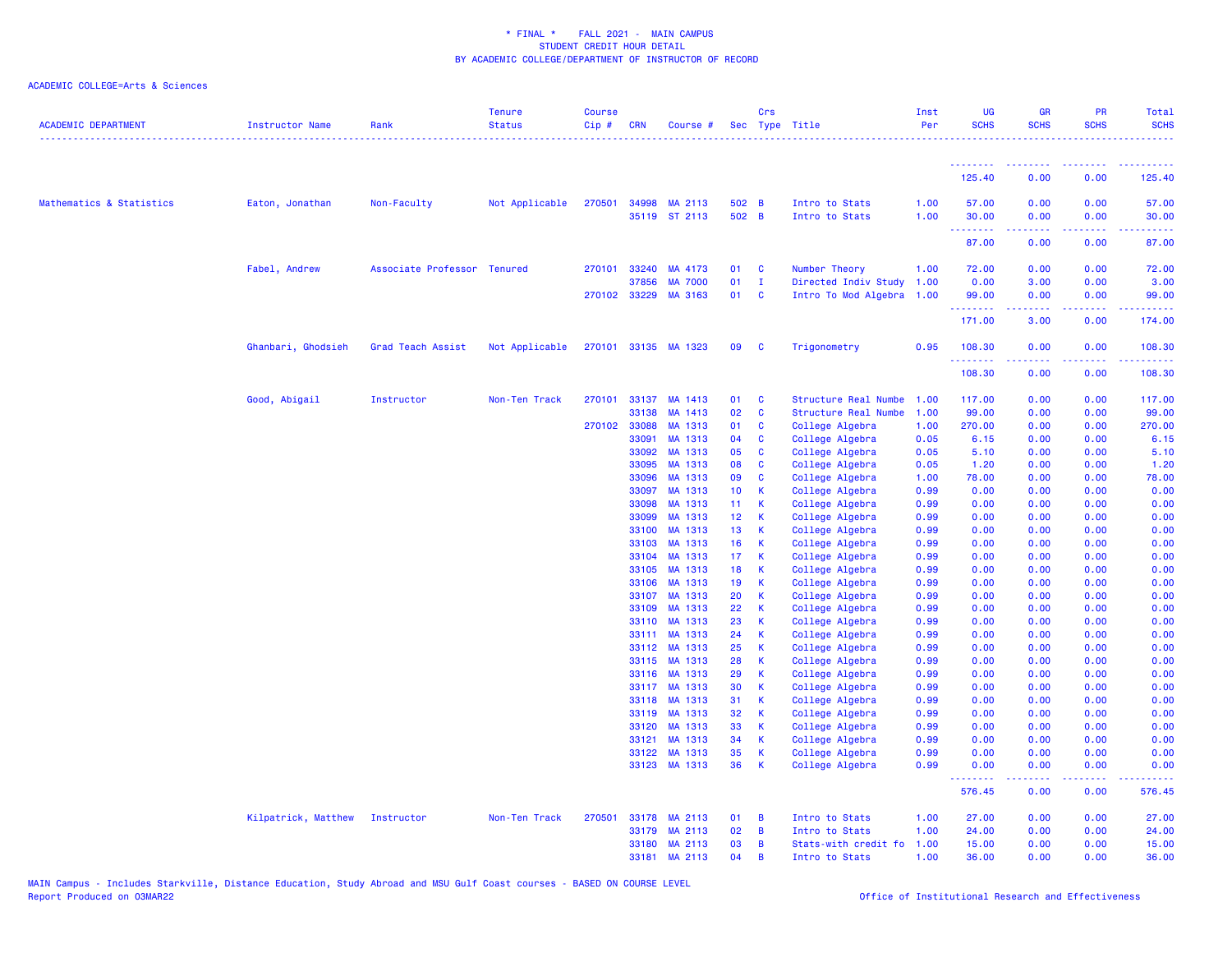| <b>ACADEMIC DEPARTMENT</b> | Instructor Name     | Rank                        | <b>Tenure</b><br><b>Status</b> | <b>Course</b><br>Cip# | <b>CRN</b>     | Course #                 |                 | <b>Crs</b>       | Sec Type Title                     | Inst<br>Per  | <b>UG</b><br><b>SCHS</b>   | <b>GR</b><br><b>SCHS</b>      | <b>PR</b><br><b>SCHS</b> | Total<br><b>SCHS</b>                             |
|----------------------------|---------------------|-----------------------------|--------------------------------|-----------------------|----------------|--------------------------|-----------------|------------------|------------------------------------|--------------|----------------------------|-------------------------------|--------------------------|--------------------------------------------------|
|                            |                     |                             |                                |                       |                |                          |                 |                  |                                    |              | <u>.</u>                   | <b><i><u>AAAAAAAA</u></i></b> | .                        |                                                  |
|                            |                     |                             |                                |                       |                |                          |                 |                  |                                    |              | 125.40                     | 0.00                          | 0.00                     | 125.40                                           |
| Mathematics & Statistics   | Eaton, Jonathan     | Non-Faculty                 | Not Applicable                 |                       | 270501 34998   | MA 2113<br>35119 ST 2113 | 502 B<br>502 B  |                  | Intro to Stats<br>Intro to Stats   | 1.00<br>1.00 | 57.00<br>30.00<br><b>.</b> | 0.00<br>0.00<br>.             | 0.00<br>0.00<br>.        | 57.00<br>30.00<br>.                              |
|                            |                     |                             |                                |                       |                |                          |                 |                  |                                    |              | 87.00                      | 0.00                          | 0.00                     | 87.00                                            |
|                            | Fabel, Andrew       | Associate Professor Tenured |                                | 270101                | 33240          | MA 4173                  | 01              | $\mathbf{C}$     | Number Theory                      | 1.00         | 72.00                      | 0.00                          | 0.00                     | 72.00                                            |
|                            |                     |                             |                                |                       | 37856          | <b>MA 7000</b>           | 01              | $\mathbf{I}$     | Directed Indiv Study 1.00          |              | 0.00                       | 3.00                          | 0.00                     | 3.00                                             |
|                            |                     |                             |                                |                       |                | 270102 33229 MA 3163     | 01              | <b>C</b>         | Intro To Mod Algebra 1.00          |              | 99.00<br>.                 | 0.00                          | 0.00                     | 99.00                                            |
|                            |                     |                             |                                |                       |                |                          |                 |                  |                                    |              | 171.00                     | 3.00                          | 0.00                     | 174.00                                           |
|                            | Ghanbari, Ghodsieh  | Grad Teach Assist           | Not Applicable                 |                       |                | 270101 33135 MA 1323     | 09              | <b>C</b>         | Trigonometry                       | 0.95         | 108.30<br>.                | 0.00                          | 0.00                     | 108.30                                           |
|                            |                     |                             |                                |                       |                |                          |                 |                  |                                    |              | 108.30                     | 0.00                          | 0.00                     | 108.30                                           |
|                            | Good, Abigail       | Instructor                  | Non-Ten Track                  |                       |                | 270101 33137 MA 1413     | 01              | <b>C</b>         | Structure Real Numbe               | 1.00         | 117.00                     | 0.00                          | 0.00                     | 117.00                                           |
|                            |                     |                             |                                |                       | 33138          | MA 1413                  | 02              | C                | Structure Real Numbe               | 1.00         | 99.00                      | 0.00                          | 0.00                     | 99.00                                            |
|                            |                     |                             |                                |                       | 270102 33088   | MA 1313                  | 01              | C                | College Algebra                    | 1.00         | 270.00                     | 0.00                          | 0.00                     | 270.00                                           |
|                            |                     |                             |                                |                       | 33091          | MA 1313                  | 04              | $\mathbf{C}$     | College Algebra                    | 0.05         | 6.15                       | 0.00                          | 0.00                     | 6.15                                             |
|                            |                     |                             |                                |                       | 33092<br>33095 | MA 1313<br>MA 1313       | 05<br>08        | <b>C</b><br>C    | College Algebra                    | 0.05         | 5.10                       | 0.00<br>0.00                  | 0.00<br>0.00             | 5.10<br>1.20                                     |
|                            |                     |                             |                                |                       | 33096          | MA 1313                  | 09              | C                | College Algebra<br>College Algebra | 0.05<br>1.00 | 1.20<br>78.00              | 0.00                          | 0.00                     | 78.00                                            |
|                            |                     |                             |                                |                       | 33097          | MA 1313                  | 10 <sub>1</sub> | K                | College Algebra                    | 0.99         | 0.00                       | 0.00                          | 0.00                     | 0.00                                             |
|                            |                     |                             |                                |                       | 33098          | MA 1313                  | 11              | K                | College Algebra                    | 0.99         | 0.00                       | 0.00                          | 0.00                     | 0.00                                             |
|                            |                     |                             |                                |                       | 33099          | MA 1313                  | 12 <sub>1</sub> | K                | College Algebra                    | 0.99         | 0.00                       | 0.00                          | 0.00                     | 0.00                                             |
|                            |                     |                             |                                |                       | 33100          | MA 1313                  | 13              | К                | College Algebra                    | 0.99         | 0.00                       | 0.00                          | 0.00                     | 0.00                                             |
|                            |                     |                             |                                |                       | 33103          | MA 1313                  | 16              | $\mathbf{K}$     | College Algebra                    | 0.99         | 0.00                       | 0.00                          | 0.00                     | 0.00                                             |
|                            |                     |                             |                                |                       | 33104          | MA 1313                  | 17 <sub>1</sub> | К                | College Algebra                    | 0.99         | 0.00                       | 0.00                          | 0.00                     | 0.00                                             |
|                            |                     |                             |                                |                       | 33105          | MA 1313                  | 18              | К                | College Algebra                    | 0.99         | 0.00                       | 0.00                          | 0.00                     | 0.00                                             |
|                            |                     |                             |                                |                       | 33106          | MA 1313                  | 19              | K                | College Algebra                    | 0.99         | 0.00                       | 0.00                          | 0.00                     | 0.00                                             |
|                            |                     |                             |                                |                       | 33107          | MA 1313                  | 20              | K                | College Algebra                    | 0.99         | 0.00                       | 0.00                          | 0.00                     | 0.00                                             |
|                            |                     |                             |                                |                       | 33109          | MA 1313                  | 22              | К                | College Algebra                    | 0.99         | 0.00                       | 0.00                          | 0.00                     | 0.00                                             |
|                            |                     |                             |                                |                       | 33110<br>33111 | MA 1313<br>MA 1313       | 23<br>24        | К<br>K           | College Algebra<br>College Algebra | 0.99<br>0.99 | 0.00<br>0.00               | 0.00<br>0.00                  | 0.00<br>0.00             | 0.00<br>0.00                                     |
|                            |                     |                             |                                |                       | 33112          | MA 1313                  | 25              | К                | College Algebra                    | 0.99         | 0.00                       | 0.00                          | 0.00                     | 0.00                                             |
|                            |                     |                             |                                |                       | 33115          | MA 1313                  | 28              | К                | College Algebra                    | 0.99         | 0.00                       | 0.00                          | 0.00                     | 0.00                                             |
|                            |                     |                             |                                |                       |                | 33116 MA 1313            | 29              | K                | College Algebra                    | 0.99         | 0.00                       | 0.00                          | 0.00                     | 0.00                                             |
|                            |                     |                             |                                |                       | 33117          | MA 1313                  | 30              | K                | College Algebra                    | 0.99         | 0.00                       | 0.00                          | 0.00                     | 0.00                                             |
|                            |                     |                             |                                |                       | 33118          | MA 1313                  | 31              | К                | College Algebra                    | 0.99         | 0.00                       | 0.00                          | 0.00                     | 0.00                                             |
|                            |                     |                             |                                |                       | 33119          | MA 1313                  | 32              | K                | College Algebra                    | 0.99         | 0.00                       | 0.00                          | 0.00                     | 0.00                                             |
|                            |                     |                             |                                |                       | 33120          | MA 1313                  | 33              | $\mathsf{K}$     | College Algebra                    | 0.99         | 0.00                       | 0.00                          | 0.00                     | 0.00                                             |
|                            |                     |                             |                                |                       | 33121          | MA 1313                  | 34              | К                | College Algebra                    | 0.99         | 0.00                       | 0.00                          | 0.00                     | 0.00                                             |
|                            |                     |                             |                                |                       | 33122          | MA 1313<br>33123 MA 1313 | 35<br>36        | К<br>$\mathsf K$ | College Algebra<br>College Algebra | 0.99<br>0.99 | 0.00<br>0.00               | 0.00<br>0.00                  | 0.00<br>0.00             | 0.00<br>0.00                                     |
|                            |                     |                             |                                |                       |                |                          |                 |                  |                                    |              | .<br>576.45                | بالمستمال<br>0.00             | .<br>0.00                | <b><i><u><u> - - - - -</u></u></i></b><br>576.45 |
|                            | Kilpatrick, Matthew | Instructor                  | Non-Ten Track                  | 270501                | 33178          | MA 2113                  | 01              | $\overline{B}$   | Intro to Stats                     | 1.00         | 27.00                      | 0.00                          | 0.00                     | 27.00                                            |
|                            |                     |                             |                                |                       | 33179          | MA 2113                  | 02              | B                | Intro to Stats                     | 1.00         | 24.00                      | 0.00                          | 0.00                     | 24.00                                            |
|                            |                     |                             |                                |                       |                | 33180 MA 2113            | 03              | B                | Stats-with credit fo 1.00          |              | 15.00                      | 0.00                          | 0.00                     | 15.00                                            |
|                            |                     |                             |                                |                       |                | 33181 MA 2113            | 04              | <b>B</b>         | Intro to Stats                     | 1.00         | 36.00                      | 0.00                          | 0.00                     | 36.00                                            |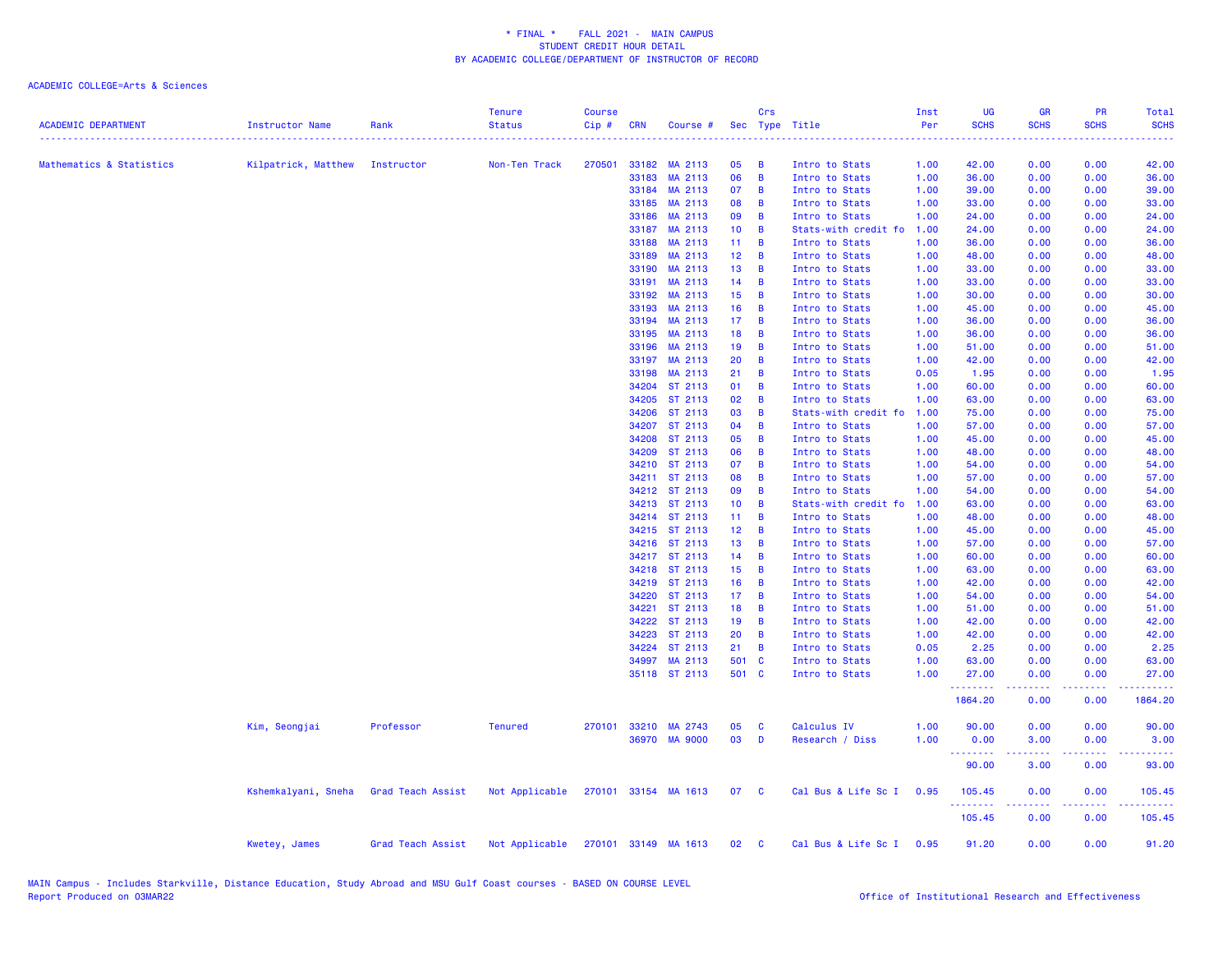| <b>ACADEMIC DEPARTMENT</b> | Instructor Name                | Rank              | <b>Tenure</b><br><b>Status</b>      | <b>Course</b><br>Cip# | <b>CRN</b> | Course #                 |                 | Crs                     | Sec Type Title                   | Inst<br>Per  | UG<br><b>SCHS</b> | <b>GR</b><br><b>SCHS</b> | PR<br><b>SCHS</b> | Total<br><b>SCHS</b> |
|----------------------------|--------------------------------|-------------------|-------------------------------------|-----------------------|------------|--------------------------|-----------------|-------------------------|----------------------------------|--------------|-------------------|--------------------------|-------------------|----------------------|
|                            |                                |                   |                                     |                       |            |                          |                 |                         |                                  |              |                   |                          |                   |                      |
| Mathematics & Statistics   | Kilpatrick, Matthew Instructor |                   | Non-Ten Track                       | 270501                |            | 33182 MA 2113            | 05<br>06        | В<br>B                  | Intro to Stats                   | 1.00         | 42.00             | 0.00                     | 0.00<br>0.00      | 42.00                |
|                            |                                |                   |                                     |                       | 33183      | MA 2113<br>33184 MA 2113 | 07              | B                       | Intro to Stats<br>Intro to Stats | 1.00<br>1.00 | 36.00<br>39.00    | 0.00<br>0.00             | 0.00              | 36.00<br>39.00       |
|                            |                                |                   |                                     |                       | 33185      | MA 2113                  | 08              | B                       | Intro to Stats                   | 1.00         | 33.00             | 0.00                     | 0.00              | 33.00                |
|                            |                                |                   |                                     |                       | 33186      | MA 2113                  | 09              | B                       | Intro to Stats                   | 1.00         | 24.00             | 0.00                     | 0.00              | 24.00                |
|                            |                                |                   |                                     |                       | 33187      | MA 2113                  | 10 <sub>1</sub> | B                       | Stats-with credit fo             | 1.00         | 24.00             | 0.00                     | 0.00              | 24.00                |
|                            |                                |                   |                                     |                       | 33188      | MA 2113                  | 11              | B                       | Intro to Stats                   | 1.00         | 36.00             | 0.00                     | 0.00              | 36.00                |
|                            |                                |                   |                                     |                       | 33189      | MA 2113                  | 12 <sup>2</sup> | B                       | Intro to Stats                   | 1.00         | 48.00             | 0.00                     | 0.00              | 48.00                |
|                            |                                |                   |                                     |                       | 33190      | MA 2113                  | 13              | B                       | Intro to Stats                   | 1.00         | 33.00             | 0.00                     | 0.00              | 33.00                |
|                            |                                |                   |                                     |                       | 33191      | MA 2113                  | 14              | B                       | Intro to Stats                   | 1.00         | 33.00             | 0.00                     | 0.00              | 33.00                |
|                            |                                |                   |                                     |                       |            | 33192 MA 2113            | 15              | B                       | Intro to Stats                   | 1.00         | 30.00             | 0.00                     | 0.00              | 30.00                |
|                            |                                |                   |                                     |                       |            | 33193 MA 2113            | 16              | B                       | Intro to Stats                   | 1.00         | 45.00             | 0.00                     | 0.00              | 45.00                |
|                            |                                |                   |                                     |                       | 33194      | MA 2113                  | 17 <sub>1</sub> | B                       | Intro to Stats                   | 1.00         | 36.00             | 0.00                     | 0.00              | 36.00                |
|                            |                                |                   |                                     |                       |            | 33195 MA 2113            | 18              | B                       | Intro to Stats                   | 1.00         | 36.00             | 0.00                     | 0.00              | 36.00                |
|                            |                                |                   |                                     |                       | 33196      | MA 2113                  | 19              | B                       | Intro to Stats                   | 1.00         | 51.00             | 0.00                     | 0.00              | 51.00                |
|                            |                                |                   |                                     |                       | 33197      | MA 2113                  | 20              | B                       | Intro to Stats                   | 1.00         | 42.00             | 0.00                     | 0.00              | 42.00                |
|                            |                                |                   |                                     |                       | 33198      | MA 2113                  | 21              | B                       | Intro to Stats                   | 0.05         | 1.95              | 0.00                     | 0.00              | 1.95                 |
|                            |                                |                   |                                     |                       | 34204      | ST 2113                  | 01              | B                       | Intro to Stats                   | 1.00         | 60.00             | 0.00                     | 0.00              | 60.00                |
|                            |                                |                   |                                     |                       | 34205      | ST 2113                  | 02              | B                       | Intro to Stats                   | 1.00         | 63.00             | 0.00                     | 0.00              | 63.00                |
|                            |                                |                   |                                     |                       | 34206      | ST 2113                  | 03              | В                       | Stats-with credit fo             | 1.00         | 75.00             | 0.00                     | 0.00              | 75.00                |
|                            |                                |                   |                                     |                       |            | 34207 ST 2113            | 04              | B                       | Intro to Stats                   | 1.00         | 57.00             | 0.00                     | 0.00              | 57.00                |
|                            |                                |                   |                                     |                       | 34208      | ST 2113                  | 05              | B                       | Intro to Stats                   | 1.00         | 45.00             | 0.00                     | 0.00              | 45.00                |
|                            |                                |                   |                                     |                       | 34209      | ST 2113                  | 06              | B                       | Intro to Stats                   | 1.00         | 48.00             | 0.00                     | 0.00              | 48.00                |
|                            |                                |                   |                                     |                       |            | 34210 ST 2113            | 07              | B                       | Intro to Stats                   | 1.00         | 54.00             | 0.00                     | 0.00              | 54.00                |
|                            |                                |                   |                                     |                       |            | 34211 ST 2113            | 08              | B                       | Intro to Stats                   | 1.00         | 57.00             | 0.00                     | 0.00              | 57.00                |
|                            |                                |                   |                                     |                       |            | 34212 ST 2113            | 09              | B                       | Intro to Stats                   | 1.00         | 54.00             | 0.00                     | 0.00              | 54.00                |
|                            |                                |                   |                                     |                       |            | 34213 ST 2113            | 10 <sub>1</sub> | B                       | Stats-with credit fo             | 1.00         | 63.00             | 0.00                     | 0.00              | 63.00                |
|                            |                                |                   |                                     |                       |            | 34214 ST 2113            | 11 <sub>1</sub> | В                       | Intro to Stats                   | 1.00         | 48.00             | 0.00                     | 0.00              | 48.00                |
|                            |                                |                   |                                     |                       |            | 34215 ST 2113            | 12 <sub>2</sub> | B                       | Intro to Stats                   | 1.00         | 45.00             | 0.00                     | 0.00              | 45.00                |
|                            |                                |                   |                                     |                       |            | 34216 ST 2113            | 13              | B                       | Intro to Stats                   | 1.00         | 57.00             | 0.00                     | 0.00              | 57.00                |
|                            |                                |                   |                                     |                       |            | 34217 ST 2113            | 14              | B                       | Intro to Stats                   | 1.00         | 60.00             | 0.00                     | 0.00              | 60.00                |
|                            |                                |                   |                                     |                       |            | 34218 ST 2113            | 15 <sub>1</sub> | B                       | Intro to Stats                   | 1.00         | 63.00             | 0.00                     | 0.00              | 63.00                |
|                            |                                |                   |                                     |                       |            | 34219 ST 2113            | 16              | B                       | Intro to Stats                   | 1.00         | 42.00             | 0.00                     | 0.00              | 42.00                |
|                            |                                |                   |                                     |                       | 34220      | ST 2113                  | 17 <sup>2</sup> | B                       | Intro to Stats                   | 1.00         | 54.00             | 0.00                     | 0.00              | 54.00                |
|                            |                                |                   |                                     |                       | 34221      | ST 2113                  | 18              | B                       | Intro to Stats                   | 1.00         | 51.00             | 0.00                     | 0.00              | 51.00                |
|                            |                                |                   |                                     |                       |            | 34222 ST 2113            | 19              | B                       | Intro to Stats                   | 1.00         | 42.00             | 0.00                     | 0.00              | 42.00                |
|                            |                                |                   |                                     |                       | 34223      | ST 2113                  | 20              | В                       | Intro to Stats                   | 1.00         | 42.00             | 0.00                     | 0.00              | 42.00                |
|                            |                                |                   |                                     |                       |            | 34224 ST 2113            | 21              | В                       | Intro to Stats                   | 0.05         | 2.25              | 0.00                     | 0.00              | 2.25                 |
|                            |                                |                   |                                     |                       | 34997      | MA 2113                  | 501 C           |                         | Intro to Stats                   | 1.00         | 63.00             | 0.00                     | 0.00              | 63.00                |
|                            |                                |                   |                                     |                       |            | 35118 ST 2113            | 501 C           |                         | Intro to Stats                   | 1.00         | 27.00<br>-------- | 0.00<br>-----            | 0.00<br>-----     | 27.00<br>المتمامين   |
|                            |                                |                   |                                     |                       |            |                          |                 |                         |                                  |              | 1864.20           | 0.00                     | 0.00              | 1864.20              |
|                            | Kim, Seongjai                  | Professor         | <b>Tenured</b>                      | 270101                |            | 33210 MA 2743            | 05              | C                       | Calculus IV                      | 1.00         | 90.00             | 0.00                     | 0.00              | 90.00                |
|                            |                                |                   |                                     |                       |            | 36970 MA 9000            | 03              | D                       | Research / Diss                  | 1.00         | 0.00<br>--------  | 3.00<br>-----            | 0.00<br>-----     | 3.00<br>.            |
|                            |                                |                   |                                     |                       |            |                          |                 |                         |                                  |              | 90.00             | 3.00                     | 0.00              | 93.00                |
|                            | Kshemkalyani, Sneha            | Grad Teach Assist | Not Applicable                      |                       |            | 270101 33154 MA 1613     | 07              | $\mathbf{C}$            | Cal Bus & Life Sc I              | 0.95         | 105.45<br>.       | 0.00<br>.                | 0.00<br>-----     | 105.45               |
|                            |                                |                   |                                     |                       |            |                          |                 |                         |                                  |              | 105.45            | 0.00                     | 0.00              | 105.45               |
|                            | Kwetey, James                  | Grad Teach Assist | Not Applicable 270101 33149 MA 1613 |                       |            |                          | 02              | $\overline{\mathbf{C}}$ | Cal Bus & Life Sc I              | 0.95         | 91.20             | 0.00                     | 0.00              | 91.20                |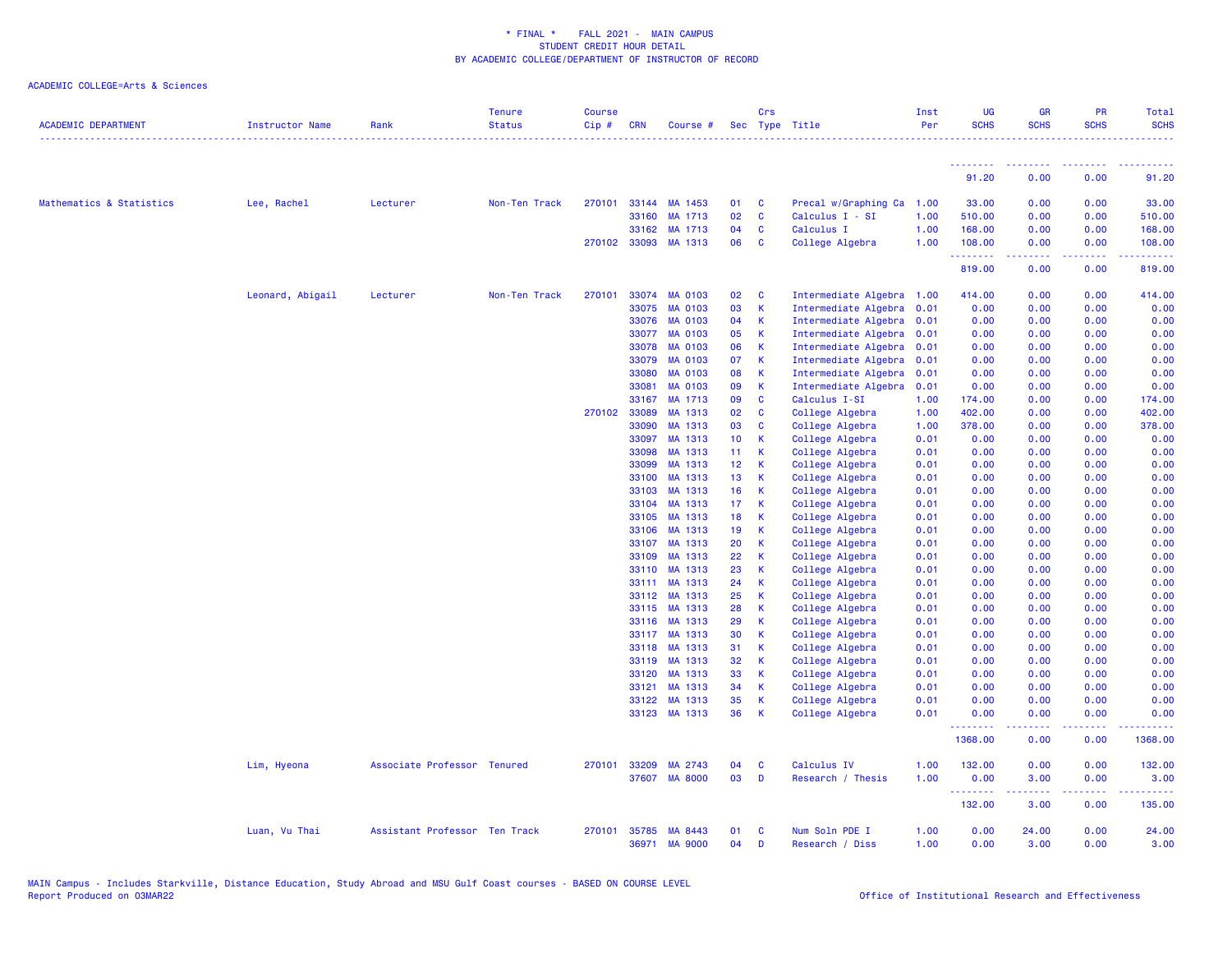| <b>ACADEMIC DEPARTMENT</b> | <b>Instructor Name</b> | Rank                          | <b>Tenure</b><br><b>Status</b> | <b>Course</b><br>$Cip \#$ | <b>CRN</b>     | Course #             |                                    | Crs          | Sec Type Title                     | Inst<br>Per  | <b>UG</b><br><b>SCHS</b>  | <b>GR</b><br><b>SCHS</b>      | <b>PR</b><br><b>SCHS</b>                                                                                                          | <b>Total</b><br><b>SCHS</b>                                                                                                                                    |
|----------------------------|------------------------|-------------------------------|--------------------------------|---------------------------|----------------|----------------------|------------------------------------|--------------|------------------------------------|--------------|---------------------------|-------------------------------|-----------------------------------------------------------------------------------------------------------------------------------|----------------------------------------------------------------------------------------------------------------------------------------------------------------|
|                            |                        |                               |                                |                           |                |                      |                                    |              |                                    |              | <u> - - - - - - - - -</u> | <b><i><u>AAAAAAAA</u></i></b> | <u> - - - - - - - -</u>                                                                                                           | $- - - - - -$                                                                                                                                                  |
|                            |                        |                               |                                |                           |                |                      |                                    |              |                                    |              | 91.20                     | 0.00                          | 0.00                                                                                                                              | 91.20                                                                                                                                                          |
| Mathematics & Statistics   | Lee, Rachel            | Lecturer                      | Non-Ten Track                  |                           |                | 270101 33144 MA 1453 | 01                                 | C            | Precal w/Graphing Ca               | 1.00         | 33.00                     | 0.00                          | 0.00                                                                                                                              | 33.00                                                                                                                                                          |
|                            |                        |                               |                                |                           | 33160          | MA 1713              | 02                                 | $\mathbf c$  | Calculus I - SI                    | 1.00         | 510.00                    | 0.00                          | 0.00                                                                                                                              | 510.00                                                                                                                                                         |
|                            |                        |                               |                                |                           | 33162          | MA 1713              | 04                                 | C            | Calculus I                         | 1.00         | 168.00                    | 0.00                          | 0.00                                                                                                                              | 168.00                                                                                                                                                         |
|                            |                        |                               |                                |                           |                | 270102 33093 MA 1313 | 06                                 | C            | College Algebra                    | 1.00         | 108.00<br>.               | 0.00<br>$\frac{1}{2}$         | 0.00<br>.                                                                                                                         | 108.00<br>$\frac{1}{2} \left( \frac{1}{2} \right) \left( \frac{1}{2} \right) \left( \frac{1}{2} \right) \left( \frac{1}{2} \right) \left( \frac{1}{2} \right)$ |
|                            |                        |                               |                                |                           |                |                      |                                    |              |                                    |              | 819.00                    | 0.00                          | 0.00                                                                                                                              | 819.00                                                                                                                                                         |
|                            | Leonard, Abigail       | Lecturer                      | Non-Ten Track                  | 270101                    | 33074          | <b>MA 0103</b>       | 02                                 | C            | Intermediate Algebra               | 1.00         | 414.00                    | 0.00                          | 0.00                                                                                                                              | 414.00                                                                                                                                                         |
|                            |                        |                               |                                |                           | 33075          | <b>MA 0103</b>       | 03                                 | К            | Intermediate Algebra               | 0.01         | 0.00                      | 0.00                          | 0.00                                                                                                                              | 0.00                                                                                                                                                           |
|                            |                        |                               |                                |                           | 33076          | <b>MA 0103</b>       | 04                                 | К            | Intermediate Algebra               | 0.01         | 0.00                      | 0.00                          | 0.00                                                                                                                              | 0.00                                                                                                                                                           |
|                            |                        |                               |                                |                           | 33077          | <b>MA 0103</b>       | 05                                 | K            | Intermediate Algebra               | 0.01         | 0.00                      | 0.00                          | 0.00                                                                                                                              | 0.00                                                                                                                                                           |
|                            |                        |                               |                                |                           | 33078          | <b>MA 0103</b>       | 06                                 | K            | Intermediate Algebra               | 0.01         | 0.00                      | 0.00                          | 0.00                                                                                                                              | 0.00                                                                                                                                                           |
|                            |                        |                               |                                |                           | 33079          | <b>MA 0103</b>       | 07                                 | К            | Intermediate Algebra               | 0.01         | 0.00                      | 0.00                          | 0.00                                                                                                                              | 0.00                                                                                                                                                           |
|                            |                        |                               |                                |                           | 33080          | <b>MA 0103</b>       | 08                                 | К            | Intermediate Algebra               | 0.01         | 0.00                      | 0.00                          | 0.00                                                                                                                              | 0.00                                                                                                                                                           |
|                            |                        |                               |                                |                           | 33081          | <b>MA 0103</b>       | 09                                 | К            | Intermediate Algebra               | 0.01         | 0.00                      | 0.00                          | 0.00                                                                                                                              | 0.00                                                                                                                                                           |
|                            |                        |                               |                                |                           | 33167          | MA 1713              | 09                                 | $\mathbf{c}$ | Calculus I-SI                      | 1.00         | 174.00                    | 0.00                          | 0.00                                                                                                                              | 174.00                                                                                                                                                         |
|                            |                        |                               |                                |                           | 270102 33089   | MA 1313              | 02                                 | <b>C</b>     | College Algebra                    | 1.00         | 402.00                    | 0.00                          | 0.00                                                                                                                              | 402.00                                                                                                                                                         |
|                            |                        |                               |                                |                           | 33090          | MA 1313              | 03                                 | C            | College Algebra                    | 1.00         | 378.00                    | 0.00                          | 0.00                                                                                                                              | 378.00                                                                                                                                                         |
|                            |                        |                               |                                |                           | 33097          | MA 1313              | 10 <sub>1</sub>                    | K            | College Algebra                    | 0.01         | 0.00                      | 0.00                          | 0.00                                                                                                                              | 0.00                                                                                                                                                           |
|                            |                        |                               |                                |                           | 33098          | MA 1313<br>MA 1313   | 11 <sub>1</sub><br>12 <sup>°</sup> | К<br>K       | College Algebra                    | 0.01         | 0.00                      | 0.00                          | 0.00                                                                                                                              | 0.00                                                                                                                                                           |
|                            |                        |                               |                                |                           | 33099<br>33100 | MA 1313              | 13                                 | К            | College Algebra                    | 0.01<br>0.01 | 0.00<br>0.00              | 0.00<br>0.00                  | 0.00<br>0.00                                                                                                                      | 0.00<br>0.00                                                                                                                                                   |
|                            |                        |                               |                                |                           | 33103          | MA 1313              | 16                                 | K            | College Algebra<br>College Algebra | 0.01         | 0.00                      | 0.00                          | 0.00                                                                                                                              | 0.00                                                                                                                                                           |
|                            |                        |                               |                                |                           | 33104          | MA 1313              | 17 <sup>2</sup>                    | $\mathsf{K}$ |                                    | 0.01         | 0.00                      | 0.00                          | 0.00                                                                                                                              | 0.00                                                                                                                                                           |
|                            |                        |                               |                                |                           | 33105          | MA 1313              | 18                                 | K            | College Algebra<br>College Algebra | 0.01         | 0.00                      | 0.00                          | 0.00                                                                                                                              | 0.00                                                                                                                                                           |
|                            |                        |                               |                                |                           | 33106          | MA 1313              | 19                                 | $\mathsf{K}$ | College Algebra                    | 0.01         | 0.00                      | 0.00                          | 0.00                                                                                                                              | 0.00                                                                                                                                                           |
|                            |                        |                               |                                |                           | 33107          | MA 1313              | 20                                 | K            | College Algebra                    | 0.01         | 0.00                      | 0.00                          | 0.00                                                                                                                              | 0.00                                                                                                                                                           |
|                            |                        |                               |                                |                           | 33109          | MA 1313              | 22                                 | К            | College Algebra                    | 0.01         | 0.00                      | 0.00                          | 0.00                                                                                                                              | 0.00                                                                                                                                                           |
|                            |                        |                               |                                |                           | 33110          | MA 1313              | 23                                 | К            | College Algebra                    | 0.01         | 0.00                      | 0.00                          | 0.00                                                                                                                              | 0.00                                                                                                                                                           |
|                            |                        |                               |                                |                           |                | 33111 MA 1313        | 24                                 | K            | College Algebra                    | 0.01         | 0.00                      | 0.00                          | 0.00                                                                                                                              | 0.00                                                                                                                                                           |
|                            |                        |                               |                                |                           |                | 33112 MA 1313        | 25                                 | $\mathsf{K}$ | College Algebra                    | 0.01         | 0.00                      | 0.00                          | 0.00                                                                                                                              | 0.00                                                                                                                                                           |
|                            |                        |                               |                                |                           | 33115          | MA 1313              | 28                                 | К            | College Algebra                    | 0.01         | 0.00                      | 0.00                          | 0.00                                                                                                                              | 0.00                                                                                                                                                           |
|                            |                        |                               |                                |                           |                | 33116 MA 1313        | 29                                 | К            | College Algebra                    | 0.01         | 0.00                      | 0.00                          | 0.00                                                                                                                              | 0.00                                                                                                                                                           |
|                            |                        |                               |                                |                           |                | 33117 MA 1313        | 30                                 | К            | College Algebra                    | 0.01         | 0.00                      | 0.00                          | 0.00                                                                                                                              | 0.00                                                                                                                                                           |
|                            |                        |                               |                                |                           |                | 33118 MA 1313        | 31                                 | К            | College Algebra                    | 0.01         | 0.00                      | 0.00                          | 0.00                                                                                                                              | 0.00                                                                                                                                                           |
|                            |                        |                               |                                |                           | 33119          | MA 1313              | 32                                 | K            | College Algebra                    | 0.01         | 0.00                      | 0.00                          | 0.00                                                                                                                              | 0.00                                                                                                                                                           |
|                            |                        |                               |                                |                           | 33120          | MA 1313              | 33                                 | K            | College Algebra                    | 0.01         | 0.00                      | 0.00                          | 0.00                                                                                                                              | 0.00                                                                                                                                                           |
|                            |                        |                               |                                |                           |                | 33121 MA 1313        | 34                                 | К            | College Algebra                    | 0.01         | 0.00                      | 0.00                          | 0.00                                                                                                                              | 0.00                                                                                                                                                           |
|                            |                        |                               |                                |                           | 33122          | MA 1313              | 35                                 | К            | College Algebra                    | 0.01         | 0.00                      | 0.00                          | 0.00                                                                                                                              | 0.00                                                                                                                                                           |
|                            |                        |                               |                                |                           |                | 33123 MA 1313        | 36                                 | K            | College Algebra                    | 0.01         | 0.00                      | 0.00                          | 0.00                                                                                                                              | 0.00                                                                                                                                                           |
|                            |                        |                               |                                |                           |                |                      |                                    |              |                                    |              | .<br>1368.00              | .<br>0.00                     | .<br>0.00                                                                                                                         | . <b>.</b> .<br>1368.00                                                                                                                                        |
|                            | Lim, Hyeona            | Associate Professor Tenured   |                                | 270101                    | 33209          | MA 2743              | 04                                 | C            | Calculus IV                        | 1.00         | 132.00                    | 0.00                          | 0.00                                                                                                                              | 132.00                                                                                                                                                         |
|                            |                        |                               |                                |                           | 37607          | <b>MA 8000</b>       | 03                                 | D            | Research / Thesis                  | 1.00         | 0.00<br>.                 | 3.00<br>$- - - - -$           | 0.00<br>$\frac{1}{2} \left( \frac{1}{2} \right) \left( \frac{1}{2} \right) \left( \frac{1}{2} \right) \left( \frac{1}{2} \right)$ | 3.00<br>$\frac{1}{2} \left( \frac{1}{2} \right) \left( \frac{1}{2} \right) \left( \frac{1}{2} \right) \left( \frac{1}{2} \right) \left( \frac{1}{2} \right)$   |
|                            |                        |                               |                                |                           |                |                      |                                    |              |                                    |              | 132.00                    | 3.00                          | 0.00                                                                                                                              | 135.00                                                                                                                                                         |
|                            | Luan, Vu Thai          | Assistant Professor Ten Track |                                | 270101                    | 35785          | MA 8443              | 01                                 | <b>C</b>     | Num Soln PDE I                     | 1.00         | 0.00                      | 24.00                         | 0.00                                                                                                                              | 24.00                                                                                                                                                          |
|                            |                        |                               |                                |                           |                | 36971 MA 9000        | 04                                 | D            | Research / Diss                    | 1.00         | 0.00                      | 3.00                          | 0.00                                                                                                                              | 3.00                                                                                                                                                           |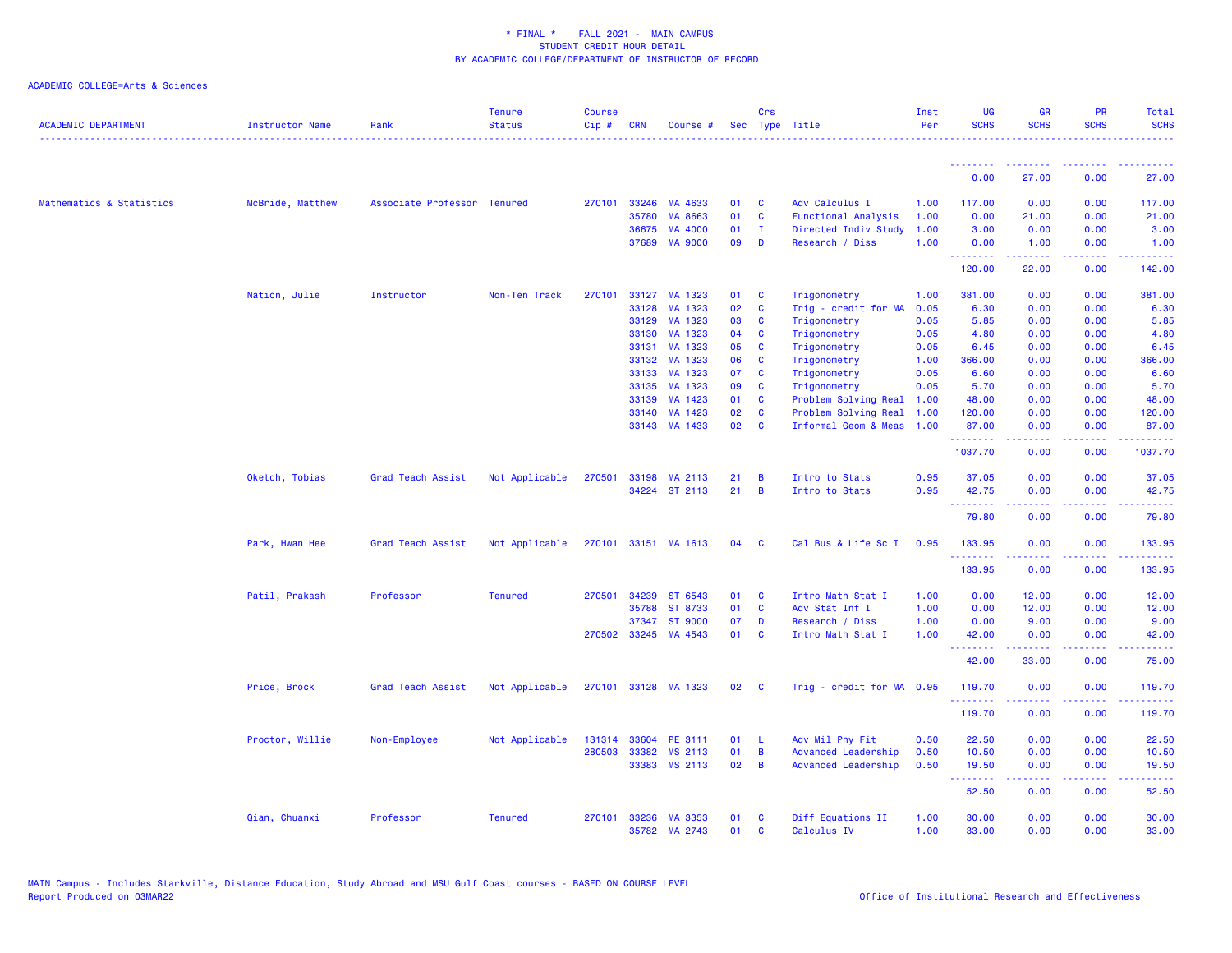| <b>ACADEMIC DEPARTMENT</b> | <b>Instructor Name</b> | Rank                        | <b>Tenure</b><br><b>Status</b> | <b>Course</b><br>Cip# | <b>CRN</b> | Course #             |                 | Crs            | Sec Type Title             | Inst<br>Per | <b>UG</b><br><b>SCHS</b> | <b>GR</b><br><b>SCHS</b> | <b>PR</b><br><b>SCHS</b> | Total<br><b>SCHS</b> |
|----------------------------|------------------------|-----------------------------|--------------------------------|-----------------------|------------|----------------------|-----------------|----------------|----------------------------|-------------|--------------------------|--------------------------|--------------------------|----------------------|
|                            |                        |                             |                                |                       |            |                      |                 |                |                            |             | .                        |                          |                          |                      |
|                            |                        |                             |                                |                       |            |                      |                 |                |                            |             | 0.00                     | 27.00                    | 0.00                     | 27.00                |
| Mathematics & Statistics   | McBride, Matthew       | Associate Professor Tenured |                                | 270101                | 33246      | MA 4633              | 01              | <b>C</b>       | Adv Calculus I             | 1.00        | 117.00                   | 0.00                     | 0.00                     | 117.00               |
|                            |                        |                             |                                |                       | 35780      | MA 8663              | 01              | $\mathbf{C}$   | <b>Functional Analysis</b> | 1.00        | 0.00                     | 21.00                    | 0.00                     | 21.00                |
|                            |                        |                             |                                |                       | 36675      | MA 4000              | 01              | $\mathbf{I}$   | Directed Indiv Study       | 1.00        | 3.00                     | 0.00                     | 0.00                     | 3.00                 |
|                            |                        |                             |                                |                       | 37689      | <b>MA 9000</b>       | 09              | D              | Research / Diss            | 1.00        | 0.00<br><b>.</b> .       | 1.00<br><b></b>          | 0.00<br>.                | 1.00<br>.            |
|                            |                        |                             |                                |                       |            |                      |                 |                |                            |             | 120.00                   | 22.00                    | 0.00                     | 142.00               |
|                            | Nation, Julie          | Instructor                  | Non-Ten Track                  | 270101                |            | 33127 MA 1323        | 01              | $\mathbf{C}$   | Trigonometry               | 1.00        | 381.00                   | 0.00                     | 0.00                     | 381.00               |
|                            |                        |                             |                                |                       | 33128      | MA 1323              | 02              | $\mathbf{C}$   | Trig - credit for MA       | 0.05        | 6.30                     | 0.00                     | 0.00                     | 6.30                 |
|                            |                        |                             |                                |                       | 33129      | MA 1323              | 03              | $\mathbf{C}$   | Trigonometry               | 0.05        | 5.85                     | 0.00                     | 0.00                     | 5.85                 |
|                            |                        |                             |                                |                       | 33130      | MA 1323              | 04              | $\mathbf{C}$   | Trigonometry               | 0.05        | 4.80                     | 0.00                     | 0.00                     | 4.80                 |
|                            |                        |                             |                                |                       | 33131      | MA 1323              | 05              | <b>C</b>       | Trigonometry               | 0.05        | 6.45                     | 0.00                     | 0.00                     | 6.45                 |
|                            |                        |                             |                                |                       | 33132      | MA 1323              | 06              | <b>C</b>       | Trigonometry               | 1.00        | 366.00                   | 0.00                     | 0.00                     | 366.00               |
|                            |                        |                             |                                |                       | 33133      | MA 1323              | 07              | <b>C</b>       | Trigonometry               | 0.05        | 6.60                     | 0.00                     | 0.00                     | 6.60                 |
|                            |                        |                             |                                |                       | 33135      | MA 1323              | 09              | <b>C</b>       | Trigonometry               | 0.05        | 5.70                     | 0.00                     | 0.00                     | 5.70                 |
|                            |                        |                             |                                |                       | 33139      | MA 1423              | 01              | <b>C</b>       | Problem Solving Real       | 1.00        | 48.00                    | 0.00                     | 0.00                     | 48.00                |
|                            |                        |                             |                                |                       | 33140      | MA 1423              | 02              | $\mathbf{C}$   | Problem Solving Real       | 1.00        | 120.00                   | 0.00                     | 0.00                     | 120.00               |
|                            |                        |                             |                                |                       | 33143      | MA 1433              | 02              | <b>C</b>       | Informal Geom & Meas       | 1.00        | 87.00<br>.               | 0.00                     | 0.00<br>بالأباد          | 87.00<br>222223      |
|                            |                        |                             |                                |                       |            |                      |                 |                |                            |             | 1037.70                  | 0.00                     | 0.00                     | 1037.70              |
|                            | Oketch, Tobias         | Grad Teach Assist           | Not Applicable                 | 270501                | 33198      | MA 2113              | 21              | B              | Intro to Stats             | 0.95        | 37.05                    | 0.00                     | 0.00                     | 37.05                |
|                            |                        |                             |                                |                       |            | 34224 ST 2113        | 21              | $\overline{B}$ | Intro to Stats             | 0.95        | 42.75<br>.               | 0.00<br>.                | 0.00<br>د د د د          | 42.75<br>وبالاناب    |
|                            |                        |                             |                                |                       |            |                      |                 |                |                            |             | 79.80                    | 0.00                     | 0.00                     | 79.80                |
|                            | Park, Hwan Hee         | Grad Teach Assist           | Not Applicable                 | 270101                |            | 33151 MA 1613        | 04              | - C            | Cal Bus & Life Sc I        | 0.95        | 133.95<br>.              | 0.00                     | 0.00                     | 133.95<br>.          |
|                            |                        |                             |                                |                       |            |                      |                 |                |                            |             | 133.95                   | 0.00                     | 0.00                     | 133.95               |
|                            | Patil, Prakash         | Professor                   | <b>Tenured</b>                 | 270501                | 34239      | ST 6543              | 01              | <b>C</b>       | Intro Math Stat I          | 1.00        | 0.00                     | 12.00                    | 0.00                     | 12.00                |
|                            |                        |                             |                                |                       | 35788      | ST 8733              | 01              | $\mathbf{C}$   | Adv Stat Inf I             | 1.00        | 0.00                     | 12.00                    | 0.00                     | 12.00                |
|                            |                        |                             |                                |                       | 37347      | <b>ST 9000</b>       | 07              | D              | Research / Diss            | 1.00        | 0.00                     | 9.00                     | 0.00                     | 9.00                 |
|                            |                        |                             |                                | 270502                | 33245      | MA 4543              | 01              | <b>C</b>       | Intro Math Stat I          | 1.00        | 42.00<br>.               | 0.00                     | 0.00<br>د د د د          | 42.00<br>بالمحامين   |
|                            |                        |                             |                                |                       |            |                      |                 |                |                            |             | 42.00                    | 33.00                    | 0.00                     | 75.00                |
|                            | Price, Brock           | Grad Teach Assist           | Not Applicable                 |                       |            | 270101 33128 MA 1323 | $02 \quad C$    |                | Trig - credit for MA 0.95  |             | 119.70<br>.              | 0.00<br>22222            | 0.00<br>د د د د          | 119.70<br>.          |
|                            |                        |                             |                                |                       |            |                      |                 |                |                            |             | 119.70                   | 0.00                     | 0.00                     | 119.70               |
|                            | Proctor, Willie        | Non-Employee                | Not Applicable                 | 131314                | 33604      | PE 3111              | 01              | - L            | Adv Mil Phy Fit            | 0.50        | 22.50                    | 0.00                     | 0.00                     | 22.50                |
|                            |                        |                             |                                | 280503                | 33382      | MS 2113              | 01              | $\overline{B}$ | Advanced Leadership        | 0.50        | 10.50                    | 0.00                     | 0.00                     | 10.50                |
|                            |                        |                             |                                |                       |            | 33383 MS 2113        | 02 <sub>o</sub> | $\overline{B}$ | Advanced Leadership        | 0.50        | 19.50<br>.               | 0.00<br>.                | 0.00<br>.                | 19.50<br>.           |
|                            |                        |                             |                                |                       |            |                      |                 |                |                            |             | 52.50                    | 0.00                     | 0.00                     | 52.50                |
|                            | Qian, Chuanxi          | Professor                   | <b>Tenured</b>                 | 270101                | 33236      | MA 3353              | 01              | <b>C</b>       | Diff Equations II          | 1.00        | 30.00                    | 0.00                     | 0.00                     | 30.00                |
|                            |                        |                             |                                |                       |            | 35782 MA 2743        | 01              | <b>C</b>       | Calculus IV                | 1.00        | 33.00                    | 0.00                     | 0.00                     | 33.00                |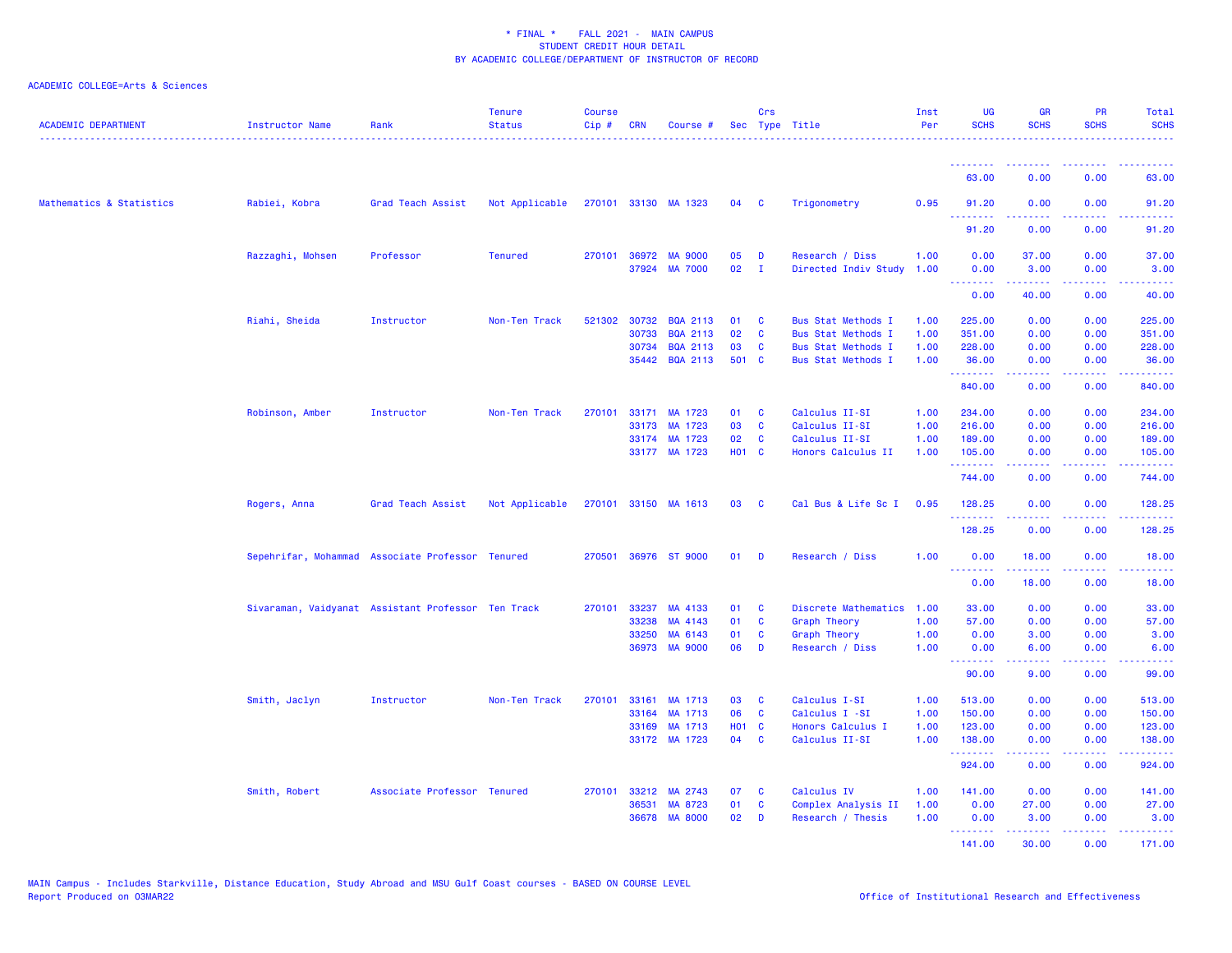| <b>ACADEMIC DEPARTMENT</b> | Instructor Name  | Rank                                               | <b>Tenure</b><br><b>Status</b> | <b>Course</b><br>Cip# | <b>CRN</b>   | Course #             |                   | Crs          | Sec Type Title            | Inst<br>Per | <b>UG</b><br><b>SCHS</b>                                 | <b>GR</b><br><b>SCHS</b>                                                                                                                                      | PR<br><b>SCHS</b>                                                                                                                 | Total<br><b>SCHS</b>         |
|----------------------------|------------------|----------------------------------------------------|--------------------------------|-----------------------|--------------|----------------------|-------------------|--------------|---------------------------|-------------|----------------------------------------------------------|---------------------------------------------------------------------------------------------------------------------------------------------------------------|-----------------------------------------------------------------------------------------------------------------------------------|------------------------------|
|                            |                  |                                                    |                                |                       |              |                      |                   |              |                           |             | <b></b>                                                  |                                                                                                                                                               |                                                                                                                                   |                              |
|                            |                  |                                                    |                                |                       |              |                      |                   |              |                           |             | 63.00                                                    | 0.00                                                                                                                                                          | 0.00                                                                                                                              | 63.00                        |
| Mathematics & Statistics   | Rabiei, Kobra    | Grad Teach Assist                                  | Not Applicable                 |                       |              | 270101 33130 MA 1323 | 04 C              |              | Trigonometry              | 0.95        | 91.20<br><u> - - - - - - - -</u>                         | 0.00                                                                                                                                                          | 0.00<br>$\frac{1}{2} \left( \frac{1}{2} \right) \left( \frac{1}{2} \right) \left( \frac{1}{2} \right) \left( \frac{1}{2} \right)$ | 91.20<br>.                   |
|                            |                  |                                                    |                                |                       |              |                      |                   |              |                           |             | 91.20                                                    | 0.00                                                                                                                                                          | 0.00                                                                                                                              | 91.20                        |
|                            | Razzaghi, Mohsen | Professor                                          | <b>Tenured</b>                 |                       |              | 270101 36972 MA 9000 | 05                | D            | Research / Diss           | 1.00        | 0.00                                                     | 37.00                                                                                                                                                         | 0.00                                                                                                                              | 37.00                        |
|                            |                  |                                                    |                                |                       | 37924        | <b>MA 7000</b>       | 02                | $\mathbf{I}$ | Directed Indiv Study      | 1.00        | 0.00<br>.                                                | 3.00<br>.                                                                                                                                                     | 0.00<br>$\sim$ $\sim$ $\sim$ $\sim$                                                                                               | 3.00<br>وعاويات              |
|                            |                  |                                                    |                                |                       |              |                      |                   |              |                           |             | 0.00                                                     | 40.00                                                                                                                                                         | 0.00                                                                                                                              | 40.00                        |
|                            | Riahi, Sheida    | Instructor                                         | Non-Ten Track                  |                       | 521302 30732 | BQA 2113             | 01                | <b>C</b>     | <b>Bus Stat Methods I</b> | 1.00        | 225.00                                                   | 0.00                                                                                                                                                          | 0.00                                                                                                                              | 225.00                       |
|                            |                  |                                                    |                                |                       | 30733        | <b>BQA 2113</b>      | 02                | $\mathbf{C}$ | <b>Bus Stat Methods I</b> | 1.00        | 351.00                                                   | 0.00                                                                                                                                                          | 0.00                                                                                                                              | 351.00                       |
|                            |                  |                                                    |                                |                       |              | 30734 BQA 2113       | 03                | <b>C</b>     | <b>Bus Stat Methods I</b> | 1.00        | 228.00                                                   | 0.00                                                                                                                                                          | 0.00                                                                                                                              | 228.00                       |
|                            |                  |                                                    |                                |                       |              | 35442 BQA 2113       | 501 C             |              | Bus Stat Methods I        | 1.00        | 36.00<br>.                                               | 0.00<br>.                                                                                                                                                     | 0.00<br>.                                                                                                                         | 36.00<br><u>.</u>            |
|                            |                  |                                                    |                                |                       |              |                      |                   |              |                           |             | 840.00                                                   | 0.00                                                                                                                                                          | 0.00                                                                                                                              | 840.00                       |
|                            | Robinson, Amber  | Instructor                                         | Non-Ten Track                  | 270101                |              | 33171 MA 1723        | 01                | C            | Calculus II-SI            | 1.00        | 234.00                                                   | 0.00                                                                                                                                                          | 0.00                                                                                                                              | 234.00                       |
|                            |                  |                                                    |                                |                       |              | 33173 MA 1723        | 03                | <b>C</b>     | Calculus II-SI            | 1.00        | 216.00                                                   | 0.00                                                                                                                                                          | 0.00                                                                                                                              | 216.00                       |
|                            |                  |                                                    |                                |                       |              | 33174 MA 1723        | 02                | C            | Calculus II-SI            | 1.00        | 189.00                                                   | 0.00                                                                                                                                                          | 0.00                                                                                                                              | 189.00                       |
|                            |                  |                                                    |                                |                       |              | 33177 MA 1723        | <b>HO1 C</b>      |              | Honors Calculus II        | 1.00        | 105.00                                                   | 0.00                                                                                                                                                          | 0.00                                                                                                                              | 105.00                       |
|                            |                  |                                                    |                                |                       |              |                      |                   |              |                           |             | .<br>744.00                                              | .<br>0.00                                                                                                                                                     | .<br>0.00                                                                                                                         | .<br>744.00                  |
|                            | Rogers, Anna     | Grad Teach Assist                                  | Not Applicable                 |                       |              | 270101 33150 MA 1613 | 03                | $\mathbf{C}$ | Cal Bus & Life Sc I       | 0.95        | 128.25                                                   | 0.00                                                                                                                                                          | 0.00                                                                                                                              | 128.25                       |
|                            |                  |                                                    |                                |                       |              |                      |                   |              |                           |             | <b></b><br>128.25                                        | <u>.</u><br>0.00                                                                                                                                              | .<br>0.00                                                                                                                         | 2.2222<br>128.25             |
|                            |                  | Sepehrifar, Mohammad Associate Professor Tenured   |                                | 270501                |              | 36976 ST 9000        | 01                | D            | Research / Diss           | 1.00        | 0.00                                                     | 18.00                                                                                                                                                         | 0.00                                                                                                                              | 18.00                        |
|                            |                  |                                                    |                                |                       |              |                      |                   |              |                           |             | .<br>0.00                                                | $\frac{1}{2} \left( \frac{1}{2} \right) \left( \frac{1}{2} \right) \left( \frac{1}{2} \right) \left( \frac{1}{2} \right) \left( \frac{1}{2} \right)$<br>18.00 | المتحدث<br>0.00                                                                                                                   | .<br>18.00                   |
|                            |                  | Sivaraman, Vaidyanat Assistant Professor Ten Track |                                | 270101                | 33237        | MA 4133              | 01                | <b>C</b>     | Discrete Mathematics      | 1.00        | 33.00                                                    | 0.00                                                                                                                                                          | 0.00                                                                                                                              | 33.00                        |
|                            |                  |                                                    |                                |                       | 33238        | MA 4143              | 01                | C            | <b>Graph Theory</b>       | 1.00        | 57.00                                                    | 0.00                                                                                                                                                          | 0.00                                                                                                                              | 57.00                        |
|                            |                  |                                                    |                                |                       | 33250        | MA 6143              | 01                | C            | <b>Graph Theory</b>       | 1.00        | 0.00                                                     | 3.00                                                                                                                                                          | 0.00                                                                                                                              | 3.00                         |
|                            |                  |                                                    |                                |                       | 36973        | <b>MA 9000</b>       | 06                | D            | Research / Diss           | 1.00        | 0.00<br>.                                                | 6.00                                                                                                                                                          | 0.00                                                                                                                              | 6.00                         |
|                            |                  |                                                    |                                |                       |              |                      |                   |              |                           |             | 90.00                                                    | .<br>9.00                                                                                                                                                     | والمحامر<br>0.00                                                                                                                  | المتمامين<br>99.00           |
|                            | Smith, Jaclyn    | Instructor                                         | Non-Ten Track                  | 270101                | 33161        | MA 1713              | 03                | C            | Calculus I-SI             | 1.00        | 513.00                                                   | 0.00                                                                                                                                                          | 0.00                                                                                                                              | 513.00                       |
|                            |                  |                                                    |                                |                       |              | 33164 MA 1713        | 06                | C            | Calculus I -SI            | 1.00        | 150.00                                                   | 0.00                                                                                                                                                          | 0.00                                                                                                                              | 150.00                       |
|                            |                  |                                                    |                                |                       | 33169        | MA 1713              | H <sub>01</sub> C |              | Honors Calculus I         | 1.00        | 123.00                                                   | 0.00                                                                                                                                                          | 0.00                                                                                                                              | 123.00                       |
|                            |                  |                                                    |                                |                       |              | 33172 MA 1723        | 04                | <b>C</b>     | Calculus II-SI            | 1.00        | 138.00<br>.                                              | 0.00<br>.                                                                                                                                                     | 0.00<br>د د د د                                                                                                                   | 138.00<br>والمواطنات المواطن |
|                            |                  |                                                    |                                |                       |              |                      |                   |              |                           |             | 924.00                                                   | 0.00                                                                                                                                                          | 0.00                                                                                                                              | 924.00                       |
|                            | Smith, Robert    | Associate Professor Tenured                        |                                | 270101                |              | 33212 MA 2743        | 07                | C            | Calculus IV               | 1.00        | 141.00                                                   | 0.00                                                                                                                                                          | 0.00                                                                                                                              | 141.00                       |
|                            |                  |                                                    |                                |                       | 36531        | MA 8723              | 01                | C            | Complex Analysis II       | 1.00        | 0.00                                                     | 27.00                                                                                                                                                         | 0.00                                                                                                                              | 27.00                        |
|                            |                  |                                                    |                                |                       | 36678        | <b>MA 8000</b>       | 02                | D            | Research / Thesis         | 1.00        | 0.00<br><b><i><u><u><b>Little Little</b></u></u></i></b> | 3.00<br>.                                                                                                                                                     | 0.00<br>د د د د د                                                                                                                 | 3.00<br><u>.</u>             |
|                            |                  |                                                    |                                |                       |              |                      |                   |              |                           |             | 141.00                                                   | 30.00                                                                                                                                                         | 0.00                                                                                                                              | 171.00                       |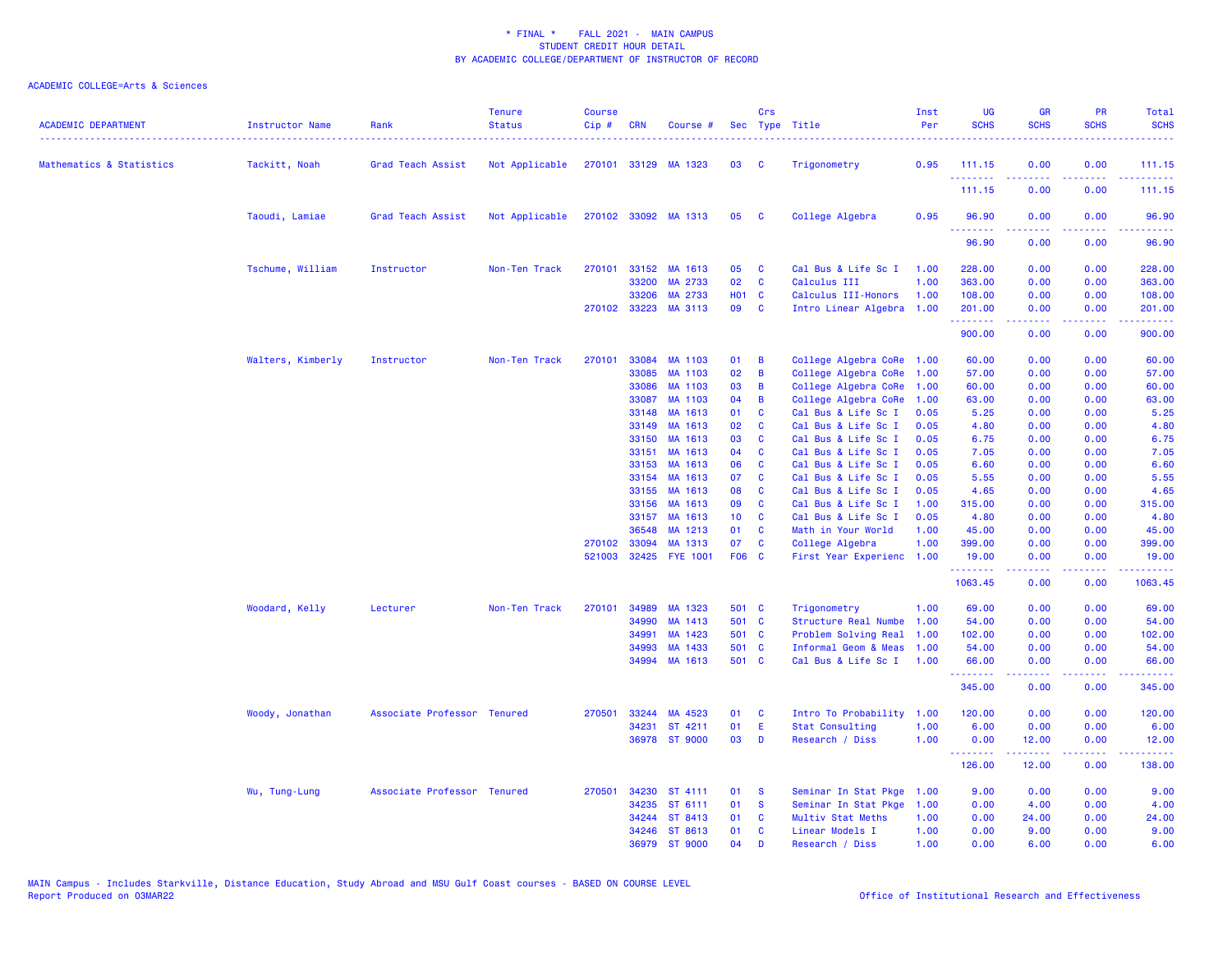| <b>ACADEMIC DEPARTMENT</b> | Instructor Name   | Rank                        | <b>Tenure</b><br><b>Status</b> | <b>Course</b><br>Cip # | <b>CRN</b>   | Course #             |                 | Crs          | Sec Type Title            | Inst<br>Per | <b>UG</b><br><b>SCHS</b>                                                                                                                                                                                                                                                                                                                                                                                                                                                                       | <b>GR</b><br><b>SCHS</b>                                                                                                                                     | PR<br><b>SCHS</b> | Total<br><b>SCHS</b> |
|----------------------------|-------------------|-----------------------------|--------------------------------|------------------------|--------------|----------------------|-----------------|--------------|---------------------------|-------------|------------------------------------------------------------------------------------------------------------------------------------------------------------------------------------------------------------------------------------------------------------------------------------------------------------------------------------------------------------------------------------------------------------------------------------------------------------------------------------------------|--------------------------------------------------------------------------------------------------------------------------------------------------------------|-------------------|----------------------|
| Mathematics & Statistics   | Tackitt, Noah     | Grad Teach Assist           | Not Applicable                 |                        |              | 270101 33129 MA 1323 | 03              | <b>C</b>     | Trigonometry              | 0.95        | 111.15                                                                                                                                                                                                                                                                                                                                                                                                                                                                                         | 0.00                                                                                                                                                         | 0.00<br>.         | 111.15<br>.          |
|                            |                   |                             |                                |                        |              |                      |                 |              |                           |             | 111.15                                                                                                                                                                                                                                                                                                                                                                                                                                                                                         | 0.00                                                                                                                                                         | 0.00              | 111.15               |
|                            | Taoudi, Lamiae    | Grad Teach Assist           | Not Applicable                 |                        |              | 270102 33092 MA 1313 | 05              | $\mathbf{C}$ | College Algebra           | 0.95        | 96.90<br><u>.</u>                                                                                                                                                                                                                                                                                                                                                                                                                                                                              | 0.00<br>.                                                                                                                                                    | 0.00<br>بالانادا  | 96.90<br>.           |
|                            |                   |                             |                                |                        |              |                      |                 |              |                           |             | 96.90                                                                                                                                                                                                                                                                                                                                                                                                                                                                                          | 0.00                                                                                                                                                         | 0.00              | 96.90                |
|                            | Tschume, William  | Instructor                  | Non-Ten Track                  | 270101                 | 33152        | MA 1613              | 05              | C            | Cal Bus & Life Sc I       | 1.00        | 228.00                                                                                                                                                                                                                                                                                                                                                                                                                                                                                         | 0.00                                                                                                                                                         | 0.00              | 228.00               |
|                            |                   |                             |                                |                        | 33200        | MA 2733              | 02              | $\mathbf{C}$ | Calculus III              | 1.00        | 363.00                                                                                                                                                                                                                                                                                                                                                                                                                                                                                         | 0.00                                                                                                                                                         | 0.00              | 363.00               |
|                            |                   |                             |                                |                        | 33206        | MA 2733              | <b>HO1 C</b>    |              | Calculus III-Honors       | 1.00        | 108.00                                                                                                                                                                                                                                                                                                                                                                                                                                                                                         | 0.00                                                                                                                                                         | 0.00              | 108.00               |
|                            |                   |                             |                                |                        | 270102 33223 | MA 3113              | 09              | $\mathbf{C}$ | Intro Linear Algebra 1.00 |             | 201.00<br>.                                                                                                                                                                                                                                                                                                                                                                                                                                                                                    | 0.00<br>$\frac{1}{2} \left( \frac{1}{2} \right) \left( \frac{1}{2} \right) \left( \frac{1}{2} \right) \left( \frac{1}{2} \right) \left( \frac{1}{2} \right)$ | 0.00<br>.         | 201.00<br>.          |
|                            |                   |                             |                                |                        |              |                      |                 |              |                           |             | 900.00                                                                                                                                                                                                                                                                                                                                                                                                                                                                                         | 0.00                                                                                                                                                         | 0.00              | 900.00               |
|                            | Walters, Kimberly | Instructor                  | Non-Ten Track                  | 270101                 | 33084        | MA 1103              | 01              | B            | College Algebra CoRe      | 1.00        | 60.00                                                                                                                                                                                                                                                                                                                                                                                                                                                                                          | 0.00                                                                                                                                                         | 0.00              | 60.00                |
|                            |                   |                             |                                |                        | 33085        | MA 1103              | 02              | B            | College Algebra CoRe      | 1.00        | 57.00                                                                                                                                                                                                                                                                                                                                                                                                                                                                                          | 0.00                                                                                                                                                         | 0.00              | 57.00                |
|                            |                   |                             |                                |                        | 33086        | MA 1103              | 03              | B            | College Algebra CoRe      | 1.00        | 60.00                                                                                                                                                                                                                                                                                                                                                                                                                                                                                          | 0.00                                                                                                                                                         | 0.00              | 60.00                |
|                            |                   |                             |                                |                        | 33087        | MA 1103              | 04              | B            | College Algebra CoRe      | 1.00        | 63.00                                                                                                                                                                                                                                                                                                                                                                                                                                                                                          | 0.00                                                                                                                                                         | 0.00              | 63.00                |
|                            |                   |                             |                                |                        | 33148        | MA 1613              | 01              | <b>C</b>     | Cal Bus & Life Sc I       | 0.05        | 5.25                                                                                                                                                                                                                                                                                                                                                                                                                                                                                           | 0.00                                                                                                                                                         | 0.00              | 5.25                 |
|                            |                   |                             |                                |                        | 33149        | MA 1613              | 02              | C            | Cal Bus & Life Sc I       | 0.05        | 4.80                                                                                                                                                                                                                                                                                                                                                                                                                                                                                           | 0.00                                                                                                                                                         | 0.00              | 4.80                 |
|                            |                   |                             |                                |                        | 33150        | MA 1613              | 03              | $\mathbf{C}$ | Cal Bus & Life Sc I       | 0.05        | 6.75                                                                                                                                                                                                                                                                                                                                                                                                                                                                                           | 0.00                                                                                                                                                         | 0.00              | 6.75                 |
|                            |                   |                             |                                |                        | 33151        | MA 1613              | 04              | <b>C</b>     | Cal Bus & Life Sc I       | 0.05        | 7.05                                                                                                                                                                                                                                                                                                                                                                                                                                                                                           | 0.00                                                                                                                                                         | 0.00              | 7.05                 |
|                            |                   |                             |                                |                        | 33153        | MA 1613              | 06              | $\mathbf{C}$ | Cal Bus & Life Sc I       | 0.05        | 6.60                                                                                                                                                                                                                                                                                                                                                                                                                                                                                           | 0.00                                                                                                                                                         | 0.00              | 6.60                 |
|                            |                   |                             |                                |                        | 33154        | MA 1613              | 07              | <b>C</b>     | Cal Bus & Life Sc I       | 0.05        | 5.55                                                                                                                                                                                                                                                                                                                                                                                                                                                                                           | 0.00                                                                                                                                                         | 0.00              | 5.55                 |
|                            |                   |                             |                                |                        | 33155        | MA 1613              | 08              | C            | Cal Bus & Life Sc I       | 0.05        | 4.65                                                                                                                                                                                                                                                                                                                                                                                                                                                                                           | 0.00                                                                                                                                                         | 0.00              | 4.65                 |
|                            |                   |                             |                                |                        | 33156        | MA 1613              | 09              | $\mathbf{C}$ | Cal Bus & Life Sc I       | 1.00        | 315.00                                                                                                                                                                                                                                                                                                                                                                                                                                                                                         | 0.00                                                                                                                                                         | 0.00              | 315.00               |
|                            |                   |                             |                                |                        | 33157        | MA 1613              | 10 <sub>1</sub> | <b>C</b>     | Cal Bus & Life Sc I       | 0.05        | 4.80                                                                                                                                                                                                                                                                                                                                                                                                                                                                                           | 0.00                                                                                                                                                         | 0.00              | 4.80                 |
|                            |                   |                             |                                |                        | 36548        | MA 1213              | 01              | <b>C</b>     | Math in Your World        | 1.00        | 45.00                                                                                                                                                                                                                                                                                                                                                                                                                                                                                          | 0.00                                                                                                                                                         | 0.00              | 45.00                |
|                            |                   |                             |                                | 270102                 | 33094        | MA 1313              | 07              | <b>C</b>     | College Algebra           | 1.00        | 399.00                                                                                                                                                                                                                                                                                                                                                                                                                                                                                         | 0.00                                                                                                                                                         | 0.00              | 399.00               |
|                            |                   |                             |                                | 521003                 |              | 32425 FYE 1001       | F06 C           |              | First Year Experienc 1.00 |             | 19.00<br>--------                                                                                                                                                                                                                                                                                                                                                                                                                                                                              | 0.00<br>22222                                                                                                                                                | 0.00<br>.         | 19.00<br>.           |
|                            |                   |                             |                                |                        |              |                      |                 |              |                           |             | 1063.45                                                                                                                                                                                                                                                                                                                                                                                                                                                                                        | 0.00                                                                                                                                                         | 0.00              | 1063.45              |
|                            | Woodard, Kelly    | Lecturer                    | Non-Ten Track                  | 270101                 | 34989        | MA 1323              | 501 C           |              | Trigonometry              | 1.00        | 69.00                                                                                                                                                                                                                                                                                                                                                                                                                                                                                          | 0.00                                                                                                                                                         | 0.00              | 69.00                |
|                            |                   |                             |                                |                        | 34990        | MA 1413              | 501 C           |              | Structure Real Numbe      | 1.00        | 54.00                                                                                                                                                                                                                                                                                                                                                                                                                                                                                          | 0.00                                                                                                                                                         | 0.00              | 54.00                |
|                            |                   |                             |                                |                        | 34991        | MA 1423              | 501 C           |              | Problem Solving Real      | 1.00        | 102.00                                                                                                                                                                                                                                                                                                                                                                                                                                                                                         | 0.00                                                                                                                                                         | 0.00              | 102.00               |
|                            |                   |                             |                                |                        | 34993        | MA 1433              | 501 C           |              | Informal Geom & Meas      | 1.00        | 54.00                                                                                                                                                                                                                                                                                                                                                                                                                                                                                          | 0.00                                                                                                                                                         | 0.00              | 54.00                |
|                            |                   |                             |                                |                        | 34994        | MA 1613              | 501 C           |              | Cal Bus & Life Sc I       | 1.00        | 66.00                                                                                                                                                                                                                                                                                                                                                                                                                                                                                          | 0.00                                                                                                                                                         | 0.00              | 66.00                |
|                            |                   |                             |                                |                        |              |                      |                 |              |                           |             | <u>.</u><br>345.00                                                                                                                                                                                                                                                                                                                                                                                                                                                                             | 0.00                                                                                                                                                         | 0.00              | المتمامين<br>345.00  |
|                            | Woody, Jonathan   | Associate Professor Tenured |                                | 270501                 | 33244        | MA 4523              | 01              | C            | Intro To Probability 1.00 |             | 120.00                                                                                                                                                                                                                                                                                                                                                                                                                                                                                         | 0.00                                                                                                                                                         | 0.00              | 120.00               |
|                            |                   |                             |                                |                        | 34231        | ST 4211              | 01              | E            | <b>Stat Consulting</b>    | 1.00        | 6.00                                                                                                                                                                                                                                                                                                                                                                                                                                                                                           | 0.00                                                                                                                                                         | 0.00              | 6.00                 |
|                            |                   |                             |                                |                        |              | 36978 ST 9000        | 03              | D            | Research / Diss           | 1.00        | 0.00<br>$\begin{array}{cccccccccccccc} \multicolumn{2}{c}{} & \multicolumn{2}{c}{} & \multicolumn{2}{c}{} & \multicolumn{2}{c}{} & \multicolumn{2}{c}{} & \multicolumn{2}{c}{} & \multicolumn{2}{c}{} & \multicolumn{2}{c}{} & \multicolumn{2}{c}{} & \multicolumn{2}{c}{} & \multicolumn{2}{c}{} & \multicolumn{2}{c}{} & \multicolumn{2}{c}{} & \multicolumn{2}{c}{} & \multicolumn{2}{c}{} & \multicolumn{2}{c}{} & \multicolumn{2}{c}{} & \multicolumn{2}{c}{} & \multicolumn{2}{c}{} & \$ | 12.00<br>$\frac{1}{2}$                                                                                                                                       | 0.00<br>.         | 12.00<br>.           |
|                            |                   |                             |                                |                        |              |                      |                 |              |                           |             | 126.00                                                                                                                                                                                                                                                                                                                                                                                                                                                                                         | 12.00                                                                                                                                                        | 0.00              | 138.00               |
|                            | Wu, Tung-Lung     | Associate Professor Tenured |                                | 270501                 | 34230        | ST 4111              | 01              | <b>S</b>     | Seminar In Stat Pkge 1.00 |             | 9.00                                                                                                                                                                                                                                                                                                                                                                                                                                                                                           | 0.00                                                                                                                                                         | 0.00              | 9.00                 |
|                            |                   |                             |                                |                        | 34235        | ST 6111              | 01              | <b>S</b>     | Seminar In Stat Pkge      | 1.00        | 0.00                                                                                                                                                                                                                                                                                                                                                                                                                                                                                           | 4.00                                                                                                                                                         | 0.00              | 4.00                 |
|                            |                   |                             |                                |                        | 34244        | ST 8413              | 01              | <b>C</b>     | Multiv Stat Meths         | 1.00        | 0.00                                                                                                                                                                                                                                                                                                                                                                                                                                                                                           | 24.00                                                                                                                                                        | 0.00              | 24.00                |
|                            |                   |                             |                                |                        | 34246        | ST 8613              | 01              | <b>C</b>     | Linear Models I           | 1.00        | 0.00                                                                                                                                                                                                                                                                                                                                                                                                                                                                                           | 9.00                                                                                                                                                         | 0.00              | 9.00                 |
|                            |                   |                             |                                |                        | 36979        | <b>ST 9000</b>       | 04              | D            | Research / Diss           | 1.00        | 0.00                                                                                                                                                                                                                                                                                                                                                                                                                                                                                           | 6.00                                                                                                                                                         | 0.00              | 6.00                 |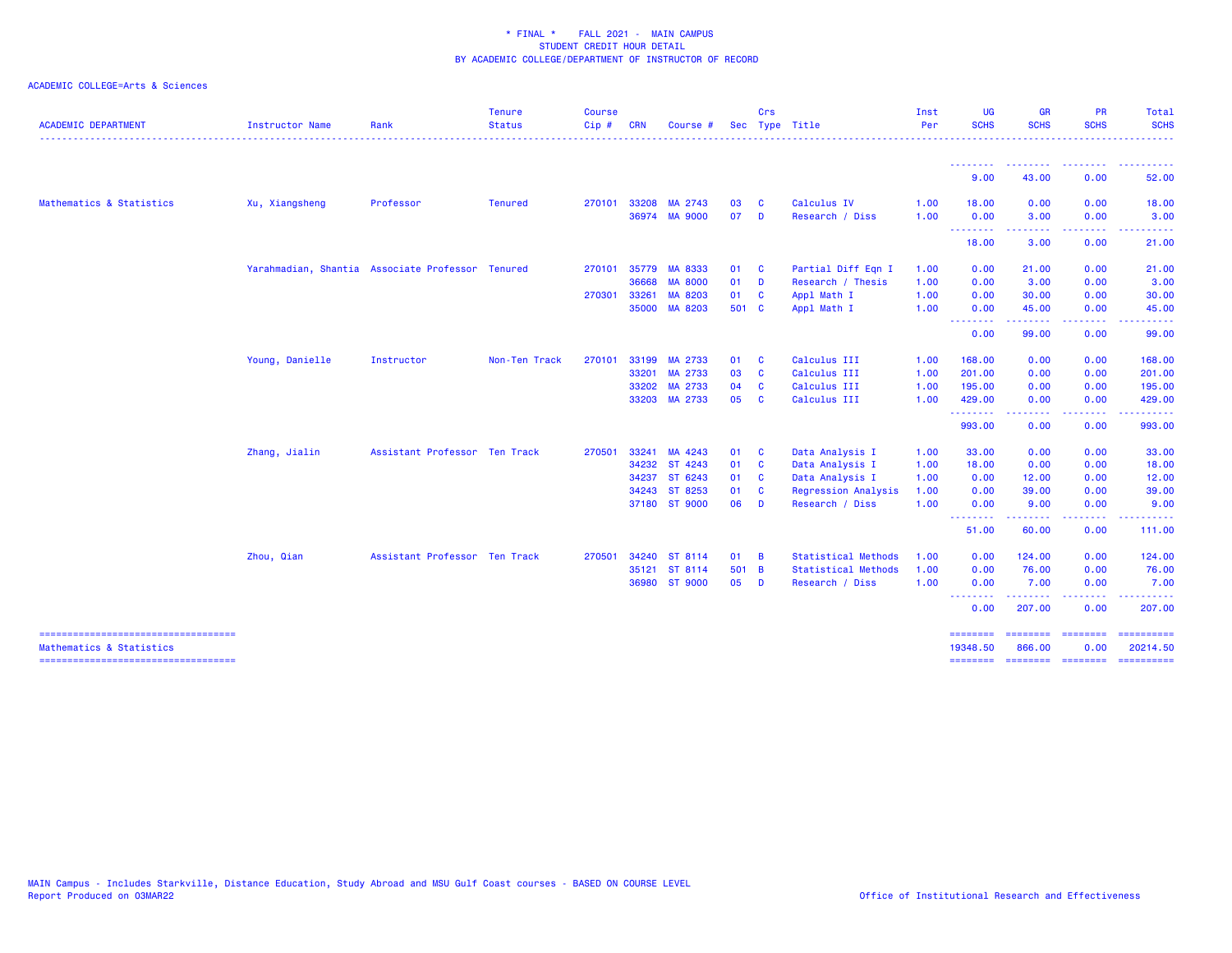| <b>ACADEMIC DEPARTMENT</b>            | <b>Instructor Name</b> | Rank                                             | <b>Tenure</b><br><b>Status</b> | <b>Course</b><br>Cip# | <b>CRN</b>   | Course #       |              | Crs                     | Sec Type Title             | Inst<br>Per | <b>UG</b><br><b>SCHS</b> | <b>GR</b><br><b>SCHS</b>                                                                                                                                      | <b>PR</b><br><b>SCHS</b>            | Total<br><b>SCHS</b>                                                                                                                                                                                                                                                                                                                                                                                                                                                                               |
|---------------------------------------|------------------------|--------------------------------------------------|--------------------------------|-----------------------|--------------|----------------|--------------|-------------------------|----------------------------|-------------|--------------------------|---------------------------------------------------------------------------------------------------------------------------------------------------------------|-------------------------------------|----------------------------------------------------------------------------------------------------------------------------------------------------------------------------------------------------------------------------------------------------------------------------------------------------------------------------------------------------------------------------------------------------------------------------------------------------------------------------------------------------|
|                                       |                        |                                                  |                                |                       |              |                |              |                         |                            |             | <u>.</u> .               | <b><i><u>AAAAAAAA</u></i></b>                                                                                                                                 | .                                   | .                                                                                                                                                                                                                                                                                                                                                                                                                                                                                                  |
|                                       |                        |                                                  |                                |                       |              |                |              |                         |                            |             | 9.00                     | 43.00                                                                                                                                                         | 0.00                                | 52.00                                                                                                                                                                                                                                                                                                                                                                                                                                                                                              |
| Mathematics & Statistics              | Xu, Xiangsheng         | Professor                                        | Tenured                        |                       | 270101 33208 | MA 2743        | 03           | C                       | Calculus IV                | 1.00        | 18.00                    | 0.00                                                                                                                                                          | 0.00                                | 18.00                                                                                                                                                                                                                                                                                                                                                                                                                                                                                              |
|                                       |                        |                                                  |                                |                       |              | 36974 MA 9000  | 07           | $\blacksquare$          | Research / Diss            | 1.00        | 0.00                     | 3.00                                                                                                                                                          | 0.00                                | 3.00                                                                                                                                                                                                                                                                                                                                                                                                                                                                                               |
|                                       |                        |                                                  |                                |                       |              |                |              |                         |                            |             | --------<br>18.00        | 3.00                                                                                                                                                          | 0.00                                | 21.00                                                                                                                                                                                                                                                                                                                                                                                                                                                                                              |
|                                       |                        | Yarahmadian, Shantia Associate Professor Tenured |                                | 270101                | 35779        | MA 8333        | 01 C         |                         | Partial Diff Eqn I         | 1.00        | 0.00                     | 21.00                                                                                                                                                         | 0.00                                | 21.00                                                                                                                                                                                                                                                                                                                                                                                                                                                                                              |
|                                       |                        |                                                  |                                |                       | 36668        | <b>MA 8000</b> | 01 D         |                         | Research / Thesis          | 1.00        | 0.00                     | 3.00                                                                                                                                                          | 0.00                                | 3.00                                                                                                                                                                                                                                                                                                                                                                                                                                                                                               |
|                                       |                        |                                                  |                                |                       | 270301 33261 | MA 8203        | 01 C         |                         | Appl Math I                | 1.00        | 0.00                     | 30.00                                                                                                                                                         | 0.00                                | 30.00                                                                                                                                                                                                                                                                                                                                                                                                                                                                                              |
|                                       |                        |                                                  |                                |                       |              | 35000 MA 8203  | 501 C        |                         | Appl Math I                | 1.00        | 0.00<br>.                | 45.00<br>$\frac{1}{2} \left( \frac{1}{2} \right) \left( \frac{1}{2} \right) \left( \frac{1}{2} \right) \left( \frac{1}{2} \right) \left( \frac{1}{2} \right)$ | 0.00<br>المتعاطين                   | 45.00<br>.                                                                                                                                                                                                                                                                                                                                                                                                                                                                                         |
|                                       |                        |                                                  |                                |                       |              |                |              |                         |                            |             | 0.00                     | 99.00                                                                                                                                                         | 0.00                                | 99.00                                                                                                                                                                                                                                                                                                                                                                                                                                                                                              |
|                                       | Young, Danielle        | Instructor                                       | Non-Ten Track                  | 270101                | 33199        | MA 2733        | 01 C         |                         | Calculus III               | 1.00        | 168.00                   | 0.00                                                                                                                                                          | 0.00                                | 168.00                                                                                                                                                                                                                                                                                                                                                                                                                                                                                             |
|                                       |                        |                                                  |                                |                       | 33201        | MA 2733        | 03           | $\mathbf{C}$            | Calculus III               | 1.00        | 201.00                   | 0.00                                                                                                                                                          | 0.00                                | 201.00                                                                                                                                                                                                                                                                                                                                                                                                                                                                                             |
|                                       |                        |                                                  |                                |                       | 33202        | MA 2733        | 04           | - C                     | Calculus III               | 1.00        | 195.00                   | 0.00                                                                                                                                                          | 0.00                                | 195.00                                                                                                                                                                                                                                                                                                                                                                                                                                                                                             |
|                                       |                        |                                                  |                                |                       |              | 33203 MA 2733  | 05           | $\overline{\mathbf{c}}$ | Calculus III               | 1.00        | 429.00                   | 0.00                                                                                                                                                          | 0.00                                | 429.00                                                                                                                                                                                                                                                                                                                                                                                                                                                                                             |
|                                       |                        |                                                  |                                |                       |              |                |              |                         |                            |             | .<br>993.00              | .<br>0.00                                                                                                                                                     | $\sim$ $\sim$ $\sim$ $\sim$<br>0.00 | .<br>993.00                                                                                                                                                                                                                                                                                                                                                                                                                                                                                        |
|                                       | Zhang, Jialin          | Assistant Professor Ten Track                    |                                | 270501                | 33241        | MA 4243        | 01 C         |                         | Data Analysis I            | 1.00        | 33.00                    | 0.00                                                                                                                                                          | 0.00                                | 33.00                                                                                                                                                                                                                                                                                                                                                                                                                                                                                              |
|                                       |                        |                                                  |                                |                       | 34232        | ST 4243        | 01 C         |                         | Data Analysis I            | 1.00        | 18.00                    | 0.00                                                                                                                                                          | 0.00                                | 18.00                                                                                                                                                                                                                                                                                                                                                                                                                                                                                              |
|                                       |                        |                                                  |                                |                       |              | 34237 ST 6243  | 01 C         |                         | Data Analysis I            | 1.00        | 0.00                     | 12.00                                                                                                                                                         | 0.00                                | 12.00                                                                                                                                                                                                                                                                                                                                                                                                                                                                                              |
|                                       |                        |                                                  |                                |                       |              | 34243 ST 8253  | 01 C         |                         | Regression Analysis        | 1.00        | 0.00                     | 39.00                                                                                                                                                         | 0.00                                | 39.00                                                                                                                                                                                                                                                                                                                                                                                                                                                                                              |
|                                       |                        |                                                  |                                |                       |              | 37180 ST 9000  | 06           | D                       | Research / Diss            | 1.00        | 0.00<br>--------         | 9.00<br>.                                                                                                                                                     | 0.00<br>-----                       | 9.00<br>-------                                                                                                                                                                                                                                                                                                                                                                                                                                                                                    |
|                                       |                        |                                                  |                                |                       |              |                |              |                         |                            |             | 51.00                    | 60.00                                                                                                                                                         | 0.00                                | 111.00                                                                                                                                                                                                                                                                                                                                                                                                                                                                                             |
|                                       | Zhou, Qian             | Assistant Professor Ten Track                    |                                | 270501                | 34240        | ST 8114        | $01 \quad B$ |                         | <b>Statistical Methods</b> | 1.00        | 0.00                     | 124.00                                                                                                                                                        | 0.00                                | 124.00                                                                                                                                                                                                                                                                                                                                                                                                                                                                                             |
|                                       |                        |                                                  |                                |                       |              | 35121 ST 8114  | 501 B        |                         | <b>Statistical Methods</b> | 1.00        | 0.00                     | 76.00                                                                                                                                                         | 0.00                                | 76.00                                                                                                                                                                                                                                                                                                                                                                                                                                                                                              |
|                                       |                        |                                                  |                                |                       |              | 36980 ST 9000  | 05           | $\blacksquare$          | Research / Diss            | 1.00        | 0.00<br>.                | 7.00                                                                                                                                                          | 0.00                                | 7.00                                                                                                                                                                                                                                                                                                                                                                                                                                                                                               |
|                                       |                        |                                                  |                                |                       |              |                |              |                         |                            |             | 0.00                     | .<br>207.00                                                                                                                                                   | .<br>0.00                           | 207.00                                                                                                                                                                                                                                                                                                                                                                                                                                                                                             |
| Mathematics & Statistics              |                        |                                                  |                                |                       |              |                |              |                         |                            |             | ========<br>19348.50     | <b>HERBERG</b><br>866,00                                                                                                                                      | eeeeeee<br>0.00                     | $\begin{array}{cccccccccc} \multicolumn{3}{c}{} & \multicolumn{3}{c}{} & \multicolumn{3}{c}{} & \multicolumn{3}{c}{} & \multicolumn{3}{c}{} & \multicolumn{3}{c}{} & \multicolumn{3}{c}{} & \multicolumn{3}{c}{} & \multicolumn{3}{c}{} & \multicolumn{3}{c}{} & \multicolumn{3}{c}{} & \multicolumn{3}{c}{} & \multicolumn{3}{c}{} & \multicolumn{3}{c}{} & \multicolumn{3}{c}{} & \multicolumn{3}{c}{} & \multicolumn{3}{c}{} & \multicolumn{3}{c}{} & \multicolumn{3}{c}{} & \mult$<br>20214.50 |
| ===================================== |                        |                                                  |                                |                       |              |                |              |                         |                            |             | ========                 | ==================                                                                                                                                            |                                     |                                                                                                                                                                                                                                                                                                                                                                                                                                                                                                    |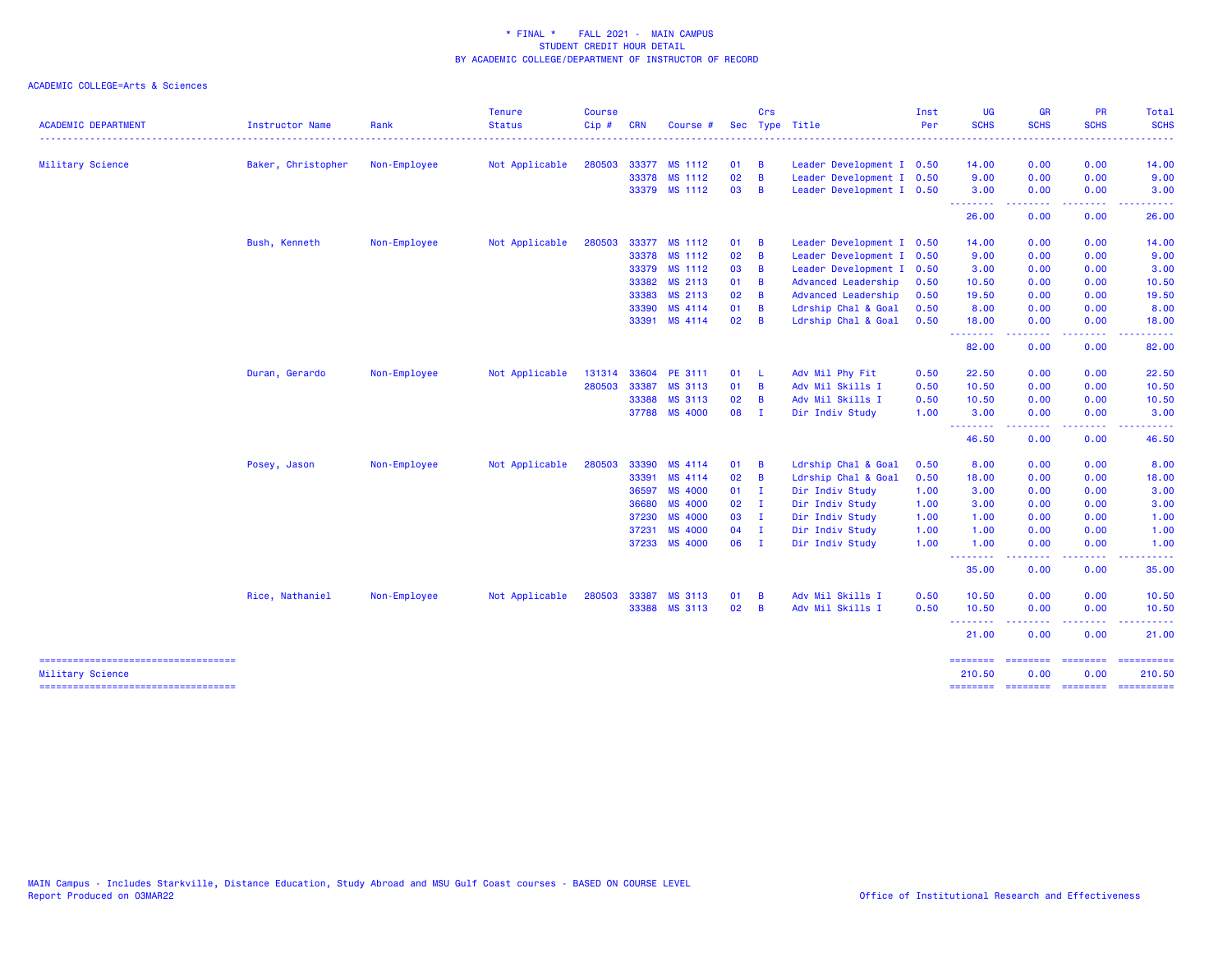|                                                           |                        |              | <b>Tenure</b>  | <b>Course</b> |            |                |    | Crs            |                           | Inst | UG               | <b>GR</b>                                                                                                                                            | <b>PR</b>             | Total                                                                                                                             |
|-----------------------------------------------------------|------------------------|--------------|----------------|---------------|------------|----------------|----|----------------|---------------------------|------|------------------|------------------------------------------------------------------------------------------------------------------------------------------------------|-----------------------|-----------------------------------------------------------------------------------------------------------------------------------|
| <b>ACADEMIC DEPARTMENT</b>                                | <b>Instructor Name</b> | Rank         | <b>Status</b>  | Cip#          | <b>CRN</b> | Course #       |    |                | Sec Type Title            | Per  | <b>SCHS</b>      | <b>SCHS</b>                                                                                                                                          | <b>SCHS</b>           | <b>SCHS</b>                                                                                                                       |
| Military Science                                          | Baker, Christopher     | Non-Employee | Not Applicable | 280503        |            | 33377 MS 1112  | 01 | $\overline{B}$ | Leader Development I 0.50 |      | 14.00            | 0.00                                                                                                                                                 | 0.00                  | 14.00                                                                                                                             |
|                                                           |                        |              |                |               | 33378      | MS 1112        | 02 | B              | Leader Development I 0.50 |      | 9.00             | 0.00                                                                                                                                                 | 0.00                  | 9.00                                                                                                                              |
|                                                           |                        |              |                |               |            | 33379 MS 1112  | 03 | B              | Leader Development I 0.50 |      | 3.00             | 0.00                                                                                                                                                 | 0.00                  | 3.00                                                                                                                              |
|                                                           |                        |              |                |               |            |                |    |                |                           |      | - - - - - - - -  | $\frac{1}{2} \left( \frac{1}{2} \right) \left( \frac{1}{2} \right) \left( \frac{1}{2} \right) \left( \frac{1}{2} \right) \left( \frac{1}{2} \right)$ | . <u>.</u> .          | $\frac{1}{2} \left( \frac{1}{2} \right) \left( \frac{1}{2} \right) \left( \frac{1}{2} \right) \left( \frac{1}{2} \right)$         |
|                                                           |                        |              |                |               |            |                |    |                |                           |      | 26.00            | 0.00                                                                                                                                                 | 0.00                  | 26.00                                                                                                                             |
|                                                           | Bush, Kenneth          | Non-Employee | Not Applicable | 280503        |            | 33377 MS 1112  | 01 | - B            | Leader Development I 0.50 |      | 14.00            | 0.00                                                                                                                                                 | 0.00                  | 14.00                                                                                                                             |
|                                                           |                        |              |                |               |            | 33378 MS 1112  | 02 | B              | Leader Development I      | 0.50 | 9.00             | 0.00                                                                                                                                                 | 0.00                  | 9.00                                                                                                                              |
|                                                           |                        |              |                |               | 33379      | MS 1112        | 03 | B              | Leader Development I      | 0.50 | 3.00             | 0.00                                                                                                                                                 | 0.00                  | 3.00                                                                                                                              |
|                                                           |                        |              |                |               | 33382      | MS 2113        | 01 | $\overline{B}$ | Advanced Leadership       | 0.50 | 10.50            | 0.00                                                                                                                                                 | 0.00                  | 10.50                                                                                                                             |
|                                                           |                        |              |                |               | 33383      | MS 2113        | 02 | B              | Advanced Leadership       | 0.50 | 19.50            | 0.00                                                                                                                                                 | 0.00                  | 19.50                                                                                                                             |
|                                                           |                        |              |                |               | 33390      | MS 4114        | 01 | B              | Ldrship Chal & Goal       | 0.50 | 8.00             | 0.00                                                                                                                                                 | 0.00                  | 8.00                                                                                                                              |
|                                                           |                        |              |                |               |            | 33391 MS 4114  | 02 | B              | Ldrship Chal & Goal       | 0.50 | 18.00<br>.       | 0.00<br>.                                                                                                                                            | 0.00<br>.             | 18.00<br>.                                                                                                                        |
|                                                           |                        |              |                |               |            |                |    |                |                           |      | 82.00            | 0.00                                                                                                                                                 | 0.00                  | 82.00                                                                                                                             |
|                                                           | Duran, Gerardo         | Non-Employee | Not Applicable | 131314        | 33604      | PE 3111        | 01 | -L             | Adv Mil Phy Fit           | 0.50 | 22.50            | 0.00                                                                                                                                                 | 0.00                  | 22.50                                                                                                                             |
|                                                           |                        |              |                | 280503        | 33387      | MS 3113        | 01 | $\overline{B}$ | Adv Mil Skills I          | 0.50 | 10.50            | 0.00                                                                                                                                                 | 0.00                  | 10.50                                                                                                                             |
|                                                           |                        |              |                |               | 33388      | MS 3113        | 02 | B              | Adv Mil Skills I          | 0.50 | 10.50            | 0.00                                                                                                                                                 | 0.00                  | 10.50                                                                                                                             |
|                                                           |                        |              |                |               | 37788      | MS 4000        | 08 | - I            | Dir Indiv Study           | 1.00 | 3.00<br>-------- | 0.00<br><b><i><u><u>AAAAA</u></u></i></b>                                                                                                            | 0.00<br>.             | 3.00<br>. <u>.</u> .                                                                                                              |
|                                                           |                        |              |                |               |            |                |    |                |                           |      | 46.50            | 0.00                                                                                                                                                 | 0.00                  | 46.50                                                                                                                             |
|                                                           | Posey, Jason           | Non-Employee | Not Applicable | 280503        | 33390      | MS 4114        | 01 | $\overline{B}$ | Ldrship Chal & Goal       | 0.50 | 8.00             | 0.00                                                                                                                                                 | 0.00                  | 8.00                                                                                                                              |
|                                                           |                        |              |                |               | 33391      | MS 4114        | 02 | B              | Ldrship Chal & Goal       | 0.50 | 18.00            | 0.00                                                                                                                                                 | 0.00                  | 18.00                                                                                                                             |
|                                                           |                        |              |                |               | 36597      | <b>MS 4000</b> | 01 | $\blacksquare$ | Dir Indiv Study           | 1.00 | 3.00             | 0.00                                                                                                                                                 | 0.00                  | 3.00                                                                                                                              |
|                                                           |                        |              |                |               | 36680      | MS 4000        | 02 | $\blacksquare$ | Dir Indiv Study           | 1.00 | 3.00             | 0.00                                                                                                                                                 | 0.00                  | 3.00                                                                                                                              |
|                                                           |                        |              |                |               | 37230      | <b>MS 4000</b> | 03 | $\mathbf{I}$   | Dir Indiv Study           | 1.00 | 1.00             | 0.00                                                                                                                                                 | 0.00                  | 1.00                                                                                                                              |
|                                                           |                        |              |                |               | 37231      | MS 4000        | 04 | $\mathbf{I}$   | Dir Indiv Study           | 1.00 | 1.00             | 0.00                                                                                                                                                 | 0.00                  | 1.00                                                                                                                              |
|                                                           |                        |              |                |               |            | 37233 MS 4000  | 06 | $\blacksquare$ | Dir Indiv Study           | 1.00 | 1.00<br>.        | 0.00<br>.                                                                                                                                            | 0.00<br>$\frac{1}{2}$ | 1.00<br>$\frac{1}{2} \left( \frac{1}{2} \right) \left( \frac{1}{2} \right) \left( \frac{1}{2} \right) \left( \frac{1}{2} \right)$ |
|                                                           |                        |              |                |               |            |                |    |                |                           |      | 35.00            | 0.00                                                                                                                                                 | 0.00                  | 35.00                                                                                                                             |
|                                                           | Rice, Nathaniel        | Non-Employee | Not Applicable | 280503        | 33387      | MS 3113        | 01 | B              | Adv Mil Skills I          | 0.50 | 10.50            | 0.00                                                                                                                                                 | 0.00                  | 10.50                                                                                                                             |
|                                                           |                        |              |                |               | 33388      | MS 3113        | 02 | B              | Adv Mil Skills I          | 0.50 | 10.50            | 0.00                                                                                                                                                 | 0.00                  | 10.50                                                                                                                             |
|                                                           |                        |              |                |               |            |                |    |                |                           |      | 21.00            | 0.00                                                                                                                                                 | 0.00                  | 21.00                                                                                                                             |
| =====================================                     |                        |              |                |               |            |                |    |                |                           |      | ========         | <b>EEEEEEEE</b>                                                                                                                                      |                       | <b>ESSESSERS</b>                                                                                                                  |
| Military Science<br>===================================== |                        |              |                |               |            |                |    |                |                           |      | 210.50           | 0.00                                                                                                                                                 | 0.00                  | 210.50                                                                                                                            |
|                                                           |                        |              |                |               |            |                |    |                |                           |      |                  |                                                                                                                                                      |                       |                                                                                                                                   |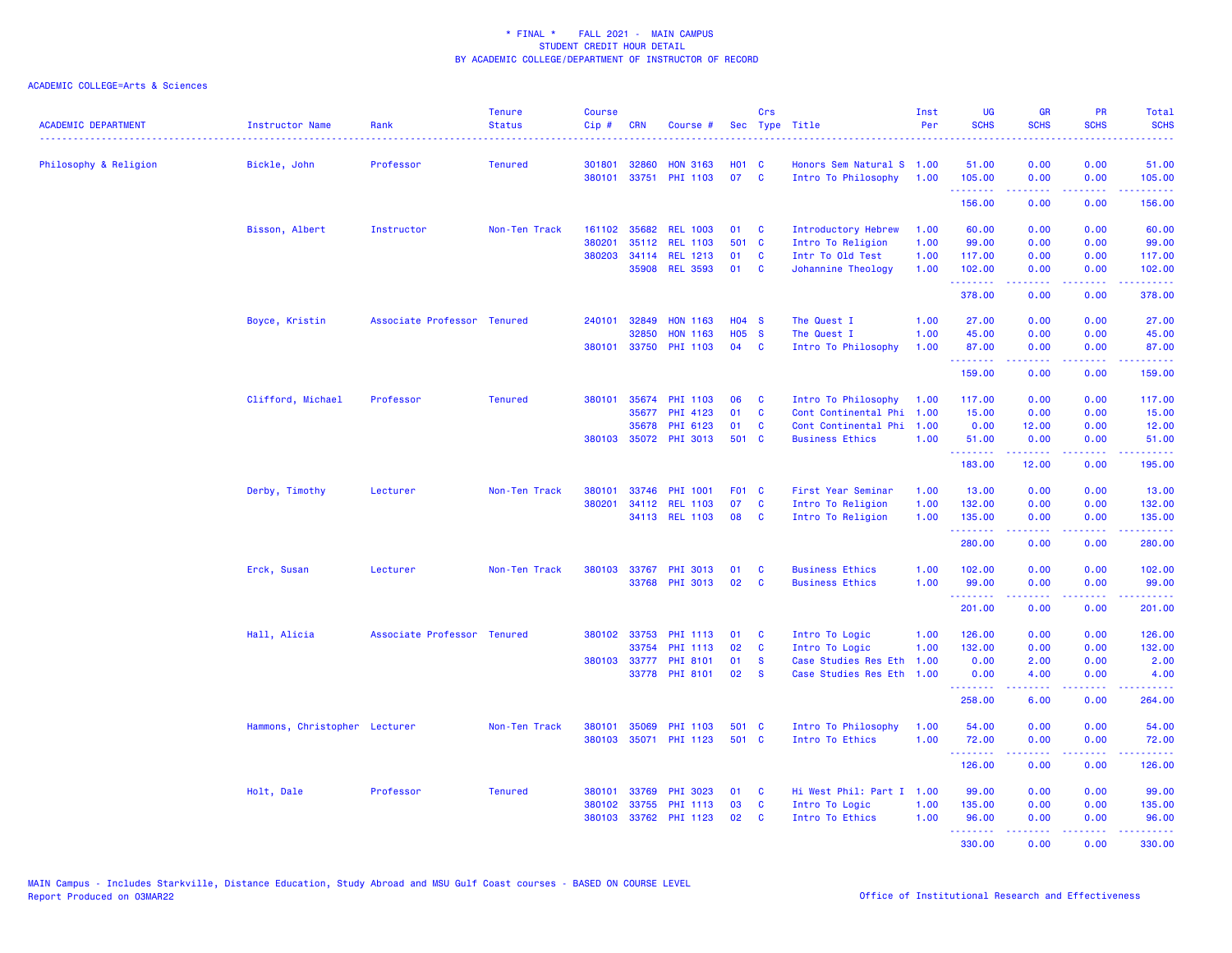| <b>ACADEMIC DEPARTMENT</b> | <b>Instructor Name</b>        | Rank                        | <b>Tenure</b><br><b>Status</b> | <b>Course</b><br>$Cip \#$ | <b>CRN</b>   | Course #                          |              | Crs                  | Sec Type Title                                    | Inst<br>Per | <b>UG</b><br><b>SCHS</b> | <b>GR</b><br><b>SCHS</b> | PR<br><b>SCHS</b>                                                                                                                 | Total<br><b>SCHS</b>                                                                                        |
|----------------------------|-------------------------------|-----------------------------|--------------------------------|---------------------------|--------------|-----------------------------------|--------------|----------------------|---------------------------------------------------|-------------|--------------------------|--------------------------|-----------------------------------------------------------------------------------------------------------------------------------|-------------------------------------------------------------------------------------------------------------|
| Philosophy & Religion      | Bickle, John                  | Professor                   | <b>Tenured</b>                 | 301801                    | 32860        | <b>HON 3163</b>                   | <b>HO1 C</b> |                      | Honors Sem Natural S 1.00                         |             | 51.00                    | 0.00                     | 0.00                                                                                                                              | 51.00                                                                                                       |
|                            |                               |                             |                                | 380101                    |              | 33751 PHI 1103                    | 07           | $\mathbf{C}$         | Intro To Philosophy                               | 1.00        | 105.00<br>.              | 0.00                     | 0.00<br>والمحامر                                                                                                                  | 105.00<br>.                                                                                                 |
|                            |                               |                             |                                |                           |              |                                   |              |                      |                                                   |             | 156.00                   | 0.00                     | 0.00                                                                                                                              | 156.00                                                                                                      |
|                            | Bisson, Albert                | Instructor                  | Non-Ten Track                  | 161102                    |              | 35682 REL 1003                    | 01           | <b>C</b>             | Introductory Hebrew                               | 1.00        | 60.00                    | 0.00                     | 0.00                                                                                                                              | 60.00                                                                                                       |
|                            |                               |                             |                                | 380201                    | 35112        | <b>REL 1103</b>                   | 501 C        |                      | Intro To Religion                                 | 1.00        | 99.00                    | 0.00                     | 0.00                                                                                                                              | 99.00                                                                                                       |
|                            |                               |                             |                                | 380203                    |              | 34114 REL 1213                    | 01           | C                    | Intr To Old Test                                  | 1.00        | 117.00                   | 0.00                     | 0.00                                                                                                                              | 117.00                                                                                                      |
|                            |                               |                             |                                |                           |              | 35908 REL 3593                    | 01           | C                    | Johannine Theology                                | 1.00        | 102.00<br>.              | 0.00<br>22222            | 0.00<br>.                                                                                                                         | 102.00<br>$\mathbf{1} \cdot \mathbf{1} \cdot \mathbf{1} \cdot \mathbf{1} \cdot \mathbf{1} \cdot \mathbf{1}$ |
|                            |                               |                             |                                |                           |              |                                   |              |                      |                                                   |             | 378.00                   | 0.00                     | 0.00                                                                                                                              | 378.00                                                                                                      |
|                            | Boyce, Kristin                | Associate Professor Tenured |                                | 240101                    | 32849        | <b>HON 1163</b>                   | $H04$ S      |                      | The Quest I                                       | 1.00        | 27.00                    | 0.00                     | 0.00                                                                                                                              | 27.00                                                                                                       |
|                            |                               |                             |                                |                           | 32850        | <b>HON 1163</b>                   | <b>HO5</b>   | <b>S</b>             | The Quest I                                       | 1.00        | 45.00                    | 0.00                     | 0.00                                                                                                                              | 45.00                                                                                                       |
|                            |                               |                             |                                |                           |              | 380101 33750 PHI 1103             | 04 C         |                      | Intro To Philosophy                               | 1.00        | 87.00<br>.               | 0.00<br>.                | 0.00<br>.                                                                                                                         | 87.00<br>المتمامين                                                                                          |
|                            |                               |                             |                                |                           |              |                                   |              |                      |                                                   |             | 159.00                   | 0.00                     | 0.00                                                                                                                              | 159.00                                                                                                      |
|                            | Clifford, Michael             | Professor                   | <b>Tenured</b>                 | 380101                    |              | 35674 PHI 1103                    | 06           | C                    | Intro To Philosophy                               | 1.00        | 117.00                   | 0.00                     | 0.00                                                                                                                              | 117.00                                                                                                      |
|                            |                               |                             |                                |                           | 35677        | PHI 4123                          | 01           | <b>C</b>             | Cont Continental Phi                              | 1.00        | 15.00                    | 0.00                     | 0.00                                                                                                                              | 15.00                                                                                                       |
|                            |                               |                             |                                |                           | 35678        | PHI 6123                          | 01           | C                    | Cont Continental Phi                              | 1.00        | 0.00                     | 12.00                    | 0.00                                                                                                                              | 12.00                                                                                                       |
|                            |                               |                             |                                |                           |              | 380103 35072 PHI 3013             | 501          | $\mathbf{C}$         | <b>Business Ethics</b>                            | 1.00        | 51.00                    | 0.00                     | 0.00                                                                                                                              | 51.00                                                                                                       |
|                            |                               |                             |                                |                           |              |                                   |              |                      |                                                   |             | <b></b><br>183.00        | المستملة<br>12.00        | .<br>0.00                                                                                                                         | وعاعاه عاما<br>195.00                                                                                       |
|                            | Derby, Timothy                | Lecturer                    | Non-Ten Track                  | 380101                    | 33746        | <b>PHI 1001</b>                   | F01 C        |                      | First Year Seminar                                | 1.00        | 13.00                    | 0.00                     | 0.00                                                                                                                              | 13.00                                                                                                       |
|                            |                               |                             |                                | 380201                    | 34112        | <b>REL 1103</b>                   | 07           | $\mathbf{C}$         | Intro To Religion                                 | 1.00        | 132.00                   | 0.00                     | 0.00                                                                                                                              | 132.00                                                                                                      |
|                            |                               |                             |                                |                           |              | 34113 REL 1103                    | 08           | <b>C</b>             | Intro To Religion                                 | 1.00        | 135.00<br>.              | 0.00<br>-----            | 0.00<br>.                                                                                                                         | 135.00<br>.                                                                                                 |
|                            |                               |                             |                                |                           |              |                                   |              |                      |                                                   |             | 280.00                   | 0.00                     | 0.00                                                                                                                              | 280.00                                                                                                      |
|                            | Erck, Susan                   | Lecturer                    | Non-Ten Track                  | 380103                    | 33767        | PHI 3013                          | 01           | C                    | <b>Business Ethics</b>                            | 1.00        | 102.00                   | 0.00                     | 0.00                                                                                                                              | 102.00                                                                                                      |
|                            |                               |                             |                                |                           |              | 33768 PHI 3013                    | 02           | C                    | <b>Business Ethics</b>                            | 1.00        | 99.00                    | 0.00                     | 0.00                                                                                                                              | 99.00                                                                                                       |
|                            |                               |                             |                                |                           |              |                                   |              |                      |                                                   |             | .<br>201.00              | 0.00                     | $\frac{1}{2} \left( \frac{1}{2} \right) \left( \frac{1}{2} \right) \left( \frac{1}{2} \right) \left( \frac{1}{2} \right)$<br>0.00 | .<br>201.00                                                                                                 |
|                            |                               |                             |                                |                           |              |                                   |              |                      |                                                   |             |                          |                          |                                                                                                                                   |                                                                                                             |
|                            | Hall, Alicia                  | Associate Professor Tenured |                                |                           | 380102 33753 | <b>PHI 1113</b>                   | 01           | C                    | Intro To Logic                                    | 1.00        | 126.00                   | 0.00                     | 0.00                                                                                                                              | 126.00                                                                                                      |
|                            |                               |                             |                                |                           | 33754        | PHI 1113                          | 02           | <b>C</b>             | Intro To Logic                                    | 1.00        | 132.00                   | 0.00                     | 0.00                                                                                                                              | 132.00                                                                                                      |
|                            |                               |                             |                                | 380103                    | 33777        | <b>PHI 8101</b><br>33778 PHI 8101 | 01<br>02     | <b>S</b><br><b>S</b> | Case Studies Res Eth<br>Case Studies Res Eth 1.00 | 1.00        | 0.00<br>0.00             | 2.00<br>4.00             | 0.00<br>0.00                                                                                                                      | 2.00<br>4.00                                                                                                |
|                            |                               |                             |                                |                           |              |                                   |              |                      |                                                   |             | .                        | 22222                    | .                                                                                                                                 | .                                                                                                           |
|                            |                               |                             |                                |                           |              |                                   |              |                      |                                                   |             | 258.00                   | 6.00                     | 0.00                                                                                                                              | 264.00                                                                                                      |
|                            | Hammons, Christopher Lecturer |                             | Non-Ten Track                  | 380101                    | 35069        | PHI 1103                          | 501 C        |                      | Intro To Philosophy                               | 1.00        | 54.00                    | 0.00                     | 0.00                                                                                                                              | 54.00                                                                                                       |
|                            |                               |                             |                                | 380103                    | 35071        | <b>PHI 1123</b>                   | 501 C        |                      | Intro To Ethics                                   | 1.00        | 72.00<br>.               | 0.00<br>.                | 0.00<br>.                                                                                                                         | 72.00<br>.                                                                                                  |
|                            |                               |                             |                                |                           |              |                                   |              |                      |                                                   |             | 126.00                   | 0.00                     | 0.00                                                                                                                              | 126.00                                                                                                      |
|                            | Holt, Dale                    | Professor                   | <b>Tenured</b>                 | 380101                    | 33769        | PHI 3023                          | 01           | <b>C</b>             | Hi West Phil: Part I 1.00                         |             | 99.00                    | 0.00                     | 0.00                                                                                                                              | 99.00                                                                                                       |
|                            |                               |                             |                                | 380102                    | 33755        | PHI 1113                          | 03           | C                    | Intro To Logic                                    | 1.00        | 135.00                   | 0.00                     | 0.00                                                                                                                              | 135.00                                                                                                      |
|                            |                               |                             |                                | 380103                    |              | 33762 PHI 1123                    | 02           | C                    | Intro To Ethics                                   | 1.00        | 96.00                    | 0.00                     | 0.00                                                                                                                              | 96.00                                                                                                       |
|                            |                               |                             |                                |                           |              |                                   |              |                      |                                                   |             | .<br>330.00              | 22222<br>0.00            | د د د د .<br>0.00                                                                                                                 | 222223<br>330.00                                                                                            |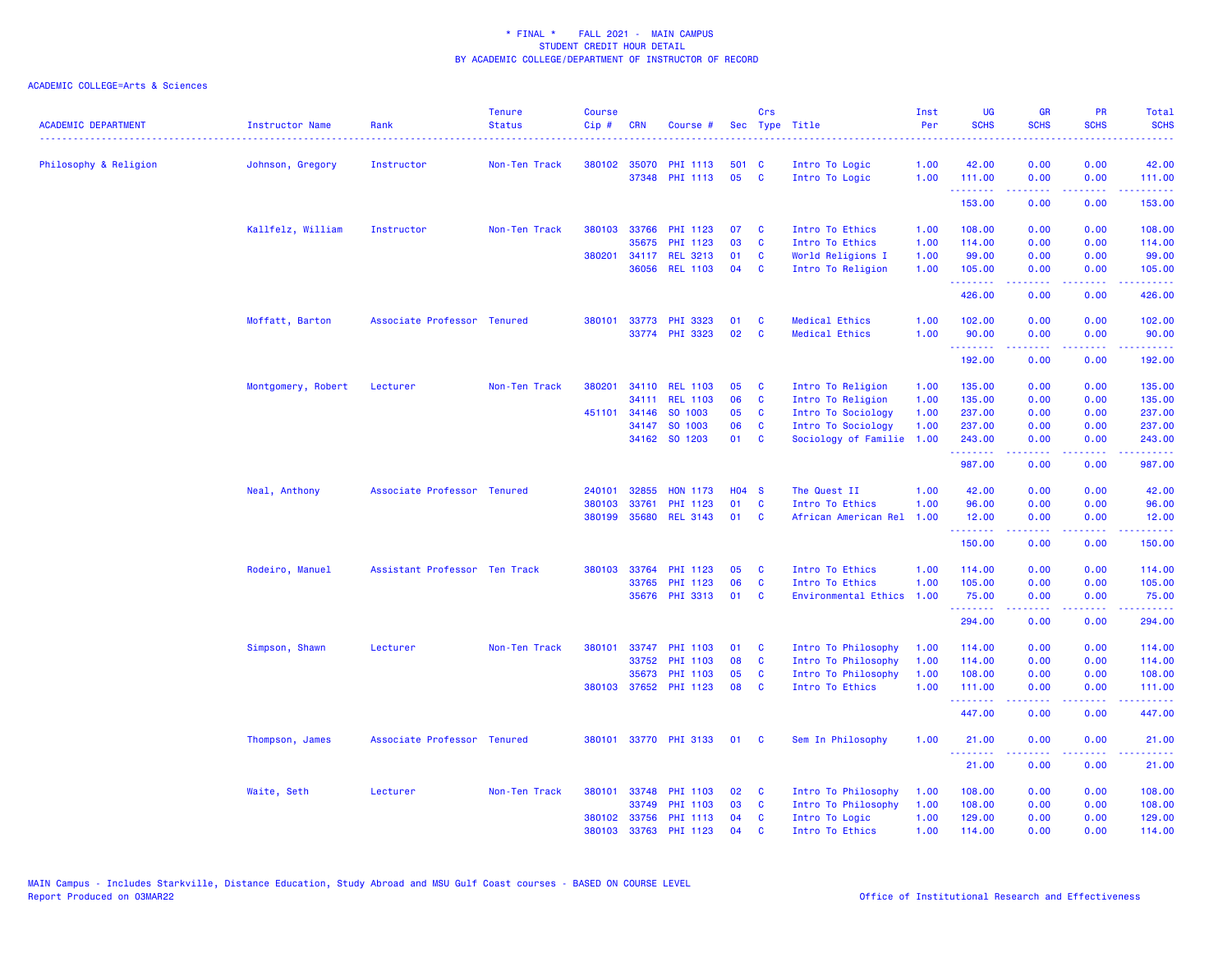| <b>ACADEMIC DEPARTMENT</b> | <b>Instructor Name</b> | Rank                          | <b>Tenure</b><br><b>Status</b> | <b>Course</b><br>Cip# | <b>CRN</b>   | Course #              |         | Crs          | Sec Type Title            | Inst<br>Per | <b>UG</b><br><b>SCHS</b>                            | <b>GR</b><br><b>SCHS</b> | PR<br><b>SCHS</b> | Total<br><b>SCHS</b><br>.                                                                                                                                      |
|----------------------------|------------------------|-------------------------------|--------------------------------|-----------------------|--------------|-----------------------|---------|--------------|---------------------------|-------------|-----------------------------------------------------|--------------------------|-------------------|----------------------------------------------------------------------------------------------------------------------------------------------------------------|
| Philosophy & Religion      | Johnson, Gregory       | Instructor                    | Non-Ten Track                  |                       | 380102 35070 | <b>PHI 1113</b>       | 501 C   |              | Intro To Logic            | 1.00        | 42.00                                               | 0.00                     | 0.00              | 42.00                                                                                                                                                          |
|                            |                        |                               |                                |                       |              | 37348 PHI 1113        | 05      | $\mathbf{C}$ | Intro To Logic            | 1.00        | 111.00                                              | 0.00                     | 0.00              | 111.00                                                                                                                                                         |
|                            |                        |                               |                                |                       |              |                       |         |              |                           |             | .<br>153.00                                         | .<br>0.00                | .<br>0.00         | 2.2222<br>153.00                                                                                                                                               |
|                            | Kallfelz, William      | Instructor                    | Non-Ten Track                  | 380103                | 33766        | PHI 1123              | 07      | <b>C</b>     | Intro To Ethics           | 1.00        | 108.00                                              | 0.00                     | 0.00              | 108.00                                                                                                                                                         |
|                            |                        |                               |                                |                       | 35675        | PHI 1123              | 03      | C            | Intro To Ethics           | 1.00        | 114.00                                              | 0.00                     | 0.00              | 114.00                                                                                                                                                         |
|                            |                        |                               |                                | 380201                |              | 34117 REL 3213        | 01      | <b>C</b>     | World Religions I         | 1.00        | 99.00                                               | 0.00                     | 0.00              | 99.00                                                                                                                                                          |
|                            |                        |                               |                                |                       |              | 36056 REL 1103        | 04      | <b>C</b>     | Intro To Religion         | 1.00        | 105.00                                              | 0.00                     | 0.00              | 105.00                                                                                                                                                         |
|                            |                        |                               |                                |                       |              |                       |         |              |                           |             | .<br>426.00                                         | .<br>0.00                | .<br>0.00         | $\frac{1}{2} \left( \frac{1}{2} \right) \left( \frac{1}{2} \right) \left( \frac{1}{2} \right) \left( \frac{1}{2} \right) \left( \frac{1}{2} \right)$<br>426.00 |
|                            | Moffatt, Barton        | Associate Professor Tenured   |                                | 380101                |              | 33773 PHI 3323        | 01      | C            | <b>Medical Ethics</b>     | 1.00        | 102.00                                              | 0.00                     | 0.00              | 102.00                                                                                                                                                         |
|                            |                        |                               |                                |                       |              | 33774 PHI 3323        | 02      | C            | <b>Medical Ethics</b>     | 1.00        | 90.00<br>.                                          | 0.00<br>.                | 0.00<br>.         | 90.00<br>$\begin{array}{cccccccccc} \bullet & \bullet & \bullet & \bullet & \bullet & \bullet & \bullet & \bullet \end{array}$                                 |
|                            |                        |                               |                                |                       |              |                       |         |              |                           |             | 192.00                                              | 0.00                     | 0.00              | 192.00                                                                                                                                                         |
|                            | Montgomery, Robert     | Lecturer                      | Non-Ten Track                  | 380201                |              | 34110 REL 1103        | 05      | <b>C</b>     | Intro To Religion         | 1.00        | 135.00                                              | 0.00                     | 0.00              | 135.00                                                                                                                                                         |
|                            |                        |                               |                                |                       |              | 34111 REL 1103        | 06      | C            | Intro To Religion         | 1.00        | 135.00                                              | 0.00                     | 0.00              | 135.00                                                                                                                                                         |
|                            |                        |                               |                                | 451101                | 34146        | SO 1003               | 05      | <b>C</b>     | Intro To Sociology        | 1.00        | 237.00                                              | 0.00                     | 0.00              | 237.00                                                                                                                                                         |
|                            |                        |                               |                                |                       |              | 34147 SO 1003         | 06      | <b>C</b>     | Intro To Sociology        | 1.00        | 237.00                                              | 0.00                     | 0.00              | 237.00                                                                                                                                                         |
|                            |                        |                               |                                |                       |              | 34162 SO 1203         | 01      | <b>C</b>     | Sociology of Familie      | 1.00        | 243.00<br>.                                         | 0.00<br>.                | 0.00<br>.         | 243.00<br>والمتحدث للمنابذ                                                                                                                                     |
|                            |                        |                               |                                |                       |              |                       |         |              |                           |             | 987.00                                              | 0.00                     | 0.00              | 987.00                                                                                                                                                         |
|                            | Neal, Anthony          | Associate Professor Tenured   |                                | 240101                | 32855        | <b>HON 1173</b>       | $H04$ S |              | The Quest II              | 1.00        | 42.00                                               | 0.00                     | 0.00              | 42.00                                                                                                                                                          |
|                            |                        |                               |                                | 380103                | 33761        | PHI 1123              | 01      | <b>C</b>     | Intro To Ethics           | 1.00        | 96.00                                               | 0.00                     | 0.00              | 96.00                                                                                                                                                          |
|                            |                        |                               |                                |                       |              | 380199 35680 REL 3143 | 01      | <b>C</b>     | African American Rel      | 1.00        | 12.00<br><b><i><u><u> - - - - - - -</u></u></i></b> | 0.00                     | 0.00<br>والمحامر  | 12.00                                                                                                                                                          |
|                            |                        |                               |                                |                       |              |                       |         |              |                           |             | 150.00                                              | 0.00                     | 0.00              | 150.00                                                                                                                                                         |
|                            | Rodeiro, Manuel        | Assistant Professor Ten Track |                                |                       |              | 380103 33764 PHI 1123 | 05      | C            | Intro To Ethics           | 1.00        | 114.00                                              | 0.00                     | 0.00              | 114.00                                                                                                                                                         |
|                            |                        |                               |                                |                       |              | 33765 PHI 1123        | 06      | <b>C</b>     | Intro To Ethics           | 1.00        | 105.00                                              | 0.00                     | 0.00              | 105.00                                                                                                                                                         |
|                            |                        |                               |                                |                       |              | 35676 PHI 3313        | 01      | <b>C</b>     | Environmental Ethics 1.00 |             | 75.00<br><b><i><u><u> - - - - - - -</u></u></i></b> | 0.00<br>.                | 0.00<br>والمحامر  | 75.00<br>22222)                                                                                                                                                |
|                            |                        |                               |                                |                       |              |                       |         |              |                           |             | 294.00                                              | 0.00                     | 0.00              | 294.00                                                                                                                                                         |
|                            | Simpson, Shawn         | Lecturer                      | Non-Ten Track                  | 380101                |              | 33747 PHI 1103        | 01      | C            | Intro To Philosophy       | 1.00        | 114.00                                              | 0.00                     | 0.00              | 114.00                                                                                                                                                         |
|                            |                        |                               |                                |                       |              | 33752 PHI 1103        | 08      | <b>C</b>     | Intro To Philosophy       | 1.00        | 114.00                                              | 0.00                     | 0.00              | 114.00                                                                                                                                                         |
|                            |                        |                               |                                |                       | 35673        | PHI 1103              | 05      | <b>C</b>     | Intro To Philosophy       | 1.00        | 108.00                                              | 0.00                     | 0.00              | 108.00                                                                                                                                                         |
|                            |                        |                               |                                |                       |              | 380103 37652 PHI 1123 | 08      | C            | Intro To Ethics           | 1.00        | 111.00<br>.                                         | 0.00<br>.                | 0.00<br>.         | 111.00<br>.                                                                                                                                                    |
|                            |                        |                               |                                |                       |              |                       |         |              |                           |             | 447.00                                              | 0.00                     | 0.00              | 447.00                                                                                                                                                         |
|                            | Thompson, James        | Associate Professor Tenured   |                                |                       |              | 380101 33770 PHI 3133 | 01      | <b>C</b>     | Sem In Philosophy         | 1.00        | 21.00                                               | 0.00                     | 0.00              | 21.00                                                                                                                                                          |
|                            |                        |                               |                                |                       |              |                       |         |              |                           |             | 21.00                                               | 0.00                     | 0.00              | 21.00                                                                                                                                                          |
|                            | Waite, Seth            | Lecturer                      | Non-Ten Track                  | 380101                |              | 33748 PHI 1103        | 02      | <b>C</b>     | Intro To Philosophy       | 1.00        | 108.00                                              | 0.00                     | 0.00              | 108.00                                                                                                                                                         |
|                            |                        |                               |                                |                       | 33749        | <b>PHI 1103</b>       | 03      | C            | Intro To Philosophy       | 1.00        | 108.00                                              | 0.00                     | 0.00              | 108.00                                                                                                                                                         |
|                            |                        |                               |                                |                       |              | 380102 33756 PHI 1113 | 04      | <b>C</b>     | Intro To Logic            | 1.00        | 129.00                                              | 0.00                     | 0.00              | 129.00                                                                                                                                                         |
|                            |                        |                               |                                | 380103                |              | 33763 PHI 1123        | 04      | $\mathbf{c}$ | Intro To Ethics           | 1.00        | 114.00                                              | 0.00                     | 0.00              | 114.00                                                                                                                                                         |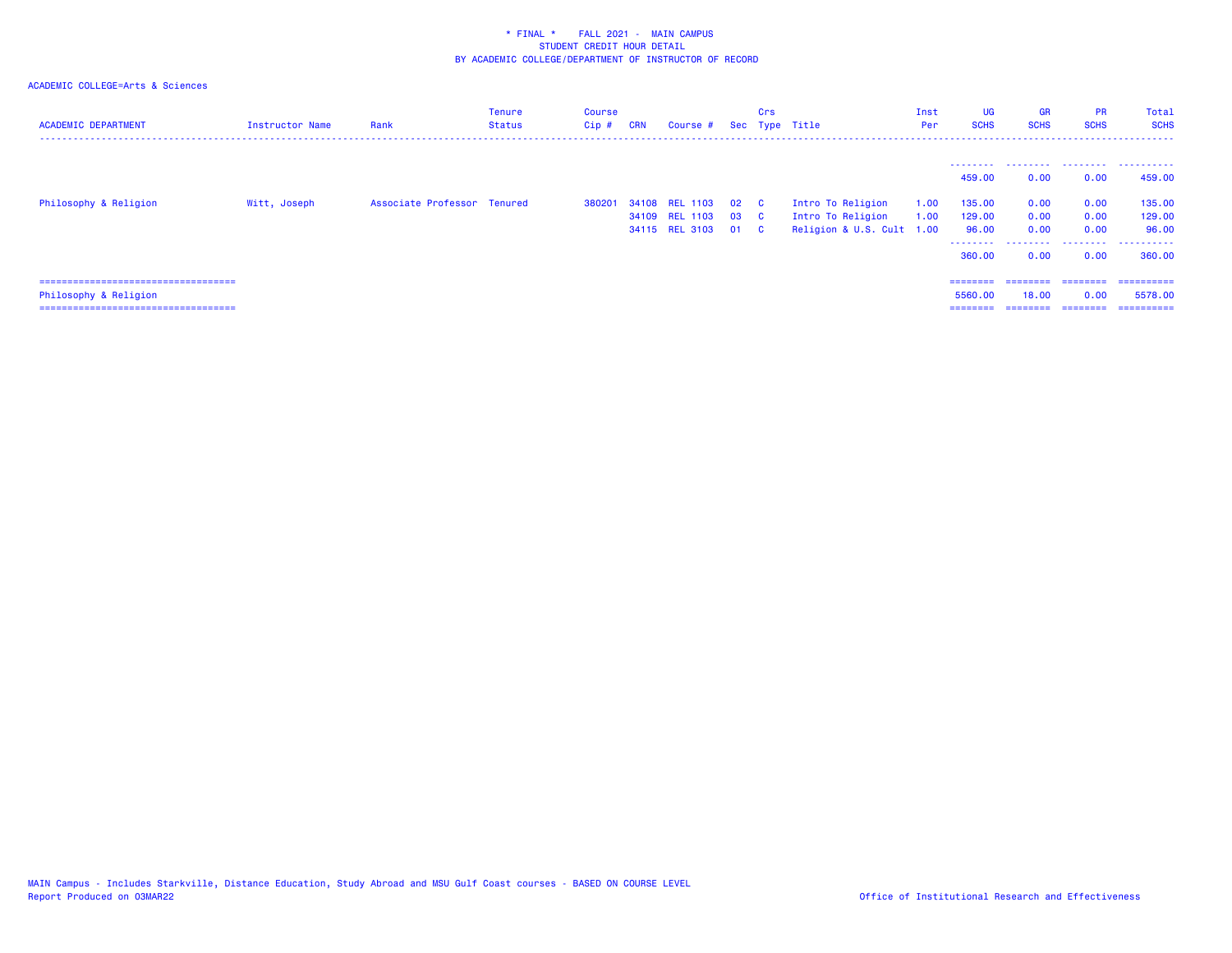| <b>ACADEMIC DEPARTMENT</b>                                      | Instructor Name | Rank                        | <b>Tenure</b><br>Status | Course<br>Cip# | <b>CRN</b> | Course #                                           |                         | Crs                      | Sec Type Title                                                      | Inst<br>Per  | <b>UG</b><br><b>SCHS</b>                        | <b>GR</b><br><b>SCHS</b>          | <b>PR</b><br><b>SCHS</b>          | Total<br><b>SCHS</b><br>------           |
|-----------------------------------------------------------------|-----------------|-----------------------------|-------------------------|----------------|------------|----------------------------------------------------|-------------------------|--------------------------|---------------------------------------------------------------------|--------------|-------------------------------------------------|-----------------------------------|-----------------------------------|------------------------------------------|
| Philosophy & Religion                                           | Witt, Joseph    | Associate Professor Tenured |                         | 380201         |            | 34108 REL 1103<br>34109 REL 1103<br>34115 REL 3103 | $02\quad C$<br>03<br>01 | <b>C</b><br>$\mathbf{C}$ | Intro To Religion<br>Intro To Religion<br>Religion & U.S. Cult 1.00 | 1.00<br>1.00 | --------<br>459,00<br>135.00<br>129.00<br>96.00 | .<br>0.00<br>0.00<br>0.00<br>0.00 | .<br>0.00<br>0.00<br>0.00<br>0.00 | .<br>459,00<br>135.00<br>129.00<br>96.00 |
|                                                                 |                 |                             |                         |                |            |                                                    |                         |                          |                                                                     |              | --------<br>360.00                              | .<br>0.00                         | .<br>0.00                         | .<br>360,00                              |
| ======================================<br>Philosophy & Religion |                 |                             |                         |                |            |                                                    |                         |                          |                                                                     |              | ========<br>5560.00                             | ========<br>18.00                 | ========<br>0.00                  | ==========<br>5578.00                    |
| ====================================                            |                 |                             |                         |                |            |                                                    |                         |                          |                                                                     |              | $=$ = = = = = = =                               | --------                          | ========                          | ==========                               |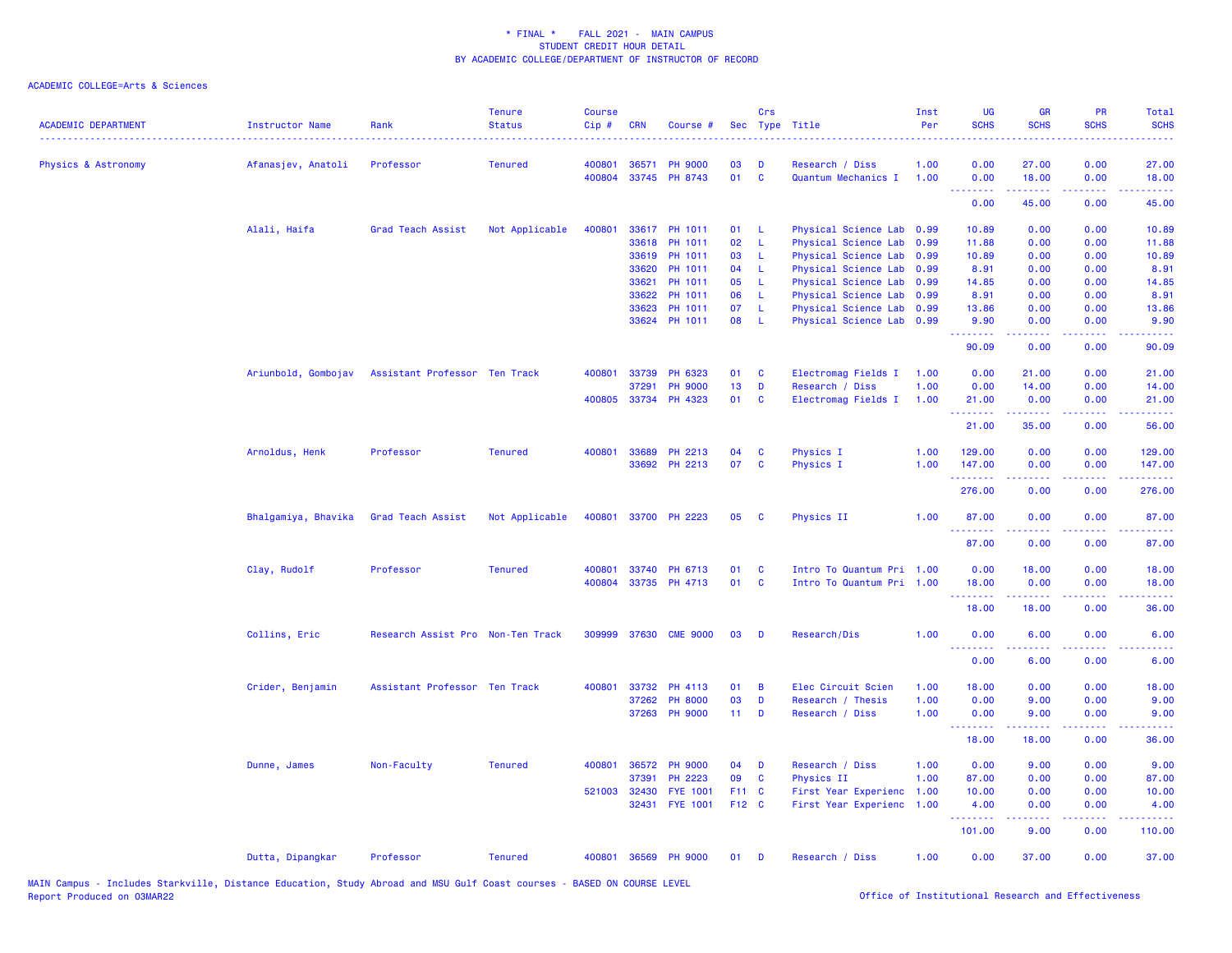| <b>ACADEMIC DEPARTMENT</b> | <b>Instructor Name</b> | Rank                              | <b>Tenure</b><br><b>Status</b> | <b>Course</b><br>Cip# | <b>CRN</b>   | Course #             |                 | Crs          | Sec Type Title            | Inst<br>Per | UG<br><b>SCHS</b> | <b>GR</b><br><b>SCHS</b> | PR<br><b>SCHS</b>                   | Total<br><b>SCHS</b>                                                                                                              |
|----------------------------|------------------------|-----------------------------------|--------------------------------|-----------------------|--------------|----------------------|-----------------|--------------|---------------------------|-------------|-------------------|--------------------------|-------------------------------------|-----------------------------------------------------------------------------------------------------------------------------------|
| Physics & Astronomy        | Afanasjev, Anatoli     | Professor                         | <b>Tenured</b>                 | 400801                | 36571        | <b>PH 9000</b>       | 03              | D            | Research / Diss           | 1.00        | 0.00              | 27.00                    | 0.00                                | 27.00                                                                                                                             |
|                            |                        |                                   |                                | 400804                |              | 33745 PH 8743        | 01              | $\mathbf{C}$ | Quantum Mechanics I       | 1.00        | 0.00<br>.         | 18.00<br>المتمام المتمار | 0.00<br>.                           | 18.00<br>.                                                                                                                        |
|                            |                        |                                   |                                |                       |              |                      |                 |              |                           |             | 0.00              | 45.00                    | 0.00                                | 45.00                                                                                                                             |
|                            | Alali, Haifa           | Grad Teach Assist                 | Not Applicable                 | 400801                |              | 33617 PH 1011        | 01              | -L           | Physical Science Lab 0.99 |             | 10.89             | 0.00                     | 0.00                                | 10.89                                                                                                                             |
|                            |                        |                                   |                                |                       | 33618        | PH 1011              | 02              | L            | Physical Science Lab 0.99 |             | 11.88             | 0.00                     | 0.00                                | 11.88                                                                                                                             |
|                            |                        |                                   |                                |                       | 33619        | PH 1011              | 03              | -L           | Physical Science Lab 0.99 |             | 10.89             | 0.00                     | 0.00                                | 10.89                                                                                                                             |
|                            |                        |                                   |                                |                       | 33620        | PH 1011              | 04              | -L           | Physical Science Lab 0.99 |             | 8.91              | 0.00                     | 0.00                                | 8.91                                                                                                                              |
|                            |                        |                                   |                                |                       | 33621        | PH 1011              | 05              | -L           | Physical Science Lab 0.99 |             | 14.85             | 0.00                     | 0.00                                | 14.85                                                                                                                             |
|                            |                        |                                   |                                |                       | 33622        | PH 1011              | 06              | -L           | Physical Science Lab 0.99 |             | 8.91              | 0.00                     | 0.00                                | 8.91                                                                                                                              |
|                            |                        |                                   |                                |                       | 33623        | PH 1011              | 07              | -L           | Physical Science Lab 0.99 |             | 13.86             | 0.00                     | 0.00                                | 13.86                                                                                                                             |
|                            |                        |                                   |                                |                       |              | 33624 PH 1011        | 08              | - L          | Physical Science Lab 0.99 |             | 9.90<br>.         | 0.00<br>المتمام المتمار  | 0.00<br>.                           | 9.90<br>.                                                                                                                         |
|                            |                        |                                   |                                |                       |              |                      |                 |              |                           |             | 90.09             | 0.00                     | 0.00                                | 90.09                                                                                                                             |
|                            | Ariunbold, Gombojav    | Assistant Professor Ten Track     |                                | 400801                | 33739        | PH 6323              | 01              | C            | Electromag Fields I       | 1.00        | 0.00              | 21.00                    | 0.00                                | 21.00                                                                                                                             |
|                            |                        |                                   |                                |                       | 37291        | <b>PH 9000</b>       | 13              | D            | Research / Diss           | 1.00        | 0.00              | 14.00                    | 0.00                                | 14.00                                                                                                                             |
|                            |                        |                                   |                                |                       |              | 400805 33734 PH 4323 | 01              | C            | Electromag Fields I       | 1.00        | 21.00             | 0.00                     | 0.00                                | 21.00                                                                                                                             |
|                            |                        |                                   |                                |                       |              |                      |                 |              |                           |             | .<br>21.00        | 35.00                    | 0.00                                | 56.00                                                                                                                             |
|                            | Arnoldus, Henk         | Professor                         | <b>Tenured</b>                 | 400801                | 33689        | PH 2213              | 04              | C            | Physics I                 | 1.00        | 129.00            | 0.00                     | 0.00                                | 129.00                                                                                                                            |
|                            |                        |                                   |                                |                       |              | 33692 PH 2213        | 07              | C            | <b>Physics I</b>          | 1.00        | 147.00            | 0.00                     | 0.00                                | 147.00                                                                                                                            |
|                            |                        |                                   |                                |                       |              |                      |                 |              |                           |             | .<br>276.00       | .<br>0.00                | .<br>0.00                           | .<br>276.00                                                                                                                       |
|                            | Bhalgamiya, Bhavika    | Grad Teach Assist                 | Not Applicable                 | 400801                |              | 33700 PH 2223        | 05              | C            | Physics II                | 1.00        | 87.00             | 0.00                     | 0.00                                | 87.00                                                                                                                             |
|                            |                        |                                   |                                |                       |              |                      |                 |              |                           |             | .<br>87.00        | 0.00                     | $\sim$ $\sim$ $\sim$ $\sim$<br>0.00 | 87.00                                                                                                                             |
|                            | Clay, Rudolf           | Professor                         | <b>Tenured</b>                 | 400801                |              | 33740 PH 6713        | 01              | C            | Intro To Quantum Pri 1.00 |             | 0.00              | 18.00                    | 0.00                                | 18.00                                                                                                                             |
|                            |                        |                                   |                                |                       |              | 400804 33735 PH 4713 | 01              | <b>C</b>     | Intro To Quantum Pri 1.00 |             | 18.00             | 0.00                     | 0.00                                | 18.00                                                                                                                             |
|                            |                        |                                   |                                |                       |              |                      |                 |              |                           |             | <u>.</u><br>18.00 | .<br>18.00               | .<br>0.00                           | .<br>36.00                                                                                                                        |
|                            | Collins, Eric          | Research Assist Pro Non-Ten Track |                                | 309999                | 37630        | <b>CME 9000</b>      | 03              | D            | Research/Dis              | 1.00        | 0.00              | 6.00                     | 0.00                                | 6.00                                                                                                                              |
|                            |                        |                                   |                                |                       |              |                      |                 |              |                           |             | 0.00              | 6.00                     | 0.00                                | 6.00                                                                                                                              |
|                            |                        |                                   |                                |                       |              |                      |                 |              |                           |             |                   |                          |                                     |                                                                                                                                   |
|                            | Crider, Benjamin       | Assistant Professor Ten Track     |                                | 400801                | 33732        | PH 4113              | 01              | B            | Elec Circuit Scien        | 1.00        | 18.00             | 0.00                     | 0.00                                | 18.00                                                                                                                             |
|                            |                        |                                   |                                |                       | 37262        | <b>PH 8000</b>       | 03              | D            | Research / Thesis         | 1.00        | 0.00              | 9.00                     | 0.00                                | 9.00                                                                                                                              |
|                            |                        |                                   |                                |                       |              | 37263 PH 9000        | 11 <sub>1</sub> | D            | Research / Diss           | 1.00        | 0.00<br>.         | 9.00<br>د د د د د        | 0.00<br>.                           | 9.00<br>$\frac{1}{2} \left( \frac{1}{2} \right) \left( \frac{1}{2} \right) \left( \frac{1}{2} \right) \left( \frac{1}{2} \right)$ |
|                            |                        |                                   |                                |                       |              |                      |                 |              |                           |             | 18.00             | 18.00                    | 0.00                                | 36.00                                                                                                                             |
|                            | Dunne, James           | Non-Faculty                       | <b>Tenured</b>                 | 400801                | 36572        | <b>PH 9000</b>       | 04              | D            | Research / Diss           | 1.00        | 0.00              | 9.00                     | 0.00                                | 9.00                                                                                                                              |
|                            |                        |                                   |                                |                       | 37391        | PH 2223              | 09              | C            | Physics II                | 1.00        | 87.00             | 0.00                     | 0.00                                | 87.00                                                                                                                             |
|                            |                        |                                   |                                |                       | 521003 32430 | <b>FYE 1001</b>      | F11 C           |              | First Year Experienc      | 1.00        | 10.00             | 0.00                     | 0.00                                | 10.00                                                                                                                             |
|                            |                        |                                   |                                |                       |              | 32431 FYE 1001       | F12 C           |              | First Year Experienc 1.00 |             | 4.00<br>.         | 0.00<br>-----            | 0.00<br>د د د د                     | 4.00                                                                                                                              |
|                            |                        |                                   |                                |                       |              |                      |                 |              |                           |             | 101.00            | 9.00                     | 0.00                                | 110.00                                                                                                                            |
|                            | Dutta, Dipangkar       | Professor                         | <b>Tenured</b>                 | 400801                |              | 36569 PH 9000        | 01              | D            | Research / Diss           | 1.00        | 0.00              | 37.00                    | 0.00                                | 37.00                                                                                                                             |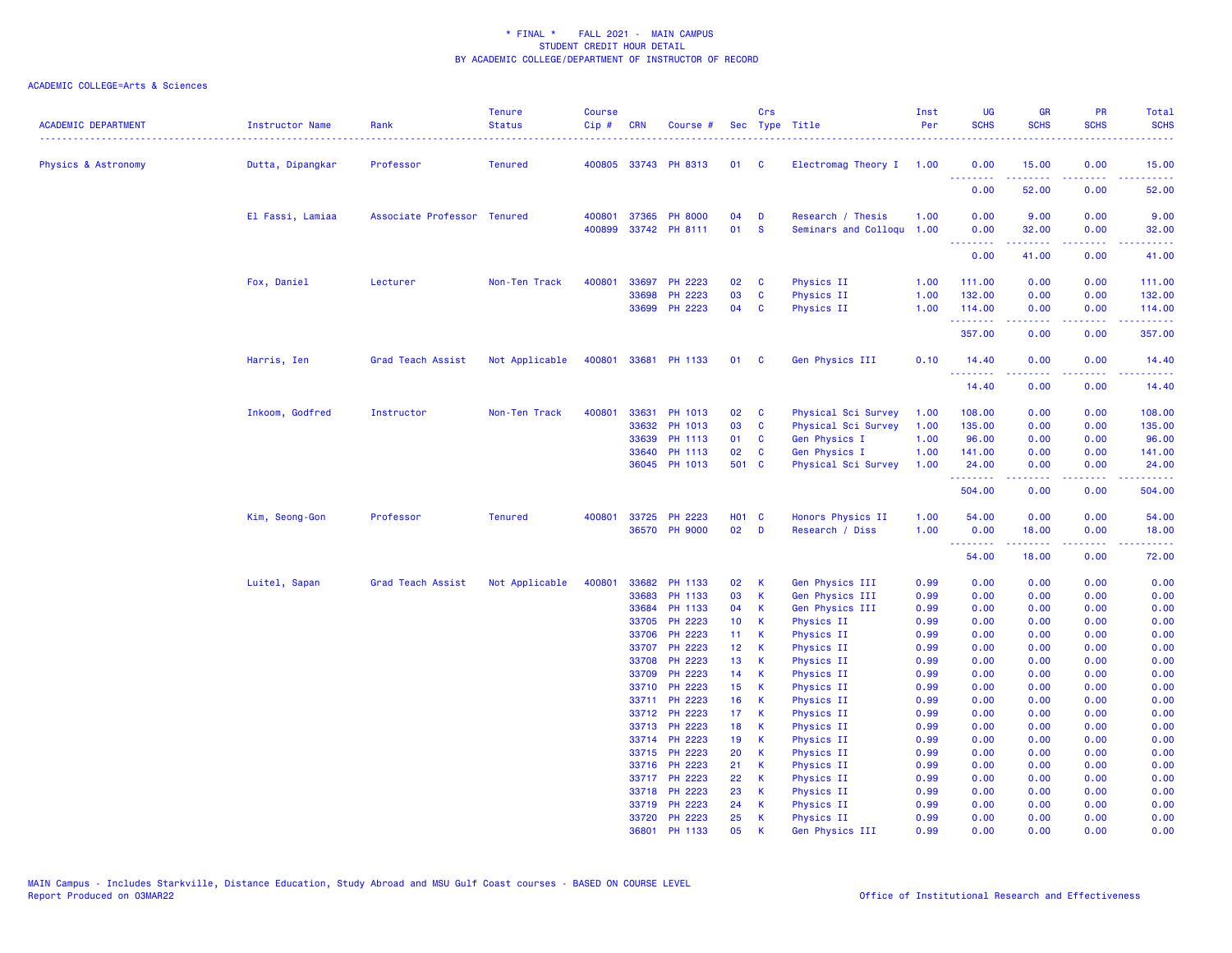| 400805 33743 PH 8313<br>Physics & Astronomy<br>Dutta, Dipangkar<br>Professor<br><b>Tenured</b><br>01<br>$\mathbf{C}$<br>Electromag Theory I 1.00<br>0.00<br>15.00<br>0.00<br>15.00<br><b></b><br>.<br>.<br>.<br>52.00<br>0.00<br>52.00<br>0.00<br>Research / Thesis<br>9.00<br>0.00<br>9.00<br>El Fassi, Lamiaa<br>Associate Professor Tenured<br>400801<br>37365 PH 8000<br>04<br>D<br>1.00<br>0.00<br>400899<br>33742 PH 8111<br>01<br><b>S</b><br>Seminars and Colloqu<br>1.00<br>0.00<br>0.00<br>32.00<br>32.00<br><b><i><u><u> - - - - - - -</u></u></i></b><br>المتمامين<br>.<br>.<br>0.00<br>41.00<br>0.00<br>41.00<br>Fox, Daniel<br>400801<br>33697<br>PH 2223<br>02<br>Physics II<br>0.00<br>0.00<br>Lecturer<br>Non-Ten Track<br>C<br>1.00<br>111.00<br>111.00<br>33698<br>PH 2223<br>03<br>C<br><b>Physics II</b><br>1.00<br>132.00<br>0.00<br>0.00<br>132.00<br>33699 PH 2223<br>04<br><b>Physics II</b><br>1.00<br>0.00<br>C<br>114.00<br>0.00<br>114.00<br>.<br>بالمتمامين<br>بالأباب<br>.<br>0.00<br>0.00<br>357.00<br>357.00<br>Grad Teach Assist<br>Not Applicable<br>400801<br>33681 PH 1133<br>Gen Physics III<br>0.10<br>Harris, Ien<br>01<br><b>C</b><br>14.40<br>0.00<br>0.00<br>14.40<br><b></b><br>.<br>-----<br>.<br>0.00<br>14.40<br>0.00<br>14.40<br>400801<br>33631 PH 1013<br>02<br>Physical Sci Survey<br>0.00<br>Inkoom, Godfred<br>Instructor<br>Non-Ten Track<br>C<br>1.00<br>108.00<br>0.00<br>108.00<br>33632<br>PH 1013<br>03<br>C<br>Physical Sci Survey<br>135.00<br>0.00<br>135.00<br>1.00<br>0.00<br>PH 1113<br>C<br>Gen Physics I<br>0.00<br>33639<br>01<br>1.00<br>96.00<br>0.00<br>PH 1113<br>02<br>C<br>Gen Physics I<br>1.00<br>0.00<br>33640<br>141.00<br>0.00<br>141.00<br>36045 PH 1013<br>501 C<br>Physical Sci Survey<br>1.00<br>24.00<br>24.00<br>0.00<br>0.00<br>.<br>بالأباب<br>.<br>والموالي بالموالي<br>504.00<br>0.00<br>0.00<br>Kim, Seong-Gon<br>Professor<br>400801<br>33725 PH 2223<br>H <sub>01</sub> C<br>Honors Physics II<br>1.00<br>54.00<br>0.00<br>0.00<br>54.00<br><b>Tenured</b><br>36570 PH 9000<br>02 <sub>o</sub><br>D<br>Research / Diss<br>1.00<br>0.00<br>18.00<br>0.00<br>18.00<br>.<br>22222<br>د د د د<br>. د د د د<br>54.00<br>18.00<br>0.00<br>72.00<br>Not Applicable<br>400801<br>33682 PH 1133<br>Gen Physics III<br>0.99<br>0.00<br>0.00<br>Luitel, Sapan<br>Grad Teach Assist<br>02<br>К<br>0.00<br>33683 PH 1133<br>03<br>K<br>Gen Physics III<br>0.00<br>0.00<br>0.99<br>0.00<br>PH 1133<br>Gen Physics III<br>0.00<br>33684<br>04<br>К<br>0.99<br>0.00<br>0.00<br>0.00<br>33705 PH 2223<br>10 <sub>1</sub><br>Physics II<br>0.99<br>0.00<br>0.00<br>0.00<br>0.00<br>К<br>33706 PH 2223<br><b>Physics II</b><br>0.00<br>11 <sup>1</sup><br>К<br>0.99<br>0.00<br>0.00<br>PH 2223<br>12 <sub>2</sub><br>K<br><b>Physics II</b><br>0.99<br>0.00<br>0.00<br>33707<br>0.00<br>0.00<br>33708<br>PH 2223<br>13<br>К<br><b>Physics II</b><br>0.99<br>0.00<br>0.00<br>0.00<br>0.00<br>33709<br>PH 2223<br>14<br><b>Physics II</b><br>К<br>0.99<br>0.00<br>0.00<br>0.00<br>0.00<br>33710<br>PH 2223<br>15 <sub>1</sub><br>K<br><b>Physics II</b><br>0.99<br>0.00<br>0.00<br>0.00<br>0.00<br>PH 2223<br>33711<br>16<br>К<br><b>Physics II</b><br>0.99<br>0.00<br>0.00<br>0.00<br>0.00<br>33712 PH 2223<br>17 <sup>2</sup><br>К<br><b>Physics II</b><br>0.99<br>0.00<br>0.00<br>0.00<br>0.00<br>PH 2223<br>0.00<br>33713<br>18<br>K<br><b>Physics II</b><br>0.99<br>0.00<br>0.00<br>0.00<br>33714 PH 2223<br>19<br>К<br><b>Physics II</b><br>0.99<br>0.00<br>0.00<br>0.00<br>0.00<br>33715 PH 2223<br>20<br>К<br><b>Physics II</b><br>0.99<br>0.00<br>0.00<br>0.00<br>0.00<br>PH 2223<br>21<br>0.00<br>33716<br>K<br><b>Physics II</b><br>0.99<br>0.00<br>0.00<br>0.00<br>33717 PH 2223<br>22<br>0.99<br>0.00<br>0.00<br>К<br>Physics II<br>0.00<br>0.00<br>33718 PH 2223<br>23<br>К<br>Physics II<br>0.99<br>0.00<br>0.00<br>0.00<br>0.00<br>PH 2223<br>24<br>Physics II<br>0.00<br>33719<br>К<br>0.99<br>0.00<br>0.00<br>0.00<br>33720 PH 2223<br>25<br>0.99<br>0.00<br>0.00<br>0.00<br>0.00<br>К<br>Physics II<br>05<br>0.00<br>0.00<br>0.00<br>36801 PH 1133<br>К<br>0.99<br>0.00<br>Gen Physics III | <b>ACADEMIC DEPARTMENT</b> | Instructor Name | Rank | <b>Tenure</b><br><b>Status</b> | <b>Course</b><br>Cip# | <b>CRN</b> | Course # | Crs | Sec Type Title | Inst<br>Per | UG<br><b>SCHS</b> | <b>GR</b><br><b>SCHS</b> | PR<br><b>SCHS</b> | Total<br><b>SCHS</b><br>. |
|--------------------------------------------------------------------------------------------------------------------------------------------------------------------------------------------------------------------------------------------------------------------------------------------------------------------------------------------------------------------------------------------------------------------------------------------------------------------------------------------------------------------------------------------------------------------------------------------------------------------------------------------------------------------------------------------------------------------------------------------------------------------------------------------------------------------------------------------------------------------------------------------------------------------------------------------------------------------------------------------------------------------------------------------------------------------------------------------------------------------------------------------------------------------------------------------------------------------------------------------------------------------------------------------------------------------------------------------------------------------------------------------------------------------------------------------------------------------------------------------------------------------------------------------------------------------------------------------------------------------------------------------------------------------------------------------------------------------------------------------------------------------------------------------------------------------------------------------------------------------------------------------------------------------------------------------------------------------------------------------------------------------------------------------------------------------------------------------------------------------------------------------------------------------------------------------------------------------------------------------------------------------------------------------------------------------------------------------------------------------------------------------------------------------------------------------------------------------------------------------------------------------------------------------------------------------------------------------------------------------------------------------------------------------------------------------------------------------------------------------------------------------------------------------------------------------------------------------------------------------------------------------------------------------------------------------------------------------------------------------------------------------------------------------------------------------------------------------------------------------------------------------------------------------------------------------------------------------------------------------------------------------------------------------------------------------------------------------------------------------------------------------------------------------------------------------------------------------------------------------------------------------------------------------------------------------------------------------------------------------------------------------------------------------------------------------------------------------------------------------------------------------------------------------------------------------------------------------------------------------------------------------------------------------------------------------------------------------------------------------------------------------------------------------------------------------------------------------------------------------------------------------------------------------------------------|----------------------------|-----------------|------|--------------------------------|-----------------------|------------|----------|-----|----------------|-------------|-------------------|--------------------------|-------------------|---------------------------|
|                                                                                                                                                                                                                                                                                                                                                                                                                                                                                                                                                                                                                                                                                                                                                                                                                                                                                                                                                                                                                                                                                                                                                                                                                                                                                                                                                                                                                                                                                                                                                                                                                                                                                                                                                                                                                                                                                                                                                                                                                                                                                                                                                                                                                                                                                                                                                                                                                                                                                                                                                                                                                                                                                                                                                                                                                                                                                                                                                                                                                                                                                                                                                                                                                                                                                                                                                                                                                                                                                                                                                                                                                                                                                                                                                                                                                                                                                                                                                                                                                                                                                                                                                                                      |                            |                 |      |                                |                       |            |          |     |                |             |                   |                          |                   |                           |
|                                                                                                                                                                                                                                                                                                                                                                                                                                                                                                                                                                                                                                                                                                                                                                                                                                                                                                                                                                                                                                                                                                                                                                                                                                                                                                                                                                                                                                                                                                                                                                                                                                                                                                                                                                                                                                                                                                                                                                                                                                                                                                                                                                                                                                                                                                                                                                                                                                                                                                                                                                                                                                                                                                                                                                                                                                                                                                                                                                                                                                                                                                                                                                                                                                                                                                                                                                                                                                                                                                                                                                                                                                                                                                                                                                                                                                                                                                                                                                                                                                                                                                                                                                                      |                            |                 |      |                                |                       |            |          |     |                |             |                   |                          |                   |                           |
|                                                                                                                                                                                                                                                                                                                                                                                                                                                                                                                                                                                                                                                                                                                                                                                                                                                                                                                                                                                                                                                                                                                                                                                                                                                                                                                                                                                                                                                                                                                                                                                                                                                                                                                                                                                                                                                                                                                                                                                                                                                                                                                                                                                                                                                                                                                                                                                                                                                                                                                                                                                                                                                                                                                                                                                                                                                                                                                                                                                                                                                                                                                                                                                                                                                                                                                                                                                                                                                                                                                                                                                                                                                                                                                                                                                                                                                                                                                                                                                                                                                                                                                                                                                      |                            |                 |      |                                |                       |            |          |     |                |             |                   |                          |                   |                           |
|                                                                                                                                                                                                                                                                                                                                                                                                                                                                                                                                                                                                                                                                                                                                                                                                                                                                                                                                                                                                                                                                                                                                                                                                                                                                                                                                                                                                                                                                                                                                                                                                                                                                                                                                                                                                                                                                                                                                                                                                                                                                                                                                                                                                                                                                                                                                                                                                                                                                                                                                                                                                                                                                                                                                                                                                                                                                                                                                                                                                                                                                                                                                                                                                                                                                                                                                                                                                                                                                                                                                                                                                                                                                                                                                                                                                                                                                                                                                                                                                                                                                                                                                                                                      |                            |                 |      |                                |                       |            |          |     |                |             |                   |                          |                   |                           |
|                                                                                                                                                                                                                                                                                                                                                                                                                                                                                                                                                                                                                                                                                                                                                                                                                                                                                                                                                                                                                                                                                                                                                                                                                                                                                                                                                                                                                                                                                                                                                                                                                                                                                                                                                                                                                                                                                                                                                                                                                                                                                                                                                                                                                                                                                                                                                                                                                                                                                                                                                                                                                                                                                                                                                                                                                                                                                                                                                                                                                                                                                                                                                                                                                                                                                                                                                                                                                                                                                                                                                                                                                                                                                                                                                                                                                                                                                                                                                                                                                                                                                                                                                                                      |                            |                 |      |                                |                       |            |          |     |                |             |                   |                          |                   |                           |
|                                                                                                                                                                                                                                                                                                                                                                                                                                                                                                                                                                                                                                                                                                                                                                                                                                                                                                                                                                                                                                                                                                                                                                                                                                                                                                                                                                                                                                                                                                                                                                                                                                                                                                                                                                                                                                                                                                                                                                                                                                                                                                                                                                                                                                                                                                                                                                                                                                                                                                                                                                                                                                                                                                                                                                                                                                                                                                                                                                                                                                                                                                                                                                                                                                                                                                                                                                                                                                                                                                                                                                                                                                                                                                                                                                                                                                                                                                                                                                                                                                                                                                                                                                                      |                            |                 |      |                                |                       |            |          |     |                |             |                   |                          |                   |                           |
|                                                                                                                                                                                                                                                                                                                                                                                                                                                                                                                                                                                                                                                                                                                                                                                                                                                                                                                                                                                                                                                                                                                                                                                                                                                                                                                                                                                                                                                                                                                                                                                                                                                                                                                                                                                                                                                                                                                                                                                                                                                                                                                                                                                                                                                                                                                                                                                                                                                                                                                                                                                                                                                                                                                                                                                                                                                                                                                                                                                                                                                                                                                                                                                                                                                                                                                                                                                                                                                                                                                                                                                                                                                                                                                                                                                                                                                                                                                                                                                                                                                                                                                                                                                      |                            |                 |      |                                |                       |            |          |     |                |             |                   |                          |                   |                           |
|                                                                                                                                                                                                                                                                                                                                                                                                                                                                                                                                                                                                                                                                                                                                                                                                                                                                                                                                                                                                                                                                                                                                                                                                                                                                                                                                                                                                                                                                                                                                                                                                                                                                                                                                                                                                                                                                                                                                                                                                                                                                                                                                                                                                                                                                                                                                                                                                                                                                                                                                                                                                                                                                                                                                                                                                                                                                                                                                                                                                                                                                                                                                                                                                                                                                                                                                                                                                                                                                                                                                                                                                                                                                                                                                                                                                                                                                                                                                                                                                                                                                                                                                                                                      |                            |                 |      |                                |                       |            |          |     |                |             |                   |                          |                   |                           |
|                                                                                                                                                                                                                                                                                                                                                                                                                                                                                                                                                                                                                                                                                                                                                                                                                                                                                                                                                                                                                                                                                                                                                                                                                                                                                                                                                                                                                                                                                                                                                                                                                                                                                                                                                                                                                                                                                                                                                                                                                                                                                                                                                                                                                                                                                                                                                                                                                                                                                                                                                                                                                                                                                                                                                                                                                                                                                                                                                                                                                                                                                                                                                                                                                                                                                                                                                                                                                                                                                                                                                                                                                                                                                                                                                                                                                                                                                                                                                                                                                                                                                                                                                                                      |                            |                 |      |                                |                       |            |          |     |                |             |                   |                          |                   |                           |
|                                                                                                                                                                                                                                                                                                                                                                                                                                                                                                                                                                                                                                                                                                                                                                                                                                                                                                                                                                                                                                                                                                                                                                                                                                                                                                                                                                                                                                                                                                                                                                                                                                                                                                                                                                                                                                                                                                                                                                                                                                                                                                                                                                                                                                                                                                                                                                                                                                                                                                                                                                                                                                                                                                                                                                                                                                                                                                                                                                                                                                                                                                                                                                                                                                                                                                                                                                                                                                                                                                                                                                                                                                                                                                                                                                                                                                                                                                                                                                                                                                                                                                                                                                                      |                            |                 |      |                                |                       |            |          |     |                |             |                   |                          |                   |                           |
|                                                                                                                                                                                                                                                                                                                                                                                                                                                                                                                                                                                                                                                                                                                                                                                                                                                                                                                                                                                                                                                                                                                                                                                                                                                                                                                                                                                                                                                                                                                                                                                                                                                                                                                                                                                                                                                                                                                                                                                                                                                                                                                                                                                                                                                                                                                                                                                                                                                                                                                                                                                                                                                                                                                                                                                                                                                                                                                                                                                                                                                                                                                                                                                                                                                                                                                                                                                                                                                                                                                                                                                                                                                                                                                                                                                                                                                                                                                                                                                                                                                                                                                                                                                      |                            |                 |      |                                |                       |            |          |     |                |             |                   |                          |                   |                           |
|                                                                                                                                                                                                                                                                                                                                                                                                                                                                                                                                                                                                                                                                                                                                                                                                                                                                                                                                                                                                                                                                                                                                                                                                                                                                                                                                                                                                                                                                                                                                                                                                                                                                                                                                                                                                                                                                                                                                                                                                                                                                                                                                                                                                                                                                                                                                                                                                                                                                                                                                                                                                                                                                                                                                                                                                                                                                                                                                                                                                                                                                                                                                                                                                                                                                                                                                                                                                                                                                                                                                                                                                                                                                                                                                                                                                                                                                                                                                                                                                                                                                                                                                                                                      |                            |                 |      |                                |                       |            |          |     |                |             |                   |                          |                   |                           |
|                                                                                                                                                                                                                                                                                                                                                                                                                                                                                                                                                                                                                                                                                                                                                                                                                                                                                                                                                                                                                                                                                                                                                                                                                                                                                                                                                                                                                                                                                                                                                                                                                                                                                                                                                                                                                                                                                                                                                                                                                                                                                                                                                                                                                                                                                                                                                                                                                                                                                                                                                                                                                                                                                                                                                                                                                                                                                                                                                                                                                                                                                                                                                                                                                                                                                                                                                                                                                                                                                                                                                                                                                                                                                                                                                                                                                                                                                                                                                                                                                                                                                                                                                                                      |                            |                 |      |                                |                       |            |          |     |                |             |                   |                          |                   |                           |
|                                                                                                                                                                                                                                                                                                                                                                                                                                                                                                                                                                                                                                                                                                                                                                                                                                                                                                                                                                                                                                                                                                                                                                                                                                                                                                                                                                                                                                                                                                                                                                                                                                                                                                                                                                                                                                                                                                                                                                                                                                                                                                                                                                                                                                                                                                                                                                                                                                                                                                                                                                                                                                                                                                                                                                                                                                                                                                                                                                                                                                                                                                                                                                                                                                                                                                                                                                                                                                                                                                                                                                                                                                                                                                                                                                                                                                                                                                                                                                                                                                                                                                                                                                                      |                            |                 |      |                                |                       |            |          |     |                |             |                   |                          |                   | 96.00                     |
|                                                                                                                                                                                                                                                                                                                                                                                                                                                                                                                                                                                                                                                                                                                                                                                                                                                                                                                                                                                                                                                                                                                                                                                                                                                                                                                                                                                                                                                                                                                                                                                                                                                                                                                                                                                                                                                                                                                                                                                                                                                                                                                                                                                                                                                                                                                                                                                                                                                                                                                                                                                                                                                                                                                                                                                                                                                                                                                                                                                                                                                                                                                                                                                                                                                                                                                                                                                                                                                                                                                                                                                                                                                                                                                                                                                                                                                                                                                                                                                                                                                                                                                                                                                      |                            |                 |      |                                |                       |            |          |     |                |             |                   |                          |                   |                           |
|                                                                                                                                                                                                                                                                                                                                                                                                                                                                                                                                                                                                                                                                                                                                                                                                                                                                                                                                                                                                                                                                                                                                                                                                                                                                                                                                                                                                                                                                                                                                                                                                                                                                                                                                                                                                                                                                                                                                                                                                                                                                                                                                                                                                                                                                                                                                                                                                                                                                                                                                                                                                                                                                                                                                                                                                                                                                                                                                                                                                                                                                                                                                                                                                                                                                                                                                                                                                                                                                                                                                                                                                                                                                                                                                                                                                                                                                                                                                                                                                                                                                                                                                                                                      |                            |                 |      |                                |                       |            |          |     |                |             |                   |                          |                   |                           |
|                                                                                                                                                                                                                                                                                                                                                                                                                                                                                                                                                                                                                                                                                                                                                                                                                                                                                                                                                                                                                                                                                                                                                                                                                                                                                                                                                                                                                                                                                                                                                                                                                                                                                                                                                                                                                                                                                                                                                                                                                                                                                                                                                                                                                                                                                                                                                                                                                                                                                                                                                                                                                                                                                                                                                                                                                                                                                                                                                                                                                                                                                                                                                                                                                                                                                                                                                                                                                                                                                                                                                                                                                                                                                                                                                                                                                                                                                                                                                                                                                                                                                                                                                                                      |                            |                 |      |                                |                       |            |          |     |                |             |                   |                          |                   | 504.00                    |
|                                                                                                                                                                                                                                                                                                                                                                                                                                                                                                                                                                                                                                                                                                                                                                                                                                                                                                                                                                                                                                                                                                                                                                                                                                                                                                                                                                                                                                                                                                                                                                                                                                                                                                                                                                                                                                                                                                                                                                                                                                                                                                                                                                                                                                                                                                                                                                                                                                                                                                                                                                                                                                                                                                                                                                                                                                                                                                                                                                                                                                                                                                                                                                                                                                                                                                                                                                                                                                                                                                                                                                                                                                                                                                                                                                                                                                                                                                                                                                                                                                                                                                                                                                                      |                            |                 |      |                                |                       |            |          |     |                |             |                   |                          |                   |                           |
|                                                                                                                                                                                                                                                                                                                                                                                                                                                                                                                                                                                                                                                                                                                                                                                                                                                                                                                                                                                                                                                                                                                                                                                                                                                                                                                                                                                                                                                                                                                                                                                                                                                                                                                                                                                                                                                                                                                                                                                                                                                                                                                                                                                                                                                                                                                                                                                                                                                                                                                                                                                                                                                                                                                                                                                                                                                                                                                                                                                                                                                                                                                                                                                                                                                                                                                                                                                                                                                                                                                                                                                                                                                                                                                                                                                                                                                                                                                                                                                                                                                                                                                                                                                      |                            |                 |      |                                |                       |            |          |     |                |             |                   |                          |                   |                           |
|                                                                                                                                                                                                                                                                                                                                                                                                                                                                                                                                                                                                                                                                                                                                                                                                                                                                                                                                                                                                                                                                                                                                                                                                                                                                                                                                                                                                                                                                                                                                                                                                                                                                                                                                                                                                                                                                                                                                                                                                                                                                                                                                                                                                                                                                                                                                                                                                                                                                                                                                                                                                                                                                                                                                                                                                                                                                                                                                                                                                                                                                                                                                                                                                                                                                                                                                                                                                                                                                                                                                                                                                                                                                                                                                                                                                                                                                                                                                                                                                                                                                                                                                                                                      |                            |                 |      |                                |                       |            |          |     |                |             |                   |                          |                   |                           |
|                                                                                                                                                                                                                                                                                                                                                                                                                                                                                                                                                                                                                                                                                                                                                                                                                                                                                                                                                                                                                                                                                                                                                                                                                                                                                                                                                                                                                                                                                                                                                                                                                                                                                                                                                                                                                                                                                                                                                                                                                                                                                                                                                                                                                                                                                                                                                                                                                                                                                                                                                                                                                                                                                                                                                                                                                                                                                                                                                                                                                                                                                                                                                                                                                                                                                                                                                                                                                                                                                                                                                                                                                                                                                                                                                                                                                                                                                                                                                                                                                                                                                                                                                                                      |                            |                 |      |                                |                       |            |          |     |                |             |                   |                          |                   | 0.00                      |
|                                                                                                                                                                                                                                                                                                                                                                                                                                                                                                                                                                                                                                                                                                                                                                                                                                                                                                                                                                                                                                                                                                                                                                                                                                                                                                                                                                                                                                                                                                                                                                                                                                                                                                                                                                                                                                                                                                                                                                                                                                                                                                                                                                                                                                                                                                                                                                                                                                                                                                                                                                                                                                                                                                                                                                                                                                                                                                                                                                                                                                                                                                                                                                                                                                                                                                                                                                                                                                                                                                                                                                                                                                                                                                                                                                                                                                                                                                                                                                                                                                                                                                                                                                                      |                            |                 |      |                                |                       |            |          |     |                |             |                   |                          |                   | 0.00                      |
|                                                                                                                                                                                                                                                                                                                                                                                                                                                                                                                                                                                                                                                                                                                                                                                                                                                                                                                                                                                                                                                                                                                                                                                                                                                                                                                                                                                                                                                                                                                                                                                                                                                                                                                                                                                                                                                                                                                                                                                                                                                                                                                                                                                                                                                                                                                                                                                                                                                                                                                                                                                                                                                                                                                                                                                                                                                                                                                                                                                                                                                                                                                                                                                                                                                                                                                                                                                                                                                                                                                                                                                                                                                                                                                                                                                                                                                                                                                                                                                                                                                                                                                                                                                      |                            |                 |      |                                |                       |            |          |     |                |             |                   |                          |                   |                           |
|                                                                                                                                                                                                                                                                                                                                                                                                                                                                                                                                                                                                                                                                                                                                                                                                                                                                                                                                                                                                                                                                                                                                                                                                                                                                                                                                                                                                                                                                                                                                                                                                                                                                                                                                                                                                                                                                                                                                                                                                                                                                                                                                                                                                                                                                                                                                                                                                                                                                                                                                                                                                                                                                                                                                                                                                                                                                                                                                                                                                                                                                                                                                                                                                                                                                                                                                                                                                                                                                                                                                                                                                                                                                                                                                                                                                                                                                                                                                                                                                                                                                                                                                                                                      |                            |                 |      |                                |                       |            |          |     |                |             |                   |                          |                   |                           |
|                                                                                                                                                                                                                                                                                                                                                                                                                                                                                                                                                                                                                                                                                                                                                                                                                                                                                                                                                                                                                                                                                                                                                                                                                                                                                                                                                                                                                                                                                                                                                                                                                                                                                                                                                                                                                                                                                                                                                                                                                                                                                                                                                                                                                                                                                                                                                                                                                                                                                                                                                                                                                                                                                                                                                                                                                                                                                                                                                                                                                                                                                                                                                                                                                                                                                                                                                                                                                                                                                                                                                                                                                                                                                                                                                                                                                                                                                                                                                                                                                                                                                                                                                                                      |                            |                 |      |                                |                       |            |          |     |                |             |                   |                          |                   | 0.00                      |
|                                                                                                                                                                                                                                                                                                                                                                                                                                                                                                                                                                                                                                                                                                                                                                                                                                                                                                                                                                                                                                                                                                                                                                                                                                                                                                                                                                                                                                                                                                                                                                                                                                                                                                                                                                                                                                                                                                                                                                                                                                                                                                                                                                                                                                                                                                                                                                                                                                                                                                                                                                                                                                                                                                                                                                                                                                                                                                                                                                                                                                                                                                                                                                                                                                                                                                                                                                                                                                                                                                                                                                                                                                                                                                                                                                                                                                                                                                                                                                                                                                                                                                                                                                                      |                            |                 |      |                                |                       |            |          |     |                |             |                   |                          |                   |                           |
|                                                                                                                                                                                                                                                                                                                                                                                                                                                                                                                                                                                                                                                                                                                                                                                                                                                                                                                                                                                                                                                                                                                                                                                                                                                                                                                                                                                                                                                                                                                                                                                                                                                                                                                                                                                                                                                                                                                                                                                                                                                                                                                                                                                                                                                                                                                                                                                                                                                                                                                                                                                                                                                                                                                                                                                                                                                                                                                                                                                                                                                                                                                                                                                                                                                                                                                                                                                                                                                                                                                                                                                                                                                                                                                                                                                                                                                                                                                                                                                                                                                                                                                                                                                      |                            |                 |      |                                |                       |            |          |     |                |             |                   |                          |                   |                           |
|                                                                                                                                                                                                                                                                                                                                                                                                                                                                                                                                                                                                                                                                                                                                                                                                                                                                                                                                                                                                                                                                                                                                                                                                                                                                                                                                                                                                                                                                                                                                                                                                                                                                                                                                                                                                                                                                                                                                                                                                                                                                                                                                                                                                                                                                                                                                                                                                                                                                                                                                                                                                                                                                                                                                                                                                                                                                                                                                                                                                                                                                                                                                                                                                                                                                                                                                                                                                                                                                                                                                                                                                                                                                                                                                                                                                                                                                                                                                                                                                                                                                                                                                                                                      |                            |                 |      |                                |                       |            |          |     |                |             |                   |                          |                   |                           |
|                                                                                                                                                                                                                                                                                                                                                                                                                                                                                                                                                                                                                                                                                                                                                                                                                                                                                                                                                                                                                                                                                                                                                                                                                                                                                                                                                                                                                                                                                                                                                                                                                                                                                                                                                                                                                                                                                                                                                                                                                                                                                                                                                                                                                                                                                                                                                                                                                                                                                                                                                                                                                                                                                                                                                                                                                                                                                                                                                                                                                                                                                                                                                                                                                                                                                                                                                                                                                                                                                                                                                                                                                                                                                                                                                                                                                                                                                                                                                                                                                                                                                                                                                                                      |                            |                 |      |                                |                       |            |          |     |                |             |                   |                          |                   |                           |
|                                                                                                                                                                                                                                                                                                                                                                                                                                                                                                                                                                                                                                                                                                                                                                                                                                                                                                                                                                                                                                                                                                                                                                                                                                                                                                                                                                                                                                                                                                                                                                                                                                                                                                                                                                                                                                                                                                                                                                                                                                                                                                                                                                                                                                                                                                                                                                                                                                                                                                                                                                                                                                                                                                                                                                                                                                                                                                                                                                                                                                                                                                                                                                                                                                                                                                                                                                                                                                                                                                                                                                                                                                                                                                                                                                                                                                                                                                                                                                                                                                                                                                                                                                                      |                            |                 |      |                                |                       |            |          |     |                |             |                   |                          |                   |                           |
|                                                                                                                                                                                                                                                                                                                                                                                                                                                                                                                                                                                                                                                                                                                                                                                                                                                                                                                                                                                                                                                                                                                                                                                                                                                                                                                                                                                                                                                                                                                                                                                                                                                                                                                                                                                                                                                                                                                                                                                                                                                                                                                                                                                                                                                                                                                                                                                                                                                                                                                                                                                                                                                                                                                                                                                                                                                                                                                                                                                                                                                                                                                                                                                                                                                                                                                                                                                                                                                                                                                                                                                                                                                                                                                                                                                                                                                                                                                                                                                                                                                                                                                                                                                      |                            |                 |      |                                |                       |            |          |     |                |             |                   |                          |                   |                           |
|                                                                                                                                                                                                                                                                                                                                                                                                                                                                                                                                                                                                                                                                                                                                                                                                                                                                                                                                                                                                                                                                                                                                                                                                                                                                                                                                                                                                                                                                                                                                                                                                                                                                                                                                                                                                                                                                                                                                                                                                                                                                                                                                                                                                                                                                                                                                                                                                                                                                                                                                                                                                                                                                                                                                                                                                                                                                                                                                                                                                                                                                                                                                                                                                                                                                                                                                                                                                                                                                                                                                                                                                                                                                                                                                                                                                                                                                                                                                                                                                                                                                                                                                                                                      |                            |                 |      |                                |                       |            |          |     |                |             |                   |                          |                   |                           |
|                                                                                                                                                                                                                                                                                                                                                                                                                                                                                                                                                                                                                                                                                                                                                                                                                                                                                                                                                                                                                                                                                                                                                                                                                                                                                                                                                                                                                                                                                                                                                                                                                                                                                                                                                                                                                                                                                                                                                                                                                                                                                                                                                                                                                                                                                                                                                                                                                                                                                                                                                                                                                                                                                                                                                                                                                                                                                                                                                                                                                                                                                                                                                                                                                                                                                                                                                                                                                                                                                                                                                                                                                                                                                                                                                                                                                                                                                                                                                                                                                                                                                                                                                                                      |                            |                 |      |                                |                       |            |          |     |                |             |                   |                          |                   |                           |
|                                                                                                                                                                                                                                                                                                                                                                                                                                                                                                                                                                                                                                                                                                                                                                                                                                                                                                                                                                                                                                                                                                                                                                                                                                                                                                                                                                                                                                                                                                                                                                                                                                                                                                                                                                                                                                                                                                                                                                                                                                                                                                                                                                                                                                                                                                                                                                                                                                                                                                                                                                                                                                                                                                                                                                                                                                                                                                                                                                                                                                                                                                                                                                                                                                                                                                                                                                                                                                                                                                                                                                                                                                                                                                                                                                                                                                                                                                                                                                                                                                                                                                                                                                                      |                            |                 |      |                                |                       |            |          |     |                |             |                   |                          |                   |                           |
|                                                                                                                                                                                                                                                                                                                                                                                                                                                                                                                                                                                                                                                                                                                                                                                                                                                                                                                                                                                                                                                                                                                                                                                                                                                                                                                                                                                                                                                                                                                                                                                                                                                                                                                                                                                                                                                                                                                                                                                                                                                                                                                                                                                                                                                                                                                                                                                                                                                                                                                                                                                                                                                                                                                                                                                                                                                                                                                                                                                                                                                                                                                                                                                                                                                                                                                                                                                                                                                                                                                                                                                                                                                                                                                                                                                                                                                                                                                                                                                                                                                                                                                                                                                      |                            |                 |      |                                |                       |            |          |     |                |             |                   |                          |                   |                           |
|                                                                                                                                                                                                                                                                                                                                                                                                                                                                                                                                                                                                                                                                                                                                                                                                                                                                                                                                                                                                                                                                                                                                                                                                                                                                                                                                                                                                                                                                                                                                                                                                                                                                                                                                                                                                                                                                                                                                                                                                                                                                                                                                                                                                                                                                                                                                                                                                                                                                                                                                                                                                                                                                                                                                                                                                                                                                                                                                                                                                                                                                                                                                                                                                                                                                                                                                                                                                                                                                                                                                                                                                                                                                                                                                                                                                                                                                                                                                                                                                                                                                                                                                                                                      |                            |                 |      |                                |                       |            |          |     |                |             |                   |                          |                   |                           |
|                                                                                                                                                                                                                                                                                                                                                                                                                                                                                                                                                                                                                                                                                                                                                                                                                                                                                                                                                                                                                                                                                                                                                                                                                                                                                                                                                                                                                                                                                                                                                                                                                                                                                                                                                                                                                                                                                                                                                                                                                                                                                                                                                                                                                                                                                                                                                                                                                                                                                                                                                                                                                                                                                                                                                                                                                                                                                                                                                                                                                                                                                                                                                                                                                                                                                                                                                                                                                                                                                                                                                                                                                                                                                                                                                                                                                                                                                                                                                                                                                                                                                                                                                                                      |                            |                 |      |                                |                       |            |          |     |                |             |                   |                          |                   |                           |
|                                                                                                                                                                                                                                                                                                                                                                                                                                                                                                                                                                                                                                                                                                                                                                                                                                                                                                                                                                                                                                                                                                                                                                                                                                                                                                                                                                                                                                                                                                                                                                                                                                                                                                                                                                                                                                                                                                                                                                                                                                                                                                                                                                                                                                                                                                                                                                                                                                                                                                                                                                                                                                                                                                                                                                                                                                                                                                                                                                                                                                                                                                                                                                                                                                                                                                                                                                                                                                                                                                                                                                                                                                                                                                                                                                                                                                                                                                                                                                                                                                                                                                                                                                                      |                            |                 |      |                                |                       |            |          |     |                |             |                   |                          |                   |                           |
|                                                                                                                                                                                                                                                                                                                                                                                                                                                                                                                                                                                                                                                                                                                                                                                                                                                                                                                                                                                                                                                                                                                                                                                                                                                                                                                                                                                                                                                                                                                                                                                                                                                                                                                                                                                                                                                                                                                                                                                                                                                                                                                                                                                                                                                                                                                                                                                                                                                                                                                                                                                                                                                                                                                                                                                                                                                                                                                                                                                                                                                                                                                                                                                                                                                                                                                                                                                                                                                                                                                                                                                                                                                                                                                                                                                                                                                                                                                                                                                                                                                                                                                                                                                      |                            |                 |      |                                |                       |            |          |     |                |             |                   |                          |                   |                           |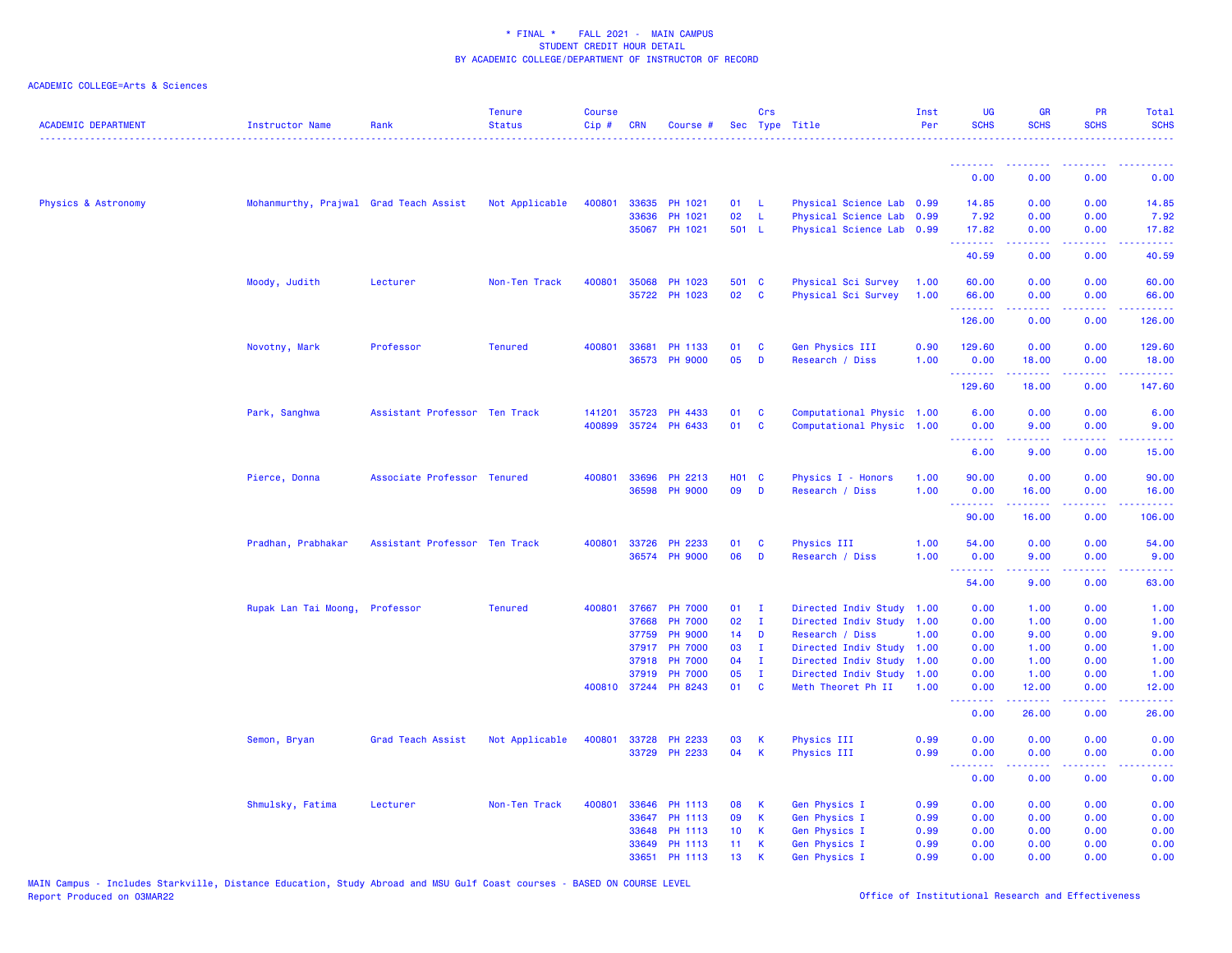| <b>ACADEMIC DEPARTMENT</b> | Instructor Name                        | Rank                          | <b>Tenure</b><br><b>Status</b> | <b>Course</b><br>Cip# | <b>CRN</b> | Course #             |                 | Crs          | Sec Type Title            | Inst<br>Per | <b>UG</b><br><b>SCHS</b> | <b>GR</b><br><b>SCHS</b> | <b>PR</b><br><b>SCHS</b>            | Total<br><b>SCHS</b>                        |
|----------------------------|----------------------------------------|-------------------------------|--------------------------------|-----------------------|------------|----------------------|-----------------|--------------|---------------------------|-------------|--------------------------|--------------------------|-------------------------------------|---------------------------------------------|
|                            |                                        |                               |                                |                       |            |                      |                 |              |                           |             | <u> - - - - - - - -</u>  | <u>.</u>                 |                                     |                                             |
|                            |                                        |                               |                                |                       |            |                      |                 |              |                           |             | 0.00                     | 0.00                     | 0.00                                | 0.00                                        |
| Physics & Astronomy        | Mohanmurthy, Prajwal Grad Teach Assist |                               | Not Applicable                 | 400801                |            | 33635 PH 1021        | 01              | - L          | Physical Science Lab 0.99 |             | 14.85                    | 0.00                     | 0.00                                | 14.85                                       |
|                            |                                        |                               |                                |                       | 33636      | PH 1021              | 02              | L            | Physical Science Lab 0.99 |             | 7.92                     | 0.00                     | 0.00                                | 7.92                                        |
|                            |                                        |                               |                                |                       |            | 35067 PH 1021        | 501 L           |              | Physical Science Lab 0.99 |             | 17.82<br>.               | 0.00<br>22222            | 0.00<br>.                           | 17.82<br>والمالمات                          |
|                            |                                        |                               |                                |                       |            |                      |                 |              |                           |             | 40.59                    | 0.00                     | 0.00                                | 40.59                                       |
|                            | Moody, Judith                          | Lecturer                      | Non-Ten Track                  | 400801                | 35068      | <b>PH 1023</b>       | 501 C           |              | Physical Sci Survey       | 1.00        | 60.00                    | 0.00                     | 0.00                                | 60.00                                       |
|                            |                                        |                               |                                |                       |            | 35722 PH 1023        | 02              | <b>C</b>     | Physical Sci Survey       | 1.00        | 66.00                    | 0.00                     | 0.00                                | 66.00                                       |
|                            |                                        |                               |                                |                       |            |                      |                 |              |                           |             | .<br>126.00              | .<br>0.00                | .<br>0.00                           | .<br>126.00                                 |
|                            | Novotny, Mark                          | Professor                     | <b>Tenured</b>                 | 400801                | 33681      | PH 1133              | 01              | C            | Gen Physics III           | 0.90        | 129.60                   | 0.00                     | 0.00                                | 129.60                                      |
|                            |                                        |                               |                                |                       |            | 36573 PH 9000        | 05              | D            | Research / Diss           | 1.00        | 0.00                     | 18.00                    | 0.00                                | 18.00                                       |
|                            |                                        |                               |                                |                       |            |                      |                 |              |                           |             | .<br>129.60              | .<br>18.00               | .<br>0.00                           | 147.60                                      |
|                            | Park, Sanghwa                          | Assistant Professor Ten Track |                                | 141201                | 35723      | PH 4433              | 01              | C            | Computational Physic 1.00 |             | 6.00                     | 0.00                     | 0.00                                | 6.00                                        |
|                            |                                        |                               |                                | 400899                |            | 35724 PH 6433        | 01              | C            | Computational Physic 1.00 |             | 0.00                     | 9.00                     | 0.00                                | 9.00                                        |
|                            |                                        |                               |                                |                       |            |                      |                 |              |                           |             | <u>.</u><br>6.00         | .<br>9.00                | $\omega$ is a $\omega$<br>0.00      | 15.00                                       |
|                            |                                        |                               |                                |                       |            |                      |                 |              |                           |             |                          |                          |                                     |                                             |
|                            | Pierce, Donna                          | Associate Professor Tenured   |                                | 400801                | 33696      | PH 2213              | H01 C           |              | Physics I - Honors        | 1.00        | 90.00                    | 0.00                     | 0.00                                | 90.00                                       |
|                            |                                        |                               |                                |                       |            | 36598 PH 9000        | 09              | D            | Research / Diss           | 1.00        | 0.00<br>.                | 16.00<br>22222           | 0.00<br>$\sim$ $\sim$ $\sim$ $\sim$ | 16.00<br>$\sim$ $\sim$ $\sim$ $\sim$ $\sim$ |
|                            |                                        |                               |                                |                       |            |                      |                 |              |                           |             | 90.00                    | 16.00                    | 0.00                                | 106.00                                      |
|                            | Pradhan, Prabhakar                     | Assistant Professor Ten Track |                                |                       |            | 400801 33726 PH 2233 | 01              | C            | <b>Physics III</b>        | 1.00        | 54.00                    | 0.00                     | 0.00                                | 54.00                                       |
|                            |                                        |                               |                                |                       |            | 36574 PH 9000        | 06              | D            | Research / Diss           | 1.00        | 0.00                     | 9.00                     | 0.00                                | 9.00                                        |
|                            |                                        |                               |                                |                       |            |                      |                 |              |                           |             | .<br>54.00               | 22222<br>9.00            | .<br>0.00                           | .<br>63.00                                  |
|                            | Rupak Lan Tai Moong, Professor         |                               | <b>Tenured</b>                 | 400801                | 37667      | <b>PH 7000</b>       | 01              | $\mathbf{I}$ | Directed Indiv Study      | 1.00        | 0.00                     | 1.00                     | 0.00                                | 1.00                                        |
|                            |                                        |                               |                                |                       | 37668      | <b>PH 7000</b>       | 02              | $\mathbf{I}$ | Directed Indiv Study 1.00 |             | 0.00                     | 1.00                     | 0.00                                | 1.00                                        |
|                            |                                        |                               |                                |                       | 37759      | <b>PH 9000</b>       | 14              | D            | Research / Diss           | 1.00        | 0.00                     | 9.00                     | 0.00                                | 9.00                                        |
|                            |                                        |                               |                                |                       | 37917      | <b>PH 7000</b>       | 03              | $\mathbf{I}$ | Directed Indiv Study 1.00 |             | 0.00                     | 1.00                     | 0.00                                | 1.00                                        |
|                            |                                        |                               |                                |                       | 37918      | <b>PH 7000</b>       | 04              | $\mathbf{I}$ | Directed Indiv Study      | 1.00        | 0.00                     | 1.00                     | 0.00                                | 1.00                                        |
|                            |                                        |                               |                                |                       | 37919      | <b>PH 7000</b>       | 05              | $\mathbf I$  | Directed Indiv Study      | 1.00        | 0.00                     | 1.00                     | 0.00                                | 1.00                                        |
|                            |                                        |                               |                                |                       |            | 400810 37244 PH 8243 | 01              | C            | Meth Theoret Ph II        | 1.00        | 0.00<br><u>.</u>         | 12.00<br>المستملة        | 0.00<br>.                           | 12.00<br>والمالمات                          |
|                            |                                        |                               |                                |                       |            |                      |                 |              |                           |             | 0.00                     | 26.00                    | 0.00                                | 26.00                                       |
|                            | Semon, Bryan                           | Grad Teach Assist             | Not Applicable                 | 400801                | 33728      | PH 2233              | 03              | К            | Physics III               | 0.99        | 0.00                     | 0.00                     | 0.00                                | 0.00                                        |
|                            |                                        |                               |                                |                       |            | 33729 PH 2233        | 04              | K            | Physics III               | 0.99        | 0.00                     | 0.00                     | 0.00                                | 0.00                                        |
|                            |                                        |                               |                                |                       |            |                      |                 |              |                           |             | <u>.</u><br>0.00         | بالانتقاب<br>0.00        | 0.00                                | 0.00                                        |
|                            | Shmulsky, Fatima                       | Lecturer                      | Non-Ten Track                  | 400801                |            | 33646 PH 1113        | 08              | К            | Gen Physics I             | 0.99        | 0.00                     | 0.00                     | 0.00                                | 0.00                                        |
|                            |                                        |                               |                                |                       |            | 33647 PH 1113        | 09              | K            | Gen Physics I             | 0.99        | 0.00                     | 0.00                     | 0.00                                | 0.00                                        |
|                            |                                        |                               |                                |                       | 33648      | PH 1113              | 10 <sub>1</sub> | К            | Gen Physics I             | 0.99        | 0.00                     | 0.00                     | 0.00                                | 0.00                                        |
|                            |                                        |                               |                                |                       | 33649      | PH 1113              | 11              | К            | Gen Physics I             | 0.99        | 0.00                     | 0.00                     | 0.00                                | 0.00                                        |
|                            |                                        |                               |                                |                       | 33651      | PH 1113              | 13              | K            | Gen Physics I             | 0.99        | 0.00                     | 0.00                     | 0.00                                | 0.00                                        |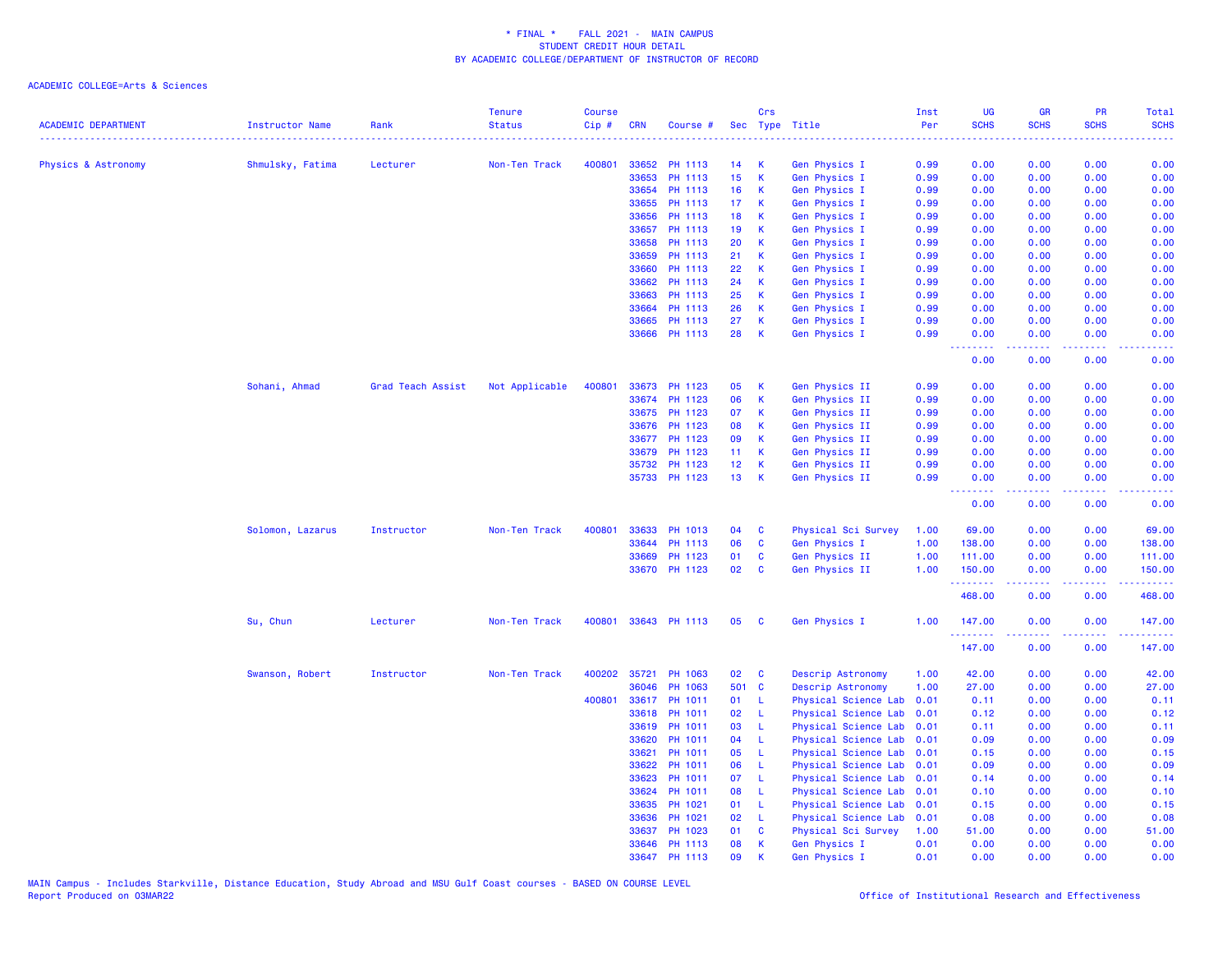| <b>ACADEMIC DEPARTMENT</b> | Instructor Name  | Rank              | <b>Tenure</b><br><b>Status</b> | <b>Course</b><br>Cip# | <b>CRN</b> | Course #      |                 | Crs          | Sec Type Title       | Inst<br>Per | UG<br><b>SCHS</b>  | GR<br><b>SCHS</b> | PR<br><b>SCHS</b> | <b>Total</b><br><b>SCHS</b> |
|----------------------------|------------------|-------------------|--------------------------------|-----------------------|------------|---------------|-----------------|--------------|----------------------|-------------|--------------------|-------------------|-------------------|-----------------------------|
|                            |                  |                   |                                |                       |            |               |                 |              |                      |             |                    |                   |                   |                             |
| Physics & Astronomy        | Shmulsky, Fatima | Lecturer          | Non-Ten Track                  | 400801                | 33652      | PH 1113       | 14              | К            | Gen Physics I        | 0.99        | 0.00               | 0.00              | 0.00              | 0.00                        |
|                            |                  |                   |                                |                       | 33653      | PH 1113       | 15              | $\,$ K       | <b>Gen Physics I</b> | 0.99        | 0.00               | 0.00              | 0.00              | 0.00                        |
|                            |                  |                   |                                |                       | 33654      | PH 1113       | 16              | K            | Gen Physics I        | 0.99        | 0.00               | 0.00              | 0.00              | 0.00                        |
|                            |                  |                   |                                |                       | 33655      | PH 1113       | 17              | K            | Gen Physics I        | 0.99        | 0.00               | 0.00              | 0.00              | 0.00                        |
|                            |                  |                   |                                |                       | 33656      | PH 1113       | 18              | K            | Gen Physics I        | 0.99        | 0.00               | 0.00              | 0.00              | 0.00                        |
|                            |                  |                   |                                |                       | 33657      | PH 1113       | 19              | К            | Gen Physics I        | 0.99        | 0.00               | 0.00              | 0.00              | 0.00                        |
|                            |                  |                   |                                |                       | 33658      | PH 1113       | 20              | К            | Gen Physics I        | 0.99        | 0.00               | 0.00              | 0.00              | 0.00                        |
|                            |                  |                   |                                |                       | 33659      | PH 1113       | 21              | K            | Gen Physics I        | 0.99        | 0.00               | 0.00              | 0.00              | 0.00                        |
|                            |                  |                   |                                |                       | 33660      | PH 1113       | 22              | K            | Gen Physics I        | 0.99        | 0.00               | 0.00              | 0.00              | 0.00                        |
|                            |                  |                   |                                |                       | 33662      | PH 1113       | 24              | K            | Gen Physics I        | 0.99        | 0.00               | 0.00              | 0.00              | 0.00                        |
|                            |                  |                   |                                |                       | 33663      | PH 1113       | 25              | К            | Gen Physics I        | 0.99        | 0.00               | 0.00              | 0.00              | 0.00                        |
|                            |                  |                   |                                |                       | 33664      | PH 1113       | 26              | K            | Gen Physics I        | 0.99        | 0.00               | 0.00              | 0.00              | 0.00                        |
|                            |                  |                   |                                |                       | 33665      | PH 1113       | 27              | K            | Gen Physics I        | 0.99        | 0.00               | 0.00              | 0.00              | 0.00                        |
|                            |                  |                   |                                |                       |            | 33666 PH 1113 | 28              | K            | Gen Physics I        | 0.99        | 0.00               | 0.00              | 0.00              | 0.00                        |
|                            |                  |                   |                                |                       |            |               |                 |              |                      |             | د د د د<br>0.00    | 0.00              | وعاويا<br>0.00    | 0.00                        |
|                            | Sohani, Ahmad    | Grad Teach Assist | Not Applicable                 | 400801                |            | 33673 PH 1123 | 05              | K            | Gen Physics II       | 0.99        | 0.00               | 0.00              | 0.00              | 0.00                        |
|                            |                  |                   |                                |                       | 33674      | PH 1123       | 06              | $\mathsf K$  | Gen Physics II       | 0.99        | 0.00               | 0.00              | 0.00              | 0.00                        |
|                            |                  |                   |                                |                       | 33675      | PH 1123       | 07              | К            | Gen Physics II       | 0.99        | 0.00               | 0.00              | 0.00              | 0.00                        |
|                            |                  |                   |                                |                       | 33676      | PH 1123       | 08              | К            | Gen Physics II       | 0.99        | 0.00               | 0.00              | 0.00              | 0.00                        |
|                            |                  |                   |                                |                       |            | 33677 PH 1123 | 09              | К            | Gen Physics II       | 0.99        | 0.00               | 0.00              | 0.00              | 0.00                        |
|                            |                  |                   |                                |                       | 33679      | PH 1123       | 11 <sub>1</sub> | $\mathsf K$  | Gen Physics II       | 0.99        | 0.00               | 0.00              | 0.00              | 0.00                        |
|                            |                  |                   |                                |                       | 35732      | PH 1123       | 12 <sub>2</sub> | K            | Gen Physics II       | 0.99        | 0.00               | 0.00              | 0.00              | 0.00                        |
|                            |                  |                   |                                |                       |            | 35733 PH 1123 | 13              | K            | Gen Physics II       | 0.99        | 0.00               | 0.00              | 0.00              | 0.00                        |
|                            |                  |                   |                                |                       |            |               |                 |              |                      |             | <u>.</u><br>0.00   | -----<br>0.00     | .<br>0.00         | .<br>0.00                   |
|                            | Solomon, Lazarus | Instructor        | Non-Ten Track                  | 400801                | 33633      | PH 1013       | 04              | C            | Physical Sci Survey  | 1.00        | 69.00              | 0.00              | 0.00              | 69.00                       |
|                            |                  |                   |                                |                       |            | 33644 PH 1113 | 06              | $\mathbf{C}$ | Gen Physics I        | 1.00        | 138.00             | 0.00              | 0.00              | 138.00                      |
|                            |                  |                   |                                |                       | 33669      | PH 1123       | 01              | C            | Gen Physics II       | 1.00        | 111.00             | 0.00              | 0.00              | 111.00                      |
|                            |                  |                   |                                |                       |            | 33670 PH 1123 | 02              | C            | Gen Physics II       | 1.00        | 150.00             | 0.00              | 0.00              | 150.00                      |
|                            |                  |                   |                                |                       |            |               |                 |              |                      |             | .<br>468.00        | 0.00              | 0.00              | وعاعاتها<br>468.00          |
|                            | Su, Chun         | Lecturer          | Non-Ten Track                  | 400801                |            | 33643 PH 1113 | 05              | C            | Gen Physics I        | 1.00        | 147.00             | 0.00              | 0.00              | 147.00                      |
|                            |                  |                   |                                |                       |            |               |                 |              |                      |             | <u>.</u><br>147.00 | .<br>0.00         | .<br>0.00         | .<br>147.00                 |
|                            | Swanson, Robert  | Instructor        | Non-Ten Track                  | 400202                | 35721      | PH 1063       | 02              | C            | Descrip Astronomy    | 1.00        | 42.00              | 0.00              | 0.00              | 42.00                       |
|                            |                  |                   |                                |                       | 36046      | PH 1063       | 501 C           |              | Descrip Astronomy    | 1.00        | 27.00              | 0.00              | 0.00              | 27.00                       |
|                            |                  |                   |                                | 400801                | 33617      | PH 1011       | 01              | - L          | Physical Science Lab | 0.01        | 0.11               | 0.00              | 0.00              | 0.11                        |
|                            |                  |                   |                                |                       | 33618      | PH 1011       | 02              | - L          | Physical Science Lab | 0.01        | 0.12               | 0.00              | 0.00              | 0.12                        |
|                            |                  |                   |                                |                       | 33619      | PH 1011       | 03              | $\mathsf{L}$ | Physical Science Lab | 0.01        | 0.11               | 0.00              | 0.00              | 0.11                        |
|                            |                  |                   |                                |                       | 33620      | PH 1011       | 04              | -L           | Physical Science Lab | 0.01        | 0.09               | 0.00              | 0.00              | 0.09                        |
|                            |                  |                   |                                |                       | 33621      | PH 1011       | 05              | -L           | Physical Science Lab | 0.01        | 0.15               | 0.00              | 0.00              | 0.15                        |
|                            |                  |                   |                                |                       | 33622      | PH 1011       | 06              | -L           | Physical Science Lab | 0.01        | 0.09               | 0.00              | 0.00              | 0.09                        |
|                            |                  |                   |                                |                       | 33623      | PH 1011       | 07              | - L          | Physical Science Lab | 0.01        | 0.14               | 0.00              | 0.00              | 0.14                        |
|                            |                  |                   |                                |                       | 33624      | PH 1011       | 08              | - L          | Physical Science Lab | 0.01        | 0.10               | 0.00              | 0.00              | 0.10                        |
|                            |                  |                   |                                |                       | 33635      | PH 1021       | 01              | $\mathsf{L}$ | Physical Science Lab | 0.01        | 0.15               | 0.00              | 0.00              | 0.15                        |
|                            |                  |                   |                                |                       | 33636      | PH 1021       | 02              | $\mathsf{L}$ | Physical Science Lab | 0.01        | 0.08               | 0.00              | 0.00              | 0.08                        |
|                            |                  |                   |                                |                       | 33637      | PH 1023       | 01              | C            | Physical Sci Survey  | 1.00        | 51.00              | 0.00              | 0.00              | 51.00                       |
|                            |                  |                   |                                |                       | 33646      | PH 1113       | 08              | $\mathsf{K}$ | Gen Physics I        | 0.01        | 0.00               | 0.00              | 0.00              | 0.00                        |
|                            |                  |                   |                                |                       | 33647      | PH 1113       | 09              | K            | Gen Physics I        | 0.01        | 0.00               | 0.00              | 0.00              | 0.00                        |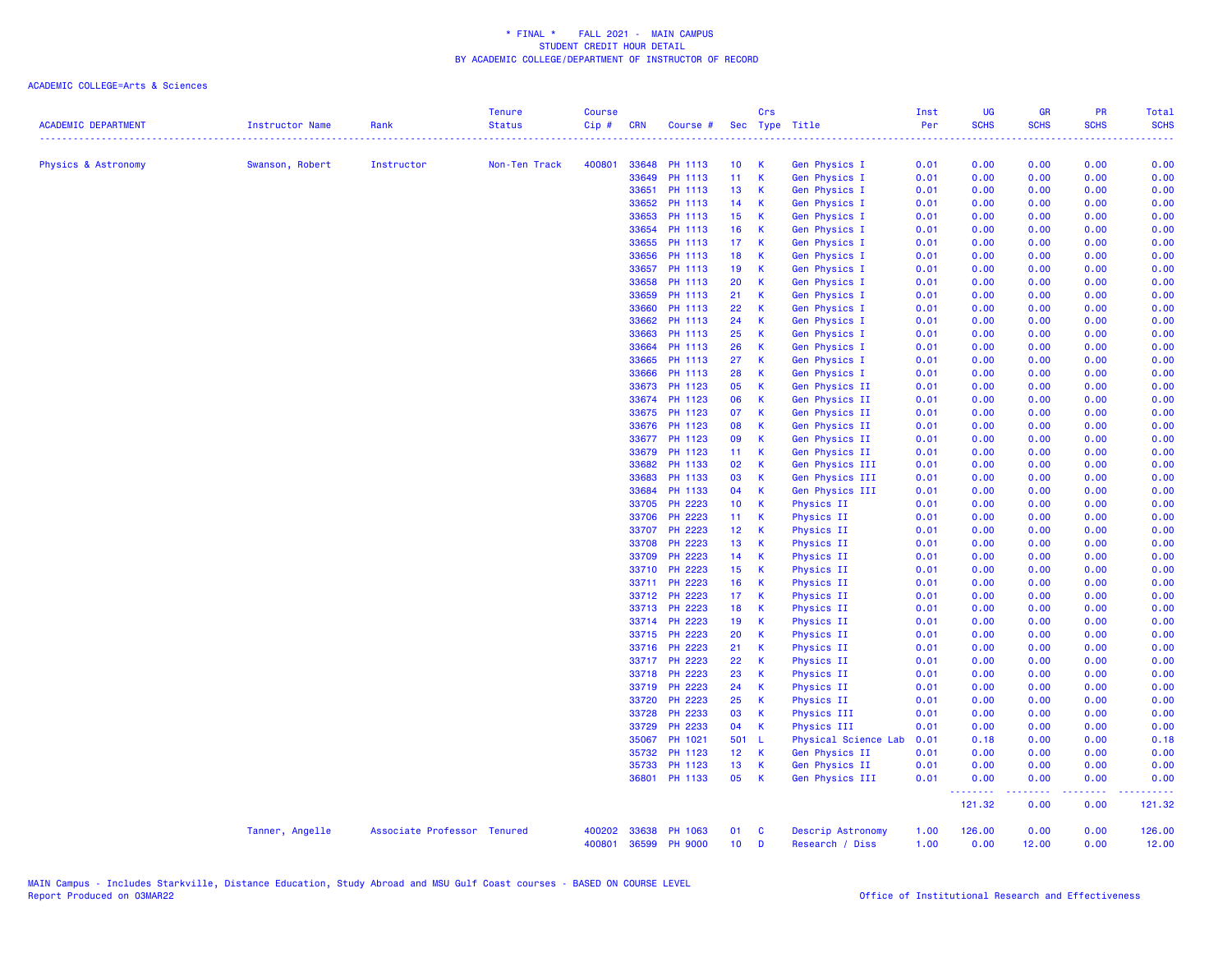|                            |                 |                             | <b>Tenure</b>             | <b>Course</b> |            |                |                 | Crs          |                      | Inst          | UG                 | <b>GR</b>     | <b>PR</b>   | Total         |
|----------------------------|-----------------|-----------------------------|---------------------------|---------------|------------|----------------|-----------------|--------------|----------------------|---------------|--------------------|---------------|-------------|---------------|
| <b>ACADEMIC DEPARTMENT</b> | Instructor Name | Rank                        | <b>Status</b><br><u>.</u> | $Cip$ #       | <b>CRN</b> | Course #       |                 |              | Sec Type Title       | Per<br>222222 | <b>SCHS</b>        | <b>SCHS</b>   | <b>SCHS</b> | <b>SCHS</b>   |
| Physics & Astronomy        | Swanson, Robert | Instructor                  | Non-Ten Track             | 400801        | 33648      | PH 1113        | 10 <sub>1</sub> | -K           | Gen Physics I        | 0.01          | 0.00               | 0.00          | 0.00        | 0.00          |
|                            |                 |                             |                           |               | 33649      | PH 1113        | 11              | $\mathsf{K}$ | Gen Physics I        | 0.01          | 0.00               | 0.00          | 0.00        | 0.00          |
|                            |                 |                             |                           |               | 33651      | PH 1113        | 13 <sup>°</sup> | $\mathbf{K}$ | Gen Physics I        | 0.01          | 0.00               | 0.00          | 0.00        | 0.00          |
|                            |                 |                             |                           |               | 33652      | PH 1113        | 14              | $\mathsf{K}$ | Gen Physics I        | 0.01          | 0.00               | 0.00          | 0.00        | 0.00          |
|                            |                 |                             |                           |               | 33653      | PH 1113        | 15 <sub>1</sub> | $\mathbf K$  | Gen Physics I        | 0.01          | 0.00               | 0.00          | 0.00        | 0.00          |
|                            |                 |                             |                           |               | 33654      | PH 1113        | 16              | $\mathbf{K}$ | Gen Physics I        | 0.01          | 0.00               | 0.00          | 0.00        | 0.00          |
|                            |                 |                             |                           |               | 33655      | PH 1113        | 17 <sub>2</sub> | $\mathsf{K}$ | Gen Physics I        | 0.01          | 0.00               | 0.00          | 0.00        | 0.00          |
|                            |                 |                             |                           |               | 33656      | PH 1113        | 18              | $\mathsf{K}$ | Gen Physics I        | 0.01          | 0.00               | 0.00          | 0.00        | 0.00          |
|                            |                 |                             |                           |               | 33657      | PH 1113        | 19              | $\mathbf K$  | Gen Physics I        | 0.01          | 0.00               | 0.00          | 0.00        | 0.00          |
|                            |                 |                             |                           |               | 33658      | PH 1113        | 20              | $\mathbf K$  | Gen Physics I        | 0.01          | 0.00               | 0.00          | 0.00        | 0.00          |
|                            |                 |                             |                           |               | 33659      | PH 1113        | 21              | $\mathsf K$  | Gen Physics I        | 0.01          | 0.00               | 0.00          | 0.00        | 0.00          |
|                            |                 |                             |                           |               | 33660      | PH 1113        | 22              | $\mathsf{K}$ | Gen Physics I        | 0.01          | 0.00               | 0.00          | 0.00        | 0.00          |
|                            |                 |                             |                           |               | 33662      | PH 1113        | 24              | $\mathsf K$  | Gen Physics I        | 0.01          | 0.00               | 0.00          | 0.00        | 0.00          |
|                            |                 |                             |                           |               | 33663      | PH 1113        | 25              | $\mathsf{K}$ | <b>Gen Physics I</b> | 0.01          | 0.00               | 0.00          | 0.00        | 0.00          |
|                            |                 |                             |                           |               | 33664      | PH 1113        | 26              | $\mathsf K$  | Gen Physics I        | 0.01          | 0.00               | 0.00          | 0.00        | 0.00          |
|                            |                 |                             |                           |               | 33665      | PH 1113        | 27              | $\mathsf K$  | Gen Physics I        | 0.01          | 0.00               | 0.00          | 0.00        | 0.00          |
|                            |                 |                             |                           |               | 33666      | PH 1113        | 28              | $\mathsf{K}$ | Gen Physics I        | 0.01          | 0.00               | 0.00          | 0.00        | 0.00          |
|                            |                 |                             |                           |               | 33673      | PH 1123        | 05              | $\mathbf K$  | Gen Physics II       | 0.01          | 0.00               | 0.00          | 0.00        | 0.00          |
|                            |                 |                             |                           |               | 33674      | PH 1123        | 06              | $\mathsf K$  | Gen Physics II       | 0.01          | 0.00               | 0.00          | 0.00        | 0.00          |
|                            |                 |                             |                           |               | 33675      | PH 1123        | 07              | $\mathsf{K}$ | Gen Physics II       | 0.01          | 0.00               | 0.00          | 0.00        | 0.00          |
|                            |                 |                             |                           |               | 33676      | PH 1123        | 08              | $\mathsf K$  | Gen Physics II       | 0.01          | 0.00               | 0.00          | 0.00        | 0.00          |
|                            |                 |                             |                           |               | 33677      | PH 1123        | 09              | $\mathbf K$  | Gen Physics II       | 0.01          | 0.00               | 0.00          | 0.00        | 0.00          |
|                            |                 |                             |                           |               | 33679      | PH 1123        | 11 <sub>1</sub> | <b>K</b>     | Gen Physics II       | 0.01          | 0.00               | 0.00          | 0.00        | 0.00          |
|                            |                 |                             |                           |               | 33682      | PH 1133        | 02              | $\mathbf K$  | Gen Physics III      | 0.01          | 0.00               | 0.00          | 0.00        | 0.00          |
|                            |                 |                             |                           |               | 33683      | PH 1133        | 03              | $\mathsf{K}$ | Gen Physics III      | 0.01          | 0.00               | 0.00          | 0.00        | 0.00          |
|                            |                 |                             |                           |               | 33684      | PH 1133        | 04              | $\mathbf{K}$ | Gen Physics III      | 0.01          | 0.00               | 0.00          | 0.00        | 0.00          |
|                            |                 |                             |                           |               | 33705      | PH 2223        | 10 <sub>1</sub> | $\mathbf{K}$ | <b>Physics II</b>    | 0.01          | 0.00               | 0.00          | 0.00        | 0.00          |
|                            |                 |                             |                           |               | 33706      | PH 2223        | 11 K            |              | <b>Physics II</b>    | 0.01          | 0.00               | 0.00          | 0.00        | 0.00          |
|                            |                 |                             |                           |               | 33707      | PH 2223        | 12 K            |              | <b>Physics II</b>    | 0.01          | 0.00               | 0.00          | 0.00        | 0.00          |
|                            |                 |                             |                           |               | 33708      | PH 2223        | 13 <sup>°</sup> | $\mathbf{K}$ | <b>Physics II</b>    | 0.01          | 0.00               | 0.00          | 0.00        | 0.00          |
|                            |                 |                             |                           |               | 33709      | PH 2223        | $14$ K          |              | Physics II           | 0.01          | 0.00               | 0.00          | 0.00        | 0.00          |
|                            |                 |                             |                           |               | 33710      | PH 2223        | 15 <sub>1</sub> | $\mathbf{K}$ | <b>Physics II</b>    | 0.01          | 0.00               | 0.00          | 0.00        | 0.00          |
|                            |                 |                             |                           |               | 33711      | PH 2223        | 16              | $\mathbf{K}$ | <b>Physics II</b>    | 0.01          | 0.00               | 0.00          | 0.00        | 0.00          |
|                            |                 |                             |                           |               |            | 33712 PH 2223  | 17 K            |              | <b>Physics II</b>    | 0.01          | 0.00               | 0.00          | 0.00        | 0.00          |
|                            |                 |                             |                           |               | 33713      | PH 2223        | 18              | $\mathbf{K}$ | Physics II           | 0.01          | 0.00               | 0.00          | 0.00        | 0.00          |
|                            |                 |                             |                           |               | 33714      | PH 2223        | 19              | $\mathbf{K}$ | <b>Physics II</b>    | 0.01          | 0.00               | 0.00          | 0.00        | 0.00          |
|                            |                 |                             |                           |               |            | 33715 PH 2223  | 20              | $\mathsf{K}$ | Physics II           | 0.01          | 0.00               | 0.00          | 0.00        | 0.00          |
|                            |                 |                             |                           |               |            | 33716 PH 2223  | 21 K            |              | <b>Physics II</b>    | 0.01          | 0.00               | 0.00          | 0.00        | 0.00          |
|                            |                 |                             |                           |               | 33717      | PH 2223        | 22              | $\mathbf{K}$ | Physics II           | 0.01          | 0.00               | 0.00          | 0.00        | 0.00          |
|                            |                 |                             |                           |               | 33718      | PH 2223        | 23              | $\mathsf{K}$ | <b>Physics II</b>    | 0.01          | 0.00               | 0.00          | 0.00        | 0.00          |
|                            |                 |                             |                           |               | 33719      | PH 2223        | 24              | $\mathbf K$  | <b>Physics II</b>    | 0.01          | 0.00               | 0.00          | 0.00        | 0.00          |
|                            |                 |                             |                           |               | 33720      | PH 2223        | 25              | $\mathbf{K}$ | <b>Physics II</b>    | 0.01          | 0.00               | 0.00          | 0.00        | 0.00          |
|                            |                 |                             |                           |               | 33728      | PH 2233        | 03              | $\mathbf{K}$ | Physics III          | 0.01          | 0.00               | 0.00          | 0.00        | 0.00          |
|                            |                 |                             |                           |               | 33729      | PH 2233        | 04              | $\mathbf K$  | <b>Physics III</b>   | 0.01          | 0.00               | 0.00          | 0.00        | 0.00          |
|                            |                 |                             |                           |               | 35067      | PH 1021        | 501 L           |              | Physical Science Lab | 0.01          | 0.18               | 0.00          | 0.00        | 0.18          |
|                            |                 |                             |                           |               | 35732      | PH 1123        | 12 K            |              | Gen Physics II       | 0.01          | 0.00               | 0.00          | 0.00        | 0.00          |
|                            |                 |                             |                           |               | 35733      | PH 1123        | 13 <sup>°</sup> | $\mathbf K$  | Gen Physics II       | 0.01          | 0.00               | 0.00          | 0.00        | 0.00          |
|                            |                 |                             |                           |               | 36801      | PH 1133        | 05              | $\mathbf{K}$ | Gen Physics III      | 0.01          | 0.00<br><u>.</u> . | 0.00<br>22222 | 0.00<br>.   | 0.00<br>22222 |
|                            |                 |                             |                           |               |            |                |                 |              |                      |               | 121.32             | 0.00          | 0.00        | 121.32        |
|                            | Tanner, Angelle | Associate Professor Tenured |                           | 400202        | 33638      | PH 1063        | 01              | <b>C</b>     | Descrip Astronomy    | 1.00          | 126.00             | 0.00          | 0.00        | 126.00        |
|                            |                 |                             |                           | 400801        | 36599      | <b>PH 9000</b> | 10 <sub>1</sub> | D            | Research / Diss      | 1.00          | 0.00               | 12.00         | 0.00        | 12.00         |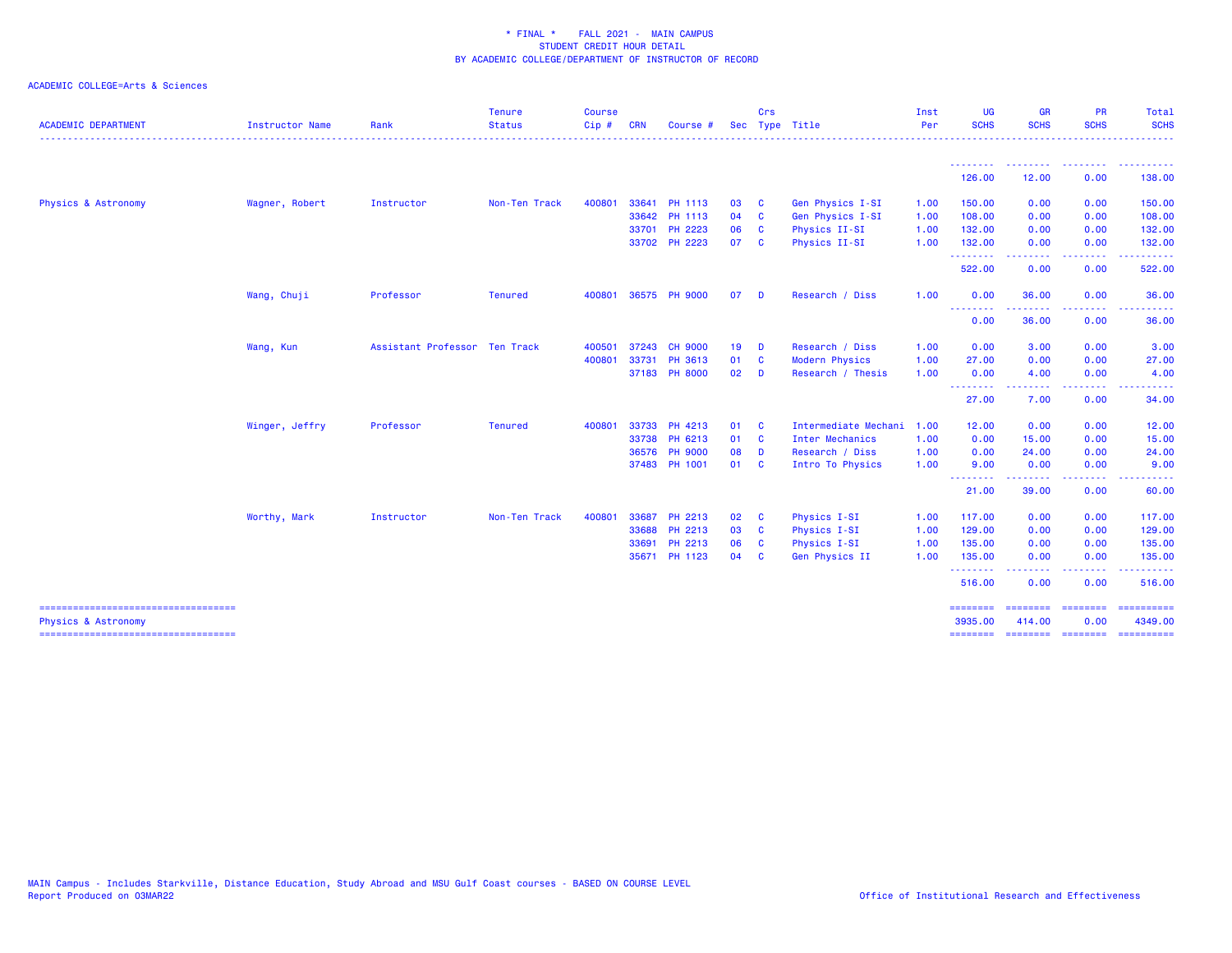| <b>ACADEMIC DEPARTMENT</b>                                   | Instructor Name | Rank                          | <b>Tenure</b><br><b>Status</b> | <b>Course</b><br>Cip# | <b>CRN</b> | <b>Course</b>  | <b>Sec</b> | Crs                     | Type Title            | Inst<br>Per | <b>UG</b><br><b>SCHS</b> | <b>GR</b><br><b>SCHS</b>    | <b>PR</b><br><b>SCHS</b>                                                                                                                                     | <b>Total</b><br><b>SCHS</b><br>.                                                                                                                                                                                                                                                                                                                                                                                                                                                                  |
|--------------------------------------------------------------|-----------------|-------------------------------|--------------------------------|-----------------------|------------|----------------|------------|-------------------------|-----------------------|-------------|--------------------------|-----------------------------|--------------------------------------------------------------------------------------------------------------------------------------------------------------|---------------------------------------------------------------------------------------------------------------------------------------------------------------------------------------------------------------------------------------------------------------------------------------------------------------------------------------------------------------------------------------------------------------------------------------------------------------------------------------------------|
|                                                              |                 |                               |                                |                       |            |                |            |                         |                       |             | <u>.</u><br>126.00       | 12.00                       | $\frac{1}{2} \left( \frac{1}{2} \right) \left( \frac{1}{2} \right) \left( \frac{1}{2} \right) \left( \frac{1}{2} \right) \left( \frac{1}{2} \right)$<br>0.00 | $- - - - - - -$<br>138.00                                                                                                                                                                                                                                                                                                                                                                                                                                                                         |
|                                                              |                 |                               |                                |                       |            |                |            |                         |                       |             |                          |                             |                                                                                                                                                              |                                                                                                                                                                                                                                                                                                                                                                                                                                                                                                   |
| Physics & Astronomy                                          | Wagner, Robert  | Instructor                    | Non-Ten Track                  | 400801                |            | 33641 PH 1113  | 03         | $\mathbf{C}$            | Gen Physics I-SI      | 1.00        | 150.00                   | 0.00                        | 0.00                                                                                                                                                         | 150.00                                                                                                                                                                                                                                                                                                                                                                                                                                                                                            |
|                                                              |                 |                               |                                |                       |            | 33642 PH 1113  | 04 C       |                         | Gen Physics I-SI      | 1.00        | 108.00                   | 0.00                        | 0.00                                                                                                                                                         | 108.00                                                                                                                                                                                                                                                                                                                                                                                                                                                                                            |
|                                                              |                 |                               |                                |                       |            | 33701 PH 2223  | 06         | <b>C</b>                | Physics II-SI         | 1.00        | 132.00                   | 0.00                        | 0.00                                                                                                                                                         | 132.00                                                                                                                                                                                                                                                                                                                                                                                                                                                                                            |
|                                                              |                 |                               |                                |                       |            | 33702 PH 2223  | 07         | <b>C</b>                | Physics II-SI         | 1.00        | 132.00                   | 0.00                        | 0.00                                                                                                                                                         | 132.00<br><u>.</u>                                                                                                                                                                                                                                                                                                                                                                                                                                                                                |
|                                                              |                 |                               |                                |                       |            |                |            |                         |                       |             | .<br>522.00              | .<br>0.00                   | $\frac{1}{2} \left( \frac{1}{2} \right) \left( \frac{1}{2} \right) \left( \frac{1}{2} \right) \left( \frac{1}{2} \right)$<br>0.00                            | 522.00                                                                                                                                                                                                                                                                                                                                                                                                                                                                                            |
|                                                              | Wang, Chuji     | Professor                     | <b>Tenured</b>                 | 400801                |            | 36575 PH 9000  | 07         | <b>D</b>                | Research / Diss       | 1.00        | 0.00                     | 36.00                       | 0.00                                                                                                                                                         | 36.00<br>.                                                                                                                                                                                                                                                                                                                                                                                                                                                                                        |
|                                                              |                 |                               |                                |                       |            |                |            |                         |                       |             | --------<br>0.00         | .<br>36.00                  | -----<br>0.00                                                                                                                                                | 36.00                                                                                                                                                                                                                                                                                                                                                                                                                                                                                             |
|                                                              | Wang, Kun       | Assistant Professor Ten Track |                                | 400501                | 37243      | <b>CH 9000</b> | $19$ D     |                         | Research / Diss       | 1.00        | 0.00                     | 3.00                        | 0.00                                                                                                                                                         | 3.00                                                                                                                                                                                                                                                                                                                                                                                                                                                                                              |
|                                                              |                 |                               |                                | 400801                | 33731      | PH 3613        | 01 C       |                         | <b>Modern Physics</b> | 1.00        | 27.00                    | 0.00                        | 0.00                                                                                                                                                         | 27.00                                                                                                                                                                                                                                                                                                                                                                                                                                                                                             |
|                                                              |                 |                               |                                |                       |            | 37183 PH 8000  | $02$ D     |                         | Research / Thesis     | 1.00        | 0.00                     | 4.00                        | 0.00                                                                                                                                                         | 4.00                                                                                                                                                                                                                                                                                                                                                                                                                                                                                              |
|                                                              |                 |                               |                                |                       |            |                |            |                         |                       |             | .<br>27.00               | 7.00                        | 0.00                                                                                                                                                         | 34.00                                                                                                                                                                                                                                                                                                                                                                                                                                                                                             |
|                                                              | Winger, Jeffry  | Professor                     | <b>Tenured</b>                 | 400801                |            | 33733 PH 4213  | 01 C       |                         | Intermediate Mechani  | 1.00        | 12.00                    | 0.00                        | 0.00                                                                                                                                                         | 12.00                                                                                                                                                                                                                                                                                                                                                                                                                                                                                             |
|                                                              |                 |                               |                                |                       |            | 33738 PH 6213  | 01 C       |                         | Inter Mechanics       | 1.00        | 0.00                     | 15.00                       | 0.00                                                                                                                                                         | 15.00                                                                                                                                                                                                                                                                                                                                                                                                                                                                                             |
|                                                              |                 |                               |                                |                       | 36576      | <b>PH 9000</b> | 08         | $\mathbf{D}$            | Research / Diss       | 1.00        | 0.00                     | 24.00                       | 0.00                                                                                                                                                         | 24.00                                                                                                                                                                                                                                                                                                                                                                                                                                                                                             |
|                                                              |                 |                               |                                |                       |            | 37483 PH 1001  | 01 C       |                         | Intro To Physics      | 1.00        | 9.00                     | 0.00                        | 0.00                                                                                                                                                         | 9.00                                                                                                                                                                                                                                                                                                                                                                                                                                                                                              |
|                                                              |                 |                               |                                |                       |            |                |            |                         |                       |             | --------<br>21.00        | .<br>39.00                  | 0.00                                                                                                                                                         | 60.00                                                                                                                                                                                                                                                                                                                                                                                                                                                                                             |
|                                                              | Worthy, Mark    | Instructor                    | Non-Ten Track                  | 400801                | 33687      | PH 2213        | 02 C       |                         | Physics I-SI          | 1.00        | 117.00                   | 0.00                        | 0.00                                                                                                                                                         | 117.00                                                                                                                                                                                                                                                                                                                                                                                                                                                                                            |
|                                                              |                 |                               |                                |                       | 33688      | PH 2213        | 03         | $\overline{\mathbf{c}}$ | Physics I-SI          | 1.00        | 129.00                   | 0.00                        | 0.00                                                                                                                                                         | 129.00                                                                                                                                                                                                                                                                                                                                                                                                                                                                                            |
|                                                              |                 |                               |                                |                       | 33691      | PH 2213        | 06         | $\mathbf{C}$            | Physics I-SI          | 1.00        | 135.00                   | 0.00                        | 0.00                                                                                                                                                         | 135.00                                                                                                                                                                                                                                                                                                                                                                                                                                                                                            |
|                                                              |                 |                               |                                |                       |            | 35671 PH 1123  | 04         | - C                     | Gen Physics II        | 1.00        | 135.00                   | 0.00                        | 0.00                                                                                                                                                         | 135.00                                                                                                                                                                                                                                                                                                                                                                                                                                                                                            |
|                                                              |                 |                               |                                |                       |            |                |            |                         |                       |             | .<br>516.00              | --------<br>0.00            | -----<br>0.00                                                                                                                                                | .<br>516.00                                                                                                                                                                                                                                                                                                                                                                                                                                                                                       |
| =====================================<br>Physics & Astronomy |                 |                               |                                |                       |            |                |            |                         |                       |             | ========<br>3935.00      | ======== ========<br>414.00 | 0.00                                                                                                                                                         | $\begin{array}{cccccccccc} \multicolumn{2}{c}{} & \multicolumn{2}{c}{} & \multicolumn{2}{c}{} & \multicolumn{2}{c}{} & \multicolumn{2}{c}{} & \multicolumn{2}{c}{} & \multicolumn{2}{c}{} & \multicolumn{2}{c}{} & \multicolumn{2}{c}{} & \multicolumn{2}{c}{} & \multicolumn{2}{c}{} & \multicolumn{2}{c}{} & \multicolumn{2}{c}{} & \multicolumn{2}{c}{} & \multicolumn{2}{c}{} & \multicolumn{2}{c}{} & \multicolumn{2}{c}{} & \multicolumn{2}{c}{} & \multicolumn{2}{c}{} & \mult$<br>4349.00 |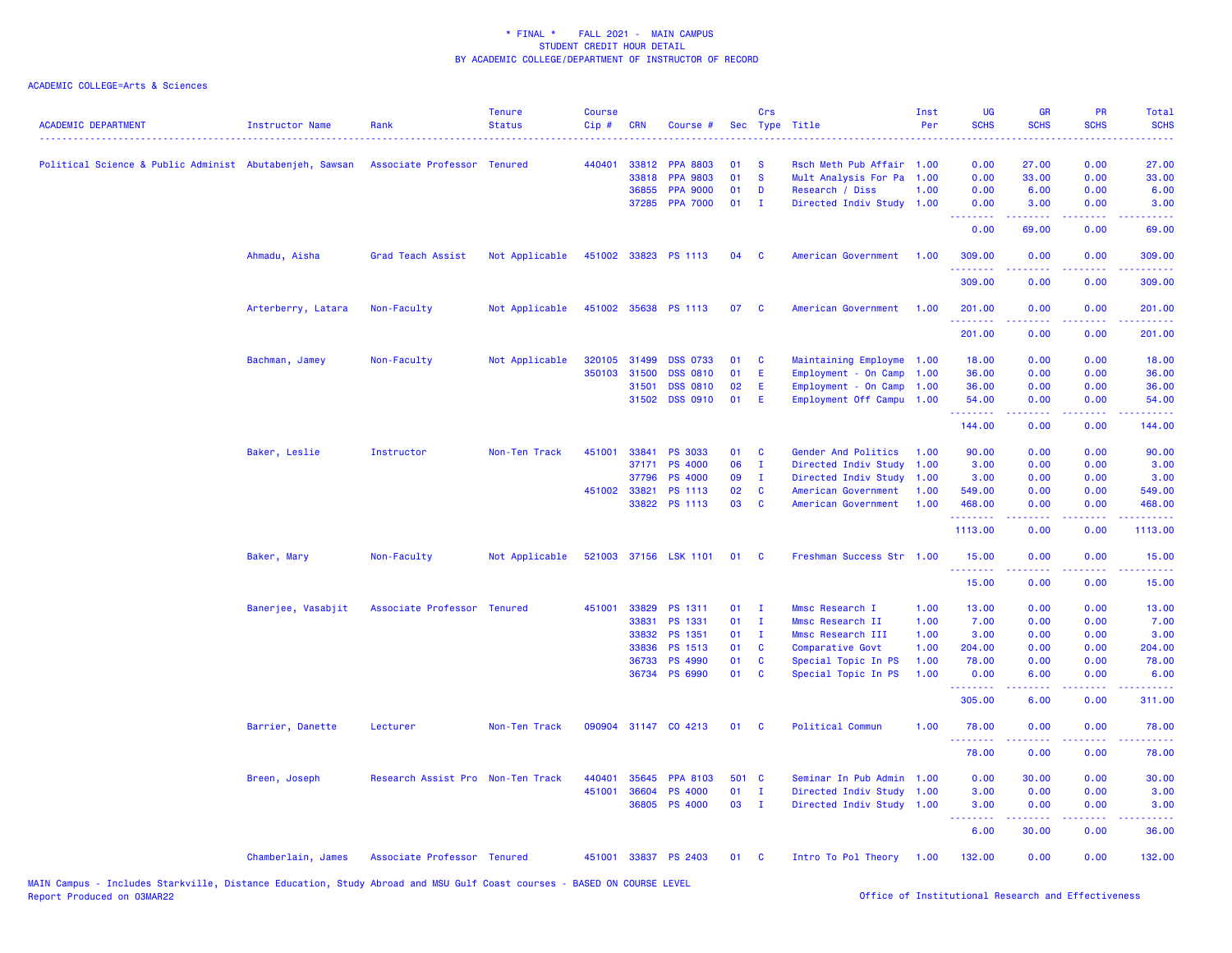| <b>ACADEMIC DEPARTMENT</b>                              | <b>Instructor Name</b> | Rank                              | <b>Tenure</b><br><b>Status</b> | <b>Course</b><br>Cip# | <b>CRN</b>   | Course #              |       | Crs          | Sec Type Title            | Inst<br>Per | <b>UG</b><br><b>SCHS</b> | <b>GR</b><br><b>SCHS</b>                                                                                                                                     | <b>PR</b><br><b>SCHS</b>                                                                                                          | Total<br><b>SCHS</b><br>- - - -                                                                        |
|---------------------------------------------------------|------------------------|-----------------------------------|--------------------------------|-----------------------|--------------|-----------------------|-------|--------------|---------------------------|-------------|--------------------------|--------------------------------------------------------------------------------------------------------------------------------------------------------------|-----------------------------------------------------------------------------------------------------------------------------------|--------------------------------------------------------------------------------------------------------|
| Political Science & Public Administ Abutabenjeh, Sawsan |                        | Associate Professor Tenured       |                                | 440401                | 33812        | <b>PPA 8803</b>       | 01    | -S           | Rsch Meth Pub Affair 1.00 |             | 0.00                     | 27.00                                                                                                                                                        | 0.00                                                                                                                              | 27.00                                                                                                  |
|                                                         |                        |                                   |                                |                       | 33818        | <b>PPA 9803</b>       | 01    | <b>S</b>     | Mult Analysis For Pa      | 1.00        | 0.00                     | 33.00                                                                                                                                                        | 0.00                                                                                                                              | 33.00                                                                                                  |
|                                                         |                        |                                   |                                |                       | 36855        | <b>PPA 9000</b>       | 01    | D            | Research / Diss           | 1.00        | 0.00                     | 6.00                                                                                                                                                         | 0.00                                                                                                                              | 6.00                                                                                                   |
|                                                         |                        |                                   |                                |                       | 37285        | <b>PPA 7000</b>       | 01    | - I          | Directed Indiv Study 1.00 |             | 0.00<br>.                | 3.00<br>2.2.2.2.2                                                                                                                                            | 0.00<br>$\frac{1}{2} \left( \frac{1}{2} \right) \left( \frac{1}{2} \right) \left( \frac{1}{2} \right)$                            | 3.00<br>$\frac{1}{2} \left( \frac{1}{2} \right) \left( \frac{1}{2} \right) \left( \frac{1}{2} \right)$ |
|                                                         |                        |                                   |                                |                       |              |                       |       |              |                           |             | 0.00                     | 69.00                                                                                                                                                        | 0.00                                                                                                                              | 69.00                                                                                                  |
|                                                         | Ahmadu, Aisha          | Grad Teach Assist                 | Not Applicable                 |                       |              | 451002 33823 PS 1113  | 04    | C            | American Government       | 1.00        | 309.00                   | 0.00                                                                                                                                                         | 0.00                                                                                                                              | 309.00                                                                                                 |
|                                                         |                        |                                   |                                |                       |              |                       |       |              |                           |             | 309.00                   | 0.00                                                                                                                                                         | 0.00                                                                                                                              | 309.00                                                                                                 |
|                                                         | Arterberry, Latara     | Non-Faculty                       | Not Applicable                 |                       |              | 451002 35638 PS 1113  | 07    | <b>C</b>     | American Government       | 1.00        | 201.00                   | 0.00                                                                                                                                                         | 0.00                                                                                                                              | 201.00                                                                                                 |
|                                                         |                        |                                   |                                |                       |              |                       |       |              |                           |             | 201.00                   | 0.00                                                                                                                                                         | 0.00                                                                                                                              | 201.00                                                                                                 |
|                                                         | Bachman, Jamey         | Non-Faculty                       | Not Applicable                 |                       | 320105 31499 | <b>DSS 0733</b>       | 01    | C            | Maintaining Employme      | 1.00        | 18.00                    | 0.00                                                                                                                                                         | 0.00                                                                                                                              | 18.00                                                                                                  |
|                                                         |                        |                                   |                                | 350103                | 31500        | <b>DSS 0810</b>       | 01    | Ε            | Employment - On Camp      | 1.00        | 36.00                    | 0.00                                                                                                                                                         | 0.00                                                                                                                              | 36.00                                                                                                  |
|                                                         |                        |                                   |                                |                       | 31501        | <b>DSS 0810</b>       | 02    | E            | Employment - On Camp      | 1.00        | 36.00                    | 0.00                                                                                                                                                         | 0.00                                                                                                                              | 36.00                                                                                                  |
|                                                         |                        |                                   |                                |                       | 31502        | <b>DSS 0910</b>       | 01    | E            | Employment Off Campu 1.00 |             | 54.00<br>.               | 0.00<br>.                                                                                                                                                    | 0.00<br>$\frac{1}{2} \left( \frac{1}{2} \right) \left( \frac{1}{2} \right) \left( \frac{1}{2} \right) \left( \frac{1}{2} \right)$ | 54.00<br>.                                                                                             |
|                                                         |                        |                                   |                                |                       |              |                       |       |              |                           |             | 144.00                   | 0.00                                                                                                                                                         | 0.00                                                                                                                              | 144.00                                                                                                 |
|                                                         | Baker, Leslie          | Instructor                        | Non-Ten Track                  | 451001                | 33841        | <b>PS 3033</b>        | 01    | C            | Gender And Politics       | 1.00        | 90.00                    | 0.00                                                                                                                                                         | 0.00                                                                                                                              | 90.00                                                                                                  |
|                                                         |                        |                                   |                                |                       | 37171        | <b>PS 4000</b>        | 06    | $\mathbf{I}$ | Directed Indiv Study      | 1.00        | 3.00                     | 0.00                                                                                                                                                         | 0.00                                                                                                                              | 3.00                                                                                                   |
|                                                         |                        |                                   |                                |                       | 37796        | <b>PS 4000</b>        | 09    | $\mathbf{I}$ | Directed Indiv Study      | 1.00        | 3.00                     | 0.00                                                                                                                                                         | 0.00                                                                                                                              | 3.00                                                                                                   |
|                                                         |                        |                                   |                                | 451002 33821          |              | PS 1113               | 02    | C            | American Government       | 1.00        | 549.00                   | 0.00                                                                                                                                                         | 0.00                                                                                                                              | 549.00                                                                                                 |
|                                                         |                        |                                   |                                |                       |              | 33822 PS 1113         | 03    | <b>C</b>     | American Government       | 1.00        | 468.00<br>.              | 0.00                                                                                                                                                         | 0.00                                                                                                                              | 468.00<br>.                                                                                            |
|                                                         |                        |                                   |                                |                       |              |                       |       |              |                           |             | 1113.00                  | 0.00                                                                                                                                                         | 0.00                                                                                                                              | 1113.00                                                                                                |
|                                                         | Baker, Mary            | Non-Faculty                       | Not Applicable                 |                       |              | 521003 37156 LSK 1101 | 01    | <b>C</b>     | Freshman Success Str 1.00 |             | 15.00                    | 0.00                                                                                                                                                         | 0.00                                                                                                                              | 15.00                                                                                                  |
|                                                         |                        |                                   |                                |                       |              |                       |       |              |                           |             | 15.00                    | 0.00                                                                                                                                                         | 0.00                                                                                                                              | 15.00                                                                                                  |
|                                                         | Banerjee, Vasabjit     | Associate Professor Tenured       |                                |                       | 451001 33829 | PS 1311               | 01    | - I          | Mmsc Research I           | 1.00        | 13.00                    | 0.00                                                                                                                                                         | 0.00                                                                                                                              | 13.00                                                                                                  |
|                                                         |                        |                                   |                                |                       | 33831        | PS 1331               | 01    | $\mathbf{I}$ | Mmsc Research II          | 1.00        | 7.00                     | 0.00                                                                                                                                                         | 0.00                                                                                                                              | 7.00                                                                                                   |
|                                                         |                        |                                   |                                |                       | 33832        | PS 1351               | 01    | $\mathbf{I}$ | Mmsc Research III         | 1.00        | 3.00                     | 0.00                                                                                                                                                         | 0.00                                                                                                                              | 3.00                                                                                                   |
|                                                         |                        |                                   |                                |                       | 33836        | PS 1513               | 01    | C            | Comparative Govt          | 1.00        | 204.00                   | 0.00                                                                                                                                                         | 0.00                                                                                                                              | 204.00                                                                                                 |
|                                                         |                        |                                   |                                |                       | 36733        | <b>PS 4990</b>        | 01    | C            | Special Topic In PS       | 1.00        | 78.00                    | 0.00                                                                                                                                                         | 0.00                                                                                                                              | 78.00                                                                                                  |
|                                                         |                        |                                   |                                |                       |              | 36734 PS 6990         | 01    | C            | Special Topic In PS       | 1.00        | 0.00<br>. <b>.</b> .     | 6.00<br>.                                                                                                                                                    | 0.00<br>.                                                                                                                         | 6.00<br>$- - - - -$                                                                                    |
|                                                         |                        |                                   |                                |                       |              |                       |       |              |                           |             | 305.00                   | 6.00                                                                                                                                                         | 0.00                                                                                                                              | 311.00                                                                                                 |
|                                                         | Barrier, Danette       | Lecturer                          | Non-Ten Track                  |                       |              | 090904 31147 CO 4213  | 01    | <b>C</b>     | Political Commun          | 1.00        | 78.00<br>.               | 0.00                                                                                                                                                         | 0.00<br>.                                                                                                                         | 78.00                                                                                                  |
|                                                         |                        |                                   |                                |                       |              |                       |       |              |                           |             | 78.00                    | 0.00                                                                                                                                                         | 0.00                                                                                                                              | 78.00                                                                                                  |
|                                                         | Breen, Joseph          | Research Assist Pro Non-Ten Track |                                | 440401                | 35645        | <b>PPA 8103</b>       | 501 C |              | Seminar In Pub Admin      | 1.00        | 0.00                     | 30.00                                                                                                                                                        | 0.00                                                                                                                              | 30.00                                                                                                  |
|                                                         |                        |                                   |                                | 451001                | 36604        | <b>PS 4000</b>        | 01    | $\mathbf{I}$ | Directed Indiv Study      | 1.00        | 3.00                     | 0.00                                                                                                                                                         | 0.00                                                                                                                              | 3.00                                                                                                   |
|                                                         |                        |                                   |                                |                       | 36805        | <b>PS 4000</b>        | 03    | $\mathbf{I}$ | Directed Indiv Study 1.00 |             | 3.00<br><u>.</u>         | 0.00<br>$\frac{1}{2} \left( \frac{1}{2} \right) \left( \frac{1}{2} \right) \left( \frac{1}{2} \right) \left( \frac{1}{2} \right) \left( \frac{1}{2} \right)$ | 0.00                                                                                                                              | 3.00<br>.                                                                                              |
|                                                         |                        |                                   |                                |                       |              |                       |       |              |                           |             | 6.00                     | 30.00                                                                                                                                                        | 0.00                                                                                                                              | 36.00                                                                                                  |
|                                                         | Chamberlain, James     | Associate Professor Tenured       |                                |                       |              | 451001 33837 PS 2403  | 01    | <b>C</b>     | Intro To Pol Theory 1.00  |             | 132.00                   | 0.00                                                                                                                                                         | 0.00                                                                                                                              | 132.00                                                                                                 |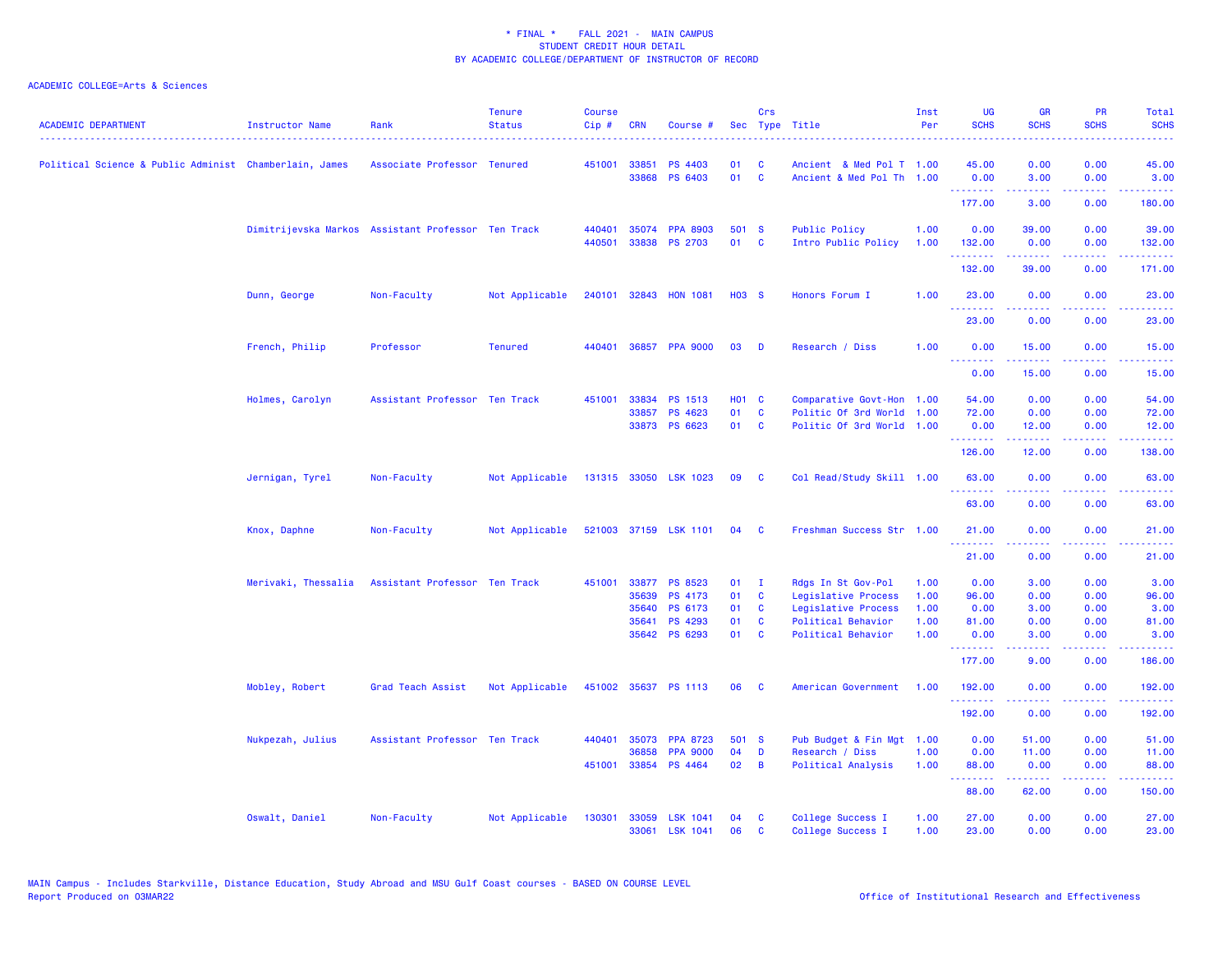| <b>ACADEMIC DEPARTMENT</b>                             | <b>Instructor Name</b> | Rank                                               | <b>Tenure</b><br><b>Status</b> | <b>Course</b><br>Cip# | <b>CRN</b>   | Course #                          |              | Crs                     | Sec Type Title                                    | Inst<br>Per  | <b>UG</b><br><b>SCHS</b> | <b>GR</b><br><b>SCHS</b>                                                                                                                                     | <b>PR</b><br><b>SCHS</b>                                                                                                  | Total<br><b>SCHS</b> |
|--------------------------------------------------------|------------------------|----------------------------------------------------|--------------------------------|-----------------------|--------------|-----------------------------------|--------------|-------------------------|---------------------------------------------------|--------------|--------------------------|--------------------------------------------------------------------------------------------------------------------------------------------------------------|---------------------------------------------------------------------------------------------------------------------------|----------------------|
| Political Science & Public Administ Chamberlain, James |                        | Associate Professor Tenured                        |                                | 451001 33851          |              | <b>PS 4403</b>                    | 01           | C                       | Ancient & Med Pol T 1.00                          |              | 45.00                    | 0.00                                                                                                                                                         | 0.00                                                                                                                      | 45.00                |
|                                                        |                        |                                                    |                                |                       | 33868        | PS 6403                           | 01           | <b>C</b>                | Ancient & Med Pol Th 1.00                         |              | 0.00<br>.                | 3.00<br>$\frac{1}{2} \left( \frac{1}{2} \right) \left( \frac{1}{2} \right) \left( \frac{1}{2} \right) \left( \frac{1}{2} \right) \left( \frac{1}{2} \right)$ | 0.00<br>.                                                                                                                 | 3.00<br>.            |
|                                                        |                        |                                                    |                                |                       |              |                                   |              |                         |                                                   |              | 177.00                   | 3.00                                                                                                                                                         | 0.00                                                                                                                      | 180.00               |
|                                                        |                        | Dimitrijevska Markos Assistant Professor Ten Track |                                | 440401                | 35074        | <b>PPA 8903</b>                   | 501 S        |                         | <b>Public Policy</b>                              | 1.00         | 0.00                     | 39.00                                                                                                                                                        | 0.00                                                                                                                      | 39.00                |
|                                                        |                        |                                                    |                                | 440501                | 33838        | <b>PS 2703</b>                    | 01           | <b>C</b>                | Intro Public Policy                               | 1.00         | 132.00<br>.              | 0.00<br>$\frac{1}{2} \left( \frac{1}{2} \right) \left( \frac{1}{2} \right) \left( \frac{1}{2} \right) \left( \frac{1}{2} \right) \left( \frac{1}{2} \right)$ | 0.00<br>$  -$                                                                                                             | 132.00<br>.          |
|                                                        |                        |                                                    |                                |                       |              |                                   |              |                         |                                                   |              | 132.00                   | 39.00                                                                                                                                                        | 0.00                                                                                                                      | 171.00               |
|                                                        | Dunn, George           | Non-Faculty                                        | Not Applicable                 |                       |              | 240101 32843 HON 1081             | <b>HO3 S</b> |                         | Honors Forum I                                    | 1.00         | 23.00<br>.               | 0.00                                                                                                                                                         | 0.00<br>$\sim$ $\sim$ $\sim$                                                                                              | 23.00                |
|                                                        |                        |                                                    |                                |                       |              |                                   |              |                         |                                                   |              | 23.00                    | 0.00                                                                                                                                                         | 0.00                                                                                                                      | .<br>23.00           |
|                                                        | French, Philip         | Professor                                          | <b>Tenured</b>                 | 440401                | 36857        | <b>PPA 9000</b>                   | 03           | D                       | Research / Diss                                   | 1.00         | 0.00<br>.                | 15.00                                                                                                                                                        | 0.00                                                                                                                      | 15.00                |
|                                                        |                        |                                                    |                                |                       |              |                                   |              |                         |                                                   |              | 0.00                     | 15.00                                                                                                                                                        | 0.00                                                                                                                      | 15.00                |
|                                                        | Holmes, Carolyn        | Assistant Professor Ten Track                      |                                | 451001                | 33834        | PS 1513                           | <b>HO1 C</b> |                         | Comparative Govt-Hon 1.00                         |              | 54.00                    | 0.00                                                                                                                                                         | 0.00                                                                                                                      | 54.00                |
|                                                        |                        |                                                    |                                |                       | 33857        | PS 4623<br>33873 PS 6623          | 01<br>01     | $\mathbf c$<br><b>C</b> | Politic Of 3rd World<br>Politic Of 3rd World 1.00 | 1.00         | 72.00<br>0.00            | 0.00<br>12.00                                                                                                                                                | 0.00<br>0.00                                                                                                              | 72.00<br>12.00       |
|                                                        |                        |                                                    |                                |                       |              |                                   |              |                         |                                                   |              | .                        | $\frac{1}{2} \left( \frac{1}{2} \right) \left( \frac{1}{2} \right) \left( \frac{1}{2} \right) \left( \frac{1}{2} \right) \left( \frac{1}{2} \right)$         | .                                                                                                                         | .                    |
|                                                        |                        |                                                    |                                |                       |              |                                   |              |                         |                                                   |              | 126.00                   | 12.00                                                                                                                                                        | 0.00                                                                                                                      | 138.00               |
|                                                        | Jernigan, Tyrel        | Non-Faculty                                        | Not Applicable                 |                       |              | 131315 33050 LSK 1023             | 09           | <b>C</b>                | Col Read/Study Skill 1.00                         |              | 63.00<br>.               | 0.00                                                                                                                                                         | 0.00                                                                                                                      | 63.00                |
|                                                        |                        |                                                    |                                |                       |              |                                   |              |                         |                                                   |              | 63.00                    | 0.00                                                                                                                                                         | 0.00                                                                                                                      | 63.00                |
|                                                        | Knox, Daphne           | Non-Faculty                                        | Not Applicable                 |                       |              | 521003 37159 LSK 1101             | 04           | <b>C</b>                | Freshman Success Str 1.00                         |              | 21.00<br>.               | 0.00<br>-----                                                                                                                                                | 0.00<br>.                                                                                                                 | 21.00<br>.           |
|                                                        |                        |                                                    |                                |                       |              |                                   |              |                         |                                                   |              | 21.00                    | 0.00                                                                                                                                                         | 0.00                                                                                                                      | 21.00                |
|                                                        | Merivaki, Thessalia    | Assistant Professor Ten Track                      |                                | 451001                | 33877        | PS 8523                           | 01           | $\blacksquare$          | Rdgs In St Gov-Pol                                | 1.00         | 0.00                     | 3.00                                                                                                                                                         | 0.00                                                                                                                      | 3.00                 |
|                                                        |                        |                                                    |                                |                       | 35639        | PS 4173                           | 01           | C                       | Legislative Process                               | 1.00         | 96.00                    | 0.00                                                                                                                                                         | 0.00                                                                                                                      | 96.00                |
|                                                        |                        |                                                    |                                |                       | 35640        | PS 6173                           | 01           | C                       | Legislative Process                               | 1.00         | 0.00                     | 3.00                                                                                                                                                         | 0.00                                                                                                                      | 3.00                 |
|                                                        |                        |                                                    |                                |                       | 35641        | PS 4293<br>35642 PS 6293          | 01<br>01     | <b>C</b><br><b>C</b>    | Political Behavior<br>Political Behavior          | 1.00<br>1.00 | 81.00<br>0.00            | 0.00<br>3.00                                                                                                                                                 | 0.00<br>0.00                                                                                                              | 81.00<br>3.00        |
|                                                        |                        |                                                    |                                |                       |              |                                   |              |                         |                                                   |              | .                        | .                                                                                                                                                            | $\frac{1}{2} \left( \frac{1}{2} \right) \left( \frac{1}{2} \right) \left( \frac{1}{2} \right) \left( \frac{1}{2} \right)$ | .                    |
|                                                        |                        |                                                    |                                |                       |              |                                   |              |                         |                                                   |              | 177.00                   | 9.00                                                                                                                                                         | 0.00                                                                                                                      | 186.00               |
|                                                        | Mobley, Robert         | Grad Teach Assist                                  | Not Applicable                 |                       |              | 451002 35637 PS 1113              | 06           | <b>C</b>                | American Government                               | 1.00         | 192.00<br>.              | 0.00<br><u>.</u>                                                                                                                                             | 0.00<br>.                                                                                                                 | 192.00<br><u>.</u>   |
|                                                        |                        |                                                    |                                |                       |              |                                   |              |                         |                                                   |              | 192.00                   | 0.00                                                                                                                                                         | 0.00                                                                                                                      | 192.00               |
|                                                        | Nukpezah, Julius       | Assistant Professor Ten Track                      |                                | 440401                | 35073        | <b>PPA 8723</b>                   | 501 S        |                         | Pub Budget & Fin Mgt                              | 1.00         | 0.00                     | 51.00                                                                                                                                                        | 0.00                                                                                                                      | 51.00                |
|                                                        |                        |                                                    |                                |                       | 36858        | <b>PPA 9000</b>                   | 04           | D                       | Research / Diss                                   | 1.00         | 0.00                     | 11.00                                                                                                                                                        | 0.00                                                                                                                      | 11.00                |
|                                                        |                        |                                                    |                                |                       | 451001 33854 | PS 4464                           | 02           | B                       | Political Analysis                                | 1.00         | 88.00<br>.               | 0.00<br>.                                                                                                                                                    | 0.00<br>.                                                                                                                 | 88.00<br>. <b>.</b>  |
|                                                        |                        |                                                    |                                |                       |              |                                   |              |                         |                                                   |              | 88.00                    | 62.00                                                                                                                                                        | 0.00                                                                                                                      | 150.00               |
|                                                        | Oswalt, Daniel         | Non-Faculty                                        | Not Applicable                 | 130301                | 33059        | <b>LSK 1041</b><br>33061 LSK 1041 | 04<br>06     | <b>C</b><br>C           | College Success I<br>College Success I            | 1.00<br>1.00 | 27.00<br>23.00           | 0.00<br>0.00                                                                                                                                                 | 0.00<br>0.00                                                                                                              | 27.00<br>23.00       |
|                                                        |                        |                                                    |                                |                       |              |                                   |              |                         |                                                   |              |                          |                                                                                                                                                              |                                                                                                                           |                      |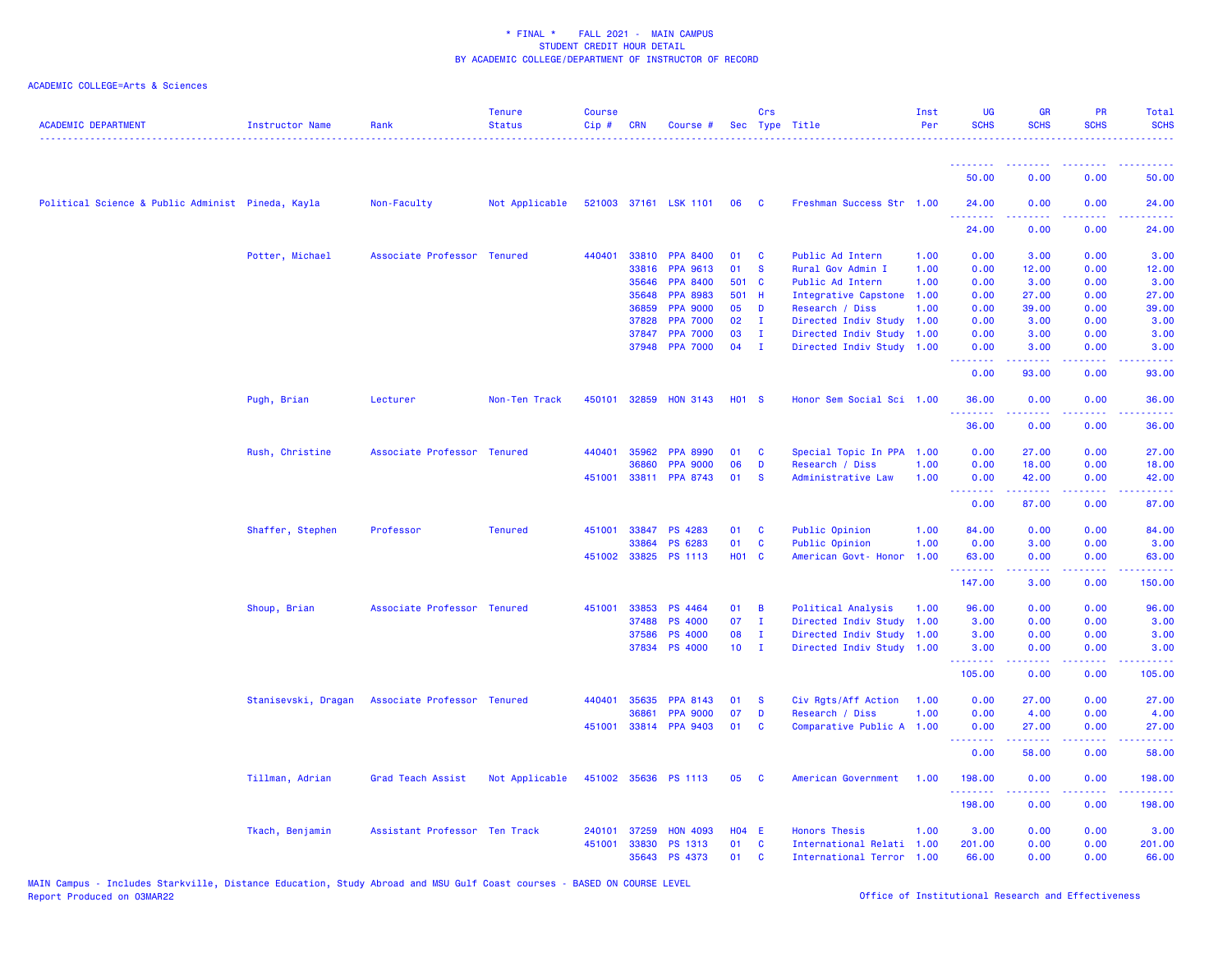| <b>ACADEMIC DEPARTMENT</b>                        | Instructor Name     | Rank                          | <b>Tenure</b><br><b>Status</b> | <b>Course</b><br>Cip# | <b>CRN</b> | Course #              |                 | Crs          | Sec Type Title            | Inst<br>Per | <b>UG</b><br><b>SCHS</b> | <b>GR</b><br><b>SCHS</b>                                                                                                                             | <b>PR</b><br><b>SCHS</b>                                                                                                          | <b>Total</b><br><b>SCHS</b> |
|---------------------------------------------------|---------------------|-------------------------------|--------------------------------|-----------------------|------------|-----------------------|-----------------|--------------|---------------------------|-------------|--------------------------|------------------------------------------------------------------------------------------------------------------------------------------------------|-----------------------------------------------------------------------------------------------------------------------------------|-----------------------------|
|                                                   |                     |                               |                                |                       |            |                       |                 |              |                           |             | <u>.</u>                 | $\frac{1}{2} \left( \frac{1}{2} \right) \left( \frac{1}{2} \right) \left( \frac{1}{2} \right) \left( \frac{1}{2} \right) \left( \frac{1}{2} \right)$ | $  -$                                                                                                                             | .                           |
|                                                   |                     |                               |                                |                       |            |                       |                 |              |                           |             | 50.00                    | 0.00                                                                                                                                                 | 0.00                                                                                                                              | 50.00                       |
| Political Science & Public Administ Pineda, Kayla |                     | Non-Faculty                   | Not Applicable                 |                       |            | 521003 37161 LSK 1101 | 06              | <b>C</b>     | Freshman Success Str 1.00 |             | 24,00                    | 0.00                                                                                                                                                 | 0.00                                                                                                                              | 24.00                       |
|                                                   |                     |                               |                                |                       |            |                       |                 |              |                           |             | 24.00                    | 0.00                                                                                                                                                 | 0.00                                                                                                                              | 24.00                       |
|                                                   | Potter, Michael     | Associate Professor Tenured   |                                | 440401                | 33810      | <b>PPA 8400</b>       | 01              | <b>C</b>     | Public Ad Intern          | 1.00        | 0.00                     | 3.00                                                                                                                                                 | 0.00                                                                                                                              | 3.00                        |
|                                                   |                     |                               |                                |                       | 33816      | <b>PPA 9613</b>       | 01              | <b>S</b>     | Rural Gov Admin I         | 1.00        | 0.00                     | 12.00                                                                                                                                                | 0.00                                                                                                                              | 12.00                       |
|                                                   |                     |                               |                                |                       | 35646      | <b>PPA 8400</b>       | 501 C           |              | Public Ad Intern          | 1.00        | 0.00                     | 3.00                                                                                                                                                 | 0.00                                                                                                                              | 3.00                        |
|                                                   |                     |                               |                                |                       | 35648      | <b>PPA 8983</b>       | 501 H           |              | Integrative Capstone      | 1.00        | 0.00                     | 27.00                                                                                                                                                | 0.00                                                                                                                              | 27.00                       |
|                                                   |                     |                               |                                |                       | 36859      | <b>PPA 9000</b>       | 05              | D            | Research / Diss           | 1.00        | 0.00                     | 39.00                                                                                                                                                | 0.00                                                                                                                              | 39.00                       |
|                                                   |                     |                               |                                |                       | 37828      | <b>PPA 7000</b>       | 02              | $\mathbf{I}$ | Directed Indiv Study      | 1.00        | 0.00                     | 3.00                                                                                                                                                 | 0.00                                                                                                                              | 3.00                        |
|                                                   |                     |                               |                                |                       | 37847      | <b>PPA 7000</b>       | 03              | Ι.           | Directed Indiv Study      | 1.00        | 0.00                     | 3.00                                                                                                                                                 | 0.00                                                                                                                              | 3.00                        |
|                                                   |                     |                               |                                |                       | 37948      | <b>PPA 7000</b>       | 04              | $\mathbf{I}$ | Directed Indiv Study      | 1.00        | 0.00<br><b></b>          | 3.00                                                                                                                                                 | 0.00<br>$\frac{1}{2} \left( \frac{1}{2} \right) \left( \frac{1}{2} \right) \left( \frac{1}{2} \right) \left( \frac{1}{2} \right)$ | 3.00<br><u>.</u>            |
|                                                   |                     |                               |                                |                       |            |                       |                 |              |                           |             | 0.00                     | 93.00                                                                                                                                                | 0.00                                                                                                                              | 93.00                       |
|                                                   | Pugh, Brian         | Lecturer                      | Non-Ten Track                  | 450101                |            | 32859 HON 3143        | <b>HO1 S</b>    |              | Honor Sem Social Sci 1.00 |             | 36.00<br>.               | 0.00                                                                                                                                                 | 0.00<br>$\frac{1}{2} \left( \frac{1}{2} \right) \left( \frac{1}{2} \right) \left( \frac{1}{2} \right) \left( \frac{1}{2} \right)$ | 36.00<br>.                  |
|                                                   |                     |                               |                                |                       |            |                       |                 |              |                           |             | 36.00                    | 0.00                                                                                                                                                 | 0.00                                                                                                                              | 36.00                       |
|                                                   | Rush, Christine     | Associate Professor Tenured   |                                | 440401                | 35962      | <b>PPA 8990</b>       | 01              | C            | Special Topic In PPA 1.00 |             | 0.00                     | 27.00                                                                                                                                                | 0.00                                                                                                                              | 27.00                       |
|                                                   |                     |                               |                                |                       | 36860      | <b>PPA 9000</b>       | 06              | D            | Research / Diss           | 1.00        | 0.00                     | 18.00                                                                                                                                                | 0.00                                                                                                                              | 18.00                       |
|                                                   |                     |                               |                                | 451001                |            | 33811 PPA 8743        | 01              | <b>S</b>     | Administrative Law        | 1.00        | 0.00<br>.                | 42.00<br>.                                                                                                                                           | 0.00<br>.                                                                                                                         | 42.00<br>.                  |
|                                                   |                     |                               |                                |                       |            |                       |                 |              |                           |             | 0.00                     | 87.00                                                                                                                                                | 0.00                                                                                                                              | 87.00                       |
|                                                   | Shaffer, Stephen    | Professor                     | <b>Tenured</b>                 | 451001                | 33847      | <b>PS 4283</b>        | 01              | C            | Public Opinion            | 1.00        | 84.00                    | 0.00                                                                                                                                                 | 0.00                                                                                                                              | 84.00                       |
|                                                   |                     |                               |                                |                       | 33864      | PS 6283               | 01              | $\mathbf{C}$ | Public Opinion            | 1.00        | 0.00                     | 3.00                                                                                                                                                 | 0.00                                                                                                                              | 3.00                        |
|                                                   |                     |                               |                                |                       |            | 451002 33825 PS 1113  | <b>HO1 C</b>    |              | American Govt- Honor      | 1.00        | 63.00<br>.               | 0.00<br>22222                                                                                                                                        | 0.00<br>.                                                                                                                         | 63.00<br>.                  |
|                                                   |                     |                               |                                |                       |            |                       |                 |              |                           |             | 147.00                   | 3.00                                                                                                                                                 | 0.00                                                                                                                              | 150.00                      |
|                                                   | Shoup, Brian        | Associate Professor Tenured   |                                | 451001                | 33853      | PS 4464               | 01              | B            | Political Analysis        | 1.00        | 96.00                    | 0.00                                                                                                                                                 | 0.00                                                                                                                              | 96.00                       |
|                                                   |                     |                               |                                |                       | 37488      | <b>PS 4000</b>        | 07              | $\mathbf{I}$ | Directed Indiv Study      | 1.00        | 3.00                     | 0.00                                                                                                                                                 | 0.00                                                                                                                              | 3.00                        |
|                                                   |                     |                               |                                |                       | 37586      | <b>PS 4000</b>        | 08              | $\mathbf I$  | Directed Indiv Study      | 1.00        | 3.00                     | 0.00                                                                                                                                                 | 0.00                                                                                                                              | 3.00                        |
|                                                   |                     |                               |                                |                       | 37834      | <b>PS 4000</b>        | 10 <sub>1</sub> | $\mathbf{I}$ | Directed Indiv Study      | 1.00        | 3.00<br>.                | 0.00<br>.                                                                                                                                            | 0.00<br>د د د د                                                                                                                   | 3.00<br>.                   |
|                                                   |                     |                               |                                |                       |            |                       |                 |              |                           |             | 105.00                   | 0.00                                                                                                                                                 | 0.00                                                                                                                              | 105.00                      |
|                                                   | Stanisevski, Dragan | Associate Professor Tenured   |                                | 440401                | 35635      | <b>PPA 8143</b>       | 01              | <b>S</b>     | Civ Rgts/Aff Action       | 1.00        | 0.00                     | 27.00                                                                                                                                                | 0.00                                                                                                                              | 27.00                       |
|                                                   |                     |                               |                                |                       | 36861      | <b>PPA 9000</b>       | 07              | D            | Research / Diss           | 1.00        | 0.00                     | 4.00                                                                                                                                                 | 0.00                                                                                                                              | 4.00                        |
|                                                   |                     |                               |                                | 451001                |            | 33814 PPA 9403        | 01              | C            | Comparative Public A 1.00 |             | 0.00<br><u>.</u>         | 27.00<br>بالمستبدية                                                                                                                                  | 0.00<br>ولايت                                                                                                                     | 27.00<br>المستبدين          |
|                                                   |                     |                               |                                |                       |            |                       |                 |              |                           |             | 0.00                     | 58.00                                                                                                                                                | 0.00                                                                                                                              | 58.00                       |
|                                                   | Tillman, Adrian     | Grad Teach Assist             | Not Applicable                 |                       |            | 451002 35636 PS 1113  | 05              | <b>C</b>     | American Government       | 1.00        | 198.00<br><u>.</u>       | 0.00<br>22222                                                                                                                                        | 0.00<br>.                                                                                                                         | 198.00<br>.                 |
|                                                   |                     |                               |                                |                       |            |                       |                 |              |                           |             | 198.00                   | 0.00                                                                                                                                                 | 0.00                                                                                                                              | 198.00                      |
|                                                   | Tkach, Benjamin     | Assistant Professor Ten Track |                                | 240101                | 37259      | <b>HON 4093</b>       | <b>HO4 E</b>    |              | <b>Honors Thesis</b>      | 1.00        | 3.00                     | 0.00                                                                                                                                                 | 0.00                                                                                                                              | 3.00                        |
|                                                   |                     |                               |                                | 451001                | 33830      | PS 1313               | 01              | <b>C</b>     | International Relati 1.00 |             | 201.00                   | 0.00                                                                                                                                                 | 0.00                                                                                                                              | 201.00                      |
|                                                   |                     |                               |                                |                       |            | 35643 PS 4373         | 01              | <b>C</b>     | International Terror 1.00 |             | 66.00                    | 0.00                                                                                                                                                 | 0.00                                                                                                                              | 66.00                       |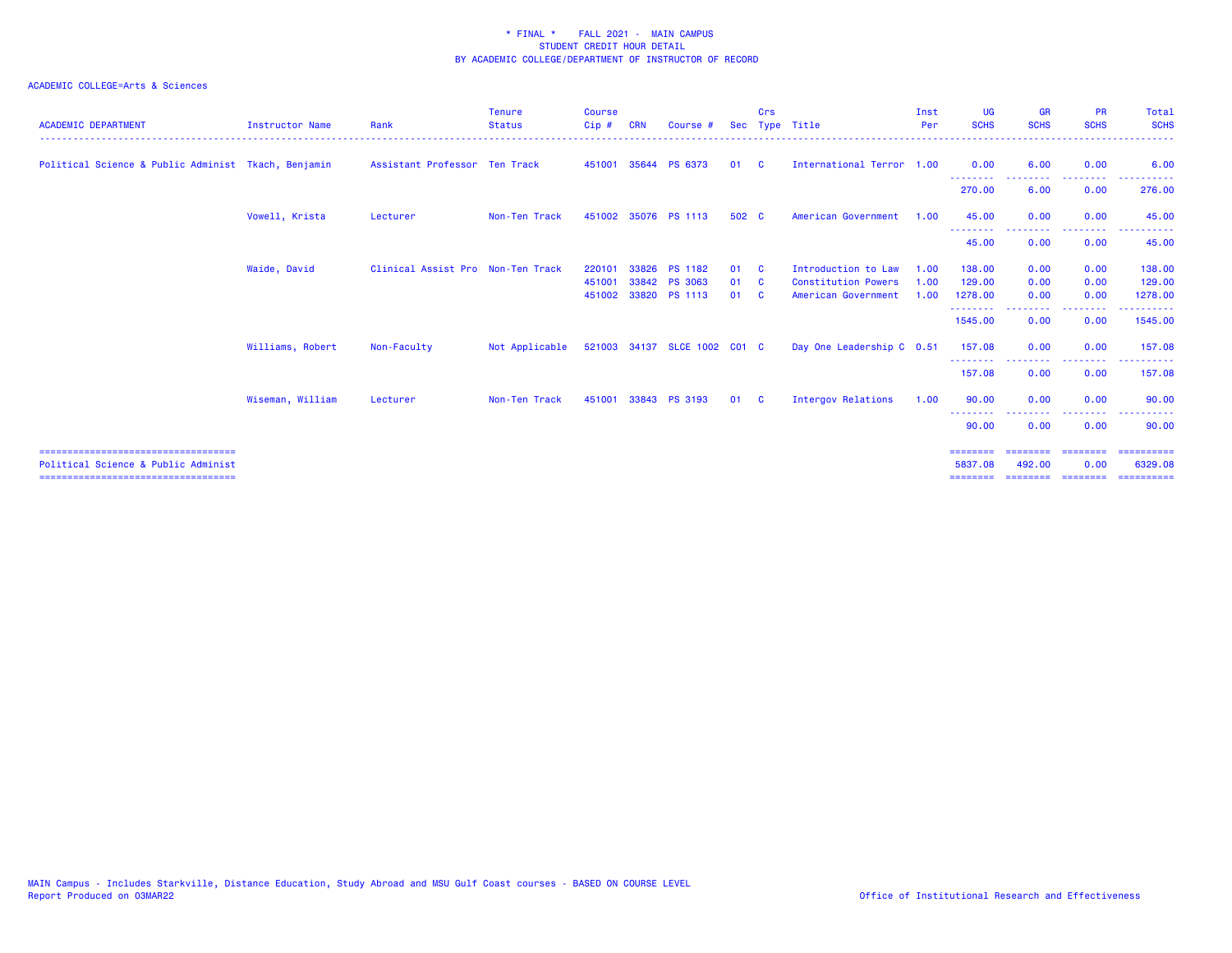| <b>ACADEMIC DEPARTMENT</b>                          | <b>Instructor Name</b> | Rank                              | <b>Tenure</b><br><b>Status</b> | <b>Course</b><br>Cip# | <b>CRN</b> | Course $#$                   | <b>Sec</b> | Crs      | Type Title                 | Inst<br>Per | <b>UG</b><br><b>SCHS</b> | <b>GR</b><br><b>SCHS</b>                                                                                                                                     | <b>PR</b><br><b>SCHS</b> | Total<br><b>SCHS</b>     |
|-----------------------------------------------------|------------------------|-----------------------------------|--------------------------------|-----------------------|------------|------------------------------|------------|----------|----------------------------|-------------|--------------------------|--------------------------------------------------------------------------------------------------------------------------------------------------------------|--------------------------|--------------------------|
| Political Science & Public Administ Tkach, Benjamin |                        | Assistant Professor Ten Track     |                                | 451001                |            | 35644 PS 6373                | 01         | <b>C</b> | International Terror 1.00  |             | 0.00<br>.                | 6.00                                                                                                                                                         | 0.00<br>----             | 6.00                     |
|                                                     |                        |                                   |                                |                       |            |                              |            |          |                            |             | 270.00                   | 6.00                                                                                                                                                         | 0.00                     | 276.00                   |
|                                                     | Vowell, Krista         | Lecturer                          | Non-Ten Track                  |                       |            | 451002 35076 PS 1113         | 502 C      |          | American Government        | 1.00        | 45.00                    | 0.00                                                                                                                                                         | 0.00<br>$- - -$          | 45.00                    |
|                                                     |                        |                                   |                                |                       |            |                              |            |          |                            |             | 45.00                    | 0.00                                                                                                                                                         | 0.00                     | 45.00                    |
|                                                     | Waide, David           | Clinical Assist Pro Non-Ten Track |                                | 220101                | 33826      | <b>PS 1182</b>               | 01         | - C      | Introduction to Law        | 1.00        | 138,00                   | 0.00                                                                                                                                                         | 0.00                     | 138.00                   |
|                                                     |                        |                                   |                                | 451001                |            | 33842 PS 3063                | 01         | <b>C</b> | <b>Constitution Powers</b> | 1.00        | 129,00                   | 0.00                                                                                                                                                         | 0.00                     | 129.00                   |
|                                                     |                        |                                   |                                |                       |            | 451002 33820 PS 1113         | 01         | <b>C</b> | American Government        | 1.00        | 1278.00<br>---------     | 0.00<br>$\frac{1}{2} \left( \frac{1}{2} \right) \left( \frac{1}{2} \right) \left( \frac{1}{2} \right) \left( \frac{1}{2} \right) \left( \frac{1}{2} \right)$ | 0.00<br>-------          | 1278.00<br>- - - - - - - |
|                                                     |                        |                                   |                                |                       |            |                              |            |          |                            |             | 1545.00                  | 0.00                                                                                                                                                         | 0.00                     | 1545.00                  |
|                                                     | Williams, Robert       | Non-Faculty                       | Not Applicable                 |                       |            | 521003 34137 SLCE 1002 C01 C |            |          | Day One Leadership C 0.51  |             | 157.08                   | 0.00<br>$- - - - -$                                                                                                                                          | 0.00                     | 157.08                   |
|                                                     |                        |                                   |                                |                       |            |                              |            |          |                            |             | <u>.</u><br>157.08       | 0.00                                                                                                                                                         | . <u>.</u> .<br>0.00     | - - - - - - -<br>157.08  |
|                                                     | Wiseman, William       | Lecturer                          | Non-Ten Track                  | 451001                |            | 33843 PS 3193                | 01         | <b>C</b> | Intergov Relations         | 1.00        | 90.00                    | 0.00                                                                                                                                                         | 0.00<br>--------         | 90.00<br>----------      |
|                                                     |                        |                                   |                                |                       |            |                              |            |          |                            |             | 90.00                    | 0.00                                                                                                                                                         | 0.00                     | 90.00                    |
| ====================================                |                        |                                   |                                |                       |            |                              |            |          |                            |             | ========                 |                                                                                                                                                              | ========                 | -----------              |
| Political Science & Public Administ                 |                        |                                   |                                |                       |            |                              |            |          |                            |             | 5837.08                  | 492.00                                                                                                                                                       | 0.00                     | 6329.08                  |
| ======================================              |                        |                                   |                                |                       |            |                              |            |          |                            |             | ========                 | ========= ========                                                                                                                                           |                          | ==========               |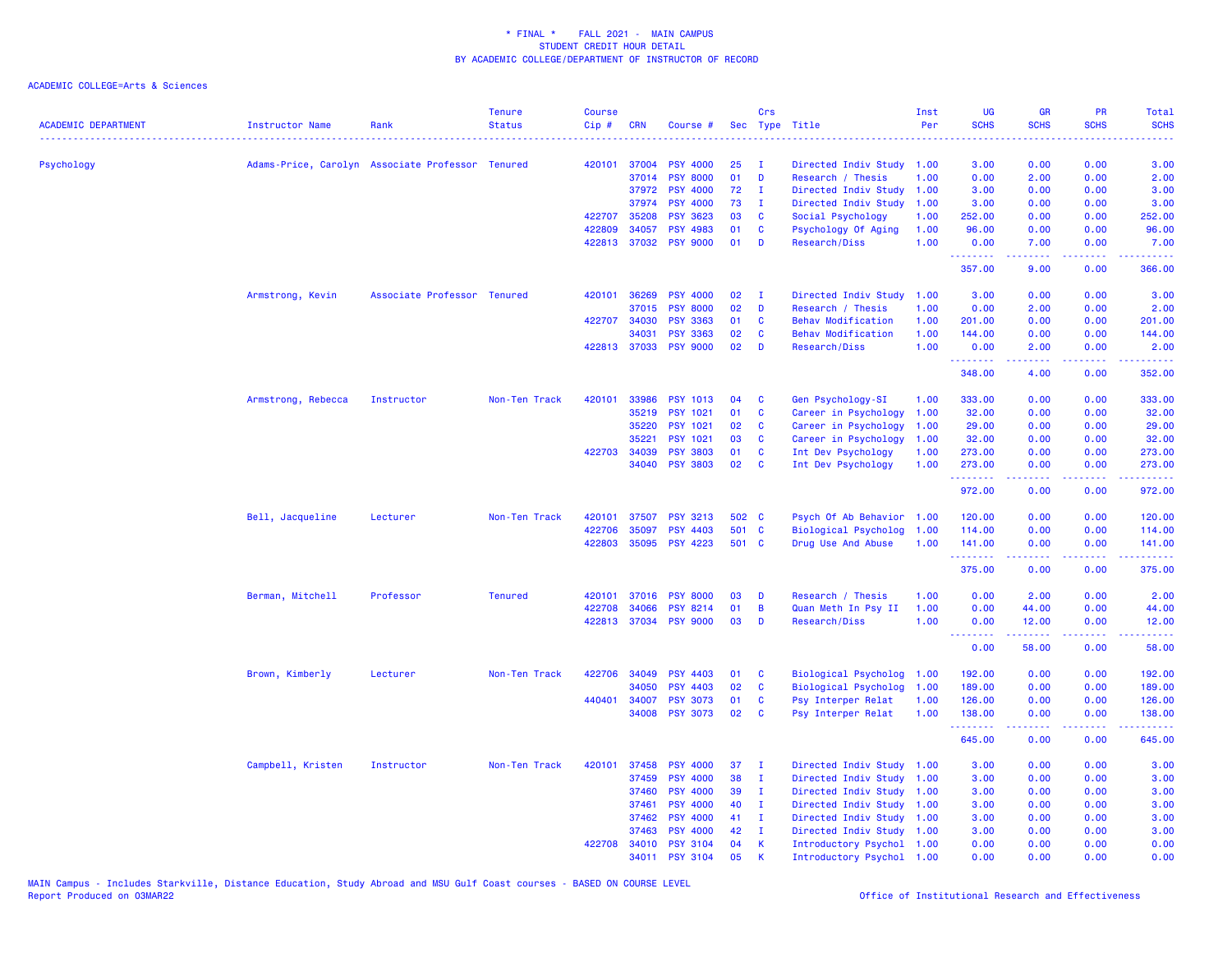| 420101<br>37004<br><b>PSY 4000</b><br>25<br>3.00<br>0.00<br>0.00<br>3.00<br>Psychology<br>Adams-Price, Carolyn Associate Professor Tenured<br>Directed Indiv Study<br>1.00<br>- т<br>37014<br><b>PSY 8000</b><br>01<br>D<br>0.00<br>2.00<br>0.00<br>2.00<br>Research / Thesis<br>1.00<br><b>PSY 4000</b><br>72<br>0.00<br>37972<br>Directed Indiv Study<br>1.00<br>3.00<br>0.00<br>3.00<br>$\mathbf{I}$<br>73<br>37974<br><b>PSY 4000</b><br>Directed Indiv Study<br>1.00<br>3.00<br>0.00<br>0.00<br>3.00<br>I.<br>422707<br>35208<br><b>PSY 3623</b><br>03<br><b>C</b><br>Social Psychology<br>1.00<br>252.00<br>0.00<br>0.00<br>252.00<br>422809<br>34057<br><b>PSY 4983</b><br>01<br><b>C</b><br>Psychology Of Aging<br>1.00<br>96.00<br>0.00<br>0.00<br>96.00<br>422813<br>37032<br><b>PSY 9000</b><br>01<br>D<br>Research/Diss<br>1.00<br>0.00<br>7.00<br>7.00<br>0.00<br>.<br>22222<br>.<br>.<br>357.00<br>0.00<br>366.00<br>9.00<br>36269<br>02<br>Armstrong, Kevin<br>Associate Professor Tenured<br>420101<br><b>PSY 4000</b><br>$\mathbf{I}$<br>Directed Indiv Study<br>1.00<br>3.00<br>0.00<br>0.00<br>3.00<br>37015<br><b>PSY 8000</b><br>02<br>D<br>1.00<br>0.00<br>0.00<br>2.00<br>Research / Thesis<br>2.00<br><b>PSY 3363</b><br>422707<br>34030<br>01<br><b>C</b><br><b>Behav Modification</b><br>1.00<br>201.00<br>0.00<br>0.00<br>201.00<br>02<br><b>Behav Modification</b><br>34031<br><b>PSY 3363</b><br>$\mathbf{C}$<br>1.00<br>144.00<br>0.00<br>0.00<br>144.00<br><b>PSY 9000</b><br>02<br>422813 37033<br>D<br>Research/Diss<br>1.00<br>0.00<br>2.00<br>0.00<br>2.00<br>.<br>$\frac{1}{2} \left( \frac{1}{2} \right) \left( \frac{1}{2} \right) \left( \frac{1}{2} \right) \left( \frac{1}{2} \right)$<br><u>.</u><br>348.00<br>4.00<br>0.00<br>352.00<br>Armstrong, Rebecca<br>Instructor<br>Non-Ten Track<br>420101<br>33986<br><b>PSY 1013</b><br>04<br>C<br>Gen Psychology-SI<br>1.00<br>333.00<br>0.00<br>0.00<br>333.00<br>35219<br><b>PSY 1021</b><br>01<br>$\mathbf{C}$<br>Career in Psychology<br>1.00<br>32.00<br>0.00<br>0.00<br>32.00<br>35220<br><b>PSY 1021</b><br>02<br>29.00<br>C<br>Career in Psychology<br>1.00<br>29.00<br>0.00<br>0.00<br>03<br>32.00<br>35221<br><b>PSY 1021</b><br><b>C</b><br>Career in Psychology<br>1.00<br>32.00<br>0.00<br>0.00<br>422703<br><b>PSY 3803</b><br>01<br>$\mathbf{C}$<br>Int Dev Psychology<br>273.00<br>34039<br>1.00<br>273.00<br>0.00<br>0.00<br>34040<br><b>PSY 3803</b><br>02<br><b>C</b><br>Int Dev Psychology<br>273.00<br>1.00<br>0.00<br>0.00<br>273.00<br>.<br>.<br>.<br>د د د د<br>972.00<br>0.00<br>0.00<br>972.00<br>Bell, Jacqueline<br>420101<br>37507<br><b>PSY 3213</b><br>502 C<br>Psych Of Ab Behavior<br>0.00<br>0.00<br>Lecturer<br>Non-Ten Track<br>1.00<br>120.00<br>120.00<br><b>PSY 4403</b><br>501 C<br><b>Biological Psycholog</b><br>0.00<br>422706<br>35097<br>1.00<br>114.00<br>0.00<br>114.00<br>422803<br>35095 PSY 4223<br>501 C<br>Drug Use And Abuse<br>1.00<br>141.00<br>0.00<br>0.00<br>141.00<br>.<br>$\frac{1}{2} \left( \frac{1}{2} \right) \left( \frac{1}{2} \right) \left( \frac{1}{2} \right) \left( \frac{1}{2} \right) \left( \frac{1}{2} \right)$<br>والمستناء<br>375.00<br>0.00<br>0.00<br>375.00<br>0.00<br>Berman, Mitchell<br>Professor<br><b>Tenured</b><br>420101<br>37016<br><b>PSY 8000</b><br>03<br>Research / Thesis<br>1.00<br>0.00<br>2.00<br>2.00<br>D<br>34066<br>422708<br><b>PSY 8214</b><br>01<br>B<br>Quan Meth In Psy II<br>1.00<br>0.00<br>0.00<br>44.00<br>44.00<br>422813<br>37034<br><b>PSY 9000</b><br>03<br>D<br>1.00<br>12.00<br>Research/Diss<br>0.00<br>12.00<br>0.00<br><u>.</u><br>.<br>.<br>د د د د د<br>0.00<br>58.00<br>0.00<br>58.00<br>422706<br>34049<br><b>PSY 4403</b><br><b>Biological Psycholog</b><br>0.00<br>192.00<br>Brown, Kimberly<br>Lecturer<br>Non-Ten Track<br>01<br><b>C</b><br>192.00<br>0.00<br>1.00<br>02<br>34050<br><b>PSY 4403</b><br>$\mathbf{C}$<br>Biological Psycholog<br>1.00<br>189.00<br>0.00<br>0.00<br>189.00<br>440401<br><b>PSY 3073</b><br>01<br>0.00<br>126.00<br>34007<br><b>C</b><br>Psy Interper Relat<br>1.00<br>126.00<br>0.00<br>02<br>34008<br><b>PSY 3073</b><br><b>C</b><br>Psy Interper Relat<br>1.00<br>138.00<br>0.00<br>0.00<br>138.00<br>2.2.2.2.2.2<br>.<br>.<br>.<br>645.00<br>0.00<br>0.00<br>645.00<br>420101<br>37458<br><b>PSY 4000</b><br>37<br>Directed Indiv Study 1.00<br>0.00<br>0.00<br>3.00<br>Campbell, Kristen<br>Instructor<br>Non-Ten Track<br>3.00<br>- I<br>38<br>37459<br><b>PSY 4000</b><br>I.<br>Directed Indiv Study<br>3.00<br>0.00<br>3.00<br>1.00<br>0.00<br>39<br>37460<br><b>PSY 4000</b><br>Directed Indiv Study<br>1.00<br>3.00<br>0.00<br>0.00<br>3.00<br>л.<br>37461<br><b>PSY 4000</b><br>40<br>$\mathbf{I}$<br>Directed Indiv Study<br>3.00<br>0.00<br>3.00<br>1.00<br>0.00<br>37462<br><b>PSY 4000</b><br>41<br>3.00<br>л.<br>Directed Indiv Study<br>1.00<br>3.00<br>0.00<br>0.00<br><b>PSY 4000</b><br>42<br>Directed Indiv Study<br>3.00<br>37463<br>I.<br>0.00<br>0.00<br>3.00<br>1.00<br>04<br>$\mathbf{K}$<br>0.00<br>0.00<br>422708<br>34010<br><b>PSY 3104</b><br>Introductory Psychol 1.00<br>0.00<br>0.00<br>34011<br>05<br>K<br>0.00<br>0.00<br><b>PSY</b><br>3104<br>Introductory Psychol 1.00<br>0.00<br>0.00 | <b>ACADEMIC DEPARTMENT</b> | <b>Instructor Name</b> | Rank | <b>Tenure</b><br><b>Status</b> | <b>Course</b><br>Cip# | <b>CRN</b> | Course # | Crs | Sec Type Title | Inst<br>Per | <b>UG</b><br><b>SCHS</b> | <b>GR</b><br><b>SCHS</b> | PR<br><b>SCHS</b> | Total<br><b>SCHS</b><br>22222 |
|-----------------------------------------------------------------------------------------------------------------------------------------------------------------------------------------------------------------------------------------------------------------------------------------------------------------------------------------------------------------------------------------------------------------------------------------------------------------------------------------------------------------------------------------------------------------------------------------------------------------------------------------------------------------------------------------------------------------------------------------------------------------------------------------------------------------------------------------------------------------------------------------------------------------------------------------------------------------------------------------------------------------------------------------------------------------------------------------------------------------------------------------------------------------------------------------------------------------------------------------------------------------------------------------------------------------------------------------------------------------------------------------------------------------------------------------------------------------------------------------------------------------------------------------------------------------------------------------------------------------------------------------------------------------------------------------------------------------------------------------------------------------------------------------------------------------------------------------------------------------------------------------------------------------------------------------------------------------------------------------------------------------------------------------------------------------------------------------------------------------------------------------------------------------------------------------------------------------------------------------------------------------------------------------------------------------------------------------------------------------------------------------------------------------------------------------------------------------------------------------------------------------------------------------------------------------------------------------------------------------------------------------------------------------------------------------------------------------------------------------------------------------------------------------------------------------------------------------------------------------------------------------------------------------------------------------------------------------------------------------------------------------------------------------------------------------------------------------------------------------------------------------------------------------------------------------------------------------------------------------------------------------------------------------------------------------------------------------------------------------------------------------------------------------------------------------------------------------------------------------------------------------------------------------------------------------------------------------------------------------------------------------------------------------------------------------------------------------------------------------------------------------------------------------------------------------------------------------------------------------------------------------------------------------------------------------------------------------------------------------------------------------------------------------------------------------------------------------------------------------------------------------------------------------------------------------------------------------------------------------------------------------------------------------------------------------------------------------------------------------------------------------------------------------------------------------------------------------------------------------------------------------------------------------------------------------------------------------------------------------------------------------------------------------------------------------------------------------------------------------------------------------------------------------------------------------------------------------------------------------------------------------------------------------------------------------------------------------------------------------------------------------------------------------------------------------------------------------------------------------------------------------------------------------------------------------------------------------------------------------------------------------------------------|----------------------------|------------------------|------|--------------------------------|-----------------------|------------|----------|-----|----------------|-------------|--------------------------|--------------------------|-------------------|-------------------------------|
|                                                                                                                                                                                                                                                                                                                                                                                                                                                                                                                                                                                                                                                                                                                                                                                                                                                                                                                                                                                                                                                                                                                                                                                                                                                                                                                                                                                                                                                                                                                                                                                                                                                                                                                                                                                                                                                                                                                                                                                                                                                                                                                                                                                                                                                                                                                                                                                                                                                                                                                                                                                                                                                                                                                                                                                                                                                                                                                                                                                                                                                                                                                                                                                                                                                                                                                                                                                                                                                                                                                                                                                                                                                                                                                                                                                                                                                                                                                                                                                                                                                                                                                                                                                                                                                                                                                                                                                                                                                                                                                                                                                                                                                                                                                                                                                                                                                                                                                                                                                                                                                                                                                                                                                                                                                                                   |                            |                        |      |                                |                       |            |          |     |                |             |                          |                          |                   |                               |
|                                                                                                                                                                                                                                                                                                                                                                                                                                                                                                                                                                                                                                                                                                                                                                                                                                                                                                                                                                                                                                                                                                                                                                                                                                                                                                                                                                                                                                                                                                                                                                                                                                                                                                                                                                                                                                                                                                                                                                                                                                                                                                                                                                                                                                                                                                                                                                                                                                                                                                                                                                                                                                                                                                                                                                                                                                                                                                                                                                                                                                                                                                                                                                                                                                                                                                                                                                                                                                                                                                                                                                                                                                                                                                                                                                                                                                                                                                                                                                                                                                                                                                                                                                                                                                                                                                                                                                                                                                                                                                                                                                                                                                                                                                                                                                                                                                                                                                                                                                                                                                                                                                                                                                                                                                                                                   |                            |                        |      |                                |                       |            |          |     |                |             |                          |                          |                   |                               |
|                                                                                                                                                                                                                                                                                                                                                                                                                                                                                                                                                                                                                                                                                                                                                                                                                                                                                                                                                                                                                                                                                                                                                                                                                                                                                                                                                                                                                                                                                                                                                                                                                                                                                                                                                                                                                                                                                                                                                                                                                                                                                                                                                                                                                                                                                                                                                                                                                                                                                                                                                                                                                                                                                                                                                                                                                                                                                                                                                                                                                                                                                                                                                                                                                                                                                                                                                                                                                                                                                                                                                                                                                                                                                                                                                                                                                                                                                                                                                                                                                                                                                                                                                                                                                                                                                                                                                                                                                                                                                                                                                                                                                                                                                                                                                                                                                                                                                                                                                                                                                                                                                                                                                                                                                                                                                   |                            |                        |      |                                |                       |            |          |     |                |             |                          |                          |                   |                               |
|                                                                                                                                                                                                                                                                                                                                                                                                                                                                                                                                                                                                                                                                                                                                                                                                                                                                                                                                                                                                                                                                                                                                                                                                                                                                                                                                                                                                                                                                                                                                                                                                                                                                                                                                                                                                                                                                                                                                                                                                                                                                                                                                                                                                                                                                                                                                                                                                                                                                                                                                                                                                                                                                                                                                                                                                                                                                                                                                                                                                                                                                                                                                                                                                                                                                                                                                                                                                                                                                                                                                                                                                                                                                                                                                                                                                                                                                                                                                                                                                                                                                                                                                                                                                                                                                                                                                                                                                                                                                                                                                                                                                                                                                                                                                                                                                                                                                                                                                                                                                                                                                                                                                                                                                                                                                                   |                            |                        |      |                                |                       |            |          |     |                |             |                          |                          |                   |                               |
|                                                                                                                                                                                                                                                                                                                                                                                                                                                                                                                                                                                                                                                                                                                                                                                                                                                                                                                                                                                                                                                                                                                                                                                                                                                                                                                                                                                                                                                                                                                                                                                                                                                                                                                                                                                                                                                                                                                                                                                                                                                                                                                                                                                                                                                                                                                                                                                                                                                                                                                                                                                                                                                                                                                                                                                                                                                                                                                                                                                                                                                                                                                                                                                                                                                                                                                                                                                                                                                                                                                                                                                                                                                                                                                                                                                                                                                                                                                                                                                                                                                                                                                                                                                                                                                                                                                                                                                                                                                                                                                                                                                                                                                                                                                                                                                                                                                                                                                                                                                                                                                                                                                                                                                                                                                                                   |                            |                        |      |                                |                       |            |          |     |                |             |                          |                          |                   |                               |
|                                                                                                                                                                                                                                                                                                                                                                                                                                                                                                                                                                                                                                                                                                                                                                                                                                                                                                                                                                                                                                                                                                                                                                                                                                                                                                                                                                                                                                                                                                                                                                                                                                                                                                                                                                                                                                                                                                                                                                                                                                                                                                                                                                                                                                                                                                                                                                                                                                                                                                                                                                                                                                                                                                                                                                                                                                                                                                                                                                                                                                                                                                                                                                                                                                                                                                                                                                                                                                                                                                                                                                                                                                                                                                                                                                                                                                                                                                                                                                                                                                                                                                                                                                                                                                                                                                                                                                                                                                                                                                                                                                                                                                                                                                                                                                                                                                                                                                                                                                                                                                                                                                                                                                                                                                                                                   |                            |                        |      |                                |                       |            |          |     |                |             |                          |                          |                   |                               |
|                                                                                                                                                                                                                                                                                                                                                                                                                                                                                                                                                                                                                                                                                                                                                                                                                                                                                                                                                                                                                                                                                                                                                                                                                                                                                                                                                                                                                                                                                                                                                                                                                                                                                                                                                                                                                                                                                                                                                                                                                                                                                                                                                                                                                                                                                                                                                                                                                                                                                                                                                                                                                                                                                                                                                                                                                                                                                                                                                                                                                                                                                                                                                                                                                                                                                                                                                                                                                                                                                                                                                                                                                                                                                                                                                                                                                                                                                                                                                                                                                                                                                                                                                                                                                                                                                                                                                                                                                                                                                                                                                                                                                                                                                                                                                                                                                                                                                                                                                                                                                                                                                                                                                                                                                                                                                   |                            |                        |      |                                |                       |            |          |     |                |             |                          |                          |                   |                               |
|                                                                                                                                                                                                                                                                                                                                                                                                                                                                                                                                                                                                                                                                                                                                                                                                                                                                                                                                                                                                                                                                                                                                                                                                                                                                                                                                                                                                                                                                                                                                                                                                                                                                                                                                                                                                                                                                                                                                                                                                                                                                                                                                                                                                                                                                                                                                                                                                                                                                                                                                                                                                                                                                                                                                                                                                                                                                                                                                                                                                                                                                                                                                                                                                                                                                                                                                                                                                                                                                                                                                                                                                                                                                                                                                                                                                                                                                                                                                                                                                                                                                                                                                                                                                                                                                                                                                                                                                                                                                                                                                                                                                                                                                                                                                                                                                                                                                                                                                                                                                                                                                                                                                                                                                                                                                                   |                            |                        |      |                                |                       |            |          |     |                |             |                          |                          |                   |                               |
|                                                                                                                                                                                                                                                                                                                                                                                                                                                                                                                                                                                                                                                                                                                                                                                                                                                                                                                                                                                                                                                                                                                                                                                                                                                                                                                                                                                                                                                                                                                                                                                                                                                                                                                                                                                                                                                                                                                                                                                                                                                                                                                                                                                                                                                                                                                                                                                                                                                                                                                                                                                                                                                                                                                                                                                                                                                                                                                                                                                                                                                                                                                                                                                                                                                                                                                                                                                                                                                                                                                                                                                                                                                                                                                                                                                                                                                                                                                                                                                                                                                                                                                                                                                                                                                                                                                                                                                                                                                                                                                                                                                                                                                                                                                                                                                                                                                                                                                                                                                                                                                                                                                                                                                                                                                                                   |                            |                        |      |                                |                       |            |          |     |                |             |                          |                          |                   |                               |
|                                                                                                                                                                                                                                                                                                                                                                                                                                                                                                                                                                                                                                                                                                                                                                                                                                                                                                                                                                                                                                                                                                                                                                                                                                                                                                                                                                                                                                                                                                                                                                                                                                                                                                                                                                                                                                                                                                                                                                                                                                                                                                                                                                                                                                                                                                                                                                                                                                                                                                                                                                                                                                                                                                                                                                                                                                                                                                                                                                                                                                                                                                                                                                                                                                                                                                                                                                                                                                                                                                                                                                                                                                                                                                                                                                                                                                                                                                                                                                                                                                                                                                                                                                                                                                                                                                                                                                                                                                                                                                                                                                                                                                                                                                                                                                                                                                                                                                                                                                                                                                                                                                                                                                                                                                                                                   |                            |                        |      |                                |                       |            |          |     |                |             |                          |                          |                   |                               |
|                                                                                                                                                                                                                                                                                                                                                                                                                                                                                                                                                                                                                                                                                                                                                                                                                                                                                                                                                                                                                                                                                                                                                                                                                                                                                                                                                                                                                                                                                                                                                                                                                                                                                                                                                                                                                                                                                                                                                                                                                                                                                                                                                                                                                                                                                                                                                                                                                                                                                                                                                                                                                                                                                                                                                                                                                                                                                                                                                                                                                                                                                                                                                                                                                                                                                                                                                                                                                                                                                                                                                                                                                                                                                                                                                                                                                                                                                                                                                                                                                                                                                                                                                                                                                                                                                                                                                                                                                                                                                                                                                                                                                                                                                                                                                                                                                                                                                                                                                                                                                                                                                                                                                                                                                                                                                   |                            |                        |      |                                |                       |            |          |     |                |             |                          |                          |                   |                               |
|                                                                                                                                                                                                                                                                                                                                                                                                                                                                                                                                                                                                                                                                                                                                                                                                                                                                                                                                                                                                                                                                                                                                                                                                                                                                                                                                                                                                                                                                                                                                                                                                                                                                                                                                                                                                                                                                                                                                                                                                                                                                                                                                                                                                                                                                                                                                                                                                                                                                                                                                                                                                                                                                                                                                                                                                                                                                                                                                                                                                                                                                                                                                                                                                                                                                                                                                                                                                                                                                                                                                                                                                                                                                                                                                                                                                                                                                                                                                                                                                                                                                                                                                                                                                                                                                                                                                                                                                                                                                                                                                                                                                                                                                                                                                                                                                                                                                                                                                                                                                                                                                                                                                                                                                                                                                                   |                            |                        |      |                                |                       |            |          |     |                |             |                          |                          |                   |                               |
|                                                                                                                                                                                                                                                                                                                                                                                                                                                                                                                                                                                                                                                                                                                                                                                                                                                                                                                                                                                                                                                                                                                                                                                                                                                                                                                                                                                                                                                                                                                                                                                                                                                                                                                                                                                                                                                                                                                                                                                                                                                                                                                                                                                                                                                                                                                                                                                                                                                                                                                                                                                                                                                                                                                                                                                                                                                                                                                                                                                                                                                                                                                                                                                                                                                                                                                                                                                                                                                                                                                                                                                                                                                                                                                                                                                                                                                                                                                                                                                                                                                                                                                                                                                                                                                                                                                                                                                                                                                                                                                                                                                                                                                                                                                                                                                                                                                                                                                                                                                                                                                                                                                                                                                                                                                                                   |                            |                        |      |                                |                       |            |          |     |                |             |                          |                          |                   |                               |
|                                                                                                                                                                                                                                                                                                                                                                                                                                                                                                                                                                                                                                                                                                                                                                                                                                                                                                                                                                                                                                                                                                                                                                                                                                                                                                                                                                                                                                                                                                                                                                                                                                                                                                                                                                                                                                                                                                                                                                                                                                                                                                                                                                                                                                                                                                                                                                                                                                                                                                                                                                                                                                                                                                                                                                                                                                                                                                                                                                                                                                                                                                                                                                                                                                                                                                                                                                                                                                                                                                                                                                                                                                                                                                                                                                                                                                                                                                                                                                                                                                                                                                                                                                                                                                                                                                                                                                                                                                                                                                                                                                                                                                                                                                                                                                                                                                                                                                                                                                                                                                                                                                                                                                                                                                                                                   |                            |                        |      |                                |                       |            |          |     |                |             |                          |                          |                   |                               |
|                                                                                                                                                                                                                                                                                                                                                                                                                                                                                                                                                                                                                                                                                                                                                                                                                                                                                                                                                                                                                                                                                                                                                                                                                                                                                                                                                                                                                                                                                                                                                                                                                                                                                                                                                                                                                                                                                                                                                                                                                                                                                                                                                                                                                                                                                                                                                                                                                                                                                                                                                                                                                                                                                                                                                                                                                                                                                                                                                                                                                                                                                                                                                                                                                                                                                                                                                                                                                                                                                                                                                                                                                                                                                                                                                                                                                                                                                                                                                                                                                                                                                                                                                                                                                                                                                                                                                                                                                                                                                                                                                                                                                                                                                                                                                                                                                                                                                                                                                                                                                                                                                                                                                                                                                                                                                   |                            |                        |      |                                |                       |            |          |     |                |             |                          |                          |                   |                               |
|                                                                                                                                                                                                                                                                                                                                                                                                                                                                                                                                                                                                                                                                                                                                                                                                                                                                                                                                                                                                                                                                                                                                                                                                                                                                                                                                                                                                                                                                                                                                                                                                                                                                                                                                                                                                                                                                                                                                                                                                                                                                                                                                                                                                                                                                                                                                                                                                                                                                                                                                                                                                                                                                                                                                                                                                                                                                                                                                                                                                                                                                                                                                                                                                                                                                                                                                                                                                                                                                                                                                                                                                                                                                                                                                                                                                                                                                                                                                                                                                                                                                                                                                                                                                                                                                                                                                                                                                                                                                                                                                                                                                                                                                                                                                                                                                                                                                                                                                                                                                                                                                                                                                                                                                                                                                                   |                            |                        |      |                                |                       |            |          |     |                |             |                          |                          |                   |                               |
|                                                                                                                                                                                                                                                                                                                                                                                                                                                                                                                                                                                                                                                                                                                                                                                                                                                                                                                                                                                                                                                                                                                                                                                                                                                                                                                                                                                                                                                                                                                                                                                                                                                                                                                                                                                                                                                                                                                                                                                                                                                                                                                                                                                                                                                                                                                                                                                                                                                                                                                                                                                                                                                                                                                                                                                                                                                                                                                                                                                                                                                                                                                                                                                                                                                                                                                                                                                                                                                                                                                                                                                                                                                                                                                                                                                                                                                                                                                                                                                                                                                                                                                                                                                                                                                                                                                                                                                                                                                                                                                                                                                                                                                                                                                                                                                                                                                                                                                                                                                                                                                                                                                                                                                                                                                                                   |                            |                        |      |                                |                       |            |          |     |                |             |                          |                          |                   |                               |
|                                                                                                                                                                                                                                                                                                                                                                                                                                                                                                                                                                                                                                                                                                                                                                                                                                                                                                                                                                                                                                                                                                                                                                                                                                                                                                                                                                                                                                                                                                                                                                                                                                                                                                                                                                                                                                                                                                                                                                                                                                                                                                                                                                                                                                                                                                                                                                                                                                                                                                                                                                                                                                                                                                                                                                                                                                                                                                                                                                                                                                                                                                                                                                                                                                                                                                                                                                                                                                                                                                                                                                                                                                                                                                                                                                                                                                                                                                                                                                                                                                                                                                                                                                                                                                                                                                                                                                                                                                                                                                                                                                                                                                                                                                                                                                                                                                                                                                                                                                                                                                                                                                                                                                                                                                                                                   |                            |                        |      |                                |                       |            |          |     |                |             |                          |                          |                   |                               |
|                                                                                                                                                                                                                                                                                                                                                                                                                                                                                                                                                                                                                                                                                                                                                                                                                                                                                                                                                                                                                                                                                                                                                                                                                                                                                                                                                                                                                                                                                                                                                                                                                                                                                                                                                                                                                                                                                                                                                                                                                                                                                                                                                                                                                                                                                                                                                                                                                                                                                                                                                                                                                                                                                                                                                                                                                                                                                                                                                                                                                                                                                                                                                                                                                                                                                                                                                                                                                                                                                                                                                                                                                                                                                                                                                                                                                                                                                                                                                                                                                                                                                                                                                                                                                                                                                                                                                                                                                                                                                                                                                                                                                                                                                                                                                                                                                                                                                                                                                                                                                                                                                                                                                                                                                                                                                   |                            |                        |      |                                |                       |            |          |     |                |             |                          |                          |                   |                               |
|                                                                                                                                                                                                                                                                                                                                                                                                                                                                                                                                                                                                                                                                                                                                                                                                                                                                                                                                                                                                                                                                                                                                                                                                                                                                                                                                                                                                                                                                                                                                                                                                                                                                                                                                                                                                                                                                                                                                                                                                                                                                                                                                                                                                                                                                                                                                                                                                                                                                                                                                                                                                                                                                                                                                                                                                                                                                                                                                                                                                                                                                                                                                                                                                                                                                                                                                                                                                                                                                                                                                                                                                                                                                                                                                                                                                                                                                                                                                                                                                                                                                                                                                                                                                                                                                                                                                                                                                                                                                                                                                                                                                                                                                                                                                                                                                                                                                                                                                                                                                                                                                                                                                                                                                                                                                                   |                            |                        |      |                                |                       |            |          |     |                |             |                          |                          |                   |                               |
|                                                                                                                                                                                                                                                                                                                                                                                                                                                                                                                                                                                                                                                                                                                                                                                                                                                                                                                                                                                                                                                                                                                                                                                                                                                                                                                                                                                                                                                                                                                                                                                                                                                                                                                                                                                                                                                                                                                                                                                                                                                                                                                                                                                                                                                                                                                                                                                                                                                                                                                                                                                                                                                                                                                                                                                                                                                                                                                                                                                                                                                                                                                                                                                                                                                                                                                                                                                                                                                                                                                                                                                                                                                                                                                                                                                                                                                                                                                                                                                                                                                                                                                                                                                                                                                                                                                                                                                                                                                                                                                                                                                                                                                                                                                                                                                                                                                                                                                                                                                                                                                                                                                                                                                                                                                                                   |                            |                        |      |                                |                       |            |          |     |                |             |                          |                          |                   |                               |
|                                                                                                                                                                                                                                                                                                                                                                                                                                                                                                                                                                                                                                                                                                                                                                                                                                                                                                                                                                                                                                                                                                                                                                                                                                                                                                                                                                                                                                                                                                                                                                                                                                                                                                                                                                                                                                                                                                                                                                                                                                                                                                                                                                                                                                                                                                                                                                                                                                                                                                                                                                                                                                                                                                                                                                                                                                                                                                                                                                                                                                                                                                                                                                                                                                                                                                                                                                                                                                                                                                                                                                                                                                                                                                                                                                                                                                                                                                                                                                                                                                                                                                                                                                                                                                                                                                                                                                                                                                                                                                                                                                                                                                                                                                                                                                                                                                                                                                                                                                                                                                                                                                                                                                                                                                                                                   |                            |                        |      |                                |                       |            |          |     |                |             |                          |                          |                   |                               |
|                                                                                                                                                                                                                                                                                                                                                                                                                                                                                                                                                                                                                                                                                                                                                                                                                                                                                                                                                                                                                                                                                                                                                                                                                                                                                                                                                                                                                                                                                                                                                                                                                                                                                                                                                                                                                                                                                                                                                                                                                                                                                                                                                                                                                                                                                                                                                                                                                                                                                                                                                                                                                                                                                                                                                                                                                                                                                                                                                                                                                                                                                                                                                                                                                                                                                                                                                                                                                                                                                                                                                                                                                                                                                                                                                                                                                                                                                                                                                                                                                                                                                                                                                                                                                                                                                                                                                                                                                                                                                                                                                                                                                                                                                                                                                                                                                                                                                                                                                                                                                                                                                                                                                                                                                                                                                   |                            |                        |      |                                |                       |            |          |     |                |             |                          |                          |                   |                               |
|                                                                                                                                                                                                                                                                                                                                                                                                                                                                                                                                                                                                                                                                                                                                                                                                                                                                                                                                                                                                                                                                                                                                                                                                                                                                                                                                                                                                                                                                                                                                                                                                                                                                                                                                                                                                                                                                                                                                                                                                                                                                                                                                                                                                                                                                                                                                                                                                                                                                                                                                                                                                                                                                                                                                                                                                                                                                                                                                                                                                                                                                                                                                                                                                                                                                                                                                                                                                                                                                                                                                                                                                                                                                                                                                                                                                                                                                                                                                                                                                                                                                                                                                                                                                                                                                                                                                                                                                                                                                                                                                                                                                                                                                                                                                                                                                                                                                                                                                                                                                                                                                                                                                                                                                                                                                                   |                            |                        |      |                                |                       |            |          |     |                |             |                          |                          |                   |                               |
|                                                                                                                                                                                                                                                                                                                                                                                                                                                                                                                                                                                                                                                                                                                                                                                                                                                                                                                                                                                                                                                                                                                                                                                                                                                                                                                                                                                                                                                                                                                                                                                                                                                                                                                                                                                                                                                                                                                                                                                                                                                                                                                                                                                                                                                                                                                                                                                                                                                                                                                                                                                                                                                                                                                                                                                                                                                                                                                                                                                                                                                                                                                                                                                                                                                                                                                                                                                                                                                                                                                                                                                                                                                                                                                                                                                                                                                                                                                                                                                                                                                                                                                                                                                                                                                                                                                                                                                                                                                                                                                                                                                                                                                                                                                                                                                                                                                                                                                                                                                                                                                                                                                                                                                                                                                                                   |                            |                        |      |                                |                       |            |          |     |                |             |                          |                          |                   |                               |
|                                                                                                                                                                                                                                                                                                                                                                                                                                                                                                                                                                                                                                                                                                                                                                                                                                                                                                                                                                                                                                                                                                                                                                                                                                                                                                                                                                                                                                                                                                                                                                                                                                                                                                                                                                                                                                                                                                                                                                                                                                                                                                                                                                                                                                                                                                                                                                                                                                                                                                                                                                                                                                                                                                                                                                                                                                                                                                                                                                                                                                                                                                                                                                                                                                                                                                                                                                                                                                                                                                                                                                                                                                                                                                                                                                                                                                                                                                                                                                                                                                                                                                                                                                                                                                                                                                                                                                                                                                                                                                                                                                                                                                                                                                                                                                                                                                                                                                                                                                                                                                                                                                                                                                                                                                                                                   |                            |                        |      |                                |                       |            |          |     |                |             |                          |                          |                   |                               |
|                                                                                                                                                                                                                                                                                                                                                                                                                                                                                                                                                                                                                                                                                                                                                                                                                                                                                                                                                                                                                                                                                                                                                                                                                                                                                                                                                                                                                                                                                                                                                                                                                                                                                                                                                                                                                                                                                                                                                                                                                                                                                                                                                                                                                                                                                                                                                                                                                                                                                                                                                                                                                                                                                                                                                                                                                                                                                                                                                                                                                                                                                                                                                                                                                                                                                                                                                                                                                                                                                                                                                                                                                                                                                                                                                                                                                                                                                                                                                                                                                                                                                                                                                                                                                                                                                                                                                                                                                                                                                                                                                                                                                                                                                                                                                                                                                                                                                                                                                                                                                                                                                                                                                                                                                                                                                   |                            |                        |      |                                |                       |            |          |     |                |             |                          |                          |                   |                               |
|                                                                                                                                                                                                                                                                                                                                                                                                                                                                                                                                                                                                                                                                                                                                                                                                                                                                                                                                                                                                                                                                                                                                                                                                                                                                                                                                                                                                                                                                                                                                                                                                                                                                                                                                                                                                                                                                                                                                                                                                                                                                                                                                                                                                                                                                                                                                                                                                                                                                                                                                                                                                                                                                                                                                                                                                                                                                                                                                                                                                                                                                                                                                                                                                                                                                                                                                                                                                                                                                                                                                                                                                                                                                                                                                                                                                                                                                                                                                                                                                                                                                                                                                                                                                                                                                                                                                                                                                                                                                                                                                                                                                                                                                                                                                                                                                                                                                                                                                                                                                                                                                                                                                                                                                                                                                                   |                            |                        |      |                                |                       |            |          |     |                |             |                          |                          |                   |                               |
|                                                                                                                                                                                                                                                                                                                                                                                                                                                                                                                                                                                                                                                                                                                                                                                                                                                                                                                                                                                                                                                                                                                                                                                                                                                                                                                                                                                                                                                                                                                                                                                                                                                                                                                                                                                                                                                                                                                                                                                                                                                                                                                                                                                                                                                                                                                                                                                                                                                                                                                                                                                                                                                                                                                                                                                                                                                                                                                                                                                                                                                                                                                                                                                                                                                                                                                                                                                                                                                                                                                                                                                                                                                                                                                                                                                                                                                                                                                                                                                                                                                                                                                                                                                                                                                                                                                                                                                                                                                                                                                                                                                                                                                                                                                                                                                                                                                                                                                                                                                                                                                                                                                                                                                                                                                                                   |                            |                        |      |                                |                       |            |          |     |                |             |                          |                          |                   |                               |
|                                                                                                                                                                                                                                                                                                                                                                                                                                                                                                                                                                                                                                                                                                                                                                                                                                                                                                                                                                                                                                                                                                                                                                                                                                                                                                                                                                                                                                                                                                                                                                                                                                                                                                                                                                                                                                                                                                                                                                                                                                                                                                                                                                                                                                                                                                                                                                                                                                                                                                                                                                                                                                                                                                                                                                                                                                                                                                                                                                                                                                                                                                                                                                                                                                                                                                                                                                                                                                                                                                                                                                                                                                                                                                                                                                                                                                                                                                                                                                                                                                                                                                                                                                                                                                                                                                                                                                                                                                                                                                                                                                                                                                                                                                                                                                                                                                                                                                                                                                                                                                                                                                                                                                                                                                                                                   |                            |                        |      |                                |                       |            |          |     |                |             |                          |                          |                   |                               |
|                                                                                                                                                                                                                                                                                                                                                                                                                                                                                                                                                                                                                                                                                                                                                                                                                                                                                                                                                                                                                                                                                                                                                                                                                                                                                                                                                                                                                                                                                                                                                                                                                                                                                                                                                                                                                                                                                                                                                                                                                                                                                                                                                                                                                                                                                                                                                                                                                                                                                                                                                                                                                                                                                                                                                                                                                                                                                                                                                                                                                                                                                                                                                                                                                                                                                                                                                                                                                                                                                                                                                                                                                                                                                                                                                                                                                                                                                                                                                                                                                                                                                                                                                                                                                                                                                                                                                                                                                                                                                                                                                                                                                                                                                                                                                                                                                                                                                                                                                                                                                                                                                                                                                                                                                                                                                   |                            |                        |      |                                |                       |            |          |     |                |             |                          |                          |                   |                               |
|                                                                                                                                                                                                                                                                                                                                                                                                                                                                                                                                                                                                                                                                                                                                                                                                                                                                                                                                                                                                                                                                                                                                                                                                                                                                                                                                                                                                                                                                                                                                                                                                                                                                                                                                                                                                                                                                                                                                                                                                                                                                                                                                                                                                                                                                                                                                                                                                                                                                                                                                                                                                                                                                                                                                                                                                                                                                                                                                                                                                                                                                                                                                                                                                                                                                                                                                                                                                                                                                                                                                                                                                                                                                                                                                                                                                                                                                                                                                                                                                                                                                                                                                                                                                                                                                                                                                                                                                                                                                                                                                                                                                                                                                                                                                                                                                                                                                                                                                                                                                                                                                                                                                                                                                                                                                                   |                            |                        |      |                                |                       |            |          |     |                |             |                          |                          |                   |                               |
|                                                                                                                                                                                                                                                                                                                                                                                                                                                                                                                                                                                                                                                                                                                                                                                                                                                                                                                                                                                                                                                                                                                                                                                                                                                                                                                                                                                                                                                                                                                                                                                                                                                                                                                                                                                                                                                                                                                                                                                                                                                                                                                                                                                                                                                                                                                                                                                                                                                                                                                                                                                                                                                                                                                                                                                                                                                                                                                                                                                                                                                                                                                                                                                                                                                                                                                                                                                                                                                                                                                                                                                                                                                                                                                                                                                                                                                                                                                                                                                                                                                                                                                                                                                                                                                                                                                                                                                                                                                                                                                                                                                                                                                                                                                                                                                                                                                                                                                                                                                                                                                                                                                                                                                                                                                                                   |                            |                        |      |                                |                       |            |          |     |                |             |                          |                          |                   |                               |
|                                                                                                                                                                                                                                                                                                                                                                                                                                                                                                                                                                                                                                                                                                                                                                                                                                                                                                                                                                                                                                                                                                                                                                                                                                                                                                                                                                                                                                                                                                                                                                                                                                                                                                                                                                                                                                                                                                                                                                                                                                                                                                                                                                                                                                                                                                                                                                                                                                                                                                                                                                                                                                                                                                                                                                                                                                                                                                                                                                                                                                                                                                                                                                                                                                                                                                                                                                                                                                                                                                                                                                                                                                                                                                                                                                                                                                                                                                                                                                                                                                                                                                                                                                                                                                                                                                                                                                                                                                                                                                                                                                                                                                                                                                                                                                                                                                                                                                                                                                                                                                                                                                                                                                                                                                                                                   |                            |                        |      |                                |                       |            |          |     |                |             |                          |                          |                   |                               |
|                                                                                                                                                                                                                                                                                                                                                                                                                                                                                                                                                                                                                                                                                                                                                                                                                                                                                                                                                                                                                                                                                                                                                                                                                                                                                                                                                                                                                                                                                                                                                                                                                                                                                                                                                                                                                                                                                                                                                                                                                                                                                                                                                                                                                                                                                                                                                                                                                                                                                                                                                                                                                                                                                                                                                                                                                                                                                                                                                                                                                                                                                                                                                                                                                                                                                                                                                                                                                                                                                                                                                                                                                                                                                                                                                                                                                                                                                                                                                                                                                                                                                                                                                                                                                                                                                                                                                                                                                                                                                                                                                                                                                                                                                                                                                                                                                                                                                                                                                                                                                                                                                                                                                                                                                                                                                   |                            |                        |      |                                |                       |            |          |     |                |             |                          |                          |                   |                               |
|                                                                                                                                                                                                                                                                                                                                                                                                                                                                                                                                                                                                                                                                                                                                                                                                                                                                                                                                                                                                                                                                                                                                                                                                                                                                                                                                                                                                                                                                                                                                                                                                                                                                                                                                                                                                                                                                                                                                                                                                                                                                                                                                                                                                                                                                                                                                                                                                                                                                                                                                                                                                                                                                                                                                                                                                                                                                                                                                                                                                                                                                                                                                                                                                                                                                                                                                                                                                                                                                                                                                                                                                                                                                                                                                                                                                                                                                                                                                                                                                                                                                                                                                                                                                                                                                                                                                                                                                                                                                                                                                                                                                                                                                                                                                                                                                                                                                                                                                                                                                                                                                                                                                                                                                                                                                                   |                            |                        |      |                                |                       |            |          |     |                |             |                          |                          |                   |                               |
|                                                                                                                                                                                                                                                                                                                                                                                                                                                                                                                                                                                                                                                                                                                                                                                                                                                                                                                                                                                                                                                                                                                                                                                                                                                                                                                                                                                                                                                                                                                                                                                                                                                                                                                                                                                                                                                                                                                                                                                                                                                                                                                                                                                                                                                                                                                                                                                                                                                                                                                                                                                                                                                                                                                                                                                                                                                                                                                                                                                                                                                                                                                                                                                                                                                                                                                                                                                                                                                                                                                                                                                                                                                                                                                                                                                                                                                                                                                                                                                                                                                                                                                                                                                                                                                                                                                                                                                                                                                                                                                                                                                                                                                                                                                                                                                                                                                                                                                                                                                                                                                                                                                                                                                                                                                                                   |                            |                        |      |                                |                       |            |          |     |                |             |                          |                          |                   |                               |
|                                                                                                                                                                                                                                                                                                                                                                                                                                                                                                                                                                                                                                                                                                                                                                                                                                                                                                                                                                                                                                                                                                                                                                                                                                                                                                                                                                                                                                                                                                                                                                                                                                                                                                                                                                                                                                                                                                                                                                                                                                                                                                                                                                                                                                                                                                                                                                                                                                                                                                                                                                                                                                                                                                                                                                                                                                                                                                                                                                                                                                                                                                                                                                                                                                                                                                                                                                                                                                                                                                                                                                                                                                                                                                                                                                                                                                                                                                                                                                                                                                                                                                                                                                                                                                                                                                                                                                                                                                                                                                                                                                                                                                                                                                                                                                                                                                                                                                                                                                                                                                                                                                                                                                                                                                                                                   |                            |                        |      |                                |                       |            |          |     |                |             |                          |                          |                   |                               |
|                                                                                                                                                                                                                                                                                                                                                                                                                                                                                                                                                                                                                                                                                                                                                                                                                                                                                                                                                                                                                                                                                                                                                                                                                                                                                                                                                                                                                                                                                                                                                                                                                                                                                                                                                                                                                                                                                                                                                                                                                                                                                                                                                                                                                                                                                                                                                                                                                                                                                                                                                                                                                                                                                                                                                                                                                                                                                                                                                                                                                                                                                                                                                                                                                                                                                                                                                                                                                                                                                                                                                                                                                                                                                                                                                                                                                                                                                                                                                                                                                                                                                                                                                                                                                                                                                                                                                                                                                                                                                                                                                                                                                                                                                                                                                                                                                                                                                                                                                                                                                                                                                                                                                                                                                                                                                   |                            |                        |      |                                |                       |            |          |     |                |             |                          |                          |                   |                               |
|                                                                                                                                                                                                                                                                                                                                                                                                                                                                                                                                                                                                                                                                                                                                                                                                                                                                                                                                                                                                                                                                                                                                                                                                                                                                                                                                                                                                                                                                                                                                                                                                                                                                                                                                                                                                                                                                                                                                                                                                                                                                                                                                                                                                                                                                                                                                                                                                                                                                                                                                                                                                                                                                                                                                                                                                                                                                                                                                                                                                                                                                                                                                                                                                                                                                                                                                                                                                                                                                                                                                                                                                                                                                                                                                                                                                                                                                                                                                                                                                                                                                                                                                                                                                                                                                                                                                                                                                                                                                                                                                                                                                                                                                                                                                                                                                                                                                                                                                                                                                                                                                                                                                                                                                                                                                                   |                            |                        |      |                                |                       |            |          |     |                |             |                          |                          |                   |                               |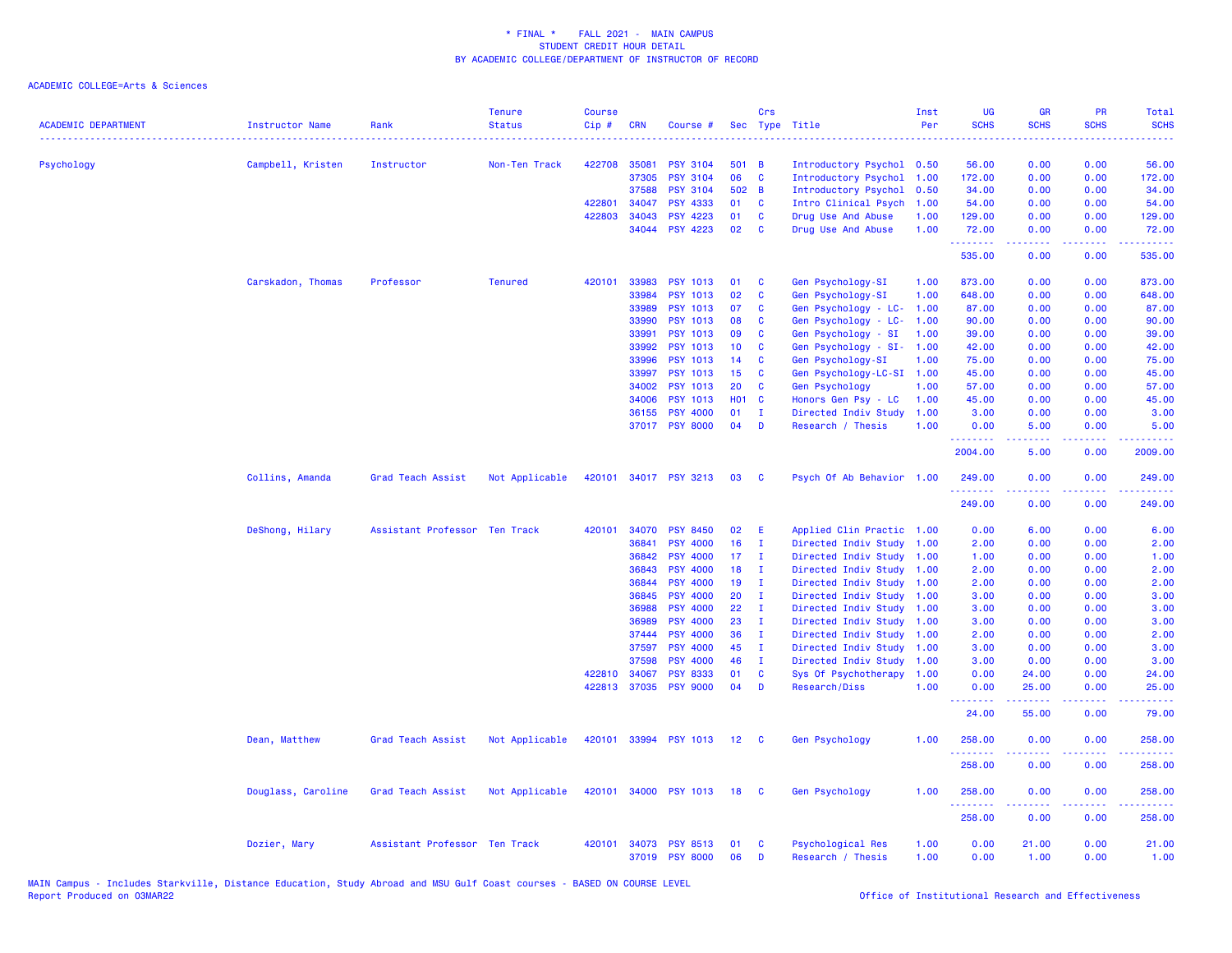| <b>ACADEMIC DEPARTMENT</b> | <b>Instructor Name</b> | Rank                          | <b>Tenure</b><br><b>Status</b> | <b>Course</b><br>$Cip$ # | <b>CRN</b>     | Course #                           |                       | Crs                          | Sec Type Title                               | Inst<br>Per  | UG<br><b>SCHS</b>    | <b>GR</b><br><b>SCHS</b> | <b>PR</b><br><b>SCHS</b>                                                                                                          | Total<br><b>SCHS</b> |
|----------------------------|------------------------|-------------------------------|--------------------------------|--------------------------|----------------|------------------------------------|-----------------------|------------------------------|----------------------------------------------|--------------|----------------------|--------------------------|-----------------------------------------------------------------------------------------------------------------------------------|----------------------|
| Psychology                 | Campbell, Kristen      | Instructor                    | Non-Ten Track                  | 422708 35081             |                | <b>PSY 3104</b>                    | 501 B                 |                              | Introductory Psychol 0.50                    |              | 56.00                | 0.00                     | 0.00                                                                                                                              | 56.00                |
|                            |                        |                               |                                |                          | 37305          | <b>PSY 3104</b>                    | 06                    | C                            | Introductory Psychol                         | 1.00         | 172.00               | 0.00                     | 0.00                                                                                                                              | 172.00               |
|                            |                        |                               |                                |                          | 37588          | <b>PSY 3104</b>                    | 502 B                 |                              | Introductory Psychol                         | 0.50         | 34.00                | 0.00                     | 0.00                                                                                                                              | 34.00                |
|                            |                        |                               |                                | 422801                   | 34047          | <b>PSY 4333</b>                    | 01                    | <b>C</b>                     | Intro Clinical Psych                         | 1.00         | 54.00                | 0.00                     | 0.00                                                                                                                              | 54.00                |
|                            |                        |                               |                                | 422803                   | 34043          | <b>PSY 4223</b>                    | 01                    | C                            | Drug Use And Abuse                           | 1.00         | 129.00               | 0.00                     | 0.00                                                                                                                              | 129.00               |
|                            |                        |                               |                                |                          |                | 34044 PSY 4223                     | 02                    | <b>C</b>                     | Drug Use And Abuse                           | 1.00         | 72.00<br>.           | 0.00<br>.                | 0.00<br>.                                                                                                                         | 72.00<br>.           |
|                            |                        |                               |                                |                          |                |                                    |                       |                              |                                              |              | 535.00               | 0.00                     | 0.00                                                                                                                              | 535.00               |
|                            | Carskadon, Thomas      | Professor                     | <b>Tenured</b>                 | 420101                   | 33983          | <b>PSY 1013</b>                    | 01                    | C                            | Gen Psychology-SI                            | 1.00         | 873.00               | 0.00                     | 0.00                                                                                                                              | 873.00               |
|                            |                        |                               |                                |                          | 33984          | <b>PSY 1013</b>                    | 02                    | C                            | Gen Psychology-SI                            | 1.00         | 648.00               | 0.00                     | 0.00                                                                                                                              | 648.00               |
|                            |                        |                               |                                |                          | 33989          | <b>PSY 1013</b>                    | 07                    | C                            | Gen Psychology - LC-                         | 1.00         | 87.00                | 0.00                     | 0.00                                                                                                                              | 87.00                |
|                            |                        |                               |                                |                          | 33990          | <b>PSY 1013</b>                    | 08                    | C                            | Gen Psychology - LC-                         | 1.00         | 90.00                | 0.00                     | 0.00                                                                                                                              | 90.00                |
|                            |                        |                               |                                |                          | 33991          | <b>PSY 1013</b><br><b>PSY 1013</b> | 09<br>10 <sup>°</sup> | C                            | Gen Psychology - SI                          | 1.00         | 39.00                | 0.00                     | 0.00                                                                                                                              | 39.00                |
|                            |                        |                               |                                |                          | 33992<br>33996 | PSY 1013                           | 14                    | C<br>C                       | Gen Psychology - SI-                         | 1.00<br>1.00 | 42.00<br>75.00       | 0.00<br>0.00             | 0.00<br>0.00                                                                                                                      | 42.00<br>75.00       |
|                            |                        |                               |                                |                          | 33997          | PSY 1013                           | 15                    | C                            | Gen Psychology-SI<br>Gen Psychology-LC-SI    |              | 45.00                | 0.00                     | 0.00                                                                                                                              | 45.00                |
|                            |                        |                               |                                |                          | 34002          | <b>PSY 1013</b>                    | 20                    | C                            | Gen Psychology                               | 1.00<br>1.00 | 57.00                | 0.00                     | 0.00                                                                                                                              | 57.00                |
|                            |                        |                               |                                |                          | 34006          | <b>PSY 1013</b>                    | <b>HO1 C</b>          |                              | Honors Gen Psy - LC                          | 1.00         | 45.00                | 0.00                     | 0.00                                                                                                                              | 45.00                |
|                            |                        |                               |                                |                          | 36155          | <b>PSY 4000</b>                    | 01                    | T                            | Directed Indiv Study                         | 1.00         | 3.00                 | 0.00                     | 0.00                                                                                                                              | 3.00                 |
|                            |                        |                               |                                |                          | 37017          | <b>PSY 8000</b>                    | 04                    | D                            | Research / Thesis                            | 1.00         | 0.00                 | 5.00                     | 0.00                                                                                                                              | 5.00                 |
|                            |                        |                               |                                |                          |                |                                    |                       |                              |                                              |              | .<br>2004.00         | .<br>5.00                | المتحدث<br>0.00                                                                                                                   | .<br>2009.00         |
|                            | Collins, Amanda        | Grad Teach Assist             | Not Applicable                 | 420101                   |                | 34017 PSY 3213                     | 03                    | <b>C</b>                     | Psych Of Ab Behavior 1.00                    |              | 249.00<br><u>.</u>   | 0.00                     | 0.00<br>$\frac{1}{2} \left( \frac{1}{2} \right) \left( \frac{1}{2} \right) \left( \frac{1}{2} \right) \left( \frac{1}{2} \right)$ | 249.00<br><u>.</u>   |
|                            |                        |                               |                                |                          |                |                                    |                       |                              |                                              |              | 249.00               | 0.00                     | 0.00                                                                                                                              | 249.00               |
|                            | DeShong, Hilary        | Assistant Professor Ten Track |                                | 420101                   | 34070          | <b>PSY 8450</b>                    | 02                    | E                            | Applied Clin Practic 1.00                    |              | 0.00                 | 6.00                     | 0.00                                                                                                                              | 6.00                 |
|                            |                        |                               |                                |                          | 36841          | <b>PSY 4000</b>                    | 16                    | $\mathbf{I}$                 | Directed Indiv Study                         | 1.00         | 2.00                 | 0.00                     | 0.00                                                                                                                              | 2.00                 |
|                            |                        |                               |                                |                          | 36842          | <b>PSY 4000</b>                    | 17 <sub>1</sub>       | $\mathbf{I}$                 | Directed Indiv Study                         | 1.00         | 1.00                 | 0.00                     | 0.00                                                                                                                              | 1.00                 |
|                            |                        |                               |                                |                          | 36843          | <b>PSY 4000</b>                    | 18                    | $\mathbf{I}$                 | Directed Indiv Study                         | 1.00         | 2.00                 | 0.00                     | 0.00                                                                                                                              | 2.00                 |
|                            |                        |                               |                                |                          | 36844          | <b>PSY 4000</b>                    | 19                    | п                            | Directed Indiv Study                         | 1.00         | 2.00                 | 0.00                     | 0.00                                                                                                                              | 2.00                 |
|                            |                        |                               |                                |                          | 36845          | <b>PSY 4000</b>                    | 20                    | п                            | Directed Indiv Study                         | 1.00         | 3.00                 | 0.00                     | 0.00                                                                                                                              | 3.00                 |
|                            |                        |                               |                                |                          | 36988          | <b>PSY 4000</b>                    | 22                    | $\mathbf{I}$                 | Directed Indiv Study                         | 1.00         | 3.00                 | 0.00                     | 0.00                                                                                                                              | 3.00                 |
|                            |                        |                               |                                |                          | 36989          | <b>PSY 4000</b>                    | 23                    | $\mathbf{I}$                 | Directed Indiv Study                         | 1.00         | 3.00                 | 0.00                     | 0.00                                                                                                                              | 3.00                 |
|                            |                        |                               |                                |                          | 37444          | <b>PSY 4000</b>                    | 36<br>45              | $\mathbf{I}$<br>$\mathbf{I}$ | Directed Indiv Study                         | 1.00         | 2.00                 | 0.00                     | 0.00                                                                                                                              | 2.00                 |
|                            |                        |                               |                                |                          | 37597          | <b>PSY 4000</b>                    | 46                    |                              | Directed Indiv Study                         | 1.00         | 3.00                 | 0.00                     | 0.00                                                                                                                              | 3.00                 |
|                            |                        |                               |                                | 422810                   | 37598<br>34067 | <b>PSY 4000</b><br><b>PSY 8333</b> | 01                    | $\mathbf{I}$<br>C            | Directed Indiv Study<br>Sys Of Psychotherapy | 1.00<br>1.00 | 3.00<br>0.00         | 0.00<br>24.00            | 0.00<br>0.00                                                                                                                      | 3.00<br>24.00        |
|                            |                        |                               |                                |                          | 422813 37035   | <b>PSY 9000</b>                    | 04                    | D                            | Research/Diss                                | 1.00         | 0.00                 | 25.00                    | 0.00                                                                                                                              | 25.00                |
|                            |                        |                               |                                |                          |                |                                    |                       |                              |                                              |              | 24.00                | 55.00                    | 0.00                                                                                                                              | 79.00                |
|                            | Dean, Matthew          | Grad Teach Assist             | Not Applicable                 |                          |                | 420101 33994 PSY 1013 12           |                       | <b>C</b>                     | Gen Psychology                               | 1.00         | 258.00               | 0.00                     | 0.00                                                                                                                              | 258.00               |
|                            |                        |                               |                                |                          |                |                                    |                       |                              |                                              |              | . <u>.</u><br>258.00 | 0.00                     | .<br>0.00                                                                                                                         | .<br>258.00          |
|                            | Douglass, Caroline     | Grad Teach Assist             | Not Applicable                 |                          | 420101 34000   | <b>PSY 1013</b>                    | 18                    | - C                          | Gen Psychology                               | 1.00         | 258.00               | 0.00                     | 0.00                                                                                                                              | 258.00               |
|                            |                        |                               |                                |                          |                |                                    |                       |                              |                                              |              | .<br>258.00          | 0.00                     | $\sim$ $\sim$ $\sim$<br>0.00                                                                                                      | .<br>258.00          |
|                            | Dozier, Mary           | Assistant Professor Ten Track |                                | 420101                   | 34073          | <b>PSY 8513</b><br>37019 PSY 8000  | 01<br>06              | C<br>D                       | Psychological Res<br>Research / Thesis       | 1.00<br>1.00 | 0.00<br>0.00         | 21.00<br>1.00            | 0.00<br>0.00                                                                                                                      | 21.00<br>1.00        |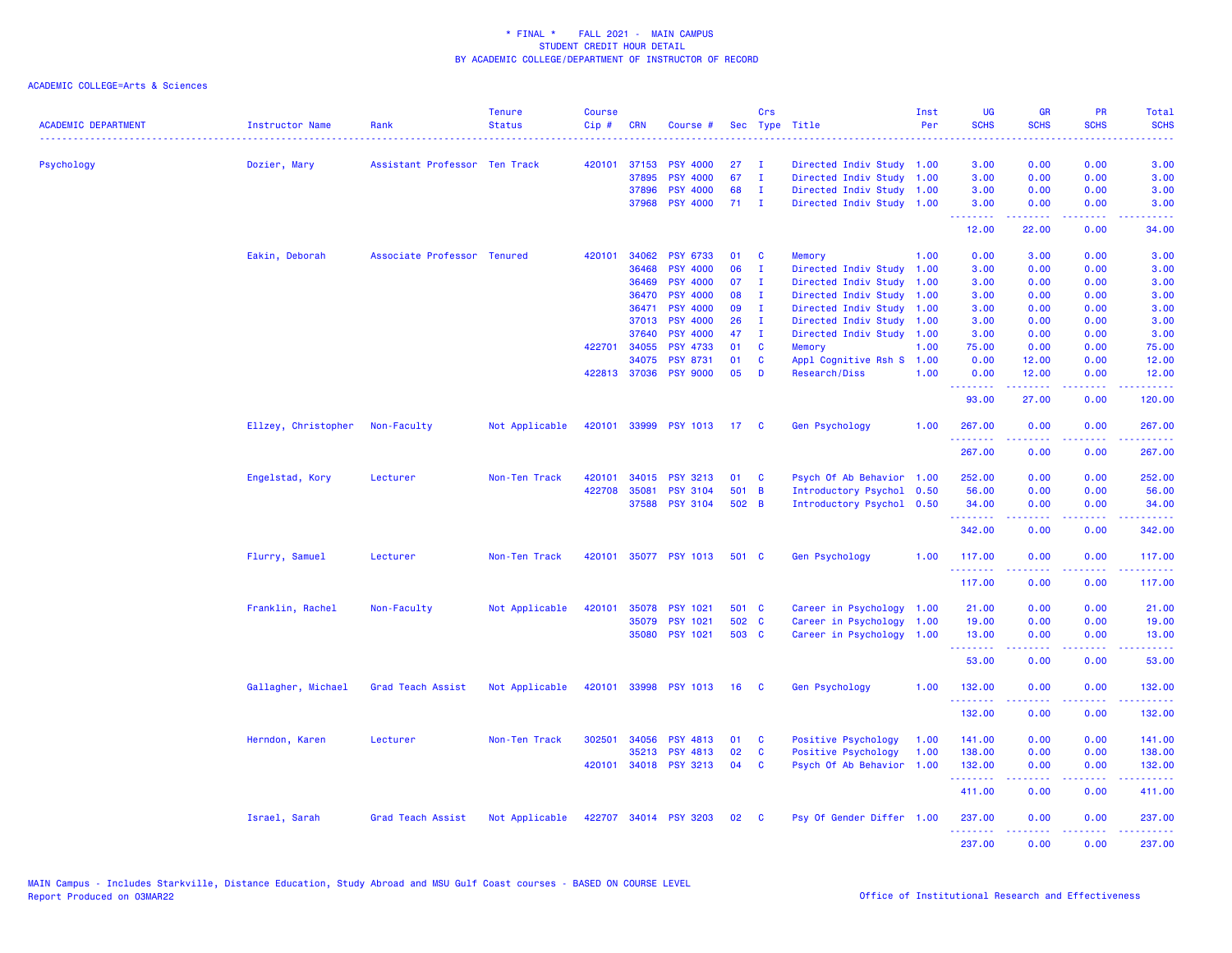| <b>ACADEMIC DEPARTMENT</b> | <b>Instructor Name</b> | Rank                          | <b>Tenure</b><br><b>Status</b> | <b>Course</b><br>$Cip \#$ | <b>CRN</b>   | Course #              |                 | Crs            | Sec Type Title            | Inst<br>Per | <b>UG</b><br><b>SCHS</b> | <b>GR</b><br><b>SCHS</b> | <b>PR</b><br><b>SCHS</b>                                                                                                          | Total<br><b>SCHS</b>                                                                                                              |
|----------------------------|------------------------|-------------------------------|--------------------------------|---------------------------|--------------|-----------------------|-----------------|----------------|---------------------------|-------------|--------------------------|--------------------------|-----------------------------------------------------------------------------------------------------------------------------------|-----------------------------------------------------------------------------------------------------------------------------------|
| Psychology                 | Dozier, Mary           | Assistant Professor Ten Track |                                |                           | 420101 37153 | <b>PSY 4000</b>       | 27              | $\mathbf{I}$   | Directed Indiv Study 1.00 |             | 3.00                     | 0.00                     | 0.00                                                                                                                              | 3.00                                                                                                                              |
|                            |                        |                               |                                |                           | 37895        | <b>PSY 4000</b>       | 67              | $\mathbf{I}$   | Directed Indiv Study      | 1.00        | 3.00                     | 0.00                     | 0.00                                                                                                                              | 3.00                                                                                                                              |
|                            |                        |                               |                                |                           | 37896        | <b>PSY 4000</b>       | 68              | $\mathbf{I}$   | Directed Indiv Study 1.00 |             | 3.00                     | 0.00                     | 0.00                                                                                                                              | 3.00                                                                                                                              |
|                            |                        |                               |                                |                           | 37968        | <b>PSY 4000</b>       | 71              | $\blacksquare$ | Directed Indiv Study 1.00 |             | 3.00<br>.                | 0.00<br><u>.</u>         | 0.00<br>.                                                                                                                         | 3.00<br>$\frac{1}{2} \left( \frac{1}{2} \right) \left( \frac{1}{2} \right) \left( \frac{1}{2} \right) \left( \frac{1}{2} \right)$ |
|                            |                        |                               |                                |                           |              |                       |                 |                |                           |             | 12.00                    | 22.00                    | 0.00                                                                                                                              | 34.00                                                                                                                             |
|                            | Eakin, Deborah         | Associate Professor Tenured   |                                | 420101                    | 34062        | <b>PSY 6733</b>       | 01              | C              | Memory                    | 1.00        | 0.00                     | 3.00                     | 0.00                                                                                                                              | 3.00                                                                                                                              |
|                            |                        |                               |                                |                           | 36468        | <b>PSY 4000</b>       | 06              | Ι.             | Directed Indiv Study      | 1.00        | 3.00                     | 0.00                     | 0.00                                                                                                                              | 3.00                                                                                                                              |
|                            |                        |                               |                                |                           | 36469        | <b>PSY 4000</b>       | 07              | $\mathbf{I}$   | Directed Indiv Study      | 1.00        | 3.00                     | 0.00                     | 0.00                                                                                                                              | 3.00                                                                                                                              |
|                            |                        |                               |                                |                           | 36470        | <b>PSY 4000</b>       | 80              | T              | Directed Indiv Study      | 1.00        | 3.00                     | 0.00                     | 0.00                                                                                                                              | 3.00                                                                                                                              |
|                            |                        |                               |                                |                           | 36471        | <b>PSY 4000</b>       | 09              | $\mathbf{I}$   | Directed Indiv Study      | 1.00        | 3.00                     | 0.00                     | 0.00                                                                                                                              | 3.00                                                                                                                              |
|                            |                        |                               |                                |                           | 37013        | <b>PSY 4000</b>       | 26              | $\mathbf{I}$   | Directed Indiv Study      | 1.00        | 3.00                     | 0.00                     | 0.00                                                                                                                              | 3.00                                                                                                                              |
|                            |                        |                               |                                |                           | 37640        | <b>PSY 4000</b>       | 47              | $\mathbf{I}$   | Directed Indiv Study      | 1.00        | 3.00                     | 0.00                     | 0.00                                                                                                                              | 3.00                                                                                                                              |
|                            |                        |                               |                                | 422701                    | 34055        | <b>PSY 4733</b>       | 01              | C              | Memory                    | 1.00        | 75.00                    | 0.00                     | 0.00                                                                                                                              | 75.00                                                                                                                             |
|                            |                        |                               |                                |                           | 34075        | <b>PSY 8731</b>       | 01              | C              | Appl Cognitive Rsh S      | 1.00        | 0.00                     | 12.00                    | 0.00                                                                                                                              | 12.00                                                                                                                             |
|                            |                        |                               |                                |                           | 422813 37036 | <b>PSY 9000</b>       | 05              | D              | Research/Diss             | 1.00        | 0.00<br>--------         | 12.00<br>.               | 0.00<br>.                                                                                                                         | 12.00<br>.                                                                                                                        |
|                            |                        |                               |                                |                           |              |                       |                 |                |                           |             | 93.00                    | 27.00                    | 0.00                                                                                                                              | 120.00                                                                                                                            |
|                            | Ellzey, Christopher    | Non-Faculty                   | Not Applicable                 |                           |              | 420101 33999 PSY 1013 | 17 <sup>2</sup> | - C            | Gen Psychology            | 1.00        | 267.00<br>.              | 0.00<br>.                | 0.00<br>$\frac{1}{2} \left( \frac{1}{2} \right) \left( \frac{1}{2} \right) \left( \frac{1}{2} \right) \left( \frac{1}{2} \right)$ | 267.00<br>.                                                                                                                       |
|                            |                        |                               |                                |                           |              |                       |                 |                |                           |             | 267.00                   | 0.00                     | 0.00                                                                                                                              | 267.00                                                                                                                            |
|                            | Engelstad, Kory        | Lecturer                      | Non-Ten Track                  | 420101                    |              | 34015 PSY 3213        | 01              | - C            | Psych Of Ab Behavior 1.00 |             | 252.00                   | 0.00                     | 0.00                                                                                                                              | 252.00                                                                                                                            |
|                            |                        |                               |                                | 422708                    | 35081        | <b>PSY 3104</b>       | 501 B           |                | Introductory Psychol      | 0.50        | 56.00                    | 0.00                     | 0.00                                                                                                                              | 56.00                                                                                                                             |
|                            |                        |                               |                                |                           | 37588        | <b>PSY 3104</b>       | 502 B           |                | Introductory Psychol 0.50 |             | 34.00<br>.               | 0.00                     | 0.00                                                                                                                              | 34.00                                                                                                                             |
|                            |                        |                               |                                |                           |              |                       |                 |                |                           |             | 342.00                   | 0.00                     | 0.00                                                                                                                              | 342.00                                                                                                                            |
|                            | Flurry, Samuel         | Lecturer                      | Non-Ten Track                  |                           |              | 420101 35077 PSY 1013 | 501 C           |                | Gen Psychology            | 1.00        | 117.00<br>.              | 0.00                     | 0.00                                                                                                                              | 117.00                                                                                                                            |
|                            |                        |                               |                                |                           |              |                       |                 |                |                           |             | 117.00                   | 0.00                     | $\sim$ $\sim$ $\sim$<br>0.00                                                                                                      | <b><i><u><u> - - - -</u></u></i></b><br>117.00                                                                                    |
|                            | Franklin, Rachel       | Non-Faculty                   | Not Applicable                 | 420101                    | 35078        | <b>PSY 1021</b>       | 501 C           |                | Career in Psychology      | 1.00        | 21.00                    | 0.00                     | 0.00                                                                                                                              | 21.00                                                                                                                             |
|                            |                        |                               |                                |                           | 35079        | <b>PSY 1021</b>       | 502 C           |                | Career in Psychology      | 1.00        | 19.00                    | 0.00                     | 0.00                                                                                                                              | 19.00                                                                                                                             |
|                            |                        |                               |                                |                           | 35080        | <b>PSY 1021</b>       | 503 C           |                | Career in Psychology 1.00 |             | 13.00<br>.               | 0.00<br>.                | 0.00                                                                                                                              | 13.00<br>.                                                                                                                        |
|                            |                        |                               |                                |                           |              |                       |                 |                |                           |             | 53.00                    | 0.00                     | 0.00                                                                                                                              | 53.00                                                                                                                             |
|                            | Gallagher, Michael     | Grad Teach Assist             | Not Applicable                 |                           |              | 420101 33998 PSY 1013 | 16              | - C            | Gen Psychology            | 1.00        | 132.00                   | 0.00                     | 0.00                                                                                                                              | 132.00                                                                                                                            |
|                            |                        |                               |                                |                           |              |                       |                 |                |                           |             | .<br>132.00              | 0.00                     | بالمحامي<br>0.00                                                                                                                  | 22222<br>132.00                                                                                                                   |
|                            | Herndon, Karen         | Lecturer                      | Non-Ten Track                  | 302501                    | 34056        | <b>PSY 4813</b>       | 01              | C              | Positive Psychology       | 1.00        | 141.00                   | 0.00                     | 0.00                                                                                                                              | 141.00                                                                                                                            |
|                            |                        |                               |                                |                           | 35213        | <b>PSY 4813</b>       | 02              | C              | Positive Psychology       | 1.00        | 138.00                   | 0.00                     | 0.00                                                                                                                              | 138.00                                                                                                                            |
|                            |                        |                               |                                |                           |              | 420101 34018 PSY 3213 | 04              | C              | Psych Of Ab Behavior 1.00 |             | 132.00<br>.              | 0.00<br><u>.</u>         | 0.00<br>.                                                                                                                         | 132.00<br>.                                                                                                                       |
|                            |                        |                               |                                |                           |              |                       |                 |                |                           |             | 411.00                   | 0.00                     | 0.00                                                                                                                              | 411.00                                                                                                                            |
|                            | Israel, Sarah          | Grad Teach Assist             | Not Applicable                 |                           |              | 422707 34014 PSY 3203 | 02 <sub>2</sub> | $\mathbf{C}$   | Psy Of Gender Differ 1.00 |             | 237.00<br>.              | 0.00<br><u>.</u>         | 0.00<br>.                                                                                                                         | 237.00<br>.                                                                                                                       |
|                            |                        |                               |                                |                           |              |                       |                 |                |                           |             | 237.00                   | 0.00                     | 0.00                                                                                                                              | 237.00                                                                                                                            |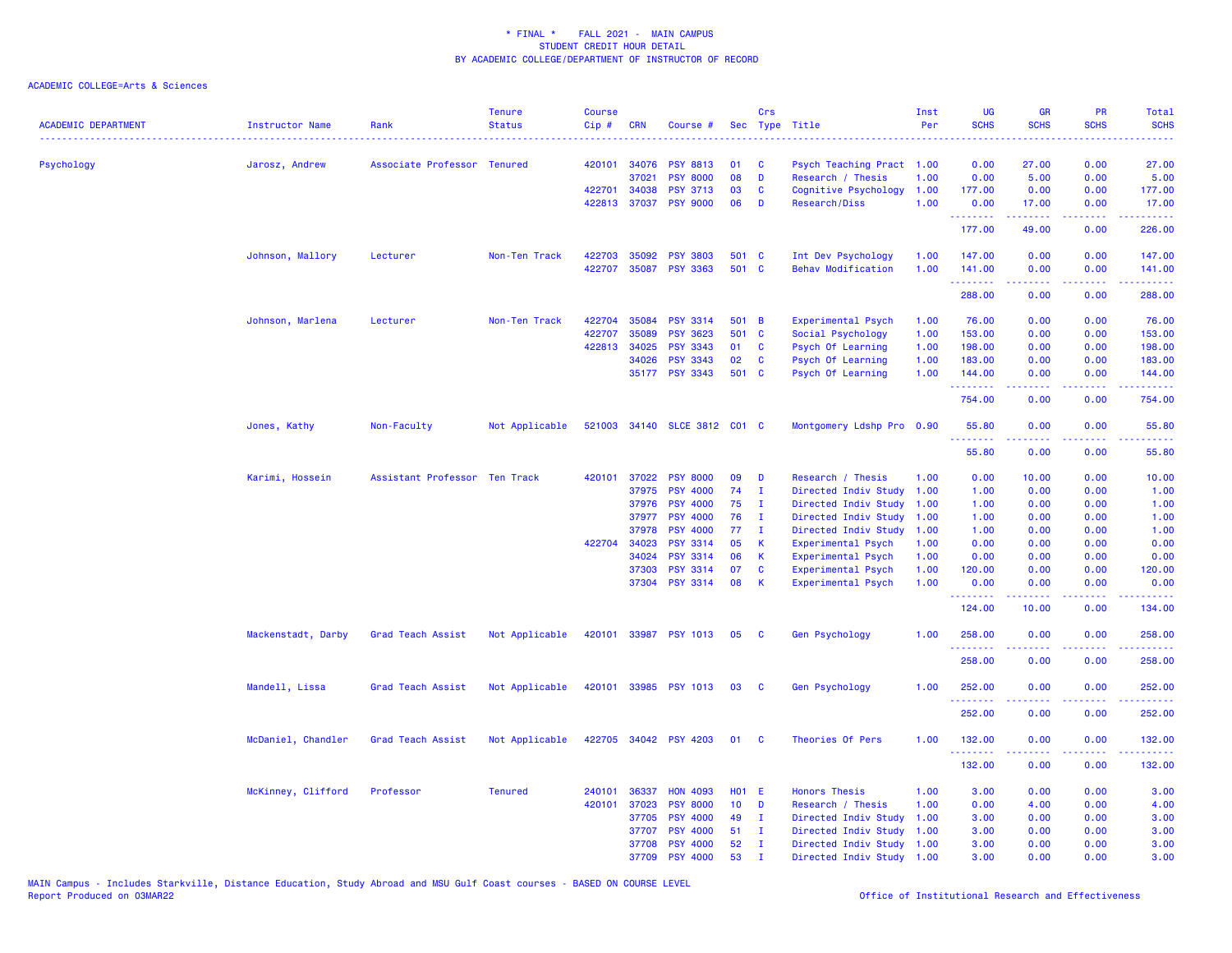| <b>ACADEMIC DEPARTMENT</b> | Instructor Name    | Rank                          | <b>Tenure</b><br><b>Status</b> | <b>Course</b><br>Cip# | <b>CRN</b>   | Course #              |                 | Crs          | Sec Type Title            | Inst<br>Per | <b>UG</b><br><b>SCHS</b>        | <b>GR</b><br><b>SCHS</b> | <b>PR</b><br><b>SCHS</b>                                                                               | Total<br><b>SCHS</b>                                                                                                                                           |
|----------------------------|--------------------|-------------------------------|--------------------------------|-----------------------|--------------|-----------------------|-----------------|--------------|---------------------------|-------------|---------------------------------|--------------------------|--------------------------------------------------------------------------------------------------------|----------------------------------------------------------------------------------------------------------------------------------------------------------------|
| Psychology                 | Jarosz, Andrew     | Associate Professor Tenured   |                                | 420101                | 34076        | <b>PSY 8813</b>       | 01              | C            | Psych Teaching Pract 1.00 |             | 0.00                            | 27.00                    | 0.00                                                                                                   | 27.00                                                                                                                                                          |
|                            |                    |                               |                                |                       | 37021        | <b>PSY 8000</b>       | 08              | D            | Research / Thesis         | 1.00        | 0.00                            | 5.00                     | 0.00                                                                                                   | 5.00                                                                                                                                                           |
|                            |                    |                               |                                | 422701                | 34038        | <b>PSY 3713</b>       | 03              | C            | Cognitive Psychology      | 1.00        | 177.00                          | 0.00                     | 0.00                                                                                                   | 177.00                                                                                                                                                         |
|                            |                    |                               |                                |                       | 422813 37037 | <b>PSY 9000</b>       | 06              | D            | Research/Diss             | 1.00        | 0.00<br>.                       | 17.00                    | 0.00                                                                                                   | 17.00                                                                                                                                                          |
|                            |                    |                               |                                |                       |              |                       |                 |              |                           |             | 177.00                          | 49.00                    | 0.00                                                                                                   | 226.00                                                                                                                                                         |
|                            | Johnson, Mallory   | Lecturer                      | Non-Ten Track                  | 422703                | 35092        | <b>PSY 3803</b>       | 501 C           |              | Int Dev Psychology        | 1.00        | 147.00                          | 0.00                     | 0.00                                                                                                   | 147.00                                                                                                                                                         |
|                            |                    |                               |                                | 422707                |              | 35087 PSY 3363        | 501 C           |              | <b>Behav Modification</b> | 1.00        | 141.00<br>.                     | 0.00                     | 0.00                                                                                                   | 141.00                                                                                                                                                         |
|                            |                    |                               |                                |                       |              |                       |                 |              |                           |             | 288.00                          | 0.00                     | 0.00                                                                                                   | 288.00                                                                                                                                                         |
|                            | Johnson, Marlena   | Lecturer                      | Non-Ten Track                  | 422704                | 35084        | <b>PSY 3314</b>       | 501 B           |              | Experimental Psych        | 1.00        | 76.00                           | 0.00                     | 0.00                                                                                                   | 76.00                                                                                                                                                          |
|                            |                    |                               |                                | 422707                | 35089        | <b>PSY 3623</b>       | 501 C           |              | Social Psychology         | 1.00        | 153.00                          | 0.00                     | 0.00                                                                                                   | 153.00                                                                                                                                                         |
|                            |                    |                               |                                |                       | 422813 34025 | <b>PSY 3343</b>       | 01              | C            | Psych Of Learning         | 1.00        | 198.00                          | 0.00                     | 0.00                                                                                                   | 198.00                                                                                                                                                         |
|                            |                    |                               |                                |                       | 34026        | <b>PSY 3343</b>       | 02              | C            | Psych Of Learning         | 1.00        | 183.00                          | 0.00                     | 0.00                                                                                                   | 183.00                                                                                                                                                         |
|                            |                    |                               |                                |                       |              | 35177 PSY 3343        | 501 C           |              | Psych Of Learning         | 1.00        | 144.00<br>.                     | 0.00<br>22222            | 0.00<br>المتمامين                                                                                      | 144.00                                                                                                                                                         |
|                            |                    |                               |                                |                       |              |                       |                 |              |                           |             | 754.00                          | 0.00                     | 0.00                                                                                                   | 754.00                                                                                                                                                         |
|                            | Jones, Kathy       | Non-Faculty                   | Not Applicable                 | 521003                |              | 34140 SLCE 3812 C01 C |                 |              | Montgomery Ldshp Pro 0.90 |             | 55.80<br><u>.</u>               | 0.00                     | 0.00                                                                                                   | 55.80                                                                                                                                                          |
|                            |                    |                               |                                |                       |              |                       |                 |              |                           |             | 55.80                           | 0.00                     | 0.00                                                                                                   | 55.80                                                                                                                                                          |
|                            | Karimi, Hossein    | Assistant Professor Ten Track |                                | 420101                | 37022        | <b>PSY 8000</b>       | 09              | D            | Research / Thesis         | 1.00        | 0.00                            | 10.00                    | 0.00                                                                                                   | 10.00                                                                                                                                                          |
|                            |                    |                               |                                |                       | 37975        | <b>PSY 4000</b>       | 74              | $\mathbf I$  | Directed Indiv Study      | 1.00        | 1.00                            | 0.00                     | 0.00                                                                                                   | 1.00                                                                                                                                                           |
|                            |                    |                               |                                |                       | 37976        | <b>PSY 4000</b>       | 75              | $\mathbf I$  | Directed Indiv Study      | 1.00        | 1.00                            | 0.00                     | 0.00                                                                                                   | 1.00                                                                                                                                                           |
|                            |                    |                               |                                |                       | 37977        | <b>PSY 4000</b>       | 76              | $\mathbf{I}$ | Directed Indiv Study      | 1.00        | 1.00                            | 0.00                     | 0.00                                                                                                   | 1.00                                                                                                                                                           |
|                            |                    |                               |                                |                       | 37978        | <b>PSY 4000</b>       | 77              | $\mathbf I$  | Directed Indiv Study      | 1.00        | 1.00                            | 0.00                     | 0.00                                                                                                   | 1.00                                                                                                                                                           |
|                            |                    |                               |                                |                       | 422704 34023 | PSY 3314              | 05              | К            | Experimental Psych        | 1.00        | 0.00                            | 0.00                     | 0.00                                                                                                   | 0.00                                                                                                                                                           |
|                            |                    |                               |                                |                       | 34024        | <b>PSY 3314</b>       | 06              | К            | Experimental Psych        | 1.00        | 0.00                            | 0.00                     | 0.00                                                                                                   | 0.00                                                                                                                                                           |
|                            |                    |                               |                                |                       | 37303        | <b>PSY 3314</b>       | 07              | C            | Experimental Psych        | 1.00        | 120.00                          | 0.00                     | 0.00                                                                                                   | 120.00                                                                                                                                                         |
|                            |                    |                               |                                |                       |              | 37304 PSY 3314        | 08              | К            | Experimental Psych        | 1.00        | 0.00<br><u> - - - - - - - -</u> | 0.00<br><u>.</u>         | 0.00<br>.                                                                                              | 0.00<br>$\frac{1}{2} \left( \frac{1}{2} \right) \left( \frac{1}{2} \right) \left( \frac{1}{2} \right) \left( \frac{1}{2} \right) \left( \frac{1}{2} \right)$   |
|                            |                    |                               |                                |                       |              |                       |                 |              |                           |             | 124.00                          | 10.00                    | 0.00                                                                                                   | 134.00                                                                                                                                                         |
|                            | Mackenstadt, Darby | Grad Teach Assist             | Not Applicable                 |                       |              | 420101 33987 PSY 1013 | 05              | <b>C</b>     | Gen Psychology            | 1.00        | 258.00                          | 0.00                     | 0.00                                                                                                   | 258.00                                                                                                                                                         |
|                            |                    |                               |                                |                       |              |                       |                 |              |                           |             | 258.00                          | 0.00                     | 0.00                                                                                                   | 258.00                                                                                                                                                         |
|                            | Mandell, Lissa     | Grad Teach Assist             | Not Applicable                 |                       |              | 420101 33985 PSY 1013 | 03              | C            | Gen Psychology            | 1.00        | 252.00                          | 0.00                     | 0.00<br>$\frac{1}{2} \left( \frac{1}{2} \right) \left( \frac{1}{2} \right) \left( \frac{1}{2} \right)$ | 252.00<br>22222                                                                                                                                                |
|                            |                    |                               |                                |                       |              |                       |                 |              |                           |             | 252.00                          | 0.00                     | 0.00                                                                                                   | 252.00                                                                                                                                                         |
|                            | McDaniel, Chandler | Grad Teach Assist             | Not Applicable                 |                       |              | 422705 34042 PSY 4203 | 01              | C            | Theories Of Pers          | 1.00        | 132.00<br>.                     | 0.00<br>22222            | 0.00<br>.                                                                                              | 132.00<br>$\frac{1}{2} \left( \frac{1}{2} \right) \left( \frac{1}{2} \right) \left( \frac{1}{2} \right) \left( \frac{1}{2} \right) \left( \frac{1}{2} \right)$ |
|                            |                    |                               |                                |                       |              |                       |                 |              |                           |             | 132.00                          | 0.00                     | 0.00                                                                                                   | 132.00                                                                                                                                                         |
|                            | McKinney, Clifford | Professor                     | <b>Tenured</b>                 | 240101                | 36337        | <b>HON 4093</b>       | H01 E           |              | <b>Honors Thesis</b>      | 1.00        | 3.00                            | 0.00                     | 0.00                                                                                                   | 3.00                                                                                                                                                           |
|                            |                    |                               |                                | 420101                | 37023        | <b>PSY 8000</b>       | 10 <sub>1</sub> | D            | Research / Thesis         | 1.00        | 0.00                            | 4.00                     | 0.00                                                                                                   | 4.00                                                                                                                                                           |
|                            |                    |                               |                                |                       | 37705        | <b>PSY 4000</b>       | 49              | $\mathbf{I}$ | Directed Indiv Study      | 1.00        | 3.00                            | 0.00                     | 0.00                                                                                                   | 3.00                                                                                                                                                           |
|                            |                    |                               |                                |                       | 37707        | <b>PSY 4000</b>       | 51              | $\mathbf{I}$ | Directed Indiv Study      | 1.00        | 3.00                            | 0.00                     | 0.00                                                                                                   | 3.00                                                                                                                                                           |
|                            |                    |                               |                                |                       | 37708        | <b>PSY 4000</b>       | 52              | $\mathbf{I}$ | Directed Indiv Study      | 1.00        | 3.00                            | 0.00                     | 0.00                                                                                                   | 3.00                                                                                                                                                           |
|                            |                    |                               |                                |                       | 37709        | <b>PSY 4000</b>       | 53              | $\mathbf{I}$ | Directed Indiv Study 1.00 |             | 3.00                            | 0.00                     | 0.00                                                                                                   | 3.00                                                                                                                                                           |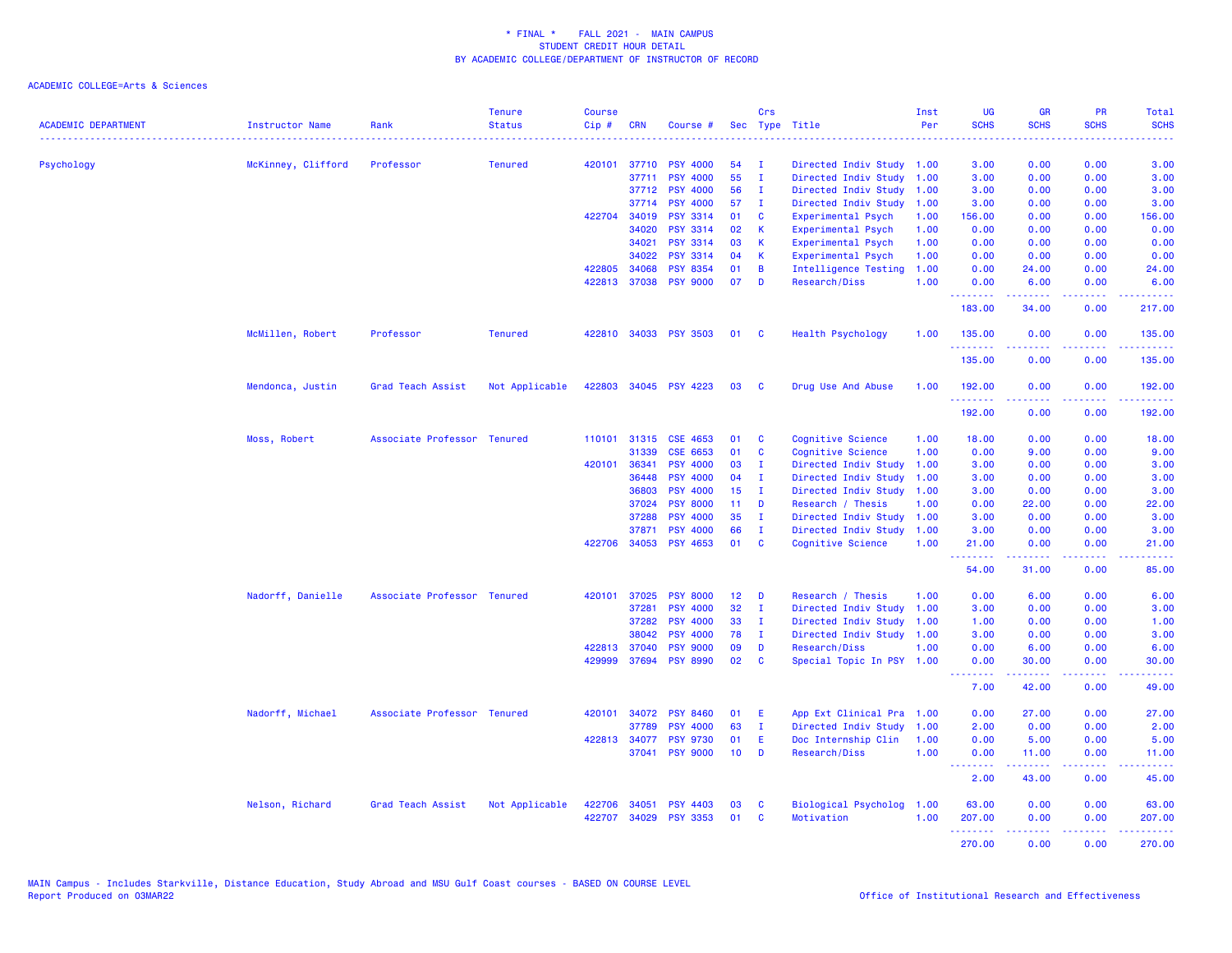| <b>ACADEMIC DEPARTMENT</b> | Instructor Name    | Rank                        | <b>Tenure</b><br><b>Status</b> | <b>Course</b><br>Cip# | <b>CRN</b>     | Course #                           | <b>Sec</b>      | Crs                          | Type Title                                        | Inst<br>Per  | <b>UG</b><br><b>SCHS</b>    | <b>GR</b><br><b>SCHS</b> | PR<br><b>SCHS</b> | Total<br><b>SCHS</b>  |
|----------------------------|--------------------|-----------------------------|--------------------------------|-----------------------|----------------|------------------------------------|-----------------|------------------------------|---------------------------------------------------|--------------|-----------------------------|--------------------------|-------------------|-----------------------|
|                            |                    |                             |                                |                       |                |                                    |                 |                              |                                                   |              |                             |                          |                   |                       |
| Psychology                 | McKinney, Clifford | Professor                   | <b>Tenured</b>                 | 420101                | 37710<br>37711 | <b>PSY 4000</b><br><b>PSY 4000</b> | 54<br>55        | $\mathbf{I}$<br>$\mathbf{I}$ | Directed Indiv Study 1.00<br>Directed Indiv Study | 1.00         | 3.00<br>3.00                | 0.00<br>0.00             | 0.00<br>0.00      | 3.00<br>3.00          |
|                            |                    |                             |                                |                       | 37712          | <b>PSY 4000</b>                    | 56              | $\mathbf{I}$                 | Directed Indiv Study                              | 1.00         | 3.00                        | 0.00                     | 0.00              | 3.00                  |
|                            |                    |                             |                                |                       | 37714          | <b>PSY 4000</b>                    | 57              | $\mathbf{I}$                 | Directed Indiv Study                              | 1.00         | 3.00                        | 0.00                     | 0.00              | 3.00                  |
|                            |                    |                             |                                | 422704                | 34019          | <b>PSY 3314</b>                    | 01              | C                            | Experimental Psych                                | 1.00         | 156.00                      | 0.00                     | 0.00              | 156.00                |
|                            |                    |                             |                                |                       | 34020          | <b>PSY 3314</b>                    | 02              | К                            | Experimental Psych                                | 1.00         | 0.00                        | 0.00                     | 0.00              | 0.00                  |
|                            |                    |                             |                                |                       | 34021          | <b>PSY 3314</b>                    | 03              | К                            | Experimental Psych                                | 1.00         | 0.00                        | 0.00                     | 0.00              | 0.00                  |
|                            |                    |                             |                                |                       | 34022          | <b>PSY 3314</b>                    | 04              | К                            | Experimental Psych                                | 1.00         | 0.00                        | 0.00                     | 0.00              | 0.00                  |
|                            |                    |                             |                                | 422805                | 34068          | <b>PSY 8354</b>                    | 01              | B                            | <b>Intelligence Testing</b>                       | 1.00         | 0.00                        | 24.00                    | 0.00              | 24.00                 |
|                            |                    |                             |                                | 422813                | 37038          | <b>PSY 9000</b>                    | 07              | D                            | Research/Diss                                     | 1.00         | 0.00<br>.                   | 6.00<br>22222            | 0.00<br>.         | 6.00<br>22222)        |
|                            |                    |                             |                                |                       |                |                                    |                 |                              |                                                   |              | 183.00                      | 34.00                    | 0.00              | 217.00                |
|                            | McMillen, Robert   | Professor                   | <b>Tenured</b>                 |                       |                | 422810 34033 PSY 3503              | 01              | <b>C</b>                     | Health Psychology                                 | 1.00         | 135.00<br>.                 | 0.00                     | 0.00              | 135.00<br>$- - - - -$ |
|                            |                    |                             |                                |                       |                |                                    |                 |                              |                                                   |              | 135.00                      | 0.00                     | 0.00              | 135.00                |
|                            | Mendonca, Justin   | Grad Teach Assist           | Not Applicable                 | 422803                |                | 34045 PSY 4223                     | 03              | <b>C</b>                     | Drug Use And Abuse                                | 1.00         | 192.00                      | 0.00                     | 0.00              | 192.00                |
|                            |                    |                             |                                |                       |                |                                    |                 |                              |                                                   |              | 192.00                      | 0.00                     | 0.00              | 192.00                |
|                            | Moss, Robert       | Associate Professor Tenured |                                |                       |                | 110101 31315 CSE 4653              | 01              | C                            | Cognitive Science                                 | 1.00         | 18.00                       | 0.00                     | 0.00              | 18.00                 |
|                            |                    |                             |                                |                       | 31339          | CSE 6653                           | 01              | C                            | Cognitive Science                                 | 1.00         | 0.00                        | 9.00                     | 0.00              | 9.00                  |
|                            |                    |                             |                                | 420101                | 36341          | <b>PSY 4000</b>                    | 03              | $\mathbf I$                  | Directed Indiv Study                              | 1.00         | 3.00                        | 0.00                     | 0.00              | 3.00                  |
|                            |                    |                             |                                |                       | 36448          | <b>PSY 4000</b>                    | 04              | п.                           | Directed Indiv Study                              | 1.00         | 3.00                        | 0.00                     | 0.00              | 3.00                  |
|                            |                    |                             |                                |                       | 36803          | <b>PSY 4000</b>                    | 15              | $\mathbf{I}$                 | Directed Indiv Study                              | 1.00         | 3.00                        | 0.00                     | 0.00              | 3.00                  |
|                            |                    |                             |                                |                       | 37024          | <b>PSY 8000</b>                    | 11              | D                            | Research / Thesis                                 | 1.00         | 0.00                        | 22.00                    | 0.00              | 22.00                 |
|                            |                    |                             |                                |                       | 37288          | <b>PSY 4000</b>                    | 35              | $\mathbf{I}$                 | Directed Indiv Study                              | 1.00         | 3.00                        | 0.00                     | 0.00              | 3.00                  |
|                            |                    |                             |                                | 422706                | 37871<br>34053 | <b>PSY 4000</b><br><b>PSY 4653</b> | 66<br>01        | $\mathbf{I}$<br>C            | Directed Indiv Study<br>Cognitive Science         | 1.00<br>1.00 | 3.00<br>21.00               | 0.00<br>0.00             | 0.00<br>0.00      | 3.00<br>21.00         |
|                            |                    |                             |                                |                       |                |                                    |                 |                              |                                                   |              | <u>.</u><br>54.00           | 31.00                    | 0.00              | .<br>85.00            |
|                            | Nadorff, Danielle  | Associate Professor Tenured |                                | 420101                | 37025          | <b>PSY 8000</b>                    | 12              | D                            | Research / Thesis                                 | 1.00         | 0.00                        | 6.00                     | 0.00              | 6.00                  |
|                            |                    |                             |                                |                       | 37281          | <b>PSY 4000</b>                    | 32              | $\mathbf{I}$                 | Directed Indiv Study                              | 1.00         | 3.00                        | 0.00                     | 0.00              | 3.00                  |
|                            |                    |                             |                                |                       | 37282          | <b>PSY 4000</b>                    | 33              | Ι.                           | Directed Indiv Study                              | 1.00         | 1.00                        | 0.00                     | 0.00              | 1.00                  |
|                            |                    |                             |                                |                       | 38042          | <b>PSY 4000</b>                    | 78              | $\mathbf{I}$                 | Directed Indiv Study 1.00                         |              | 3.00                        | 0.00                     | 0.00              | 3.00                  |
|                            |                    |                             |                                |                       | 422813 37040   | <b>PSY 9000</b>                    | 09              | D                            | Research/Diss                                     | 1.00         | 0.00                        | 6.00                     | 0.00              | 6.00                  |
|                            |                    |                             |                                | 429999                | 37694          | <b>PSY 8990</b>                    | 02              | C                            | Special Topic In PSY                              | 1.00         | 0.00                        | 30.00                    | 0.00<br>.         | 30.00                 |
|                            |                    |                             |                                |                       |                |                                    |                 |                              |                                                   |              | 7.00                        | 42.00                    | 0.00              | 49.00                 |
|                            | Nadorff, Michael   | Associate Professor Tenured |                                | 420101                |                | 34072 PSY 8460                     | 01              | Ε                            | App Ext Clinical Pra 1.00                         |              | 0.00                        | 27.00                    | 0.00              | 27.00                 |
|                            |                    |                             |                                |                       | 37789          | <b>PSY 4000</b>                    | 63              | $\mathbf I$                  | Directed Indiv Study                              | 1.00         | 2.00                        | 0.00                     | 0.00              | 2.00                  |
|                            |                    |                             |                                |                       | 422813 34077   | <b>PSY 9730</b>                    | 01              | Ε                            | Doc Internship Clin                               | 1.00         | 0.00                        | 5.00                     | 0.00              | 5.00                  |
|                            |                    |                             |                                |                       |                | 37041 PSY 9000                     | 10 <sub>1</sub> | D                            | Research/Diss                                     | 1.00         | 0.00<br><b></b>             | 11.00<br>.               | 0.00<br>.         | 11.00<br>.            |
|                            |                    |                             |                                |                       |                |                                    |                 |                              |                                                   |              | 2.00                        | 43.00                    | 0.00              | 45.00                 |
|                            | Nelson, Richard    | Grad Teach Assist           | Not Applicable                 | 422706                | 34051          | <b>PSY 4403</b>                    | 03              | C                            | Biological Psycholog                              | 1.00         | 63.00                       | 0.00                     | 0.00              | 63.00                 |
|                            |                    |                             |                                | 422707                |                | 34029 PSY 3353                     | 01              | $\mathbf{c}$                 | Motivation                                        | 1.00         | 207.00                      | 0.00                     | 0.00              | 207.00                |
|                            |                    |                             |                                |                       |                |                                    |                 |                              |                                                   |              | المستملة والمناور<br>270.00 | 22222<br>0.00            | بالاناباذ<br>0.00 | .<br>270.00           |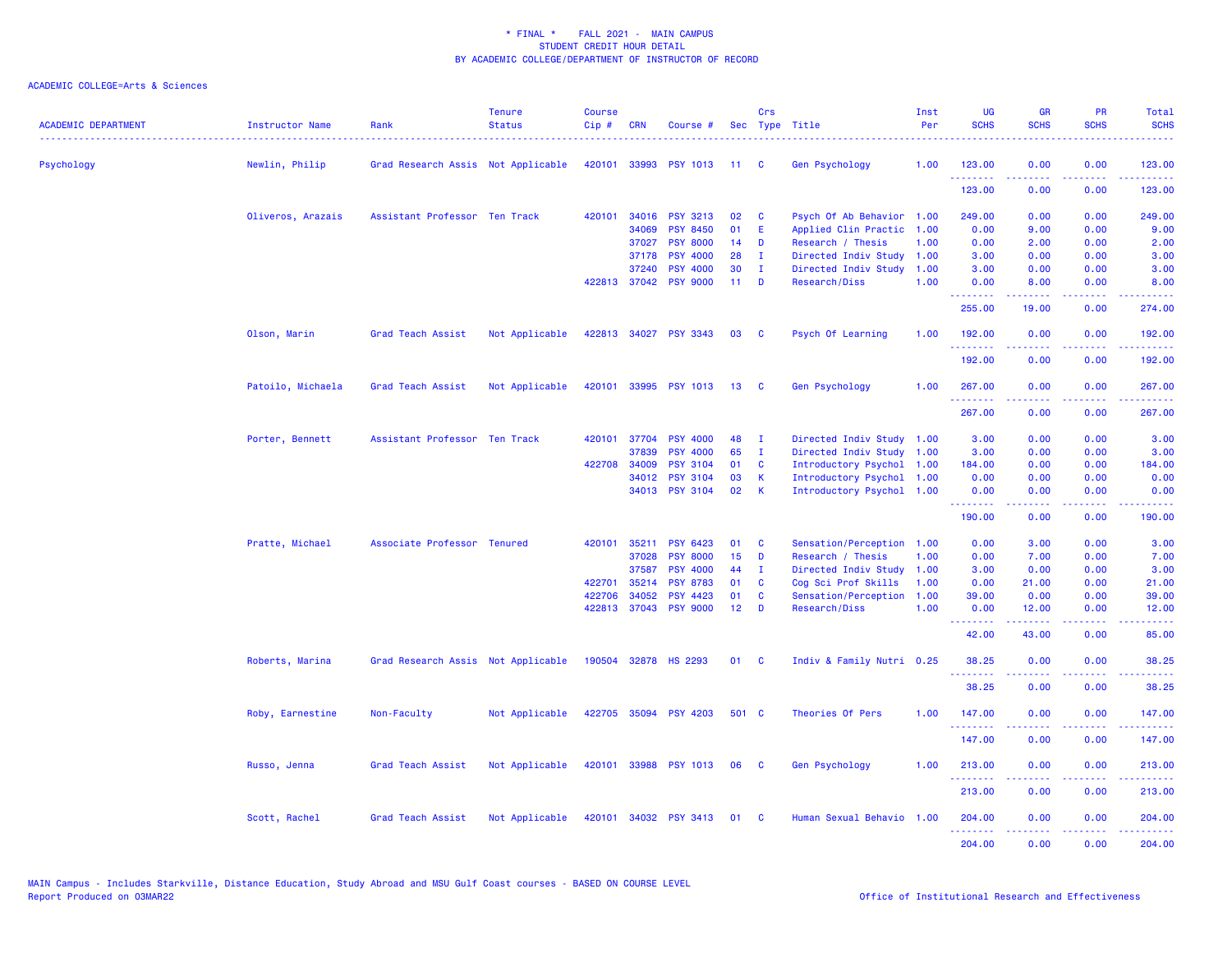| <b>ACADEMIC DEPARTMENT</b> | Instructor Name   | Rank                               | <b>Tenure</b><br><b>Status</b> | <b>Course</b><br>$Cip \#$ | <b>CRN</b>   | Course #                 |                 | Crs          | Sec Type Title            | Inst<br>Per | <b>UG</b><br><b>SCHS</b>            | <b>GR</b><br><b>SCHS</b>                                                                                                                                      | <b>PR</b><br><b>SCHS</b>            | Total<br><b>SCHS</b>                                                                                                                                           |
|----------------------------|-------------------|------------------------------------|--------------------------------|---------------------------|--------------|--------------------------|-----------------|--------------|---------------------------|-------------|-------------------------------------|---------------------------------------------------------------------------------------------------------------------------------------------------------------|-------------------------------------|----------------------------------------------------------------------------------------------------------------------------------------------------------------|
| Psychology                 | Newlin, Philip    | Grad Research Assis Not Applicable |                                |                           | 420101 33993 | PSY 1013 11 C            |                 |              | Gen Psychology            | 1.00        | 123.00                              | 0.00                                                                                                                                                          | 0.00                                | 123.00                                                                                                                                                         |
|                            |                   |                                    |                                |                           |              |                          |                 |              |                           |             | .<br>123.00                         | 0.00                                                                                                                                                          | 0.00                                | .<br>123.00                                                                                                                                                    |
|                            | Oliveros, Arazais | Assistant Professor Ten Track      |                                |                           |              | 420101 34016 PSY 3213    | 02              | C            | Psych Of Ab Behavior 1.00 |             | 249.00                              | 0.00                                                                                                                                                          | 0.00                                | 249.00                                                                                                                                                         |
|                            |                   |                                    |                                |                           | 34069        | <b>PSY 8450</b>          | 01              | Ε            | Applied Clin Practic      | 1.00        | 0.00                                | 9.00                                                                                                                                                          | 0.00                                | 9.00                                                                                                                                                           |
|                            |                   |                                    |                                |                           | 37027        | <b>PSY 8000</b>          | 14              | D            | Research / Thesis         | 1.00        | 0.00                                | 2.00                                                                                                                                                          | 0.00                                | 2.00                                                                                                                                                           |
|                            |                   |                                    |                                |                           | 37178        | <b>PSY 4000</b>          | 28              | <b>I</b>     | Directed Indiv Study      | 1.00        | 3.00                                | 0.00                                                                                                                                                          | 0.00                                | 3.00                                                                                                                                                           |
|                            |                   |                                    |                                |                           | 37240        | <b>PSY 4000</b>          | 30              | $\mathbf{I}$ | Directed Indiv Study      | 1.00        | 3.00                                | 0.00                                                                                                                                                          | 0.00                                | 3.00                                                                                                                                                           |
|                            |                   |                                    |                                |                           | 422813 37042 | <b>PSY 9000</b>          | 11 <sub>1</sub> | D            | Research/Diss             | 1.00        | 0.00<br>.                           | 8.00                                                                                                                                                          | 0.00                                | 8.00                                                                                                                                                           |
|                            |                   |                                    |                                |                           |              |                          |                 |              |                           |             | 255.00                              | 19.00                                                                                                                                                         | 0.00                                | 274.00                                                                                                                                                         |
|                            | Olson, Marin      | Grad Teach Assist                  | Not Applicable                 |                           |              | 422813 34027 PSY 3343    | 03              | <b>C</b>     | Psych Of Learning         | 1.00        | 192.00<br>.                         | 0.00                                                                                                                                                          | 0.00                                | 192.00                                                                                                                                                         |
|                            |                   |                                    |                                |                           |              |                          |                 |              |                           |             | 192.00                              | 0.00                                                                                                                                                          | 0.00                                | 192.00                                                                                                                                                         |
|                            | Patoilo, Michaela | Grad Teach Assist                  | Not Applicable                 |                           |              | 420101 33995 PSY 1013    | 13              | - C          | <b>Gen Psychology</b>     | 1.00        | 267.00                              | 0.00                                                                                                                                                          | 0.00                                | 267.00                                                                                                                                                         |
|                            |                   |                                    |                                |                           |              |                          |                 |              |                           |             | .<br>267.00                         | -----<br>0.00                                                                                                                                                 | .<br>0.00                           | $\frac{1}{2} \left( \frac{1}{2} \right) \left( \frac{1}{2} \right) \left( \frac{1}{2} \right) \left( \frac{1}{2} \right) \left( \frac{1}{2} \right)$<br>267.00 |
|                            | Porter, Bennett   | Assistant Professor Ten Track      |                                |                           | 420101 37704 | <b>PSY 4000</b>          | 48              | $\mathbf{I}$ | Directed Indiv Study      | 1.00        | 3.00                                | 0.00                                                                                                                                                          | 0.00                                | 3.00                                                                                                                                                           |
|                            |                   |                                    |                                |                           | 37839        | <b>PSY 4000</b>          | 65              | $\mathbf{I}$ | Directed Indiv Study      | 1.00        | 3.00                                | 0.00                                                                                                                                                          | 0.00                                | 3.00                                                                                                                                                           |
|                            |                   |                                    |                                |                           | 422708 34009 | <b>PSY 3104</b>          | 01              | C            | Introductory Psychol      | 1.00        | 184.00                              | 0.00                                                                                                                                                          | 0.00                                | 184.00                                                                                                                                                         |
|                            |                   |                                    |                                |                           | 34012        | <b>PSY 3104</b>          | 03              | $\mathsf{K}$ | Introductory Psychol      | 1.00        | 0.00                                | 0.00                                                                                                                                                          | 0.00                                | 0.00                                                                                                                                                           |
|                            |                   |                                    |                                |                           |              | 34013 PSY 3104           | 02              | -K           | Introductory Psychol 1.00 |             | 0.00<br>.                           | 0.00<br>$\frac{1}{2} \left( \frac{1}{2} \right) \left( \frac{1}{2} \right) \left( \frac{1}{2} \right) \left( \frac{1}{2} \right) \left( \frac{1}{2} \right)$  | 0.00<br>.                           | 0.00<br>$\frac{1}{2} \left( \frac{1}{2} \right) \left( \frac{1}{2} \right) \left( \frac{1}{2} \right) \left( \frac{1}{2} \right) \left( \frac{1}{2} \right)$   |
|                            |                   |                                    |                                |                           |              |                          |                 |              |                           |             | 190.00                              | 0.00                                                                                                                                                          | 0.00                                | 190.00                                                                                                                                                         |
|                            | Pratte, Michael   | Associate Professor Tenured        |                                | 420101                    | 35211        | <b>PSY 6423</b>          | 01              | C            | Sensation/Perception 1.00 |             | 0.00                                | 3.00                                                                                                                                                          | 0.00                                | 3.00                                                                                                                                                           |
|                            |                   |                                    |                                |                           | 37028        | <b>PSY 8000</b>          | 15              | D            | Research / Thesis         | 1.00        | 0.00                                | 7.00                                                                                                                                                          | 0.00                                | 7.00                                                                                                                                                           |
|                            |                   |                                    |                                |                           | 37587        | <b>PSY 4000</b>          | 44              | - I          | Directed Indiv Study 1.00 |             | 3.00                                | 0.00                                                                                                                                                          | 0.00                                | 3.00                                                                                                                                                           |
|                            |                   |                                    |                                | 422701                    | 35214        | <b>PSY 8783</b>          | 01              | C            | Cog Sci Prof Skills       | 1.00        | 0.00                                | 21.00                                                                                                                                                         | 0.00                                | 21.00                                                                                                                                                          |
|                            |                   |                                    |                                |                           | 422706 34052 | <b>PSY 4423</b>          | 01              | C            | Sensation/Perception      | 1.00        | 39.00                               | 0.00                                                                                                                                                          | 0.00                                | 39.00                                                                                                                                                          |
|                            |                   |                                    |                                |                           | 422813 37043 | <b>PSY 9000</b>          | 12 <sup>7</sup> | D            | Research/Diss             | 1.00        | 0.00<br><b><i><u>AAAAAA</u></i></b> | 12.00<br>$\frac{1}{2} \left( \frac{1}{2} \right) \left( \frac{1}{2} \right) \left( \frac{1}{2} \right) \left( \frac{1}{2} \right) \left( \frac{1}{2} \right)$ | 0.00<br>.                           | 12.00<br>.                                                                                                                                                     |
|                            |                   |                                    |                                |                           |              |                          |                 |              |                           |             | 42.00                               | 43.00                                                                                                                                                         | 0.00                                | 85.00                                                                                                                                                          |
|                            | Roberts, Marina   | Grad Research Assis Not Applicable |                                |                           |              | 190504 32878 HS 2293     | 01 C            |              | Indiv & Family Nutri 0.25 |             | 38.25<br>.                          | 0.00                                                                                                                                                          | 0.00                                | 38.25                                                                                                                                                          |
|                            |                   |                                    |                                |                           |              |                          |                 |              |                           |             | 38.25                               | 0.00                                                                                                                                                          | 0.00                                | 38.25                                                                                                                                                          |
|                            | Roby, Earnestine  | Non-Faculty                        | Not Applicable                 |                           |              | 422705 35094 PSY 4203    | 501 C           |              | Theories Of Pers          | 1.00        | 147.00<br>.                         | 0.00                                                                                                                                                          | 0.00<br>$\sim$ $\sim$ $\sim$ $\sim$ | 147.00<br>$\frac{1}{2} \left( \frac{1}{2} \right) \left( \frac{1}{2} \right) \left( \frac{1}{2} \right) \left( \frac{1}{2} \right) \left( \frac{1}{2} \right)$ |
|                            |                   |                                    |                                |                           |              |                          |                 |              |                           |             | 147.00                              | 0.00                                                                                                                                                          | 0.00                                | 147.00                                                                                                                                                         |
|                            | Russo, Jenna      | Grad Teach Assist                  | Not Applicable                 |                           |              | 420101 33988 PSY 1013 06 |                 | $\mathbf{C}$ | <b>Gen Psychology</b>     | 1.00        | 213.00                              | 0.00                                                                                                                                                          | 0.00                                | 213.00                                                                                                                                                         |
|                            |                   |                                    |                                |                           |              |                          |                 |              |                           |             | .<br>213.00                         | $\frac{1}{2} \left( \frac{1}{2} \right) \left( \frac{1}{2} \right) \left( \frac{1}{2} \right) \left( \frac{1}{2} \right)$<br>0.00                             | .<br>0.00                           | $\frac{1}{2} \left( \frac{1}{2} \right) \left( \frac{1}{2} \right) \left( \frac{1}{2} \right) \left( \frac{1}{2} \right) \left( \frac{1}{2} \right)$<br>213.00 |
|                            | Scott, Rachel     | Grad Teach Assist                  | Not Applicable                 |                           |              | 420101 34032 PSY 3413    | 01              | - C          | Human Sexual Behavio      | 1.00        | 204,00                              | 0.00                                                                                                                                                          | 0.00                                | 204.00                                                                                                                                                         |
|                            |                   |                                    |                                |                           |              |                          |                 |              |                           |             | .<br>204.00                         | $\frac{1}{2} \left( \frac{1}{2} \right) \left( \frac{1}{2} \right) \left( \frac{1}{2} \right) \left( \frac{1}{2} \right) \left( \frac{1}{2} \right)$<br>0.00  | .<br>0.00                           | .<br>204.00                                                                                                                                                    |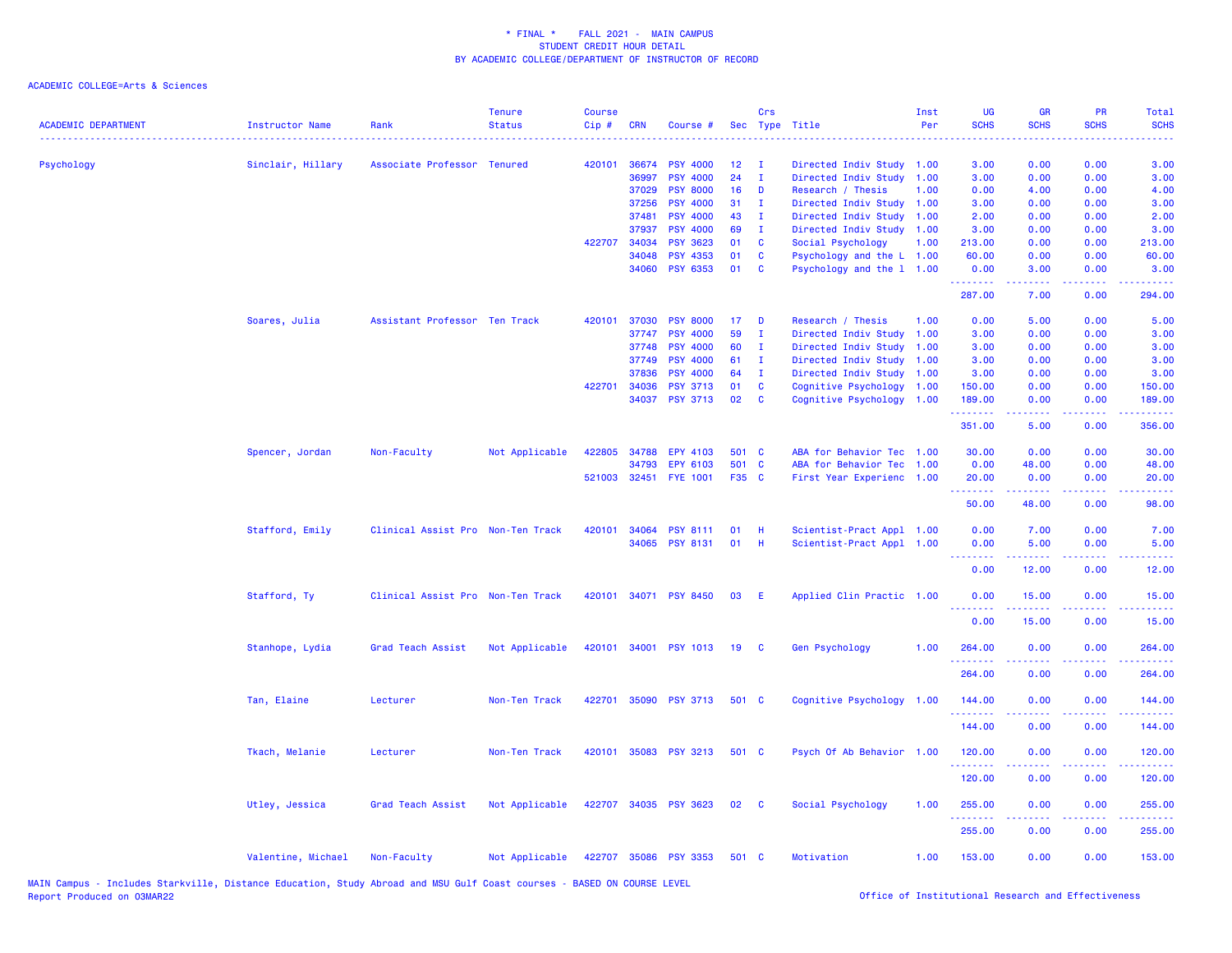| <b>ACADEMIC DEPARTMENT</b> | <b>Instructor Name</b> | Rank                              | <b>Tenure</b><br><b>Status</b> | <b>Course</b><br>Cip# | <b>CRN</b>   | Course #              |       | Crs          | Sec Type Title            | Inst<br>Per | UG<br><b>SCHS</b>    | GR<br><b>SCHS</b>                                                                                                                                            | PR<br><b>SCHS</b> | <b>Total</b><br><b>SCHS</b>                                                                |
|----------------------------|------------------------|-----------------------------------|--------------------------------|-----------------------|--------------|-----------------------|-------|--------------|---------------------------|-------------|----------------------|--------------------------------------------------------------------------------------------------------------------------------------------------------------|-------------------|--------------------------------------------------------------------------------------------|
| Psychology                 | Sinclair, Hillary      | Associate Professor Tenured       |                                | 420101                | 36674        | <b>PSY 4000</b>       | 12    | $\mathbf I$  | Directed Indiv Study      | 1.00        | 3.00                 | 0.00                                                                                                                                                         | 0.00              | 3.00                                                                                       |
|                            |                        |                                   |                                |                       | 36997        | <b>PSY 4000</b>       | 24    | $\mathbf I$  | Directed Indiv Study      | 1.00        | 3.00                 | 0.00                                                                                                                                                         | 0.00              | 3.00                                                                                       |
|                            |                        |                                   |                                |                       | 37029        | <b>PSY 8000</b>       | 16    | D            | Research / Thesis         | 1.00        | 0.00                 | 4.00                                                                                                                                                         | 0.00              | 4.00                                                                                       |
|                            |                        |                                   |                                |                       | 37256        | <b>PSY 4000</b>       | 31    | $\mathbf{I}$ | Directed Indiv Study 1.00 |             | 3.00                 | 0.00                                                                                                                                                         | 0.00              | 3.00                                                                                       |
|                            |                        |                                   |                                |                       | 37481        | <b>PSY 4000</b>       | 43    | - I          | Directed Indiv Study      | 1.00        | 2.00                 | 0.00                                                                                                                                                         | 0.00              | 2.00                                                                                       |
|                            |                        |                                   |                                |                       | 37937        | <b>PSY 4000</b>       | 69    | $\mathbf{I}$ | Directed Indiv Study 1.00 |             | 3.00                 | 0.00                                                                                                                                                         | 0.00              | 3.00                                                                                       |
|                            |                        |                                   |                                |                       | 422707 34034 | <b>PSY 3623</b>       | 01    | C            | Social Psychology         | 1.00        | 213.00               | 0.00                                                                                                                                                         | 0.00              | 213.00                                                                                     |
|                            |                        |                                   |                                |                       | 34048        | <b>PSY 4353</b>       | 01    | C            | Psychology and the L 1.00 |             | 60.00                | 0.00                                                                                                                                                         | 0.00              | 60.00                                                                                      |
|                            |                        |                                   |                                |                       | 34060        | <b>PSY 6353</b>       | 01    | C            | Psychology and the 1 1.00 |             | 0.00<br>.            | 3.00<br>.                                                                                                                                                    | 0.00              | 3.00                                                                                       |
|                            |                        |                                   |                                |                       |              |                       |       |              |                           |             | 287.00               | 7.00                                                                                                                                                         | 0.00              | 294.00                                                                                     |
|                            | Soares, Julia          | Assistant Professor Ten Track     |                                | 420101                | 37030        | <b>PSY 8000</b>       | 17    | D            | Research / Thesis         | 1.00        | 0.00                 | 5.00                                                                                                                                                         | 0.00              | 5.00                                                                                       |
|                            |                        |                                   |                                |                       | 37747        | <b>PSY 4000</b>       | 59    | T            | Directed Indiv Study      | 1.00        | 3.00                 | 0.00                                                                                                                                                         | 0.00              | 3.00                                                                                       |
|                            |                        |                                   |                                |                       | 37748        | <b>PSY 4000</b>       | 60    | $\mathbf{I}$ | Directed Indiv Study      | 1.00        | 3.00                 | 0.00                                                                                                                                                         | 0.00              | 3.00                                                                                       |
|                            |                        |                                   |                                |                       | 37749        | <b>PSY 4000</b>       | 61    | $\mathbf I$  | Directed Indiv Study      | 1.00        | 3.00                 | 0.00                                                                                                                                                         | 0.00              | 3.00                                                                                       |
|                            |                        |                                   |                                |                       | 37836        | <b>PSY 4000</b>       | 64    | $\mathbf{I}$ | Directed Indiv Study      | 1.00        | 3.00                 | 0.00                                                                                                                                                         | 0.00              | 3.00                                                                                       |
|                            |                        |                                   |                                |                       | 422701 34036 | <b>PSY 3713</b>       | 01    | C            | Cognitive Psychology      | 1.00        | 150.00               | 0.00                                                                                                                                                         | 0.00              | 150.00                                                                                     |
|                            |                        |                                   |                                |                       | 34037        | <b>PSY 3713</b>       | 02    | C            | Cognitive Psychology      | 1.00        | 189.00<br>.          | 0.00<br>.                                                                                                                                                    | 0.00<br>.         | 189.00<br>2.2.2.2.2.                                                                       |
|                            |                        |                                   |                                |                       |              |                       |       |              |                           |             | 351.00               | 5.00                                                                                                                                                         | 0.00              | 356.00                                                                                     |
|                            | Spencer, Jordan        | Non-Faculty                       | Not Applicable                 | 422805                | 34788        | EPY 4103              | 501 C |              | ABA for Behavior Tec 1.00 |             | 30.00                | 0.00                                                                                                                                                         | 0.00              | 30.00                                                                                      |
|                            |                        |                                   |                                |                       | 34793        | <b>EPY 6103</b>       | 501 C |              | ABA for Behavior Tec      | 1.00        | 0.00                 | 48.00                                                                                                                                                        | 0.00              | 48.00                                                                                      |
|                            |                        |                                   |                                |                       |              | 521003 32451 FYE 1001 | F35 C |              | First Year Experienc 1.00 |             | 20.00<br>.           | 0.00                                                                                                                                                         | 0.00              | 20.00                                                                                      |
|                            |                        |                                   |                                |                       |              |                       |       |              |                           |             | 50.00                | 48.00                                                                                                                                                        | 0.00              | 98.00                                                                                      |
|                            | Stafford, Emily        | Clinical Assist Pro Non-Ten Track |                                |                       | 420101 34064 | <b>PSY 8111</b>       | 01    | -H           | Scientist-Pract Appl 1.00 |             | 0.00                 | 7.00                                                                                                                                                         | 0.00              | 7.00                                                                                       |
|                            |                        |                                   |                                |                       | 34065        | <b>PSY 8131</b>       | 01    | H            | Scientist-Pract Appl 1.00 |             | 0.00<br>.            | 5.00<br>$\frac{1}{2} \left( \frac{1}{2} \right) \left( \frac{1}{2} \right) \left( \frac{1}{2} \right) \left( \frac{1}{2} \right) \left( \frac{1}{2} \right)$ | 0.00<br>.         | 5.00<br>وعاعاتها                                                                           |
|                            |                        |                                   |                                |                       |              |                       |       |              |                           |             | 0.00                 | 12.00                                                                                                                                                        | 0.00              | 12.00                                                                                      |
|                            | Stafford, Ty           | Clinical Assist Pro Non-Ten Track |                                | 420101                | 34071        | <b>PSY 8450</b>       | 03    | E            | Applied Clin Practic 1.00 |             | 0.00<br>.            | 15.00                                                                                                                                                        | 0.00<br>$   -$    | 15.00<br>.                                                                                 |
|                            |                        |                                   |                                |                       |              |                       |       |              |                           |             | 0.00                 | 15.00                                                                                                                                                        | 0.00              | 15.00                                                                                      |
|                            | Stanhope, Lydia        | Grad Teach Assist                 | Not Applicable                 |                       |              | 420101 34001 PSY 1013 | 19    | <b>C</b>     | Gen Psychology            | 1.00        | 264.00               | 0.00                                                                                                                                                         | 0.00              | 264.00                                                                                     |
|                            |                        |                                   |                                |                       |              |                       |       |              |                           |             | . <u>.</u><br>264.00 | 0.00                                                                                                                                                         | 0.00              | 264.00                                                                                     |
|                            | Tan, Elaine            | Lecturer                          | Non-Ten Track                  |                       | 422701 35090 | <b>PSY 3713</b>       | 501 C |              | Cognitive Psychology      | 1.00        | 144.00               | 0.00                                                                                                                                                         | 0.00              | 144.00                                                                                     |
|                            |                        |                                   |                                |                       |              |                       |       |              |                           |             | . <b>.</b><br>144.00 | 0.00                                                                                                                                                         | 0.00              | .<br>144.00                                                                                |
|                            | Tkach, Melanie         | Lecturer                          | Non-Ten Track                  |                       |              | 420101 35083 PSY 3213 | 501 C |              | Psych Of Ab Behavior 1.00 |             | 120.00               | 0.00                                                                                                                                                         | 0.00              | 120.00                                                                                     |
|                            |                        |                                   |                                |                       |              |                       |       |              |                           |             | .<br>120.00          | 0.00                                                                                                                                                         | 0.00              | 120.00                                                                                     |
|                            | Utley, Jessica         | Grad Teach Assist                 | Not Applicable                 |                       |              | 422707 34035 PSY 3623 | 02    | <b>C</b>     | Social Psychology         | 1.00        | 255.00               | 0.00                                                                                                                                                         | 0.00              | 255.00                                                                                     |
|                            |                        |                                   |                                |                       |              |                       |       |              |                           |             | .<br>255.00          | 0.00                                                                                                                                                         | 0.00              | $\mathbf{1} \cdot \mathbf{1} \cdot \mathbf{1} \cdot \mathbf{1} \cdot \mathbf{1}$<br>255.00 |
|                            |                        |                                   |                                |                       |              |                       |       |              |                           |             |                      |                                                                                                                                                              |                   |                                                                                            |
|                            | Valentine, Michael     | Non-Faculty                       | Not Applicable                 |                       |              | 422707 35086 PSY 3353 | 501 C |              | Motivation                | 1.00        | 153.00               | 0.00                                                                                                                                                         | 0.00              | 153.00                                                                                     |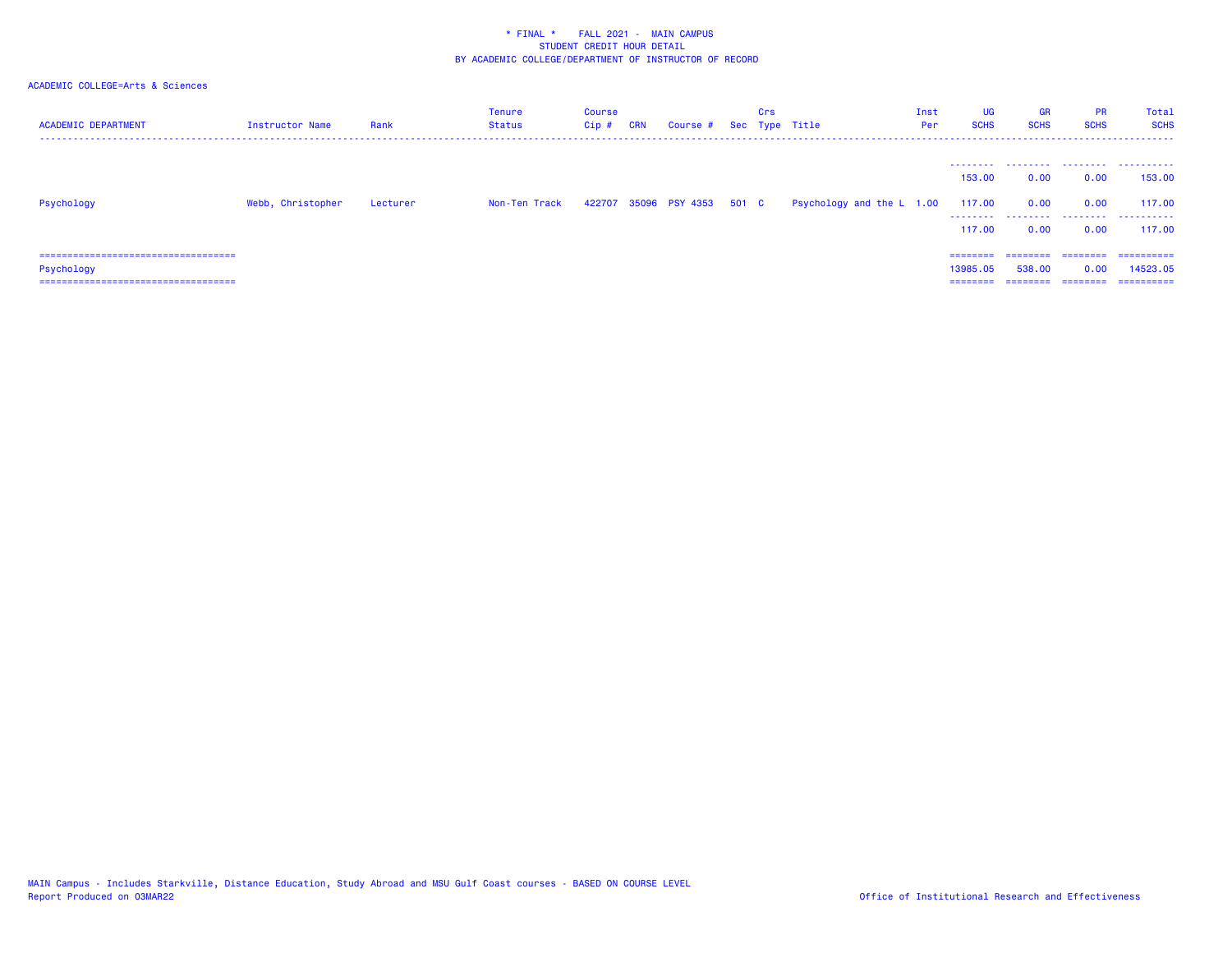| <b>ACADEMIC DEPARTMENT</b>                                                                  | Instructor Name   | Rank     | Tenure<br>Status | <b>Course</b><br>Cip# | <b>CRN</b> | Course # Sec Type Title     | Crs |                           | Inst<br>Per | UG<br><b>SCHS</b>                         | <b>GR</b><br><b>SCHS</b> | <b>PR</b><br><b>SCHS</b> | Total<br><b>SCHS</b><br>---------------- |
|---------------------------------------------------------------------------------------------|-------------------|----------|------------------|-----------------------|------------|-----------------------------|-----|---------------------------|-------------|-------------------------------------------|--------------------------|--------------------------|------------------------------------------|
|                                                                                             |                   |          |                  |                       |            |                             |     |                           |             | --------<br>153,00                        | .<br>0.00                | .<br>0.00                | .<br>153,00                              |
| Psychology                                                                                  | Webb, Christopher | Lecturer | Non-Ten Track    |                       |            | 422707 35096 PSY 4353 501 C |     | Psychology and the L 1.00 |             | 117.00<br>--------                        | 0.00<br>.                | 0.00<br>.                | 117,00<br>.                              |
|                                                                                             |                   |          |                  |                       |            |                             |     |                           |             | 117,00                                    | 0.00                     | 0.00                     | 117,00                                   |
| ====================================<br>Psychology<br>===================================== |                   |          |                  |                       |            |                             |     |                           |             | $=$ = = = = = = =<br>13985.05<br>======== | 538,00                   | 0.00<br>=======          | ==========<br>14523.05<br>==========     |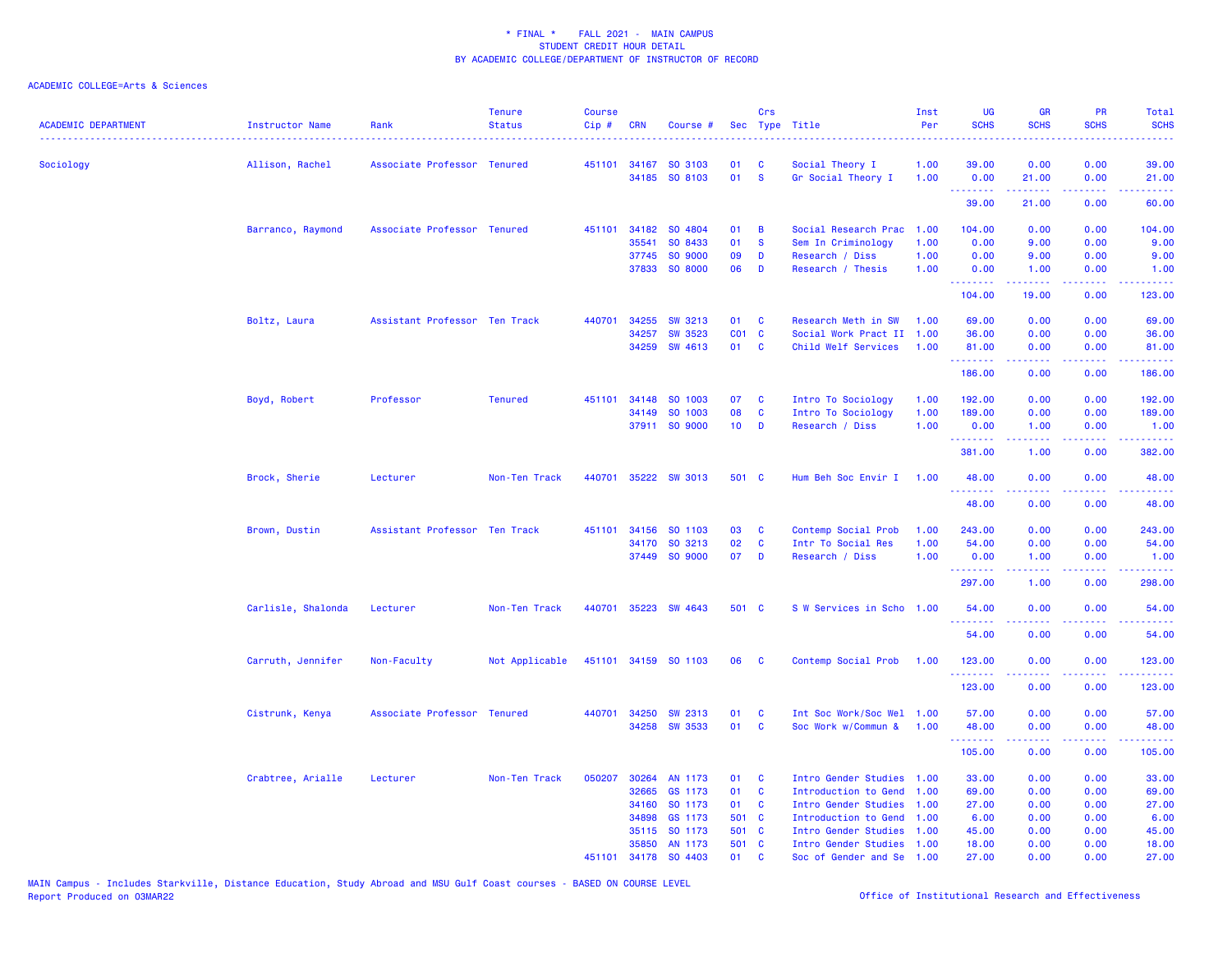| <b>ACADEMIC DEPARTMENT</b> | Instructor Name    | Rank                          | <b>Tenure</b><br><b>Status</b> | Course<br>Cip# | <b>CRN</b> | Course #             |                 | Crs          | Sec Type Title            | Inst<br>Per | <b>UG</b><br><b>SCHS</b>                             | <b>GR</b><br><b>SCHS</b> | <b>PR</b><br><b>SCHS</b>            | Total<br><b>SCHS</b><br><b>.</b> .                                                                                              |
|----------------------------|--------------------|-------------------------------|--------------------------------|----------------|------------|----------------------|-----------------|--------------|---------------------------|-------------|------------------------------------------------------|--------------------------|-------------------------------------|---------------------------------------------------------------------------------------------------------------------------------|
| Sociology                  | Allison, Rachel    | Associate Professor Tenured   |                                |                |            | 451101 34167 SO 3103 | 01              | C            | Social Theory I           | 1.00        | 39.00                                                | 0.00                     | 0.00                                | 39.00                                                                                                                           |
|                            |                    |                               |                                |                |            | 34185 SO 8103        | 01              | $\mathbf{s}$ | Gr Social Theory I        | 1.00        | 0.00<br>.                                            | 21.00<br>د د د د د       | 0.00<br>والمحامر                    | 21.00<br>وعاعاها                                                                                                                |
|                            |                    |                               |                                |                |            |                      |                 |              |                           |             | 39.00                                                | 21.00                    | 0.00                                | 60.00                                                                                                                           |
|                            | Barranco, Raymond  | Associate Professor Tenured   |                                |                |            | 451101 34182 SO 4804 | 01              | B            | Social Research Prac      | 1.00        | 104.00                                               | 0.00                     | 0.00                                | 104.00                                                                                                                          |
|                            |                    |                               |                                |                | 35541      | SO 8433              | 01              | $\mathbf{s}$ | Sem In Criminology        | 1.00        | 0.00                                                 | 9.00                     | 0.00                                | 9.00                                                                                                                            |
|                            |                    |                               |                                |                |            | 37745 SO 9000        | 09              | D            | Research / Diss           | 1.00        | 0.00                                                 | 9.00                     | 0.00                                | 9.00                                                                                                                            |
|                            |                    |                               |                                |                |            | 37833 SO 8000        | 06              | D            | Research / Thesis         | 1.00        | 0.00<br>.                                            | 1.00                     | 0.00<br>2222                        | 1.00                                                                                                                            |
|                            |                    |                               |                                |                |            |                      |                 |              |                           |             | 104.00                                               | 19.00                    | 0.00                                | 123.00                                                                                                                          |
|                            | Boltz, Laura       | Assistant Professor Ten Track |                                | 440701         |            | 34255 SW 3213        | 01              | $\mathbf{C}$ | Research Meth in SW       | 1.00        | 69.00                                                | 0.00                     | 0.00                                | 69.00                                                                                                                           |
|                            |                    |                               |                                |                | 34257      | <b>SW 3523</b>       | CO1 C           |              | Social Work Pract II      | 1.00        | 36.00                                                | 0.00                     | 0.00                                | 36.00                                                                                                                           |
|                            |                    |                               |                                |                | 34259      | SW 4613              | 01              | <b>C</b>     | Child Welf Services       | 1.00        | 81.00<br><u>.</u>                                    | 0.00<br>.                | 0.00<br>$\sim$ $\sim$ $\sim$ $\sim$ | 81.00<br>.                                                                                                                      |
|                            |                    |                               |                                |                |            |                      |                 |              |                           |             | 186.00                                               | 0.00                     | 0.00                                | 186.00                                                                                                                          |
|                            | Boyd, Robert       | Professor                     | <b>Tenured</b>                 | 451101         |            | 34148 SO 1003        | 07              | C            | Intro To Sociology        | 1.00        | 192.00                                               | 0.00                     | 0.00                                | 192.00                                                                                                                          |
|                            |                    |                               |                                |                |            | 34149 SO 1003        | 08              | $\mathbf{C}$ | Intro To Sociology        | 1.00        | 189.00                                               | 0.00                     | 0.00                                | 189.00                                                                                                                          |
|                            |                    |                               |                                |                |            | 37911 SO 9000        | 10 <sub>1</sub> | D            | Research / Diss           | 1.00        | 0.00                                                 | 1.00                     | 0.00                                | 1.00                                                                                                                            |
|                            |                    |                               |                                |                |            |                      |                 |              |                           |             | .<br>381.00                                          | 22222<br>1.00            | .<br>0.00                           | $\begin{array}{cccccccccc} \bullet & \bullet & \bullet & \bullet & \bullet & \bullet & \bullet & \bullet \end{array}$<br>382.00 |
|                            | Brock, Sherie      | Lecturer                      | Non-Ten Track                  | 440701         |            | 35222 SW 3013        | 501 C           |              | Hum Beh Soc Envir I       | 1.00        | 48.00                                                | 0.00                     | 0.00                                | 48.00                                                                                                                           |
|                            |                    |                               |                                |                |            |                      |                 |              |                           |             | .<br>48.00                                           | 0.00                     | والمحامر<br>0.00                    | .<br>48.00                                                                                                                      |
|                            | Brown, Dustin      | Assistant Professor Ten Track |                                | 451101         | 34156      | SO 1103              | 03              | C            | Contemp Social Prob       | 1.00        | 243.00                                               | 0.00                     | 0.00                                | 243.00                                                                                                                          |
|                            |                    |                               |                                |                |            | 34170 SO 3213        | 02              | C            | Intr To Social Res        | 1.00        | 54.00                                                | 0.00                     | 0.00                                | 54.00                                                                                                                           |
|                            |                    |                               |                                |                |            | 37449 SO 9000        | 07              | D            | Research / Diss           | 1.00        | 0.00                                                 | 1.00                     | 0.00                                | 1.00                                                                                                                            |
|                            |                    |                               |                                |                |            |                      |                 |              |                           |             | <b><i><u><u> - - - - - - -</u></u></i></b><br>297.00 | 22222<br>1.00            | .<br>0.00                           | $\begin{array}{cccccccccc} \bullet & \bullet & \bullet & \bullet & \bullet & \bullet & \bullet \end{array}$<br>298.00           |
|                            | Carlisle, Shalonda | Lecturer                      | Non-Ten Track                  | 440701         |            | 35223 SW 4643        | 501 C           |              | S W Services in Scho 1.00 |             | 54.00                                                | 0.00                     | 0.00                                | 54.00                                                                                                                           |
|                            |                    |                               |                                |                |            |                      |                 |              |                           |             | .<br>54.00                                           | .<br>0.00                | .<br>0.00                           | <u>.</u><br>54.00                                                                                                               |
|                            | Carruth, Jennifer  | Non-Faculty                   | Not Applicable                 |                |            | 451101 34159 SO 1103 | 06              | $\mathbf{C}$ | Contemp Social Prob       | 1.00        | 123.00                                               | 0.00                     | 0.00                                | 123.00                                                                                                                          |
|                            |                    |                               |                                |                |            |                      |                 |              |                           |             | .<br>123.00                                          | 0.00                     | .<br>0.00                           | 123.00                                                                                                                          |
|                            | Cistrunk, Kenya    | Associate Professor Tenured   |                                | 440701         | 34250      | <b>SW 2313</b>       | 01              | <b>C</b>     | Int Soc Work/Soc Wel 1.00 |             | 57.00                                                | 0.00                     | 0.00                                | 57.00                                                                                                                           |
|                            |                    |                               |                                |                |            | 34258 SW 3533        | 01              | C            | Soc Work w/Commun &       | 1.00        | 48.00                                                | 0.00                     | 0.00                                | 48.00                                                                                                                           |
|                            |                    |                               |                                |                |            |                      |                 |              |                           |             | <u>.</u><br>105.00                                   | .<br>0.00                | .<br>0.00                           | المستما<br>105.00                                                                                                               |
|                            | Crabtree, Arialle  | Lecturer                      | Non-Ten Track                  | 050207         |            | 30264 AN 1173        | 01              | <b>C</b>     | Intro Gender Studies 1.00 |             | 33.00                                                | 0.00                     | 0.00                                | 33.00                                                                                                                           |
|                            |                    |                               |                                |                | 32665      | GS 1173              | 01              | <b>C</b>     | Introduction to Gend      | 1.00        | 69.00                                                | 0.00                     | 0.00                                | 69.00                                                                                                                           |
|                            |                    |                               |                                |                | 34160      | SO 1173              | 01              | <b>C</b>     | Intro Gender Studies      | 1.00        | 27.00                                                | 0.00                     | 0.00                                | 27.00                                                                                                                           |
|                            |                    |                               |                                |                | 34898      | GS 1173              | 501 C           |              | Introduction to Gend 1.00 |             | 6.00                                                 | 0.00                     | 0.00                                | 6.00                                                                                                                            |
|                            |                    |                               |                                |                | 35115      | SO 1173              | 501 C           |              | Intro Gender Studies      | 1.00        | 45.00                                                | 0.00                     | 0.00                                | 45.00                                                                                                                           |
|                            |                    |                               |                                |                | 35850      | AN 1173              | 501 C           |              | Intro Gender Studies 1.00 |             | 18.00                                                | 0.00                     | 0.00                                | 18.00                                                                                                                           |
|                            |                    |                               |                                | 451101         |            | 34178 SO 4403        | 01              | <b>C</b>     | Soc of Gender and Se 1.00 |             | 27,00                                                | 0.00                     | 0.00                                | 27.00                                                                                                                           |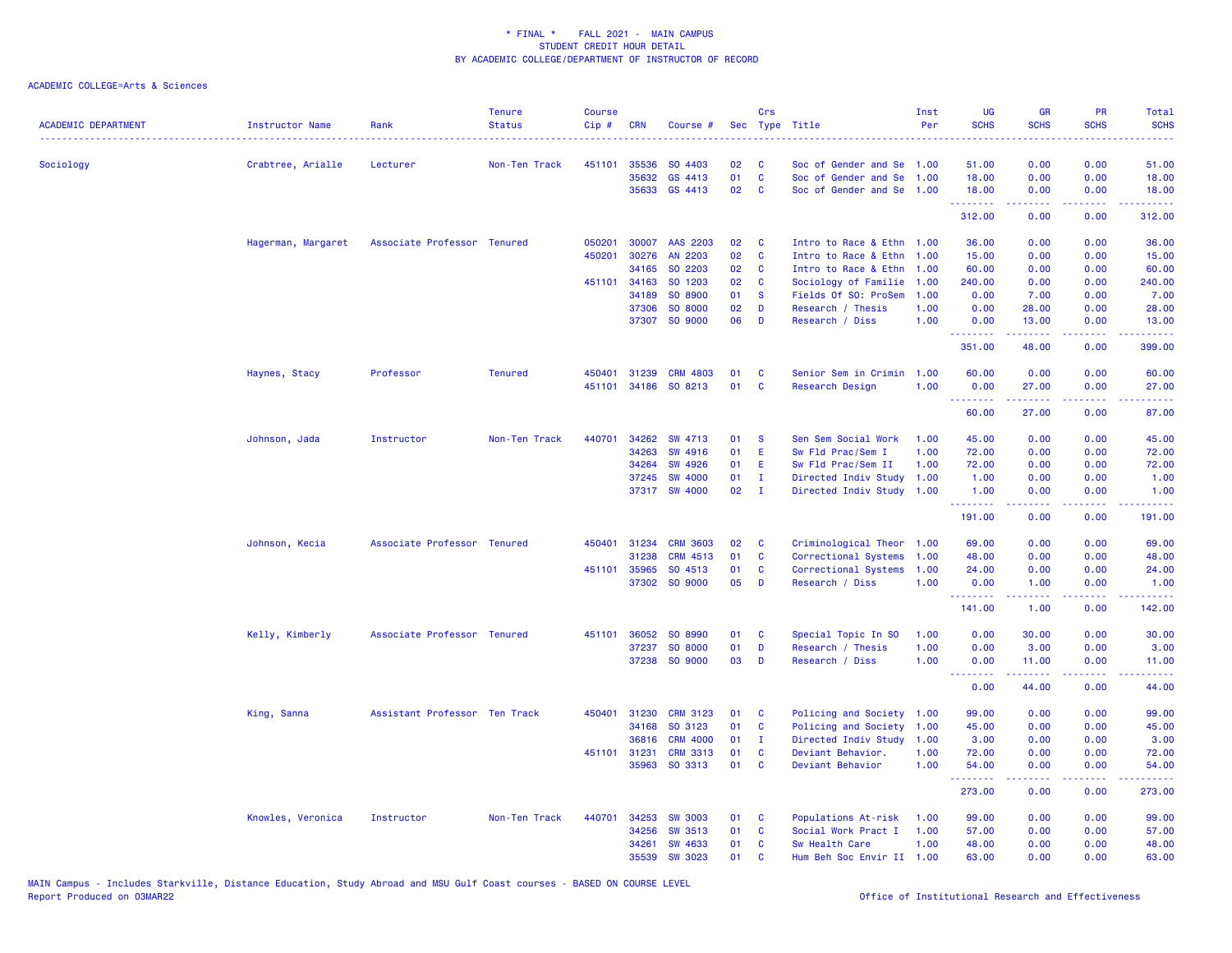| <b>ACADEMIC DEPARTMENT</b> | Instructor Name    | Rank                          | <b>Tenure</b><br><b>Status</b> | <b>Course</b><br>Cip# | <b>CRN</b>   | Course #        |    | Crs            | Sec Type Title            | Inst<br>Per | <b>UG</b><br><b>SCHS</b> | <b>GR</b><br><b>SCHS</b>      | <b>PR</b><br><b>SCHS</b>            | Total<br><b>SCHS</b><br>$\frac{1}{2} \left( \frac{1}{2} \right) \left( \frac{1}{2} \right) \left( \frac{1}{2} \right) \left( \frac{1}{2} \right)$ |
|----------------------------|--------------------|-------------------------------|--------------------------------|-----------------------|--------------|-----------------|----|----------------|---------------------------|-------------|--------------------------|-------------------------------|-------------------------------------|---------------------------------------------------------------------------------------------------------------------------------------------------|
| Sociology                  | Crabtree, Arialle  | Lecturer                      | Non-Ten Track                  |                       | 451101 35536 | SO 4403         | 02 | C              | Soc of Gender and Se 1.00 |             | 51.00                    | 0.00                          | 0.00                                | 51.00                                                                                                                                             |
|                            |                    |                               |                                |                       | 35632        | GS 4413         | 01 | $\mathbf{C}$   | Soc of Gender and Se      | 1.00        | 18.00                    | 0.00                          | 0.00                                | 18.00                                                                                                                                             |
|                            |                    |                               |                                |                       |              | 35633 GS 4413   | 02 | C              | Soc of Gender and Se 1.00 |             | 18.00                    | 0.00                          | 0.00                                | 18.00                                                                                                                                             |
|                            |                    |                               |                                |                       |              |                 |    |                |                           |             | .<br>312.00              | المستملة<br>0.00              | .<br>0.00                           | $\frac{1}{2}$ , $\frac{1}{2}$ , $\frac{1}{2}$ , $\frac{1}{2}$<br>312.00                                                                           |
|                            | Hagerman, Margaret | Associate Professor Tenured   |                                | 050201                | 30007        | AAS 2203        | 02 | C              | Intro to Race & Ethn 1.00 |             | 36.00                    | 0.00                          | 0.00                                | 36.00                                                                                                                                             |
|                            |                    |                               |                                | 450201                | 30276        | AN 2203         | 02 | C              | Intro to Race & Ethn 1.00 |             | 15.00                    | 0.00                          | 0.00                                | 15.00                                                                                                                                             |
|                            |                    |                               |                                |                       | 34165        | SO 2203         | 02 | <b>C</b>       | Intro to Race & Ethn 1.00 |             | 60.00                    | 0.00                          | 0.00                                | 60.00                                                                                                                                             |
|                            |                    |                               |                                |                       | 451101 34163 | SO 1203         | 02 | $\mathbf{C}$   | Sociology of Familie      | 1.00        | 240.00                   | 0.00                          | 0.00                                | 240.00                                                                                                                                            |
|                            |                    |                               |                                |                       | 34189        | SO 8900         | 01 | <b>S</b>       | Fields Of SO: ProSem      | 1.00        | 0.00                     | 7.00                          | 0.00                                | 7.00                                                                                                                                              |
|                            |                    |                               |                                |                       | 37306        | SO 8000         | 02 | D              | Research / Thesis         | 1.00        | 0.00                     | 28.00                         | 0.00                                | 28.00                                                                                                                                             |
|                            |                    |                               |                                |                       |              | 37307 SO 9000   | 06 | D              | Research / Diss           | 1.00        | 0.00<br>.                | 13.00<br>المستملة             | 0.00<br>.                           | 13.00<br>.                                                                                                                                        |
|                            |                    |                               |                                |                       |              |                 |    |                |                           |             | 351.00                   | 48.00                         | 0.00                                | 399.00                                                                                                                                            |
|                            | Haynes, Stacy      | Professor                     | <b>Tenured</b>                 | 450401                | 31239        | <b>CRM 4803</b> | 01 | C              | Senior Sem in Crimin      | 1.00        | 60.00                    | 0.00                          | 0.00                                | 60.00                                                                                                                                             |
|                            |                    |                               |                                | 451101                | 34186        | SO 8213         | 01 | $\mathbf{C}$   | Research Design           | 1.00        | 0.00                     | 27.00                         | 0.00                                | 27.00                                                                                                                                             |
|                            |                    |                               |                                |                       |              |                 |    |                |                           |             | .<br>60.00               | د د د د د<br>27.00            | .<br>0.00                           | .<br>87.00                                                                                                                                        |
|                            | Johnson, Jada      | Instructor                    | Non-Ten Track                  | 440701                | 34262        | SW 4713         | 01 | <b>S</b>       | Sen Sem Social Work       | 1.00        | 45.00                    | 0.00                          | 0.00                                | 45.00                                                                                                                                             |
|                            |                    |                               |                                |                       | 34263        | SW 4916         | 01 | E              | Sw Fld Prac/Sem I         | 1.00        | 72.00                    | 0.00                          | 0.00                                | 72.00                                                                                                                                             |
|                            |                    |                               |                                |                       | 34264        | <b>SW 4926</b>  | 01 | E.             | Sw Fld Prac/Sem II        | 1.00        | 72.00                    | 0.00                          | 0.00                                | 72.00                                                                                                                                             |
|                            |                    |                               |                                |                       | 37245        | <b>SW 4000</b>  | 01 | $\mathbf{I}$   | Directed Indiv Study      | 1.00        | 1.00                     | 0.00                          | 0.00                                | 1.00                                                                                                                                              |
|                            |                    |                               |                                |                       |              | 37317 SW 4000   | 02 | $\blacksquare$ | Directed Indiv Study 1.00 |             | 1.00                     | 0.00                          | 0.00                                | 1.00                                                                                                                                              |
|                            |                    |                               |                                |                       |              |                 |    |                |                           |             | <u>.</u><br>191.00       | .<br>0.00                     | $\sim$ $\sim$ $\sim$ $\sim$<br>0.00 | .<br>191.00                                                                                                                                       |
|                            | Johnson, Kecia     | Associate Professor Tenured   |                                |                       | 450401 31234 | <b>CRM 3603</b> | 02 | C              | Criminological Theor 1.00 |             | 69.00                    | 0.00                          | 0.00                                | 69.00                                                                                                                                             |
|                            |                    |                               |                                |                       | 31238        | <b>CRM 4513</b> | 01 | C              | Correctional Systems      | 1.00        | 48.00                    | 0.00                          | 0.00                                | 48.00                                                                                                                                             |
|                            |                    |                               |                                | 451101                | 35965        | SO 4513         | 01 | C              | Correctional Systems      | 1.00        | 24.00                    | 0.00                          | 0.00                                | 24.00                                                                                                                                             |
|                            |                    |                               |                                |                       |              | 37302 SO 9000   | 05 | D              | Research / Diss           | 1.00        | 0.00                     | 1.00                          | 0.00                                | 1.00                                                                                                                                              |
|                            |                    |                               |                                |                       |              |                 |    |                |                           |             | .<br>141.00              | 1.00                          | د د د د<br>0.00                     | 142.00                                                                                                                                            |
|                            | Kelly, Kimberly    | Associate Professor Tenured   |                                | 451101                | 36052        | SO 8990         | 01 | C              | Special Topic In SO       | 1.00        | 0.00                     | 30.00                         | 0.00                                | 30.00                                                                                                                                             |
|                            |                    |                               |                                |                       | 37237        | SO 8000         | 01 | D              | Research / Thesis         | 1.00        | 0.00                     | 3.00                          | 0.00                                | 3.00                                                                                                                                              |
|                            |                    |                               |                                |                       |              | 37238 SO 9000   | 03 | D              | Research / Diss           | 1.00        | 0.00                     | 11.00                         | 0.00                                | 11.00                                                                                                                                             |
|                            |                    |                               |                                |                       |              |                 |    |                |                           |             | <u>.</u><br>0.00         | المستمال<br>44.00             | بالأباب<br>0.00                     | .<br>44.00                                                                                                                                        |
|                            | King, Sanna        | Assistant Professor Ten Track |                                | 450401                | 31230        | <b>CRM 3123</b> | 01 | C              | Policing and Society 1.00 |             | 99.00                    | 0.00                          | 0.00                                | 99.00                                                                                                                                             |
|                            |                    |                               |                                |                       | 34168        | SO 3123         | 01 | C              | Policing and Society      | 1.00        | 45.00                    | 0.00                          | 0.00                                | 45.00                                                                                                                                             |
|                            |                    |                               |                                |                       | 36816        | <b>CRM 4000</b> | 01 | $\mathbf{I}$   | Directed Indiv Study      | 1.00        | 3.00                     | 0.00                          | 0.00                                | 3.00                                                                                                                                              |
|                            |                    |                               |                                |                       | 451101 31231 | <b>CRM 3313</b> | 01 | <b>C</b>       | Deviant Behavior.         | 1.00        | 72.00                    | 0.00                          | 0.00                                | 72.00                                                                                                                                             |
|                            |                    |                               |                                |                       |              | 35963 SO 3313   | 01 | C              | Deviant Behavior          | 1.00        | 54.00                    | 0.00<br><b><i><u></u></i></b> | 0.00<br>بالأباب                     | 54.00<br>.                                                                                                                                        |
|                            |                    |                               |                                |                       |              |                 |    |                |                           |             | --------<br>273.00       | 0.00                          | 0.00                                | 273.00                                                                                                                                            |
|                            | Knowles, Veronica  | Instructor                    | Non-Ten Track                  | 440701                | 34253        | <b>SW 3003</b>  | 01 | C              | Populations At-risk       | 1.00        | 99.00                    | 0.00                          | 0.00                                | 99.00                                                                                                                                             |
|                            |                    |                               |                                |                       | 34256        | <b>SW 3513</b>  | 01 | C              | Social Work Pract I       | 1.00        | 57.00                    | 0.00                          | 0.00                                | 57.00                                                                                                                                             |
|                            |                    |                               |                                |                       | 34261        | <b>SW 4633</b>  | 01 | C              | Sw Health Care            | 1.00        | 48.00                    | 0.00                          | 0.00                                | 48.00                                                                                                                                             |
|                            |                    |                               |                                |                       | 35539        | <b>SW 3023</b>  | 01 | C              | Hum Beh Soc Envir II      | 1.00        | 63.00                    | 0.00                          | 0.00                                | 63.00                                                                                                                                             |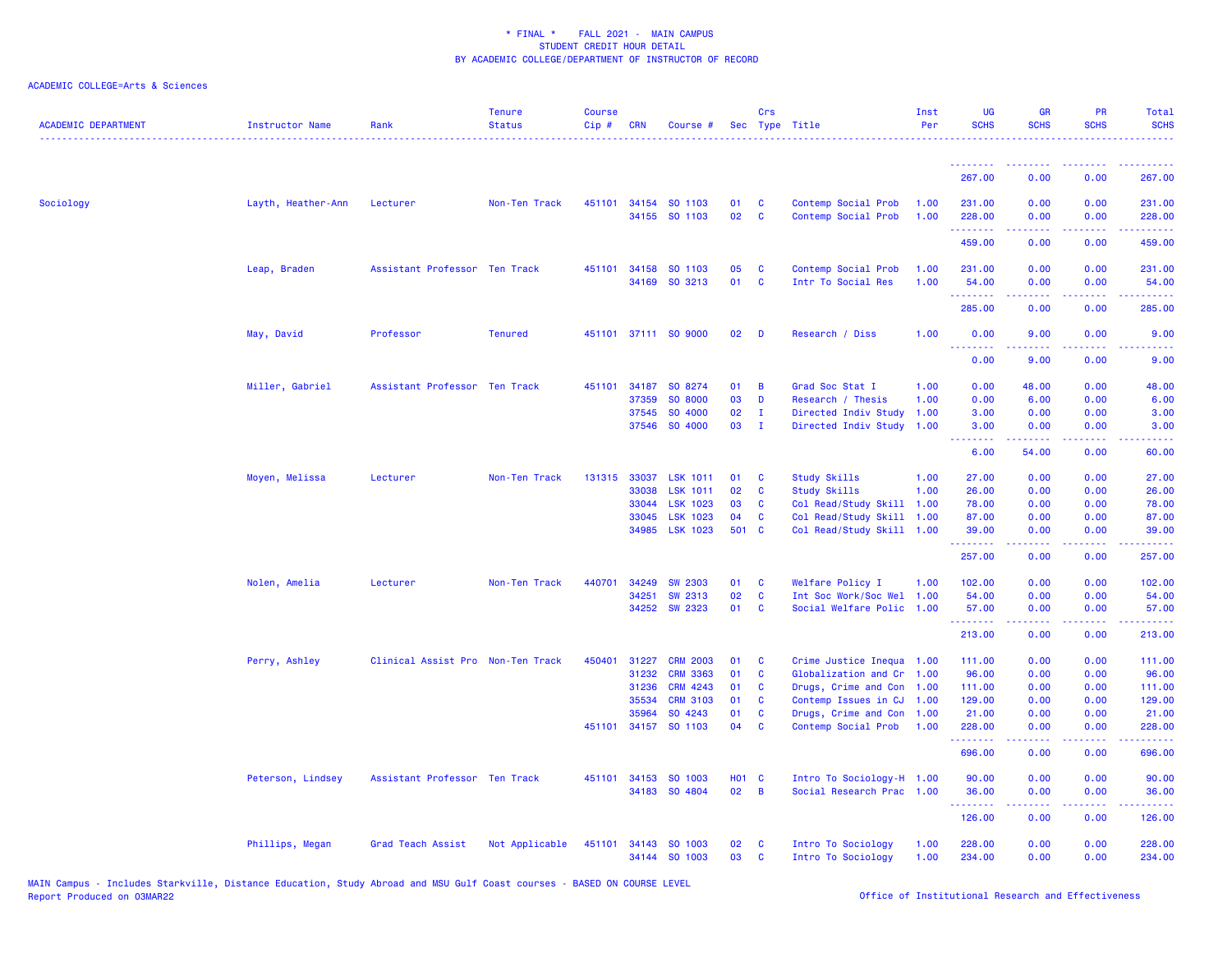| <b>ACADEMIC DEPARTMENT</b> | Instructor Name    | Rank                              | <b>Tenure</b><br><b>Status</b> | <b>Course</b><br>Cip# | <b>CRN</b> | Course #                              |            | Crs               | Sec Type Title                             | Inst<br>Per  | UG<br><b>SCHS</b>     | <b>GR</b><br><b>SCHS</b> | PR<br><b>SCHS</b>                                                                                                                 | Total<br><b>SCHS</b>                                                                                                                                           |
|----------------------------|--------------------|-----------------------------------|--------------------------------|-----------------------|------------|---------------------------------------|------------|-------------------|--------------------------------------------|--------------|-----------------------|--------------------------|-----------------------------------------------------------------------------------------------------------------------------------|----------------------------------------------------------------------------------------------------------------------------------------------------------------|
|                            |                    |                                   |                                |                       |            |                                       |            |                   |                                            |              |                       |                          |                                                                                                                                   |                                                                                                                                                                |
|                            |                    |                                   |                                |                       |            |                                       |            |                   |                                            |              | 267.00                | 0.00                     | 0.00                                                                                                                              | 267.00                                                                                                                                                         |
| Sociology                  | Layth, Heather-Ann | Lecturer                          | Non-Ten Track                  |                       |            | 451101 34154 SO 1103<br>34155 SO 1103 | 01<br>02   | C<br>C            | Contemp Social Prob<br>Contemp Social Prob | 1.00<br>1.00 | 231.00<br>228.00<br>. | 0.00<br>0.00<br>.        | 0.00<br>0.00<br>.                                                                                                                 | 231.00<br>228.00<br>.                                                                                                                                          |
|                            |                    |                                   |                                |                       |            |                                       |            |                   |                                            |              | 459.00                | 0.00                     | 0.00                                                                                                                              | 459.00                                                                                                                                                         |
|                            | Leap, Braden       | Assistant Professor Ten Track     |                                | 451101                | 34169      | 34158 SO 1103<br>SO 3213              | 05<br>01   | C<br>$\mathbf{C}$ | Contemp Social Prob<br>Intr To Social Res  | 1.00<br>1.00 | 231.00<br>54.00       | 0.00<br>0.00             | 0.00<br>0.00                                                                                                                      | 231.00<br>54.00                                                                                                                                                |
|                            |                    |                                   |                                |                       |            |                                       |            |                   |                                            |              | .<br>285.00           | .<br>0.00                | د د د د .<br>0.00                                                                                                                 | $\frac{1}{2} \left( \frac{1}{2} \right) \left( \frac{1}{2} \right) \left( \frac{1}{2} \right) \left( \frac{1}{2} \right) \left( \frac{1}{2} \right)$<br>285.00 |
|                            | May, David         | Professor                         | <b>Tenured</b>                 | 451101                |            | 37111 SO 9000                         | 02         | D                 | Research / Diss                            | 1.00         | 0.00<br>.             | 9.00                     | 0.00<br><b><i><u><u>.</u></u></i></b>                                                                                             | 9.00                                                                                                                                                           |
|                            |                    |                                   |                                |                       |            |                                       |            |                   |                                            |              | 0.00                  | 9.00                     | 0.00                                                                                                                              | 9.00                                                                                                                                                           |
|                            | Miller, Gabriel    | Assistant Professor Ten Track     |                                | 451101                | 34187      | SO 8274                               | 01         | B                 | Grad Soc Stat I                            | 1.00         | 0.00                  | 48.00                    | 0.00                                                                                                                              | 48.00                                                                                                                                                          |
|                            |                    |                                   |                                |                       | 37359      | SO 8000                               | 03         | D                 | Research / Thesis                          | 1.00         | 0.00                  | 6.00                     | 0.00                                                                                                                              | 6.00                                                                                                                                                           |
|                            |                    |                                   |                                |                       |            | 37545 SO 4000                         | 02         | $\mathbf{I}$      | Directed Indiv Study                       | 1.00         | 3.00                  | 0.00                     | 0.00                                                                                                                              | 3.00                                                                                                                                                           |
|                            |                    |                                   |                                |                       |            | 37546 SO 4000                         | 03         | $\mathbf{I}$      | Directed Indiv Study                       | 1.00         | 3.00<br><u>.</u>      | 0.00<br>22222            | 0.00<br>.                                                                                                                         | 3.00<br>. د د د د                                                                                                                                              |
|                            |                    |                                   |                                |                       |            |                                       |            |                   |                                            |              | 6.00                  | 54.00                    | 0.00                                                                                                                              | 60.00                                                                                                                                                          |
|                            | Moyen, Melissa     | Lecturer                          | Non-Ten Track                  | 131315                | 33037      | <b>LSK 1011</b>                       | 01         | C                 | <b>Study Skills</b>                        | 1.00         | 27.00                 | 0.00                     | 0.00                                                                                                                              | 27.00                                                                                                                                                          |
|                            |                    |                                   |                                |                       | 33038      | <b>LSK 1011</b>                       | 02         | C                 | Study Skills                               | 1.00         | 26.00                 | 0.00                     | 0.00                                                                                                                              | 26.00                                                                                                                                                          |
|                            |                    |                                   |                                |                       | 33044      | <b>LSK 1023</b>                       | 03         | C                 | Col Read/Study Skill 1.00                  |              | 78.00                 | 0.00                     | 0.00                                                                                                                              | 78.00                                                                                                                                                          |
|                            |                    |                                   |                                |                       | 33045      | <b>LSK 1023</b>                       | 04         | $\mathbf{C}$      | Col Read/Study Skill 1.00                  |              | 87.00                 | 0.00                     | 0.00                                                                                                                              | 87.00                                                                                                                                                          |
|                            |                    |                                   |                                |                       |            | 34985 LSK 1023                        | 501 C      |                   | Col Read/Study Skill 1.00                  |              | 39.00<br>.            | 0.00<br>.                | 0.00<br>$\frac{1}{2} \left( \frac{1}{2} \right) \left( \frac{1}{2} \right) \left( \frac{1}{2} \right) \left( \frac{1}{2} \right)$ | 39.00<br>22222)                                                                                                                                                |
|                            |                    |                                   |                                |                       |            |                                       |            |                   |                                            |              | 257.00                | 0.00                     | 0.00                                                                                                                              | 257.00                                                                                                                                                         |
|                            | Nolen, Amelia      | Lecturer                          | Non-Ten Track                  | 440701                | 34249      | <b>SW 2303</b>                        | 01         | C                 | Welfare Policy I                           | 1.00         | 102.00                | 0.00                     | 0.00                                                                                                                              | 102.00                                                                                                                                                         |
|                            |                    |                                   |                                |                       | 34251      | <b>SW 2313</b>                        | 02         | C                 | Int Soc Work/Soc Wel                       | 1.00         | 54.00                 | 0.00                     | 0.00                                                                                                                              | 54.00                                                                                                                                                          |
|                            |                    |                                   |                                |                       |            | 34252 SW 2323                         | 01         | <b>C</b>          | Social Welfare Polic                       | 1.00         | 57.00<br>.            | 0.00<br>.                | 0.00<br>.                                                                                                                         | 57.00<br><u>.</u>                                                                                                                                              |
|                            |                    |                                   |                                |                       |            |                                       |            |                   |                                            |              | 213.00                | 0.00                     | 0.00                                                                                                                              | 213.00                                                                                                                                                         |
|                            | Perry, Ashley      | Clinical Assist Pro Non-Ten Track |                                | 450401                | 31227      | <b>CRM 2003</b>                       | 01         | C                 | Crime Justice Inequa 1.00                  |              | 111.00                | 0.00                     | 0.00                                                                                                                              | 111.00                                                                                                                                                         |
|                            |                    |                                   |                                |                       | 31232      | <b>CRM 3363</b>                       | 01         | C                 | Globalization and Cr 1.00                  |              | 96.00                 | 0.00                     | 0.00                                                                                                                              | 96.00                                                                                                                                                          |
|                            |                    |                                   |                                |                       | 31236      | <b>CRM 4243</b>                       | 01         | C                 | Drugs, Crime and Con 1.00                  |              | 111.00                | 0.00                     | 0.00                                                                                                                              | 111.00                                                                                                                                                         |
|                            |                    |                                   |                                |                       | 35534      | <b>CRM 3103</b>                       | 01         | C                 | Contemp Issues in CJ                       | 1.00         | 129.00                | 0.00                     | 0.00                                                                                                                              | 129.00                                                                                                                                                         |
|                            |                    |                                   |                                |                       | 35964      | SO 4243                               | 01         | C                 | Drugs, Crime and Con                       | 1.00         | 21.00                 | 0.00                     | 0.00                                                                                                                              | 21.00                                                                                                                                                          |
|                            |                    |                                   |                                |                       |            | 451101 34157 SO 1103                  | 04         | C                 | Contemp Social Prob                        | 1.00         | 228.00<br>.           | 0.00<br>.                | 0.00<br>.                                                                                                                         | 228.00<br>. <u>.</u> .                                                                                                                                         |
|                            |                    |                                   |                                |                       |            |                                       |            |                   |                                            |              | 696.00                | 0.00                     | 0.00                                                                                                                              | 696.00                                                                                                                                                         |
|                            | Peterson, Lindsey  | Assistant Professor Ten Track     |                                | 451101                | 34153      | SO 1003                               | <b>HO1</b> | $\mathbf{C}$      | Intro To Sociology-H 1.00                  |              | 90.00                 | 0.00                     | 0.00                                                                                                                              | 90.00                                                                                                                                                          |
|                            |                    |                                   |                                |                       |            | 34183 SO 4804                         | 02         | B                 | Social Research Prac 1.00                  |              | 36.00<br>.            | 0.00<br>.                | 0.00<br>د د د د .                                                                                                                 | 36.00<br>22222                                                                                                                                                 |
|                            |                    |                                   |                                |                       |            |                                       |            |                   |                                            |              | 126.00                | 0.00                     | 0.00                                                                                                                              | 126.00                                                                                                                                                         |
|                            | Phillips, Megan    | Grad Teach Assist                 | Not Applicable                 | 451101                |            | 34143 SO 1003<br>34144 SO 1003        | 02<br>03   | C<br>C            | Intro To Sociology<br>Intro To Sociology   | 1.00<br>1.00 | 228.00<br>234.00      | 0.00<br>0.00             | 0.00<br>0.00                                                                                                                      | 228.00<br>234.00                                                                                                                                               |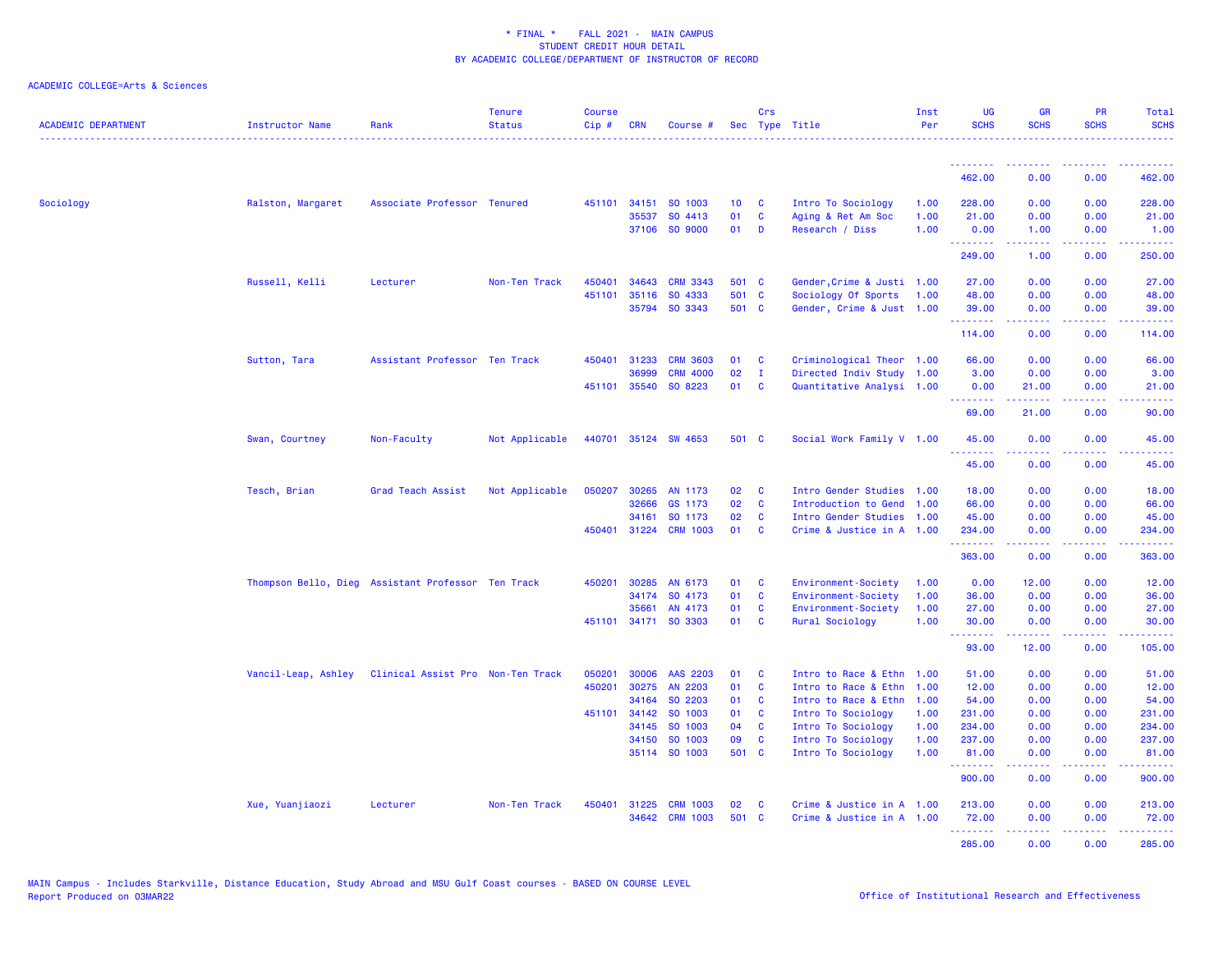| <b>ACADEMIC DEPARTMENT</b> | Instructor Name                                    | Rank                              | <b>Tenure</b><br><b>Status</b> | <b>Course</b><br>Cip# | CRN          | Course #              |                 | Crs          | Sec Type Title             | Inst<br>Per | <b>UG</b><br><b>SCHS</b> | <b>GR</b><br><b>SCHS</b> | <b>PR</b><br><b>SCHS</b> | Total<br><b>SCHS</b>                                                                                                                                           |
|----------------------------|----------------------------------------------------|-----------------------------------|--------------------------------|-----------------------|--------------|-----------------------|-----------------|--------------|----------------------------|-------------|--------------------------|--------------------------|--------------------------|----------------------------------------------------------------------------------------------------------------------------------------------------------------|
|                            |                                                    |                                   |                                |                       |              |                       |                 |              |                            |             | <u>.</u>                 |                          |                          |                                                                                                                                                                |
|                            |                                                    |                                   |                                |                       |              |                       |                 |              |                            |             | 462.00                   | 0.00                     | 0.00                     | 462,00                                                                                                                                                         |
| Sociology                  | Ralston, Margaret                                  | Associate Professor Tenured       |                                |                       | 451101 34151 | SO 1003               | 10 <sub>1</sub> | C            | Intro To Sociology         | 1.00        | 228.00                   | 0.00                     | 0.00                     | 228.00                                                                                                                                                         |
|                            |                                                    |                                   |                                |                       | 35537        | SO 4413               | 01              | C            | Aging & Ret Am Soc         | 1.00        | 21.00                    | 0.00                     | 0.00                     | 21.00                                                                                                                                                          |
|                            |                                                    |                                   |                                |                       |              | 37106 SO 9000         | 01              | D            | Research / Diss            | 1.00        | 0.00<br>.                | 1.00<br>.                | 0.00<br>بالمحامي         | 1.00<br>22222                                                                                                                                                  |
|                            |                                                    |                                   |                                |                       |              |                       |                 |              |                            |             | 249.00                   | 1.00                     | 0.00                     | 250.00                                                                                                                                                         |
|                            | Russell, Kelli                                     | Lecturer                          | Non-Ten Track                  | 450401                | 34643        | <b>CRM 3343</b>       | 501 C           |              | Gender, Crime & Justi 1.00 |             | 27.00                    | 0.00                     | 0.00                     | 27.00                                                                                                                                                          |
|                            |                                                    |                                   |                                | 451101                | 35116        | SO 4333               | 501 C           |              | Sociology Of Sports        | 1.00        | 48.00                    | 0.00                     | 0.00                     | 48.00                                                                                                                                                          |
|                            |                                                    |                                   |                                |                       |              | 35794 SO 3343         | 501 C           |              | Gender, Crime & Just 1.00  |             | 39.00<br>.               | 0.00<br>.                | 0.00<br>22222            | 39.00<br><u>.</u>                                                                                                                                              |
|                            |                                                    |                                   |                                |                       |              |                       |                 |              |                            |             | 114.00                   | 0.00                     | 0.00                     | 114.00                                                                                                                                                         |
|                            | Sutton, Tara                                       | Assistant Professor Ten Track     |                                | 450401                | 31233        | <b>CRM 3603</b>       | 01              | C            | Criminological Theor 1.00  |             | 66.00                    | 0.00                     | 0.00                     | 66.00                                                                                                                                                          |
|                            |                                                    |                                   |                                |                       | 36999        | <b>CRM 4000</b>       | 02              | $\mathbf{I}$ | Directed Indiv Study 1.00  |             | 3.00                     | 0.00                     | 0.00                     | 3.00                                                                                                                                                           |
|                            |                                                    |                                   |                                |                       | 451101 35540 | SO 8223               | 01              | C            | Quantitative Analysi 1.00  |             | 0.00<br>.                | 21.00<br>.               | 0.00<br>د د د د          | 21.00<br>.                                                                                                                                                     |
|                            |                                                    |                                   |                                |                       |              |                       |                 |              |                            |             | 69.00                    | 21.00                    | 0.00                     | 90.00                                                                                                                                                          |
|                            | Swan, Courtney                                     | Non-Faculty                       | Not Applicable                 | 440701                |              | 35124 SW 4653         | 501 C           |              | Social Work Family V 1.00  |             | 45.00<br>2.2.2.2.2.2     | 0.00                     | 0.00                     | 45.00                                                                                                                                                          |
|                            |                                                    |                                   |                                |                       |              |                       |                 |              |                            |             | 45.00                    | 0.00                     | 0.00                     | 45.00                                                                                                                                                          |
|                            | Tesch, Brian                                       | Grad Teach Assist                 | Not Applicable                 | 050207                | 30265        | AN 1173               | 02              | <b>C</b>     | Intro Gender Studies 1.00  |             | 18.00                    | 0.00                     | 0.00                     | 18.00                                                                                                                                                          |
|                            |                                                    |                                   |                                |                       | 32666        | GS 1173               | 02              | C            | Introduction to Gend       | 1.00        | 66.00                    | 0.00                     | 0.00                     | 66.00                                                                                                                                                          |
|                            |                                                    |                                   |                                |                       | 34161        | SO 1173               | 02              | $\mathbf{C}$ | Intro Gender Studies 1.00  |             | 45.00                    | 0.00                     | 0.00                     | 45.00                                                                                                                                                          |
|                            |                                                    |                                   |                                |                       |              | 450401 31224 CRM 1003 | 01              | $\mathbf{C}$ | Crime & Justice in A 1.00  |             | 234.00<br>.              | 0.00<br>الدامات مال      | 0.00<br>22222            | 234.00<br>$\frac{1}{2} \left( \frac{1}{2} \right) \left( \frac{1}{2} \right) \left( \frac{1}{2} \right) \left( \frac{1}{2} \right) \left( \frac{1}{2} \right)$ |
|                            |                                                    |                                   |                                |                       |              |                       |                 |              |                            |             | 363.00                   | 0.00                     | 0.00                     | 363.00                                                                                                                                                         |
|                            | Thompson Bello, Dieg Assistant Professor Ten Track |                                   |                                | 450201                | 30285        | AN 6173               | 01              | C            | Environment-Society        | 1.00        | 0.00                     | 12.00                    | 0.00                     | 12.00                                                                                                                                                          |
|                            |                                                    |                                   |                                |                       | 34174        | SO 4173               | 01              | C            | Environment-Society        | 1.00        | 36.00                    | 0.00                     | 0.00                     | 36.00                                                                                                                                                          |
|                            |                                                    |                                   |                                |                       | 35661        | AN 4173               | 01              | C            | Environment-Society        | 1.00        | 27.00                    | 0.00                     | 0.00                     | 27.00                                                                                                                                                          |
|                            |                                                    |                                   |                                | 451101                |              | 34171 SO 3303         | 01              | <b>C</b>     | Rural Sociology            | 1.00        | 30.00<br>.               | 0.00<br>22222            | 0.00                     | 30.00<br>.                                                                                                                                                     |
|                            |                                                    |                                   |                                |                       |              |                       |                 |              |                            |             | 93.00                    | 12.00                    | 0.00                     | 105.00                                                                                                                                                         |
|                            | Vancil-Leap, Ashley                                | Clinical Assist Pro Non-Ten Track |                                | 050201                | 30006        | AAS 2203              | 01              | C            | Intro to Race & Ethn 1.00  |             | 51.00                    | 0.00                     | 0.00                     | 51.00                                                                                                                                                          |
|                            |                                                    |                                   |                                | 450201                | 30275        | AN 2203               | 01              | C            | Intro to Race & Ethn       | 1.00        | 12.00                    | 0.00                     | 0.00                     | 12.00                                                                                                                                                          |
|                            |                                                    |                                   |                                |                       | 34164        | SO 2203               | 01              | <b>C</b>     | Intro to Race & Ethn       | 1.00        | 54.00                    | 0.00                     | 0.00                     | 54.00                                                                                                                                                          |
|                            |                                                    |                                   |                                |                       | 451101 34142 | SO 1003               | 01              | <b>C</b>     | Intro To Sociology         | 1.00        | 231.00                   | 0.00                     | 0.00                     | 231.00                                                                                                                                                         |
|                            |                                                    |                                   |                                |                       | 34145        | SO 1003               | 04              | <b>C</b>     | Intro To Sociology         | 1.00        | 234.00                   | 0.00                     | 0.00                     | 234.00                                                                                                                                                         |
|                            |                                                    |                                   |                                |                       | 34150        | SO 1003               | 09              | C            | Intro To Sociology         | 1.00        | 237.00                   | 0.00                     | 0.00                     | 237.00                                                                                                                                                         |
|                            |                                                    |                                   |                                |                       |              | 35114 SO 1003         | 501 C           |              | Intro To Sociology         | 1.00        | 81.00<br>.               | 0.00<br>.                | 0.00<br>.                | 81.00<br>وعاعاته عامل                                                                                                                                          |
|                            |                                                    |                                   |                                |                       |              |                       |                 |              |                            |             | 900.00                   | 0.00                     | 0.00                     | 900.00                                                                                                                                                         |
|                            | Xue, Yuanjiaozi                                    | Lecturer                          | Non-Ten Track                  | 450401                | 31225        | <b>CRM 1003</b>       | 02              | C            | Crime & Justice in A 1.00  |             | 213.00                   | 0.00                     | 0.00                     | 213.00                                                                                                                                                         |
|                            |                                                    |                                   |                                |                       |              | 34642 CRM 1003        | 501             | <b>C</b>     | Crime & Justice in A 1.00  |             | 72.00                    | 0.00                     | 0.00                     | 72.00                                                                                                                                                          |
|                            |                                                    |                                   |                                |                       |              |                       |                 |              |                            |             | .<br>285.00              | .<br>0.00                | د د د د<br>0.00          | المتمام ماما<br>285,00                                                                                                                                         |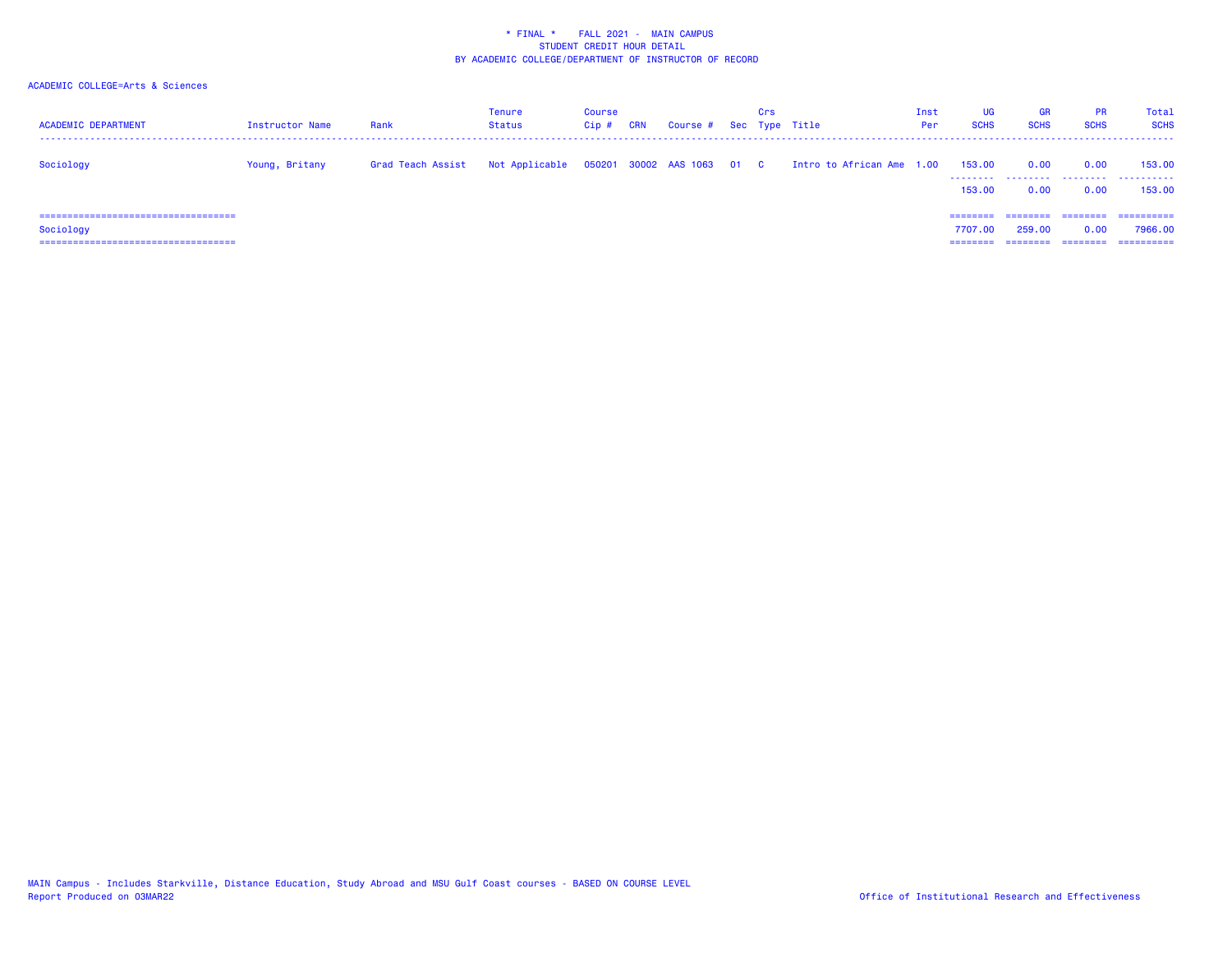| <b>ACADEMIC DEPARTMENT</b>                                                                  | Instructor Name | Rank              | Tenure<br><b>Status</b> | Course<br>Cip ; | <b>CRN</b> | Course # Sec Type Title    | Crs |                           | Inst<br>Per | <b>UG</b><br><b>SCHS</b>     | <b>GR</b><br><b>SCHS</b> | <b>PR</b><br><b>SCHS</b>     | Total<br><b>SCHS</b>                 |
|---------------------------------------------------------------------------------------------|-----------------|-------------------|-------------------------|-----------------|------------|----------------------------|-----|---------------------------|-------------|------------------------------|--------------------------|------------------------------|--------------------------------------|
| Sociology                                                                                   | Young, Britany  | Grad Teach Assist | Not Applicable          |                 |            | 050201 30002 AAS 1063 01 C |     | Intro to African Ame 1.00 |             | 153,00<br>--------<br>153,00 | 0.00<br>.<br>0.00        | 0.00<br>.<br>0.00            | 153,00<br>.<br>153,00                |
| =====================================<br>Sociology<br>===================================== |                 |                   |                         |                 |            |                            |     |                           |             | 7707.00<br>=====             | .<br>259,00<br>-------   | ========<br>0.00<br>======== | -----------<br>7966.00<br>========== |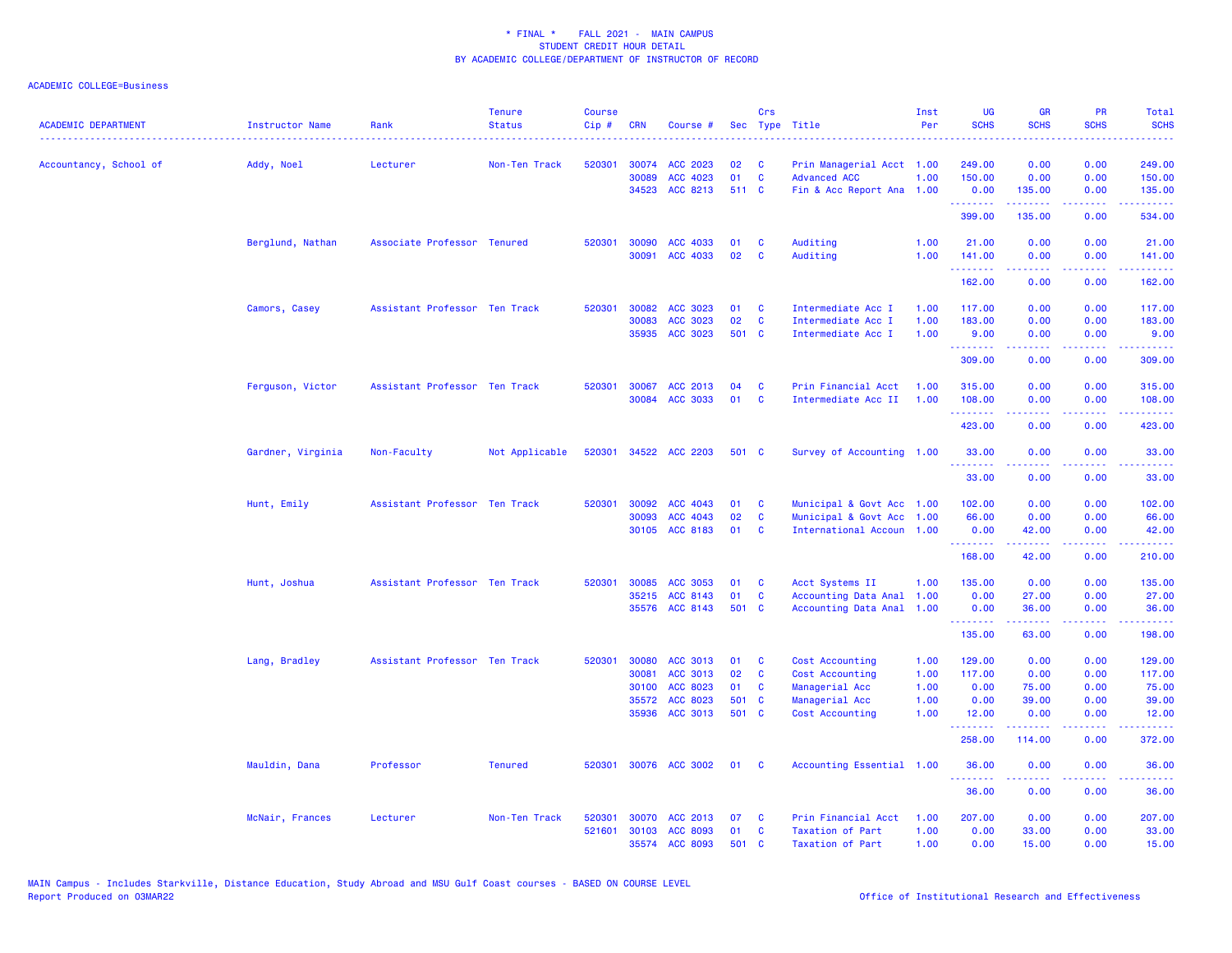| <b>ACADEMIC DEPARTMENT</b> | Instructor Name   | Rank                          | <b>Tenure</b><br><b>Status</b> | <b>Course</b><br>Cip# | <b>CRN</b> | Course #        |       | Crs          | Sec Type Title            | Inst<br>Per | UG<br><b>SCHS</b>   | <b>GR</b><br><b>SCHS</b>                                                                                                                                                                | <b>PR</b><br><b>SCHS</b>                                                                                                          | Total<br><b>SCHS</b>                                                                                                                                           |
|----------------------------|-------------------|-------------------------------|--------------------------------|-----------------------|------------|-----------------|-------|--------------|---------------------------|-------------|---------------------|-----------------------------------------------------------------------------------------------------------------------------------------------------------------------------------------|-----------------------------------------------------------------------------------------------------------------------------------|----------------------------------------------------------------------------------------------------------------------------------------------------------------|
|                            |                   |                               | .                              |                       |            |                 |       |              |                           |             |                     |                                                                                                                                                                                         | المالمانية الم                                                                                                                    | .                                                                                                                                                              |
| Accountancy, School of     | Addy, Noel        | Lecturer                      | Non-Ten Track                  | 520301                | 30074      | ACC 2023        | 02    | <b>C</b>     | Prin Managerial Acct 1.00 |             | 249.00              | 0.00                                                                                                                                                                                    | 0.00                                                                                                                              | 249.00                                                                                                                                                         |
|                            |                   |                               |                                |                       | 30089      | ACC 4023        | 01    | $\mathbf{C}$ | <b>Advanced ACC</b>       | 1.00        | 150.00              | 0.00                                                                                                                                                                                    | 0.00                                                                                                                              | 150.00                                                                                                                                                         |
|                            |                   |                               |                                |                       | 34523      | ACC 8213        | 511 C |              | Fin & Acc Report Ana 1.00 |             | 0.00<br>.           | 135.00<br><u> - - - - - - - -</u>                                                                                                                                                       | 0.00<br>.                                                                                                                         | 135.00<br><b></b>                                                                                                                                              |
|                            |                   |                               |                                |                       |            |                 |       |              |                           |             | 399.00              | 135.00                                                                                                                                                                                  | 0.00                                                                                                                              | 534.00                                                                                                                                                         |
|                            | Berglund, Nathan  | Associate Professor Tenured   |                                | 520301                | 30090      | ACC 4033        | 01    | C            | Auditing                  | 1.00        | 21.00               | 0.00                                                                                                                                                                                    | 0.00                                                                                                                              | 21.00                                                                                                                                                          |
|                            |                   |                               |                                |                       | 30091      | ACC 4033        | 02    | C            | Auditing                  | 1.00        | 141.00<br>.         | 0.00<br>.                                                                                                                                                                               | 0.00<br>$   -$                                                                                                                    | 141.00<br><u>.</u>                                                                                                                                             |
|                            |                   |                               |                                |                       |            |                 |       |              |                           |             | 162.00              | 0.00                                                                                                                                                                                    | 0.00                                                                                                                              | 162.00                                                                                                                                                         |
|                            | Camors, Casey     | Assistant Professor Ten Track |                                | 520301                | 30082      | ACC 3023        | 01    | C            | Intermediate Acc I        | 1.00        | 117.00              | 0.00                                                                                                                                                                                    | 0.00                                                                                                                              | 117.00                                                                                                                                                         |
|                            |                   |                               |                                |                       | 30083      | ACC 3023        | 02    | C            | Intermediate Acc I        | 1.00        | 183.00              | 0.00                                                                                                                                                                                    | 0.00                                                                                                                              | 183.00                                                                                                                                                         |
|                            |                   |                               |                                |                       |            | 35935 ACC 3023  | 501 C |              | Intermediate Acc I        | 1.00        | 9.00<br>.           | 0.00<br>22222                                                                                                                                                                           | 0.00                                                                                                                              | 9.00<br>.                                                                                                                                                      |
|                            |                   |                               |                                |                       |            |                 |       |              |                           |             | 309.00              | 0.00                                                                                                                                                                                    | 0.00                                                                                                                              | 309.00                                                                                                                                                         |
|                            | Ferguson, Victor  | Assistant Professor Ten Track |                                | 520301                | 30067      | ACC 2013        | 04    | C            | Prin Financial Acct       | 1.00        | 315.00              | 0.00                                                                                                                                                                                    | 0.00                                                                                                                              | 315.00                                                                                                                                                         |
|                            |                   |                               |                                |                       | 30084      | <b>ACC 3033</b> | 01    | C            | Intermediate Acc II       | 1.00        | 108,00              | 0.00                                                                                                                                                                                    | 0.00                                                                                                                              | 108.00                                                                                                                                                         |
|                            |                   |                               |                                |                       |            |                 |       |              |                           |             | .<br>423.00         | .<br>0.00                                                                                                                                                                               | $\frac{1}{2} \left( \frac{1}{2} \right) \left( \frac{1}{2} \right) \left( \frac{1}{2} \right) \left( \frac{1}{2} \right)$<br>0.00 | $\frac{1}{2} \left( \frac{1}{2} \right) \left( \frac{1}{2} \right) \left( \frac{1}{2} \right) \left( \frac{1}{2} \right) \left( \frac{1}{2} \right)$<br>423.00 |
|                            | Gardner, Virginia | Non-Faculty                   | Not Applicable                 | 520301                |            | 34522 ACC 2203  | 501 C |              | Survey of Accounting 1.00 |             | 33.00               | 0.00                                                                                                                                                                                    | 0.00                                                                                                                              | 33.00                                                                                                                                                          |
|                            |                   |                               |                                |                       |            |                 |       |              |                           |             | . <u>.</u><br>33.00 | 0.00                                                                                                                                                                                    | 0.00                                                                                                                              | 33.00                                                                                                                                                          |
|                            | Hunt, Emily       | Assistant Professor Ten Track |                                | 520301                | 30092      | ACC 4043        | 01    | C            | Municipal & Govt Acc 1.00 |             | 102.00              | 0.00                                                                                                                                                                                    | 0.00                                                                                                                              | 102.00                                                                                                                                                         |
|                            |                   |                               |                                |                       | 30093      | ACC 4043        | 02    | $\mathbf{C}$ | Municipal & Govt Acc      | 1.00        | 66.00               | 0.00                                                                                                                                                                                    | 0.00                                                                                                                              | 66.00                                                                                                                                                          |
|                            |                   |                               |                                |                       | 30105      | ACC 8183        | 01    | <b>C</b>     | International Accoun 1.00 |             | 0.00                | 42.00                                                                                                                                                                                   | 0.00                                                                                                                              | 42.00                                                                                                                                                          |
|                            |                   |                               |                                |                       |            |                 |       |              |                           |             | .<br>168.00         | .<br>42.00                                                                                                                                                                              | .<br>0.00                                                                                                                         | <b></b><br>210.00                                                                                                                                              |
|                            | Hunt, Joshua      | Assistant Professor Ten Track |                                | 520301                | 30085      | <b>ACC 3053</b> | 01    | C            | Acct Systems II           | 1.00        | 135.00              | 0.00                                                                                                                                                                                    | 0.00                                                                                                                              | 135.00                                                                                                                                                         |
|                            |                   |                               |                                |                       | 35215      | ACC 8143        | 01    | $\mathbf c$  | Accounting Data Anal      | 1.00        | 0.00                | 27.00                                                                                                                                                                                   | 0.00                                                                                                                              | 27.00                                                                                                                                                          |
|                            |                   |                               |                                |                       |            | 35576 ACC 8143  | 501 C |              | Accounting Data Anal      | 1.00        | 0.00<br>.           | 36.00<br>بالأبادي                                                                                                                                                                       | 0.00                                                                                                                              | 36.00                                                                                                                                                          |
|                            |                   |                               |                                |                       |            |                 |       |              |                           |             | 135.00              | 63.00                                                                                                                                                                                   | .<br>0.00                                                                                                                         | .<br>198.00                                                                                                                                                    |
|                            | Lang, Bradley     | Assistant Professor Ten Track |                                | 520301                | 30080      | ACC 3013        | 01    | C            | Cost Accounting           | 1.00        | 129.00              | 0.00                                                                                                                                                                                    | 0.00                                                                                                                              | 129.00                                                                                                                                                         |
|                            |                   |                               |                                |                       | 30081      | ACC 3013        | 02    | C            | Cost Accounting           | 1.00        | 117.00              | 0.00                                                                                                                                                                                    | 0.00                                                                                                                              | 117.00                                                                                                                                                         |
|                            |                   |                               |                                |                       | 30100      | ACC 8023        | 01    | <b>C</b>     | Managerial Acc            | 1.00        | 0.00                | 75.00                                                                                                                                                                                   | 0.00                                                                                                                              | 75.00                                                                                                                                                          |
|                            |                   |                               |                                |                       | 35572      | ACC 8023        | 501 C |              | Managerial Acc            | 1.00        | 0.00                | 39.00                                                                                                                                                                                   | 0.00                                                                                                                              | 39.00                                                                                                                                                          |
|                            |                   |                               |                                |                       | 35936      | ACC 3013        | 501 C |              | Cost Accounting           | 1.00        | 12.00<br>.          | 0.00<br>$\frac{1}{2} \left( \frac{1}{2} \right) \left( \frac{1}{2} \right) \left( \frac{1}{2} \right) \left( \frac{1}{2} \right) \left( \frac{1}{2} \right) \left( \frac{1}{2} \right)$ | 0.00<br>$\sim$ $\sim$ $\sim$                                                                                                      | 12.00<br>وعامامات                                                                                                                                              |
|                            |                   |                               |                                |                       |            |                 |       |              |                           |             | 258.00              | 114.00                                                                                                                                                                                  | 0.00                                                                                                                              | 372.00                                                                                                                                                         |
|                            | Mauldin, Dana     | Professor                     | <b>Tenured</b>                 | 520301                |            | 30076 ACC 3002  | 01    | <b>C</b>     | Accounting Essential 1.00 |             | 36.00<br>.          | 0.00                                                                                                                                                                                    | 0.00                                                                                                                              | 36.00                                                                                                                                                          |
|                            |                   |                               |                                |                       |            |                 |       |              |                           |             | 36.00               | 0.00                                                                                                                                                                                    | 0.00                                                                                                                              | 36.00                                                                                                                                                          |
|                            | McNair, Frances   | Lecturer                      | Non-Ten Track                  | 520301                |            | 30070 ACC 2013  | 07    | - C          | Prin Financial Acct       | 1.00        | 207.00              | 0.00                                                                                                                                                                                    | 0.00                                                                                                                              | 207.00                                                                                                                                                         |
|                            |                   |                               |                                | 521601                | 30103      | ACC 8093        | 01    | C            | Taxation of Part          | 1.00        | 0.00                | 33.00                                                                                                                                                                                   | 0.00                                                                                                                              | 33.00                                                                                                                                                          |
|                            |                   |                               |                                |                       |            | 35574 ACC 8093  | 501 C |              | <b>Taxation of Part</b>   | 1.00        | 0.00                | 15.00                                                                                                                                                                                   | 0.00                                                                                                                              | 15.00                                                                                                                                                          |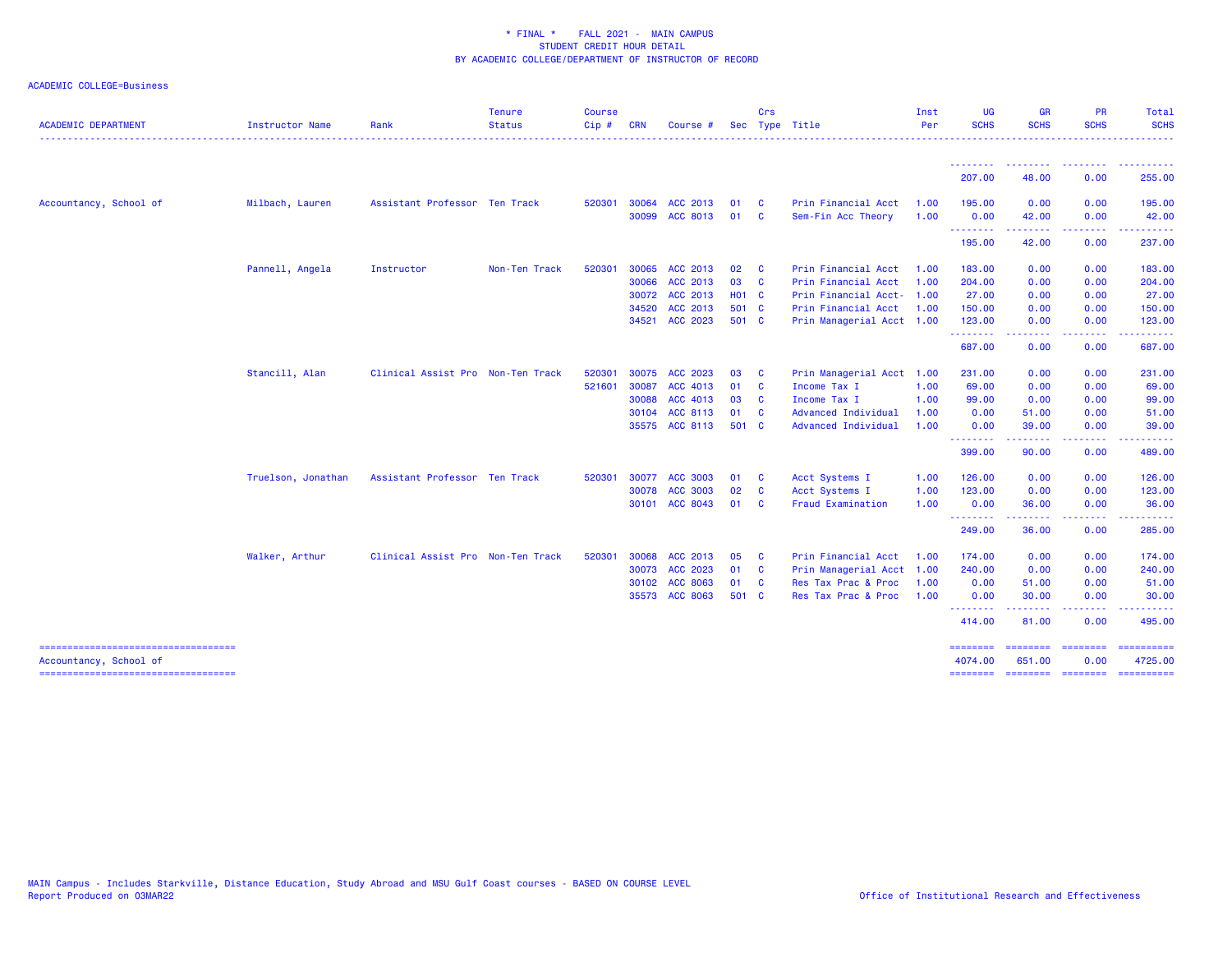| <b>ACADEMIC DEPARTMENT</b>          | Instructor Name    | Rank                              | <b>Tenure</b><br><b>Status</b> | <b>Course</b><br>$Cip$ # |       | <b>Course</b>   |              | Crs          | Sec Type Title            | Inst<br>Per | <b>UG</b><br><b>SCHS</b>  | <b>GR</b><br><b>SCHS</b>                   | <b>PR</b><br><b>SCHS</b>                                                                                                          | Total<br><b>SCHS</b>                            |
|-------------------------------------|--------------------|-----------------------------------|--------------------------------|--------------------------|-------|-----------------|--------------|--------------|---------------------------|-------------|---------------------------|--------------------------------------------|-----------------------------------------------------------------------------------------------------------------------------------|-------------------------------------------------|
|                                     |                    |                                   |                                |                          |       |                 |              |              |                           |             |                           |                                            |                                                                                                                                   |                                                 |
|                                     |                    |                                   |                                |                          |       |                 |              |              |                           |             | - - - - - - - -<br>207.00 | 48.00                                      | 0.00                                                                                                                              | 255.00                                          |
|                                     |                    |                                   |                                |                          |       |                 |              |              |                           |             |                           |                                            |                                                                                                                                   |                                                 |
| Accountancy, School of              | Milbach, Lauren    | Assistant Professor Ten Track     |                                | 520301                   | 30064 | ACC 2013        | 01           | $\mathbf{C}$ | Prin Financial Acct       | 1.00        | 195.00                    | 0.00                                       | 0.00                                                                                                                              | 195.00                                          |
|                                     |                    |                                   |                                |                          | 30099 | ACC 8013        | 01           | $\mathbf{C}$ | Sem-Fin Acc Theory        | 1.00        | 0.00<br>--------          | 42.00<br>.                                 | 0.00<br>$\frac{1}{2} \left( \frac{1}{2} \right) \left( \frac{1}{2} \right) \left( \frac{1}{2} \right) \left( \frac{1}{2} \right)$ | 42.00<br><b><i><u><u>AAAAA</u></u></i></b>      |
|                                     |                    |                                   |                                |                          |       |                 |              |              |                           |             | 195.00                    | 42.00                                      | 0.00                                                                                                                              | 237.00                                          |
|                                     | Pannell, Angela    | Instructor                        | Non-Ten Track                  | 520301                   | 30065 | ACC 2013        | 02           | <b>C</b>     | Prin Financial Acct       | 1.00        | 183.00                    | 0.00                                       | 0.00                                                                                                                              | 183.00                                          |
|                                     |                    |                                   |                                |                          | 30066 | ACC 2013        | 03           | $\mathbf{C}$ | Prin Financial Acct       | 1.00        | 204.00                    | 0.00                                       | 0.00                                                                                                                              | 204.00                                          |
|                                     |                    |                                   |                                |                          |       | 30072 ACC 2013  | <b>HO1 C</b> |              | Prin Financial Acct-      | 1.00        | 27.00                     | 0.00                                       | 0.00                                                                                                                              | 27.00                                           |
|                                     |                    |                                   |                                |                          | 34520 | ACC 2013        | 501 C        |              | Prin Financial Acct       | 1.00        | 150.00                    | 0.00                                       | 0.00                                                                                                                              | 150.00                                          |
|                                     |                    |                                   |                                |                          | 34521 | ACC 2023        | 501 C        |              | Prin Managerial Acct 1.00 |             | 123.00                    | 0.00                                       | 0.00                                                                                                                              | 123.00                                          |
|                                     |                    |                                   |                                |                          |       |                 |              |              |                           |             | .<br>687.00               | .<br>0.00                                  | $\frac{1}{2} \left( \frac{1}{2} \right) \left( \frac{1}{2} \right) \left( \frac{1}{2} \right) \left( \frac{1}{2} \right)$<br>0.00 | 687.00                                          |
|                                     | Stancill, Alan     | Clinical Assist Pro Non-Ten Track |                                | 520301                   | 30075 | ACC 2023        | 03           | <b>C</b>     | Prin Managerial Acct 1.00 |             | 231.00                    | 0.00                                       | 0.00                                                                                                                              | 231.00                                          |
|                                     |                    |                                   |                                | 521601                   | 30087 | ACC 4013        | 01 C         |              | Income Tax I              | 1.00        | 69.00                     | 0.00                                       | 0.00                                                                                                                              | 69.00                                           |
|                                     |                    |                                   |                                |                          | 30088 | ACC 4013        | 03           | $\mathbf{C}$ | Income Tax I              | 1.00        | 99.00                     | 0.00                                       | 0.00                                                                                                                              | 99.00                                           |
|                                     |                    |                                   |                                |                          | 30104 | ACC 8113        | 01           | $\mathbf{C}$ | Advanced Individual       | 1.00        | 0.00                      | 51.00                                      | 0.00                                                                                                                              | 51.00                                           |
|                                     |                    |                                   |                                |                          |       | 35575 ACC 8113  | 501 C        |              | Advanced Individual       | 1.00        | 0.00<br><u>.</u>          | 39.00<br>$\omega = \omega \omega + \omega$ | 0.00<br>$\sim$ $\sim$ $\sim$ $\sim$                                                                                               | 39.00                                           |
|                                     |                    |                                   |                                |                          |       |                 |              |              |                           |             | 399.00                    | 90.00                                      | 0.00                                                                                                                              | 489.00                                          |
|                                     | Truelson, Jonathan | Assistant Professor Ten Track     |                                | 520301                   | 30077 | <b>ACC 3003</b> | 01           | <b>C</b>     | Acct Systems I            | 1.00        | 126.00                    | 0.00                                       | 0.00                                                                                                                              | 126.00                                          |
|                                     |                    |                                   |                                |                          | 30078 | <b>ACC 3003</b> | 02           | <b>C</b>     | Acct Systems I            | 1.00        | 123.00                    | 0.00                                       | 0.00                                                                                                                              | 123.00                                          |
|                                     |                    |                                   |                                |                          |       | 30101 ACC 8043  | 01           | <b>C</b>     | <b>Fraud Examination</b>  | 1.00        | 0.00                      | 36.00                                      | 0.00                                                                                                                              | 36.00                                           |
|                                     |                    |                                   |                                |                          |       |                 |              |              |                           |             | .<br>249.00               | 36.00                                      | 0.00                                                                                                                              | 285.00                                          |
|                                     | Walker, Arthur     | Clinical Assist Pro Non-Ten Track |                                | 520301                   | 30068 | ACC 2013        | 05           | <b>C</b>     | Prin Financial Acct       | 1.00        | 174.00                    | 0.00                                       | 0.00                                                                                                                              | 174.00                                          |
|                                     |                    |                                   |                                |                          | 30073 | <b>ACC 2023</b> | 01           | $\mathbf{C}$ | Prin Managerial Acct 1.00 |             | 240.00                    | 0.00                                       | 0.00                                                                                                                              | 240.00                                          |
|                                     |                    |                                   |                                |                          | 30102 | <b>ACC 8063</b> | 01 C         |              | Res Tax Prac & Proc       | 1.00        | 0.00                      | 51.00                                      | 0.00                                                                                                                              | 51.00                                           |
|                                     |                    |                                   |                                |                          |       | 35573 ACC 8063  | 501 C        |              | Res Tax Prac & Proc       | 1.00        | 0.00<br>.                 | 30.00<br>.                                 | 0.00<br>$   -$                                                                                                                    | 30.00                                           |
|                                     |                    |                                   |                                |                          |       |                 |              |              |                           |             | 414.00                    | 81.00                                      | 0.00                                                                                                                              | 495.00                                          |
| ----------------------------------- |                    |                                   |                                |                          |       |                 |              |              |                           |             |                           |                                            | --------                                                                                                                          | ==========                                      |
| Accountancy, School of              |                    |                                   |                                |                          |       |                 |              |              |                           |             | 4074.00                   | 651.00                                     | 0.00                                                                                                                              | 4725.00<br>======== ======== ======== ========= |
|                                     |                    |                                   |                                |                          |       |                 |              |              |                           |             |                           |                                            |                                                                                                                                   |                                                 |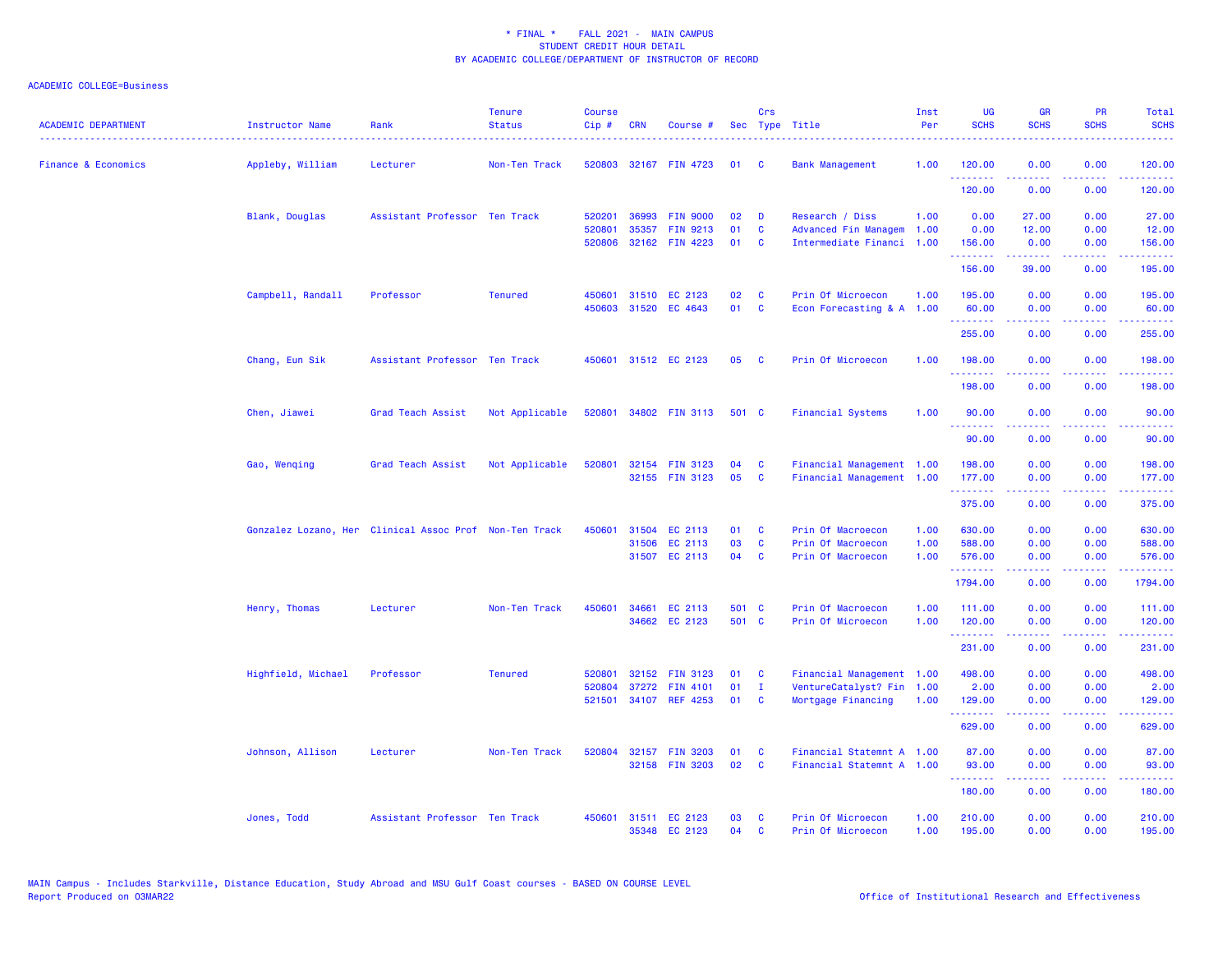| <b>ACADEMIC DEPARTMENT</b>     | <b>Instructor Name</b> | Rank                                                   | <b>Tenure</b><br><b>Status</b> | <b>Course</b><br>$Cip$ # | <b>CRN</b> | Course #                          |          | Crs                      | Sec Type Title                                         | Inst<br>Per  | <b>UG</b><br><b>SCHS</b> | <b>GR</b><br><b>SCHS</b> | <b>PR</b><br><b>SCHS</b>            | Total<br><b>SCHS</b>                                                                                                                                 |
|--------------------------------|------------------------|--------------------------------------------------------|--------------------------------|--------------------------|------------|-----------------------------------|----------|--------------------------|--------------------------------------------------------|--------------|--------------------------|--------------------------|-------------------------------------|------------------------------------------------------------------------------------------------------------------------------------------------------|
| <b>Finance &amp; Economics</b> | Appleby, William       | Lecturer                                               | Non-Ten Track                  |                          |            | 520803 32167 FIN 4723             | 01       | - C                      | <b>Bank Management</b>                                 | 1.00         | 120.00<br>.              | 0.00                     | 0.00<br>وعاويا                      | 120.00<br>.                                                                                                                                          |
|                                |                        |                                                        |                                |                          |            |                                   |          |                          |                                                        |              | 120.00                   | 0.00                     | 0.00                                | 120.00                                                                                                                                               |
|                                | Blank, Douglas         | Assistant Professor Ten Track                          |                                | 520201                   | 36993      | <b>FIN 9000</b>                   | 02       | D                        | Research / Diss                                        | 1.00         | 0.00                     | 27.00                    | 0.00                                | 27.00                                                                                                                                                |
|                                |                        |                                                        |                                | 520801                   | 35357      | FIN 9213<br>520806 32162 FIN 4223 | 01<br>01 | C<br><b>C</b>            | Advanced Fin Managem<br>Intermediate Financi           | 1.00<br>1.00 | 0.00<br>156.00           | 12.00<br>0.00            | 0.00<br>0.00                        | 12.00<br>156.00                                                                                                                                      |
|                                |                        |                                                        |                                |                          |            |                                   |          |                          |                                                        |              | .<br>156.00              | 39.00                    | $\sim$ $\sim$ $\sim$ $\sim$<br>0.00 | .<br>195.00                                                                                                                                          |
|                                | Campbell, Randall      | Professor                                              | <b>Tenured</b>                 | 450601                   |            | 31510 EC 2123                     | 02       | - C                      | Prin Of Microecon                                      | 1.00         | 195.00                   | 0.00                     | 0.00                                | 195.00                                                                                                                                               |
|                                |                        |                                                        |                                |                          |            | 450603 31520 EC 4643              | 01       | <b>C</b>                 | Econ Forecasting & A 1.00                              |              | 60.00<br>.               | 0.00<br><u>.</u>         | 0.00<br>.                           | 60.00<br><u>.</u>                                                                                                                                    |
|                                |                        |                                                        |                                |                          |            |                                   |          |                          |                                                        |              | 255.00                   | 0.00                     | 0.00                                | 255.00                                                                                                                                               |
|                                | Chang, Eun Sik         | Assistant Professor Ten Track                          |                                |                          |            | 450601 31512 EC 2123              | 05       | - C                      | Prin Of Microecon                                      | 1.00         | 198.00                   | 0.00                     | 0.00                                | 198.00                                                                                                                                               |
|                                |                        |                                                        |                                |                          |            |                                   |          |                          |                                                        |              | 198.00                   | 0.00                     | 0.00                                | 198.00                                                                                                                                               |
|                                | Chen, Jiawei           | Grad Teach Assist                                      | Not Applicable                 |                          |            | 520801 34802 FIN 3113             | 501 C    |                          | <b>Financial Systems</b>                               | 1.00         | 90.00<br>.               | 0.00<br>.                | 0.00<br>$\omega$ is a $\omega$      | 90.00<br>.                                                                                                                                           |
|                                |                        |                                                        |                                |                          |            |                                   |          |                          |                                                        |              | 90.00                    | 0.00                     | 0.00                                | 90.00                                                                                                                                                |
|                                | Gao, Wenqing           | Grad Teach Assist                                      | Not Applicable                 | 520801                   |            | 32154 FIN 3123<br>32155 FIN 3123  | 04<br>05 | <b>C</b><br>$\mathbf{C}$ | Financial Management 1.00<br>Financial Management 1.00 |              | 198.00<br>177.00         | 0.00<br>0.00             | 0.00<br>0.00                        | 198.00<br>177.00                                                                                                                                     |
|                                |                        |                                                        |                                |                          |            |                                   |          |                          |                                                        |              | <u>.</u><br>375.00       | <u>.</u><br>0.00         | د د د د .<br>0.00                   | والمواطنات المواطن<br>375.00                                                                                                                         |
|                                |                        |                                                        |                                |                          |            |                                   |          |                          |                                                        |              |                          |                          |                                     |                                                                                                                                                      |
|                                |                        | Gonzalez Lozano, Her Clinical Assoc Prof Non-Ten Track |                                | 450601                   | 31504      | EC 2113                           | 01       | C<br><b>C</b>            | Prin Of Macroecon                                      | 1.00         | 630.00                   | 0.00                     | 0.00                                | 630.00                                                                                                                                               |
|                                |                        |                                                        |                                |                          | 31506      | EC 2113<br>31507 EC 2113          | 03<br>04 | $\mathbf{C}$             | Prin Of Macroecon<br>Prin Of Macroecon                 | 1.00<br>1.00 | 588.00<br>576.00         | 0.00<br>0.00             | 0.00<br>0.00                        | 588.00<br>576.00                                                                                                                                     |
|                                |                        |                                                        |                                |                          |            |                                   |          |                          |                                                        |              | .                        | .                        | $\sim$ $\sim$ $\sim$ $\sim$         | $\frac{1}{2} \left( \frac{1}{2} \right) \left( \frac{1}{2} \right) \left( \frac{1}{2} \right) \left( \frac{1}{2} \right) \left( \frac{1}{2} \right)$ |
|                                |                        |                                                        |                                |                          |            |                                   |          |                          |                                                        |              | 1794.00                  | 0.00                     | 0.00                                | 1794.00                                                                                                                                              |
|                                | Henry, Thomas          | Lecturer                                               | Non-Ten Track                  | 450601                   |            | 34661 EC 2113                     | 501 C    |                          | Prin Of Macroecon                                      | 1.00         | 111.00                   | 0.00                     | 0.00                                | 111.00                                                                                                                                               |
|                                |                        |                                                        |                                |                          |            | 34662 EC 2123                     | 501 C    |                          | Prin Of Microecon                                      | 1.00         | 120.00<br>.              | 0.00<br>د د د د د        | 0.00<br>.                           | 120.00<br>.                                                                                                                                          |
|                                |                        |                                                        |                                |                          |            |                                   |          |                          |                                                        |              | 231.00                   | 0.00                     | 0.00                                | 231.00                                                                                                                                               |
|                                | Highfield, Michael     | Professor                                              | <b>Tenured</b>                 | 520801                   | 32152      | <b>FIN 3123</b>                   | 01       | C                        | Financial Management 1.00                              |              | 498.00                   | 0.00                     | 0.00                                | 498.00                                                                                                                                               |
|                                |                        |                                                        |                                | 520804                   |            | 37272 FIN 4101                    | 01       | $\mathbf{I}$             | VentureCatalyst? Fin 1.00                              |              | 2.00                     | 0.00                     | 0.00                                | 2.00                                                                                                                                                 |
|                                |                        |                                                        |                                |                          |            | 521501 34107 REF 4253             | 01       | <b>C</b>                 | Mortgage Financing                                     | 1.00         | 129.00<br>.              | 0.00                     | 0.00<br>. <u>.</u> .                | 129.00                                                                                                                                               |
|                                |                        |                                                        |                                |                          |            |                                   |          |                          |                                                        |              | 629.00                   | 0.00                     | 0.00                                | 629.00                                                                                                                                               |
|                                | Johnson, Allison       | Lecturer                                               | Non-Ten Track                  | 520804                   |            | 32157 FIN 3203                    | 01       | C                        | Financial Statemnt A 1.00                              |              | 87.00                    | 0.00                     | 0.00                                | 87.00                                                                                                                                                |
|                                |                        |                                                        |                                |                          |            | 32158 FIN 3203                    | 02       | C                        | Financial Statemnt A 1.00                              |              | 93.00<br>.               | 0.00<br>-----            | 0.00<br>المستبدا                    | 93.00<br>.                                                                                                                                           |
|                                |                        |                                                        |                                |                          |            |                                   |          |                          |                                                        |              | 180.00                   | 0.00                     | 0.00                                | 180.00                                                                                                                                               |
|                                | Jones, Todd            | Assistant Professor Ten Track                          |                                | 450601                   |            | 31511 EC 2123<br>35348 EC 2123    | 03<br>04 | C<br><b>C</b>            | Prin Of Microecon<br>Prin Of Microecon                 | 1.00<br>1.00 | 210.00<br>195.00         | 0.00<br>0.00             | 0.00<br>0.00                        | 210.00<br>195.00                                                                                                                                     |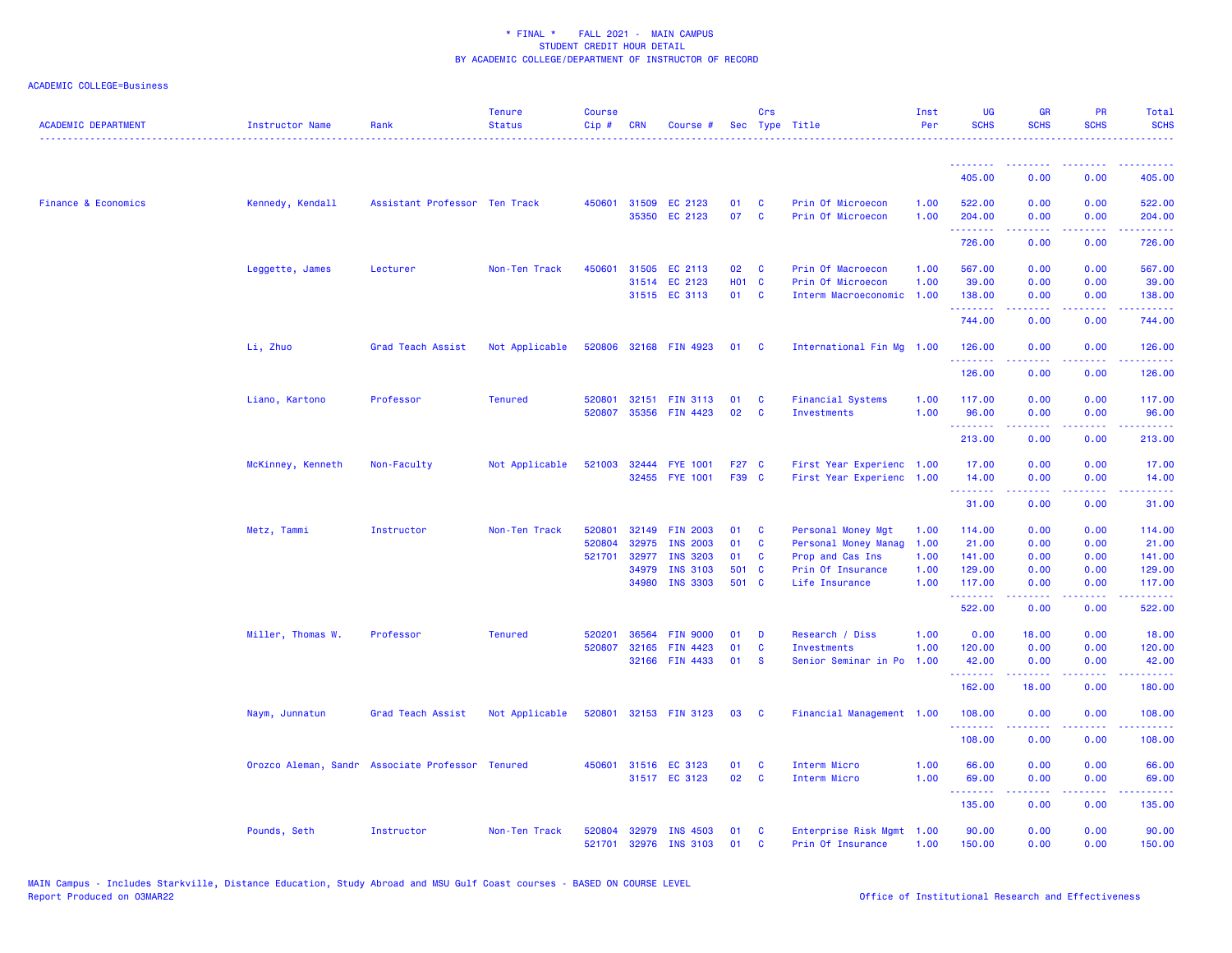| <b>ACADEMIC DEPARTMENT</b>     | <b>Instructor Name</b> | Rank                                             | <b>Tenure</b><br><b>Status</b> | <b>Course</b><br>Cip# | <b>CRN</b>            | Course #                           |                | Crs                     | Sec Type Title                            | Inst<br>Per  | <b>UG</b><br><b>SCHS</b> | <b>GR</b><br><b>SCHS</b>                                                                                                                                     | <b>PR</b><br><b>SCHS</b>            | Total<br><b>SCHS</b>                                                                                                                                           |
|--------------------------------|------------------------|--------------------------------------------------|--------------------------------|-----------------------|-----------------------|------------------------------------|----------------|-------------------------|-------------------------------------------|--------------|--------------------------|--------------------------------------------------------------------------------------------------------------------------------------------------------------|-------------------------------------|----------------------------------------------------------------------------------------------------------------------------------------------------------------|
|                                |                        |                                                  |                                |                       |                       |                                    |                |                         |                                           |              | --------                 | .                                                                                                                                                            |                                     |                                                                                                                                                                |
|                                |                        |                                                  |                                |                       |                       |                                    |                |                         |                                           |              | 405.00                   | 0.00                                                                                                                                                         | 0.00                                | 405.00                                                                                                                                                         |
| <b>Finance &amp; Economics</b> | Kennedy, Kendall       | Assistant Professor Ten Track                    |                                |                       | 450601 31509<br>35350 | EC 2123<br>EC 2123                 | 01<br>07       | <b>C</b><br><b>C</b>    | Prin Of Microecon<br>Prin Of Microecon    | 1.00<br>1.00 | 522.00<br>204.00         | 0.00<br>0.00                                                                                                                                                 | 0.00<br>0.00                        | 522.00<br>204.00                                                                                                                                               |
|                                |                        |                                                  |                                |                       |                       |                                    |                |                         |                                           |              | .<br>726.00              | $\frac{1}{2} \left( \frac{1}{2} \right) \left( \frac{1}{2} \right) \left( \frac{1}{2} \right) \left( \frac{1}{2} \right) \left( \frac{1}{2} \right)$<br>0.00 | .<br>0.00                           | $\frac{1}{2} \left( \frac{1}{2} \right) \left( \frac{1}{2} \right) \left( \frac{1}{2} \right) \left( \frac{1}{2} \right) \left( \frac{1}{2} \right)$<br>726.00 |
|                                | Leggette, James        | Lecturer                                         | Non-Ten Track                  | 450601                | 31505                 | EC 2113                            | 02             | <b>C</b>                | Prin Of Macroecon                         | 1.00         | 567.00                   | 0.00                                                                                                                                                         | 0.00                                | 567.00                                                                                                                                                         |
|                                |                        |                                                  |                                |                       |                       | 31514 EC 2123                      | <b>HO1 C</b>   |                         | Prin Of Microecon                         | 1.00         | 39.00                    | 0.00                                                                                                                                                         | 0.00                                | 39.00                                                                                                                                                          |
|                                |                        |                                                  |                                |                       |                       | 31515 EC 3113                      | 01 C           |                         | Interm Macroeconomic                      | 1.00         | 138.00<br>.              | 0.00                                                                                                                                                         | 0.00<br>$\sim$ $\sim$ $\sim$ $\sim$ | 138.00                                                                                                                                                         |
|                                |                        |                                                  |                                |                       |                       |                                    |                |                         |                                           |              | 744.00                   | 0.00                                                                                                                                                         | 0.00                                | 744.00                                                                                                                                                         |
|                                | Li, Zhuo               | Grad Teach Assist                                | Not Applicable                 |                       |                       | 520806 32168 FIN 4923              | 01 C           |                         | International Fin Mg 1.00                 |              | 126.00<br>.              | 0.00<br>$\frac{1}{2} \left( \frac{1}{2} \right) \left( \frac{1}{2} \right) \left( \frac{1}{2} \right) \left( \frac{1}{2} \right) \left( \frac{1}{2} \right)$ | 0.00<br>.                           | 126.00<br><u>.</u>                                                                                                                                             |
|                                |                        |                                                  |                                |                       |                       |                                    |                |                         |                                           |              | 126.00                   | 0.00                                                                                                                                                         | 0.00                                | 126.00                                                                                                                                                         |
|                                | Liano, Kartono         | Professor                                        | <b>Tenured</b>                 | 520801                | 32151                 | <b>FIN 3113</b>                    | 01             | C                       | <b>Financial Systems</b>                  | 1.00         | 117.00                   | 0.00                                                                                                                                                         | 0.00                                | 117.00                                                                                                                                                         |
|                                |                        |                                                  |                                | 520807                | 35356                 | <b>FIN 4423</b>                    | 02             | <b>C</b>                | <b>Investments</b>                        | 1.00         | 96.00                    | 0.00                                                                                                                                                         | 0.00                                | 96.00                                                                                                                                                          |
|                                |                        |                                                  |                                |                       |                       |                                    |                |                         |                                           |              | .<br>213.00              | 0.00                                                                                                                                                         | 0.00                                | <b></b><br>213.00                                                                                                                                              |
|                                | McKinney, Kenneth      | Non-Faculty                                      | Not Applicable                 | 521003                | 32444                 | <b>FYE 1001</b>                    | F27 C          |                         | First Year Experienc 1.00                 |              | 17.00                    | 0.00                                                                                                                                                         | 0.00                                | 17.00                                                                                                                                                          |
|                                |                        |                                                  |                                |                       | 32455                 | <b>FYE 1001</b>                    | F39 C          |                         | First Year Experienc 1.00                 |              | 14.00                    | 0.00                                                                                                                                                         | 0.00                                | 14.00                                                                                                                                                          |
|                                |                        |                                                  |                                |                       |                       |                                    |                |                         |                                           |              | .<br>31.00               | بالأباب<br>0.00                                                                                                                                              | الأبالات<br>0.00                    | المتمام<br>31.00                                                                                                                                               |
|                                | Metz, Tammi            | Instructor                                       | Non-Ten Track                  | 520801                | 32149                 | <b>FIN 2003</b>                    | 01             | C                       | Personal Money Mgt                        | 1.00         | 114.00                   | 0.00                                                                                                                                                         | 0.00                                | 114.00                                                                                                                                                         |
|                                |                        |                                                  |                                | 520804                | 32975                 | <b>INS 2003</b>                    | 01             | C                       | Personal Money Manag                      | 1.00         | 21.00                    | 0.00                                                                                                                                                         | 0.00                                | 21.00                                                                                                                                                          |
|                                |                        |                                                  |                                | 521701                | 32977                 | <b>INS 3203</b>                    | 01             | C                       | Prop and Cas Ins                          | 1.00         | 141.00                   | 0.00                                                                                                                                                         | 0.00                                | 141.00                                                                                                                                                         |
|                                |                        |                                                  |                                |                       | 34979<br>34980        | <b>INS 3103</b><br><b>INS 3303</b> | 501 C<br>501 C |                         | Prin Of Insurance<br>Life Insurance       | 1.00<br>1.00 | 129.00<br>117.00         | 0.00<br>0.00                                                                                                                                                 | 0.00<br>0.00                        | 129.00<br>117.00                                                                                                                                               |
|                                |                        |                                                  |                                |                       |                       |                                    |                |                         |                                           |              | .<br>522.00              | 0.00                                                                                                                                                         | 0.00                                | 522.00                                                                                                                                                         |
|                                |                        |                                                  |                                |                       |                       |                                    |                |                         |                                           |              |                          |                                                                                                                                                              |                                     |                                                                                                                                                                |
|                                | Miller, Thomas W.      | Professor                                        | <b>Tenured</b>                 | 520201                | 36564                 | <b>FIN 9000</b>                    | 01             | D                       | Research / Diss                           | 1.00         | 0.00                     | 18.00                                                                                                                                                        | 0.00                                | 18.00                                                                                                                                                          |
|                                |                        |                                                  |                                | 520807                | 32165<br>32166        | FIN 4423<br><b>FIN 4433</b>        | 01<br>01       | $\mathbf c$<br><b>S</b> | Investments<br>Senior Seminar in Po       | 1.00<br>1.00 | 120.00<br>42.00          | 0.00<br>0.00                                                                                                                                                 | 0.00<br>0.00                        | 120.00<br>42.00                                                                                                                                                |
|                                |                        |                                                  |                                |                       |                       |                                    |                |                         |                                           |              | .                        |                                                                                                                                                              |                                     |                                                                                                                                                                |
|                                |                        |                                                  |                                |                       |                       |                                    |                |                         |                                           |              | 162.00                   | 18.00                                                                                                                                                        | 0.00                                | 180.00                                                                                                                                                         |
|                                | Naym, Junnatun         | Grad Teach Assist                                | Not Applicable                 | 520801                |                       | 32153 FIN 3123                     | 03             | <b>C</b>                | Financial Management 1.00                 |              | 108.00<br>.              | 0.00<br>-----                                                                                                                                                | 0.00<br>$\sim$ $\sim$ $\sim$        | 108.00<br>$\begin{array}{cccccccccc} \bullet & \bullet & \bullet & \bullet & \bullet & \bullet & \bullet & \bullet \end{array}$                                |
|                                |                        |                                                  |                                |                       |                       |                                    |                |                         |                                           |              | 108.00                   | 0.00                                                                                                                                                         | 0.00                                | 108.00                                                                                                                                                         |
|                                |                        | Orozco Aleman, Sandr Associate Professor Tenured |                                | 450601                |                       | 31516 EC 3123                      | 01             | C                       | Interm Micro                              | 1.00         | 66.00                    | 0.00                                                                                                                                                         | 0.00                                | 66.00                                                                                                                                                          |
|                                |                        |                                                  |                                |                       |                       | 31517 EC 3123                      | 02             | <b>C</b>                | Interm Micro                              | 1.00         | 69.00<br>.               | 0.00<br>.                                                                                                                                                    | 0.00<br>.                           | 69.00<br>.                                                                                                                                                     |
|                                |                        |                                                  |                                |                       |                       |                                    |                |                         |                                           |              | 135.00                   | 0.00                                                                                                                                                         | 0.00                                | 135.00                                                                                                                                                         |
|                                | Pounds, Seth           | Instructor                                       | Non-Ten Track                  | 520804<br>521701      | 32979<br>32976        | INS 4503<br><b>INS 3103</b>        | 01<br>01       | C<br>C                  | Enterprise Risk Mgmt<br>Prin Of Insurance | 1.00<br>1.00 | 90.00<br>150.00          | 0.00<br>0.00                                                                                                                                                 | 0.00<br>0.00                        | 90.00<br>150.00                                                                                                                                                |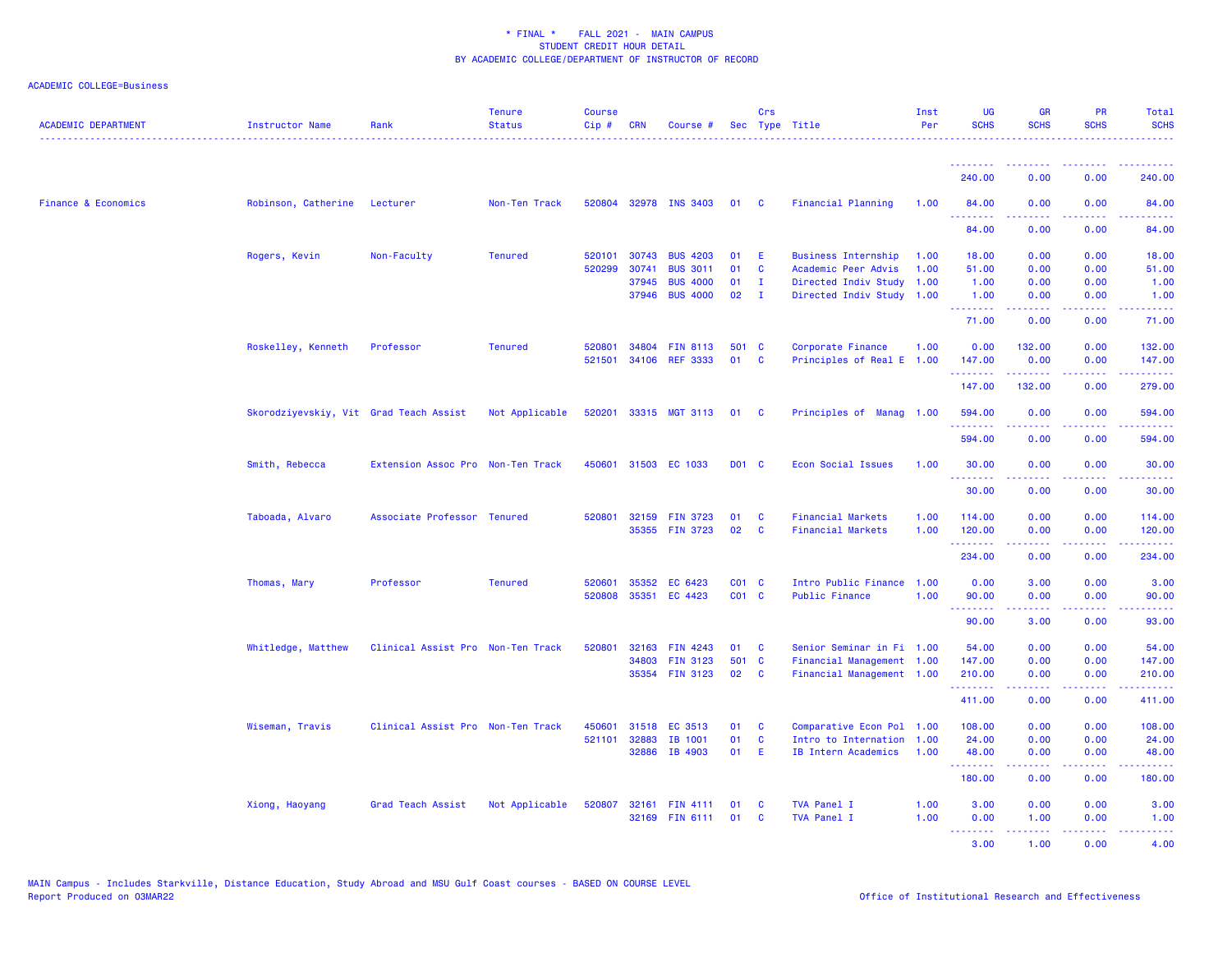| <b>ACADEMIC DEPARTMENT</b>     | Instructor Name                        | Rank                              | <b>Tenure</b><br><b>Status</b> | <b>Course</b><br>Cip# | <b>CRN</b> | Course #              |                   | Crs          | Sec Type Title             | Inst<br>Per | <b>UG</b><br><b>SCHS</b> | <b>GR</b><br><b>SCHS</b>                                                                                                                                     | PR<br><b>SCHS</b>                                                                                                                 | Total<br><b>SCHS</b>                                                                                                                                          |
|--------------------------------|----------------------------------------|-----------------------------------|--------------------------------|-----------------------|------------|-----------------------|-------------------|--------------|----------------------------|-------------|--------------------------|--------------------------------------------------------------------------------------------------------------------------------------------------------------|-----------------------------------------------------------------------------------------------------------------------------------|---------------------------------------------------------------------------------------------------------------------------------------------------------------|
|                                |                                        |                                   |                                |                       |            |                       |                   |              |                            |             | .                        | -----                                                                                                                                                        | 0.00                                                                                                                              | 240.00                                                                                                                                                        |
|                                |                                        |                                   |                                |                       |            |                       |                   |              |                            |             | 240.00                   | 0.00                                                                                                                                                         |                                                                                                                                   |                                                                                                                                                               |
| <b>Finance &amp; Economics</b> | Robinson, Catherine                    | Lecturer                          | Non-Ten Track                  |                       |            | 520804 32978 INS 3403 | 01                | <b>C</b>     | <b>Financial Planning</b>  | 1.00        | 84.00<br>.               | 0.00                                                                                                                                                         | 0.00                                                                                                                              | 84.00<br>وعاعاها                                                                                                                                              |
|                                |                                        |                                   |                                |                       |            |                       |                   |              |                            |             | 84.00                    | 0.00                                                                                                                                                         | 0.00                                                                                                                              | 84.00                                                                                                                                                         |
|                                | Rogers, Kevin                          | Non-Faculty                       | <b>Tenured</b>                 | 520101                | 30743      | <b>BUS 4203</b>       | 01                | Ε            | <b>Business Internship</b> | 1.00        | 18.00                    | 0.00                                                                                                                                                         | 0.00                                                                                                                              | 18.00                                                                                                                                                         |
|                                |                                        |                                   |                                | 520299                | 30741      | <b>BUS 3011</b>       | 01                | C            | Academic Peer Advis        | 1.00        | 51.00                    | 0.00                                                                                                                                                         | 0.00                                                                                                                              | 51.00                                                                                                                                                         |
|                                |                                        |                                   |                                |                       | 37945      | <b>BUS 4000</b>       | 01                | $\mathbf{I}$ | Directed Indiv Study       | 1.00        | 1.00                     | 0.00                                                                                                                                                         | 0.00                                                                                                                              | 1.00                                                                                                                                                          |
|                                |                                        |                                   |                                |                       | 37946      | <b>BUS 4000</b>       | 02                | $\mathbf{I}$ | Directed Indiv Study 1.00  |             | 1.00<br>.                | 0.00<br>.                                                                                                                                                    | 0.00<br>$\sim$ $\sim$ $\sim$ $\sim$                                                                                               | 1.00<br>.                                                                                                                                                     |
|                                |                                        |                                   |                                |                       |            |                       |                   |              |                            |             | 71.00                    | 0.00                                                                                                                                                         | 0.00                                                                                                                              | 71.00                                                                                                                                                         |
|                                | Roskelley, Kenneth                     | Professor                         | <b>Tenured</b>                 | 520801                | 34804      | <b>FIN 8113</b>       | 501 C             |              | Corporate Finance          | 1.00        | 0.00                     | 132.00                                                                                                                                                       | 0.00                                                                                                                              | 132.00                                                                                                                                                        |
|                                |                                        |                                   |                                | 521501                | 34106      | <b>REF 3333</b>       | 01                | C            | Principles of Real E       | 1.00        | 147.00<br>.              | 0.00                                                                                                                                                         | 0.00<br>2222                                                                                                                      | 147.00<br>22222)                                                                                                                                              |
|                                |                                        |                                   |                                |                       |            |                       |                   |              |                            |             | 147.00                   | 132.00                                                                                                                                                       | 0.00                                                                                                                              | 279.00                                                                                                                                                        |
|                                | Skorodziyevskiy, Vit Grad Teach Assist |                                   | Not Applicable                 | 520201                |            | 33315 MGT 3113        | 01                | <b>C</b>     | Principles of Manag 1.00   |             | 594.00                   | 0.00                                                                                                                                                         | 0.00                                                                                                                              | 594.00                                                                                                                                                        |
|                                |                                        |                                   |                                |                       |            |                       |                   |              |                            |             | .<br>594.00              | 0.00                                                                                                                                                         | .<br>0.00                                                                                                                         | .<br>594.00                                                                                                                                                   |
|                                | Smith, Rebecca                         | Extension Assoc Pro Non-Ten Track |                                | 450601                |            | 31503 EC 1033         | D01 C             |              | <b>Econ Social Issues</b>  | 1.00        | 30.00                    | 0.00                                                                                                                                                         | 0.00                                                                                                                              | 30.00                                                                                                                                                         |
|                                |                                        |                                   |                                |                       |            |                       |                   |              |                            |             | <u>.</u><br>30.00        | .<br>0.00                                                                                                                                                    | $\frac{1}{2} \left( \frac{1}{2} \right) \left( \frac{1}{2} \right) \left( \frac{1}{2} \right) \left( \frac{1}{2} \right)$<br>0.00 | .<br>30.00                                                                                                                                                    |
|                                |                                        |                                   |                                |                       |            |                       |                   |              |                            |             |                          |                                                                                                                                                              |                                                                                                                                   |                                                                                                                                                               |
|                                | Taboada, Alvaro                        | Associate Professor Tenured       |                                | 520801                |            | 32159 FIN 3723        | 01                | C            | <b>Financial Markets</b>   | 1.00        | 114.00                   | 0.00                                                                                                                                                         | 0.00                                                                                                                              | 114.00                                                                                                                                                        |
|                                |                                        |                                   |                                |                       |            | 35355 FIN 3723        | 02                | C            | <b>Financial Markets</b>   | 1.00        | 120.00<br>.              | 0.00<br>.                                                                                                                                                    | 0.00<br>$\sim$ $\sim$ $\sim$ $\sim$                                                                                               | 120.00<br>$- - - - -$                                                                                                                                         |
|                                |                                        |                                   |                                |                       |            |                       |                   |              |                            |             | 234.00                   | 0.00                                                                                                                                                         | 0.00                                                                                                                              | 234.00                                                                                                                                                        |
|                                | Thomas, Mary                           | Professor                         | <b>Tenured</b>                 | 520601                | 35352      | EC 6423               | CO <sub>1</sub> C |              | Intro Public Finance       | 1.00        | 0.00                     | 3.00                                                                                                                                                         | 0.00                                                                                                                              | 3.00                                                                                                                                                          |
|                                |                                        |                                   |                                | 520808                |            | 35351 EC 4423         | CO1 C             |              | <b>Public Finance</b>      | 1.00        | 90.00                    | 0.00                                                                                                                                                         | 0.00                                                                                                                              | 90.00                                                                                                                                                         |
|                                |                                        |                                   |                                |                       |            |                       |                   |              |                            |             | .<br>90.00               | 3.00                                                                                                                                                         | 2222<br>0.00                                                                                                                      | 93.00                                                                                                                                                         |
|                                |                                        |                                   |                                |                       |            |                       |                   |              |                            |             |                          |                                                                                                                                                              |                                                                                                                                   |                                                                                                                                                               |
|                                | Whitledge, Matthew                     | Clinical Assist Pro Non-Ten Track |                                | 520801                |            | 32163 FIN 4243        | 01                | <b>C</b>     | Senior Seminar in Fi 1.00  |             | 54.00                    | 0.00                                                                                                                                                         | 0.00                                                                                                                              | 54.00                                                                                                                                                         |
|                                |                                        |                                   |                                |                       | 34803      | <b>FIN 3123</b>       | 501 C             |              | Financial Management 1.00  |             | 147.00                   | 0.00                                                                                                                                                         | 0.00                                                                                                                              | 147.00                                                                                                                                                        |
|                                |                                        |                                   |                                |                       |            | 35354 FIN 3123        | 02                | C            | Financial Management 1.00  |             | 210.00<br>.              | 0.00<br>.                                                                                                                                                    | 0.00<br>.                                                                                                                         | 210.00<br>.                                                                                                                                                   |
|                                |                                        |                                   |                                |                       |            |                       |                   |              |                            |             | 411.00                   | 0.00                                                                                                                                                         | 0.00                                                                                                                              | 411.00                                                                                                                                                        |
|                                | Wiseman, Travis                        | Clinical Assist Pro Non-Ten Track |                                | 450601                |            | 31518 EC 3513         | 01                | C            | Comparative Econ Pol 1.00  |             | 108.00                   | 0.00                                                                                                                                                         | 0.00                                                                                                                              | 108.00                                                                                                                                                        |
|                                |                                        |                                   |                                | 521101                | 32883      | IB 1001               | 01                | C            | Intro to Internation       | 1.00        | 24.00                    | 0.00                                                                                                                                                         | 0.00                                                                                                                              | 24.00                                                                                                                                                         |
|                                |                                        |                                   |                                |                       |            | 32886 IB 4903         | 01                | -E           | IB Intern Academics        | 1.00        | 48.00<br><u>.</u>        | 0.00<br>22222                                                                                                                                                | 0.00<br>.                                                                                                                         | 48.00<br>$\frac{1}{2} \left( \frac{1}{2} \right) \left( \frac{1}{2} \right) \left( \frac{1}{2} \right) \left( \frac{1}{2} \right) \left( \frac{1}{2} \right)$ |
|                                |                                        |                                   |                                |                       |            |                       |                   |              |                            |             | 180.00                   | 0.00                                                                                                                                                         | 0.00                                                                                                                              | 180.00                                                                                                                                                        |
|                                | Xiong, Haoyang                         | Grad Teach Assist                 | Not Applicable                 | 520807                |            | 32161 FIN 4111        | 01                | C            | TVA Panel I                | 1.00        | 3.00                     | 0.00                                                                                                                                                         | 0.00                                                                                                                              | 3.00                                                                                                                                                          |
|                                |                                        |                                   |                                |                       |            | 32169 FIN 6111        | 01                | <b>C</b>     | TVA Panel I                | 1.00        | 0.00                     | 1.00                                                                                                                                                         | 0.00                                                                                                                              | 1.00                                                                                                                                                          |
|                                |                                        |                                   |                                |                       |            |                       |                   |              |                            |             | .<br>3.00                | $\frac{1}{2} \left( \frac{1}{2} \right) \left( \frac{1}{2} \right) \left( \frac{1}{2} \right) \left( \frac{1}{2} \right) \left( \frac{1}{2} \right)$<br>1.00 | .<br>0.00                                                                                                                         | .<br>4.00                                                                                                                                                     |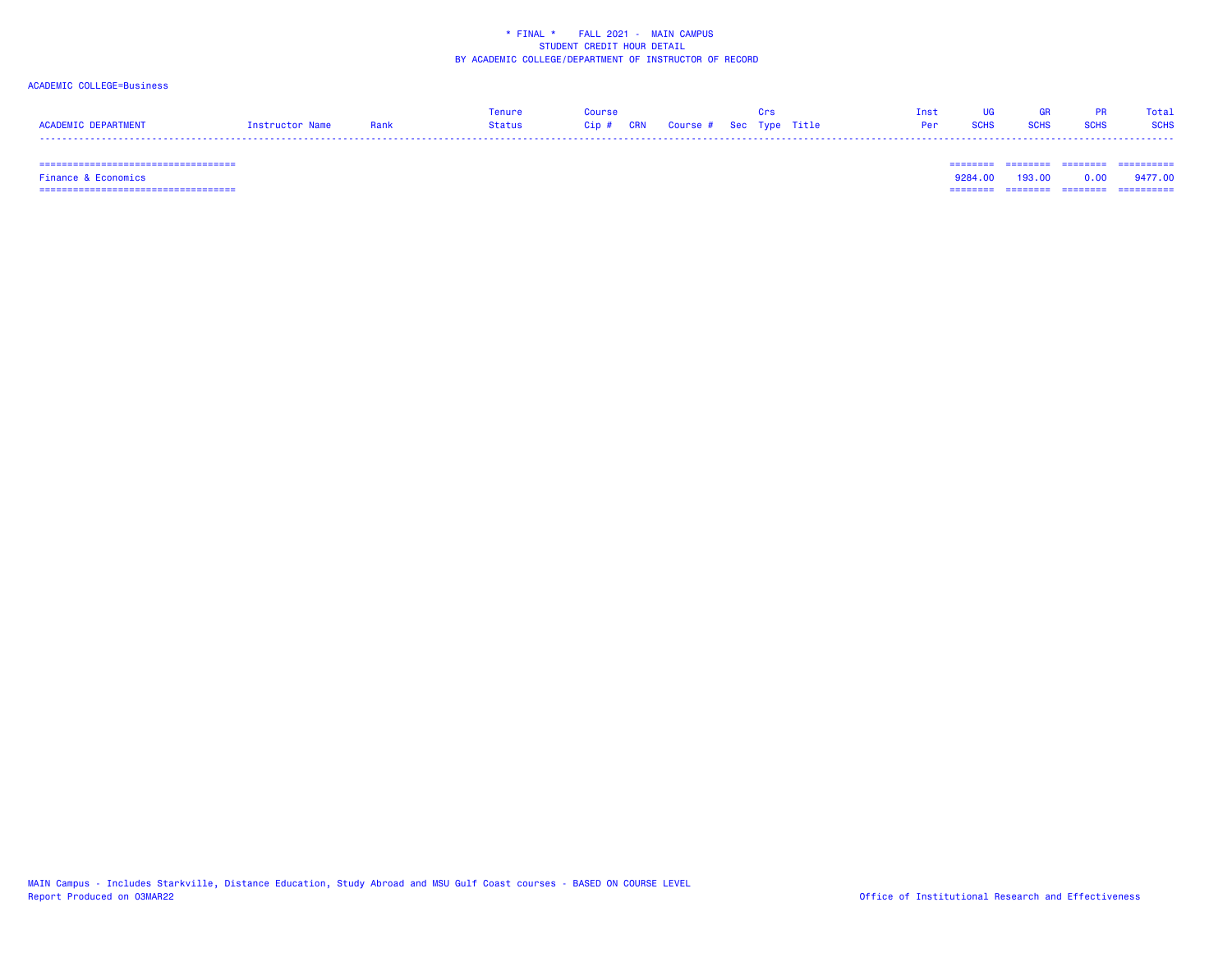### ACADEMIC COLLEGE=Business

|                     |                 |      | Tenure | <b>OUPSA</b> |                                   |  | Inst |             |             |             | Total       |
|---------------------|-----------------|------|--------|--------------|-----------------------------------|--|------|-------------|-------------|-------------|-------------|
| ACADEMIC DEPARTMENT | Instructor Name | Rank | Status |              | Cip # CRN Course # Sec Type Title |  | Per  | <b>SCHS</b> | <b>SCHS</b> | <b>SCHS</b> | <b>SCHS</b> |
|                     |                 |      |        |              |                                   |  |      |             |             |             |             |

 =================================== ======== ======== ======== ==========Finance & Economics 9284.00 193.00 0.00 9477.00 =================================== ======== ======== ======== ==========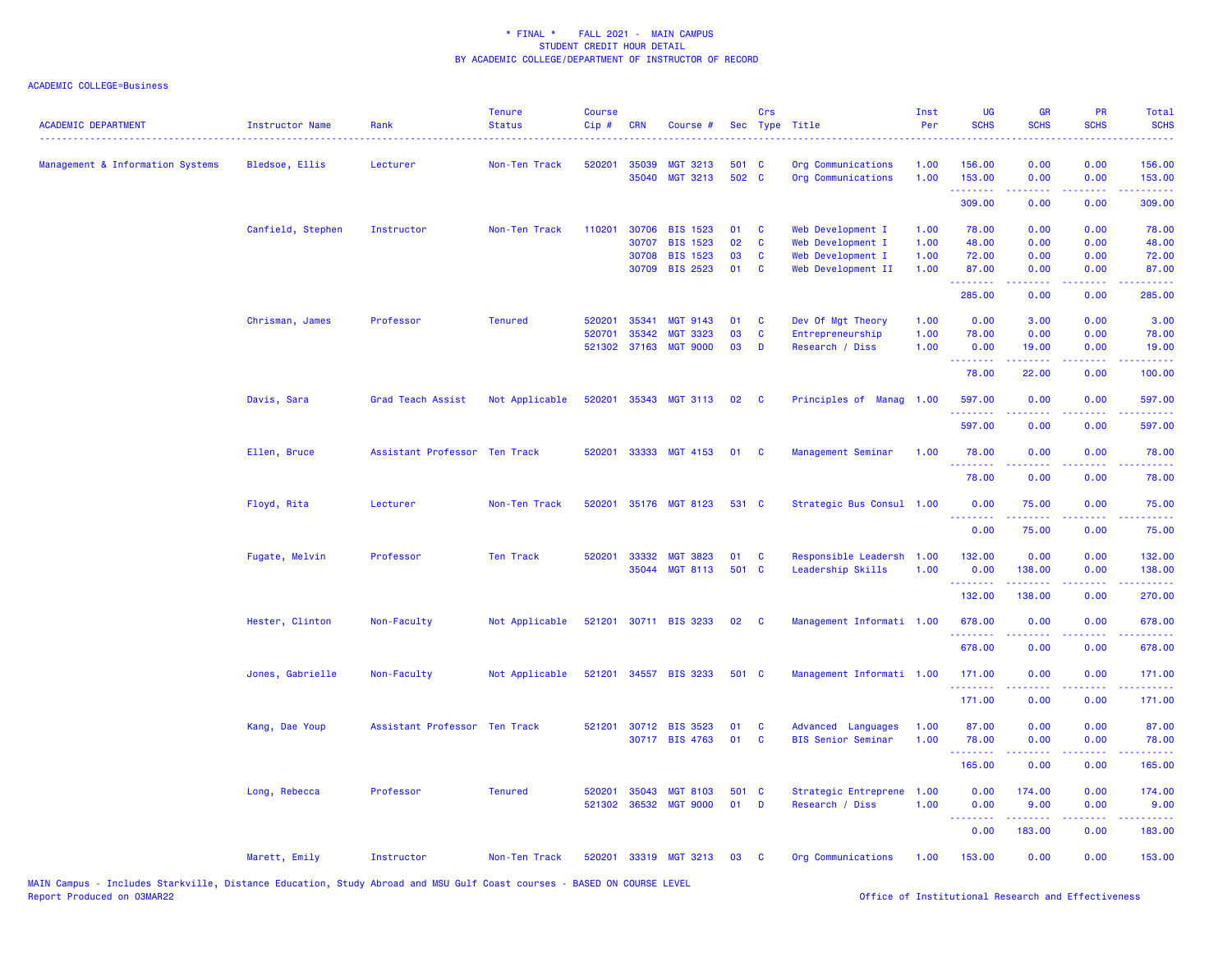### ACADEMIC COLLEGE=Business

| <b>ACADEMIC DEPARTMENT</b>       | <b>Instructor Name</b> | Rank                          | <b>Tenure</b><br><b>Status</b> | <b>Course</b><br>$Cip$ # | <b>CRN</b>     | Course #                           |             | Crs                     | Sec Type Title                          | Inst<br>Per  | <b>UG</b><br><b>SCHS</b>         | GR<br><b>SCHS</b>    | PR<br><b>SCHS</b> | Total<br><b>SCHS</b> |
|----------------------------------|------------------------|-------------------------------|--------------------------------|--------------------------|----------------|------------------------------------|-------------|-------------------------|-----------------------------------------|--------------|----------------------------------|----------------------|-------------------|----------------------|
| Management & Information Systems | Bledsoe, Ellis         | Lecturer                      | Non-Ten Track                  | 520201                   | 35039          | MGT 3213                           | 501 C       |                         | Org Communications                      | 1.00         | 156.00                           | 0.00                 | 0.00              | 156.00               |
|                                  |                        |                               |                                |                          | 35040          | <b>MGT 3213</b>                    | 502 C       |                         | Org Communications                      | 1.00         | 153.00<br>.                      | 0.00<br>-----        | 0.00              | 153.00<br>------     |
|                                  |                        |                               |                                |                          |                |                                    |             |                         |                                         |              | 309.00                           | 0.00                 | 0.00              | 309.00               |
|                                  | Canfield, Stephen      | Instructor                    | Non-Ten Track                  | 110201                   | 30706          | <b>BIS 1523</b>                    | 01          | $\mathbf{C}$            | Web Development I                       | 1.00         | 78.00                            | 0.00                 | 0.00              | 78.00                |
|                                  |                        |                               |                                |                          | 30707          | <b>BIS 1523</b>                    | 02          | $\mathbf{C}$            | Web Development I                       | 1.00         | 48.00                            | 0.00                 | 0.00              | 48.00                |
|                                  |                        |                               |                                |                          | 30708          | <b>BIS 1523</b>                    | 03          | $\mathbf{C}$            | Web Development I                       | 1.00         | 72.00                            | 0.00                 | 0.00              | 72.00                |
|                                  |                        |                               |                                |                          | 30709          | <b>BIS 2523</b>                    | 01          | $\mathbf{C}$            | Web Development II                      | 1.00         | 87.00<br><u> - - - - - - - -</u> | 0.00                 | 0.00              | 87.00                |
|                                  |                        |                               |                                |                          |                |                                    |             |                         |                                         |              | 285.00                           | 0.00                 | 0.00              | 285.00               |
|                                  | Chrisman, James        | Professor                     | <b>Tenured</b>                 | 520201                   | 35341          | <b>MGT 9143</b>                    | 01          | <b>C</b>                | Dev Of Mgt Theory                       | 1.00         | 0.00                             | 3.00                 | 0.00              | 3.00                 |
|                                  |                        |                               |                                | 520701                   | 35342          | <b>MGT 3323</b>                    | 03          | <b>C</b>                | Entrepreneurship                        | 1.00         | 78.00                            | 0.00                 | 0.00              | 78.00                |
|                                  |                        |                               |                                | 521302                   | 37163          | <b>MGT 9000</b>                    | 03          | D                       | Research / Diss                         | 1.00         | 0.00<br>بالأباب                  | 19.00<br>بالمستعا    | 0.00<br>المتحدث   | 19.00<br>بالأباليات  |
|                                  |                        |                               |                                |                          |                |                                    |             |                         |                                         |              | 78.00                            | 22.00                | 0.00              | 100.00               |
|                                  | Davis, Sara            | Grad Teach Assist             | Not Applicable                 | 520201                   | 35343          | <b>MGT 3113</b>                    | 02          | $\overline{\mathbf{C}}$ | Principles of<br><b>Manag 1.00</b>      |              | 597.00                           | 0.00                 | 0.00              | 597.00               |
|                                  |                        |                               |                                |                          |                |                                    |             |                         |                                         |              | .<br>597.00                      | 0.00                 | 0.00              | .<br>597.00          |
|                                  | Ellen, Bruce           | Assistant Professor Ten Track |                                | 520201                   | 33333          | MGT 4153                           | 01          | $\mathbf{C}$            | Management Seminar                      | 1.00         | 78.00                            | 0.00                 | 0.00              | 78.00                |
|                                  |                        |                               |                                |                          |                |                                    |             |                         |                                         |              | 78.00                            | 0.00                 | 0.00              | 78.00                |
|                                  | Floyd, Rita            | Lecturer                      | Non-Ten Track                  | 520201                   |                | 35176 MGT 8123                     | 531 C       |                         | Strategic Bus Consul 1.00               |              | 0.00                             | 75.00                | 0.00              | 75.00                |
|                                  |                        |                               |                                |                          |                |                                    |             |                         |                                         |              | 0.00                             | 75.00                | 0.00              | 75.00                |
|                                  | Fugate, Melvin         | Professor                     | <b>Ten Track</b>               | 520201                   | 33332          | <b>MGT 3823</b>                    | 01          | <b>C</b>                | Responsible Leadersh 1.00               |              | 132.00                           | 0.00                 | 0.00              | 132.00               |
|                                  |                        |                               |                                |                          |                | 35044 MGT 8113                     | 501 C       |                         | Leadership Skills                       | 1.00         | 0.00                             | 138.00               | 0.00              | 138.00               |
|                                  |                        |                               |                                |                          |                |                                    |             |                         |                                         |              | <u>.</u><br>132.00               | .<br>138.00          | .<br>0.00         | ------<br>270.00     |
|                                  |                        |                               | Not Applicable                 |                          |                | 521201 30711 BIS 3233              | 02          | $\mathbf{C}$            |                                         |              | 678.00                           | 0.00                 | 0.00              | 678.00               |
|                                  | Hester, Clinton        | Non-Faculty                   |                                |                          |                |                                    |             |                         | Management Informati 1.00               |              | .                                |                      |                   |                      |
|                                  |                        |                               |                                |                          |                |                                    |             |                         |                                         |              | 678.00                           | 0.00                 | 0.00              | 678.00               |
|                                  | Jones, Gabrielle       | Non-Faculty                   | Not Applicable                 |                          |                | 521201 34557 BIS 3233              | 501 C       |                         | Management Informati 1.00               |              | 171.00                           | 0.00                 | 0.00              | 171.00               |
|                                  |                        |                               |                                |                          |                |                                    |             |                         |                                         |              | 171.00                           | 0.00                 | 0.00              | 171.00               |
|                                  | Kang, Dae Youp         | Assistant Professor Ten Track |                                | 521201                   |                | 30712 BIS 3523                     | 01          | <b>C</b>                | <b>Advanced Languages</b>               | 1.00         | 87.00                            | 0.00                 | 0.00              | 87.00                |
|                                  |                        |                               |                                |                          |                | 30717 BIS 4763                     | 01          | $\mathbf{C}$            | <b>BIS Senior Seminar</b>               | 1.00         | 78.00                            | 0.00                 | 0.00              | 78.00                |
|                                  |                        |                               |                                |                          |                |                                    |             |                         |                                         |              | .<br>165.00                      | . <u>.</u> .<br>0.00 | .<br>0.00         | .<br>165.00          |
|                                  |                        |                               |                                |                          |                |                                    |             |                         |                                         |              |                                  |                      |                   |                      |
|                                  | Long, Rebecca          | Professor                     | <b>Tenured</b>                 | 520201<br>521302         | 35043<br>36532 | <b>MGT 8103</b><br><b>MGT 9000</b> | 501 C<br>01 | D                       | Strategic Entreprene<br>Research / Diss | 1.00<br>1.00 | 0.00<br>0.00                     | 174.00<br>9.00       | 0.00<br>0.00      | 174.00<br>9.00       |
|                                  |                        |                               |                                |                          |                |                                    |             |                         |                                         |              |                                  |                      |                   |                      |
|                                  |                        |                               |                                |                          |                |                                    |             |                         |                                         |              | 0.00                             | 183.00               | 0.00              | 183.00               |
|                                  | Marett, Emily          | Instructor                    | Non-Ten Track                  | 520201                   |                | 33319 MGT 3213                     | 03          | <b>C</b>                | Org Communications                      | 1.00         | 153.00                           | 0.00                 | 0.00              | 153.00               |

MAIN Campus - Includes Starkville, Distance Education, Study Abroad and MSU Gulf Coast courses - BASED ON COURSE LEVEL<br>Report Produced on O3MAR22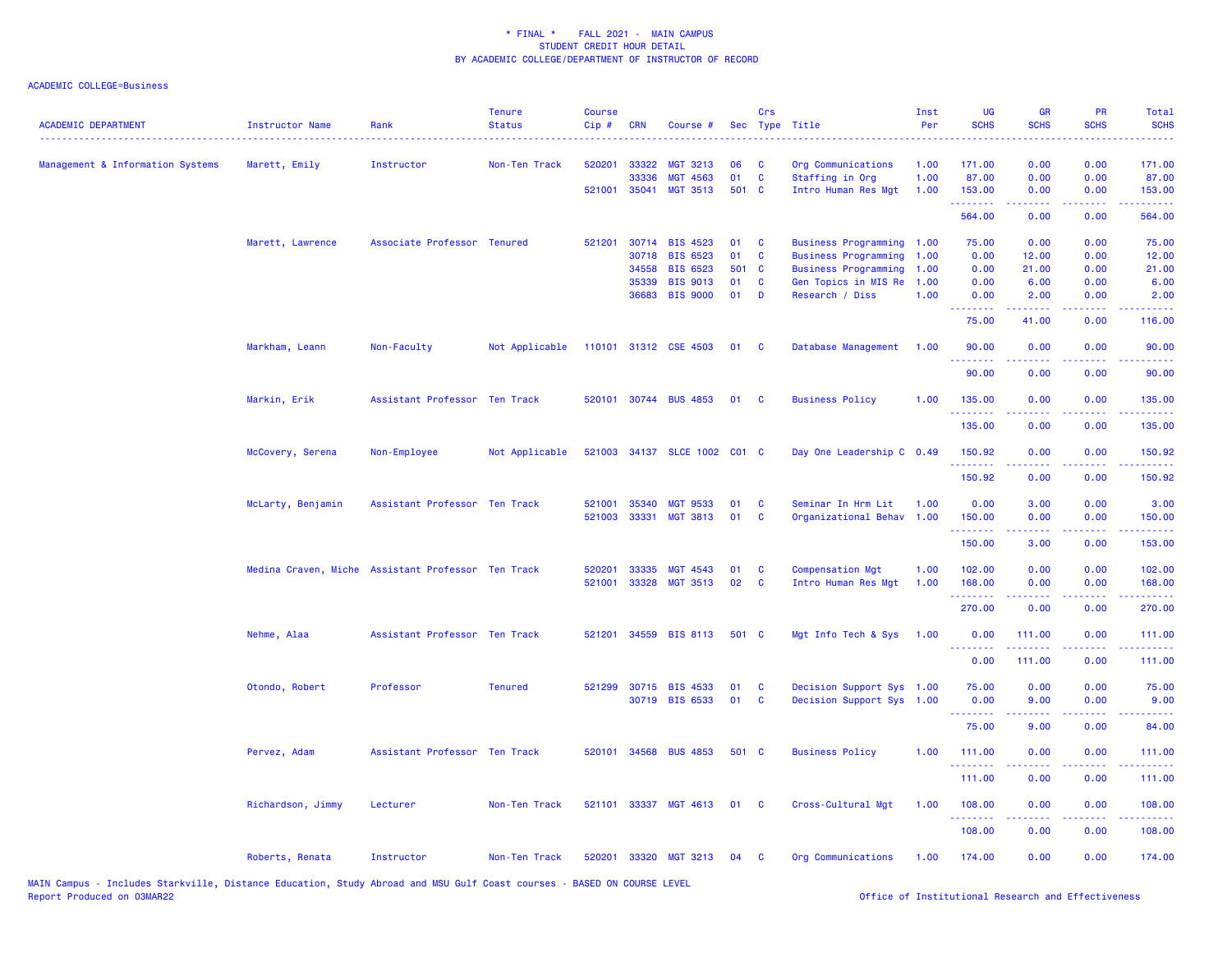| <b>ACADEMIC DEPARTMENT</b>       | <b>Instructor Name</b> | Rank                                               | <b>Tenure</b><br><b>Status</b> | <b>Course</b><br>Cip# | <b>CRN</b>   | Course #                                 |             | Crs                     | Sec Type Title            | Inst<br>Per | UG<br><b>SCHS</b>      | <b>GR</b><br><b>SCHS</b> | PR<br><b>SCHS</b>                                                                                                                 | Total<br><b>SCHS</b>                                                                                                  |
|----------------------------------|------------------------|----------------------------------------------------|--------------------------------|-----------------------|--------------|------------------------------------------|-------------|-------------------------|---------------------------|-------------|------------------------|--------------------------|-----------------------------------------------------------------------------------------------------------------------------------|-----------------------------------------------------------------------------------------------------------------------|
| Management & Information Systems | Marett, Emily          | Instructor                                         | Non-Ten Track                  | 520201                | 33322        | <b>MGT 3213</b>                          | 06          | <b>C</b>                | Org Communications        | 1.00        | 171.00                 | 0.00                     | 0.00                                                                                                                              | 171.00                                                                                                                |
|                                  |                        |                                                    |                                |                       | 33336        | <b>MGT 4563</b><br>521001 35041 MGT 3513 | 01<br>501 C | $\mathbf{C}$            | Staffing in Org           | 1.00        | 87.00                  | 0.00<br>0.00             | 0.00<br>0.00                                                                                                                      | 87.00                                                                                                                 |
|                                  |                        |                                                    |                                |                       |              |                                          |             |                         | Intro Human Res Mgt       | 1.00        | 153.00<br>.            | .                        | المتحدث                                                                                                                           | 153.00                                                                                                                |
|                                  |                        |                                                    |                                |                       |              |                                          |             |                         |                           |             | 564.00                 | 0.00                     | 0.00                                                                                                                              | 564.00                                                                                                                |
|                                  | Marett, Lawrence       | Associate Professor Tenured                        |                                |                       |              | 521201 30714 BIS 4523                    | 01          | $\mathbf{C}$            | Business Programming 1.00 |             | 75.00                  | 0.00                     | 0.00                                                                                                                              | 75.00                                                                                                                 |
|                                  |                        |                                                    |                                |                       | 30718        | <b>BIS 6523</b>                          | 01          | $\mathbf{C}$            | Business Programming 1.00 |             | 0.00                   | 12.00                    | 0.00                                                                                                                              | 12.00                                                                                                                 |
|                                  |                        |                                                    |                                |                       | 34558        | <b>BIS 6523</b>                          | 501 C       |                         | Business Programming 1.00 |             | 0.00                   | 21.00                    | 0.00                                                                                                                              | 21.00                                                                                                                 |
|                                  |                        |                                                    |                                |                       | 35339        | <b>BIS 9013</b>                          | 01          | $\mathbf{C}$            | Gen Topics in MIS Re 1.00 |             | 0.00                   | 6.00                     | 0.00                                                                                                                              | 6.00                                                                                                                  |
|                                  |                        |                                                    |                                |                       | 36683        | <b>BIS 9000</b>                          | 01          | D                       | Research / Diss           | 1.00        | 0.00<br>.              | 2.00<br>د د د د د        | 0.00<br>.                                                                                                                         | 2.00<br>.                                                                                                             |
|                                  |                        |                                                    |                                |                       |              |                                          |             |                         |                           |             | 75.00                  | 41.00                    | 0.00                                                                                                                              | 116.00                                                                                                                |
|                                  | Markham, Leann         | Non-Faculty                                        | Not Applicable                 |                       |              | 110101 31312 CSE 4503                    | 01          | $\mathbf{C}$            | Database Management       | 1.00        | 90.00                  | 0.00                     | 0.00<br>المتحدث                                                                                                                   | 90.00                                                                                                                 |
|                                  |                        |                                                    |                                |                       |              |                                          |             |                         |                           |             | .<br>90.00             | بالأباب<br>0.00          | 0.00                                                                                                                              | .<br>90.00                                                                                                            |
|                                  | Markin, Erik           | Assistant Professor Ten Track                      |                                |                       |              | 520101 30744 BUS 4853                    | 01          | $\overline{\mathbf{C}}$ | <b>Business Policy</b>    | 1.00        | 135.00                 | 0.00                     | 0.00                                                                                                                              | 135.00                                                                                                                |
|                                  |                        |                                                    |                                |                       |              |                                          |             |                         |                           |             | .<br>135.00            | 22222<br>0.00            | .<br>0.00                                                                                                                         | <u>.</u><br>135.00                                                                                                    |
|                                  | McCovery, Serena       | Non-Employee                                       | Not Applicable                 |                       |              | 521003 34137 SLCE 1002 C01 C             |             |                         | Day One Leadership C 0.49 |             | 150.92                 | 0.00                     | 0.00                                                                                                                              | 150.92                                                                                                                |
|                                  |                        |                                                    |                                |                       |              |                                          |             |                         |                           |             | .<br>150.92            | .<br>0.00                | 0.00                                                                                                                              | .<br>150.92                                                                                                           |
|                                  | McLarty, Benjamin      | Assistant Professor Ten Track                      |                                | 521001                | 35340        | <b>MGT 9533</b>                          | 01          | <b>C</b>                | Seminar In Hrm Lit        | 1.00        | 0.00                   | 3.00                     | 0.00                                                                                                                              | 3.00                                                                                                                  |
|                                  |                        |                                                    |                                | 521003                |              | 33331 MGT 3813                           | 01          | $\mathbf{C}$            | Organizational Behav 1.00 |             | 150.00                 | 0.00                     | 0.00                                                                                                                              | 150.00                                                                                                                |
|                                  |                        |                                                    |                                |                       |              |                                          |             |                         |                           |             | .                      | .                        |                                                                                                                                   | $\begin{array}{cccccccccc} \bullet & \bullet & \bullet & \bullet & \bullet & \bullet & \bullet & \bullet \end{array}$ |
|                                  |                        |                                                    |                                |                       |              |                                          |             |                         |                           |             | 150.00                 | 3.00                     | 0.00                                                                                                                              | 153.00                                                                                                                |
|                                  |                        | Medina Craven, Miche Assistant Professor Ten Track |                                | 520201                | 33335        | MGT 4543                                 | 01          | $\mathbf{C}$            | <b>Compensation Mgt</b>   | 1.00        | 102.00                 | 0.00                     | 0.00                                                                                                                              | 102.00                                                                                                                |
|                                  |                        |                                                    |                                |                       | 521001 33328 | <b>MGT 3513</b>                          | 02          | <b>C</b>                | Intro Human Res Mgt       | 1.00        | 168.00                 | 0.00                     | 0.00                                                                                                                              | 168.00                                                                                                                |
|                                  |                        |                                                    |                                |                       |              |                                          |             |                         |                           |             | . <b>.</b><br>270.00   | .<br>0.00                | .<br>0.00                                                                                                                         | 270.00                                                                                                                |
|                                  | Nehme, Alaa            | Assistant Professor Ten Track                      |                                | 521201                |              | 34559 BIS 8113                           | 501 C       |                         | Mgt Info Tech & Sys 1.00  |             | 0.00                   | 111.00                   | 0.00                                                                                                                              | 111.00                                                                                                                |
|                                  |                        |                                                    |                                |                       |              |                                          |             |                         |                           |             | 0.00                   | <u>.</u><br>111.00       | $\frac{1}{2} \left( \frac{1}{2} \right) \left( \frac{1}{2} \right) \left( \frac{1}{2} \right) \left( \frac{1}{2} \right)$<br>0.00 | 111.00                                                                                                                |
|                                  | Otondo, Robert         | Professor                                          | <b>Tenured</b>                 | 521299                |              | 30715 BIS 4533                           | 01          | <b>C</b>                | Decision Support Sys 1.00 |             | 75.00                  | 0.00                     | 0.00                                                                                                                              | 75.00                                                                                                                 |
|                                  |                        |                                                    |                                |                       |              | 30719 BIS 6533                           | 01          | $\mathbf{C}$            | Decision Support Sys 1.00 |             | 0.00                   | 9.00                     | 0.00                                                                                                                              | 9.00                                                                                                                  |
|                                  |                        |                                                    |                                |                       |              |                                          |             |                         |                           |             |                        |                          |                                                                                                                                   |                                                                                                                       |
|                                  |                        |                                                    |                                |                       |              |                                          |             |                         |                           |             | 75.00                  | 9.00                     | 0.00                                                                                                                              | 84.00                                                                                                                 |
|                                  | Pervez, Adam           | Assistant Professor Ten Track                      |                                |                       |              | 520101 34568 BUS 4853                    | 501 C       |                         | <b>Business Policy</b>    | 1.00        | 111.00<br>. <u>.</u> . | 0.00                     | 0.00                                                                                                                              | 111.00                                                                                                                |
|                                  |                        |                                                    |                                |                       |              |                                          |             |                         |                           |             | 111.00                 | 0.00                     | 0.00                                                                                                                              | 111.00                                                                                                                |
|                                  | Richardson, Jimmy      | Lecturer                                           | Non-Ten Track                  |                       |              | 521101 33337 MGT 4613                    | 01          | $\mathbf{C}$            | Cross-Cultural Mgt        | 1.00        | 108.00<br>.            | 0.00                     | 0.00                                                                                                                              | 108.00                                                                                                                |
|                                  |                        |                                                    |                                |                       |              |                                          |             |                         |                           |             | 108.00                 | 0.00                     | 0.00                                                                                                                              | 108.00                                                                                                                |
|                                  | Roberts, Renata        | Instructor                                         | Non-Ten Track                  | 520201                | 33320        | <b>MGT 3213</b>                          | 04          | <b>C</b>                | Org Communications        | 1.00        | 174.00                 | 0.00                     | 0.00                                                                                                                              | 174.00                                                                                                                |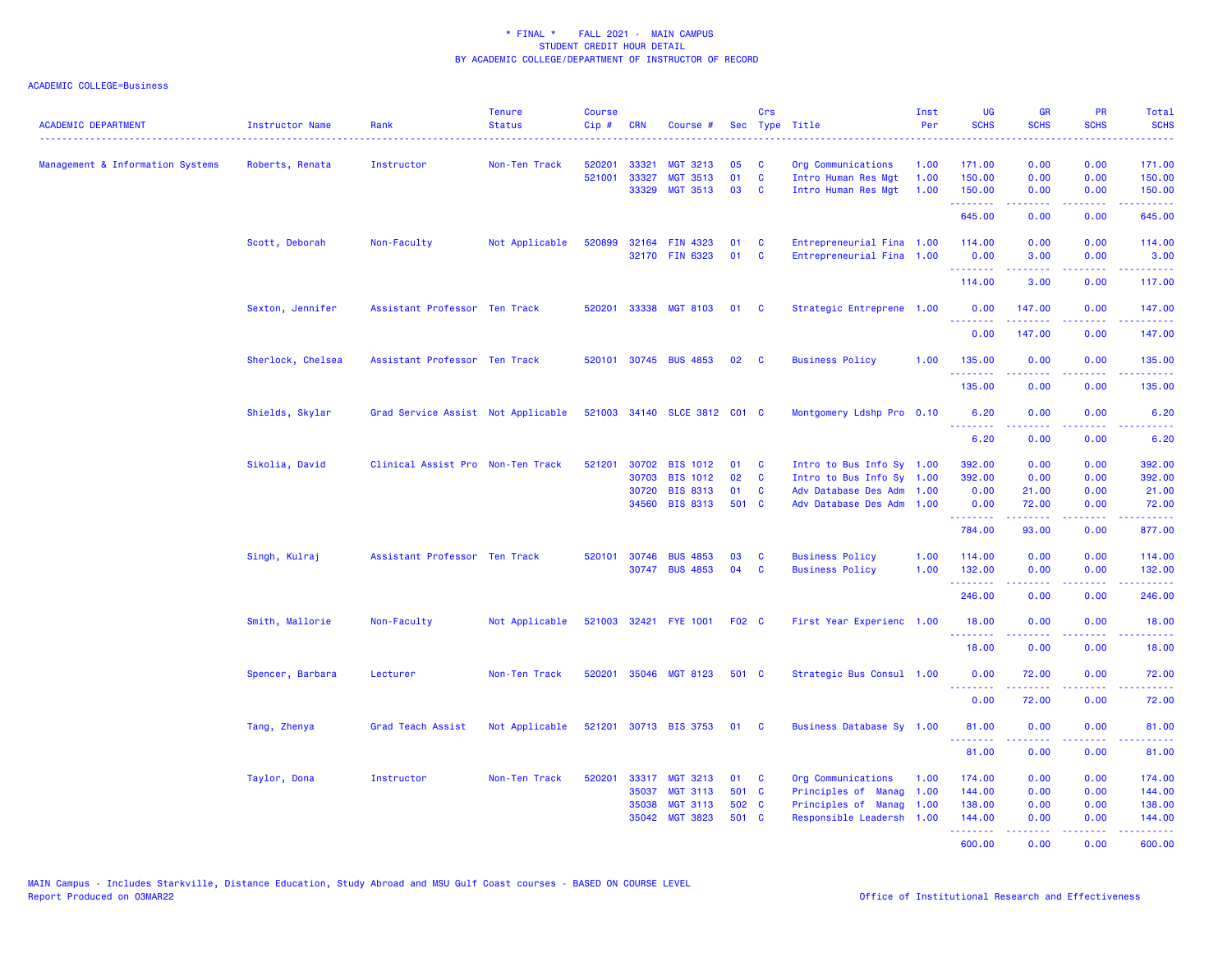| 33321<br>0.00<br>Management & Information Systems<br>Non-Ten Track<br>520201<br><b>MGT 3213</b><br>05<br>1.00<br>171.00<br>0.00<br>171.00<br>Roberts, Renata<br>Instructor<br>C<br>Org Communications<br>$\mathbf{C}$<br>521001<br>33327<br><b>MGT 3513</b><br>01<br>150.00<br>0.00<br>0.00<br>150.00<br>Intro Human Res Mgt<br>1.00<br>03<br>33329<br><b>MGT 3513</b><br><b>C</b><br>Intro Human Res Mgt<br>1.00<br>150.00<br>0.00<br>0.00<br>150.00<br>.<br>.<br>22222<br>.<br>645.00<br>0.00<br>0.00<br>645.00<br>Scott, Deborah<br>Non-Faculty<br>Not Applicable<br>520899<br>32164 FIN 4323<br>01<br>Entrepreneurial Fina 1.00<br>114.00<br>0.00<br>0.00<br>114.00<br><b>C</b><br>32170 FIN 6323<br>01<br>$\mathbf{C}$<br>Entrepreneurial Fina 1.00<br>0.00<br>3.00<br>0.00<br>3.00<br>.<br><u>.</u><br>.<br>وعاعاته عامل<br>114.00<br>3.00<br>0.00<br>117.00<br>33338 MGT 8103<br>Sexton, Jennifer<br>Assistant Professor Ten Track<br>520201<br>01<br>Strategic Entreprene 1.00<br>0.00<br>0.00<br>147.00<br><b>C</b><br>147.00<br><u>.</u><br>.<br>.<br>. <u>.</u><br>0.00<br>147.00<br>0.00<br>147.00<br>Sherlock, Chelsea<br>520101 30745 BUS 4853<br><b>Business Policy</b><br>Assistant Professor Ten Track<br>02<br><b>C</b><br>1.00<br>135.00<br>0.00<br>0.00<br>135.00<br>.<br>$\sim$ $\sim$ $\sim$ $\sim$<br><u>.</u><br>135.00<br>0.00<br>0.00<br>135.00<br>Shields, Skylar<br>Grad Service Assist Not Applicable<br>521003 34140 SLCE 3812 C01 C<br>Montgomery Ldshp Pro 0.10<br>0.00<br>0.00<br>6.20<br>6.20<br><u>.</u><br>$\sim$ $\sim$ $\sim$ $\sim$ $\sim$<br>6.20<br>0.00<br>0.00<br>6.20<br>Sikolia, David<br>Clinical Assist Pro Non-Ten Track<br>521201<br>30702<br><b>BIS 1012</b><br>Intro to Bus Info Sy 1.00<br>392.00<br>0.00<br>0.00<br>392.00<br>01<br>C<br>02<br>$\mathbf{C}$<br>392.00<br>392.00<br>30703<br><b>BIS 1012</b><br>Intro to Bus Info Sy 1.00<br>0.00<br>0.00<br>30720<br><b>BIS 8313</b><br>01<br>C<br>Adv Database Des Adm 1.00<br>0.00<br>21.00<br>0.00<br>21.00<br>501 C<br>34560<br><b>BIS 8313</b><br>Adv Database Des Adm 1.00<br>0.00<br>72.00<br>0.00<br>72.00<br>$\begin{array}{cccccccccc} \multicolumn{2}{c}{} & \multicolumn{2}{c}{} & \multicolumn{2}{c}{} & \multicolumn{2}{c}{} & \multicolumn{2}{c}{} & \multicolumn{2}{c}{} & \multicolumn{2}{c}{} & \multicolumn{2}{c}{} & \multicolumn{2}{c}{} & \multicolumn{2}{c}{} & \multicolumn{2}{c}{} & \multicolumn{2}{c}{} & \multicolumn{2}{c}{} & \multicolumn{2}{c}{} & \multicolumn{2}{c}{} & \multicolumn{2}{c}{} & \multicolumn{2}{c}{} & \multicolumn{2}{c}{} & \multicolumn{2}{c}{} & \mult$<br>.<br>.<br>.<br>784.00<br>0.00<br>93.00<br>877.00<br><b>Business Policy</b><br>Singh, Kulraj<br>Assistant Professor Ten Track<br>520101 30746 BUS 4853<br>03<br>C<br>1.00<br>114.00<br>0.00<br>0.00<br>114.00<br>30747 BUS 4853<br>04<br>C<br><b>Business Policy</b><br>1.00<br>132.00<br>0.00<br>0.00<br>132.00<br>.<br>22222<br>.<br><b>.</b> .<br>246.00<br>0.00<br>0.00<br>246.00<br>Smith, Mallorie<br>First Year Experienc 1.00<br>Non-Faculty<br>Not Applicable<br>521003 32421 FYE 1001<br>F02 C<br>18.00<br>0.00<br>0.00<br>18.00<br>.<br><b><i><u>ALC ALC</u></i></b><br>.<br>18.00<br>0.00<br>0.00<br>18.00<br>Spencer, Barbara<br>Lecturer<br>Non-Ten Track<br>520201<br>35046 MGT 8123<br>501 C<br>Strategic Bus Consul 1.00<br>0.00<br>72.00<br>0.00<br>72.00<br>د د د د<br><u> - - - - - - - -</u><br><b></b><br>.<br>0.00<br>72.00<br>0.00<br>72.00<br>Grad Teach Assist<br>Not Applicable<br>521201 30713 BIS 3753<br>Business Database Sy 1.00<br>Tang, Zhenya<br>01 C<br>81.00<br>0.00<br>0.00<br>81.00<br><b><i><u><u><b>a</b></u></u> a a a a a a</i></b><br>22222<br>د د د د<br>.<br>81.00<br>0.00<br>0.00<br>81.00<br>Org Communications<br>Taylor, Dona<br>Instructor<br>Non-Ten Track<br>520201<br>33317<br>MGT 3213<br>01<br>$\mathbf{C}$<br>1.00<br>174.00<br>0.00<br>0.00<br>174.00<br>501 C<br>35037<br><b>MGT 3113</b><br>Principles of Manag<br>144.00<br>0.00<br>0.00<br>144.00<br>1.00<br>502<br>35038<br><b>MGT 3113</b><br>$\mathbf{C}$<br>Principles of Manag<br>138.00<br>0.00<br>0.00<br>138.00<br>1.00<br>501 C<br>35042<br><b>MGT 3823</b><br>Responsible Leadersh 1.00<br>144.00<br>0.00<br>0.00<br>144.00<br>.<br>المتمامين<br>.<br>22222<br>600.00<br>0.00<br>0.00<br>600.00 | <b>ACADEMIC DEPARTMENT</b> | <b>Instructor Name</b> | Rank | <b>Tenure</b><br><b>Status</b> | <b>Course</b><br>Cip# | <b>CRN</b> | Course # | Crs | Sec Type Title | Inst<br>Per | <b>UG</b><br><b>SCHS</b> | <b>GR</b><br><b>SCHS</b> | PR<br><b>SCHS</b> | Total<br><b>SCHS</b><br>$\frac{1}{2} \left( \frac{1}{2} \right) \left( \frac{1}{2} \right) \left( \frac{1}{2} \right) \left( \frac{1}{2} \right)$ |
|---------------------------------------------------------------------------------------------------------------------------------------------------------------------------------------------------------------------------------------------------------------------------------------------------------------------------------------------------------------------------------------------------------------------------------------------------------------------------------------------------------------------------------------------------------------------------------------------------------------------------------------------------------------------------------------------------------------------------------------------------------------------------------------------------------------------------------------------------------------------------------------------------------------------------------------------------------------------------------------------------------------------------------------------------------------------------------------------------------------------------------------------------------------------------------------------------------------------------------------------------------------------------------------------------------------------------------------------------------------------------------------------------------------------------------------------------------------------------------------------------------------------------------------------------------------------------------------------------------------------------------------------------------------------------------------------------------------------------------------------------------------------------------------------------------------------------------------------------------------------------------------------------------------------------------------------------------------------------------------------------------------------------------------------------------------------------------------------------------------------------------------------------------------------------------------------------------------------------------------------------------------------------------------------------------------------------------------------------------------------------------------------------------------------------------------------------------------------------------------------------------------------------------------------------------------------------------------------------------------------------------------------------------------------------------------------------------------------------------------------------------------------------------------------------------------------------------------------------------------------------------------------------------------------------------------------------------------------------------------------------------------------------------------------------------------------------------------------------------------------------------------------------------------------------------------------------------------------------------------------------------------------------------------------------------------------------------------------------------------------------------------------------------------------------------------------------------------------------------------------------------------------------------------------------------------------------------------------------------------------------------------------------------------------------------------------------------------------------------------------------------------------------------------------------------------------------------------------------------------------------------------------------------------------------------------------------------------------------------------------------------------------------------------------------------------------------------------------------------------------------------------------------------------------------------------------------------------------------------------------------------------------------------------------------------------------------------------------|----------------------------|------------------------|------|--------------------------------|-----------------------|------------|----------|-----|----------------|-------------|--------------------------|--------------------------|-------------------|---------------------------------------------------------------------------------------------------------------------------------------------------|
|                                                                                                                                                                                                                                                                                                                                                                                                                                                                                                                                                                                                                                                                                                                                                                                                                                                                                                                                                                                                                                                                                                                                                                                                                                                                                                                                                                                                                                                                                                                                                                                                                                                                                                                                                                                                                                                                                                                                                                                                                                                                                                                                                                                                                                                                                                                                                                                                                                                                                                                                                                                                                                                                                                                                                                                                                                                                                                                                                                                                                                                                                                                                                                                                                                                                                                                                                                                                                                                                                                                                                                                                                                                                                                                                                                                                                                                                                                                                                                                                                                                                                                                                                                                                                                                                                                                                             |                            |                        |      |                                |                       |            |          |     |                |             |                          |                          |                   |                                                                                                                                                   |
|                                                                                                                                                                                                                                                                                                                                                                                                                                                                                                                                                                                                                                                                                                                                                                                                                                                                                                                                                                                                                                                                                                                                                                                                                                                                                                                                                                                                                                                                                                                                                                                                                                                                                                                                                                                                                                                                                                                                                                                                                                                                                                                                                                                                                                                                                                                                                                                                                                                                                                                                                                                                                                                                                                                                                                                                                                                                                                                                                                                                                                                                                                                                                                                                                                                                                                                                                                                                                                                                                                                                                                                                                                                                                                                                                                                                                                                                                                                                                                                                                                                                                                                                                                                                                                                                                                                                             |                            |                        |      |                                |                       |            |          |     |                |             |                          |                          |                   |                                                                                                                                                   |
|                                                                                                                                                                                                                                                                                                                                                                                                                                                                                                                                                                                                                                                                                                                                                                                                                                                                                                                                                                                                                                                                                                                                                                                                                                                                                                                                                                                                                                                                                                                                                                                                                                                                                                                                                                                                                                                                                                                                                                                                                                                                                                                                                                                                                                                                                                                                                                                                                                                                                                                                                                                                                                                                                                                                                                                                                                                                                                                                                                                                                                                                                                                                                                                                                                                                                                                                                                                                                                                                                                                                                                                                                                                                                                                                                                                                                                                                                                                                                                                                                                                                                                                                                                                                                                                                                                                                             |                            |                        |      |                                |                       |            |          |     |                |             |                          |                          |                   |                                                                                                                                                   |
|                                                                                                                                                                                                                                                                                                                                                                                                                                                                                                                                                                                                                                                                                                                                                                                                                                                                                                                                                                                                                                                                                                                                                                                                                                                                                                                                                                                                                                                                                                                                                                                                                                                                                                                                                                                                                                                                                                                                                                                                                                                                                                                                                                                                                                                                                                                                                                                                                                                                                                                                                                                                                                                                                                                                                                                                                                                                                                                                                                                                                                                                                                                                                                                                                                                                                                                                                                                                                                                                                                                                                                                                                                                                                                                                                                                                                                                                                                                                                                                                                                                                                                                                                                                                                                                                                                                                             |                            |                        |      |                                |                       |            |          |     |                |             |                          |                          |                   |                                                                                                                                                   |
|                                                                                                                                                                                                                                                                                                                                                                                                                                                                                                                                                                                                                                                                                                                                                                                                                                                                                                                                                                                                                                                                                                                                                                                                                                                                                                                                                                                                                                                                                                                                                                                                                                                                                                                                                                                                                                                                                                                                                                                                                                                                                                                                                                                                                                                                                                                                                                                                                                                                                                                                                                                                                                                                                                                                                                                                                                                                                                                                                                                                                                                                                                                                                                                                                                                                                                                                                                                                                                                                                                                                                                                                                                                                                                                                                                                                                                                                                                                                                                                                                                                                                                                                                                                                                                                                                                                                             |                            |                        |      |                                |                       |            |          |     |                |             |                          |                          |                   |                                                                                                                                                   |
|                                                                                                                                                                                                                                                                                                                                                                                                                                                                                                                                                                                                                                                                                                                                                                                                                                                                                                                                                                                                                                                                                                                                                                                                                                                                                                                                                                                                                                                                                                                                                                                                                                                                                                                                                                                                                                                                                                                                                                                                                                                                                                                                                                                                                                                                                                                                                                                                                                                                                                                                                                                                                                                                                                                                                                                                                                                                                                                                                                                                                                                                                                                                                                                                                                                                                                                                                                                                                                                                                                                                                                                                                                                                                                                                                                                                                                                                                                                                                                                                                                                                                                                                                                                                                                                                                                                                             |                            |                        |      |                                |                       |            |          |     |                |             |                          |                          |                   |                                                                                                                                                   |
|                                                                                                                                                                                                                                                                                                                                                                                                                                                                                                                                                                                                                                                                                                                                                                                                                                                                                                                                                                                                                                                                                                                                                                                                                                                                                                                                                                                                                                                                                                                                                                                                                                                                                                                                                                                                                                                                                                                                                                                                                                                                                                                                                                                                                                                                                                                                                                                                                                                                                                                                                                                                                                                                                                                                                                                                                                                                                                                                                                                                                                                                                                                                                                                                                                                                                                                                                                                                                                                                                                                                                                                                                                                                                                                                                                                                                                                                                                                                                                                                                                                                                                                                                                                                                                                                                                                                             |                            |                        |      |                                |                       |            |          |     |                |             |                          |                          |                   |                                                                                                                                                   |
|                                                                                                                                                                                                                                                                                                                                                                                                                                                                                                                                                                                                                                                                                                                                                                                                                                                                                                                                                                                                                                                                                                                                                                                                                                                                                                                                                                                                                                                                                                                                                                                                                                                                                                                                                                                                                                                                                                                                                                                                                                                                                                                                                                                                                                                                                                                                                                                                                                                                                                                                                                                                                                                                                                                                                                                                                                                                                                                                                                                                                                                                                                                                                                                                                                                                                                                                                                                                                                                                                                                                                                                                                                                                                                                                                                                                                                                                                                                                                                                                                                                                                                                                                                                                                                                                                                                                             |                            |                        |      |                                |                       |            |          |     |                |             |                          |                          |                   |                                                                                                                                                   |
|                                                                                                                                                                                                                                                                                                                                                                                                                                                                                                                                                                                                                                                                                                                                                                                                                                                                                                                                                                                                                                                                                                                                                                                                                                                                                                                                                                                                                                                                                                                                                                                                                                                                                                                                                                                                                                                                                                                                                                                                                                                                                                                                                                                                                                                                                                                                                                                                                                                                                                                                                                                                                                                                                                                                                                                                                                                                                                                                                                                                                                                                                                                                                                                                                                                                                                                                                                                                                                                                                                                                                                                                                                                                                                                                                                                                                                                                                                                                                                                                                                                                                                                                                                                                                                                                                                                                             |                            |                        |      |                                |                       |            |          |     |                |             |                          |                          |                   |                                                                                                                                                   |
|                                                                                                                                                                                                                                                                                                                                                                                                                                                                                                                                                                                                                                                                                                                                                                                                                                                                                                                                                                                                                                                                                                                                                                                                                                                                                                                                                                                                                                                                                                                                                                                                                                                                                                                                                                                                                                                                                                                                                                                                                                                                                                                                                                                                                                                                                                                                                                                                                                                                                                                                                                                                                                                                                                                                                                                                                                                                                                                                                                                                                                                                                                                                                                                                                                                                                                                                                                                                                                                                                                                                                                                                                                                                                                                                                                                                                                                                                                                                                                                                                                                                                                                                                                                                                                                                                                                                             |                            |                        |      |                                |                       |            |          |     |                |             |                          |                          |                   |                                                                                                                                                   |
|                                                                                                                                                                                                                                                                                                                                                                                                                                                                                                                                                                                                                                                                                                                                                                                                                                                                                                                                                                                                                                                                                                                                                                                                                                                                                                                                                                                                                                                                                                                                                                                                                                                                                                                                                                                                                                                                                                                                                                                                                                                                                                                                                                                                                                                                                                                                                                                                                                                                                                                                                                                                                                                                                                                                                                                                                                                                                                                                                                                                                                                                                                                                                                                                                                                                                                                                                                                                                                                                                                                                                                                                                                                                                                                                                                                                                                                                                                                                                                                                                                                                                                                                                                                                                                                                                                                                             |                            |                        |      |                                |                       |            |          |     |                |             |                          |                          |                   |                                                                                                                                                   |
|                                                                                                                                                                                                                                                                                                                                                                                                                                                                                                                                                                                                                                                                                                                                                                                                                                                                                                                                                                                                                                                                                                                                                                                                                                                                                                                                                                                                                                                                                                                                                                                                                                                                                                                                                                                                                                                                                                                                                                                                                                                                                                                                                                                                                                                                                                                                                                                                                                                                                                                                                                                                                                                                                                                                                                                                                                                                                                                                                                                                                                                                                                                                                                                                                                                                                                                                                                                                                                                                                                                                                                                                                                                                                                                                                                                                                                                                                                                                                                                                                                                                                                                                                                                                                                                                                                                                             |                            |                        |      |                                |                       |            |          |     |                |             |                          |                          |                   |                                                                                                                                                   |
|                                                                                                                                                                                                                                                                                                                                                                                                                                                                                                                                                                                                                                                                                                                                                                                                                                                                                                                                                                                                                                                                                                                                                                                                                                                                                                                                                                                                                                                                                                                                                                                                                                                                                                                                                                                                                                                                                                                                                                                                                                                                                                                                                                                                                                                                                                                                                                                                                                                                                                                                                                                                                                                                                                                                                                                                                                                                                                                                                                                                                                                                                                                                                                                                                                                                                                                                                                                                                                                                                                                                                                                                                                                                                                                                                                                                                                                                                                                                                                                                                                                                                                                                                                                                                                                                                                                                             |                            |                        |      |                                |                       |            |          |     |                |             |                          |                          |                   |                                                                                                                                                   |
|                                                                                                                                                                                                                                                                                                                                                                                                                                                                                                                                                                                                                                                                                                                                                                                                                                                                                                                                                                                                                                                                                                                                                                                                                                                                                                                                                                                                                                                                                                                                                                                                                                                                                                                                                                                                                                                                                                                                                                                                                                                                                                                                                                                                                                                                                                                                                                                                                                                                                                                                                                                                                                                                                                                                                                                                                                                                                                                                                                                                                                                                                                                                                                                                                                                                                                                                                                                                                                                                                                                                                                                                                                                                                                                                                                                                                                                                                                                                                                                                                                                                                                                                                                                                                                                                                                                                             |                            |                        |      |                                |                       |            |          |     |                |             |                          |                          |                   |                                                                                                                                                   |
|                                                                                                                                                                                                                                                                                                                                                                                                                                                                                                                                                                                                                                                                                                                                                                                                                                                                                                                                                                                                                                                                                                                                                                                                                                                                                                                                                                                                                                                                                                                                                                                                                                                                                                                                                                                                                                                                                                                                                                                                                                                                                                                                                                                                                                                                                                                                                                                                                                                                                                                                                                                                                                                                                                                                                                                                                                                                                                                                                                                                                                                                                                                                                                                                                                                                                                                                                                                                                                                                                                                                                                                                                                                                                                                                                                                                                                                                                                                                                                                                                                                                                                                                                                                                                                                                                                                                             |                            |                        |      |                                |                       |            |          |     |                |             |                          |                          |                   |                                                                                                                                                   |
|                                                                                                                                                                                                                                                                                                                                                                                                                                                                                                                                                                                                                                                                                                                                                                                                                                                                                                                                                                                                                                                                                                                                                                                                                                                                                                                                                                                                                                                                                                                                                                                                                                                                                                                                                                                                                                                                                                                                                                                                                                                                                                                                                                                                                                                                                                                                                                                                                                                                                                                                                                                                                                                                                                                                                                                                                                                                                                                                                                                                                                                                                                                                                                                                                                                                                                                                                                                                                                                                                                                                                                                                                                                                                                                                                                                                                                                                                                                                                                                                                                                                                                                                                                                                                                                                                                                                             |                            |                        |      |                                |                       |            |          |     |                |             |                          |                          |                   |                                                                                                                                                   |
|                                                                                                                                                                                                                                                                                                                                                                                                                                                                                                                                                                                                                                                                                                                                                                                                                                                                                                                                                                                                                                                                                                                                                                                                                                                                                                                                                                                                                                                                                                                                                                                                                                                                                                                                                                                                                                                                                                                                                                                                                                                                                                                                                                                                                                                                                                                                                                                                                                                                                                                                                                                                                                                                                                                                                                                                                                                                                                                                                                                                                                                                                                                                                                                                                                                                                                                                                                                                                                                                                                                                                                                                                                                                                                                                                                                                                                                                                                                                                                                                                                                                                                                                                                                                                                                                                                                                             |                            |                        |      |                                |                       |            |          |     |                |             |                          |                          |                   |                                                                                                                                                   |
|                                                                                                                                                                                                                                                                                                                                                                                                                                                                                                                                                                                                                                                                                                                                                                                                                                                                                                                                                                                                                                                                                                                                                                                                                                                                                                                                                                                                                                                                                                                                                                                                                                                                                                                                                                                                                                                                                                                                                                                                                                                                                                                                                                                                                                                                                                                                                                                                                                                                                                                                                                                                                                                                                                                                                                                                                                                                                                                                                                                                                                                                                                                                                                                                                                                                                                                                                                                                                                                                                                                                                                                                                                                                                                                                                                                                                                                                                                                                                                                                                                                                                                                                                                                                                                                                                                                                             |                            |                        |      |                                |                       |            |          |     |                |             |                          |                          |                   |                                                                                                                                                   |
|                                                                                                                                                                                                                                                                                                                                                                                                                                                                                                                                                                                                                                                                                                                                                                                                                                                                                                                                                                                                                                                                                                                                                                                                                                                                                                                                                                                                                                                                                                                                                                                                                                                                                                                                                                                                                                                                                                                                                                                                                                                                                                                                                                                                                                                                                                                                                                                                                                                                                                                                                                                                                                                                                                                                                                                                                                                                                                                                                                                                                                                                                                                                                                                                                                                                                                                                                                                                                                                                                                                                                                                                                                                                                                                                                                                                                                                                                                                                                                                                                                                                                                                                                                                                                                                                                                                                             |                            |                        |      |                                |                       |            |          |     |                |             |                          |                          |                   |                                                                                                                                                   |
|                                                                                                                                                                                                                                                                                                                                                                                                                                                                                                                                                                                                                                                                                                                                                                                                                                                                                                                                                                                                                                                                                                                                                                                                                                                                                                                                                                                                                                                                                                                                                                                                                                                                                                                                                                                                                                                                                                                                                                                                                                                                                                                                                                                                                                                                                                                                                                                                                                                                                                                                                                                                                                                                                                                                                                                                                                                                                                                                                                                                                                                                                                                                                                                                                                                                                                                                                                                                                                                                                                                                                                                                                                                                                                                                                                                                                                                                                                                                                                                                                                                                                                                                                                                                                                                                                                                                             |                            |                        |      |                                |                       |            |          |     |                |             |                          |                          |                   |                                                                                                                                                   |
|                                                                                                                                                                                                                                                                                                                                                                                                                                                                                                                                                                                                                                                                                                                                                                                                                                                                                                                                                                                                                                                                                                                                                                                                                                                                                                                                                                                                                                                                                                                                                                                                                                                                                                                                                                                                                                                                                                                                                                                                                                                                                                                                                                                                                                                                                                                                                                                                                                                                                                                                                                                                                                                                                                                                                                                                                                                                                                                                                                                                                                                                                                                                                                                                                                                                                                                                                                                                                                                                                                                                                                                                                                                                                                                                                                                                                                                                                                                                                                                                                                                                                                                                                                                                                                                                                                                                             |                            |                        |      |                                |                       |            |          |     |                |             |                          |                          |                   |                                                                                                                                                   |
|                                                                                                                                                                                                                                                                                                                                                                                                                                                                                                                                                                                                                                                                                                                                                                                                                                                                                                                                                                                                                                                                                                                                                                                                                                                                                                                                                                                                                                                                                                                                                                                                                                                                                                                                                                                                                                                                                                                                                                                                                                                                                                                                                                                                                                                                                                                                                                                                                                                                                                                                                                                                                                                                                                                                                                                                                                                                                                                                                                                                                                                                                                                                                                                                                                                                                                                                                                                                                                                                                                                                                                                                                                                                                                                                                                                                                                                                                                                                                                                                                                                                                                                                                                                                                                                                                                                                             |                            |                        |      |                                |                       |            |          |     |                |             |                          |                          |                   |                                                                                                                                                   |
|                                                                                                                                                                                                                                                                                                                                                                                                                                                                                                                                                                                                                                                                                                                                                                                                                                                                                                                                                                                                                                                                                                                                                                                                                                                                                                                                                                                                                                                                                                                                                                                                                                                                                                                                                                                                                                                                                                                                                                                                                                                                                                                                                                                                                                                                                                                                                                                                                                                                                                                                                                                                                                                                                                                                                                                                                                                                                                                                                                                                                                                                                                                                                                                                                                                                                                                                                                                                                                                                                                                                                                                                                                                                                                                                                                                                                                                                                                                                                                                                                                                                                                                                                                                                                                                                                                                                             |                            |                        |      |                                |                       |            |          |     |                |             |                          |                          |                   |                                                                                                                                                   |
|                                                                                                                                                                                                                                                                                                                                                                                                                                                                                                                                                                                                                                                                                                                                                                                                                                                                                                                                                                                                                                                                                                                                                                                                                                                                                                                                                                                                                                                                                                                                                                                                                                                                                                                                                                                                                                                                                                                                                                                                                                                                                                                                                                                                                                                                                                                                                                                                                                                                                                                                                                                                                                                                                                                                                                                                                                                                                                                                                                                                                                                                                                                                                                                                                                                                                                                                                                                                                                                                                                                                                                                                                                                                                                                                                                                                                                                                                                                                                                                                                                                                                                                                                                                                                                                                                                                                             |                            |                        |      |                                |                       |            |          |     |                |             |                          |                          |                   |                                                                                                                                                   |
|                                                                                                                                                                                                                                                                                                                                                                                                                                                                                                                                                                                                                                                                                                                                                                                                                                                                                                                                                                                                                                                                                                                                                                                                                                                                                                                                                                                                                                                                                                                                                                                                                                                                                                                                                                                                                                                                                                                                                                                                                                                                                                                                                                                                                                                                                                                                                                                                                                                                                                                                                                                                                                                                                                                                                                                                                                                                                                                                                                                                                                                                                                                                                                                                                                                                                                                                                                                                                                                                                                                                                                                                                                                                                                                                                                                                                                                                                                                                                                                                                                                                                                                                                                                                                                                                                                                                             |                            |                        |      |                                |                       |            |          |     |                |             |                          |                          |                   |                                                                                                                                                   |
|                                                                                                                                                                                                                                                                                                                                                                                                                                                                                                                                                                                                                                                                                                                                                                                                                                                                                                                                                                                                                                                                                                                                                                                                                                                                                                                                                                                                                                                                                                                                                                                                                                                                                                                                                                                                                                                                                                                                                                                                                                                                                                                                                                                                                                                                                                                                                                                                                                                                                                                                                                                                                                                                                                                                                                                                                                                                                                                                                                                                                                                                                                                                                                                                                                                                                                                                                                                                                                                                                                                                                                                                                                                                                                                                                                                                                                                                                                                                                                                                                                                                                                                                                                                                                                                                                                                                             |                            |                        |      |                                |                       |            |          |     |                |             |                          |                          |                   |                                                                                                                                                   |
|                                                                                                                                                                                                                                                                                                                                                                                                                                                                                                                                                                                                                                                                                                                                                                                                                                                                                                                                                                                                                                                                                                                                                                                                                                                                                                                                                                                                                                                                                                                                                                                                                                                                                                                                                                                                                                                                                                                                                                                                                                                                                                                                                                                                                                                                                                                                                                                                                                                                                                                                                                                                                                                                                                                                                                                                                                                                                                                                                                                                                                                                                                                                                                                                                                                                                                                                                                                                                                                                                                                                                                                                                                                                                                                                                                                                                                                                                                                                                                                                                                                                                                                                                                                                                                                                                                                                             |                            |                        |      |                                |                       |            |          |     |                |             |                          |                          |                   |                                                                                                                                                   |
|                                                                                                                                                                                                                                                                                                                                                                                                                                                                                                                                                                                                                                                                                                                                                                                                                                                                                                                                                                                                                                                                                                                                                                                                                                                                                                                                                                                                                                                                                                                                                                                                                                                                                                                                                                                                                                                                                                                                                                                                                                                                                                                                                                                                                                                                                                                                                                                                                                                                                                                                                                                                                                                                                                                                                                                                                                                                                                                                                                                                                                                                                                                                                                                                                                                                                                                                                                                                                                                                                                                                                                                                                                                                                                                                                                                                                                                                                                                                                                                                                                                                                                                                                                                                                                                                                                                                             |                            |                        |      |                                |                       |            |          |     |                |             |                          |                          |                   |                                                                                                                                                   |
|                                                                                                                                                                                                                                                                                                                                                                                                                                                                                                                                                                                                                                                                                                                                                                                                                                                                                                                                                                                                                                                                                                                                                                                                                                                                                                                                                                                                                                                                                                                                                                                                                                                                                                                                                                                                                                                                                                                                                                                                                                                                                                                                                                                                                                                                                                                                                                                                                                                                                                                                                                                                                                                                                                                                                                                                                                                                                                                                                                                                                                                                                                                                                                                                                                                                                                                                                                                                                                                                                                                                                                                                                                                                                                                                                                                                                                                                                                                                                                                                                                                                                                                                                                                                                                                                                                                                             |                            |                        |      |                                |                       |            |          |     |                |             |                          |                          |                   |                                                                                                                                                   |
|                                                                                                                                                                                                                                                                                                                                                                                                                                                                                                                                                                                                                                                                                                                                                                                                                                                                                                                                                                                                                                                                                                                                                                                                                                                                                                                                                                                                                                                                                                                                                                                                                                                                                                                                                                                                                                                                                                                                                                                                                                                                                                                                                                                                                                                                                                                                                                                                                                                                                                                                                                                                                                                                                                                                                                                                                                                                                                                                                                                                                                                                                                                                                                                                                                                                                                                                                                                                                                                                                                                                                                                                                                                                                                                                                                                                                                                                                                                                                                                                                                                                                                                                                                                                                                                                                                                                             |                            |                        |      |                                |                       |            |          |     |                |             |                          |                          |                   |                                                                                                                                                   |
|                                                                                                                                                                                                                                                                                                                                                                                                                                                                                                                                                                                                                                                                                                                                                                                                                                                                                                                                                                                                                                                                                                                                                                                                                                                                                                                                                                                                                                                                                                                                                                                                                                                                                                                                                                                                                                                                                                                                                                                                                                                                                                                                                                                                                                                                                                                                                                                                                                                                                                                                                                                                                                                                                                                                                                                                                                                                                                                                                                                                                                                                                                                                                                                                                                                                                                                                                                                                                                                                                                                                                                                                                                                                                                                                                                                                                                                                                                                                                                                                                                                                                                                                                                                                                                                                                                                                             |                            |                        |      |                                |                       |            |          |     |                |             |                          |                          |                   |                                                                                                                                                   |
|                                                                                                                                                                                                                                                                                                                                                                                                                                                                                                                                                                                                                                                                                                                                                                                                                                                                                                                                                                                                                                                                                                                                                                                                                                                                                                                                                                                                                                                                                                                                                                                                                                                                                                                                                                                                                                                                                                                                                                                                                                                                                                                                                                                                                                                                                                                                                                                                                                                                                                                                                                                                                                                                                                                                                                                                                                                                                                                                                                                                                                                                                                                                                                                                                                                                                                                                                                                                                                                                                                                                                                                                                                                                                                                                                                                                                                                                                                                                                                                                                                                                                                                                                                                                                                                                                                                                             |                            |                        |      |                                |                       |            |          |     |                |             |                          |                          |                   |                                                                                                                                                   |
|                                                                                                                                                                                                                                                                                                                                                                                                                                                                                                                                                                                                                                                                                                                                                                                                                                                                                                                                                                                                                                                                                                                                                                                                                                                                                                                                                                                                                                                                                                                                                                                                                                                                                                                                                                                                                                                                                                                                                                                                                                                                                                                                                                                                                                                                                                                                                                                                                                                                                                                                                                                                                                                                                                                                                                                                                                                                                                                                                                                                                                                                                                                                                                                                                                                                                                                                                                                                                                                                                                                                                                                                                                                                                                                                                                                                                                                                                                                                                                                                                                                                                                                                                                                                                                                                                                                                             |                            |                        |      |                                |                       |            |          |     |                |             |                          |                          |                   |                                                                                                                                                   |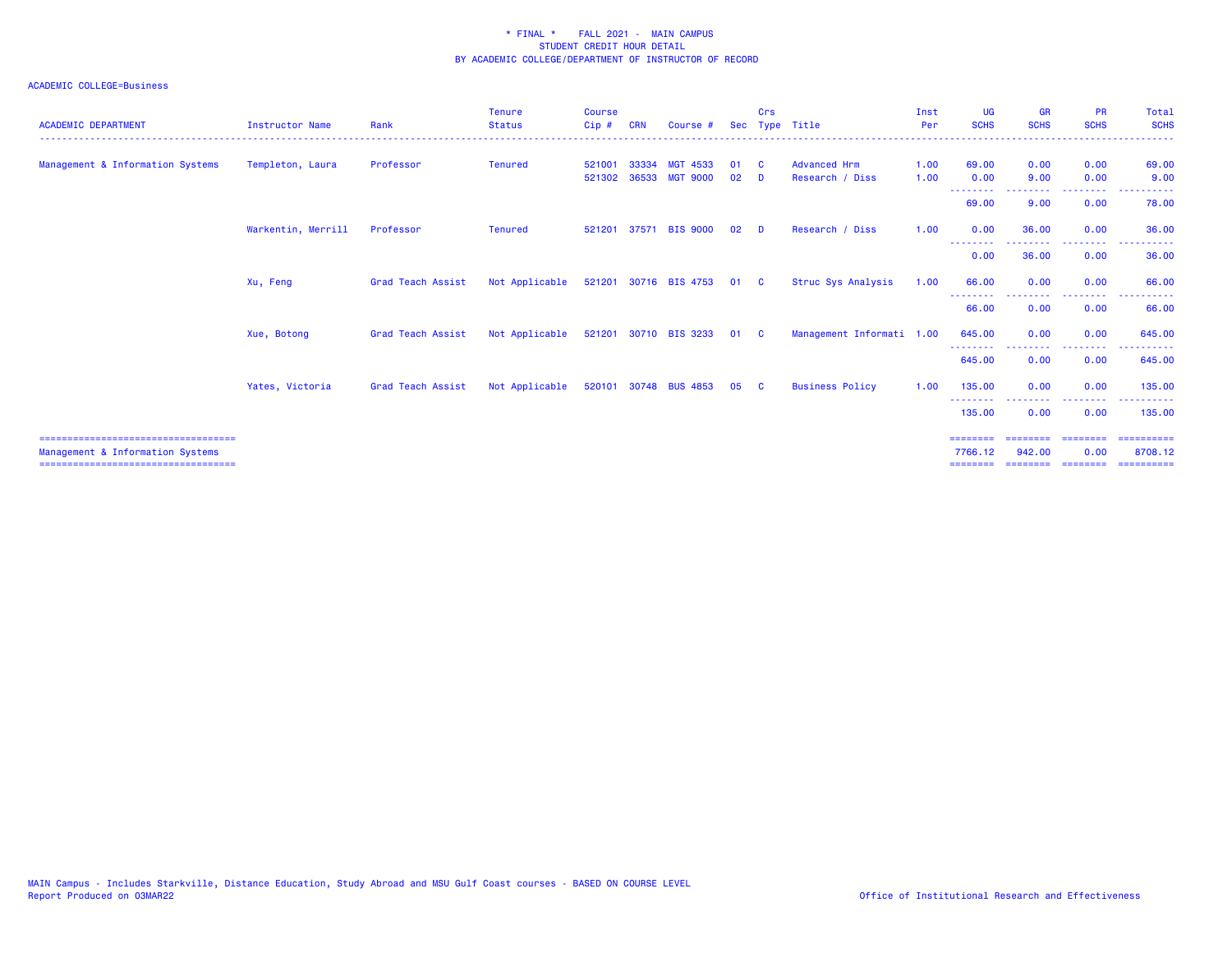| <b>ACADEMIC DEPARTMENT</b>                                                                                        | <b>Instructor Name</b> | Rank              | <b>Tenure</b><br><b>Status</b> | <b>Course</b><br>Cip# | <b>CRN</b>     | Course #                    | <b>Sec</b> | Crs      | Type Title                             | Inst<br>Per<br><u>.</u> | <b>UG</b><br><b>SCHS</b>          | <b>GR</b><br><b>SCHS</b>        | <b>PR</b><br><b>SCHS</b>                             | Total<br><b>SCHS</b><br>.         |
|-------------------------------------------------------------------------------------------------------------------|------------------------|-------------------|--------------------------------|-----------------------|----------------|-----------------------------|------------|----------|----------------------------------------|-------------------------|-----------------------------------|---------------------------------|------------------------------------------------------|-----------------------------------|
| Management & Information Systems                                                                                  | Templeton, Laura       | Professor         | <b>Tenured</b>                 | 521001<br>521302      | 33334<br>36533 | MGT 4533<br><b>MGT 9000</b> | 01<br>02   | - C<br>D | <b>Advanced Hrm</b><br>Research / Diss | 1.00<br>1.00            | 69.00<br>0.00                     | 0.00<br>9.00                    | 0.00<br>0.00                                         | 69.00<br>9.00                     |
|                                                                                                                   |                        |                   |                                |                       |                |                             |            |          |                                        |                         | --------<br>69.00                 | <u> - - - - - - - -</u><br>9.00 | <b><i><u><u> - - - - - - - -</u></u></i></b><br>0.00 | $   -$<br>------<br>78.00         |
|                                                                                                                   | Warkentin, Merrill     | Professor         | <b>Tenured</b>                 | 521201                |                | 37571 BIS 9000              | 02         | D        | Research / Diss                        | 1.00                    | 0.00<br>--------                  | 36.00<br>-------                | 0.00<br>--------                                     | 36.00<br>------                   |
|                                                                                                                   |                        |                   |                                |                       |                |                             |            |          |                                        |                         | 0.00                              | 36.00                           | 0.00                                                 | 36.00                             |
|                                                                                                                   | Xu, Feng               | Grad Teach Assist | Not Applicable                 |                       |                | 521201 30716 BIS 4753       | 01         | <b>C</b> | Struc Sys Analysis                     | 1.00                    | 66.00<br>--------                 | 0.00                            | 0.00<br><b></b>                                      | 66.00<br>.                        |
|                                                                                                                   |                        |                   |                                |                       |                |                             |            |          |                                        |                         | 66.00                             | 0.00                            | 0.00                                                 | 66.00                             |
|                                                                                                                   | Xue, Botong            | Grad Teach Assist | Not Applicable                 |                       |                | 521201 30710 BIS 3233       | 01 C       |          | Management Informati 1.00              |                         | 645.00<br>---------               | 0.00                            | 0.00                                                 | 645.00                            |
|                                                                                                                   |                        |                   |                                |                       |                |                             |            |          |                                        |                         | 645.00                            | 0.00                            | 0.00                                                 | 645.00                            |
|                                                                                                                   | Yates, Victoria        | Grad Teach Assist | Not Applicable                 |                       |                | 520101 30748 BUS 4853       | 05         | <b>C</b> | <b>Business Policy</b>                 | 1.00                    | 135,00<br><u> - - - - - - - -</u> | 0.00<br>.                       | 0.00<br>--------                                     | 135.00<br><u> - - - - - - - -</u> |
|                                                                                                                   |                        |                   |                                |                       |                |                             |            |          |                                        |                         | 135.00                            | 0.00                            | 0.00                                                 | 135.00                            |
| ======================================<br>Management & Information Systems<br>=================================== |                        |                   |                                |                       |                |                             |            |          |                                        |                         | ========<br>7766.12               | ========<br>942,00              | ---------<br>0.00                                    | -----------<br>8708.12            |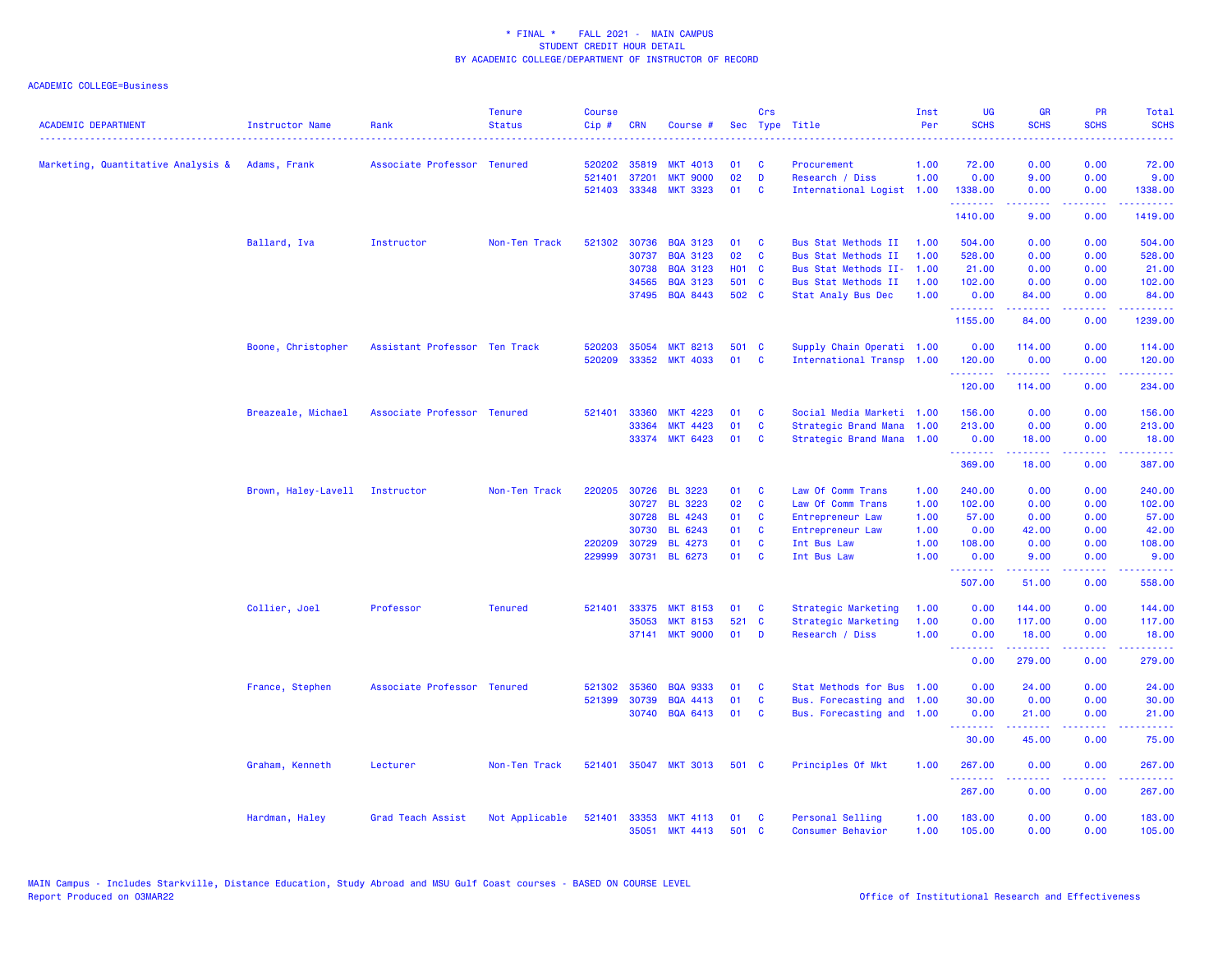| <b>ACADEMIC DEPARTMENT</b>                      | Instructor Name                | Rank                          | <b>Tenure</b><br><b>Status</b> | <b>Course</b><br>Cip# | <b>CRN</b>   | Course #              |              | Crs          | Sec Type Title             | Inst<br>Per | <b>UG</b><br><b>SCHS</b> | <b>GR</b><br><b>SCHS</b> | <b>PR</b><br><b>SCHS</b>                                                                                                          | Total<br><b>SCHS</b>                                                                                                                                           |
|-------------------------------------------------|--------------------------------|-------------------------------|--------------------------------|-----------------------|--------------|-----------------------|--------------|--------------|----------------------------|-------------|--------------------------|--------------------------|-----------------------------------------------------------------------------------------------------------------------------------|----------------------------------------------------------------------------------------------------------------------------------------------------------------|
| Marketing, Quantitative Analysis & Adams, Frank |                                | Associate Professor Tenured   |                                | 520202                | 35819        | <b>MKT 4013</b>       | 01           | <b>C</b>     | Procurement                | 1.00        | 72.00                    | 0.00                     | 0.00                                                                                                                              | 72.00                                                                                                                                                          |
|                                                 |                                |                               |                                | 521401                | 37201        | <b>MKT 9000</b>       | 02           | D            | Research / Diss            | 1.00        | 0.00                     | 9.00                     | 0.00                                                                                                                              | 9.00                                                                                                                                                           |
|                                                 |                                |                               |                                |                       | 521403 33348 | <b>MKT 3323</b>       | 01           | <b>C</b>     | International Logist 1.00  |             | 1338.00<br>.             | 0.00<br>.                | 0.00<br>.                                                                                                                         | 1338.00<br>.                                                                                                                                                   |
|                                                 |                                |                               |                                |                       |              |                       |              |              |                            |             | 1410.00                  | 9.00                     | 0.00                                                                                                                              | 1419.00                                                                                                                                                        |
|                                                 | Ballard, Iva                   | Instructor                    | Non-Ten Track                  |                       | 521302 30736 | <b>BQA 3123</b>       | 01           | C            | Bus Stat Methods II        | 1.00        | 504.00                   | 0.00                     | 0.00                                                                                                                              | 504.00                                                                                                                                                         |
|                                                 |                                |                               |                                |                       | 30737        | <b>BQA 3123</b>       | 02           | C            | Bus Stat Methods II        | 1.00        | 528.00                   | 0.00                     | 0.00                                                                                                                              | 528.00                                                                                                                                                         |
|                                                 |                                |                               |                                |                       | 30738        | <b>BQA 3123</b>       | <b>HO1 C</b> |              | Bus Stat Methods II-       | 1.00        | 21.00                    | 0.00                     | 0.00                                                                                                                              | 21.00                                                                                                                                                          |
|                                                 |                                |                               |                                |                       | 34565        | <b>BQA 3123</b>       | 501 C        |              | <b>Bus Stat Methods II</b> | 1.00        | 102.00                   | 0.00                     | 0.00                                                                                                                              | 102.00                                                                                                                                                         |
|                                                 |                                |                               |                                |                       | 37495        | <b>BQA 8443</b>       | 502 C        |              | Stat Analy Bus Dec         | 1.00        | 0.00<br>.                | 84.00<br>.               | 0.00<br>.                                                                                                                         | 84.00<br>.                                                                                                                                                     |
|                                                 |                                |                               |                                |                       |              |                       |              |              |                            |             | 1155.00                  | 84.00                    | 0.00                                                                                                                              | 1239.00                                                                                                                                                        |
|                                                 | Boone, Christopher             | Assistant Professor Ten Track |                                | 520203                | 35054        | <b>MKT 8213</b>       | 501 C        |              | Supply Chain Operati 1.00  |             | 0.00                     | 114.00                   | 0.00                                                                                                                              | 114.00                                                                                                                                                         |
|                                                 |                                |                               |                                | 520209                | 33352        | <b>MKT 4033</b>       | 01           | <b>C</b>     | International Transp 1.00  |             | 120.00<br>.              | 0.00<br>.                | 0.00<br>.                                                                                                                         | 120.00<br>.                                                                                                                                                    |
|                                                 |                                |                               |                                |                       |              |                       |              |              |                            |             | 120.00                   | 114.00                   | 0.00                                                                                                                              | 234.00                                                                                                                                                         |
|                                                 | Breazeale, Michael             | Associate Professor Tenured   |                                | 521401                | 33360        | <b>MKT 4223</b>       | 01           | C            | Social Media Marketi 1.00  |             | 156.00                   | 0.00                     | 0.00                                                                                                                              | 156.00                                                                                                                                                         |
|                                                 |                                |                               |                                |                       | 33364        | <b>MKT 4423</b>       | 01           | C            | Strategic Brand Mana       | 1.00        | 213.00                   | 0.00                     | 0.00                                                                                                                              | 213.00                                                                                                                                                         |
|                                                 |                                |                               |                                |                       | 33374        | <b>MKT 6423</b>       | 01           | <b>C</b>     | Strategic Brand Mana 1.00  |             | 0.00<br>.                | 18.00<br>د د د د د       | 0.00                                                                                                                              | 18.00<br>.                                                                                                                                                     |
|                                                 |                                |                               |                                |                       |              |                       |              |              |                            |             | 369.00                   | 18.00                    | 0.00                                                                                                                              | 387.00                                                                                                                                                         |
|                                                 | Brown, Haley-Lavell Instructor |                               | Non-Ten Track                  |                       | 220205 30726 | <b>BL 3223</b>        | 01           | C            | Law Of Comm Trans          | 1.00        | 240.00                   | 0.00                     | 0.00                                                                                                                              | 240.00                                                                                                                                                         |
|                                                 |                                |                               |                                |                       | 30727        | <b>BL 3223</b>        | 02           | C            | Law Of Comm Trans          | 1.00        | 102.00                   | 0.00                     | 0.00                                                                                                                              | 102.00                                                                                                                                                         |
|                                                 |                                |                               |                                |                       | 30728        | <b>BL 4243</b>        | 01           | <b>C</b>     | Entrepreneur Law           | 1.00        | 57.00                    | 0.00                     | 0.00                                                                                                                              | 57.00                                                                                                                                                          |
|                                                 |                                |                               |                                |                       | 30730        | BL 6243               | 01           | C            | Entrepreneur Law           | 1.00        | 0.00                     | 42.00                    | 0.00                                                                                                                              | 42.00                                                                                                                                                          |
|                                                 |                                |                               |                                | 220209                | 30729        | <b>BL 4273</b>        | 01           | C            | Int Bus Law                | 1.00        | 108.00                   | 0.00                     | 0.00                                                                                                                              | 108.00                                                                                                                                                         |
|                                                 |                                |                               |                                | 229999                | 30731        | BL 6273               | 01           | $\mathbf{C}$ | Int Bus Law                | 1.00        | 0.00<br>.                | 9.00                     | 0.00                                                                                                                              | 9.00                                                                                                                                                           |
|                                                 |                                |                               |                                |                       |              |                       |              |              |                            |             | 507.00                   | 51.00                    | 0.00                                                                                                                              | 558.00                                                                                                                                                         |
|                                                 | Collier, Joel                  | Professor                     | <b>Tenured</b>                 | 521401                | 33375        | <b>MKT 8153</b>       | 01           | <b>C</b>     | Strategic Marketing        | 1.00        | 0.00                     | 144.00                   | 0.00                                                                                                                              | 144.00                                                                                                                                                         |
|                                                 |                                |                               |                                |                       | 35053        | <b>MKT 8153</b>       | 521 C        |              | Strategic Marketing        | 1.00        | 0.00                     | 117.00                   | 0.00                                                                                                                              | 117.00                                                                                                                                                         |
|                                                 |                                |                               |                                |                       | 37141        | <b>MKT 9000</b>       | 01           | <b>D</b>     | Research / Diss            | 1.00        | 0.00<br><b></b>          | 18.00<br>.               | 0.00<br>.                                                                                                                         | 18.00                                                                                                                                                          |
|                                                 |                                |                               |                                |                       |              |                       |              |              |                            |             | 0.00                     | 279.00                   | 0.00                                                                                                                              | 279.00                                                                                                                                                         |
|                                                 | France, Stephen                | Associate Professor Tenured   |                                | 521302                | 35360        | <b>BQA 9333</b>       | 01           | <b>C</b>     | Stat Methods for Bus 1.00  |             | 0.00                     | 24.00                    | 0.00                                                                                                                              | 24.00                                                                                                                                                          |
|                                                 |                                |                               |                                | 521399                | 30739        | <b>BQA 4413</b>       | 01           | $\mathbf c$  | Bus. Forecasting and 1.00  |             | 30.00                    | 0.00                     | 0.00                                                                                                                              | 30.00                                                                                                                                                          |
|                                                 |                                |                               |                                |                       | 30740        | <b>BQA 6413</b>       | 01           | <b>C</b>     | Bus. Forecasting and 1.00  |             | 0.00<br>.                | 21.00<br>.               | 0.00<br>.                                                                                                                         | 21.00<br>.                                                                                                                                                     |
|                                                 |                                |                               |                                |                       |              |                       |              |              |                            |             | 30.00                    | 45.00                    | 0.00                                                                                                                              | 75.00                                                                                                                                                          |
|                                                 | Graham, Kenneth                | Lecturer                      | Non-Ten Track                  |                       |              | 521401 35047 MKT 3013 | 501 C        |              | Principles Of Mkt          | 1.00        | 267.00                   | 0.00                     | 0.00                                                                                                                              | 267.00                                                                                                                                                         |
|                                                 |                                |                               |                                |                       |              |                       |              |              |                            |             | .<br>267.00              | $   -$<br>0.00           | $\frac{1}{2} \left( \frac{1}{2} \right) \left( \frac{1}{2} \right) \left( \frac{1}{2} \right) \left( \frac{1}{2} \right)$<br>0.00 | $\frac{1}{2} \left( \frac{1}{2} \right) \left( \frac{1}{2} \right) \left( \frac{1}{2} \right) \left( \frac{1}{2} \right) \left( \frac{1}{2} \right)$<br>267,00 |
|                                                 | Hardman, Haley                 | Grad Teach Assist             | Not Applicable                 | 521401 33353          |              | <b>MKT 4113</b>       | 01           | <b>C</b>     | Personal Selling           | 1.00        | 183.00                   | 0.00                     | 0.00                                                                                                                              | 183.00                                                                                                                                                         |
|                                                 |                                |                               |                                |                       | 35051        | <b>MKT 4413</b>       | 501 C        |              | Consumer Behavior          | 1.00        | 105.00                   | 0.00                     | 0.00                                                                                                                              | 105.00                                                                                                                                                         |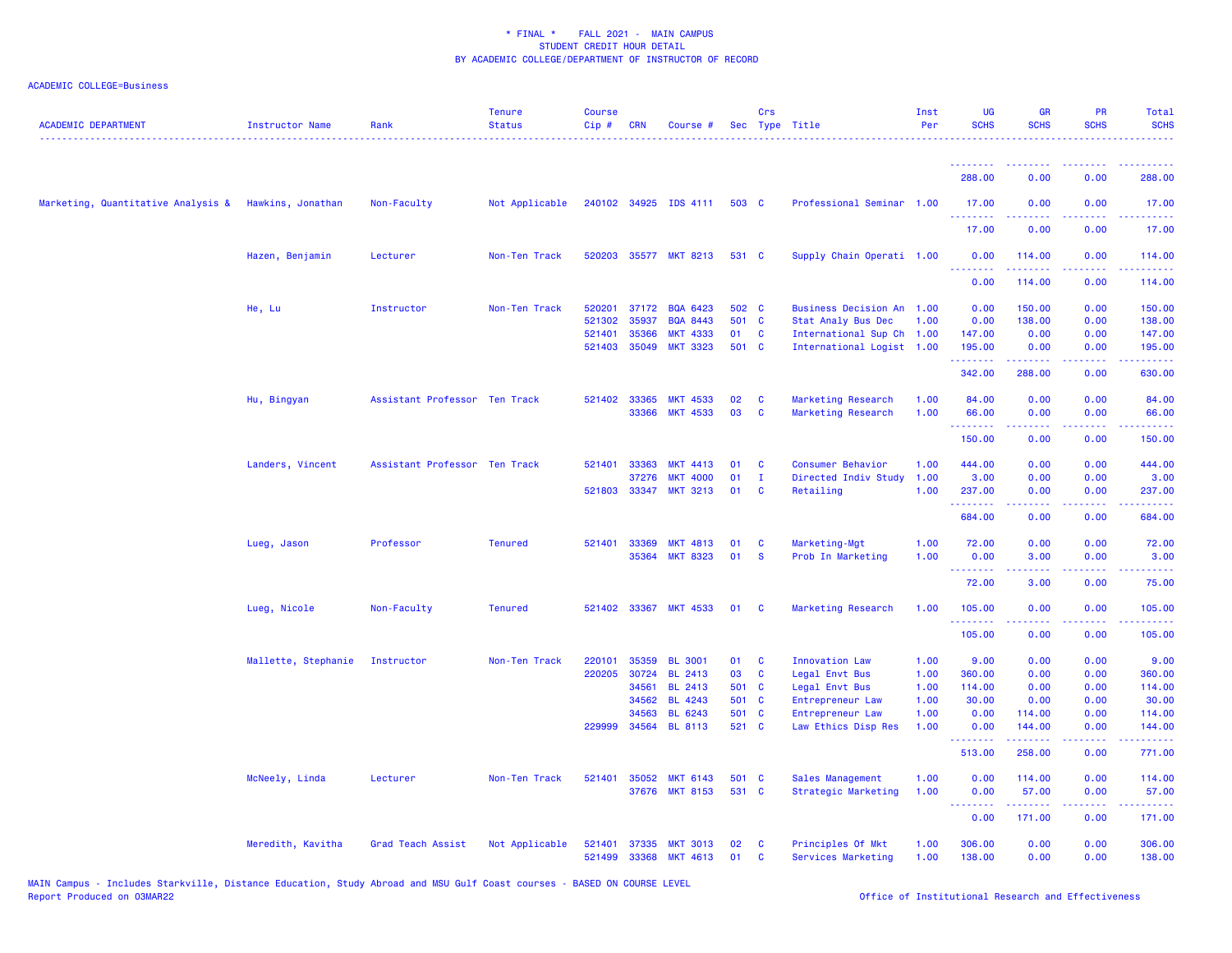| <b>ACADEMIC DEPARTMENT</b>                           | <b>Instructor Name</b> | Rank                          | <b>Tenure</b><br><b>Status</b> | <b>Course</b><br>Cip# | <b>CRN</b>   | Course #                           |          | Crs          | Sec Type Title              | Inst<br>Per | UG<br><b>SCHS</b>                                | <b>GR</b><br><b>SCHS</b>                | PR<br><b>SCHS</b>                   | Total<br><b>SCHS</b>                                                                                                                                           |
|------------------------------------------------------|------------------------|-------------------------------|--------------------------------|-----------------------|--------------|------------------------------------|----------|--------------|-----------------------------|-------------|--------------------------------------------------|-----------------------------------------|-------------------------------------|----------------------------------------------------------------------------------------------------------------------------------------------------------------|
|                                                      |                        |                               |                                |                       |              |                                    |          |              |                             |             | <u>.</u><br>288.00                               | .<br>0.00                               | ----<br>0.00                        | 288.00                                                                                                                                                         |
|                                                      |                        |                               |                                |                       |              |                                    |          |              |                             |             |                                                  |                                         |                                     |                                                                                                                                                                |
| Marketing, Quantitative Analysis & Hawkins, Jonathan |                        | Non-Faculty                   | Not Applicable                 |                       |              | 240102 34925 IDS 4111              | 503 C    |              | Professional Seminar 1.00   |             | 17.00                                            | 0.00                                    | 0.00                                | 17.00<br>$\frac{1}{2} \left( \frac{1}{2} \right) \left( \frac{1}{2} \right) \left( \frac{1}{2} \right)$                                                        |
|                                                      |                        |                               |                                |                       |              |                                    |          |              |                             |             | 17.00                                            | 0.00                                    | 0.00                                | 17.00                                                                                                                                                          |
|                                                      | Hazen, Benjamin        | Lecturer                      | Non-Ten Track                  | 520203                |              | 35577 MKT 8213                     | 531 C    |              | Supply Chain Operati 1.00   |             | 0.00<br>.                                        | 114.00<br><b><i><u>Listendo</u></i></b> | 0.00<br>.                           | 114.00<br>2.2222                                                                                                                                               |
|                                                      |                        |                               |                                |                       |              |                                    |          |              |                             |             | 0.00                                             | 114.00                                  | 0.00                                | 114.00                                                                                                                                                         |
|                                                      | He, Lu                 | Instructor                    | Non-Ten Track                  | 520201                | 37172        | <b>BQA 6423</b>                    | 502 C    |              | <b>Business Decision An</b> | 1.00        | 0.00                                             | 150.00                                  | 0.00                                | 150.00                                                                                                                                                         |
|                                                      |                        |                               |                                | 521302                | 35937        | <b>BQA 8443</b>                    | 501 C    |              | Stat Analy Bus Dec          | 1.00        | 0.00                                             | 138.00                                  | 0.00                                | 138.00                                                                                                                                                         |
|                                                      |                        |                               |                                | 521401                | 35366        | <b>MKT 4333</b>                    | 01       | C            | International Sup Ch 1.00   |             | 147.00                                           | 0.00                                    | 0.00                                | 147.00                                                                                                                                                         |
|                                                      |                        |                               |                                | 521403                | 35049        | <b>MKT 3323</b>                    | 501 C    |              | International Logist 1.00   |             | 195.00<br>.                                      | 0.00<br>. <u>.</u>                      | 0.00<br>.                           | 195.00<br>$\mathbf{1} \cdot \mathbf{1} \cdot \mathbf{1} \cdot \mathbf{1} \cdot \mathbf{1}$                                                                     |
|                                                      |                        |                               |                                |                       |              |                                    |          |              |                             |             | 342.00                                           | 288.00                                  | 0.00                                | 630.00                                                                                                                                                         |
|                                                      | Hu, Bingyan            | Assistant Professor Ten Track |                                |                       | 521402 33365 | <b>MKT 4533</b>                    | 02       | C            | Marketing Research          | 1.00        | 84.00                                            | 0.00                                    | 0.00                                | 84.00                                                                                                                                                          |
|                                                      |                        |                               |                                |                       |              | 33366 MKT 4533                     | 03       | C            | Marketing Research          | 1.00        | 66.00                                            | 0.00                                    | 0.00                                | 66.00                                                                                                                                                          |
|                                                      |                        |                               |                                |                       |              |                                    |          |              |                             |             | <b></b><br>150.00                                | .<br>0.00                               | د د د د<br>0.00                     | .<br>150.00                                                                                                                                                    |
|                                                      | Landers, Vincent       | Assistant Professor Ten Track |                                | 521401                | 33363        | <b>MKT 4413</b>                    | 01       | C            | Consumer Behavior           | 1.00        | 444.00                                           | 0.00                                    | 0.00                                | 444.00                                                                                                                                                         |
|                                                      |                        |                               |                                |                       | 37276        | <b>MKT 4000</b>                    | 01       | $\mathbf{I}$ | Directed Indiv Study        | 1.00        | 3.00                                             | 0.00                                    | 0.00                                | 3.00                                                                                                                                                           |
|                                                      |                        |                               |                                | 521803                | 33347        | <b>MKT 3213</b>                    | 01       | C            | Retailing                   | 1.00        | 237.00                                           | 0.00                                    | 0.00                                | 237.00                                                                                                                                                         |
|                                                      |                        |                               |                                |                       |              |                                    |          |              |                             |             | المستملة المساري<br>684.00                       | 0.00                                    | $\sim$ $\sim$ $\sim$ $\sim$<br>0.00 | المستحب<br>684.00                                                                                                                                              |
|                                                      | Lueg, Jason            | Professor                     | <b>Tenured</b>                 | 521401                | 33369        | <b>MKT 4813</b>                    | 01       | C            | Marketing-Mgt               | 1.00        | 72.00                                            | 0.00                                    | 0.00                                | 72.00                                                                                                                                                          |
|                                                      |                        |                               |                                |                       |              | 35364 MKT 8323                     | 01       | <b>S</b>     | Prob In Marketing           | 1.00        | 0.00                                             | 3.00                                    | 0.00                                | 3.00                                                                                                                                                           |
|                                                      |                        |                               |                                |                       |              |                                    |          |              |                             |             | <u>.</u><br>72.00                                | 22222<br>3.00                           | .<br>0.00                           | . د د د د<br>75.00                                                                                                                                             |
|                                                      | Lueg, Nicole           | Non-Faculty                   | <b>Tenured</b>                 | 521402                | 33367        | <b>MKT 4533</b>                    | 01       | C            | Marketing Research          | 1.00        | 105.00                                           | 0.00                                    | 0.00                                | 105.00                                                                                                                                                         |
|                                                      |                        |                               |                                |                       |              |                                    |          |              |                             |             | .<br>105.00                                      | 0.00                                    | $\sim$ $\sim$ $\sim$ $\sim$<br>0.00 | 2.2.2.2.2<br>105.00                                                                                                                                            |
|                                                      | Mallette, Stephanie    | Instructor                    | Non-Ten Track                  | 220101                | 35359        | <b>BL 3001</b>                     | 01       | C            | Innovation Law              | 1.00        | 9.00                                             | 0.00                                    | 0.00                                | 9.00                                                                                                                                                           |
|                                                      |                        |                               |                                | 220205                | 30724        | <b>BL 2413</b>                     | 03       | <b>C</b>     | Legal Envt Bus              | 1.00        | 360.00                                           | 0.00                                    | 0.00                                | 360.00                                                                                                                                                         |
|                                                      |                        |                               |                                |                       | 34561        | <b>BL 2413</b>                     | 501 C    |              | Legal Envt Bus              | 1.00        | 114.00                                           | 0.00                                    | 0.00                                | 114.00                                                                                                                                                         |
|                                                      |                        |                               |                                |                       | 34562        | <b>BL 4243</b>                     | 501 C    |              | Entrepreneur Law            | 1.00        | 30.00                                            | 0.00                                    | 0.00                                | 30.00                                                                                                                                                          |
|                                                      |                        |                               |                                |                       | 34563        | <b>BL 6243</b>                     |          | 501 C        | Entrepreneur Law            | 1.00        | 0.00                                             | 114.00                                  | 0.00                                | 114.00                                                                                                                                                         |
|                                                      |                        |                               |                                | 229999                |              | 34564 BL 8113                      | 521 C    |              | Law Ethics Disp Res         | 1.00        | 0.00<br><b><i><u><u> - - - - - -</u></u></i></b> | 144.00<br>.                             | 0.00<br>د د د د                     | 144.00<br>$\frac{1}{2} \left( \frac{1}{2} \right) \left( \frac{1}{2} \right) \left( \frac{1}{2} \right) \left( \frac{1}{2} \right) \left( \frac{1}{2} \right)$ |
|                                                      |                        |                               |                                |                       |              |                                    |          |              |                             |             | 513.00                                           | 258.00                                  | 0.00                                | 771.00                                                                                                                                                         |
|                                                      | McNeely, Linda         | Lecturer                      | Non-Ten Track                  | 521401                | 35052        | <b>MKT 6143</b>                    | 501      | <b>C</b>     | Sales Management            | 1.00        | 0.00                                             | 114.00                                  | 0.00                                | 114.00                                                                                                                                                         |
|                                                      |                        |                               |                                |                       | 37676        | <b>MKT 8153</b>                    | 531      | $\mathbf{C}$ | Strategic Marketing         | 1.00        | 0.00<br>د د د د                                  | 57.00<br>.                              | 0.00<br>د د د د                     | 57.00<br>.                                                                                                                                                     |
|                                                      |                        |                               |                                |                       |              |                                    |          |              |                             |             | 0.00                                             | 171.00                                  | 0.00                                | 171.00                                                                                                                                                         |
|                                                      | Meredith, Kavitha      | Grad Teach Assist             | Not Applicable                 | 521401                | 37335        | <b>MKT 3013</b><br><b>MKT 4613</b> | 02<br>01 | C<br>C       | Principles Of Mkt           | 1.00        | 306.00<br>138.00                                 | 0.00<br>0.00                            | 0.00<br>0.00                        | 306.00                                                                                                                                                         |
|                                                      |                        |                               |                                | 521499                | 33368        |                                    |          |              | Services Marketing          | 1.00        |                                                  |                                         |                                     | 138.00                                                                                                                                                         |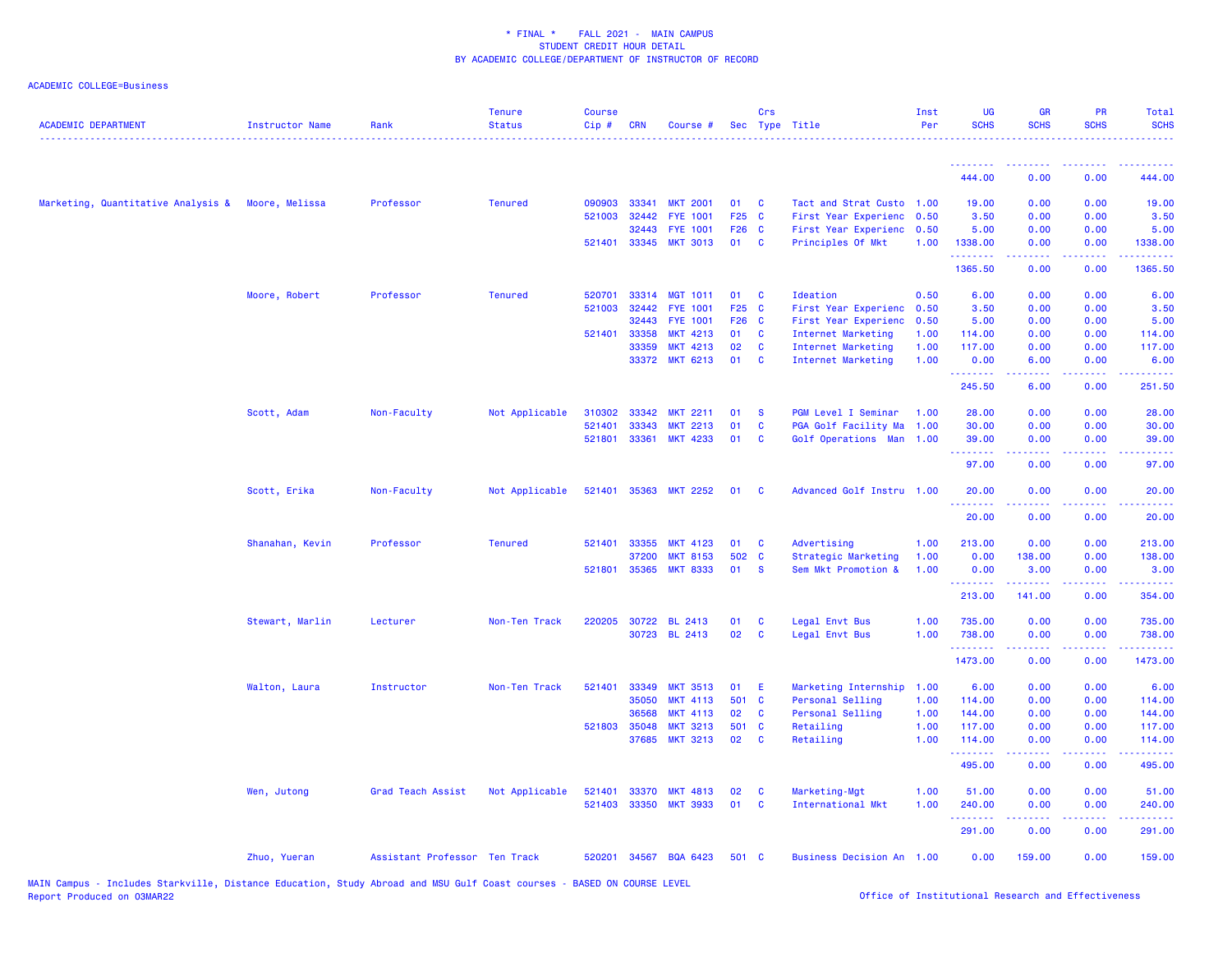| <b>ACADEMIC DEPARTMENT</b>                        | <b>Instructor Name</b> | Rank                          | <b>Tenure</b><br><b>Status</b> | <b>Course</b><br>Cip# | <b>CRN</b>   | Course #              |       | Crs      | Sec Type Title            | Inst<br>Per | <b>UG</b><br><b>SCHS</b> | <b>GR</b><br><b>SCHS</b>        | <b>PR</b><br><b>SCHS</b>            | Total<br><b>SCHS</b>                                                                                                             |
|---------------------------------------------------|------------------------|-------------------------------|--------------------------------|-----------------------|--------------|-----------------------|-------|----------|---------------------------|-------------|--------------------------|---------------------------------|-------------------------------------|----------------------------------------------------------------------------------------------------------------------------------|
|                                                   |                        |                               |                                |                       |              |                       |       |          |                           |             |                          |                                 |                                     |                                                                                                                                  |
|                                                   |                        |                               |                                |                       |              |                       |       |          |                           |             | .<br>444.00              | 0.00                            | 0.00                                | 444.00                                                                                                                           |
| Marketing, Quantitative Analysis & Moore, Melissa |                        | Professor                     | <b>Tenured</b>                 | 090903                | 33341        | <b>MKT 2001</b>       | 01    | C        | Tact and Strat Custo 1.00 |             | 19.00                    | 0.00                            | 0.00                                | 19.00                                                                                                                            |
|                                                   |                        |                               |                                | 521003                | 32442        | <b>FYE 1001</b>       | F25 C |          | First Year Experienc      | 0.50        | 3.50                     | 0.00                            | 0.00                                | 3.50                                                                                                                             |
|                                                   |                        |                               |                                |                       | 32443        | <b>FYE 1001</b>       | F26 C |          | First Year Experienc 0.50 |             | 5.00                     | 0.00                            | 0.00                                | 5.00                                                                                                                             |
|                                                   |                        |                               |                                |                       |              | 521401 33345 MKT 3013 | 01 C  |          | Principles Of Mkt         | 1.00        | 1338.00<br>.             | 0.00<br>-----                   | 0.00<br>22222                       | 1338.00<br>$\begin{array}{cccccccccc} \bullet & \bullet & \bullet & \bullet & \bullet & \bullet & \bullet & \bullet \end{array}$ |
|                                                   |                        |                               |                                |                       |              |                       |       |          |                           |             | 1365.50                  | 0.00                            | 0.00                                | 1365.50                                                                                                                          |
|                                                   | Moore, Robert          | Professor                     | <b>Tenured</b>                 | 520701                | 33314        | <b>MGT 1011</b>       | 01    | <b>C</b> | Ideation                  | 0.50        | 6.00                     | 0.00                            | 0.00                                | 6.00                                                                                                                             |
|                                                   |                        |                               |                                | 521003                | 32442        | <b>FYE 1001</b>       | F25 C |          | First Year Experienc      | 0.50        | 3.50                     | 0.00                            | 0.00                                | 3.50                                                                                                                             |
|                                                   |                        |                               |                                |                       | 32443        | <b>FYE 1001</b>       | F26 C |          | First Year Experienc      | 0.50        | 5.00                     | 0.00                            | 0.00                                | 5.00                                                                                                                             |
|                                                   |                        |                               |                                | 521401                | 33358        | <b>MKT 4213</b>       | 01    | C        | Internet Marketing        | 1.00        | 114.00                   | 0.00                            | 0.00                                | 114.00                                                                                                                           |
|                                                   |                        |                               |                                |                       | 33359        | <b>MKT 4213</b>       | 02    | C        | Internet Marketing        | 1.00        | 117.00                   | 0.00                            | 0.00                                | 117.00                                                                                                                           |
|                                                   |                        |                               |                                |                       |              | 33372 MKT 6213        | 01    | C        | Internet Marketing        | 1.00        | 0.00<br>.                | 6.00                            | 0.00<br>$\sim$ $\sim$ $\sim$ $\sim$ | 6.00<br>.                                                                                                                        |
|                                                   |                        |                               |                                |                       |              |                       |       |          |                           |             | 245.50                   | 6.00                            | 0.00                                | 251.50                                                                                                                           |
|                                                   | Scott, Adam            | Non-Faculty                   | Not Applicable                 | 310302                | 33342        | <b>MKT 2211</b>       | 01    | -S       | PGM Level I Seminar       | 1.00        | 28.00                    | 0.00                            | 0.00                                | 28.00                                                                                                                            |
|                                                   |                        |                               |                                | 521401                | 33343        | <b>MKT 2213</b>       | 01    | C        | PGA Golf Facility Ma      | 1.00        | 30.00                    | 0.00                            | 0.00                                | 30.00                                                                                                                            |
|                                                   |                        |                               |                                | 521801                |              | 33361 MKT 4233        | 01    | C        | Golf Operations Man 1.00  |             | 39.00<br><u>.</u>        | 0.00<br><u>.</u>                | 0.00<br>.                           | 39.00<br>.                                                                                                                       |
|                                                   |                        |                               |                                |                       |              |                       |       |          |                           |             | 97.00                    | 0.00                            | 0.00                                | 97.00                                                                                                                            |
|                                                   | Scott, Erika           | Non-Faculty                   | Not Applicable                 | 521401                |              | 35363 MKT 2252        | 01    | - C      | Advanced Golf Instru 1.00 |             | 20.00<br>.               | 0.00<br>.                       | 0.00<br>وبالاناد                    | 20.00<br>المستما                                                                                                                 |
|                                                   |                        |                               |                                |                       |              |                       |       |          |                           |             | 20.00                    | 0.00                            | 0.00                                | 20.00                                                                                                                            |
|                                                   | Shanahan, Kevin        | Professor                     | <b>Tenured</b>                 | 521401                | 33355        | <b>MKT 4123</b>       | 01    | C        | Advertising               | 1.00        | 213.00                   | 0.00                            | 0.00                                | 213.00                                                                                                                           |
|                                                   |                        |                               |                                |                       | 37200        | <b>MKT 8153</b>       | 502 C |          | Strategic Marketing       | 1.00        | 0.00                     | 138.00                          | 0.00                                | 138.00                                                                                                                           |
|                                                   |                        |                               |                                |                       | 521801 35365 | <b>MKT 8333</b>       | 01    | <b>S</b> | Sem Mkt Promotion &       | 1.00        | 0.00<br>.                | 3.00<br><u> - - - - - - - -</u> | 0.00<br>. <b>.</b> .                | 3.00<br>.                                                                                                                        |
|                                                   |                        |                               |                                |                       |              |                       |       |          |                           |             | 213.00                   | 141.00                          | 0.00                                | 354.00                                                                                                                           |
|                                                   | Stewart, Marlin        | Lecturer                      | Non-Ten Track                  | 220205                | 30722        | <b>BL 2413</b>        | 01    | C        | Legal Envt Bus            | 1.00        | 735.00                   | 0.00                            | 0.00                                | 735.00                                                                                                                           |
|                                                   |                        |                               |                                |                       |              | 30723 BL 2413         | 02    | C        | Legal Envt Bus            | 1.00        | 738.00<br>.              | 0.00<br>22222                   | 0.00<br>.                           | 738.00<br>.                                                                                                                      |
|                                                   |                        |                               |                                |                       |              |                       |       |          |                           |             | 1473.00                  | 0.00                            | 0.00                                | 1473.00                                                                                                                          |
|                                                   | Walton, Laura          | Instructor                    | Non-Ten Track                  | 521401                | 33349        | <b>MKT 3513</b>       | 01    | E        | Marketing Internship      | 1.00        | 6.00                     | 0.00                            | 0.00                                | 6.00                                                                                                                             |
|                                                   |                        |                               |                                |                       | 35050        | <b>MKT 4113</b>       | 501 C |          | Personal Selling          | 1.00        | 114.00                   | 0.00                            | 0.00                                | 114.00                                                                                                                           |
|                                                   |                        |                               |                                |                       | 36568        | <b>MKT 4113</b>       | 02    | C        | Personal Selling          | 1.00        | 144.00                   | 0.00                            | 0.00                                | 144.00                                                                                                                           |
|                                                   |                        |                               |                                |                       | 521803 35048 | <b>MKT 3213</b>       | 501 C |          | Retailing                 | 1.00        | 117.00                   | 0.00                            | 0.00                                | 117.00                                                                                                                           |
|                                                   |                        |                               |                                |                       | 37685        | <b>MKT 3213</b>       | 02    | C        | Retailing                 | 1.00        | 114.00                   | 0.00<br>.                       | 0.00<br>الدعاعات                    | 114.00<br>.                                                                                                                      |
|                                                   |                        |                               |                                |                       |              |                       |       |          |                           |             | 495.00                   | 0.00                            | 0.00                                | 495.00                                                                                                                           |
|                                                   | Wen, Jutong            | Grad Teach Assist             | Not Applicable                 | 521401                | 33370        | <b>MKT 4813</b>       | 02    | C        | Marketing-Mgt             | 1.00        | 51.00                    | 0.00                            | 0.00                                | 51.00                                                                                                                            |
|                                                   |                        |                               |                                | 521403                | 33350        | <b>MKT 3933</b>       | 01    | C        | International Mkt         | 1.00        | 240.00                   | 0.00                            | 0.00                                | 240.00                                                                                                                           |
|                                                   |                        |                               |                                |                       |              |                       |       |          |                           |             | .<br>291.00              | 0.00                            | 0.00                                | .<br>291.00                                                                                                                      |
|                                                   | Zhuo, Yueran           | Assistant Professor Ten Track |                                | 520201                |              | 34567 BQA 6423        | 501 C |          | Business Decision An 1.00 |             | 0.00                     | 159.00                          | 0.00                                | 159.00                                                                                                                           |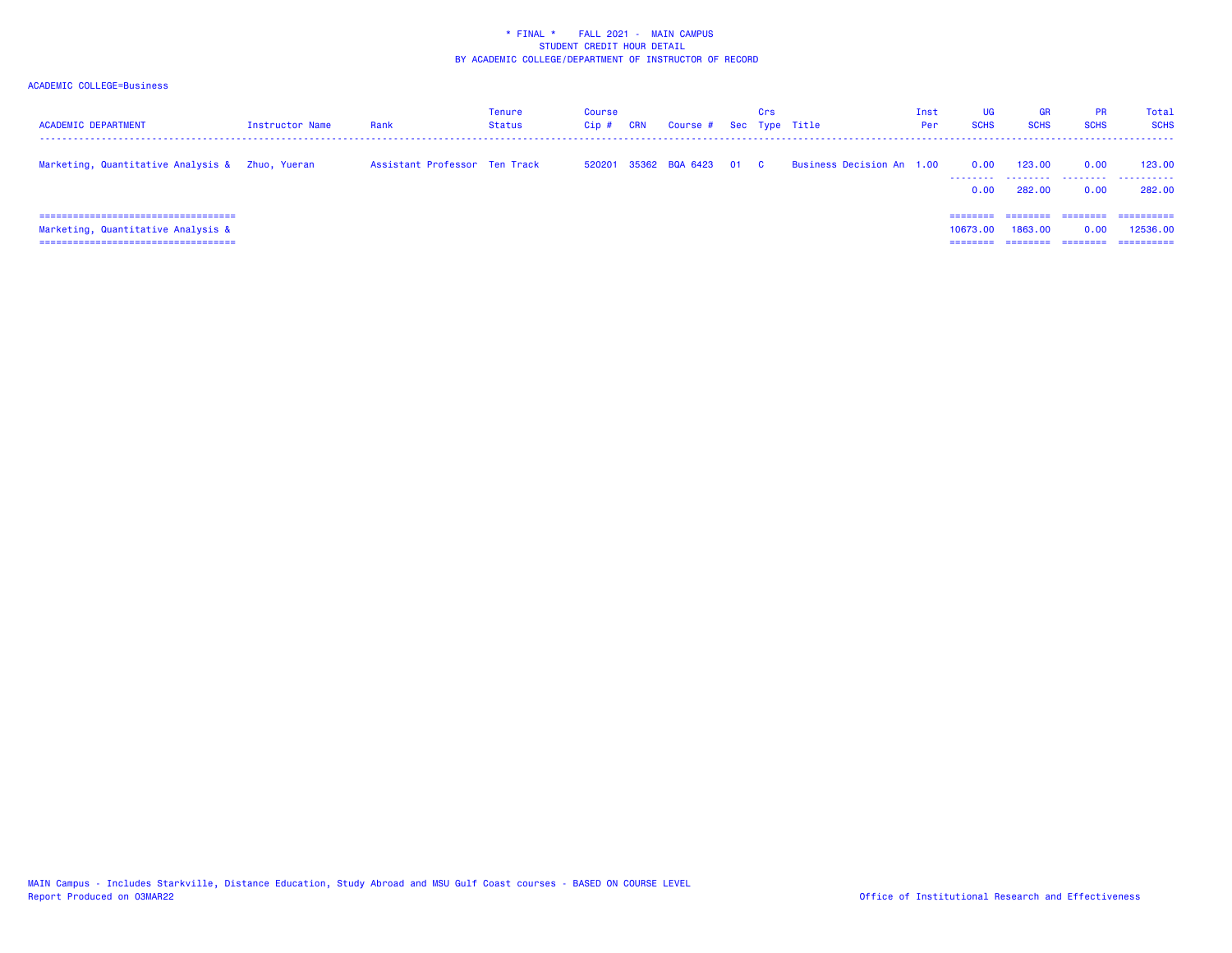| <b>ACADEMIC DEPARTMENT</b>                                                                                            | Instructor Name | Rank                          | Tenure<br><b>Status</b> | Course<br>Cip ; | <b>CRN</b> | Course # Sec Type Title | Crs |                           | Inst<br>Per | <b>UG</b><br><b>SCHS</b> | <b>GR</b><br><b>SCHS</b> | <b>PR</b><br><b>SCHS</b>     | Total<br><b>SCHS</b>                  |
|-----------------------------------------------------------------------------------------------------------------------|-----------------|-------------------------------|-------------------------|-----------------|------------|-------------------------|-----|---------------------------|-------------|--------------------------|--------------------------|------------------------------|---------------------------------------|
| Marketing, Quantitative Analysis & Zhuo, Yueran                                                                       |                 | Assistant Professor Ten Track |                         | 520201          |            | 35362 BQA 6423 01 C     |     | Business Decision An 1.00 |             | 0.00<br>--------<br>0.00 | 123.00<br>.<br>282,00    | 0.00<br>.<br>0.00            | 123,00<br>.<br>282.00                 |
| ======================================<br>Marketing, Quantitative Analysis &<br>===================================== |                 |                               |                         |                 |            |                         |     |                           |             | 10673.00<br>=====        | 1863,00<br>========      | ========<br>0.00<br>======== | -----------<br>12536.00<br>========== |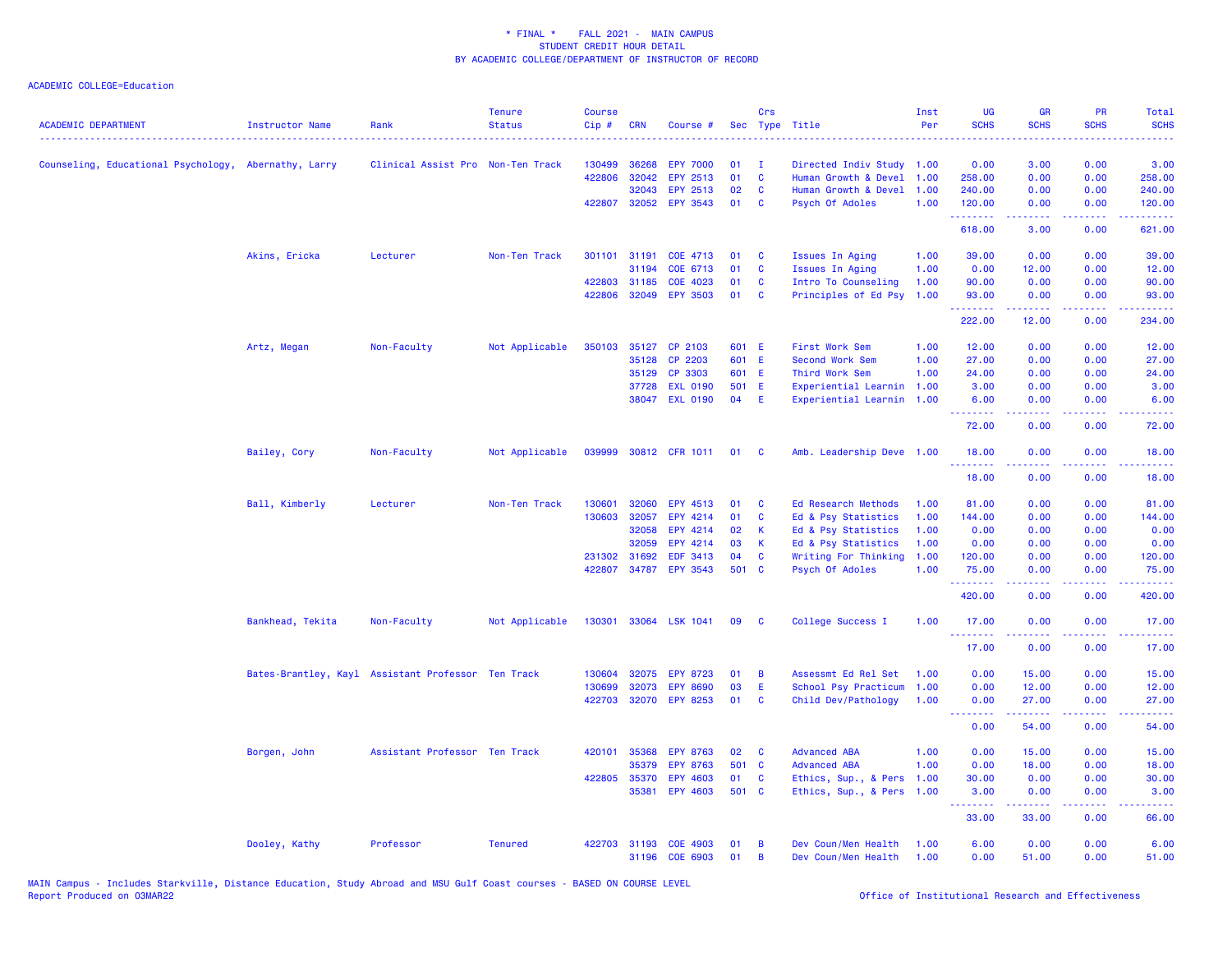| <b>ACADEMIC DEPARTMENT</b>                           | <b>Instructor Name</b> | Rank                                               | <b>Tenure</b><br><b>Status</b> | <b>Course</b><br>Cip# | <b>CRN</b>   | Course #              |       | Crs      | Sec Type Title             | Inst<br>Per | UG<br><b>SCHS</b>                       | <b>GR</b><br><b>SCHS</b>                                                                                                                                     | <b>PR</b><br><b>SCHS</b> | Total<br><b>SCHS</b>                                                                                                                                           |
|------------------------------------------------------|------------------------|----------------------------------------------------|--------------------------------|-----------------------|--------------|-----------------------|-------|----------|----------------------------|-------------|-----------------------------------------|--------------------------------------------------------------------------------------------------------------------------------------------------------------|--------------------------|----------------------------------------------------------------------------------------------------------------------------------------------------------------|
| Counseling, Educational Psychology, Abernathy, Larry |                        | Clinical Assist Pro Non-Ten Track                  |                                | 130499                | 36268        | <b>EPY 7000</b>       | 01    | - 1      | Directed Indiv Study 1.00  |             | 0.00                                    | 3.00                                                                                                                                                         | 0.00                     | 3.00                                                                                                                                                           |
|                                                      |                        |                                                    |                                | 422806                | 32042        | EPY 2513              | 01    | C        | Human Growth & Devel       | 1.00        | 258.00                                  | 0.00                                                                                                                                                         | 0.00                     | 258.00                                                                                                                                                         |
|                                                      |                        |                                                    |                                |                       | 32043        | EPY 2513              | 02    | C        | Human Growth & Devel       | 1.00        | 240.00                                  | 0.00                                                                                                                                                         | 0.00                     | 240.00                                                                                                                                                         |
|                                                      |                        |                                                    |                                |                       | 422807 32052 | <b>EPY 3543</b>       | 01    | <b>C</b> | Psych Of Adoles            | 1.00        | 120.00                                  | 0.00                                                                                                                                                         | 0.00                     | 120.00                                                                                                                                                         |
|                                                      |                        |                                                    |                                |                       |              |                       |       |          |                            |             | .<br>618.00                             | .<br>3.00                                                                                                                                                    | .<br>0.00                | $\frac{1}{2} \left( \frac{1}{2} \right) \left( \frac{1}{2} \right) \left( \frac{1}{2} \right) \left( \frac{1}{2} \right) \left( \frac{1}{2} \right)$<br>621.00 |
|                                                      | Akins, Ericka          | Lecturer                                           | Non-Ten Track                  |                       | 301101 31191 | COE 4713              | 01    | - C      | Issues In Aging            | 1.00        | 39.00                                   | 0.00                                                                                                                                                         | 0.00                     | 39.00                                                                                                                                                          |
|                                                      |                        |                                                    |                                |                       | 31194        | COE 6713              | 01    | C        | Issues In Aging            | 1.00        | 0.00                                    | 12.00                                                                                                                                                        | 0.00                     | 12.00                                                                                                                                                          |
|                                                      |                        |                                                    |                                |                       | 422803 31185 | COE 4023              | 01    | C        | Intro To Counseling        | 1.00        | 90.00                                   | 0.00                                                                                                                                                         | 0.00                     | 90.00                                                                                                                                                          |
|                                                      |                        |                                                    |                                |                       | 422806 32049 | <b>EPY 3503</b>       | 01    | <b>C</b> | Principles of Ed Psy       | 1.00        | 93.00<br>.                              | 0.00<br>.                                                                                                                                                    | 0.00<br>. <b>.</b>       | 93.00                                                                                                                                                          |
|                                                      |                        |                                                    |                                |                       |              |                       |       |          |                            |             | 222.00                                  | 12.00                                                                                                                                                        | 0.00                     | .<br>234.00                                                                                                                                                    |
|                                                      | Artz, Megan            | Non-Faculty                                        | Not Applicable                 | 350103                | 35127        | CP 2103               | 601 E |          | First Work Sem             | 1.00        | 12.00                                   | 0.00                                                                                                                                                         | 0.00                     | 12.00                                                                                                                                                          |
|                                                      |                        |                                                    |                                |                       | 35128        | CP 2203               | 601 E |          | Second Work Sem            | 1.00        | 27.00                                   | 0.00                                                                                                                                                         | 0.00                     | 27.00                                                                                                                                                          |
|                                                      |                        |                                                    |                                |                       | 35129        | CP 3303               | 601 E |          | Third Work Sem             | 1.00        | 24.00                                   | 0.00                                                                                                                                                         | 0.00                     | 24.00                                                                                                                                                          |
|                                                      |                        |                                                    |                                |                       | 37728        | <b>EXL 0190</b>       | 501 E |          | Experiential Learnin       | 1.00        | 3.00                                    | 0.00                                                                                                                                                         | 0.00                     | 3.00                                                                                                                                                           |
|                                                      |                        |                                                    |                                |                       |              | 38047 EXL 0190        | 04    | E        | Experiential Learnin 1.00  |             | 6.00<br>.                               | 0.00                                                                                                                                                         | 0.00<br>.                | 6.00                                                                                                                                                           |
|                                                      |                        |                                                    |                                |                       |              |                       |       |          |                            |             | 72.00                                   | $\frac{1}{2} \left( \frac{1}{2} \right) \left( \frac{1}{2} \right) \left( \frac{1}{2} \right) \left( \frac{1}{2} \right) \left( \frac{1}{2} \right)$<br>0.00 | 0.00                     | .<br>72.00                                                                                                                                                     |
|                                                      | Bailey, Cory           | Non-Faculty                                        | Not Applicable                 | 039999                |              | 30812 CFR 1011        | 01    | <b>C</b> | Amb. Leadership Deve 1.00  |             | 18.00                                   | 0.00                                                                                                                                                         | 0.00                     | 18.00                                                                                                                                                          |
|                                                      |                        |                                                    |                                |                       |              |                       |       |          |                            |             | .<br>18.00                              | 0.00                                                                                                                                                         | 0.00                     | 18.00                                                                                                                                                          |
|                                                      | Ball, Kimberly         | Lecturer                                           | Non-Ten Track                  | 130601                | 32060        | EPY 4513              | 01    | C        | <b>Ed Research Methods</b> | 1.00        | 81.00                                   | 0.00                                                                                                                                                         | 0.00                     | 81.00                                                                                                                                                          |
|                                                      |                        |                                                    |                                | 130603                | 32057        | EPY 4214              | 01    | C        | Ed & Psy Statistics        | 1.00        | 144.00                                  | 0.00                                                                                                                                                         | 0.00                     | 144.00                                                                                                                                                         |
|                                                      |                        |                                                    |                                |                       | 32058        | EPY 4214              | 02    | K        | Ed & Psy Statistics        | 1.00        | 0.00                                    | 0.00                                                                                                                                                         | 0.00                     | 0.00                                                                                                                                                           |
|                                                      |                        |                                                    |                                |                       | 32059        | EPY 4214              | 03    | K        | Ed & Psy Statistics        | 1.00        | 0.00                                    | 0.00                                                                                                                                                         | 0.00                     | 0.00                                                                                                                                                           |
|                                                      |                        |                                                    |                                |                       | 231302 31692 | EDF 3413              | 04    | C        | Writing For Thinking       | 1.00        | 120.00                                  | 0.00                                                                                                                                                         | 0.00                     | 120.00                                                                                                                                                         |
|                                                      |                        |                                                    |                                | 422807                | 34787        | <b>EPY 3543</b>       | 501 C |          | Psych Of Adoles            | 1.00        | 75.00                                   | 0.00                                                                                                                                                         | 0.00                     | 75.00                                                                                                                                                          |
|                                                      |                        |                                                    |                                |                       |              |                       |       |          |                            |             | <b><i><u><u>.</u></u></i></b><br>420.00 | .<br>0.00                                                                                                                                                    | $- - - -$<br>0.00        | الداعات عادة<br>420.00                                                                                                                                         |
|                                                      | Bankhead, Tekita       | Non-Faculty                                        | Not Applicable                 |                       |              | 130301 33064 LSK 1041 | 09    | - C      | College Success I          | 1.00        | 17.00                                   | 0.00                                                                                                                                                         | 0.00                     | 17.00                                                                                                                                                          |
|                                                      |                        |                                                    |                                |                       |              |                       |       |          |                            |             | .<br>17.00                              | $\frac{1}{2} \left( \frac{1}{2} \right) \left( \frac{1}{2} \right) \left( \frac{1}{2} \right) \left( \frac{1}{2} \right) \left( \frac{1}{2} \right)$<br>0.00 | .<br>0.00                | .<br>17.00                                                                                                                                                     |
|                                                      |                        | Bates-Brantley, Kayl Assistant Professor Ten Track |                                | 130604                | 32075        | <b>EPY 8723</b>       | 01    | B        | Assessmt Ed Rel Set        | 1.00        | 0.00                                    | 15.00                                                                                                                                                        | 0.00                     | 15.00                                                                                                                                                          |
|                                                      |                        |                                                    |                                | 130699                | 32073        | <b>EPY 8690</b>       | 03    | E        | School Psy Practicum       | 1.00        | 0.00                                    | 12.00                                                                                                                                                        | 0.00                     | 12.00                                                                                                                                                          |
|                                                      |                        |                                                    |                                |                       | 422703 32070 | <b>EPY 8253</b>       | 01    | C        | Child Dev/Pathology        | 1.00        | 0.00                                    | 27.00                                                                                                                                                        | 0.00                     | 27.00                                                                                                                                                          |
|                                                      |                        |                                                    |                                |                       |              |                       |       |          |                            |             | .<br>0.00                               | .<br>54.00                                                                                                                                                   | د د د د .<br>0.00        | .<br>54.00                                                                                                                                                     |
|                                                      | Borgen, John           | Assistant Professor Ten Track                      |                                | 420101                | 35368        | <b>EPY 8763</b>       | 02    | C        | <b>Advanced ABA</b>        | 1.00        | 0.00                                    | 15.00                                                                                                                                                        | 0.00                     | 15.00                                                                                                                                                          |
|                                                      |                        |                                                    |                                |                       | 35379        | <b>EPY 8763</b>       | 501 C |          | <b>Advanced ABA</b>        | 1.00        | 0.00                                    | 18.00                                                                                                                                                        | 0.00                     | 18.00                                                                                                                                                          |
|                                                      |                        |                                                    |                                |                       | 422805 35370 | <b>EPY 4603</b>       | 01    | C        | Ethics, Sup., & Pers       | 1.00        | 30.00                                   | 0.00                                                                                                                                                         | 0.00                     | 30.00                                                                                                                                                          |
|                                                      |                        |                                                    |                                |                       | 35381        | <b>EPY 4603</b>       | 501 C |          | Ethics, Sup., & Pers       | 1.00        | 3.00                                    | 0.00                                                                                                                                                         | 0.00                     | 3.00                                                                                                                                                           |
|                                                      |                        |                                                    |                                |                       |              |                       |       |          |                            |             | .<br>33.00                              | .<br>33.00                                                                                                                                                   | .<br>0.00                | $\omega_{\rm c}$ and $\omega_{\rm c}$<br>66.00                                                                                                                 |
|                                                      | Dooley, Kathy          | Professor                                          | <b>Tenured</b>                 | 422703                | 31193        | COE 4903              | 01    | B        | Dev Coun/Men Health        | 1.00        | 6.00                                    | 0.00                                                                                                                                                         | 0.00                     | 6.00                                                                                                                                                           |
|                                                      |                        |                                                    |                                |                       | 31196        | COE 6903              | 01    | B        | Dev Coun/Men Health        | 1.00        | 0.00                                    | 51.00                                                                                                                                                        | 0.00                     | 51.00                                                                                                                                                          |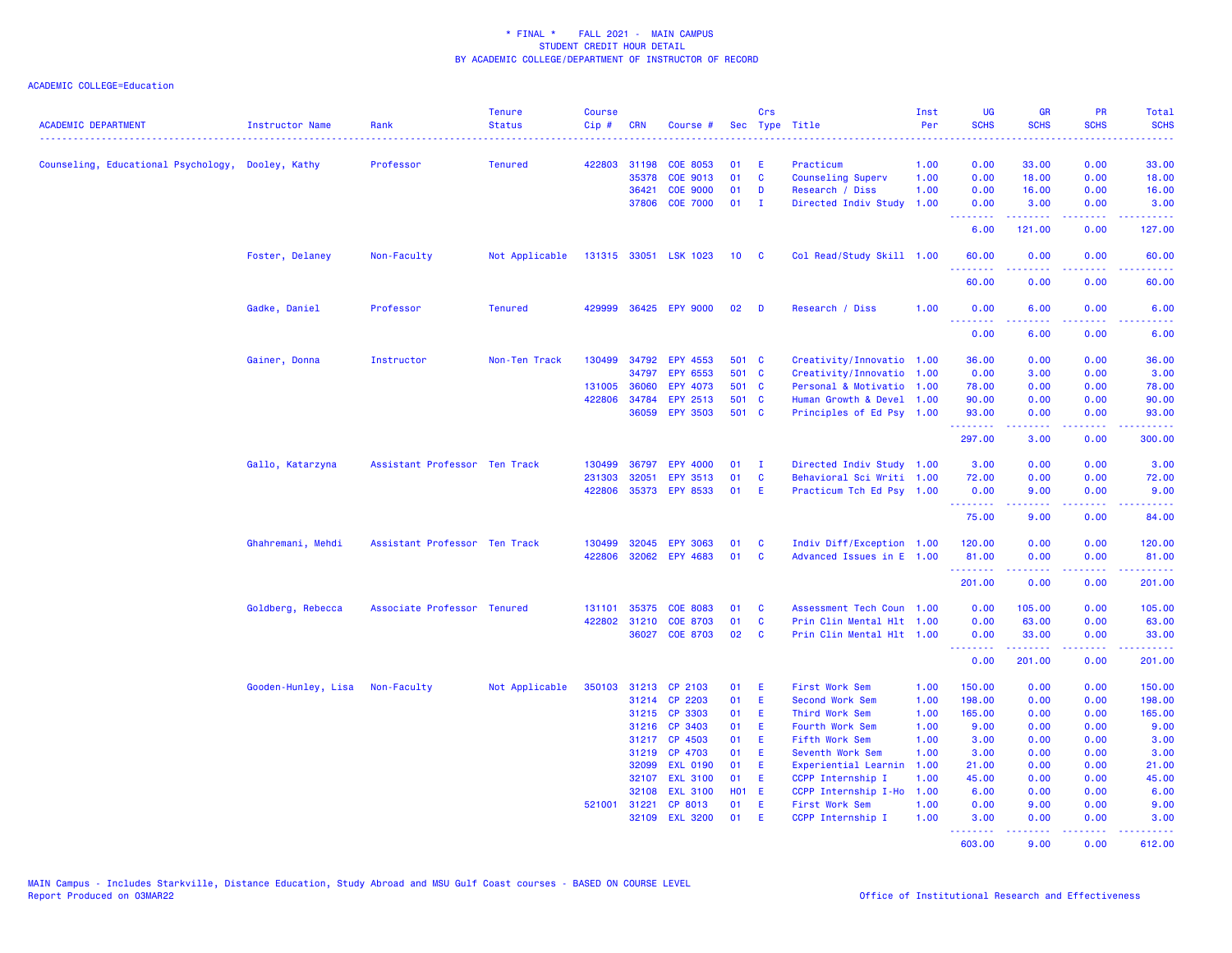| <b>ACADEMIC DEPARTMENT</b>                        | <b>Instructor Name</b>          | Rank                          | <b>Tenure</b><br><b>Status</b> | <b>Course</b><br>Cip# | <b>CRN</b>   | Course #                  |              | Crs          | Sec Type Title                      | Inst<br>Per  | UG<br><b>SCHS</b>       | <b>GR</b><br><b>SCHS</b>                                                                                                                                     | PR<br><b>SCHS</b>                                                                                      | Total<br><b>SCHS</b> |
|---------------------------------------------------|---------------------------------|-------------------------------|--------------------------------|-----------------------|--------------|---------------------------|--------------|--------------|-------------------------------------|--------------|-------------------------|--------------------------------------------------------------------------------------------------------------------------------------------------------------|--------------------------------------------------------------------------------------------------------|----------------------|
| Counseling, Educational Psychology, Dooley, Kathy |                                 | Professor                     | <b>Tenured</b>                 |                       | 422803 31198 | <b>COE 8053</b>           | 01           | E.           | Practicum                           | 1.00         | 0.00                    | 33.00                                                                                                                                                        | 0.00                                                                                                   | 33.00                |
|                                                   |                                 |                               |                                |                       | 35378        | COE 9013                  | 01           | <b>C</b>     | Counseling Superv                   | 1.00         | 0.00                    | 18.00                                                                                                                                                        | 0.00                                                                                                   | 18.00                |
|                                                   |                                 |                               |                                |                       | 36421        | <b>COE 9000</b>           | 01           | D            | Research / Diss                     | 1.00         | 0.00                    | 16.00                                                                                                                                                        | 0.00                                                                                                   | 16.00                |
|                                                   |                                 |                               |                                |                       | 37806        | <b>COE 7000</b>           | 01           | $\mathbf{I}$ | Directed Indiv Study                | 1.00         | 0.00                    | 3.00                                                                                                                                                         | 0.00                                                                                                   | 3.00                 |
|                                                   |                                 |                               |                                |                       |              |                           |              |              |                                     |              | <u> - - - - - - - -</u> | $\frac{1}{2} \left( \frac{1}{2} \right) \left( \frac{1}{2} \right) \left( \frac{1}{2} \right) \left( \frac{1}{2} \right) \left( \frac{1}{2} \right)$         | .                                                                                                      | .                    |
|                                                   |                                 |                               |                                |                       |              |                           |              |              |                                     |              | 6.00                    | 121.00                                                                                                                                                       | 0.00                                                                                                   | 127.00               |
|                                                   | Foster, Delaney                 | Non-Faculty                   | Not Applicable                 |                       |              | 131315 33051 LSK 1023     | 10           | $\mathbf{c}$ | Col Read/Study Skill 1.00           |              | 60.00<br>.              | 0.00<br>.                                                                                                                                                    | 0.00<br>$\frac{1}{2} \left( \frac{1}{2} \right) \left( \frac{1}{2} \right) \left( \frac{1}{2} \right)$ | 60.00<br>.           |
|                                                   |                                 |                               |                                |                       |              |                           |              |              |                                     |              | 60.00                   | 0.00                                                                                                                                                         | 0.00                                                                                                   | 60.00                |
|                                                   | Gadke, Daniel                   | Professor                     | <b>Tenured</b>                 | 429999                |              | 36425 EPY 9000            | 02           | <b>D</b>     | Research / Diss                     | 1.00         | 0.00<br>.               | 6.00<br>$\frac{1}{2} \left( \frac{1}{2} \right) \left( \frac{1}{2} \right) \left( \frac{1}{2} \right) \left( \frac{1}{2} \right) \left( \frac{1}{2} \right)$ | 0.00<br>.                                                                                              | 6.00<br>وعاديات      |
|                                                   |                                 |                               |                                |                       |              |                           |              |              |                                     |              | 0.00                    | 6.00                                                                                                                                                         | 0.00                                                                                                   | 6.00                 |
|                                                   | Gainer, Donna                   | Instructor                    | Non-Ten Track                  | 130499                | 34792        | EPY 4553                  | 501 C        |              | Creativity/Innovatio 1.00           |              | 36.00                   | 0.00                                                                                                                                                         | 0.00                                                                                                   | 36.00                |
|                                                   |                                 |                               |                                |                       | 34797        | EPY 6553                  | 501 C        |              | Creativity/Innovatio 1.00           |              | 0.00                    | 3.00                                                                                                                                                         | 0.00                                                                                                   | 3.00                 |
|                                                   |                                 |                               |                                | 131005                | 36060        | EPY 4073                  | 501 C        |              | Personal & Motivatio 1.00           |              | 78.00                   | 0.00                                                                                                                                                         | 0.00                                                                                                   | 78.00                |
|                                                   |                                 |                               |                                | 422806                | 34784        | EPY 2513                  | 501 C        |              | Human Growth & Devel 1.00           |              | 90.00                   | 0.00                                                                                                                                                         | 0.00                                                                                                   | 90.00                |
|                                                   |                                 |                               |                                |                       | 36059        | <b>EPY 3503</b>           | 501 C        |              | Principles of Ed Psy 1.00           |              | 93.00<br>.              | 0.00<br>$\frac{1}{2} \left( \frac{1}{2} \right) \left( \frac{1}{2} \right) \left( \frac{1}{2} \right) \left( \frac{1}{2} \right) \left( \frac{1}{2} \right)$ | 0.00<br>.                                                                                              | 93.00<br>.           |
|                                                   |                                 |                               |                                |                       |              |                           |              |              |                                     |              | 297.00                  | 3.00                                                                                                                                                         | 0.00                                                                                                   | 300.00               |
|                                                   | Gallo, Katarzyna                | Assistant Professor Ten Track |                                | 130499                | 36797        | EPY 4000                  | 01           | <b>I</b>     | Directed Indiv Study 1.00           |              | 3.00                    | 0.00                                                                                                                                                         | 0.00                                                                                                   | 3.00                 |
|                                                   |                                 |                               |                                | 231303                | 32051        | <b>EPY 3513</b>           | 01           | $\mathbf{C}$ | Behavioral Sci Writi 1.00           |              | 72.00                   | 0.00                                                                                                                                                         | 0.00                                                                                                   | 72.00                |
|                                                   |                                 |                               |                                |                       |              | 422806 35373 EPY 8533     | 01           | - E          | Practicum Tch Ed Psy 1.00           |              | 0.00<br>.               | 9.00<br>2.2.2.2.2                                                                                                                                            | 0.00<br>.                                                                                              | 9.00<br>.            |
|                                                   |                                 |                               |                                |                       |              |                           |              |              |                                     |              | 75.00                   | 9.00                                                                                                                                                         | 0.00                                                                                                   | 84.00                |
|                                                   | Ghahremani, Mehdi               | Assistant Professor Ten Track |                                | 130499                | 32045        | <b>EPY 3063</b>           | 01           | <b>C</b>     | Indiv Diff/Exception 1.00           |              | 120.00                  | 0.00                                                                                                                                                         | 0.00                                                                                                   | 120.00               |
|                                                   |                                 |                               |                                | 422806                |              | 32062 EPY 4683            | 01           | C            | Advanced Issues in E 1.00           |              | 81.00<br><b>.</b> .     | 0.00<br>22222                                                                                                                                                | 0.00<br>بالأباب                                                                                        | 81.00<br>وبالمستمال  |
|                                                   |                                 |                               |                                |                       |              |                           |              |              |                                     |              | 201.00                  | 0.00                                                                                                                                                         | 0.00                                                                                                   | 201.00               |
|                                                   | Goldberg, Rebecca               | Associate Professor Tenured   |                                | 131101                | 35375        | <b>COE 8083</b>           | 01           | C            | Assessment Tech Coun 1.00           |              | 0.00                    | 105.00                                                                                                                                                       | 0.00                                                                                                   | 105.00               |
|                                                   |                                 |                               |                                | 422802                | 31210        | <b>COE 8703</b>           | 01           | <b>C</b>     | Prin Clin Mental Hlt 1.00           |              | 0.00                    | 63.00                                                                                                                                                        | 0.00                                                                                                   | 63.00                |
|                                                   |                                 |                               |                                |                       |              | 36027 COE 8703            | 02           | <b>C</b>     | Prin Clin Mental Hlt 1.00           |              | 0.00<br>.               | 33.00<br>.                                                                                                                                                   | 0.00<br>.                                                                                              | 33.00<br>.           |
|                                                   |                                 |                               |                                |                       |              |                           |              |              |                                     |              | 0.00                    | 201.00                                                                                                                                                       | 0.00                                                                                                   | 201.00               |
|                                                   | Gooden-Hunley, Lisa Non-Faculty |                               | Not Applicable                 | 350103                |              | 31213 CP 2103             | 01 E         |              | First Work Sem                      | 1.00         | 150.00                  | 0.00                                                                                                                                                         | 0.00                                                                                                   | 150.00               |
|                                                   |                                 |                               |                                |                       | 31214        | CP 2203                   | 01           | -E           | <b>Second Work Sem</b>              | 1.00         | 198.00                  | 0.00                                                                                                                                                         | 0.00                                                                                                   | 198.00               |
|                                                   |                                 |                               |                                |                       |              | 31215 CP 3303             | 01           | - E          | Third Work Sem                      | 1.00         | 165.00                  | 0.00                                                                                                                                                         | 0.00                                                                                                   | 165.00               |
|                                                   |                                 |                               |                                |                       | 31216        | CP 3403                   | 01           | -E           | Fourth Work Sem                     | 1.00         | 9.00                    | 0.00                                                                                                                                                         | 0.00                                                                                                   | 9.00                 |
|                                                   |                                 |                               |                                |                       | 31217        | CP 4503                   | 01           | -E           | Fifth Work Sem                      | 1.00         | 3.00                    | 0.00                                                                                                                                                         | 0.00                                                                                                   | 3.00                 |
|                                                   |                                 |                               |                                |                       | 31219        | CP 4703                   | 01           | - E          | Seventh Work Sem                    | 1.00         | 3.00                    | 0.00                                                                                                                                                         | 0.00                                                                                                   | 3.00                 |
|                                                   |                                 |                               |                                |                       | 32099        | <b>EXL 0190</b>           | 01           | -E           | Experiential Learnin                | 1.00         | 21.00                   | 0.00                                                                                                                                                         | 0.00                                                                                                   | 21.00                |
|                                                   |                                 |                               |                                |                       | 32107        | <b>EXL 3100</b>           | 01           | E            | CCPP Internship I                   | 1.00         | 45.00                   | 0.00                                                                                                                                                         | 0.00                                                                                                   | 45.00                |
|                                                   |                                 |                               |                                |                       | 32108        | <b>EXL 3100</b>           | <b>HO1 E</b> |              | CCPP Internship I-Ho                | 1.00         | 6.00                    | 0.00                                                                                                                                                         | 0.00                                                                                                   | 6.00                 |
|                                                   |                                 |                               |                                | 521001                | 31221        | CP 8013<br>32109 EXL 3200 | 01<br>01     | E<br>-E      | First Work Sem<br>CCPP Internship I | 1.00<br>1.00 | 0.00<br>3.00            | 9.00<br>0.00                                                                                                                                                 | 0.00<br>0.00                                                                                           | 9.00<br>3.00         |
|                                                   |                                 |                               |                                |                       |              |                           |              |              |                                     |              | <u>.</u><br>603.00      | <u>.</u><br>9.00                                                                                                                                             | 22222<br>0.00                                                                                          | 612.00               |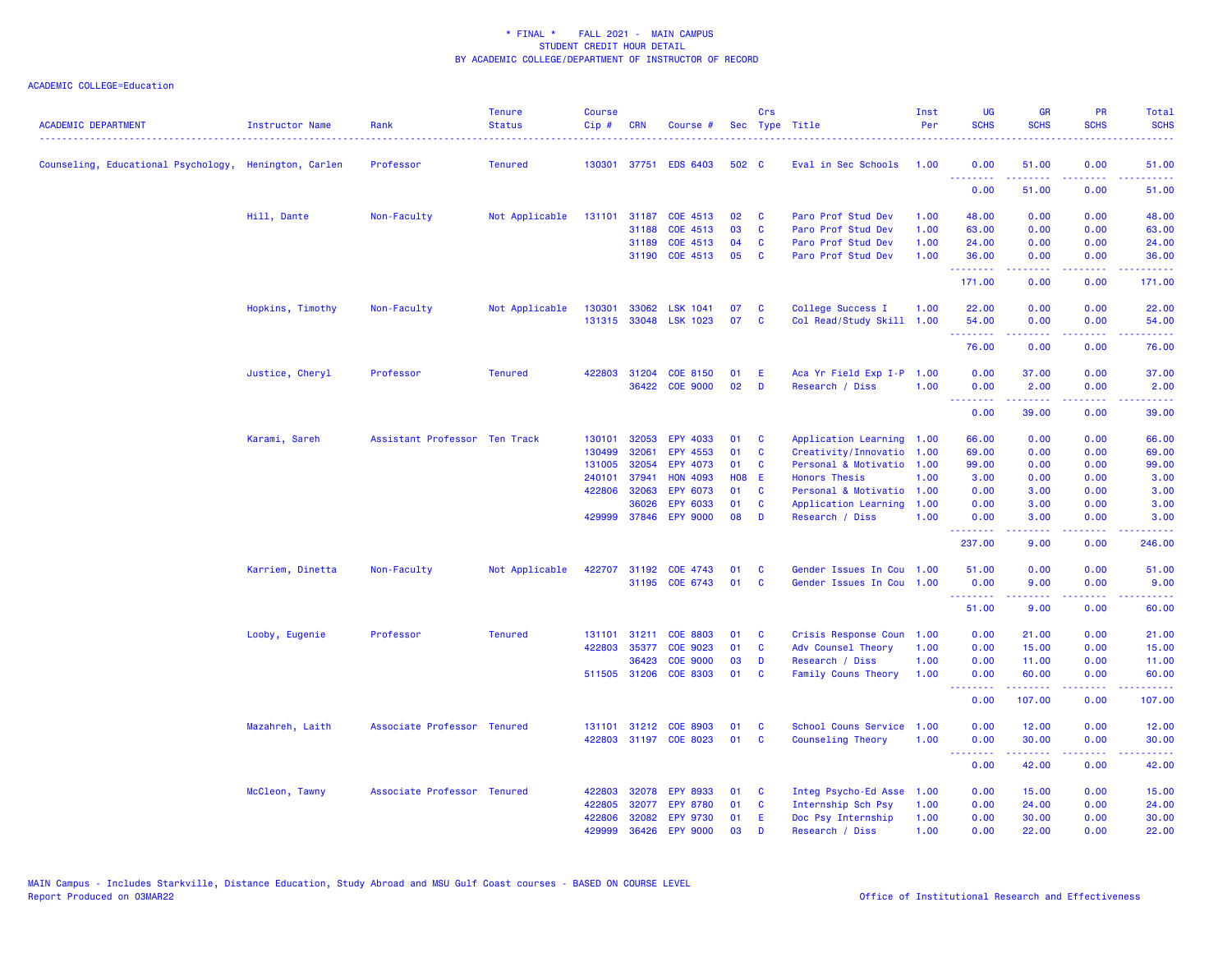| <b>ACADEMIC DEPARTMENT</b>                            | Instructor Name  | Rank<br>.                     | <b>Tenure</b><br><b>Status</b> | Course<br>Cip# | <b>CRN</b>   | Course #              |              | Crs      | Sec Type Title            | Inst<br>Per | UG<br><b>SCHS</b>                                        | <b>GR</b><br><b>SCHS</b>                                                                                                                                     | PR<br><b>SCHS</b>                   | Total<br><b>SCHS</b> |
|-------------------------------------------------------|------------------|-------------------------------|--------------------------------|----------------|--------------|-----------------------|--------------|----------|---------------------------|-------------|----------------------------------------------------------|--------------------------------------------------------------------------------------------------------------------------------------------------------------|-------------------------------------|----------------------|
| Counseling, Educational Psychology, Henington, Carlen |                  | Professor                     | <b>Tenured</b>                 | 130301         |              | 37751 EDS 6403        | 502 C        |          | Eval in Sec Schools       | 1.00        | 0.00<br><b><i><u><u><b>Little Little</b></u></u></i></b> | 51.00                                                                                                                                                        | 0.00                                | 51.00                |
|                                                       |                  |                               |                                |                |              |                       |              |          |                           |             | 0.00                                                     | .<br>51.00                                                                                                                                                   | 2222<br>0.00                        | .<br>51.00           |
|                                                       | Hill, Dante      | Non-Faculty                   | Not Applicable                 |                |              | 131101 31187 COE 4513 | 02           | <b>C</b> | Paro Prof Stud Dev        | 1.00        | 48.00                                                    | 0.00                                                                                                                                                         | 0.00                                | 48.00                |
|                                                       |                  |                               |                                |                | 31188        | COE 4513              | 03           | C        | Paro Prof Stud Dev        | 1.00        | 63.00                                                    | 0.00                                                                                                                                                         | 0.00                                | 63.00                |
|                                                       |                  |                               |                                |                | 31189        | COE 4513              | 04           | C        | Paro Prof Stud Dev        | 1.00        | 24.00                                                    | 0.00                                                                                                                                                         | 0.00                                | 24.00                |
|                                                       |                  |                               |                                |                |              | 31190 COE 4513        | 05           | C        | Paro Prof Stud Dev        | 1.00        | 36.00<br>.                                               | 0.00<br>.                                                                                                                                                    | 0.00<br>د د د د .                   | 36.00<br>.           |
|                                                       |                  |                               |                                |                |              |                       |              |          |                           |             | 171.00                                                   | 0.00                                                                                                                                                         | 0.00                                | 171.00               |
|                                                       | Hopkins, Timothy | Non-Faculty                   | Not Applicable                 | 130301         | 33062        | <b>LSK 1041</b>       | 07           | C        | College Success I         | 1.00        | 22.00                                                    | 0.00                                                                                                                                                         | 0.00                                | 22.00                |
|                                                       |                  |                               |                                | 131315         |              | 33048 LSK 1023        | 07           | <b>C</b> | Col Read/Study Skill 1.00 |             | 54.00                                                    | 0.00                                                                                                                                                         | 0.00                                | 54.00                |
|                                                       |                  |                               |                                |                |              |                       |              |          |                           |             | 76.00                                                    | 0.00                                                                                                                                                         | 0.00                                | 76.00                |
|                                                       | Justice, Cheryl  | Professor                     | <b>Tenured</b>                 |                | 422803 31204 | <b>COE 8150</b>       | 01           | E        | Aca Yr Field Exp I-P 1.00 |             | 0.00                                                     | 37.00                                                                                                                                                        | 0.00                                | 37.00                |
|                                                       |                  |                               |                                |                |              | 36422 COE 9000        | 02           | D        | Research / Diss           | 1.00        | 0.00<br><u> - - - - - - - -</u>                          | 2.00<br>$\frac{1}{2} \left( \frac{1}{2} \right) \left( \frac{1}{2} \right) \left( \frac{1}{2} \right) \left( \frac{1}{2} \right) \left( \frac{1}{2} \right)$ | 0.00<br>.                           | 2.00<br>.            |
|                                                       |                  |                               |                                |                |              |                       |              |          |                           |             | 0.00                                                     | 39.00                                                                                                                                                        | 0.00                                | 39.00                |
|                                                       | Karami, Sareh    | Assistant Professor Ten Track |                                | 130101         | 32053        | EPY 4033              | 01           | C        | Application Learning 1.00 |             | 66.00                                                    | 0.00                                                                                                                                                         | 0.00                                | 66.00                |
|                                                       |                  |                               |                                | 130499         | 32061        | EPY 4553              | 01           | C        | Creativity/Innovatio      | 1.00        | 69.00                                                    | 0.00                                                                                                                                                         | 0.00                                | 69.00                |
|                                                       |                  |                               |                                | 131005         | 32054        | EPY 4073              | 01           | <b>C</b> | Personal & Motivatio      | 1.00        | 99.00                                                    | 0.00                                                                                                                                                         | 0.00                                | 99.00                |
|                                                       |                  |                               |                                | 240101         | 37941        | <b>HON 4093</b>       | <b>HO8 E</b> |          | <b>Honors Thesis</b>      | 1.00        | 3.00                                                     | 0.00                                                                                                                                                         | 0.00                                | 3.00                 |
|                                                       |                  |                               |                                | 422806         | 32063        | EPY 6073              | 01           | <b>C</b> | Personal & Motivatio 1.00 |             | 0.00                                                     | 3.00                                                                                                                                                         | 0.00                                | 3.00                 |
|                                                       |                  |                               |                                |                | 36026        | <b>EPY 6033</b>       | 01           | C        | Application Learning      | 1.00        | 0.00                                                     | 3.00                                                                                                                                                         | 0.00                                | 3.00                 |
|                                                       |                  |                               |                                |                |              | 429999 37846 EPY 9000 | 08           | D        | Research / Diss           | 1.00        | 0.00<br>.                                                | 3.00                                                                                                                                                         | 0.00<br><b>.</b> .                  | 3.00                 |
|                                                       |                  |                               |                                |                |              |                       |              |          |                           |             | 237.00                                                   | 9.00                                                                                                                                                         | 0.00                                | 246.00               |
|                                                       | Karriem, Dinetta | Non-Faculty                   | Not Applicable                 |                |              | 422707 31192 COE 4743 | 01           | C        | Gender Issues In Cou 1.00 |             | 51.00                                                    | 0.00                                                                                                                                                         | 0.00                                | 51.00                |
|                                                       |                  |                               |                                |                |              | 31195 COE 6743        | 01           | <b>C</b> | Gender Issues In Cou 1.00 |             | 0.00<br><u>.</u>                                         | 9.00<br>22222                                                                                                                                                | 0.00<br>.                           | 9.00<br>.            |
|                                                       |                  |                               |                                |                |              |                       |              |          |                           |             | 51.00                                                    | 9.00                                                                                                                                                         | 0.00                                | 60.00                |
|                                                       | Looby, Eugenie   | Professor                     | <b>Tenured</b>                 | 131101         | 31211        | <b>COE 8803</b>       | 01           | C        | Crisis Response Coun 1.00 |             | 0.00                                                     | 21.00                                                                                                                                                        | 0.00                                | 21.00                |
|                                                       |                  |                               |                                | 422803         | 35377        | COE 9023              | 01           | C        | Adv Counsel Theory        | 1.00        | 0.00                                                     | 15.00                                                                                                                                                        | 0.00                                | 15.00                |
|                                                       |                  |                               |                                |                | 36423        | <b>COE 9000</b>       | 03           | D        | Research / Diss           | 1.00        | 0.00                                                     | 11.00                                                                                                                                                        | 0.00                                | 11.00                |
|                                                       |                  |                               |                                |                | 511505 31206 | <b>COE 8303</b>       | 01           | C        | Family Couns Theory       | 1.00        | 0.00                                                     | 60.00                                                                                                                                                        | 0.00<br>$\sim$ $\sim$ $\sim$ $\sim$ | 60.00                |
|                                                       |                  |                               |                                |                |              |                       |              |          |                           |             | 0.00                                                     | 107.00                                                                                                                                                       | 0.00                                | 107.00               |
|                                                       | Mazahreh, Laith  | Associate Professor Tenured   |                                | 131101         |              | 31212 COE 8903        | 01           | C        | School Couns Service      | 1.00        | 0.00                                                     | 12.00                                                                                                                                                        | 0.00                                | 12.00                |
|                                                       |                  |                               |                                |                |              | 422803 31197 COE 8023 | 01           | <b>C</b> | Counseling Theory         | 1.00        | 0.00<br>--------                                         | 30.00<br>.                                                                                                                                                   | 0.00<br>.                           | 30.00<br>.           |
|                                                       |                  |                               |                                |                |              |                       |              |          |                           |             | 0.00                                                     | 42.00                                                                                                                                                        | 0.00                                | 42.00                |
|                                                       | McCleon, Tawny   | Associate Professor Tenured   |                                | 422803         | 32078        | <b>EPY 8933</b>       | 01           | C        | Integ Psycho-Ed Asse      | 1.00        | 0.00                                                     | 15.00                                                                                                                                                        | 0.00                                | 15.00                |
|                                                       |                  |                               |                                | 422805         | 32077        | <b>EPY 8780</b>       | 01           | C        | Internship Sch Psy        | 1.00        | 0.00                                                     | 24.00                                                                                                                                                        | 0.00                                | 24.00                |
|                                                       |                  |                               |                                | 422806         |              | 32082 EPY 9730        | 01           | E        | Doc Psy Internship        | 1.00        | 0.00                                                     | 30.00                                                                                                                                                        | 0.00                                | 30.00                |
|                                                       |                  |                               |                                | 429999         | 36426        | <b>EPY 9000</b>       | 03           | D        | Research / Diss           | 1.00        | 0.00                                                     | 22.00                                                                                                                                                        | 0.00                                | 22.00                |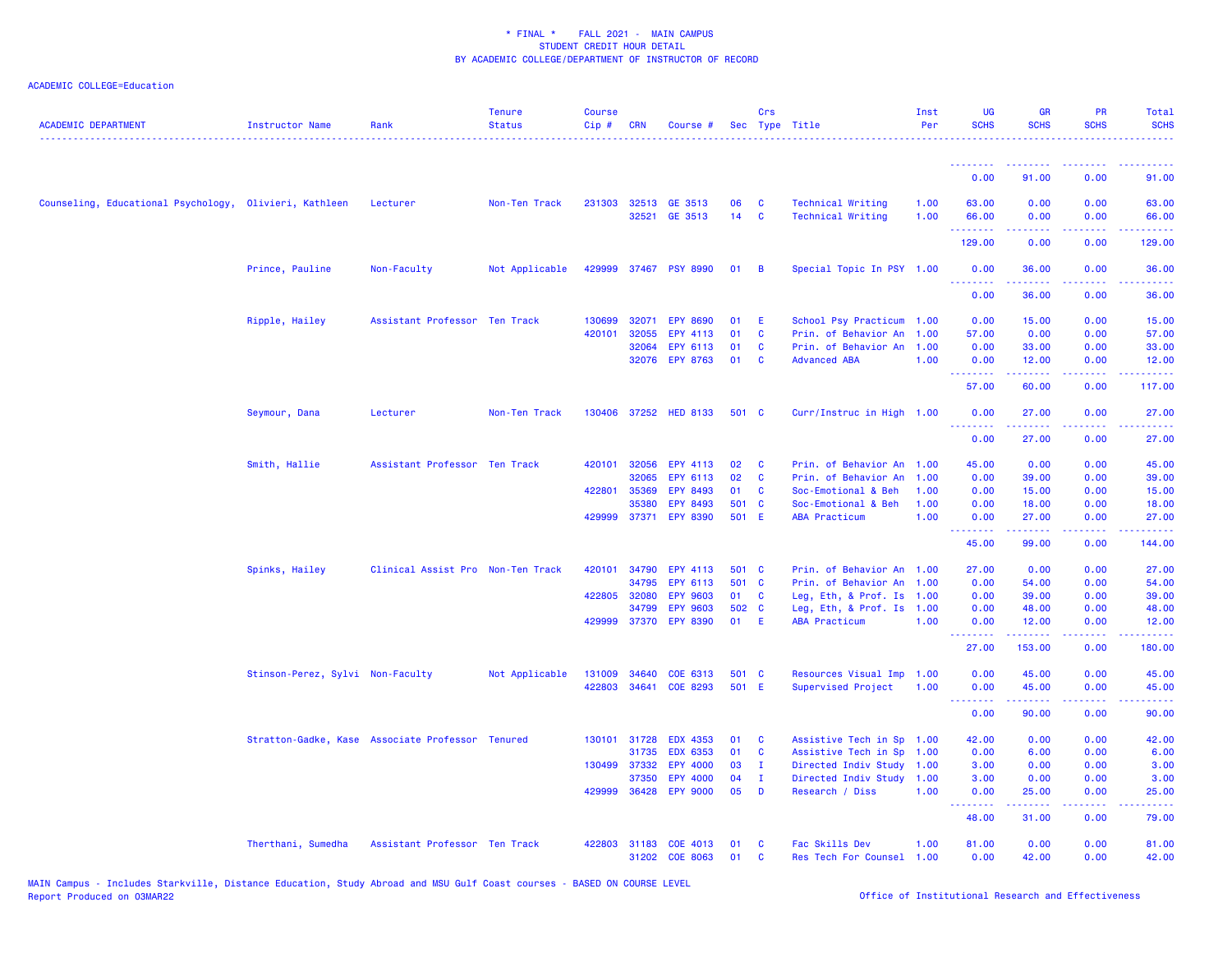| <b>ACADEMIC DEPARTMENT</b>                             | <b>Instructor Name</b>           | Rank                                             | <b>Tenure</b><br><b>Status</b> | <b>Course</b><br>$Cip$ # | <b>CRN</b>   | Course #              |       | Crs          | Sec Type Title            | Inst<br>Per | <b>UG</b><br><b>SCHS</b>                           | <b>GR</b><br><b>SCHS</b>                                                                                                                                      | PR<br><b>SCHS</b> | Total<br><b>SCHS</b>                                                                                                               |
|--------------------------------------------------------|----------------------------------|--------------------------------------------------|--------------------------------|--------------------------|--------------|-----------------------|-------|--------------|---------------------------|-------------|----------------------------------------------------|---------------------------------------------------------------------------------------------------------------------------------------------------------------|-------------------|------------------------------------------------------------------------------------------------------------------------------------|
|                                                        |                                  |                                                  |                                |                          |              |                       |       |              |                           |             | <b></b>                                            |                                                                                                                                                               |                   |                                                                                                                                    |
|                                                        |                                  |                                                  |                                |                          |              |                       |       |              |                           |             | 0.00                                               | 91.00                                                                                                                                                         | 0.00              | 91.00                                                                                                                              |
| Counseling, Educational Psychology, Olivieri, Kathleen |                                  | Lecturer                                         | Non-Ten Track                  | 231303                   |              | 32513 GE 3513         | 06    | C            | <b>Technical Writing</b>  | 1.00        | 63.00                                              | 0.00                                                                                                                                                          | 0.00              | 63.00                                                                                                                              |
|                                                        |                                  |                                                  |                                |                          | 32521        | GE 3513               | 14    | $\mathbf{C}$ | <b>Technical Writing</b>  | 1.00        | 66.00                                              | 0.00                                                                                                                                                          | 0.00              | 66.00                                                                                                                              |
|                                                        |                                  |                                                  |                                |                          |              |                       |       |              |                           |             | .<br>129.00                                        | 0.00                                                                                                                                                          | 0.00              | 129.00                                                                                                                             |
|                                                        | Prince, Pauline                  | Non-Faculty                                      | Not Applicable                 |                          |              | 429999 37467 PSY 8990 | 01    | B            | Special Topic In PSY 1.00 |             | 0.00<br><u>.</u>                                   | 36.00                                                                                                                                                         | 0.00              | 36.00                                                                                                                              |
|                                                        |                                  |                                                  |                                |                          |              |                       |       |              |                           |             | 0.00                                               | .<br>36.00                                                                                                                                                    | .<br>0.00         | .<br>36.00                                                                                                                         |
|                                                        | Ripple, Hailey                   | Assistant Professor Ten Track                    |                                | 130699                   |              | 32071 EPY 8690        | 01    | Ε            | School Psy Practicum 1.00 |             | 0.00                                               | 15.00                                                                                                                                                         | 0.00              | 15.00                                                                                                                              |
|                                                        |                                  |                                                  |                                | 420101                   | 32055        | <b>EPY 4113</b>       | 01    | C            | Prin. of Behavior An      | 1.00        | 57.00                                              | 0.00                                                                                                                                                          | 0.00              | 57.00                                                                                                                              |
|                                                        |                                  |                                                  |                                |                          | 32064        | EPY 6113              | 01    | <b>C</b>     | Prin. of Behavior An      | 1.00        | 0.00                                               | 33.00                                                                                                                                                         | 0.00              | 33.00                                                                                                                              |
|                                                        |                                  |                                                  |                                |                          |              | 32076 EPY 8763        | 01    | <b>C</b>     | <b>Advanced ABA</b>       | 1.00        | 0.00<br><u>.</u>                                   | 12.00<br>.                                                                                                                                                    | 0.00<br>22222     | 12.00<br>$\frac{1}{2} \left( \frac{1}{2} \right) \left( \frac{1}{2} \right) \left( \frac{1}{2} \right) \left( \frac{1}{2} \right)$ |
|                                                        |                                  |                                                  |                                |                          |              |                       |       |              |                           |             | 57.00                                              | 60.00                                                                                                                                                         | 0.00              | 117.00                                                                                                                             |
|                                                        | Seymour, Dana                    | Lecturer                                         | Non-Ten Track                  |                          |              | 130406 37252 HED 8133 | 501 C |              | Curr/Instruc in High 1.00 |             | 0.00<br><b><i><u><u> - - - - - - -</u></u></i></b> | 27.00<br>د د د د د                                                                                                                                            | 0.00<br>.         | 27.00                                                                                                                              |
|                                                        |                                  |                                                  |                                |                          |              |                       |       |              |                           |             | 0.00                                               | 27.00                                                                                                                                                         | 0.00              | 27.00                                                                                                                              |
|                                                        | Smith, Hallie                    | Assistant Professor Ten Track                    |                                |                          | 420101 32056 | EPY 4113              | 02    | C            | Prin. of Behavior An 1.00 |             | 45.00                                              | 0.00                                                                                                                                                          | 0.00              | 45.00                                                                                                                              |
|                                                        |                                  |                                                  |                                |                          | 32065        | EPY 6113              | 02    | C            | Prin. of Behavior An      | 1.00        | 0.00                                               | 39.00                                                                                                                                                         | 0.00              | 39.00                                                                                                                              |
|                                                        |                                  |                                                  |                                | 422801                   | 35369        | EPY 8493              | 01    | C            | Soc-Emotional & Beh       | 1.00        | 0.00                                               | 15.00                                                                                                                                                         | 0.00              | 15.00                                                                                                                              |
|                                                        |                                  |                                                  |                                |                          | 35380        | <b>EPY 8493</b>       | 501   | C            | Soc-Emotional & Beh       | 1.00        | 0.00                                               | 18.00                                                                                                                                                         | 0.00              | 18.00                                                                                                                              |
|                                                        |                                  |                                                  |                                |                          |              | 429999 37371 EPY 8390 | 501 E |              | <b>ABA Practicum</b>      | 1.00        | 0.00<br>.                                          | 27,00<br>.                                                                                                                                                    | 0.00<br>22222     | 27.00<br>22222                                                                                                                     |
|                                                        |                                  |                                                  |                                |                          |              |                       |       |              |                           |             | 45.00                                              | 99.00                                                                                                                                                         | 0.00              | 144.00                                                                                                                             |
|                                                        | Spinks, Hailey                   | Clinical Assist Pro Non-Ten Track                |                                | 420101                   | 34790        | EPY 4113              | 501 C |              | Prin. of Behavior An 1.00 |             | 27.00                                              | 0.00                                                                                                                                                          | 0.00              | 27.00                                                                                                                              |
|                                                        |                                  |                                                  |                                |                          | 34795        | EPY 6113              | 501   | $\mathbf{C}$ | Prin. of Behavior An 1.00 |             | 0.00                                               | 54.00                                                                                                                                                         | 0.00              | 54.00                                                                                                                              |
|                                                        |                                  |                                                  |                                | 422805                   | 32080        | <b>EPY 9603</b>       | 01    | <b>C</b>     | Leg, Eth, & Prof. Is 1.00 |             | 0.00                                               | 39.00                                                                                                                                                         | 0.00              | 39.00                                                                                                                              |
|                                                        |                                  |                                                  |                                |                          | 34799        | <b>EPY 9603</b>       | 502 C |              | Leg, Eth, & Prof. Is 1.00 |             | 0.00                                               | 48.00                                                                                                                                                         | 0.00              | 48.00                                                                                                                              |
|                                                        |                                  |                                                  |                                |                          |              | 429999 37370 EPY 8390 | 01    | E.           | <b>ABA Practicum</b>      | 1.00        | 0.00<br>.                                          | 12.00<br>.                                                                                                                                                    | 0.00<br>22222     | 12.00<br>222223                                                                                                                    |
|                                                        |                                  |                                                  |                                |                          |              |                       |       |              |                           |             | 27.00                                              | 153.00                                                                                                                                                        | 0.00              | 180.00                                                                                                                             |
|                                                        | Stinson-Perez, Sylvi Non-Faculty |                                                  | Not Applicable                 | 131009                   | 34640        | COE 6313              | 501 C |              | Resources Visual Imp 1.00 |             | 0.00                                               | 45.00                                                                                                                                                         | 0.00              | 45.00                                                                                                                              |
|                                                        |                                  |                                                  |                                | 422803                   |              | 34641 COE 8293        | 501 E |              | Supervised Project        | 1.00        | 0.00<br>.                                          | 45.00<br>.                                                                                                                                                    | 0.00<br>.         | 45.00<br>.                                                                                                                         |
|                                                        |                                  |                                                  |                                |                          |              |                       |       |              |                           |             | 0.00                                               | 90.00                                                                                                                                                         | 0.00              | 90.00                                                                                                                              |
|                                                        |                                  | Stratton-Gadke, Kase Associate Professor Tenured |                                |                          | 130101 31728 | <b>EDX 4353</b>       | 01    | C            | Assistive Tech in Sp 1.00 |             | 42.00                                              | 0.00                                                                                                                                                          | 0.00              | 42.00                                                                                                                              |
|                                                        |                                  |                                                  |                                |                          | 31735        | <b>EDX 6353</b>       | 01    | C            | Assistive Tech in Sp      | 1.00        | 0.00                                               | 6.00                                                                                                                                                          | 0.00              | 6.00                                                                                                                               |
|                                                        |                                  |                                                  |                                |                          | 130499 37332 | <b>EPY 4000</b>       | 03    | $\mathbf{I}$ | Directed Indiv Study 1.00 |             | 3.00                                               | 0.00                                                                                                                                                          | 0.00              | 3.00                                                                                                                               |
|                                                        |                                  |                                                  |                                |                          | 37350        | EPY 4000              | 04    | п.           | Directed Indiv Study      | 1.00        | 3.00                                               | 0.00                                                                                                                                                          | 0.00              | 3.00                                                                                                                               |
|                                                        |                                  |                                                  |                                | 429999                   | 36428        | <b>EPY 9000</b>       | 05    | D            | Research / Diss           | 1.00        | 0.00<br>.                                          | 25.00<br>$\frac{1}{2} \left( \frac{1}{2} \right) \left( \frac{1}{2} \right) \left( \frac{1}{2} \right) \left( \frac{1}{2} \right) \left( \frac{1}{2} \right)$ | 0.00<br>.         | 25.00<br>.                                                                                                                         |
|                                                        |                                  |                                                  |                                |                          |              |                       |       |              |                           |             | 48.00                                              | 31.00                                                                                                                                                         | 0.00              | 79.00                                                                                                                              |
|                                                        | Therthani, Sumedha               | Assistant Professor Ten Track                    |                                | 422803                   |              | 31183 COE 4013        | 01    | C            | Fac Skills Dev            | 1.00        | 81.00                                              | 0.00                                                                                                                                                          | 0.00              | 81.00                                                                                                                              |
|                                                        |                                  |                                                  |                                |                          |              | 31202 COE 8063        | 01    | C            | Res Tech For Counsel      | 1.00        | 0.00                                               | 42.00                                                                                                                                                         | 0.00              | 42.00                                                                                                                              |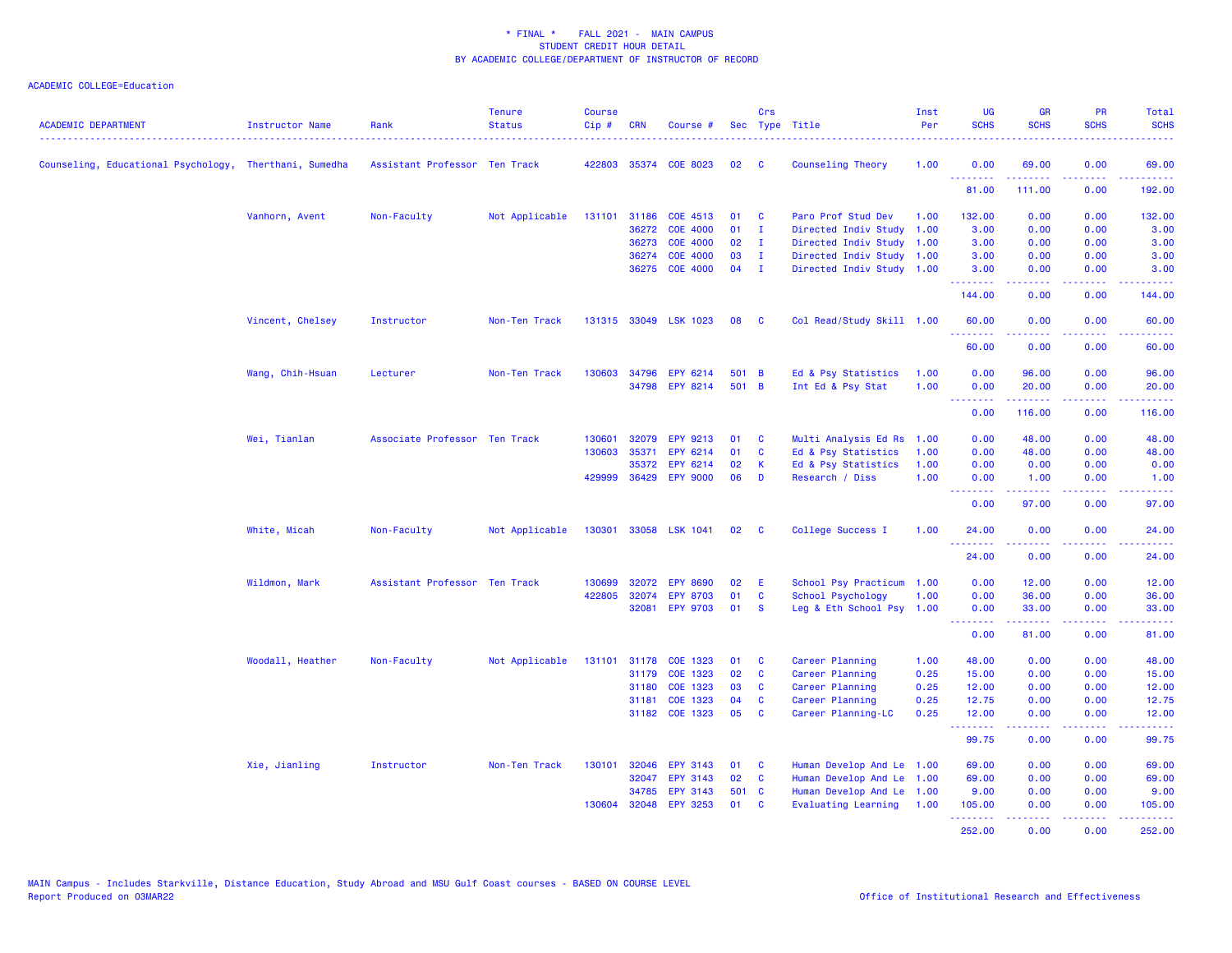| <b>ACADEMIC DEPARTMENT</b>                             | <b>Instructor Name</b> | Rank                          | <b>Tenure</b><br><b>Status</b> | <b>Course</b><br>$Cip$ # | <b>CRN</b>   | Course #              |       | Crs          | Sec Type Title            | Inst<br>Per | <b>UG</b><br><b>SCHS</b> | <b>GR</b><br><b>SCHS</b> | <b>PR</b><br><b>SCHS</b>      | Total<br><b>SCHS</b>       |
|--------------------------------------------------------|------------------------|-------------------------------|--------------------------------|--------------------------|--------------|-----------------------|-------|--------------|---------------------------|-------------|--------------------------|--------------------------|-------------------------------|----------------------------|
| Counseling, Educational Psychology, Therthani, Sumedha |                        | Assistant Professor Ten Track |                                |                          |              | 422803 35374 COE 8023 | 02    | <b>C</b>     | Counseling Theory         | 1.00        | 0.00                     | 69.00                    | 0.00                          | 69.00                      |
|                                                        |                        |                               |                                |                          |              |                       |       |              |                           |             | .<br>81.00               | 111.00                   | 0.00                          | 192.00                     |
|                                                        | Vanhorn, Avent         | Non-Faculty                   | Not Applicable                 |                          | 131101 31186 | COE 4513              | 01    | C            | Paro Prof Stud Dev        | 1.00        | 132.00                   | 0.00                     | 0.00                          | 132.00                     |
|                                                        |                        |                               |                                |                          | 36272        | <b>COE 4000</b>       | 01    | $\mathbf{I}$ | Directed Indiv Study      | 1.00        | 3.00                     | 0.00                     | 0.00                          | 3.00                       |
|                                                        |                        |                               |                                |                          | 36273        | <b>COE 4000</b>       | 02    | - I          | Directed Indiv Study      | 1.00        | 3.00                     | 0.00                     | 0.00                          | 3.00                       |
|                                                        |                        |                               |                                |                          | 36274        | <b>COE 4000</b>       | 03    | $\mathbf{I}$ | Directed Indiv Study      | 1.00        | 3.00                     | 0.00                     | 0.00                          | 3.00                       |
|                                                        |                        |                               |                                |                          | 36275        | <b>COE 4000</b>       | 04    | $\mathbf{I}$ | Directed Indiv Study 1.00 |             | 3.00<br>.                | 0.00<br>.                | 0.00<br>$\omega$ and $\omega$ | 3.00<br>.                  |
|                                                        |                        |                               |                                |                          |              |                       |       |              |                           |             | 144.00                   | 0.00                     | 0.00                          | 144.00                     |
|                                                        | Vincent, Chelsey       | Instructor                    | Non-Ten Track                  |                          |              | 131315 33049 LSK 1023 | 08    | <b>C</b>     | Col Read/Study Skill 1.00 |             | 60.00                    | 0.00                     | 0.00                          | 60.00                      |
|                                                        |                        |                               |                                |                          |              |                       |       |              |                           |             | 60.00                    | 0.00                     | 0.00                          | 60.00                      |
|                                                        | Wang, Chih-Hsuan       | Lecturer                      | Non-Ten Track                  |                          | 130603 34796 | EPY 6214              | 501   | - B          | Ed & Psy Statistics       | 1.00        | 0.00                     | 96.00                    | 0.00                          | 96.00                      |
|                                                        |                        |                               |                                |                          | 34798        | <b>EPY 8214</b>       | 501 B |              | Int Ed & Psy Stat         | 1.00        | 0.00                     | 20.00                    | 0.00                          | 20.00                      |
|                                                        |                        |                               |                                |                          |              |                       |       |              |                           |             | <u>.</u><br>0.00         | 2.2.2.2.2.2<br>116.00    | .<br>0.00                     | .<br>116.00                |
|                                                        | Wei, Tianlan           | Associate Professor Ten Track |                                | 130601                   | 32079        | EPY 9213              | 01    | C            | Multi Analysis Ed Rs      | 1.00        | 0.00                     | 48.00                    | 0.00                          | 48.00                      |
|                                                        |                        |                               |                                | 130603                   | 35371        | EPY 6214              | 01    | C            | Ed & Psy Statistics       | 1.00        | 0.00                     | 48.00                    | 0.00                          | 48.00                      |
|                                                        |                        |                               |                                |                          | 35372        | EPY 6214              | 02    | К            | Ed & Psy Statistics       | 1.00        | 0.00                     | 0.00                     | 0.00                          | 0.00                       |
|                                                        |                        |                               |                                |                          | 429999 36429 | <b>EPY 9000</b>       | 06    | D            | Research / Diss           | 1.00        | 0.00                     | 1.00                     | 0.00                          | 1.00                       |
|                                                        |                        |                               |                                |                          |              |                       |       |              |                           |             | .<br>0.00                | 97.00                    | 0.00                          | 97.00                      |
|                                                        | White, Micah           | Non-Faculty                   | Not Applicable                 | 130301                   |              | 33058 LSK 1041        | 02    | - C          | College Success I         | 1.00        | 24.00                    | 0.00                     | 0.00                          | 24.00                      |
|                                                        |                        |                               |                                |                          |              |                       |       |              |                           |             | 24.00                    | 0.00                     | 0.00                          | 24.00                      |
|                                                        | Wildmon, Mark          | Assistant Professor Ten Track |                                | 130699                   | 32072        | <b>EPY 8690</b>       | 02    | E            | School Psy Practicum      | 1.00        | 0.00                     | 12.00                    | 0.00                          | 12.00                      |
|                                                        |                        |                               |                                | 422805                   | 32074        | <b>EPY 8703</b>       | 01    | C            | School Psychology         | 1.00        | 0.00                     | 36.00                    | 0.00                          | 36.00                      |
|                                                        |                        |                               |                                |                          | 32081        | <b>EPY 9703</b>       | 01    | - S          | Leg & Eth School Psy 1.00 |             | 0.00<br>.                | 33.00<br>د د د د د       | 0.00<br>.                     | 33.00<br>المالما لمالية ال |
|                                                        |                        |                               |                                |                          |              |                       |       |              |                           |             | 0.00                     | 81.00                    | 0.00                          | 81.00                      |
|                                                        | Woodall, Heather       | Non-Faculty                   | Not Applicable                 | 131101 31178             |              | COE 1323              | 01    | C            | Career Planning           | 1.00        | 48.00                    | 0.00                     | 0.00                          | 48.00                      |
|                                                        |                        |                               |                                |                          | 31179        | COE 1323              | 02    | C            | Career Planning           | 0.25        | 15.00                    | 0.00                     | 0.00                          | 15.00                      |
|                                                        |                        |                               |                                |                          | 31180        | COE 1323              | 03    | C            | Career Planning           | 0.25        | 12.00                    | 0.00                     | 0.00                          | 12.00                      |
|                                                        |                        |                               |                                |                          | 31181        | COE 1323              | 04    | C            | Career Planning           | 0.25        | 12.75                    | 0.00                     | 0.00                          | 12.75                      |
|                                                        |                        |                               |                                |                          | 31182        | COE 1323              | 05    | C            | Career Planning-LC        | 0.25        | 12.00<br>.               | 0.00                     | 0.00                          | 12.00                      |
|                                                        |                        |                               |                                |                          |              |                       |       |              |                           |             | 99.75                    | 0.00                     | 0.00                          | 99.75                      |
|                                                        | Xie, Jianling          | Instructor                    | Non-Ten Track                  | 130101                   | 32046        | EPY 3143              | 01    | <b>C</b>     | Human Develop And Le 1.00 |             | 69.00                    | 0.00                     | 0.00                          | 69.00                      |
|                                                        |                        |                               |                                |                          | 32047        | EPY 3143              | 02    | C            | Human Develop And Le      | 1.00        | 69.00                    | 0.00                     | 0.00                          | 69.00                      |
|                                                        |                        |                               |                                |                          | 34785        | <b>EPY 3143</b>       | 501 C |              | Human Develop And Le 1.00 |             | 9.00                     | 0.00                     | 0.00                          | 9.00                       |
|                                                        |                        |                               |                                |                          |              | 130604 32048 EPY 3253 | 01    | <b>C</b>     | Evaluating Learning       | 1.00        | 105.00<br>. <b>.</b> .   | 0.00                     | 0.00<br>والمحامل              | 105.00<br>.                |
|                                                        |                        |                               |                                |                          |              |                       |       |              |                           |             | 252.00                   | 0.00                     | 0.00                          | 252.00                     |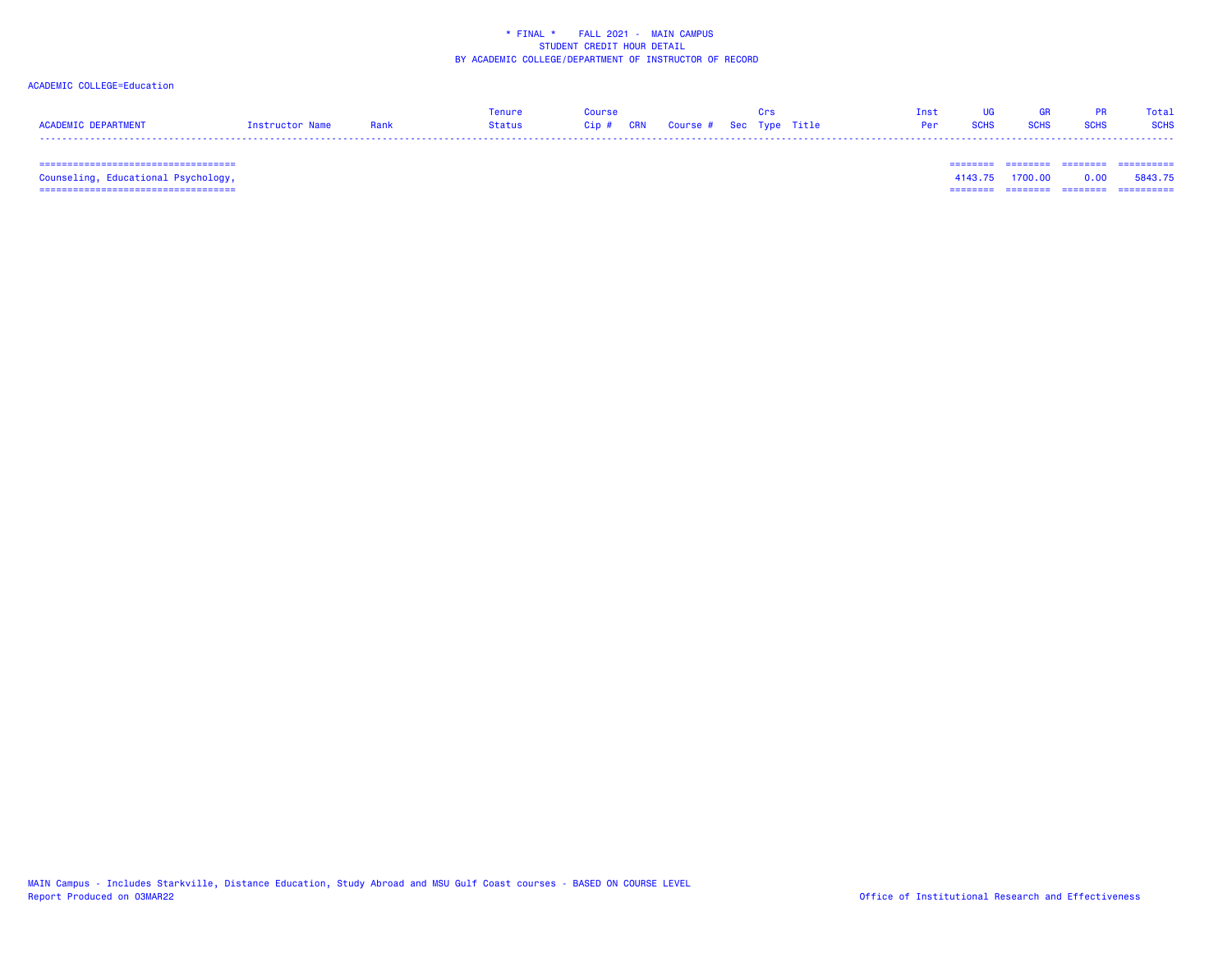## ACADEMIC COLLEGE=Education

|                     |                 | Tenure        |                                   |  |  | Inst |             |             |             | Total       |
|---------------------|-----------------|---------------|-----------------------------------|--|--|------|-------------|-------------|-------------|-------------|
| ACADEMIC DEPARTMENT | Instructor Name | <b>Status</b> | Cip # CRN Course # Sec Type Title |  |  | Per  | <b>SCHS</b> | <b>SCHS</b> | <b>SCHS</b> | <b>SCHS</b> |
|                     |                 |               |                                   |  |  |      |             |             |             |             |

 =================================== ======== ======== ======== ==========Counseling, Educational Psychology, 4143.75 1700.00 0.00 5843.75 =================================== ======== ======== ======== ==========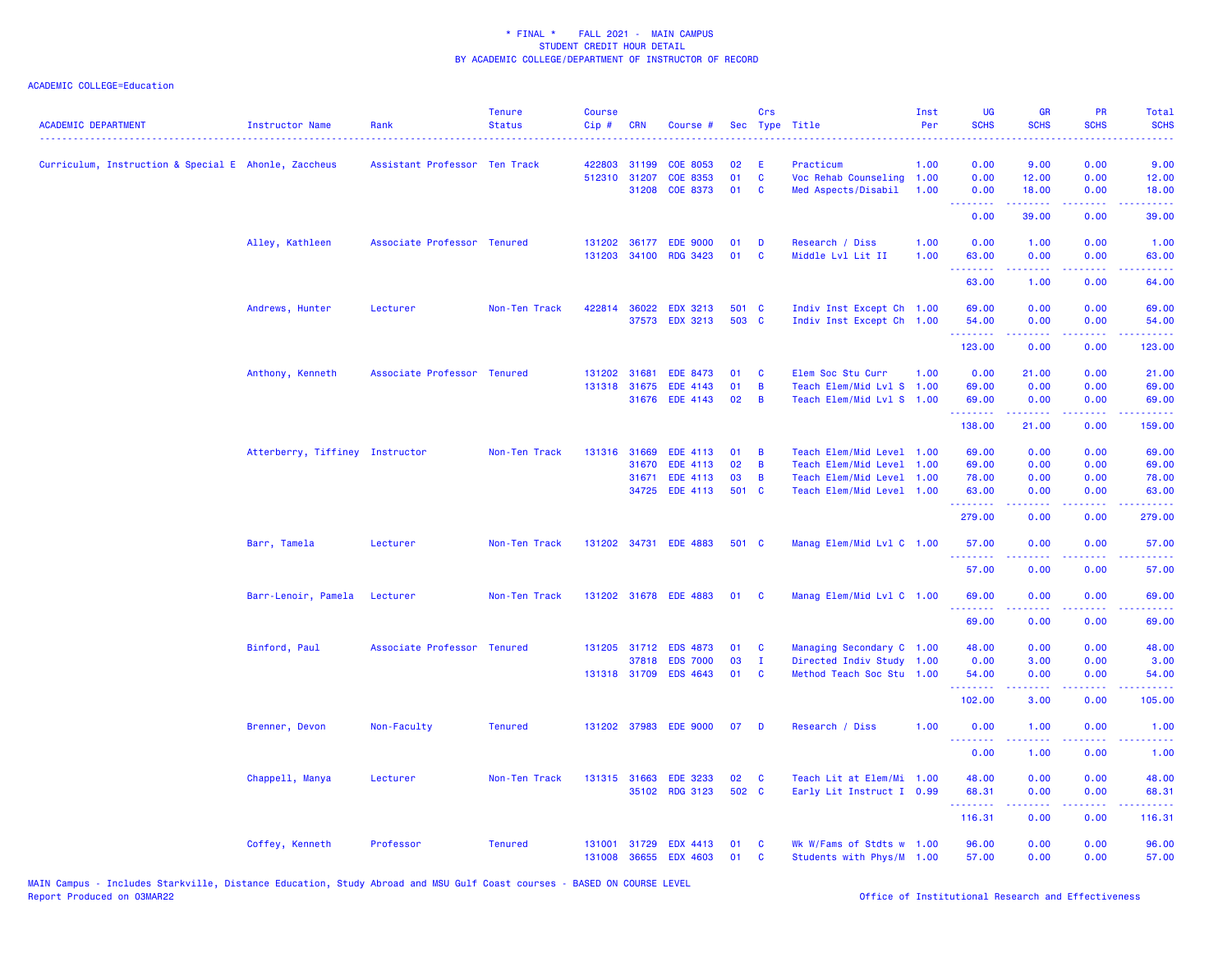| <b>ACADEMIC DEPARTMENT</b>                           | <b>Instructor Name</b>          | Rank                          | <b>Tenure</b><br><b>Status</b> | <b>Course</b><br>Cip# | <b>CRN</b>   | Course #              |       | Crs          | Sec Type Title            | Inst<br>Per | <b>UG</b><br><b>SCHS</b> | <b>GR</b><br><b>SCHS</b>      | <b>PR</b><br><b>SCHS</b>            | Total<br><b>SCHS</b> |
|------------------------------------------------------|---------------------------------|-------------------------------|--------------------------------|-----------------------|--------------|-----------------------|-------|--------------|---------------------------|-------------|--------------------------|-------------------------------|-------------------------------------|----------------------|
| Curriculum, Instruction & Special E Ahonle, Zaccheus |                                 | Assistant Professor Ten Track |                                |                       | 422803 31199 | <b>COE 8053</b>       | 02    | E            | Practicum                 | 1.00        | 0.00                     | 9.00                          | 0.00                                | 9.00                 |
|                                                      |                                 |                               |                                |                       | 512310 31207 | COE 8353              | 01    | $\mathbf{C}$ | Voc Rehab Counseling 1.00 |             | 0.00                     | 12.00                         | 0.00                                | 12.00                |
|                                                      |                                 |                               |                                |                       | 31208        | <b>COE 8373</b>       | 01    | C            | Med Aspects/Disabil       | 1.00        | 0.00                     | 18.00                         | 0.00                                | 18.00                |
|                                                      |                                 |                               |                                |                       |              |                       |       |              |                           |             | <b>.</b> .<br>0.00       | .<br>39.00                    | .<br>0.00                           | وساسما<br>39.00      |
|                                                      | Alley, Kathleen                 | Associate Professor Tenured   |                                |                       |              | 131202 36177 EDE 9000 | 01    | D            | Research / Diss           | 1.00        | 0.00                     | 1.00                          | 0.00                                | 1.00                 |
|                                                      |                                 |                               |                                |                       |              | 131203 34100 RDG 3423 | 01    | C            | Middle Lvl Lit II         | 1.00        | 63.00<br>.               | 0.00<br><u>.</u>              | 0.00<br>.                           | 63.00                |
|                                                      |                                 |                               |                                |                       |              |                       |       |              |                           |             | 63.00                    | 1.00                          | 0.00                                | 64.00                |
|                                                      | Andrews, Hunter                 | Lecturer                      | Non-Ten Track                  |                       | 422814 36022 | <b>EDX 3213</b>       | 501 C |              | Indiv Inst Except Ch 1.00 |             | 69.00                    | 0.00                          | 0.00                                | 69.00                |
|                                                      |                                 |                               |                                |                       |              | 37573 EDX 3213        | 503 C |              | Indiv Inst Except Ch 1.00 |             | 54.00<br><u>.</u>        | 0.00                          | 0.00                                | 54.00                |
|                                                      |                                 |                               |                                |                       |              |                       |       |              |                           |             | 123.00                   | 0.00                          | $\sim$ $\sim$ $\sim$ $\sim$<br>0.00 | 123.00               |
|                                                      | Anthony, Kenneth                | Associate Professor Tenured   |                                |                       | 131202 31681 | <b>EDE 8473</b>       | 01    | C            | Elem Soc Stu Curr         | 1.00        | 0.00                     | 21.00                         | 0.00                                | 21.00                |
|                                                      |                                 |                               |                                |                       | 131318 31675 | <b>EDE 4143</b>       | 01    | B            | Teach Elem/Mid Lvl S 1.00 |             | 69.00                    | 0.00                          | 0.00                                | 69.00                |
|                                                      |                                 |                               |                                |                       |              | 31676 EDE 4143        | 02    | B            | Teach Elem/Mid Lvl S 1.00 |             | 69.00<br>.               | 0.00<br>.                     | 0.00<br>.                           | 69.00<br>.           |
|                                                      |                                 |                               |                                |                       |              |                       |       |              |                           |             | 138.00                   | 21.00                         | 0.00                                | 159.00               |
|                                                      | Atterberry, Tiffiney Instructor |                               | Non-Ten Track                  |                       | 131316 31669 | <b>EDE 4113</b>       | 01    | B            | Teach Elem/Mid Level 1.00 |             | 69.00                    | 0.00                          | 0.00                                | 69.00                |
|                                                      |                                 |                               |                                |                       | 31670        | <b>EDE 4113</b>       | 02    | B            | Teach Elem/Mid Level 1.00 |             | 69.00                    | 0.00                          | 0.00                                | 69.00                |
|                                                      |                                 |                               |                                |                       | 31671        | <b>EDE 4113</b>       | 03    | B            | Teach Elem/Mid Level 1.00 |             | 78.00                    | 0.00                          | 0.00                                | 78.00                |
|                                                      |                                 |                               |                                |                       | 34725        | <b>EDE 4113</b>       | 501 C |              | Teach Elem/Mid Level 1.00 |             | 63.00<br>.               | 0.00<br>.                     | 0.00<br>.                           | 63.00<br>.           |
|                                                      |                                 |                               |                                |                       |              |                       |       |              |                           |             | 279.00                   | 0.00                          | 0.00                                | 279.00               |
|                                                      | Barr, Tamela                    | Lecturer                      | Non-Ten Track                  |                       |              | 131202 34731 EDE 4883 | 501 C |              | Manag Elem/Mid Lvl C 1.00 |             | 57.00<br>.               | 0.00                          | 0.00                                | 57.00                |
|                                                      |                                 |                               |                                |                       |              |                       |       |              |                           |             | 57.00                    | 0.00                          | 0.00                                | 57.00                |
|                                                      | Barr-Lenoir, Pamela             | Lecturer                      | Non-Ten Track                  |                       |              | 131202 31678 EDE 4883 | 01    | <b>C</b>     | Manag Elem/Mid Lvl C 1.00 |             | 69.00                    | 0.00                          | 0.00                                | 69.00                |
|                                                      |                                 |                               |                                |                       |              |                       |       |              |                           |             | .<br>69.00               | <b><i><u></u></i></b><br>0.00 | .<br>0.00                           | .<br>69.00           |
|                                                      | Binford, Paul                   | Associate Professor Tenured   |                                |                       |              | 131205 31712 EDS 4873 | 01    | C            | Managing Secondary C 1.00 |             | 48.00                    | 0.00                          | 0.00                                | 48.00                |
|                                                      |                                 |                               |                                |                       | 37818        | <b>EDS 7000</b>       | 03    | $\mathbf{I}$ | Directed Indiv Study 1.00 |             | 0.00                     | 3.00                          | 0.00                                | 3.00                 |
|                                                      |                                 |                               |                                |                       | 131318 31709 | <b>EDS 4643</b>       | 01    | C            | Method Teach Soc Stu 1.00 |             | 54.00                    | 0.00                          | 0.00                                | 54.00                |
|                                                      |                                 |                               |                                |                       |              |                       |       |              |                           |             | .<br>102.00              | 3.00                          | 0.00                                | 105.00               |
|                                                      | Brenner, Devon                  | Non-Faculty                   | <b>Tenured</b>                 |                       |              | 131202 37983 EDE 9000 | 07    | D            | Research / Diss           | 1.00        | 0.00<br>.                | 1.00                          | 0.00                                | 1.00                 |
|                                                      |                                 |                               |                                |                       |              |                       |       |              |                           |             | 0.00                     | 1.00                          | 0.00                                | 1.00                 |
|                                                      | Chappell, Manya                 | Lecturer                      | Non-Ten Track                  |                       | 131315 31663 | <b>EDE 3233</b>       | 02    | C            | Teach Lit at Elem/Mi 1.00 |             | 48.00                    | 0.00                          | 0.00                                | 48.00                |
|                                                      |                                 |                               |                                |                       |              | 35102 RDG 3123        | 502 C |              | Early Lit Instruct I 0.99 |             | 68.31                    | 0.00                          | 0.00                                | 68.31                |
|                                                      |                                 |                               |                                |                       |              |                       |       |              |                           |             | . <u>.</u><br>116.31     | <u>.</u><br>0.00              | .<br>0.00                           | 116.31               |
|                                                      | Coffey, Kenneth                 | Professor                     | <b>Tenured</b>                 | 131001                | 31729        | <b>EDX 4413</b>       | 01    | C            | Wk W/Fams of Stdts w 1.00 |             | 96.00                    | 0.00                          | 0.00                                | 96.00                |
|                                                      |                                 |                               |                                | 131008                | 36655        | <b>EDX 4603</b>       | 01    | C            | Students with Phys/M 1.00 |             | 57.00                    | 0.00                          | 0.00                                | 57.00                |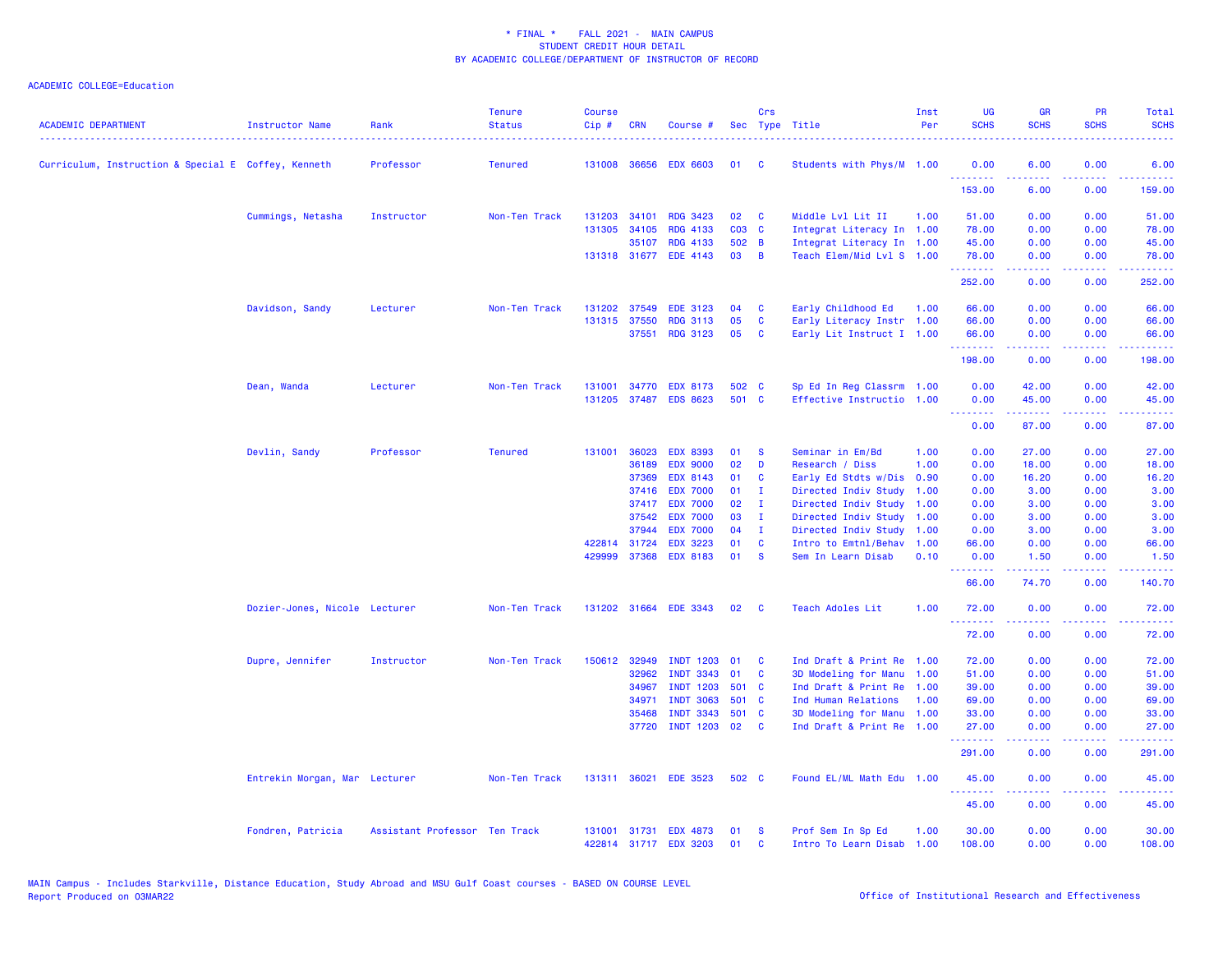| <b>ACADEMIC DEPARTMENT</b>                          | <b>Instructor Name</b>        | Rank                          | <b>Tenure</b><br><b>Status</b> | <b>Course</b><br>$Cip \#$ | <b>CRN</b>   | Course #              |       | Crs            | Sec Type Title            | Inst<br>Per | <b>UG</b><br><b>SCHS</b> | <b>GR</b><br><b>SCHS</b>                                                                                                                                     | <b>PR</b><br><b>SCHS</b>     | <b>Total</b><br><b>SCHS</b>                          |
|-----------------------------------------------------|-------------------------------|-------------------------------|--------------------------------|---------------------------|--------------|-----------------------|-------|----------------|---------------------------|-------------|--------------------------|--------------------------------------------------------------------------------------------------------------------------------------------------------------|------------------------------|------------------------------------------------------|
| Curriculum, Instruction & Special E Coffey, Kenneth |                               | Professor                     | <b>Tenured</b>                 |                           | 131008 36656 | <b>EDX 6603</b>       | 01    | - C            | Students with Phys/M 1.00 |             | 0.00<br>.                | 6.00                                                                                                                                                         | 0.00                         | 6.00                                                 |
|                                                     |                               |                               |                                |                           |              |                       |       |                |                           |             | 153.00                   | 6.00                                                                                                                                                         | 0.00                         | 159.00                                               |
|                                                     | Cummings, Netasha             | Instructor                    | Non-Ten Track                  | 131203                    | 34101        | <b>RDG 3423</b>       | 02    | <b>C</b>       | Middle Lvl Lit II         | 1.00        | 51.00                    | 0.00                                                                                                                                                         | 0.00                         | 51.00                                                |
|                                                     |                               |                               |                                |                           | 131305 34105 | <b>RDG 4133</b>       | C03 C |                | Integrat Literacy In 1.00 |             | 78.00                    | 0.00                                                                                                                                                         | 0.00                         | 78.00                                                |
|                                                     |                               |                               |                                |                           | 35107        | <b>RDG 4133</b>       | 502 B |                | Integrat Literacy In 1.00 |             | 45.00                    | 0.00                                                                                                                                                         | 0.00                         | 45.00                                                |
|                                                     |                               |                               |                                |                           |              | 131318 31677 EDE 4143 | 03    | $\overline{B}$ | Teach Elem/Mid Lvl S 1.00 |             | 78.00<br>.               | 0.00<br>$\frac{1}{2} \left( \frac{1}{2} \right) \left( \frac{1}{2} \right) \left( \frac{1}{2} \right) \left( \frac{1}{2} \right) \left( \frac{1}{2} \right)$ | 0.00<br>.                    | 78.00<br>.                                           |
|                                                     |                               |                               |                                |                           |              |                       |       |                |                           |             | 252.00                   | 0.00                                                                                                                                                         | 0.00                         | 252.00                                               |
|                                                     | Davidson, Sandy               | Lecturer                      | Non-Ten Track                  | 131202                    | 37549        | <b>EDE 3123</b>       | 04    | C              | Early Childhood Ed        | 1.00        | 66.00                    | 0.00                                                                                                                                                         | 0.00                         | 66.00                                                |
|                                                     |                               |                               |                                | 131315                    | 37550        | <b>RDG 3113</b>       | 05    | C              | Early Literacy Instr 1.00 |             | 66.00                    | 0.00                                                                                                                                                         | 0.00                         | 66.00                                                |
|                                                     |                               |                               |                                |                           | 37551        | <b>RDG 3123</b>       | 05    | <b>C</b>       | Early Lit Instruct I 1.00 |             | 66.00<br>.               | 0.00                                                                                                                                                         | 0.00                         | 66.00                                                |
|                                                     |                               |                               |                                |                           |              |                       |       |                |                           |             | 198.00                   | 0.00                                                                                                                                                         | 0.00                         | 198.00                                               |
|                                                     | Dean, Wanda                   | Lecturer                      | Non-Ten Track                  | 131001                    | 34770        | <b>EDX 8173</b>       | 502 C |                | Sp Ed In Reg Classrm 1.00 |             | 0.00                     | 42.00                                                                                                                                                        | 0.00                         | 42.00                                                |
|                                                     |                               |                               |                                | 131205                    | 37487        | <b>EDS 8623</b>       | 501 C |                | Effective Instructio 1.00 |             | 0.00                     | 45.00                                                                                                                                                        | 0.00                         | 45.00                                                |
|                                                     |                               |                               |                                |                           |              |                       |       |                |                           |             | .<br>0.00                | .<br>87.00                                                                                                                                                   | ن د د د<br>0.00              | $\omega_{\rm{eff}}$ and $\omega_{\rm{eff}}$<br>87.00 |
|                                                     | Devlin, Sandy                 | Professor                     | <b>Tenured</b>                 | 131001                    | 36023        | <b>EDX 8393</b>       | 01    | <b>S</b>       | Seminar in Em/Bd          | 1.00        | 0.00                     | 27.00                                                                                                                                                        | 0.00                         | 27.00                                                |
|                                                     |                               |                               |                                |                           | 36189        | <b>EDX 9000</b>       | 02    | D              | Research / Diss           | 1.00        | 0.00                     | 18.00                                                                                                                                                        | 0.00                         | 18.00                                                |
|                                                     |                               |                               |                                |                           | 37369        | <b>EDX 8143</b>       | 01    | <b>C</b>       | Early Ed Stdts w/Dis      | 0.90        | 0.00                     | 16.20                                                                                                                                                        | 0.00                         | 16.20                                                |
|                                                     |                               |                               |                                |                           | 37416        | <b>EDX 7000</b>       | 01    | $\mathbf{I}$   | Directed Indiv Study      | 1.00        | 0.00                     | 3.00                                                                                                                                                         | 0.00                         | 3.00                                                 |
|                                                     |                               |                               |                                |                           | 37417        | <b>EDX 7000</b>       | 02    | - I            | Directed Indiv Study      | 1.00        | 0.00                     | 3.00                                                                                                                                                         | 0.00                         | 3.00                                                 |
|                                                     |                               |                               |                                |                           | 37542        | <b>EDX 7000</b>       | 03    | п              | Directed Indiv Study      | 1.00        | 0.00                     | 3.00                                                                                                                                                         | 0.00                         | 3.00                                                 |
|                                                     |                               |                               |                                |                           | 37944        | <b>EDX 7000</b>       | 04    | $\mathbf{I}$   | Directed Indiv Study      | 1.00        | 0.00                     | 3.00                                                                                                                                                         | 0.00                         | 3.00                                                 |
|                                                     |                               |                               |                                |                           | 422814 31724 | <b>EDX 3223</b>       | 01    | C              | Intro to Emtnl/Behav      | 1.00        | 66.00                    | 0.00                                                                                                                                                         | 0.00                         | 66.00                                                |
|                                                     |                               |                               |                                | 429999                    | 37368        | <b>EDX 8183</b>       | 01    | <b>S</b>       | Sem In Learn Disab        | 0.10        | 0.00                     | 1.50                                                                                                                                                         | 0.00                         | 1.50                                                 |
|                                                     |                               |                               |                                |                           |              |                       |       |                |                           |             | 66.00                    | 74.70                                                                                                                                                        | 0.00                         | 140.70                                               |
|                                                     | Dozier-Jones, Nicole Lecturer |                               | Non-Ten Track                  |                           |              | 131202 31664 EDE 3343 | 02    | <b>C</b>       | Teach Adoles Lit          | 1.00        | 72.00<br>. <u>.</u>      | 0.00                                                                                                                                                         | 0.00<br>$  -$                | 72.00<br>.                                           |
|                                                     |                               |                               |                                |                           |              |                       |       |                |                           |             | 72.00                    | 0.00                                                                                                                                                         | 0.00                         | 72.00                                                |
|                                                     | Dupre, Jennifer               | Instructor                    | Non-Ten Track                  | 150612                    | 32949        | <b>INDT 1203</b>      | 01    | <b>C</b>       | Ind Draft & Print Re      | 1.00        | 72.00                    | 0.00                                                                                                                                                         | 0.00                         | 72.00                                                |
|                                                     |                               |                               |                                |                           | 32962        | <b>INDT 3343</b>      | 01    | C              | 3D Modeling for Manu 1.00 |             | 51.00                    | 0.00                                                                                                                                                         | 0.00                         | 51.00                                                |
|                                                     |                               |                               |                                |                           | 34967        | <b>INDT 1203</b>      | 501 C |                | Ind Draft & Print Re      | 1.00        | 39.00                    | 0.00                                                                                                                                                         | 0.00                         | 39.00                                                |
|                                                     |                               |                               |                                |                           | 34971        | <b>INDT</b><br>3063   | 501 C |                | Ind Human Relations       | 1.00        | 69.00                    | 0.00                                                                                                                                                         | 0.00                         | 69.00                                                |
|                                                     |                               |                               |                                |                           | 35468        | <b>INDT 3343</b>      | 501 C |                | 3D Modeling for Manu      | 1.00        | 33.00                    | 0.00                                                                                                                                                         | 0.00                         | 33.00                                                |
|                                                     |                               |                               |                                |                           | 37720        | INDT 1203 02          |       | $\mathbf{C}$   | Ind Draft & Print Re 1.00 |             | 27.00                    | 0.00                                                                                                                                                         | 0.00                         | 27.00                                                |
|                                                     |                               |                               |                                |                           |              |                       |       |                |                           |             | 291.00                   | 0.00                                                                                                                                                         | 0.00                         | 291.00                                               |
|                                                     | Entrekin Morgan, Mar Lecturer |                               | Non-Ten Track                  |                           |              | 131311 36021 EDE 3523 | 502 C |                | Found EL/ML Math Edu 1.00 |             | 45.00                    | 0.00                                                                                                                                                         | 0.00                         | 45.00                                                |
|                                                     |                               |                               |                                |                           |              |                       |       |                |                           |             | .<br>45.00               | .<br>0.00                                                                                                                                                    | $\sim$ $\sim$ $\sim$<br>0.00 | المتمام المالي<br>45.00                              |
|                                                     | Fondren, Patricia             | Assistant Professor Ten Track |                                | 131001                    | 31731        | <b>EDX 4873</b>       | 01    | -S             | Prof Sem In Sp Ed         | 1.00        | 30.00                    | 0.00                                                                                                                                                         | 0.00                         | 30.00                                                |
|                                                     |                               |                               |                                |                           |              | 422814 31717 EDX 3203 | 01    | C              | Intro To Learn Disab 1.00 |             | 108.00                   | 0.00                                                                                                                                                         | 0.00                         | 108.00                                               |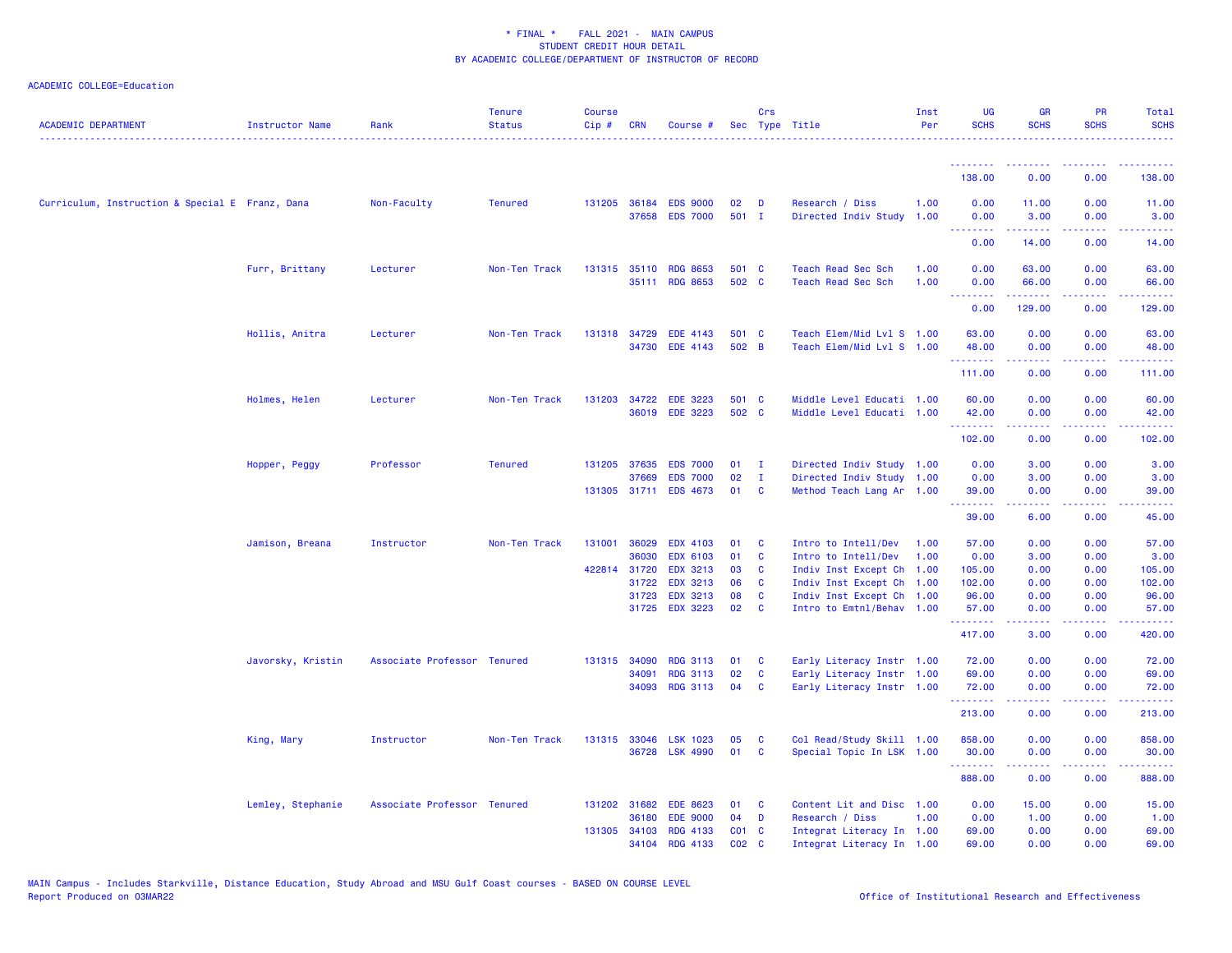| <b>ACADEMIC DEPARTMENT</b>                      | <b>Instructor Name</b> | Rank                        | <b>Tenure</b><br><b>Status</b> | <b>Course</b><br>$Cip \#$ | <b>CRN</b>            | Course #                                 |                   | Crs                      | Sec Type Title                                         | Inst<br>Per  | UG<br><b>SCHS</b>                    | <b>GR</b><br><b>SCHS</b>                                                                                                                                     | <b>PR</b><br><b>SCHS</b>              | Total<br><b>SCHS</b> |
|-------------------------------------------------|------------------------|-----------------------------|--------------------------------|---------------------------|-----------------------|------------------------------------------|-------------------|--------------------------|--------------------------------------------------------|--------------|--------------------------------------|--------------------------------------------------------------------------------------------------------------------------------------------------------------|---------------------------------------|----------------------|
|                                                 |                        |                             |                                |                           |                       |                                          |                   |                          |                                                        |              | <u>.</u> .<br>138.00                 | <b><i><u><u><b>A</b></u></u> A A A A A A A A</i></b><br>0.00                                                                                                 | <b><i><u><u>.</u></u></i></b><br>0.00 | 138.00               |
|                                                 |                        |                             |                                |                           |                       |                                          |                   |                          |                                                        |              |                                      |                                                                                                                                                              |                                       |                      |
| Curriculum, Instruction & Special E Franz, Dana |                        | Non-Faculty                 | <b>Tenured</b>                 |                           | 131205 36184<br>37658 | <b>EDS 9000</b><br><b>EDS 7000</b>       | 02<br>501 I       | D                        | Research / Diss<br>Directed Indiv Study 1.00           | 1.00         | 0.00<br>0.00<br>د د د د              | 11.00<br>3.00                                                                                                                                                | 0.00<br>0.00<br>$\frac{1}{2}$         | 11.00<br>3.00        |
|                                                 |                        |                             |                                |                           |                       |                                          |                   |                          |                                                        |              | 0.00                                 | 14.00                                                                                                                                                        | 0.00                                  | 14.00                |
|                                                 | Furr, Brittany         | Lecturer                    | Non-Ten Track                  |                           | 131315 35110          | <b>RDG 8653</b><br>35111 RDG 8653        | 501 C<br>502 C    |                          | Teach Read Sec Sch<br>Teach Read Sec Sch               | 1.00<br>1.00 | 0.00<br>0.00                         | 63.00<br>66.00                                                                                                                                               | 0.00<br>0.00                          | 63.00<br>66.00       |
|                                                 |                        |                             |                                |                           |                       |                                          |                   |                          |                                                        |              | .<br>0.00                            | 129.00                                                                                                                                                       | 0.00                                  | 129.00               |
|                                                 | Hollis, Anitra         | Lecturer                    | Non-Ten Track                  |                           | 131318 34729          | <b>EDE 4143</b><br>34730 EDE 4143        | 501 C<br>502 B    |                          | Teach Elem/Mid Lvl S 1.00<br>Teach Elem/Mid Lvl S 1.00 |              | 63.00<br>48.00                       | 0.00<br>0.00                                                                                                                                                 | 0.00<br>0.00                          | 63.00<br>48.00       |
|                                                 |                        |                             |                                |                           |                       |                                          |                   |                          |                                                        |              | .<br>111.00                          | $\frac{1}{2} \left( \frac{1}{2} \right) \left( \frac{1}{2} \right) \left( \frac{1}{2} \right) \left( \frac{1}{2} \right) \left( \frac{1}{2} \right)$<br>0.00 | .<br>0.00                             | .<br>111.00          |
|                                                 | Holmes, Helen          | Lecturer                    | Non-Ten Track                  |                           |                       | 131203 34722 EDE 3223<br>36019 EDE 3223  | 501 C<br>502 C    |                          | Middle Level Educati 1.00<br>Middle Level Educati 1.00 |              | 60.00<br>42.00<br>.                  | 0.00<br>0.00<br>.                                                                                                                                            | 0.00<br>0.00<br>.                     | 60.00<br>42.00       |
|                                                 |                        |                             |                                |                           |                       |                                          |                   |                          |                                                        |              | 102.00                               | 0.00                                                                                                                                                         | 0.00                                  | 102.00               |
|                                                 | Hopper, Peggy          | Professor                   | <b>Tenured</b>                 | 131205 37635              |                       | <b>EDS 7000</b>                          | 01                | - I                      | Directed Indiv Study 1.00                              |              | 0.00                                 | 3.00                                                                                                                                                         | 0.00                                  | 3.00                 |
|                                                 |                        |                             |                                |                           | 37669                 | <b>EDS 7000</b><br>131305 31711 EDS 4673 | 02<br>01          | $\mathbf{I}$<br><b>C</b> | Directed Indiv Study 1.00<br>Method Teach Lang Ar 1.00 |              | 0.00<br>39.00                        | 3.00<br>0.00                                                                                                                                                 | 0.00<br>0.00                          | 3.00<br>39.00        |
|                                                 |                        |                             |                                |                           |                       |                                          |                   |                          |                                                        |              | .<br>39.00                           | $\frac{1}{2} \left( \frac{1}{2} \right) \left( \frac{1}{2} \right) \left( \frac{1}{2} \right) \left( \frac{1}{2} \right) \left( \frac{1}{2} \right)$<br>6.00 | .<br>0.00                             | .<br>45.00           |
|                                                 |                        |                             |                                |                           |                       |                                          |                   |                          |                                                        |              |                                      |                                                                                                                                                              |                                       |                      |
|                                                 | Jamison, Breana        | Instructor                  | Non-Ten Track                  | 131001                    | 36029                 | <b>EDX 4103</b>                          | 01                | C                        | Intro to Intell/Dev                                    | 1.00         | 57.00                                | 0.00                                                                                                                                                         | 0.00                                  | 57.00                |
|                                                 |                        |                             |                                |                           | 36030                 | <b>EDX 6103</b>                          | 01                | <b>C</b>                 | Intro to Intell/Dev                                    | 1.00         | 0.00                                 | 3.00                                                                                                                                                         | 0.00                                  | 3.00                 |
|                                                 |                        |                             |                                | 422814 31720              | 31722                 | <b>EDX 3213</b><br><b>EDX 3213</b>       | 03<br>06          | C<br>C                   | Indiv Inst Except Ch 1.00<br>Indiv Inst Except Ch 1.00 |              | 105.00<br>102.00                     | 0.00<br>0.00                                                                                                                                                 | 0.00<br>0.00                          | 105.00<br>102.00     |
|                                                 |                        |                             |                                |                           | 31723                 | <b>EDX 3213</b>                          | 08                | C                        | Indiv Inst Except Ch 1.00                              |              | 96.00                                | 0.00                                                                                                                                                         | 0.00                                  | 96.00                |
|                                                 |                        |                             |                                |                           | 31725                 | <b>EDX 3223</b>                          | 02                | <b>C</b>                 | Intro to Emtnl/Behav 1.00                              |              | 57.00<br><b><i><u>AAAAAA</u></i></b> | 0.00<br>.                                                                                                                                                    | 0.00<br>.                             | 57.00<br>.           |
|                                                 |                        |                             |                                |                           |                       |                                          |                   |                          |                                                        |              | 417.00                               | 3.00                                                                                                                                                         | 0.00                                  | 420.00               |
|                                                 | Javorsky, Kristin      | Associate Professor Tenured |                                | 131315 34090              |                       | <b>RDG 3113</b>                          | 01                | <b>C</b>                 | Early Literacy Instr 1.00                              |              | 72.00                                | 0.00                                                                                                                                                         | 0.00                                  | 72.00                |
|                                                 |                        |                             |                                |                           | 34091                 | <b>RDG 3113</b>                          | 02                | C                        | Early Literacy Instr 1.00                              |              | 69.00                                | 0.00                                                                                                                                                         | 0.00                                  | 69.00                |
|                                                 |                        |                             |                                |                           | 34093                 | <b>RDG 3113</b>                          | 04                | <b>C</b>                 | Early Literacy Instr 1.00                              |              | 72.00<br>.                           | 0.00<br>22222                                                                                                                                                | 0.00<br>.                             | 72.00<br>المتمام     |
|                                                 |                        |                             |                                |                           |                       |                                          |                   |                          |                                                        |              | 213.00                               | 0.00                                                                                                                                                         | 0.00                                  | 213.00               |
|                                                 | King, Mary             | Instructor                  | Non-Ten Track                  |                           | 131315 33046          | <b>LSK 1023</b>                          | 05                | C                        | Col Read/Study Skill 1.00                              |              | 858.00                               | 0.00                                                                                                                                                         | 0.00                                  | 858.00               |
|                                                 |                        |                             |                                |                           | 36728                 | <b>LSK 4990</b>                          | 01                | <b>C</b>                 | Special Topic In LSK 1.00                              |              | 30.00<br>.                           | 0.00<br>$\frac{1}{2} \left( \frac{1}{2} \right) \left( \frac{1}{2} \right) \left( \frac{1}{2} \right) \left( \frac{1}{2} \right) \left( \frac{1}{2} \right)$ | 0.00<br>.                             | 30.00<br>.           |
|                                                 |                        |                             |                                |                           |                       |                                          |                   |                          |                                                        |              | 888.00                               | 0.00                                                                                                                                                         | 0.00                                  | 888.00               |
|                                                 | Lemley, Stephanie      | Associate Professor Tenured |                                |                           | 131202 31682          | <b>EDE 8623</b>                          | 01                | C                        | Content Lit and Disc 1.00                              |              | 0.00                                 | 15.00                                                                                                                                                        | 0.00                                  | 15.00                |
|                                                 |                        |                             |                                |                           | 36180                 | <b>EDE 9000</b>                          | 04                | D                        | Research / Diss                                        | 1.00         | 0.00                                 | 1.00                                                                                                                                                         | 0.00                                  | 1.00                 |
|                                                 |                        |                             |                                |                           | 131305 34103          | RDG 4133                                 | CO <sub>1</sub> C |                          | Integrat Literacy In 1.00                              |              | 69.00                                | 0.00                                                                                                                                                         | 0.00                                  | 69.00                |
|                                                 |                        |                             |                                |                           | 34104                 | RDG 4133                                 | C02 C             |                          | Integrat Literacy In 1.00                              |              | 69.00                                | 0.00                                                                                                                                                         | 0.00                                  | 69.00                |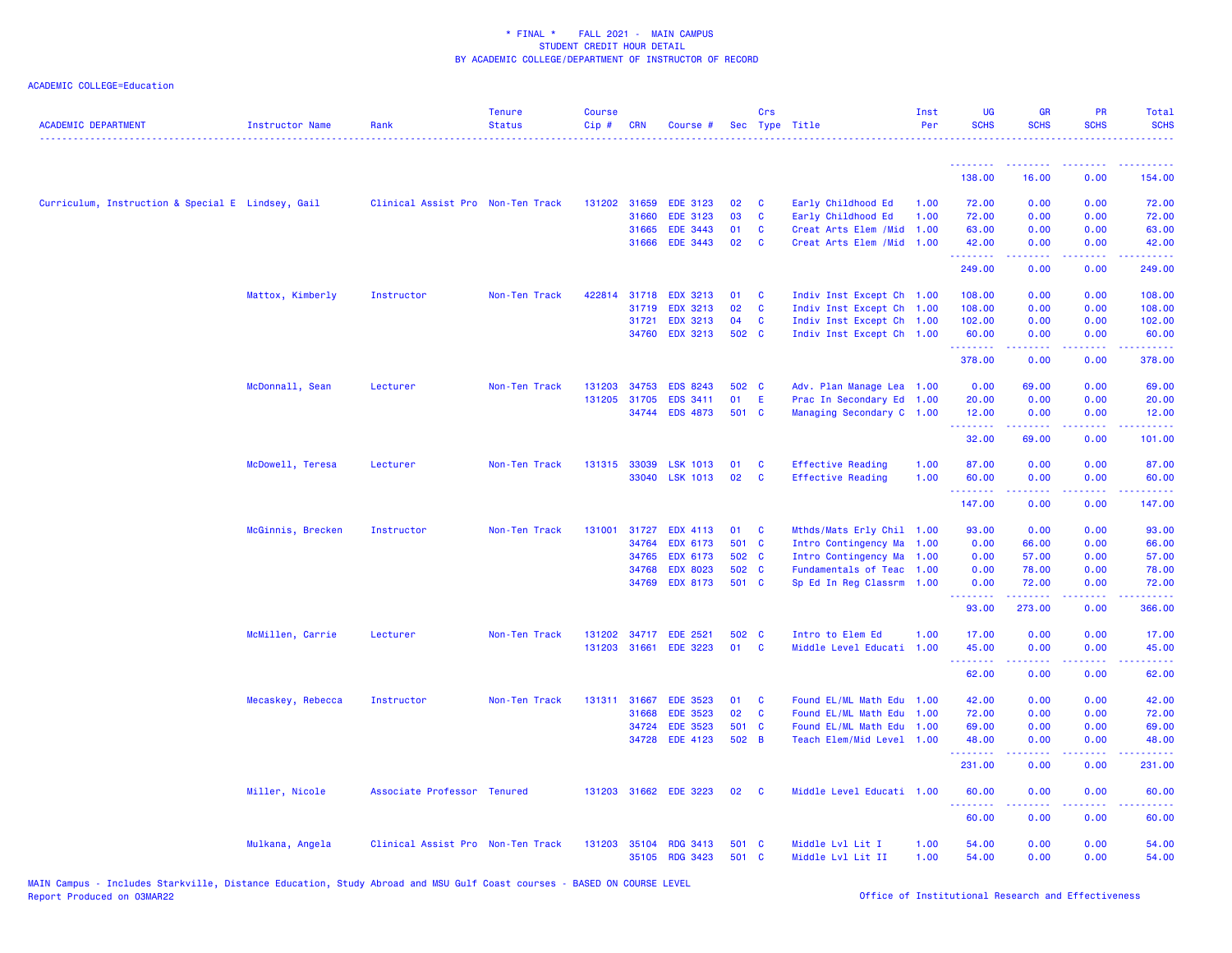| <b>ACADEMIC DEPARTMENT</b>                        | <b>Instructor Name</b> | Rank                              | <b>Tenure</b><br><b>Status</b> | <b>Course</b><br>Cip# | <b>CRN</b>   | Course #              |       | Crs          | Sec Type Title            | Inst<br>Per | <b>UG</b><br><b>SCHS</b> | <b>GR</b><br><b>SCHS</b> | <b>PR</b><br><b>SCHS</b> | Total<br><b>SCHS</b>                |
|---------------------------------------------------|------------------------|-----------------------------------|--------------------------------|-----------------------|--------------|-----------------------|-------|--------------|---------------------------|-------------|--------------------------|--------------------------|--------------------------|-------------------------------------|
|                                                   |                        |                                   |                                |                       |              |                       |       |              |                           |             | <u>.</u>                 | .                        | . <u>.</u>               | .                                   |
|                                                   |                        |                                   |                                |                       |              |                       |       |              |                           |             | 138.00                   | 16.00                    | 0.00                     | 154.00                              |
| Curriculum, Instruction & Special E Lindsey, Gail |                        | Clinical Assist Pro Non-Ten Track |                                |                       | 131202 31659 | <b>EDE 3123</b>       | 02    | C            | Early Childhood Ed        | 1.00        | 72.00                    | 0.00                     | 0.00                     | 72.00                               |
|                                                   |                        |                                   |                                |                       | 31660        | <b>EDE 3123</b>       | 03    | C            | Early Childhood Ed        | 1.00        | 72.00                    | 0.00                     | 0.00                     | 72.00                               |
|                                                   |                        |                                   |                                |                       | 31665        | EDE 3443              | 01    | C            | Creat Arts Elem / Mid     | 1.00        | 63.00                    | 0.00                     | 0.00                     | 63.00                               |
|                                                   |                        |                                   |                                |                       | 31666        | EDE 3443              | 02    | C            | Creat Arts Elem / Mid     | 1.00        | 42.00<br>.               | 0.00<br><b>.</b>         | 0.00<br>.                | 42.00<br><u>.</u>                   |
|                                                   |                        |                                   |                                |                       |              |                       |       |              |                           |             | 249.00                   | 0.00                     | 0.00                     | 249.00                              |
|                                                   | Mattox, Kimberly       | Instructor                        | Non-Ten Track                  | 422814                | 31718        | <b>EDX 3213</b>       | 01    | C            | Indiv Inst Except Ch 1.00 |             | 108.00                   | 0.00                     | 0.00                     | 108.00                              |
|                                                   |                        |                                   |                                |                       | 31719        | <b>EDX 3213</b>       | 02    | C            | Indiv Inst Except Ch 1.00 |             | 108.00                   | 0.00                     | 0.00                     | 108.00                              |
|                                                   |                        |                                   |                                |                       | 31721        | <b>EDX 3213</b>       | 04    | $\mathbf{C}$ | Indiv Inst Except Ch 1.00 |             | 102.00                   | 0.00                     | 0.00                     | 102.00                              |
|                                                   |                        |                                   |                                |                       | 34760        | <b>EDX 3213</b>       | 502 C |              | Indiv Inst Except Ch 1.00 |             | 60.00<br>.               | 0.00<br>22222            | 0.00<br>.                | 60.00<br>.                          |
|                                                   |                        |                                   |                                |                       |              |                       |       |              |                           |             | 378.00                   | 0.00                     | 0.00                     | 378.00                              |
|                                                   | McDonnall, Sean        | Lecturer                          | Non-Ten Track                  | 131203                | 34753        | <b>EDS 8243</b>       | 502 C |              | Adv. Plan Manage Lea 1.00 |             | 0.00                     | 69.00                    | 0.00                     | 69.00                               |
|                                                   |                        |                                   |                                |                       | 131205 31705 | EDS 3411              | 01    | E            | Prac In Secondary Ed 1.00 |             | 20.00                    | 0.00                     | 0.00                     | 20.00                               |
|                                                   |                        |                                   |                                |                       |              | 34744 EDS 4873        | 501 C |              | Managing Secondary C 1.00 |             | 12.00<br>.               | 0.00<br>.                | 0.00<br>.                | 12.00<br>.                          |
|                                                   |                        |                                   |                                |                       |              |                       |       |              |                           |             | 32.00                    | 69.00                    | 0.00                     | 101.00                              |
|                                                   | McDowell, Teresa       | Lecturer                          | Non-Ten Track                  |                       | 131315 33039 | <b>LSK 1013</b>       | 01    | C            | <b>Effective Reading</b>  | 1.00        | 87.00                    | 0.00                     | 0.00                     | 87.00                               |
|                                                   |                        |                                   |                                |                       |              | 33040 LSK 1013        | 02    | <b>C</b>     | <b>Effective Reading</b>  | 1.00        | 60.00                    | 0.00                     | 0.00                     | 60.00                               |
|                                                   |                        |                                   |                                |                       |              |                       |       |              |                           |             | .<br>147.00              | 0.00                     | بالمحامي<br>0.00         | .<br>147.00                         |
|                                                   | McGinnis, Brecken      | Instructor                        | Non-Ten Track                  | 131001                | 31727        | <b>EDX 4113</b>       | 01    | - C          | Mthds/Mats Erly Chil 1.00 |             | 93.00                    | 0.00                     | 0.00                     | 93.00                               |
|                                                   |                        |                                   |                                |                       | 34764        | EDX 6173              | 501 C |              | Intro Contingency Ma      | 1.00        | 0.00                     | 66.00                    | 0.00                     | 66.00                               |
|                                                   |                        |                                   |                                |                       | 34765        | <b>EDX 6173</b>       | 502 C |              | Intro Contingency Ma 1.00 |             | 0.00                     | 57.00                    | 0.00                     | 57.00                               |
|                                                   |                        |                                   |                                |                       | 34768        | <b>EDX 8023</b>       | 502 C |              | Fundamentals of Teac 1.00 |             | 0.00                     | 78.00                    | 0.00                     | 78.00                               |
|                                                   |                        |                                   |                                |                       | 34769        | <b>EDX 8173</b>       | 501 C |              | Sp Ed In Reg Classrm 1.00 |             | 0.00<br><u>.</u>         | 72.00<br>.               | 0.00<br>.                | 72.00<br><b><i><u>AAAAA</u></i></b> |
|                                                   |                        |                                   |                                |                       |              |                       |       |              |                           |             | 93.00                    | 273.00                   | 0.00                     | 366.00                              |
|                                                   | McMillen, Carrie       | Lecturer                          | Non-Ten Track                  | 131202                |              | 34717 EDE 2521        | 502 C |              | Intro to Elem Ed          | 1.00        | 17.00                    | 0.00                     | 0.00                     | 17.00                               |
|                                                   |                        |                                   |                                |                       | 131203 31661 | <b>EDE 3223</b>       | 01    | C            | Middle Level Educati 1.00 |             | 45.00<br>.               | 0.00<br>المستملة         | 0.00<br>.                | 45.00<br>.                          |
|                                                   |                        |                                   |                                |                       |              |                       |       |              |                           |             | 62.00                    | 0.00                     | 0.00                     | 62.00                               |
|                                                   | Mecaskey, Rebecca      | Instructor                        | Non-Ten Track                  | 131311                | 31667        | <b>EDE 3523</b>       | 01    | C            | Found EL/ML Math Edu 1.00 |             | 42.00                    | 0.00                     | 0.00                     | 42.00                               |
|                                                   |                        |                                   |                                |                       | 31668        | <b>EDE 3523</b>       | 02    | $\mathbf{C}$ | Found EL/ML Math Edu 1.00 |             | 72.00                    | 0.00                     | 0.00                     | 72.00                               |
|                                                   |                        |                                   |                                |                       | 34724        | <b>EDE 3523</b>       | 501 C |              | Found EL/ML Math Edu 1.00 |             | 69.00                    | 0.00                     | 0.00                     | 69.00                               |
|                                                   |                        |                                   |                                |                       | 34728        | <b>EDE 4123</b>       | 502 B |              | Teach Elem/Mid Level 1.00 |             | 48.00<br>.               | 0.00<br>22222            | 0.00<br>.                | 48.00<br>.                          |
|                                                   |                        |                                   |                                |                       |              |                       |       |              |                           |             | 231.00                   | 0.00                     | 0.00                     | 231.00                              |
|                                                   | Miller, Nicole         | Associate Professor Tenured       |                                |                       |              | 131203 31662 EDE 3223 | 02    | <b>C</b>     | Middle Level Educati 1.00 |             | 60.00<br>.               | 0.00<br>.                | 0.00<br>$  -$            | 60.00<br>.                          |
|                                                   |                        |                                   |                                |                       |              |                       |       |              |                           |             | 60.00                    | 0.00                     | 0.00                     | 60.00                               |
|                                                   | Mulkana, Angela        | Clinical Assist Pro Non-Ten Track |                                |                       |              | 131203 35104 RDG 3413 | 501 C |              | Middle Lvl Lit I          | 1.00        | 54.00                    | 0.00                     | 0.00                     | 54.00                               |
|                                                   |                        |                                   |                                |                       |              | 35105 RDG 3423        | 501   | $\mathbf{C}$ | Middle Lvl Lit II         | 1.00        | 54.00                    | 0.00                     | 0.00                     | 54.00                               |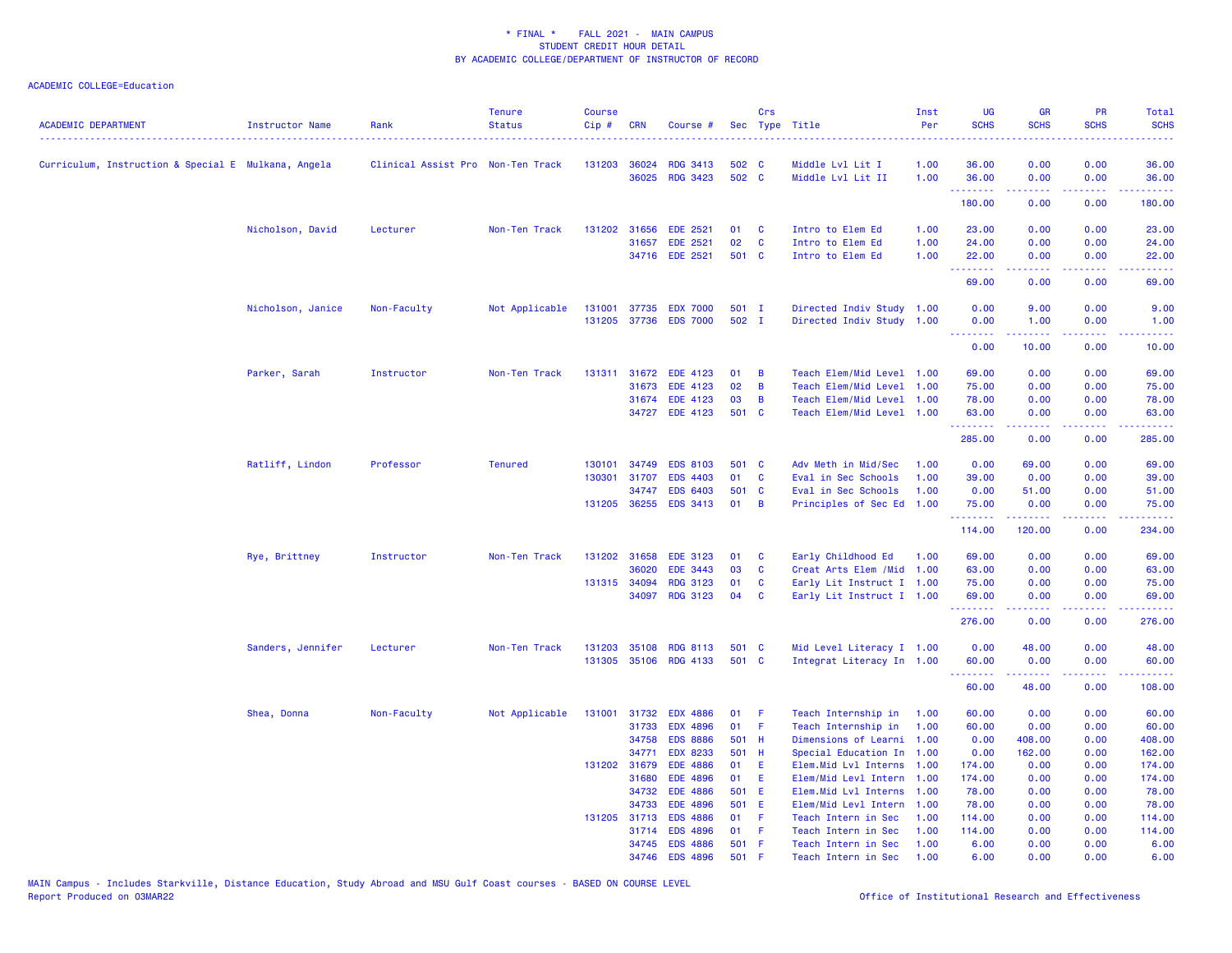| <b>ACADEMIC DEPARTMENT</b>                          | Instructor Name   | Rank                              | <b>Tenure</b><br><b>Status</b> | <b>Course</b><br>Cip# | <b>CRN</b>            | Course #                           |             | Crs          | Sec Type Title                             | Inst<br>Per  | UG<br><b>SCHS</b> | <b>GR</b><br><b>SCHS</b>                       | PR<br><b>SCHS</b> | Total<br><b>SCHS</b> |
|-----------------------------------------------------|-------------------|-----------------------------------|--------------------------------|-----------------------|-----------------------|------------------------------------|-------------|--------------|--------------------------------------------|--------------|-------------------|------------------------------------------------|-------------------|----------------------|
| Curriculum, Instruction & Special E Mulkana, Angela |                   | Clinical Assist Pro Non-Ten Track |                                | 131203                | 36024                 | RDG 3413                           | 502         | <b>C</b>     | Middle Lvl Lit I                           | 1.00         | 36.00             | 0.00                                           | 0.00              | 36.00                |
|                                                     |                   |                                   |                                |                       |                       | 36025 RDG 3423                     | 502 C       |              | Middle Lvl Lit II                          | 1.00         | 36.00<br>.        | 0.00<br>-----                                  | 0.00<br>.         | 36.00<br>.           |
|                                                     |                   |                                   |                                |                       |                       |                                    |             |              |                                            |              | 180.00            | 0.00                                           | 0.00              | 180.00               |
|                                                     | Nicholson, David  | Lecturer                          | Non-Ten Track                  | 131202                | 31656                 | <b>EDE 2521</b>                    | 01          | C            | Intro to Elem Ed                           | 1.00         | 23.00             | 0.00                                           | 0.00              | 23.00                |
|                                                     |                   |                                   |                                |                       | 31657                 | <b>EDE 2521</b>                    | 02          | C            | Intro to Elem Ed                           | 1.00         | 24.00             | 0.00                                           | 0.00              | 24.00                |
|                                                     |                   |                                   |                                |                       |                       | 34716 EDE 2521                     | 501 C       |              | Intro to Elem Ed                           | 1.00         | 22.00<br><u>.</u> | 0.00<br>.                                      | 0.00<br>.         | 22.00<br>.           |
|                                                     |                   |                                   |                                |                       |                       |                                    |             |              |                                            |              | 69.00             | 0.00                                           | 0.00              | 69.00                |
|                                                     | Nicholson, Janice | Non-Faculty                       | Not Applicable                 | 131001                | 37735                 | <b>EDX 7000</b>                    | $501$ I     |              | Directed Indiv Study 1.00                  |              | 0.00              | 9.00                                           | 0.00              | 9.00                 |
|                                                     |                   |                                   |                                | 131205                | 37736                 | <b>EDS 7000</b>                    | 502 I       |              | Directed Indiv Study 1.00                  |              | 0.00<br>.         | 1.00<br><b><i><u></u></i></b>                  | 0.00<br>د د د د . | 1.00<br>وعاعاتها     |
|                                                     |                   |                                   |                                |                       |                       |                                    |             |              |                                            |              | 0.00              | 10.00                                          | 0.00              | 10.00                |
|                                                     | Parker, Sarah     | Instructor                        | Non-Ten Track                  | 131311                | 31672                 | <b>EDE 4123</b>                    | 01          | В            | Teach Elem/Mid Level 1.00                  |              | 69.00             | 0.00                                           | 0.00              | 69.00                |
|                                                     |                   |                                   |                                |                       | 31673                 | EDE 4123                           | 02          | B            | Teach Elem/Mid Level                       | 1.00         | 75.00             | 0.00                                           | 0.00              | 75.00                |
|                                                     |                   |                                   |                                |                       |                       | 31674 EDE 4123                     | 03          | B            | Teach Elem/Mid Level                       | 1.00         | 78.00             | 0.00                                           | 0.00              | 78.00                |
|                                                     |                   |                                   |                                |                       |                       | 34727 EDE 4123                     | 501 C       |              | Teach Elem/Mid Level 1.00                  |              | 63.00<br>.        | 0.00<br><b><i><u><u> - - - - -</u></u></i></b> | 0.00<br>.         | 63.00<br>.           |
|                                                     |                   |                                   |                                |                       |                       |                                    |             |              |                                            |              | 285.00            | 0.00                                           | 0.00              | 285.00               |
|                                                     | Ratliff, Lindon   | Professor                         | <b>Tenured</b>                 | 130101                | 34749                 | <b>EDS 8103</b>                    | 501         | $\mathbf{C}$ | Adv Meth in Mid/Sec                        | 1.00         | 0.00              | 69.00                                          | 0.00              | 69.00                |
|                                                     |                   |                                   |                                | 130301                | 31707                 | <b>EDS 4403</b>                    | 01          | C            | Eval in Sec Schools                        | 1.00         | 39.00             | 0.00                                           | 0.00              | 39.00                |
|                                                     |                   |                                   |                                |                       | 34747                 | <b>EDS 6403</b>                    | 501 C       |              | Eval in Sec Schools                        | 1.00         | 0.00              | 51.00                                          | 0.00              | 51.00                |
|                                                     |                   |                                   |                                |                       | 131205 36255          | <b>EDS 3413</b>                    | 01          | B            | Principles of Sec Ed 1.00                  |              | 75.00<br>.        | 0.00<br>.                                      | 0.00<br>.         | 75.00<br>.           |
|                                                     |                   |                                   |                                |                       |                       |                                    |             |              |                                            |              | 114.00            | 120.00                                         | 0.00              | 234.00               |
|                                                     | Rye, Brittney     | Instructor                        | Non-Ten Track                  | 131202                | 31658                 | <b>EDE 3123</b>                    | 01          | C            | Early Childhood Ed                         | 1.00         | 69.00             | 0.00                                           | 0.00              | 69.00                |
|                                                     |                   |                                   |                                |                       | 36020                 | <b>EDE 3443</b>                    | 03          | C            | Creat Arts Elem / Mid 1.00                 |              | 63.00             | 0.00                                           | 0.00              | 63.00                |
|                                                     |                   |                                   |                                |                       | 131315 34094          | <b>RDG 3123</b>                    | 01          | C            | Early Lit Instruct I 1.00                  |              | 75.00             | 0.00                                           | 0.00              | 75.00                |
|                                                     |                   |                                   |                                |                       | 34097                 | RDG 3123                           | 04          | C            | Early Lit Instruct I 1.00                  |              | 69.00<br>.        | 0.00<br>22222                                  | 0.00<br>.         | 69.00<br><u>.</u>    |
|                                                     |                   |                                   |                                |                       |                       |                                    |             |              |                                            |              | 276.00            | 0.00                                           | 0.00              | 276.00               |
|                                                     | Sanders, Jennifer | Lecturer                          | Non-Ten Track                  | 131203                | 35108                 | <b>RDG 8113</b>                    | 501 C       |              | Mid Level Literacy I 1.00                  |              | 0.00              | 48.00                                          | 0.00              | 48.00                |
|                                                     |                   |                                   |                                | 131305                |                       | 35106 RDG 4133                     | 501 C       |              | Integrat Literacy In 1.00                  |              | 60.00<br>.        | 0.00<br>.                                      | 0.00<br>.         | 60.00<br><u>.</u>    |
|                                                     |                   |                                   |                                |                       |                       |                                    |             |              |                                            |              | 60.00             | 48.00                                          | 0.00              | 108.00               |
|                                                     | Shea, Donna       | Non-Faculty                       | Not Applicable                 | 131001                | 31732                 | <b>EDX 4886</b>                    | 01          | -F           | Teach Internship in                        | 1.00         | 60.00             | 0.00                                           | 0.00              | 60.00                |
|                                                     |                   |                                   |                                |                       | 31733                 | <b>EDX 4896</b>                    | 01          | -F           | Teach Internship in                        | 1.00         | 60.00             | 0.00                                           | 0.00              | 60.00                |
|                                                     |                   |                                   |                                |                       | 34758                 | <b>EDS 8886</b>                    | 501 H       |              | Dimensions of Learni                       | 1.00         | 0.00              | 408.00                                         | 0.00              | 408.00               |
|                                                     |                   |                                   |                                |                       | 34771                 | <b>EDX 8233</b>                    | 501         | H            | Special Education In                       | 1.00         | 0.00              | 162.00                                         | 0.00              | 162.00               |
|                                                     |                   |                                   |                                |                       | 131202 31679          | <b>EDE 4886</b>                    | 01          | Ε            | Elem.Mid Lvl Interns                       | 1.00         | 174.00            | 0.00                                           | 0.00              | 174.00               |
|                                                     |                   |                                   |                                |                       | 31680                 | <b>EDE 4896</b>                    | 01          | E            | Elem/Mid Levl Intern                       | 1.00         | 174.00            | 0.00                                           | 0.00              | 174.00               |
|                                                     |                   |                                   |                                |                       | 34732                 | <b>EDE 4886</b>                    | 501         | E            | Elem.Mid Lvl Interns                       | 1.00         | 78.00             | 0.00                                           | 0.00              | 78.00                |
|                                                     |                   |                                   |                                |                       | 34733<br>131205 31713 | <b>EDE 4896</b><br><b>EDS 4886</b> | 501 E<br>01 | - F          | Elem/Mid Levl Intern                       | 1.00         | 78.00<br>114.00   | 0.00<br>0.00                                   | 0.00<br>0.00      | 78.00                |
|                                                     |                   |                                   |                                |                       | 31714                 | <b>EDS 4896</b>                    | 01          | -F           | Teach Intern in Sec<br>Teach Intern in Sec | 1.00<br>1.00 | 114.00            | 0.00                                           | 0.00              | 114.00<br>114.00     |
|                                                     |                   |                                   |                                |                       |                       | 34745 EDS 4886                     | 501 F       |              | Teach Intern in Sec                        | 1.00         | 6.00              | 0.00                                           | 0.00              | 6.00                 |
|                                                     |                   |                                   |                                |                       |                       | 34746 FDS 4896                     | 501         | -F           | Teach Intern in Sec 1.00                   |              | 6.00              | 0.00                                           | 0.00              | 6.00                 |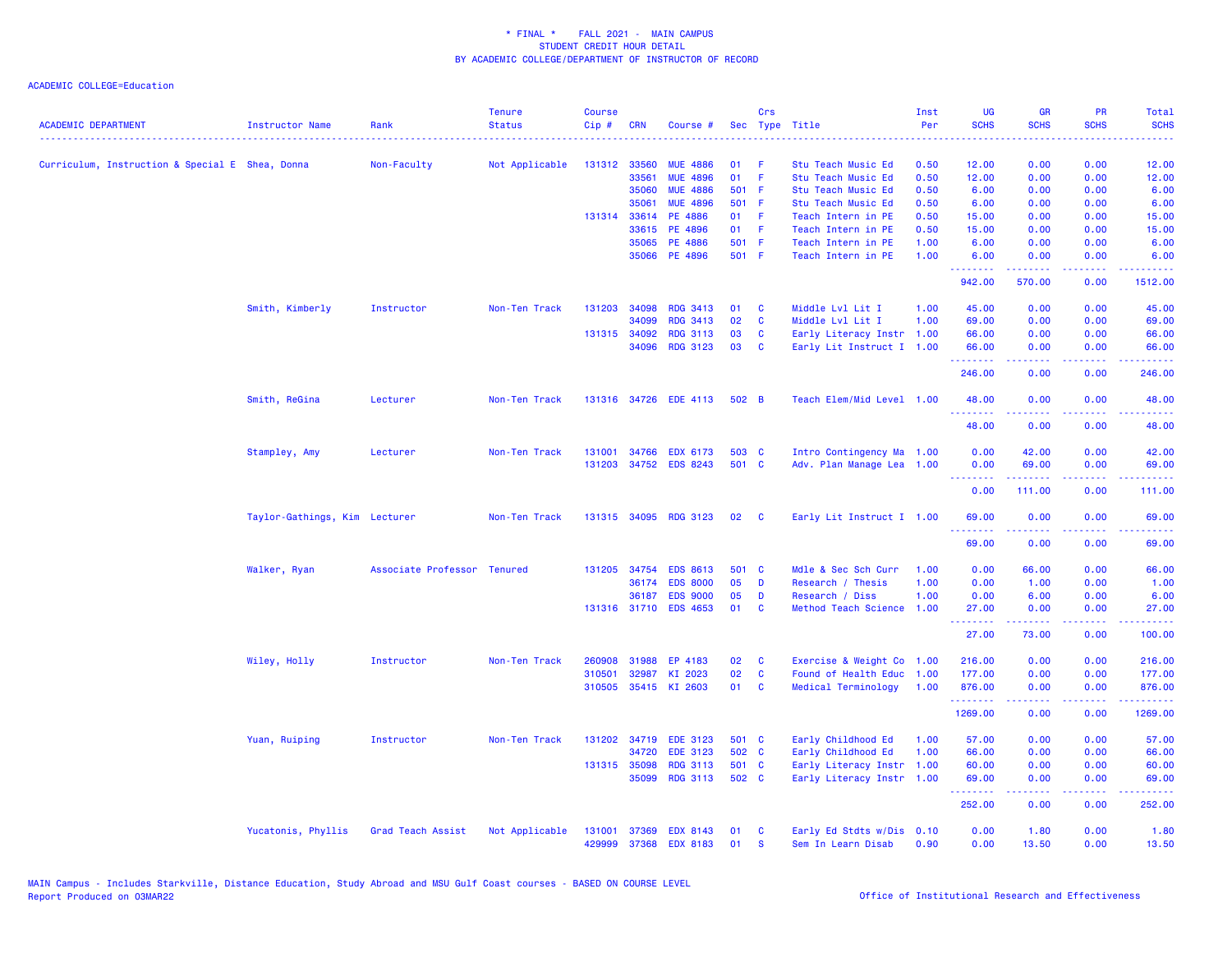| <b>ACADEMIC DEPARTMENT</b>                      | <b>Instructor Name</b>        | Rank                        | <b>Tenure</b><br><b>Status</b> | <b>Course</b><br>Cip# | <b>CRN</b>   | Course #              |       | Crs      | Sec Type Title            | Inst<br>Per | <b>UG</b><br><b>SCHS</b> | <b>GR</b><br><b>SCHS</b>                                                                                                                                     | <b>PR</b><br><b>SCHS</b>            | Total<br><b>SCHS</b>                  |
|-------------------------------------------------|-------------------------------|-----------------------------|--------------------------------|-----------------------|--------------|-----------------------|-------|----------|---------------------------|-------------|--------------------------|--------------------------------------------------------------------------------------------------------------------------------------------------------------|-------------------------------------|---------------------------------------|
| Curriculum, Instruction & Special E Shea, Donna |                               | Non-Faculty                 | Not Applicable                 |                       | 131312 33560 | <b>MUE 4886</b>       | 01    |          | Stu Teach Music Ed        | 0.50        | 12.00                    | 0.00                                                                                                                                                         | 0.00                                | 12.00                                 |
|                                                 |                               |                             |                                |                       | 33561        | <b>MUE 4896</b>       | 01    | F        | Stu Teach Music Ed        | 0.50        | 12.00                    | 0.00                                                                                                                                                         | 0.00                                | 12.00                                 |
|                                                 |                               |                             |                                |                       | 35060        | <b>MUE 4886</b>       | 501 F |          | Stu Teach Music Ed        | 0.50        | 6.00                     | 0.00                                                                                                                                                         | 0.00                                | 6.00                                  |
|                                                 |                               |                             |                                |                       | 35061        | <b>MUE 4896</b>       | 501 F |          | Stu Teach Music Ed        | 0.50        | 6.00                     | 0.00                                                                                                                                                         | 0.00                                | 6.00                                  |
|                                                 |                               |                             |                                |                       | 131314 33614 | PE 4886               | 01    | Æ        | Teach Intern in PE        | 0.50        | 15.00                    | 0.00                                                                                                                                                         | 0.00                                | 15.00                                 |
|                                                 |                               |                             |                                |                       | 33615        | PE 4896               | 01    | F        | Teach Intern in PE        | 0.50        | 15.00                    | 0.00                                                                                                                                                         | 0.00                                | 15.00                                 |
|                                                 |                               |                             |                                |                       | 35065        | <b>PE 4886</b>        | 501 F |          | Teach Intern in PE        | 1.00        | 6.00                     | 0.00                                                                                                                                                         | 0.00                                | 6.00                                  |
|                                                 |                               |                             |                                |                       | 35066        | PE 4896               | 501 F |          | Teach Intern in PE        | 1.00        | 6.00<br>.                | 0.00<br>.                                                                                                                                                    | 0.00<br>.                           | 6.00<br><u>.</u>                      |
|                                                 |                               |                             |                                |                       |              |                       |       |          |                           |             | 942.00                   | 570.00                                                                                                                                                       | 0.00                                | 1512.00                               |
|                                                 | Smith, Kimberly               | Instructor                  | Non-Ten Track                  | 131203                | 34098        | <b>RDG 3413</b>       | 01    | <b>C</b> | Middle Lvl Lit I          | 1.00        | 45.00                    | 0.00                                                                                                                                                         | 0.00                                | 45.00                                 |
|                                                 |                               |                             |                                |                       | 34099        | <b>RDG 3413</b>       | 02    | C        | Middle Lvl Lit I          | 1.00        | 69.00                    | 0.00                                                                                                                                                         | 0.00                                | 69.00                                 |
|                                                 |                               |                             |                                |                       | 131315 34092 | <b>RDG 3113</b>       | 03    | <b>C</b> | Early Literacy Instr 1.00 |             | 66.00                    | 0.00                                                                                                                                                         | 0.00                                | 66.00                                 |
|                                                 |                               |                             |                                |                       | 34096        | <b>RDG 3123</b>       | 03    | <b>C</b> | Early Lit Instruct I 1.00 |             | 66.00<br>.               | 0.00                                                                                                                                                         | 0.00<br>والمحامر                    | 66.00                                 |
|                                                 |                               |                             |                                |                       |              |                       |       |          |                           |             | 246.00                   | 0.00                                                                                                                                                         | 0.00                                | 246.00                                |
|                                                 | Smith, ReGina                 | Lecturer                    | Non-Ten Track                  |                       | 131316 34726 | <b>EDE 4113</b>       | 502 B |          | Teach Elem/Mid Level 1.00 |             | 48.00                    | 0.00                                                                                                                                                         | 0.00                                | 48.00                                 |
|                                                 |                               |                             |                                |                       |              |                       |       |          |                           |             | .<br>48.00               | بالأباب<br>0.00                                                                                                                                              | $\sim$ $\sim$ $\sim$ $\sim$<br>0.00 | المستما<br>48.00                      |
|                                                 | Stampley, Amy                 | Lecturer                    | Non-Ten Track                  | 131001                | 34766        | <b>EDX 6173</b>       | 503 C |          | Intro Contingency Ma 1.00 |             | 0.00                     | 42.00                                                                                                                                                        | 0.00                                | 42.00                                 |
|                                                 |                               |                             |                                | 131203                | 34752        | <b>EDS 8243</b>       | 501 C |          | Adv. Plan Manage Lea 1.00 |             | 0.00                     | 69.00                                                                                                                                                        | 0.00                                | 69.00                                 |
|                                                 |                               |                             |                                |                       |              |                       |       |          |                           |             | .<br>0.00                | 111.00                                                                                                                                                       | 0.00                                | .<br>111.00                           |
|                                                 | Taylor-Gathings, Kim Lecturer |                             | Non-Ten Track                  |                       | 131315 34095 | <b>RDG 3123</b>       | 02    | <b>C</b> | Early Lit Instruct I 1.00 |             | 69.00                    | 0.00                                                                                                                                                         | 0.00                                | 69.00                                 |
|                                                 |                               |                             |                                |                       |              |                       |       |          |                           |             | بالأباء<br>69.00         | 0.00                                                                                                                                                         | $\sim$ $\sim$ $\sim$<br>0.00        | 69.00                                 |
|                                                 | Walker, Ryan                  | Associate Professor Tenured |                                |                       | 131205 34754 | <b>EDS 8613</b>       | 501 C |          | Mdle & Sec Sch Curr       | 1.00        | 0.00                     | 66.00                                                                                                                                                        | 0.00                                | 66.00                                 |
|                                                 |                               |                             |                                |                       | 36174        | <b>EDS 8000</b>       | 05    | D        | Research / Thesis         | 1.00        | 0.00                     | 1.00                                                                                                                                                         | 0.00                                | 1.00                                  |
|                                                 |                               |                             |                                |                       | 36187        | <b>EDS 9000</b>       | 05    | D        | Research / Diss           | 1.00        | 0.00                     | 6.00                                                                                                                                                         | 0.00                                | 6.00                                  |
|                                                 |                               |                             |                                |                       |              | 131316 31710 EDS 4653 | 01    | C        | Method Teach Science 1.00 |             | 27.00<br>.               | 0.00<br>.                                                                                                                                                    | 0.00<br>.                           | 27.00<br>.                            |
|                                                 |                               |                             |                                |                       |              |                       |       |          |                           |             | 27.00                    | 73.00                                                                                                                                                        | 0.00                                | 100.00                                |
|                                                 | Wiley, Holly                  | Instructor                  | Non-Ten Track                  | 260908                | 31988        | EP 4183               | 02    | C        | Exercise & Weight Co 1.00 |             | 216.00                   | 0.00                                                                                                                                                         | 0.00                                | 216.00                                |
|                                                 |                               |                             |                                | 310501                | 32987        | KI 2023               | 02    | C        | Found of Health Educ      | 1.00        | 177.00                   | 0.00                                                                                                                                                         | 0.00                                | 177.00                                |
|                                                 |                               |                             |                                |                       |              | 310505 35415 KI 2603  | 01    | C        | Medical Terminology       | 1.00        | 876.00<br>.              | 0.00<br><u>.</u>                                                                                                                                             | 0.00<br>$  -$                       | 876.00<br>$\sim$ $\sim$ $\sim$ $\sim$ |
|                                                 |                               |                             |                                |                       |              |                       |       |          |                           |             | 1269.00                  | 0.00                                                                                                                                                         | 0.00                                | 1269.00                               |
|                                                 | Yuan, Ruiping                 | Instructor                  | Non-Ten Track                  |                       |              | 131202 34719 EDE 3123 | 501 C |          | Early Childhood Ed        | 1.00        | 57.00                    | 0.00                                                                                                                                                         | 0.00                                | 57.00                                 |
|                                                 |                               |                             |                                |                       | 34720        | <b>EDE 3123</b>       | 502 C |          | Early Childhood Ed        | 1.00        | 66.00                    | 0.00                                                                                                                                                         | 0.00                                | 66.00                                 |
|                                                 |                               |                             |                                |                       | 131315 35098 | <b>RDG 3113</b>       | 501 C |          | Early Literacy Instr      | 1.00        | 60.00                    | 0.00                                                                                                                                                         | 0.00                                | 60.00                                 |
|                                                 |                               |                             |                                |                       | 35099        | <b>RDG 3113</b>       | 502 C |          | Early Literacy Instr 1.00 |             | 69.00<br>.               | 0.00<br>$\frac{1}{2} \left( \frac{1}{2} \right) \left( \frac{1}{2} \right) \left( \frac{1}{2} \right) \left( \frac{1}{2} \right) \left( \frac{1}{2} \right)$ | 0.00<br>.                           | 69.00<br>.                            |
|                                                 |                               |                             |                                |                       |              |                       |       |          |                           |             | 252.00                   | 0.00                                                                                                                                                         | 0.00                                | 252.00                                |
|                                                 | Yucatonis, Phyllis            | Grad Teach Assist           | Not Applicable                 | 131001                | 37369        | <b>EDX 8143</b>       | 01    | C        | Early Ed Stdts w/Dis 0.10 |             | 0.00                     | 1.80                                                                                                                                                         | 0.00                                | 1.80                                  |
|                                                 |                               |                             |                                | 429999                | 37368        | <b>EDX 8183</b>       | 01    | <b>S</b> | Sem In Learn Disab        | 0.90        | 0.00                     | 13.50                                                                                                                                                        | 0.00                                | 13.50                                 |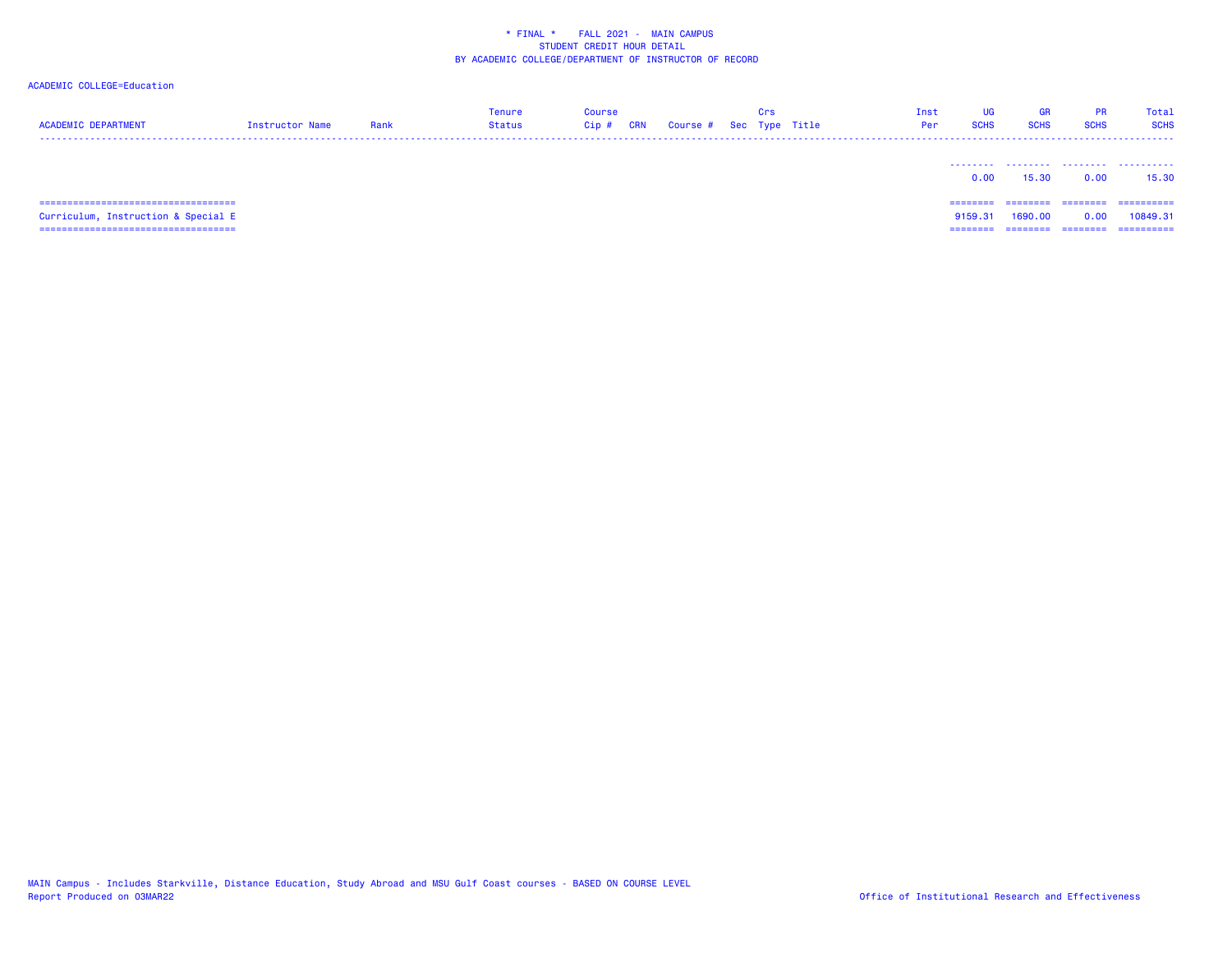| <b>ACADEMIC DEPARTMENT</b>                | Instructor Name | Rank | Tenure<br><b>Status</b> | Course<br>CRN<br>$Cip$ # | Course # Sec Type Title | Crs | Inst<br>Per | <b>UG</b><br><b>SCHS</b> | GR<br><b>SCHS</b> | <b>PR</b><br><b>SCHS</b> | Total<br><b>SCHS</b> |
|-------------------------------------------|-----------------|------|-------------------------|--------------------------|-------------------------|-----|-------------|--------------------------|-------------------|--------------------------|----------------------|
|                                           |                 |      |                         |                          |                         |     |             | 0.00                     | 15.30             | 0.00                     | 15.30                |
|                                           |                 |      |                         |                          |                         |     |             |                          |                   | ========                 | ==========           |
| Curriculum, Instruction & Special E       |                 |      |                         |                          |                         |     |             | 9159.31                  | 1690.00           | 0.00                     | 10849.31             |
| ================================<br>===== |                 |      |                         |                          |                         |     |             | =====                    | ========          | ========                 | ==========           |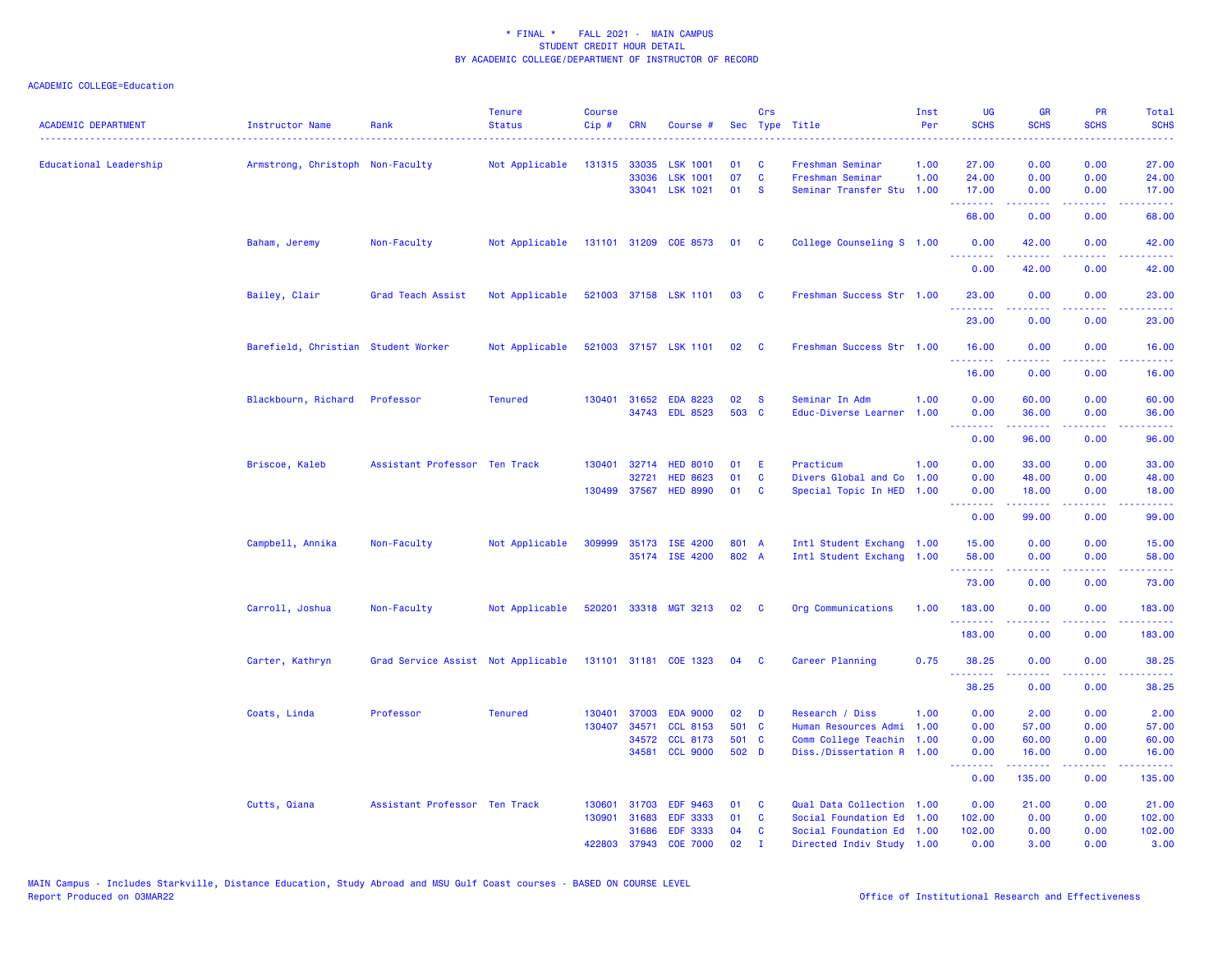| <b>ACADEMIC DEPARTMENT</b> | <b>Instructor Name</b>              | Rank                               | <b>Tenure</b><br><b>Status</b> | <b>Course</b><br>Cip# | <b>CRN</b>     | Course #                           |                | Crs                     | Sec Type Title                                         | Inst<br>Per | <b>UG</b><br><b>SCHS</b>         | <b>GR</b><br><b>SCHS</b> | <b>PR</b><br><b>SCHS</b> | Total<br><b>SCHS</b> |
|----------------------------|-------------------------------------|------------------------------------|--------------------------------|-----------------------|----------------|------------------------------------|----------------|-------------------------|--------------------------------------------------------|-------------|----------------------------------|--------------------------|--------------------------|----------------------|
| Educational Leadership     | Armstrong, Christoph Non-Faculty    |                                    | Not Applicable                 | 131315 33035          |                | <b>LSK 1001</b>                    | 01             | <b>C</b>                | Freshman Seminar                                       | 1.00        | 27.00                            | 0.00                     | 0.00                     | 27.00                |
|                            |                                     |                                    |                                |                       | 33036          | <b>LSK 1001</b>                    | 07             | C                       | Freshman Seminar                                       | 1.00        | 24.00                            | 0.00                     | 0.00                     | 24.00                |
|                            |                                     |                                    |                                |                       |                | 33041 LSK 1021                     | 01             | <b>S</b>                | Seminar Transfer Stu                                   | 1.00        | 17.00<br>.                       | 0.00<br>المتمامين        | 0.00<br>.                | 17.00<br>.           |
|                            |                                     |                                    |                                |                       |                |                                    |                |                         |                                                        |             | 68.00                            | 0.00                     | 0.00                     | 68.00                |
|                            | Baham, Jeremy                       | Non-Faculty                        | Not Applicable                 |                       |                | 131101 31209 COE 8573 01 C         |                |                         | College Counseling S 1.00                              |             | 0.00<br>.                        | 42.00                    | 0.00                     | 42.00                |
|                            |                                     |                                    |                                |                       |                |                                    |                |                         |                                                        |             | 0.00                             | 42.00                    | 0.00                     | 42.00                |
|                            | Bailey, Clair                       | Grad Teach Assist                  | Not Applicable                 |                       |                | 521003 37158 LSK 1101              | 03             | <b>C</b>                | Freshman Success Str 1.00                              |             | 23.00<br>.                       | 0.00<br>$- - - - -$      | 0.00<br>$  -$            | 23.00<br>.           |
|                            |                                     |                                    |                                |                       |                |                                    |                |                         |                                                        |             | 23.00                            | 0.00                     | 0.00                     | 23.00                |
|                            | Barefield, Christian Student Worker |                                    | Not Applicable                 |                       |                | 521003 37157 LSK 1101              | 02             | $\mathbf{C}$            | Freshman Success Str 1.00                              |             | 16.00<br><u> - - - - - - - -</u> | 0.00<br>.                | 0.00<br>.                | 16.00<br>.           |
|                            |                                     |                                    |                                |                       |                |                                    |                |                         |                                                        |             | 16.00                            | 0.00                     | 0.00                     | 16.00                |
|                            | Blackbourn, Richard                 | Professor                          | <b>Tenured</b>                 |                       |                | 130401 31652 EDA 8223              | 02             | <b>S</b>                | Seminar In Adm                                         | 1.00        | 0.00                             | 60.00                    | 0.00                     | 60.00                |
|                            |                                     |                                    |                                |                       |                | 34743 EDL 8523                     | 503 C          |                         | Educ-Diverse Learner                                   | 1.00        | 0.00                             | 36.00                    | 0.00                     | 36.00                |
|                            |                                     |                                    |                                |                       |                |                                    |                |                         |                                                        |             | .<br>0.00                        | .<br>96.00               | .<br>0.00                | .<br>96.00           |
|                            |                                     |                                    |                                |                       |                |                                    |                |                         |                                                        |             |                                  |                          |                          |                      |
|                            | Briscoe, Kaleb                      | Assistant Professor Ten Track      |                                | 130401                | 32714          | <b>HED 8010</b>                    | 01             | Ε                       | Practicum                                              | 1.00        | 0.00                             | 33.00                    | 0.00                     | 33.00                |
|                            |                                     |                                    |                                |                       | 32721          | <b>HED 8623</b>                    | 01             | C                       | Divers Global and Co                                   | 1.00        | 0.00                             | 48.00                    | 0.00                     | 48.00                |
|                            |                                     |                                    |                                |                       | 130499 37567   | <b>HED 8990</b>                    | 01             | <b>C</b>                | Special Topic In HED 1.00                              |             | 0.00<br>.                        | 18.00                    | 0.00<br>.                | 18.00<br>.           |
|                            |                                     |                                    |                                |                       |                |                                    |                |                         |                                                        |             | 0.00                             | 99.00                    | 0.00                     | 99.00                |
|                            | Campbell, Annika                    | Non-Faculty                        | Not Applicable                 | 309999                |                | 35173 ISE 4200                     | 801 A          |                         | Intl Student Exchang 1.00                              |             | 15.00                            | 0.00                     | 0.00                     | 15.00                |
|                            |                                     |                                    |                                |                       |                | 35174 ISE 4200                     | 802 A          |                         | Intl Student Exchang 1.00                              |             | 58.00                            | 0.00                     | 0.00                     | 58.00                |
|                            |                                     |                                    |                                |                       |                |                                    |                |                         |                                                        |             | .<br>73.00                       | 2.2.2.2.2<br>0.00        | .<br>0.00                | .<br>73.00           |
|                            | Carroll, Joshua                     | Non-Faculty                        | Not Applicable                 |                       |                | 520201 33318 MGT 3213 02           |                | $\overline{\mathbf{c}}$ | Org Communications                                     | 1.00        | 183.00                           | 0.00                     | 0.00                     | 183.00               |
|                            |                                     |                                    |                                |                       |                |                                    |                |                         |                                                        |             | .                                | .                        | .                        | <b></b>              |
|                            |                                     |                                    |                                |                       |                |                                    |                |                         |                                                        |             | 183.00                           | 0.00                     | 0.00                     | 183.00               |
|                            | Carter, Kathryn                     | Grad Service Assist Not Applicable |                                |                       |                | 131101 31181 COE 1323              | 04             | $\mathbf{C}$            | Career Planning                                        | 0.75        | 38.25<br>.                       | 0.00                     | 0.00                     | 38.25                |
|                            |                                     |                                    |                                |                       |                |                                    |                |                         |                                                        |             | 38.25                            | 0.00                     | 0.00                     | 38.25                |
|                            | Coats, Linda                        | Professor                          | <b>Tenured</b>                 | 130401                | 37003          | <b>EDA 9000</b>                    | 02             | D                       | Research / Diss                                        | 1.00        | 0.00                             | 2.00                     | 0.00                     | 2.00                 |
|                            |                                     |                                    |                                | 130407                | 34571          | <b>CCL 8153</b>                    | 501 C          |                         | Human Resources Admi                                   | 1.00        | 0.00                             | 57.00                    | 0.00                     | 57.00                |
|                            |                                     |                                    |                                |                       | 34572<br>34581 | <b>CCL 8173</b><br><b>CCL 9000</b> | 501 C<br>502 D |                         | Comm College Teachin 1.00<br>Diss./Dissertation R 1.00 |             | 0.00<br>0.00                     | 60.00<br>16.00           | 0.00<br>0.00             | 60.00<br>16.00       |
|                            |                                     |                                    |                                |                       |                |                                    |                |                         |                                                        |             | .<br>0.00                        | . <u>.</u><br>135.00     | .<br>0.00                | <b></b><br>135.00    |
|                            |                                     |                                    |                                |                       |                |                                    |                |                         |                                                        |             |                                  |                          |                          |                      |
|                            | Cutts, Qiana                        | Assistant Professor Ten Track      |                                | 130601<br>130901      | 31703<br>31683 | <b>EDF 9463</b><br><b>EDF 3333</b> | 01<br>01       | <b>C</b><br>C           | Qual Data Collection 1.00<br>Social Foundation Ed 1.00 |             | 0.00<br>102.00                   | 21.00<br>0.00            | 0.00<br>0.00             | 21.00<br>102.00      |
|                            |                                     |                                    |                                |                       | 31686          | <b>EDF 3333</b>                    | 04             | <b>C</b>                | Social Foundation Ed 1.00                              |             | 102.00                           | 0.00                     | 0.00                     | 102.00               |
|                            |                                     |                                    |                                | 422803                | 37943          | <b>COE 7000</b>                    | 02             | $\mathbf{T}$            | Directed Indiv Study 1.00                              |             | 0.00                             | 3.00                     | 0.00                     | 3.00                 |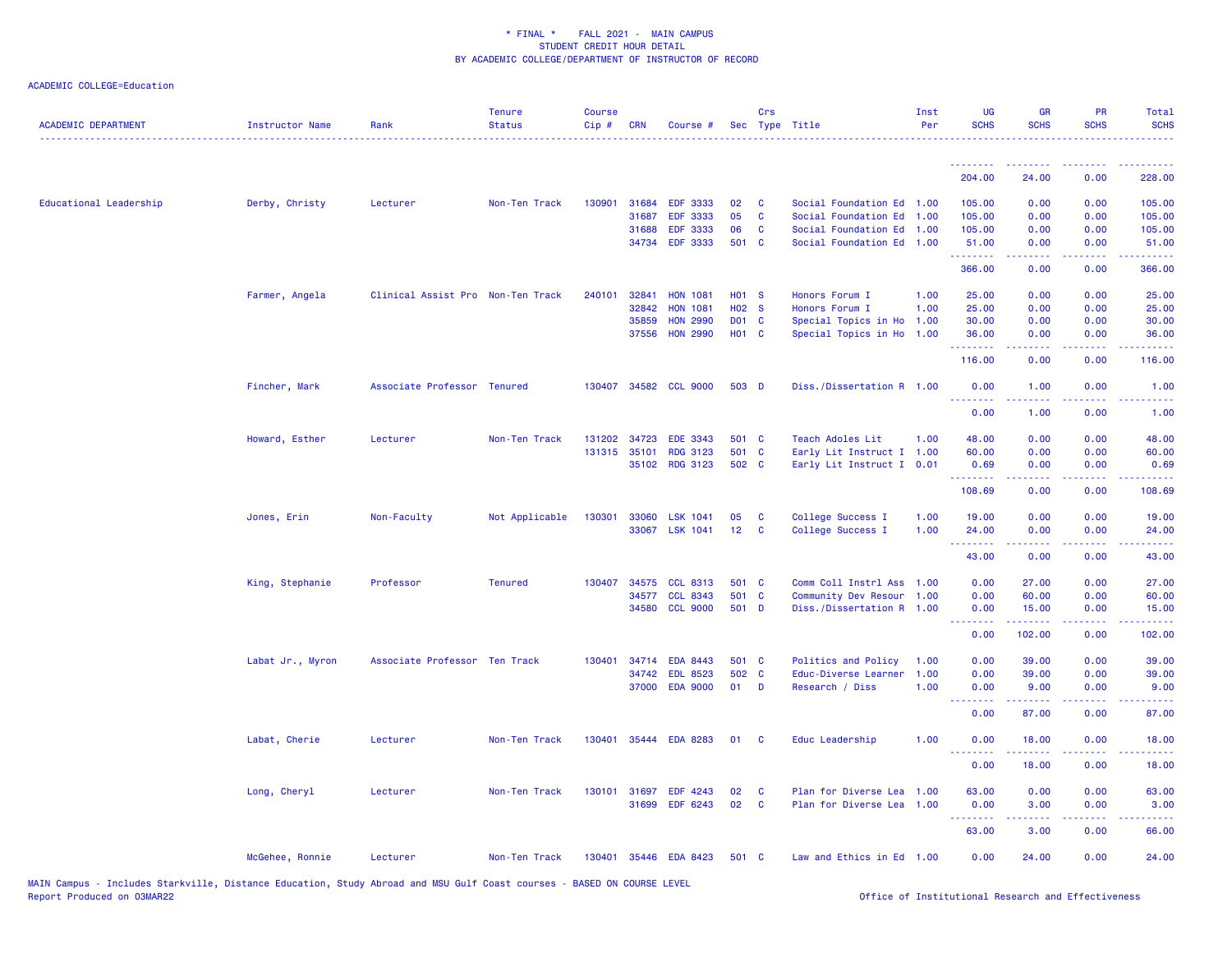| <b>ACADEMIC DEPARTMENT</b> | <b>Instructor Name</b> | Rank                              | <b>Tenure</b><br><b>Status</b> | <b>Course</b><br>$Cip$ # | <b>CRN</b>   | Course #              |                   | Crs          | Sec Type Title            | Inst<br>Per | <b>UG</b><br><b>SCHS</b>            | <b>GR</b><br><b>SCHS</b>                                                                                                          | <b>PR</b><br><b>SCHS</b> | Total<br><b>SCHS</b>     |
|----------------------------|------------------------|-----------------------------------|--------------------------------|--------------------------|--------------|-----------------------|-------------------|--------------|---------------------------|-------------|-------------------------------------|-----------------------------------------------------------------------------------------------------------------------------------|--------------------------|--------------------------|
|                            |                        |                                   |                                |                          |              |                       |                   |              |                           |             | .                                   | .                                                                                                                                 | .                        | .                        |
|                            |                        |                                   |                                |                          |              |                       |                   |              |                           |             | 204.00                              | 24.00                                                                                                                             | 0.00                     | 228.00                   |
| Educational Leadership     | Derby, Christy         | Lecturer                          | Non-Ten Track                  | 130901                   | 31684        | <b>EDF 3333</b>       | 02                | $\mathbf{C}$ | Social Foundation Ed 1.00 |             | 105.00                              | 0.00                                                                                                                              | 0.00                     | 105.00                   |
|                            |                        |                                   |                                |                          | 31687        | <b>EDF 3333</b>       | 05                | <b>C</b>     | Social Foundation Ed 1.00 |             | 105.00                              | 0.00                                                                                                                              | 0.00                     | 105.00                   |
|                            |                        |                                   |                                |                          | 31688        | <b>EDF 3333</b>       | 06                | C            | Social Foundation Ed 1.00 |             | 105.00                              | 0.00                                                                                                                              | 0.00                     | 105.00                   |
|                            |                        |                                   |                                |                          | 34734        | <b>EDF 3333</b>       | 501 C             |              | Social Foundation Ed 1.00 |             | 51.00<br>.                          | 0.00<br>بالأبابات                                                                                                                 | 0.00<br>المتمامين        | 51.00<br>.               |
|                            |                        |                                   |                                |                          |              |                       |                   |              |                           |             | 366.00                              | 0.00                                                                                                                              | 0.00                     | 366.00                   |
|                            | Farmer, Angela         | Clinical Assist Pro Non-Ten Track |                                | 240101                   | 32841        | <b>HON 1081</b>       | H <sub>01</sub> S |              | Honors Forum I            | 1.00        | 25.00                               | 0.00                                                                                                                              | 0.00                     | 25.00                    |
|                            |                        |                                   |                                |                          | 32842        | <b>HON 1081</b>       | H <sub>02</sub> S |              | Honors Forum I            | 1.00        | 25.00                               | 0.00                                                                                                                              | 0.00                     | 25.00                    |
|                            |                        |                                   |                                |                          | 35859        | <b>HON 2990</b>       | DO1 C             |              | Special Topics in Ho      | 1.00        | 30.00                               | 0.00                                                                                                                              | 0.00                     | 30.00                    |
|                            |                        |                                   |                                |                          | 37556        | <b>HON 2990</b>       | H01 C             |              | Special Topics in Ho 1.00 |             | 36.00<br>.                          | 0.00<br>$\frac{1}{2} \left( \frac{1}{2} \right) \left( \frac{1}{2} \right) \left( \frac{1}{2} \right) \left( \frac{1}{2} \right)$ | 0.00<br>.                | 36.00<br>.               |
|                            |                        |                                   |                                |                          |              |                       |                   |              |                           |             | 116.00                              | 0.00                                                                                                                              | 0.00                     | 116.00                   |
|                            | Fincher, Mark          | Associate Professor Tenured       |                                | 130407                   |              | 34582 CCL 9000        | 503 D             |              | Diss./Dissertation R 1.00 |             | 0.00                                | 1.00                                                                                                                              | 0.00                     | 1.00                     |
|                            |                        |                                   |                                |                          |              |                       |                   |              |                           |             | $\sim$ $\sim$ $\sim$ $\sim$<br>0.00 | .<br>1.00                                                                                                                         | المتحدث<br>0.00          | 1.00                     |
|                            | Howard, Esther         | Lecturer                          | Non-Ten Track                  | 131202                   | 34723        | <b>EDE 3343</b>       | 501 C             |              | Teach Adoles Lit          | 1.00        | 48.00                               | 0.00                                                                                                                              | 0.00                     | 48.00                    |
|                            |                        |                                   |                                |                          | 131315 35101 | <b>RDG 3123</b>       | 501 C             |              | Early Lit Instruct I 1.00 |             | 60.00                               | 0.00                                                                                                                              | 0.00                     | 60.00                    |
|                            |                        |                                   |                                |                          | 35102        | <b>RDG 3123</b>       | 502 C             |              | Early Lit Instruct I 0.01 |             | 0.69<br>.                           | 0.00<br>.                                                                                                                         | 0.00<br>.                | 0.69<br><u>.</u>         |
|                            |                        |                                   |                                |                          |              |                       |                   |              |                           |             | 108.69                              | 0.00                                                                                                                              | 0.00                     | 108.69                   |
|                            | Jones, Erin            | Non-Faculty                       | Not Applicable                 | 130301                   | 33060        | <b>LSK 1041</b>       | 05                | $\mathbf{C}$ | College Success I         | 1.00        | 19.00                               | 0.00                                                                                                                              | 0.00                     | 19.00                    |
|                            |                        |                                   |                                |                          | 33067        | <b>LSK 1041</b>       | 12                | $\mathbf{C}$ | College Success I         | 1.00        | 24.00<br>.                          | 0.00<br>.                                                                                                                         | 0.00<br>الدائد الدائد    | 24.00<br>المتمام المتمار |
|                            |                        |                                   |                                |                          |              |                       |                   |              |                           |             | 43.00                               | 0.00                                                                                                                              | 0.00                     | 43.00                    |
|                            | King, Stephanie        | Professor                         | <b>Tenured</b>                 | 130407                   | 34575        | <b>CCL 8313</b>       | 501 C             |              | Comm Coll Instrl Ass 1.00 |             | 0.00                                | 27.00                                                                                                                             | 0.00                     | 27.00                    |
|                            |                        |                                   |                                |                          | 34577        | <b>CCL 8343</b>       | 501 C             |              | Community Dev Resour 1.00 |             | 0.00                                | 60.00                                                                                                                             | 0.00                     | 60.00                    |
|                            |                        |                                   |                                |                          |              | 34580 CCL 9000        | 501 D             |              | Diss./Dissertation R 1.00 |             | 0.00<br>.                           | 15.00<br>د د د د د                                                                                                                | 0.00                     | 15.00<br>.               |
|                            |                        |                                   |                                |                          |              |                       |                   |              |                           |             | 0.00                                | 102.00                                                                                                                            | 0.00                     | 102.00                   |
|                            | Labat Jr., Myron       | Associate Professor Ten Track     |                                | 130401                   | 34714        | <b>EDA 8443</b>       | 501 C             |              | Politics and Policy       | 1.00        | 0.00                                | 39.00                                                                                                                             | 0.00                     | 39.00                    |
|                            |                        |                                   |                                |                          | 34742        | <b>EDL 8523</b>       | 502 C             |              | Educ-Diverse Learner 1.00 |             | 0.00                                | 39.00                                                                                                                             | 0.00                     | 39.00                    |
|                            |                        |                                   |                                |                          | 37000        | <b>EDA 9000</b>       | $01$ D            |              | Research / Diss           | 1.00        | 0.00<br>د د د د                     | 9.00<br>د د د د د                                                                                                                 | 0.00<br>.                | 9.00<br>.                |
|                            |                        |                                   |                                |                          |              |                       |                   |              |                           |             | 0.00                                | 87.00                                                                                                                             | 0.00                     | 87.00                    |
|                            | Labat, Cherie          | Lecturer                          | Non-Ten Track                  | 130401                   | 35444        | <b>EDA 8283</b>       | 01                | $\mathbf{C}$ | Educ Leadership           | 1.00        | 0.00                                | 18.00                                                                                                                             | 0.00                     | 18.00                    |
|                            |                        |                                   |                                |                          |              |                       |                   |              |                           |             | $\sim$ $\sim$ $\sim$<br>.<br>0.00   | 18.00                                                                                                                             | 0.00                     | 18.00                    |
|                            | Long, Cheryl           | Lecturer                          | Non-Ten Track                  |                          | 130101 31697 | EDF 4243              | 02                | $\mathbf{C}$ | Plan for Diverse Lea 1.00 |             | 63.00                               | 0.00                                                                                                                              | 0.00                     | 63.00                    |
|                            |                        |                                   |                                |                          |              | 31699 EDF 6243        | 02                | $\mathbf{C}$ | Plan for Diverse Lea 1.00 |             | 0.00<br><u> - - - - - - - -</u>     | 3.00                                                                                                                              | 0.00                     | 3.00<br>. <u>.</u> .     |
|                            |                        |                                   |                                |                          |              |                       |                   |              |                           |             | 63.00                               | 3.00                                                                                                                              | 0.00                     | 66.00                    |
|                            | McGehee, Ronnie        | Lecturer                          | Non-Ten Track                  |                          |              | 130401 35446 EDA 8423 | 501 C             |              | Law and Ethics in Ed 1.00 |             | 0.00                                | 24.00                                                                                                                             | 0.00                     | 24.00                    |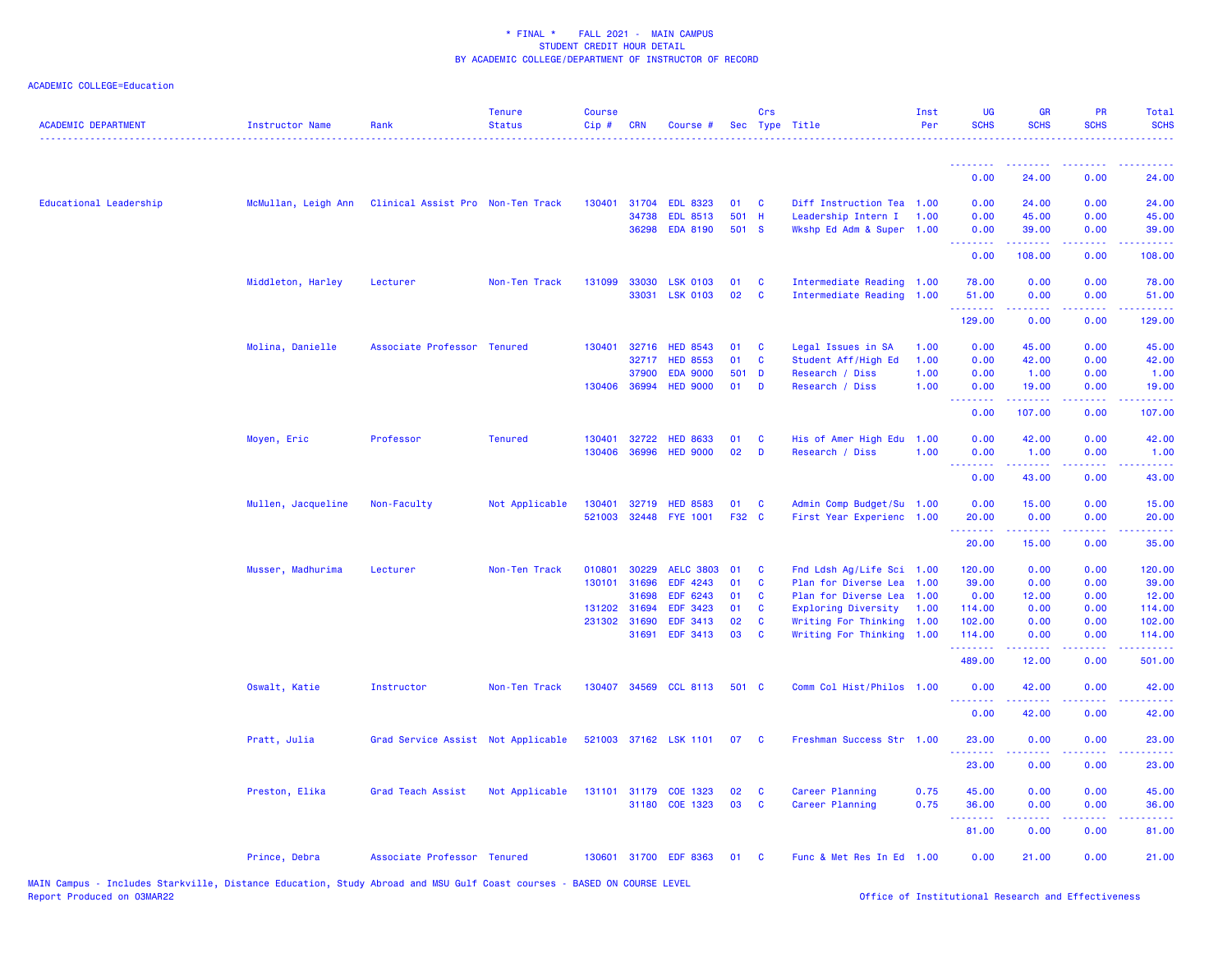| <b>ACADEMIC DEPARTMENT</b> | <b>Instructor Name</b> | Rank                               | <b>Tenure</b><br><b>Status</b> | <b>Course</b><br>Cip# | <b>CRN</b>            | Course #                    |          | Crs      | Sec Type Title                               | Inst<br>Per  | UG<br><b>SCHS</b>                                  | <b>GR</b><br><b>SCHS</b>                                                                                                                                      | <b>PR</b><br><b>SCHS</b>                                                                                                  | Total<br><b>SCHS</b> |
|----------------------------|------------------------|------------------------------------|--------------------------------|-----------------------|-----------------------|-----------------------------|----------|----------|----------------------------------------------|--------------|----------------------------------------------------|---------------------------------------------------------------------------------------------------------------------------------------------------------------|---------------------------------------------------------------------------------------------------------------------------|----------------------|
|                            |                        |                                    |                                |                       |                       |                             |          |          |                                              |              | <u>.</u>                                           | <u> - - - - - - - -</u>                                                                                                                                       | $\frac{1}{2} \left( \frac{1}{2} \right) \left( \frac{1}{2} \right) \left( \frac{1}{2} \right) \left( \frac{1}{2} \right)$ |                      |
|                            |                        |                                    |                                |                       |                       |                             |          |          |                                              |              | 0.00                                               | 24.00                                                                                                                                                         | 0.00                                                                                                                      | 24.00                |
| Educational Leadership     | McMullan, Leigh Ann    | Clinical Assist Pro Non-Ten Track  |                                | 130401                | 31704                 | <b>EDL 8323</b>             | 01       | <b>C</b> | Diff Instruction Tea 1.00                    |              | 0.00                                               | 24.00                                                                                                                                                         | 0.00                                                                                                                      | 24.00                |
|                            |                        |                                    |                                |                       | 34738                 | <b>EDL 8513</b>             | 501 H    |          | Leadership Intern I                          | 1.00         | 0.00                                               | 45.00                                                                                                                                                         | 0.00                                                                                                                      | 45.00                |
|                            |                        |                                    |                                |                       |                       | 36298 EDA 8190              | 501 S    |          | Wkshp Ed Adm & Super 1.00                    |              | 0.00<br><b><i><u><u> - - - - - - -</u></u></i></b> | 39.00<br>.                                                                                                                                                    | 0.00<br>.                                                                                                                 | 39.00<br>.           |
|                            |                        |                                    |                                |                       |                       |                             |          |          |                                              |              | 0.00                                               | 108.00                                                                                                                                                        | 0.00                                                                                                                      | 108.00               |
|                            | Middleton, Harley      | Lecturer                           | Non-Ten Track                  | 131099                | 33030                 | <b>LSK 0103</b>             | 01       | C        | Intermediate Reading 1.00                    |              | 78.00                                              | 0.00                                                                                                                                                          | 0.00                                                                                                                      | 78.00                |
|                            |                        |                                    |                                |                       | 33031                 | <b>LSK 0103</b>             | 02       | C        | Intermediate Reading 1.00                    |              | 51.00<br>.                                         | 0.00<br>.                                                                                                                                                     | 0.00<br>$\sim$ $\sim$ $\sim$                                                                                              | 51.00<br>.           |
|                            |                        |                                    |                                |                       |                       |                             |          |          |                                              |              | 129.00                                             | 0.00                                                                                                                                                          | 0.00                                                                                                                      | 129.00               |
|                            | Molina, Danielle       | Associate Professor Tenured        |                                | 130401                | 32716                 | <b>HED 8543</b>             | 01       | C        | Legal Issues in SA                           | 1.00         | 0.00                                               | 45.00                                                                                                                                                         | 0.00                                                                                                                      | 45.00                |
|                            |                        |                                    |                                |                       | 32717                 | <b>HED 8553</b>             | 01       | C        | Student Aff/High Ed                          | 1.00         | 0.00                                               | 42.00                                                                                                                                                         | 0.00                                                                                                                      | 42.00                |
|                            |                        |                                    |                                |                       | 37900                 | <b>EDA 9000</b>             | 501 D    |          | Research / Diss                              | 1.00         | 0.00                                               | 1.00                                                                                                                                                          | 0.00                                                                                                                      | 1.00                 |
|                            |                        |                                    |                                |                       | 130406 36994          | <b>HED 9000</b>             | 01       | D        | Research / Diss                              | 1.00         | 0.00<br><u>.</u>                                   | 19.00<br><u>.</u>                                                                                                                                             | 0.00<br>.                                                                                                                 | 19.00<br><u>.</u>    |
|                            |                        |                                    |                                |                       |                       |                             |          |          |                                              |              | 0.00                                               | 107.00                                                                                                                                                        | 0.00                                                                                                                      | 107.00               |
|                            | Moyen, Eric            | Professor                          | <b>Tenured</b>                 | 130401                | 32722                 | <b>HED 8633</b>             | 01       | <b>C</b> | His of Amer High Edu                         | 1.00         | 0.00                                               | 42.00                                                                                                                                                         | 0.00                                                                                                                      | 42.00                |
|                            |                        |                                    |                                | 130406                | 36996                 | <b>HED 9000</b>             | 02       | D        | Research / Diss                              | 1.00         | 0.00                                               | 1.00                                                                                                                                                          | 0.00                                                                                                                      | 1.00                 |
|                            |                        |                                    |                                |                       |                       |                             |          |          |                                              |              | <u>.</u><br>0.00                                   | $\frac{1}{2} \left( \frac{1}{2} \right) \left( \frac{1}{2} \right) \left( \frac{1}{2} \right) \left( \frac{1}{2} \right) \left( \frac{1}{2} \right)$<br>43.00 | 0.00                                                                                                                      | وساعات<br>43.00      |
|                            | Mullen, Jacqueline     | Non-Faculty                        | Not Applicable                 |                       | 130401 32719          | <b>HED 8583</b>             | 01       | C        | Admin Comp Budget/Su 1.00                    |              | 0.00                                               | 15.00                                                                                                                                                         | 0.00                                                                                                                      | 15.00                |
|                            |                        |                                    |                                |                       |                       | 521003 32448 FYE 1001       | F32 C    |          | First Year Experienc 1.00                    |              | 20.00                                              | 0.00                                                                                                                                                          | 0.00                                                                                                                      | 20.00                |
|                            |                        |                                    |                                |                       |                       |                             |          |          |                                              |              | .                                                  | .                                                                                                                                                             | .                                                                                                                         | .                    |
|                            |                        |                                    |                                |                       |                       |                             |          |          |                                              |              | 20.00                                              | 15.00                                                                                                                                                         | 0.00                                                                                                                      | 35.00                |
|                            | Musser, Madhurima      | Lecturer                           | Non-Ten Track                  | 010801                | 30229                 | <b>AELC 3803</b>            | 01       | <b>C</b> | Fnd Ldsh Ag/Life Sci 1.00                    |              | 120.00                                             | 0.00                                                                                                                                                          | 0.00                                                                                                                      | 120.00               |
|                            |                        |                                    |                                | 130101                | 31696                 | EDF 4243                    | 01       | C        | Plan for Diverse Lea                         | 1.00         | 39.00                                              | 0.00                                                                                                                                                          | 0.00                                                                                                                      | 39.00                |
|                            |                        |                                    |                                |                       | 31698                 | EDF 6243                    | 01       | <b>C</b> | Plan for Diverse Lea                         | 1.00         | 0.00                                               | 12.00                                                                                                                                                         | 0.00                                                                                                                      | 12.00                |
|                            |                        |                                    |                                |                       | 131202 31694          | <b>EDF 3423</b>             | 01<br>02 | C        | Exploring Diversity                          | 1.00         | 114.00                                             | 0.00                                                                                                                                                          | 0.00                                                                                                                      | 114.00               |
|                            |                        |                                    |                                |                       | 231302 31690<br>31691 | <b>EDF 3413</b><br>EDF 3413 | 03       | C<br>C   | Writing For Thinking<br>Writing For Thinking | 1.00<br>1.00 | 102.00<br>114.00                                   | 0.00<br>0.00                                                                                                                                                  | 0.00<br>0.00                                                                                                              | 102.00<br>114.00     |
|                            |                        |                                    |                                |                       |                       |                             |          |          |                                              |              | <u>.</u><br>489.00                                 | 12.00                                                                                                                                                         | 0.00                                                                                                                      | 501.00               |
|                            | Oswalt, Katie          | Instructor                         | Non-Ten Track                  |                       |                       | 130407 34569 CCL 8113       | 501 C    |          | Comm Col Hist/Philos 1.00                    |              | 0.00                                               | 42.00                                                                                                                                                         | 0.00                                                                                                                      | 42.00                |
|                            |                        |                                    |                                |                       |                       |                             |          |          |                                              |              | <u>.</u>                                           |                                                                                                                                                               |                                                                                                                           | .                    |
|                            |                        |                                    |                                |                       |                       |                             |          |          |                                              |              | 0.00                                               | 42.00                                                                                                                                                         | 0.00                                                                                                                      | 42.00                |
|                            | Pratt, Julia           | Grad Service Assist Not Applicable |                                |                       |                       | 521003 37162 LSK 1101       | 07       | - C      | Freshman Success Str 1.00                    |              | 23.00<br><u>.</u>                                  | 0.00                                                                                                                                                          | 0.00                                                                                                                      | 23.00                |
|                            |                        |                                    |                                |                       |                       |                             |          |          |                                              |              | 23.00                                              | 0.00                                                                                                                                                          | 0.00                                                                                                                      | 23.00                |
|                            | Preston, Elika         | Grad Teach Assist                  | Not Applicable                 |                       |                       | 131101 31179 COE 1323       | 02       | C        | Career Planning                              | 0.75         | 45.00                                              | 0.00                                                                                                                                                          | 0.00                                                                                                                      | 45.00                |
|                            |                        |                                    |                                |                       |                       | 31180 COE 1323              | 03       | C        | Career Planning                              | 0.75         | 36.00                                              | 0.00                                                                                                                                                          | 0.00                                                                                                                      | 36.00                |
|                            |                        |                                    |                                |                       |                       |                             |          |          |                                              |              | --------<br>81.00                                  | $\frac{1}{2} \left( \frac{1}{2} \right) \left( \frac{1}{2} \right) \left( \frac{1}{2} \right) \left( \frac{1}{2} \right) \left( \frac{1}{2} \right)$<br>0.00  | .<br>0.00                                                                                                                 | .<br>81.00           |
|                            | Prince, Debra          | Associate Professor Tenured        |                                |                       |                       | 130601 31700 EDF 8363       | 01       | <b>C</b> | Func & Met Res In Ed 1.00                    |              | 0.00                                               | 21.00                                                                                                                                                         | 0.00                                                                                                                      | 21.00                |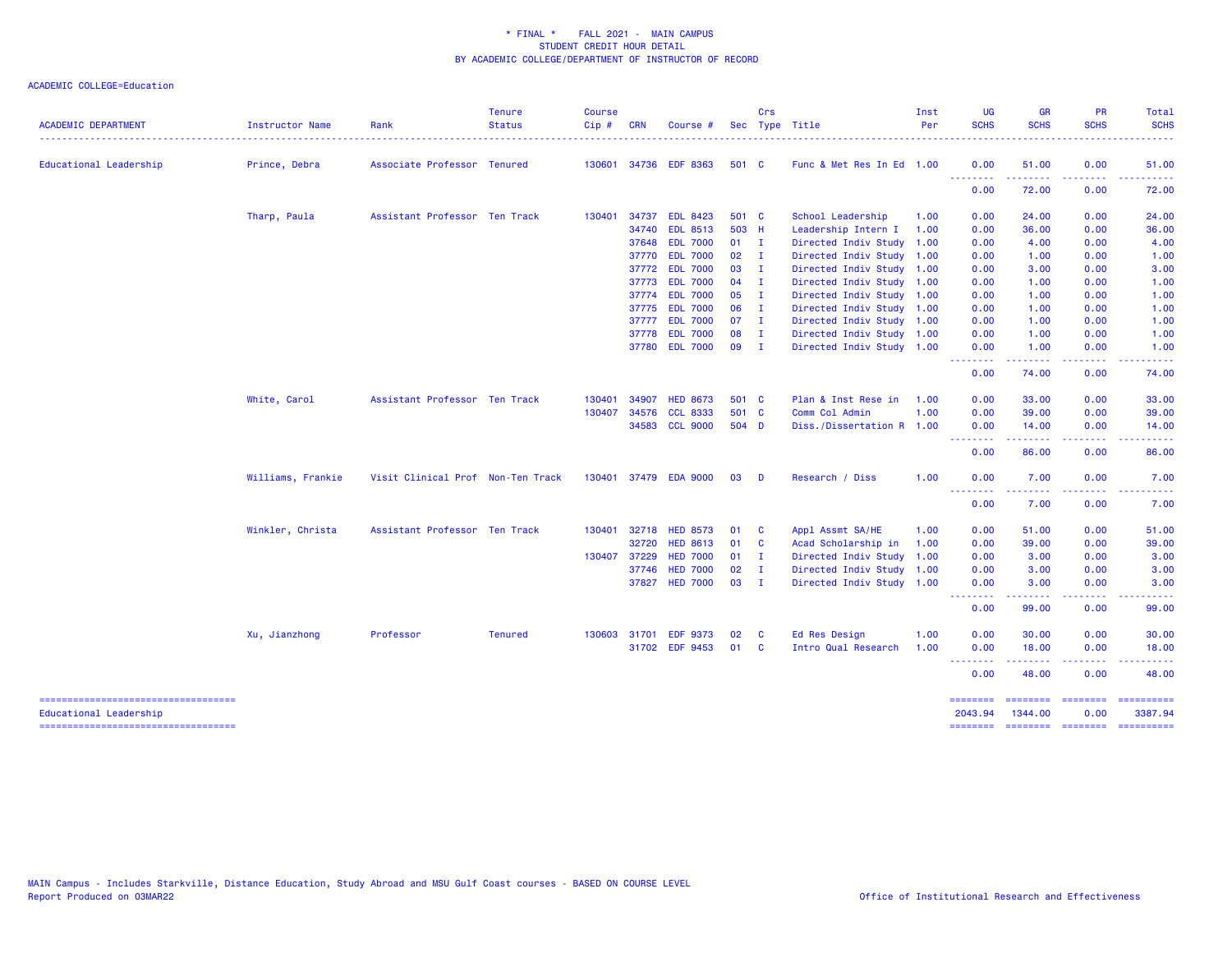| <b>ACADEMIC DEPARTMENT</b>                                      | Instructor Name   | Rank                              | <b>Tenure</b><br><b>Status</b> | <b>Course</b><br>Cip# | <b>CRN</b>     | Course                             |                         | Crs            | Sec Type Title                                         | Inst<br>Per | <b>UG</b><br><b>SCHS</b> | <b>GR</b><br><b>SCHS</b>                                                                                                                                      | <b>PR</b><br><b>SCHS</b> | Total<br><b>SCHS</b>  |
|-----------------------------------------------------------------|-------------------|-----------------------------------|--------------------------------|-----------------------|----------------|------------------------------------|-------------------------|----------------|--------------------------------------------------------|-------------|--------------------------|---------------------------------------------------------------------------------------------------------------------------------------------------------------|--------------------------|-----------------------|
| Educational Leadership                                          | Prince, Debra     | Associate Professor Tenured       |                                |                       |                | 130601 34736 EDF 8363              | 501 C                   |                | Func & Met Res In Ed 1.00                              |             | 0.00                     | 51.00                                                                                                                                                         | 0.00                     | 51.00                 |
|                                                                 |                   |                                   |                                |                       |                |                                    |                         |                |                                                        |             | <u>.</u><br>0.00         | .<br>72.00                                                                                                                                                    | .<br>0.00                | .<br>72.00            |
|                                                                 | Tharp, Paula      | Assistant Professor Ten Track     |                                | 130401                | 34737          | <b>EDL 8423</b>                    | 501 C                   |                | School Leadership                                      | 1.00        | 0.00                     | 24.00                                                                                                                                                         | 0.00                     | 24.00                 |
|                                                                 |                   |                                   |                                |                       | 34740          | <b>EDL 8513</b>                    | 503 H                   |                | Leadership Intern I                                    | 1.00        | 0.00                     | 36.00                                                                                                                                                         | 0.00                     | 36.00                 |
|                                                                 |                   |                                   |                                |                       | 37648<br>37770 | <b>EDL 7000</b><br><b>EDL 7000</b> | $01$ I<br>$02 \qquad I$ |                | Directed Indiv Study 1.00                              |             | 0.00<br>0.00             | 4.00                                                                                                                                                          | 0.00<br>0.00             | 4.00<br>1.00          |
|                                                                 |                   |                                   |                                |                       | 37772          | <b>EDL 7000</b>                    | 03 I                    |                | Directed Indiv Study 1.00<br>Directed Indiv Study 1.00 |             | 0.00                     | 1.00<br>3.00                                                                                                                                                  | 0.00                     | 3.00                  |
|                                                                 |                   |                                   |                                |                       |                | 37773 EDL 7000                     | $04$ I                  |                | Directed Indiv Study 1.00                              |             | 0.00                     | 1.00                                                                                                                                                          | 0.00                     | 1.00                  |
|                                                                 |                   |                                   |                                |                       | 37774          | <b>EDL 7000</b>                    | $05$ I                  |                | Directed Indiv Study 1.00                              |             | 0.00                     | 1.00                                                                                                                                                          | 0.00                     | 1.00                  |
|                                                                 |                   |                                   |                                |                       | 37775          | <b>EDL 7000</b>                    | $06$ I                  |                | Directed Indiv Study 1.00                              |             | 0.00                     | 1.00                                                                                                                                                          | 0.00                     | 1.00                  |
|                                                                 |                   |                                   |                                |                       | 37777          | <b>EDL 7000</b>                    | 07                      | $\blacksquare$ | Directed Indiv Study 1.00                              |             | 0.00                     | 1.00                                                                                                                                                          | 0.00                     | 1.00                  |
|                                                                 |                   |                                   |                                |                       | 37778          | <b>EDL 7000</b>                    | 08                      | – I            | Directed Indiv Study 1.00                              |             | 0.00                     | 1.00                                                                                                                                                          | 0.00                     | 1.00                  |
|                                                                 |                   |                                   |                                |                       |                | 37780 EDL 7000                     | 09 I                    |                | Directed Indiv Study 1.00                              |             | 0.00                     | 1.00                                                                                                                                                          | 0.00                     | 1.00                  |
|                                                                 |                   |                                   |                                |                       |                |                                    |                         |                |                                                        |             | .<br>0.00                | $\frac{1}{2} \left( \frac{1}{2} \right) \left( \frac{1}{2} \right) \left( \frac{1}{2} \right) \left( \frac{1}{2} \right) \left( \frac{1}{2} \right)$<br>74.00 | .<br>0.00                | . <b>.</b> .<br>74.00 |
|                                                                 | White, Carol      | Assistant Professor Ten Track     |                                | 130401                | 34907          | <b>HED 8673</b>                    | 501 C                   |                | Plan & Inst Rese in                                    | 1.00        | 0.00                     | 33.00                                                                                                                                                         | 0.00                     | 33.00                 |
|                                                                 |                   |                                   |                                | 130407                | 34576          | <b>CCL 8333</b>                    | 501 C                   |                | Comm Col Admin                                         | 1.00        | 0.00                     | 39.00                                                                                                                                                         | 0.00                     | 39.00                 |
|                                                                 |                   |                                   |                                |                       |                | 34583 CCL 9000                     | 504 D                   |                | Diss./Dissertation R 1.00                              |             | 0.00<br><u>.</u>         | 14.00                                                                                                                                                         | 0.00                     | 14.00                 |
|                                                                 |                   |                                   |                                |                       |                |                                    |                         |                |                                                        |             | 0.00                     | 86.00                                                                                                                                                         | 0.00                     | 86.00                 |
|                                                                 | Williams, Frankie | Visit Clinical Prof Non-Ten Track |                                |                       |                | 130401 37479 EDA 9000              | 03                      | <b>D</b>       | Research / Diss                                        | 1.00        | 0.00<br>.                | 7.00                                                                                                                                                          | 0.00<br>.                | 7.00                  |
|                                                                 |                   |                                   |                                |                       |                |                                    |                         |                |                                                        |             | 0.00                     | 7.00                                                                                                                                                          | 0.00                     | 7.00                  |
|                                                                 | Winkler, Christa  | Assistant Professor Ten Track     |                                |                       | 130401 32718   | <b>HED 8573</b>                    | 01                      | $\mathbf{C}$   | Appl Assmt SA/HE                                       | 1.00        | 0.00                     | 51.00                                                                                                                                                         | 0.00                     | 51.00                 |
|                                                                 |                   |                                   |                                |                       | 32720          | <b>HED 8613</b>                    | 01                      | $\mathbf{C}$   | Acad Scholarship in                                    | 1.00        | 0.00                     | 39.00                                                                                                                                                         | 0.00                     | 39.00                 |
|                                                                 |                   |                                   |                                | 130407 37229          |                | <b>HED 7000</b>                    | 01                      | – I            | Directed Indiv Study 1.00                              |             | 0.00                     | 3.00                                                                                                                                                          | 0.00                     | 3.00                  |
|                                                                 |                   |                                   |                                |                       | 37746          | <b>HED 7000</b>                    | 02                      | $\blacksquare$ | Directed Indiv Study 1.00                              |             | 0.00                     | 3.00                                                                                                                                                          | 0.00                     | 3.00                  |
|                                                                 |                   |                                   |                                |                       |                | 37827 HED 7000                     | 03 I                    |                | Directed Indiv Study 1.00                              |             | 0.00<br><b>.</b> .       | 3.00<br>المستمالات                                                                                                                                            | 0.00<br>.                | 3.00<br>.             |
|                                                                 |                   |                                   |                                |                       |                |                                    |                         |                |                                                        |             | 0.00                     | 99.00                                                                                                                                                         | 0.00                     | 99.00                 |
|                                                                 | Xu, Jianzhong     | Professor                         | <b>Tenured</b>                 |                       | 130603 31701   | <b>EDF 9373</b>                    | 02                      | - C            | Ed Res Design                                          | 1.00        | 0.00                     | 30.00                                                                                                                                                         | 0.00                     | 30.00                 |
|                                                                 |                   |                                   |                                |                       |                | 31702 EDF 9453                     | 01                      | <b>C</b>       | Intro Qual Research                                    | 1.00        | 0.00<br>--------         | 18.00<br>.                                                                                                                                                    | 0.00<br>.                | 18.00<br>------       |
|                                                                 |                   |                                   |                                |                       |                |                                    |                         |                |                                                        |             | 0.00                     | 48.00                                                                                                                                                         | 0.00                     | 48.00                 |
| =====================================<br>Educational Leadership |                   |                                   |                                |                       |                |                                    |                         |                |                                                        |             | 2043.94                  | ======== ======== ======== =========<br>1344.00                                                                                                               | 0.00                     | 3387.94               |
| =====================================                           |                   |                                   |                                |                       |                |                                    |                         |                |                                                        |             | ========                 |                                                                                                                                                               |                          |                       |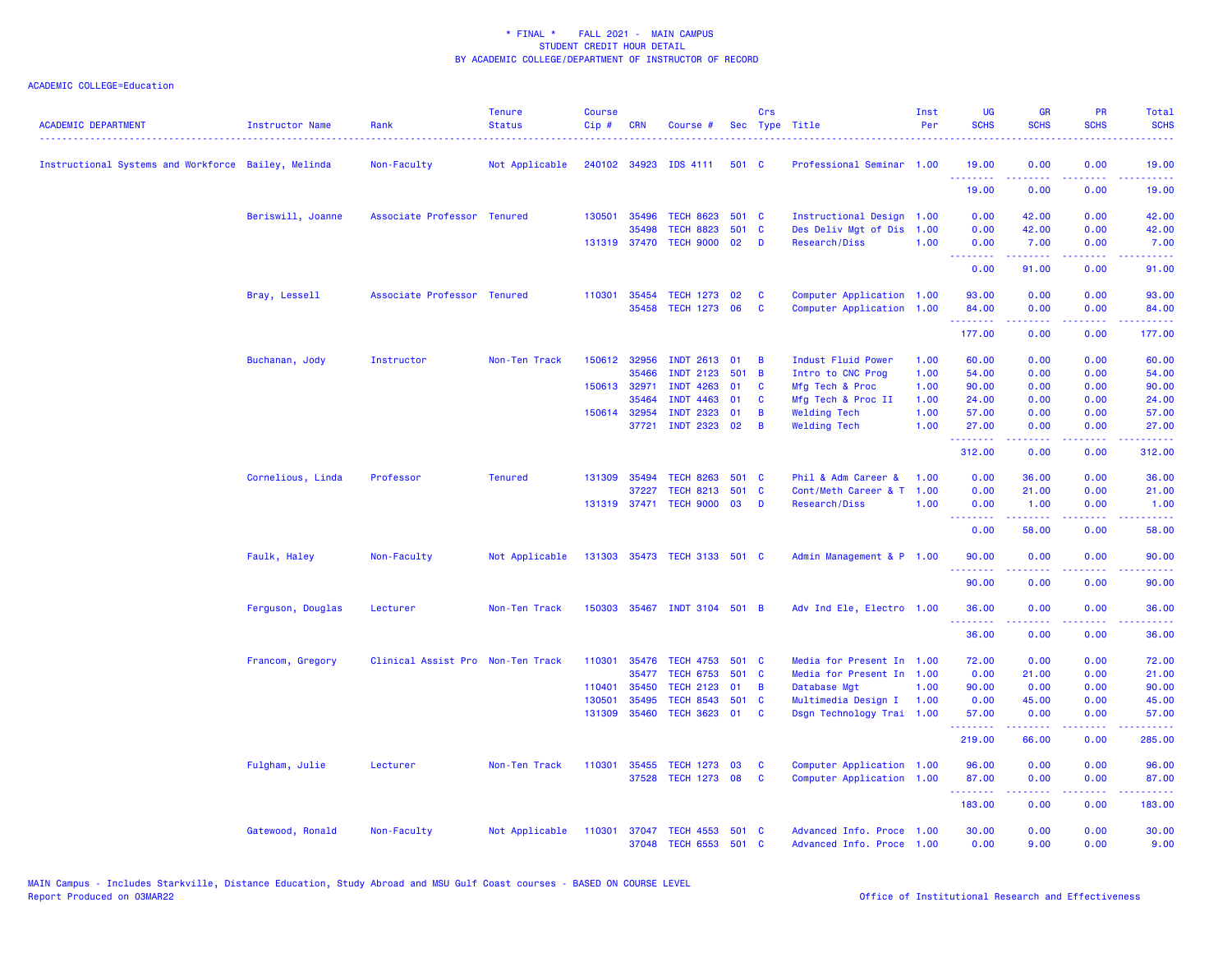| <b>ACADEMIC DEPARTMENT</b>                          | Instructor Name   | Rank                              | <b>Tenure</b><br><b>Status</b> | <b>Course</b><br>$Cip \#$ | <b>CRN</b>            | Course #                                |              | Crs             | Sec Type Title                                   | Inst<br>Per  | <b>UG</b><br><b>SCHS</b>                                                                                                                                                                                                                                                                                                                                                                                                                                                                       | <b>GR</b><br><b>SCHS</b> | <b>PR</b><br><b>SCHS</b> | Total<br><b>SCHS</b><br>$\frac{1}{2} \left( \frac{1}{2} \right) \left( \frac{1}{2} \right) \left( \frac{1}{2} \right) \left( \frac{1}{2} \right)$ |
|-----------------------------------------------------|-------------------|-----------------------------------|--------------------------------|---------------------------|-----------------------|-----------------------------------------|--------------|-----------------|--------------------------------------------------|--------------|------------------------------------------------------------------------------------------------------------------------------------------------------------------------------------------------------------------------------------------------------------------------------------------------------------------------------------------------------------------------------------------------------------------------------------------------------------------------------------------------|--------------------------|--------------------------|---------------------------------------------------------------------------------------------------------------------------------------------------|
| Instructional Systems and Workforce Bailey, Melinda |                   | Non-Faculty                       | Not Applicable                 |                           | 240102 34923          | IDS 4111                                | 501 C        |                 | Professional Seminar 1.00                        |              | 19.00<br>.                                                                                                                                                                                                                                                                                                                                                                                                                                                                                     | 0.00<br>22222            | 0.00                     | 19.00<br>.                                                                                                                                        |
|                                                     |                   |                                   |                                |                           |                       |                                         |              |                 |                                                  |              | 19.00                                                                                                                                                                                                                                                                                                                                                                                                                                                                                          | 0.00                     | 0.00                     | 19.00                                                                                                                                             |
|                                                     | Beriswill, Joanne | Associate Professor Tenured       |                                |                           | 130501 35496          | <b>TECH 8623</b>                        | 501 C        |                 | Instructional Design 1.00                        |              | 0.00                                                                                                                                                                                                                                                                                                                                                                                                                                                                                           | 42.00                    | 0.00                     | 42.00                                                                                                                                             |
|                                                     |                   |                                   |                                |                           | 35498<br>131319 37470 | <b>TECH 8823</b><br><b>TECH 9000</b>    | 501 C<br>02  | $\mathbf{D}$    | Des Deliv Mgt of Dis<br>Research/Diss            | 1.00<br>1.00 | 0.00<br>0.00                                                                                                                                                                                                                                                                                                                                                                                                                                                                                   | 42.00<br>7.00            | 0.00<br>0.00             | 42.00<br>7.00                                                                                                                                     |
|                                                     |                   |                                   |                                |                           |                       |                                         |              |                 |                                                  |              | $\begin{array}{cccccccccccccc} \multicolumn{2}{c}{} & \multicolumn{2}{c}{} & \multicolumn{2}{c}{} & \multicolumn{2}{c}{} & \multicolumn{2}{c}{} & \multicolumn{2}{c}{} & \multicolumn{2}{c}{} & \multicolumn{2}{c}{} & \multicolumn{2}{c}{} & \multicolumn{2}{c}{} & \multicolumn{2}{c}{} & \multicolumn{2}{c}{} & \multicolumn{2}{c}{} & \multicolumn{2}{c}{} & \multicolumn{2}{c}{} & \multicolumn{2}{c}{} & \multicolumn{2}{c}{} & \multicolumn{2}{c}{} & \multicolumn{2}{c}{} & \$         | $- - - - -$              |                          | .                                                                                                                                                 |
|                                                     |                   |                                   |                                |                           |                       |                                         |              |                 |                                                  |              | 0.00                                                                                                                                                                                                                                                                                                                                                                                                                                                                                           | 91.00                    | 0.00                     | 91.00                                                                                                                                             |
|                                                     | Bray, Lessell     | Associate Professor Tenured       |                                |                           | 110301 35454          | <b>TECH 1273</b>                        | 02           | C               | Computer Application 1.00                        |              | 93.00                                                                                                                                                                                                                                                                                                                                                                                                                                                                                          | 0.00                     | 0.00                     | 93.00                                                                                                                                             |
|                                                     |                   |                                   |                                |                           | 35458                 | TECH 1273 06                            |              | <b>C</b>        | Computer Application 1.00                        |              | 84.00<br>.                                                                                                                                                                                                                                                                                                                                                                                                                                                                                     | 0.00<br>22222            | 0.00<br>.                | 84.00<br>.                                                                                                                                        |
|                                                     |                   |                                   |                                |                           |                       |                                         |              |                 |                                                  |              | 177.00                                                                                                                                                                                                                                                                                                                                                                                                                                                                                         | 0.00                     | 0.00                     | 177.00                                                                                                                                            |
|                                                     | Buchanan, Jody    | Instructor                        | Non-Ten Track                  |                           | 150612 32956          | INDT 2613 01                            |              | B               | Indust Fluid Power                               | 1.00         | 60.00                                                                                                                                                                                                                                                                                                                                                                                                                                                                                          | 0.00                     | 0.00                     | 60.00                                                                                                                                             |
|                                                     |                   |                                   |                                |                           | 35466                 | <b>INDT 2123</b>                        | 501          | <b>B</b>        | Intro to CNC Prog                                | 1.00         | 54.00                                                                                                                                                                                                                                                                                                                                                                                                                                                                                          | 0.00                     | 0.00                     | 54.00                                                                                                                                             |
|                                                     |                   |                                   |                                |                           | 150613 32971          | <b>INDT 4263</b>                        | 01           | C               | Mfg Tech & Proc                                  | 1.00         | 90.00                                                                                                                                                                                                                                                                                                                                                                                                                                                                                          | 0.00                     | 0.00                     | 90.00                                                                                                                                             |
|                                                     |                   |                                   |                                |                           | 35464<br>150614 32954 | 4463<br><b>INDT</b><br><b>INDT 2323</b> | 01<br>01     | C<br>B          | Mfg Tech & Proc II<br><b>Welding Tech</b>        | 1.00<br>1.00 | 24.00<br>57.00                                                                                                                                                                                                                                                                                                                                                                                                                                                                                 | 0.00<br>0.00             | 0.00<br>0.00             | 24.00<br>57.00                                                                                                                                    |
|                                                     |                   |                                   |                                |                           | 37721                 | <b>INDT 2323</b>                        | 02           | B               | <b>Welding Tech</b>                              | 1.00         | 27.00                                                                                                                                                                                                                                                                                                                                                                                                                                                                                          | 0.00                     | 0.00                     | 27.00                                                                                                                                             |
|                                                     |                   |                                   |                                |                           |                       |                                         |              |                 |                                                  |              | .<br>312.00                                                                                                                                                                                                                                                                                                                                                                                                                                                                                    | 0.00                     | 0.00                     | 312.00                                                                                                                                            |
|                                                     |                   |                                   |                                |                           |                       |                                         |              |                 |                                                  |              |                                                                                                                                                                                                                                                                                                                                                                                                                                                                                                |                          |                          |                                                                                                                                                   |
|                                                     | Cornelious, Linda | Professor                         | <b>Tenured</b>                 |                           | 131309 35494<br>37227 | <b>TECH 8263</b><br><b>TECH 8213</b>    | 501 C<br>501 | <b>C</b>        | Phil & Adm Career &<br>Cont/Meth Career & T      | 1.00<br>1.00 | 0.00<br>0.00                                                                                                                                                                                                                                                                                                                                                                                                                                                                                   | 36.00<br>21.00           | 0.00<br>0.00             | 36.00<br>21.00                                                                                                                                    |
|                                                     |                   |                                   |                                |                           |                       | 131319 37471 TECH 9000                  | 03           | D               | Research/Diss                                    | 1.00         | 0.00                                                                                                                                                                                                                                                                                                                                                                                                                                                                                           | 1.00                     | 0.00                     | 1.00                                                                                                                                              |
|                                                     |                   |                                   |                                |                           |                       |                                         |              |                 |                                                  |              | $\begin{array}{cccccccccc} \multicolumn{2}{c}{} & \multicolumn{2}{c}{} & \multicolumn{2}{c}{} & \multicolumn{2}{c}{} & \multicolumn{2}{c}{} & \multicolumn{2}{c}{} & \multicolumn{2}{c}{} & \multicolumn{2}{c}{} & \multicolumn{2}{c}{} & \multicolumn{2}{c}{} & \multicolumn{2}{c}{} & \multicolumn{2}{c}{} & \multicolumn{2}{c}{} & \multicolumn{2}{c}{} & \multicolumn{2}{c}{} & \multicolumn{2}{c}{} & \multicolumn{2}{c}{} & \multicolumn{2}{c}{} & \multicolumn{2}{c}{} & \mult$<br>0.00 | المتمام المتمار<br>58.00 | .<br>0.00                | .<br>58.00                                                                                                                                        |
|                                                     | Faulk, Haley      | Non-Faculty                       | Not Applicable                 |                           |                       | 131303 35473 TECH 3133 501 C            |              |                 | Admin Management & P 1.00                        |              | 90.00                                                                                                                                                                                                                                                                                                                                                                                                                                                                                          | 0.00                     | 0.00                     | 90.00                                                                                                                                             |
|                                                     |                   |                                   |                                |                           |                       |                                         |              |                 |                                                  |              | .<br>90.00                                                                                                                                                                                                                                                                                                                                                                                                                                                                                     | <u>.</u><br>0.00         | .<br>0.00                | .<br>90.00                                                                                                                                        |
|                                                     | Ferguson, Douglas | Lecturer                          | Non-Ten Track                  |                           |                       | 150303 35467 INDT 3104 501 B            |              |                 | Adv Ind Ele, Electro 1.00                        |              | 36.00                                                                                                                                                                                                                                                                                                                                                                                                                                                                                          | 0.00                     | 0.00                     | 36.00                                                                                                                                             |
|                                                     |                   |                                   |                                |                           |                       |                                         |              |                 |                                                  |              | .                                                                                                                                                                                                                                                                                                                                                                                                                                                                                              | 22222                    | .                        | .                                                                                                                                                 |
|                                                     |                   |                                   |                                |                           |                       |                                         |              |                 |                                                  |              | 36.00                                                                                                                                                                                                                                                                                                                                                                                                                                                                                          | 0.00                     | 0.00                     | 36.00                                                                                                                                             |
|                                                     | Francom, Gregory  | Clinical Assist Pro Non-Ten Track |                                | 110301                    | 35476                 | <b>TECH 4753</b>                        | 501          | <b>C</b>        | Media for Present In 1.00                        |              | 72.00                                                                                                                                                                                                                                                                                                                                                                                                                                                                                          | 0.00                     | 0.00                     | 72.00                                                                                                                                             |
|                                                     |                   |                                   |                                |                           | 35477                 | <b>TECH 6753</b>                        | 501          | <b>C</b>        | Media for Present In 1.00                        |              | 0.00                                                                                                                                                                                                                                                                                                                                                                                                                                                                                           | 21.00                    | 0.00                     | 21.00                                                                                                                                             |
|                                                     |                   |                                   |                                | 110401                    | 35450                 | TECH 2123 01                            |              | B               | Database Mgt                                     | 1.00         | 90.00                                                                                                                                                                                                                                                                                                                                                                                                                                                                                          | 0.00                     | 0.00                     | 90.00                                                                                                                                             |
|                                                     |                   |                                   |                                | 130501                    | 35495<br>131309 35460 | <b>TECH 8543</b><br>TECH 3623 01        | 501          | - C<br><b>C</b> | Multimedia Design I<br>Dsgn Technology Trai 1.00 | 1.00         | 0.00<br>57.00                                                                                                                                                                                                                                                                                                                                                                                                                                                                                  | 45.00<br>0.00            | 0.00<br>0.00             | 45.00<br>57.00                                                                                                                                    |
|                                                     |                   |                                   |                                |                           |                       |                                         |              |                 |                                                  |              | .                                                                                                                                                                                                                                                                                                                                                                                                                                                                                              | .                        | . <b>.</b> .             | .                                                                                                                                                 |
|                                                     |                   |                                   |                                |                           |                       |                                         |              |                 |                                                  |              | 219.00                                                                                                                                                                                                                                                                                                                                                                                                                                                                                         | 66.00                    | 0.00                     | 285.00                                                                                                                                            |
|                                                     | Fulgham, Julie    | Lecturer                          | Non-Ten Track                  | 110301                    | 35455                 | <b>TECH 1273 03</b>                     |              | C               | Computer Application 1.00                        |              | 96.00                                                                                                                                                                                                                                                                                                                                                                                                                                                                                          | 0.00                     | 0.00                     | 96.00                                                                                                                                             |
|                                                     |                   |                                   |                                |                           | 37528                 | TECH 1273 08                            |              | C               | Computer Application 1.00                        |              | 87.00<br>.                                                                                                                                                                                                                                                                                                                                                                                                                                                                                     | 0.00<br><b>.</b>         | 0.00<br>.                | 87.00<br>.                                                                                                                                        |
|                                                     |                   |                                   |                                |                           |                       |                                         |              |                 |                                                  |              | 183.00                                                                                                                                                                                                                                                                                                                                                                                                                                                                                         | 0.00                     | 0.00                     | 183.00                                                                                                                                            |
|                                                     | Gatewood, Ronald  | Non-Faculty                       | Not Applicable                 | 110301                    |                       | 37047 TECH 4553 501 C                   |              |                 | Advanced Info. Proce 1.00                        |              | 30.00                                                                                                                                                                                                                                                                                                                                                                                                                                                                                          | 0.00                     | 0.00                     | 30.00                                                                                                                                             |
|                                                     |                   |                                   |                                |                           |                       | 37048 TECH 6553 501                     |              | $\mathbf{c}$    | Advanced Info. Proce 1.00                        |              | 0.00                                                                                                                                                                                                                                                                                                                                                                                                                                                                                           | 9.00                     | 0.00                     | 9.00                                                                                                                                              |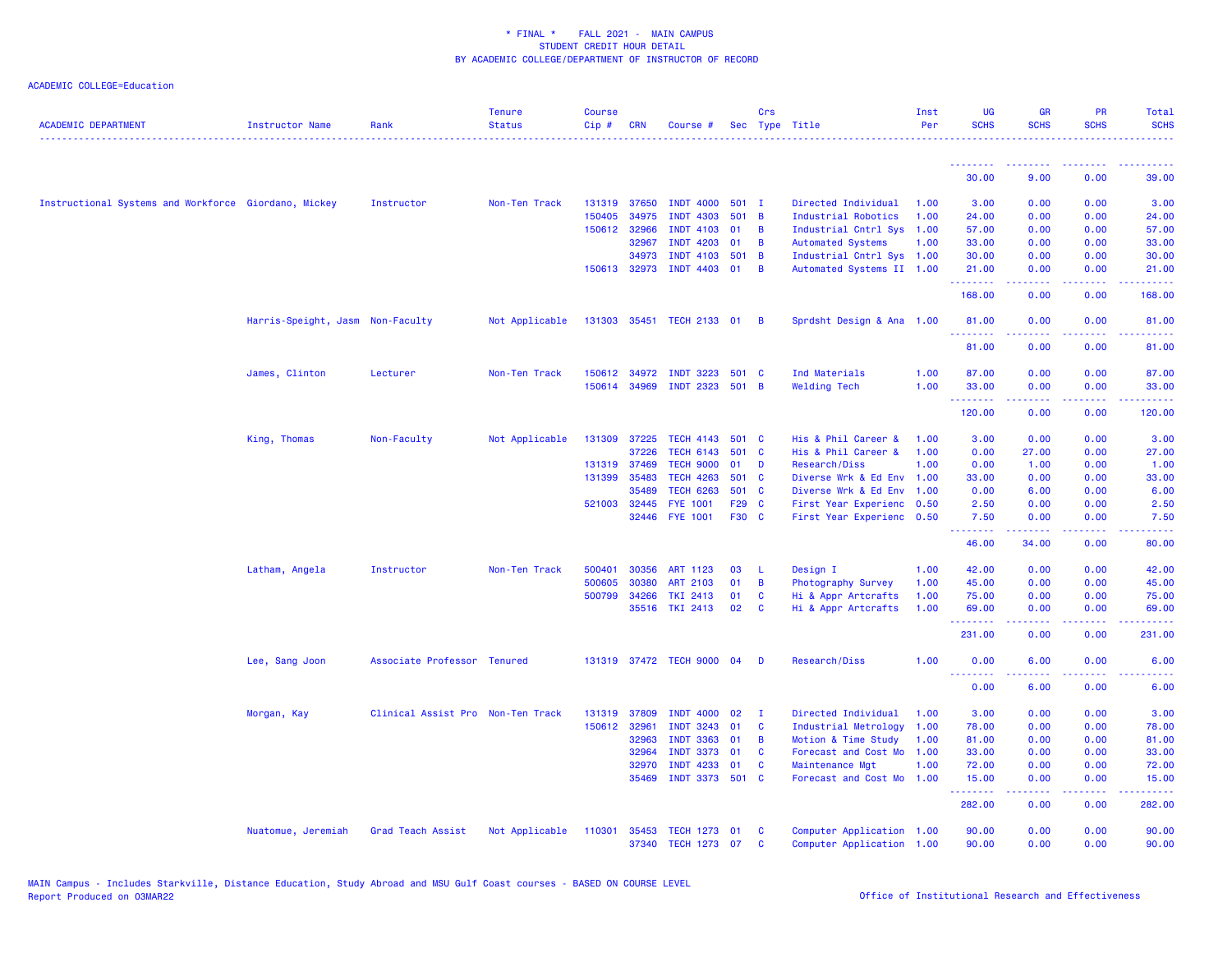| <b>ACADEMIC DEPARTMENT</b>                           | Instructor Name                  | Rank                              | <b>Tenure</b><br><b>Status</b> | <b>Course</b><br>$Cip \#$ | <b>CRN</b>   | Course #                  |         | Crs            | Sec Type Title            | Inst<br>Per | <b>UG</b><br><b>SCHS</b> | <b>GR</b><br><b>SCHS</b> | <b>PR</b><br><b>SCHS</b> | Total<br><b>SCHS</b> |
|------------------------------------------------------|----------------------------------|-----------------------------------|--------------------------------|---------------------------|--------------|---------------------------|---------|----------------|---------------------------|-------------|--------------------------|--------------------------|--------------------------|----------------------|
|                                                      |                                  |                                   |                                |                           |              |                           |         |                |                           |             | .                        |                          |                          |                      |
|                                                      |                                  |                                   |                                |                           |              |                           |         |                |                           |             | 30.00                    | 9.00                     | 0.00                     | 39.00                |
| Instructional Systems and Workforce Giordano, Mickey |                                  | Instructor                        | Non-Ten Track                  |                           | 131319 37650 | <b>INDT 4000</b>          | 501 I   |                | Directed Individual       | 1.00        | 3.00                     | 0.00                     | 0.00                     | 3.00                 |
|                                                      |                                  |                                   |                                | 150405                    | 34975        | <b>INDT 4303</b>          | $501$ B |                | Industrial Robotics       | 1.00        | 24.00                    | 0.00                     | 0.00                     | 24.00                |
|                                                      |                                  |                                   |                                |                           | 150612 32966 | <b>INDT 4103</b>          | 01      | $\overline{B}$ | Industrial Cntrl Sys 1.00 |             | 57.00                    | 0.00                     | 0.00                     | 57.00                |
|                                                      |                                  |                                   |                                |                           | 32967        | <b>INDT 4203</b>          | 01      | $\overline{B}$ | <b>Automated Systems</b>  | 1.00        | 33.00                    | 0.00                     | 0.00                     | 33.00                |
|                                                      |                                  |                                   |                                |                           | 34973        | INDT 4103 501 B           |         |                | Industrial Cntrl Sys 1.00 |             | 30.00                    | 0.00                     | 0.00                     | 30.00                |
|                                                      |                                  |                                   |                                |                           | 150613 32973 | INDT 4403 01              |         | $\overline{B}$ | Automated Systems II 1.00 |             | 21.00<br>.               | 0.00<br>.                | 0.00<br>.                | 21.00<br>.           |
|                                                      |                                  |                                   |                                |                           |              |                           |         |                |                           |             | 168.00                   | 0.00                     | 0.00                     | 168.00               |
|                                                      | Harris-Speight, Jasm Non-Faculty |                                   | Not Applicable                 |                           |              | 131303 35451 TECH 2133 01 |         | $\overline{B}$ | Sprdsht Design & Ana 1.00 |             | 81.00                    | 0.00                     | 0.00                     | 81.00                |
|                                                      |                                  |                                   |                                |                           |              |                           |         |                |                           |             | 81.00                    | 0.00                     | 0.00                     | 81.00                |
|                                                      | James, Clinton                   | Lecturer                          | Non-Ten Track                  |                           | 150612 34972 | <b>INDT 3223</b>          | 501 C   |                | Ind Materials             | 1.00        | 87.00                    | 0.00                     | 0.00                     | 87.00                |
|                                                      |                                  |                                   |                                |                           | 150614 34969 | INDT 2323 501 B           |         |                | <b>Welding Tech</b>       | 1.00        | 33.00                    | 0.00                     | 0.00                     | 33.00                |
|                                                      |                                  |                                   |                                |                           |              |                           |         |                |                           |             | .<br>120.00              | -----<br>0.00            | .<br>0.00                | 120.00               |
|                                                      | King, Thomas                     | Non-Faculty                       | Not Applicable                 |                           | 131309 37225 | TECH 4143 501 C           |         |                | His & Phil Career &       | 1.00        | 3.00                     | 0.00                     | 0.00                     | 3.00                 |
|                                                      |                                  |                                   |                                |                           | 37226        | <b>TECH 6143</b>          | 501 C   |                | His & Phil Career &       | 1.00        | 0.00                     | 27.00                    | 0.00                     | 27.00                |
|                                                      |                                  |                                   |                                | 131319 37469              |              | <b>TECH 9000</b>          | 01      | D              | Research/Diss             | 1.00        | 0.00                     | 1.00                     | 0.00                     | 1.00                 |
|                                                      |                                  |                                   |                                |                           | 131399 35483 | <b>TECH 4263</b>          | 501 C   |                | Diverse Wrk & Ed Env 1.00 |             | 33.00                    | 0.00                     | 0.00                     | 33.00                |
|                                                      |                                  |                                   |                                |                           | 35489        | <b>TECH 6263</b>          | 501 C   |                | Diverse Wrk & Ed Env 1.00 |             | 0.00                     | 6.00                     | 0.00                     | 6.00                 |
|                                                      |                                  |                                   |                                |                           | 521003 32445 | <b>FYE 1001</b>           | F29 C   |                | First Year Experienc 0.50 |             | 2.50                     | 0.00                     | 0.00                     | 2.50                 |
|                                                      |                                  |                                   |                                |                           | 32446        | <b>FYE 1001</b>           | F30 C   |                | First Year Experienc 0.50 |             | 7.50<br>.                | 0.00<br>.                | 0.00<br>.                | 7.50<br>.            |
|                                                      |                                  |                                   |                                |                           |              |                           |         |                |                           |             | 46.00                    | 34.00                    | 0.00                     | 80.00                |
|                                                      | Latham, Angela                   | Instructor                        | Non-Ten Track                  | 500401                    | 30356        | ART 1123                  | 03      | - L            | Design I                  | 1.00        | 42.00                    | 0.00                     | 0.00                     | 42.00                |
|                                                      |                                  |                                   |                                | 500605                    | 30380        | <b>ART 2103</b>           | 01      | $\overline{B}$ | Photography Survey        | 1.00        | 45.00                    | 0.00                     | 0.00                     | 45.00                |
|                                                      |                                  |                                   |                                |                           | 500799 34266 | <b>TKI 2413</b>           | 01      | $\mathbf{C}$   | Hi & Appr Artcrafts       | 1.00        | 75.00                    | 0.00                     | 0.00                     | 75.00                |
|                                                      |                                  |                                   |                                |                           | 35516        | <b>TKI 2413</b>           | 02      | $\mathbf{C}$   | Hi & Appr Artcrafts       | 1.00        | 69.00<br><u>.</u>        | 0.00<br>22222            | 0.00<br>.                | 69.00<br>.           |
|                                                      |                                  |                                   |                                |                           |              |                           |         |                |                           |             | 231.00                   | 0.00                     | 0.00                     | 231.00               |
|                                                      | Lee, Sang Joon                   | Associate Professor Tenured       |                                |                           |              | 131319 37472 TECH 9000    | - 04    | D              | Research/Diss             | 1.00        | 0.00<br>.                | 6.00                     | 0.00                     | 6.00                 |
|                                                      |                                  |                                   |                                |                           |              |                           |         |                |                           |             | 0.00                     | 6.00                     | 0.00                     | 6.00                 |
|                                                      | Morgan, Kay                      | Clinical Assist Pro Non-Ten Track |                                |                           | 131319 37809 | <b>INDT 4000</b>          | 02      | $\mathbf{I}$   | Directed Individual       | 1.00        | 3.00                     | 0.00                     | 0.00                     | 3.00                 |
|                                                      |                                  |                                   |                                |                           | 150612 32961 | <b>INDT 3243</b>          | 01      | C              | Industrial Metrology      | 1.00        | 78.00                    | 0.00                     | 0.00                     | 78.00                |
|                                                      |                                  |                                   |                                |                           | 32963        | <b>INDT 3363</b>          | 01      | $\overline{B}$ | Motion & Time Study       | 1.00        | 81.00                    | 0.00                     | 0.00                     | 81.00                |
|                                                      |                                  |                                   |                                |                           | 32964        | <b>INDT 3373</b>          | 01      | <b>C</b>       | Forecast and Cost Mo      | 1.00        | 33.00                    | 0.00                     | 0.00                     | 33.00                |
|                                                      |                                  |                                   |                                |                           | 32970        | <b>INDT 4233</b>          | 01      | $\mathbf{C}$   | Maintenance Mgt           | 1.00        | 72.00                    | 0.00                     | 0.00                     | 72.00                |
|                                                      |                                  |                                   |                                |                           | 35469        | INDT 3373 501 C           |         |                | Forecast and Cost Mo 1.00 |             | 15.00<br><b></b>         | 0.00<br>22222            | 0.00<br>.                | 15.00<br>22222       |
|                                                      |                                  |                                   |                                |                           |              |                           |         |                |                           |             | 282.00                   | 0.00                     | 0.00                     | 282.00               |
|                                                      | Nuatomue, Jeremiah               | Grad Teach Assist                 | Not Applicable                 | 110301                    | 35453        | <b>TECH 1273</b>          | 01      | <b>C</b>       | Computer Application 1.00 |             | 90.00                    | 0.00                     | 0.00                     | 90.00                |
|                                                      |                                  |                                   |                                |                           | 37340        | TECH 1273 07              |         | <b>C</b>       | Computer Application 1.00 |             | 90.00                    | 0.00                     | 0.00                     | 90.00                |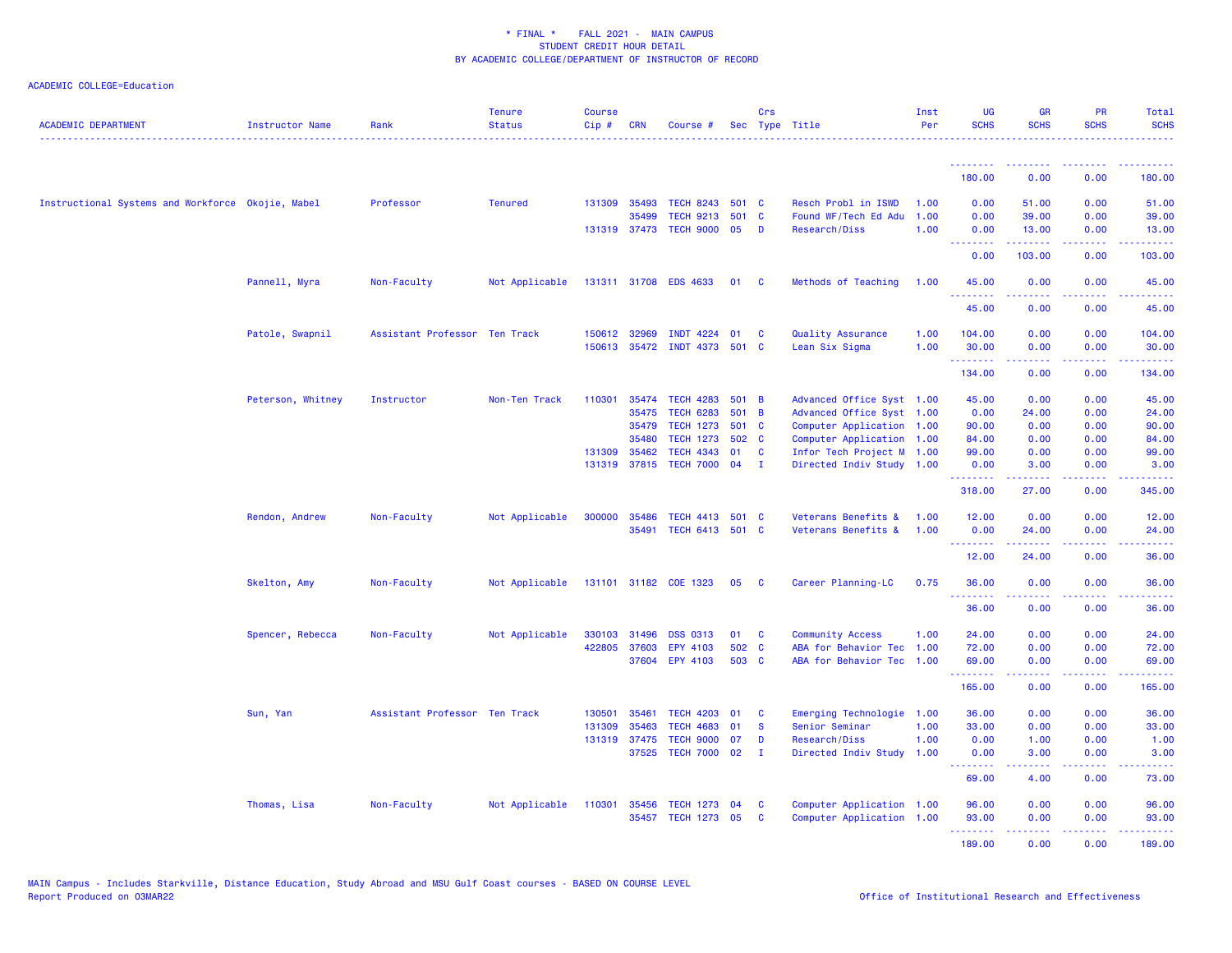| <b>ACADEMIC DEPARTMENT</b>                        | Instructor Name   | Rank                          | <b>Tenure</b><br><b>Status</b> | <b>Course</b><br>Cip# | <b>CRN</b>   | Course #                     |       | Crs            | Sec Type Title            | Inst<br>Per | UG<br><b>SCHS</b>                                         | <b>GR</b><br><b>SCHS</b>              | PR<br><b>SCHS</b>                                                                                                                 | Total<br><b>SCHS</b> |
|---------------------------------------------------|-------------------|-------------------------------|--------------------------------|-----------------------|--------------|------------------------------|-------|----------------|---------------------------|-------------|-----------------------------------------------------------|---------------------------------------|-----------------------------------------------------------------------------------------------------------------------------------|----------------------|
|                                                   |                   |                               |                                |                       |              |                              |       |                |                           |             | <u> - - - - - - - -</u>                                   | --------                              | 2.2.2.2.2                                                                                                                         | 2.2.2.2.2            |
|                                                   |                   |                               |                                |                       |              |                              |       |                |                           |             | 180.00                                                    | 0.00                                  | 0.00                                                                                                                              | 180.00               |
| Instructional Systems and Workforce Okojie, Mabel |                   | Professor                     | <b>Tenured</b>                 |                       | 131309 35493 | TECH 8243 501 C              |       |                | Resch Probl in ISWD       | 1.00        | 0.00                                                      | 51.00                                 | 0.00                                                                                                                              | 51.00                |
|                                                   |                   |                               |                                |                       | 35499        | <b>TECH 9213</b>             | 501   | C              | Found WF/Tech Ed Adu      | 1.00        | 0.00                                                      | 39.00                                 | 0.00                                                                                                                              | 39.00                |
|                                                   |                   |                               |                                |                       | 131319 37473 | <b>TECH 9000</b>             | 05    | D              | Research/Diss             | 1.00        | 0.00<br><b></b>                                           | 13.00<br>. <b>.</b>                   | 0.00<br>.                                                                                                                         | 13.00<br>.           |
|                                                   |                   |                               |                                |                       |              |                              |       |                |                           |             | 0.00                                                      | 103.00                                | 0.00                                                                                                                              | 103.00               |
|                                                   | Pannell, Myra     | Non-Faculty                   | Not Applicable                 |                       |              | 131311 31708 EDS 4633        | 01    | <b>C</b>       | Methods of Teaching       | 1.00        | 45.00                                                     | 0.00                                  | 0.00                                                                                                                              | 45.00                |
|                                                   |                   |                               |                                |                       |              |                              |       |                |                           |             | 45.00                                                     | 0.00                                  | 0.00                                                                                                                              | 45.00                |
|                                                   | Patole, Swapnil   | Assistant Professor Ten Track |                                |                       | 150612 32969 | INDT 4224 01                 |       | C              | Quality Assurance         | 1.00        | 104.00                                                    | 0.00                                  | 0.00                                                                                                                              | 104.00               |
|                                                   |                   |                               |                                |                       |              | 150613 35472 INDT 4373 501 C |       |                | Lean Six Sigma            | 1.00        | 30.00                                                     | 0.00                                  | 0.00                                                                                                                              | 30.00                |
|                                                   |                   |                               |                                |                       |              |                              |       |                |                           |             | <b><i><u><u> - - - - - - -</u></u></i></b><br>134.00      | 22222<br>0.00                         | .<br>0.00                                                                                                                         | <u>.</u><br>134.00   |
|                                                   | Peterson, Whitney | Instructor                    | Non-Ten Track                  | 110301                | 35474        | <b>TECH 4283</b>             | 501 B |                | Advanced Office Syst 1.00 |             | 45.00                                                     | 0.00                                  | 0.00                                                                                                                              | 45.00                |
|                                                   |                   |                               |                                |                       | 35475        | <b>TECH 6283</b>             | 501   | $\overline{B}$ | Advanced Office Syst 1.00 |             | 0.00                                                      | 24.00                                 | 0.00                                                                                                                              | 24.00                |
|                                                   |                   |                               |                                |                       | 35479        | <b>TECH 1273</b>             | 501   | <b>C</b>       | Computer Application 1.00 |             | 90.00                                                     | 0.00                                  | 0.00                                                                                                                              | 90.00                |
|                                                   |                   |                               |                                |                       | 35480        | <b>TECH 1273</b>             | 502 C |                | Computer Application 1.00 |             | 84.00                                                     | 0.00                                  | 0.00                                                                                                                              | 84.00                |
|                                                   |                   |                               |                                |                       | 131309 35462 | <b>TECH 4343</b>             | 01    | <b>C</b>       | Infor Tech Project M 1.00 |             | 99.00                                                     | 0.00                                  | 0.00                                                                                                                              | 99.00                |
|                                                   |                   |                               |                                |                       |              | 131319 37815 TECH 7000 04    |       | $\mathbf{I}$   | Directed Indiv Study 1.00 |             | 0.00<br>.                                                 | 3.00                                  | 0.00<br>2222                                                                                                                      | 3.00                 |
|                                                   |                   |                               |                                |                       |              |                              |       |                |                           |             | 318.00                                                    | 27,00                                 | 0.00                                                                                                                              | 345.00               |
|                                                   | Rendon, Andrew    | Non-Faculty                   | Not Applicable                 |                       | 300000 35486 | TECH 4413 501 C              |       |                | Veterans Benefits &       | 1.00        | 12.00                                                     | 0.00                                  | 0.00                                                                                                                              | 12.00                |
|                                                   |                   |                               |                                |                       | 35491        | TECH 6413 501 C              |       |                | Veterans Benefits &       | 1.00        | 0.00                                                      | 24.00                                 | 0.00                                                                                                                              | 24.00                |
|                                                   |                   |                               |                                |                       |              |                              |       |                |                           |             | .<br>12.00                                                | 24.00                                 | والمحامر<br>0.00                                                                                                                  | المتمامي<br>36.00    |
|                                                   | Skelton, Amy      | Non-Faculty                   | Not Applicable                 |                       |              | 131101 31182 COE 1323        | 05    | <b>C</b>       | Career Planning-LC        | 0.75        | 36.00                                                     | 0.00                                  | 0.00                                                                                                                              | 36.00                |
|                                                   |                   |                               |                                |                       |              |                              |       |                |                           |             | <u>.</u><br>36.00                                         | .<br>0.00                             | $\frac{1}{2} \left( \frac{1}{2} \right) \left( \frac{1}{2} \right) \left( \frac{1}{2} \right) \left( \frac{1}{2} \right)$<br>0.00 | .<br>36.00           |
|                                                   | Spencer, Rebecca  | Non-Faculty                   | Not Applicable                 |                       | 330103 31496 | <b>DSS 0313</b>              | 01    | C              | <b>Community Access</b>   | 1.00        | 24.00                                                     | 0.00                                  | 0.00                                                                                                                              | 24.00                |
|                                                   |                   |                               |                                | 422805                | 37603        | EPY 4103                     | 502 C |                | ABA for Behavior Tec 1.00 |             | 72.00                                                     | 0.00                                  | 0.00                                                                                                                              | 72.00                |
|                                                   |                   |                               |                                |                       |              | 37604 EPY 4103               | 503 C |                | ABA for Behavior Tec 1.00 |             | 69.00                                                     | 0.00                                  | 0.00                                                                                                                              | 69.00                |
|                                                   |                   |                               |                                |                       |              |                              |       |                |                           |             | <u>.</u><br>165.00                                        | 0.00                                  | 0.00                                                                                                                              | .<br>165.00          |
|                                                   | Sun, Yan          | Assistant Professor Ten Track |                                | 130501                | 35461        | <b>TECH 4203</b>             | 01    | C              | Emerging Technologie 1.00 |             | 36.00                                                     | 0.00                                  | 0.00                                                                                                                              | 36.00                |
|                                                   |                   |                               |                                | 131309                | 35463        | <b>TECH 4683</b>             | 01    | <b>S</b>       | Senior Seminar            | 1.00        | 33.00                                                     | 0.00                                  | 0.00                                                                                                                              | 33.00                |
|                                                   |                   |                               |                                |                       | 131319 37475 | <b>TECH 9000</b>             | 07    | D              | Research/Diss             | 1.00        | 0.00                                                      | 1.00                                  | 0.00                                                                                                                              | 1.00                 |
|                                                   |                   |                               |                                |                       | 37525        | <b>TECH 7000 02</b>          |       | $\mathbf{I}$   | Directed Indiv Study      | 1.00        | 0.00                                                      | 3.00                                  | 0.00                                                                                                                              | 3.00                 |
|                                                   |                   |                               |                                |                       |              |                              |       |                |                           |             | <b><i><u><u><b>Little Little</b></u></u></i></b><br>69.00 | <b><i><u><u>.</u></u></i></b><br>4.00 | .<br>0.00                                                                                                                         | .<br>73.00           |
|                                                   | Thomas, Lisa      | Non-Faculty                   | Not Applicable                 | 110301                | 35456        | TECH 1273 04                 |       | C              | Computer Application 1.00 |             | 96.00                                                     | 0.00                                  | 0.00                                                                                                                              | 96.00                |
|                                                   |                   |                               |                                |                       | 35457        | TECH 1273 05                 |       | C              | Computer Application 1.00 |             | 93.00                                                     | 0.00                                  | 0.00                                                                                                                              | 93.00                |
|                                                   |                   |                               |                                |                       |              |                              |       |                |                           |             | .                                                         | 22222                                 | .                                                                                                                                 | .                    |
|                                                   |                   |                               |                                |                       |              |                              |       |                |                           |             | 189.00                                                    | 0.00                                  | 0.00                                                                                                                              | 189.00               |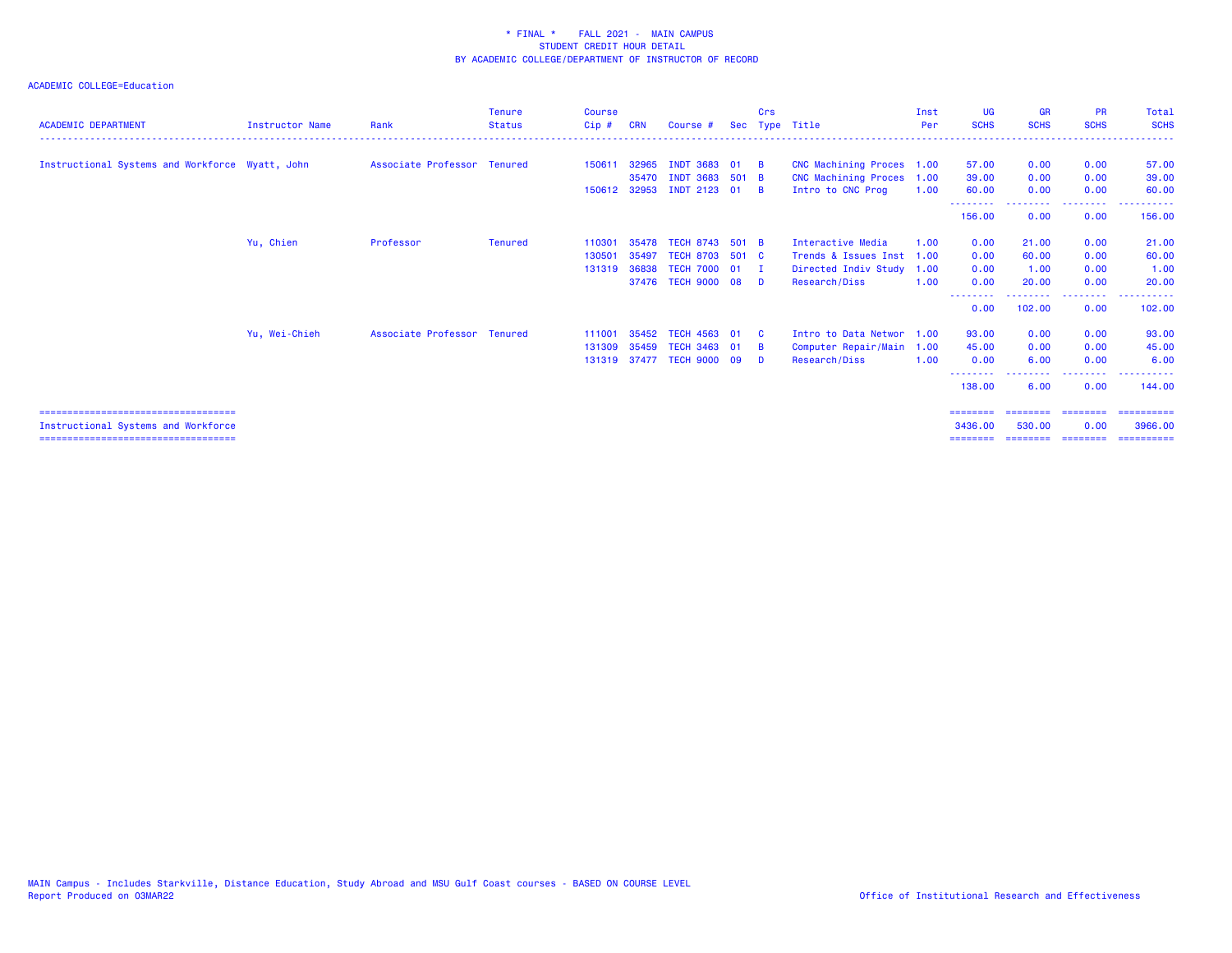| <b>ACADEMIC DEPARTMENT</b>                      | <b>Instructor Name</b> | Rank                        | <b>Tenure</b><br><b>Status</b> | Course<br>$Cip$ # | <b>CRN</b> | Course #                  | Sec   | Crs      | Type Title                | Inst<br>Per | <b>UG</b><br><b>SCHS</b> | <b>GR</b><br><b>SCHS</b> | <b>PR</b><br><b>SCHS</b> | Total<br><b>SCHS</b> |
|-------------------------------------------------|------------------------|-----------------------------|--------------------------------|-------------------|------------|---------------------------|-------|----------|---------------------------|-------------|--------------------------|--------------------------|--------------------------|----------------------|
|                                                 |                        |                             |                                |                   |            |                           |       |          |                           |             |                          |                          |                          |                      |
| Instructional Systems and Workforce Wyatt, John |                        | Associate Professor Tenured |                                | 150611            | 32965      | INDT 3683 01              |       | -в       | CNC Machining Proces 1.00 |             | 57.00                    | 0.00                     | 0.00                     | 57.00                |
|                                                 |                        |                             |                                |                   | 35470      | INDT 3683 501 B           |       |          | CNC Machining Proces 1.00 |             | 39.00                    | 0.00                     | 0.00                     | 39.00                |
|                                                 |                        |                             |                                |                   |            | 150612 32953 INDT 2123 01 |       | <b>B</b> | Intro to CNC Prog         | 1.00        | 60.00                    | 0.00                     | 0.00                     | 60.00                |
|                                                 |                        |                             |                                |                   |            |                           |       |          |                           |             | 156,00                   | 0.00                     | 0.00                     | 156.00               |
|                                                 | Yu, Chien              | Professor                   | <b>Tenured</b>                 | 110301            | 35478      | <b>TECH 8743</b>          | 501 B |          | Interactive Media         | 1.00        | 0.00                     | 21.00                    | 0.00                     | 21.00                |
|                                                 |                        |                             |                                | 13050             | 35497      | <b>TECH 8703</b>          | 501 C |          | Trends & Issues Inst      | 1.00        | 0.00                     | 60.00                    | 0.00                     | 60.00                |
|                                                 |                        |                             |                                | 131319            | 36838      | <b>TECH 7000 01</b>       |       | - 1      | Directed Indiv Study      | 1.00        | 0.00                     | 1.00                     | 0.00                     | 1.00                 |
|                                                 |                        |                             |                                |                   |            | 37476 TECH 9000 08        |       | - D      | Research/Diss             | 1.00        | 0.00                     | 20.00                    | 0.00                     | 20.00                |
|                                                 |                        |                             |                                |                   |            |                           |       |          |                           |             | 0.00                     | 102.00                   | 0.00                     | 102.00               |
|                                                 | Yu, Wei-Chieh          | Associate Professor Tenured |                                | 111001            | 35452      | TECH 4563 01              |       |          | Intro to Data Networ 1.00 |             | 93.00                    | 0.00                     | 0.00                     | 93.00                |
|                                                 |                        |                             |                                | 131309            | 35459      | <b>TECH 3463 01</b>       |       | - B      | Computer Repair/Main      | 1.00        | 45.00                    | 0.00                     | 0.00                     | 45.00                |
|                                                 |                        |                             |                                | 131319 37477      |            | <b>TECH 9000 09</b>       |       | - D      | Research/Diss             | 1.00        | 0.00                     | 6.00                     | 0.00                     | 6.00                 |
|                                                 |                        |                             |                                |                   |            |                           |       |          |                           |             | 138,00                   | 6.00                     | 0.00                     | 144,00               |
| ======================================          |                        |                             |                                |                   |            |                           |       |          |                           |             | -------                  |                          |                          | =========            |
| Instructional Systems and Workforce             |                        |                             |                                |                   |            |                           |       |          |                           |             | 3436,00                  | 530.00                   | 0.00                     | 3966,00              |
| ======================================          |                        |                             |                                |                   |            |                           |       |          |                           |             | ========                 |                          | --------- --------       | ==========           |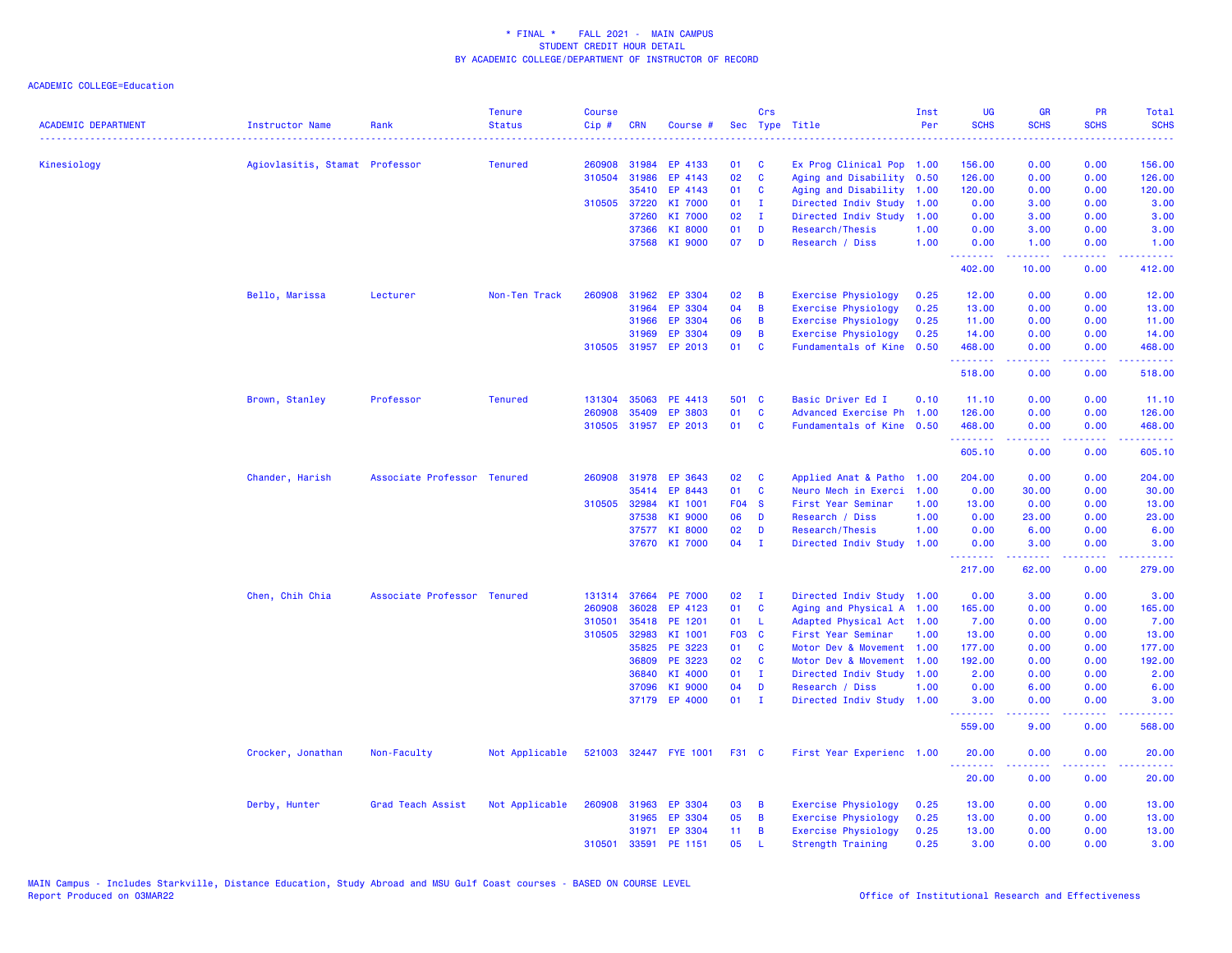|                            |                                |                             | <b>Tenure</b>  | Course |              |                       |                 | Crs          |                            | Inst | <b>UG</b>   | <b>GR</b>   | PR                                                  | Total            |
|----------------------------|--------------------------------|-----------------------------|----------------|--------|--------------|-----------------------|-----------------|--------------|----------------------------|------|-------------|-------------|-----------------------------------------------------|------------------|
| <b>ACADEMIC DEPARTMENT</b> | <b>Instructor Name</b>         | Rank                        | <b>Status</b>  | Cip#   | <b>CRN</b>   | Course #              | Sec             |              | Type Title<br>.            | Per  | <b>SCHS</b> | <b>SCHS</b> | <b>SCHS</b>                                         | <b>SCHS</b>      |
| Kinesiology                | Agiovlasitis, Stamat Professor |                             | <b>Tenured</b> | 260908 | 31984        | EP 4133               | 01              | <b>C</b>     | Ex Prog Clinical Pop 1.00  |      | 156.00      | 0.00        | 0.00                                                | 156.00           |
|                            |                                |                             |                | 310504 | 31986        | EP 4143               | 02              | $\mathbf{C}$ | Aging and Disability 0.50  |      | 126.00      | 0.00        | 0.00                                                | 126.00           |
|                            |                                |                             |                |        | 35410        | EP 4143               | 01              | <b>C</b>     | Aging and Disability 1.00  |      | 120.00      | 0.00        | 0.00                                                | 120.00           |
|                            |                                |                             |                |        | 310505 37220 | KI 7000               | 01              | $\mathbf{I}$ | Directed Indiv Study       | 1.00 | 0.00        | 3.00        | 0.00                                                | 3.00             |
|                            |                                |                             |                |        | 37260        | KI 7000               | 02              | $\mathbf{I}$ | Directed Indiv Study 1.00  |      | 0.00        | 3.00        | 0.00                                                | 3.00             |
|                            |                                |                             |                |        | 37366        | KI 8000               | 01              | D            | Research/Thesis            | 1.00 | 0.00        | 3.00        | 0.00                                                | 3.00             |
|                            |                                |                             |                |        |              | 37568 KI 9000         | 07              | D            | Research / Diss            | 1.00 | 0.00<br>.   | 1.00<br>.   | 0.00<br>د د د د                                     | 1.00<br>22222    |
|                            |                                |                             |                |        |              |                       |                 |              |                            |      | 402.00      | 10.00       | 0.00                                                | 412.00           |
|                            | Bello, Marissa                 | Lecturer                    | Non-Ten Track  | 260908 | 31962        | EP 3304               | 02              | B            | <b>Exercise Physiology</b> | 0.25 | 12.00       | 0.00        | 0.00                                                | 12.00            |
|                            |                                |                             |                |        | 31964        | EP 3304               | 04              | B            | <b>Exercise Physiology</b> | 0.25 | 13.00       | 0.00        | 0.00                                                | 13.00            |
|                            |                                |                             |                |        | 31966        | EP 3304               | 06              | B            | <b>Exercise Physiology</b> | 0.25 | 11.00       | 0.00        | 0.00                                                | 11.00            |
|                            |                                |                             |                |        | 31969        | EP 3304               | 09              | B            | Exercise Physiology        | 0.25 | 14.00       | 0.00        | 0.00                                                | 14.00            |
|                            |                                |                             |                |        |              | 310505 31957 EP 2013  | 01              | C            | Fundamentals of Kine       | 0.50 | 468.00<br>. | 0.00<br>.   | 0.00<br>د د د د                                     | 468.00<br>.      |
|                            |                                |                             |                |        |              |                       |                 |              |                            |      | 518.00      | 0.00        | 0.00                                                | 518.00           |
|                            | Brown, Stanley                 | Professor                   | <b>Tenured</b> | 131304 | 35063        | PE 4413               | 501 C           |              | Basic Driver Ed I          | 0.10 | 11.10       | 0.00        | 0.00                                                | 11.10            |
|                            |                                |                             |                | 260908 | 35409        | EP 3803               | 01              | C            | Advanced Exercise Ph       | 1.00 | 126.00      | 0.00        | 0.00                                                | 126.00           |
|                            |                                |                             |                |        |              | 310505 31957 EP 2013  | 01              | <b>C</b>     | Fundamentals of Kine 0.50  |      | 468.00<br>. | 0.00<br>.   | 0.00<br>$\sim$ $\sim$ $\sim$ $\sim$                 | 468.00<br>22222) |
|                            |                                |                             |                |        |              |                       |                 |              |                            |      | 605.10      | 0.00        | 0.00                                                | 605.10           |
|                            | Chander, Harish                | Associate Professor Tenured |                |        |              | 260908 31978 EP 3643  | 02              | C            | Applied Anat & Patho 1.00  |      | 204.00      | 0.00        | 0.00                                                | 204.00           |
|                            |                                |                             |                |        | 35414        | EP 8443               | 01              | C            | Neuro Mech in Exerci       | 1.00 | 0.00        | 30.00       | 0.00                                                | 30.00            |
|                            |                                |                             |                | 310505 | 32984        | KI 1001               | <b>F04 S</b>    |              | First Year Seminar         | 1.00 | 13.00       | 0.00        | 0.00                                                | 13.00            |
|                            |                                |                             |                |        | 37538        | KI 9000               | 06              | D            | Research / Diss            | 1.00 | 0.00        | 23.00       | 0.00                                                | 23.00            |
|                            |                                |                             |                |        | 37577        | KI 8000               | 02              | D            | Research/Thesis            | 1.00 | 0.00        | 6.00        | 0.00                                                | 6.00             |
|                            |                                |                             |                |        |              | 37670 KI 7000         | 04              | $\mathbf{I}$ | Directed Indiv Study       | 1.00 | 0.00        | 3.00        | 0.00                                                | 3.00             |
|                            |                                |                             |                |        |              |                       |                 |              |                            |      | 217.00      | 62.00       | 0.00                                                | 279.00           |
|                            | Chen, Chih Chia                | Associate Professor Tenured |                | 131314 |              | 37664 PE 7000         | 02              | $\mathbf{I}$ | Directed Indiv Study 1.00  |      | 0.00        | 3.00        | 0.00                                                | 3.00             |
|                            |                                |                             |                | 260908 | 36028        | EP 4123               | 01              | <b>C</b>     | Aging and Physical A 1.00  |      | 165.00      | 0.00        | 0.00                                                | 165.00           |
|                            |                                |                             |                | 310501 | 35418        | PE 1201               | 01              | -L           | Adapted Physical Act 1.00  |      | 7.00        | 0.00        | 0.00                                                | 7.00             |
|                            |                                |                             |                | 310505 | 32983        | KI 1001               | F03 C           |              | First Year Seminar         | 1.00 | 13.00       | 0.00        | 0.00                                                | 13.00            |
|                            |                                |                             |                |        | 35825        | PE 3223               | 01              | <b>C</b>     | Motor Dev & Movement 1.00  |      | 177.00      | 0.00        | 0.00                                                | 177.00           |
|                            |                                |                             |                |        | 36809        | PE 3223               | 02              | <b>C</b>     | Motor Dev & Movement       | 1.00 | 192.00      | 0.00        | 0.00                                                | 192.00           |
|                            |                                |                             |                |        | 36840        | KI 4000               | 01              | $\mathbf{I}$ | Directed Indiv Study 1.00  |      | 2.00        | 0.00        | 0.00                                                | 2.00             |
|                            |                                |                             |                |        | 37096        | KI 9000               | 04              | D            | Research / Diss            | 1.00 | 0.00        | 6.00        | 0.00                                                | 6.00             |
|                            |                                |                             |                |        |              | 37179 EP 4000         | 01              | $\mathbf{I}$ | Directed Indiv Study       | 1.00 | 3.00<br>.   | 0.00        | 0.00<br>$\omega_{\rm{eff}}$ and $\omega_{\rm{eff}}$ | 3.00             |
|                            |                                |                             |                |        |              |                       |                 |              |                            |      | 559.00      | 9.00        | 0.00                                                | 568.00           |
|                            | Crocker, Jonathan              | Non-Faculty                 | Not Applicable |        |              | 521003 32447 FYE 1001 | F31 C           |              | First Year Experienc 1.00  |      | 20.00<br>.  | 0.00        | 0.00                                                | 20.00<br>وعاعاها |
|                            |                                |                             |                |        |              |                       |                 |              |                            |      | 20.00       | 0.00        | 0.00                                                | 20.00            |
|                            | Derby, Hunter                  | Grad Teach Assist           | Not Applicable | 260908 | 31963        | EP 3304               | 03              | B            | <b>Exercise Physiology</b> | 0.25 | 13.00       | 0.00        | 0.00                                                | 13.00            |
|                            |                                |                             |                |        | 31965        | EP 3304               | 05              | B            | <b>Exercise Physiology</b> | 0.25 | 13.00       | 0.00        | 0.00                                                | 13.00            |
|                            |                                |                             |                |        |              | 31971 EP 3304         | 11 <sub>1</sub> | B            | <b>Exercise Physiology</b> | 0.25 | 13.00       | 0.00        | 0.00                                                | 13.00            |
|                            |                                |                             |                | 310501 | 33591        | PE 1151               | 05              | $\mathbf{L}$ | <b>Strength Training</b>   | 0.25 | 3.00        | 0.00        | 0.00                                                | 3.00             |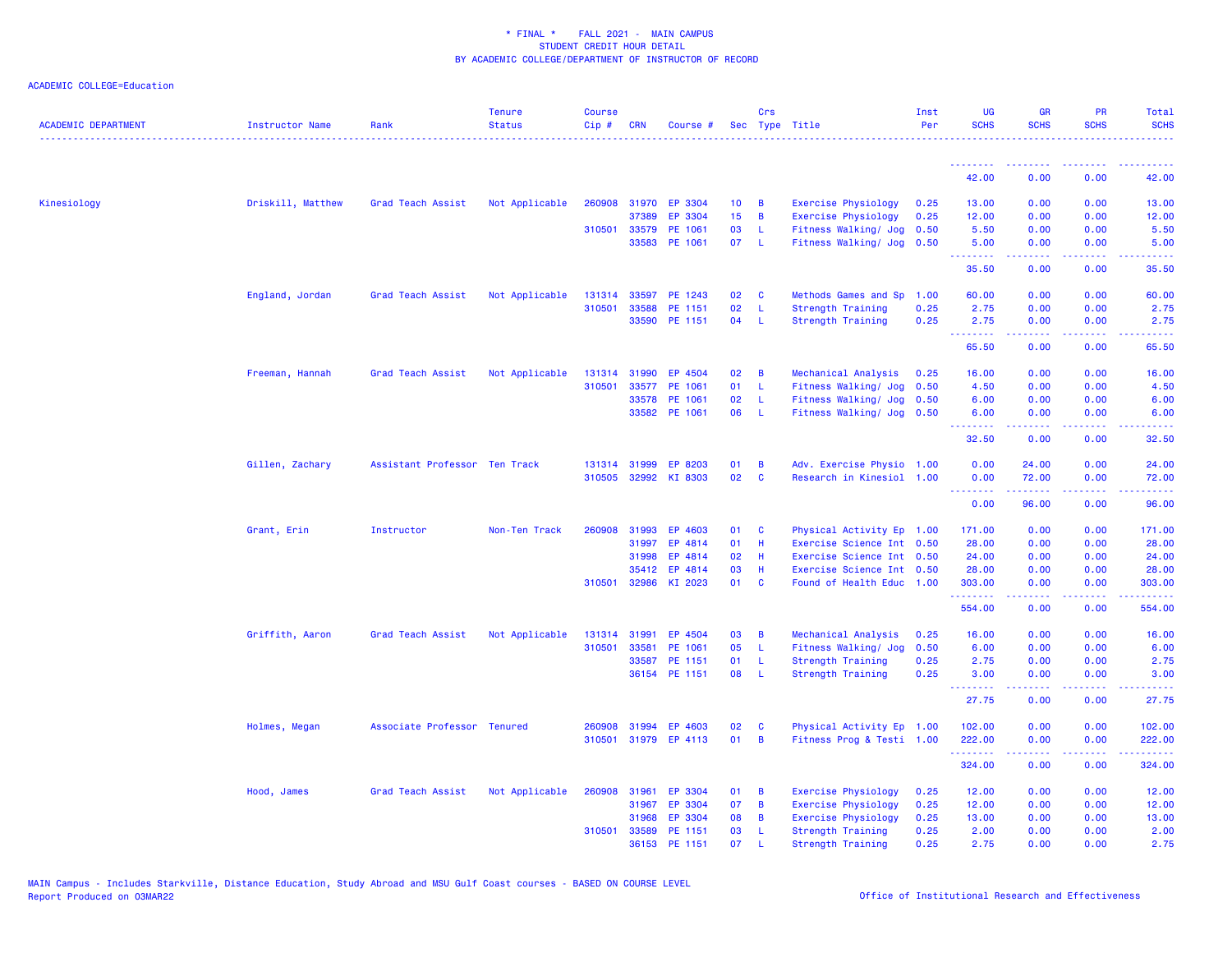| <b>ACADEMIC DEPARTMENT</b> | <b>Instructor Name</b> | Rank                          | <b>Tenure</b><br><b>Status</b> | <b>Course</b><br>$Cip \#$ | <b>CRN</b>   | Course #             |                 | Crs          | Sec Type Title             | Inst<br>Per | <b>UG</b><br><b>SCHS</b> | <b>GR</b><br><b>SCHS</b> | <b>PR</b><br><b>SCHS</b>                                                                                                          | Total<br><b>SCHS</b>                                                                                                               |
|----------------------------|------------------------|-------------------------------|--------------------------------|---------------------------|--------------|----------------------|-----------------|--------------|----------------------------|-------------|--------------------------|--------------------------|-----------------------------------------------------------------------------------------------------------------------------------|------------------------------------------------------------------------------------------------------------------------------------|
|                            |                        |                               |                                |                           |              |                      |                 |              |                            |             | .                        |                          |                                                                                                                                   |                                                                                                                                    |
|                            |                        |                               |                                |                           |              |                      |                 |              |                            |             | 42.00                    | 0.00                     | 0.00                                                                                                                              | 42.00                                                                                                                              |
| Kinesiology                | Driskill, Matthew      | Grad Teach Assist             | Not Applicable                 |                           |              | 260908 31970 EP 3304 | 10 <sub>1</sub> | B            | Exercise Physiology        | 0.25        | 13.00                    | 0.00                     | 0.00                                                                                                                              | 13.00                                                                                                                              |
|                            |                        |                               |                                |                           | 37389        | EP 3304              | 15 <sub>1</sub> | B            | <b>Exercise Physiology</b> | 0.25        | 12.00                    | 0.00                     | 0.00                                                                                                                              | 12.00                                                                                                                              |
|                            |                        |                               |                                | 310501                    | 33579        | PE 1061              | 03              | L            | Fitness Walking/ Jog       | 0.50        | 5.50                     | 0.00                     | 0.00                                                                                                                              | 5.50                                                                                                                               |
|                            |                        |                               |                                |                           |              | 33583 PE 1061        | 07              | -L.          | Fitness Walking/ Jog 0.50  |             | 5.00<br><u>.</u>         | 0.00<br>.                | 0.00                                                                                                                              | 5.00                                                                                                                               |
|                            |                        |                               |                                |                           |              |                      |                 |              |                            |             | 35.50                    | 0.00                     | 0.00                                                                                                                              | 35.50                                                                                                                              |
|                            | England, Jordan        | Grad Teach Assist             | Not Applicable                 | 131314                    | 33597        | PE 1243              | 02              | C            | Methods Games and Sp       | 1.00        | 60.00                    | 0.00                     | 0.00                                                                                                                              | 60.00                                                                                                                              |
|                            |                        |                               |                                | 310501                    | 33588        | PE 1151              | 02              | L            | <b>Strength Training</b>   | 0.25        | 2.75                     | 0.00                     | 0.00                                                                                                                              | 2.75                                                                                                                               |
|                            |                        |                               |                                |                           |              | 33590 PE 1151        | 04              | -L           | Strength Training          | 0.25        | 2.75<br>.                | 0.00<br>.                | 0.00<br>$\frac{1}{2} \left( \frac{1}{2} \right) \left( \frac{1}{2} \right) \left( \frac{1}{2} \right)$                            | 2.75<br>$\frac{1}{2} \left( \frac{1}{2} \right) \left( \frac{1}{2} \right) \left( \frac{1}{2} \right) \left( \frac{1}{2} \right)$  |
|                            |                        |                               |                                |                           |              |                      |                 |              |                            |             | 65.50                    | 0.00                     | 0.00                                                                                                                              | 65.50                                                                                                                              |
|                            | Freeman, Hannah        | Grad Teach Assist             | Not Applicable                 |                           | 131314 31990 | EP 4504              | 02              | B            | Mechanical Analysis        | 0.25        | 16.00                    | 0.00                     | 0.00                                                                                                                              | 16.00                                                                                                                              |
|                            |                        |                               |                                | 310501                    | 33577        | PE 1061              | 01              | L            | Fitness Walking/ Jog 0.50  |             | 4.50                     | 0.00                     | 0.00                                                                                                                              | 4.50                                                                                                                               |
|                            |                        |                               |                                |                           | 33578        | PE 1061              | 02              | L            | Fitness Walking/ Jog       | 0.50        | 6.00                     | 0.00                     | 0.00                                                                                                                              | 6.00                                                                                                                               |
|                            |                        |                               |                                |                           |              | 33582 PE 1061        | 06              | L            | Fitness Walking/ Jog 0.50  |             | 6.00<br>.                | 0.00<br>22222            | 0.00<br>بالأباد                                                                                                                   | 6.00<br>والمستحدث                                                                                                                  |
|                            |                        |                               |                                |                           |              |                      |                 |              |                            |             | 32.50                    | 0.00                     | 0.00                                                                                                                              | 32.50                                                                                                                              |
|                            | Gillen, Zachary        | Assistant Professor Ten Track |                                |                           | 131314 31999 | EP 8203              | 01              | B            | Adv. Exercise Physio 1.00  |             | 0.00                     | 24.00                    | 0.00                                                                                                                              | 24.00                                                                                                                              |
|                            |                        |                               |                                | 310505                    | 32992        | KI 8303              | 02              | $\mathbf{C}$ | Research in Kinesiol 1.00  |             | 0.00<br>.                | 72.00<br>2.2.2.2.2       | 0.00<br>$\frac{1}{2} \left( \frac{1}{2} \right) \left( \frac{1}{2} \right) \left( \frac{1}{2} \right) \left( \frac{1}{2} \right)$ | 72.00<br>$\frac{1}{2} \left( \frac{1}{2} \right) \left( \frac{1}{2} \right) \left( \frac{1}{2} \right) \left( \frac{1}{2} \right)$ |
|                            |                        |                               |                                |                           |              |                      |                 |              |                            |             | 0.00                     | 96.00                    | 0.00                                                                                                                              | 96.00                                                                                                                              |
|                            | Grant, Erin            | Instructor                    | Non-Ten Track                  | 260908                    | 31993        | EP 4603              | 01              | C            | Physical Activity Ep 1.00  |             | 171.00                   | 0.00                     | 0.00                                                                                                                              | 171.00                                                                                                                             |
|                            |                        |                               |                                |                           | 31997        | EP 4814              | 01              | H            | Exercise Science Int 0.50  |             | 28.00                    | 0.00                     | 0.00                                                                                                                              | 28.00                                                                                                                              |
|                            |                        |                               |                                |                           | 31998        | EP 4814              | 02              | H            | Exercise Science Int 0.50  |             | 24.00                    | 0.00                     | 0.00                                                                                                                              | 24.00                                                                                                                              |
|                            |                        |                               |                                |                           | 35412        | EP 4814              | 03              | H            | Exercise Science Int 0.50  |             | 28.00                    | 0.00                     | 0.00                                                                                                                              | 28.00                                                                                                                              |
|                            |                        |                               |                                | 310501                    |              | 32986 KI 2023        | 01              | C            | Found of Health Educ 1.00  |             | 303.00<br>.              | 0.00<br>.                | 0.00<br>$\frac{1}{2} \left( \frac{1}{2} \right) \left( \frac{1}{2} \right) \left( \frac{1}{2} \right) \left( \frac{1}{2} \right)$ | 303.00                                                                                                                             |
|                            |                        |                               |                                |                           |              |                      |                 |              |                            |             | 554.00                   | 0.00                     | 0.00                                                                                                                              | 554.00                                                                                                                             |
|                            | Griffith, Aaron        | Grad Teach Assist             | Not Applicable                 |                           | 131314 31991 | EP 4504              | 03              | B            | Mechanical Analysis        | 0.25        | 16.00                    | 0.00                     | 0.00                                                                                                                              | 16.00                                                                                                                              |
|                            |                        |                               |                                | 310501                    | 33581        | PE 1061              | 05              | L            | Fitness Walking/ Jog       | 0.50        | 6.00                     | 0.00                     | 0.00                                                                                                                              | 6.00                                                                                                                               |
|                            |                        |                               |                                |                           | 33587        | PE 1151              | 01              | L            | Strength Training          | 0.25        | 2.75                     | 0.00                     | 0.00                                                                                                                              | 2.75                                                                                                                               |
|                            |                        |                               |                                |                           |              | 36154 PE 1151        | 08              | -L           | <b>Strength Training</b>   | 0.25        | 3.00<br>.                | 0.00<br>.                | 0.00<br>$\omega$ is a $\omega$                                                                                                    | 3.00                                                                                                                               |
|                            |                        |                               |                                |                           |              |                      |                 |              |                            |             | 27.75                    | 0.00                     | 0.00                                                                                                                              | 27.75                                                                                                                              |
|                            | Holmes, Megan          | Associate Professor Tenured   |                                | 260908                    | 31994        | EP 4603              | 02              | C            | Physical Activity Ep 1.00  |             | 102.00                   | 0.00                     | 0.00                                                                                                                              | 102.00                                                                                                                             |
|                            |                        |                               |                                | 310501                    |              | 31979 EP 4113        | 01              | B            | Fitness Prog & Testi 1.00  |             | 222.00                   | 0.00                     | 0.00                                                                                                                              | 222.00                                                                                                                             |
|                            |                        |                               |                                |                           |              |                      |                 |              |                            |             | 324.00                   | 0.00                     | 0.00                                                                                                                              | 324.00                                                                                                                             |
|                            | Hood, James            | Grad Teach Assist             | Not Applicable                 | 260908                    | 31961        | EP 3304              | 01              | В            | Exercise Physiology        | 0.25        | 12.00                    | 0.00                     | 0.00                                                                                                                              | 12.00                                                                                                                              |
|                            |                        |                               |                                |                           | 31967        | EP 3304              | 07              | B            | <b>Exercise Physiology</b> | 0.25        | 12.00                    | 0.00                     | 0.00                                                                                                                              | 12.00                                                                                                                              |
|                            |                        |                               |                                |                           | 31968        | EP 3304              | 08              | B            | <b>Exercise Physiology</b> | 0.25        | 13.00                    | 0.00                     | 0.00                                                                                                                              | 13.00                                                                                                                              |
|                            |                        |                               |                                | 310501                    | 33589        | PE 1151              | 03              | -L           | Strength Training          | 0.25        | 2.00                     | 0.00                     | 0.00                                                                                                                              | 2.00                                                                                                                               |
|                            |                        |                               |                                |                           | 36153        | PE 1151              | 07              |              | Strength Training          | 0.25        | 2.75                     | 0.00                     | 0.00                                                                                                                              | 2.75                                                                                                                               |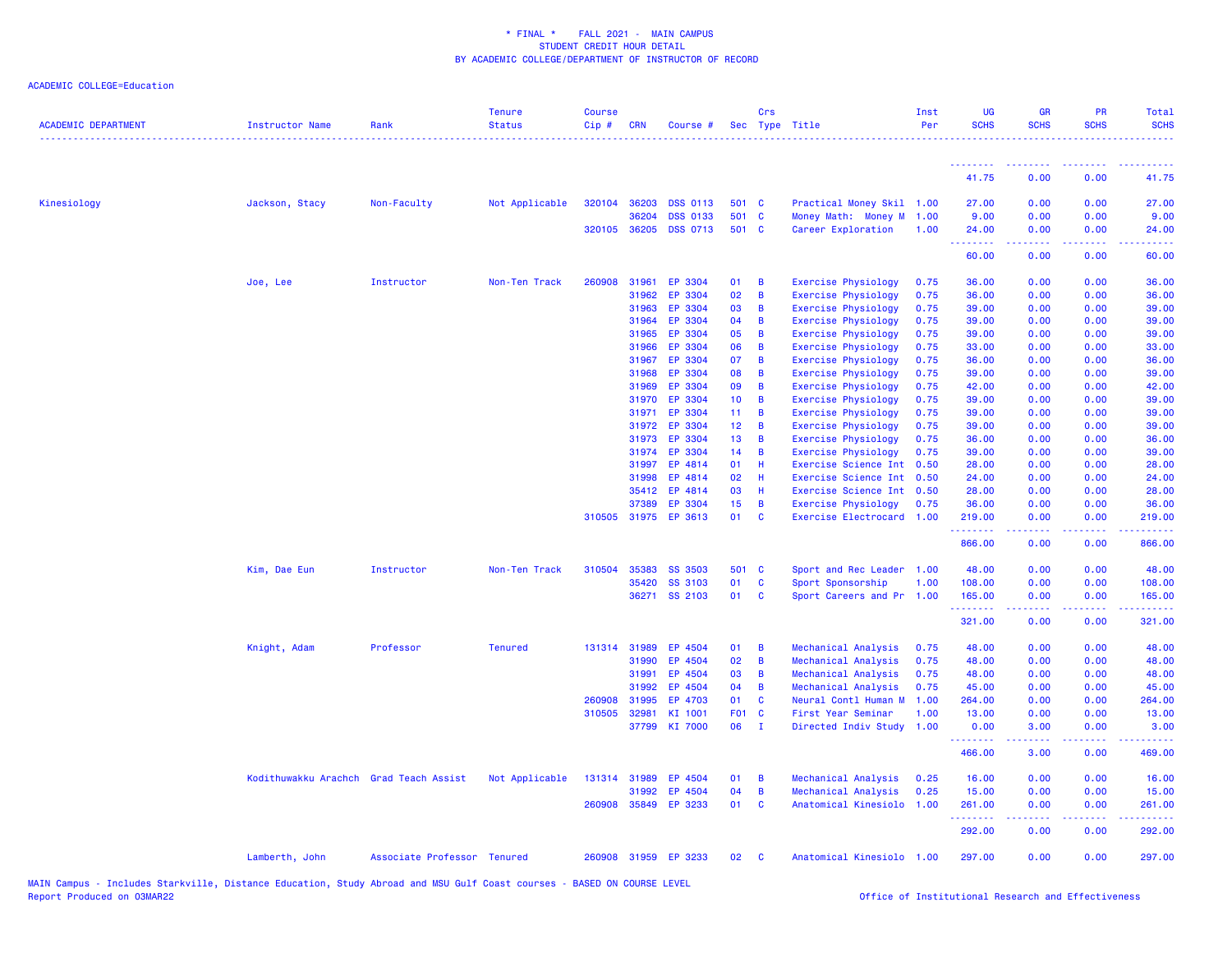| <b>ACADEMIC DEPARTMENT</b> | <b>Instructor Name</b>                 | Rank                        | <b>Tenure</b><br><b>Status</b> | <b>Course</b><br>Cip# | <b>CRN</b>     | Course #             |                 | Crs          | Sec Type Title                                           | Inst<br>Per  | <b>UG</b><br><b>SCHS</b>                     | <b>GR</b><br><b>SCHS</b>                                                                                                                                     | <b>PR</b><br><b>SCHS</b> | Total<br><b>SCHS</b>                                                                                                                                           |
|----------------------------|----------------------------------------|-----------------------------|--------------------------------|-----------------------|----------------|----------------------|-----------------|--------------|----------------------------------------------------------|--------------|----------------------------------------------|--------------------------------------------------------------------------------------------------------------------------------------------------------------|--------------------------|----------------------------------------------------------------------------------------------------------------------------------------------------------------|
|                            |                                        |                             |                                |                       |                |                      |                 |              |                                                          |              | <b><i><u><u> - - - - - - - -</u></u></i></b> | <b><i><u><u>ALLERSK</u></u></i></b>                                                                                                                          | .                        | .                                                                                                                                                              |
|                            |                                        |                             |                                |                       |                |                      |                 |              |                                                          |              | 41.75                                        | 0.00                                                                                                                                                         | 0.00                     | 41.75                                                                                                                                                          |
| Kinesiology                | Jackson, Stacy                         | Non-Faculty                 | Not Applicable                 | 320104                | 36203          | <b>DSS 0113</b>      | 501 C           |              | Practical Money Skil 1.00                                |              | 27.00                                        | 0.00                                                                                                                                                         | 0.00                     | 27.00                                                                                                                                                          |
|                            |                                        |                             |                                |                       | 36204          | <b>DSS 0133</b>      | 501             | $\mathbf{C}$ | Money Math: Money M 1.00                                 |              | 9.00                                         | 0.00                                                                                                                                                         | 0.00                     | 9.00                                                                                                                                                           |
|                            |                                        |                             |                                |                       | 320105 36205   | <b>DSS 0713</b>      | 501 C           |              | Career Exploration                                       | 1.00         | 24.00<br>.                                   | 0.00                                                                                                                                                         | 0.00<br>والمحامر         | 24.00                                                                                                                                                          |
|                            |                                        |                             |                                |                       |                |                      |                 |              |                                                          |              | 60.00                                        | 0.00                                                                                                                                                         | 0.00                     | 60.00                                                                                                                                                          |
|                            | Joe, Lee                               | Instructor                  | Non-Ten Track                  | 260908                | 31961          | EP 3304              | 01              | B            | <b>Exercise Physiology</b>                               | 0.75         | 36.00                                        | 0.00                                                                                                                                                         | 0.00                     | 36.00                                                                                                                                                          |
|                            |                                        |                             |                                |                       | 31962          | EP 3304              | 02              | B            | <b>Exercise Physiology</b>                               | 0.75         | 36.00                                        | 0.00                                                                                                                                                         | 0.00                     | 36.00                                                                                                                                                          |
|                            |                                        |                             |                                |                       | 31963          | EP 3304              | 03              | B            | <b>Exercise Physiology</b>                               | 0.75         | 39.00                                        | 0.00                                                                                                                                                         | 0.00                     | 39.00                                                                                                                                                          |
|                            |                                        |                             |                                |                       | 31964          | EP 3304              | 04              | B            | <b>Exercise Physiology</b>                               | 0.75         | 39.00                                        | 0.00                                                                                                                                                         | 0.00                     | 39.00                                                                                                                                                          |
|                            |                                        |                             |                                |                       | 31965          | EP 3304              | 05              | B            | <b>Exercise Physiology</b>                               | 0.75         | 39.00                                        | 0.00                                                                                                                                                         | 0.00                     | 39.00                                                                                                                                                          |
|                            |                                        |                             |                                |                       | 31966          | EP 3304              | 06              | B            | Exercise Physiology                                      | 0.75         | 33.00                                        | 0.00                                                                                                                                                         | 0.00                     | 33.00                                                                                                                                                          |
|                            |                                        |                             |                                |                       | 31967          | EP 3304              | 07              | B            | Exercise Physiology                                      | 0.75         | 36.00                                        | 0.00                                                                                                                                                         | 0.00                     | 36.00                                                                                                                                                          |
|                            |                                        |                             |                                |                       | 31968          | EP 3304              | 08              | B            | Exercise Physiology                                      | 0.75         | 39.00                                        | 0.00                                                                                                                                                         | 0.00                     | 39.00                                                                                                                                                          |
|                            |                                        |                             |                                |                       | 31969          | EP 3304              | 09              | B            | Exercise Physiology                                      | 0.75         | 42.00                                        | 0.00                                                                                                                                                         | 0.00                     | 42.00                                                                                                                                                          |
|                            |                                        |                             |                                |                       | 31970          | EP 3304              | 10 <sub>1</sub> | B            | <b>Exercise Physiology</b>                               | 0.75         | 39.00                                        | 0.00                                                                                                                                                         | 0.00                     | 39.00                                                                                                                                                          |
|                            |                                        |                             |                                |                       | 31971          | EP 3304              | 11 <sub>1</sub> | B            | <b>Exercise Physiology</b>                               | 0.75         | 39.00                                        | 0.00                                                                                                                                                         | 0.00                     | 39.00                                                                                                                                                          |
|                            |                                        |                             |                                |                       | 31972          | EP 3304              | 12 <sub>2</sub> | B            | Exercise Physiology                                      | 0.75         | 39.00                                        | 0.00                                                                                                                                                         | 0.00                     | 39.00                                                                                                                                                          |
|                            |                                        |                             |                                |                       | 31973<br>31974 | EP 3304<br>EP 3304   | 13<br>14        | B<br>B       | <b>Exercise Physiology</b><br><b>Exercise Physiology</b> | 0.75<br>0.75 | 36.00<br>39.00                               | 0.00<br>0.00                                                                                                                                                 | 0.00<br>0.00             | 36.00<br>39.00                                                                                                                                                 |
|                            |                                        |                             |                                |                       |                | EP 4814              | 01              | H            |                                                          | 0.50         | 28.00                                        |                                                                                                                                                              | 0.00                     | 28.00                                                                                                                                                          |
|                            |                                        |                             |                                |                       | 31997<br>31998 | EP 4814              | 02              | H            | Exercise Science Int<br>Exercise Science Int             | 0.50         | 24.00                                        | 0.00<br>0.00                                                                                                                                                 | 0.00                     | 24.00                                                                                                                                                          |
|                            |                                        |                             |                                |                       | 35412          | EP 4814              | 03              | H            | Exercise Science Int                                     | 0.50         | 28.00                                        | 0.00                                                                                                                                                         | 0.00                     | 28.00                                                                                                                                                          |
|                            |                                        |                             |                                |                       | 37389          | EP 3304              | 15              | B            | Exercise Physiology                                      | 0.75         | 36.00                                        | 0.00                                                                                                                                                         | 0.00                     | 36.00                                                                                                                                                          |
|                            |                                        |                             |                                |                       |                | 310505 31975 EP 3613 | 01              | C            | Exercise Electrocard 1.00                                |              | 219.00                                       | 0.00                                                                                                                                                         | 0.00                     | 219.00                                                                                                                                                         |
|                            |                                        |                             |                                |                       |                |                      |                 |              |                                                          |              | 866.00                                       | 0.00                                                                                                                                                         | 0.00                     | 866.00                                                                                                                                                         |
|                            | Kim, Dae Eun                           | Instructor                  | Non-Ten Track                  | 310504 35383          |                | SS 3503              | 501 C           |              | Sport and Rec Leader 1.00                                |              | 48.00                                        | 0.00                                                                                                                                                         | 0.00                     | 48.00                                                                                                                                                          |
|                            |                                        |                             |                                |                       | 35420          | SS 3103              | 01              | $\mathbf c$  | Sport Sponsorship                                        | 1.00         | 108.00                                       | 0.00                                                                                                                                                         | 0.00                     | 108.00                                                                                                                                                         |
|                            |                                        |                             |                                |                       | 36271          | SS 2103              | 01              | <b>C</b>     | Sport Careers and Pr 1.00                                |              | 165.00                                       | 0.00                                                                                                                                                         | 0.00                     | 165.00                                                                                                                                                         |
|                            |                                        |                             |                                |                       |                |                      |                 |              |                                                          |              | .<br>321.00                                  | .<br>0.00                                                                                                                                                    | 0.00                     | $\frac{1}{2} \left( \frac{1}{2} \right) \left( \frac{1}{2} \right) \left( \frac{1}{2} \right) \left( \frac{1}{2} \right) \left( \frac{1}{2} \right)$<br>321.00 |
|                            | Knight, Adam                           | Professor                   | <b>Tenured</b>                 | 131314 31989          |                | EP 4504              | 01              | B            | Mechanical Analysis                                      | 0.75         | 48.00                                        | 0.00                                                                                                                                                         | 0.00                     | 48.00                                                                                                                                                          |
|                            |                                        |                             |                                |                       | 31990          | EP 4504              | 02              | B            | Mechanical Analysis                                      | 0.75         | 48.00                                        | 0.00                                                                                                                                                         | 0.00                     | 48.00                                                                                                                                                          |
|                            |                                        |                             |                                |                       | 31991          | EP 4504              | 03              | B            | Mechanical Analysis                                      | 0.75         | 48.00                                        | 0.00                                                                                                                                                         | 0.00                     | 48.00                                                                                                                                                          |
|                            |                                        |                             |                                |                       | 31992          | EP 4504              | 04              | B            | Mechanical Analysis                                      | 0.75         | 45.00                                        | 0.00                                                                                                                                                         | 0.00                     | 45.00                                                                                                                                                          |
|                            |                                        |                             |                                | 260908                | 31995          | EP 4703              | 01              | C            | Neural Contl Human M                                     | 1.00         | 264.00                                       | 0.00                                                                                                                                                         | 0.00                     | 264.00                                                                                                                                                         |
|                            |                                        |                             |                                | 310505 32981          |                | KI 1001              | F01 C           |              | First Year Seminar                                       | 1.00         | 13.00                                        | 0.00                                                                                                                                                         | 0.00                     | 13.00                                                                                                                                                          |
|                            |                                        |                             |                                |                       | 37799          | KI 7000              | 06              | $\mathbf{I}$ | Directed Indiv Study                                     | 1.00         | 0.00<br>.                                    | 3.00                                                                                                                                                         | 0.00                     | 3.00<br>$\begin{array}{cccccccccc} \bullet & \bullet & \bullet & \bullet & \bullet & \bullet & \bullet & \bullet \end{array}$                                  |
|                            |                                        |                             |                                |                       |                |                      |                 |              |                                                          |              | 466.00                                       | $\frac{1}{2} \left( \frac{1}{2} \right) \left( \frac{1}{2} \right) \left( \frac{1}{2} \right) \left( \frac{1}{2} \right) \left( \frac{1}{2} \right)$<br>3.00 | .<br>0.00                | 469.00                                                                                                                                                         |
|                            | Kodithuwakku Arachch Grad Teach Assist |                             | Not Applicable                 | 131314                | 31989          | EP 4504              | 01              | B            | Mechanical Analysis                                      | 0.25         | 16.00                                        | 0.00                                                                                                                                                         | 0.00                     | 16.00                                                                                                                                                          |
|                            |                                        |                             |                                |                       | 31992          | EP 4504              | 04              | B            | Mechanical Analysis                                      | 0.25         | 15.00                                        | 0.00                                                                                                                                                         | 0.00                     | 15.00                                                                                                                                                          |
|                            |                                        |                             |                                |                       |                | 260908 35849 EP 3233 | 01              | C            | Anatomical Kinesiolo                                     | 1.00         | 261.00                                       | 0.00                                                                                                                                                         | 0.00                     | 261.00                                                                                                                                                         |
|                            |                                        |                             |                                |                       |                |                      |                 |              |                                                          |              | .<br>292.00                                  | 0.00                                                                                                                                                         | 0.00                     | .<br>292.00                                                                                                                                                    |
|                            | Lamberth, John                         | Associate Professor Tenured |                                |                       |                | 260908 31959 EP 3233 | 02              | <b>C</b>     | Anatomical Kinesiolo 1.00                                |              | 297.00                                       | 0.00                                                                                                                                                         | 0.00                     | 297.00                                                                                                                                                         |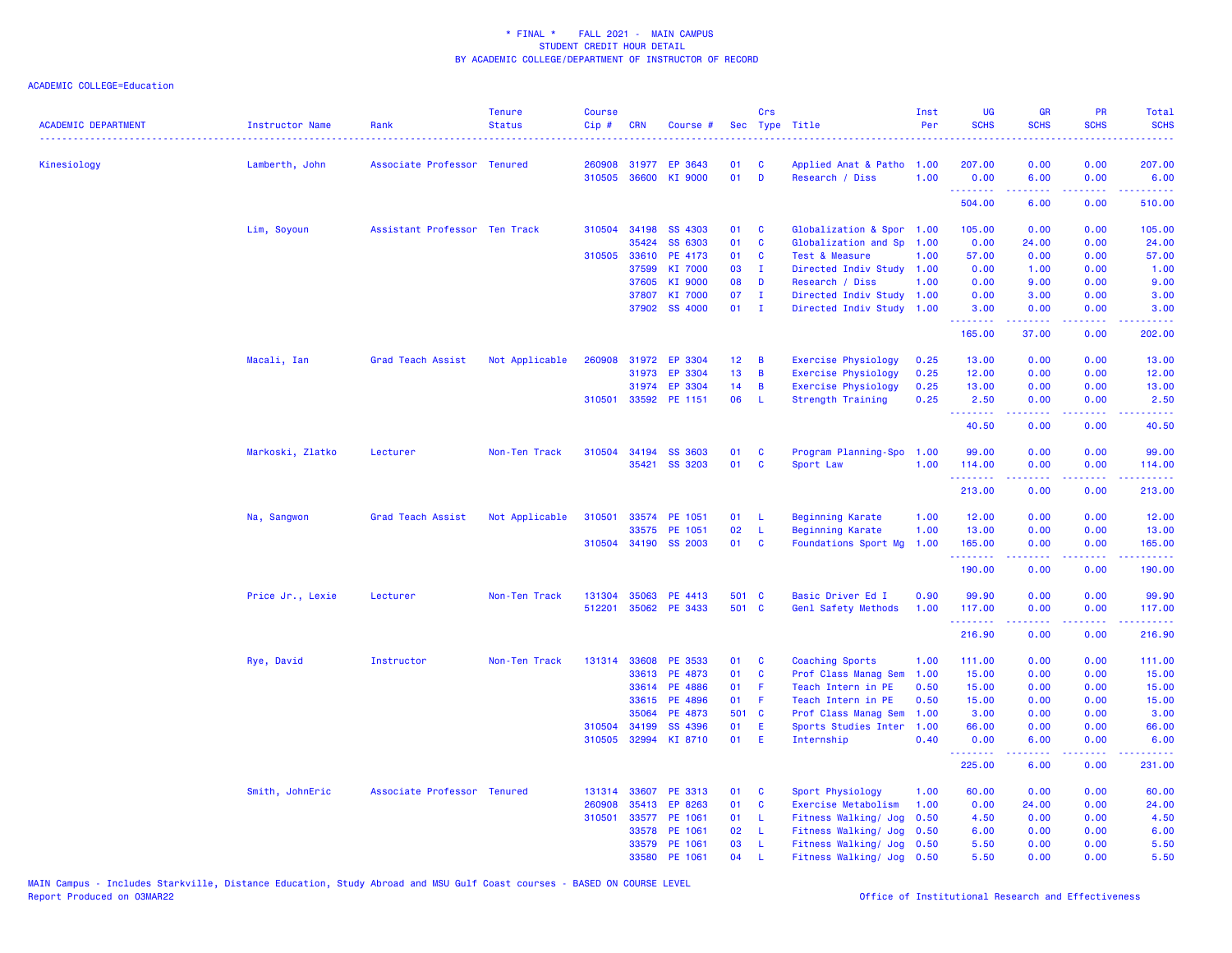| <b>ACADEMIC DEPARTMENT</b> | <b>Instructor Name</b> | Rank                          | <b>Tenure</b><br><b>Status</b> | <b>Course</b><br>Cip# | <b>CRN</b>   | Course #             |                 | Crs            | Sec Type Title              | Inst<br>Per | <b>UG</b><br><b>SCHS</b> | <b>GR</b><br><b>SCHS</b>                                                                                                                                     | <b>PR</b><br><b>SCHS</b>            | Total<br><b>SCHS</b>                                                                                                                                           |
|----------------------------|------------------------|-------------------------------|--------------------------------|-----------------------|--------------|----------------------|-----------------|----------------|-----------------------------|-------------|--------------------------|--------------------------------------------------------------------------------------------------------------------------------------------------------------|-------------------------------------|----------------------------------------------------------------------------------------------------------------------------------------------------------------|
| Kinesiology                | Lamberth, John         | Associate Professor Tenured   |                                | 260908                | 31977        | EP 3643              | 01              | <b>C</b>       | Applied Anat & Patho 1.00   |             | 207.00                   | 0.00                                                                                                                                                         | 0.00                                | 207.00                                                                                                                                                         |
|                            |                        |                               |                                | 310505                | 36600        | KI 9000              | 01              | D              | Research / Diss             | 1.00        | 0.00                     | 6.00                                                                                                                                                         | 0.00                                | 6.00                                                                                                                                                           |
|                            |                        |                               |                                |                       |              |                      |                 |                |                             |             | 504.00                   | 6.00                                                                                                                                                         | $\sim$ $\sim$ $\sim$<br>0.00        | 510.00                                                                                                                                                         |
|                            | Lim, Soyoun            | Assistant Professor Ten Track |                                |                       | 310504 34198 | SS 4303              | 01              | C              | Globalization & Spor        | 1.00        | 105.00                   | 0.00                                                                                                                                                         | 0.00                                | 105.00                                                                                                                                                         |
|                            |                        |                               |                                |                       | 35424        | SS 6303              | 01              | C              | Globalization and Sp        | 1.00        | 0.00                     | 24.00                                                                                                                                                        | 0.00                                | 24.00                                                                                                                                                          |
|                            |                        |                               |                                |                       | 310505 33610 | PE 4173              | 01              | C              | Test & Measure              | 1.00        | 57.00                    | 0.00                                                                                                                                                         | 0.00                                | 57.00                                                                                                                                                          |
|                            |                        |                               |                                |                       | 37599        | KI 7000              | 03              | п              | Directed Indiv Study        | 1.00        | 0.00                     | 1.00                                                                                                                                                         | 0.00                                | 1.00                                                                                                                                                           |
|                            |                        |                               |                                |                       | 37605        | KI 9000              | 08              | D              | Research / Diss             | 1.00        | 0.00                     | 9.00                                                                                                                                                         | 0.00                                | 9.00                                                                                                                                                           |
|                            |                        |                               |                                |                       | 37807        | KI 7000              | 07              | - I            | Directed Indiv Study        | 1.00        | 0.00                     | 3.00                                                                                                                                                         | 0.00                                | 3.00                                                                                                                                                           |
|                            |                        |                               |                                |                       |              | 37902 SS 4000        | 01              | $\blacksquare$ | Directed Indiv Study 1.00   |             | 3.00<br>.                | 0.00<br>$\frac{1}{2} \left( \frac{1}{2} \right) \left( \frac{1}{2} \right) \left( \frac{1}{2} \right) \left( \frac{1}{2} \right) \left( \frac{1}{2} \right)$ | 0.00<br>$\frac{1}{2}$               | 3.00<br>.                                                                                                                                                      |
|                            |                        |                               |                                |                       |              |                      |                 |                |                             |             | 165.00                   | 37.00                                                                                                                                                        | 0.00                                | 202.00                                                                                                                                                         |
|                            | Macali, Ian            | Grad Teach Assist             | Not Applicable                 | 260908                |              | 31972 EP 3304        | 12 <sub>2</sub> | B              | <b>Exercise Physiology</b>  | 0.25        | 13.00                    | 0.00                                                                                                                                                         | 0.00                                | 13.00                                                                                                                                                          |
|                            |                        |                               |                                |                       | 31973        | EP 3304              | 13              | B              | <b>Exercise Physiology</b>  | 0.25        | 12.00                    | 0.00                                                                                                                                                         | 0.00                                | 12.00                                                                                                                                                          |
|                            |                        |                               |                                |                       | 31974        | EP 3304              | 14              | B              | <b>Exercise Physiology</b>  | 0.25        | 13.00                    | 0.00                                                                                                                                                         | 0.00                                | 13.00                                                                                                                                                          |
|                            |                        |                               |                                |                       |              | 310501 33592 PE 1151 | 06              | L              | <b>Strength Training</b>    | 0.25        | 2.50<br>.                | 0.00<br>22222                                                                                                                                                | 0.00<br>$\sim$ $\sim$ $\sim$ $\sim$ | 2.50<br>.                                                                                                                                                      |
|                            |                        |                               |                                |                       |              |                      |                 |                |                             |             | 40.50                    | 0.00                                                                                                                                                         | 0.00                                | 40.50                                                                                                                                                          |
|                            | Markoski, Zlatko       | Lecturer                      | Non-Ten Track                  | 310504                | 34194        | <b>SS 3603</b>       | 01              | C              | Program Planning-Spo        | 1.00        | 99.00                    | 0.00                                                                                                                                                         | 0.00                                | 99.00                                                                                                                                                          |
|                            |                        |                               |                                |                       | 35421        | SS 3203              | 01              | C              | Sport Law                   | 1.00        | 114.00                   | 0.00                                                                                                                                                         | 0.00                                | 114.00                                                                                                                                                         |
|                            |                        |                               |                                |                       |              |                      |                 |                |                             |             | .<br>213.00              | .<br>0.00                                                                                                                                                    | .<br>0.00                           | $\frac{1}{2} \left( \frac{1}{2} \right) \left( \frac{1}{2} \right) \left( \frac{1}{2} \right) \left( \frac{1}{2} \right) \left( \frac{1}{2} \right)$<br>213.00 |
|                            | Na, Sangwon            | Grad Teach Assist             | Not Applicable                 | 310501                | 33574        | PE 1051              | 01              | L              | <b>Beginning Karate</b>     | 1.00        | 12.00                    | 0.00                                                                                                                                                         | 0.00                                | 12.00                                                                                                                                                          |
|                            |                        |                               |                                |                       | 33575        | PE 1051              | 02              | $\mathbf{L}$   | <b>Beginning Karate</b>     | 1.00        | 13.00                    | 0.00                                                                                                                                                         | 0.00                                | 13.00                                                                                                                                                          |
|                            |                        |                               |                                |                       |              | 310504 34190 SS 2003 | 01              | C              | <b>Foundations Sport Mg</b> | 1.00        | 165.00                   | 0.00                                                                                                                                                         | 0.00                                | 165.00                                                                                                                                                         |
|                            |                        |                               |                                |                       |              |                      |                 |                |                             |             | <u>.</u><br>190.00       | <u>.</u><br>0.00                                                                                                                                             | .<br>0.00                           | .<br>190.00                                                                                                                                                    |
|                            | Price Jr., Lexie       | Lecturer                      | Non-Ten Track                  | 131304                | 35063        | PE 4413              | 501 C           |                | Basic Driver Ed I           | 0.90        | 99.90                    | 0.00                                                                                                                                                         | 0.00                                | 99.90                                                                                                                                                          |
|                            |                        |                               |                                | 512201                | 35062        | PE 3433              | 501 C           |                | Genl Safety Methods         | 1.00        | 117.00                   | 0.00                                                                                                                                                         | 0.00                                | 117.00                                                                                                                                                         |
|                            |                        |                               |                                |                       |              |                      |                 |                |                             |             | 216.90                   | 0.00                                                                                                                                                         | 0.00                                | 216.90                                                                                                                                                         |
|                            | Rye, David             | Instructor                    | Non-Ten Track                  |                       | 131314 33608 | PE 3533              | 01              | <b>C</b>       | Coaching Sports             | 1.00        | 111.00                   | 0.00                                                                                                                                                         | 0.00                                | 111.00                                                                                                                                                         |
|                            |                        |                               |                                |                       | 33613        | PE 4873              | 01              | C              | Prof Class Manag Sem        | 1.00        | 15.00                    | 0.00                                                                                                                                                         | 0.00                                | 15.00                                                                                                                                                          |
|                            |                        |                               |                                |                       | 33614        | PE 4886              | 01              | F              | Teach Intern in PE          | 0.50        | 15.00                    | 0.00                                                                                                                                                         | 0.00                                | 15.00                                                                                                                                                          |
|                            |                        |                               |                                |                       | 33615        | PE 4896              | 01              | -F             | Teach Intern in PE          | 0.50        | 15.00                    | 0.00                                                                                                                                                         | 0.00                                | 15.00                                                                                                                                                          |
|                            |                        |                               |                                |                       | 35064        | PE 4873              | 501 C           |                | Prof Class Manag Sem        | 1.00        | 3.00                     | 0.00                                                                                                                                                         | 0.00                                | 3.00                                                                                                                                                           |
|                            |                        |                               |                                |                       | 310504 34199 | SS 4396              | 01              | Ε              | Sports Studies Inter        | 1.00        | 66.00                    | 0.00                                                                                                                                                         | 0.00                                | 66.00                                                                                                                                                          |
|                            |                        |                               |                                | 310505                | 32994        | KI 8710              | 01              | E              | Internship                  | 0.40        | 0.00<br>.                | 6.00<br>2.2.2.2.2                                                                                                                                            | 0.00<br>.                           | 6.00<br>2.2.2.2.2.                                                                                                                                             |
|                            |                        |                               |                                |                       |              |                      |                 |                |                             |             | 225.00                   | 6.00                                                                                                                                                         | 0.00                                | 231.00                                                                                                                                                         |
|                            | Smith, JohnEric        | Associate Professor Tenured   |                                | 131314                | 33607        | PE 3313              | 01              | C              | Sport Physiology            | 1.00        | 60.00                    | 0.00                                                                                                                                                         | 0.00                                | 60.00                                                                                                                                                          |
|                            |                        |                               |                                | 260908                | 35413        | EP 8263              | 01              | C              | Exercise Metabolism         | 1.00        | 0.00                     | 24.00                                                                                                                                                        | 0.00                                | 24.00                                                                                                                                                          |
|                            |                        |                               |                                | 310501                |              | 33577 PE 1061        | 01              | L              | Fitness Walking/ Jog        | 0.50        | 4.50                     | 0.00                                                                                                                                                         | 0.00                                | 4.50                                                                                                                                                           |
|                            |                        |                               |                                |                       | 33578        | PE 1061              | 02              | L              | Fitness Walking/ Jog        | 0.50        | 6.00                     | 0.00                                                                                                                                                         | 0.00                                | 6.00                                                                                                                                                           |
|                            |                        |                               |                                |                       | 33579        | PE 1061              | 03              | L              | Fitness Walking/ Jog 0.50   |             | 5.50                     | 0.00                                                                                                                                                         | 0.00                                | 5.50                                                                                                                                                           |
|                            |                        |                               |                                |                       | 33580        | PE 1061              | 04              |                | Fitness Walking/ Jog 0.50   |             | 5.50                     | 0.00                                                                                                                                                         | 0.00                                | 5.50                                                                                                                                                           |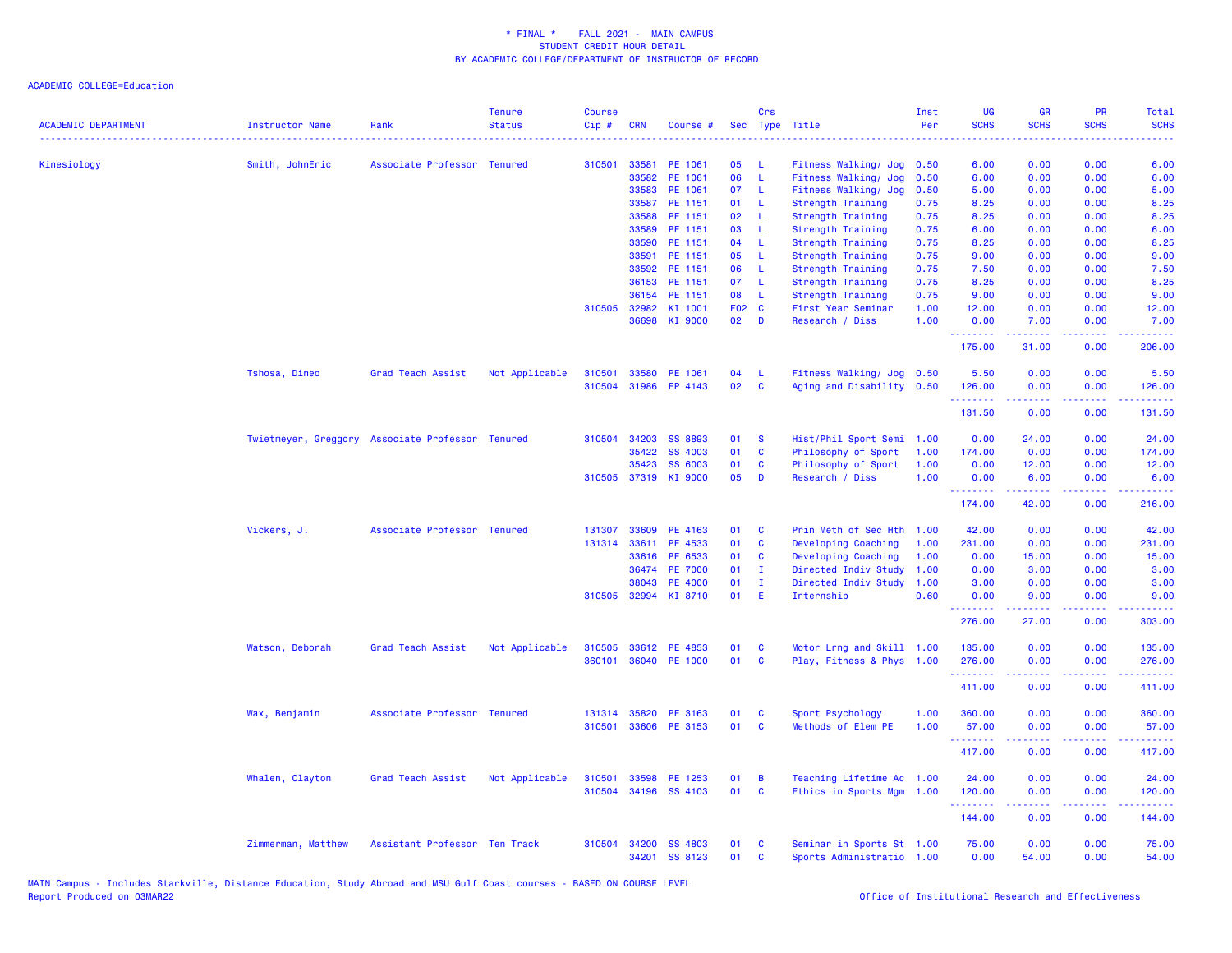| <b>ACADEMIC DEPARTMENT</b> | <b>Instructor Name</b>                           | Rank                          | <b>Tenure</b><br><b>Status</b> | <b>Course</b><br>Cip# | <b>CRN</b>   | Course #       |       | Crs          | Sec Type Title            | Inst<br>Per | UG<br><b>SCHS</b>    | <b>GR</b><br><b>SCHS</b> | PR<br><b>SCHS</b>                                                                                      | Total<br><b>SCHS</b><br>. |
|----------------------------|--------------------------------------------------|-------------------------------|--------------------------------|-----------------------|--------------|----------------|-------|--------------|---------------------------|-------------|----------------------|--------------------------|--------------------------------------------------------------------------------------------------------|---------------------------|
| Kinesiology                | Smith, JohnEric                                  | Associate Professor Tenured   |                                | 310501                | 33581        | PE 1061        | 05    | - 1.         | Fitness Walking/ Jog      | 0.50        | 6.00                 | 0.00                     | 0.00                                                                                                   | 6.00                      |
|                            |                                                  |                               |                                |                       | 33582        | PE 1061        | 06    | $\mathbf{L}$ | Fitness Walking/ Jog      | 0.50        | 6.00                 | 0.00                     | 0.00                                                                                                   | 6.00                      |
|                            |                                                  |                               |                                |                       | 33583        | PE 1061        | 07    | -L           | Fitness Walking/ Jog      | 0.50        | 5.00                 | 0.00                     | 0.00                                                                                                   | 5.00                      |
|                            |                                                  |                               |                                |                       | 33587        | PE 1151        | 01    | -L           | Strength Training         | 0.75        | 8.25                 | 0.00                     | 0.00                                                                                                   | 8.25                      |
|                            |                                                  |                               |                                |                       | 33588        | PE 1151        | 02    | -L           | Strength Training         | 0.75        | 8.25                 | 0.00                     | 0.00                                                                                                   | 8.25                      |
|                            |                                                  |                               |                                |                       | 33589        | PE 1151        | 03    | -L           | <b>Strength Training</b>  | 0.75        | 6.00                 | 0.00                     | 0.00                                                                                                   | 6.00                      |
|                            |                                                  |                               |                                |                       | 33590        | PE 1151        | 04    | -L           | Strength Training         | 0.75        | 8.25                 | 0.00                     | 0.00                                                                                                   | 8.25                      |
|                            |                                                  |                               |                                |                       | 33591        | PE 1151        | 05    | -L           | Strength Training         | 0.75        | 9.00                 | 0.00                     | 0.00                                                                                                   | 9.00                      |
|                            |                                                  |                               |                                |                       | 33592        | PE 1151        | 06    | -L           | Strength Training         | 0.75        | 7.50                 | 0.00                     | 0.00                                                                                                   | 7.50                      |
|                            |                                                  |                               |                                |                       | 36153        | PE 1151        | 07    | $\mathsf{L}$ | Strength Training         | 0.75        | 8.25                 | 0.00                     | 0.00                                                                                                   | 8.25                      |
|                            |                                                  |                               |                                |                       | 36154        | PE 1151        | 08    | L.           | Strength Training         | 0.75        | 9.00                 | 0.00                     | 0.00                                                                                                   | 9.00                      |
|                            |                                                  |                               |                                | 310505                | 32982        | KI 1001        | F02 C |              | First Year Seminar        | 1.00        | 12.00                | 0.00                     | 0.00                                                                                                   | 12.00                     |
|                            |                                                  |                               |                                |                       | 36698        | KI 9000        | 02    | $\mathbf{D}$ | Research / Diss           | 1.00        | 0.00                 | 7.00                     | 0.00                                                                                                   | 7.00                      |
|                            |                                                  |                               |                                |                       |              |                |       |              |                           |             | .<br>175.00          | د د د د د<br>31.00       | بالمحامي<br>0.00                                                                                       | .<br>206.00               |
|                            | Tshosa, Dineo                                    | Grad Teach Assist             | Not Applicable                 | 310501                |              | 33580 PE 1061  | 04    | -L.          | Fitness Walking/ Jog 0.50 |             | 5.50                 | 0.00                     | 0.00                                                                                                   | 5.50                      |
|                            |                                                  |                               |                                | 310504                | 31986        | EP 4143        | 02    | C            | Aging and Disability 0.50 |             | 126.00               | 0.00                     | 0.00                                                                                                   | 126.00                    |
|                            |                                                  |                               |                                |                       |              |                |       |              |                           |             | <u>.</u>             | .                        | .                                                                                                      | 2.2.2.2.2.                |
|                            |                                                  |                               |                                |                       |              |                |       |              |                           |             | 131.50               | 0.00                     | 0.00                                                                                                   | 131.50                    |
|                            | Twietmeyer, Greggory Associate Professor Tenured |                               |                                | 310504                | 34203        | <b>SS 8893</b> | 01    | <b>S</b>     | Hist/Phil Sport Semi 1.00 |             | 0.00                 | 24.00                    | 0.00                                                                                                   | 24.00                     |
|                            |                                                  |                               |                                |                       | 35422        | <b>SS 4003</b> | 01    | C            | Philosophy of Sport       | 1.00        | 174.00               | 0.00                     | 0.00                                                                                                   | 174.00                    |
|                            |                                                  |                               |                                |                       | 35423        | <b>SS 6003</b> | 01    | <b>C</b>     | Philosophy of Sport       | 1.00        | 0.00                 | 12.00                    | 0.00                                                                                                   | 12.00                     |
|                            |                                                  |                               |                                |                       | 310505 37319 | KI 9000        | 05    | D            | Research / Diss           | 1.00        | 0.00                 | 6.00                     | 0.00                                                                                                   | 6.00                      |
|                            |                                                  |                               |                                |                       |              |                |       |              |                           |             | <b>.</b> .<br>174.00 | .<br>42.00               | المستبدة<br>0.00                                                                                       | <u>.</u><br>216.00        |
|                            | Vickers, J.                                      | Associate Professor Tenured   |                                | 131307                | 33609        | PE 4163        | 01    | C            | Prin Meth of Sec Hth      | 1.00        | 42.00                | 0.00                     | 0.00                                                                                                   | 42.00                     |
|                            |                                                  |                               |                                | 131314                | 33611        | PE 4533        | 01    | $\mathbf{C}$ | Developing Coaching       | 1.00        | 231.00               | 0.00                     | 0.00                                                                                                   | 231.00                    |
|                            |                                                  |                               |                                |                       | 33616        | PE 6533        | 01    | C            | Developing Coaching       | 1.00        | 0.00                 | 15.00                    | 0.00                                                                                                   | 15.00                     |
|                            |                                                  |                               |                                |                       | 36474        | <b>PE 7000</b> | 01    | $\mathbf{I}$ | Directed Indiv Study      | 1.00        | 0.00                 | 3.00                     | 0.00                                                                                                   | 3.00                      |
|                            |                                                  |                               |                                |                       | 38043        | PE 4000        | 01    | $\mathbf{I}$ | Directed Indiv Study      | 1.00        | 3.00                 | 0.00                     | 0.00                                                                                                   | 3.00                      |
|                            |                                                  |                               |                                | 310505                |              | 32994 KI 8710  | 01    | - E          | Internship                | 0.60        | 0.00                 | 9.00                     | 0.00                                                                                                   | 9.00                      |
|                            |                                                  |                               |                                |                       |              |                |       |              |                           |             | <b>.</b> .<br>276.00 | 22222<br>27.00           | $\frac{1}{2} \left( \frac{1}{2} \right) \left( \frac{1}{2} \right) \left( \frac{1}{2} \right)$<br>0.00 | <u>.</u><br>303.00        |
|                            | Watson, Deborah                                  | Grad Teach Assist             | Not Applicable                 | 310505                |              | 33612 PE 4853  | 01    | <b>C</b>     | Motor Lrng and Skill 1.00 |             | 135.00               | 0.00                     | 0.00                                                                                                   | 135.00                    |
|                            |                                                  |                               |                                | 360101                |              | 36040 PE 1000  | 01    | $\mathbf{C}$ | Play, Fitness & Phys 1.00 |             | 276.00               | 0.00                     | 0.00                                                                                                   | 276.00                    |
|                            |                                                  |                               |                                |                       |              |                |       |              |                           |             | .<br>411.00          | -----<br>0.00            | بالأباب<br>0.00                                                                                        | .<br>411.00               |
|                            |                                                  |                               |                                |                       |              |                |       |              |                           |             |                      |                          |                                                                                                        |                           |
|                            | Wax, Benjamin                                    | Associate Professor Tenured   |                                | 131314                | 35820        | PE 3163        | 01    | C            | Sport Psychology          | 1.00        | 360.00               | 0.00                     | 0.00                                                                                                   | 360.00                    |
|                            |                                                  |                               |                                | 310501                |              | 33606 PE 3153  | 01    | <b>C</b>     | Methods of Elem PE        | 1.00        | 57.00<br>.           | 0.00<br>.                | 0.00<br>.                                                                                              | 57.00<br>.                |
|                            |                                                  |                               |                                |                       |              |                |       |              |                           |             | 417.00               | 0.00                     | 0.00                                                                                                   | 417.00                    |
|                            | Whalen, Clayton                                  | Grad Teach Assist             | Not Applicable                 | 310501                | 33598        | PE 1253        | 01    | B            | Teaching Lifetime Ac 1.00 |             | 24.00                | 0.00                     | 0.00                                                                                                   | 24.00                     |
|                            |                                                  |                               |                                | 310504                |              | 34196 SS 4103  | 01    | $\mathbf{C}$ | Ethics in Sports Mgm 1.00 |             | 120.00               | 0.00                     | 0.00                                                                                                   | 120.00                    |
|                            |                                                  |                               |                                |                       |              |                |       |              |                           |             | .<br>144.00          | .<br>0.00                | بالمحامي<br>0.00                                                                                       | .<br>144.00               |
|                            | Zimmerman, Matthew                               | Assistant Professor Ten Track |                                | 310504                | 34200        | SS 4803        | 01    | <b>C</b>     | Seminar in Sports St 1.00 |             | 75.00                | 0.00                     | 0.00                                                                                                   | 75.00                     |
|                            |                                                  |                               |                                |                       | 34201        | SS 8123        | 01    | C            | Sports Administratio 1.00 |             | 0.00                 | 54.00                    | 0.00                                                                                                   | 54.00                     |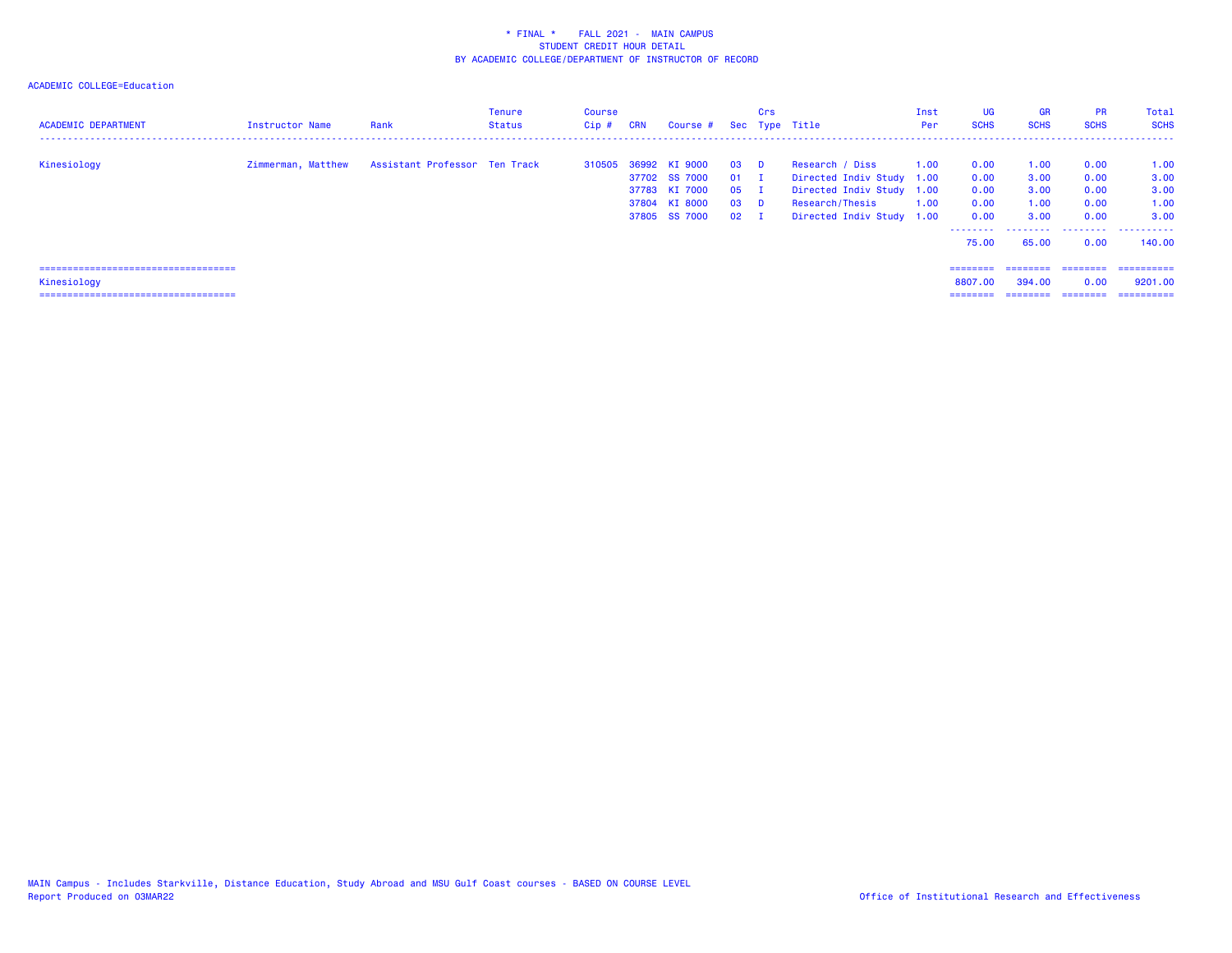| <b>ACADEMIC DEPARTMENT</b>                                                                    | Instructor Name    | Rank                          | Tenure<br>Status | <b>Course</b><br>$Cip$ # | <b>CRN</b> | Course # Sec Type Title                                                           |                                                      | Crs |                                                                                                                           | Inst<br>Per  | UG<br><b>SCHS</b>                                         | <b>GR</b><br><b>SCHS</b>                      | <b>PR</b><br><b>SCHS</b>                          | Total<br><b>SCHS</b>                                |
|-----------------------------------------------------------------------------------------------|--------------------|-------------------------------|------------------|--------------------------|------------|-----------------------------------------------------------------------------------|------------------------------------------------------|-----|---------------------------------------------------------------------------------------------------------------------------|--------------|-----------------------------------------------------------|-----------------------------------------------|---------------------------------------------------|-----------------------------------------------------|
| Kinesiology                                                                                   | Zimmerman, Matthew | Assistant Professor Ten Track |                  | 310505                   |            | 36992 KI 9000<br>37702 SS 7000<br>37783 KI 7000<br>37804 KI 8000<br>37805 SS 7000 | $03$ D<br>$01$ I<br>$05$ I<br>$03$ D<br>$02 \quad I$ |     | Research / Diss<br>Directed Indiv Study 1.00<br>Directed Indiv Study 1.00<br>Research/Thesis<br>Directed Indiv Study 1.00 | 1.00<br>1.00 | 0.00<br>0.00<br>0.00<br>0.00<br>0.00<br>--------<br>75.00 | 1.00<br>3.00<br>3.00<br>1.00<br>3.00<br>65.00 | 0.00<br>0.00<br>0.00<br>0.00<br>0.00<br>.<br>0.00 | 1.00<br>3.00<br>3.00<br>1.00<br>3.00<br>.<br>140.00 |
| =====================================<br>Kinesiology<br>===================================== |                    |                               |                  |                          |            |                                                                                   |                                                      |     |                                                                                                                           |              | ========<br>8807.00<br>========                           | ========<br>394,00                            | ========<br>0.00<br>========                      | -----------<br>9201.00<br>==========                |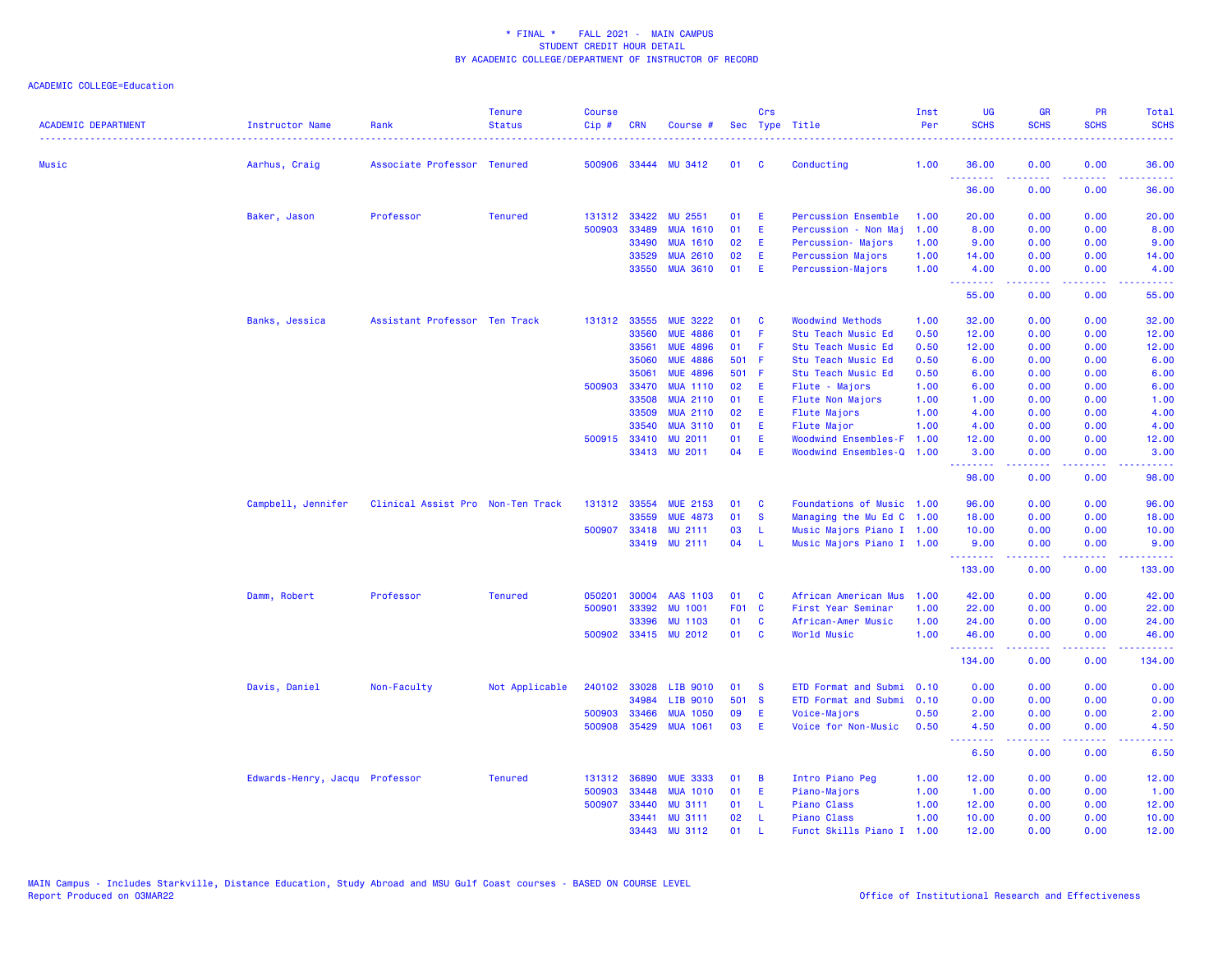| <b>ACADEMIC DEPARTMENT</b> | <b>Instructor Name</b>         | Rank                              | <b>Tenure</b><br><b>Status</b> | Course<br>Cip# | <b>CRN</b>   | Course #        |       | Crs          | Sec Type Title              | Inst<br>Per | UG<br><b>SCHS</b> | <b>GR</b><br><b>SCHS</b> | PR<br><b>SCHS</b>                                                                                      | Total<br><b>SCHS</b>      |
|----------------------------|--------------------------------|-----------------------------------|--------------------------------|----------------|--------------|-----------------|-------|--------------|-----------------------------|-------------|-------------------|--------------------------|--------------------------------------------------------------------------------------------------------|---------------------------|
| <b>Music</b>               | Aarhus, Craig                  | Associate Professor Tenured       |                                | 500906         |              | 33444 MU 3412   | 01    | C            | Conducting                  | 1.00        | 36.00<br>.        | 0.00<br>.                | 0.00<br>.                                                                                              | 36.00                     |
|                            |                                |                                   |                                |                |              |                 |       |              |                             |             | 36.00             | 0.00                     | 0.00                                                                                                   | 36.00                     |
|                            | Baker, Jason                   | Professor                         | <b>Tenured</b>                 |                | 131312 33422 | MU 2551         | 01    | Ε            | <b>Percussion Ensemble</b>  | 1.00        | 20.00             | 0.00                     | 0.00                                                                                                   | 20.00                     |
|                            |                                |                                   |                                | 500903         | 33489        | <b>MUA 1610</b> | 01    | Ε            | Percussion - Non Maj        | 1.00        | 8.00              | 0.00                     | 0.00                                                                                                   | 8.00                      |
|                            |                                |                                   |                                |                | 33490        | <b>MUA 1610</b> | 02    | Ε            | Percussion- Majors          | 1.00        | 9.00              | 0.00                     | 0.00                                                                                                   | 9.00                      |
|                            |                                |                                   |                                |                | 33529        | <b>MUA 2610</b> | 02    | E            | Percussion Majors           | 1.00        | 14.00             | 0.00                     | 0.00                                                                                                   | 14.00                     |
|                            |                                |                                   |                                |                | 33550        | <b>MUA 3610</b> | 01    | E            | Percussion-Majors           | 1.00        | 4.00<br>--------  | 0.00<br>.                | 0.00<br>$\frac{1}{2} \left( \frac{1}{2} \right) \left( \frac{1}{2} \right) \left( \frac{1}{2} \right)$ | 4.00<br>المتمام المار     |
|                            |                                |                                   |                                |                |              |                 |       |              |                             |             | 55.00             | 0.00                     | 0.00                                                                                                   | 55.00                     |
|                            | Banks, Jessica                 | Assistant Professor Ten Track     |                                |                | 131312 33555 | <b>MUE 3222</b> | 01    | C            | <b>Woodwind Methods</b>     | 1.00        | 32.00             | 0.00                     | 0.00                                                                                                   | 32.00                     |
|                            |                                |                                   |                                |                | 33560        | <b>MUE 4886</b> | 01    | F            | Stu Teach Music Ed          | 0.50        | 12.00             | 0.00                     | 0.00                                                                                                   | 12.00                     |
|                            |                                |                                   |                                |                | 33561        | <b>MUE 4896</b> | 01    | F            | Stu Teach Music Ed          | 0.50        | 12.00             | 0.00                     | 0.00                                                                                                   | 12.00                     |
|                            |                                |                                   |                                |                | 35060        | <b>MUE 4886</b> | 501 F |              | Stu Teach Music Ed          | 0.50        | 6.00              | 0.00                     | 0.00                                                                                                   | 6.00                      |
|                            |                                |                                   |                                |                | 35061        | <b>MUE 4896</b> | 501   | -F           | Stu Teach Music Ed          | 0.50        | 6.00              | 0.00                     | 0.00                                                                                                   | 6.00                      |
|                            |                                |                                   |                                | 500903         | 33470        | <b>MUA 1110</b> | 02    | E            | Flute - Majors              | 1.00        | 6.00              | 0.00                     | 0.00                                                                                                   | 6.00                      |
|                            |                                |                                   |                                |                | 33508        | <b>MUA 2110</b> | 01    | Ε            | Flute Non Majors            | 1.00        | 1.00              | 0.00                     | 0.00                                                                                                   | 1.00                      |
|                            |                                |                                   |                                |                | 33509        | <b>MUA 2110</b> | 02    | Ε            | <b>Flute Majors</b>         | 1.00        | 4.00              | 0.00                     | 0.00                                                                                                   | 4.00                      |
|                            |                                |                                   |                                |                | 33540        | <b>MUA 3110</b> | 01    | E            | Flute Major                 | 1.00        | 4.00              | 0.00                     | 0.00                                                                                                   | 4.00                      |
|                            |                                |                                   |                                |                | 500915 33410 | <b>MU 2011</b>  | 01    | Ε<br>E       | <b>Woodwind Ensembles-F</b> | 1.00        | 12.00             | 0.00                     | 0.00                                                                                                   | 12.00                     |
|                            |                                |                                   |                                |                |              | 33413 MU 2011   | 04    |              | Woodwind Ensembles-Q        | 1.00        | 3.00<br>.         | 0.00<br>.                | 0.00<br>$\omega$ and $\omega$                                                                          | 3.00<br>. د د د د         |
|                            |                                |                                   |                                |                |              |                 |       |              |                             |             | 98.00             | 0.00                     | 0.00                                                                                                   | 98.00                     |
|                            | Campbell, Jennifer             | Clinical Assist Pro Non-Ten Track |                                |                | 131312 33554 | <b>MUE 2153</b> | 01    | C            | Foundations of Music 1.00   |             | 96.00             | 0.00                     | 0.00                                                                                                   | 96.00                     |
|                            |                                |                                   |                                |                | 33559        | <b>MUE 4873</b> | 01    | <b>S</b>     | Managing the Mu Ed C 1.00   |             | 18.00             | 0.00                     | 0.00                                                                                                   | 18.00                     |
|                            |                                |                                   |                                | 500907         | 33418        | MU 2111         | 03    | L            | Music Majors Piano I 1.00   |             | 10.00             | 0.00                     | 0.00                                                                                                   | 10.00                     |
|                            |                                |                                   |                                |                |              | 33419 MU 2111   | 04    | - L          | Music Majors Piano I 1.00   |             | 9.00<br>.         | 0.00<br>-----            | 0.00<br>.                                                                                              | 9.00<br>والمستوات المنابذ |
|                            |                                |                                   |                                |                |              |                 |       |              |                             |             | 133.00            | 0.00                     | 0.00                                                                                                   | 133.00                    |
|                            | Damm, Robert                   | Professor                         | <b>Tenured</b>                 | 050201         | 30004        | AAS 1103        | 01    | C            | African American Mus        | 1.00        | 42.00             | 0.00                     | 0.00                                                                                                   | 42.00                     |
|                            |                                |                                   |                                | 500901         | 33392        | <b>MU 1001</b>  | F01 C |              | First Year Seminar          | 1.00        | 22.00             | 0.00                     | 0.00                                                                                                   | 22.00                     |
|                            |                                |                                   |                                |                | 33396        | <b>MU 1103</b>  | 01    | <b>C</b>     | African-Amer Music          | 1.00        | 24.00             | 0.00                     | 0.00                                                                                                   | 24.00                     |
|                            |                                |                                   |                                | 500902         |              | 33415 MU 2012   | 01    | C            | World Music                 | 1.00        | 46.00<br><b>.</b> | 0.00<br>.                | 0.00<br>$\sim$ $\sim$ $\sim$ $\sim$                                                                    | 46.00                     |
|                            |                                |                                   |                                |                |              |                 |       |              |                             |             | 134.00            | 0.00                     | 0.00                                                                                                   | 134.00                    |
|                            | Davis, Daniel                  | Non-Faculty                       | Not Applicable                 | 240102         | 33028        | LIB 9010        | 01    | <b>S</b>     | ETD Format and Submi        | 0.10        | 0.00              | 0.00                     | 0.00                                                                                                   | 0.00                      |
|                            |                                |                                   |                                |                | 34984        | LIB 9010        | 501   | $\mathbf{s}$ | ETD Format and Submi        | 0.10        | 0.00              | 0.00                     | 0.00                                                                                                   | 0.00                      |
|                            |                                |                                   |                                | 500903         | 33466        | <b>MUA 1050</b> | 09    | Ε            | Voice-Majors                | 0.50        | 2.00              | 0.00                     | 0.00                                                                                                   | 2.00                      |
|                            |                                |                                   |                                | 500908         | 35429        | <b>MUA 1061</b> | 03    | E            | Voice for Non-Music         | 0.50        | 4.50<br>.         | 0.00<br>.                | 0.00<br>$\frac{1}{2} \left( \frac{1}{2} \right) \left( \frac{1}{2} \right) \left( \frac{1}{2} \right)$ | 4.50<br>. <b>.</b>        |
|                            |                                |                                   |                                |                |              |                 |       |              |                             |             | 6.50              | 0.00                     | 0.00                                                                                                   | 6.50                      |
|                            | Edwards-Henry, Jacqu Professor |                                   | <b>Tenured</b>                 |                | 131312 36890 | <b>MUE 3333</b> | 01    | В            | Intro Piano Peg             | 1.00        | 12.00             | 0.00                     | 0.00                                                                                                   | 12.00                     |
|                            |                                |                                   |                                | 500903         | 33448        | <b>MUA 1010</b> | 01    | E            | Piano-Majors                | 1.00        | 1.00              | 0.00                     | 0.00                                                                                                   | 1.00                      |
|                            |                                |                                   |                                | 500907         | 33440        | <b>MU 3111</b>  | 01    | -L.          | Piano Class                 | 1.00        | 12.00             | 0.00                     | 0.00                                                                                                   | 12.00                     |
|                            |                                |                                   |                                |                | 33441        | <b>MU 3111</b>  | 02    | -L.          | Piano Class                 | 1.00        | 10.00             | 0.00                     | 0.00                                                                                                   | 10.00                     |
|                            |                                |                                   |                                |                | 33443        | <b>MU 3112</b>  | 01    | п.           | Funct Skills Piano I        | 1.00        | 12.00             | 0.00                     | 0.00                                                                                                   | 12.00                     |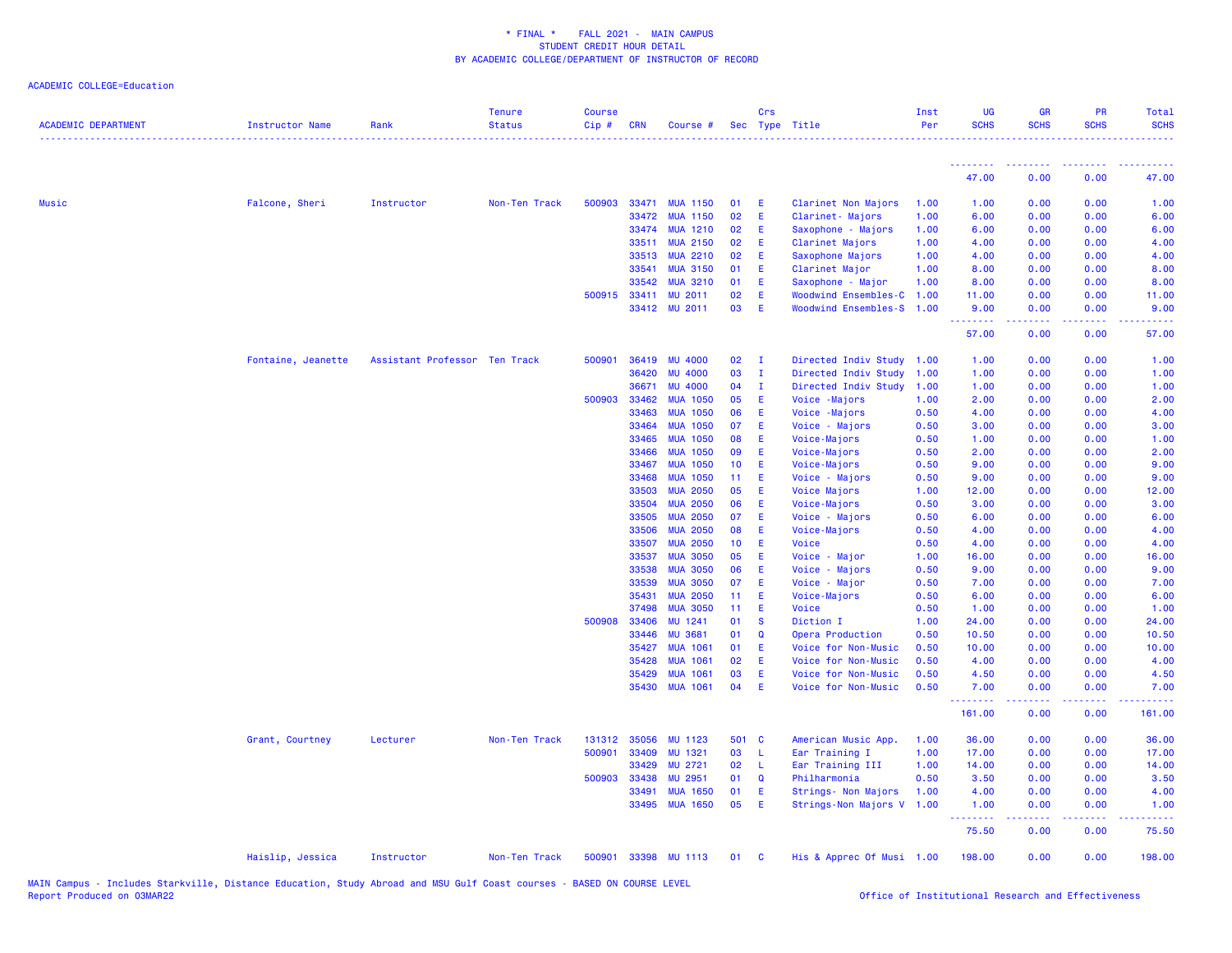| <b>ACADEMIC DEPARTMENT</b> | Instructor Name    | Rank                          | <b>Tenure</b><br><b>Status</b> | <b>Course</b><br>Cip# | <b>CRN</b>     | Course #                           |                 | Crs          | Sec Type Title                  | Inst<br>Per  | <b>UG</b><br><b>SCHS</b> | <b>GR</b><br><b>SCHS</b> | <b>PR</b><br><b>SCHS</b> | Total<br><b>SCHS</b> |
|----------------------------|--------------------|-------------------------------|--------------------------------|-----------------------|----------------|------------------------------------|-----------------|--------------|---------------------------------|--------------|--------------------------|--------------------------|--------------------------|----------------------|
|                            |                    |                               |                                |                       |                |                                    |                 |              |                                 |              | .                        |                          |                          |                      |
|                            |                    |                               |                                |                       |                |                                    |                 |              |                                 |              | 47.00                    | 0.00                     | 0.00                     | 47.00                |
| Music                      | Falcone, Sheri     | Instructor                    | Non-Ten Track                  | 500903                | 33471          | <b>MUA 1150</b>                    | 01              | - E          | Clarinet Non Majors             | 1.00         | 1.00                     | 0.00                     | 0.00                     | 1.00                 |
|                            |                    |                               |                                |                       | 33472          | <b>MUA 1150</b>                    | 02              | E            | Clarinet- Majors                | 1.00         | 6.00                     | 0.00                     | 0.00                     | 6.00                 |
|                            |                    |                               |                                |                       | 33474          | <b>MUA 1210</b>                    | 02              | E            | Saxophone - Majors              | 1.00         | 6.00                     | 0.00                     | 0.00                     | 6.00                 |
|                            |                    |                               |                                |                       | 33511          | <b>MUA 2150</b>                    | 02              | -E           | Clarinet Majors                 | 1.00         | 4.00                     | 0.00                     | 0.00                     | 4.00                 |
|                            |                    |                               |                                |                       | 33513          | <b>MUA 2210</b>                    | 02              | -E           | Saxophone Majors                | 1.00         | 4.00                     | 0.00                     | 0.00                     | 4.00                 |
|                            |                    |                               |                                |                       | 33541          | <b>MUA 3150</b>                    | 01              | E            | Clarinet Major                  | 1.00         | 8.00                     | 0.00                     | 0.00                     | 8.00                 |
|                            |                    |                               |                                |                       | 33542          | <b>MUA 3210</b>                    | 01              | E            | Saxophone - Major               | 1.00         | 8.00                     | 0.00                     | 0.00                     | 8.00                 |
|                            |                    |                               |                                |                       | 500915 33411   | <b>MU 2011</b>                     | 02              | E            | Woodwind Ensembles-C 1.00       |              | 11.00                    | 0.00                     | 0.00                     | 11.00                |
|                            |                    |                               |                                |                       |                | 33412 MU 2011                      | 03              | -E           | Woodwind Ensembles-S 1.00       |              | 9.00<br><u>.</u>         | 0.00<br>.                | 0.00                     | 9.00                 |
|                            |                    |                               |                                |                       |                |                                    |                 |              |                                 |              | 57.00                    | 0.00                     | 0.00                     | 57.00                |
|                            | Fontaine, Jeanette | Assistant Professor Ten Track |                                | 500901                | 36419          | <b>MU 4000</b>                     | 02              | $\mathbf{I}$ | Directed Indiv Study 1.00       |              | 1.00                     | 0.00                     | 0.00                     | 1.00                 |
|                            |                    |                               |                                |                       | 36420          | <b>MU 4000</b>                     | 03              | $\mathbf{I}$ | Directed Indiv Study            | 1.00         | 1.00                     | 0.00                     | 0.00                     | 1.00                 |
|                            |                    |                               |                                |                       | 36671          | <b>MU 4000</b>                     | 04              | $\mathbf{I}$ | Directed Indiv Study            | 1.00         | 1.00                     | 0.00                     | 0.00                     | 1.00                 |
|                            |                    |                               |                                | 500903                | 33462          | <b>MUA 1050</b>                    | 05              | E            | Voice - Majors                  | 1.00         | 2.00                     | 0.00                     | 0.00                     | 2.00                 |
|                            |                    |                               |                                |                       | 33463          | <b>MUA 1050</b>                    | 06              | Ε            | Voice - Majors                  | 0.50         | 4.00                     | 0.00                     | 0.00                     | 4.00                 |
|                            |                    |                               |                                |                       | 33464          | <b>MUA 1050</b>                    | 07              | - E          | Voice - Majors                  | 0.50         | 3.00                     | 0.00                     | 0.00                     | 3.00                 |
|                            |                    |                               |                                |                       | 33465          | <b>MUA 1050</b>                    | 80              | -E           | Voice-Majors                    | 0.50         | 1.00                     | 0.00                     | 0.00                     | 1.00                 |
|                            |                    |                               |                                |                       | 33466          | <b>MUA 1050</b>                    | 09              | E.           | Voice-Majors                    | 0.50         | 2.00                     | 0.00                     | 0.00                     | 2.00                 |
|                            |                    |                               |                                |                       | 33467          | <b>MUA 1050</b>                    | 10 <sub>1</sub> | E            | Voice-Majors                    | 0.50         | 9.00                     | 0.00                     | 0.00                     | 9.00                 |
|                            |                    |                               |                                |                       | 33468          | <b>MUA 1050</b>                    | 11 <sub>1</sub> | - E          | Voice - Majors                  | 0.50         | 9.00                     | 0.00                     | 0.00                     | 9.00                 |
|                            |                    |                               |                                |                       | 33503          | <b>MUA 2050</b>                    | 05              | E            | Voice Majors                    | 1.00         | 12.00                    | 0.00                     | 0.00                     | 12.00                |
|                            |                    |                               |                                |                       | 33504          | <b>MUA 2050</b>                    | 06              | E            | Voice-Majors                    | 0.50         | 3.00                     | 0.00                     | 0.00                     | 3.00                 |
|                            |                    |                               |                                |                       | 33505          | <b>MUA 2050</b>                    | 07              | - E          | Voice - Majors                  | 0.50         | 6.00                     | 0.00                     | 0.00                     | 6.00                 |
|                            |                    |                               |                                |                       | 33506          | <b>MUA 2050</b>                    | 08              | E.           | Voice-Majors                    | 0.50         | 4.00                     | 0.00                     | 0.00                     | 4.00                 |
|                            |                    |                               |                                |                       | 33507<br>33537 | <b>MUA 2050</b><br><b>MUA 3050</b> | 10 <sub>1</sub> | E<br>E.      | Voice                           | 0.50         | 4.00                     | 0.00                     | 0.00                     | 4.00<br>16.00        |
|                            |                    |                               |                                |                       | 33538          | <b>MUA 3050</b>                    | 05<br>06        | -E           | Voice - Major                   | 1.00<br>0.50 | 16.00<br>9.00            | 0.00<br>0.00             | 0.00<br>0.00             | 9.00                 |
|                            |                    |                               |                                |                       | 33539          | <b>MUA 3050</b>                    | 07              | E            | Voice - Majors<br>Voice - Major | 0.50         | 7.00                     | 0.00                     | 0.00                     | 7.00                 |
|                            |                    |                               |                                |                       | 35431          | <b>MUA 2050</b>                    | 11 <sub>1</sub> | -E           | Voice-Majors                    | 0.50         | 6.00                     | 0.00                     | 0.00                     | 6.00                 |
|                            |                    |                               |                                |                       | 37498          | <b>MUA 3050</b>                    | 11              | - E          | Voice                           | 0.50         | 1.00                     | 0.00                     | 0.00                     | 1.00                 |
|                            |                    |                               |                                | 500908                | 33406          | MU 1241                            | 01              | <b>S</b>     | Diction I                       | 1.00         | 24.00                    | 0.00                     | 0.00                     | 24.00                |
|                            |                    |                               |                                |                       | 33446          | <b>MU 3681</b>                     | 01              | $\mathbf Q$  | Opera Production                | 0.50         | 10.50                    | 0.00                     | 0.00                     | 10.50                |
|                            |                    |                               |                                |                       | 35427          | <b>MUA 1061</b>                    | 01              | E            | Voice for Non-Music             | 0.50         | 10.00                    | 0.00                     | 0.00                     | 10.00                |
|                            |                    |                               |                                |                       | 35428          | <b>MUA 1061</b>                    | 02              | E            | Voice for Non-Music             | 0.50         | 4.00                     | 0.00                     | 0.00                     | 4.00                 |
|                            |                    |                               |                                |                       | 35429          | <b>MUA 1061</b>                    | 03              | E            | Voice for Non-Music             | 0.50         | 4.50                     | 0.00                     | 0.00                     | 4.50                 |
|                            |                    |                               |                                |                       | 35430          | <b>MUA 1061</b>                    | 04              | - E          | Voice for Non-Music             | 0.50         | 7.00                     | 0.00                     | 0.00                     | 7.00                 |
|                            |                    |                               |                                |                       |                |                                    |                 |              |                                 |              | .<br>161.00              | بالأباب<br>0.00          | بالأباب<br>0.00          | 161.00               |
|                            | Grant, Courtney    | Lecturer                      | Non-Ten Track                  | 131312                | 35056          | MU 1123                            | 501 C           |              | American Music App.             | 1.00         | 36.00                    | 0.00                     | 0.00                     | 36.00                |
|                            |                    |                               |                                | 500901                | 33409          | MU 1321                            | 03              | - L          | Ear Training I                  | 1.00         | 17.00                    | 0.00                     | 0.00                     | 17.00                |
|                            |                    |                               |                                |                       | 33429          | MU 2721                            | 02              | - L          | Ear Training III                | 1.00         | 14.00                    | 0.00                     | 0.00                     | 14.00                |
|                            |                    |                               |                                | 500903                | 33438          | MU 2951                            | 01              | Q            | Philharmonia                    | 0.50         | 3.50                     | 0.00                     | 0.00                     | 3.50                 |
|                            |                    |                               |                                |                       | 33491          | <b>MUA 1650</b>                    | 01              | E            | Strings- Non Majors             | 1.00         | 4.00                     | 0.00                     | 0.00                     | 4.00                 |
|                            |                    |                               |                                |                       | 33495          | <b>MUA 1650</b>                    | 05              | E            | Strings-Non Majors V 1.00       |              | 1.00<br>.                | 0.00<br>.                | 0.00<br>.                | 1.00<br>.            |
|                            |                    |                               |                                |                       |                |                                    |                 |              |                                 |              | 75.50                    | 0.00                     | 0.00                     | 75.50                |
|                            | Haislip, Jessica   | Instructor                    | Non-Ten Track                  | 500901                |                | 33398 MU 1113                      | 01              | $\mathbf{C}$ | His & Apprec Of Musi 1.00       |              | 198.00                   | 0.00                     | 0.00                     | 198.00               |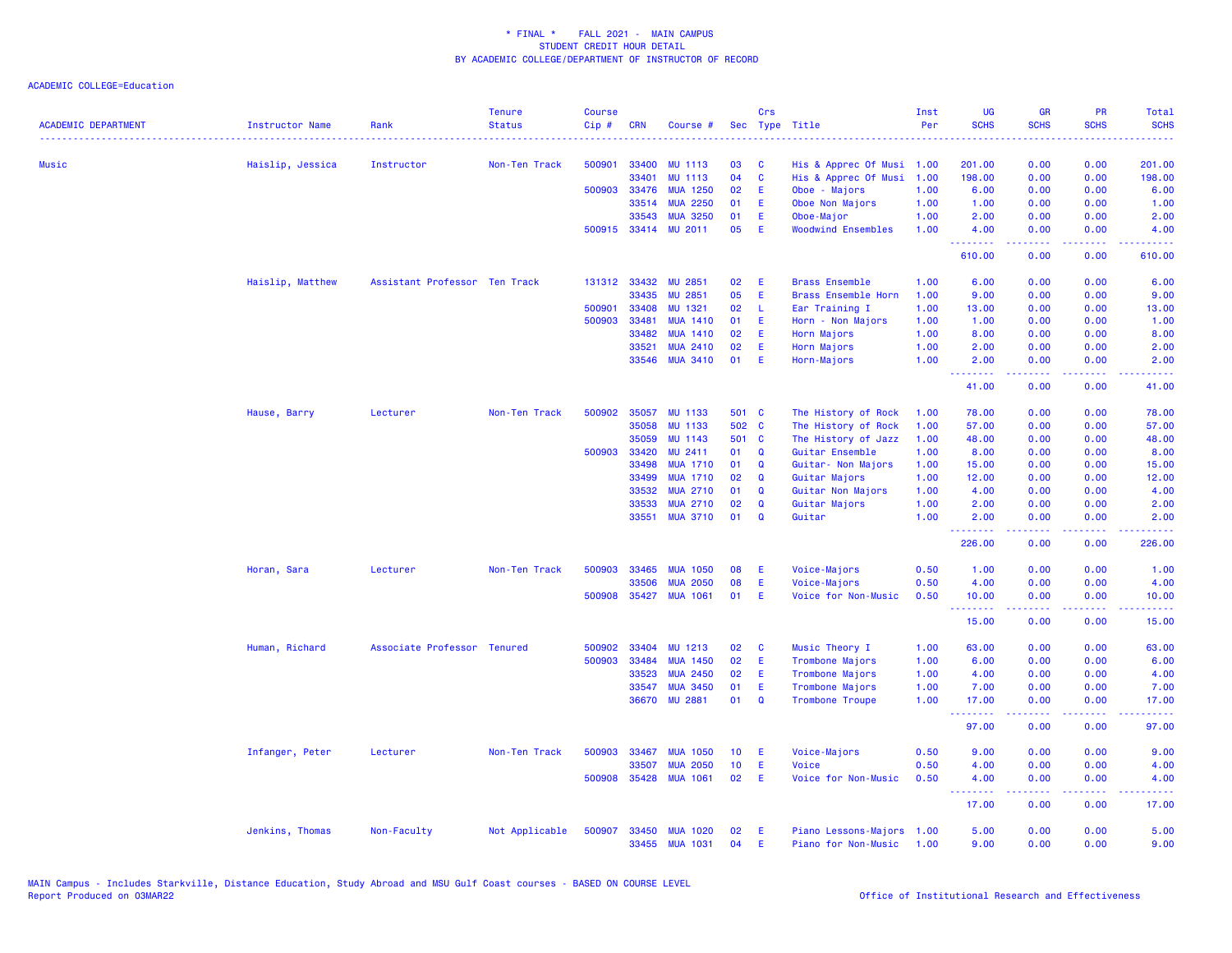| <b>ACADEMIC DEPARTMENT</b> | <b>Instructor Name</b> | Rank                          | <b>Tenure</b><br><b>Status</b> | <b>Course</b><br>Cip# | <b>CRN</b>   | Course #             |       | Crs          | Sec Type Title             | Inst<br>Per | <b>UG</b><br><b>SCHS</b> | <b>GR</b><br><b>SCHS</b>      | <b>PR</b><br><b>SCHS</b> | Total<br><b>SCHS</b>                                                                                                              |
|----------------------------|------------------------|-------------------------------|--------------------------------|-----------------------|--------------|----------------------|-------|--------------|----------------------------|-------------|--------------------------|-------------------------------|--------------------------|-----------------------------------------------------------------------------------------------------------------------------------|
|                            | .                      |                               |                                |                       |              |                      |       |              |                            |             |                          |                               |                          |                                                                                                                                   |
| Music                      | Haislip, Jessica       | Instructor                    | Non-Ten Track                  | 500901                | 33400        | <b>MU 1113</b>       | 03    | <b>C</b>     | His & Apprec Of Musi       | 1.00        | 201.00                   | 0.00                          | 0.00                     | 201.00                                                                                                                            |
|                            |                        |                               |                                |                       | 33401        | <b>MU 1113</b>       | 04    | C            | His & Apprec Of Musi       | 1.00        | 198.00                   | 0.00                          | 0.00                     | 198.00                                                                                                                            |
|                            |                        |                               |                                |                       | 500903 33476 | <b>MUA 1250</b>      | 02    | E.           | Oboe - Majors              | 1.00        | 6.00                     | 0.00                          | 0.00                     | 6.00                                                                                                                              |
|                            |                        |                               |                                |                       | 33514        | <b>MUA 2250</b>      | 01    | Æ            | Oboe Non Majors            | 1.00        | 1.00                     | 0.00                          | 0.00                     | 1.00                                                                                                                              |
|                            |                        |                               |                                |                       | 33543        | <b>MUA 3250</b>      | 01    | E            | Oboe-Major                 | 1.00        | 2.00                     | 0.00                          | 0.00                     | 2.00                                                                                                                              |
|                            |                        |                               |                                |                       |              | 500915 33414 MU 2011 | 05    | E            | <b>Woodwind Ensembles</b>  | 1.00        | 4.00<br><u>.</u>         | 0.00<br>2.2.2.2.2             | 0.00<br>.                | 4.00<br><b>.</b> .                                                                                                                |
|                            |                        |                               |                                |                       |              |                      |       |              |                            |             | 610.00                   | 0.00                          | 0.00                     | 610.00                                                                                                                            |
|                            | Haislip, Matthew       | Assistant Professor Ten Track |                                |                       | 131312 33432 | <b>MU 2851</b>       | 02    | E            | <b>Brass Ensemble</b>      | 1.00        | 6.00                     | 0.00                          | 0.00                     | 6.00                                                                                                                              |
|                            |                        |                               |                                |                       | 33435        | <b>MU 2851</b>       | 05    | E            | <b>Brass Ensemble Horn</b> | 1.00        | 9.00                     | 0.00                          | 0.00                     | 9.00                                                                                                                              |
|                            |                        |                               |                                | 500901                | 33408        | MU 1321              | 02    | -L           | Ear Training I             | 1.00        | 13.00                    | 0.00                          | 0.00                     | 13.00                                                                                                                             |
|                            |                        |                               |                                | 500903                | 33481        | <b>MUA 1410</b>      | 01    | E            | Horn - Non Majors          | 1.00        | 1.00                     | 0.00                          | 0.00                     | 1.00                                                                                                                              |
|                            |                        |                               |                                |                       | 33482        | <b>MUA 1410</b>      | 02    | Æ            | Horn Majors                | 1.00        | 8.00                     | 0.00                          | 0.00                     | 8.00                                                                                                                              |
|                            |                        |                               |                                |                       | 33521        | <b>MUA 2410</b>      | 02    | E            | Horn Majors                | 1.00        | 2.00                     | 0.00                          | 0.00                     | 2.00                                                                                                                              |
|                            |                        |                               |                                |                       | 33546        | <b>MUA 3410</b>      | 01    | E            | Horn-Majors                | 1.00        | 2.00<br>.                | 0.00<br>.                     | 0.00<br>الداعات عادة     | 2.00<br>$\frac{1}{2} \left( \frac{1}{2} \right) \left( \frac{1}{2} \right) \left( \frac{1}{2} \right) \left( \frac{1}{2} \right)$ |
|                            |                        |                               |                                |                       |              |                      |       |              |                            |             | 41.00                    | 0.00                          | 0.00                     | 41.00                                                                                                                             |
|                            | Hause, Barry           | Lecturer                      | Non-Ten Track                  | 500902                | 35057        | <b>MU 1133</b>       | 501 C |              | The History of Rock        | 1.00        | 78.00                    | 0.00                          | 0.00                     | 78.00                                                                                                                             |
|                            |                        |                               |                                |                       | 35058        | <b>MU 1133</b>       | 502 C |              | The History of Rock        | 1.00        | 57.00                    | 0.00                          | 0.00                     | 57.00                                                                                                                             |
|                            |                        |                               |                                |                       | 35059        | <b>MU 1143</b>       | 501 C |              | The History of Jazz        | 1.00        | 48.00                    | 0.00                          | 0.00                     | 48.00                                                                                                                             |
|                            |                        |                               |                                | 500903                | 33420        | MU 2411              | 01    | Q            | <b>Guitar Ensemble</b>     | 1.00        | 8.00                     | 0.00                          | 0.00                     | 8.00                                                                                                                              |
|                            |                        |                               |                                |                       | 33498        | <b>MUA 1710</b>      | 01    | $\mathbf{Q}$ | Guitar- Non Majors         | 1.00        | 15.00                    | 0.00                          | 0.00                     | 15.00                                                                                                                             |
|                            |                        |                               |                                |                       | 33499        | <b>MUA 1710</b>      | 02    | Q            | Guitar Majors              | 1.00        | 12.00                    | 0.00                          | 0.00                     | 12.00                                                                                                                             |
|                            |                        |                               |                                |                       | 33532        | <b>MUA 2710</b>      | 01    | $\mathbf Q$  | Guitar Non Majors          | 1.00        | 4.00                     | 0.00                          | 0.00                     | 4.00                                                                                                                              |
|                            |                        |                               |                                |                       | 33533        | <b>MUA 2710</b>      | 02    | Q            | Guitar Majors              | 1.00        | 2.00                     | 0.00                          | 0.00                     | 2.00                                                                                                                              |
|                            |                        |                               |                                |                       |              | 33551 MUA 3710       | 01    | $\mathbf{Q}$ | Guitar                     | 1.00        | 2.00                     | 0.00                          | 0.00                     | 2.00                                                                                                                              |
|                            |                        |                               |                                |                       |              |                      |       |              |                            |             | --------<br>226.00       | -----<br>0.00                 | .<br>0.00                | -----<br>226.00                                                                                                                   |
|                            | Horan, Sara            | Lecturer                      | Non-Ten Track                  | 500903                | 33465        | <b>MUA 1050</b>      | 08    | Æ            | Voice-Majors               | 0.50        | 1.00                     | 0.00                          | 0.00                     | 1.00                                                                                                                              |
|                            |                        |                               |                                |                       | 33506        | <b>MUA 2050</b>      | 08    | E            | Voice-Majors               | 0.50        | 4.00                     | 0.00                          | 0.00                     | 4.00                                                                                                                              |
|                            |                        |                               |                                | 500908                | 35427        | <b>MUA 1061</b>      | 01    | -E           | Voice for Non-Music        | 0.50        | 10.00                    | 0.00                          | 0.00                     | 10.00                                                                                                                             |
|                            |                        |                               |                                |                       |              |                      |       |              |                            |             | .<br>15.00               | <b><i><u></u></i></b><br>0.00 | .<br>0.00                | .<br>15.00                                                                                                                        |
|                            | Human, Richard         | Associate Professor Tenured   |                                | 500902                | 33404        | <b>MU 1213</b>       | 02    | C            | Music Theory I             | 1.00        | 63.00                    | 0.00                          | 0.00                     | 63.00                                                                                                                             |
|                            |                        |                               |                                | 500903                | 33484        | <b>MUA 1450</b>      | 02    | E            | <b>Trombone Majors</b>     | 1.00        | 6.00                     | 0.00                          | 0.00                     | 6.00                                                                                                                              |
|                            |                        |                               |                                |                       | 33523        | <b>MUA 2450</b>      | 02    | Æ            | Trombone Majors            | 1.00        | 4.00                     | 0.00                          | 0.00                     | 4.00                                                                                                                              |
|                            |                        |                               |                                |                       | 33547        | <b>MUA 3450</b>      | 01    | E            | Trombone Majors            | 1.00        | 7.00                     | 0.00                          | 0.00                     | 7.00                                                                                                                              |
|                            |                        |                               |                                |                       | 36670        | <b>MU 2881</b>       | 01    | $\mathbf Q$  | <b>Trombone Troupe</b>     | 1.00        | 17.00<br>.               | 0.00<br>.                     | 0.00<br>د د د د          | 17.00<br>الداعات بال                                                                                                              |
|                            |                        |                               |                                |                       |              |                      |       |              |                            |             | 97.00                    | 0.00                          | 0.00                     | 97.00                                                                                                                             |
|                            | Infanger, Peter        | Lecturer                      | Non-Ten Track                  | 500903                | 33467        | <b>MUA 1050</b>      | 10    | -E           | Voice-Majors               | 0.50        | 9.00                     | 0.00                          | 0.00                     | 9.00                                                                                                                              |
|                            |                        |                               |                                |                       | 33507        | <b>MUA 2050</b>      | 10    | Æ            | Voice                      | 0.50        | 4.00                     | 0.00                          | 0.00                     | 4.00                                                                                                                              |
|                            |                        |                               |                                | 500908                | 35428        | <b>MUA 1061</b>      | 02    | E            | Voice for Non-Music        | 0.50        | 4.00<br><u>.</u>         | 0.00<br><u>.</u>              | 0.00<br>.                | 4.00<br>$\frac{1}{2} \left( \frac{1}{2} \right) \left( \frac{1}{2} \right) \left( \frac{1}{2} \right) \left( \frac{1}{2} \right)$ |
|                            |                        |                               |                                |                       |              |                      |       |              |                            |             | 17.00                    | 0.00                          | 0.00                     | 17.00                                                                                                                             |
|                            | Jenkins, Thomas        | Non-Faculty                   | Not Applicable                 | 500907                | 33450        | <b>MUA 1020</b>      | 02    | Æ            | Piano Lessons-Majors 1.00  |             | 5.00                     | 0.00                          | 0.00                     | 5.00                                                                                                                              |
|                            |                        |                               |                                |                       |              | 33455 MUA 1031       | 04    | E            | Piano for Non-Music        | 1.00        | 9.00                     | 0.00                          | 0.00                     | 9.00                                                                                                                              |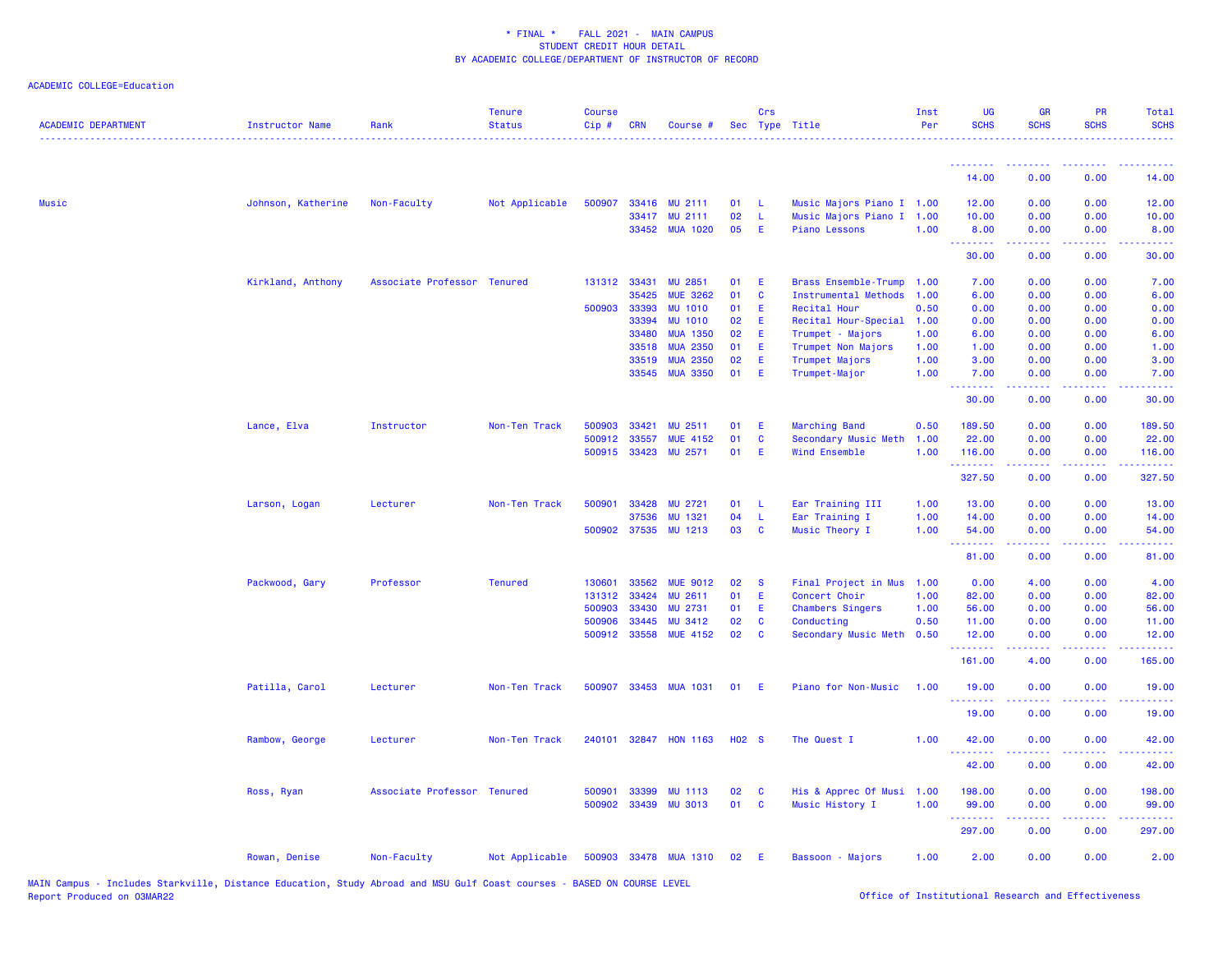# ACADEMIC COLLEGE=Education

| <b>ACADEMIC DEPARTMENT</b> | <b>Instructor Name</b> | Rank                        | <b>Tenure</b><br><b>Status</b> | <b>Course</b><br>Cip# | <b>CRN</b>   | Course #              |                   | Crs         | Sec Type Title              | Inst<br>Per | UG<br><b>SCHS</b>                                        | <b>GR</b><br><b>SCHS</b>                                                                                                                                     | PR<br><b>SCHS</b>                   | Total<br><b>SCHS</b>                 |
|----------------------------|------------------------|-----------------------------|--------------------------------|-----------------------|--------------|-----------------------|-------------------|-------------|-----------------------------|-------------|----------------------------------------------------------|--------------------------------------------------------------------------------------------------------------------------------------------------------------|-------------------------------------|--------------------------------------|
|                            |                        |                             |                                |                       |              |                       |                   |             |                             |             | <u>.</u>                                                 | .                                                                                                                                                            | $  -$                               |                                      |
|                            |                        |                             |                                |                       |              |                       |                   |             |                             |             | 14.00                                                    | 0.00                                                                                                                                                         | 0.00                                | 14.00                                |
| <b>Music</b>               | Johnson, Katherine     | Non-Faculty                 | Not Applicable                 | 500907                |              | 33416 MU 2111         | 01                | -L.         | Music Majors Piano I 1.00   |             | 12.00                                                    | 0.00                                                                                                                                                         | 0.00                                | 12.00                                |
|                            |                        |                             |                                |                       | 33417        | <b>MU 2111</b>        | 02                | L           | Music Majors Piano I        | 1.00        | 10.00                                                    | 0.00                                                                                                                                                         | 0.00                                | 10.00                                |
|                            |                        |                             |                                |                       |              | 33452 MUA 1020        | 05                | Æ           | Piano Lessons               | 1.00        | 8.00<br><b><i><u><u><b>Little Little</b></u></u></i></b> | 0.00<br>$\frac{1}{2} \left( \frac{1}{2} \right) \left( \frac{1}{2} \right) \left( \frac{1}{2} \right) \left( \frac{1}{2} \right) \left( \frac{1}{2} \right)$ | 0.00<br>.                           | 8.00<br>.                            |
|                            |                        |                             |                                |                       |              |                       |                   |             |                             |             | 30.00                                                    | 0.00                                                                                                                                                         | 0.00                                | 30.00                                |
|                            | Kirkland, Anthony      | Associate Professor Tenured |                                |                       | 131312 33431 | MU 2851               | 01                | E           | <b>Brass Ensemble-Trump</b> | 1.00        | 7.00                                                     | 0.00                                                                                                                                                         | 0.00                                | 7.00                                 |
|                            |                        |                             |                                |                       | 35425        | <b>MUE 3262</b>       | 01                | $\mathbf c$ | <b>Instrumental Methods</b> | 1.00        | 6.00                                                     | 0.00                                                                                                                                                         | 0.00                                | 6.00                                 |
|                            |                        |                             |                                | 500903                | 33393        | <b>MU 1010</b>        | 01                | E           | Recital Hour                | 0.50        | 0.00                                                     | 0.00                                                                                                                                                         | 0.00                                | 0.00                                 |
|                            |                        |                             |                                |                       | 33394        | <b>MU 1010</b>        | 02                | Ε           | Recital Hour-Special        | 1.00        | 0.00                                                     | 0.00                                                                                                                                                         | 0.00                                | 0.00                                 |
|                            |                        |                             |                                |                       | 33480        | <b>MUA 1350</b>       | 02                | E           | Trumpet - Majors            | 1.00        | 6.00                                                     | 0.00                                                                                                                                                         | 0.00                                | 6.00                                 |
|                            |                        |                             |                                |                       | 33518        | <b>MUA 2350</b>       | 01                | E           | Trumpet Non Majors          | 1.00        | 1.00                                                     | 0.00                                                                                                                                                         | 0.00                                | 1.00                                 |
|                            |                        |                             |                                |                       | 33519        | <b>MUA 2350</b>       | 02                | E           | Trumpet Majors              | 1.00        | 3.00                                                     | 0.00                                                                                                                                                         | 0.00                                | 3.00                                 |
|                            |                        |                             |                                |                       |              | 33545 MUA 3350        | 01                | Æ           | Trumpet-Major               | 1.00        | 7.00<br>.                                                | 0.00                                                                                                                                                         | 0.00<br>$\sim$ $\sim$ $\sim$ $\sim$ | 7.00                                 |
|                            |                        |                             |                                |                       |              |                       |                   |             |                             |             | 30.00                                                    | 0.00                                                                                                                                                         | 0.00                                | 30.00                                |
|                            | Lance, Elva            | Instructor                  | Non-Ten Track                  | 500903                | 33421        | MU 2511               | 01                | Æ           | Marching Band               | 0.50        | 189.50                                                   | 0.00                                                                                                                                                         | 0.00                                | 189.50                               |
|                            |                        |                             |                                | 500912                | 33557        | <b>MUE 4152</b>       | 01                | $\mathbf c$ | Secondary Music Meth        | 1.00        | 22.00                                                    | 0.00                                                                                                                                                         | 0.00                                | 22.00                                |
|                            |                        |                             |                                |                       | 500915 33423 | <b>MU 2571</b>        | 01                | E           | Wind Ensemble               | 1.00        | 116.00                                                   | 0.00                                                                                                                                                         | 0.00                                | 116.00                               |
|                            |                        |                             |                                |                       |              |                       |                   |             |                             |             | .<br>327.50                                              | 22222<br>0.00                                                                                                                                                | $  -$<br>0.00                       | والمواطنات لمارك<br>327.50           |
|                            | Larson, Logan          | Lecturer                    | Non-Ten Track                  | 500901                | 33428        | <b>MU 2721</b>        | 01                | L           | Ear Training III            | 1.00        | 13.00                                                    | 0.00                                                                                                                                                         | 0.00                                | 13.00                                |
|                            |                        |                             |                                |                       | 37536        | <b>MU 1321</b>        | 04                | L           | Ear Training I              | 1.00        | 14.00                                                    | 0.00                                                                                                                                                         | 0.00                                | 14.00                                |
|                            |                        |                             |                                |                       | 500902 37535 | <b>MU 1213</b>        | 03                | C           | Music Theory I              | 1.00        | 54.00                                                    | 0.00                                                                                                                                                         | 0.00                                | 54.00                                |
|                            |                        |                             |                                |                       |              |                       |                   |             |                             |             | .<br>81.00                                               | .<br>0.00                                                                                                                                                    | $\omega$ is a $\omega$<br>0.00      | $\omega$ is $\omega$ .<br>81.00      |
|                            | Packwood, Gary         | Professor                   | <b>Tenured</b>                 | 130601                | 33562        | <b>MUE 9012</b>       | 02                | <b>S</b>    | Final Project in Mus        | 1.00        | 0.00                                                     | 4.00                                                                                                                                                         | 0.00                                | 4.00                                 |
|                            |                        |                             |                                | 131312                | 33424        | <b>MU 2611</b>        | 01                | E           | Concert Choir               | 1.00        | 82.00                                                    | 0.00                                                                                                                                                         | 0.00                                | 82.00                                |
|                            |                        |                             |                                | 500903                | 33430        | MU 2731               | 01                | E           | <b>Chambers Singers</b>     | 1.00        | 56.00                                                    | 0.00                                                                                                                                                         | 0.00                                | 56.00                                |
|                            |                        |                             |                                | 500906                | 33445        | MU 3412               | 02                | $\mathbf c$ | Conducting                  | 0.50        | 11.00                                                    | 0.00                                                                                                                                                         | 0.00                                | 11.00                                |
|                            |                        |                             |                                |                       | 500912 33558 | <b>MUE 4152</b>       | 02                | C           | Secondary Music Meth        | 0.50        | 12.00<br>2.2.2.2.2.2                                     | 0.00                                                                                                                                                         | 0.00                                | 12.00<br>$\sim$ $\sim$ $\sim$ $\sim$ |
|                            |                        |                             |                                |                       |              |                       |                   |             |                             |             | 161.00                                                   | 4.00                                                                                                                                                         | 0.00                                | 165.00                               |
|                            | Patilla, Carol         | Lecturer                    | Non-Ten Track                  | 500907                |              | 33453 MUA 1031        | 01                | E           | Piano for Non-Music         | 1.00        | 19.00                                                    | 0.00                                                                                                                                                         | 0.00                                | 19.00                                |
|                            |                        |                             |                                |                       |              |                       |                   |             |                             |             | .<br>19.00                                               | 0.00                                                                                                                                                         | 0.00                                | 19.00                                |
|                            | Rambow, George         | Lecturer                    | Non-Ten Track                  |                       |              | 240101 32847 HON 1163 | H <sub>02</sub> S |             | The Quest I                 | 1.00        | 42.00                                                    | 0.00                                                                                                                                                         | 0.00                                | 42.00                                |
|                            |                        |                             |                                |                       |              |                       |                   |             |                             |             | 42.00                                                    | 0.00                                                                                                                                                         | 0.00                                | 42.00                                |
|                            | Ross, Ryan             | Associate Professor Tenured |                                |                       | 500901 33399 | <b>MU 1113</b>        | 02                | C           | His & Apprec Of Musi        | 1.00        | 198.00                                                   | 0.00                                                                                                                                                         | 0.00                                | 198.00                               |
|                            |                        |                             |                                |                       |              | 500902 33439 MU 3013  | 01                | <b>C</b>    | Music History I             | 1.00        | 99.00                                                    | 0.00                                                                                                                                                         | 0.00                                | 99.00                                |
|                            |                        |                             |                                |                       |              |                       |                   |             |                             |             | .                                                        |                                                                                                                                                              |                                     |                                      |
|                            |                        |                             |                                |                       |              |                       |                   |             |                             |             | 297.00                                                   | 0.00                                                                                                                                                         | 0.00                                | 297.00                               |
|                            | Rowan, Denise          | Non-Faculty                 | Not Applicable                 |                       |              | 500903 33478 MUA 1310 | 02                | - E         | Bassoon - Majors            | 1.00        | 2.00                                                     | 0.00                                                                                                                                                         | 0.00                                | 2.00                                 |

MAIN Campus - Includes Starkville, Distance Education, Study Abroad and MSU Gulf Coast courses - BASED ON COURSE LEVEL<br>Report Produced on O3MAR22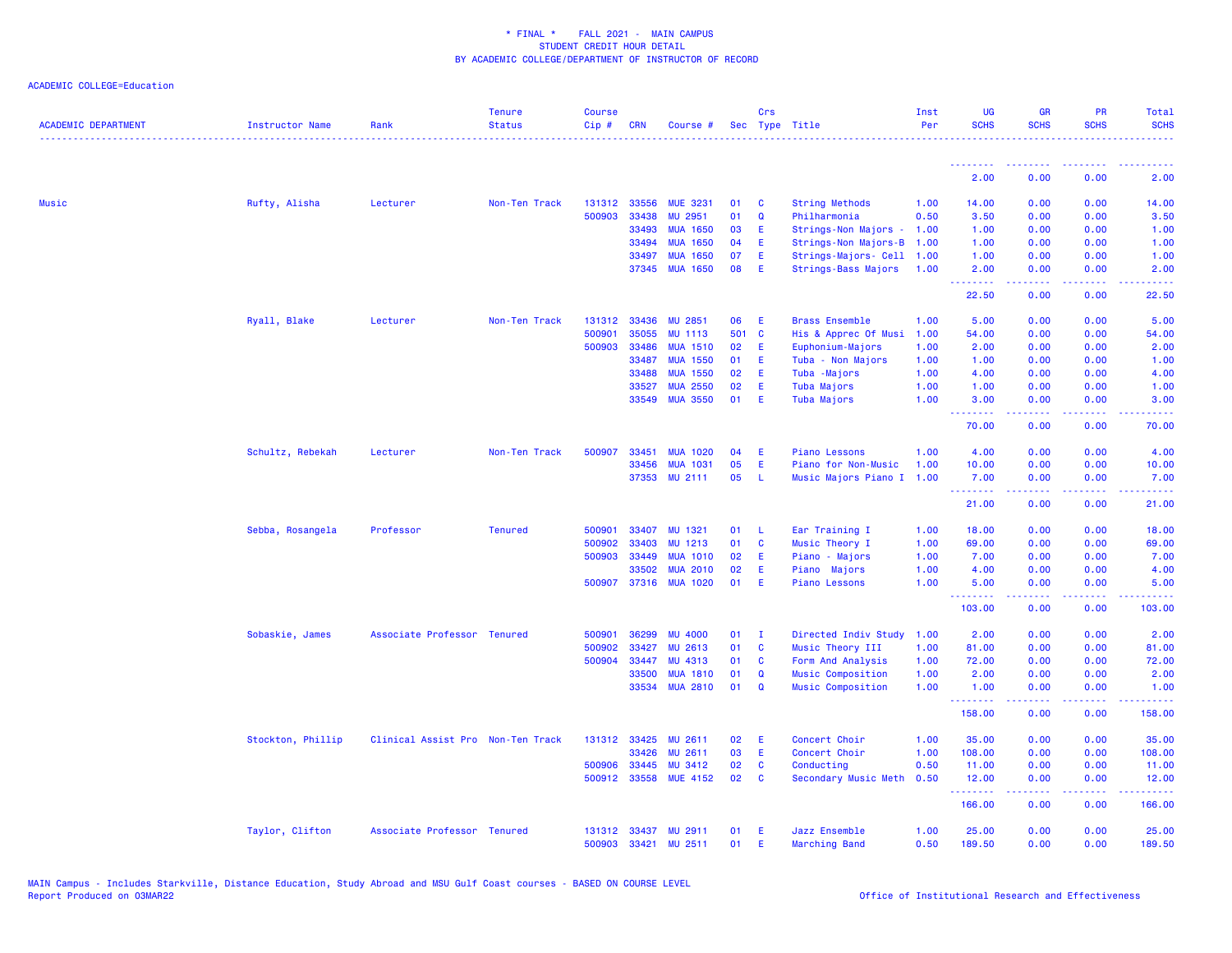| <b>ACADEMIC DEPARTMENT</b> | <b>Instructor Name</b> | Rank                              | <b>Tenure</b><br><b>Status</b> | <b>Course</b><br>Cip# | <b>CRN</b>     | Course #                           |          | Crs         | Sec Type Title                     | Inst<br>Per  | <b>UG</b><br><b>SCHS</b>                           | <b>GR</b><br><b>SCHS</b> | PR<br><b>SCHS</b>                                                                                      | Total<br><b>SCHS</b>           |
|----------------------------|------------------------|-----------------------------------|--------------------------------|-----------------------|----------------|------------------------------------|----------|-------------|------------------------------------|--------------|----------------------------------------------------|--------------------------|--------------------------------------------------------------------------------------------------------|--------------------------------|
|                            |                        |                                   |                                |                       |                |                                    |          |             |                                    |              | <b><i><u><u><b>A</b></u></u> A A A A A A A</i></b> | -----                    |                                                                                                        |                                |
|                            |                        |                                   |                                |                       |                |                                    |          |             |                                    |              | 2.00                                               | 0.00                     | 0.00                                                                                                   | 2.00                           |
| <b>Music</b>               | Rufty, Alisha          | Lecturer                          | Non-Ten Track                  | 131312                | 33556          | <b>MUE 3231</b>                    | 01       | C           | <b>String Methods</b>              | 1.00         | 14.00                                              | 0.00                     | 0.00                                                                                                   | 14.00                          |
|                            |                        |                                   |                                | 500903                | 33438          | MU 2951                            | 01       | $\mathbf Q$ | Philharmonia                       | 0.50         | 3.50                                               | 0.00                     | 0.00                                                                                                   | 3.50                           |
|                            |                        |                                   |                                |                       | 33493          | <b>MUA 1650</b>                    | 03       | Ε           | Strings-Non Majors -               | 1.00         | 1.00                                               | 0.00                     | 0.00                                                                                                   | 1.00                           |
|                            |                        |                                   |                                |                       | 33494          | <b>MUA 1650</b>                    | 04       | Ε           | Strings-Non Majors-B               | 1.00         | 1.00                                               | 0.00                     | 0.00                                                                                                   | 1.00                           |
|                            |                        |                                   |                                |                       | 33497          | <b>MUA 1650</b>                    | 07       | Ε           | Strings-Majors- Cell               | 1.00         | 1.00                                               | 0.00                     | 0.00                                                                                                   | 1.00                           |
|                            |                        |                                   |                                |                       | 37345          | <b>MUA 1650</b>                    | 08       | Ε           | Strings-Bass Majors                | 1.00         | 2.00<br>.                                          | 0.00<br>.                | 0.00<br>د د د د .                                                                                      | 2.00<br>المتمامين              |
|                            |                        |                                   |                                |                       |                |                                    |          |             |                                    |              | 22.50                                              | 0.00                     | 0.00                                                                                                   | 22.50                          |
|                            | Ryall, Blake           | Lecturer                          | Non-Ten Track                  | 131312                | 33436          | <b>MU 2851</b>                     | 06       | Ε           | <b>Brass Ensemble</b>              | 1.00         | 5.00                                               | 0.00                     | 0.00                                                                                                   | 5.00                           |
|                            |                        |                                   |                                | 500901                | 35055          | <b>MU 1113</b>                     | 501      | C           | His & Apprec Of Musi               | 1.00         | 54.00                                              | 0.00                     | 0.00                                                                                                   | 54.00                          |
|                            |                        |                                   |                                | 500903                | 33486          | <b>MUA 1510</b>                    | 02       | Ε           | Euphonium-Majors                   | 1.00         | 2.00                                               | 0.00                     | 0.00                                                                                                   | 2.00                           |
|                            |                        |                                   |                                |                       | 33487<br>33488 | <b>MUA 1550</b><br><b>MUA 1550</b> | 01<br>02 | E<br>Ε      | Tuba - Non Majors                  | 1.00         | 1.00                                               | 0.00<br>0.00             | 0.00                                                                                                   | 1.00<br>4.00                   |
|                            |                        |                                   |                                |                       | 33527          | <b>MUA 2550</b>                    | 02       | Ε           | Tuba - Majors<br>Tuba Majors       | 1.00<br>1.00 | 4.00<br>1.00                                       | 0.00                     | 0.00<br>0.00                                                                                           | 1.00                           |
|                            |                        |                                   |                                |                       | 33549          | <b>MUA 3550</b>                    | 01       | Ε           | Tuba Majors                        | 1.00         | 3.00                                               | 0.00                     | 0.00                                                                                                   | 3.00                           |
|                            |                        |                                   |                                |                       |                |                                    |          |             |                                    |              | .<br>70.00                                         | .<br>0.00                | $\frac{1}{2} \left( \frac{1}{2} \right) \left( \frac{1}{2} \right) \left( \frac{1}{2} \right)$<br>0.00 | المالمانية الم<br>70.00        |
|                            |                        |                                   |                                |                       |                |                                    |          |             |                                    |              |                                                    |                          |                                                                                                        |                                |
|                            | Schultz, Rebekah       | Lecturer                          | Non-Ten Track                  | 500907                | 33451          | <b>MUA 1020</b>                    | 04       | Ε           | <b>Piano Lessons</b>               | 1.00         | 4.00                                               | 0.00                     | 0.00                                                                                                   | 4.00                           |
|                            |                        |                                   |                                |                       | 33456          | <b>MUA 1031</b>                    | 05       | E           | Piano for Non-Music                | 1.00         | 10.00                                              | 0.00                     | 0.00                                                                                                   | 10.00                          |
|                            |                        |                                   |                                |                       | 37353          | MU 2111                            | 05       | L           | Music Majors Piano I               | 1.00         | 7.00<br>.                                          | 0.00<br>.                | 0.00<br>د د د د                                                                                        | 7.00<br>$\omega$ is $\omega$ . |
|                            |                        |                                   |                                |                       |                |                                    |          |             |                                    |              | 21.00                                              | 0.00                     | 0.00                                                                                                   | 21.00                          |
|                            | Sebba, Rosangela       | Professor                         | <b>Tenured</b>                 | 500901                | 33407          | <b>MU 1321</b>                     | 01       | -L          | Ear Training I                     | 1.00         | 18.00                                              | 0.00                     | 0.00                                                                                                   | 18.00                          |
|                            |                        |                                   |                                | 500902                | 33403          | MU 1213                            | 01       | C           | Music Theory I                     | 1.00         | 69.00                                              | 0.00                     | 0.00                                                                                                   | 69.00                          |
|                            |                        |                                   |                                | 500903                | 33449          | <b>MUA 1010</b>                    | 02       | E           | Piano - Majors                     | 1.00         | 7.00                                               | 0.00                     | 0.00                                                                                                   | 7.00                           |
|                            |                        |                                   |                                |                       | 33502          | <b>MUA 2010</b>                    | 02       | Ε           | Piano Majors                       | 1.00         | 4.00                                               | 0.00                     | 0.00                                                                                                   | 4.00                           |
|                            |                        |                                   |                                | 500907                | 37316          | <b>MUA 1020</b>                    | 01       | Ε           | <b>Piano Lessons</b>               | 1.00         | 5.00<br><b><i><u><u> - - - - - - -</u></u></i></b> | 0.00<br>د د د د          | 0.00<br>$\sim$ $\sim$ $\sim$ $\sim$                                                                    | 5.00                           |
|                            |                        |                                   |                                |                       |                |                                    |          |             |                                    |              | 103.00                                             | 0.00                     | 0.00                                                                                                   | 103.00                         |
|                            | Sobaskie, James        | Associate Professor Tenured       |                                | 500901                | 36299          | <b>MU 4000</b>                     | 01       | <b>I</b>    | Directed Indiv Study               | 1.00         | 2.00                                               | 0.00                     | 0.00                                                                                                   | 2.00                           |
|                            |                        |                                   |                                | 500902                | 33427          | <b>MU 2613</b>                     | 01       | C           | Music Theory III                   | 1.00         | 81.00                                              | 0.00                     | 0.00                                                                                                   | 81.00                          |
|                            |                        |                                   |                                | 500904                | 33447          | MU 4313                            | 01       | C           | Form And Analysis                  | 1.00         | 72.00                                              | 0.00                     | 0.00                                                                                                   | 72.00                          |
|                            |                        |                                   |                                |                       | 33500          | <b>MUA 1810</b>                    | 01       | Q           | <b>Music Composition</b>           | 1.00         | 2.00                                               | 0.00                     | 0.00                                                                                                   | 2.00                           |
|                            |                        |                                   |                                |                       | 33534          | <b>MUA 2810</b>                    | 01       | $\mathbf Q$ | Music Composition                  | 1.00         | 1.00<br>1.1.1.1.1.1.1                              | 0.00<br>.                | 0.00<br>د د د د                                                                                        | 1.00<br>الأبالا                |
|                            |                        |                                   |                                |                       |                |                                    |          |             |                                    |              | 158.00                                             | 0.00                     | 0.00                                                                                                   | 158.00                         |
|                            | Stockton, Phillip      | Clinical Assist Pro Non-Ten Track |                                | 131312                | 33425          | <b>MU 2611</b>                     | 02       | Ε           | Concert Choir                      | 1.00         | 35.00                                              | 0.00                     | 0.00                                                                                                   | 35.00                          |
|                            |                        |                                   |                                |                       | 33426          | MU 2611                            | 03       | Ε           | Concert Choir                      | 1.00         | 108.00                                             | 0.00                     | 0.00                                                                                                   | 108.00                         |
|                            |                        |                                   |                                | 500906<br>500912      | 33445<br>33558 | <b>MU 3412</b><br><b>MUE 4152</b>  | 02<br>02 | C<br>C      | Conducting<br>Secondary Music Meth | 0.50<br>0.50 | 11.00<br>12.00                                     | 0.00<br>0.00             | 0.00<br>0.00                                                                                           | 11.00<br>12.00                 |
|                            |                        |                                   |                                |                       |                |                                    |          |             |                                    |              | .                                                  | .                        | $\frac{1}{2} \left( \frac{1}{2} \right) \left( \frac{1}{2} \right) \left( \frac{1}{2} \right)$         | .                              |
|                            |                        |                                   |                                |                       |                |                                    |          |             |                                    |              | 166.00                                             | 0.00                     | 0.00                                                                                                   | 166.00                         |
|                            | Taylor, Clifton        | Associate Professor Tenured       |                                |                       | 131312 33437   | <b>MU 2911</b>                     | 01       | Ε           | Jazz Ensemble                      | 1.00         | 25.00                                              | 0.00                     | 0.00                                                                                                   | 25.00                          |
|                            |                        |                                   |                                | 500903                | 33421          | MU 2511                            | 01       | F           | <b>Marching Band</b>               | 0.50         | 189.50                                             | 0.00                     | 0.00                                                                                                   | 189.50                         |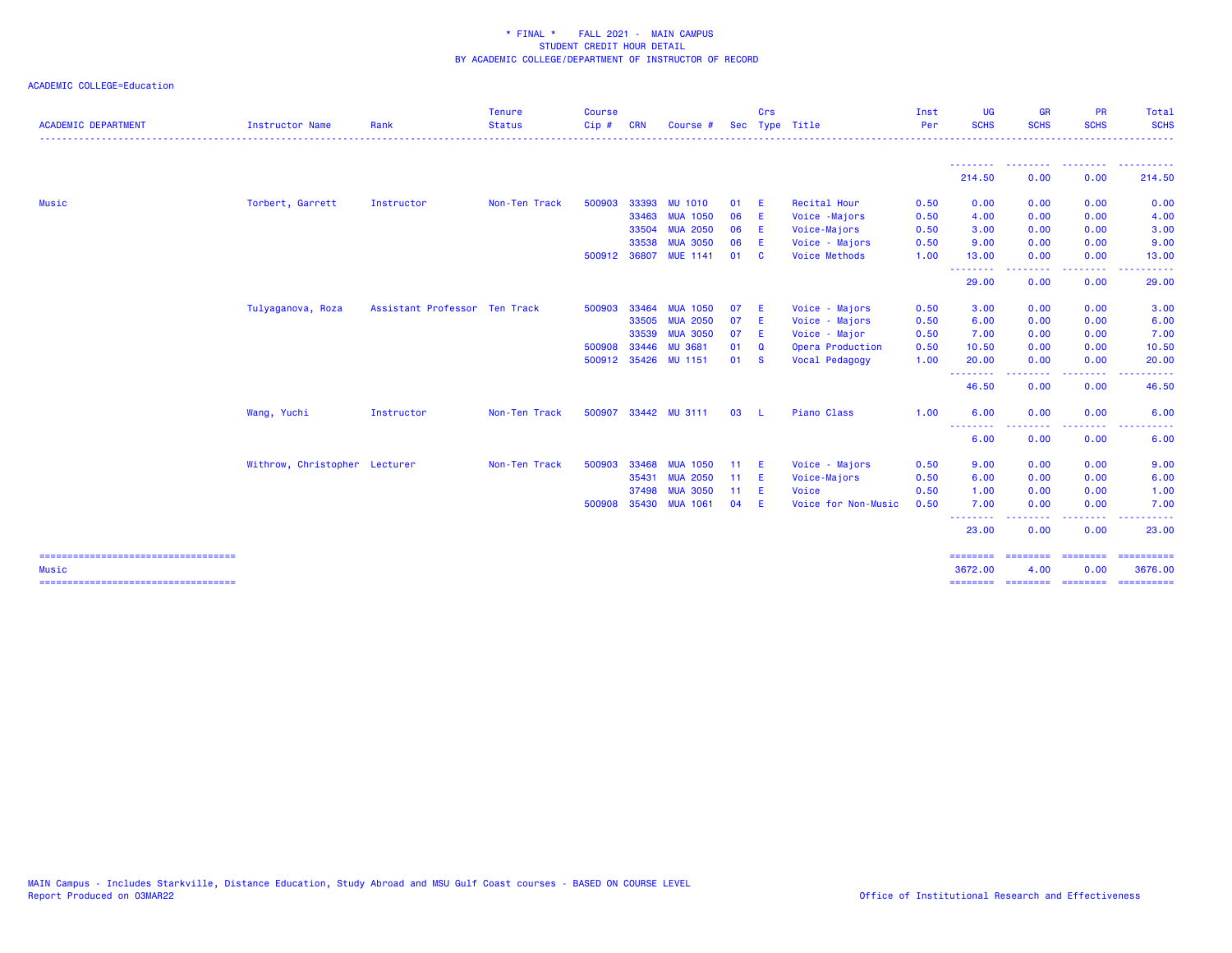| Instructor Name   | Rank             | <b>Status</b>                 | $Cip$ #                       | <b>CRN</b> | Course i                                                                                                      | Sec                                                                      |     | Type Title                                                        | Per  | <b>SCHS</b>                       | <b>SCHS</b>                                                                 | <b>SCHS</b> | Total<br><b>SCHS</b>                                                                                                                                                                                                                                                                                                                                                                                                                                                                              |
|-------------------|------------------|-------------------------------|-------------------------------|------------|---------------------------------------------------------------------------------------------------------------|--------------------------------------------------------------------------|-----|-------------------------------------------------------------------|------|-----------------------------------|-----------------------------------------------------------------------------|-------------|---------------------------------------------------------------------------------------------------------------------------------------------------------------------------------------------------------------------------------------------------------------------------------------------------------------------------------------------------------------------------------------------------------------------------------------------------------------------------------------------------|
|                   |                  |                               |                               |            |                                                                                                               |                                                                          |     |                                                                   |      | <u> - - - - - - - -</u><br>214.50 | 0.00                                                                        | 0.00        | 214.50                                                                                                                                                                                                                                                                                                                                                                                                                                                                                            |
|                   | Instructor       | Non-Ten Track                 | 500903                        |            | <b>MU 1010</b>                                                                                                | 01                                                                       |     | Recital Hour                                                      | 0.50 | 0.00                              | 0.00                                                                        | 0.00        | 0.00                                                                                                                                                                                                                                                                                                                                                                                                                                                                                              |
|                   |                  |                               |                               |            | <b>MUA 1050</b>                                                                                               | 06                                                                       |     | Voice -Majors                                                     | 0.50 | 4.00                              | 0.00                                                                        | 0.00        | 4.00                                                                                                                                                                                                                                                                                                                                                                                                                                                                                              |
|                   |                  |                               |                               |            | <b>MUA 2050</b>                                                                                               | 06                                                                       | -E  | Voice-Majors                                                      | 0.50 | 3.00                              | 0.00                                                                        | 0.00        | 3.00                                                                                                                                                                                                                                                                                                                                                                                                                                                                                              |
|                   |                  |                               |                               | 33538      | <b>MUA 3050</b>                                                                                               | 06                                                                       | -E  | Voice - Majors                                                    | 0.50 | 9.00                              | 0.00                                                                        | 0.00        | 9.00                                                                                                                                                                                                                                                                                                                                                                                                                                                                                              |
|                   |                  |                               |                               |            |                                                                                                               | 01                                                                       |     | <b>Voice Methods</b>                                              | 1.00 | 13.00                             | 0.00                                                                        | 0.00        | 13.00                                                                                                                                                                                                                                                                                                                                                                                                                                                                                             |
|                   |                  |                               |                               |            |                                                                                                               |                                                                          |     |                                                                   |      | 29.00                             | 0.00                                                                        | 0.00        | 29.00                                                                                                                                                                                                                                                                                                                                                                                                                                                                                             |
| Tulyaganova, Roza |                  |                               |                               | 33464      | <b>MUA 1050</b>                                                                                               | 07                                                                       | - E | Voice - Majors                                                    | 0.50 | 3.00                              | 0.00                                                                        | 0.00        | 3.00                                                                                                                                                                                                                                                                                                                                                                                                                                                                                              |
|                   |                  |                               |                               |            | <b>MUA 2050</b>                                                                                               | 07                                                                       |     | Voice - Majors                                                    | 0.50 | 6.00                              | 0.00                                                                        | 0.00        | 6.00                                                                                                                                                                                                                                                                                                                                                                                                                                                                                              |
|                   |                  |                               |                               | 33539      | <b>MUA 3050</b>                                                                                               | 07                                                                       |     | Voice - Major                                                     | 0.50 | 7.00                              | 0.00                                                                        | 0.00        | 7.00                                                                                                                                                                                                                                                                                                                                                                                                                                                                                              |
|                   |                  |                               |                               |            | <b>MU 3681</b>                                                                                                | 01                                                                       | Q   | Opera Production                                                  | 0.50 | 10.50                             | 0.00                                                                        | 0.00        | 10.50                                                                                                                                                                                                                                                                                                                                                                                                                                                                                             |
|                   |                  |                               |                               |            |                                                                                                               | 01                                                                       |     | Vocal Pedagogy                                                    | 1.00 | 20.00                             | 0.00                                                                        | 0.00        | 20.00                                                                                                                                                                                                                                                                                                                                                                                                                                                                                             |
|                   |                  |                               |                               |            |                                                                                                               |                                                                          |     |                                                                   |      | 46.50                             | 0.00                                                                        | 0.00        | 46.50                                                                                                                                                                                                                                                                                                                                                                                                                                                                                             |
| Wang, Yuchi       | Instructor       | Non-Ten Track                 |                               |            |                                                                                                               | 03                                                                       | - L | Piano Class                                                       | 1.00 | 6.00                              | 0.00                                                                        | 0.00        | 6.00                                                                                                                                                                                                                                                                                                                                                                                                                                                                                              |
|                   |                  |                               |                               |            |                                                                                                               |                                                                          |     |                                                                   |      | 6.00                              | 0.00                                                                        | 0.00        | 6.00                                                                                                                                                                                                                                                                                                                                                                                                                                                                                              |
|                   |                  | Non-Ten Track                 |                               | 33468      | <b>MUA 1050</b>                                                                                               | 11                                                                       |     | Voice - Majors                                                    | 0.50 | 9.00                              | 0.00                                                                        | 0.00        | 9.00                                                                                                                                                                                                                                                                                                                                                                                                                                                                                              |
|                   |                  |                               |                               | 35431      | <b>MUA 2050</b>                                                                                               |                                                                          |     | Voice-Majors                                                      | 0.50 | 6.00                              | 0.00                                                                        | 0.00        | 6.00                                                                                                                                                                                                                                                                                                                                                                                                                                                                                              |
|                   |                  |                               |                               |            | <b>MUA 3050</b>                                                                                               | 11                                                                       |     | Voice                                                             | 0.50 | 1.00                              | 0.00                                                                        | 0.00        | 1.00                                                                                                                                                                                                                                                                                                                                                                                                                                                                                              |
|                   |                  |                               |                               |            | <b>MUA 1061</b>                                                                                               | 04                                                                       | -E  | Voice for Non-Music                                               | 0.50 | 7.00                              | 0.00                                                                        | 0.00        | 7.00                                                                                                                                                                                                                                                                                                                                                                                                                                                                                              |
|                   |                  |                               |                               |            |                                                                                                               |                                                                          |     |                                                                   |      | 23.00                             | 0.00                                                                        | 0.00        | 23.00                                                                                                                                                                                                                                                                                                                                                                                                                                                                                             |
|                   |                  |                               |                               |            |                                                                                                               |                                                                          |     |                                                                   |      | ========                          |                                                                             |             | $\begin{array}{cccccccccc} \multicolumn{2}{c}{} & \multicolumn{2}{c}{} & \multicolumn{2}{c}{} & \multicolumn{2}{c}{} & \multicolumn{2}{c}{} & \multicolumn{2}{c}{} & \multicolumn{2}{c}{} & \multicolumn{2}{c}{} & \multicolumn{2}{c}{} & \multicolumn{2}{c}{} & \multicolumn{2}{c}{} & \multicolumn{2}{c}{} & \multicolumn{2}{c}{} & \multicolumn{2}{c}{} & \multicolumn{2}{c}{} & \multicolumn{2}{c}{} & \multicolumn{2}{c}{} & \multicolumn{2}{c}{} & \multicolumn{2}{c}{} & \mult$<br>3676.00 |
|                   | Torbert, Garrett | Withrow, Christopher Lecturer | Assistant Professor Ten Track |            | 33393<br>33463<br>33504<br>500903<br>33505<br>33446<br>500908<br>500907<br>500903<br>37498<br>35430<br>500908 | 500912 36807<br><b>MUE 1141</b><br>500912 35426 MU 1151<br>33442 MU 3111 |     | - E<br>- E<br>- C<br>- E<br>- E<br><b>S</b><br>- E<br>11 E<br>- E |      |                                   | .<br>--------<br><u> - - - - - - - -</u><br>--------<br>3672.00<br>======== | 4.00        | ========<br>0.00<br>sessesse sessesse<br>==========                                                                                                                                                                                                                                                                                                                                                                                                                                               |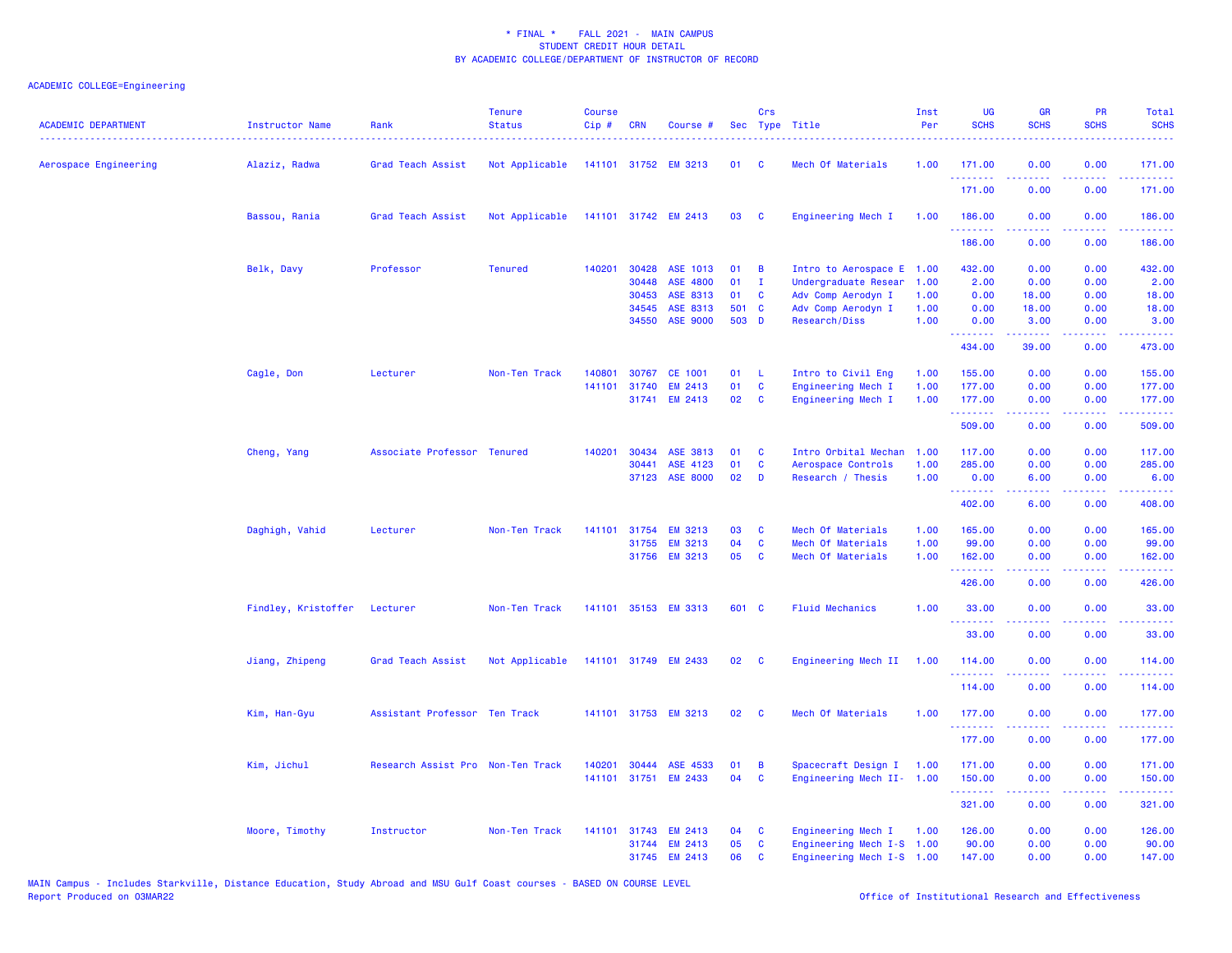| <b>ACADEMIC DEPARTMENT</b> | <b>Instructor Name</b> | Rank<br>.                         | <b>Tenure</b><br><b>Status</b> | <b>Course</b><br>Cip# | <b>CRN</b> | Course #             |                 | Crs                     | Sec Type Title            | Inst<br>Per | UG<br><b>SCHS</b>  | <b>GR</b><br><b>SCHS</b> | PR<br><b>SCHS</b>  | Total<br><b>SCHS</b>                                                                                                  |
|----------------------------|------------------------|-----------------------------------|--------------------------------|-----------------------|------------|----------------------|-----------------|-------------------------|---------------------------|-------------|--------------------|--------------------------|--------------------|-----------------------------------------------------------------------------------------------------------------------|
| Aerospace Engineering      | Alaziz, Radwa          | Grad Teach Assist                 | Not Applicable                 |                       |            | 141101 31752 EM 3213 | 01              | <b>C</b>                | Mech Of Materials         | 1.00        | 171.00             | 0.00                     | 0.00               | 171.00                                                                                                                |
|                            |                        |                                   |                                |                       |            |                      |                 |                         |                           |             | .<br>171.00        | بالأباب<br>0.00          | .<br>0.00          | .<br>171.00                                                                                                           |
|                            | Bassou, Rania          | Grad Teach Assist                 | Not Applicable                 |                       |            | 141101 31742 EM 2413 | 03              | <b>C</b>                | Engineering Mech I        | 1.00        | 186.00<br>.        | 0.00<br>.                | 0.00<br>.          | 186.00<br>.                                                                                                           |
|                            |                        |                                   |                                |                       |            |                      |                 |                         |                           |             | 186.00             | 0.00                     | 0.00               | 186.00                                                                                                                |
|                            | Belk, Davy             | Professor                         | <b>Tenured</b>                 | 140201                | 30428      | ASE 1013             | 01              | B                       | Intro to Aerospace E      | 1.00        | 432.00             | 0.00                     | 0.00               | 432.00                                                                                                                |
|                            |                        |                                   |                                |                       | 30448      | ASE 4800             | 01              | $\mathbf{I}$            | Undergraduate Resear      | 1.00        | 2.00               | 0.00                     | 0.00               | 2.00                                                                                                                  |
|                            |                        |                                   |                                |                       | 30453      | ASE 8313             | 01              | C                       | Adv Comp Aerodyn I        | 1.00        | 0.00               | 18.00                    | 0.00               | 18.00                                                                                                                 |
|                            |                        |                                   |                                |                       | 34545      | ASE 8313             | 501 C           |                         | Adv Comp Aerodyn I        | 1.00        | 0.00               | 18.00                    | 0.00               | 18.00                                                                                                                 |
|                            |                        |                                   |                                |                       |            | 34550 ASE 9000       | 503 D           |                         | Research/Diss             | 1.00        | 0.00<br>.          | 3.00<br>.                | 0.00<br>.          | 3.00<br>222223                                                                                                        |
|                            |                        |                                   |                                |                       |            |                      |                 |                         |                           |             | 434.00             | 39.00                    | 0.00               | 473.00                                                                                                                |
|                            | Cagle, Don             | Lecturer                          | Non-Ten Track                  | 140801                | 30767      | CE 1001              | 01              | -L                      | Intro to Civil Eng        | 1.00        | 155.00             | 0.00                     | 0.00               | 155.00                                                                                                                |
|                            |                        |                                   |                                | 141101                | 31740      | <b>EM 2413</b>       | 01              | <b>C</b>                | Engineering Mech I        | 1.00        | 177.00             | 0.00                     | 0.00               | 177.00                                                                                                                |
|                            |                        |                                   |                                |                       |            | 31741 EM 2413        | 02 <sub>o</sub> | C                       | Engineering Mech I        | 1.00        | 177.00             | 0.00                     | 0.00               | 177.00                                                                                                                |
|                            |                        |                                   |                                |                       |            |                      |                 |                         |                           |             | .<br>509.00        | . <b>.</b><br>0.00       | .<br>0.00          | .<br>509.00                                                                                                           |
|                            | Cheng, Yang            | Associate Professor Tenured       |                                | 140201                | 30434      | ASE 3813             | 01              | C                       | Intro Orbital Mechan      | 1.00        | 117.00             | 0.00                     | 0.00               | 117.00                                                                                                                |
|                            |                        |                                   |                                |                       | 30441      | ASE 4123             | 01              | C                       | Aerospace Controls        | 1.00        | 285.00             | 0.00                     | 0.00               | 285.00                                                                                                                |
|                            |                        |                                   |                                |                       |            | 37123 ASE 8000       | 02              | D                       | Research / Thesis         | 1.00        | 0.00               | 6.00                     | 0.00               | 6.00                                                                                                                  |
|                            |                        |                                   |                                |                       |            |                      |                 |                         |                           |             | <u>.</u><br>402.00 | .<br>6.00                | .<br>0.00          | المتمامين<br>408.00                                                                                                   |
|                            | Daghigh, Vahid         | Lecturer                          | Non-Ten Track                  | 141101                | 31754      | <b>EM 3213</b>       | 03              | C                       | Mech Of Materials         | 1.00        | 165.00             | 0.00                     | 0.00               | 165.00                                                                                                                |
|                            |                        |                                   |                                |                       |            | 31755 EM 3213        | 04              | $\mathbf{C}$            | Mech Of Materials         | 1.00        | 99.00              | 0.00                     | 0.00               | 99.00                                                                                                                 |
|                            |                        |                                   |                                |                       |            | 31756 EM 3213        | 05              | C                       | Mech Of Materials         | 1.00        | 162.00             | 0.00                     | 0.00               | 162.00                                                                                                                |
|                            |                        |                                   |                                |                       |            |                      |                 |                         |                           |             | <u>.</u><br>426.00 | المستملة<br>0.00         | .<br>0.00          | بالمتمامين<br>426.00                                                                                                  |
|                            | Findley, Kristoffer    | Lecturer                          | Non-Ten Track                  |                       |            | 141101 35153 EM 3313 | 601 C           |                         | <b>Fluid Mechanics</b>    | 1.00        | 33.00              | 0.00<br>.                | 0.00<br>.          | 33.00<br>.                                                                                                            |
|                            |                        |                                   |                                |                       |            |                      |                 |                         |                           |             | .<br>33.00         | 0.00                     | 0.00               | 33.00                                                                                                                 |
|                            | Jiang, Zhipeng         | Grad Teach Assist                 | Not Applicable                 |                       |            | 141101 31749 EM 2433 | 02              | $\overline{\mathbf{C}}$ | Engineering Mech II       | 1.00        | 114.00<br>.        | 0.00                     | 0.00<br>. <b>.</b> | 114.00<br>222223                                                                                                      |
|                            |                        |                                   |                                |                       |            |                      |                 |                         |                           |             | 114.00             | 0.00                     | 0.00               | 114.00                                                                                                                |
|                            | Kim, Han-Gyu           | Assistant Professor Ten Track     |                                |                       |            | 141101 31753 EM 3213 | 02              | <b>C</b>                | Mech Of Materials         | 1.00        | 177.00<br>.        | 0.00                     | 0.00               | 177.00<br>$\begin{array}{cccccccccc} \bullet & \bullet & \bullet & \bullet & \bullet & \bullet & \bullet \end{array}$ |
|                            |                        |                                   |                                |                       |            |                      |                 |                         |                           |             | 177.00             | 0.00                     | 0.00               | 177.00                                                                                                                |
|                            | Kim, Jichul            | Research Assist Pro Non-Ten Track |                                | 140201                |            | 30444 ASE 4533       | 01              | B                       | Spacecraft Design I 1.00  |             | 171.00             | 0.00                     | 0.00               | 171.00                                                                                                                |
|                            |                        |                                   |                                |                       |            | 141101 31751 EM 2433 | 04              | <b>C</b>                | Engineering Mech II- 1.00 |             | 150.00             | 0.00                     | 0.00               | 150.00                                                                                                                |
|                            |                        |                                   |                                |                       |            |                      |                 |                         |                           |             | .<br>321.00        | 22222<br>0.00            | 22222<br>0.00      | .<br>321.00                                                                                                           |
|                            | Moore, Timothy         | Instructor                        | Non-Ten Track                  | 141101                |            | 31743 EM 2413        | 04              | C                       | Engineering Mech I        | 1.00        | 126.00             | 0.00                     | 0.00               | 126.00                                                                                                                |
|                            |                        |                                   |                                |                       |            | 31744 EM 2413        | 05              | C                       | Engineering Mech I-S 1.00 |             | 90.00              | 0.00                     | 0.00               | 90.00                                                                                                                 |
|                            |                        |                                   |                                |                       |            | 31745 EM 2413        | 06              | <b>C</b>                | Engineering Mech I-S 1.00 |             | 147.00             | 0.00                     | 0.00               | 147.00                                                                                                                |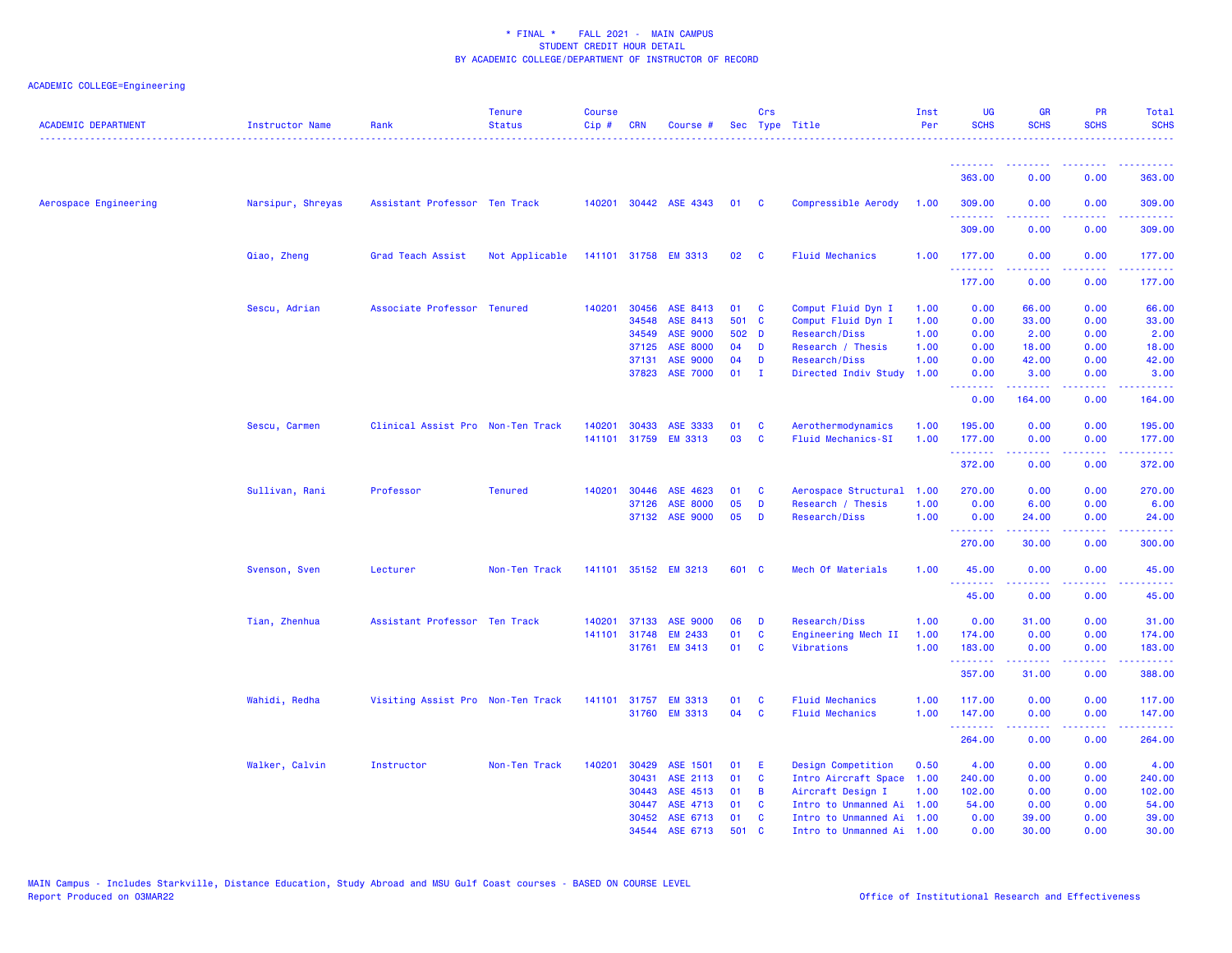| <b>ACADEMIC DEPARTMENT</b> | Instructor Name   | Rank                              | <b>Tenure</b><br><b>Status</b> | <b>Course</b><br>Cip# | <b>CRN</b> | Course #              |       | Crs          | Sec Type Title            | Inst<br>Per | <b>UG</b><br><b>SCHS</b>                           | <b>GR</b><br><b>SCHS</b> | <b>PR</b><br><b>SCHS</b>                                                                               | <b>Total</b><br><b>SCHS</b>                                                                                                     |
|----------------------------|-------------------|-----------------------------------|--------------------------------|-----------------------|------------|-----------------------|-------|--------------|---------------------------|-------------|----------------------------------------------------|--------------------------|--------------------------------------------------------------------------------------------------------|---------------------------------------------------------------------------------------------------------------------------------|
|                            |                   |                                   |                                |                       |            |                       |       |              |                           |             |                                                    |                          |                                                                                                        |                                                                                                                                 |
|                            |                   |                                   |                                |                       |            |                       |       |              |                           |             | 363.00                                             | 0.00                     | 0.00                                                                                                   | 363.00                                                                                                                          |
| Aerospace Engineering      | Narsipur, Shreyas | Assistant Professor Ten Track     |                                |                       |            | 140201 30442 ASE 4343 | 01    | <b>C</b>     | Compressible Aerody       | 1.00        | 309.00<br>.                                        | 0.00<br>.                | 0.00<br>.                                                                                              | 309.00<br><u>.</u>                                                                                                              |
|                            |                   |                                   |                                |                       |            |                       |       |              |                           |             | 309.00                                             | 0.00                     | 0.00                                                                                                   | 309.00                                                                                                                          |
|                            | Qiao, Zheng       | Grad Teach Assist                 | Not Applicable                 |                       |            | 141101 31758 EM 3313  | 02    | <b>C</b>     | <b>Fluid Mechanics</b>    | 1.00        | 177.00<br>.                                        | 0.00<br>.                | 0.00<br>$\frac{1}{2} \left( \frac{1}{2} \right) \left( \frac{1}{2} \right) \left( \frac{1}{2} \right)$ | 177.00<br><u>.</u>                                                                                                              |
|                            |                   |                                   |                                |                       |            |                       |       |              |                           |             | 177.00                                             | 0.00                     | 0.00                                                                                                   | 177.00                                                                                                                          |
|                            | Sescu, Adrian     | Associate Professor               | Tenured                        | 140201                | 30456      | ASE 8413              | 01    | C            | Comput Fluid Dyn I        | 1.00        | 0.00                                               | 66.00                    | 0.00                                                                                                   | 66.00                                                                                                                           |
|                            |                   |                                   |                                |                       | 34548      | ASE 8413              | 501   | $\mathbf{C}$ | Comput Fluid Dyn I        | 1.00        | 0.00                                               | 33.00                    | 0.00                                                                                                   | 33.00                                                                                                                           |
|                            |                   |                                   |                                |                       | 34549      | <b>ASE 9000</b>       | 502   | $\mathbf{D}$ | Research/Diss             | 1.00        | 0.00                                               | 2.00                     | 0.00                                                                                                   | 2.00                                                                                                                            |
|                            |                   |                                   |                                |                       | 37125      | <b>ASE 8000</b>       | 04    | D            | Research / Thesis         | 1.00        | 0.00                                               | 18.00                    | 0.00                                                                                                   | 18.00                                                                                                                           |
|                            |                   |                                   |                                |                       | 37131      | <b>ASE 9000</b>       | 04    | D            | Research/Diss             | 1.00        | 0.00                                               | 42.00                    | 0.00                                                                                                   | 42.00                                                                                                                           |
|                            |                   |                                   |                                |                       | 37823      | <b>ASE 7000</b>       | 01    | $\mathbf I$  | Directed Indiv Study      | 1.00        | 0.00<br><u>.</u>                                   | 3.00<br>.                | 0.00<br>.                                                                                              | 3.00<br>.                                                                                                                       |
|                            |                   |                                   |                                |                       |            |                       |       |              |                           |             | 0.00                                               | 164.00                   | 0.00                                                                                                   | 164.00                                                                                                                          |
|                            | Sescu, Carmen     | Clinical Assist Pro Non-Ten Track |                                | 140201                | 30433      | ASE 3333              | 01    | <b>C</b>     | Aerothermodynamics        | 1.00        | 195.00                                             | 0.00                     | 0.00                                                                                                   | 195.00                                                                                                                          |
|                            |                   |                                   |                                | 141101                | 31759      | <b>EM 3313</b>        | 03    | C            | <b>Fluid Mechanics-SI</b> | 1.00        | 177.00<br>.                                        | 0.00<br>.                | 0.00<br>د د د د                                                                                        | 177.00<br>$\begin{array}{cccccccccc} \bullet & \bullet & \bullet & \bullet & \bullet & \bullet & \bullet & \bullet \end{array}$ |
|                            |                   |                                   |                                |                       |            |                       |       |              |                           |             | 372.00                                             | 0.00                     | 0.00                                                                                                   | 372.00                                                                                                                          |
|                            | Sullivan, Rani    | Professor                         | <b>Tenured</b>                 | 140201                | 30446      | ASE 4623              | 01    | C            | Aerospace Structural      | 1.00        | 270.00                                             | 0.00                     | 0.00                                                                                                   | 270.00                                                                                                                          |
|                            |                   |                                   |                                |                       | 37126      | <b>ASE 8000</b>       | 05    | D            | Research / Thesis         | 1.00        | 0.00                                               | 6.00                     | 0.00                                                                                                   | 6.00                                                                                                                            |
|                            |                   |                                   |                                |                       |            | 37132 ASE 9000        | 05    | D            | Research/Diss             | 1.00        | 0.00<br><b><i><u><u> - - - - - - -</u></u></i></b> | 24.00<br>22222           | 0.00<br>$\sim$ $\sim$ $\sim$ $\sim$                                                                    | 24.00<br>.                                                                                                                      |
|                            |                   |                                   |                                |                       |            |                       |       |              |                           |             | 270.00                                             | 30.00                    | 0.00                                                                                                   | 300.00                                                                                                                          |
|                            | Svenson, Sven     | Lecturer                          | Non-Ten Track                  |                       |            | 141101 35152 EM 3213  | 601 C |              | Mech Of Materials         | 1.00        | 45.00<br>.                                         | 0.00<br>.                | 0.00<br>د د د د                                                                                        | 45.00<br>.                                                                                                                      |
|                            |                   |                                   |                                |                       |            |                       |       |              |                           |             | 45.00                                              | 0.00                     | 0.00                                                                                                   | 45.00                                                                                                                           |
|                            | Tian, Zhenhua     | Assistant Professor Ten Track     |                                | 140201                | 37133      | <b>ASE 9000</b>       | 06    | D            | Research/Diss             | 1.00        | 0.00                                               | 31.00                    | 0.00                                                                                                   | 31.00                                                                                                                           |
|                            |                   |                                   |                                | 141101                | 31748      | <b>EM 2433</b>        | 01    | C            | Engineering Mech II       | 1.00        | 174.00                                             | 0.00                     | 0.00                                                                                                   | 174.00                                                                                                                          |
|                            |                   |                                   |                                |                       |            | 31761 EM 3413         | 01    | <b>C</b>     | Vibrations                | 1.00        | 183.00                                             | 0.00                     | 0.00                                                                                                   | 183.00                                                                                                                          |
|                            |                   |                                   |                                |                       |            |                       |       |              |                           |             | .<br>357.00                                        | د د د د د د<br>31.00     | بالاناباذ<br>0.00                                                                                      | $\begin{array}{cccccccccc} \bullet & \bullet & \bullet & \bullet & \bullet & \bullet & \bullet \end{array}$<br>388.00           |
|                            | Wahidi, Redha     | Visiting Assist Pro Non-Ten Track |                                | 141101                | 31757      | <b>EM 3313</b>        | 01    | C            | <b>Fluid Mechanics</b>    | 1.00        | 117.00                                             | 0.00                     | 0.00                                                                                                   | 117.00                                                                                                                          |
|                            |                   |                                   |                                |                       | 31760      | <b>EM 3313</b>        | 04    | <b>C</b>     | <b>Fluid Mechanics</b>    | 1.00        | 147.00<br><u>.</u>                                 | 0.00<br>.                | 0.00<br>د د د د                                                                                        | 147.00<br>بالأباليات                                                                                                            |
|                            |                   |                                   |                                |                       |            |                       |       |              |                           |             | 264.00                                             | 0.00                     | 0.00                                                                                                   | 264.00                                                                                                                          |
|                            | Walker, Calvin    | Instructor                        | Non-Ten Track                  | 140201                | 30429      | ASE 1501              | 01    | E            | Design Competition        | 0.50        | 4.00                                               | 0.00                     | 0.00                                                                                                   | 4.00                                                                                                                            |
|                            |                   |                                   |                                |                       | 30431      | ASE 2113              | 01    | C            | Intro Aircraft Space      | 1.00        | 240.00                                             | 0.00                     | 0.00                                                                                                   | 240.00                                                                                                                          |
|                            |                   |                                   |                                |                       | 30443      | ASE 4513              | 01    | B            | Aircraft Design I         | 1.00        | 102.00                                             | 0.00                     | 0.00                                                                                                   | 102.00                                                                                                                          |
|                            |                   |                                   |                                |                       | 30447      | ASE 4713              | 01    | C            | Intro to Unmanned Ai      | 1.00        | 54.00                                              | 0.00                     | 0.00                                                                                                   | 54.00                                                                                                                           |
|                            |                   |                                   |                                |                       | 30452      | ASE 6713              | 01    | C            | Intro to Unmanned Ai      | 1.00        | 0.00                                               | 39.00                    | 0.00                                                                                                   | 39.00                                                                                                                           |
|                            |                   |                                   |                                |                       | 34544      | ASE 6713              | 501   | $\mathbf{C}$ | Intro to Unmanned Ai 1.00 |             | 0.00                                               | 30.00                    | 0.00                                                                                                   | 30.00                                                                                                                           |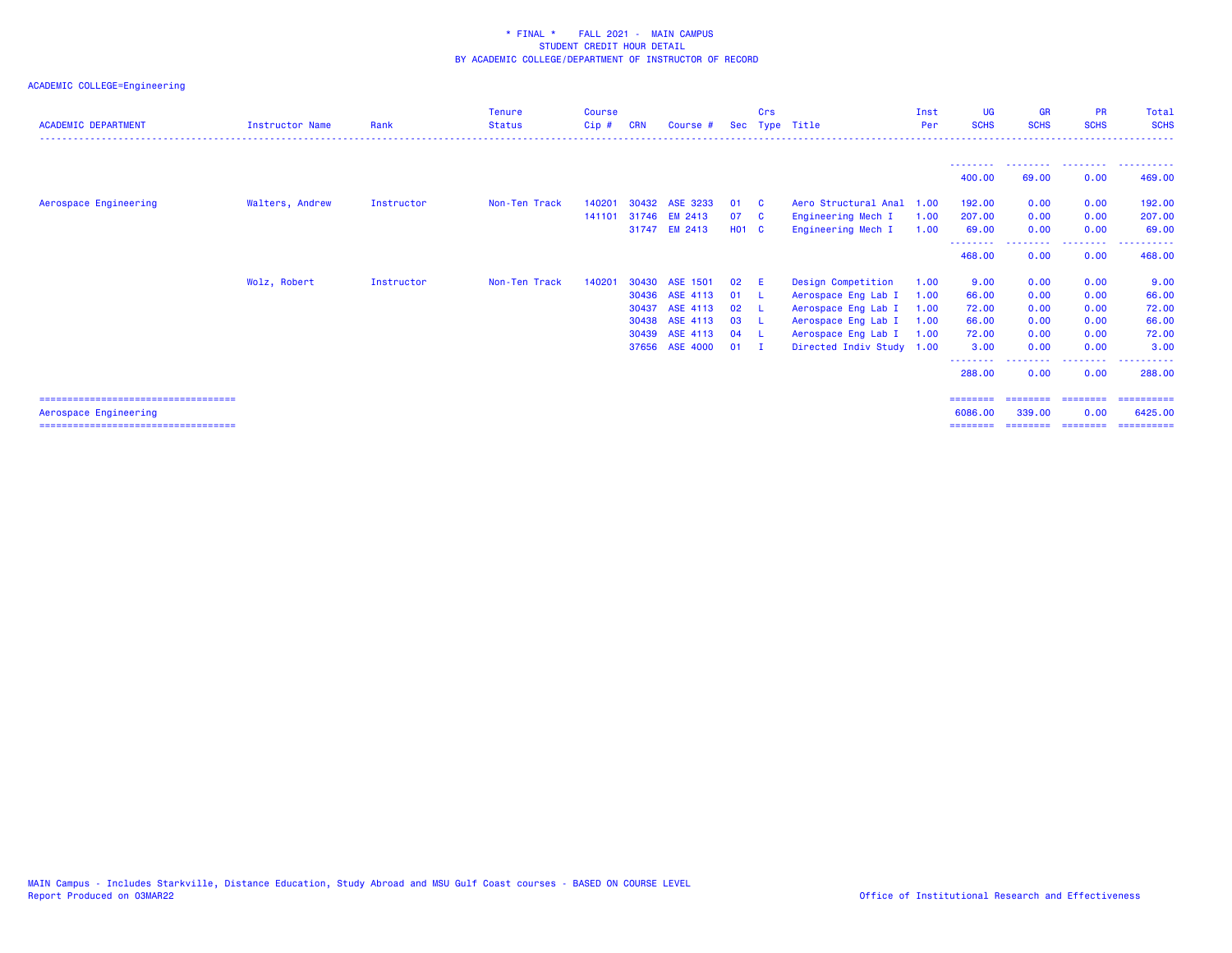| <b>ACADEMIC DEPARTMENT</b>                                      | <b>Instructor Name</b> | Rank       | <b>Tenure</b><br><b>Status</b> | <b>Course</b><br>$C$ ip $#$ | CRN   | Course #       |              | Crs          | Sec Type Title            | Inst<br>Per | <b>UG</b><br><b>SCHS</b> | <b>GR</b><br><b>SCHS</b> | <b>PR</b><br><b>SCHS</b> | Total<br><b>SCHS</b>  |
|-----------------------------------------------------------------|------------------------|------------|--------------------------------|-----------------------------|-------|----------------|--------------|--------------|---------------------------|-------------|--------------------------|--------------------------|--------------------------|-----------------------|
|                                                                 |                        |            |                                |                             |       |                |              |              |                           |             |                          |                          |                          |                       |
|                                                                 |                        |            |                                |                             |       |                |              |              |                           |             | 400.00                   | 69.00                    | 0.00                     | 469.00                |
| Aerospace Engineering                                           | Walters, Andrew        | Instructor | Non-Ten Track                  | 140201                      | 30432 | ASE 3233       | 01           | - C          | Aero Structural Anal      | 1.00        | 192.00                   | 0.00                     | 0.00                     | 192.00                |
|                                                                 |                        |            |                                | 141101                      |       | 31746 EM 2413  | 07           | $\mathbf{C}$ | Engineering Mech I        | 1.00        | 207.00                   | 0.00                     | 0.00                     | 207.00                |
|                                                                 |                        |            |                                |                             |       | 31747 EM 2413  | <b>HO1 C</b> |              | Engineering Mech I        | 1.00        | 69.00                    | 0.00                     | 0.00                     | 69.00                 |
|                                                                 |                        |            |                                |                             |       |                |              |              |                           |             | <u>.</u><br>468.00       | 0.00                     | - - - - - - - -<br>0.00  | .<br>468.00           |
|                                                                 | Wolz, Robert           | Instructor | Non-Ten Track                  | 140201                      | 30430 | ASE 1501       | 02           | - E          | Design Competition        | 1.00        | 9.00                     | 0.00                     | 0.00                     | 9.00                  |
|                                                                 |                        |            |                                |                             | 30436 | ASE 4113       | 01           | - L          | Aerospace Eng Lab I       | 1.00        | 66.00                    | 0.00                     | 0.00                     | 66.00                 |
|                                                                 |                        |            |                                |                             | 30437 | ASE 4113       | 02           | - L          | Aerospace Eng Lab I       | 1.00        | 72.00                    | 0.00                     | 0.00                     | 72.00                 |
|                                                                 |                        |            |                                |                             | 30438 | ASE 4113       | 03           | - L          | Aerospace Eng Lab I       | 1.00        | 66.00                    | 0.00                     | 0.00                     | 66.00                 |
|                                                                 |                        |            |                                |                             | 30439 | ASE 4113       | 04           | - 1          | Aerospace Eng Lab I       | 1.00        | 72.00                    | 0.00                     | 0.00                     | 72.00                 |
|                                                                 |                        |            |                                |                             |       | 37656 ASE 4000 | 01           | $\mathbf{I}$ | Directed Indiv Study 1.00 |             | 3.00                     | 0.00                     | 0.00<br>. <u>. .</u>     | 3.00                  |
|                                                                 |                        |            |                                |                             |       |                |              |              |                           |             | 288,00                   | 0.00                     | 0.00                     | 288,00                |
|                                                                 |                        |            |                                |                             |       |                |              |              |                           |             | ========                 | ========                 | ========                 | ==========            |
| Aerospace Engineering<br>====================================== |                        |            |                                |                             |       |                |              |              |                           |             | 6086,00<br>========      | 339,00<br>========       | 0.00<br>========         | 6425.00<br>========== |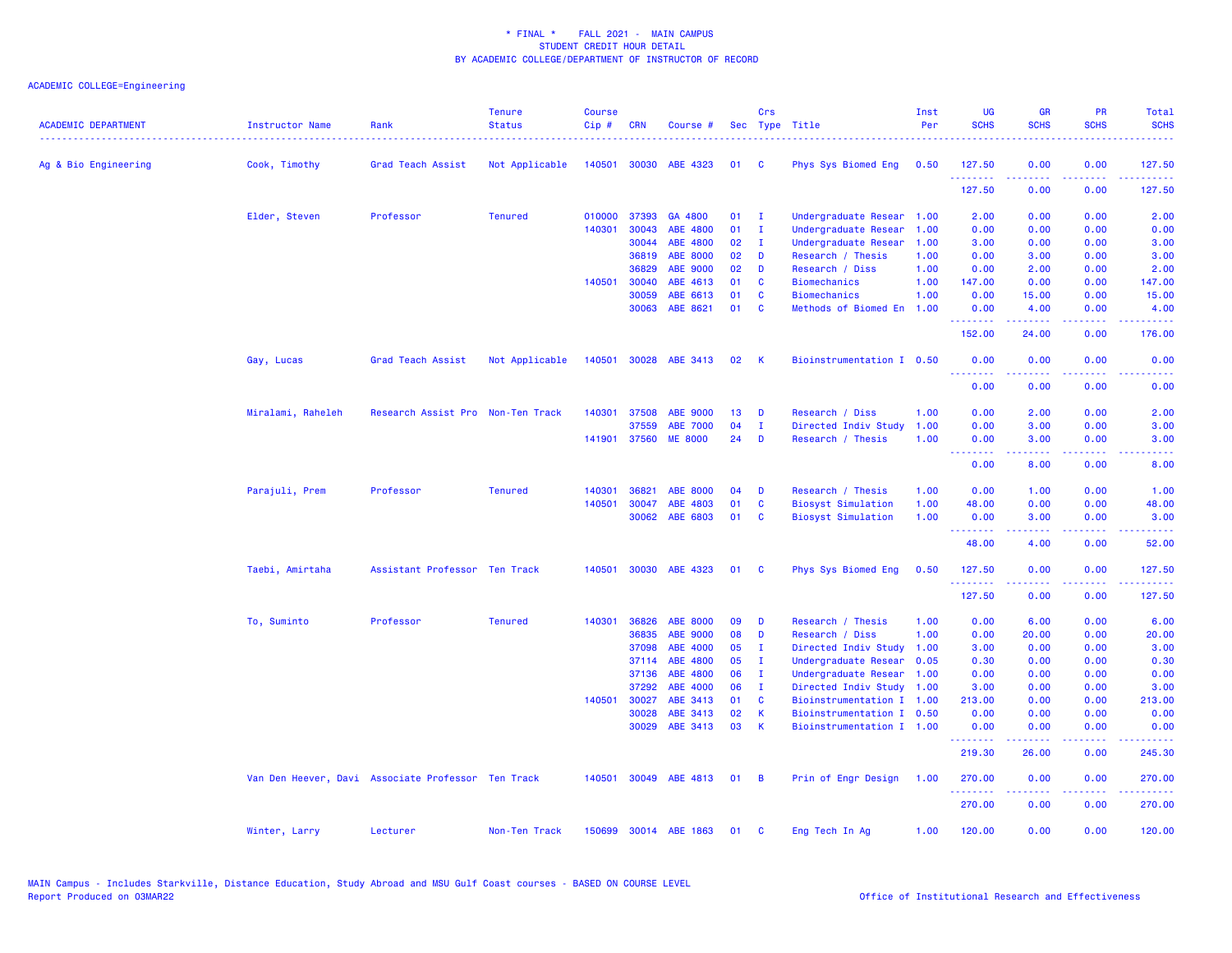| <b>ACADEMIC DEPARTMENT</b> | <b>Instructor Name</b> | Rank                                               | <b>Tenure</b><br><b>Status</b> | <b>Course</b><br>Cip# | <b>CRN</b>   | Course #              |          | Crs            | Sec Type Title            | Inst<br>Per | <b>UG</b><br><b>SCHS</b> | <b>GR</b><br><b>SCHS</b>                                                                                                                                     | <b>PR</b><br><b>SCHS</b> | Total<br><b>SCHS</b>                                                                                                                                           |
|----------------------------|------------------------|----------------------------------------------------|--------------------------------|-----------------------|--------------|-----------------------|----------|----------------|---------------------------|-------------|--------------------------|--------------------------------------------------------------------------------------------------------------------------------------------------------------|--------------------------|----------------------------------------------------------------------------------------------------------------------------------------------------------------|
| Ag & Bio Engineering       | Cook, Timothy          | Grad Teach Assist                                  | Not Applicable                 |                       |              | 140501 30030 ABE 4323 | 01       | $\mathbf{C}$   | Phys Sys Biomed Eng       | 0.50        | 127.50                   | 0.00                                                                                                                                                         | 0.00                     | 127.50                                                                                                                                                         |
|                            |                        |                                                    |                                |                       |              |                       |          |                |                           |             | .<br>127.50              | 0.00                                                                                                                                                         | 0.00                     | $\frac{1}{2} \left( \frac{1}{2} \right) \left( \frac{1}{2} \right) \left( \frac{1}{2} \right) \left( \frac{1}{2} \right) \left( \frac{1}{2} \right)$<br>127.50 |
|                            | Elder, Steven          | Professor                                          | <b>Tenured</b>                 | 010000                | 37393        | GA 4800               | 01       | $\mathbf I$    | Undergraduate Resear      | 1.00        | 2.00                     | 0.00                                                                                                                                                         | 0.00                     | 2.00                                                                                                                                                           |
|                            |                        |                                                    |                                | 140301                | 30043        | ABE 4800              | 01       | $\mathbf{I}$   | Undergraduate Resear      | 1.00        | 0.00                     | 0.00                                                                                                                                                         | 0.00                     | 0.00                                                                                                                                                           |
|                            |                        |                                                    |                                |                       | 30044        | ABE 4800              | 02       | $\mathbf{I}$   | Undergraduate Resear      | 1.00        | 3.00                     | 0.00                                                                                                                                                         | 0.00                     | 3.00                                                                                                                                                           |
|                            |                        |                                                    |                                |                       | 36819        | <b>ABE 8000</b>       | 02       | D              | Research / Thesis         | 1.00        | 0.00                     | 3.00                                                                                                                                                         | 0.00                     | 3.00                                                                                                                                                           |
|                            |                        |                                                    |                                |                       | 36829        | <b>ABE 9000</b>       | 02       | D              | Research / Diss           | 1.00        | 0.00                     | 2.00                                                                                                                                                         | 0.00                     | 2.00                                                                                                                                                           |
|                            |                        |                                                    |                                | 140501                | 30040        | ABE 4613              | 01       | C              | <b>Biomechanics</b>       | 1.00        | 147.00                   | 0.00                                                                                                                                                         | 0.00                     | 147.00                                                                                                                                                         |
|                            |                        |                                                    |                                |                       | 30059        | ABE 6613              | 01       | C              | <b>Biomechanics</b>       | 1.00        | 0.00                     | 15.00                                                                                                                                                        | 0.00                     | 15.00                                                                                                                                                          |
|                            |                        |                                                    |                                |                       | 30063        | ABE 8621              | 01       | C              | Methods of Biomed En 1.00 |             | 0.00<br>.                | 4.00<br>$\frac{1}{2} \left( \frac{1}{2} \right) \left( \frac{1}{2} \right) \left( \frac{1}{2} \right) \left( \frac{1}{2} \right) \left( \frac{1}{2} \right)$ | 0.00<br>.                | 4.00<br>.                                                                                                                                                      |
|                            |                        |                                                    |                                |                       |              |                       |          |                |                           |             | 152.00                   | 24.00                                                                                                                                                        | 0.00                     | 176.00                                                                                                                                                         |
|                            | Gay, Lucas             | Grad Teach Assist                                  | Not Applicable                 |                       |              | 140501 30028 ABE 3413 | 02       | <b>K</b>       | Bioinstrumentation I 0.50 |             | 0.00                     | 0.00                                                                                                                                                         | 0.00                     | 0.00                                                                                                                                                           |
|                            |                        |                                                    |                                |                       |              |                       |          |                |                           |             | 0.00                     | 0.00                                                                                                                                                         | 0.00                     | 0.00                                                                                                                                                           |
|                            |                        |                                                    |                                |                       |              |                       |          |                |                           |             |                          |                                                                                                                                                              |                          |                                                                                                                                                                |
|                            | Miralami, Raheleh      | Research Assist Pro Non-Ten Track                  |                                |                       | 140301 37508 | ABE 9000              | 13<br>04 | D              | Research / Diss           | 1.00        | 0.00                     | 2.00                                                                                                                                                         | 0.00                     | 2.00                                                                                                                                                           |
|                            |                        |                                                    |                                |                       | 37559        | <b>ABE 7000</b>       |          | $\mathbf{I}$   | Directed Indiv Study      | 1.00        | 0.00                     | 3.00                                                                                                                                                         | 0.00                     | 3.00                                                                                                                                                           |
|                            |                        |                                                    |                                |                       | 141901 37560 | <b>ME 8000</b>        | 24       | D              | Research / Thesis         | 1.00        | 0.00<br>--------         | 3.00<br>.                                                                                                                                                    | 0.00                     | 3.00                                                                                                                                                           |
|                            |                        |                                                    |                                |                       |              |                       |          |                |                           |             | 0.00                     | 8.00                                                                                                                                                         | 0.00                     | 8.00                                                                                                                                                           |
|                            | Parajuli, Prem         | Professor                                          | <b>Tenured</b>                 | 140301                | 36821        | ABE 8000              | 04       | D              | Research / Thesis         | 1.00        | 0.00                     | 1.00                                                                                                                                                         | 0.00                     | 1.00                                                                                                                                                           |
|                            |                        |                                                    |                                | 140501                | 30047        | ABE 4803              | 01       | C              | <b>Biosyst Simulation</b> | 1.00        | 48.00                    | 0.00                                                                                                                                                         | 0.00                     | 48.00                                                                                                                                                          |
|                            |                        |                                                    |                                |                       | 30062        | ABE 6803              | 01       | <b>C</b>       | <b>Biosyst Simulation</b> | 1.00        | 0.00<br>.                | 3.00                                                                                                                                                         | 0.00                     | 3.00                                                                                                                                                           |
|                            |                        |                                                    |                                |                       |              |                       |          |                |                           |             | 48.00                    | 4.00                                                                                                                                                         | 0.00                     | 52.00                                                                                                                                                          |
|                            | Taebi, Amirtaha        | Assistant Professor Ten Track                      |                                | 140501                |              | 30030 ABE 4323        | 01       | <b>C</b>       | Phys Sys Biomed Eng       | 0.50        | 127.50                   | 0.00                                                                                                                                                         | 0.00                     | 127.50                                                                                                                                                         |
|                            |                        |                                                    |                                |                       |              |                       |          |                |                           |             | 127.50                   | 0.00                                                                                                                                                         | 0.00                     | 127.50                                                                                                                                                         |
|                            | To, Suminto            | Professor                                          | <b>Tenured</b>                 | 140301                | 36826        | <b>ABE 8000</b>       | 09       | D              | Research / Thesis         | 1.00        | 0.00                     | 6.00                                                                                                                                                         | 0.00                     | 6.00                                                                                                                                                           |
|                            |                        |                                                    |                                |                       | 36835        | ABE 9000              | 08       | D              | Research / Diss           | 1.00        | 0.00                     | 20.00                                                                                                                                                        | 0.00                     | 20.00                                                                                                                                                          |
|                            |                        |                                                    |                                |                       | 37098        | ABE 4000              | 05       | $\mathbf{I}$   | Directed Indiv Study      | 1.00        | 3.00                     | 0.00                                                                                                                                                         | 0.00                     | 3.00                                                                                                                                                           |
|                            |                        |                                                    |                                |                       | 37114        | ABE 4800              | 05       | $\mathbf{I}$   | Undergraduate Resear      | 0.05        | 0.30                     | 0.00                                                                                                                                                         | 0.00                     | 0.30                                                                                                                                                           |
|                            |                        |                                                    |                                |                       | 37136        | ABE 4800              | 06       | $\mathbf{I}$   | Undergraduate Resear      | 1.00        | 0.00                     | 0.00                                                                                                                                                         | 0.00                     | 0.00                                                                                                                                                           |
|                            |                        |                                                    |                                |                       | 37292        | ABE 4000              | 06       | $\mathbf{I}$   | Directed Indiv Study      | 1.00        | 3.00                     | 0.00                                                                                                                                                         | 0.00                     | 3.00                                                                                                                                                           |
|                            |                        |                                                    |                                |                       | 140501 30027 | ABE 3413              | 01       | C              | Bioinstrumentation I 1.00 |             | 213.00                   | 0.00                                                                                                                                                         | 0.00                     | 213.00                                                                                                                                                         |
|                            |                        |                                                    |                                |                       | 30028        | ABE 3413              | 02       | K              | Bioinstrumentation I 0.50 |             | 0.00                     | 0.00                                                                                                                                                         | 0.00                     | 0.00                                                                                                                                                           |
|                            |                        |                                                    |                                |                       | 30029        | ABE 3413              | 03       | K              | Bioinstrumentation I 1.00 |             | 0.00<br>.                | 0.00<br>-----                                                                                                                                                | 0.00<br>.                | 0.00                                                                                                                                                           |
|                            |                        |                                                    |                                |                       |              |                       |          |                |                           |             | 219.30                   | 26.00                                                                                                                                                        | 0.00                     | 245.30                                                                                                                                                         |
|                            |                        | Van Den Heever, Davi Associate Professor Ten Track |                                |                       |              | 140501 30049 ABE 4813 | 01       | $\overline{B}$ | Prin of Engr Design       | 1.00        | 270.00<br>.              | 0.00<br>$\frac{1}{2} \left( \frac{1}{2} \right) \left( \frac{1}{2} \right) \left( \frac{1}{2} \right) \left( \frac{1}{2} \right) \left( \frac{1}{2} \right)$ | 0.00<br>.                | 270.00<br>المتمامين                                                                                                                                            |
|                            |                        |                                                    |                                |                       |              |                       |          |                |                           |             | 270.00                   | 0.00                                                                                                                                                         | 0.00                     | 270.00                                                                                                                                                         |
|                            | Winter, Larry          | Lecturer                                           | Non-Ten Track                  |                       |              | 150699 30014 ABE 1863 | 01       | <b>C</b>       | Eng Tech In Ag            | 1.00        | 120.00                   | 0.00                                                                                                                                                         | 0.00                     | 120.00                                                                                                                                                         |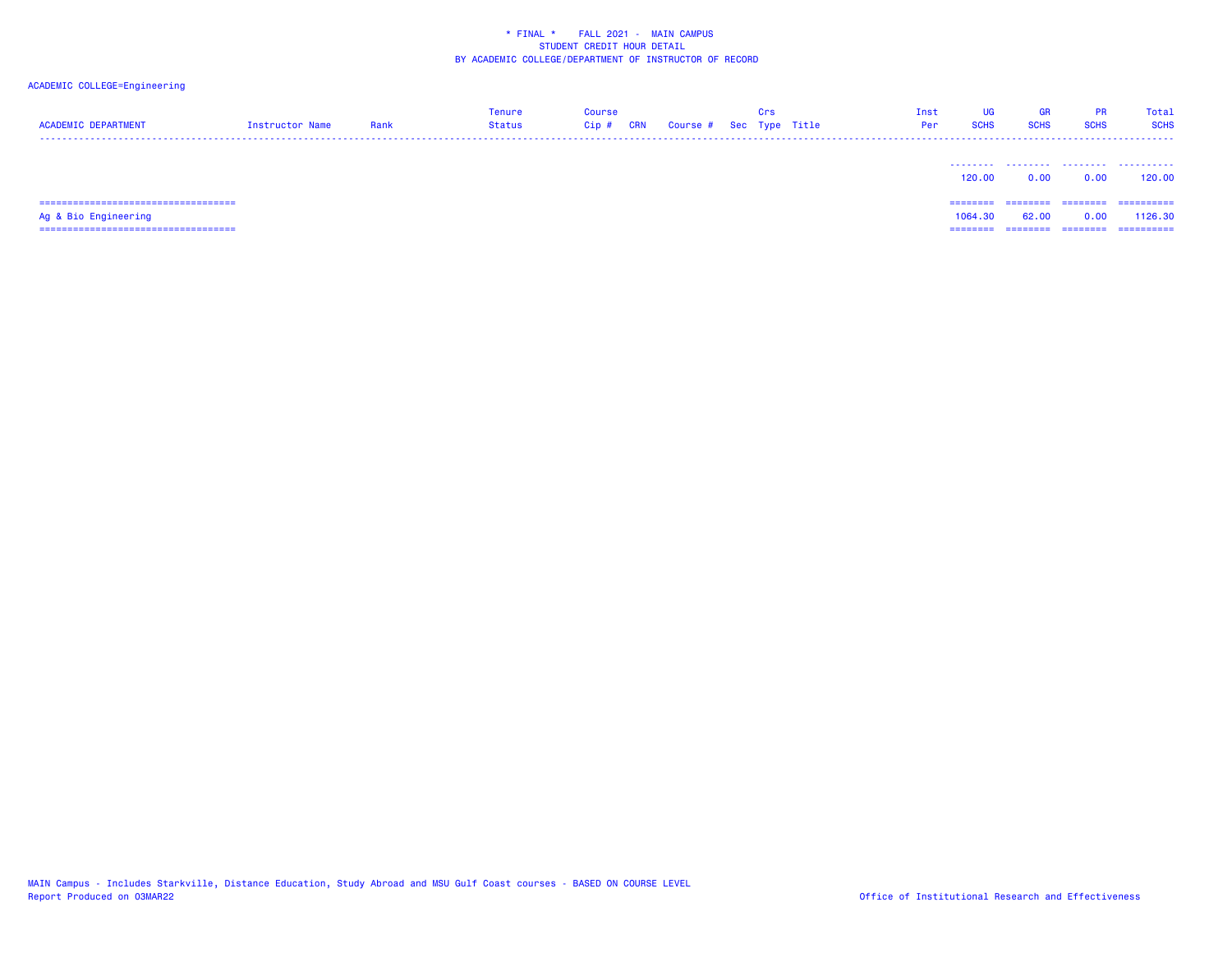# ACADEMIC COLLEGE=Engineering

| <b>ACADEMIC DEPARTMENT</b> | Instructor Name | Rank | <b>Tenure</b><br><b>Status</b> | <b>Course</b><br>$Cip$ # | <b>CRN</b> | Course # Sec Type Title | Crs | Inst<br>Per | UG<br><b>SCHS</b> | GR<br><b>SCHS</b> | <b>PR</b><br><b>SCHS</b> | Total<br><b>SCHS</b>  |
|----------------------------|-----------------|------|--------------------------------|--------------------------|------------|-------------------------|-----|-------------|-------------------|-------------------|--------------------------|-----------------------|
|                            |                 |      |                                |                          |            |                         |     |             | 120.00            | <br>0.00          | 0.00                     | .<br>120.00           |
| Ag & Bio Engineering       |                 |      |                                |                          |            |                         |     |             | 1064.30           | 62.00             | ========<br>0.00         | ==========<br>1126.30 |

=================================== ======== ======== ======== ==========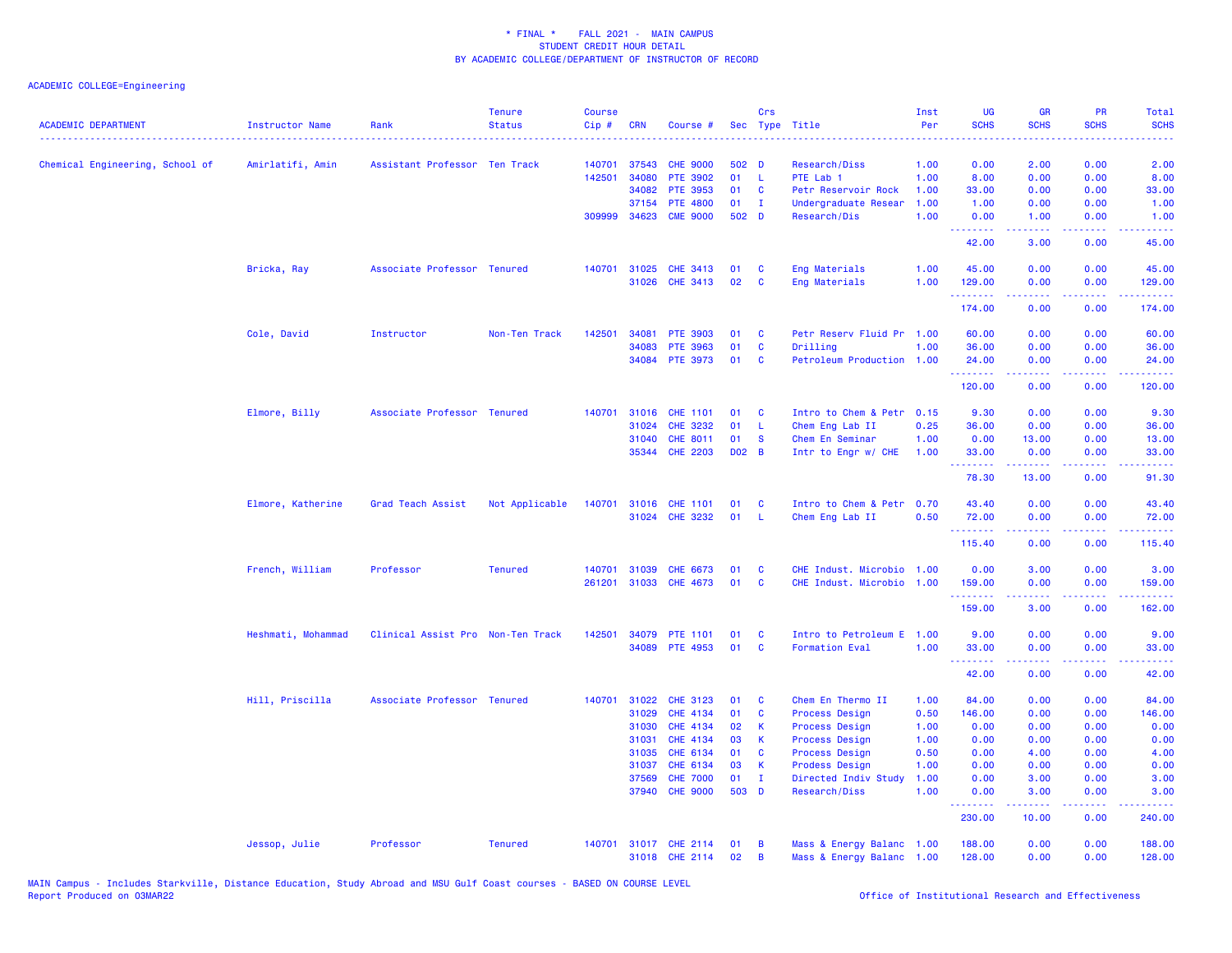| <b>ACADEMIC DEPARTMENT</b>      | <b>Instructor Name</b><br>. | Rank                              | <b>Tenure</b><br><b>Status</b> | <b>Course</b><br>$Cip$ # | <b>CRN</b>   | Course #              |         | Crs          | Sec Type Title            | Inst<br>Per | <b>UG</b><br><b>SCHS</b> | <b>GR</b><br><b>SCHS</b>                                                                                                                                     | <b>PR</b><br><b>SCHS</b> | Total<br><b>SCHS</b>                                                                                                           |
|---------------------------------|-----------------------------|-----------------------------------|--------------------------------|--------------------------|--------------|-----------------------|---------|--------------|---------------------------|-------------|--------------------------|--------------------------------------------------------------------------------------------------------------------------------------------------------------|--------------------------|--------------------------------------------------------------------------------------------------------------------------------|
| Chemical Engineering, School of | Amirlatifi, Amin            | Assistant Professor Ten Track     |                                | 140701                   | 37543        | <b>CHE 9000</b>       | $502$ D |              | Research/Diss             | 1.00        | 0.00                     | 2.00                                                                                                                                                         | 0.00                     | 2.00                                                                                                                           |
|                                 |                             |                                   |                                | 142501                   | 34080        | <b>PTE 3902</b>       | 01      | -L           | PTE Lab 1                 | 1.00        | 8.00                     | 0.00                                                                                                                                                         | 0.00                     | 8.00                                                                                                                           |
|                                 |                             |                                   |                                |                          | 34082        | <b>PTE 3953</b>       | 01      | <b>C</b>     | Petr Reservoir Rock       | 1.00        | 33.00                    | 0.00                                                                                                                                                         | 0.00                     | 33.00                                                                                                                          |
|                                 |                             |                                   |                                |                          | 37154        | <b>PTE 4800</b>       | 01      | $\mathbf{I}$ | Undergraduate Resear      | 1.00        | 1.00                     | 0.00                                                                                                                                                         | 0.00                     | 1.00                                                                                                                           |
|                                 |                             |                                   |                                |                          | 309999 34623 | <b>CME 9000</b>       | 502 D   |              | Research/Dis              | 1.00        | 0.00<br>.                | 1.00<br>.                                                                                                                                                    | 0.00<br>.                | 1.00<br>.                                                                                                                      |
|                                 |                             |                                   |                                |                          |              |                       |         |              |                           |             | 42.00                    | 3.00                                                                                                                                                         | 0.00                     | 45.00                                                                                                                          |
|                                 | Bricka, Ray                 | Associate Professor Tenured       |                                | 140701                   | 31025        | <b>CHE 3413</b>       | 01      | C            | Eng Materials             | 1.00        | 45.00                    | 0.00                                                                                                                                                         | 0.00                     | 45.00                                                                                                                          |
|                                 |                             |                                   |                                |                          | 31026        | CHE 3413              | 02      | C            | Eng Materials             | 1.00        | 129.00<br>.              | 0.00<br>بالأباب                                                                                                                                              | 0.00<br>.                | 129.00<br>المالمان المالي                                                                                                      |
|                                 |                             |                                   |                                |                          |              |                       |         |              |                           |             | 174.00                   | 0.00                                                                                                                                                         | 0.00                     | 174.00                                                                                                                         |
|                                 | Cole, David                 | Instructor                        | Non-Ten Track                  | 142501                   | 34081        | PTE 3903              | 01      | C            | Petr Reserv Fluid Pr 1.00 |             | 60.00                    | 0.00                                                                                                                                                         | 0.00                     | 60.00                                                                                                                          |
|                                 |                             |                                   |                                |                          | 34083        | PTE 3963              | 01      | C            | Drilling                  | 1.00        | 36.00                    | 0.00                                                                                                                                                         | 0.00                     | 36.00                                                                                                                          |
|                                 |                             |                                   |                                |                          |              | 34084 PTE 3973        | 01      | C            | Petroleum Production 1.00 |             | 24.00<br><u>.</u>        | 0.00<br>$\frac{1}{2} \left( \frac{1}{2} \right) \left( \frac{1}{2} \right) \left( \frac{1}{2} \right) \left( \frac{1}{2} \right) \left( \frac{1}{2} \right)$ | 0.00<br>.                | 24.00                                                                                                                          |
|                                 |                             |                                   |                                |                          |              |                       |         |              |                           |             | 120.00                   | 0.00                                                                                                                                                         | 0.00                     | 120.00                                                                                                                         |
|                                 | Elmore, Billy               | Associate Professor Tenured       |                                | 140701                   | 31016        | <b>CHE 1101</b>       | 01      | C            | Intro to Chem & Petr 0.15 |             | 9.30                     | 0.00                                                                                                                                                         | 0.00                     | 9.30                                                                                                                           |
|                                 |                             |                                   |                                |                          | 31024        | <b>CHE 3232</b>       | 01      | -L           | Chem Eng Lab II           | 0.25        | 36.00                    | 0.00                                                                                                                                                         | 0.00                     | 36.00                                                                                                                          |
|                                 |                             |                                   |                                |                          | 31040        | CHE 8011              | 01      | <b>S</b>     | Chem En Seminar           | 1.00        | 0.00                     | 13.00                                                                                                                                                        | 0.00                     | 13.00                                                                                                                          |
|                                 |                             |                                   |                                |                          |              | 35344 CHE 2203        | D02 B   |              | Intr to Engr w/ CHE       | 1.00        | 33.00<br>.               | 0.00                                                                                                                                                         | 0.00                     | 33.00                                                                                                                          |
|                                 |                             |                                   |                                |                          |              |                       |         |              |                           |             | 78.30                    | 13.00                                                                                                                                                        | 0.00                     | 91.30                                                                                                                          |
|                                 | Elmore, Katherine           | Grad Teach Assist                 | Not Applicable                 |                          |              | 140701 31016 CHE 1101 | 01      | <b>C</b>     | Intro to Chem & Petr 0.70 |             | 43.40                    | 0.00                                                                                                                                                         | 0.00                     | 43.40                                                                                                                          |
|                                 |                             |                                   |                                |                          |              | 31024 CHE 3232        | 01      | L            | Chem Eng Lab II           | 0.50        | 72.00<br>.               | 0.00<br>$\frac{1}{2} \left( \frac{1}{2} \right) \left( \frac{1}{2} \right) \left( \frac{1}{2} \right) \left( \frac{1}{2} \right) \left( \frac{1}{2} \right)$ | 0.00<br>. <b>.</b>       | 72.00<br>$\begin{array}{cccccccccc} \bullet & \bullet & \bullet & \bullet & \bullet & \bullet & \bullet & \bullet \end{array}$ |
|                                 |                             |                                   |                                |                          |              |                       |         |              |                           |             | 115.40                   | 0.00                                                                                                                                                         | 0.00                     | 115.40                                                                                                                         |
|                                 | French, William             | Professor                         | <b>Tenured</b>                 | 140701                   | 31039        | <b>CHE 6673</b>       | 01      | <b>C</b>     | CHE Indust. Microbio      | 1.00        | 0.00                     | 3.00                                                                                                                                                         | 0.00                     | 3.00                                                                                                                           |
|                                 |                             |                                   |                                | 261201                   |              | 31033 CHE 4673        | 01      | C            | CHE Indust. Microbio 1.00 |             | 159.00                   | 0.00                                                                                                                                                         | 0.00                     | 159.00                                                                                                                         |
|                                 |                             |                                   |                                |                          |              |                       |         |              |                           |             | .<br>159.00              | $\frac{1}{2} \left( \frac{1}{2} \right) \left( \frac{1}{2} \right) \left( \frac{1}{2} \right) \left( \frac{1}{2} \right) \left( \frac{1}{2} \right)$<br>3.00 | .<br>0.00                | .<br>162.00                                                                                                                    |
|                                 | Heshmati, Mohammad          | Clinical Assist Pro Non-Ten Track |                                | 142501                   | 34079        | <b>PTE 1101</b>       | 01      | C            | Intro to Petroleum E 1.00 |             | 9.00                     | 0.00                                                                                                                                                         | 0.00                     | 9.00                                                                                                                           |
|                                 |                             |                                   |                                |                          | 34089        | <b>PTE 4953</b>       | 01      | C            | <b>Formation Eval</b>     | 1.00        | 33.00                    | 0.00                                                                                                                                                         | 0.00                     | 33.00                                                                                                                          |
|                                 |                             |                                   |                                |                          |              |                       |         |              |                           |             | .<br>42.00               | $\frac{1}{2} \left( \frac{1}{2} \right) \left( \frac{1}{2} \right) \left( \frac{1}{2} \right) \left( \frac{1}{2} \right) \left( \frac{1}{2} \right)$<br>0.00 | .<br>0.00                | .<br>42.00                                                                                                                     |
|                                 | Hill, Priscilla             | Associate Professor Tenured       |                                | 140701                   | 31022        | <b>CHE 3123</b>       | 01      | C            | Chem En Thermo II         | 1.00        | 84.00                    | 0.00                                                                                                                                                         | 0.00                     | 84.00                                                                                                                          |
|                                 |                             |                                   |                                |                          | 31029        | <b>CHE 4134</b>       | 01      | C            | <b>Process Design</b>     | 0.50        | 146.00                   | 0.00                                                                                                                                                         | 0.00                     | 146.00                                                                                                                         |
|                                 |                             |                                   |                                |                          | 31030        | <b>CHE 4134</b>       | 02      | К            | <b>Process Design</b>     | 1.00        | 0.00                     | 0.00                                                                                                                                                         | 0.00                     | 0.00                                                                                                                           |
|                                 |                             |                                   |                                |                          | 31031        | <b>CHE 4134</b>       | 03      | К            | <b>Process Design</b>     | 1.00        | 0.00                     | 0.00                                                                                                                                                         | 0.00                     | 0.00                                                                                                                           |
|                                 |                             |                                   |                                |                          | 31035        | CHE 6134              | 01      | C            | <b>Process Design</b>     | 0.50        | 0.00                     | 4.00                                                                                                                                                         | 0.00                     | 4.00                                                                                                                           |
|                                 |                             |                                   |                                |                          | 31037        | CHE 6134              | 03      | К            | <b>Prodess Design</b>     | 1.00        | 0.00                     | 0.00                                                                                                                                                         | 0.00                     | 0.00                                                                                                                           |
|                                 |                             |                                   |                                |                          | 37569        | <b>CHE 7000</b>       | 01      | $\mathbf I$  | Directed Indiv Study      | 1.00        | 0.00                     | 3.00                                                                                                                                                         | 0.00                     | 3.00                                                                                                                           |
|                                 |                             |                                   |                                |                          | 37940        | <b>CHE 9000</b>       | 503 D   |              | Research/Diss             | 1.00        | 0.00<br>.                | 3.00<br>$\frac{1}{2} \left( \frac{1}{2} \right) \left( \frac{1}{2} \right) \left( \frac{1}{2} \right) \left( \frac{1}{2} \right)$                            | 0.00<br>.                | 3.00<br>.                                                                                                                      |
|                                 |                             |                                   |                                |                          |              |                       |         |              |                           |             | 230.00                   | 10.00                                                                                                                                                        | 0.00                     | 240.00                                                                                                                         |
|                                 | Jessop, Julie               | Professor                         | <b>Tenured</b>                 | 140701                   |              | 31017 CHE 2114        | 01      | B            | Mass & Energy Balanc 1.00 |             | 188.00                   | 0.00                                                                                                                                                         | 0.00                     | 188.00                                                                                                                         |
|                                 |                             |                                   |                                |                          |              | 31018 CHE 2114        | 02      | B            | Mass & Energy Balanc 1.00 |             | 128.00                   | 0.00                                                                                                                                                         | 0.00                     | 128.00                                                                                                                         |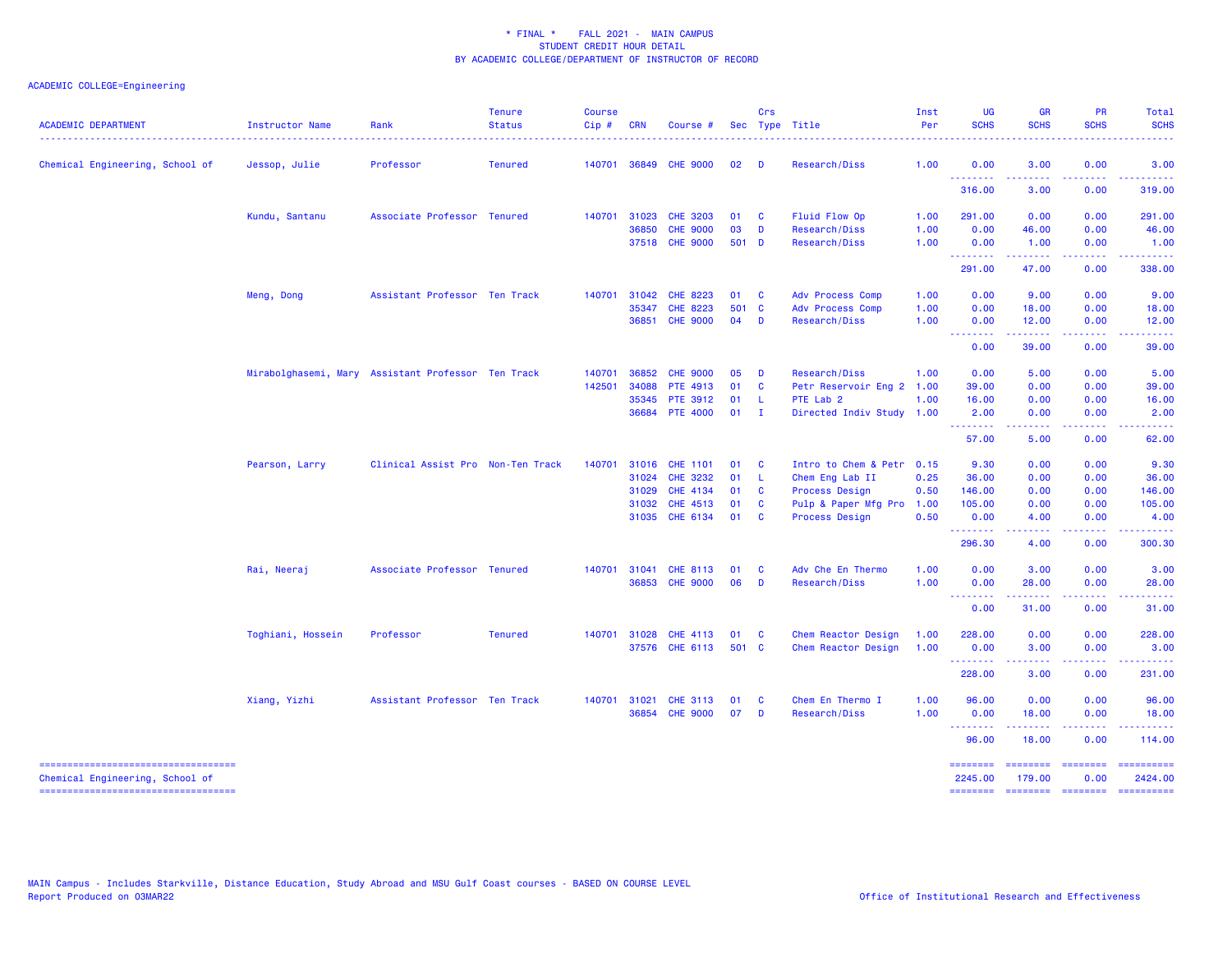| <b>ACADEMIC DEPARTMENT</b>                                                | <b>Instructor Name</b><br>. | Rank                                               | <b>Tenure</b><br><b>Status</b> | <b>Course</b><br>Cip# | <b>CRN</b>            | Course #                           |          | Crs            | Sec Type Title                           | Inst<br>Per  | <b>UG</b><br><b>SCHS</b> | <b>GR</b><br><b>SCHS</b>                                                                                                                                                                                                                                                                                                                                                                                                                                                                        | <b>PR</b><br><b>SCHS</b>                                                                                                          | Total<br><b>SCHS</b> |
|---------------------------------------------------------------------------|-----------------------------|----------------------------------------------------|--------------------------------|-----------------------|-----------------------|------------------------------------|----------|----------------|------------------------------------------|--------------|--------------------------|-------------------------------------------------------------------------------------------------------------------------------------------------------------------------------------------------------------------------------------------------------------------------------------------------------------------------------------------------------------------------------------------------------------------------------------------------------------------------------------------------|-----------------------------------------------------------------------------------------------------------------------------------|----------------------|
| Chemical Engineering, School of                                           | Jessop, Julie               | Professor                                          | <b>Tenured</b>                 | 140701                |                       | 36849 CHE 9000                     | 02       | <b>D</b>       | Research/Diss                            | 1.00         | 0.00                     | 3.00                                                                                                                                                                                                                                                                                                                                                                                                                                                                                            | 0.00                                                                                                                              | 3.00                 |
|                                                                           |                             |                                                    |                                |                       |                       |                                    |          |                |                                          |              | .<br>316.00              | 3.00                                                                                                                                                                                                                                                                                                                                                                                                                                                                                            | 0.00                                                                                                                              | 319.00               |
|                                                                           | Kundu, Santanu              | Associate Professor Tenured                        |                                | 140701                | 31023                 | <b>CHE 3203</b>                    | 01       | $\mathbf{C}$   | Fluid Flow Op                            | 1.00         | 291.00                   | 0.00                                                                                                                                                                                                                                                                                                                                                                                                                                                                                            | 0.00                                                                                                                              | 291.00               |
|                                                                           |                             |                                                    |                                |                       | 36850                 | <b>CHE 9000</b>                    | 03       | D              | <b>Research/Diss</b>                     | 1.00         | 0.00                     | 46.00                                                                                                                                                                                                                                                                                                                                                                                                                                                                                           | 0.00                                                                                                                              | 46.00                |
|                                                                           |                             |                                                    |                                |                       |                       | 37518 CHE 9000                     | 501 D    |                | Research/Diss                            | 1.00         | 0.00<br>.                | 1.00<br>$\frac{1}{2} \left( \frac{1}{2} \right) \left( \frac{1}{2} \right) \left( \frac{1}{2} \right) \left( \frac{1}{2} \right) \left( \frac{1}{2} \right)$                                                                                                                                                                                                                                                                                                                                    | 0.00<br>$\frac{1}{2} \left( \frac{1}{2} \right) \left( \frac{1}{2} \right) \left( \frac{1}{2} \right) \left( \frac{1}{2} \right)$ | 1.00                 |
|                                                                           |                             |                                                    |                                |                       |                       |                                    |          |                |                                          |              | 291.00                   | 47.00                                                                                                                                                                                                                                                                                                                                                                                                                                                                                           | 0.00                                                                                                                              | 338.00               |
|                                                                           | Meng, Dong                  | Assistant Professor Ten Track                      |                                | 140701                | 31042                 | CHE 8223                           | 01       | $\mathbf{C}$   | <b>Adv Process Comp</b>                  | 1.00         | 0.00                     | 9.00                                                                                                                                                                                                                                                                                                                                                                                                                                                                                            | 0.00                                                                                                                              | 9.00                 |
|                                                                           |                             |                                                    |                                |                       | 35347                 | CHE 8223                           | 501 C    |                | Adv Process Comp                         | 1.00         | 0.00                     | 18.00                                                                                                                                                                                                                                                                                                                                                                                                                                                                                           | 0.00                                                                                                                              | 18.00                |
|                                                                           |                             |                                                    |                                |                       | 36851                 | <b>CHE 9000</b>                    | 04       | $\blacksquare$ | <b>Research/Diss</b>                     | 1.00         | 0.00<br>--------         | 12.00<br>$\frac{1}{2} \left( \frac{1}{2} \right) \left( \frac{1}{2} \right) \left( \frac{1}{2} \right) \left( \frac{1}{2} \right) \left( \frac{1}{2} \right)$                                                                                                                                                                                                                                                                                                                                   | 0.00<br>المتحدث                                                                                                                   | 12.00<br>.           |
|                                                                           |                             |                                                    |                                |                       |                       |                                    |          |                |                                          |              | 0.00                     | 39.00                                                                                                                                                                                                                                                                                                                                                                                                                                                                                           | 0.00                                                                                                                              | 39.00                |
|                                                                           |                             | Mirabolghasemi, Mary Assistant Professor Ten Track |                                | 140701                | 36852                 | <b>CHE 9000</b>                    | 05       | D              | <b>Research/Diss</b>                     | 1.00         | 0.00                     | 5.00                                                                                                                                                                                                                                                                                                                                                                                                                                                                                            | 0.00                                                                                                                              | 5.00                 |
|                                                                           |                             |                                                    |                                | 142501                | 34088                 | PTE 4913                           | 01       | <b>C</b>       | Petr Reservoir Eng 2 1.00                |              | 39.00                    | 0.00                                                                                                                                                                                                                                                                                                                                                                                                                                                                                            | 0.00                                                                                                                              | 39.00                |
|                                                                           |                             |                                                    |                                |                       | 35345                 | <b>PTE 3912</b>                    | 01       | -L             | PTE Lab 2                                | 1.00         | 16.00                    | 0.00                                                                                                                                                                                                                                                                                                                                                                                                                                                                                            | 0.00                                                                                                                              | 16.00                |
|                                                                           |                             |                                                    |                                |                       | 36684                 | <b>PTE 4000</b>                    | 01       | $\mathbf{I}$   | Directed Indiv Study 1.00                |              | 2.00<br>.                | 0.00<br>$\frac{1}{2} \left( \frac{1}{2} \right) \left( \frac{1}{2} \right) \left( \frac{1}{2} \right) \left( \frac{1}{2} \right) \left( \frac{1}{2} \right)$                                                                                                                                                                                                                                                                                                                                    | 0.00<br>.                                                                                                                         | 2.00<br>.            |
|                                                                           |                             |                                                    |                                |                       |                       |                                    |          |                |                                          |              | 57.00                    | 5.00                                                                                                                                                                                                                                                                                                                                                                                                                                                                                            | 0.00                                                                                                                              | 62.00                |
|                                                                           | Pearson, Larry              | Clinical Assist Pro Non-Ten Track                  |                                |                       | 140701 31016          | <b>CHE 1101</b>                    | 01       | <b>C</b>       | Intro to Chem & Petr 0.15                |              | 9.30                     | 0.00                                                                                                                                                                                                                                                                                                                                                                                                                                                                                            | 0.00                                                                                                                              | 9.30                 |
|                                                                           |                             |                                                    |                                |                       | 31024                 | <b>CHE 3232</b>                    | 01       | - L            | Chem Eng Lab II                          | 0.25         | 36.00                    | 0.00                                                                                                                                                                                                                                                                                                                                                                                                                                                                                            | 0.00                                                                                                                              | 36.00                |
|                                                                           |                             |                                                    |                                |                       | 31029                 | <b>CHE 4134</b>                    | 01       | $\mathbf{C}$   | <b>Process Design</b>                    | 0.50         | 146.00                   | 0.00                                                                                                                                                                                                                                                                                                                                                                                                                                                                                            | 0.00                                                                                                                              | 146.00               |
|                                                                           |                             |                                                    |                                |                       | 31032                 | CHE 4513                           | 01       | <b>C</b>       | Pulp & Paper Mfg Pro                     | 1.00         | 105.00                   | 0.00                                                                                                                                                                                                                                                                                                                                                                                                                                                                                            | 0.00                                                                                                                              | 105.00               |
|                                                                           |                             |                                                    |                                |                       | 31035                 | CHE 6134                           | 01       | $\mathbf{C}$   | <b>Process Design</b>                    | 0.50         | 0.00<br>.                | 4.00                                                                                                                                                                                                                                                                                                                                                                                                                                                                                            | 0.00<br>$\frac{1}{2} \left( \frac{1}{2} \right) \left( \frac{1}{2} \right) \left( \frac{1}{2} \right) \left( \frac{1}{2} \right)$ | 4.00                 |
|                                                                           |                             |                                                    |                                |                       |                       |                                    |          |                |                                          |              | 296.30                   | 4.00                                                                                                                                                                                                                                                                                                                                                                                                                                                                                            | 0.00                                                                                                                              | 300.30               |
|                                                                           | Rai, Neeraj                 | Associate Professor Tenured                        |                                |                       | 140701 31041          | CHE 8113                           | 01       | $\mathbf{C}$   | Adv Che En Thermo                        | 1.00         | 0.00                     | 3.00                                                                                                                                                                                                                                                                                                                                                                                                                                                                                            | 0.00                                                                                                                              | 3.00                 |
|                                                                           |                             |                                                    |                                |                       |                       | 36853 CHE 9000                     | 06       | D              | <b>Research/Diss</b>                     | 1.00         | 0.00                     | 28.00                                                                                                                                                                                                                                                                                                                                                                                                                                                                                           | 0.00                                                                                                                              | 28.00                |
|                                                                           |                             |                                                    |                                |                       |                       |                                    |          |                |                                          |              | --------<br>0.00         | 31.00                                                                                                                                                                                                                                                                                                                                                                                                                                                                                           | 0.00                                                                                                                              | 31.00                |
|                                                                           | Toghiani, Hossein           | Professor                                          | <b>Tenured</b>                 |                       | 140701 31028          | CHE 4113                           | 01       | <b>C</b>       | Chem Reactor Design                      | 1.00         | 228.00                   | 0.00                                                                                                                                                                                                                                                                                                                                                                                                                                                                                            | 0.00                                                                                                                              | 228.00               |
|                                                                           |                             |                                                    |                                |                       |                       | 37576 CHE 6113                     | 501 C    |                | Chem Reactor Design                      | 1.00         | 0.00                     | 3.00                                                                                                                                                                                                                                                                                                                                                                                                                                                                                            | 0.00                                                                                                                              | 3.00                 |
|                                                                           |                             |                                                    |                                |                       |                       |                                    |          |                |                                          |              | --------<br>228.00       | المستمعات<br>3.00                                                                                                                                                                                                                                                                                                                                                                                                                                                                               | .<br>0.00                                                                                                                         | .<br>231.00          |
|                                                                           |                             |                                                    |                                |                       |                       |                                    |          |                |                                          |              |                          |                                                                                                                                                                                                                                                                                                                                                                                                                                                                                                 |                                                                                                                                   |                      |
|                                                                           | Xiang, Yizhi                | Assistant Professor Ten Track                      |                                |                       | 140701 31021<br>36854 | <b>CHE 3113</b><br><b>CHE 9000</b> | 01<br>07 | <b>C</b><br>D  | Chem En Thermo I<br><b>Research/Diss</b> | 1.00<br>1.00 | 96.00<br>0.00            | 0.00<br>18.00                                                                                                                                                                                                                                                                                                                                                                                                                                                                                   | 0.00<br>0.00                                                                                                                      | 96.00<br>18.00       |
|                                                                           |                             |                                                    |                                |                       |                       |                                    |          |                |                                          |              | .<br>96.00               | $\begin{array}{cccccccccccccc} \multicolumn{2}{c}{} & \multicolumn{2}{c}{} & \multicolumn{2}{c}{} & \multicolumn{2}{c}{} & \multicolumn{2}{c}{} & \multicolumn{2}{c}{} & \multicolumn{2}{c}{} & \multicolumn{2}{c}{} & \multicolumn{2}{c}{} & \multicolumn{2}{c}{} & \multicolumn{2}{c}{} & \multicolumn{2}{c}{} & \multicolumn{2}{c}{} & \multicolumn{2}{c}{} & \multicolumn{2}{c}{} & \multicolumn{2}{c}{} & \multicolumn{2}{c}{} & \multicolumn{2}{c}{} & \multicolumn{2}{c}{} & \$<br>18.00 | . <u>.</u> .<br>0.00                                                                                                              | ------<br>114.00     |
| ----------------------------------                                        |                             |                                                    |                                |                       |                       |                                    |          |                |                                          |              | ========                 | ========                                                                                                                                                                                                                                                                                                                                                                                                                                                                                        | <b>EDESSERS</b>                                                                                                                   | ==========           |
| Chemical Engineering, School of<br>====================================== |                             |                                                    |                                |                       |                       |                                    |          |                |                                          |              | 2245.00<br>========      | 179.00<br>======== ======== =========                                                                                                                                                                                                                                                                                                                                                                                                                                                           | 0.00                                                                                                                              | 2424.00              |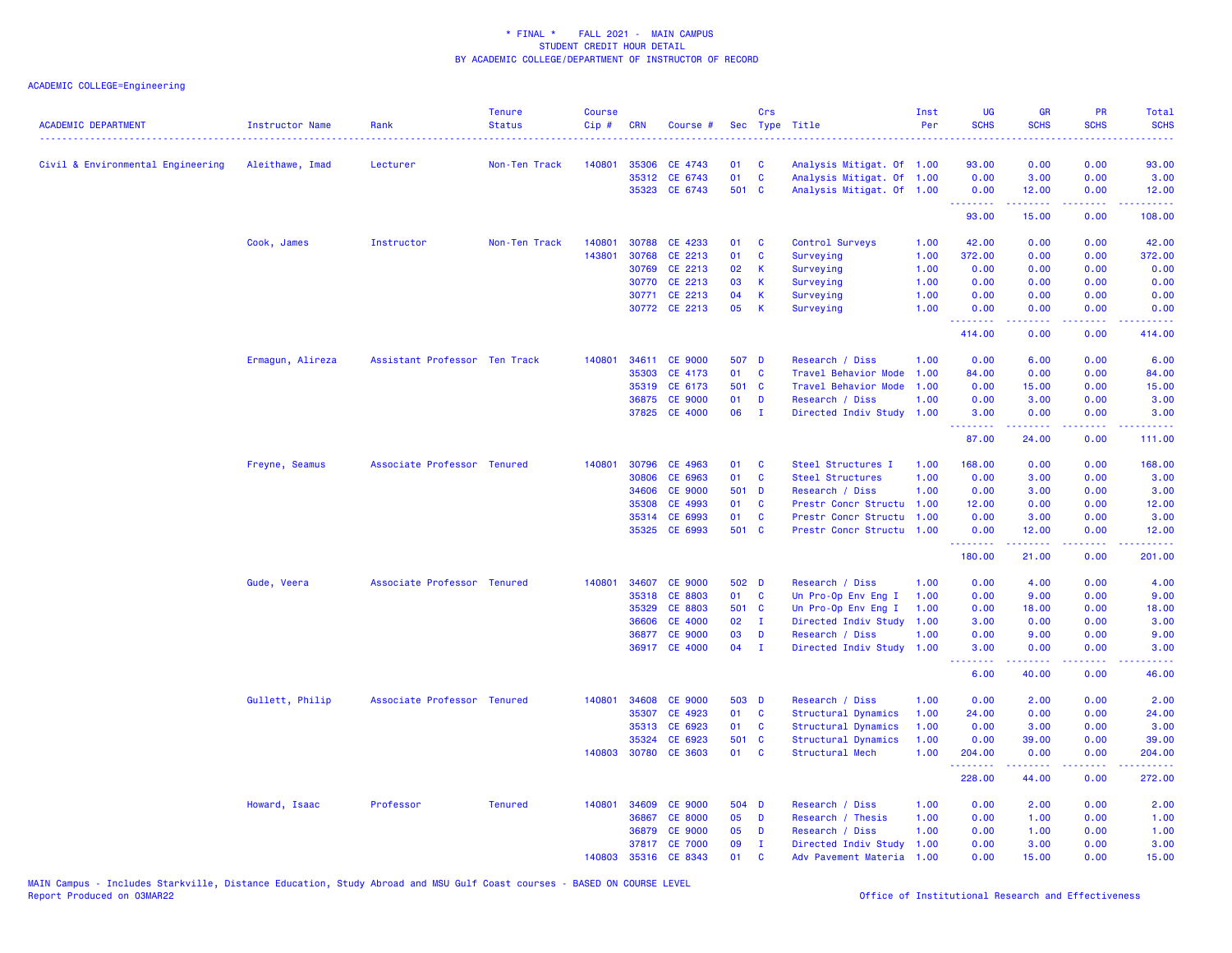| <b>ACADEMIC DEPARTMENT</b>        | <b>Instructor Name</b> | Rank                          | <b>Tenure</b><br><b>Status</b> | <b>Course</b><br>Cip# | <b>CRN</b> | Course #       | Sec   | Crs          | Type Title                | Inst<br>Per | UG<br><b>SCHS</b>                                   | <b>GR</b><br><b>SCHS</b>                                                                                                           | PR<br><b>SCHS</b> | Total<br><b>SCHS</b> |
|-----------------------------------|------------------------|-------------------------------|--------------------------------|-----------------------|------------|----------------|-------|--------------|---------------------------|-------------|-----------------------------------------------------|------------------------------------------------------------------------------------------------------------------------------------|-------------------|----------------------|
| Civil & Environmental Engineering | Aleithawe, Imad        | Lecturer                      | Non-Ten Track                  | 140801                | 35306      | CE 4743        | 01    | <b>C</b>     | Analysis Mitigat. Of 1.00 |             | 93.00                                               | 0.00                                                                                                                               | 0.00              | 93.00                |
|                                   |                        |                               |                                |                       | 35312      | CE 6743        | 01    | $\mathbf{C}$ | Analysis Mitigat. Of 1.00 |             | 0.00                                                | 3.00                                                                                                                               | 0.00              | 3.00                 |
|                                   |                        |                               |                                |                       |            | 35323 CE 6743  | 501 C |              | Analysis Mitigat. Of 1.00 |             | 0.00                                                | 12.00                                                                                                                              | 0.00              | 12.00                |
|                                   |                        |                               |                                |                       |            |                |       |              |                           |             | <b><i><u><u> - - - - - - -</u></u></i></b><br>93.00 | .<br>15.00                                                                                                                         | د د د د<br>0.00   | .<br>108.00          |
|                                   | Cook, James            | Instructor                    | Non-Ten Track                  | 140801                |            | 30788 CE 4233  | 01    | C            | Control Surveys           | 1.00        | 42.00                                               | 0.00                                                                                                                               | 0.00              | 42.00                |
|                                   |                        |                               |                                | 143801                | 30768      | CE 2213        | 01    | C            | Surveying                 | 1.00        | 372.00                                              | 0.00                                                                                                                               | 0.00              | 372.00               |
|                                   |                        |                               |                                |                       | 30769      | CE 2213        | 02    | K            | Surveying                 | 1.00        | 0.00                                                | 0.00                                                                                                                               | 0.00              | 0.00                 |
|                                   |                        |                               |                                |                       |            | 30770 CE 2213  | 03    | K            | Surveying                 | 1.00        | 0.00                                                | 0.00                                                                                                                               | 0.00              | 0.00                 |
|                                   |                        |                               |                                |                       | 30771      | CE 2213        | 04    | K            | Surveying                 | 1.00        | 0.00                                                | 0.00                                                                                                                               | 0.00              | 0.00                 |
|                                   |                        |                               |                                |                       |            | 30772 CE 2213  | 05    | K            | Surveying                 | 1.00        | 0.00<br>.                                           | 0.00                                                                                                                               | 0.00              | 0.00                 |
|                                   |                        |                               |                                |                       |            |                |       |              |                           |             | 414.00                                              | 0.00                                                                                                                               | 0.00              | 414.00               |
|                                   | Ermagun, Alireza       | Assistant Professor Ten Track |                                | 140801                |            | 34611 CE 9000  | 507 D |              | Research / Diss           | 1.00        | 0.00                                                | 6.00                                                                                                                               | 0.00              | 6.00                 |
|                                   |                        |                               |                                |                       | 35303      | CE 4173        | 01    | C            | Travel Behavior Mode      | 1.00        | 84.00                                               | 0.00                                                                                                                               | 0.00              | 84.00                |
|                                   |                        |                               |                                |                       | 35319      | CE 6173        | 501 C |              | Travel Behavior Mode      | 1.00        | 0.00                                                | 15.00                                                                                                                              | 0.00              | 15.00                |
|                                   |                        |                               |                                |                       | 36875      | <b>CE 9000</b> | 01    | D            | Research / Diss           | 1.00        | 0.00                                                | 3.00                                                                                                                               | 0.00              | 3.00                 |
|                                   |                        |                               |                                |                       |            | 37825 CE 4000  | 06    | $\mathbf{I}$ | Directed Indiv Study      | 1.00        | 3.00<br>.                                           | 0.00<br>22222                                                                                                                      | 0.00<br>د د د د   | 3.00<br>المتمامين    |
|                                   |                        |                               |                                |                       |            |                |       |              |                           |             | 87.00                                               | 24.00                                                                                                                              | 0.00              | 111.00               |
|                                   | Freyne, Seamus         | Associate Professor Tenured   |                                | 140801                | 30796      | CE 4963        | 01    | C            | Steel Structures I        | 1.00        | 168.00                                              | 0.00                                                                                                                               | 0.00              | 168.00               |
|                                   |                        |                               |                                |                       | 30806      | CE 6963        | 01    | C            | <b>Steel Structures</b>   | 1.00        | 0.00                                                | 3.00                                                                                                                               | 0.00              | 3.00                 |
|                                   |                        |                               |                                |                       | 34606      | <b>CE 9000</b> | 501 D |              | Research / Diss           | 1.00        | 0.00                                                | 3.00                                                                                                                               | 0.00              | 3.00                 |
|                                   |                        |                               |                                |                       | 35308      | CE 4993        | 01    | <b>C</b>     | Prestr Concr Structu 1.00 |             | 12.00                                               | 0.00                                                                                                                               | 0.00              | 12.00                |
|                                   |                        |                               |                                |                       | 35314      | CE 6993        | 01    | C            | Prestr Concr Structu      | 1.00        | 0.00                                                | 3.00                                                                                                                               | 0.00              | 3.00                 |
|                                   |                        |                               |                                |                       |            | 35325 CE 6993  | 501 C |              | Prestr Concr Structu      | 1.00        | 0.00<br><b>.</b>                                    | 12.00<br>$\frac{1}{2} \left( \frac{1}{2} \right) \left( \frac{1}{2} \right) \left( \frac{1}{2} \right) \left( \frac{1}{2} \right)$ | 0.00<br>.         | 12.00<br>.           |
|                                   |                        |                               |                                |                       |            |                |       |              |                           |             | 180.00                                              | 21.00                                                                                                                              | 0.00              | 201.00               |
|                                   | Gude, Veera            | Associate Professor Tenured   |                                | 140801                | 34607      | <b>CE 9000</b> | 502 D |              | Research / Diss           | 1.00        | 0.00                                                | 4.00                                                                                                                               | 0.00              | 4.00                 |
|                                   |                        |                               |                                |                       |            | 35318 CE 8803  | 01    | <b>C</b>     | Un Pro-Op Env Eng I       | 1.00        | 0.00                                                | 9.00                                                                                                                               | 0.00              | 9.00                 |
|                                   |                        |                               |                                |                       | 35329      | <b>CE 8803</b> | 501 C |              | Un Pro-Op Env Eng I       | 1.00        | 0.00                                                | 18.00                                                                                                                              | 0.00              | 18.00                |
|                                   |                        |                               |                                |                       | 36606      | <b>CE 4000</b> | 02    | $\mathbf{I}$ | Directed Indiv Study      | 1.00        | 3.00                                                | 0.00                                                                                                                               | 0.00              | 3.00                 |
|                                   |                        |                               |                                |                       | 36877      | <b>CE 9000</b> | 03    | D            | Research / Diss           | 1.00        | 0.00                                                | 9.00                                                                                                                               | 0.00              | 9.00                 |
|                                   |                        |                               |                                |                       |            | 36917 CE 4000  | 04    | $\mathbf{I}$ | Directed Indiv Study      | 1.00        | 3.00<br>.                                           | 0.00<br>22222                                                                                                                      | 0.00<br>د د د د   | 3.00<br>وبالاناداد   |
|                                   |                        |                               |                                |                       |            |                |       |              |                           |             | 6.00                                                | 40.00                                                                                                                              | 0.00              | 46.00                |
|                                   | Gullett, Philip        | Associate Professor Tenured   |                                | 140801                | 34608      | <b>CE 9000</b> | 503 D |              | Research / Diss           | 1.00        | 0.00                                                | 2.00                                                                                                                               | 0.00              | 2.00                 |
|                                   |                        |                               |                                |                       | 35307      | CE 4923        | 01    | C            | Structural Dynamics       | 1.00        | 24.00                                               | 0.00                                                                                                                               | 0.00              | 24.00                |
|                                   |                        |                               |                                |                       | 35313      | CE 6923        | 01    | C            | Structural Dynamics       | 1.00        | 0.00                                                | 3.00                                                                                                                               | 0.00              | 3.00                 |
|                                   |                        |                               |                                |                       | 35324      | CE 6923        | 501 C |              | Structural Dynamics       | 1.00        | 0.00                                                | 39.00                                                                                                                              | 0.00              | 39.00                |
|                                   |                        |                               |                                | 140803                |            | 30780 CE 3603  | 01    | C            | Structural Mech           | 1.00        | 204.00<br>.                                         | 0.00                                                                                                                               | 0.00<br>$- - -$   | 204.00<br>.          |
|                                   |                        |                               |                                |                       |            |                |       |              |                           |             | 228.00                                              | 44.00                                                                                                                              | 0.00              | 272.00               |
|                                   | Howard, Isaac          | Professor                     | <b>Tenured</b>                 | 140801                | 34609      | <b>CE 9000</b> | 504 D |              | Research / Diss           | 1.00        | 0.00                                                | 2.00                                                                                                                               | 0.00              | 2.00                 |
|                                   |                        |                               |                                |                       | 36867      | <b>CE 8000</b> | 05    | D            | Research / Thesis         | 1.00        | 0.00                                                | 1.00                                                                                                                               | 0.00              | 1.00                 |
|                                   |                        |                               |                                |                       | 36879      | <b>CE 9000</b> | 05    | D            | Research / Diss           | 1.00        | 0.00                                                | 1.00                                                                                                                               | 0.00              | 1.00                 |
|                                   |                        |                               |                                |                       |            | 37817 CE 7000  | 09    | п.           | Directed Indiv Study      | 1.00        | 0.00                                                | 3.00                                                                                                                               | 0.00              | 3.00                 |
|                                   |                        |                               |                                | 140803                |            | 35316 CE 8343  | 01    | <b>C</b>     | Adv Pavement Materia      | 1.00        | 0.00                                                | 15.00                                                                                                                              | 0.00              | 15.00                |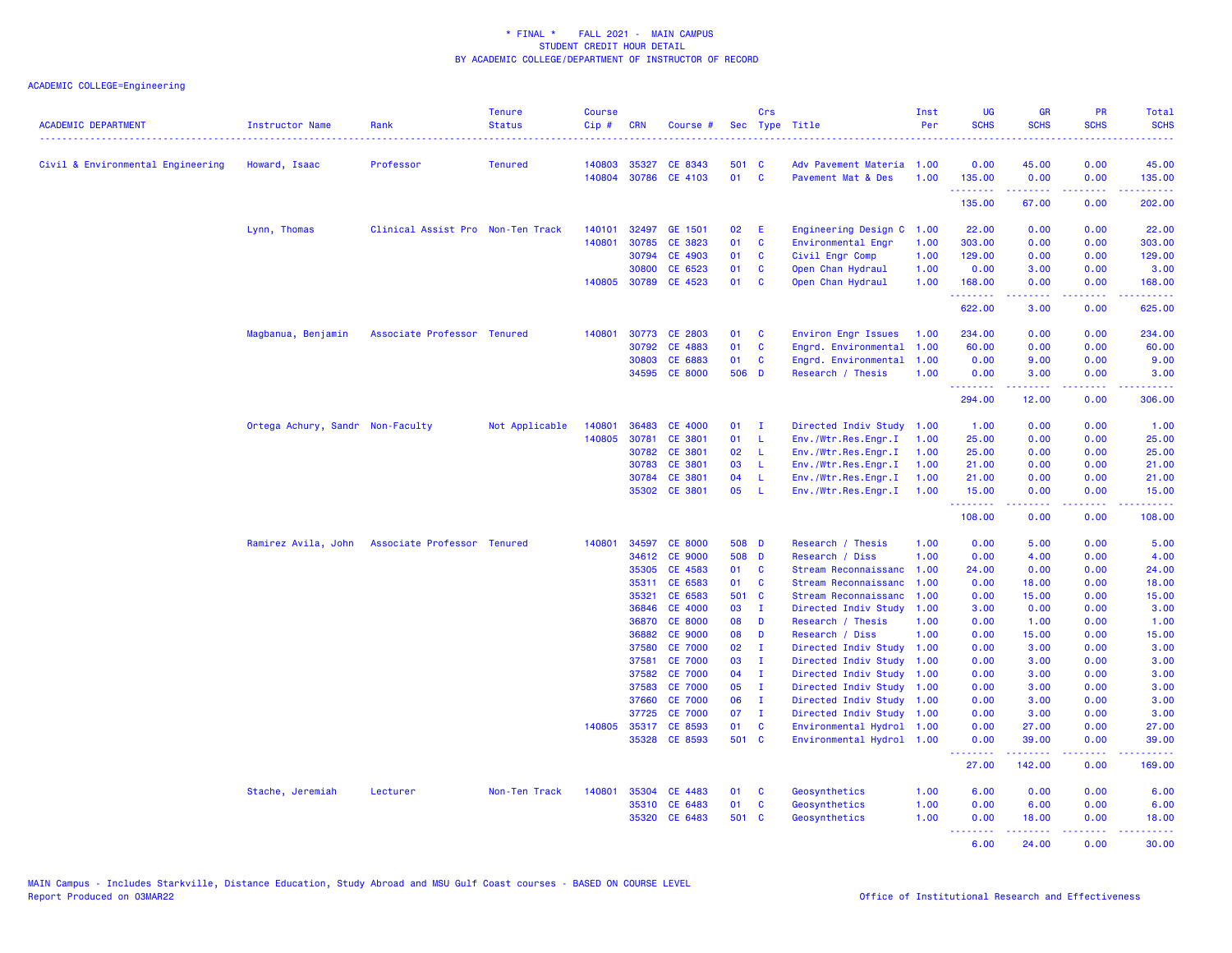| <b>ACADEMIC DEPARTMENT</b>        | <b>Instructor Name</b>           | Rank                                            | <b>Tenure</b><br><b>Status</b> | <b>Course</b><br>$Cip \#$ | <b>CRN</b>   | Course #             |       | Crs          | Sec Type Title            | Inst<br>Per | <b>UG</b><br><b>SCHS</b> | <b>GR</b><br><b>SCHS</b> | PR<br><b>SCHS</b> | Total<br><b>SCHS</b>                 |
|-----------------------------------|----------------------------------|-------------------------------------------------|--------------------------------|---------------------------|--------------|----------------------|-------|--------------|---------------------------|-------------|--------------------------|--------------------------|-------------------|--------------------------------------|
| Civil & Environmental Engineering | Howard, Isaac                    | Professor                                       | <b>Tenured</b>                 | 140803                    | 35327        | CE 8343              | 501 C |              | Adv Pavement Materia 1.00 |             | 0.00                     | 45.00                    | 0.00              | 45.00                                |
|                                   |                                  |                                                 |                                |                           |              | 140804 30786 CE 4103 | 01    | $\mathbf{C}$ | Pavement Mat & Des        | 1.00        | 135.00                   | 0.00                     | 0.00              | 135.00                               |
|                                   |                                  |                                                 |                                |                           |              |                      |       |              |                           |             | .<br>135.00              | .<br>67.00               | وعاويا<br>0.00    | 202.00                               |
|                                   | Lynn, Thomas                     | Clinical Assist Pro Non-Ten Track               |                                | 140101                    | 32497        | GE 1501              | 02    | E            | Engineering Design C      | 1.00        | 22.00                    | 0.00                     | 0.00              | 22.00                                |
|                                   |                                  |                                                 |                                | 140801                    | 30785        | CE 3823              | 01    | <b>C</b>     | Environmental Engr        | 1.00        | 303.00                   | 0.00                     | 0.00              | 303.00                               |
|                                   |                                  |                                                 |                                |                           | 30794        | CE 4903              | 01    | C            | Civil Engr Comp           | 1.00        | 129.00                   | 0.00                     | 0.00              | 129.00                               |
|                                   |                                  |                                                 |                                |                           | 30800        | CE 6523              | 01    | $\mathbf c$  | Open Chan Hydraul         | 1.00        | 0.00                     | 3.00                     | 0.00              | 3.00                                 |
|                                   |                                  |                                                 |                                |                           | 140805 30789 | CE 4523              | 01    | <b>C</b>     | Open Chan Hydraul         | 1.00        | 168.00                   | 0.00                     | 0.00              | 168.00<br>.                          |
|                                   |                                  |                                                 |                                |                           |              |                      |       |              |                           |             | .<br>622.00              | 3.00                     | 0.00              | 625.00                               |
|                                   | Magbanua, Benjamin               | Associate Professor Tenured                     |                                | 140801                    | 30773        | <b>CE 2803</b>       | 01    | C            | Environ Engr Issues       | 1.00        | 234.00                   | 0.00                     | 0.00              | 234.00                               |
|                                   |                                  |                                                 |                                |                           | 30792        | CE 4883              | 01    | C            | Engrd. Environmental      | 1.00        | 60.00                    | 0.00                     | 0.00              | 60.00                                |
|                                   |                                  |                                                 |                                |                           | 30803        | CE 6883              | 01    | C            | Engrd. Environmental      | 1.00        | 0.00                     | 9.00                     | 0.00              | 9.00                                 |
|                                   |                                  |                                                 |                                |                           |              | 34595 CE 8000        | 506 D |              | Research / Thesis         | 1.00        | 0.00                     | 3.00                     | 0.00              | 3.00                                 |
|                                   |                                  |                                                 |                                |                           |              |                      |       |              |                           |             | .<br>294.00              | .<br>12.00               | .<br>0.00         | <b><i><u>AAAAA</u></i></b><br>306.00 |
|                                   | Ortega Achury, Sandr Non-Faculty |                                                 | Not Applicable                 | 140801                    | 36483        | <b>CE 4000</b>       | 01    | - I          | Directed Indiv Study 1.00 |             | 1.00                     | 0.00                     | 0.00              | 1.00                                 |
|                                   |                                  |                                                 |                                | 140805                    | 30781        | <b>CE 3801</b>       | 01    | $\mathsf{L}$ | Env./Wtr.Res.Engr.I       | 1.00        | 25.00                    | 0.00                     | 0.00              | 25.00                                |
|                                   |                                  |                                                 |                                |                           | 30782        | <b>CE 3801</b>       | 02    | - L          | Env./Wtr.Res.Engr.I       | 1.00        | 25.00                    | 0.00                     | 0.00              | 25.00                                |
|                                   |                                  |                                                 |                                |                           | 30783        | <b>CE 3801</b>       | 03    | - L          | Env./Wtr.Res.Engr.I       | 1.00        | 21.00                    | 0.00                     | 0.00              | 21.00                                |
|                                   |                                  |                                                 |                                |                           |              | 30784 CE 3801        | 04    | L.           | Env./Wtr.Res.Engr.I       | 1.00        | 21.00                    | 0.00                     | 0.00              | 21.00                                |
|                                   |                                  |                                                 |                                |                           |              | 35302 CE 3801        | 05    | - L          | Env./Wtr.Res.Engr.I       | 1.00        | 15.00                    | 0.00                     | 0.00              | 15.00                                |
|                                   |                                  |                                                 |                                |                           |              |                      |       |              |                           |             | .<br>108.00              | <b>.</b><br>0.00         | .<br>0.00         | .<br>108.00                          |
|                                   |                                  | Ramirez Avila, John Associate Professor Tenured |                                | 140801                    | 34597        | <b>CE 8000</b>       | 508 D |              | Research / Thesis         | 1.00        | 0.00                     | 5.00                     | 0.00              | 5.00                                 |
|                                   |                                  |                                                 |                                |                           |              | 34612 CE 9000        | 508 D |              | Research / Diss           | 1.00        | 0.00                     | 4.00                     | 0.00              | 4.00                                 |
|                                   |                                  |                                                 |                                |                           | 35305        | CE 4583              | 01    | C            | Stream Reconnaissanc      | 1.00        | 24.00                    | 0.00                     | 0.00              | 24.00                                |
|                                   |                                  |                                                 |                                |                           | 35311        | CE 6583              | 01    | <b>C</b>     | Stream Reconnaissanc      | 1.00        | 0.00                     | 18.00                    | 0.00              | 18.00                                |
|                                   |                                  |                                                 |                                |                           | 35321        | CE 6583              | 501 C |              | Stream Reconnaissanc      | 1.00        | 0.00                     | 15.00                    | 0.00              | 15.00                                |
|                                   |                                  |                                                 |                                |                           | 36846        | <b>CE 4000</b>       | 03    | $\mathbf{I}$ | Directed Indiv Study      | 1.00        | 3.00                     | 0.00                     | 0.00              | 3.00                                 |
|                                   |                                  |                                                 |                                |                           | 36870        | <b>CE 8000</b>       | 08    | D            | Research / Thesis         | 1.00        | 0.00                     | 1.00                     | 0.00              | 1.00                                 |
|                                   |                                  |                                                 |                                |                           | 36882        | <b>CE 9000</b>       | 80    | D            | Research / Diss           | 1.00        | 0.00                     | 15.00                    | 0.00              | 15.00                                |
|                                   |                                  |                                                 |                                |                           | 37580        | <b>CE 7000</b>       | 02    | $\mathbf{I}$ | Directed Indiv Study 1.00 |             | 0.00                     | 3.00                     | 0.00              | 3.00                                 |
|                                   |                                  |                                                 |                                |                           | 37581        | <b>CE 7000</b>       | 03    | $\mathbf{I}$ | Directed Indiv Study      | 1.00        | 0.00                     | 3.00                     | 0.00              | 3.00                                 |
|                                   |                                  |                                                 |                                |                           | 37582        | <b>CE 7000</b>       | 04    | $\mathbf{I}$ | Directed Indiv Study 1.00 |             | 0.00                     | 3.00                     | 0.00              | 3.00                                 |
|                                   |                                  |                                                 |                                |                           | 37583        | <b>CE 7000</b>       | 05    | Ι.           | Directed Indiv Study 1.00 |             | 0.00                     | 3.00                     | 0.00              | 3.00                                 |
|                                   |                                  |                                                 |                                |                           | 37660        | <b>CE 7000</b>       | 06    | $\mathbf{I}$ | Directed Indiv Study 1.00 |             | 0.00                     | 3.00                     | 0.00              | 3.00                                 |
|                                   |                                  |                                                 |                                |                           | 37725        | <b>CE 7000</b>       | 07    | $\mathbf{I}$ | Directed Indiv Study 1.00 |             | 0.00                     | 3.00                     | 0.00              | 3.00                                 |
|                                   |                                  |                                                 |                                | 140805                    | 35317        | CE 8593              | 01    | C            | Environmental Hydrol      | 1.00        | 0.00                     | 27.00                    | 0.00              | 27.00                                |
|                                   |                                  |                                                 |                                |                           | 35328        | CE 8593              | 501 C |              | Environmental Hydrol 1.00 |             | 0.00<br><u>.</u>         | 39.00<br>.               | 0.00<br>.         | 39,00<br>.                           |
|                                   |                                  |                                                 |                                |                           |              |                      |       |              |                           |             | 27.00                    | 142.00                   | 0.00              | 169.00                               |
|                                   | Stache, Jeremiah                 | Lecturer                                        | Non-Ten Track                  | 140801                    | 35304        | CE 4483              | 01    | <b>C</b>     | Geosynthetics             | 1.00        | 6.00                     | 0.00                     | 0.00              | 6.00                                 |
|                                   |                                  |                                                 |                                |                           | 35310        | CE 6483              | 01    | C            | Geosynthetics             | 1.00        | 0.00                     | 6.00                     | 0.00              | 6.00                                 |
|                                   |                                  |                                                 |                                |                           |              | 35320 CE 6483        | 501 C |              | Geosynthetics             | 1.00        | 0.00<br>.                | 18.00<br>.               | 0.00<br>22222     | 18.00<br>.                           |
|                                   |                                  |                                                 |                                |                           |              |                      |       |              |                           |             | 6.00                     | 24.00                    | 0.00              | 30.00                                |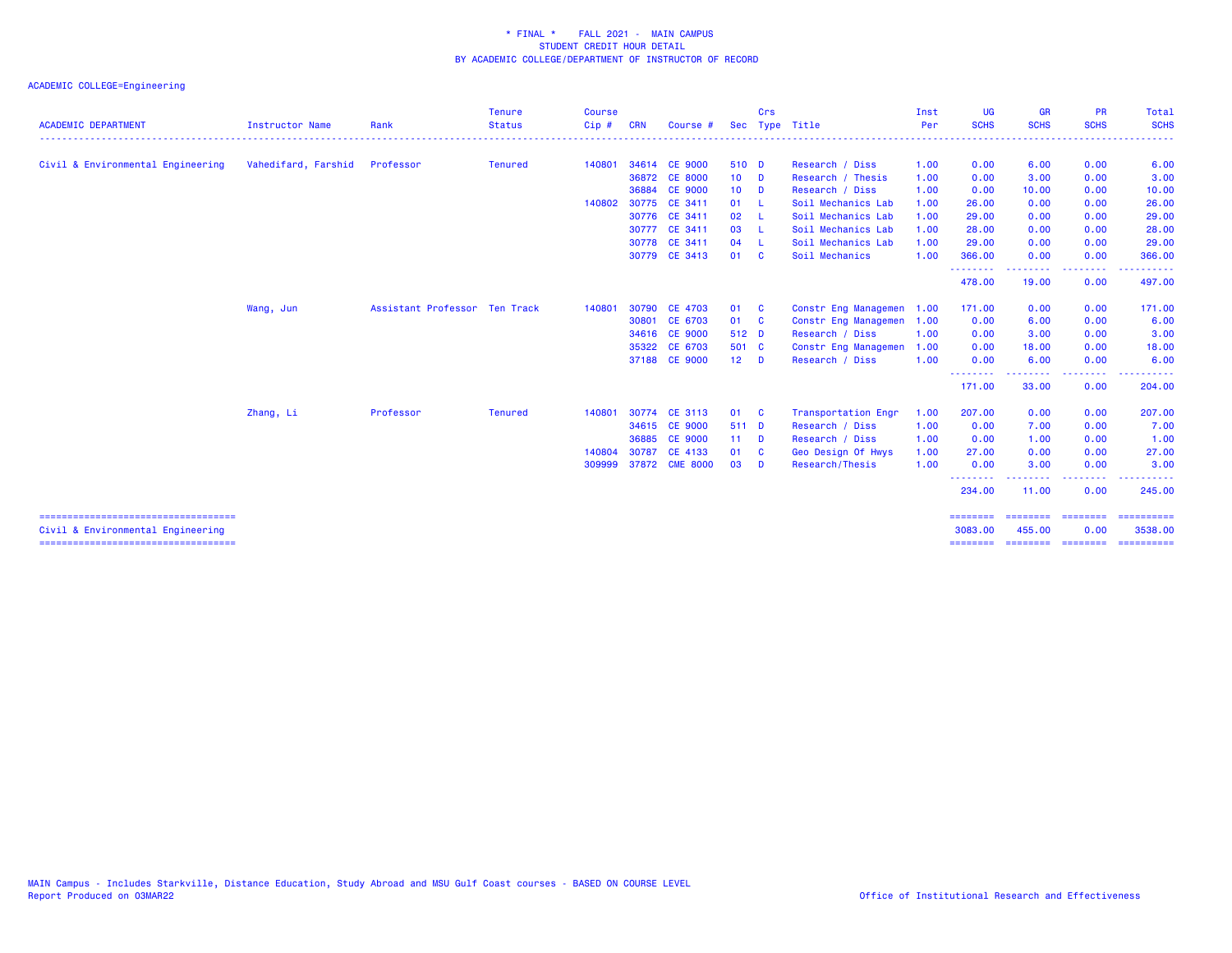|                                                                            |                               |                               | <b>Tenure</b>  | <b>Course</b> |            |                |        | Crs      |                      | Inst | <b>UG</b>           | <b>GR</b>                         | <b>PR</b>                                                                                                                                                                                                                                                                                                                                                                                                                                                                                      | Total                       |
|----------------------------------------------------------------------------|-------------------------------|-------------------------------|----------------|---------------|------------|----------------|--------|----------|----------------------|------|---------------------|-----------------------------------|------------------------------------------------------------------------------------------------------------------------------------------------------------------------------------------------------------------------------------------------------------------------------------------------------------------------------------------------------------------------------------------------------------------------------------------------------------------------------------------------|-----------------------------|
| <b>ACADEMIC DEPARTMENT</b>                                                 | <b>Instructor Name</b>        | Rank                          | <b>Status</b>  | Cip#          | <b>CRN</b> | Course #       |        |          | Sec Type Title       | Per  | <b>SCHS</b>         | <b>SCHS</b>                       | <b>SCHS</b>                                                                                                                                                                                                                                                                                                                                                                                                                                                                                    | <b>SCHS</b><br>. <u>.</u> . |
| Civil & Environmental Engineering                                          | Vahedifard, Farshid Professor |                               | <b>Tenured</b> | 140801        |            | 34614 CE 9000  | 510 D  |          | Research / Diss      | 1.00 | 0.00                | 6.00                              | 0.00                                                                                                                                                                                                                                                                                                                                                                                                                                                                                           | 6.00                        |
|                                                                            |                               |                               |                |               |            | 36872 CE 8000  | $10$ D |          | Research / Thesis    | 1.00 | 0.00                | 3.00                              | 0.00                                                                                                                                                                                                                                                                                                                                                                                                                                                                                           | 3.00                        |
|                                                                            |                               |                               |                |               | 36884      | <b>CE 9000</b> | $10$ D |          | Research / Diss      | 1.00 | 0.00                | 10.00                             | 0.00                                                                                                                                                                                                                                                                                                                                                                                                                                                                                           | 10.00                       |
|                                                                            |                               |                               |                | 140802        |            | 30775 CE 3411  | 01 L   |          | Soil Mechanics Lab   | 1.00 | 26.00               | 0.00                              | 0.00                                                                                                                                                                                                                                                                                                                                                                                                                                                                                           | 26.00                       |
|                                                                            |                               |                               |                |               |            | 30776 CE 3411  | 02 L   |          | Soil Mechanics Lab   | 1.00 | 29.00               | 0.00                              | 0.00                                                                                                                                                                                                                                                                                                                                                                                                                                                                                           | 29.00                       |
|                                                                            |                               |                               |                |               |            | 30777 CE 3411  | 03 L   |          | Soil Mechanics Lab   | 1.00 | 28.00               | 0.00                              | 0.00                                                                                                                                                                                                                                                                                                                                                                                                                                                                                           | 28.00                       |
|                                                                            |                               |                               |                |               |            | 30778 CE 3411  | 04 L   |          | Soil Mechanics Lab   | 1.00 | 29.00               | 0.00                              | 0.00                                                                                                                                                                                                                                                                                                                                                                                                                                                                                           | 29.00                       |
|                                                                            |                               |                               |                |               |            | 30779 CE 3413  | 01 C   |          | Soil Mechanics       | 1.00 | 366.00<br>.         | 0.00<br>.                         | 0.00<br>.                                                                                                                                                                                                                                                                                                                                                                                                                                                                                      | 366.00<br>$\cdots$          |
|                                                                            |                               |                               |                |               |            |                |        |          |                      |      | 478.00              | 19.00                             | 0.00                                                                                                                                                                                                                                                                                                                                                                                                                                                                                           | 497.00                      |
|                                                                            | Wang, Jun                     | Assistant Professor Ten Track |                | 140801        | 30790      | <b>CE 4703</b> | 01 C   |          | Constr Eng Managemen | 1.00 | 171.00              | 0.00                              | 0.00                                                                                                                                                                                                                                                                                                                                                                                                                                                                                           | 171.00                      |
|                                                                            |                               |                               |                |               | 30801      | CE 6703        | 01 C   |          | Constr Eng Managemen | 1.00 | 0.00                | 6.00                              | 0.00                                                                                                                                                                                                                                                                                                                                                                                                                                                                                           | 6.00                        |
|                                                                            |                               |                               |                |               |            | 34616 CE 9000  | 512 D  |          | Research / Diss      | 1.00 | 0.00                | 3.00                              | 0.00                                                                                                                                                                                                                                                                                                                                                                                                                                                                                           | 3.00                        |
|                                                                            |                               |                               |                |               |            | 35322 CE 6703  | 501 C  |          | Constr Eng Managemen | 1.00 | 0.00                | 18.00                             | 0.00                                                                                                                                                                                                                                                                                                                                                                                                                                                                                           | 18.00                       |
|                                                                            |                               |                               |                |               |            | 37188 CE 9000  | $12$ D |          | Research / Diss      | 1.00 | 0.00                | 6.00                              | 0.00                                                                                                                                                                                                                                                                                                                                                                                                                                                                                           | 6.00                        |
|                                                                            |                               |                               |                |               |            |                |        |          |                      |      | --------<br>171.00  | - - - - - - - - <b>-</b><br>33.00 | --------<br>0.00                                                                                                                                                                                                                                                                                                                                                                                                                                                                               | ------<br>204.00            |
|                                                                            | Zhang, Li                     | Professor                     | <b>Tenured</b> | 140801        |            | 30774 CE 3113  | 01 C   |          | Transportation Engr  | 1.00 | 207.00              | 0.00                              | 0.00                                                                                                                                                                                                                                                                                                                                                                                                                                                                                           | 207.00                      |
|                                                                            |                               |                               |                |               |            | 34615 CE 9000  | 511 D  |          | Research / Diss      | 1.00 | 0.00                | 7.00                              | 0.00                                                                                                                                                                                                                                                                                                                                                                                                                                                                                           | 7.00                        |
|                                                                            |                               |                               |                |               | 36885      | <b>CE 9000</b> | $11 -$ | <b>D</b> | Research / Diss      | 1.00 | 0.00                | 1.00                              | 0.00                                                                                                                                                                                                                                                                                                                                                                                                                                                                                           | 1.00                        |
|                                                                            |                               |                               |                | 140804        | 30787      | CE 4133        | 01     | - C      | Geo Design Of Hwys   | 1.00 | 27.00               | 0.00                              | 0.00                                                                                                                                                                                                                                                                                                                                                                                                                                                                                           | 27.00                       |
|                                                                            |                               |                               |                | 309999        |            | 37872 CME 8000 | 03     | <b>D</b> | Research/Thesis      | 1.00 | 0.00                | 3.00                              | 0.00                                                                                                                                                                                                                                                                                                                                                                                                                                                                                           | 3.00                        |
|                                                                            |                               |                               |                |               |            |                |        |          |                      |      | .<br>234.00         | .<br>11.00                        | .<br>0.00                                                                                                                                                                                                                                                                                                                                                                                                                                                                                      | 245.00                      |
| =====================================<br>Civil & Environmental Engineering |                               |                               |                |               |            |                |        |          |                      |      | ========<br>3083.00 | ---------<br>455.00               | $\begin{array}{cccccccccc} \multicolumn{2}{c}{} & \multicolumn{2}{c}{} & \multicolumn{2}{c}{} & \multicolumn{2}{c}{} & \multicolumn{2}{c}{} & \multicolumn{2}{c}{} & \multicolumn{2}{c}{} & \multicolumn{2}{c}{} & \multicolumn{2}{c}{} & \multicolumn{2}{c}{} & \multicolumn{2}{c}{} & \multicolumn{2}{c}{} & \multicolumn{2}{c}{} & \multicolumn{2}{c}{} & \multicolumn{2}{c}{} & \multicolumn{2}{c}{} & \multicolumn{2}{c}{} & \multicolumn{2}{c}{} & \multicolumn{2}{c}{} & \mult$<br>0.00 | 3538.00                     |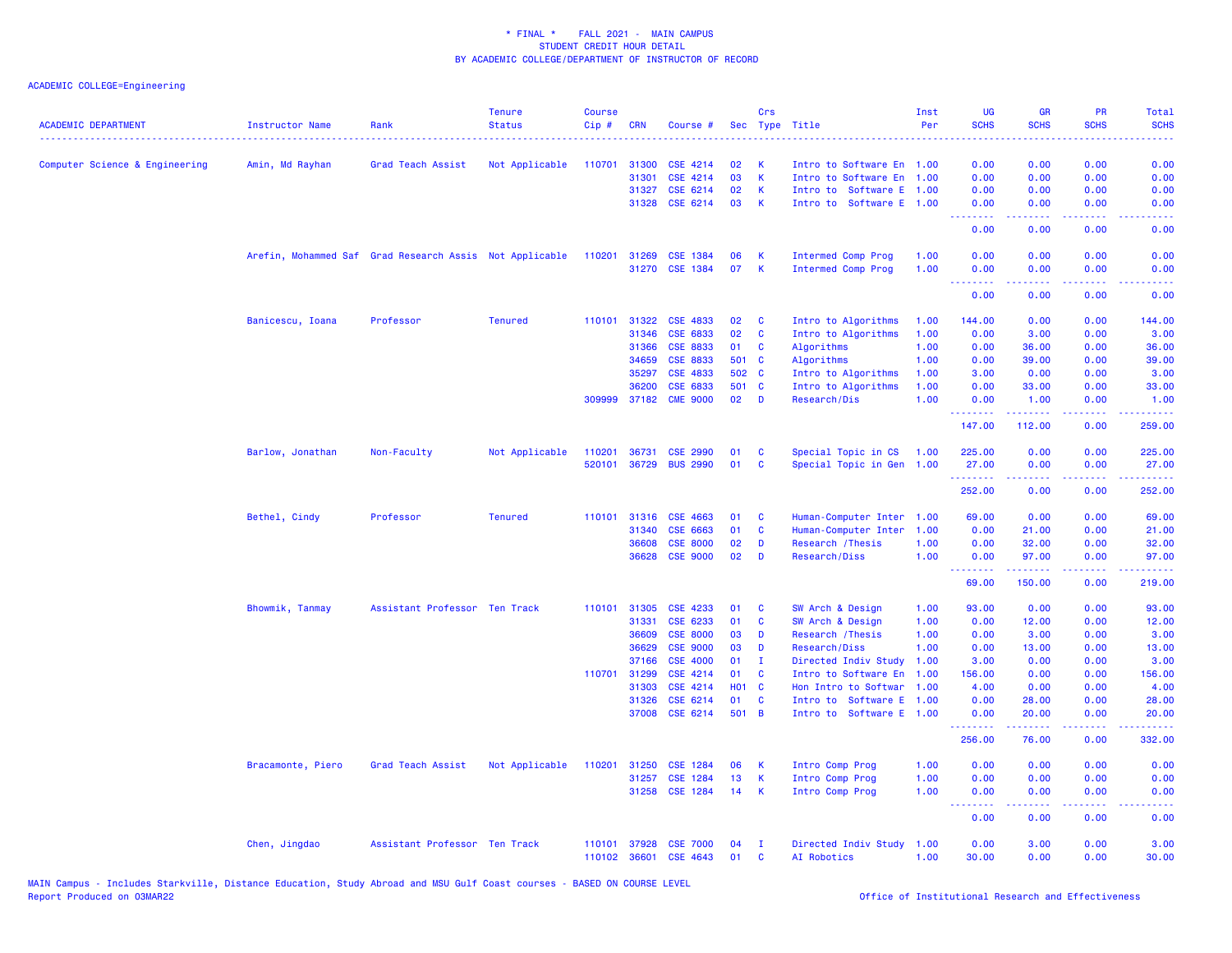| <b>ACADEMIC DEPARTMENT</b>     | <b>Instructor Name</b> | Rank                                                    | <b>Tenure</b><br><b>Status</b> | <b>Course</b><br>Cip# | <b>CRN</b>            | Course #                    |                          | Crs          | Sec Type Title                                   | Inst<br>Per  | <b>UG</b><br><b>SCHS</b><br>الوالو بولو | <b>GR</b><br><b>SCHS</b> | PR<br><b>SCHS</b> | Total<br><b>SCHS</b><br>الداعات                                                                                                                               |
|--------------------------------|------------------------|---------------------------------------------------------|--------------------------------|-----------------------|-----------------------|-----------------------------|--------------------------|--------------|--------------------------------------------------|--------------|-----------------------------------------|--------------------------|-------------------|---------------------------------------------------------------------------------------------------------------------------------------------------------------|
| Computer Science & Engineering | Amin, Md Rayhan        | Grad Teach Assist                                       | Not Applicable                 | 110701                | 31300                 | CSE 4214                    | 02                       | К            | Intro to Software En 1.00                        |              | 0.00                                    | 0.00                     | 0.00              | 0.00                                                                                                                                                          |
|                                |                        |                                                         |                                |                       | 31301                 | CSE 4214                    | 03                       | K            | Intro to Software En 1.00                        |              | 0.00                                    | 0.00                     | 0.00              | 0.00                                                                                                                                                          |
|                                |                        |                                                         |                                |                       | 31327                 | CSE 6214                    | 02                       | $\mathsf K$  | Intro to Software E 1.00                         |              | 0.00                                    | 0.00                     | 0.00              | 0.00                                                                                                                                                          |
|                                |                        |                                                         |                                |                       | 31328                 | CSE 6214                    | 03                       | К            | Intro to Software E 1.00                         |              | 0.00<br>الدالد الدالد                   | 0.00<br>.                | 0.00<br>$  -$     | 0.00                                                                                                                                                          |
|                                |                        |                                                         |                                |                       |                       |                             |                          |              |                                                  |              | 0.00                                    | 0.00                     | 0.00              | 0.00                                                                                                                                                          |
|                                |                        | Arefin, Mohammed Saf Grad Research Assis Not Applicable |                                | 110201                | 31269                 | CSE 1384                    | 06                       | К            | Intermed Comp Prog                               | 1.00         | 0.00                                    | 0.00                     | 0.00              | 0.00                                                                                                                                                          |
|                                |                        |                                                         |                                |                       |                       | 31270 CSE 1384              | 07                       | K            | Intermed Comp Prog                               | 1.00         | 0.00<br>.                               | 0.00<br>.                | 0.00              | 0.00                                                                                                                                                          |
|                                |                        |                                                         |                                |                       |                       |                             |                          |              |                                                  |              | 0.00                                    | 0.00                     | 0.00              | 0.00                                                                                                                                                          |
|                                | Banicescu, Ioana       | Professor                                               | <b>Tenured</b>                 |                       | 110101 31322          | <b>CSE 4833</b>             | 02                       | C            | Intro to Algorithms                              | 1.00         | 144.00                                  | 0.00                     | 0.00              | 144.00                                                                                                                                                        |
|                                |                        |                                                         |                                |                       | 31346                 | CSE 6833                    | 02                       | C            | Intro to Algorithms                              | 1.00         | 0.00                                    | 3.00                     | 0.00              | 3.00                                                                                                                                                          |
|                                |                        |                                                         |                                |                       | 31366                 | <b>CSE 8833</b>             | 01                       | C            | Algorithms                                       | 1.00         | 0.00                                    | 36.00                    | 0.00              | 36.00                                                                                                                                                         |
|                                |                        |                                                         |                                |                       | 34659                 | <b>CSE 8833</b>             | 501 C                    |              | Algorithms                                       | 1.00         | 0.00                                    | 39.00                    | 0.00              | 39.00                                                                                                                                                         |
|                                |                        |                                                         |                                |                       | 35297                 | CSE 4833                    | 502 C                    |              | Intro to Algorithms                              | 1.00         | 3.00                                    | 0.00                     | 0.00              | 3.00                                                                                                                                                          |
|                                |                        |                                                         |                                |                       | 36200<br>309999 37182 | CSE 6833<br><b>CME 9000</b> | 501 C<br>02 <sub>o</sub> | $\mathbf{D}$ | Intro to Algorithms<br>Research/Dis              | 1.00<br>1.00 | 0.00<br>0.00                            | 33.00<br>1.00            | 0.00<br>0.00      | 33.00<br>1.00                                                                                                                                                 |
|                                |                        |                                                         |                                |                       |                       |                             |                          |              |                                                  |              | .                                       | .                        | .                 | $\frac{1}{2} \left( \frac{1}{2} \right) \left( \frac{1}{2} \right) \left( \frac{1}{2} \right) \left( \frac{1}{2} \right) \left( \frac{1}{2} \right)$          |
|                                |                        |                                                         |                                |                       |                       |                             |                          |              |                                                  |              | 147.00                                  | 112.00                   | 0.00              | 259.00                                                                                                                                                        |
|                                | Barlow, Jonathan       | Non-Faculty                                             | Not Applicable                 | 110201                | 36731                 | <b>CSE 2990</b>             | 01                       | C            | Special Topic in CS                              | 1.00         | 225.00                                  | 0.00                     | 0.00              | 225.00                                                                                                                                                        |
|                                |                        |                                                         |                                | 520101                |                       | 36729 BUS 2990              | 01                       | C            | Special Topic in Gen 1.00                        |              | 27.00<br>.                              | 0.00<br>-----            | 0.00<br>.         | 27.00<br>$\frac{1}{2} \left( \frac{1}{2} \right) \left( \frac{1}{2} \right) \left( \frac{1}{2} \right) \left( \frac{1}{2} \right) \left( \frac{1}{2} \right)$ |
|                                |                        |                                                         |                                |                       |                       |                             |                          |              |                                                  |              | 252.00                                  | 0.00                     | 0.00              | 252.00                                                                                                                                                        |
|                                | Bethel, Cindy          | Professor                                               | <b>Tenured</b>                 |                       | 110101 31316          | <b>CSE 4663</b>             | 01                       | C            | Human-Computer Inter                             | 1.00         | 69.00                                   | 0.00                     | 0.00              | 69.00                                                                                                                                                         |
|                                |                        |                                                         |                                |                       | 31340                 | CSE 6663                    | 01                       | C            | Human-Computer Inter                             | 1.00         | 0.00                                    | 21.00                    | 0.00              | 21.00                                                                                                                                                         |
|                                |                        |                                                         |                                |                       | 36608                 | <b>CSE 8000</b>             | 02                       | D            | Research / Thesis                                | 1.00         | 0.00                                    | 32.00                    | 0.00              | 32.00                                                                                                                                                         |
|                                |                        |                                                         |                                |                       | 36628                 | <b>CSE 9000</b>             | 02                       | D            | Research/Diss                                    | 1.00         | 0.00                                    | 97.00                    | 0.00              | 97.00                                                                                                                                                         |
|                                |                        |                                                         |                                |                       |                       |                             |                          |              |                                                  |              | 69.00                                   | 150.00                   | 0.00              | 219.00                                                                                                                                                        |
|                                | Bhowmik, Tanmay        | Assistant Professor Ten Track                           |                                |                       | 110101 31305          | CSE 4233                    | 01                       | C            | SW Arch & Design                                 | 1.00         | 93.00                                   | 0.00                     | 0.00              | 93.00                                                                                                                                                         |
|                                |                        |                                                         |                                |                       | 31331                 | CSE 6233                    | 01                       | C            | SW Arch & Design                                 | 1.00         | 0.00                                    | 12.00                    | 0.00              | 12.00                                                                                                                                                         |
|                                |                        |                                                         |                                |                       | 36609                 | <b>CSE 8000</b>             | 03                       | D            | Research / Thesis                                | 1.00         | 0.00                                    | 3.00                     | 0.00              | 3.00                                                                                                                                                          |
|                                |                        |                                                         |                                |                       | 36629                 | <b>CSE 9000</b>             | 03                       | D            | Research/Diss                                    | 1.00         | 0.00                                    | 13.00                    | 0.00              | 13.00                                                                                                                                                         |
|                                |                        |                                                         |                                |                       | 37166                 | <b>CSE 4000</b>             | 01                       | $\mathbf{I}$ | Directed Indiv Study                             | 1.00         | 3.00                                    | 0.00                     | 0.00              | 3.00                                                                                                                                                          |
|                                |                        |                                                         |                                | 110701                | 31299                 | CSE 4214                    | 01                       | C            | Intro to Software En                             | 1.00         | 156.00                                  | 0.00                     | 0.00              | 156.00                                                                                                                                                        |
|                                |                        |                                                         |                                |                       | 31303<br>31326        | CSE 4214<br>CSE 6214        | <b>HO1 C</b><br>01       | C            | Hon Intro to Softwar<br>Intro to Software E 1.00 | 1.00         | 4.00<br>0.00                            | 0.00<br>28.00            | 0.00<br>0.00      | 4.00<br>28.00                                                                                                                                                 |
|                                |                        |                                                         |                                |                       | 37008                 | CSE 6214                    | 501 B                    |              | Intro to Software E 1.00                         |              | 0.00                                    | 20.00                    | 0.00              | 20.00                                                                                                                                                         |
|                                |                        |                                                         |                                |                       |                       |                             |                          |              |                                                  |              | .                                       | 2.2.2.2.2                | .                 | .                                                                                                                                                             |
|                                |                        |                                                         |                                |                       |                       |                             |                          |              |                                                  |              | 256.00                                  | 76.00                    | 0.00              | 332.00                                                                                                                                                        |
|                                | Bracamonte, Piero      | Grad Teach Assist                                       | Not Applicable                 | 110201                | 31250                 | <b>CSE 1284</b>             | 06                       | К            | Intro Comp Prog                                  | 1.00         | 0.00                                    | 0.00                     | 0.00              | 0.00                                                                                                                                                          |
|                                |                        |                                                         |                                |                       | 31257                 | <b>CSE 1284</b>             | 13                       | K            | Intro Comp Prog                                  | 1.00         | 0.00                                    | 0.00                     | 0.00              | 0.00                                                                                                                                                          |
|                                |                        |                                                         |                                |                       |                       | 31258 CSE 1284              | 14                       | K            | Intro Comp Prog                                  | 1.00         | 0.00<br>د د د د                         | 0.00<br>-----            | 0.00<br>وعاويا    | 0.00<br>----                                                                                                                                                  |
|                                |                        |                                                         |                                |                       |                       |                             |                          |              |                                                  |              | 0.00                                    | 0.00                     | 0.00              | 0.00                                                                                                                                                          |
|                                | Chen, Jingdao          | Assistant Professor Ten Track                           |                                | 110101                | 37928                 | <b>CSE 7000</b>             | 04                       | $\mathbf{T}$ | Directed Indiv Study 1.00                        |              | 0.00                                    | 3.00                     | 0.00              | 3.00                                                                                                                                                          |
|                                |                        |                                                         |                                | 110102                | 36601                 | CSE 4643                    | 01                       | <b>C</b>     | AI Robotics                                      | 1.00         | 30.00                                   | 0.00                     | 0.00              | 30.00                                                                                                                                                         |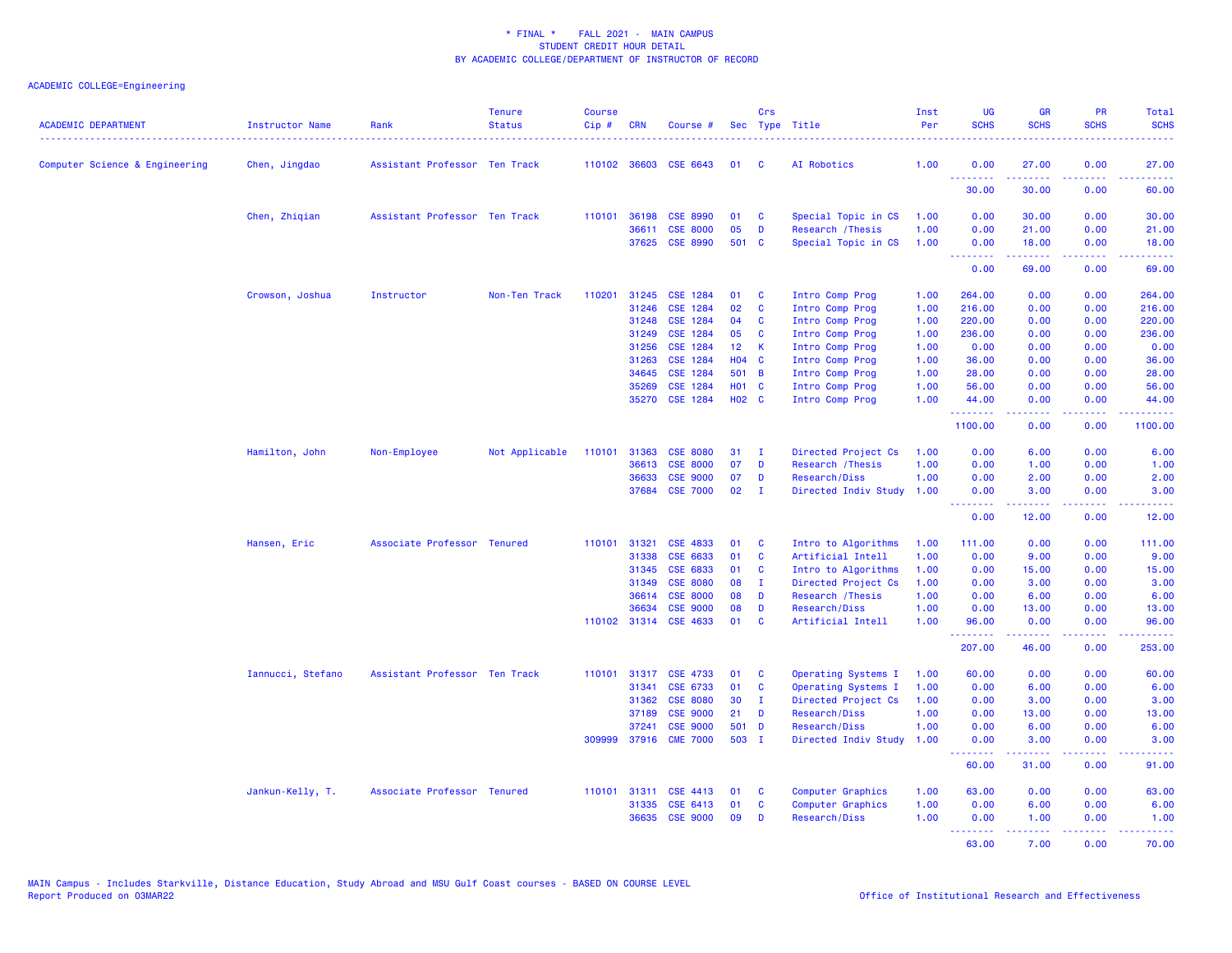| <b>ACADEMIC DEPARTMENT</b>     | Instructor Name<br>. | Rank                          | <b>Tenure</b><br><b>Status</b> | <b>Course</b><br>Cip# | <b>CRN</b>   | Course #                                 |                   | Crs               | Sec Type Title                     | Inst<br>Per  | <b>UG</b><br><b>SCHS</b>                                  | <b>GR</b><br><b>SCHS</b> | PR<br><b>SCHS</b> | Total<br><b>SCHS</b>                                                                                                              |
|--------------------------------|----------------------|-------------------------------|--------------------------------|-----------------------|--------------|------------------------------------------|-------------------|-------------------|------------------------------------|--------------|-----------------------------------------------------------|--------------------------|-------------------|-----------------------------------------------------------------------------------------------------------------------------------|
| Computer Science & Engineering | Chen, Jingdao        | Assistant Professor Ten Track |                                |                       |              | 110102 36603 CSE 6643                    | 01                | C                 | AI Robotics                        | 1.00         | 0.00                                                      | 27.00                    | 0.00<br>.         | 27.00                                                                                                                             |
|                                |                      |                               |                                |                       |              |                                          |                   |                   |                                    |              | <b><i><u><u><b>Little Little</b></u></u></i></b><br>30.00 | .<br>30.00               | 0.00              | .<br>60.00                                                                                                                        |
|                                | Chen, Zhiqian        | Assistant Professor Ten Track |                                |                       | 110101 36198 | <b>CSE 8990</b>                          | 01                | C                 | Special Topic in CS                | 1.00         | 0.00                                                      | 30.00                    | 0.00              | 30.00                                                                                                                             |
|                                |                      |                               |                                |                       | 36611        | <b>CSE 8000</b>                          | 05                | D                 | Research / Thesis                  | 1.00         | 0.00                                                      | 21.00                    | 0.00              | 21.00                                                                                                                             |
|                                |                      |                               |                                |                       | 37625        | <b>CSE 8990</b>                          | 501 C             |                   | Special Topic in CS                | 1.00         | 0.00<br><b>.</b>                                          | 18.00                    | 0.00<br>د د د د   | 18.00<br>وساعات                                                                                                                   |
|                                |                      |                               |                                |                       |              |                                          |                   |                   |                                    |              | 0.00                                                      | 69.00                    | 0.00              | 69.00                                                                                                                             |
|                                | Crowson, Joshua      | Instructor                    | Non-Ten Track                  | 110201                | 31245        | <b>CSE 1284</b>                          | 01                | C                 | Intro Comp Prog                    | 1.00         | 264.00                                                    | 0.00                     | 0.00              | 264.00                                                                                                                            |
|                                |                      |                               |                                |                       | 31246        | <b>CSE 1284</b>                          | 02                | C                 | Intro Comp Prog                    | 1.00         | 216.00                                                    | 0.00                     | 0.00              | 216.00                                                                                                                            |
|                                |                      |                               |                                |                       | 31248        | CSE 1284                                 | 04                | <b>C</b>          | Intro Comp Prog                    | 1.00         | 220.00                                                    | 0.00                     | 0.00              | 220.00                                                                                                                            |
|                                |                      |                               |                                |                       | 31249        | CSE 1284                                 | 05                | <b>C</b>          | Intro Comp Prog                    | 1.00         | 236.00                                                    | 0.00                     | 0.00              | 236.00                                                                                                                            |
|                                |                      |                               |                                |                       | 31256        | CSE 1284                                 | 12 <sup>°</sup>   | K                 | Intro Comp Prog                    | 1.00         | 0.00                                                      | 0.00                     | 0.00              | 0.00                                                                                                                              |
|                                |                      |                               |                                |                       | 31263        | <b>CSE 1284</b>                          | <b>HO4</b>        | $\mathbf{C}$      | Intro Comp Prog                    | 1.00         | 36.00                                                     | 0.00                     | 0.00              | 36.00                                                                                                                             |
|                                |                      |                               |                                |                       | 34645        | <b>CSE 1284</b>                          | 501 B             |                   | Intro Comp Prog                    | 1.00         | 28.00                                                     | 0.00                     | 0.00              | 28.00                                                                                                                             |
|                                |                      |                               |                                |                       | 35269        | CSE 1284                                 | <b>HO1 C</b>      |                   | Intro Comp Prog                    | 1.00         | 56.00                                                     | 0.00                     | 0.00              | 56.00                                                                                                                             |
|                                |                      |                               |                                |                       | 35270        | CSE 1284                                 | H <sub>02</sub> C |                   | Intro Comp Prog                    | 1.00         | 44.00<br>.                                                | 0.00<br>بالمحامي         | 0.00<br>د د د د   | 44.00<br>.                                                                                                                        |
|                                |                      |                               |                                |                       |              |                                          |                   |                   |                                    |              | 1100.00                                                   | 0.00                     | 0.00              | 1100.00                                                                                                                           |
|                                | Hamilton, John       | Non-Employee                  | Not Applicable                 | 110101                | 31363        | <b>CSE 8080</b>                          | 31                | - I               | Directed Project Cs                | 1.00         | 0.00                                                      | 6.00                     | 0.00              | 6.00                                                                                                                              |
|                                |                      |                               |                                |                       | 36613        | <b>CSE 8000</b>                          | 07                | D                 | Research / Thesis                  | 1.00         | 0.00                                                      | 1.00                     | 0.00              | 1.00                                                                                                                              |
|                                |                      |                               |                                |                       | 36633        | <b>CSE 9000</b>                          | 07                | D                 | Research/Diss                      | 1.00         | 0.00                                                      | 2.00                     | 0.00              | 2.00                                                                                                                              |
|                                |                      |                               |                                |                       |              | 37684 CSE 7000                           | 02                | $\mathbf{I}$      | Directed Indiv Study               | 1.00         | 0.00<br><b><i><u><u> - - - - - - -</u></u></i></b>        | 3.00<br>2.2.2.2.2        | 0.00<br>22222     | 3.00<br>$\sim$ $\sim$ $\sim$ $\sim$ $\sim$                                                                                        |
|                                |                      |                               |                                |                       |              |                                          |                   |                   |                                    |              | 0.00                                                      | 12.00                    | 0.00              | 12.00                                                                                                                             |
|                                | Hansen, Eric         | Associate Professor Tenured   |                                | 110101                | 31321        | <b>CSE 4833</b>                          | 01                | <b>C</b>          | Intro to Algorithms                | 1.00         | 111.00                                                    | 0.00                     | 0.00              | 111.00                                                                                                                            |
|                                |                      |                               |                                |                       | 31338        | CSE 6633                                 | 01                | C                 | Artificial Intell                  | 1.00         | 0.00                                                      | 9.00                     | 0.00              | 9.00                                                                                                                              |
|                                |                      |                               |                                |                       | 31345        | CSE 6833                                 | 01                | C                 | Intro to Algorithms                | 1.00         | 0.00                                                      | 15.00                    | 0.00              | 15.00                                                                                                                             |
|                                |                      |                               |                                |                       | 31349        | <b>CSE 8080</b>                          | 08                | Ι.                | Directed Project Cs                | 1.00         | 0.00                                                      | 3.00                     | 0.00              | 3.00                                                                                                                              |
|                                |                      |                               |                                |                       | 36614        | <b>CSE 8000</b>                          | 08                | D                 | Research / Thesis                  | 1.00         | 0.00                                                      | 6.00                     | 0.00              | 6.00                                                                                                                              |
|                                |                      |                               |                                |                       | 36634        | <b>CSE 9000</b><br>110102 31314 CSE 4633 | 08<br>01          | D<br>$\mathbf{C}$ | Research/Diss<br>Artificial Intell | 1.00<br>1.00 | 0.00<br>96.00                                             | 13.00<br>0.00            | 0.00<br>0.00      | 13.00<br>96.00                                                                                                                    |
|                                |                      |                               |                                |                       |              |                                          |                   |                   |                                    |              | <u>.</u>                                                  |                          |                   | المتمامين                                                                                                                         |
|                                |                      |                               |                                |                       |              |                                          |                   |                   |                                    |              | 207.00                                                    | 46.00                    | 0.00              | 253.00                                                                                                                            |
|                                | Iannucci, Stefano    | Assistant Professor Ten Track |                                |                       |              | 110101 31317 CSE 4733                    | 01                | C                 | Operating Systems I                | 1.00         | 60.00                                                     | 0.00                     | 0.00              | 60.00                                                                                                                             |
|                                |                      |                               |                                |                       | 31341        | CSE 6733                                 | 01                | C                 | Operating Systems I                | 1.00         | 0.00                                                      | 6.00                     | 0.00              | 6.00                                                                                                                              |
|                                |                      |                               |                                |                       | 31362        | <b>CSE 8080</b>                          | 30                | $\mathbf{I}$      | Directed Project Cs                | 1.00         | 0.00                                                      | 3.00                     | 0.00              | 3.00                                                                                                                              |
|                                |                      |                               |                                |                       | 37189        | <b>CSE 9000</b>                          | 21                | D                 | Research/Diss                      | 1.00         | 0.00                                                      | 13.00                    | 0.00              | 13.00                                                                                                                             |
|                                |                      |                               |                                |                       | 37241        | <b>CSE 9000</b>                          | 501               | <b>D</b>          | Research/Diss                      | 1.00         | 0.00                                                      | 6.00                     | 0.00              | 6.00                                                                                                                              |
|                                |                      |                               |                                | 309999                | 37916        | <b>CME 7000</b>                          | 503 I             |                   | Directed Indiv Study               | 1.00         | 0.00<br>.                                                 | 3.00                     | 0.00              | 3.00                                                                                                                              |
|                                |                      |                               |                                |                       |              |                                          |                   |                   |                                    |              | 60.00                                                     | 31.00                    | 0.00              | 91.00                                                                                                                             |
|                                | Jankun-Kelly, T.     | Associate Professor Tenured   |                                |                       | 110101 31311 | <b>CSE 4413</b>                          | 01                | C                 | Computer Graphics                  | 1.00         | 63.00                                                     | 0.00                     | 0.00              | 63.00                                                                                                                             |
|                                |                      |                               |                                |                       | 31335        | CSE 6413                                 | 01                | C                 | Computer Graphics                  | 1.00         | 0.00                                                      | 6.00                     | 0.00              | 6.00                                                                                                                              |
|                                |                      |                               |                                |                       | 36635        | <b>CSE 9000</b>                          | 09                | D                 | Research/Diss                      | 1.00         | 0.00<br><u>.</u>                                          | 1.00<br>22222            | 0.00<br>22222     | 1.00<br>$\frac{1}{2} \left( \frac{1}{2} \right) \left( \frac{1}{2} \right) \left( \frac{1}{2} \right) \left( \frac{1}{2} \right)$ |
|                                |                      |                               |                                |                       |              |                                          |                   |                   |                                    |              | 63.00                                                     | 7.00                     | 0.00              | 70.00                                                                                                                             |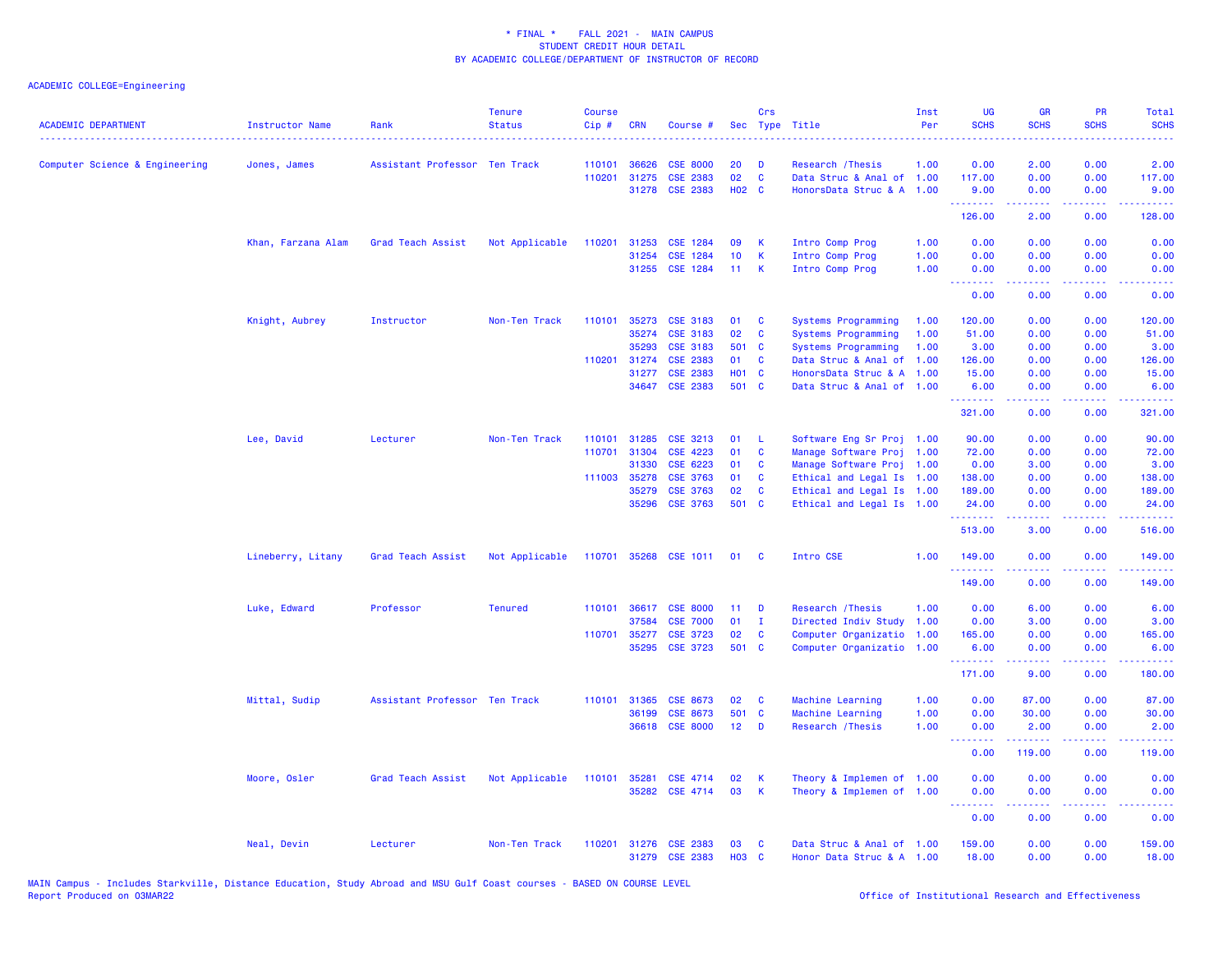| <b>ACADEMIC DEPARTMENT</b>     | <b>Instructor Name</b> | Rank                          | <b>Tenure</b><br><b>Status</b> | <b>Course</b><br>Cip# | <b>CRN</b>   | Course #                          |                    | Crs          | Sec Type Title                                         | Inst<br>Per | UG<br><b>SCHS</b>                           | <b>GR</b><br><b>SCHS</b> | PR<br><b>SCHS</b>                   | Total<br><b>SCHS</b>                                                                                                                                           |
|--------------------------------|------------------------|-------------------------------|--------------------------------|-----------------------|--------------|-----------------------------------|--------------------|--------------|--------------------------------------------------------|-------------|---------------------------------------------|--------------------------|-------------------------------------|----------------------------------------------------------------------------------------------------------------------------------------------------------------|
| Computer Science & Engineering | Jones, James           | Assistant Professor Ten Track |                                | 110101                | 36626        | <b>CSE 8000</b>                   | 20                 | D            | Research / Thesis                                      | 1.00        | 0.00                                        | 2.00                     | 0.00                                | 2.00                                                                                                                                                           |
|                                |                        |                               |                                | 110201                | 31275        | CSE 2383                          | 02                 | $\mathbf{C}$ | Data Struc & Anal of 1.00                              |             | 117.00                                      | 0.00                     | 0.00                                | 117.00                                                                                                                                                         |
|                                |                        |                               |                                |                       |              | 31278 CSE 2383                    | H02 C              |              | HonorsData Struc & A 1.00                              |             | 9.00<br><u>.</u>                            | 0.00<br>.                | 0.00<br>بالأباب                     | 9.00<br>المستما                                                                                                                                                |
|                                |                        |                               |                                |                       |              |                                   |                    |              |                                                        |             | 126.00                                      | 2.00                     | 0.00                                | 128.00                                                                                                                                                         |
|                                | Khan, Farzana Alam     | Grad Teach Assist             | Not Applicable                 | 110201                | 31253        | <b>CSE 1284</b>                   | 09                 | К            | Intro Comp Prog                                        | 1.00        | 0.00                                        | 0.00                     | 0.00                                | 0.00                                                                                                                                                           |
|                                |                        |                               |                                |                       | 31254        | CSE 1284                          | 10                 | K            | Intro Comp Prog                                        | 1.00        | 0.00                                        | 0.00                     | 0.00                                | 0.00                                                                                                                                                           |
|                                |                        |                               |                                |                       |              | 31255 CSE 1284                    | 11                 | K            | Intro Comp Prog                                        | 1.00        | 0.00<br><u>.</u>                            | 0.00<br>.                | 0.00<br>$\sim$ $\sim$ $\sim$ $\sim$ | 0.00<br><u>.</u>                                                                                                                                               |
|                                |                        |                               |                                |                       |              |                                   |                    |              |                                                        |             | 0.00                                        | 0.00                     | 0.00                                | 0.00                                                                                                                                                           |
|                                | Knight, Aubrey         | Instructor                    | Non-Ten Track                  | 110101                | 35273        | <b>CSE 3183</b>                   | 01                 | C            | Systems Programming                                    | 1.00        | 120.00                                      | 0.00                     | 0.00                                | 120.00                                                                                                                                                         |
|                                |                        |                               |                                |                       | 35274        | <b>CSE 3183</b>                   | 02                 | C            | Systems Programming                                    | 1.00        | 51.00                                       | 0.00                     | 0.00                                | 51.00                                                                                                                                                          |
|                                |                        |                               |                                |                       | 35293        | <b>CSE 3183</b>                   | 501                | <b>C</b>     | Systems Programming                                    | 1.00        | 3.00                                        | 0.00                     | 0.00                                | 3.00                                                                                                                                                           |
|                                |                        |                               |                                | 110201                | 31274        | <b>CSE 2383</b>                   | 01                 | C            | Data Struc & Anal of                                   | 1.00        | 126.00                                      | 0.00                     | 0.00                                | 126.00                                                                                                                                                         |
|                                |                        |                               |                                |                       | 31277        | <b>CSE 2383</b>                   | <b>HO1 C</b>       |              | HonorsData Struc & A 1.00                              |             | 15.00                                       | 0.00                     | 0.00                                | 15.00                                                                                                                                                          |
|                                |                        |                               |                                |                       | 34647        | <b>CSE 2383</b>                   | 501 C              |              | Data Struc & Anal of 1.00                              |             | 6.00<br>.                                   | 0.00<br>.                | 0.00<br>$\sim$ $\sim$ $\sim$ $\sim$ | 6.00<br>.                                                                                                                                                      |
|                                |                        |                               |                                |                       |              |                                   |                    |              |                                                        |             | 321.00                                      | 0.00                     | 0.00                                | 321.00                                                                                                                                                         |
|                                | Lee, David             | Lecturer                      | Non-Ten Track                  | 110101                | 31285        | CSE 3213                          | 01                 | -L           | Software Eng Sr Proj 1.00                              |             | 90.00                                       | 0.00                     | 0.00                                | 90.00                                                                                                                                                          |
|                                |                        |                               |                                | 110701                | 31304        | <b>CSE 4223</b>                   | 01                 | C            | Manage Software Proj 1.00                              |             | 72.00                                       | 0.00                     | 0.00                                | 72.00                                                                                                                                                          |
|                                |                        |                               |                                |                       | 31330        | CSE 6223                          | 01                 | C            | Manage Software Proj 1.00                              |             | 0.00                                        | 3.00                     | 0.00                                | 3.00                                                                                                                                                           |
|                                |                        |                               |                                |                       | 111003 35278 | <b>CSE 3763</b>                   | 01                 | <b>C</b>     | Ethical and Legal Is 1.00                              |             | 138.00                                      | 0.00                     | 0.00                                | 138.00                                                                                                                                                         |
|                                |                        |                               |                                |                       | 35279        | <b>CSE 3763</b>                   | 02                 | C            | Ethical and Legal Is 1.00                              |             | 189.00                                      | 0.00                     | 0.00                                | 189.00                                                                                                                                                         |
|                                |                        |                               |                                |                       | 35296        | <b>CSE 3763</b>                   | 501 C              |              | Ethical and Legal Is 1.00                              |             | 24.00                                       | 0.00<br>.                | 0.00<br>$  -$                       | 24.00<br><u>.</u>                                                                                                                                              |
|                                |                        |                               |                                |                       |              |                                   |                    |              |                                                        |             | <b><i><u> - - - - - -</u></i></b><br>513.00 | 3.00                     | 0.00                                | 516.00                                                                                                                                                         |
|                                | Lineberry, Litany      | Grad Teach Assist             | Not Applicable                 |                       |              | 110701 35268 CSE 1011             | 01                 | <b>C</b>     | Intro CSE                                              | 1.00        | 149.00<br><u> - - - - - - - -</u>           | 0.00<br><u>.</u>         | 0.00<br>.                           | 149.00<br>$\frac{1}{2} \left( \frac{1}{2} \right) \left( \frac{1}{2} \right) \left( \frac{1}{2} \right) \left( \frac{1}{2} \right) \left( \frac{1}{2} \right)$ |
|                                |                        |                               |                                |                       |              |                                   |                    |              |                                                        |             | 149.00                                      | 0.00                     | 0.00                                | 149.00                                                                                                                                                         |
|                                | Luke, Edward           | Professor                     | <b>Tenured</b>                 |                       |              | 110101 36617 CSE 8000             | 11                 | D            | Research / Thesis                                      | 1.00        | 0.00                                        | 6.00                     | 0.00                                | 6.00                                                                                                                                                           |
|                                |                        |                               |                                |                       | 37584        | <b>CSE 7000</b>                   | 01                 | $\mathbf{I}$ | Directed Indiv Study                                   | 1.00        | 0.00                                        | 3.00                     | 0.00                                | 3.00                                                                                                                                                           |
|                                |                        |                               |                                | 110701                | 35277        | <b>CSE 3723</b>                   | 02                 | C            | Computer Organizatio                                   | 1.00        | 165.00                                      | 0.00                     | 0.00                                | 165.00                                                                                                                                                         |
|                                |                        |                               |                                |                       | 35295        | <b>CSE 3723</b>                   | 501 C              |              | Computer Organizatio 1.00                              |             | 6.00                                        | 0.00                     | 0.00                                | 6.00                                                                                                                                                           |
|                                |                        |                               |                                |                       |              |                                   |                    |              |                                                        |             | .<br>171.00                                 | .<br>9.00                | د د د د<br>0.00                     | .<br>180.00                                                                                                                                                    |
|                                | Mittal, Sudip          | Assistant Professor Ten Track |                                | 110101                | 31365        | CSE 8673                          | 02                 | C            | Machine Learning                                       | 1.00        | 0.00                                        | 87.00                    | 0.00                                | 87.00                                                                                                                                                          |
|                                |                        |                               |                                |                       | 36199        | CSE 8673                          | 501                | $\mathbf{C}$ | Machine Learning                                       | 1.00        | 0.00                                        | 30.00                    | 0.00                                | 30.00                                                                                                                                                          |
|                                |                        |                               |                                |                       |              | 36618 CSE 8000                    | 12 <sub>2</sub>    | D            | Research / Thesis                                      | 1.00        | 0.00                                        | 2.00                     | 0.00                                | 2.00                                                                                                                                                           |
|                                |                        |                               |                                |                       |              |                                   |                    |              |                                                        |             | .<br>0.00                                   | 119.00                   | .<br>0.00                           | والمتحدث للمنابذ<br>119.00                                                                                                                                     |
|                                | Moore, Osler           | Grad Teach Assist             | Not Applicable                 | 110101                | 35281        | CSE 4714                          | 02                 | К            | Theory & Implemen of 1.00                              |             | 0.00                                        | 0.00                     | 0.00                                | 0.00                                                                                                                                                           |
|                                |                        |                               |                                |                       |              | 35282 CSE 4714                    | 03                 | K            | Theory & Implemen of 1.00                              |             | 0.00                                        | 0.00                     | 0.00                                | 0.00                                                                                                                                                           |
|                                |                        |                               |                                |                       |              |                                   |                    |              |                                                        |             | <b></b><br>0.00                             | -----<br>0.00            | .<br>0.00                           | $\frac{1}{2} \left( \frac{1}{2} \right) \left( \frac{1}{2} \right) \left( \frac{1}{2} \right) \left( \frac{1}{2} \right)$<br>0.00                              |
|                                |                        |                               |                                |                       |              |                                   |                    |              |                                                        |             |                                             |                          |                                     |                                                                                                                                                                |
|                                | Neal, Devin            | Lecturer                      | Non-Ten Track                  | 110201                | 31276        | <b>CSE 2383</b><br>31279 CSE 2383 | 03<br><b>HO3 C</b> | C            | Data Struc & Anal of 1.00<br>Honor Data Struc & A 1.00 |             | 159.00<br>18.00                             | 0.00<br>0.00             | 0.00<br>0.00                        | 159.00<br>18.00                                                                                                                                                |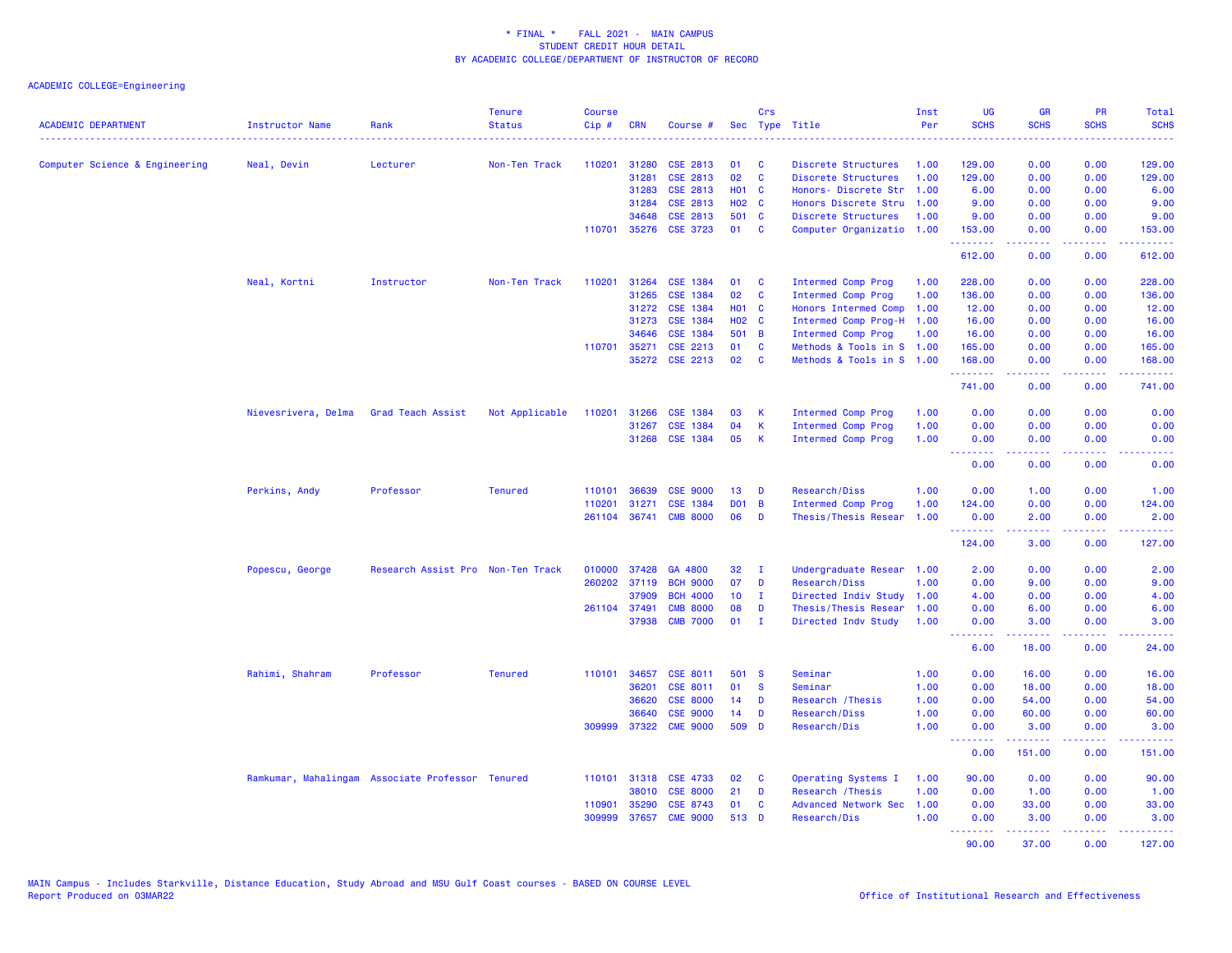| <b>ACADEMIC DEPARTMENT</b>     | Instructor Name<br>.                             | Rank                              | <b>Tenure</b><br><b>Status</b> | <b>Course</b><br>Cip# | <b>CRN</b>   | Course #        |                 | Crs          | Sec Type Title            | Inst<br>Per | <b>UG</b><br><b>SCHS</b>                                   | <b>GR</b><br><b>SCHS</b> | PR<br><b>SCHS</b>  | Total<br><b>SCHS</b>                                                                                                                                         |
|--------------------------------|--------------------------------------------------|-----------------------------------|--------------------------------|-----------------------|--------------|-----------------|-----------------|--------------|---------------------------|-------------|------------------------------------------------------------|--------------------------|--------------------|--------------------------------------------------------------------------------------------------------------------------------------------------------------|
| Computer Science & Engineering | Neal, Devin                                      | Lecturer                          | Non-Ten Track                  | 110201                | 31280        | <b>CSE 2813</b> | 01              | C            | Discrete Structures       | 1.00        | 129.00                                                     | 0.00                     | 0.00               | 129.00                                                                                                                                                       |
|                                |                                                  |                                   |                                |                       | 31281        | CSE 2813        | 02              | $\mathbf{C}$ | Discrete Structures       | 1.00        | 129.00                                                     | 0.00                     | 0.00               | 129.00                                                                                                                                                       |
|                                |                                                  |                                   |                                |                       | 31283        | CSE 2813        | <b>HO1</b>      | $\mathbf{C}$ | Honors- Discrete Str      | 1.00        | 6.00                                                       | 0.00                     | 0.00               | 6.00                                                                                                                                                         |
|                                |                                                  |                                   |                                |                       | 31284        | CSE 2813        | <b>HO2 C</b>    |              | Honors Discrete Stru      | 1.00        | 9.00                                                       | 0.00                     | 0.00               | 9.00                                                                                                                                                         |
|                                |                                                  |                                   |                                |                       | 34648        | CSE 2813        | 501 C           |              | Discrete Structures       | 1.00        | 9.00                                                       | 0.00                     | 0.00               | 9.00                                                                                                                                                         |
|                                |                                                  |                                   |                                | 110701                | 35276        | <b>CSE 3723</b> | 01              | <b>C</b>     | Computer Organizatio 1.00 |             | 153.00                                                     | 0.00                     | 0.00               | 153.00                                                                                                                                                       |
|                                |                                                  |                                   |                                |                       |              |                 |                 |              |                           |             | .<br>612.00                                                | 22222<br>0.00            | .<br>0.00          | 2.2222<br>612.00                                                                                                                                             |
|                                | Neal, Kortni                                     | Instructor                        | Non-Ten Track                  | 110201                | 31264        | <b>CSE 1384</b> | 01              | <b>C</b>     | Intermed Comp Prog        | 1.00        | 228.00                                                     | 0.00                     | 0.00               | 228.00                                                                                                                                                       |
|                                |                                                  |                                   |                                |                       | 31265        | CSE 1384        | 02              | C            | Intermed Comp Prog        | 1.00        | 136.00                                                     | 0.00                     | 0.00               | 136.00                                                                                                                                                       |
|                                |                                                  |                                   |                                |                       | 31272        | <b>CSE 1384</b> | <b>HO1 C</b>    |              | Honors Intermed Comp      | 1.00        | 12.00                                                      | 0.00                     | 0.00               | 12.00                                                                                                                                                        |
|                                |                                                  |                                   |                                |                       | 31273        | CSE 1384        | <b>HO2 C</b>    |              | Intermed Comp Prog-H 1.00 |             | 16.00                                                      | 0.00                     | 0.00               | 16.00                                                                                                                                                        |
|                                |                                                  |                                   |                                |                       | 34646        | CSE 1384        | 501 B           |              | Intermed Comp Prog        | 1.00        | 16.00                                                      | 0.00                     | 0.00               | 16.00                                                                                                                                                        |
|                                |                                                  |                                   |                                |                       | 110701 35271 | CSE 2213        | 01              | C            | Methods & Tools in S 1.00 |             | 165.00                                                     | 0.00                     | 0.00               | 165.00                                                                                                                                                       |
|                                |                                                  |                                   |                                |                       | 35272        | CSE 2213        | 02              | C            | Methods & Tools in S 1.00 |             | 168.00<br>.                                                | 0.00                     | 0.00<br>د د د د    | 168.00                                                                                                                                                       |
|                                |                                                  |                                   |                                |                       |              |                 |                 |              |                           |             | 741.00                                                     | 0.00                     | 0.00               | 741.00                                                                                                                                                       |
|                                | Nievesrivera, Delma                              | Grad Teach Assist                 | Not Applicable                 | 110201                | 31266        | <b>CSE 1384</b> | 03              | к            | Intermed Comp Prog        | 1.00        | 0.00                                                       | 0.00                     | 0.00               | 0.00                                                                                                                                                         |
|                                |                                                  |                                   |                                |                       | 31267        | <b>CSE 1384</b> | 04              | К            | Intermed Comp Prog        | 1.00        | 0.00                                                       | 0.00                     | 0.00               | 0.00                                                                                                                                                         |
|                                |                                                  |                                   |                                |                       | 31268        | <b>CSE 1384</b> | 05              | К            | Intermed Comp Prog        | 1.00        | 0.00                                                       | 0.00                     | 0.00               | 0.00                                                                                                                                                         |
|                                |                                                  |                                   |                                |                       |              |                 |                 |              |                           |             | <b><i><u><u><b>A</b></u></u> A A A A A A A</i></b><br>0.00 | 22222<br>0.00            | .<br>0.00          | $\frac{1}{2} \left( \frac{1}{2} \right) \left( \frac{1}{2} \right) \left( \frac{1}{2} \right) \left( \frac{1}{2} \right) \left( \frac{1}{2} \right)$<br>0.00 |
|                                | Perkins, Andy                                    | Professor                         | <b>Tenured</b>                 | 110101                | 36639        | <b>CSE 9000</b> | 13              | D            | Research/Diss             | 1.00        | 0.00                                                       | 1.00                     | 0.00               | 1.00                                                                                                                                                         |
|                                |                                                  |                                   |                                | 110201                | 31271        | <b>CSE 1384</b> | <b>DO1</b>      | B            | Intermed Comp Prog        | 1.00        | 124.00                                                     | 0.00                     | 0.00               | 124.00                                                                                                                                                       |
|                                |                                                  |                                   |                                | 261104                | 36741        | <b>CMB 8000</b> | 06              | D            | Thesis/Thesis Resear      | 1.00        | 0.00<br><b></b>                                            | 2.00<br>22222            | 0.00<br>الأبالات   | 2.00<br>$\mathbf{1} \cdot \mathbf{1} \cdot \mathbf{1} \cdot \mathbf{1} \cdot \mathbf{1}$                                                                     |
|                                |                                                  |                                   |                                |                       |              |                 |                 |              |                           |             | 124.00                                                     | 3.00                     | 0.00               | 127.00                                                                                                                                                       |
|                                | Popescu, George                                  | Research Assist Pro Non-Ten Track |                                | 010000                | 37428        | GA 4800         | 32              | $\mathbf{I}$ | Undergraduate Resear 1.00 |             | 2.00                                                       | 0.00                     | 0.00               | 2.00                                                                                                                                                         |
|                                |                                                  |                                   |                                | 260202                | 37119        | <b>BCH 9000</b> | 07              | D            | Research/Diss             | 1.00        | 0.00                                                       | 9.00                     | 0.00               | 9.00                                                                                                                                                         |
|                                |                                                  |                                   |                                |                       | 37909        | <b>BCH 4000</b> | 10 <sub>1</sub> | $\mathbf{I}$ | Directed Indiv Study 1.00 |             | 4.00                                                       | 0.00                     | 0.00               | 4.00                                                                                                                                                         |
|                                |                                                  |                                   |                                |                       | 261104 37491 | <b>CMB 8000</b> | 08              | D            | Thesis/Thesis Resear      | 1.00        | 0.00                                                       | 6.00                     | 0.00               | 6.00                                                                                                                                                         |
|                                |                                                  |                                   |                                |                       | 37938        | <b>CMB 7000</b> | 01              | $\mathbf{I}$ | Directed Indv Study       | 1.00        | 0.00<br><u>.</u>                                           | 3.00<br>.                | 0.00               | 3.00                                                                                                                                                         |
|                                |                                                  |                                   |                                |                       |              |                 |                 |              |                           |             | 6.00                                                       | 18.00                    | 0.00               | 24.00                                                                                                                                                        |
|                                | Rahimi, Shahram                                  | Professor                         | <b>Tenured</b>                 |                       | 110101 34657 | CSE 8011        | 501             | - S          | Seminar                   | 1.00        | 0.00                                                       | 16.00                    | 0.00               | 16.00                                                                                                                                                        |
|                                |                                                  |                                   |                                |                       | 36201        | CSE 8011        | 01              | <b>S</b>     | Seminar                   | 1.00        | 0.00                                                       | 18.00                    | 0.00               | 18.00                                                                                                                                                        |
|                                |                                                  |                                   |                                |                       | 36620        | <b>CSE 8000</b> | 14              | D            | Research / Thesis         | 1.00        | 0.00                                                       | 54.00                    | 0.00               | 54.00                                                                                                                                                        |
|                                |                                                  |                                   |                                |                       | 36640        | <b>CSE 9000</b> | 14              | D            | Research/Diss             | 1.00        | 0.00                                                       | 60.00                    | 0.00               | 60.00                                                                                                                                                        |
|                                |                                                  |                                   |                                |                       | 309999 37322 | <b>CME 9000</b> | 509 D           |              | Research/Dis              | 1.00        | 0.00                                                       | 3.00                     | 0.00               | 3.00                                                                                                                                                         |
|                                |                                                  |                                   |                                |                       |              |                 |                 |              |                           |             | <u>.</u><br>0.00                                           | .<br>151.00              | .<br>0.00          | .<br>151.00                                                                                                                                                  |
|                                | Ramkumar, Mahalingam Associate Professor Tenured |                                   |                                |                       | 110101 31318 | <b>CSE 4733</b> | 02              | C            | Operating Systems I       | 1.00        | 90.00                                                      | 0.00                     | 0.00               | 90.00                                                                                                                                                        |
|                                |                                                  |                                   |                                |                       | 38010        | <b>CSE 8000</b> | 21              | D            | Research / Thesis         | 1.00        | 0.00                                                       | 1.00                     | 0.00               | 1.00                                                                                                                                                         |
|                                |                                                  |                                   |                                | 110901                | 35290        | CSE 8743        | 01              | C            | Advanced Network Sec      | 1.00        | 0.00                                                       | 33.00                    | 0.00               | 33.00                                                                                                                                                        |
|                                |                                                  |                                   |                                | 309999                | 37657        | <b>CME 9000</b> | 513 D           |              | Research/Dis              | 1.00        | 0.00<br>.                                                  | 3.00<br>.                | 0.00<br>. <b>.</b> | 3.00<br>.                                                                                                                                                    |
|                                |                                                  |                                   |                                |                       |              |                 |                 |              |                           |             | 90.00                                                      | 37.00                    | 0.00               | 127.00                                                                                                                                                       |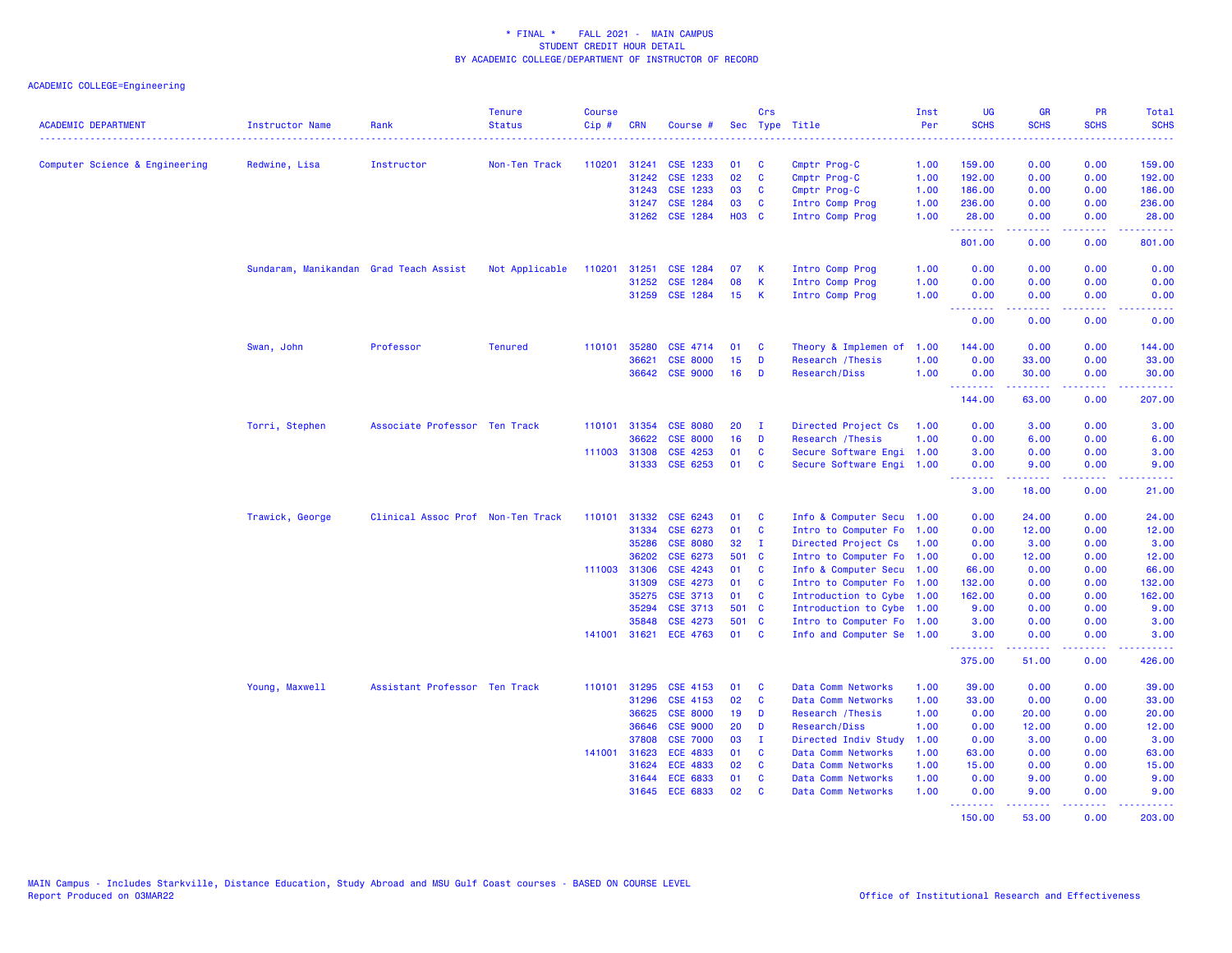| <b>ACADEMIC DEPARTMENT</b>     | Instructor Name                        | Rank                              | <b>Tenure</b><br><b>Status</b> | <b>Course</b><br>Cip# | <b>CRN</b>   | Course #                   |                 | Crs                      | Sec Type Title                                         | Inst<br>Per | <b>UG</b><br><b>SCHS</b> | <b>GR</b><br><b>SCHS</b>                                                                                                                                     | PR<br><b>SCHS</b>                                                                                                                 | Total<br><b>SCHS</b>                                                                                                              |
|--------------------------------|----------------------------------------|-----------------------------------|--------------------------------|-----------------------|--------------|----------------------------|-----------------|--------------------------|--------------------------------------------------------|-------------|--------------------------|--------------------------------------------------------------------------------------------------------------------------------------------------------------|-----------------------------------------------------------------------------------------------------------------------------------|-----------------------------------------------------------------------------------------------------------------------------------|
|                                |                                        |                                   |                                |                       |              |                            |                 |                          |                                                        |             |                          |                                                                                                                                                              |                                                                                                                                   |                                                                                                                                   |
| Computer Science & Engineering | Redwine, Lisa                          | Instructor                        | Non-Ten Track                  | 110201                | 31241        | CSE 1233                   | 01              | <b>C</b>                 | Cmptr Prog-C                                           | 1.00        | 159.00                   | 0.00                                                                                                                                                         | 0.00                                                                                                                              | 159.00                                                                                                                            |
|                                |                                        |                                   |                                |                       | 31242        | CSE 1233                   | 02              | $\mathbf{C}$             | Cmptr Prog-C                                           | 1.00        | 192.00                   | 0.00                                                                                                                                                         | 0.00                                                                                                                              | 192.00                                                                                                                            |
|                                |                                        |                                   |                                |                       | 31243        | CSE 1233                   | 03              | <b>C</b>                 | Cmptr Prog-C                                           | 1.00        | 186.00                   | 0.00                                                                                                                                                         | 0.00                                                                                                                              | 186.00                                                                                                                            |
|                                |                                        |                                   |                                |                       | 31247        | <b>CSE 1284</b>            | 03              | <b>C</b>                 | Intro Comp Prog                                        | 1.00        | 236.00                   | 0.00                                                                                                                                                         | 0.00                                                                                                                              | 236.00                                                                                                                            |
|                                |                                        |                                   |                                |                       | 31262        | CSE 1284                   | <b>H03 C</b>    |                          | Intro Comp Prog                                        | 1.00        | 28.00<br>222222          | 0.00                                                                                                                                                         | 0.00<br>.                                                                                                                         | 28.00<br>.                                                                                                                        |
|                                |                                        |                                   |                                |                       |              |                            |                 |                          |                                                        |             | 801.00                   | 0.00                                                                                                                                                         | 0.00                                                                                                                              | 801.00                                                                                                                            |
|                                | Sundaram, Manikandan Grad Teach Assist |                                   | Not Applicable                 | 110201                | 31251        | <b>CSE 1284</b>            | 07              | К                        | Intro Comp Prog                                        | 1.00        | 0.00                     | 0.00                                                                                                                                                         | 0.00                                                                                                                              | 0.00                                                                                                                              |
|                                |                                        |                                   |                                |                       | 31252        | CSE 1284                   | 08              | $\mathsf K$              | Intro Comp Prog                                        | 1.00        | 0.00                     | 0.00                                                                                                                                                         | 0.00                                                                                                                              | 0.00                                                                                                                              |
|                                |                                        |                                   |                                |                       |              | 31259 CSE 1284             | 15 <sub>1</sub> | -K                       | Intro Comp Prog                                        | 1.00        | 0.00<br><b>.</b>         | 0.00<br>.                                                                                                                                                    | 0.00<br>$\frac{1}{2} \left( \frac{1}{2} \right) \left( \frac{1}{2} \right) \left( \frac{1}{2} \right) \left( \frac{1}{2} \right)$ | 0.00<br>$\frac{1}{2} \left( \frac{1}{2} \right) \left( \frac{1}{2} \right) \left( \frac{1}{2} \right) \left( \frac{1}{2} \right)$ |
|                                |                                        |                                   |                                |                       |              |                            |                 |                          |                                                        |             | 0.00                     | 0.00                                                                                                                                                         | 0.00                                                                                                                              | 0.00                                                                                                                              |
|                                | Swan, John                             | Professor                         | Tenured                        | 110101                | 35280        | CSE 4714                   | 01              | <b>C</b>                 | Theory & Implemen of                                   | 1.00        | 144.00                   | 0.00                                                                                                                                                         | 0.00                                                                                                                              | 144.00                                                                                                                            |
|                                |                                        |                                   |                                |                       | 36621        | <b>CSE 8000</b>            | 15              | D                        | Research / Thesis                                      | 1.00        | 0.00                     | 33.00                                                                                                                                                        | 0.00                                                                                                                              | 33.00                                                                                                                             |
|                                |                                        |                                   |                                |                       | 36642        | <b>CSE 9000</b>            | 16              | D                        | Research/Diss                                          | 1.00        | 0.00<br>.                | 30.00<br>22222                                                                                                                                               | 0.00                                                                                                                              | 30.00<br>.                                                                                                                        |
|                                |                                        |                                   |                                |                       |              |                            |                 |                          |                                                        |             | 144.00                   | 63.00                                                                                                                                                        | 0.00                                                                                                                              | 207.00                                                                                                                            |
|                                | Torri, Stephen                         | Associate Professor Ten Track     |                                |                       | 110101 31354 | <b>CSE 8080</b>            | 20              | - I                      | Directed Project Cs                                    | 1.00        | 0.00                     | 3.00                                                                                                                                                         | 0.00                                                                                                                              | 3.00                                                                                                                              |
|                                |                                        |                                   |                                |                       | 36622        | <b>CSE 8000</b>            | 16              | D                        | Research / Thesis                                      | 1.00        | 0.00                     | 6.00                                                                                                                                                         | 0.00                                                                                                                              | 6.00                                                                                                                              |
|                                |                                        |                                   |                                | 111003                | 31308        | CSE 4253                   | 01              | C                        | Secure Software Engi                                   | 1.00        | 3.00                     | 0.00                                                                                                                                                         | 0.00                                                                                                                              | 3.00                                                                                                                              |
|                                |                                        |                                   |                                |                       | 31333        | CSE 6253                   | 01              | C                        | Secure Software Engi 1.00                              |             | 0.00<br><b></b>          | 9.00<br>المستملة                                                                                                                                             | 0.00<br>.                                                                                                                         | 9.00<br>.                                                                                                                         |
|                                |                                        |                                   |                                |                       |              |                            |                 |                          |                                                        |             | 3.00                     | 18.00                                                                                                                                                        | 0.00                                                                                                                              | 21.00                                                                                                                             |
|                                | Trawick, George                        | Clinical Assoc Prof Non-Ten Track |                                | 110101                | 31332        | CSE 6243                   | 01              | <b>C</b>                 | Info & Computer Secu 1.00                              |             | 0.00                     | 24.00                                                                                                                                                        | 0.00                                                                                                                              | 24.00                                                                                                                             |
|                                |                                        |                                   |                                |                       | 31334        | CSE 6273                   | 01              | C                        | Intro to Computer Fo                                   | 1.00        | 0.00                     | 12.00                                                                                                                                                        | 0.00                                                                                                                              | 12.00                                                                                                                             |
|                                |                                        |                                   |                                |                       | 35286        | <b>CSE 8080</b>            | 32              | $\mathbf{I}$             | Directed Project Cs                                    | 1.00        | 0.00                     | 3.00                                                                                                                                                         | 0.00                                                                                                                              | 3.00                                                                                                                              |
|                                |                                        |                                   |                                |                       | 36202        | CSE 6273                   | 501 C           |                          | Intro to Computer Fo 1.00                              |             | 0.00                     | 12.00                                                                                                                                                        | 0.00                                                                                                                              | 12.00                                                                                                                             |
|                                |                                        |                                   |                                |                       | 111003 31306 | CSE 4243                   | 01              | <b>C</b>                 | Info & Computer Secu 1.00                              |             | 66.00                    | 0.00                                                                                                                                                         | 0.00                                                                                                                              | 66.00                                                                                                                             |
|                                |                                        |                                   |                                |                       | 31309        | CSE 4273                   | 01              | <b>C</b>                 | Intro to Computer Fo 1.00                              |             | 132.00                   | 0.00                                                                                                                                                         | 0.00                                                                                                                              | 132.00                                                                                                                            |
|                                |                                        |                                   |                                |                       | 35275        | CSE 3713                   | 01              | C                        | Introduction to Cybe 1.00                              |             | 162.00                   | 0.00                                                                                                                                                         | 0.00                                                                                                                              | 162.00                                                                                                                            |
|                                |                                        |                                   |                                |                       | 35294        | <b>CSE 3713</b>            | 501 C           |                          | Introduction to Cybe 1.00                              |             | 9.00                     | 0.00                                                                                                                                                         | 0.00                                                                                                                              | 9.00                                                                                                                              |
|                                |                                        |                                   |                                | 141001                | 35848        | CSE 4273<br>31621 ECE 4763 | 501<br>01       | $\mathbf{C}$<br><b>C</b> | Intro to Computer Fo 1.00<br>Info and Computer Se 1.00 |             | 3.00<br>3.00             | 0.00<br>0.00                                                                                                                                                 | 0.00<br>0.00                                                                                                                      | 3.00<br>3.00                                                                                                                      |
|                                |                                        |                                   |                                |                       |              |                            |                 |                          |                                                        |             | .<br>375.00              | .<br>51.00                                                                                                                                                   | .<br>0.00                                                                                                                         | .<br>426.00                                                                                                                       |
|                                | Young, Maxwell                         | Assistant Professor Ten Track     |                                | 110101                | 31295        | CSE 4153                   | 01              | <b>C</b>                 | Data Comm Networks                                     | 1.00        | 39.00                    | 0.00                                                                                                                                                         | 0.00                                                                                                                              | 39.00                                                                                                                             |
|                                |                                        |                                   |                                |                       | 31296        | CSE 4153                   | 02              | C                        | Data Comm Networks                                     | 1.00        | 33.00                    | 0.00                                                                                                                                                         | 0.00                                                                                                                              | 33.00                                                                                                                             |
|                                |                                        |                                   |                                |                       | 36625        | <b>CSE 8000</b>            | 19              | D                        | Research / Thesis                                      | 1.00        | 0.00                     | 20.00                                                                                                                                                        | 0.00                                                                                                                              | 20.00                                                                                                                             |
|                                |                                        |                                   |                                |                       | 36646        | <b>CSE 9000</b>            | 20              | D                        | Research/Diss                                          | 1.00        | 0.00                     | 12.00                                                                                                                                                        | 0.00                                                                                                                              | 12.00                                                                                                                             |
|                                |                                        |                                   |                                |                       | 37808        | <b>CSE 7000</b>            | 03              | - 1                      | Directed Indiv Study                                   | 1.00        | 0.00                     | 3.00                                                                                                                                                         | 0.00                                                                                                                              | 3.00                                                                                                                              |
|                                |                                        |                                   |                                |                       | 141001 31623 | <b>ECE 4833</b>            | 01              | C                        | Data Comm Networks                                     | 1.00        | 63.00                    | 0.00                                                                                                                                                         | 0.00                                                                                                                              | 63.00                                                                                                                             |
|                                |                                        |                                   |                                |                       | 31624        | <b>ECE 4833</b>            | 02              | C                        | Data Comm Networks                                     | 1.00        | 15.00                    | 0.00                                                                                                                                                         | 0.00                                                                                                                              | 15.00                                                                                                                             |
|                                |                                        |                                   |                                |                       | 31644        | <b>ECE 6833</b>            | 01              | C                        | Data Comm Networks                                     | 1.00        | 0.00                     | 9.00                                                                                                                                                         | 0.00                                                                                                                              | 9.00                                                                                                                              |
|                                |                                        |                                   |                                |                       |              | 31645 ECE 6833             | 02              | $\mathbf{C}$             | Data Comm Networks                                     | 1.00        | 0.00<br>.                | 9.00<br>$\frac{1}{2} \left( \frac{1}{2} \right) \left( \frac{1}{2} \right) \left( \frac{1}{2} \right) \left( \frac{1}{2} \right) \left( \frac{1}{2} \right)$ | 0.00<br>.                                                                                                                         | 9.00<br><u>.</u>                                                                                                                  |
|                                |                                        |                                   |                                |                       |              |                            |                 |                          |                                                        |             | 150.00                   | 53.00                                                                                                                                                        | 0.00                                                                                                                              | 203.00                                                                                                                            |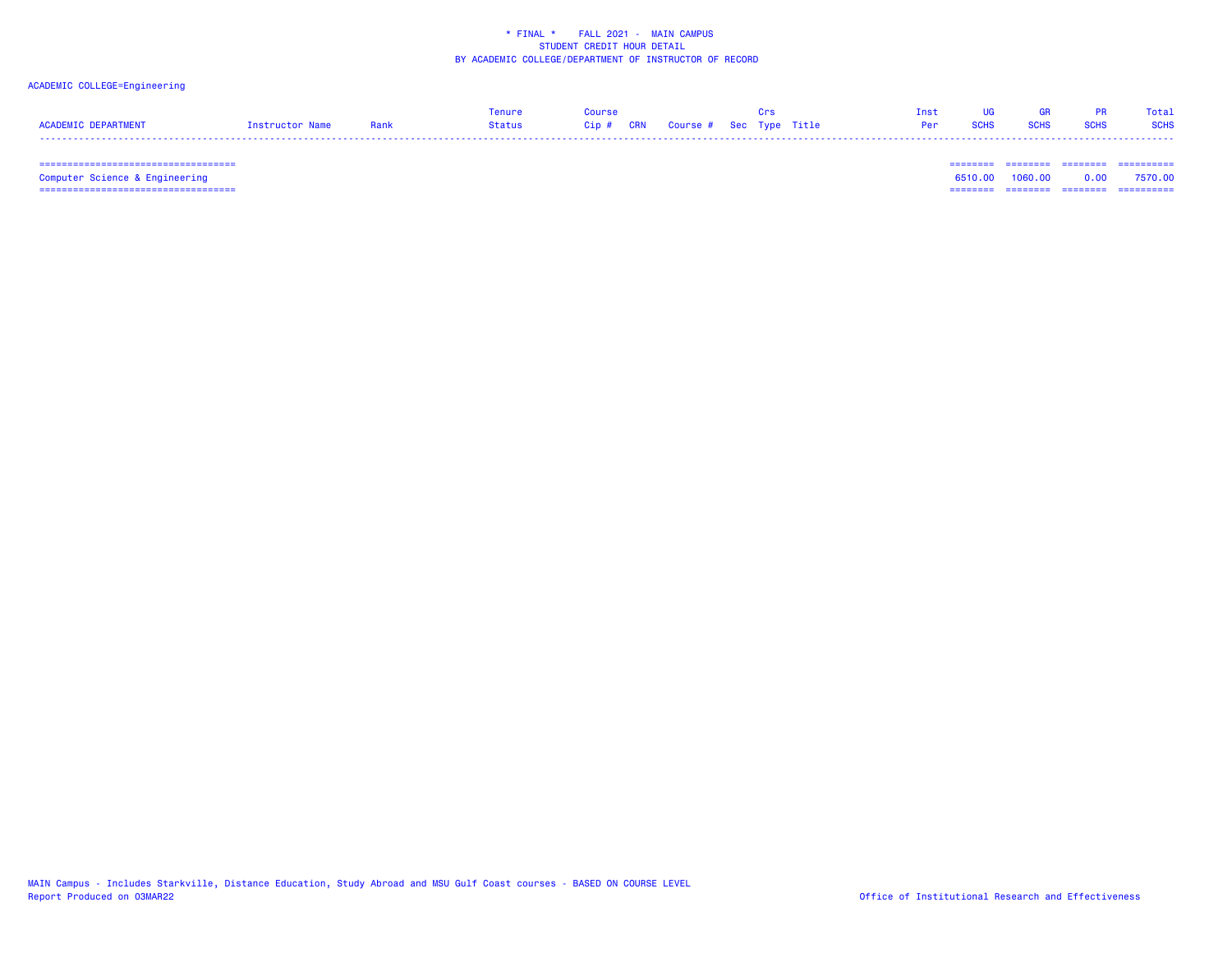# ACADEMIC COLLEGE=Engineering

|                     |                 |      | Tenure | <b>OUPSA</b> |                                   |  | Tnst. |             |             |             | Total       |
|---------------------|-----------------|------|--------|--------------|-----------------------------------|--|-------|-------------|-------------|-------------|-------------|
| ACADEMIC DEPARTMENT | Instructor Name | Rank | Status |              | Cip # CRN Course # Sec Type Title |  | Per   | <b>SCHS</b> | <b>SCHS</b> | <b>SCHS</b> | <b>SCHS</b> |
|                     |                 |      |        |              |                                   |  |       |             |             |             |             |

 =================================== ======== ======== ======== ==========Computer Science & Engineering 6510.00 1060.00 0.00 7570.00 =================================== ======== ======== ======== ==========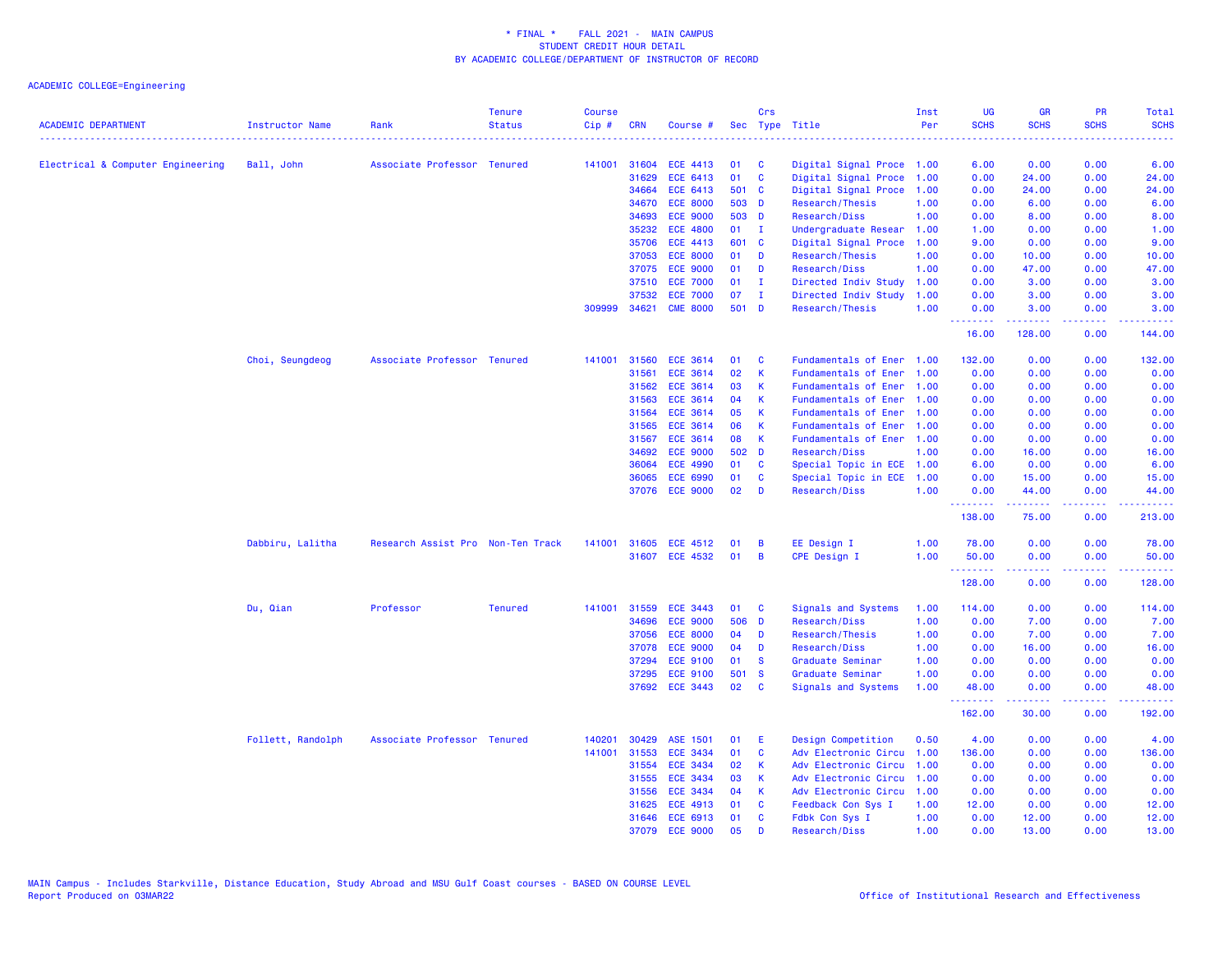| <b>ACADEMIC DEPARTMENT</b>        | Instructor Name   | Rank                              | <b>Tenure</b><br><b>Status</b> | <b>Course</b><br>Cip# | <b>CRN</b> | Course #        |       | Crs          | Sec Type Title            | Inst<br>Per | <b>UG</b><br><b>SCHS</b>                           | <b>GR</b><br><b>SCHS</b>                               | PR<br><b>SCHS</b>    | Total<br><b>SCHS</b> |
|-----------------------------------|-------------------|-----------------------------------|--------------------------------|-----------------------|------------|-----------------|-------|--------------|---------------------------|-------------|----------------------------------------------------|--------------------------------------------------------|----------------------|----------------------|
|                                   |                   |                                   |                                |                       |            |                 |       |              |                           |             |                                                    |                                                        |                      |                      |
| Electrical & Computer Engineering | Ball, John        | Associate Professor Tenured       |                                | 141001                | 31604      | ECE 4413        | 01    | C            | Digital Signal Proce 1.00 |             | 6.00                                               | 0.00                                                   | 0.00                 | 6.00                 |
|                                   |                   |                                   |                                |                       | 31629      | ECE 6413        | 01    | $\mathbf{C}$ | Digital Signal Proce      | 1.00        | 0.00                                               | 24.00                                                  | 0.00                 | 24.00                |
|                                   |                   |                                   |                                |                       | 34664      | ECE 6413        |       | 501 C        | Digital Signal Proce      | 1.00        | 0.00                                               | 24.00                                                  | 0.00                 | 24.00                |
|                                   |                   |                                   |                                |                       | 34670      | <b>ECE 8000</b> | 503   | <b>D</b>     | Research/Thesis           | 1.00        | 0.00                                               | 6.00                                                   | 0.00                 | 6.00                 |
|                                   |                   |                                   |                                |                       | 34693      | <b>ECE 9000</b> |       | 503 D        | Research/Diss             | 1.00        | 0.00                                               | 8.00                                                   | 0.00                 | 8.00                 |
|                                   |                   |                                   |                                |                       | 35232      | <b>ECE 4800</b> | 01    | $\mathbf{I}$ | Undergraduate Resear      | 1.00        | 1.00                                               | 0.00                                                   | 0.00                 | 1.00                 |
|                                   |                   |                                   |                                |                       | 35706      | <b>ECE 4413</b> |       | 601 C        | Digital Signal Proce      | 1.00        | 9.00                                               | 0.00                                                   | 0.00                 | 9.00                 |
|                                   |                   |                                   |                                |                       | 37053      | <b>ECE 8000</b> | 01    | D            | Research/Thesis           | 1.00        | 0.00                                               | 10.00                                                  | 0.00                 | 10.00                |
|                                   |                   |                                   |                                |                       | 37075      | <b>ECE 9000</b> | 01    | D            | Research/Diss             | 1.00        | 0.00                                               | 47.00                                                  | 0.00                 | 47.00                |
|                                   |                   |                                   |                                |                       | 37510      | <b>ECE 7000</b> | 01    | $\mathbf{I}$ | Directed Indiv Study      | 1.00        | 0.00                                               | 3.00                                                   | 0.00                 | 3.00                 |
|                                   |                   |                                   |                                |                       | 37532      | <b>ECE 7000</b> | 07    | $\mathbf{I}$ | Directed Indiv Study      | 1.00        | 0.00                                               | 3.00                                                   | 0.00                 | 3.00                 |
|                                   |                   |                                   |                                | 309999                | 34621      | <b>CME 8000</b> | 501 D |              | Research/Thesis           | 1.00        | 0.00<br><u>.</u>                                   | 3.00<br>.                                              | 0.00<br>22222        | 3.00<br>.            |
|                                   |                   |                                   |                                |                       |            |                 |       |              |                           |             | 16.00                                              | 128.00                                                 | 0.00                 | 144.00               |
|                                   | Choi, Seungdeog   | Associate Professor Tenured       |                                | 141001                | 31560      | <b>ECE 3614</b> | 01    | C            | Fundamentals of Ener      | 1.00        | 132.00                                             | 0.00                                                   | 0.00                 | 132.00               |
|                                   |                   |                                   |                                |                       | 31561      | <b>ECE 3614</b> | 02    | $\mathsf K$  | Fundamentals of Ener      | 1.00        | 0.00                                               | 0.00                                                   | 0.00                 | 0.00                 |
|                                   |                   |                                   |                                |                       | 31562      | ECE 3614        | 03    | К            | Fundamentals of Ener      | 1.00        | 0.00                                               | 0.00                                                   | 0.00                 | 0.00                 |
|                                   |                   |                                   |                                |                       | 31563      | <b>ECE 3614</b> | 04    | $\mathsf K$  | Fundamentals of Ener      | 1.00        | 0.00                                               | 0.00                                                   | 0.00                 | 0.00                 |
|                                   |                   |                                   |                                |                       | 31564      | <b>ECE 3614</b> | 05    | K            | Fundamentals of Ener      | 1.00        | 0.00                                               | 0.00                                                   | 0.00                 | 0.00                 |
|                                   |                   |                                   |                                |                       | 31565      | <b>ECE 3614</b> | 06    | К            | Fundamentals of Ener      | 1.00        | 0.00                                               | 0.00                                                   | 0.00                 | 0.00                 |
|                                   |                   |                                   |                                |                       | 31567      | ECE 3614        | 08    | K            | Fundamentals of Ener 1.00 |             | 0.00                                               | 0.00                                                   | 0.00                 | 0.00                 |
|                                   |                   |                                   |                                |                       | 34692      | <b>ECE 9000</b> |       | 502 D        | Research/Diss             | 1.00        | 0.00                                               | 16.00                                                  | 0.00                 | 16.00                |
|                                   |                   |                                   |                                |                       | 36064      | <b>ECE 4990</b> | 01    | <b>C</b>     | Special Topic in ECE 1.00 |             | 6.00                                               | 0.00                                                   | 0.00                 | 6.00                 |
|                                   |                   |                                   |                                |                       | 36065      | <b>ECE 6990</b> | 01    | C            | Special Topic in ECE      | 1.00        | 0.00                                               | 15.00                                                  | 0.00                 | 15.00                |
|                                   |                   |                                   |                                |                       |            | 37076 ECE 9000  | 02    | D            | Research/Diss             | 1.00        | 0.00<br><b><i><u><u> - - - - - - -</u></u></i></b> | 44.00<br>المتمامين                                     | 0.00<br>.            | 44.00<br>------      |
|                                   |                   |                                   |                                |                       |            |                 |       |              |                           |             | 138.00                                             | 75.00                                                  | 0.00                 | 213.00               |
|                                   | Dabbiru, Lalitha  | Research Assist Pro Non-Ten Track |                                | 141001                | 31605      | ECE 4512        | 01    | B            | EE Design I               | 1.00        | 78.00                                              | 0.00                                                   | 0.00                 | 78.00                |
|                                   |                   |                                   |                                |                       |            | 31607 ECE 4532  | 01    | B            | <b>CPE Design I</b>       | 1.00        | 50.00                                              | 0.00                                                   | 0.00                 | 50.00                |
|                                   |                   |                                   |                                |                       |            |                 |       |              |                           |             | <u>.</u>                                           |                                                        | $\sim$ $\sim$ $\sim$ | المتمامين            |
|                                   |                   |                                   |                                |                       |            |                 |       |              |                           |             | 128.00                                             | 0.00                                                   | 0.00                 | 128.00               |
|                                   | Du, Qian          | Professor                         | <b>Tenured</b>                 | 141001                | 31559      | <b>ECE 3443</b> | 01    | <b>C</b>     | Signals and Systems       | 1.00        | 114.00                                             | 0.00                                                   | 0.00                 | 114.00               |
|                                   |                   |                                   |                                |                       | 34696      | <b>ECE 9000</b> | 506   | <b>D</b>     | Research/Diss             | 1.00        | 0.00                                               | 7.00                                                   | 0.00                 | 7.00                 |
|                                   |                   |                                   |                                |                       | 37056      | <b>ECE 8000</b> | 04    | D            | Research/Thesis           | 1.00        | 0.00                                               | 7.00                                                   | 0.00                 | 7.00                 |
|                                   |                   |                                   |                                |                       | 37078      | <b>ECE 9000</b> | 04    | D            | Research/Diss             | 1.00        | 0.00                                               | 16.00                                                  | 0.00                 | 16.00                |
|                                   |                   |                                   |                                |                       | 37294      | <b>ECE 9100</b> | 01    | <b>S</b>     | Graduate Seminar          | 1.00        | 0.00                                               | 0.00                                                   | 0.00                 | 0.00                 |
|                                   |                   |                                   |                                |                       | 37295      | <b>ECE 9100</b> | 501   | <b>S</b>     | Graduate Seminar          | 1.00        | 0.00                                               | 0.00                                                   | 0.00                 | 0.00                 |
|                                   |                   |                                   |                                |                       |            | 37692 ECE 3443  | 02    | C            | Signals and Systems       | 1.00        | 48.00<br><u>.</u>                                  | 0.00<br>$\omega = \omega \left( \omega \right) \omega$ | 0.00<br>.            | 48.00<br>.           |
|                                   |                   |                                   |                                |                       |            |                 |       |              |                           |             | 162.00                                             | 30.00                                                  | 0.00                 | 192.00               |
|                                   | Follett, Randolph | Associate Professor Tenured       |                                | 140201                | 30429      | ASE 1501        | 01    | E            | Design Competition        | 0.50        | 4.00                                               | 0.00                                                   | 0.00                 | 4.00                 |
|                                   |                   |                                   |                                | 141001                | 31553      | <b>ECE 3434</b> | 01    | C            | Adv Electronic Circu      | 1.00        | 136.00                                             | 0.00                                                   | 0.00                 | 136.00               |
|                                   |                   |                                   |                                |                       | 31554      | <b>ECE 3434</b> | 02    | $\mathsf K$  | Adv Electronic Circu      | 1.00        | 0.00                                               | 0.00                                                   | 0.00                 | 0.00                 |
|                                   |                   |                                   |                                |                       | 31555      | <b>ECE 3434</b> | 03    | K            | Adv Electronic Circu      | 1.00        | 0.00                                               | 0.00                                                   | 0.00                 | 0.00                 |
|                                   |                   |                                   |                                |                       | 31556      | <b>ECE 3434</b> | 04    | $\mathsf K$  | Adv Electronic Circu      | 1.00        | 0.00                                               | 0.00                                                   | 0.00                 | 0.00                 |
|                                   |                   |                                   |                                |                       | 31625      | ECE 4913        | 01    | C            | Feedback Con Sys I        | 1.00        | 12.00                                              | 0.00                                                   | 0.00                 | 12.00                |
|                                   |                   |                                   |                                |                       | 31646      | <b>ECE 6913</b> | 01    | C            | Fdbk Con Sys I            | 1.00        | 0.00                                               | 12.00                                                  | 0.00                 | 12.00                |
|                                   |                   |                                   |                                |                       | 37079      | <b>ECE 9000</b> | 05    | D            | Research/Diss             | 1.00        | 0.00                                               | 13.00                                                  | 0.00                 | 13.00                |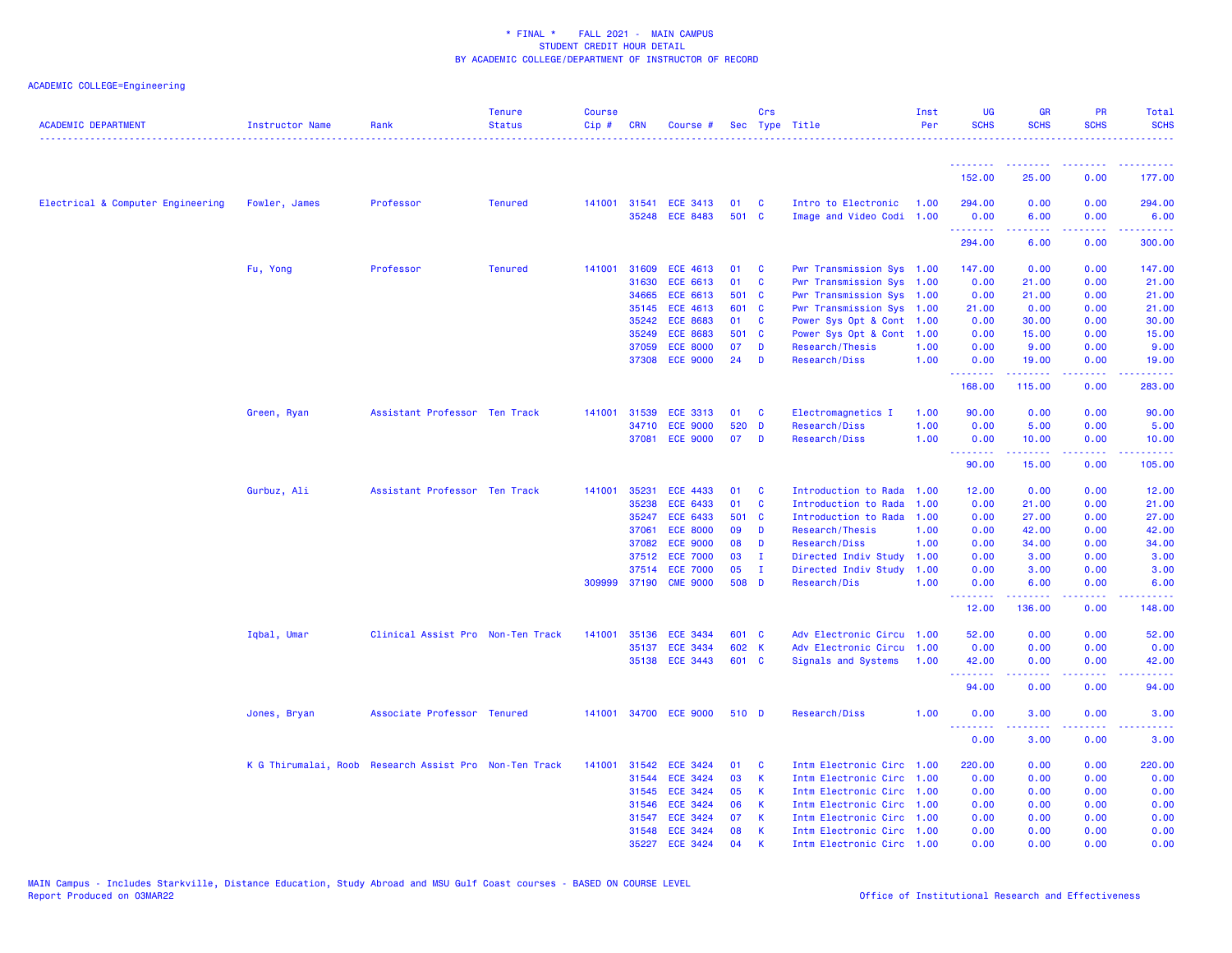| <b>ACADEMIC DEPARTMENT</b>        | <b>Instructor Name</b>                                 | Rank                              | <b>Tenure</b><br><b>Status</b> | <b>Course</b><br>$Cip \#$ | <b>CRN</b>   | Course #              |       | Crs          | Sec Type Title            | Inst<br>Per | UG<br><b>SCHS</b>                      | <b>GR</b><br><b>SCHS</b>                                      | PR<br><b>SCHS</b>               | Total<br><b>SCHS</b> |
|-----------------------------------|--------------------------------------------------------|-----------------------------------|--------------------------------|---------------------------|--------------|-----------------------|-------|--------------|---------------------------|-------------|----------------------------------------|---------------------------------------------------------------|---------------------------------|----------------------|
|                                   |                                                        |                                   |                                |                           |              |                       |       |              |                           |             | <u> - - - - - - - -</u><br>152.00      | <b><i><u><u><b>A</b></u></u> A A A A A A A A</i></b><br>25.00 | <u> - - - - - - - -</u><br>0.00 | <u>.</u><br>177.00   |
| Electrical & Computer Engineering | Fowler, James                                          | Professor                         | <b>Tenured</b>                 |                           |              | 141001 31541 ECE 3413 | 01    | <b>C</b>     | Intro to Electronic       | 1.00        | 294.00                                 | 0.00                                                          | 0.00                            | 294.00               |
|                                   |                                                        |                                   |                                |                           |              | 35248 ECE 8483        | 501 C |              | Image and Video Codi 1.00 |             | 0.00<br>.                              | 6.00<br>.                                                     | 0.00<br>.                       | 6.00<br>.            |
|                                   |                                                        |                                   |                                |                           |              |                       |       |              |                           |             | 294.00                                 | 6.00                                                          | 0.00                            | 300.00               |
|                                   | Fu, Yong                                               | Professor                         | <b>Tenured</b>                 | 141001                    | 31609        | <b>ECE 4613</b>       | 01    | <b>C</b>     | Pwr Transmission Sys 1.00 |             | 147.00                                 | 0.00                                                          | 0.00                            | 147.00               |
|                                   |                                                        |                                   |                                |                           | 31630        | ECE 6613              | 01    | C            | Pwr Transmission Sys 1.00 |             | 0.00                                   | 21.00                                                         | 0.00                            | 21.00                |
|                                   |                                                        |                                   |                                |                           | 34665        | ECE 6613              | 501 C |              | Pwr Transmission Sys 1.00 |             | 0.00                                   | 21.00                                                         | 0.00                            | 21.00                |
|                                   |                                                        |                                   |                                |                           | 35145        | <b>ECE 4613</b>       | 601 C |              | Pwr Transmission Sys 1.00 |             | 21.00                                  | 0.00                                                          | 0.00                            | 21.00                |
|                                   |                                                        |                                   |                                |                           | 35242        | <b>ECE 8683</b>       | 01    | <b>C</b>     | Power Sys Opt & Cont 1.00 |             | 0.00                                   | 30.00                                                         | 0.00                            | 30.00                |
|                                   |                                                        |                                   |                                |                           | 35249        | <b>ECE 8683</b>       | 501 C |              | Power Sys Opt & Cont      | 1.00        | 0.00                                   | 15.00                                                         | 0.00                            | 15.00                |
|                                   |                                                        |                                   |                                |                           | 37059        | <b>ECE 8000</b>       | 07    | D            | Research/Thesis           | 1.00        | 0.00                                   | 9.00                                                          | 0.00                            | 9.00                 |
|                                   |                                                        |                                   |                                |                           | 37308        | <b>ECE 9000</b>       | 24    | D            | Research/Diss             | 1.00        | 0.00<br>.                              | 19.00<br><b><i><u><u> - - - - - -</u></u></i></b>             | 0.00<br>د د د د .               | 19.00<br>22222       |
|                                   |                                                        |                                   |                                |                           |              |                       |       |              |                           |             | 168.00                                 | 115.00                                                        | 0.00                            | 283.00               |
|                                   | Green, Ryan                                            | Assistant Professor Ten Track     |                                | 141001                    | 31539        | <b>ECE 3313</b>       | 01    | <b>C</b>     | Electromagnetics I        | 1.00        | 90.00                                  | 0.00                                                          | 0.00                            | 90.00                |
|                                   |                                                        |                                   |                                |                           | 34710        | <b>ECE 9000</b>       | 520   | <b>D</b>     | Research/Diss             | 1.00        | 0.00                                   | 5.00                                                          | 0.00                            | 5.00                 |
|                                   |                                                        |                                   |                                |                           | 37081        | <b>ECE 9000</b>       | 07    | D            | Research/Diss             | 1.00        | 0.00<br>.                              | 10.00<br>.                                                    | 0.00<br>.                       | 10.00<br>.           |
|                                   |                                                        |                                   |                                |                           |              |                       |       |              |                           |             | 90.00                                  | 15.00                                                         | 0.00                            | 105.00               |
|                                   | Gurbuz, Ali                                            | Assistant Professor Ten Track     |                                | 141001                    | 35231        | <b>ECE 4433</b>       | 01    | C            | Introduction to Rada      | 1.00        | 12.00                                  | 0.00                                                          | 0.00                            | 12.00                |
|                                   |                                                        |                                   |                                |                           | 35238        | <b>ECE 6433</b>       | 01    | C            | Introduction to Rada      | 1.00        | 0.00                                   | 21.00                                                         | 0.00                            | 21.00                |
|                                   |                                                        |                                   |                                |                           | 35247        | <b>ECE 6433</b>       | 501 C |              | Introduction to Rada      | 1.00        | 0.00                                   | 27.00                                                         | 0.00                            | 27.00                |
|                                   |                                                        |                                   |                                |                           | 37061        | <b>ECE 8000</b>       | 09    | D            | Research/Thesis           | 1.00        | 0.00                                   | 42.00                                                         | 0.00                            | 42.00                |
|                                   |                                                        |                                   |                                |                           | 37082        | <b>ECE 9000</b>       | 08    | D            | Research/Diss             | 1.00        | 0.00                                   | 34.00                                                         | 0.00                            | 34.00                |
|                                   |                                                        |                                   |                                |                           | 37512        | <b>ECE 7000</b>       | 03    | п.           | Directed Indiv Study      | 1.00        | 0.00                                   | 3.00                                                          | 0.00                            | 3.00                 |
|                                   |                                                        |                                   |                                |                           |              | 37514 ECE 7000        | 05    | $\mathbf{I}$ | Directed Indiv Study      | 1.00        | 0.00                                   | 3.00                                                          | 0.00                            | 3.00                 |
|                                   |                                                        |                                   |                                |                           | 309999 37190 | <b>CME 9000</b>       | 508 D |              | Research/Dis              | 1.00        | 0.00<br>.                              | 6.00<br>.                                                     | 0.00<br>.                       | 6.00<br>.            |
|                                   |                                                        |                                   |                                |                           |              |                       |       |              |                           |             | 12.00                                  | 136.00                                                        | 0.00                            | 148.00               |
|                                   | Iqbal, Umar                                            | Clinical Assist Pro Non-Ten Track |                                | 141001                    |              | 35136 ECE 3434        | 601 C |              | Adv Electronic Circu 1.00 |             | 52.00                                  | 0.00                                                          | 0.00                            | 52.00                |
|                                   |                                                        |                                   |                                |                           | 35137        | <b>ECE 3434</b>       | 602 K |              | Adv Electronic Circu      | 1.00        | 0.00                                   | 0.00                                                          | 0.00                            | 0.00                 |
|                                   |                                                        |                                   |                                |                           | 35138        | <b>ECE 3443</b>       | 601 C |              | Signals and Systems       | 1.00        | 42.00<br><b><i><u><u>.</u></u></i></b> | 0.00                                                          | 0.00<br>.                       | 42.00                |
|                                   |                                                        |                                   |                                |                           |              |                       |       |              |                           |             | 94.00                                  | 0.00                                                          | 0.00                            | 94.00                |
|                                   | Jones, Bryan                                           | Associate Professor Tenured       |                                |                           |              | 141001 34700 ECE 9000 | 510 D |              | Research/Diss             | 1.00        | 0.00                                   | 3.00                                                          | 0.00                            | 3.00                 |
|                                   |                                                        |                                   |                                |                           |              |                       |       |              |                           |             | 0.00                                   | 3.00                                                          | 0.00                            | 3.00                 |
|                                   | K G Thirumalai, Roob Research Assist Pro Non-Ten Track |                                   |                                | 141001                    |              | 31542 ECE 3424        | 01    | C            | Intm Electronic Circ 1.00 |             | 220.00                                 | 0.00                                                          | 0.00                            | 220.00               |
|                                   |                                                        |                                   |                                |                           | 31544        | <b>ECE 3424</b>       | 03    | K            | Intm Electronic Circ 1.00 |             | 0.00                                   | 0.00                                                          | 0.00                            | 0.00                 |
|                                   |                                                        |                                   |                                |                           | 31545        | <b>ECE 3424</b>       | 05    | K            | Intm Electronic Circ      | 1.00        | 0.00                                   | 0.00                                                          | 0.00                            | 0.00                 |
|                                   |                                                        |                                   |                                |                           | 31546        | <b>ECE 3424</b>       | 06    | К            | Intm Electronic Circ 1.00 |             | 0.00                                   | 0.00                                                          | 0.00                            | 0.00                 |
|                                   |                                                        |                                   |                                |                           | 31547        | <b>ECE 3424</b>       | 07    | К            | Intm Electronic Circ 1.00 |             | 0.00                                   | 0.00                                                          | 0.00                            | 0.00                 |
|                                   |                                                        |                                   |                                |                           | 31548        | <b>ECE 3424</b>       | 08    | К            | Intm Electronic Circ 1.00 |             | 0.00                                   | 0.00                                                          | 0.00                            | 0.00                 |
|                                   |                                                        |                                   |                                |                           |              | 35227 ECE 3424        | 04    | K            | Intm Electronic Circ 1.00 |             | 0.00                                   | 0.00                                                          | 0.00                            | 0.00                 |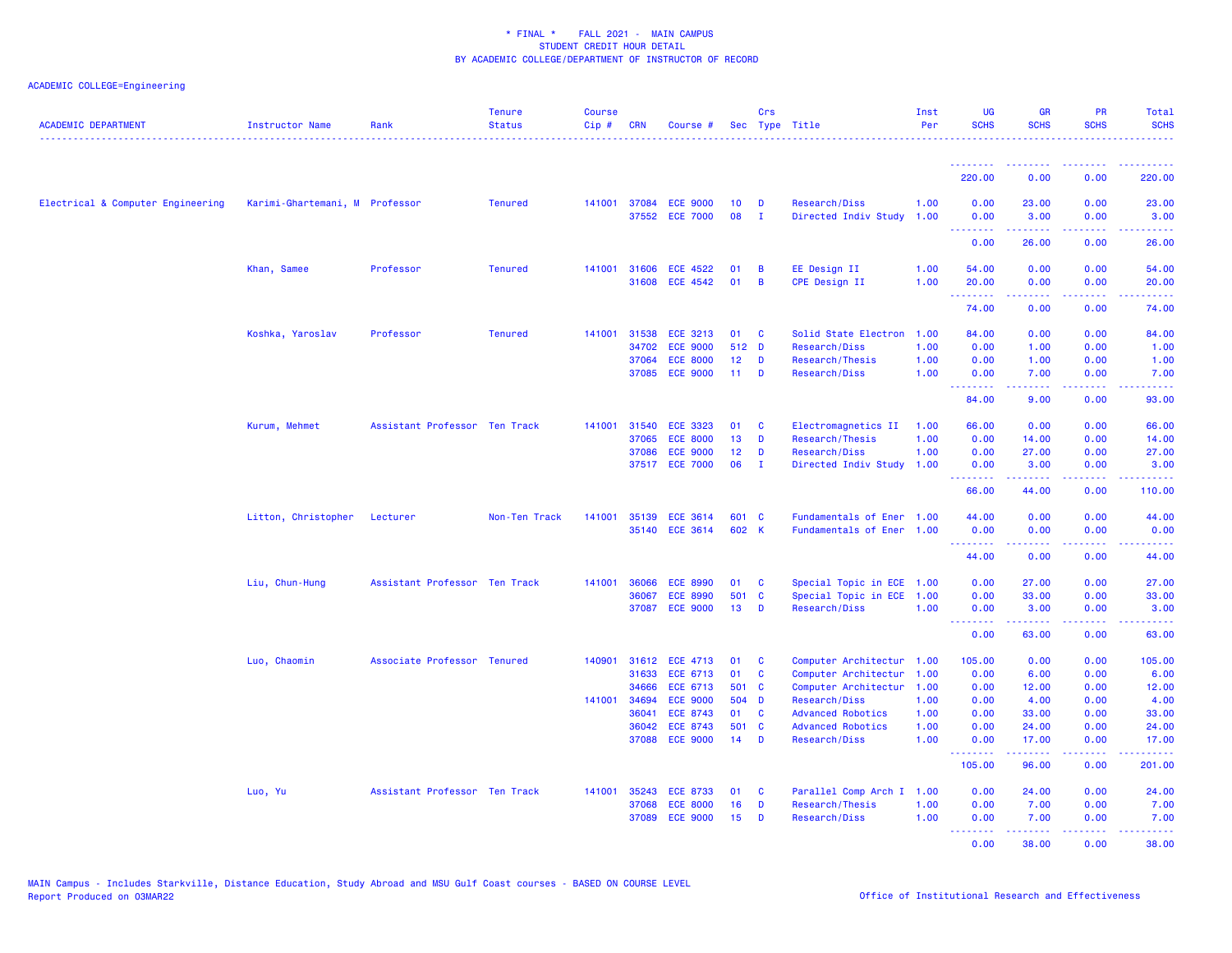| <b>ACADEMIC DEPARTMENT</b>        | <b>Instructor Name</b>         | Rank                          | <b>Tenure</b><br><b>Status</b> | <b>Course</b><br>$Cip \#$ | <b>CRN</b> | Course #                                |                 | Crs               | Sec Type Title                        | Inst<br>Per  | UG<br><b>SCHS</b>                                          | <b>GR</b><br><b>SCHS</b> | <b>PR</b><br><b>SCHS</b>                                                                                                  | Total<br><b>SCHS</b><br>. |
|-----------------------------------|--------------------------------|-------------------------------|--------------------------------|---------------------------|------------|-----------------------------------------|-----------------|-------------------|---------------------------------------|--------------|------------------------------------------------------------|--------------------------|---------------------------------------------------------------------------------------------------------------------------|---------------------------|
|                                   |                                |                               |                                |                           |            |                                         |                 |                   |                                       |              | <u>.</u>                                                   | <u>.</u>                 | <u>.</u>                                                                                                                  | 2.2.2.2.2                 |
|                                   |                                |                               |                                |                           |            |                                         |                 |                   |                                       |              | 220.00                                                     | 0.00                     | 0.00                                                                                                                      | 220.00                    |
| Electrical & Computer Engineering | Karimi-Ghartemani, M Professor |                               | <b>Tenured</b>                 |                           |            | 141001 37084 ECE 9000<br>37552 ECE 7000 | 10<br>08        | D<br>$\mathbf{I}$ | Research/Diss<br>Directed Indiv Study | 1.00<br>1.00 | 0.00                                                       | 23.00                    | 0.00<br>0.00                                                                                                              | 23.00<br>3.00             |
|                                   |                                |                               |                                |                           |            |                                         |                 |                   |                                       |              | 0.00<br><b><i><u><u> - - - - - - -</u></u></i></b>         | 3.00<br>.                | .                                                                                                                         | المتمامين                 |
|                                   |                                |                               |                                |                           |            |                                         |                 |                   |                                       |              | 0.00                                                       | 26.00                    | 0.00                                                                                                                      | 26.00                     |
|                                   | Khan, Samee                    | Professor                     | <b>Tenured</b>                 | 141001                    | 31606      | <b>ECE 4522</b><br>31608 ECE 4542       | 01<br>01        | B<br>B            | EE Design II<br>CPE Design II         | 1.00<br>1.00 | 54.00<br>20.00                                             | 0.00<br>0.00             | 0.00<br>0.00                                                                                                              | 54.00<br>20.00            |
|                                   |                                |                               |                                |                           |            |                                         |                 |                   |                                       |              | <u>.</u>                                                   | .                        | $\frac{1}{2} \left( \frac{1}{2} \right) \left( \frac{1}{2} \right) \left( \frac{1}{2} \right) \left( \frac{1}{2} \right)$ | .                         |
|                                   |                                |                               |                                |                           |            |                                         |                 |                   |                                       |              | 74.00                                                      | 0.00                     | 0.00                                                                                                                      | 74.00                     |
|                                   | Koshka, Yaroslav               | Professor                     | <b>Tenured</b>                 | 141001                    |            | 31538 ECE 3213                          | 01              | C                 | Solid State Electron                  | 1.00         | 84.00                                                      | 0.00                     | 0.00                                                                                                                      | 84.00                     |
|                                   |                                |                               |                                |                           | 34702      | <b>ECE 9000</b>                         | 512 D           |                   | Research/Diss                         | 1.00         | 0.00                                                       | 1.00                     | 0.00                                                                                                                      | 1.00                      |
|                                   |                                |                               |                                |                           | 37064      | <b>ECE 8000</b>                         | 12 <sub>2</sub> | D                 | Research/Thesis                       | 1.00         | 0.00                                                       | 1.00                     | 0.00                                                                                                                      | 1.00                      |
|                                   |                                |                               |                                |                           |            | 37085 ECE 9000                          | 11              | D                 | Research/Diss                         | 1.00         | 0.00<br><b><i><u><u><b>A</b></u></u> A A A A A A A</i></b> | 7.00<br>22222            | 0.00<br>.                                                                                                                 | 7.00<br>.                 |
|                                   |                                |                               |                                |                           |            |                                         |                 |                   |                                       |              | 84.00                                                      | 9.00                     | 0.00                                                                                                                      | 93.00                     |
|                                   | Kurum, Mehmet                  | Assistant Professor Ten Track |                                | 141001                    |            | 31540 ECE 3323                          | 01              | C                 | Electromagnetics II                   | 1.00         | 66.00                                                      | 0.00                     | 0.00                                                                                                                      | 66.00                     |
|                                   |                                |                               |                                |                           | 37065      | <b>ECE 8000</b>                         | 13              | D                 | Research/Thesis                       | 1.00         | 0.00                                                       | 14.00                    | 0.00                                                                                                                      | 14.00                     |
|                                   |                                |                               |                                |                           |            | 37086 ECE 9000                          | 12              | D                 | Research/Diss                         | 1.00         | 0.00                                                       | 27.00                    | 0.00                                                                                                                      | 27.00                     |
|                                   |                                |                               |                                |                           |            | 37517 ECE 7000                          | 06              | $\mathbf{I}$      | Directed Indiv Study                  | 1.00         | 0.00<br>.                                                  | 3.00                     | 0.00<br>2222                                                                                                              | 3.00                      |
|                                   |                                |                               |                                |                           |            |                                         |                 |                   |                                       |              | 66.00                                                      | 44.00                    | 0.00                                                                                                                      | 110.00                    |
|                                   | Litton, Christopher Lecturer   |                               | Non-Ten Track                  | 141001                    |            | 35139 ECE 3614                          | 601 C           |                   | Fundamentals of Ener 1.00             |              | 44.00                                                      | 0.00                     | 0.00                                                                                                                      | 44.00                     |
|                                   |                                |                               |                                |                           |            | 35140 ECE 3614                          | 602 K           |                   | Fundamentals of Ener 1.00             |              | 0.00<br>.                                                  | 0.00                     | 0.00<br>د د د د                                                                                                           | 0.00<br>المتمامين         |
|                                   |                                |                               |                                |                           |            |                                         |                 |                   |                                       |              | 44.00                                                      | 0.00                     | 0.00                                                                                                                      | 44.00                     |
|                                   | Liu, Chun-Hung                 | Assistant Professor Ten Track |                                | 141001                    | 36066      | <b>ECE 8990</b>                         | 01              | <b>C</b>          | Special Topic in ECE 1.00             |              | 0.00                                                       | 27.00                    | 0.00                                                                                                                      | 27.00                     |
|                                   |                                |                               |                                |                           | 36067      | <b>ECE 8990</b>                         | 501             | <b>C</b>          | Special Topic in ECE 1.00             |              | 0.00                                                       | 33.00                    | 0.00                                                                                                                      | 33.00                     |
|                                   |                                |                               |                                |                           |            | 37087 ECE 9000                          | 13              | D                 | Research/Diss                         | 1.00         | 0.00                                                       | 3.00                     | 0.00                                                                                                                      | 3.00                      |
|                                   |                                |                               |                                |                           |            |                                         |                 |                   |                                       |              | <b><i><u><u><b>A</b></u></u> A A A A A A A</i></b><br>0.00 | <u>.</u><br>63.00        | 22222<br>0.00                                                                                                             | .<br>63.00                |
|                                   | Luo, Chaomin                   | Associate Professor Tenured   |                                | 140901                    |            | 31612 ECE 4713                          | 01              | C                 | Computer Architectur 1.00             |              | 105.00                                                     | 0.00                     | 0.00                                                                                                                      | 105.00                    |
|                                   |                                |                               |                                |                           | 31633      | <b>ECE 6713</b>                         | 01              | C                 | Computer Architectur 1.00             |              | 0.00                                                       | 6.00                     | 0.00                                                                                                                      | 6.00                      |
|                                   |                                |                               |                                |                           | 34666      | <b>ECE 6713</b>                         | 501 C           |                   | Computer Architectur                  | 1.00         | 0.00                                                       | 12.00                    | 0.00                                                                                                                      | 12.00                     |
|                                   |                                |                               |                                | 141001                    | 34694      | <b>ECE 9000</b>                         | 504 D           |                   | Research/Diss                         | 1.00         | 0.00                                                       | 4.00                     | 0.00                                                                                                                      | 4.00                      |
|                                   |                                |                               |                                |                           | 36041      | <b>ECE 8743</b>                         | 01              | C                 | <b>Advanced Robotics</b>              | 1.00         | 0.00                                                       | 33.00                    | 0.00                                                                                                                      | 33.00                     |
|                                   |                                |                               |                                |                           | 36042      | <b>ECE 8743</b>                         | 501 C           |                   | <b>Advanced Robotics</b>              | 1.00         | 0.00                                                       | 24.00                    | 0.00                                                                                                                      | 24.00                     |
|                                   |                                |                               |                                |                           | 37088      | <b>ECE 9000</b>                         | 14              | D                 | Research/Diss                         | 1.00         | 0.00<br>.                                                  | 17.00                    | 0.00<br>$\sim$ $\sim$ $\sim$ $\sim$                                                                                       | 17.00<br>الداعات عادة     |
|                                   |                                |                               |                                |                           |            |                                         |                 |                   |                                       |              | 105.00                                                     | 96.00                    | 0.00                                                                                                                      | 201.00                    |
|                                   | Luo, Yu                        | Assistant Professor Ten Track |                                | 141001                    |            | 35243 ECE 8733                          | 01              | C                 | Parallel Comp Arch I                  | 1.00         | 0.00                                                       | 24.00                    | 0.00                                                                                                                      | 24.00                     |
|                                   |                                |                               |                                |                           | 37068      | <b>ECE 8000</b>                         | 16              | D                 | Research/Thesis                       | 1.00         | 0.00                                                       | 7.00                     | 0.00                                                                                                                      | 7.00                      |
|                                   |                                |                               |                                |                           | 37089      | <b>ECE 9000</b>                         | 15              | D                 | Research/Diss                         | 1.00         | 0.00<br><u>.</u>                                           | 7.00<br>الداعات عامات    | 0.00<br>.                                                                                                                 | 7.00<br>.                 |
|                                   |                                |                               |                                |                           |            |                                         |                 |                   |                                       |              | 0.00                                                       | 38.00                    | 0.00                                                                                                                      | 38.00                     |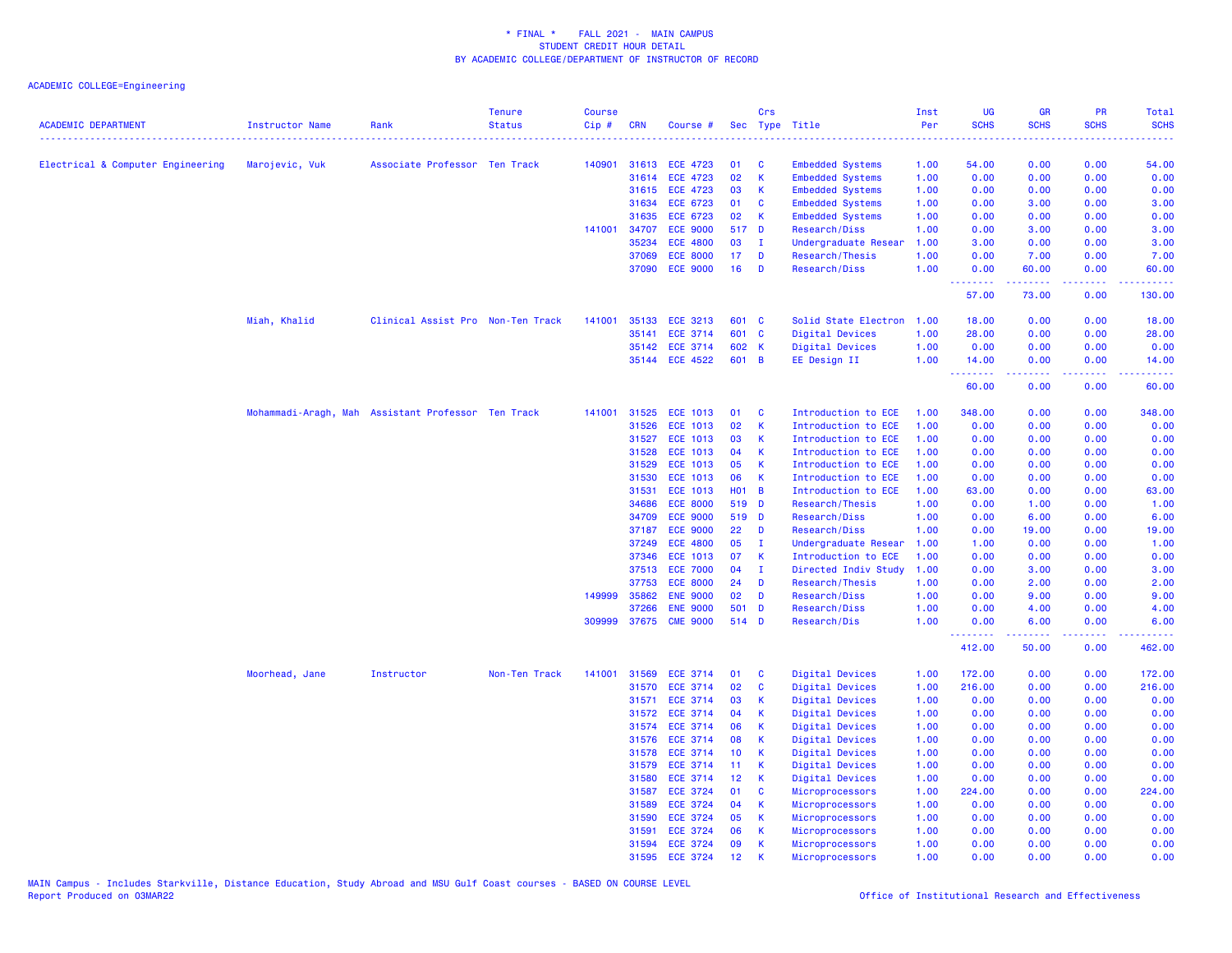| <b>ACADEMIC DEPARTMENT</b>        | Instructor Name | Rank                                               | <b>Tenure</b><br><b>Status</b> | <b>Course</b><br>Cip# | <b>CRN</b>   | Course #        |                 | Crs          | Sec Type Title          | Inst<br>Per | <b>UG</b><br><b>SCHS</b> | <b>GR</b><br><b>SCHS</b> | PR<br><b>SCHS</b>                                                                                                                 | <b>Total</b><br><b>SCHS</b> |
|-----------------------------------|-----------------|----------------------------------------------------|--------------------------------|-----------------------|--------------|-----------------|-----------------|--------------|-------------------------|-------------|--------------------------|--------------------------|-----------------------------------------------------------------------------------------------------------------------------------|-----------------------------|
|                                   |                 |                                                    |                                |                       |              |                 |                 |              | .                       |             |                          |                          |                                                                                                                                   |                             |
| Electrical & Computer Engineering | Marojevic, Vuk  | Associate Professor Ten Track                      |                                | 140901                | 31613        | <b>ECE 4723</b> | 01              | C            | <b>Embedded Systems</b> | 1.00        | 54.00                    | 0.00                     | 0.00                                                                                                                              | 54.00                       |
|                                   |                 |                                                    |                                |                       | 31614        | <b>ECE 4723</b> | 02              | $\mathsf K$  | <b>Embedded Systems</b> | 1.00        | 0.00                     | 0.00                     | 0.00                                                                                                                              | 0.00                        |
|                                   |                 |                                                    |                                |                       | 31615        | <b>ECE 4723</b> | 03              | <b>K</b>     | <b>Embedded Systems</b> | 1.00        | 0.00                     | 0.00                     | 0.00                                                                                                                              | 0.00                        |
|                                   |                 |                                                    |                                |                       | 31634        | ECE 6723        | 01              | $\mathbf{C}$ | <b>Embedded Systems</b> | 1.00        | 0.00                     | 3.00                     | 0.00                                                                                                                              | 3.00                        |
|                                   |                 |                                                    |                                |                       | 31635        | ECE 6723        | 02              | K            | <b>Embedded Systems</b> | 1.00        | 0.00                     | 0.00                     | 0.00                                                                                                                              | 0.00                        |
|                                   |                 |                                                    |                                |                       | 141001 34707 | <b>ECE 9000</b> | 517 D           |              | Research/Diss           | 1.00        | 0.00                     | 3.00                     | 0.00                                                                                                                              | 3.00                        |
|                                   |                 |                                                    |                                |                       | 35234        | <b>ECE 4800</b> | 03              | $\mathbf I$  | Undergraduate Resear    | 1.00        | 3.00                     | 0.00                     | 0.00                                                                                                                              | 3.00                        |
|                                   |                 |                                                    |                                |                       | 37069        | <b>ECE 8000</b> | 17              | D            | Research/Thesis         | 1.00        | 0.00                     | 7.00                     | 0.00                                                                                                                              | 7.00                        |
|                                   |                 |                                                    |                                |                       | 37090        | <b>ECE 9000</b> | 16              | D            | <b>Research/Diss</b>    | 1.00        | 0.00<br><u>.</u>         | 60.00                    | 0.00                                                                                                                              | 60.00                       |
|                                   |                 |                                                    |                                |                       |              |                 |                 |              |                         |             | 57.00                    | 73.00                    | 0.00                                                                                                                              | 130.00                      |
|                                   | Miah, Khalid    | Clinical Assist Pro Non-Ten Track                  |                                | 141001                | 35133        | <b>ECE 3213</b> | 601 C           |              | Solid State Electron    | 1.00        | 18.00                    | 0.00                     | 0.00                                                                                                                              | 18.00                       |
|                                   |                 |                                                    |                                |                       | 35141        | ECE 3714        | 601 C           |              | Digital Devices         | 1.00        | 28.00                    | 0.00                     | 0.00                                                                                                                              | 28.00                       |
|                                   |                 |                                                    |                                |                       | 35142        | <b>ECE 3714</b> | 602 K           |              | Digital Devices         | 1.00        | 0.00                     | 0.00                     | 0.00                                                                                                                              | 0.00                        |
|                                   |                 |                                                    |                                |                       |              | 35144 ECE 4522  | 601 B           |              | EE Design II            | 1.00        | 14.00                    | 0.00                     | 0.00                                                                                                                              | 14.00                       |
|                                   |                 |                                                    |                                |                       |              |                 |                 |              |                         |             | .<br>60.00               | .<br>0.00                | والمحامل<br>0.00                                                                                                                  | 60.00                       |
|                                   |                 | Mohammadi-Aragh, Mah Assistant Professor Ten Track |                                | 141001                | 31525        | <b>ECE 1013</b> | 01              | C            | Introduction to ECE     | 1.00        | 348.00                   | 0.00                     | 0.00                                                                                                                              | 348.00                      |
|                                   |                 |                                                    |                                |                       | 31526        | <b>ECE 1013</b> | 02              | $\mathsf{K}$ | Introduction to ECE     | 1.00        | 0.00                     | 0.00                     | 0.00                                                                                                                              | 0.00                        |
|                                   |                 |                                                    |                                |                       | 31527        | <b>ECE 1013</b> | 03              | К            | Introduction to ECE     | 1.00        | 0.00                     | 0.00                     | 0.00                                                                                                                              | 0.00                        |
|                                   |                 |                                                    |                                |                       | 31528        | <b>ECE 1013</b> | 04              | $\mathsf{K}$ | Introduction to ECE     | 1.00        | 0.00                     | 0.00                     | 0.00                                                                                                                              | 0.00                        |
|                                   |                 |                                                    |                                |                       | 31529        | <b>ECE 1013</b> | 05              | $\mathsf{K}$ | Introduction to ECE     | 1.00        | 0.00                     | 0.00                     | 0.00                                                                                                                              | 0.00                        |
|                                   |                 |                                                    |                                |                       | 31530        | <b>ECE 1013</b> | 06              | К            | Introduction to ECE     | 1.00        | 0.00                     | 0.00                     | 0.00                                                                                                                              | 0.00                        |
|                                   |                 |                                                    |                                |                       | 31531        | <b>ECE 1013</b> | $H01$ B         |              | Introduction to ECE     | 1.00        | 63.00                    | 0.00                     | 0.00                                                                                                                              | 63.00                       |
|                                   |                 |                                                    |                                |                       | 34686        | <b>ECE 8000</b> | 519 D           |              | Research/Thesis         | 1.00        | 0.00                     | 1.00                     | 0.00                                                                                                                              | 1.00                        |
|                                   |                 |                                                    |                                |                       | 34709        | <b>ECE 9000</b> | 519 D           |              | <b>Research/Diss</b>    | 1.00        | 0.00                     | 6.00                     | 0.00                                                                                                                              | 6.00                        |
|                                   |                 |                                                    |                                |                       | 37187        | <b>ECE 9000</b> | 22              | D            | <b>Research/Diss</b>    | 1.00        | 0.00                     | 19.00                    | 0.00                                                                                                                              | 19.00                       |
|                                   |                 |                                                    |                                |                       | 37249        | <b>ECE 4800</b> | 05              | $\mathbf I$  | Undergraduate Resear    | 1.00        | 1.00                     | 0.00                     | 0.00                                                                                                                              | 1.00                        |
|                                   |                 |                                                    |                                |                       | 37346        | <b>ECE 1013</b> | 07              | <b>K</b>     | Introduction to ECE     | 1.00        | 0.00                     | 0.00                     | 0.00                                                                                                                              | 0.00                        |
|                                   |                 |                                                    |                                |                       | 37513        | <b>ECE 7000</b> | 04              | $\mathbf I$  | Directed Indiv Study    | 1.00        | 0.00                     | 3.00                     | 0.00                                                                                                                              | 3.00                        |
|                                   |                 |                                                    |                                |                       | 37753        | <b>ECE 8000</b> | 24              | D            | Research/Thesis         | 1.00        | 0.00                     | 2.00                     | 0.00                                                                                                                              | 2.00                        |
|                                   |                 |                                                    |                                | 149999                | 35862        | <b>ENE 9000</b> | 02              | D            | <b>Research/Diss</b>    | 1.00        | 0.00                     | 9.00                     | 0.00                                                                                                                              | 9.00                        |
|                                   |                 |                                                    |                                |                       | 37266        | <b>ENE 9000</b> | 501             | D            | <b>Research/Diss</b>    | 1.00        | 0.00                     | 4.00                     | 0.00                                                                                                                              | 4.00                        |
|                                   |                 |                                                    |                                | 309999                | 37675        | <b>CME 9000</b> | 514 D           |              | Research/Dis            | 1.00        | 0.00                     | 6.00                     | 0.00                                                                                                                              | 6.00                        |
|                                   |                 |                                                    |                                |                       |              |                 |                 |              |                         |             | .<br>412.00              | .<br>50.00               | $\frac{1}{2} \left( \frac{1}{2} \right) \left( \frac{1}{2} \right) \left( \frac{1}{2} \right) \left( \frac{1}{2} \right)$<br>0.00 | 462.00                      |
|                                   | Moorhead, Jane  | Instructor                                         | Non-Ten Track                  | 141001                | 31569        | ECE 3714        | 01              | C            | Digital Devices         | 1.00        | 172.00                   | 0.00                     | 0.00                                                                                                                              | 172.00                      |
|                                   |                 |                                                    |                                |                       | 31570        | <b>ECE 3714</b> | 02              | $\mathbf{C}$ | Digital Devices         | 1.00        | 216.00                   | 0.00                     | 0.00                                                                                                                              | 216.00                      |
|                                   |                 |                                                    |                                |                       | 31571        | <b>ECE 3714</b> | 03              | K            | Digital Devices         | 1.00        | 0.00                     | 0.00                     | 0.00                                                                                                                              | 0.00                        |
|                                   |                 |                                                    |                                |                       | 31572        | ECE 3714        | 04              | K            | Digital Devices         | 1.00        | 0.00                     | 0.00                     | 0.00                                                                                                                              | 0.00                        |
|                                   |                 |                                                    |                                |                       | 31574        | <b>ECE 3714</b> | 06              | К            | Digital Devices         | 1.00        | 0.00                     | 0.00                     | 0.00                                                                                                                              | 0.00                        |
|                                   |                 |                                                    |                                |                       | 31576        | <b>ECE 3714</b> | 08              | $\mathsf K$  | Digital Devices         | 1.00        | 0.00                     | 0.00                     | 0.00                                                                                                                              | 0.00                        |
|                                   |                 |                                                    |                                |                       | 31578        | <b>ECE 3714</b> | 10 <sub>1</sub> | К            | Digital Devices         | 1.00        | 0.00                     | 0.00                     | 0.00                                                                                                                              | 0.00                        |
|                                   |                 |                                                    |                                |                       | 31579        | <b>ECE 3714</b> | 11              | K            | Digital Devices         | 1.00        | 0.00                     | 0.00                     | 0.00                                                                                                                              | 0.00                        |
|                                   |                 |                                                    |                                |                       | 31580        | <b>ECE 3714</b> | 12              | <b>K</b>     | Digital Devices         | 1.00        | 0.00                     | 0.00                     | 0.00                                                                                                                              | 0.00                        |
|                                   |                 |                                                    |                                |                       | 31587        | <b>ECE 3724</b> | 01              | <b>C</b>     | Microprocessors         | 1.00        | 224.00                   | 0.00                     | 0.00                                                                                                                              | 224.00                      |
|                                   |                 |                                                    |                                |                       | 31589        | <b>ECE 3724</b> | 04              | К            | Microprocessors         | 1.00        | 0.00                     | 0.00                     | 0.00                                                                                                                              | 0.00                        |
|                                   |                 |                                                    |                                |                       | 31590        | <b>ECE 3724</b> | 05              | K            | Microprocessors         | 1.00        | 0.00                     | 0.00                     | 0.00                                                                                                                              | 0.00                        |
|                                   |                 |                                                    |                                |                       | 31591        | <b>ECE 3724</b> | 06              | K            | Microprocessors         | 1.00        | 0.00                     | 0.00                     | 0.00                                                                                                                              | 0.00                        |
|                                   |                 |                                                    |                                |                       | 31594        | <b>ECE 3724</b> | 09              | K            | Microprocessors         | 1.00        | 0.00                     | 0.00                     | 0.00                                                                                                                              | 0.00                        |
|                                   |                 |                                                    |                                |                       | 31595        | <b>ECE 3724</b> | 12              | К            | Microprocessors         | 1.00        | 0.00                     | 0.00                     | 0.00                                                                                                                              | 0.00                        |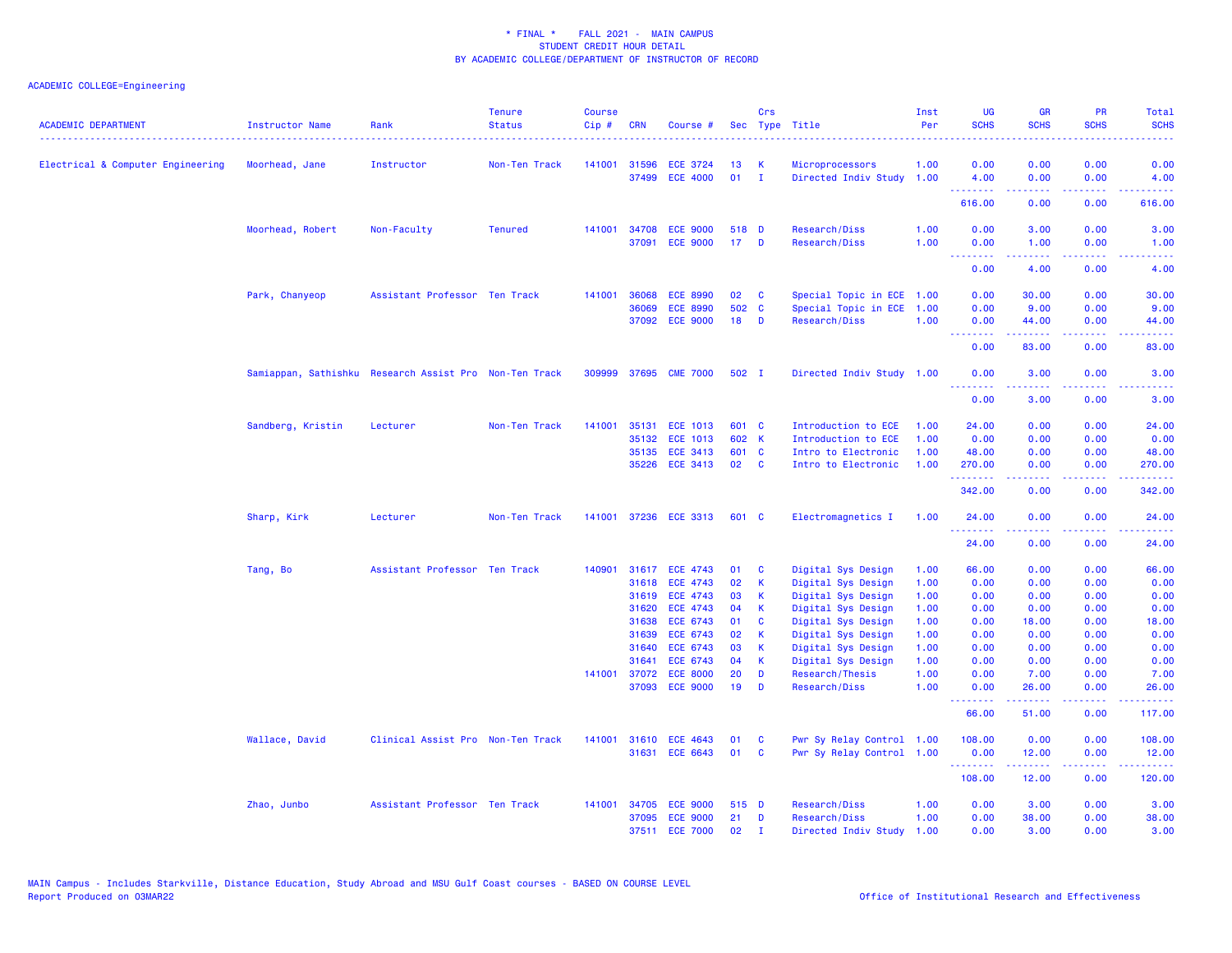| <b>ACADEMIC DEPARTMENT</b>        | <b>Instructor Name</b><br>. | Rank                                                   | <b>Tenure</b><br><b>Status</b> | <b>Course</b><br>Cip# | <b>CRN</b> | Course #                          |                 | Crs          | Sec Type Title                   | Inst<br>Per  | <b>UG</b><br><b>SCHS</b>                                 | <b>GR</b><br><b>SCHS</b>                                                                                                                                      | PR<br><b>SCHS</b>                   | Total<br><b>SCHS</b>                                                                                                              |
|-----------------------------------|-----------------------------|--------------------------------------------------------|--------------------------------|-----------------------|------------|-----------------------------------|-----------------|--------------|----------------------------------|--------------|----------------------------------------------------------|---------------------------------------------------------------------------------------------------------------------------------------------------------------|-------------------------------------|-----------------------------------------------------------------------------------------------------------------------------------|
| Electrical & Computer Engineering | Moorhead, Jane              | Instructor                                             | Non-Ten Track                  | 141001                | 31596      | <b>ECE 3724</b>                   | 13              | К            | Microprocessors                  | 1.00         | 0.00                                                     | 0.00                                                                                                                                                          | 0.00                                | 0.00                                                                                                                              |
|                                   |                             |                                                        |                                |                       |            | 37499 ECE 4000                    | 01              | $\mathbf{I}$ | Directed Indiv Study 1.00        |              | 4.00<br>.                                                | 0.00<br>.                                                                                                                                                     | 0.00<br>.                           | 4.00<br>.                                                                                                                         |
|                                   |                             |                                                        |                                |                       |            |                                   |                 |              |                                  |              | 616.00                                                   | 0.00                                                                                                                                                          | 0.00                                | 616.00                                                                                                                            |
|                                   | Moorhead, Robert            | Non-Faculty                                            | <b>Tenured</b>                 | 141001                | 34708      | <b>ECE 9000</b>                   | 518 D           |              | Research/Diss                    | 1.00         | 0.00                                                     | 3.00                                                                                                                                                          | 0.00                                | 3.00                                                                                                                              |
|                                   |                             |                                                        |                                |                       | 37091      | <b>ECE 9000</b>                   | 17 <sup>2</sup> | D            | Research/Diss                    | 1.00         | 0.00<br><u>.</u>                                         | 1.00<br>.                                                                                                                                                     | 0.00<br>$\sim$ $\sim$ $\sim$ $\sim$ | 1.00<br>2222.                                                                                                                     |
|                                   |                             |                                                        |                                |                       |            |                                   |                 |              |                                  |              | 0.00                                                     | 4.00                                                                                                                                                          | 0.00                                | 4.00                                                                                                                              |
|                                   | Park, Chanyeop              | Assistant Professor Ten Track                          |                                | 141001                | 36068      | <b>ECE 8990</b>                   | 02              | <b>C</b>     | Special Topic in ECE 1.00        |              | 0.00                                                     | 30.00                                                                                                                                                         | 0.00                                | 30.00                                                                                                                             |
|                                   |                             |                                                        |                                |                       | 36069      | <b>ECE 8990</b>                   | 502 C           |              | Special Topic in ECE             | 1.00         | 0.00                                                     | 9.00                                                                                                                                                          | 0.00                                | 9.00                                                                                                                              |
|                                   |                             |                                                        |                                |                       |            | 37092 ECE 9000                    | 18              | D            | Research/Diss                    | 1.00         | 0.00<br><b><i><u><u><b>Little Little</b></u></u></i></b> | 44.00<br>$\frac{1}{2} \left( \frac{1}{2} \right) \left( \frac{1}{2} \right) \left( \frac{1}{2} \right) \left( \frac{1}{2} \right) \left( \frac{1}{2} \right)$ | 0.00<br>د د د د                     | 44.00<br>وعاعاها                                                                                                                  |
|                                   |                             |                                                        |                                |                       |            |                                   |                 |              |                                  |              | 0.00                                                     | 83.00                                                                                                                                                         | 0.00                                | 83.00                                                                                                                             |
|                                   |                             | Samiappan, Sathishku Research Assist Pro Non-Ten Track |                                |                       |            | 309999 37695 CME 7000             | 502 I           |              | Directed Indiv Study 1.00        |              | 0.00                                                     | 3.00                                                                                                                                                          | 0.00                                | 3.00                                                                                                                              |
|                                   |                             |                                                        |                                |                       |            |                                   |                 |              |                                  |              | <u> - - - - - - - -</u><br>0.00                          | .<br>3.00                                                                                                                                                     | .<br>0.00                           | $\frac{1}{2} \left( \frac{1}{2} \right) \left( \frac{1}{2} \right) \left( \frac{1}{2} \right) \left( \frac{1}{2} \right)$<br>3.00 |
|                                   | Sandberg, Kristin           | Lecturer                                               | Non-Ten Track                  | 141001                | 35131      | <b>ECE 1013</b>                   | 601 C           |              | Introduction to ECE              | 1.00         | 24.00                                                    | 0.00                                                                                                                                                          | 0.00                                | 24.00                                                                                                                             |
|                                   |                             |                                                        |                                |                       | 35132      | <b>ECE 1013</b>                   | 602 K           |              | Introduction to ECE              | 1.00         | 0.00                                                     | 0.00                                                                                                                                                          | 0.00                                | 0.00                                                                                                                              |
|                                   |                             |                                                        |                                |                       | 35135      | <b>ECE 3413</b>                   | 601 C           |              | Intro to Electronic              | 1.00         | 48.00                                                    | 0.00                                                                                                                                                          | 0.00                                | 48.00                                                                                                                             |
|                                   |                             |                                                        |                                |                       | 35226      | <b>ECE 3413</b>                   | 02              | C            | Intro to Electronic              | 1.00         | 270.00<br>.                                              | 0.00                                                                                                                                                          | 0.00<br>بالمحام                     | 270.00<br>الداعات عاد                                                                                                             |
|                                   |                             |                                                        |                                |                       |            |                                   |                 |              |                                  |              | 342.00                                                   | 0.00                                                                                                                                                          | 0.00                                | 342.00                                                                                                                            |
|                                   | Sharp, Kirk                 | Lecturer                                               | Non-Ten Track                  | 141001                |            | 37236 ECE 3313                    | 601 C           |              | Electromagnetics I               | 1.00         | 24.00                                                    | 0.00                                                                                                                                                          | 0.00                                | 24.00                                                                                                                             |
|                                   |                             |                                                        |                                |                       |            |                                   |                 |              |                                  |              | <u>.</u><br>24.00                                        | .<br>0.00                                                                                                                                                     | ----<br>0.00                        | . <b>.</b><br>24.00                                                                                                               |
|                                   | Tang, Bo                    | Assistant Professor Ten Track                          |                                | 140901                |            | 31617 ECE 4743                    | 01              | <b>C</b>     | Digital Sys Design               | 1.00         | 66.00                                                    | 0.00                                                                                                                                                          | 0.00                                | 66.00                                                                                                                             |
|                                   |                             |                                                        |                                |                       | 31618      | <b>ECE 4743</b>                   | 02              | K            | Digital Sys Design               | 1.00         | 0.00                                                     | 0.00                                                                                                                                                          | 0.00                                | 0.00                                                                                                                              |
|                                   |                             |                                                        |                                |                       | 31619      | <b>ECE 4743</b>                   | 03              | К            | Digital Sys Design               | 1.00         | 0.00                                                     | 0.00                                                                                                                                                          | 0.00                                | 0.00                                                                                                                              |
|                                   |                             |                                                        |                                |                       | 31620      | <b>ECE 4743</b>                   | 04              | K            | Digital Sys Design               | 1.00         | 0.00                                                     | 0.00                                                                                                                                                          | 0.00                                | 0.00                                                                                                                              |
|                                   |                             |                                                        |                                |                       | 31638      | ECE 6743                          | 01              | C            | Digital Sys Design               | 1.00         | 0.00                                                     | 18.00                                                                                                                                                         | 0.00                                | 18.00                                                                                                                             |
|                                   |                             |                                                        |                                |                       | 31639      | ECE 6743                          | 02              | К            | Digital Sys Design               | 1.00         | 0.00                                                     | 0.00                                                                                                                                                          | 0.00                                | 0.00                                                                                                                              |
|                                   |                             |                                                        |                                |                       | 31640      | <b>ECE 6743</b>                   | 03              | К            | Digital Sys Design               | 1.00         | 0.00                                                     | 0.00                                                                                                                                                          | 0.00                                | 0.00                                                                                                                              |
|                                   |                             |                                                        |                                |                       | 31641      | ECE 6743                          | 04              | K            | Digital Sys Design               | 1.00         | 0.00                                                     | 0.00                                                                                                                                                          | 0.00                                | 0.00                                                                                                                              |
|                                   |                             |                                                        |                                | 141001                | 37072      | <b>ECE 8000</b><br>37093 ECE 9000 | 20<br>19        | D<br>D       | Research/Thesis<br>Research/Diss | 1.00<br>1.00 | 0.00<br>0.00                                             | 7.00<br>26.00                                                                                                                                                 | 0.00<br>0.00                        | 7.00<br>26,00                                                                                                                     |
|                                   |                             |                                                        |                                |                       |            |                                   |                 |              |                                  |              | .<br>66.00                                               | .<br>51.00                                                                                                                                                    | .<br>0.00                           | .<br>117.00                                                                                                                       |
|                                   | Wallace, David              | Clinical Assist Pro Non-Ten Track                      |                                | 141001                |            | 31610 ECE 4643                    | 01              | C            | Pwr Sy Relay Control 1.00        |              | 108.00                                                   | 0.00                                                                                                                                                          | 0.00                                | 108.00                                                                                                                            |
|                                   |                             |                                                        |                                |                       | 31631      | <b>ECE 6643</b>                   | 01              | C            | Pwr Sy Relay Control 1.00        |              | 0.00<br>.                                                | 12.00<br>22222                                                                                                                                                | 0.00                                | 12.00                                                                                                                             |
|                                   |                             |                                                        |                                |                       |            |                                   |                 |              |                                  |              | 108.00                                                   | 12.00                                                                                                                                                         | 0.00                                | 120.00                                                                                                                            |
|                                   | Zhao, Junbo                 | Assistant Professor Ten Track                          |                                | 141001                |            | 34705 ECE 9000                    | 515 D           |              | Research/Diss                    | 1.00         | 0.00                                                     | 3.00                                                                                                                                                          | 0.00                                | 3.00                                                                                                                              |
|                                   |                             |                                                        |                                |                       | 37095      | <b>ECE 9000</b>                   | 21              | D            | Research/Diss                    | 1.00         | 0.00                                                     | 38.00                                                                                                                                                         | 0.00                                | 38.00                                                                                                                             |
|                                   |                             |                                                        |                                |                       |            | 37511 ECE 7000                    | 02              | $\mathbf{I}$ | Directed Indiv Study             | 1.00         | 0.00                                                     | 3.00                                                                                                                                                          | 0.00                                | 3.00                                                                                                                              |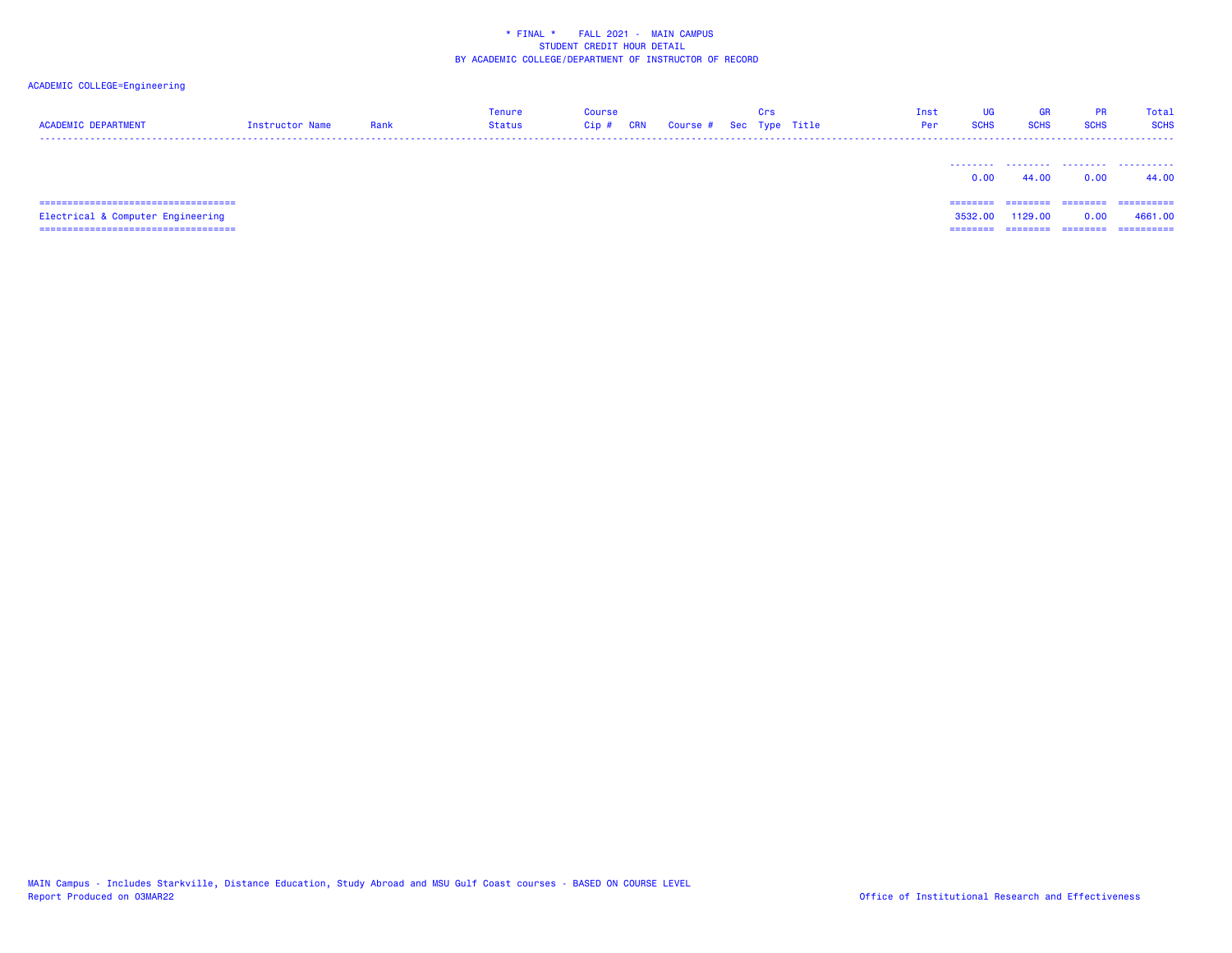# ACADEMIC COLLEGE=Engineering

| <b>ACADEMIC DEPARTMENT</b>             | Instructor Name | Rank | Tenure<br><b>Status</b> | Course<br>$Cip$ # | CRN | Course # Sec Type Title | Crs | Inst<br>Per | UG<br><b>SCHS</b> | GR<br><b>SCHS</b> | <b>PR</b><br><b>SCHS</b> | Total<br><b>SCHS</b> |
|----------------------------------------|-----------------|------|-------------------------|-------------------|-----|-------------------------|-----|-------------|-------------------|-------------------|--------------------------|----------------------|
|                                        |                 |      |                         |                   |     |                         |     |             | 0.00              | 44.00             | 0.00                     | 44.00                |
| ====================================== |                 |      |                         |                   |     |                         |     |             | ========          | ---------         | ---------                | -----------          |
| Electrical & Computer Engineering      |                 |      |                         |                   |     |                         |     |             | 3532.00           | 1129.00           | 0.00                     | 4661.00              |

=================================== ======== ======== ======== ==========

MAIN Campus - Includes Starkville, Distance Education, Study Abroad and MSU Gulf Coast courses - BASED ON COURSE LEVEL<br>Report Produced on O3MAR22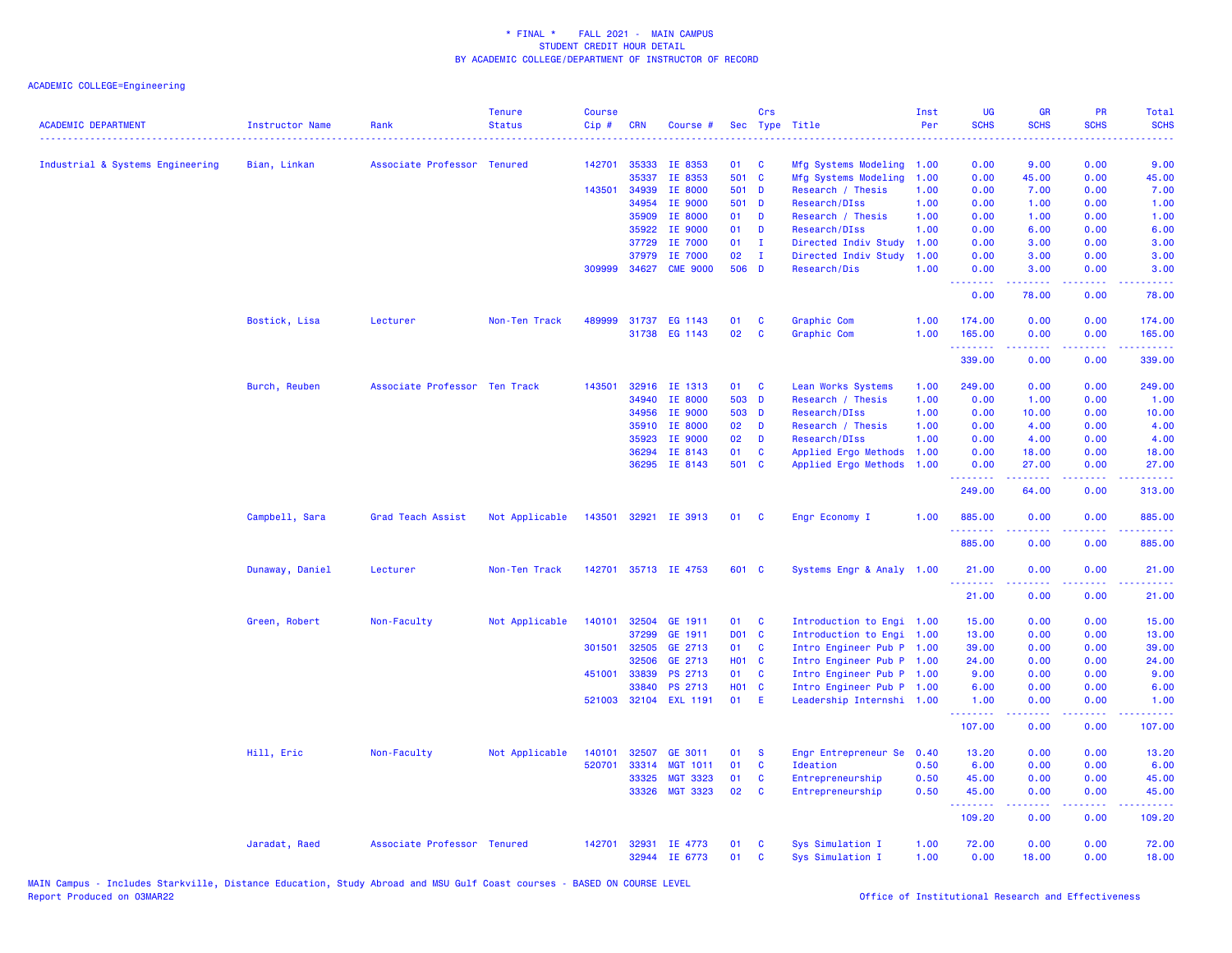| <u>.</u><br>142701<br>35333<br>IE 8353<br>Mfg Systems Modeling<br>Industrial & Systems Engineering<br>Bian, Linkan<br>Associate Professor Tenured<br>01<br>C<br>501 C<br>35337<br>IE 8353<br>Mfg Systems Modeling<br>143501<br>34939<br>IE 8000<br>501 D<br>Research / Thesis<br>34954<br>IE 9000<br>501 D<br>Research/DIss<br>35909<br>IE 8000<br>01<br>D<br>Research / Thesis<br>35922<br>IE 9000<br>01<br>Research/DIss<br>D<br>IE 7000<br>01<br>37729<br>$\mathbf{I}$<br>Directed Indiv Study<br>IE 7000<br>37979<br>02<br>Directed Indiv Study<br>$\mathbf{I}$<br>506 D<br>309999<br>34627<br><b>CME 9000</b><br>Research/Dis<br>Bostick, Lisa<br>489999 31737 EG 1143<br>Graphic Com<br>Lecturer<br>Non-Ten Track<br>01<br>C<br>31738 EG 1143<br>02<br>$\mathbf{C}$<br>Graphic Com | Inst<br>Per  | <b>UG</b><br><b>SCHS</b> | <b>GR</b><br><b>SCHS</b> | PR<br><b>SCHS</b>                                                                                      | Total<br><b>SCHS</b>    |
|------------------------------------------------------------------------------------------------------------------------------------------------------------------------------------------------------------------------------------------------------------------------------------------------------------------------------------------------------------------------------------------------------------------------------------------------------------------------------------------------------------------------------------------------------------------------------------------------------------------------------------------------------------------------------------------------------------------------------------------------------------------------------------------|--------------|--------------------------|--------------------------|--------------------------------------------------------------------------------------------------------|-------------------------|
|                                                                                                                                                                                                                                                                                                                                                                                                                                                                                                                                                                                                                                                                                                                                                                                          |              |                          |                          |                                                                                                        |                         |
|                                                                                                                                                                                                                                                                                                                                                                                                                                                                                                                                                                                                                                                                                                                                                                                          | 1.00         | 0.00                     | 9.00                     | 0.00                                                                                                   | 9.00                    |
|                                                                                                                                                                                                                                                                                                                                                                                                                                                                                                                                                                                                                                                                                                                                                                                          | 1.00<br>1.00 | 0.00<br>0.00             | 45.00<br>7.00            | 0.00<br>0.00                                                                                           | 45.00                   |
|                                                                                                                                                                                                                                                                                                                                                                                                                                                                                                                                                                                                                                                                                                                                                                                          |              |                          |                          |                                                                                                        | 7.00                    |
|                                                                                                                                                                                                                                                                                                                                                                                                                                                                                                                                                                                                                                                                                                                                                                                          | 1.00<br>1.00 | 0.00<br>0.00             | 1.00<br>1.00             | 0.00<br>0.00                                                                                           | 1.00<br>1.00            |
|                                                                                                                                                                                                                                                                                                                                                                                                                                                                                                                                                                                                                                                                                                                                                                                          | 1.00         | 0.00                     | 6.00                     | 0.00                                                                                                   | 6.00                    |
|                                                                                                                                                                                                                                                                                                                                                                                                                                                                                                                                                                                                                                                                                                                                                                                          | 1.00         | 0.00                     | 3.00                     | 0.00                                                                                                   | 3.00                    |
|                                                                                                                                                                                                                                                                                                                                                                                                                                                                                                                                                                                                                                                                                                                                                                                          | 1.00         | 0.00                     | 3.00                     | 0.00                                                                                                   | 3.00                    |
|                                                                                                                                                                                                                                                                                                                                                                                                                                                                                                                                                                                                                                                                                                                                                                                          | 1.00         | 0.00                     | 3.00                     | 0.00                                                                                                   | 3.00                    |
|                                                                                                                                                                                                                                                                                                                                                                                                                                                                                                                                                                                                                                                                                                                                                                                          |              | .<br>0.00                | .<br>78.00               | 0.00                                                                                                   | 78.00                   |
|                                                                                                                                                                                                                                                                                                                                                                                                                                                                                                                                                                                                                                                                                                                                                                                          | 1.00         | 174.00                   | 0.00                     | 0.00                                                                                                   | 174.00                  |
|                                                                                                                                                                                                                                                                                                                                                                                                                                                                                                                                                                                                                                                                                                                                                                                          | 1.00         | 165.00                   | 0.00                     | 0.00                                                                                                   | 165.00                  |
|                                                                                                                                                                                                                                                                                                                                                                                                                                                                                                                                                                                                                                                                                                                                                                                          |              | .                        | .                        | د د د د .                                                                                              | 2.2.2.2.2               |
|                                                                                                                                                                                                                                                                                                                                                                                                                                                                                                                                                                                                                                                                                                                                                                                          |              | 339.00                   | 0.00                     | 0.00                                                                                                   | 339.00                  |
| Burch, Reuben<br>Associate Professor Ten Track<br>143501<br>32916<br>IE 1313<br>Lean Works Systems<br>01<br><b>C</b>                                                                                                                                                                                                                                                                                                                                                                                                                                                                                                                                                                                                                                                                     | 1.00         | 249.00                   | 0.00                     | 0.00                                                                                                   | 249.00                  |
| 34940<br>IE 8000<br>503 D<br>Research / Thesis                                                                                                                                                                                                                                                                                                                                                                                                                                                                                                                                                                                                                                                                                                                                           | 1.00         | 0.00                     | 1.00                     | 0.00                                                                                                   | 1.00                    |
| IE 9000<br>503 D<br>34956<br>Research/DIss                                                                                                                                                                                                                                                                                                                                                                                                                                                                                                                                                                                                                                                                                                                                               | 1.00         | 0.00                     | 10.00                    | 0.00                                                                                                   | 10.00                   |
| 02<br>35910<br>IE 8000<br>D<br>Research / Thesis                                                                                                                                                                                                                                                                                                                                                                                                                                                                                                                                                                                                                                                                                                                                         | 1.00         | 0.00                     | 4.00                     | 0.00                                                                                                   | 4.00                    |
| IE 9000<br>02<br>Research/DIss<br>35923<br>D                                                                                                                                                                                                                                                                                                                                                                                                                                                                                                                                                                                                                                                                                                                                             | 1.00         | 0.00                     | 4.00                     | 0.00                                                                                                   | 4.00                    |
| 01<br>C<br>36294<br>IE 8143<br>Applied Ergo Methods                                                                                                                                                                                                                                                                                                                                                                                                                                                                                                                                                                                                                                                                                                                                      | 1.00         | 0.00                     | 18.00                    | 0.00                                                                                                   | 18.00                   |
| 36295 IE 8143<br>501 C<br>Applied Ergo Methods                                                                                                                                                                                                                                                                                                                                                                                                                                                                                                                                                                                                                                                                                                                                           | 1.00         | 0.00<br>- - - - - - - -  | 27.00<br>.               | 0.00<br>.                                                                                              | 27.00<br>.              |
|                                                                                                                                                                                                                                                                                                                                                                                                                                                                                                                                                                                                                                                                                                                                                                                          |              | 249.00                   | 64.00                    | 0.00                                                                                                   | 313.00                  |
| Campbell, Sara<br>Not Applicable<br>143501<br>32921 IE 3913<br>Grad Teach Assist<br>01<br><b>C</b><br>Engr Economy I                                                                                                                                                                                                                                                                                                                                                                                                                                                                                                                                                                                                                                                                     | 1.00         | 885.00<br>.              | 0.00<br>.                | 0.00<br>د د د د                                                                                        | 885.00<br>.             |
|                                                                                                                                                                                                                                                                                                                                                                                                                                                                                                                                                                                                                                                                                                                                                                                          |              | 885.00                   | 0.00                     | 0.00                                                                                                   | 885.00                  |
| 601 C<br>Dunaway, Daniel<br>Lecturer<br>Non-Ten Track<br>142701<br>35713 IE 4753<br>Systems Engr & Analy 1.00                                                                                                                                                                                                                                                                                                                                                                                                                                                                                                                                                                                                                                                                            |              | 21.00<br>222222          | 0.00<br>.                | 0.00<br>$\frac{1}{2} \left( \frac{1}{2} \right) \left( \frac{1}{2} \right) \left( \frac{1}{2} \right)$ | 21.00<br>. د د د د      |
|                                                                                                                                                                                                                                                                                                                                                                                                                                                                                                                                                                                                                                                                                                                                                                                          |              | 21.00                    | 0.00                     | 0.00                                                                                                   | 21.00                   |
| 32504<br>GE 1911<br>Introduction to Engi 1.00<br>Green, Robert<br>Non-Faculty<br>Not Applicable<br>140101<br>01<br>C                                                                                                                                                                                                                                                                                                                                                                                                                                                                                                                                                                                                                                                                     |              | 15.00                    | 0.00                     | 0.00                                                                                                   | 15.00                   |
| DO1 C<br>37299<br>GE 1911<br>Introduction to Engi 1.00                                                                                                                                                                                                                                                                                                                                                                                                                                                                                                                                                                                                                                                                                                                                   |              | 13.00                    | 0.00                     | 0.00                                                                                                   | 13.00                   |
| 301501<br>32505<br>GE 2713<br>01<br><b>C</b><br>Intro Engineer Pub P 1.00                                                                                                                                                                                                                                                                                                                                                                                                                                                                                                                                                                                                                                                                                                                |              | 39.00                    | 0.00                     | 0.00                                                                                                   | 39.00                   |
| H01 C<br>Intro Engineer Pub P 1.00<br>32506<br>GE 2713                                                                                                                                                                                                                                                                                                                                                                                                                                                                                                                                                                                                                                                                                                                                   |              | 24.00                    | 0.00                     | 0.00                                                                                                   | 24.00                   |
| 451001<br>33839<br>PS 2713<br>01<br>$\mathbf{C}$<br>Intro Engineer Pub P 1.00                                                                                                                                                                                                                                                                                                                                                                                                                                                                                                                                                                                                                                                                                                            |              | 9.00                     | 0.00                     | 0.00                                                                                                   | 9.00                    |
| 33840<br>PS 2713<br>H01 C<br>Intro Engineer Pub P 1.00                                                                                                                                                                                                                                                                                                                                                                                                                                                                                                                                                                                                                                                                                                                                   |              | 6.00                     | 0.00                     | 0.00                                                                                                   | 6.00                    |
| 521003 32104 EXL 1191<br>01<br>Æ<br>Leadership Internshi 1.00                                                                                                                                                                                                                                                                                                                                                                                                                                                                                                                                                                                                                                                                                                                            |              | 1.00<br>.                | 0.00<br>-----            | 0.00<br>.                                                                                              | 1.00<br>.               |
|                                                                                                                                                                                                                                                                                                                                                                                                                                                                                                                                                                                                                                                                                                                                                                                          |              | 107.00                   | 0.00                     | 0.00                                                                                                   | 107.00                  |
| Hill, Eric<br>Non-Faculty<br>Not Applicable<br>140101<br>GE 3011<br>Engr Entrepreneur Se<br>32507<br>01<br><b>S</b>                                                                                                                                                                                                                                                                                                                                                                                                                                                                                                                                                                                                                                                                      | 0.40         | 13.20                    | 0.00                     | 0.00                                                                                                   | 13.20                   |
| 520701<br>33314<br><b>MGT 1011</b><br>01<br>C<br>Ideation                                                                                                                                                                                                                                                                                                                                                                                                                                                                                                                                                                                                                                                                                                                                | 0.50         | 6.00                     | 0.00                     | 0.00                                                                                                   | 6.00                    |
| 33325<br><b>MGT 3323</b><br>01<br>C<br>Entrepreneurship                                                                                                                                                                                                                                                                                                                                                                                                                                                                                                                                                                                                                                                                                                                                  | 0.50         | 45.00                    | 0.00                     | 0.00                                                                                                   | 45.00                   |
| 02<br><b>MGT 3323</b><br>$\mathbf{C}$<br>33326<br>Entrepreneurship                                                                                                                                                                                                                                                                                                                                                                                                                                                                                                                                                                                                                                                                                                                       | 0.50         | 45.00<br>.               | 0.00<br>.                | 0.00<br>د د د د                                                                                        | 45.00<br>ا عاما عاماً . |
|                                                                                                                                                                                                                                                                                                                                                                                                                                                                                                                                                                                                                                                                                                                                                                                          |              | 109.20                   | 0.00                     | 0.00                                                                                                   | 109.20                  |
| Associate Professor Tenured<br>Sys Simulation I<br>Jaradat, Raed<br>142701<br>32931<br>IE 4773<br>01<br>C<br>32944 IE 6773<br>01<br><b>C</b><br>Sys Simulation I                                                                                                                                                                                                                                                                                                                                                                                                                                                                                                                                                                                                                         |              |                          |                          |                                                                                                        |                         |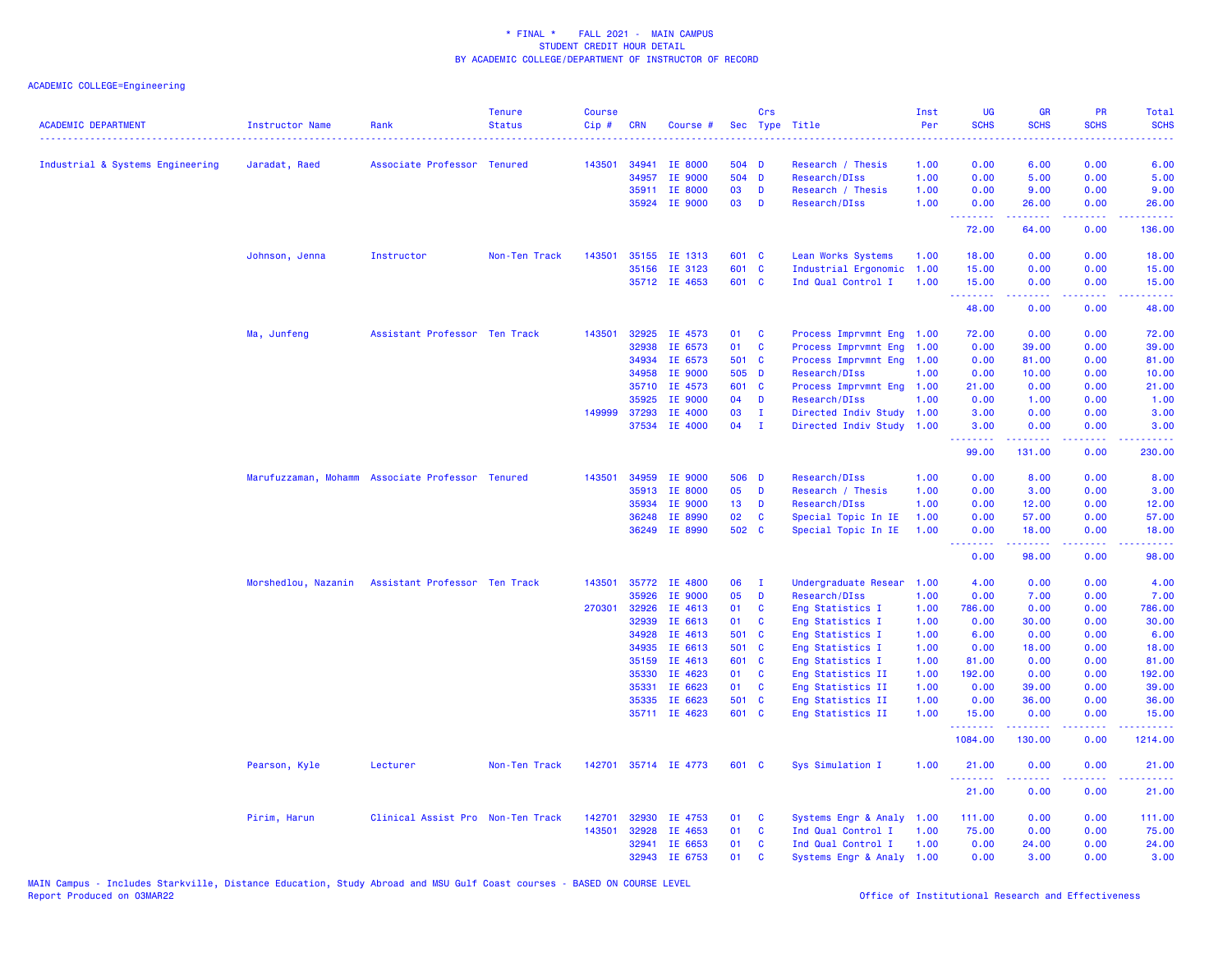| <b>ACADEMIC DEPARTMENT</b>       | <b>Instructor Name</b> | Rank                                             | <b>Tenure</b><br><b>Status</b> | <b>Course</b><br>Cip# | <b>CRN</b>     | Course #             |                 | Crs          | Sec Type Title                         | Inst<br>Per  | <b>UG</b><br><b>SCHS</b>                                     | <b>GR</b><br><b>SCHS</b> | <b>PR</b><br><b>SCHS</b> | Total<br><b>SCHS</b> |
|----------------------------------|------------------------|--------------------------------------------------|--------------------------------|-----------------------|----------------|----------------------|-----------------|--------------|----------------------------------------|--------------|--------------------------------------------------------------|--------------------------|--------------------------|----------------------|
| Industrial & Systems Engineering | Jaradat, Raed          | Associate Professor Tenured                      |                                | 143501                | 34941          | IE 8000              | 504 D           |              | Research / Thesis                      | 1.00         | 0.00                                                         | 6.00                     | 0.00                     | 6.00                 |
|                                  |                        |                                                  |                                |                       | 34957          | <b>IE 9000</b>       | 504 D           |              | Research/DIss                          | 1.00         | 0.00                                                         | 5.00                     | 0.00                     | 5.00                 |
|                                  |                        |                                                  |                                |                       |                | 35911 IE 8000        | 03              | D            | Research / Thesis                      | 1.00         | 0.00                                                         | 9.00                     | 0.00                     | 9.00                 |
|                                  |                        |                                                  |                                |                       | 35924          | IE 9000              | 03              | D            | Research/DIss                          | 1.00         | 0.00<br>.                                                    | 26.00<br>22222           | 0.00<br>الداعات عادة     | 26.00<br>.           |
|                                  |                        |                                                  |                                |                       |                |                      |                 |              |                                        |              | 72.00                                                        | 64.00                    | 0.00                     | 136.00               |
|                                  | Johnson, Jenna         | Instructor                                       | Non-Ten Track                  | 143501                |                | 35155 IE 1313        | 601 C           |              | Lean Works Systems                     | 1.00         | 18.00                                                        | 0.00                     | 0.00                     | 18.00                |
|                                  |                        |                                                  |                                |                       |                | 35156 IE 3123        | 601 C           |              | Industrial Ergonomic                   | 1.00         | 15.00                                                        | 0.00                     | 0.00                     | 15.00                |
|                                  |                        |                                                  |                                |                       |                | 35712 IE 4653        | 601 C           |              | Ind Qual Control I                     | 1.00         | 15.00<br>.                                                   | 0.00<br>.                | 0.00<br>22222            | 15.00<br>.           |
|                                  |                        |                                                  |                                |                       |                |                      |                 |              |                                        |              | 48.00                                                        | 0.00                     | 0.00                     | 48.00                |
|                                  | Ma, Junfeng            | Assistant Professor Ten Track                    |                                | 143501                | 32925          | IE 4573              | 01              | $\mathbf{C}$ | Process Imprvmnt Eng 1.00              |              | 72.00                                                        | 0.00                     | 0.00                     | 72.00                |
|                                  |                        |                                                  |                                |                       | 32938          | IE 6573              | 01              | C            | Process Imprvmnt Eng 1.00              |              | 0.00                                                         | 39.00                    | 0.00                     | 39.00                |
|                                  |                        |                                                  |                                |                       | 34934          | IE 6573              | 501 C           |              | Process Imprvmnt Eng 1.00              |              | 0.00                                                         | 81.00                    | 0.00                     | 81.00                |
|                                  |                        |                                                  |                                |                       | 34958          | IE 9000              | 505 D           |              | Research/DIss                          | 1.00         | 0.00                                                         | 10.00                    | 0.00                     | 10.00                |
|                                  |                        |                                                  |                                |                       | 35710          | IE 4573              | 601 C           |              | Process Imprvmnt Eng 1.00              |              | 21.00                                                        | 0.00                     | 0.00                     | 21.00                |
|                                  |                        |                                                  |                                |                       | 35925          | IE 9000              | 04              | D            | Research/DIss                          | 1.00         | 0.00                                                         | 1.00                     | 0.00                     | 1.00                 |
|                                  |                        |                                                  |                                |                       | 149999 37293   | IE 4000              | 03              | Ι.           | Directed Indiv Study 1.00              |              | 3.00                                                         | 0.00                     | 0.00                     | 3.00                 |
|                                  |                        |                                                  |                                |                       | 37534          | IE 4000              | 04              | $\mathbf{I}$ | Directed Indiv Study 1.00              |              | 3.00<br>.                                                    | 0.00<br>.                | 0.00<br>.                | 3.00<br>.            |
|                                  |                        |                                                  |                                |                       |                |                      |                 |              |                                        |              | 99.00                                                        | 131.00                   | 0.00                     | 230.00               |
|                                  |                        | Marufuzzaman, Mohamm Associate Professor Tenured |                                | 143501                | 34959          | IE 9000              | 506 D           |              | Research/DIss                          | 1.00         | 0.00                                                         | 8.00                     | 0.00                     | 8.00                 |
|                                  |                        |                                                  |                                |                       | 35913          | IE 8000              | 05              | D            | Research / Thesis                      | 1.00         | 0.00                                                         | 3.00                     | 0.00                     | 3.00                 |
|                                  |                        |                                                  |                                |                       | 35934          | IE 9000              | 13 <sup>7</sup> | D            | Research/DIss                          | 1.00         | 0.00                                                         | 12.00                    | 0.00                     | 12.00                |
|                                  |                        |                                                  |                                |                       | 36248          | IE 8990              | 02              | $\mathbf{C}$ | Special Topic In IE                    | 1.00         | 0.00                                                         | 57.00                    | 0.00                     | 57.00                |
|                                  |                        |                                                  |                                |                       |                | 36249 IE 8990        | 502 C           |              | Special Topic In IE                    | 1.00         | 0.00<br><b><i><u><u><b>A</b></u></u> A A A A A A A A</i></b> | 18.00                    | 0.00<br>.                | 18.00<br>.           |
|                                  |                        |                                                  |                                |                       |                |                      |                 |              |                                        |              | 0.00                                                         | 98.00                    | 0.00                     | 98.00                |
|                                  | Morshedlou, Nazanin    | Assistant Professor Ten Track                    |                                |                       | 143501 35772   | IE 4800              | 06              | - I          | Undergraduate Resear                   | 1.00         | 4.00                                                         | 0.00                     | 0.00                     | 4.00                 |
|                                  |                        |                                                  |                                |                       | 35926          | IE 9000              | 05              | D            | Research/DIss                          | 1.00         | 0.00                                                         | 7.00                     | 0.00                     | 7.00                 |
|                                  |                        |                                                  |                                | 270301                | 32926          | IE 4613              | 01              | $\mathbf{C}$ | Eng Statistics I                       | 1.00         | 786.00                                                       | 0.00                     | 0.00                     | 786.00               |
|                                  |                        |                                                  |                                |                       | 32939          | IE 6613              | 01              | <b>C</b>     | Eng Statistics I                       | 1.00         | 0.00                                                         | 30.00                    | 0.00                     | 30.00                |
|                                  |                        |                                                  |                                |                       | 34928          | IE 4613              | 501 C           |              | Eng Statistics I                       | 1.00         | 6.00                                                         | 0.00                     | 0.00                     | 6.00                 |
|                                  |                        |                                                  |                                |                       | 34935          | IE 6613              | 501 C           |              | Eng Statistics I                       | 1.00         | 0.00                                                         | 18.00                    | 0.00                     | 18.00                |
|                                  |                        |                                                  |                                |                       | 35159<br>35330 | IE 4613<br>IE 4623   | 601 C<br>01     | C            | Eng Statistics I                       | 1.00<br>1.00 | 81.00<br>192.00                                              | 0.00<br>0.00             | 0.00<br>0.00             | 81.00<br>192.00      |
|                                  |                        |                                                  |                                |                       | 35331          | IE 6623              | 01 C            |              | Eng Statistics II<br>Eng Statistics II | 1.00         | 0.00                                                         | 39.00                    | 0.00                     | 39.00                |
|                                  |                        |                                                  |                                |                       | 35335          | IE 6623              | 501 C           |              | Eng Statistics II                      | 1.00         | 0.00                                                         | 36.00                    | 0.00                     | 36.00                |
|                                  |                        |                                                  |                                |                       |                | 35711 IE 4623        | 601 C           |              | Eng Statistics II                      | 1.00         | 15.00                                                        | 0.00                     | 0.00                     | 15.00                |
|                                  |                        |                                                  |                                |                       |                |                      |                 |              |                                        |              | .                                                            |                          |                          |                      |
|                                  |                        |                                                  |                                |                       |                |                      |                 |              |                                        |              | 1084.00                                                      | 130.00                   | 0.00                     | 1214.00              |
|                                  | Pearson, Kyle          | Lecturer                                         | Non-Ten Track                  |                       |                | 142701 35714 IE 4773 | 601 C           |              | Sys Simulation I                       | 1.00         | 21.00<br>.                                                   | 0.00                     | 0.00                     | 21.00<br>.           |
|                                  |                        |                                                  |                                |                       |                |                      |                 |              |                                        |              | 21.00                                                        | 0.00                     | 0.00                     | 21.00                |
|                                  | Pirim, Harun           | Clinical Assist Pro Non-Ten Track                |                                | 142701                | 32930          | IE 4753              | 01              | C            | Systems Engr & Analy                   | 1.00         | 111.00                                                       | 0.00                     | 0.00                     | 111.00               |
|                                  |                        |                                                  |                                | 143501                | 32928          | IE 4653              | 01              | C            | Ind Qual Control I                     | 1.00         | 75.00                                                        | 0.00                     | 0.00                     | 75.00                |
|                                  |                        |                                                  |                                |                       | 32941          | IE 6653              | 01              | <b>C</b>     | Ind Qual Control I                     | 1.00         | 0.00                                                         | 24.00                    | 0.00                     | 24.00                |
|                                  |                        |                                                  |                                |                       |                | 32943 IE 6753        | 01              | <b>C</b>     | Systems Engr & Analy 1.00              |              | 0.00                                                         | 3.00                     | 0.00                     | 3.00                 |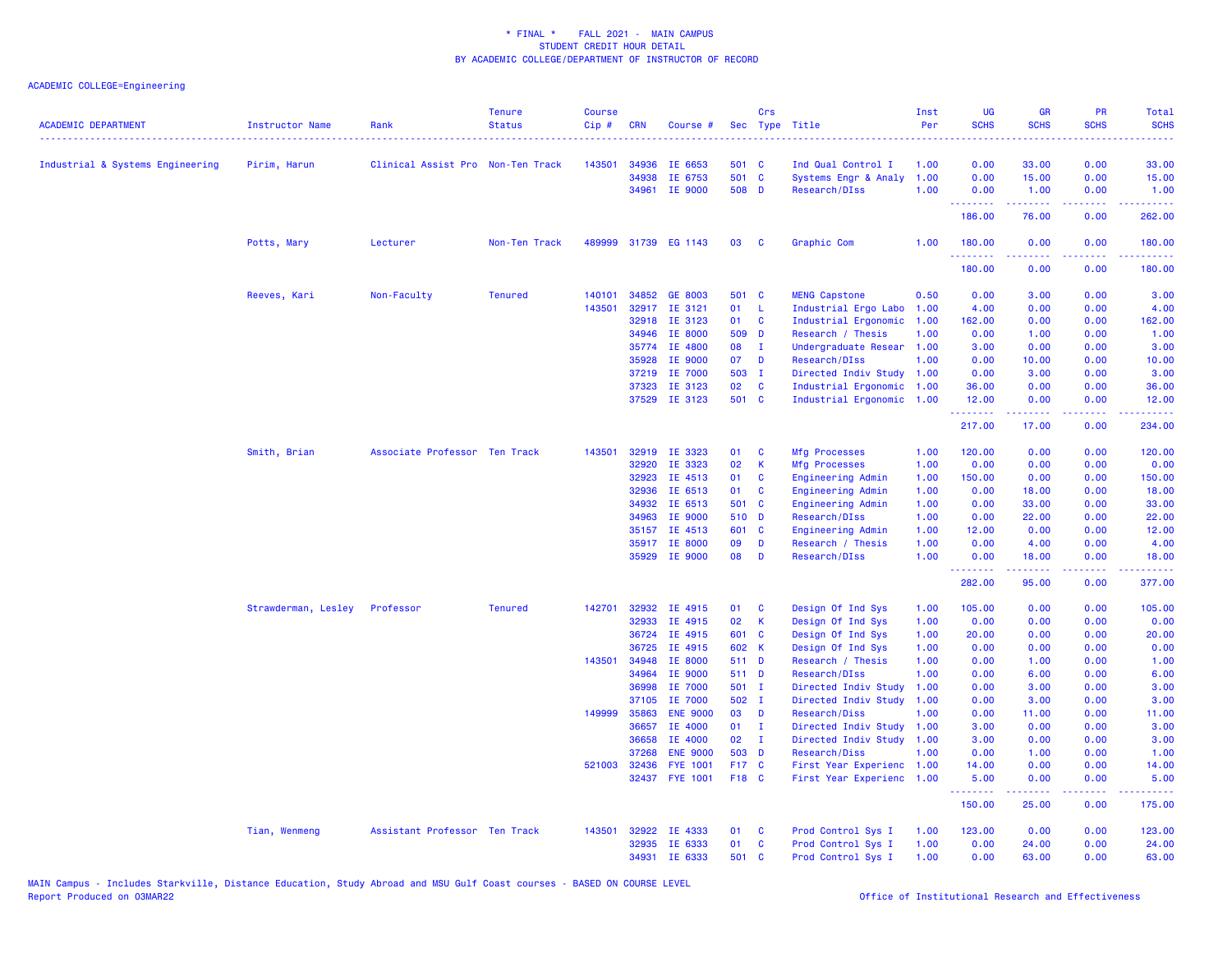| <b>ACADEMIC DEPARTMENT</b>       | <b>Instructor Name</b> | Rank                              | <b>Tenure</b><br><b>Status</b> | <b>Course</b><br>Cip# | <b>CRN</b>     | Course #                           | Sec            | Crs          | Type Title                                        | Inst<br>Per | UG<br><b>SCHS</b>     | <b>GR</b><br><b>SCHS</b>                                                                                                           | PR<br><b>SCHS</b>                   | <b>Total</b><br><b>SCHS</b>                                                                                                    |
|----------------------------------|------------------------|-----------------------------------|--------------------------------|-----------------------|----------------|------------------------------------|----------------|--------------|---------------------------------------------------|-------------|-----------------------|------------------------------------------------------------------------------------------------------------------------------------|-------------------------------------|--------------------------------------------------------------------------------------------------------------------------------|
| Industrial & Systems Engineering | Pirim, Harun           | Clinical Assist Pro Non-Ten Track |                                | 143501                | 34936          | IE 6653                            | 501 C          |              | Ind Qual Control I                                | 1.00        | 0.00                  | 33.00                                                                                                                              | 0.00                                | 33.00                                                                                                                          |
|                                  |                        |                                   |                                |                       | 34938          | IE 6753                            | 501 C          |              | Systems Engr & Analy                              | 1.00        | 0.00                  | 15.00                                                                                                                              | 0.00                                | 15.00                                                                                                                          |
|                                  |                        |                                   |                                |                       |                | 34961 IE 9000                      | 508 D          |              | Research/DIss                                     | 1.00        | 0.00                  | 1.00                                                                                                                               | 0.00                                | 1.00                                                                                                                           |
|                                  |                        |                                   |                                |                       |                |                                    |                |              |                                                   |             | .<br>186.00           | $\frac{1}{2} \left( \frac{1}{2} \right) \left( \frac{1}{2} \right) \left( \frac{1}{2} \right) \left( \frac{1}{2} \right)$<br>76.00 | د د د د<br>0.00                     | .<br>262.00                                                                                                                    |
|                                  | Potts, Mary            | Lecturer                          | Non-Ten Track                  | 489999                |                | 31739 EG 1143                      | 03             | C            | Graphic Com                                       | 1.00        | 180.00<br>2.2.2.2.2.2 | 0.00                                                                                                                               | 0.00<br>$\sim$ $\sim$ $\sim$ $\sim$ | 180.00<br><u>.</u>                                                                                                             |
|                                  |                        |                                   |                                |                       |                |                                    |                |              |                                                   |             | 180.00                | 0.00                                                                                                                               | 0.00                                | 180.00                                                                                                                         |
|                                  | Reeves, Kari           | Non-Faculty                       | <b>Tenured</b>                 | 140101                | 34852          | <b>GE 8003</b>                     | 501 C          |              | <b>MENG Capstone</b>                              | 0.50        | 0.00                  | 3.00                                                                                                                               | 0.00                                | 3.00                                                                                                                           |
|                                  |                        |                                   |                                | 143501                |                | 32917 IE 3121                      | 01             | - L          | Industrial Ergo Labo                              | 1.00        | 4.00                  | 0.00                                                                                                                               | 0.00                                | 4.00                                                                                                                           |
|                                  |                        |                                   |                                |                       |                | 32918 IE 3123                      | 01             | $\mathbf{C}$ | Industrial Ergonomic                              | 1.00        | 162.00                | 0.00                                                                                                                               | 0.00                                | 162.00                                                                                                                         |
|                                  |                        |                                   |                                |                       | 34946          | <b>IE 8000</b>                     | 509 D          |              | Research / Thesis                                 | 1.00        | 0.00                  | 1.00                                                                                                                               | 0.00                                | 1.00                                                                                                                           |
|                                  |                        |                                   |                                |                       | 35774          | IE 4800                            | 08             | $\mathbf{I}$ | Undergraduate Resear                              | 1.00        | 3.00                  | 0.00                                                                                                                               | 0.00                                | 3.00                                                                                                                           |
|                                  |                        |                                   |                                |                       | 35928          | IE 9000                            | 07             | D            | Research/DIss                                     | 1.00        | 0.00                  | 10.00                                                                                                                              | 0.00                                | 10.00                                                                                                                          |
|                                  |                        |                                   |                                |                       | 37219          | IE 7000                            | 503 I          |              | Directed Indiv Study                              | 1.00        | 0.00                  | 3.00                                                                                                                               | 0.00                                | 3.00                                                                                                                           |
|                                  |                        |                                   |                                |                       | 37323          | IE 3123                            | 02             | C            | Industrial Ergonomic                              | 1.00        | 36.00                 | 0.00                                                                                                                               | 0.00                                | 36.00                                                                                                                          |
|                                  |                        |                                   |                                |                       |                | 37529 IE 3123                      | 501 C          |              | Industrial Ergonomic 1.00                         |             | 12.00<br><u>.</u> .   | 0.00<br>.                                                                                                                          | 0.00<br>المتمامية                   | 12.00<br>$\begin{array}{cccccccccc} \bullet & \bullet & \bullet & \bullet & \bullet & \bullet & \bullet & \bullet \end{array}$ |
|                                  |                        |                                   |                                |                       |                |                                    |                |              |                                                   |             | 217.00                | 17.00                                                                                                                              | 0.00                                | 234.00                                                                                                                         |
|                                  | Smith, Brian           | Associate Professor Ten Track     |                                | 143501                | 32919          | IE 3323                            | 01             | C            | <b>Mfg Processes</b>                              | 1.00        | 120.00                | 0.00                                                                                                                               | 0.00                                | 120.00                                                                                                                         |
|                                  |                        |                                   |                                |                       | 32920          | IE 3323                            | 02             | K            | <b>Mfg Processes</b>                              | 1.00        | 0.00                  | 0.00                                                                                                                               | 0.00                                | 0.00                                                                                                                           |
|                                  |                        |                                   |                                |                       | 32923          | IE 4513                            | 01             | <b>C</b>     | Engineering Admin                                 | 1.00        | 150.00                | 0.00                                                                                                                               | 0.00                                | 150.00                                                                                                                         |
|                                  |                        |                                   |                                |                       | 32936          | IE 6513                            | 01             | C            | Engineering Admin                                 | 1.00        | 0.00                  | 18.00                                                                                                                              | 0.00                                | 18.00                                                                                                                          |
|                                  |                        |                                   |                                |                       | 34932          | IE 6513                            | 501 C          |              | Engineering Admin                                 | 1.00        | 0.00                  | 33.00                                                                                                                              | 0.00                                | 33.00                                                                                                                          |
|                                  |                        |                                   |                                |                       | 34963          | IE 9000                            | 510 D          |              | Research/DIss                                     | 1.00        | 0.00                  | 22.00                                                                                                                              | 0.00                                | 22.00                                                                                                                          |
|                                  |                        |                                   |                                |                       | 35157          | IE 4513                            | 601 C          |              | Engineering Admin                                 | 1.00        | 12.00                 | 0.00                                                                                                                               | 0.00                                | 12.00                                                                                                                          |
|                                  |                        |                                   |                                |                       |                | 35917 IE 8000                      | 09             | D            | Research / Thesis                                 | 1.00        | 0.00                  | 4.00                                                                                                                               | 0.00                                | 4.00                                                                                                                           |
|                                  |                        |                                   |                                |                       |                | 35929 IE 9000                      | 08             | D            | Research/DIss                                     | 1.00        | 0.00<br><u>.</u>      | 18.00<br>.                                                                                                                         | 0.00<br>.                           | 18.00<br>.                                                                                                                     |
|                                  |                        |                                   |                                |                       |                |                                    |                |              |                                                   |             | 282.00                | 95.00                                                                                                                              | 0.00                                | 377.00                                                                                                                         |
|                                  | Strawderman, Lesley    | Professor                         | <b>Tenured</b>                 | 142701                | 32932          | IE 4915                            | 01             | C            | Design Of Ind Sys                                 | 1.00        | 105.00                | 0.00                                                                                                                               | 0.00                                | 105.00                                                                                                                         |
|                                  |                        |                                   |                                |                       | 32933          | IE 4915                            | 02             | $\mathbf{K}$ | Design Of Ind Sys                                 | 1.00        | 0.00                  | 0.00                                                                                                                               | 0.00                                | 0.00                                                                                                                           |
|                                  |                        |                                   |                                |                       |                | 36724 IE 4915                      | 601 C          |              | Design Of Ind Sys                                 | 1.00        | 20.00                 | 0.00                                                                                                                               | 0.00                                | 20.00                                                                                                                          |
|                                  |                        |                                   |                                |                       | 36725          | IE 4915                            | 602 K          |              | Design Of Ind Sys                                 | 1.00        | 0.00                  | 0.00                                                                                                                               | 0.00                                | 0.00                                                                                                                           |
|                                  |                        |                                   |                                | 143501                | 34948          | IE 8000                            | 511 D          |              | Research / Thesis                                 | 1.00        | 0.00                  | 1.00                                                                                                                               | 0.00                                | 1.00                                                                                                                           |
|                                  |                        |                                   |                                |                       | 34964          | IE 9000                            | 511 D          |              | Research/DIss                                     | 1.00        | 0.00                  | 6.00                                                                                                                               | 0.00                                | 6.00                                                                                                                           |
|                                  |                        |                                   |                                |                       | 36998          | IE 7000                            | 501 I          |              | Directed Indiv Study                              | 1.00        | 0.00                  | 3.00                                                                                                                               | 0.00                                | 3.00                                                                                                                           |
|                                  |                        |                                   |                                |                       | 37105          | IE 7000                            | 502 I          |              | Directed Indiv Study                              | 1.00        | 0.00                  | 3.00                                                                                                                               | 0.00                                | 3.00                                                                                                                           |
|                                  |                        |                                   |                                | 149999                | 35863          | <b>ENE 9000</b>                    | 03             | D            | Research/Diss                                     | 1.00        | 0.00                  | 11.00                                                                                                                              | 0.00                                | 11.00                                                                                                                          |
|                                  |                        |                                   |                                |                       | 36657          | IE 4000                            | $01$ I         |              | Directed Indiv Study                              | 1.00        | 3.00                  | 0.00                                                                                                                               | 0.00                                | 3.00                                                                                                                           |
|                                  |                        |                                   |                                |                       | 36658          | IE 4000                            | 02             | $\mathbf{I}$ | Directed Indiv Study                              | 1.00        | 3.00                  | 0.00                                                                                                                               | 0.00                                | 3.00                                                                                                                           |
|                                  |                        |                                   |                                |                       | 37268          | <b>ENE 9000</b>                    | 503 D          |              | Research/Diss                                     | 1.00        | 0.00                  | 1.00                                                                                                                               | 0.00                                | 1.00                                                                                                                           |
|                                  |                        |                                   |                                | 521003                | 32436<br>32437 | <b>FYE 1001</b><br><b>FYE 1001</b> | F17 C<br>F18 C |              | First Year Experienc 1.00<br>First Year Experienc | 1.00        | 14.00<br>5.00         | 0.00<br>0.00                                                                                                                       | 0.00<br>0.00                        | 14.00<br>5.00                                                                                                                  |
|                                  |                        |                                   |                                |                       |                |                                    |                |              |                                                   |             | .<br>150.00           | د د د د د<br>25.00                                                                                                                 | .<br>0.00                           | .<br>175.00                                                                                                                    |
|                                  | Tian, Wenmeng          | Assistant Professor Ten Track     |                                | 143501                | 32922          | IE 4333                            | 01             | C            | Prod Control Sys I                                | 1.00        | 123.00                | 0.00                                                                                                                               | 0.00                                | 123.00                                                                                                                         |
|                                  |                        |                                   |                                |                       |                | 32935 IE 6333                      | 01             | $\mathbf{C}$ | Prod Control Sys I                                | 1.00        | 0.00                  | 24.00                                                                                                                              | 0.00                                | 24.00                                                                                                                          |
|                                  |                        |                                   |                                |                       | 34931          | IE 6333                            | 501            | C            | Prod Control Sys I                                | 1.00        | 0.00                  | 63.00                                                                                                                              | 0.00                                | 63.00                                                                                                                          |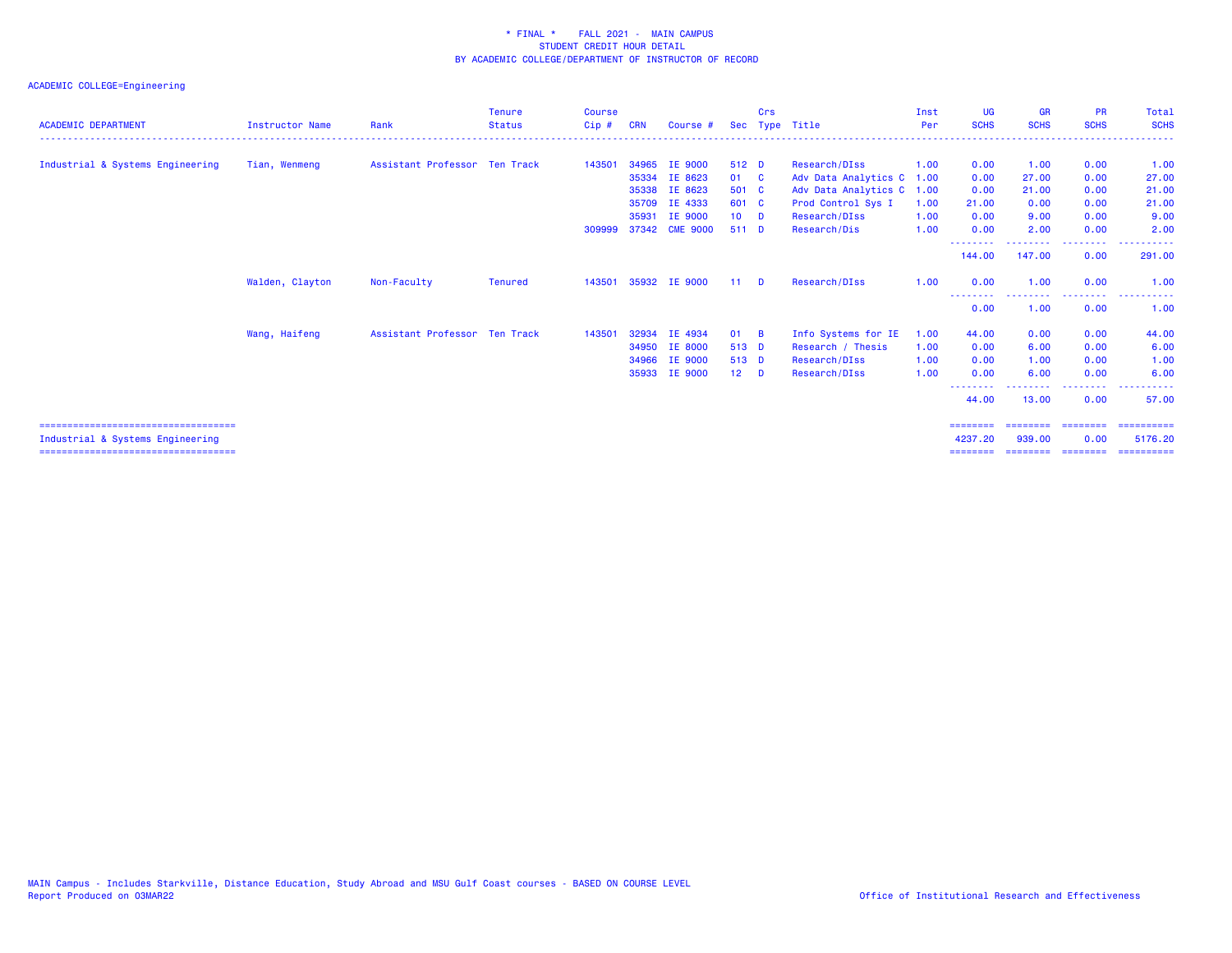| <b>ACADEMIC DEPARTMENT</b>                                                 | <b>Instructor Name</b> | Rank                          | <b>Tenure</b><br><b>Status</b> | <b>Course</b><br>$Cip$ # | <b>CRN</b> | Course #       | <b>Sec</b> | Crs            | Type Title                | Inst<br>Per | <b>UG</b><br><b>SCHS</b> | <b>GR</b><br><b>SCHS</b> | <b>PR</b><br><b>SCHS</b> | <b>Total</b><br><b>SCHS</b> |
|----------------------------------------------------------------------------|------------------------|-------------------------------|--------------------------------|--------------------------|------------|----------------|------------|----------------|---------------------------|-------------|--------------------------|--------------------------|--------------------------|-----------------------------|
|                                                                            |                        |                               |                                |                          |            |                |            |                |                           |             |                          |                          |                          |                             |
| Industrial & Systems Engineering                                           | Tian, Wenmeng          | Assistant Professor Ten Track |                                | 143501                   | 34965      | IE 9000        | 512 D      |                | Research/DIss             | 1.00        | 0.00                     | 1.00                     | 0.00                     | 1.00                        |
|                                                                            |                        |                               |                                |                          | 35334      | IE 8623        | 01 C       |                | Adv Data Analytics C      | 1.00        | 0.00                     | 27.00                    | 0.00                     | 27.00                       |
|                                                                            |                        |                               |                                |                          | 35338      | IE 8623        | 501 C      |                | Adv Data Analytics C 1.00 |             | 0.00                     | 21.00                    | 0.00                     | 21.00                       |
|                                                                            |                        |                               |                                |                          | 35709      | IE 4333        | 601 C      |                | Prod Control Sys I        | 1.00        | 21.00                    | 0.00                     | 0.00                     | 21.00                       |
|                                                                            |                        |                               |                                |                          | 35931      | IE 9000        | $10$ D     |                | Research/DIss             | 1.00        | 0.00                     | 9.00                     | 0.00                     | 9.00                        |
|                                                                            |                        |                               |                                | 309999                   |            | 37342 CME 9000 | 511 D      |                | Research/Dis              | 1.00        | 0.00                     | 2.00                     | 0.00                     | 2.00                        |
|                                                                            |                        |                               |                                |                          |            |                |            |                |                           |             | 144.00                   | 147.00                   | 0.00                     | 291.00                      |
|                                                                            | Walden, Clayton        | Non-Faculty                   | Tenured                        | 143501                   |            | 35932 IE 9000  | 11         | $\blacksquare$ | Research/DIss             | 1.00        | 0.00                     | 1.00                     | 0.00                     | 1.00                        |
|                                                                            |                        |                               |                                |                          |            |                |            |                |                           |             | --------<br>0.00         | 1.00                     | 0.00                     | 1.00                        |
|                                                                            | Wang, Haifeng          | Assistant Professor Ten Track |                                | 143501                   | 32934      | IE 4934        | 01         | <b>B</b>       | Info Systems for IE       | 1.00        | 44.00                    | 0.00                     | 0.00                     | 44.00                       |
|                                                                            |                        |                               |                                |                          | 34950      | <b>IE 8000</b> | 513 D      |                | Research / Thesis         | 1.00        | 0.00                     | 6.00                     | 0.00                     | 6.00                        |
|                                                                            |                        |                               |                                |                          | 34966      | IE 9000        | 513 D      |                | Research/DIss             | 1.00        | 0.00                     | 1.00                     | 0.00                     | 1.00                        |
|                                                                            |                        |                               |                                |                          | 35933      | IE 9000        | $12$ D     |                | Research/DIss             | 1.00        | 0.00                     | 6.00                     | 0.00                     | 6.00                        |
|                                                                            |                        |                               |                                |                          |            |                |            |                |                           |             | 44.00                    | 13.00                    | 0.00                     | 57.00                       |
| =====================================                                      |                        |                               |                                |                          |            |                |            |                |                           |             | ========                 |                          | ===================      | ==========                  |
| Industrial & Systems Engineering<br>====================================== |                        |                               |                                |                          |            |                |            |                |                           |             | 4237.20<br>========      | 939,00<br>---------      | 0.00<br>========         | 5176.20<br>==========       |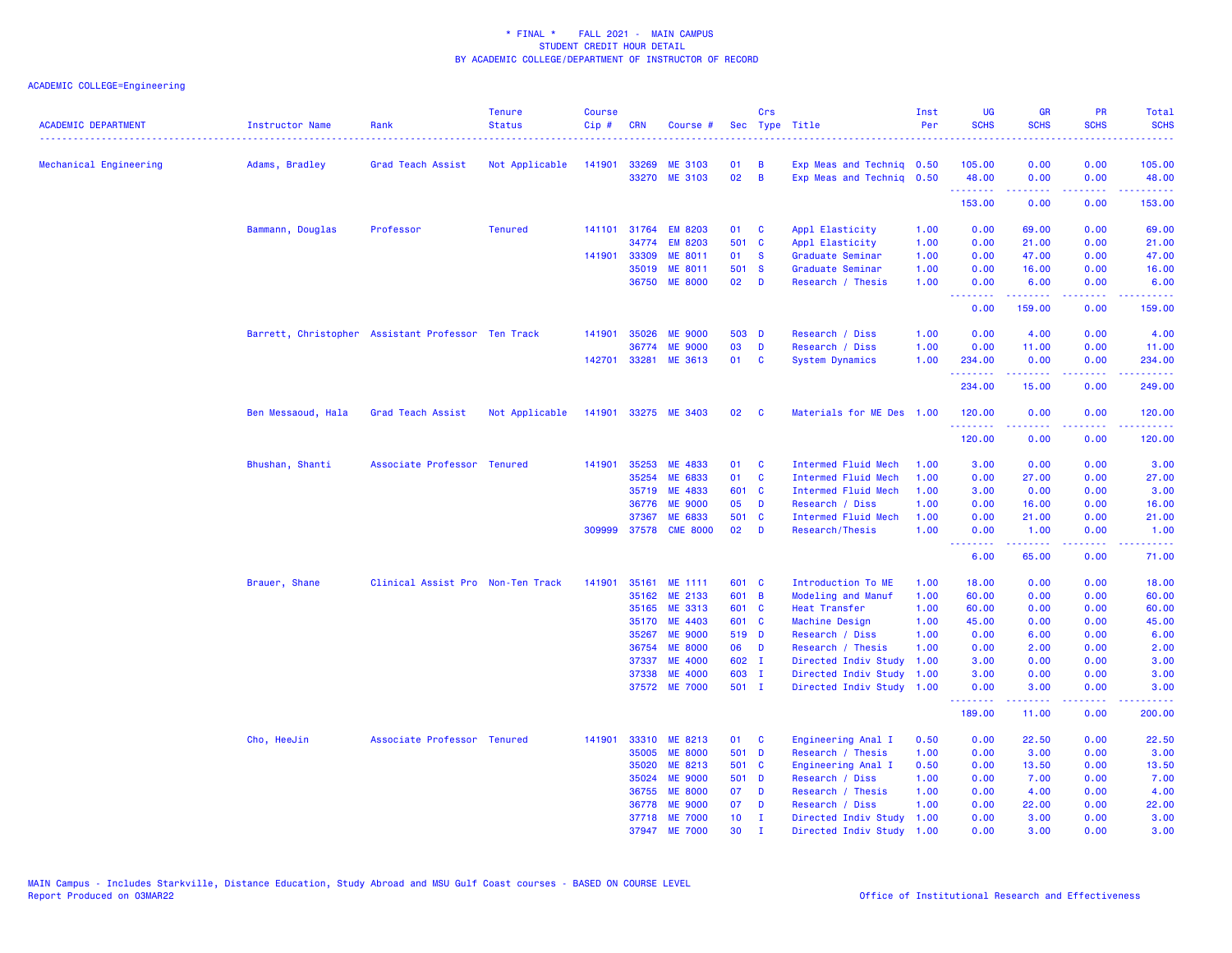| Mechanical Engineering<br>Adams, Bradley<br>Grad Teach Assist<br>Not Applicable<br>141901<br>33269<br><b>ME 3103</b><br>01<br>B<br>Exp Meas and Techniq 0.50<br>105.00<br>0.00<br>0.00<br>02<br>$\overline{B}$<br>33270 ME 3103<br>Exp Meas and Techniq 0.50<br>48.00<br>0.00<br>0.00<br>.<br>22222<br>د د د د<br>153.00<br>0.00<br>0.00<br>Bammann, Douglas<br>Professor<br><b>Tenured</b><br>141101<br>31764<br><b>EM 8203</b><br>01<br>$\mathbf{C}$<br>Appl Elasticity<br>1.00<br>0.00<br>69.00<br>0.00<br>34774<br><b>EM 8203</b><br>501 C<br>Appl Elasticity<br>1.00<br>0.00<br>21.00<br>0.00<br>141901 33309<br><b>ME 8011</b><br>01<br>$\mathbf{s}$<br>Graduate Seminar<br>1.00<br>0.00<br>47.00<br>0.00<br>35019<br>ME 8011<br>501 S<br>Graduate Seminar<br>1.00<br>0.00<br>16.00<br>0.00<br>36750 ME 8000<br>02 <sub>o</sub><br>D<br>Research / Thesis<br>1.00<br>0.00<br>6.00<br>0.00<br><b><i><u><u> - - - - - - -</u></u></i></b><br>.<br>.<br>0.00<br>159.00<br>0.00<br>141901 35026<br><b>ME 9000</b><br>503 D<br>1.00<br>0.00<br>0.00<br>Barrett, Christopher Assistant Professor Ten Track<br>Research / Diss<br>4.00<br>03<br>D<br>Research / Diss<br>0.00<br>36774<br><b>ME 9000</b><br>1.00<br>11.00<br>0.00<br>01<br>142701<br>33281<br><b>ME 3613</b><br><b>C</b><br><b>System Dynamics</b><br>1.00<br>234.00<br>0.00<br>0.00<br><u>.</u><br>د د د د<br>.<br>234.00<br>0.00<br>15.00<br>Ben Messaoud, Hala<br>Grad Teach Assist<br>Not Applicable<br>141901 33275 ME 3403<br>02<br>Materials for ME Des 1.00<br>C<br>120.00<br>0.00<br>0.00<br><b><i><u><u>AAAAAA</u></u></i></b><br>$\sim$ $\sim$ $\sim$ $\sim$<br>120.00<br>0.00<br>0.00<br>35253<br>141901<br>ME 4833<br>C<br>Intermed Fluid Mech<br>3.00<br>Bhushan, Shanti<br>Associate Professor Tenured<br>01<br>1.00<br>0.00<br>0.00<br>35254<br>ME 6833<br>01<br><b>C</b><br>Intermed Fluid Mech<br>1.00<br>0.00<br>27.00<br>0.00<br>35719 ME 4833<br>601 C<br>Intermed Fluid Mech<br>1.00<br>3.00<br>0.00<br>0.00<br>05<br><b>ME 9000</b><br>D<br>Research / Diss<br>1.00<br>0.00<br>0.00<br>36776<br>16.00<br>501<br>37367<br>ME 6833<br>$\mathbf{C}$<br>Intermed Fluid Mech<br>1.00<br>0.00<br>21.00<br>0.00<br>309999<br>37578 CME 8000<br>02<br>D<br>1.00<br>Research/Thesis<br>0.00<br>1.00<br>0.00<br>--------<br>$\frac{1}{2} \left( \frac{1}{2} \right) \left( \frac{1}{2} \right) \left( \frac{1}{2} \right) \left( \frac{1}{2} \right) \left( \frac{1}{2} \right)$<br>المستبدا<br>6.00<br>65.00<br>0.00 | Total<br><b>SCHS</b><br>.       |
|--------------------------------------------------------------------------------------------------------------------------------------------------------------------------------------------------------------------------------------------------------------------------------------------------------------------------------------------------------------------------------------------------------------------------------------------------------------------------------------------------------------------------------------------------------------------------------------------------------------------------------------------------------------------------------------------------------------------------------------------------------------------------------------------------------------------------------------------------------------------------------------------------------------------------------------------------------------------------------------------------------------------------------------------------------------------------------------------------------------------------------------------------------------------------------------------------------------------------------------------------------------------------------------------------------------------------------------------------------------------------------------------------------------------------------------------------------------------------------------------------------------------------------------------------------------------------------------------------------------------------------------------------------------------------------------------------------------------------------------------------------------------------------------------------------------------------------------------------------------------------------------------------------------------------------------------------------------------------------------------------------------------------------------------------------------------------------------------------------------------------------------------------------------------------------------------------------------------------------------------------------------------------------------------------------------------------------------------------------------------------------------------------------------------------------------------------------------------------------------------------|---------------------------------|
|                                                                                                                                                                                                                                                                                                                                                                                                                                                                                                                                                                                                                                                                                                                                                                                                                                                                                                                                                                                                                                                                                                                                                                                                                                                                                                                                                                                                                                                                                                                                                                                                                                                                                                                                                                                                                                                                                                                                                                                                                                                                                                                                                                                                                                                                                                                                                                                                                                                                                                  | 105.00                          |
|                                                                                                                                                                                                                                                                                                                                                                                                                                                                                                                                                                                                                                                                                                                                                                                                                                                                                                                                                                                                                                                                                                                                                                                                                                                                                                                                                                                                                                                                                                                                                                                                                                                                                                                                                                                                                                                                                                                                                                                                                                                                                                                                                                                                                                                                                                                                                                                                                                                                                                  | 48.00<br>.                      |
|                                                                                                                                                                                                                                                                                                                                                                                                                                                                                                                                                                                                                                                                                                                                                                                                                                                                                                                                                                                                                                                                                                                                                                                                                                                                                                                                                                                                                                                                                                                                                                                                                                                                                                                                                                                                                                                                                                                                                                                                                                                                                                                                                                                                                                                                                                                                                                                                                                                                                                  | 153.00                          |
|                                                                                                                                                                                                                                                                                                                                                                                                                                                                                                                                                                                                                                                                                                                                                                                                                                                                                                                                                                                                                                                                                                                                                                                                                                                                                                                                                                                                                                                                                                                                                                                                                                                                                                                                                                                                                                                                                                                                                                                                                                                                                                                                                                                                                                                                                                                                                                                                                                                                                                  | 69.00                           |
|                                                                                                                                                                                                                                                                                                                                                                                                                                                                                                                                                                                                                                                                                                                                                                                                                                                                                                                                                                                                                                                                                                                                                                                                                                                                                                                                                                                                                                                                                                                                                                                                                                                                                                                                                                                                                                                                                                                                                                                                                                                                                                                                                                                                                                                                                                                                                                                                                                                                                                  | 21.00                           |
|                                                                                                                                                                                                                                                                                                                                                                                                                                                                                                                                                                                                                                                                                                                                                                                                                                                                                                                                                                                                                                                                                                                                                                                                                                                                                                                                                                                                                                                                                                                                                                                                                                                                                                                                                                                                                                                                                                                                                                                                                                                                                                                                                                                                                                                                                                                                                                                                                                                                                                  | 47.00                           |
|                                                                                                                                                                                                                                                                                                                                                                                                                                                                                                                                                                                                                                                                                                                                                                                                                                                                                                                                                                                                                                                                                                                                                                                                                                                                                                                                                                                                                                                                                                                                                                                                                                                                                                                                                                                                                                                                                                                                                                                                                                                                                                                                                                                                                                                                                                                                                                                                                                                                                                  | 16.00                           |
|                                                                                                                                                                                                                                                                                                                                                                                                                                                                                                                                                                                                                                                                                                                                                                                                                                                                                                                                                                                                                                                                                                                                                                                                                                                                                                                                                                                                                                                                                                                                                                                                                                                                                                                                                                                                                                                                                                                                                                                                                                                                                                                                                                                                                                                                                                                                                                                                                                                                                                  | 6.00<br>.                       |
|                                                                                                                                                                                                                                                                                                                                                                                                                                                                                                                                                                                                                                                                                                                                                                                                                                                                                                                                                                                                                                                                                                                                                                                                                                                                                                                                                                                                                                                                                                                                                                                                                                                                                                                                                                                                                                                                                                                                                                                                                                                                                                                                                                                                                                                                                                                                                                                                                                                                                                  | 159.00                          |
|                                                                                                                                                                                                                                                                                                                                                                                                                                                                                                                                                                                                                                                                                                                                                                                                                                                                                                                                                                                                                                                                                                                                                                                                                                                                                                                                                                                                                                                                                                                                                                                                                                                                                                                                                                                                                                                                                                                                                                                                                                                                                                                                                                                                                                                                                                                                                                                                                                                                                                  | 4.00                            |
|                                                                                                                                                                                                                                                                                                                                                                                                                                                                                                                                                                                                                                                                                                                                                                                                                                                                                                                                                                                                                                                                                                                                                                                                                                                                                                                                                                                                                                                                                                                                                                                                                                                                                                                                                                                                                                                                                                                                                                                                                                                                                                                                                                                                                                                                                                                                                                                                                                                                                                  | 11.00                           |
|                                                                                                                                                                                                                                                                                                                                                                                                                                                                                                                                                                                                                                                                                                                                                                                                                                                                                                                                                                                                                                                                                                                                                                                                                                                                                                                                                                                                                                                                                                                                                                                                                                                                                                                                                                                                                                                                                                                                                                                                                                                                                                                                                                                                                                                                                                                                                                                                                                                                                                  | 234.00<br>.                     |
|                                                                                                                                                                                                                                                                                                                                                                                                                                                                                                                                                                                                                                                                                                                                                                                                                                                                                                                                                                                                                                                                                                                                                                                                                                                                                                                                                                                                                                                                                                                                                                                                                                                                                                                                                                                                                                                                                                                                                                                                                                                                                                                                                                                                                                                                                                                                                                                                                                                                                                  | 249.00                          |
|                                                                                                                                                                                                                                                                                                                                                                                                                                                                                                                                                                                                                                                                                                                                                                                                                                                                                                                                                                                                                                                                                                                                                                                                                                                                                                                                                                                                                                                                                                                                                                                                                                                                                                                                                                                                                                                                                                                                                                                                                                                                                                                                                                                                                                                                                                                                                                                                                                                                                                  | 120.00<br><u>.</u>              |
|                                                                                                                                                                                                                                                                                                                                                                                                                                                                                                                                                                                                                                                                                                                                                                                                                                                                                                                                                                                                                                                                                                                                                                                                                                                                                                                                                                                                                                                                                                                                                                                                                                                                                                                                                                                                                                                                                                                                                                                                                                                                                                                                                                                                                                                                                                                                                                                                                                                                                                  | 120.00                          |
|                                                                                                                                                                                                                                                                                                                                                                                                                                                                                                                                                                                                                                                                                                                                                                                                                                                                                                                                                                                                                                                                                                                                                                                                                                                                                                                                                                                                                                                                                                                                                                                                                                                                                                                                                                                                                                                                                                                                                                                                                                                                                                                                                                                                                                                                                                                                                                                                                                                                                                  | 3.00                            |
|                                                                                                                                                                                                                                                                                                                                                                                                                                                                                                                                                                                                                                                                                                                                                                                                                                                                                                                                                                                                                                                                                                                                                                                                                                                                                                                                                                                                                                                                                                                                                                                                                                                                                                                                                                                                                                                                                                                                                                                                                                                                                                                                                                                                                                                                                                                                                                                                                                                                                                  | 27.00                           |
|                                                                                                                                                                                                                                                                                                                                                                                                                                                                                                                                                                                                                                                                                                                                                                                                                                                                                                                                                                                                                                                                                                                                                                                                                                                                                                                                                                                                                                                                                                                                                                                                                                                                                                                                                                                                                                                                                                                                                                                                                                                                                                                                                                                                                                                                                                                                                                                                                                                                                                  | 3.00                            |
|                                                                                                                                                                                                                                                                                                                                                                                                                                                                                                                                                                                                                                                                                                                                                                                                                                                                                                                                                                                                                                                                                                                                                                                                                                                                                                                                                                                                                                                                                                                                                                                                                                                                                                                                                                                                                                                                                                                                                                                                                                                                                                                                                                                                                                                                                                                                                                                                                                                                                                  | 16.00                           |
|                                                                                                                                                                                                                                                                                                                                                                                                                                                                                                                                                                                                                                                                                                                                                                                                                                                                                                                                                                                                                                                                                                                                                                                                                                                                                                                                                                                                                                                                                                                                                                                                                                                                                                                                                                                                                                                                                                                                                                                                                                                                                                                                                                                                                                                                                                                                                                                                                                                                                                  | 21.00                           |
|                                                                                                                                                                                                                                                                                                                                                                                                                                                                                                                                                                                                                                                                                                                                                                                                                                                                                                                                                                                                                                                                                                                                                                                                                                                                                                                                                                                                                                                                                                                                                                                                                                                                                                                                                                                                                                                                                                                                                                                                                                                                                                                                                                                                                                                                                                                                                                                                                                                                                                  | 1.00<br>وبالمحام                |
|                                                                                                                                                                                                                                                                                                                                                                                                                                                                                                                                                                                                                                                                                                                                                                                                                                                                                                                                                                                                                                                                                                                                                                                                                                                                                                                                                                                                                                                                                                                                                                                                                                                                                                                                                                                                                                                                                                                                                                                                                                                                                                                                                                                                                                                                                                                                                                                                                                                                                                  | 71.00                           |
| Brauer, Shane<br>Clinical Assist Pro Non-Ten Track<br>141901<br>35161<br>ME 1111<br>601 C<br>Introduction To ME<br>18.00<br>0.00<br>1.00<br>0.00                                                                                                                                                                                                                                                                                                                                                                                                                                                                                                                                                                                                                                                                                                                                                                                                                                                                                                                                                                                                                                                                                                                                                                                                                                                                                                                                                                                                                                                                                                                                                                                                                                                                                                                                                                                                                                                                                                                                                                                                                                                                                                                                                                                                                                                                                                                                                 | 18.00                           |
| 601 B<br>Modeling and Manuf<br>60.00<br>35162<br>ME 2133<br>1.00<br>0.00<br>0.00                                                                                                                                                                                                                                                                                                                                                                                                                                                                                                                                                                                                                                                                                                                                                                                                                                                                                                                                                                                                                                                                                                                                                                                                                                                                                                                                                                                                                                                                                                                                                                                                                                                                                                                                                                                                                                                                                                                                                                                                                                                                                                                                                                                                                                                                                                                                                                                                                 | 60.00                           |
| 35165 ME 3313<br>601 C<br>1.00<br>60.00<br>0.00<br>Heat Transfer<br>0.00                                                                                                                                                                                                                                                                                                                                                                                                                                                                                                                                                                                                                                                                                                                                                                                                                                                                                                                                                                                                                                                                                                                                                                                                                                                                                                                                                                                                                                                                                                                                                                                                                                                                                                                                                                                                                                                                                                                                                                                                                                                                                                                                                                                                                                                                                                                                                                                                                         | 60.00                           |
| 45.00<br>35170<br>ME 4403<br>601 C<br>Machine Design<br>1.00<br>0.00<br>0.00                                                                                                                                                                                                                                                                                                                                                                                                                                                                                                                                                                                                                                                                                                                                                                                                                                                                                                                                                                                                                                                                                                                                                                                                                                                                                                                                                                                                                                                                                                                                                                                                                                                                                                                                                                                                                                                                                                                                                                                                                                                                                                                                                                                                                                                                                                                                                                                                                     | 45.00                           |
| 35267<br><b>ME 9000</b><br>519 D<br>1.00<br>0.00<br>0.00<br>Research / Diss<br>6.00                                                                                                                                                                                                                                                                                                                                                                                                                                                                                                                                                                                                                                                                                                                                                                                                                                                                                                                                                                                                                                                                                                                                                                                                                                                                                                                                                                                                                                                                                                                                                                                                                                                                                                                                                                                                                                                                                                                                                                                                                                                                                                                                                                                                                                                                                                                                                                                                              | 6.00                            |
| <b>ME 8000</b><br>06 D<br>1.00<br>0.00<br>0.00<br>36754<br>Research / Thesis<br>2.00                                                                                                                                                                                                                                                                                                                                                                                                                                                                                                                                                                                                                                                                                                                                                                                                                                                                                                                                                                                                                                                                                                                                                                                                                                                                                                                                                                                                                                                                                                                                                                                                                                                                                                                                                                                                                                                                                                                                                                                                                                                                                                                                                                                                                                                                                                                                                                                                             | 2.00                            |
| <b>ME 4000</b><br>602 I<br>Directed Indiv Study<br>3.00<br>37337<br>1.00<br>0.00<br>0.00                                                                                                                                                                                                                                                                                                                                                                                                                                                                                                                                                                                                                                                                                                                                                                                                                                                                                                                                                                                                                                                                                                                                                                                                                                                                                                                                                                                                                                                                                                                                                                                                                                                                                                                                                                                                                                                                                                                                                                                                                                                                                                                                                                                                                                                                                                                                                                                                         | 3.00                            |
| 37338<br><b>ME 4000</b><br>603 I<br>Directed Indiv Study<br>3.00<br>0.00<br>0.00<br>1.00<br>501 I<br>37572 ME 7000<br>Directed Indiv Study<br>1.00<br>0.00<br>0.00<br>3.00                                                                                                                                                                                                                                                                                                                                                                                                                                                                                                                                                                                                                                                                                                                                                                                                                                                                                                                                                                                                                                                                                                                                                                                                                                                                                                                                                                                                                                                                                                                                                                                                                                                                                                                                                                                                                                                                                                                                                                                                                                                                                                                                                                                                                                                                                                                       | 3.00<br>3.00                    |
| بالأباب<br>.<br>بالأباب<br>189.00<br>11.00<br>0.00                                                                                                                                                                                                                                                                                                                                                                                                                                                                                                                                                                                                                                                                                                                                                                                                                                                                                                                                                                                                                                                                                                                                                                                                                                                                                                                                                                                                                                                                                                                                                                                                                                                                                                                                                                                                                                                                                                                                                                                                                                                                                                                                                                                                                                                                                                                                                                                                                                               | $\sim 100$ km $^{-1}$<br>200.00 |
|                                                                                                                                                                                                                                                                                                                                                                                                                                                                                                                                                                                                                                                                                                                                                                                                                                                                                                                                                                                                                                                                                                                                                                                                                                                                                                                                                                                                                                                                                                                                                                                                                                                                                                                                                                                                                                                                                                                                                                                                                                                                                                                                                                                                                                                                                                                                                                                                                                                                                                  |                                 |
| Cho, HeeJin<br>33310<br>ME 8213<br>Engineering Anal I<br>0.00<br>Associate Professor Tenured<br>141901<br>01<br><b>C</b><br>0.50<br>22.50<br>0.00                                                                                                                                                                                                                                                                                                                                                                                                                                                                                                                                                                                                                                                                                                                                                                                                                                                                                                                                                                                                                                                                                                                                                                                                                                                                                                                                                                                                                                                                                                                                                                                                                                                                                                                                                                                                                                                                                                                                                                                                                                                                                                                                                                                                                                                                                                                                                | 22.50                           |
| 35005<br><b>ME 8000</b><br>501 D<br>Research / Thesis<br>1.00<br>0.00<br>0.00<br>3.00                                                                                                                                                                                                                                                                                                                                                                                                                                                                                                                                                                                                                                                                                                                                                                                                                                                                                                                                                                                                                                                                                                                                                                                                                                                                                                                                                                                                                                                                                                                                                                                                                                                                                                                                                                                                                                                                                                                                                                                                                                                                                                                                                                                                                                                                                                                                                                                                            | 3.00                            |
| 35020<br>ME 8213<br>501 C<br>0.50<br>0.00<br>Engineering Anal I<br>13.50<br>0.00<br>35024<br><b>ME 9000</b><br>501 D<br>0.00<br>1.00<br>7.00<br>0.00                                                                                                                                                                                                                                                                                                                                                                                                                                                                                                                                                                                                                                                                                                                                                                                                                                                                                                                                                                                                                                                                                                                                                                                                                                                                                                                                                                                                                                                                                                                                                                                                                                                                                                                                                                                                                                                                                                                                                                                                                                                                                                                                                                                                                                                                                                                                             | 13.50<br>7.00                   |
| Research / Diss<br>36755<br><b>ME 8000</b><br>07<br>D<br>Research / Thesis<br>1.00<br>0.00<br>4.00<br>0.00                                                                                                                                                                                                                                                                                                                                                                                                                                                                                                                                                                                                                                                                                                                                                                                                                                                                                                                                                                                                                                                                                                                                                                                                                                                                                                                                                                                                                                                                                                                                                                                                                                                                                                                                                                                                                                                                                                                                                                                                                                                                                                                                                                                                                                                                                                                                                                                       | 4.00                            |
| <b>ME 9000</b><br>07<br>D<br>0.00<br>22.00<br>0.00<br>36778<br>Research / Diss<br>1.00                                                                                                                                                                                                                                                                                                                                                                                                                                                                                                                                                                                                                                                                                                                                                                                                                                                                                                                                                                                                                                                                                                                                                                                                                                                                                                                                                                                                                                                                                                                                                                                                                                                                                                                                                                                                                                                                                                                                                                                                                                                                                                                                                                                                                                                                                                                                                                                                           | 22.00                           |
| <b>ME 7000</b><br>10 <sub>1</sub><br>Directed Indiv Study<br>1.00<br>0.00<br>3.00<br>0.00<br>37718<br>T                                                                                                                                                                                                                                                                                                                                                                                                                                                                                                                                                                                                                                                                                                                                                                                                                                                                                                                                                                                                                                                                                                                                                                                                                                                                                                                                                                                                                                                                                                                                                                                                                                                                                                                                                                                                                                                                                                                                                                                                                                                                                                                                                                                                                                                                                                                                                                                          | 3.00                            |
| 37947 ME 7000<br>30<br>$\mathbf{I}$<br>Directed Indiv Study<br>1.00<br>0.00<br>3.00<br>0.00                                                                                                                                                                                                                                                                                                                                                                                                                                                                                                                                                                                                                                                                                                                                                                                                                                                                                                                                                                                                                                                                                                                                                                                                                                                                                                                                                                                                                                                                                                                                                                                                                                                                                                                                                                                                                                                                                                                                                                                                                                                                                                                                                                                                                                                                                                                                                                                                      | 3.00                            |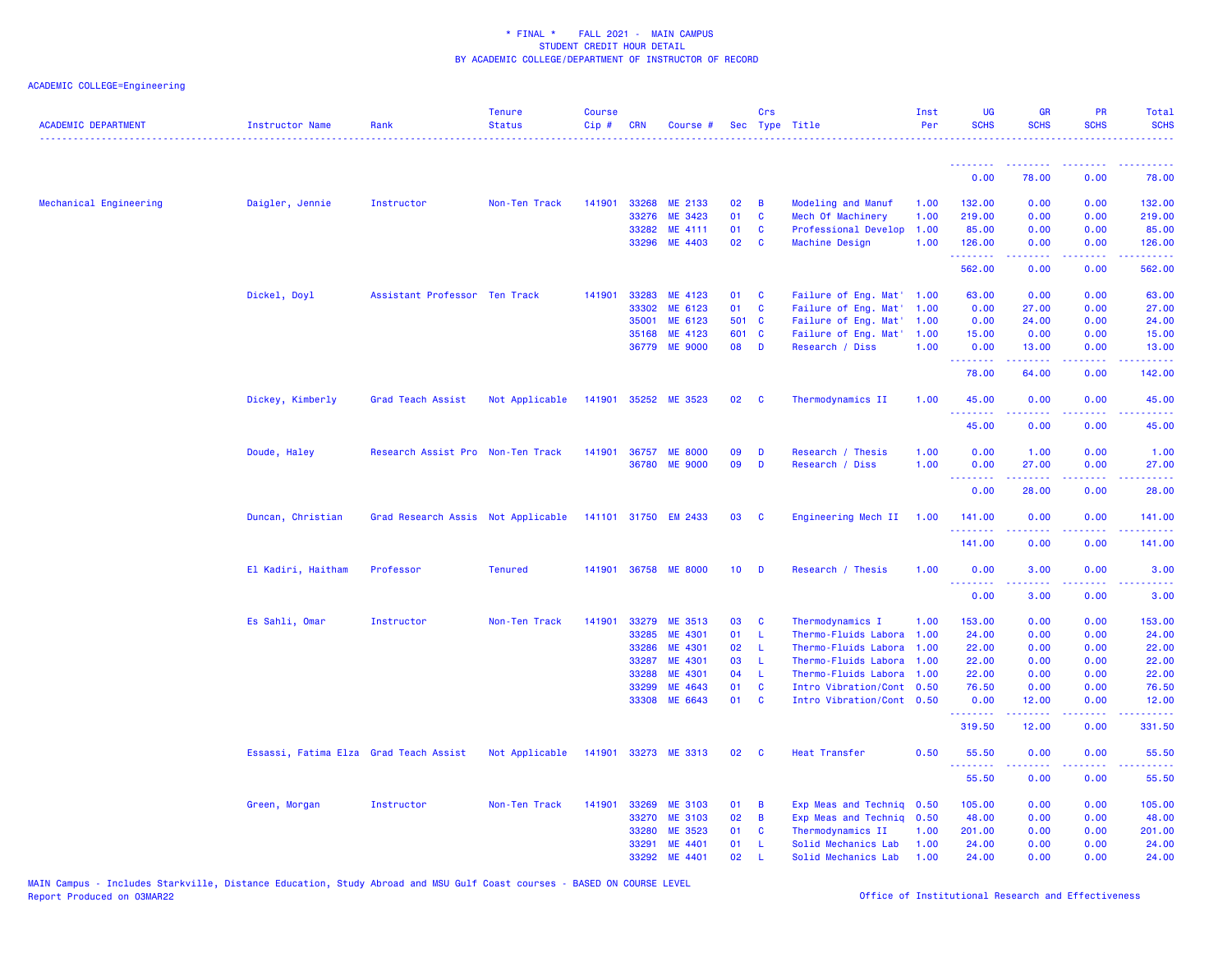| <b>ACADEMIC DEPARTMENT</b> | Instructor Name                        | Rank                               | <b>Tenure</b><br><b>Status</b> | <b>Course</b><br>Cip# | <b>CRN</b> | Course #             |                 | Crs                     | Sec Type Title            | Inst<br>Per | <b>UG</b><br><b>SCHS</b> | <b>GR</b><br><b>SCHS</b>                                                                                                           | <b>PR</b><br><b>SCHS</b> | Total<br><b>SCHS</b> |
|----------------------------|----------------------------------------|------------------------------------|--------------------------------|-----------------------|------------|----------------------|-----------------|-------------------------|---------------------------|-------------|--------------------------|------------------------------------------------------------------------------------------------------------------------------------|--------------------------|----------------------|
|                            |                                        |                                    |                                |                       |            |                      |                 |                         |                           |             | <u>.</u>                 | .                                                                                                                                  |                          |                      |
|                            |                                        |                                    |                                |                       |            |                      |                 |                         |                           |             | 0.00                     | 78.00                                                                                                                              | 0.00                     | 78.00                |
| Mechanical Engineering     | Daigler, Jennie                        | Instructor                         | Non-Ten Track                  | 141901                | 33268      | ME 2133              | 02              | $\overline{B}$          | <b>Modeling and Manuf</b> | 1.00        | 132.00                   | 0.00                                                                                                                               | 0.00                     | 132.00               |
|                            |                                        |                                    |                                |                       | 33276      | ME 3423              | 01              | $\mathbf{C}$            | Mech Of Machinery         | 1.00        | 219.00                   | 0.00                                                                                                                               | 0.00                     | 219.00               |
|                            |                                        |                                    |                                |                       | 33282      | ME 4111              | 01              | $\mathbf{C}$            | Professional Develop      | 1.00        | 85.00                    | 0.00                                                                                                                               | 0.00                     | 85.00                |
|                            |                                        |                                    |                                |                       | 33296      | ME 4403              | 02              | $\mathbf{C}$            | Machine Design            | 1.00        | 126.00<br>. <u>.</u> .   | 0.00                                                                                                                               | 0.00                     | 126.00<br>.          |
|                            |                                        |                                    |                                |                       |            |                      |                 |                         |                           |             | 562.00                   | 0.00                                                                                                                               | 0.00                     | 562.00               |
|                            | Dickel, Doyl                           | Assistant Professor Ten Track      |                                | 141901                | 33283      | ME 4123              | 01 C            |                         | Failure of Eng. Mat' 1.00 |             | 63.00                    | 0.00                                                                                                                               | 0.00                     | 63.00                |
|                            |                                        |                                    |                                |                       | 33302      | ME 6123              | 01              | $\mathbf{C}$            | Failure of Eng. Mat'      | 1.00        | 0.00                     | 27.00                                                                                                                              | 0.00                     | 27.00                |
|                            |                                        |                                    |                                |                       | 35001      | ME 6123              | 501 C           |                         | Failure of Eng. Mat'      | 1.00        | 0.00                     | 24.00                                                                                                                              | 0.00                     | 24.00                |
|                            |                                        |                                    |                                |                       | 35168      | ME 4123              | 601 C           |                         | Failure of Eng. Mat'      | 1.00        | 15.00                    | 0.00                                                                                                                               | 0.00                     | 15.00                |
|                            |                                        |                                    |                                |                       |            | 36779 ME 9000        | 08              | $\blacksquare$          | Research / Diss           | 1.00        | 0.00<br>.                | 13.00                                                                                                                              | 0.00                     | 13.00                |
|                            |                                        |                                    |                                |                       |            |                      |                 |                         |                           |             | 78.00                    | 64.00                                                                                                                              | 0.00                     | 142.00               |
|                            | Dickey, Kimberly                       | Grad Teach Assist                  | Not Applicable                 |                       |            | 141901 35252 ME 3523 | 02              | <b>C</b>                | Thermodynamics II         | 1.00        | 45.00                    | 0.00                                                                                                                               | 0.00                     | 45.00                |
|                            |                                        |                                    |                                |                       |            |                      |                 |                         |                           |             | 45.00                    | 0.00                                                                                                                               | 0.00                     | 45.00                |
|                            | Doude, Haley                           | Research Assist Pro Non-Ten Track  |                                | 141901                |            | 36757 ME 8000        | 09              | D                       | Research / Thesis         | 1.00        | 0.00                     | 1.00                                                                                                                               | 0.00                     | 1.00                 |
|                            |                                        |                                    |                                |                       | 36780      | <b>ME 9000</b>       | 09              | D                       | Research / Diss           | 1.00        | 0.00                     | 27.00                                                                                                                              | 0.00                     | 27.00                |
|                            |                                        |                                    |                                |                       |            |                      |                 |                         |                           |             | .<br>0.00                | 28.00                                                                                                                              | 0.00                     | .<br>28.00           |
|                            | Duncan, Christian                      | Grad Research Assis Not Applicable |                                |                       |            | 141101 31750 EM 2433 | 03              | $\overline{\mathbf{C}}$ | Engineering Mech II 1.00  |             | 141.00                   | 0.00                                                                                                                               | 0.00                     | 141.00               |
|                            |                                        |                                    |                                |                       |            |                      |                 |                         |                           |             | . <u>.</u> .             |                                                                                                                                    |                          |                      |
|                            |                                        |                                    |                                |                       |            |                      |                 |                         |                           |             | 141.00                   | 0.00                                                                                                                               | 0.00                     | 141.00               |
|                            | El Kadiri, Haitham                     | Professor                          | <b>Tenured</b>                 |                       |            | 141901 36758 ME 8000 | 10 <sub>1</sub> | $\mathbf{D}$            | Research / Thesis         | 1.00        | 0.00                     | 3.00                                                                                                                               | 0.00                     | 3.00                 |
|                            |                                        |                                    |                                |                       |            |                      |                 |                         |                           |             | 0.00                     | 3.00                                                                                                                               | 0.00                     | 3.00                 |
|                            | Es Sahli, Omar                         | Instructor                         | Non-Ten Track                  | 141901                | 33279      | ME 3513              | 03              | C                       | Thermodynamics I          | 1.00        | 153.00                   | 0.00                                                                                                                               | 0.00                     | 153.00               |
|                            |                                        |                                    |                                |                       | 33285      | ME 4301              | 01 L            |                         | Thermo-Fluids Labora 1.00 |             | 24.00                    | 0.00                                                                                                                               | 0.00                     | 24.00                |
|                            |                                        |                                    |                                |                       | 33286      | ME 4301              | 02              | - L                     | Thermo-Fluids Labora      | 1.00        | 22.00                    | 0.00                                                                                                                               | 0.00                     | 22.00                |
|                            |                                        |                                    |                                |                       | 33287      | <b>ME 4301</b>       | 03              | - L                     | Thermo-Fluids Labora      | 1.00        | 22.00                    | 0.00                                                                                                                               | 0.00                     | 22.00                |
|                            |                                        |                                    |                                |                       | 33288      | ME 4301              | 04              | - L                     | Thermo-Fluids Labora      | 1.00        | 22.00                    | 0.00                                                                                                                               | 0.00                     | 22.00                |
|                            |                                        |                                    |                                |                       | 33299      | ME 4643              | 01              | $\mathbf{C}$            | Intro Vibration/Cont 0.50 |             | 76.50                    | 0.00                                                                                                                               | 0.00                     | 76.50                |
|                            |                                        |                                    |                                |                       |            | 33308 ME 6643        | 01 C            |                         | Intro Vibration/Cont 0.50 |             | 0.00<br>.                | 12.00<br>$\frac{1}{2} \left( \frac{1}{2} \right) \left( \frac{1}{2} \right) \left( \frac{1}{2} \right) \left( \frac{1}{2} \right)$ | 0.00<br>$   -$           | 12.00<br><u>.</u>    |
|                            |                                        |                                    |                                |                       |            |                      |                 |                         |                           |             | 319.50                   | 12.00                                                                                                                              | 0.00                     | 331.50               |
|                            | Essassi, Fatima Elza Grad Teach Assist |                                    | Not Applicable                 |                       |            | 141901 33273 ME 3313 | 02              | $\mathbf{C}$            | <b>Heat Transfer</b>      | 0.50        | 55.50<br><u>.</u>        | 0.00<br>.                                                                                                                          | 0.00                     | 55.50<br>.           |
|                            |                                        |                                    |                                |                       |            |                      |                 |                         |                           |             | 55.50                    | 0.00                                                                                                                               | 0.00                     | 55.50                |
|                            | Green, Morgan                          | Instructor                         | Non-Ten Track                  | 141901                | 33269      | <b>ME 3103</b>       | 01              | B                       | Exp Meas and Techniq 0.50 |             | 105.00                   | 0.00                                                                                                                               | 0.00                     | 105.00               |
|                            |                                        |                                    |                                |                       | 33270      | ME 3103              | 02              | $\overline{B}$          | Exp Meas and Techniq 0.50 |             | 48.00                    | 0.00                                                                                                                               | 0.00                     | 48.00                |
|                            |                                        |                                    |                                |                       | 33280      | ME 3523              | 01              | <b>C</b>                | Thermodynamics II         | 1.00        | 201.00                   | 0.00                                                                                                                               | 0.00                     | 201.00               |
|                            |                                        |                                    |                                |                       | 33291      | ME 4401              | 01              | -L                      | Solid Mechanics Lab       | 1.00        | 24.00                    | 0.00                                                                                                                               | 0.00                     | 24.00                |
|                            |                                        |                                    |                                |                       | 33292      | ME 4401              | 02              |                         | Solid Mechanics Lab 1.00  |             | 24.00                    | 0.00                                                                                                                               | 0.00                     | 24.00                |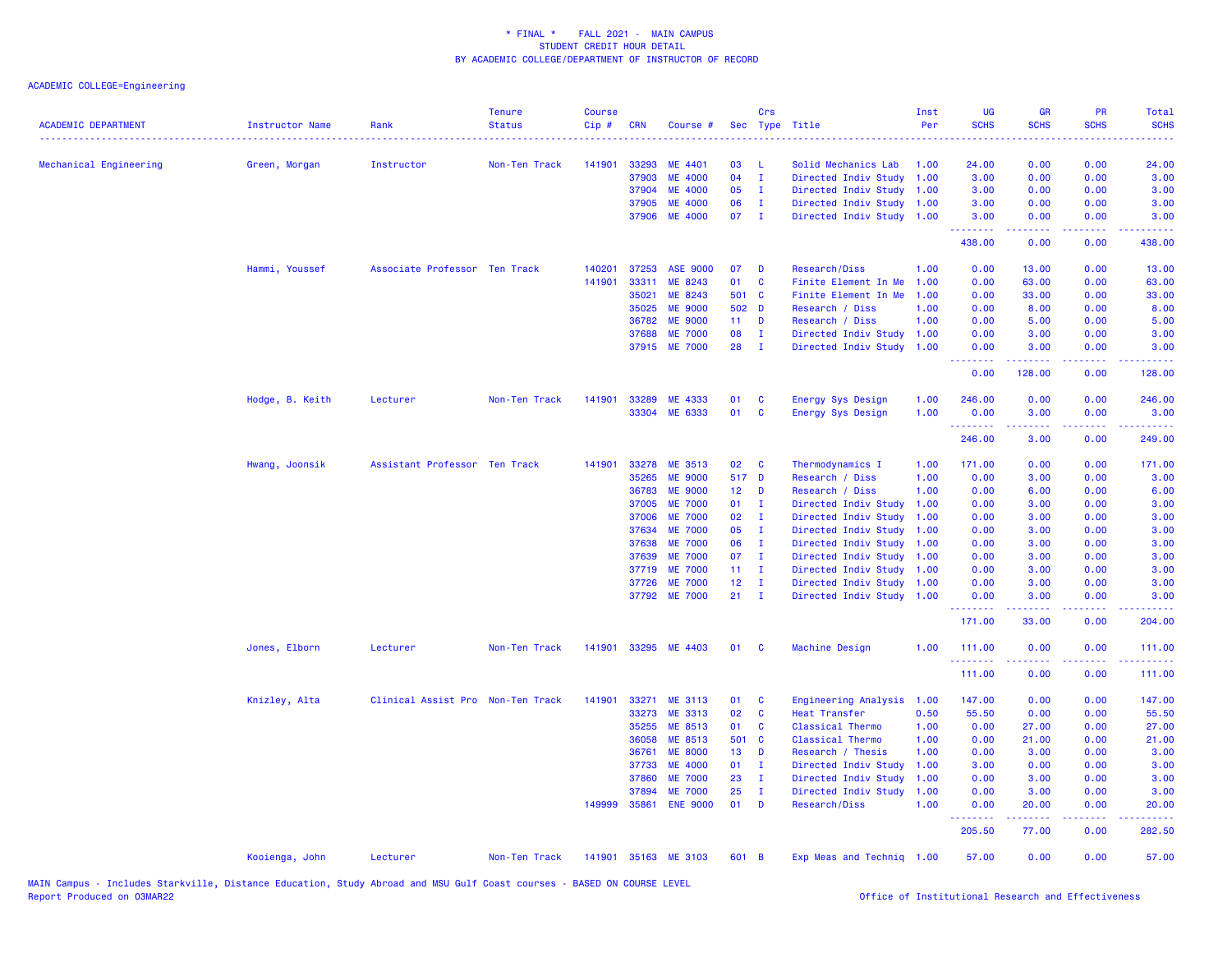| <b>ACADEMIC DEPARTMENT</b> | Instructor Name | Rank                              | <b>Tenure</b><br><b>Status</b> | <b>Course</b><br>Cip# | <b>CRN</b> | Course #             |                 | Crs            | Sec Type Title            | Inst<br>Per | <b>UG</b><br><b>SCHS</b> | <b>GR</b><br><b>SCHS</b>                                                                                                                                     | <b>PR</b><br><b>SCHS</b> | Total<br><b>SCHS</b> |
|----------------------------|-----------------|-----------------------------------|--------------------------------|-----------------------|------------|----------------------|-----------------|----------------|---------------------------|-------------|--------------------------|--------------------------------------------------------------------------------------------------------------------------------------------------------------|--------------------------|----------------------|
| Mechanical Engineering     | Green, Morgan   | Instructor                        | Non-Ten Track                  | 141901                | 33293      | ME 4401              | 03              | - L            | Solid Mechanics Lab       | 1.00        | 24.00                    | 0.00                                                                                                                                                         | 0.00                     | 24.00                |
|                            |                 |                                   |                                |                       | 37903      | <b>ME 4000</b>       | 04              | $\mathbf{I}$   | Directed Indiv Study      | 1.00        | 3.00                     | 0.00                                                                                                                                                         | 0.00                     | 3.00                 |
|                            |                 |                                   |                                |                       | 37904      | <b>ME 4000</b>       | 05              | $\mathbf{I}$   | Directed Indiv Study 1.00 |             | 3.00                     | 0.00                                                                                                                                                         | 0.00                     | 3.00                 |
|                            |                 |                                   |                                |                       | 37905      | <b>ME 4000</b>       | 06              | $\mathbf{I}$   | Directed Indiv Study 1.00 |             | 3.00                     | 0.00                                                                                                                                                         | 0.00                     | 3.00                 |
|                            |                 |                                   |                                |                       | 37906      | <b>ME 4000</b>       | 07              | $\mathbf{I}$   | Directed Indiv Study 1.00 |             | 3.00<br>.                | 0.00<br>$\frac{1}{2} \left( \frac{1}{2} \right) \left( \frac{1}{2} \right) \left( \frac{1}{2} \right) \left( \frac{1}{2} \right) \left( \frac{1}{2} \right)$ | 0.00<br>.                | 3.00<br>.            |
|                            |                 |                                   |                                |                       |            |                      |                 |                |                           |             | 438.00                   | 0.00                                                                                                                                                         | 0.00                     | 438.00               |
|                            | Hammi, Youssef  | Associate Professor Ten Track     |                                | 140201                | 37253      | <b>ASE 9000</b>      | 07              | D              | <b>Research/Diss</b>      | 1.00        | 0.00                     | 13.00                                                                                                                                                        | 0.00                     | 13.00                |
|                            |                 |                                   |                                | 141901                | 33311      | ME 8243              | 01              | $\mathbf{C}$   | Finite Element In Me      | 1.00        | 0.00                     | 63.00                                                                                                                                                        | 0.00                     | 63.00                |
|                            |                 |                                   |                                |                       | 35021      | ME 8243              | 501 C           |                | Finite Element In Me      | 1.00        | 0.00                     | 33.00                                                                                                                                                        | 0.00                     | 33.00                |
|                            |                 |                                   |                                |                       | 35025      | <b>ME 9000</b>       | 502 D           |                | Research / Diss           | 1.00        | 0.00                     | 8.00                                                                                                                                                         | 0.00                     | 8.00                 |
|                            |                 |                                   |                                |                       | 36782      | <b>ME 9000</b>       | $11 -$          | D              | Research / Diss           | 1.00        | 0.00                     | 5.00                                                                                                                                                         | 0.00                     | 5.00                 |
|                            |                 |                                   |                                |                       | 37688      | <b>ME 7000</b>       | 08              | $\mathbf I$    | Directed Indiv Study 1.00 |             | 0.00                     | 3.00                                                                                                                                                         | 0.00                     | 3.00                 |
|                            |                 |                                   |                                |                       | 37915      | <b>ME 7000</b>       | 28              | $\mathbf{I}$   | Directed Indiv Study 1.00 |             | 0.00<br>.                | 3.00<br>المتمام المتمار                                                                                                                                      | 0.00<br>.                | 3.00<br>.            |
|                            |                 |                                   |                                |                       |            |                      |                 |                |                           |             | 0.00                     | 128.00                                                                                                                                                       | 0.00                     | 128.00               |
|                            | Hodge, B. Keith | Lecturer                          | Non-Ten Track                  | 141901                | 33289      | ME 4333              | 01              | <b>C</b>       | Energy Sys Design         | 1.00        | 246.00                   | 0.00                                                                                                                                                         | 0.00                     | 246.00               |
|                            |                 |                                   |                                |                       |            | 33304 ME 6333        | 01              | $\mathbf{C}$   | Energy Sys Design         | 1.00        | 0.00                     | 3.00                                                                                                                                                         | 0.00                     | 3.00                 |
|                            |                 |                                   |                                |                       |            |                      |                 |                |                           |             | 246.00                   | 3.00                                                                                                                                                         | 0.00                     | 249.00               |
|                            | Hwang, Joonsik  | Assistant Professor Ten Track     |                                | 141901                | 33278      | ME 3513              | 02              | C              | Thermodynamics I          | 1.00        | 171.00                   | 0.00                                                                                                                                                         | 0.00                     | 171.00               |
|                            |                 |                                   |                                |                       | 35265      | <b>ME 9000</b>       | 517 D           |                | Research / Diss           | 1.00        | 0.00                     | 3.00                                                                                                                                                         | 0.00                     | 3.00                 |
|                            |                 |                                   |                                |                       | 36783      | <b>ME 9000</b>       | 12 <sub>2</sub> | D              | Research / Diss           | 1.00        | 0.00                     | 6.00                                                                                                                                                         | 0.00                     | 6.00                 |
|                            |                 |                                   |                                |                       | 37005      | <b>ME 7000</b>       | 01              | $\mathbf{I}$   | Directed Indiv Study      | 1.00        | 0.00                     | 3.00                                                                                                                                                         | 0.00                     | 3.00                 |
|                            |                 |                                   |                                |                       | 37006      | <b>ME 7000</b>       | 02              | $\mathbf I$    | Directed Indiv Study      | 1.00        | 0.00                     | 3.00                                                                                                                                                         | 0.00                     | 3.00                 |
|                            |                 |                                   |                                |                       | 37634      | <b>ME 7000</b>       | 05              | $\mathbf I$    | Directed Indiv Study 1.00 |             | 0.00                     | 3.00                                                                                                                                                         | 0.00                     | 3.00                 |
|                            |                 |                                   |                                |                       | 37638      | <b>ME 7000</b>       | 06              | $\mathbf{I}$   | Directed Indiv Study      | 1.00        | 0.00                     | 3.00                                                                                                                                                         | 0.00                     | 3.00                 |
|                            |                 |                                   |                                |                       | 37639      | <b>ME 7000</b>       | 07              | $\mathbf I$    | Directed Indiv Study 1.00 |             | 0.00                     | 3.00                                                                                                                                                         | 0.00                     | 3.00                 |
|                            |                 |                                   |                                |                       | 37719      | <b>ME 7000</b>       | 11 <sub>1</sub> | $\mathbf I$    | Directed Indiv Study 1.00 |             | 0.00                     | 3.00                                                                                                                                                         | 0.00                     | 3.00                 |
|                            |                 |                                   |                                |                       | 37726      | <b>ME 7000</b>       | 12 <sub>2</sub> | $\mathbf I$    | Directed Indiv Study 1.00 |             | 0.00                     | 3.00                                                                                                                                                         | 0.00                     | 3.00                 |
|                            |                 |                                   |                                |                       |            | 37792 ME 7000        | $21 \quad I$    |                | Directed Indiv Study 1.00 |             | 0.00<br>.                | 3.00                                                                                                                                                         | 0.00                     | 3.00                 |
|                            |                 |                                   |                                |                       |            |                      |                 |                |                           |             | 171.00                   | 33.00                                                                                                                                                        | 0.00                     | 204.00               |
|                            | Jones, Elborn   | Lecturer                          | Non-Ten Track                  | 141901                |            | 33295 ME 4403        | 01              | <b>C</b>       | Machine Design            | 1.00        | 111.00<br>.              | 0.00<br>$   -$                                                                                                                                               | 0.00<br>.                | 111.00<br>.          |
|                            |                 |                                   |                                |                       |            |                      |                 |                |                           |             | 111.00                   | 0.00                                                                                                                                                         | 0.00                     | 111.00               |
|                            | Knizley, Alta   | Clinical Assist Pro Non-Ten Track |                                | 141901                | 33271      | ME 3113              | 01              | <b>C</b>       | Engineering Analysis      | 1.00        | 147.00                   | 0.00                                                                                                                                                         | 0.00                     | 147.00               |
|                            |                 |                                   |                                |                       | 33273      | ME 3313              | 02              | $\mathbf{C}$   | Heat Transfer             | 0.50        | 55.50                    | 0.00                                                                                                                                                         | 0.00                     | 55.50                |
|                            |                 |                                   |                                |                       | 35255      | ME 8513              | 01              | <b>C</b>       | Classical Thermo          | 1.00        | 0.00                     | 27.00                                                                                                                                                        | 0.00                     | 27.00                |
|                            |                 |                                   |                                |                       | 36058      | ME 8513              | 501 C           |                | Classical Thermo          | 1.00        | 0.00                     | 21.00                                                                                                                                                        | 0.00                     | 21.00                |
|                            |                 |                                   |                                |                       | 36761      | <b>ME 8000</b>       | 13 <sup>°</sup> | D              | Research / Thesis         | 1.00        | 0.00                     | 3.00                                                                                                                                                         | 0.00                     | 3.00                 |
|                            |                 |                                   |                                |                       | 37733      | <b>ME 4000</b>       | 01              | $\mathbf{I}$   | Directed Indiv Study      | 1.00        | 3.00                     | 0.00                                                                                                                                                         | 0.00                     | 3.00                 |
|                            |                 |                                   |                                |                       | 37860      | <b>ME 7000</b>       | 23              | $\mathbf{I}$   | Directed Indiv Study      | 1.00        | 0.00                     | 3.00                                                                                                                                                         | 0.00                     | 3.00                 |
|                            |                 |                                   |                                |                       | 37894      | <b>ME 7000</b>       | 25              | $\mathbf I$    | Directed Indiv Study      | 1.00        | 0.00                     | 3.00                                                                                                                                                         | 0.00                     | 3.00                 |
|                            |                 |                                   |                                | 149999                | 35861      | <b>ENE 9000</b>      | 01              | $\blacksquare$ | Research/Diss             | 1.00        | 0.00<br>.                | 20.00                                                                                                                                                        | 0.00                     | 20.00<br>.           |
|                            |                 |                                   |                                |                       |            |                      |                 |                |                           |             | 205.50                   | 77.00                                                                                                                                                        | 0.00                     | 282.50               |
|                            | Kooienga, John  | Lecturer                          | Non-Ten Track                  |                       |            | 141901 35163 ME 3103 | 601 B           |                | Exp Meas and Techniq 1.00 |             | 57.00                    | 0.00                                                                                                                                                         | 0.00                     | 57.00                |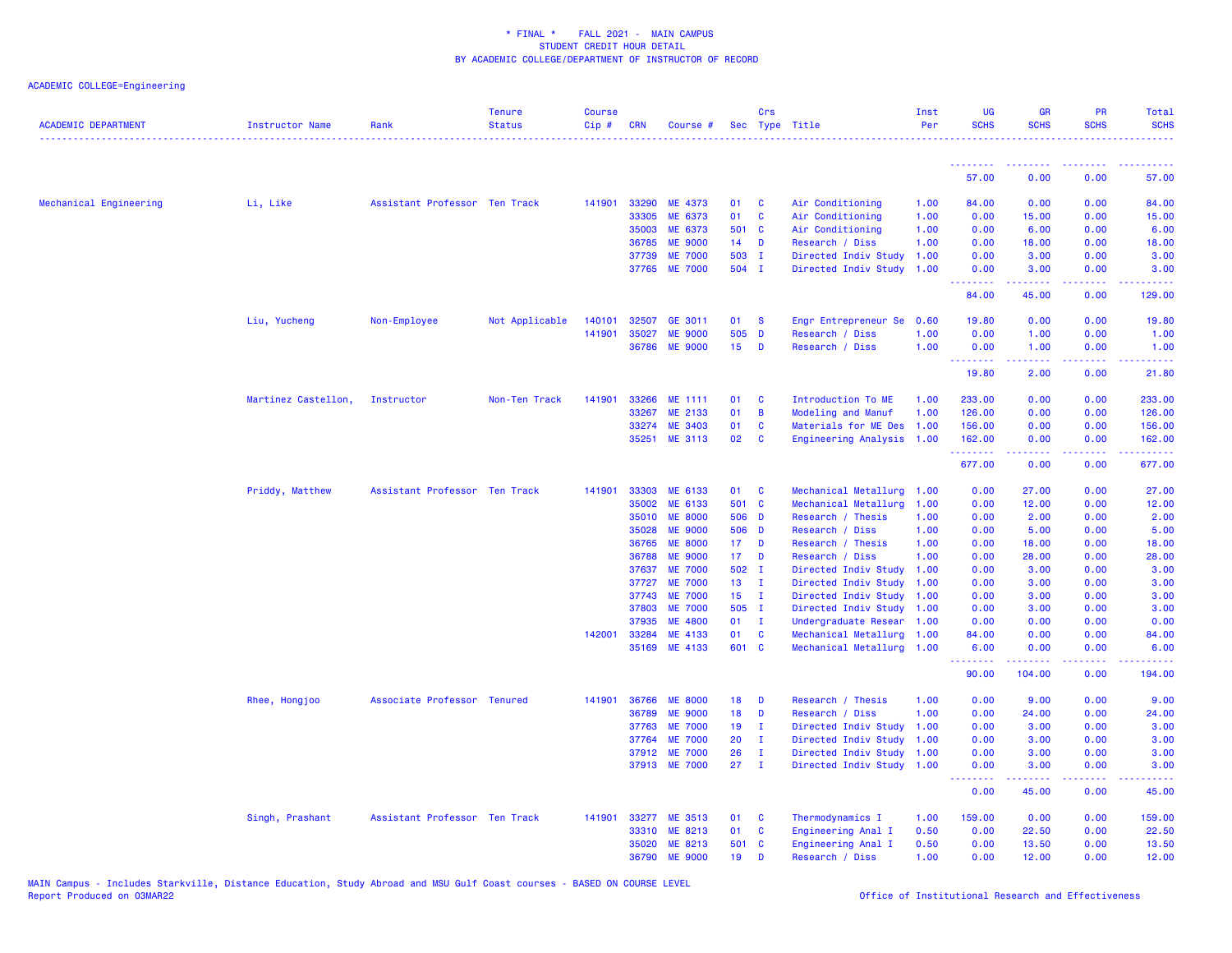| <b>ACADEMIC DEPARTMENT</b> | <b>Instructor Name</b> | Rank                          | <b>Tenure</b><br><b>Status</b> | <b>Course</b><br>Cip# | <b>CRN</b>     | Course #           |                 | Crs          | Sec Type Title                                         | Inst<br>Per | <b>UG</b><br><b>SCHS</b> | <b>GR</b><br><b>SCHS</b> | <b>PR</b><br><b>SCHS</b>                                                                                                          | Total<br><b>SCHS</b> |
|----------------------------|------------------------|-------------------------------|--------------------------------|-----------------------|----------------|--------------------|-----------------|--------------|--------------------------------------------------------|-------------|--------------------------|--------------------------|-----------------------------------------------------------------------------------------------------------------------------------|----------------------|
|                            |                        |                               |                                |                       |                |                    |                 |              |                                                        |             | .                        |                          |                                                                                                                                   |                      |
|                            |                        |                               |                                |                       |                |                    |                 |              |                                                        |             | 57.00                    | 0.00                     | 0.00                                                                                                                              | 57.00                |
| Mechanical Engineering     | Li, Like               | Assistant Professor Ten Track |                                | 141901                | 33290          | ME 4373            | 01              | C            | Air Conditioning                                       | 1.00        | 84.00                    | 0.00                     | 0.00                                                                                                                              | 84.00                |
|                            |                        |                               |                                |                       | 33305          | ME 6373            | 01              | $\mathbf{C}$ | Air Conditioning                                       | 1.00        | 0.00                     | 15.00                    | 0.00                                                                                                                              | 15.00                |
|                            |                        |                               |                                |                       | 35003          | ME 6373            | 501 C           |              | Air Conditioning                                       | 1.00        | 0.00                     | 6.00                     | 0.00                                                                                                                              | 6.00                 |
|                            |                        |                               |                                |                       | 36785          | <b>ME 9000</b>     | 14              | D            | Research / Diss                                        | 1.00        | 0.00                     | 18.00                    | 0.00                                                                                                                              | 18.00                |
|                            |                        |                               |                                |                       | 37739          | <b>ME 7000</b>     | 503 I           |              | Directed Indiv Study                                   | 1.00        | 0.00                     | 3.00                     | 0.00                                                                                                                              | 3.00                 |
|                            |                        |                               |                                |                       |                | 37765 ME 7000      | 504 I           |              | Directed Indiv Study 1.00                              |             | 0.00<br>.                | 3.00<br><b>.</b>         | 0.00<br>$\frac{1}{2} \left( \frac{1}{2} \right) \left( \frac{1}{2} \right) \left( \frac{1}{2} \right) \left( \frac{1}{2} \right)$ | 3.00<br>.            |
|                            |                        |                               |                                |                       |                |                    |                 |              |                                                        |             | 84.00                    | 45.00                    | 0.00                                                                                                                              | 129.00               |
|                            | Liu, Yucheng           | Non-Employee                  | Not Applicable                 | 140101                | 32507          | GE 3011            | 01              | <b>S</b>     | Engr Entrepreneur Se                                   | 0.60        | 19.80                    | 0.00                     | 0.00                                                                                                                              | 19.80                |
|                            |                        |                               |                                | 141901                | 35027          | <b>ME 9000</b>     | 505 D           |              | Research / Diss                                        | 1.00        | 0.00                     | 1.00                     | 0.00                                                                                                                              | 1.00                 |
|                            |                        |                               |                                |                       | 36786          | <b>ME 9000</b>     | 15              | D            | Research / Diss                                        | 1.00        | 0.00<br>.                | 1.00<br>.                | 0.00                                                                                                                              | 1.00<br>.            |
|                            |                        |                               |                                |                       |                |                    |                 |              |                                                        |             | 19.80                    | 2.00                     | 0.00                                                                                                                              | 21.80                |
|                            | Martinez Castellon,    | Instructor                    | Non-Ten Track                  | 141901                | 33266          | ME 1111            | 01              | C            | Introduction To ME                                     | 1.00        | 233.00                   | 0.00                     | 0.00                                                                                                                              | 233.00               |
|                            |                        |                               |                                |                       | 33267          | ME 2133            | 01              | B            | <b>Modeling and Manuf</b>                              | 1.00        | 126.00                   | 0.00                     | 0.00                                                                                                                              | 126.00               |
|                            |                        |                               |                                |                       | 33274          | <b>ME 3403</b>     | 01              | C            | Materials for ME Des                                   | 1.00        | 156.00                   | 0.00                     | 0.00                                                                                                                              | 156.00               |
|                            |                        |                               |                                |                       | 35251          | <b>ME 3113</b>     | 02              | C            | Engineering Analysis 1.00                              |             | 162.00                   | 0.00                     | 0.00                                                                                                                              | 162.00               |
|                            |                        |                               |                                |                       |                |                    |                 |              |                                                        |             | .<br>677.00              | .<br>0.00                | .<br>0.00                                                                                                                         | .<br>677.00          |
|                            | Priddy, Matthew        | Assistant Professor Ten Track |                                | 141901                | 33303          | ME 6133            | 01              | C            | Mechanical Metallurg 1.00                              |             | 0.00                     | 27.00                    | 0.00                                                                                                                              | 27.00                |
|                            |                        |                               |                                |                       | 35002          | ME 6133            | 501 C           |              | Mechanical Metallurg                                   | 1.00        | 0.00                     | 12.00                    | 0.00                                                                                                                              | 12.00                |
|                            |                        |                               |                                |                       | 35010          | <b>ME 8000</b>     | 506 D           |              | Research / Thesis                                      | 1.00        | 0.00                     | 2.00                     | 0.00                                                                                                                              | 2.00                 |
|                            |                        |                               |                                |                       | 35028          | <b>ME 9000</b>     | 506 D           |              | Research / Diss                                        | 1.00        | 0.00                     | 5.00                     | 0.00                                                                                                                              | 5.00                 |
|                            |                        |                               |                                |                       | 36765          | <b>ME 8000</b>     | 17 <sup>7</sup> | D            | Research / Thesis                                      | 1.00        | 0.00                     | 18.00                    | 0.00                                                                                                                              | 18.00                |
|                            |                        |                               |                                |                       | 36788          | <b>ME 9000</b>     | 17 <sub>1</sub> | D            | Research / Diss                                        | 1.00        | 0.00                     | 28.00                    | 0.00                                                                                                                              | 28.00                |
|                            |                        |                               |                                |                       | 37637          | <b>ME 7000</b>     | 502 I           |              | Directed Indiv Study                                   | 1.00        | 0.00                     | 3.00                     | 0.00                                                                                                                              | 3.00                 |
|                            |                        |                               |                                |                       | 37727          | <b>ME 7000</b>     | 13 <sup>°</sup> | $\mathbf{I}$ | Directed Indiv Study                                   | 1.00        | 0.00                     | 3.00                     | 0.00                                                                                                                              | 3.00                 |
|                            |                        |                               |                                |                       | 37743          | <b>ME 7000</b>     | $15$ I          |              | Directed Indiv Study 1.00                              |             | 0.00                     | 3.00                     | 0.00                                                                                                                              | 3.00                 |
|                            |                        |                               |                                |                       | 37803          | <b>ME 7000</b>     | 505 I           |              | Directed Indiv Study 1.00                              |             | 0.00                     | 3.00                     | 0.00                                                                                                                              | 3.00                 |
|                            |                        |                               |                                |                       | 37935          | <b>ME 4800</b>     | 01              | $\mathbf{I}$ | Undergraduate Resear 1.00                              |             | 0.00                     | 0.00                     | 0.00                                                                                                                              | 0.00                 |
|                            |                        |                               |                                | 142001                | 33284<br>35169 | ME 4133<br>ME 4133 | 01<br>601 C     | C            | Mechanical Metallurg 1.00<br>Mechanical Metallurg 1.00 |             | 84.00<br>6.00            | 0.00<br>0.00             | 0.00<br>0.00                                                                                                                      | 84.00<br>6.00        |
|                            |                        |                               |                                |                       |                |                    |                 |              |                                                        |             | .<br>90.00               | .<br>104.00              | .<br>0.00                                                                                                                         | 22222<br>194.00      |
|                            | Rhee, Hongjoo          | Associate Professor Tenured   |                                | 141901                | 36766          | <b>ME 8000</b>     | 18              | D            | Research / Thesis                                      | 1.00        | 0.00                     | 9.00                     | 0.00                                                                                                                              | 9.00                 |
|                            |                        |                               |                                |                       | 36789          | <b>ME 9000</b>     | 18              | D            | Research / Diss                                        | 1.00        | 0.00                     | 24.00                    | 0.00                                                                                                                              | 24.00                |
|                            |                        |                               |                                |                       | 37763          | <b>ME 7000</b>     | 19 <sup>°</sup> | $\mathbf I$  | Directed Indiv Study                                   | 1.00        | 0.00                     | 3.00                     | 0.00                                                                                                                              | 3.00                 |
|                            |                        |                               |                                |                       | 37764          | <b>ME 7000</b>     | 20              | $\mathbf{I}$ | Directed Indiv Study                                   | 1.00        | 0.00                     | 3.00                     | 0.00                                                                                                                              | 3.00                 |
|                            |                        |                               |                                |                       | 37912          | <b>ME 7000</b>     | 26              | $\mathbf{I}$ | Directed Indiv Study                                   | 1.00        | 0.00                     | 3.00                     | 0.00                                                                                                                              | 3.00                 |
|                            |                        |                               |                                |                       |                | 37913 ME 7000      | $27$ I          |              | Directed Indiv Study 1.00                              |             | 0.00                     | 3.00                     | 0.00                                                                                                                              | 3.00                 |
|                            |                        |                               |                                |                       |                |                    |                 |              |                                                        |             | .<br>0.00                | الدامات مال<br>45.00     | الداعات عادة<br>0.00                                                                                                              | $\cdots$<br>45.00    |
|                            | Singh, Prashant        | Assistant Professor Ten Track |                                | 141901                | 33277          | ME 3513            | 01              | C            | Thermodynamics I                                       | 1.00        | 159.00                   | 0.00                     | 0.00                                                                                                                              | 159.00               |
|                            |                        |                               |                                |                       | 33310          | ME 8213            | 01              | C            | Engineering Anal I                                     | 0.50        | 0.00                     | 22.50                    | 0.00                                                                                                                              | 22.50                |
|                            |                        |                               |                                |                       | 35020          | ME 8213            | 501 C           |              | Engineering Anal I                                     | 0.50        | 0.00                     | 13.50                    | 0.00                                                                                                                              | 13.50                |
|                            |                        |                               |                                |                       | 36790          | <b>ME 9000</b>     | 19              | D            | Research / Diss                                        | 1.00        | 0.00                     | 12.00                    | 0.00                                                                                                                              | 12.00                |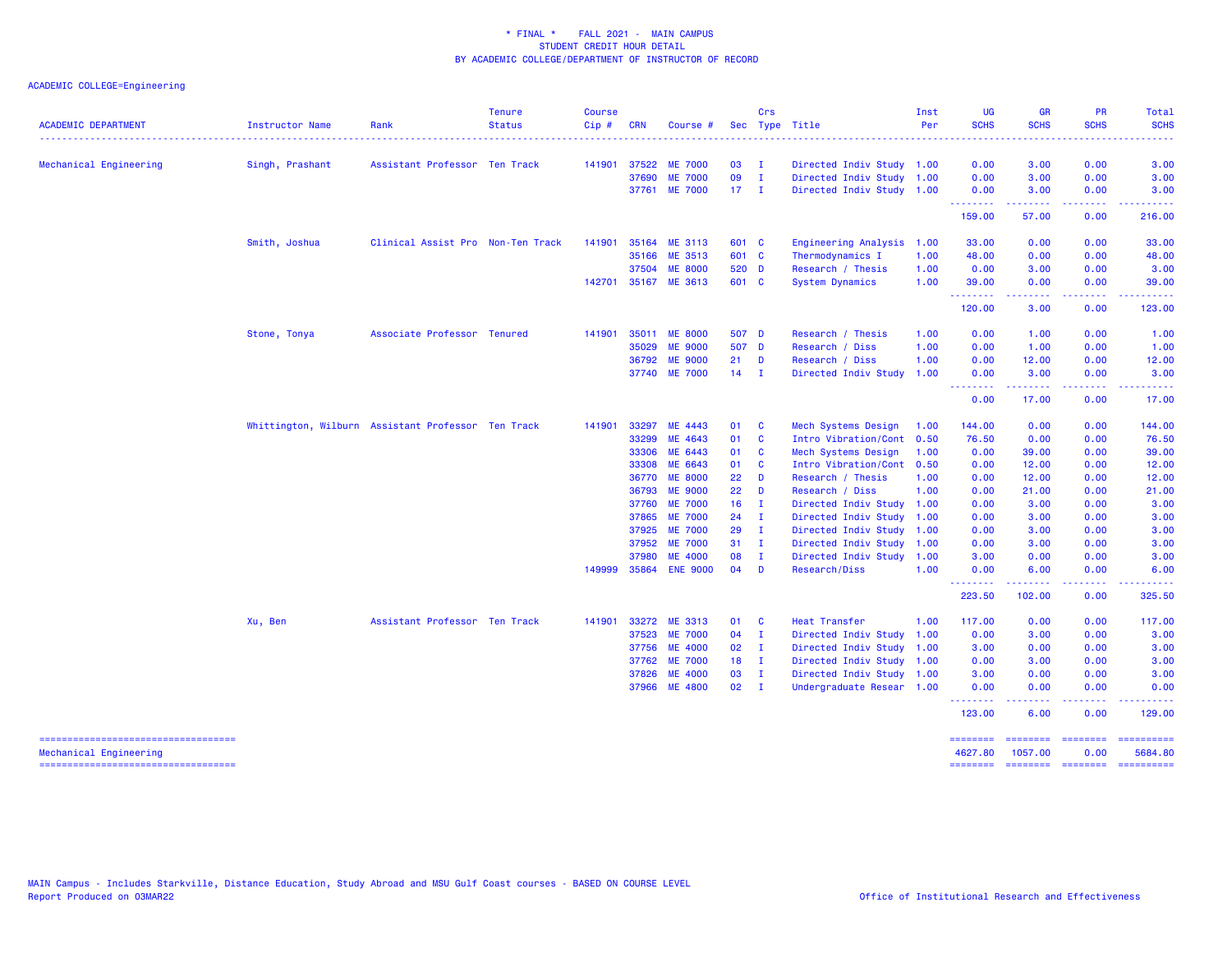| <b>ACADEMIC DEPARTMENT</b>          | Instructor Name | Rank                                               | <b>Tenure</b><br><b>Status</b> | <b>Course</b><br>Cip# | <b>CRN</b>     | Course #                         |               | Crs                         | Sec Type Title              | Inst<br>Per | <b>UG</b><br><b>SCHS</b>            | <b>GR</b><br><b>SCHS</b> | <b>PR</b><br><b>SCHS</b> | Total<br><b>SCHS</b> |
|-------------------------------------|-----------------|----------------------------------------------------|--------------------------------|-----------------------|----------------|----------------------------------|---------------|-----------------------------|-----------------------------|-------------|-------------------------------------|--------------------------|--------------------------|----------------------|
|                                     |                 |                                                    |                                |                       |                |                                  | 03            |                             |                             |             |                                     |                          | 0.00                     |                      |
| Mechanical Engineering              | Singh, Prashant | Assistant Professor Ten Track                      |                                | 141901                | 37522          | <b>ME 7000</b><br><b>ME 7000</b> | 09            | $\mathbf{I}$<br>$\mathbf I$ | Directed Indiv Study 1.00   |             | 0.00<br>0.00                        | 3.00                     | 0.00                     | 3.00                 |
|                                     |                 |                                                    |                                |                       | 37690<br>37761 |                                  | $17 \quad I$  |                             | Directed Indiv Study 1.00   |             | 0.00                                | 3.00                     |                          | 3.00                 |
|                                     |                 |                                                    |                                |                       |                | <b>ME 7000</b>                   |               |                             | Directed Indiv Study 1.00   |             | <u>.</u>                            | 3.00                     | 0.00                     | 3.00                 |
|                                     |                 |                                                    |                                |                       |                |                                  |               |                             |                             |             | 159.00                              | 57.00                    | 0.00                     | 216.00               |
|                                     | Smith, Joshua   | Clinical Assist Pro Non-Ten Track                  |                                | 141901                | 35164          | ME 3113                          | 601 C         |                             | <b>Engineering Analysis</b> | 1.00        | 33.00                               | 0.00                     | 0.00                     | 33.00                |
|                                     |                 |                                                    |                                |                       | 35166          | ME 3513                          | 601 C         |                             | Thermodynamics I            | 1.00        | 48.00                               | 0.00                     | 0.00                     | 48.00                |
|                                     |                 |                                                    |                                |                       | 37504          | <b>ME 8000</b>                   | 520 D         |                             | Research / Thesis           | 1.00        | 0.00                                | 3.00                     | 0.00                     | 3.00                 |
|                                     |                 |                                                    |                                |                       |                | 142701 35167 ME 3613             | 601 C         |                             | System Dynamics             | 1.00        | 39.00<br><u>.</u>                   | 0.00<br>.                | 0.00<br>د د د د          | 39.00                |
|                                     |                 |                                                    |                                |                       |                |                                  |               |                             |                             |             | 120.00                              | 3.00                     | 0.00                     | 123.00               |
|                                     | Stone, Tonya    | Associate Professor Tenured                        |                                | 141901                | 35011          | <b>ME 8000</b>                   | 507 D         |                             | Research / Thesis           | 1.00        | 0.00                                | 1.00                     | 0.00                     | 1.00                 |
|                                     |                 |                                                    |                                |                       | 35029          | <b>ME 9000</b>                   | 507 D         |                             | Research / Diss             | 1.00        | 0.00                                | 1.00                     | 0.00                     | 1.00                 |
|                                     |                 |                                                    |                                |                       | 36792          | <b>ME 9000</b>                   | $21$ D        |                             | Research / Diss             | 1.00        | 0.00                                | 12.00                    | 0.00                     | 12.00                |
|                                     |                 |                                                    |                                |                       |                | 37740 ME 7000                    | $14$ I        |                             | Directed Indiv Study        | 1.00        | 0.00                                | 3.00                     | 0.00                     | 3.00                 |
|                                     |                 |                                                    |                                |                       |                |                                  |               |                             |                             |             | $\sim$ $\sim$ $\sim$ $\sim$<br>0.00 | 17.00                    | 0.00                     | 17.00                |
|                                     |                 | Whittington, Wilburn Assistant Professor Ten Track |                                | 141901                | 33297          | ME 4443                          | 01 C          |                             | Mech Systems Design         | 1.00        | 144.00                              | 0.00                     | 0.00                     | 144.00               |
|                                     |                 |                                                    |                                |                       | 33299          | ME 4643                          | 01 C          |                             | Intro Vibration/Cont 0.50   |             | 76.50                               | 0.00                     | 0.00                     | 76.50                |
|                                     |                 |                                                    |                                |                       | 33306          | ME 6443                          | 01            | <b>C</b>                    | Mech Systems Design         | 1.00        | 0.00                                | 39.00                    | 0.00                     | 39.00                |
|                                     |                 |                                                    |                                |                       | 33308          | ME 6643                          | 01 C          |                             | Intro Vibration/Cont 0.50   |             | 0.00                                | 12.00                    | 0.00                     | 12.00                |
|                                     |                 |                                                    |                                |                       | 36770          | <b>ME 8000</b>                   | 22            | $\blacksquare$              | Research / Thesis           | 1.00        | 0.00                                | 12.00                    | 0.00                     | 12.00                |
|                                     |                 |                                                    |                                |                       | 36793          | <b>ME 9000</b>                   | 22            | D                           | Research / Diss             | 1.00        | 0.00                                | 21.00                    | 0.00                     | 21.00                |
|                                     |                 |                                                    |                                |                       | 37760          | <b>ME 7000</b>                   | 16            | $\blacksquare$              | Directed Indiv Study 1.00   |             | 0.00                                | 3.00                     | 0.00                     | 3.00                 |
|                                     |                 |                                                    |                                |                       | 37865          | <b>ME 7000</b>                   | 24            | - I                         | Directed Indiv Study 1.00   |             | 0.00                                | 3.00                     | 0.00                     | 3.00                 |
|                                     |                 |                                                    |                                |                       | 37925          | <b>ME 7000</b>                   | 29            | $\mathbf{I}$                | Directed Indiv Study 1.00   |             | 0.00                                | 3.00                     | 0.00                     | 3.00                 |
|                                     |                 |                                                    |                                |                       | 37952          | <b>ME 7000</b>                   | 31            | $\mathbf I$                 | Directed Indiv Study 1.00   |             | 0.00                                | 3.00                     | 0.00                     | 3.00                 |
|                                     |                 |                                                    |                                |                       | 37980          | <b>ME 4000</b>                   | 08            | $\mathbf{I}$                | Directed Indiv Study 1.00   |             | 3.00                                | 0.00                     | 0.00                     | 3.00                 |
|                                     |                 |                                                    |                                | 149999                | 35864          | <b>ENE 9000</b>                  | 04            | - D                         | Research/Diss               | 1.00        | 0.00<br>.                           | 6.00                     | 0.00                     | 6.00                 |
|                                     |                 |                                                    |                                |                       |                |                                  |               |                             |                             |             | 223.50                              | 102.00                   | 0.00                     | 325.50               |
|                                     | Xu, Ben         | Assistant Professor Ten Track                      |                                | 141901                | 33272          | ME 3313                          | 01            | <b>C</b>                    | <b>Heat Transfer</b>        | 1.00        | 117.00                              | 0.00                     | 0.00                     | 117.00               |
|                                     |                 |                                                    |                                |                       | 37523          | <b>ME 7000</b>                   | 04            | $\blacksquare$              | Directed Indiv Study 1.00   |             | 0.00                                | 3.00                     | 0.00                     | 3.00                 |
|                                     |                 |                                                    |                                |                       | 37756          | <b>ME 4000</b>                   | 02            | $\mathbf{I}$                | Directed Indiv Study 1.00   |             | 3.00                                | 0.00                     | 0.00                     | 3.00                 |
|                                     |                 |                                                    |                                |                       | 37762          | <b>ME 7000</b>                   | 18            | $\blacksquare$              | Directed Indiv Study 1.00   |             | 0.00                                | 3.00                     | 0.00                     | 3.00                 |
|                                     |                 |                                                    |                                |                       | 37826          | <b>ME 4000</b>                   | 03            | $\mathbf{I}$                | Directed Indiv Study 1.00   |             | 3.00                                | 0.00                     | 0.00                     | 3.00                 |
|                                     |                 |                                                    |                                |                       |                | 37966 ME 4800                    | $02 \qquad I$ |                             | Undergraduate Resear 1.00   |             | 0.00                                | 0.00                     | 0.00                     | 0.00                 |
|                                     |                 |                                                    |                                |                       |                |                                  |               |                             |                             |             | .<br>123.00                         | .<br>6.00                | المتحدث<br>0.00          | 129.00               |
| ----------------------------------- |                 |                                                    |                                |                       |                |                                  |               |                             |                             |             | ========                            |                          |                          | ==========           |
| Mechanical Engineering              |                 |                                                    |                                |                       |                |                                  |               |                             |                             |             | 4627.80                             | 1057.00                  | 0.00                     | 5684.80              |
| ----------------------------------  |                 |                                                    |                                |                       |                |                                  |               |                             |                             |             | ========                            |                          |                          | $= 22222222222$      |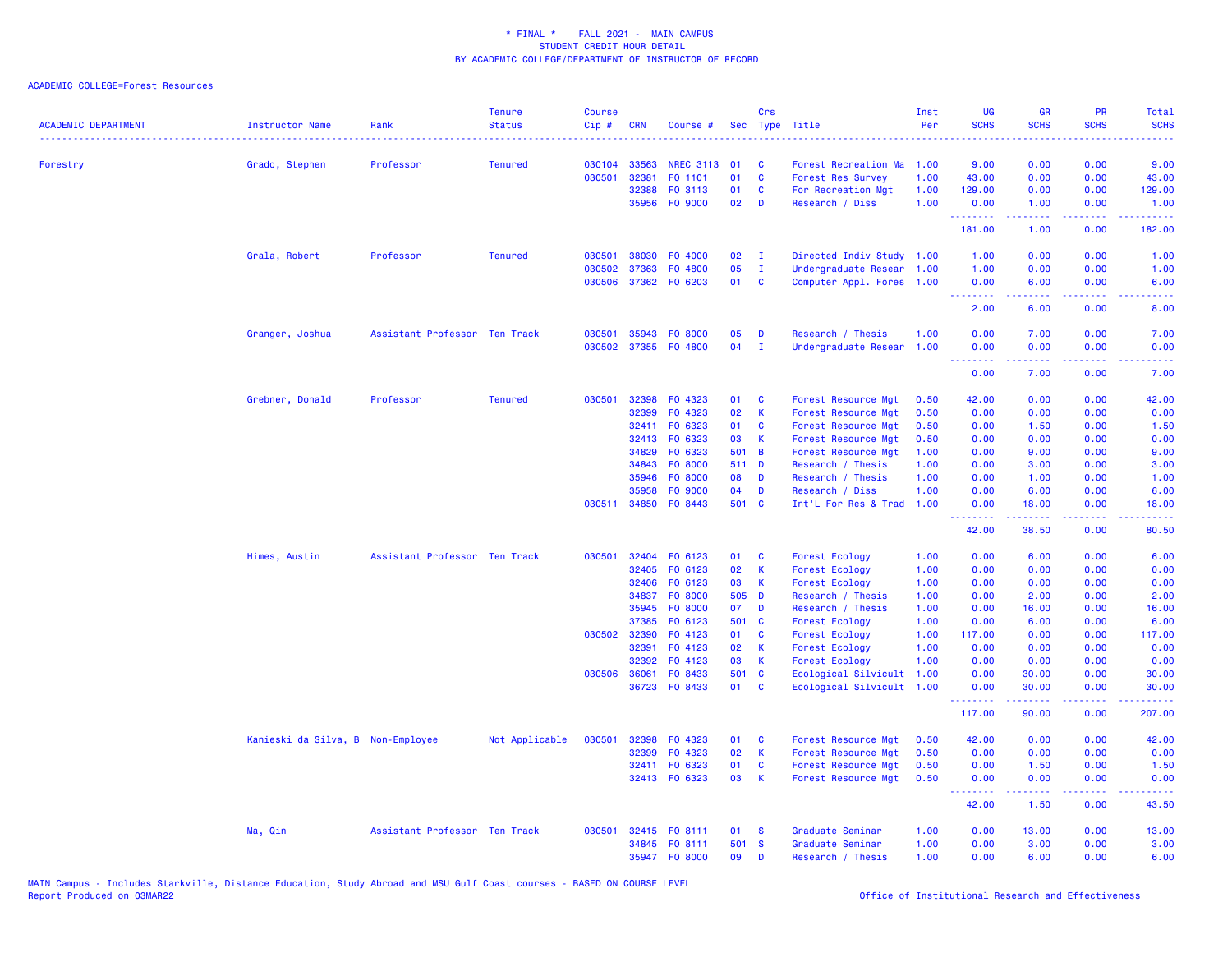| <b>ACADEMIC DEPARTMENT</b> | Instructor Name                   | Rank                          | <b>Tenure</b><br><b>Status</b> | <b>Course</b><br>Cip# | <b>CRN</b>     | Course #                        |             | Crs               | Sec Type Title                          | Inst<br>Per  | <b>UG</b><br><b>SCHS</b>                           | <b>GR</b><br><b>SCHS</b> | PR<br><b>SCHS</b>                   | <b>Total</b><br><b>SCHS</b><br>2222.                                                                                              |
|----------------------------|-----------------------------------|-------------------------------|--------------------------------|-----------------------|----------------|---------------------------------|-------------|-------------------|-----------------------------------------|--------------|----------------------------------------------------|--------------------------|-------------------------------------|-----------------------------------------------------------------------------------------------------------------------------------|
| Forestry                   | Grado, Stephen                    | Professor                     | <b>Tenured</b>                 | 030104                | 33563          | NREC 3113 01                    |             | C.                | Forest Recreation Ma                    | 1.00         | 9.00                                               | 0.00                     | 0.00                                | 9.00                                                                                                                              |
|                            |                                   |                               |                                | 030501                | 32381          | FO 1101                         | 01          | $\mathbf{C}$      | <b>Forest Res Survey</b>                | 1.00         | 43.00                                              | 0.00                     | 0.00                                | 43.00                                                                                                                             |
|                            |                                   |                               |                                |                       | 32388          | FO 3113                         | 01          | C                 | For Recreation Mgt                      | 1.00         | 129.00                                             | 0.00                     | 0.00                                | 129.00                                                                                                                            |
|                            |                                   |                               |                                |                       | 35956          | FO 9000                         | 02          | D                 | Research / Diss                         | 1.00         | 0.00<br>.                                          | 1.00                     | 0.00<br>$\sim$ $\sim$ $\sim$ $\sim$ | 1.00<br>$\frac{1}{2} \left( \frac{1}{2} \right) \left( \frac{1}{2} \right) \left( \frac{1}{2} \right)$                            |
|                            |                                   |                               |                                |                       |                |                                 |             |                   |                                         |              | 181.00                                             | 1.00                     | 0.00                                | 182.00                                                                                                                            |
|                            | Grala, Robert                     | Professor                     | <b>Tenured</b>                 | 030501                | 38030          | F0 4000                         | 02          | $\mathbf{I}$      | Directed Indiv Study                    | 1.00         | 1.00                                               | 0.00                     | 0.00                                | 1.00                                                                                                                              |
|                            |                                   |                               |                                | 030502                | 37363          | F0 4800                         | 05          | Ι.                | Undergraduate Resear                    | 1.00         | 1.00                                               | 0.00                     | 0.00                                | 1.00                                                                                                                              |
|                            |                                   |                               |                                | 030506                |                | 37362 FO 6203                   | 01          | $\mathbf{C}$      | Computer Appl. Fores                    | 1.00         | 0.00<br><u>.</u>                                   | 6.00<br>بالأباب          | 0.00<br>.                           | 6.00<br>.                                                                                                                         |
|                            |                                   |                               |                                |                       |                |                                 |             |                   |                                         |              | 2.00                                               | 6.00                     | 0.00                                | 8.00                                                                                                                              |
|                            | Granger, Joshua                   | Assistant Professor Ten Track |                                | 030501                | 35943          | F0 8000                         | 05          | D                 | Research / Thesis                       | 1.00         | 0.00                                               | 7.00                     | 0.00                                | 7.00                                                                                                                              |
|                            |                                   |                               |                                | 030502                |                | 37355 FO 4800                   | 04          | $\mathbf{I}$      | Undergraduate Resear                    | 1.00         | 0.00<br><b><i><u><u> - - - - - - -</u></u></i></b> | 0.00<br>22222            | 0.00<br>د د د د .                   | 0.00<br>22223                                                                                                                     |
|                            |                                   |                               |                                |                       |                |                                 |             |                   |                                         |              | 0.00                                               | 7.00                     | 0.00                                | 7.00                                                                                                                              |
|                            | Grebner, Donald                   | Professor                     | <b>Tenured</b>                 | 030501                | 32398          | FO 4323                         | 01          | C                 | Forest Resource Mgt                     | 0.50         | 42.00                                              | 0.00                     | 0.00                                | 42.00                                                                                                                             |
|                            |                                   |                               |                                |                       | 32399          | FO 4323                         | 02          | $\mathsf K$       | Forest Resource Mgt                     | 0.50         | 0.00                                               | 0.00                     | 0.00                                | 0.00                                                                                                                              |
|                            |                                   |                               |                                |                       | 32411          | F0 6323                         | 01          | C                 | Forest Resource Mgt                     | 0.50         | 0.00                                               | 1.50                     | 0.00                                | 1.50                                                                                                                              |
|                            |                                   |                               |                                |                       | 32413          | FO 6323                         | 03          | К                 | Forest Resource Mgt                     | 0.50         | 0.00                                               | 0.00                     | 0.00                                | 0.00                                                                                                                              |
|                            |                                   |                               |                                |                       | 34829          | FO 6323                         | 501         | $\overline{B}$    | Forest Resource Mgt                     | 1.00         | 0.00                                               | 9.00                     | 0.00                                | 9.00                                                                                                                              |
|                            |                                   |                               |                                |                       | 34843          | F0 8000                         | 511 D       |                   | Research / Thesis                       | 1.00         | 0.00                                               | 3.00                     | 0.00                                | 3.00                                                                                                                              |
|                            |                                   |                               |                                |                       | 35946          | FO 8000                         | 80          | D                 | Research / Thesis                       | 1.00         | 0.00                                               | 1.00                     | 0.00                                | 1.00                                                                                                                              |
|                            |                                   |                               |                                |                       | 35958          | FO 9000<br>030511 34850 FO 8443 | 04<br>501 C | D                 | Research / Diss<br>Int'L For Res & Trad | 1.00<br>1.00 | 0.00                                               | 6.00                     | 0.00<br>0.00                        | 6.00                                                                                                                              |
|                            |                                   |                               |                                |                       |                |                                 |             |                   |                                         |              | 0.00<br><u> - - - - - - - -</u>                    | 18.00<br>.               | .                                   | 18.00<br>.                                                                                                                        |
|                            |                                   |                               |                                |                       |                |                                 |             |                   |                                         |              | 42.00                                              | 38.50                    | 0.00                                | 80.50                                                                                                                             |
|                            | Himes, Austin                     | Assistant Professor Ten Track |                                | 030501                | 32404          | FO 6123                         | 01          | C                 | Forest Ecology                          | 1.00         | 0.00                                               | 6.00                     | 0.00                                | 6.00                                                                                                                              |
|                            |                                   |                               |                                |                       | 32405          | F0 6123                         | 02          | К                 | <b>Forest Ecology</b>                   | 1.00         | 0.00                                               | 0.00                     | 0.00                                | 0.00                                                                                                                              |
|                            |                                   |                               |                                |                       | 32406          | FO 6123                         | 03          | K                 | Forest Ecology                          | 1.00         | 0.00                                               | 0.00                     | 0.00                                | 0.00                                                                                                                              |
|                            |                                   |                               |                                |                       | 34837          | F0 8000                         | 505 D       |                   | Research / Thesis                       | 1.00         | 0.00                                               | 2.00                     | 0.00                                | 2.00                                                                                                                              |
|                            |                                   |                               |                                |                       | 35945<br>37385 | FO 8000<br>F0 6123              | 07<br>501   | D<br>$\mathbf{C}$ | Research / Thesis                       | 1.00<br>1.00 | 0.00<br>0.00                                       | 16.00<br>6.00            | 0.00                                | 16.00<br>6.00                                                                                                                     |
|                            |                                   |                               |                                | 030502                | 32390          | FO 4123                         | 01          | C                 | Forest Ecology<br>Forest Ecology        | 1.00         | 117.00                                             | 0.00                     | 0.00<br>0.00                        | 117.00                                                                                                                            |
|                            |                                   |                               |                                |                       | 32391          | FO 4123                         | 02          | <b>K</b>          | Forest Ecology                          | 1.00         | 0.00                                               | 0.00                     | 0.00                                | 0.00                                                                                                                              |
|                            |                                   |                               |                                |                       | 32392          | FO 4123                         | 03          | K                 | <b>Forest Ecology</b>                   | 1.00         | 0.00                                               | 0.00                     | 0.00                                | 0.00                                                                                                                              |
|                            |                                   |                               |                                | 030506                | 36061          | FO 8433                         | 501 C       |                   | Ecological Silvicult                    | 1.00         | 0.00                                               | 30.00                    | 0.00                                | 30.00                                                                                                                             |
|                            |                                   |                               |                                |                       |                | 36723 FO 8433                   | 01          | <b>C</b>          | Ecological Silvicult 1.00               |              | 0.00<br><b></b>                                    | 30.00<br>. <b>.</b>      | 0.00<br>بالاناباذ                   | 30.00<br>.                                                                                                                        |
|                            |                                   |                               |                                |                       |                |                                 |             |                   |                                         |              | 117.00                                             | 90.00                    | 0.00                                | 207.00                                                                                                                            |
|                            | Kanieski da Silva, B Non-Employee |                               | Not Applicable                 | 030501                | 32398          | FO 4323                         | 01          | C                 | Forest Resource Mgt                     | 0.50         | 42.00                                              | 0.00                     | 0.00                                | 42.00                                                                                                                             |
|                            |                                   |                               |                                |                       | 32399          | FO 4323                         | 02          | К                 | Forest Resource Mgt                     | 0.50         | 0.00                                               | 0.00                     | 0.00                                | 0.00                                                                                                                              |
|                            |                                   |                               |                                |                       |                | 32411 FO 6323                   | 01          | C                 | Forest Resource Mgt                     | 0.50         | 0.00                                               | 1.50                     | 0.00                                | 1.50                                                                                                                              |
|                            |                                   |                               |                                |                       |                | 32413 FO 6323                   | 03          | $\mathsf K$       | Forest Resource Mgt                     | 0.50         | 0.00<br>.                                          | 0.00<br>22222            | 0.00<br>.                           | 0.00<br>$\frac{1}{2} \left( \frac{1}{2} \right) \left( \frac{1}{2} \right) \left( \frac{1}{2} \right) \left( \frac{1}{2} \right)$ |
|                            |                                   |                               |                                |                       |                |                                 |             |                   |                                         |              | 42.00                                              | 1.50                     | 0.00                                | 43.50                                                                                                                             |
|                            | Ma, Qin                           | Assistant Professor Ten Track |                                | 030501                |                | 32415 FO 8111                   | 01          | <b>S</b>          | Graduate Seminar                        | 1.00         | 0.00                                               | 13.00                    | 0.00                                | 13.00                                                                                                                             |
|                            |                                   |                               |                                |                       |                | 34845 FO 8111                   | 501 S       |                   | Graduate Seminar                        | 1.00         | 0.00                                               | 3.00                     | 0.00                                | 3.00                                                                                                                              |
|                            |                                   |                               |                                |                       |                | 35947 F0 8000                   | 09          | D                 | Research / Thesis                       | 1.00         | 0.00                                               | 6.00                     | 0.00                                | 6.00                                                                                                                              |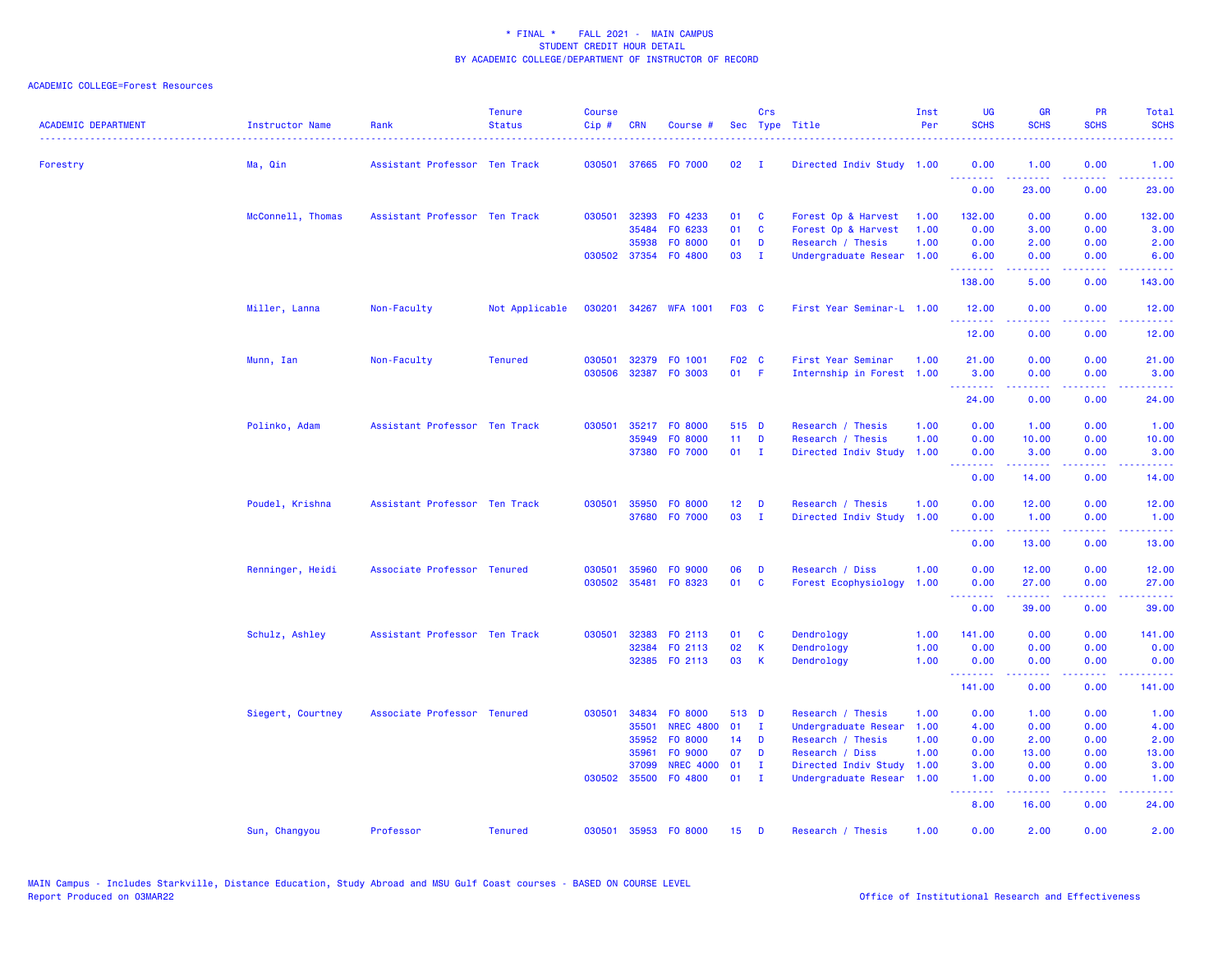| <b>ACADEMIC DEPARTMENT</b> | Instructor Name   | Rank                          | <b>Tenure</b><br><b>Status</b> | <b>Course</b><br>Cip# | <b>CRN</b>   | Course #             |                 | Crs          | Sec Type Title            | Inst<br>Per | <b>UG</b><br><b>SCHS</b>                                   | <b>GR</b><br><b>SCHS</b> | PR<br><b>SCHS</b> | Total<br><b>SCHS</b>               |
|----------------------------|-------------------|-------------------------------|--------------------------------|-----------------------|--------------|----------------------|-----------------|--------------|---------------------------|-------------|------------------------------------------------------------|--------------------------|-------------------|------------------------------------|
| Forestry                   | Ma, Qin           | Assistant Professor Ten Track |                                | 030501                |              | 37665 FO 7000        | 02              | $\mathbf{I}$ | Directed Indiv Study 1.00 |             | 0.00                                                       | 1.00                     | 0.00              | 1.00                               |
|                            |                   |                               |                                |                       |              |                      |                 |              |                           |             | <u>.</u><br>0.00                                           | .<br>23.00               | .<br>0.00         | 23.00                              |
|                            | McConnell, Thomas | Assistant Professor Ten Track |                                | 030501                |              | 32393 FO 4233        | 01              | <b>C</b>     | Forest Op & Harvest       | 1.00        | 132.00                                                     | 0.00                     | 0.00              | 132.00                             |
|                            |                   |                               |                                |                       | 35484        | FO 6233              | 01              | C            | Forest Op & Harvest       | 1.00        | 0.00                                                       | 3.00                     | 0.00              | 3.00                               |
|                            |                   |                               |                                |                       | 35938        | FO 8000              | 01              | D            | Research / Thesis         | 1.00        | 0.00                                                       | 2.00                     | 0.00              | 2.00                               |
|                            |                   |                               |                                |                       |              | 030502 37354 F0 4800 | 03              | $\mathbf{I}$ | Undergraduate Resear 1.00 |             | 6.00<br><b><i><u><u> - - - - - - -</u></u></i></b>         | 0.00<br>المستمال         | 0.00<br>بالأباء   | 6.00<br>المستمين                   |
|                            |                   |                               |                                |                       |              |                      |                 |              |                           |             | 138.00                                                     | 5.00                     | 0.00              | 143.00                             |
|                            | Miller, Lanna     | Non-Faculty                   | Not Applicable                 | 030201                |              | 34267 WFA 1001       | <b>F03 C</b>    |              | First Year Seminar-L 1.00 |             | 12.00                                                      | 0.00                     | 0.00              | 12.00                              |
|                            |                   |                               |                                |                       |              |                      |                 |              |                           |             | .<br>12.00                                                 | .<br>0.00                | د د د د<br>0.00   | المتمامين<br>12.00                 |
|                            | Munn, Ian         | Non-Faculty                   | <b>Tenured</b>                 | 030501                |              | 32379 F0 1001        | F02 C           |              | First Year Seminar        | 1.00        | 21.00                                                      | 0.00                     | 0.00              | 21.00                              |
|                            |                   |                               |                                | 030506                |              | 32387 FO 3003        | $01$ F          |              | Internship in Forest 1.00 |             | 3.00<br><b></b>                                            | 0.00<br>.                | 0.00<br>.         | 3.00<br>.                          |
|                            |                   |                               |                                |                       |              |                      |                 |              |                           |             | 24.00                                                      | 0.00                     | 0.00              | 24.00                              |
|                            | Polinko, Adam     | Assistant Professor Ten Track |                                | 030501                |              | 35217 FO 8000        | 515 D           |              | Research / Thesis         | 1.00        | 0.00                                                       | 1.00                     | 0.00              | 1.00                               |
|                            |                   |                               |                                |                       | 35949        | FO 8000              | 11 <sub>1</sub> | D            | Research / Thesis         | 1.00        | 0.00                                                       | 10.00                    | 0.00              | 10.00                              |
|                            |                   |                               |                                |                       |              | 37380 F0 7000        | $01 \quad I$    |              | Directed Indiv Study      | 1.00        | 0.00                                                       | 3.00                     | 0.00              | 3.00                               |
|                            |                   |                               |                                |                       |              |                      |                 |              |                           |             | .                                                          | .                        | .                 | .                                  |
|                            |                   |                               |                                |                       |              |                      |                 |              |                           |             | 0.00                                                       | 14.00                    | 0.00              | 14.00                              |
|                            | Poudel, Krishna   | Assistant Professor Ten Track |                                | 030501                | 35950        | FO 8000              | 12 <sub>2</sub> | D            | Research / Thesis         | 1.00        | 0.00                                                       | 12.00                    | 0.00              | 12.00                              |
|                            |                   |                               |                                |                       |              | 37680 F0 7000        | 03              | $\mathbf{I}$ | Directed Indiv Study      | 1.00        | 0.00                                                       | 1.00                     | 0.00              | 1.00                               |
|                            |                   |                               |                                |                       |              |                      |                 |              |                           |             | .<br>0.00                                                  | 22222<br>13.00           | والمحامر<br>0.00  | $\omega$ is $\omega$ in .<br>13.00 |
|                            | Renninger, Heidi  | Associate Professor Tenured   |                                | 030501                |              | 35960 FO 9000        | 06              | D            | Research / Diss           | 1.00        | 0.00                                                       | 12.00                    | 0.00              | 12.00                              |
|                            |                   |                               |                                | 030502                | 35481        | F0 8323              | 01              | C            | Forest Ecophysiology      | 1.00        | 0.00<br><u>.</u>                                           | 27.00<br>.               | 0.00<br>.         | 27.00<br>.                         |
|                            |                   |                               |                                |                       |              |                      |                 |              |                           |             | 0.00                                                       | 39.00                    | 0.00              | 39.00                              |
|                            | Schulz, Ashley    | Assistant Professor Ten Track |                                | 030501                | 32383        | FO 2113              | 01              | <b>C</b>     | Dendrology                | 1.00        | 141.00                                                     | 0.00                     | 0.00              | 141.00                             |
|                            |                   |                               |                                |                       | 32384        | FO 2113              | 02              | К            | Dendrology                | 1.00        | 0.00                                                       | 0.00                     | 0.00              | 0.00                               |
|                            |                   |                               |                                |                       |              | 32385 FO 2113        | 03              | K            | Dendrology                | 1.00        | 0.00<br><b><i><u><u><b>A</b></u></u> A A A A A A A</i></b> | 0.00<br>22222            | 0.00<br>.         | 0.00<br>لأعاط عاطات                |
|                            |                   |                               |                                |                       |              |                      |                 |              |                           |             | 141.00                                                     | 0.00                     | 0.00              | 141.00                             |
|                            | Siegert, Courtney | Associate Professor Tenured   |                                | 030501                | 34834        | F0 8000              | 513 D           |              | Research / Thesis         | 1.00        | 0.00                                                       | 1.00                     | 0.00              | 1.00                               |
|                            |                   |                               |                                |                       | 35501        | <b>NREC 4800</b>     | 01              | $\mathbf{I}$ | Undergraduate Resear      | 1.00        | 4.00                                                       | 0.00                     | 0.00              | 4.00                               |
|                            |                   |                               |                                |                       | 35952        | F0 8000              | 14              | D            | Research / Thesis         | 1.00        | 0.00                                                       | 2.00                     | 0.00              | 2.00                               |
|                            |                   |                               |                                |                       | 35961        | F0 9000              | 07              | D            | Research / Diss           | 1.00        | 0.00                                                       | 13.00                    | 0.00              | 13.00                              |
|                            |                   |                               |                                |                       | 37099        | <b>NREC 4000</b>     | 01              | $\mathbf{I}$ | Directed Indiv Study      | 1.00        | 3.00                                                       | 0.00                     | 0.00              | 3.00                               |
|                            |                   |                               |                                |                       | 030502 35500 | F0 4800              | 01              | - 1          | Undergraduate Resear 1.00 |             | 1.00<br><b></b>                                            | 0.00<br>.                | 0.00<br>.         | 1.00<br>.                          |
|                            |                   |                               |                                |                       |              |                      |                 |              |                           |             | 8.00                                                       | 16.00                    | 0.00              | 24.00                              |
|                            | Sun, Changyou     | Professor                     | <b>Tenured</b>                 | 030501                |              | 35953 FO 8000        | 15 <sub>1</sub> | D            | Research / Thesis         | 1.00        | 0.00                                                       | 2.00                     | 0.00              | 2.00                               |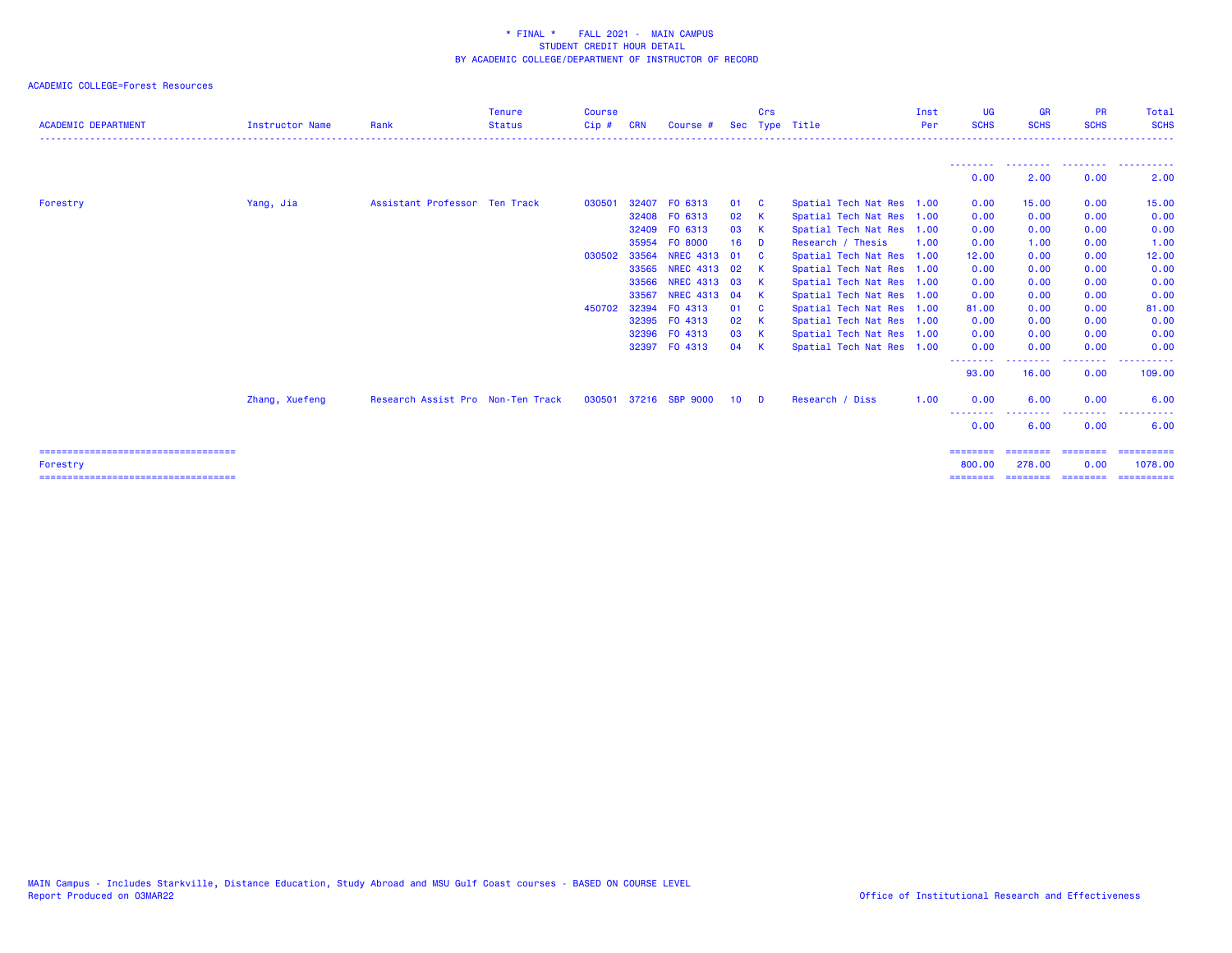| <b>ACADEMIC DEPARTMENT</b>                         | <b>Instructor Name</b> | Rank                              | <b>Tenure</b><br><b>Status</b> | Course<br>$Cip$ # | <b>CRN</b> | Course #       |                 | Crs                     | Sec Type Title            | Inst<br>Per | <b>UG</b><br><b>SCHS</b>  | <b>GR</b><br><b>SCHS</b>     | <b>PR</b><br><b>SCHS</b> | Total<br><b>SCHS</b>                          |
|----------------------------------------------------|------------------------|-----------------------------------|--------------------------------|-------------------|------------|----------------|-----------------|-------------------------|---------------------------|-------------|---------------------------|------------------------------|--------------------------|-----------------------------------------------|
|                                                    |                        |                                   |                                |                   |            |                |                 |                         |                           |             |                           |                              |                          |                                               |
|                                                    |                        |                                   |                                |                   |            |                |                 |                         |                           |             | 0.00                      | 2.00                         | 0.00                     | --------  --------  --------  -------<br>2.00 |
| Forestry                                           |                        | Assistant Professor Ten Track     |                                | 030501            | 32407      | FO 6313        | 01              | $\overline{\mathbf{C}}$ | Spatial Tech Nat Res 1.00 |             | 0.00                      | 15.00                        | 0.00                     | 15.00                                         |
|                                                    | Yang, Jia              |                                   |                                |                   |            | 32408 FO 6313  | 02 K            |                         | Spatial Tech Nat Res 1.00 |             | 0.00                      | 0.00                         | 0.00                     | 0.00                                          |
|                                                    |                        |                                   |                                |                   | 32409      | FO 6313        | 03              | $\mathbf{K}$            | Spatial Tech Nat Res 1.00 |             | 0.00                      | 0.00                         | 0.00                     | 0.00                                          |
|                                                    |                        |                                   |                                |                   | 35954      | FO 8000        | 16              | <b>D</b>                | Research / Thesis         | 1.00        | 0.00                      | 1.00                         | 0.00                     | 1.00                                          |
|                                                    |                        |                                   |                                | 030502            | 33564      | NREC 4313 01   |                 | <b>C</b>                | Spatial Tech Nat Res 1.00 |             | 12.00                     | 0.00                         | 0.00                     | 12.00                                         |
|                                                    |                        |                                   |                                |                   | 33565      | NREC 4313 02   |                 | $\mathsf{K}$            | Spatial Tech Nat Res 1.00 |             | 0.00                      | 0.00                         | 0.00                     | 0.00                                          |
|                                                    |                        |                                   |                                |                   | 33566      | NREC 4313 03   |                 | <b>K</b>                | Spatial Tech Nat Res 1.00 |             | 0.00                      | 0.00                         | 0.00                     | 0.00                                          |
|                                                    |                        |                                   |                                |                   | 33567      | NREC 4313 04   |                 | <b>K</b>                | Spatial Tech Nat Res 1.00 |             | 0.00                      | 0.00                         | 0.00                     | 0.00                                          |
|                                                    |                        |                                   |                                | 450702            | 32394      | FO 4313        | 01              | $\mathbf{C}$            | Spatial Tech Nat Res 1.00 |             | 81.00                     | 0.00                         | 0.00                     | 81.00                                         |
|                                                    |                        |                                   |                                |                   |            | 32395 FO 4313  | 02              | $\mathsf{K}$            | Spatial Tech Nat Res 1.00 |             | 0.00                      | 0.00                         | 0.00                     | 0.00                                          |
|                                                    |                        |                                   |                                |                   |            | 32396 FO 4313  | 03 K            |                         | Spatial Tech Nat Res 1.00 |             | 0.00                      | 0.00                         | 0.00                     | 0.00                                          |
|                                                    |                        |                                   |                                |                   |            | 32397 FO 4313  | 04              | $\mathsf{K}$            | Spatial Tech Nat Res 1.00 |             | 0.00<br>--------          | 0.00<br>- - - - - - - -      | 0.00                     | 0.00                                          |
|                                                    |                        |                                   |                                |                   |            |                |                 |                         |                           |             | 93.00                     | 16.00                        | --------<br>0.00         | ----------<br>109.00                          |
|                                                    | Zhang, Xuefeng         | Research Assist Pro Non-Ten Track |                                | 030501            |            | 37216 SBP 9000 | 10 <sup>°</sup> | $\blacksquare$          | Research / Diss           | 1.00        | 0.00                      | 6.00                         | 0.00                     | 6.00                                          |
|                                                    |                        |                                   |                                |                   |            |                |                 |                         |                           |             | - - - - - - - - -<br>0.00 | 6.00                         | <u>.</u><br>0.00         | 6.00                                          |
| ======================================             |                        |                                   |                                |                   |            |                |                 |                         |                           |             | ========                  | ========                     | ========                 | ==========                                    |
| Forestry<br>====================================== |                        |                                   |                                |                   |            |                |                 |                         |                           |             | 800,00<br>========        | 278,00<br>========= ======== | 0.00                     | 1078.00<br>==========                         |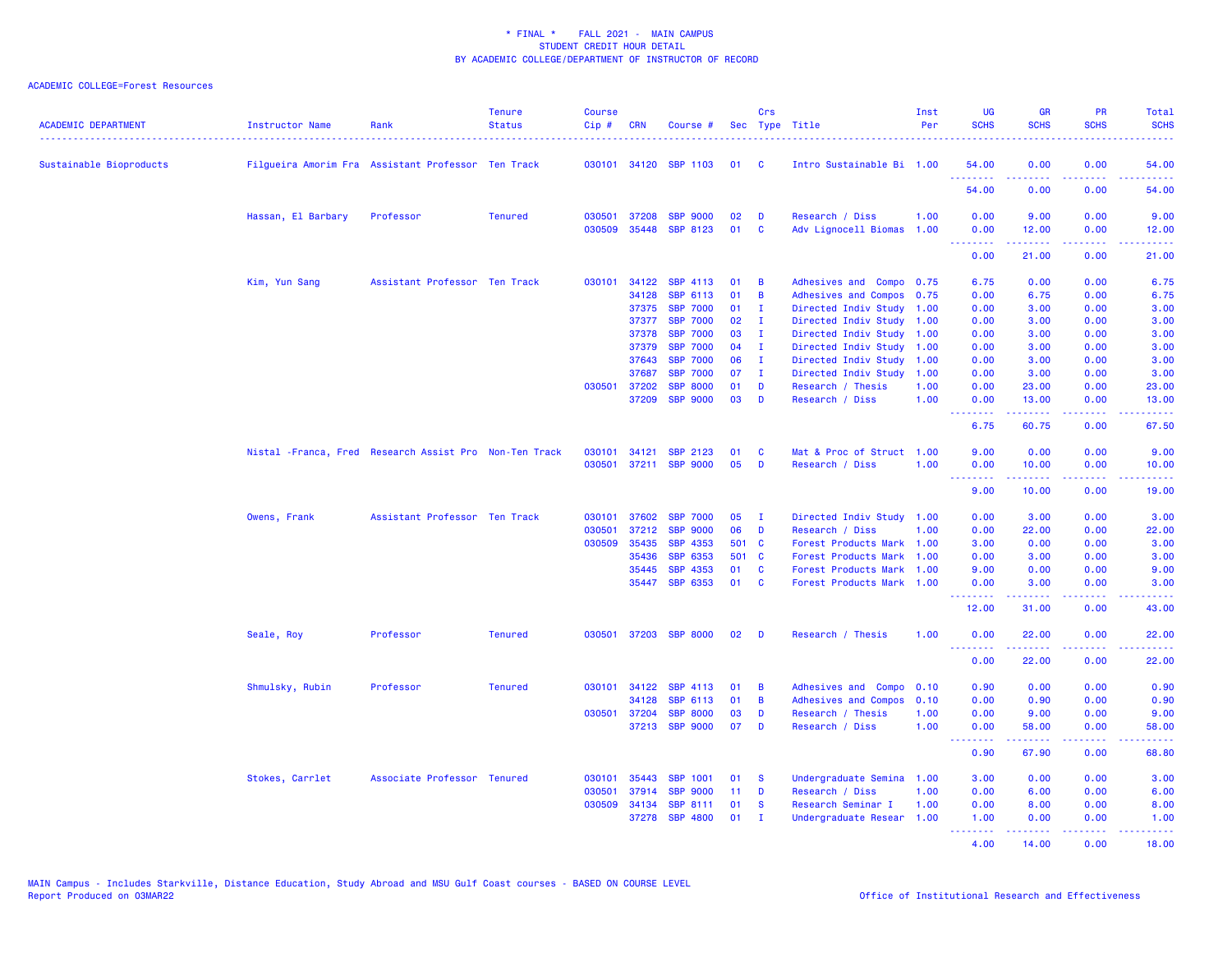| <b>ACADEMIC DEPARTMENT</b> | Instructor Name                                         | Rank                          | <b>Tenure</b><br><b>Status</b> | <b>Course</b><br>Cip# | CRN            | Course #                           |          | Crs           | Sec Type Title                               | Inst<br>Per | <b>UG</b><br><b>SCHS</b>        | <b>GR</b><br><b>SCHS</b>        | PR<br><b>SCHS</b>            | Total<br><b>SCHS</b>                                                                                                               |
|----------------------------|---------------------------------------------------------|-------------------------------|--------------------------------|-----------------------|----------------|------------------------------------|----------|---------------|----------------------------------------------|-------------|---------------------------------|---------------------------------|------------------------------|------------------------------------------------------------------------------------------------------------------------------------|
| Sustainable Bioproducts    | Filgueira Amorim Fra Assistant Professor Ten Track      |                               |                                |                       |                | 030101 34120 SBP 1103              | 01       | - C           | Intro Sustainable Bi 1.00                    |             | 54.00                           | 0.00                            | 0.00                         | 54.00                                                                                                                              |
|                            |                                                         |                               |                                |                       |                |                                    |          |               |                                              |             | .<br>54.00                      | .<br>0.00                       | د د د د<br>0.00              | د د د د د<br>54.00                                                                                                                 |
|                            | Hassan, El Barbary                                      | Professor                     | <b>Tenured</b>                 | 030501<br>030509      | 37208<br>35448 | <b>SBP 9000</b><br><b>SBP 8123</b> | 02<br>01 | D<br><b>C</b> | Research / Diss<br>Adv Lignocell Biomas 1.00 | 1.00        | 0.00<br>0.00                    | 9.00<br>12.00                   | 0.00<br>0.00                 | 9.00<br>12.00                                                                                                                      |
|                            |                                                         |                               |                                |                       |                |                                    |          |               |                                              |             | .<br>0.00                       | د د د د د د<br>21.00            | بالأباب<br>0.00              | وبالمستريب<br>21.00                                                                                                                |
|                            | Kim, Yun Sang                                           | Assistant Professor Ten Track |                                | 030101                | 34122          | SBP 4113                           | 01       | B             | Adhesives and Compo 0.75                     |             | 6.75                            | 0.00                            | 0.00                         | 6.75                                                                                                                               |
|                            |                                                         |                               |                                |                       | 34128          | SBP 6113                           | 01       | B             | Adhesives and Compos 0.75                    |             | 0.00                            | 6.75                            | 0.00                         | 6.75                                                                                                                               |
|                            |                                                         |                               |                                |                       | 37375          | <b>SBP 7000</b>                    | 01       | I.            | Directed Indiv Study                         | 1.00        | 0.00                            | 3.00                            | 0.00                         | 3.00                                                                                                                               |
|                            |                                                         |                               |                                |                       | 37377          | <b>SBP 7000</b>                    | 02       | I.            | Directed Indiv Study 1.00                    |             | 0.00                            | 3.00                            | 0.00                         | 3.00                                                                                                                               |
|                            |                                                         |                               |                                |                       | 37378          | <b>SBP 7000</b>                    | 03       | $\mathbf{I}$  | Directed Indiv Study                         | 1.00        | 0.00                            | 3.00                            | 0.00                         | 3.00                                                                                                                               |
|                            |                                                         |                               |                                |                       | 37379          | <b>SBP 7000</b>                    | 04       | I.            | Directed Indiv Study                         | 1.00        | 0.00                            | 3.00                            | 0.00                         | 3.00                                                                                                                               |
|                            |                                                         |                               |                                |                       | 37643          | <b>SBP 7000</b>                    | 06       | I.            | Directed Indiv Study                         | 1.00        | 0.00                            | 3.00                            | 0.00                         | 3.00                                                                                                                               |
|                            |                                                         |                               |                                |                       | 37687          | <b>SBP 7000</b>                    | 07       | $\mathbf{I}$  | Directed Indiv Study                         | 1.00        | 0.00                            | 3.00                            | 0.00                         | 3.00                                                                                                                               |
|                            |                                                         |                               |                                | 030501                | 37202          | <b>SBP 8000</b>                    | 01       | D             | Research / Thesis                            | 1.00        | 0.00                            | 23.00                           | 0.00                         | 23.00                                                                                                                              |
|                            |                                                         |                               |                                |                       | 37209          | <b>SBP 9000</b>                    | 03       | D             | Research / Diss                              | 1.00        | 0.00<br>.                       | 13.00                           | 0.00<br>.                    | 13,00<br>.                                                                                                                         |
|                            |                                                         |                               |                                |                       |                |                                    |          |               |                                              |             | 6.75                            | 60.75                           | 0.00                         | 67.50                                                                                                                              |
|                            | Nistal - Franca, Fred Research Assist Pro Non-Ten Track |                               |                                | 030101                | 34121          | <b>SBP 2123</b>                    | 01       | <b>C</b>      | Mat & Proc of Struct 1.00                    |             | 9.00                            | 0.00                            | 0.00                         | 9.00                                                                                                                               |
|                            |                                                         |                               |                                |                       |                | 030501 37211 SBP 9000              | 05       | D             | Research / Diss                              | 1.00        | 0.00<br><u> - - - - - - - -</u> | 10.00<br><b></b>                | 0.00<br>22222                | 10.00<br>.                                                                                                                         |
|                            |                                                         |                               |                                |                       |                |                                    |          |               |                                              |             | 9.00                            | 10.00                           | 0.00                         | 19.00                                                                                                                              |
|                            | Owens, Frank                                            | Assistant Professor Ten Track |                                | 030101                | 37602          | <b>SBP 7000</b>                    | 05       | - I           | Directed Indiv Study 1.00                    |             | 0.00                            | 3.00                            | 0.00                         | 3.00                                                                                                                               |
|                            |                                                         |                               |                                | 030501                | 37212          | <b>SBP 9000</b>                    | 06       | D             | Research / Diss                              | 1.00        | 0.00                            | 22.00                           | 0.00                         | 22.00                                                                                                                              |
|                            |                                                         |                               |                                | 030509                | 35435          | SBP 4353                           | 501 C    |               | Forest Products Mark 1.00                    |             | 3.00                            | 0.00                            | 0.00                         | 3.00                                                                                                                               |
|                            |                                                         |                               |                                |                       | 35436          | <b>SBP 6353</b>                    | 501 C    |               | Forest Products Mark                         | 1.00        | 0.00                            | 3.00                            | 0.00                         | 3.00                                                                                                                               |
|                            |                                                         |                               |                                |                       | 35445          | SBP 4353                           | 01       | <b>C</b>      | <b>Forest Products Mark</b>                  | 1.00        | 9.00                            | 0.00                            | 0.00                         | 9.00                                                                                                                               |
|                            |                                                         |                               |                                |                       | 35447          | SBP 6353                           | 01       | <b>C</b>      | Forest Products Mark 1.00                    |             | 0.00                            | 3.00                            | 0.00                         | 3.00                                                                                                                               |
|                            |                                                         |                               |                                |                       |                |                                    |          |               |                                              |             | .<br>12.00                      | 31.00                           | $\sim$ $\sim$ $\sim$<br>0.00 | 43.00                                                                                                                              |
|                            | Seale, Roy                                              | Professor                     | <b>Tenured</b>                 | 030501                |                | 37203 SBP 8000                     | 02       | D             | Research / Thesis                            | 1.00        | 0.00<br>.                       | 22.00<br>22222                  | 0.00<br>الأعامات             | 22.00<br>د د د د د                                                                                                                 |
|                            |                                                         |                               |                                |                       |                |                                    |          |               |                                              |             | 0.00                            | 22.00                           | 0.00                         | 22.00                                                                                                                              |
|                            | Shmulsky, Rubin                                         | Professor                     | <b>Tenured</b>                 | 030101                | 34122          | SBP 4113                           | 01       | B             | Adhesives and Compo                          | 0.10        | 0.90                            | 0.00                            | 0.00                         | 0.90                                                                                                                               |
|                            |                                                         |                               |                                |                       | 34128          | <b>SBP 6113</b>                    | 01       | B             | Adhesives and Compos                         | 0.10        | 0.00                            | 0.90                            | 0.00                         | 0.90                                                                                                                               |
|                            |                                                         |                               |                                |                       | 030501 37204   | <b>SBP 8000</b>                    | 03       | D             | Research / Thesis                            | 1.00        | 0.00                            | 9.00                            | 0.00                         | 9.00                                                                                                                               |
|                            |                                                         |                               |                                |                       | 37213          | <b>SBP 9000</b>                    | 07       | D             | Research / Diss                              | 1.00        | 0.00<br><u>.</u>                | 58.00<br>.                      | 0.00<br>22222                | 58.00<br>$\frac{1}{2} \left( \frac{1}{2} \right) \left( \frac{1}{2} \right) \left( \frac{1}{2} \right) \left( \frac{1}{2} \right)$ |
|                            |                                                         |                               |                                |                       |                |                                    |          |               |                                              |             | 0.90                            | 67.90                           | 0.00                         | 68.80                                                                                                                              |
|                            | Stokes, Carrlet                                         | Associate Professor Tenured   |                                | 030101                | 35443          | <b>SBP 1001</b>                    | 01       | - S           | Undergraduate Semina 1.00                    |             | 3.00                            | 0.00                            | 0.00                         | 3.00                                                                                                                               |
|                            |                                                         |                               |                                | 030501                | 37914          | <b>SBP 9000</b>                    | 11       | D             | Research / Diss                              | 1.00        | 0.00                            | 6.00                            | 0.00                         | 6.00                                                                                                                               |
|                            |                                                         |                               |                                | 030509                | 34134          | <b>SBP 8111</b>                    | 01       | -S            | Research Seminar I                           | 1.00        | 0.00                            | 8.00                            | 0.00                         | 8.00                                                                                                                               |
|                            |                                                         |                               |                                |                       | 37278          | <b>SBP 4800</b>                    | 01       | $\mathbf{I}$  | Undergraduate Resear 1.00                    |             | 1.00<br><b>.</b> .              | 0.00<br><u> - - - - - - - -</u> | 0.00<br>.                    | 1.00<br><u>.</u>                                                                                                                   |
|                            |                                                         |                               |                                |                       |                |                                    |          |               |                                              |             | 4.00                            | 14.00                           | 0.00                         | 18.00                                                                                                                              |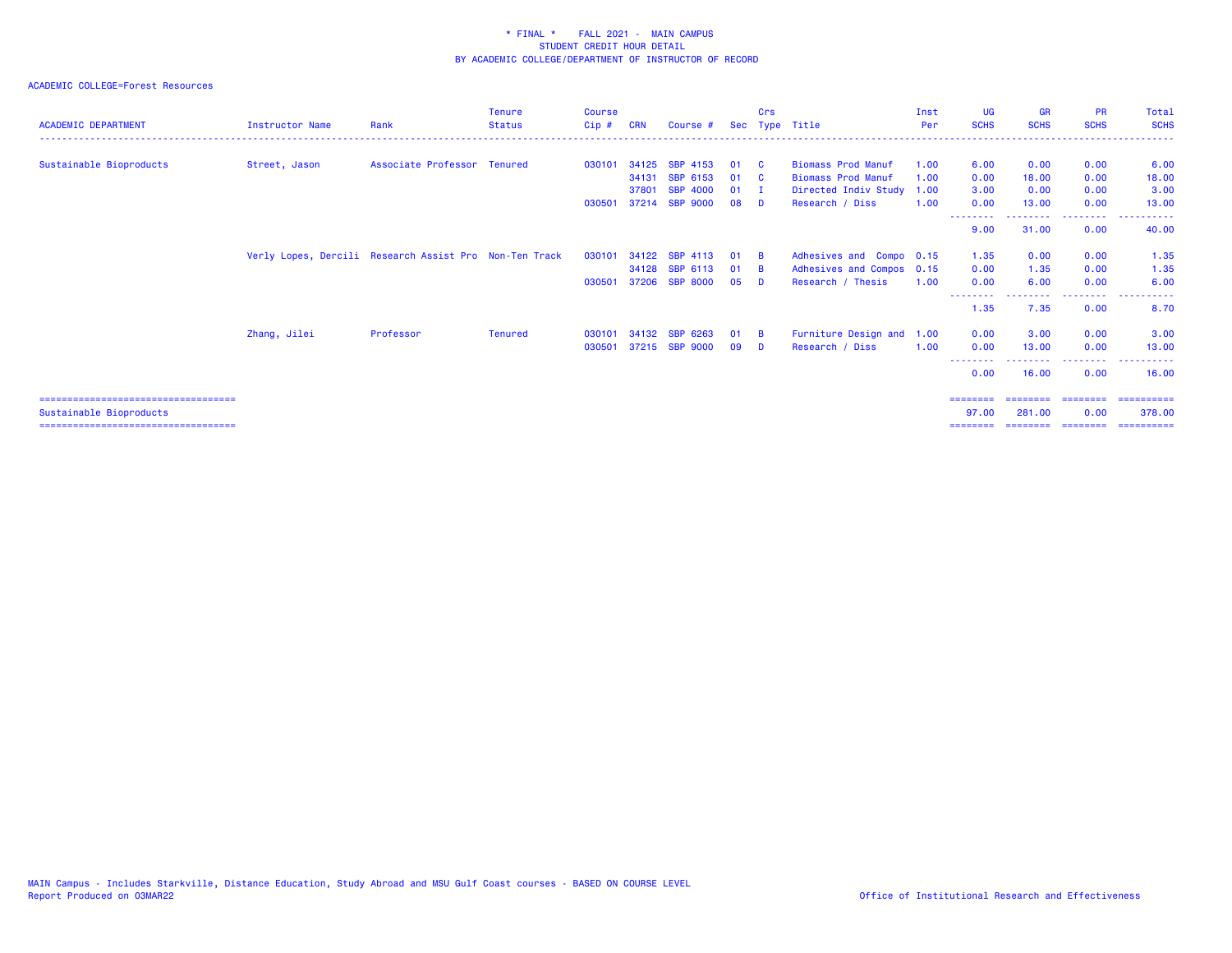| <b>ACADEMIC DEPARTMENT</b>            | <b>Instructor Name</b> | Rank                                                   | <b>Tenure</b><br><b>Status</b> | Course<br>$Cip$ # | <b>CRN</b> | Course #        |          | Crs             | Sec Type Title                                         | Inst<br>Per | <b>UG</b><br><b>SCHS</b> | <b>GR</b><br><b>SCHS</b> | <b>PR</b><br><b>SCHS</b> | Total<br><b>SCHS</b> |
|---------------------------------------|------------------------|--------------------------------------------------------|--------------------------------|-------------------|------------|-----------------|----------|-----------------|--------------------------------------------------------|-------------|--------------------------|--------------------------|--------------------------|----------------------|
|                                       |                        |                                                        |                                |                   | 34125      | SBP 4153        |          |                 |                                                        |             |                          |                          |                          |                      |
| Sustainable Bioproducts               | Street, Jason          | Associate Professor Tenured                            |                                | 030101            | 34131      | SBP 6153        | 01       | <b>C</b>        | <b>Biomass Prod Manuf</b><br><b>Biomass Prod Manuf</b> | 1.00        | 6.00                     | 0.00                     | 0.00<br>0.00             | 6.00                 |
|                                       |                        |                                                        |                                |                   | 37801      | <b>SBP 4000</b> | 01       | - C             |                                                        | 1.00        | 0.00                     | 18,00                    | 0.00                     | 18.00<br>3.00        |
|                                       |                        |                                                        |                                |                   |            | 37214 SBP 9000  | 01<br>08 | - 1<br><b>D</b> | Directed Indiv Study<br>Research / Diss                | 1.00        | 3.00                     | 0.00                     | 0.00                     | 13.00                |
|                                       |                        |                                                        |                                | 030501            |            |                 |          |                 |                                                        | 1.00        | 0.00<br>--------         | 13.00                    | <b>.</b> .               | ------               |
|                                       |                        |                                                        |                                |                   |            |                 |          |                 |                                                        |             | 9.00                     | 31.00                    | 0.00                     | 40.00                |
|                                       |                        | Verly Lopes, Dercili Research Assist Pro Non-Ten Track |                                | 030101            | 34122      | SBP 4113        | 01       | - B             | Adhesives and Compo 0.15                               |             | 1.35                     | 0.00                     | 0.00                     | 1.35                 |
|                                       |                        |                                                        |                                |                   | 34128      | SBP 6113        | 01       | - B             | Adhesives and Compos 0.15                              |             | 0.00                     | 1.35                     | 0.00                     | 1.35                 |
|                                       |                        |                                                        |                                | 030501            | 37206      | <b>SBP 8000</b> | 05       | - n             | Research / Thesis                                      | 1.00        | 0.00                     | 6.00                     | 0.00                     | 6.00                 |
|                                       |                        |                                                        |                                |                   |            |                 |          |                 |                                                        |             | 1.35                     | 7.35                     | . <u>.</u><br>0.00       | 8.70                 |
|                                       | Zhang, Jilei           | Professor                                              | <b>Tenured</b>                 | 030101            |            | 34132 SBP 6263  | 01       | - B             | Furniture Design and 1.00                              |             | 0.00                     | 3.00                     | 0.00                     | 3.00                 |
|                                       |                        |                                                        |                                | 030501            |            | 37215 SBP 9000  | 09       | <b>D</b>        | Research / Diss                                        | 1.00        | 0.00                     | 13.00                    | 0.00                     | 13.00                |
|                                       |                        |                                                        |                                |                   |            |                 |          |                 |                                                        |             | --------<br>0.00         | 16.00                    | 0.00                     | 16.00                |
| ===================================== |                        |                                                        |                                |                   |            |                 |          |                 |                                                        |             | ========                 |                          | ===================      | -----------          |
| Sustainable Bioproducts               |                        |                                                        |                                |                   |            |                 |          |                 |                                                        |             | 97.00                    | 281,00                   | 0.00                     | 378.00               |
| ===================================== |                        |                                                        |                                |                   |            |                 |          |                 |                                                        |             | ========                 |                          | ==================       | -----------          |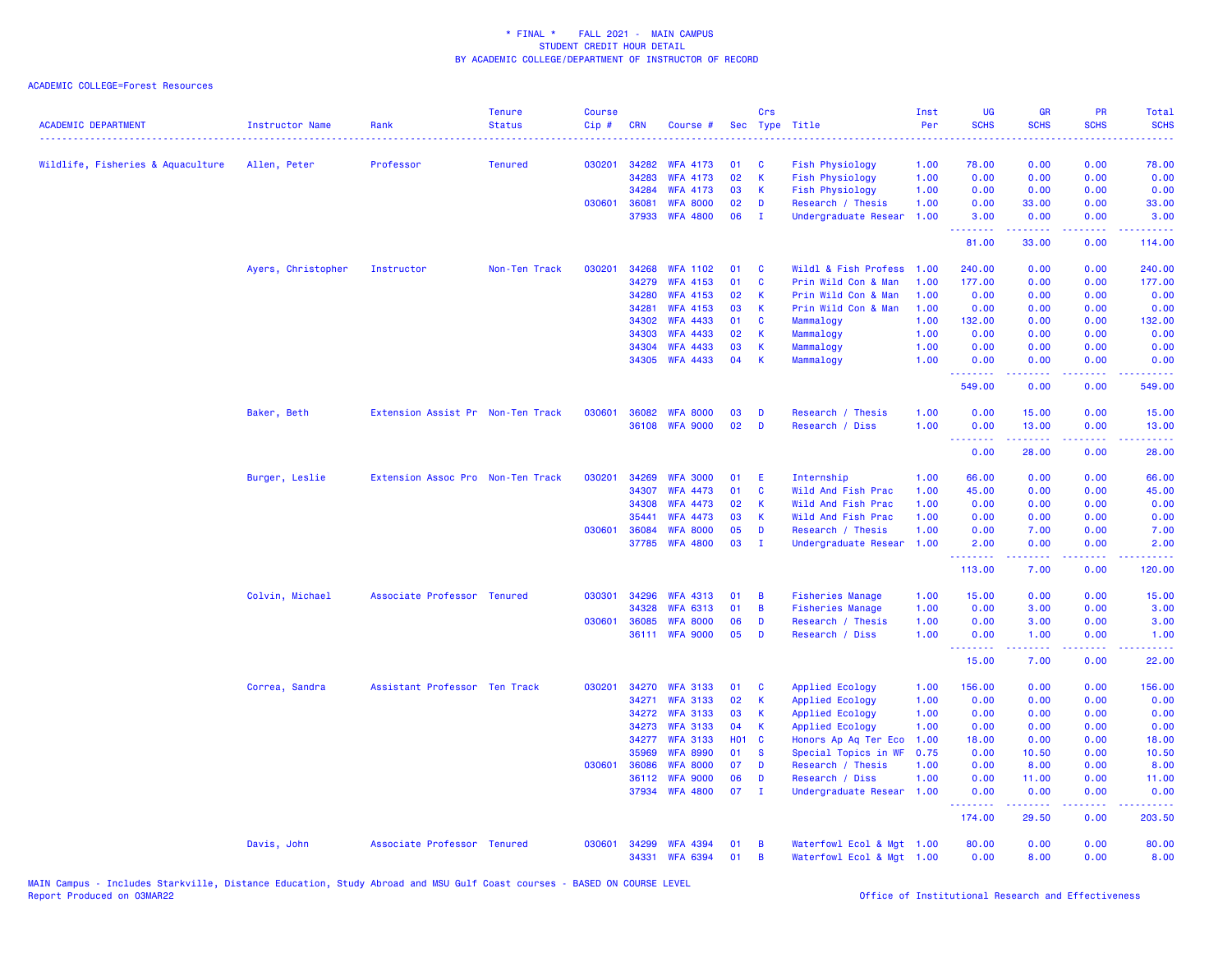| <b>ACADEMIC DEPARTMENT</b>        | Instructor Name    | Rank                              | <b>Tenure</b><br><b>Status</b> | <b>Course</b><br>$Cip$ # | <b>CRN</b> | Course #        |            | Crs          | Sec Type Title            | Inst<br>Per | UG<br><b>SCHS</b>               | <b>GR</b><br><b>SCHS</b>                                                                                                          | PR<br><b>SCHS</b>                                                                                      | Total<br><b>SCHS</b>                                                                                                                                         |
|-----------------------------------|--------------------|-----------------------------------|--------------------------------|--------------------------|------------|-----------------|------------|--------------|---------------------------|-------------|---------------------------------|-----------------------------------------------------------------------------------------------------------------------------------|--------------------------------------------------------------------------------------------------------|--------------------------------------------------------------------------------------------------------------------------------------------------------------|
| Wildlife, Fisheries & Aquaculture | Allen, Peter       | Professor                         | <b>Tenured</b>                 | 030201                   | 34282      | <b>WFA 4173</b> | 01         | $\mathbf{C}$ | <b>Fish Physiology</b>    | 1.00        | 78.00                           | 0.00                                                                                                                              | 0.00                                                                                                   | 78.00                                                                                                                                                        |
|                                   |                    |                                   |                                |                          | 34283      | <b>WFA 4173</b> | 02         | $\mathsf{K}$ | <b>Fish Physiology</b>    | 1.00        | 0.00                            | 0.00                                                                                                                              | 0.00                                                                                                   | 0.00                                                                                                                                                         |
|                                   |                    |                                   |                                |                          | 34284      | <b>WFA 4173</b> | 03         | K            | <b>Fish Physiology</b>    | 1.00        | 0.00                            | 0.00                                                                                                                              | 0.00                                                                                                   | 0.00                                                                                                                                                         |
|                                   |                    |                                   |                                | 030601                   | 36081      | <b>WFA 8000</b> | 02         | D            | Research / Thesis         | 1.00        | 0.00                            | 33.00                                                                                                                             | 0.00                                                                                                   | 33.00                                                                                                                                                        |
|                                   |                    |                                   |                                |                          | 37933      | <b>WFA 4800</b> | 06         | $\mathbf I$  | Undergraduate Resear      | 1.00        | 3.00<br><u> - - - - - - - -</u> | 0.00<br>$- - - - -$                                                                                                               | 0.00<br>$\frac{1}{2} \left( \frac{1}{2} \right) \left( \frac{1}{2} \right) \left( \frac{1}{2} \right)$ | 3.00<br>$\frac{1}{2} \left( \frac{1}{2} \right) \left( \frac{1}{2} \right) \left( \frac{1}{2} \right) \left( \frac{1}{2} \right) \left( \frac{1}{2} \right)$ |
|                                   |                    |                                   |                                |                          |            |                 |            |              |                           |             | 81.00                           | 33.00                                                                                                                             | 0.00                                                                                                   | 114.00                                                                                                                                                       |
|                                   | Ayers, Christopher | Instructor                        | Non-Ten Track                  | 030201                   | 34268      | <b>WFA 1102</b> | 01         | <b>C</b>     | Wildl & Fish Profess      | 1.00        | 240.00                          | 0.00                                                                                                                              | 0.00                                                                                                   | 240.00                                                                                                                                                       |
|                                   |                    |                                   |                                |                          | 34279      | <b>WFA 4153</b> | 01         | $\mathbf{C}$ | Prin Wild Con & Man       | 1.00        | 177.00                          | 0.00                                                                                                                              | 0.00                                                                                                   | 177.00                                                                                                                                                       |
|                                   |                    |                                   |                                |                          | 34280      | <b>WFA 4153</b> | 02         | K            | Prin Wild Con & Man       | 1.00        | 0.00                            | 0.00                                                                                                                              | 0.00                                                                                                   | 0.00                                                                                                                                                         |
|                                   |                    |                                   |                                |                          | 34281      | <b>WFA 4153</b> | 03         | $\mathsf{K}$ | Prin Wild Con & Man       | 1.00        | 0.00                            | 0.00                                                                                                                              | 0.00                                                                                                   | 0.00                                                                                                                                                         |
|                                   |                    |                                   |                                |                          | 34302      | <b>WFA 4433</b> | 01         | $\mathbf{C}$ | Mammalogy                 | 1.00        | 132.00                          | 0.00                                                                                                                              | 0.00                                                                                                   | 132.00                                                                                                                                                       |
|                                   |                    |                                   |                                |                          | 34303      | <b>WFA 4433</b> | 02         | К            | Mammalogy                 | 1.00        | 0.00                            | 0.00                                                                                                                              | 0.00                                                                                                   | 0.00                                                                                                                                                         |
|                                   |                    |                                   |                                |                          | 34304      | <b>WFA 4433</b> | 03         | K            | Mammalogy                 | 1.00        | 0.00                            | 0.00                                                                                                                              | 0.00                                                                                                   | 0.00                                                                                                                                                         |
|                                   |                    |                                   |                                |                          |            | 34305 WFA 4433  | 04         | K            | Mammalogy                 | 1.00        | 0.00<br>.                       | 0.00<br>.                                                                                                                         | 0.00<br>$\sim$ $\sim$ $\sim$ $\sim$                                                                    | 0.00                                                                                                                                                         |
|                                   |                    |                                   |                                |                          |            |                 |            |              |                           |             | 549.00                          | 0.00                                                                                                                              | 0.00                                                                                                   | 549.00                                                                                                                                                       |
|                                   | Baker, Beth        | Extension Assist Pr Non-Ten Track |                                | 030601                   | 36082      | <b>WFA 8000</b> | 03         | D            | Research / Thesis         | 1.00        | 0.00                            | 15.00                                                                                                                             | 0.00                                                                                                   | 15.00                                                                                                                                                        |
|                                   |                    |                                   |                                |                          | 36108      | <b>WFA 9000</b> | 02         | D            | Research / Diss           | 1.00        | 0.00<br>.                       | 13.00<br>22222                                                                                                                    | 0.00<br>$- - - -$                                                                                      | 13.00<br>$\frac{1}{2} \left( \frac{1}{2} \right) \left( \frac{1}{2} \right) \left( \frac{1}{2} \right) \left( \frac{1}{2} \right)$                           |
|                                   |                    |                                   |                                |                          |            |                 |            |              |                           |             | 0.00                            | 28.00                                                                                                                             | 0.00                                                                                                   | 28.00                                                                                                                                                        |
|                                   | Burger, Leslie     | Extension Assoc Pro Non-Ten Track |                                | 030201                   | 34269      | <b>WFA 3000</b> | 01         | Ε            | Internship                | 1.00        | 66.00                           | 0.00                                                                                                                              | 0.00                                                                                                   | 66.00                                                                                                                                                        |
|                                   |                    |                                   |                                |                          | 34307      | <b>WFA 4473</b> | 01         | $\mathbf{C}$ | Wild And Fish Prac        | 1.00        | 45.00                           | 0.00                                                                                                                              | 0.00                                                                                                   | 45.00                                                                                                                                                        |
|                                   |                    |                                   |                                |                          | 34308      | <b>WFA 4473</b> | 02         | K            | Wild And Fish Prac        | 1.00        | 0.00                            | 0.00                                                                                                                              | 0.00                                                                                                   | 0.00                                                                                                                                                         |
|                                   |                    |                                   |                                |                          | 35441      | <b>WFA 4473</b> | 03         | K            | Wild And Fish Prac        | 1.00        | 0.00                            | 0.00                                                                                                                              | 0.00                                                                                                   | 0.00                                                                                                                                                         |
|                                   |                    |                                   |                                | 030601                   | 36084      | <b>WFA 8000</b> | 05         | D            | Research / Thesis         | 1.00        | 0.00                            | 7.00                                                                                                                              | 0.00                                                                                                   | 7.00                                                                                                                                                         |
|                                   |                    |                                   |                                |                          | 37785      | <b>WFA 4800</b> | 03         | $\mathbf I$  | Undergraduate Resear      | 1.00        | 2.00<br>--------                | 0.00<br>.                                                                                                                         | 0.00<br>بالمحامي                                                                                       | 2.00<br>المتمام المالي                                                                                                                                       |
|                                   |                    |                                   |                                |                          |            |                 |            |              |                           |             | 113.00                          | 7.00                                                                                                                              | 0.00                                                                                                   | 120.00                                                                                                                                                       |
|                                   | Colvin, Michael    | Associate Professor Tenured       |                                | 030301                   | 34296      | <b>WFA 4313</b> | 01         | B            | <b>Fisheries Manage</b>   | 1.00        | 15.00                           | 0.00                                                                                                                              | 0.00                                                                                                   | 15.00                                                                                                                                                        |
|                                   |                    |                                   |                                |                          | 34328      | <b>WFA 6313</b> | 01         | B            | <b>Fisheries Manage</b>   | 1.00        | 0.00                            | 3.00                                                                                                                              | 0.00                                                                                                   | 3.00                                                                                                                                                         |
|                                   |                    |                                   |                                | 030601                   | 36085      | <b>WFA 8000</b> | 06         | D            | Research / Thesis         | 1.00        | 0.00                            | 3.00                                                                                                                              | 0.00                                                                                                   | 3.00                                                                                                                                                         |
|                                   |                    |                                   |                                |                          |            | 36111 WFA 9000  | 05         | D            | Research / Diss           | 1.00        | 0.00<br><u>.</u>                | 1.00<br>.                                                                                                                         | 0.00<br>.                                                                                              | 1.00                                                                                                                                                         |
|                                   |                    |                                   |                                |                          |            |                 |            |              |                           |             | 15.00                           | 7.00                                                                                                                              | 0.00                                                                                                   | 22.00                                                                                                                                                        |
|                                   | Correa, Sandra     | Assistant Professor Ten Track     |                                | 030201                   |            | 34270 WFA 3133  | 01         | C            | Applied Ecology           | 1.00        | 156.00                          | 0.00                                                                                                                              | 0.00                                                                                                   | 156.00                                                                                                                                                       |
|                                   |                    |                                   |                                |                          | 34271      | <b>WFA 3133</b> | 02         | K            | Applied Ecology           | 1.00        | 0.00                            | 0.00                                                                                                                              | 0.00                                                                                                   | 0.00                                                                                                                                                         |
|                                   |                    |                                   |                                |                          | 34272      | <b>WFA 3133</b> | 03         | К            | Applied Ecology           | 1.00        | 0.00                            | 0.00                                                                                                                              | 0.00                                                                                                   | 0.00                                                                                                                                                         |
|                                   |                    |                                   |                                |                          | 34273      | <b>WFA 3133</b> | 04         | K            | Applied Ecology           | 1.00        | 0.00                            | 0.00                                                                                                                              | 0.00                                                                                                   | 0.00                                                                                                                                                         |
|                                   |                    |                                   |                                |                          | 34277      | <b>WFA 3133</b> | <b>HO1</b> | $\mathbf{C}$ | Honors Ap Aq Ter Eco      | 1.00        | 18.00                           | 0.00                                                                                                                              | 0.00                                                                                                   | 18.00                                                                                                                                                        |
|                                   |                    |                                   |                                |                          | 35969      | <b>WFA 8990</b> | 01         | <b>S</b>     | Special Topics in WF      | 0.75        | 0.00                            | 10.50                                                                                                                             | 0.00                                                                                                   | 10.50                                                                                                                                                        |
|                                   |                    |                                   |                                | 030601                   | 36086      | <b>WFA 8000</b> | 07         | D            | Research / Thesis         | 1.00        | 0.00                            | 8.00                                                                                                                              | 0.00                                                                                                   | 8.00                                                                                                                                                         |
|                                   |                    |                                   |                                |                          | 36112      | <b>WFA 9000</b> | 06         | D            | Research / Diss           | 1.00        | 0.00                            | 11.00                                                                                                                             | 0.00                                                                                                   | 11.00                                                                                                                                                        |
|                                   |                    |                                   |                                |                          | 37934      | <b>WFA 4800</b> | 07         | $\mathbf{I}$ | Undergraduate Resear      | 1.00        | 0.00<br><u>.</u>                | 0.00<br>$\frac{1}{2} \left( \frac{1}{2} \right) \left( \frac{1}{2} \right) \left( \frac{1}{2} \right) \left( \frac{1}{2} \right)$ | 0.00<br>د د د د                                                                                        | 0.00<br>.                                                                                                                                                    |
|                                   |                    |                                   |                                |                          |            |                 |            |              |                           |             | 174.00                          | 29.50                                                                                                                             | 0.00                                                                                                   | 203.50                                                                                                                                                       |
|                                   | Davis, John        | Associate Professor Tenured       |                                | 030601                   | 34299      | <b>WFA 4394</b> | 01         | B            | Waterfowl Ecol & Mgt 1.00 |             | 80.00                           | 0.00                                                                                                                              | 0.00                                                                                                   | 80.00                                                                                                                                                        |
|                                   |                    |                                   |                                |                          | 34331      | <b>WFA 6394</b> | 01         | B            | Waterfowl Ecol & Mgt 1.00 |             | 0.00                            | 8.00                                                                                                                              | 0.00                                                                                                   | 8.00                                                                                                                                                         |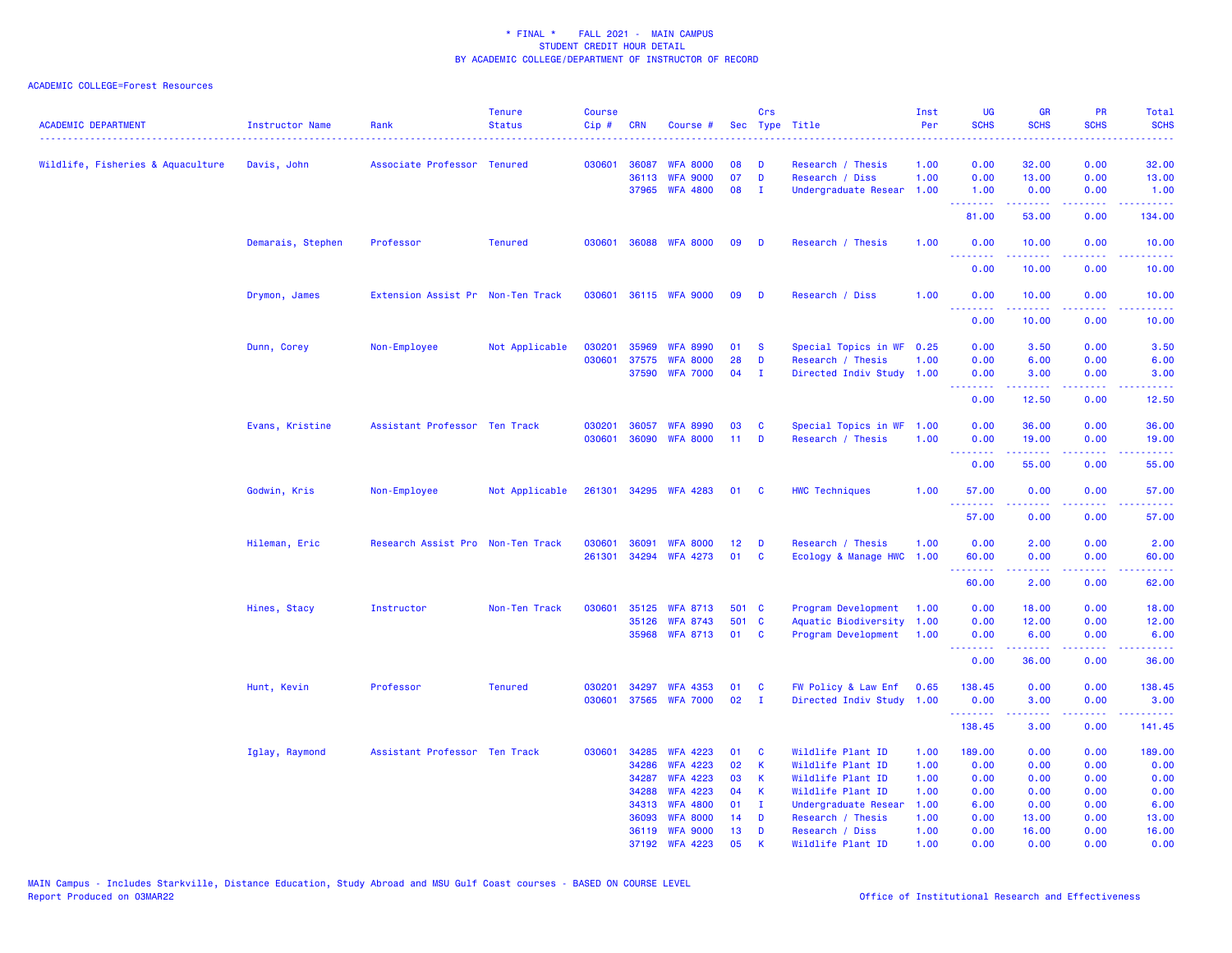| <b>ACADEMIC DEPARTMENT</b>        | Instructor Name<br>. | Rank                              | <b>Tenure</b><br><b>Status</b> | <b>Course</b><br>$Cip$ # | <b>CRN</b>     | Course #                           | Sec      | <b>Crs</b>   | Type Title                           | Inst<br>Per  | <b>UG</b><br><b>SCHS</b> | <b>GR</b><br><b>SCHS</b>                                                                                                                                      | PR<br><b>SCHS</b>                                                                                                                 | <b>Total</b><br><b>SCHS</b><br>.                                                                                                                               |
|-----------------------------------|----------------------|-----------------------------------|--------------------------------|--------------------------|----------------|------------------------------------|----------|--------------|--------------------------------------|--------------|--------------------------|---------------------------------------------------------------------------------------------------------------------------------------------------------------|-----------------------------------------------------------------------------------------------------------------------------------|----------------------------------------------------------------------------------------------------------------------------------------------------------------|
| Wildlife, Fisheries & Aquaculture | Davis, John          | Associate Professor Tenured       |                                | 030601                   | 36087          | <b>WFA 8000</b>                    | 08       | D            | Research / Thesis                    | 1.00         | 0.00                     | 32.00                                                                                                                                                         | 0.00                                                                                                                              | 32.00                                                                                                                                                          |
|                                   |                      |                                   |                                |                          | 36113          | <b>WFA 9000</b>                    | 07       | D            | Research / Diss                      | 1.00         | 0.00                     | 13.00                                                                                                                                                         | 0.00                                                                                                                              | 13.00                                                                                                                                                          |
|                                   |                      |                                   |                                |                          | 37965          | <b>WFA 4800</b>                    | 08       | $\mathbf{I}$ | Undergraduate Resear                 | 1.00         | 1.00                     | 0.00                                                                                                                                                          | 0.00                                                                                                                              | 1.00                                                                                                                                                           |
|                                   |                      |                                   |                                |                          |                |                                    |          |              |                                      |              | <u>.</u><br>81.00        | 53.00                                                                                                                                                         | $\sim$ $\sim$ $\sim$ $\sim$<br>0.00                                                                                               | $\frac{1}{2} \left( \frac{1}{2} \right) \left( \frac{1}{2} \right) \left( \frac{1}{2} \right) \left( \frac{1}{2} \right) \left( \frac{1}{2} \right)$<br>134.00 |
|                                   | Demarais, Stephen    | Professor                         | <b>Tenured</b>                 | 030601                   |                | 36088 WFA 8000                     | 09       | D            | Research / Thesis                    | 1.00         | 0.00<br>.                | 10.00                                                                                                                                                         | 0.00                                                                                                                              | 10.00<br>.                                                                                                                                                     |
|                                   |                      |                                   |                                |                          |                |                                    |          |              |                                      |              | 0.00                     | 10.00                                                                                                                                                         | 0.00                                                                                                                              | 10.00                                                                                                                                                          |
|                                   | Drymon, James        | Extension Assist Pr Non-Ten Track |                                | 030601                   |                | 36115 WFA 9000                     | 09       | D            | Research / Diss                      | 1.00         | 0.00                     | 10.00                                                                                                                                                         | 0.00                                                                                                                              | 10.00                                                                                                                                                          |
|                                   |                      |                                   |                                |                          |                |                                    |          |              |                                      |              | 0.00                     | 10.00                                                                                                                                                         | 0.00                                                                                                                              | 10.00                                                                                                                                                          |
|                                   | Dunn, Corey          | Non-Employee                      | Not Applicable                 | 030201                   | 35969          | <b>WFA 8990</b>                    | 01       | $\mathbf{s}$ | Special Topics in WF                 | 0.25         | 0.00                     | 3.50                                                                                                                                                          | 0.00                                                                                                                              | 3.50                                                                                                                                                           |
|                                   |                      |                                   |                                | 030601                   | 37575          | <b>WFA 8000</b>                    | 28       | D            | Research / Thesis                    | 1.00         | 0.00                     | 6.00                                                                                                                                                          | 0.00                                                                                                                              | 6.00                                                                                                                                                           |
|                                   |                      |                                   |                                |                          | 37590          | <b>WFA 7000</b>                    | 04       | $\mathbf{I}$ | Directed Indiv Study 1.00            |              | 0.00<br>.                | 3.00<br><b><i><u><u> - - - - - -</u></u></i></b>                                                                                                              | 0.00<br>22222                                                                                                                     | 3.00<br>.                                                                                                                                                      |
|                                   |                      |                                   |                                |                          |                |                                    |          |              |                                      |              | 0.00                     | 12.50                                                                                                                                                         | 0.00                                                                                                                              | 12.50                                                                                                                                                          |
|                                   | Evans, Kristine      | Assistant Professor Ten Track     |                                | 030201                   | 36057          | <b>WFA 8990</b>                    | 03       | C            | Special Topics in WF                 | 1.00         | 0.00                     | 36.00                                                                                                                                                         | 0.00                                                                                                                              | 36.00                                                                                                                                                          |
|                                   |                      |                                   |                                | 030601                   | 36090          | <b>WFA 8000</b>                    | 11       | D            | Research / Thesis                    | 1.00         | 0.00                     | 19.00                                                                                                                                                         | 0.00                                                                                                                              | 19.00                                                                                                                                                          |
|                                   |                      |                                   |                                |                          |                |                                    |          |              |                                      |              | .<br>0.00                | $\frac{1}{2} \left( \frac{1}{2} \right) \left( \frac{1}{2} \right) \left( \frac{1}{2} \right) \left( \frac{1}{2} \right) \left( \frac{1}{2} \right)$<br>55.00 | المالمات<br>0.00                                                                                                                  | .<br>55.00                                                                                                                                                     |
|                                   | Godwin, Kris         | Non-Employee                      | Not Applicable                 |                          |                | 261301 34295 WFA 4283              | 01       | <b>C</b>     | <b>HWC Techniques</b>                | 1.00         | 57.00<br>.               | 0.00                                                                                                                                                          | 0.00<br>$\frac{1}{2} \left( \frac{1}{2} \right) \left( \frac{1}{2} \right) \left( \frac{1}{2} \right) \left( \frac{1}{2} \right)$ | 57.00<br>$\sim$ $\sim$ $\sim$ $\sim$ $\sim$                                                                                                                    |
|                                   |                      |                                   |                                |                          |                |                                    |          |              |                                      |              | 57.00                    | 0.00                                                                                                                                                          | 0.00                                                                                                                              | 57.00                                                                                                                                                          |
|                                   | Hileman, Eric        | Research Assist Pro Non-Ten Track |                                | 030601                   | 36091          | <b>WFA 8000</b>                    | 12       | D            | Research / Thesis                    | 1.00         | 0.00                     | 2.00                                                                                                                                                          | 0.00                                                                                                                              | 2.00                                                                                                                                                           |
|                                   |                      |                                   |                                | 261301                   |                | 34294 WFA 4273                     | 01       | C            | Ecology & Manage HWC                 | 1.00         | 60.00                    | 0.00                                                                                                                                                          | 0.00                                                                                                                              | 60.00                                                                                                                                                          |
|                                   |                      |                                   |                                |                          |                |                                    |          |              |                                      |              | ---------<br>60.00       | بالأباب<br>2.00                                                                                                                                               | بالأباب<br>0.00                                                                                                                   | $\frac{1}{2} \left( \frac{1}{2} \right) \left( \frac{1}{2} \right) \left( \frac{1}{2} \right) \left( \frac{1}{2} \right) \left( \frac{1}{2} \right)$<br>62.00  |
|                                   | Hines, Stacy         | Instructor                        | Non-Ten Track                  | 030601                   | 35125          | <b>WFA 8713</b>                    | 501 C    |              | Program Development                  | 1.00         | 0.00                     | 18.00                                                                                                                                                         | 0.00                                                                                                                              | 18.00                                                                                                                                                          |
|                                   |                      |                                   |                                |                          | 35126          | <b>WFA 8743</b>                    | 501      | $\mathbf{C}$ | Aquatic Biodiversity                 | 1.00         | 0.00                     | 12.00                                                                                                                                                         | 0.00                                                                                                                              | 12.00                                                                                                                                                          |
|                                   |                      |                                   |                                |                          |                | 35968 WFA 8713                     | 01       | <b>C</b>     | Program Development                  | 1.00         | 0.00<br>--------         | 6.00<br>.                                                                                                                                                     | 0.00<br>.                                                                                                                         | 6.00<br>والمستناط                                                                                                                                              |
|                                   |                      |                                   |                                |                          |                |                                    |          |              |                                      |              | 0.00                     | 36.00                                                                                                                                                         | 0.00                                                                                                                              | 36.00                                                                                                                                                          |
|                                   | Hunt, Kevin          | Professor                         | <b>Tenured</b>                 | 030201                   | 34297          | <b>WFA 4353</b>                    | 01       | C            | FW Policy & Law Enf                  | 0.65         | 138.45                   | 0.00                                                                                                                                                          | 0.00                                                                                                                              | 138.45                                                                                                                                                         |
|                                   |                      |                                   |                                | 030601                   | 37565          | <b>WFA 7000</b>                    | 02       | $\mathbf{I}$ | Directed Indiv Study                 | 1.00         | 0.00<br><u> 22222222</u> | 3.00                                                                                                                                                          | 0.00<br>$  -$                                                                                                                     | 3.00<br>.                                                                                                                                                      |
|                                   |                      |                                   |                                |                          |                |                                    |          |              |                                      |              | 138.45                   | 3.00                                                                                                                                                          | 0.00                                                                                                                              | 141.45                                                                                                                                                         |
|                                   | Iglay, Raymond       | Assistant Professor Ten Track     |                                | 030601                   | 34285          | <b>WFA 4223</b>                    | 01       | C            | Wildlife Plant ID                    | 1.00         | 189.00                   | 0.00                                                                                                                                                          | 0.00                                                                                                                              | 189.00                                                                                                                                                         |
|                                   |                      |                                   |                                |                          | 34286          | <b>WFA 4223</b>                    | 02       | $\mathsf K$  | Wildlife Plant ID                    | 1.00         | 0.00                     | 0.00                                                                                                                                                          | 0.00                                                                                                                              | 0.00                                                                                                                                                           |
|                                   |                      |                                   |                                |                          | 34287          | <b>WFA 4223</b>                    | 03       | К            | Wildlife Plant ID                    | 1.00         | 0.00                     | 0.00                                                                                                                                                          | 0.00                                                                                                                              | 0.00                                                                                                                                                           |
|                                   |                      |                                   |                                |                          | 34288          | <b>WFA 4223</b>                    | 04       | K            | Wildlife Plant ID                    | 1.00         | 0.00                     | 0.00                                                                                                                                                          | 0.00                                                                                                                              | 0.00                                                                                                                                                           |
|                                   |                      |                                   |                                |                          | 34313          | <b>WFA 4800</b>                    | 01       | $\mathbf{I}$ | Undergraduate Resear                 | 1.00         | 6.00                     | 0.00                                                                                                                                                          | 0.00                                                                                                                              | 6.00                                                                                                                                                           |
|                                   |                      |                                   |                                |                          | 36093<br>36119 | <b>WFA 8000</b><br><b>WFA 9000</b> | 14<br>13 | D<br>D       | Research / Thesis<br>Research / Diss | 1.00<br>1.00 | 0.00<br>0.00             | 13.00<br>16.00                                                                                                                                                | 0.00<br>0.00                                                                                                                      | 13.00<br>16.00                                                                                                                                                 |
|                                   |                      |                                   |                                |                          | 37192          | <b>WFA 4223</b>                    | 05       | К            | Wildlife Plant ID                    | 1.00         | 0.00                     | 0.00                                                                                                                                                          | 0.00                                                                                                                              | 0.00                                                                                                                                                           |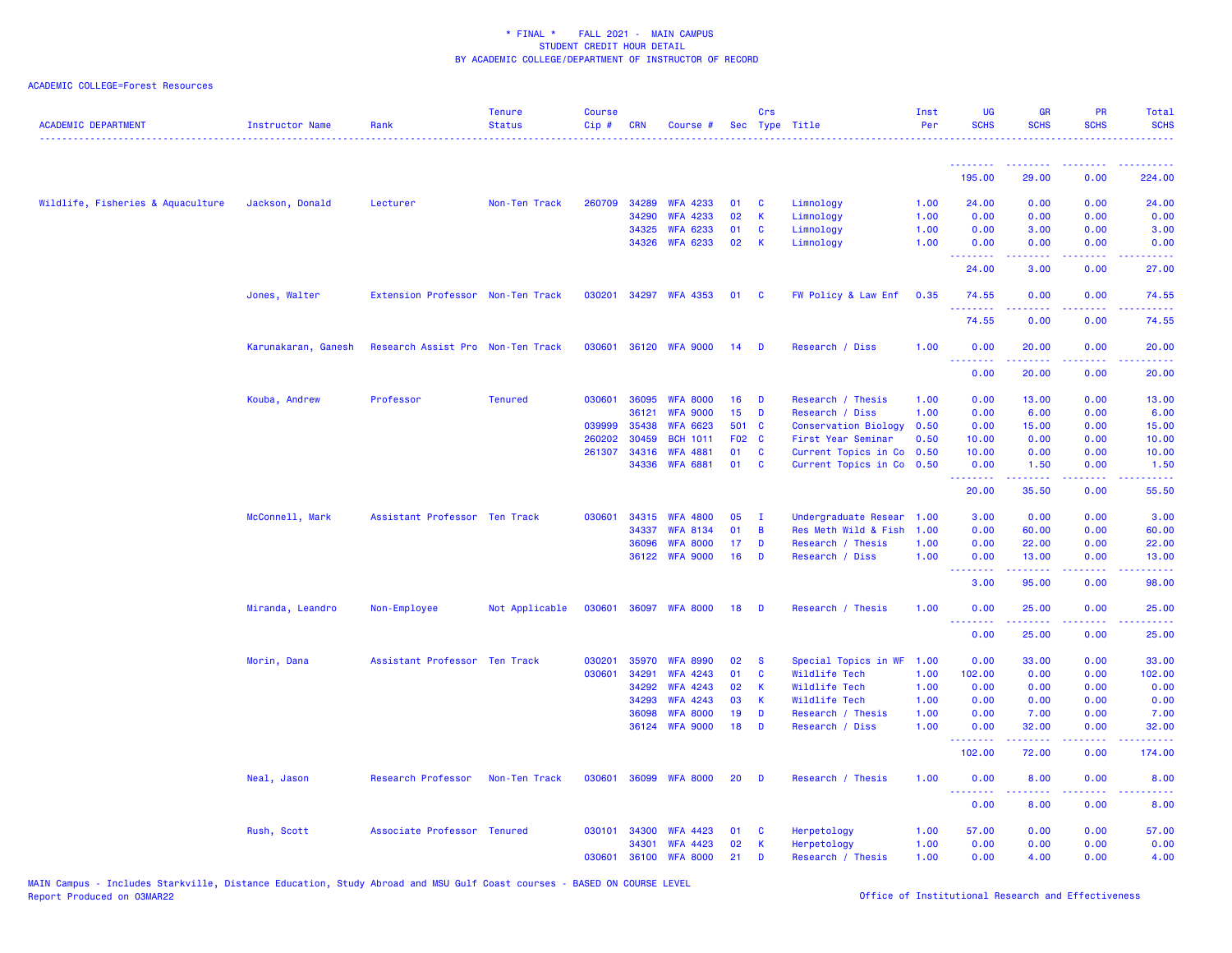| <b>ACADEMIC DEPARTMENT</b>        | <b>Instructor Name</b> | Rank                              | <b>Tenure</b><br><b>Status</b> | <b>Course</b><br>$Cip$ # | <b>CRN</b> | Course #              |                 | Crs<br>Sec Type Title |                             | Inst<br>Per | UG<br><b>SCHS</b>                                        | <b>GR</b><br><b>SCHS</b> | PR<br><b>SCHS</b> | Total<br><b>SCHS</b>                                                                                                               |
|-----------------------------------|------------------------|-----------------------------------|--------------------------------|--------------------------|------------|-----------------------|-----------------|-----------------------|-----------------------------|-------------|----------------------------------------------------------|--------------------------|-------------------|------------------------------------------------------------------------------------------------------------------------------------|
|                                   |                        |                                   |                                |                          |            |                       |                 |                       |                             |             | <u>.</u>                                                 | <u>.</u>                 | <u>.</u>          | <u>.</u>                                                                                                                           |
|                                   |                        |                                   |                                |                          |            |                       |                 |                       |                             |             | 195.00                                                   | 29.00                    | 0.00              | 224.00                                                                                                                             |
| Wildlife, Fisheries & Aquaculture | Jackson, Donald        | Lecturer                          | Non-Ten Track                  | 260709                   | 34289      | <b>WFA 4233</b>       | 01              | <b>C</b>              | Limnology                   | 1.00        | 24.00                                                    | 0.00                     | 0.00              | 24.00                                                                                                                              |
|                                   |                        |                                   |                                |                          | 34290      | <b>WFA 4233</b>       | 02              | K                     | Limnology                   | 1.00        | 0.00                                                     | 0.00                     | 0.00              | 0.00                                                                                                                               |
|                                   |                        |                                   |                                |                          | 34325      | <b>WFA 6233</b>       | 01              | C                     | Limnology                   | 1.00        | 0.00                                                     | 3.00                     | 0.00              | 3.00                                                                                                                               |
|                                   |                        |                                   |                                |                          | 34326      | <b>WFA 6233</b>       | 02              | K                     | Limnology                   | 1.00        | 0.00<br><u>.</u>                                         | 0.00                     | 0.00<br>2222      | 0.00<br>.                                                                                                                          |
|                                   |                        |                                   |                                |                          |            |                       |                 |                       |                             |             | 24.00                                                    | 3.00                     | 0.00              | 27.00                                                                                                                              |
|                                   | Jones, Walter          | Extension Professor Non-Ten Track |                                |                          |            | 030201 34297 WFA 4353 | 01              | <b>C</b>              | FW Policy & Law Enf         | 0.35        | 74.55<br><u> - - - - - - - -</u>                         | 0.00<br><u>.</u>         | 0.00<br>.         | 74.55<br>.                                                                                                                         |
|                                   |                        |                                   |                                |                          |            |                       |                 |                       |                             |             | 74.55                                                    | 0.00                     | 0.00              | 74.55                                                                                                                              |
|                                   | Karunakaran, Ganesh    | Research Assist Pro Non-Ten Track |                                | 030601                   |            | 36120 WFA 9000        | 14              | D                     | Research / Diss             | 1.00        | 0.00                                                     | 20.00                    | 0.00              | 20.00                                                                                                                              |
|                                   |                        |                                   |                                |                          |            |                       |                 |                       |                             |             | <u>.</u><br>0.00                                         | 20.00                    | 0.00              | وبالمستريب<br>20.00                                                                                                                |
|                                   | Kouba, Andrew          | Professor                         | <b>Tenured</b>                 | 030601                   | 36095      | <b>WFA 8000</b>       | 16              | D                     | Research / Thesis           | 1.00        | 0.00                                                     | 13.00                    | 0.00              | 13.00                                                                                                                              |
|                                   |                        |                                   |                                |                          | 36121      | <b>WFA 9000</b>       | 15              | D                     | Research / Diss             | 1.00        | 0.00                                                     | 6.00                     | 0.00              | 6.00                                                                                                                               |
|                                   |                        |                                   |                                | 039999                   | 35438      | <b>WFA 6623</b>       | 501             | $\mathbf{C}$          | <b>Conservation Biology</b> | 0.50        | 0.00                                                     | 15.00                    | 0.00              | 15.00                                                                                                                              |
|                                   |                        |                                   |                                | 260202                   | 30459      | <b>BCH 1011</b>       | F <sub>02</sub> | <b>C</b>              | First Year Seminar          | 0.50        | 10.00                                                    | 0.00                     | 0.00              | 10.00                                                                                                                              |
|                                   |                        |                                   |                                | 261307                   | 34316      | <b>WFA 4881</b>       | 01              | <b>C</b>              | Current Topics in Co        | 0.50        | 10.00                                                    | 0.00                     | 0.00              | 10.00                                                                                                                              |
|                                   |                        |                                   |                                |                          | 34336      | <b>WFA 6881</b>       | 01              | <b>C</b>              | Current Topics in Co        | 0.50        | 0.00<br>.                                                | 1.50<br>المتمام والمناور | 0.00<br>.         | 1.50<br>.                                                                                                                          |
|                                   |                        |                                   |                                |                          |            |                       |                 |                       |                             |             | 20.00                                                    | 35.50                    | 0.00              | 55.50                                                                                                                              |
|                                   | McConnell, Mark        | Assistant Professor Ten Track     |                                | 030601                   | 34315      | <b>WFA 4800</b>       | 05              | $\mathbf I$           | Undergraduate Resear        | 1.00        | 3.00                                                     | 0.00                     | 0.00              | 3.00                                                                                                                               |
|                                   |                        |                                   |                                |                          | 34337      | <b>WFA 8134</b>       | 01              | B                     | Res Meth Wild & Fish        | 1.00        | 0.00                                                     | 60.00                    | 0.00              | 60.00                                                                                                                              |
|                                   |                        |                                   |                                |                          | 36096      | <b>WFA 8000</b>       | 17              | D                     | Research / Thesis           | 1.00        | 0.00                                                     | 22.00                    | 0.00              | 22.00                                                                                                                              |
|                                   |                        |                                   |                                |                          | 36122      | <b>WFA 9000</b>       | 16              | D                     | Research / Diss             | 1.00        | 0.00<br><u>.</u>                                         | 13.00<br>.               | 0.00<br>.         | 13.00<br>$\frac{1}{2} \left( \frac{1}{2} \right) \left( \frac{1}{2} \right) \left( \frac{1}{2} \right) \left( \frac{1}{2} \right)$ |
|                                   |                        |                                   |                                |                          |            |                       |                 |                       |                             |             | 3.00                                                     | 95.00                    | 0.00              | 98.00                                                                                                                              |
|                                   | Miranda, Leandro       | Non-Employee                      | Not Applicable                 | 030601                   |            | 36097 WFA 8000        | 18              | D                     | Research / Thesis           | 1.00        | 0.00<br>.                                                | 25.00                    | 0.00              | 25.00                                                                                                                              |
|                                   |                        |                                   |                                |                          |            |                       |                 |                       |                             |             | 0.00                                                     | 25.00                    | 0.00              | 25.00                                                                                                                              |
|                                   | Morin, Dana            | Assistant Professor Ten Track     |                                | 030201                   | 35970      | <b>WFA 8990</b>       | 02              | -S                    | Special Topics in WF        | 1.00        | 0.00                                                     | 33.00                    | 0.00              | 33.00                                                                                                                              |
|                                   |                        |                                   |                                | 030601                   | 34291      | <b>WFA 4243</b>       | 01              | C                     | Wildlife Tech               | 1.00        | 102.00                                                   | 0.00                     | 0.00              | 102.00                                                                                                                             |
|                                   |                        |                                   |                                |                          | 34292      | <b>WFA 4243</b>       | 02              | $\mathsf K$           | Wildlife Tech               | 1.00        | 0.00                                                     | 0.00                     | 0.00              | 0.00                                                                                                                               |
|                                   |                        |                                   |                                |                          | 34293      | <b>WFA 4243</b>       | 03              | К                     | Wildlife Tech               | 1.00        | 0.00                                                     | 0.00                     | 0.00              | 0.00                                                                                                                               |
|                                   |                        |                                   |                                |                          | 36098      | <b>WFA 8000</b>       | 19              | D                     | Research / Thesis           | 1.00        | 0.00                                                     | 7.00                     | 0.00              | 7.00                                                                                                                               |
|                                   |                        |                                   |                                |                          |            | 36124 WFA 9000        | 18              | D                     | Research / Diss             | 1.00        | 0.00<br><b></b>                                          | 32.00<br>222222          | 0.00<br>.         | 32.00<br>.                                                                                                                         |
|                                   |                        |                                   |                                |                          |            |                       |                 |                       |                             |             | 102.00                                                   | 72.00                    | 0.00              | 174.00                                                                                                                             |
|                                   | Neal, Jason            | Research Professor                | Non-Ten Track                  | 030601                   | 36099      | <b>WFA 8000</b>       | 20              | D                     | Research / Thesis           | 1.00        | 0.00<br><b><i><u><u><b>Little Little</b></u></u></i></b> | 8.00<br>22222            | 0.00<br>د د د د   | 8.00<br>2222.                                                                                                                      |
|                                   |                        |                                   |                                |                          |            |                       |                 |                       |                             |             | 0.00                                                     | 8.00                     | 0.00              | 8.00                                                                                                                               |
|                                   | Rush, Scott            | Associate Professor Tenured       |                                | 030101                   | 34300      | <b>WFA 4423</b>       | 01              | C                     | Herpetology                 | 1.00        | 57.00                                                    | 0.00                     | 0.00              | 57.00                                                                                                                              |
|                                   |                        |                                   |                                |                          | 34301      | <b>WFA 4423</b>       | 02              | $\mathsf K$           | Herpetology                 | 1.00        | 0.00                                                     | 0.00                     | 0.00              | 0.00                                                                                                                               |
|                                   |                        |                                   |                                | 030601                   | 36100      | <b>WFA 8000</b>       | 21              | D                     | Research / Thesis           | 1.00        | 0.00                                                     | 4.00                     | 0.00              | 4.00                                                                                                                               |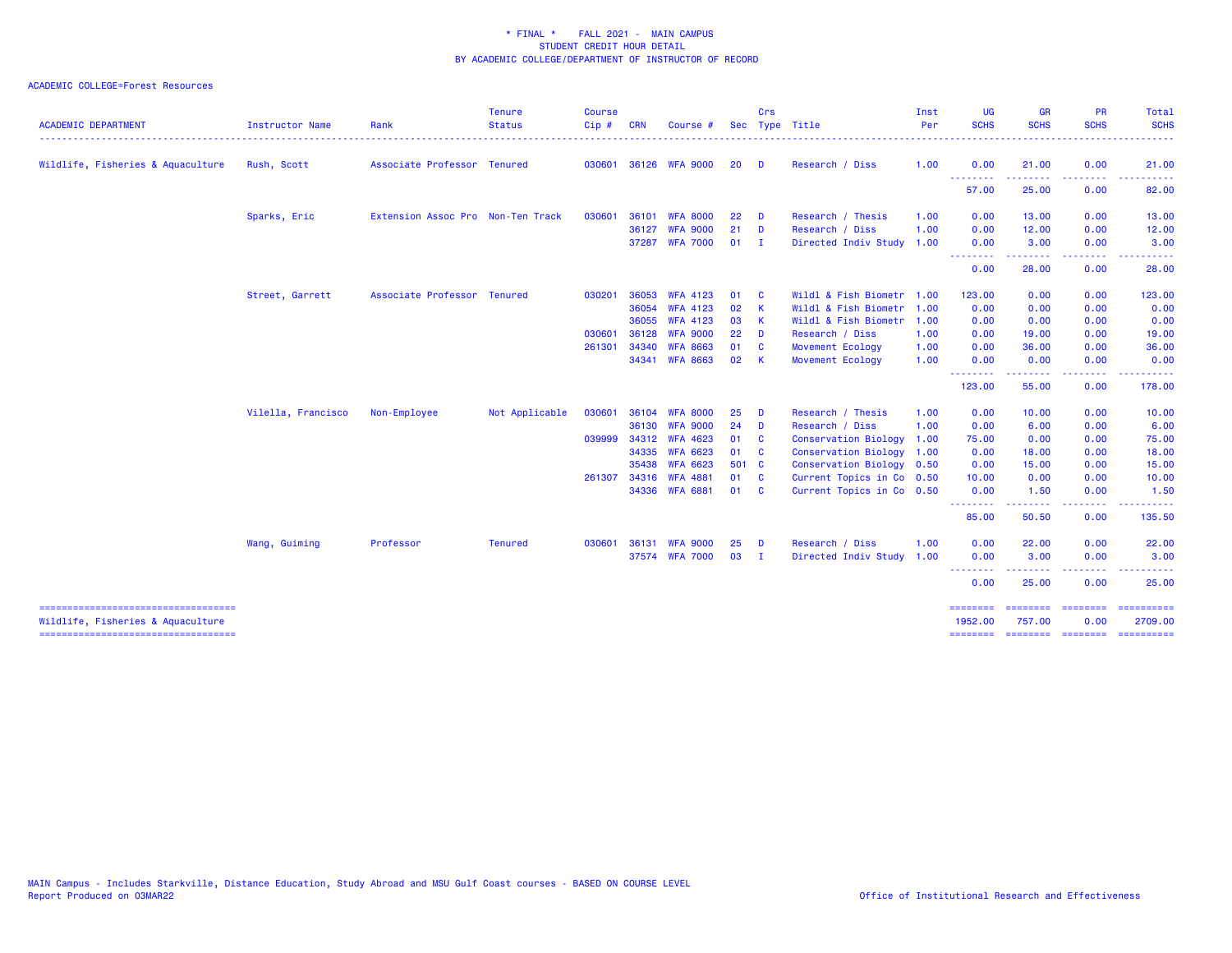| <b>ACADEMIC DEPARTMENT</b>                                                  | <b>Instructor Name</b> | Rank                              | <b>Tenure</b><br><b>Status</b> | <b>Course</b><br>$Cip \#$ | <b>CRN</b>   | <b>Course</b>   |       | Crs          | Sec Type Title              | Inst<br>Per | <b>UG</b><br><b>SCHS</b> | <b>GR</b><br><b>SCHS</b>                                                                                                                                     | <b>PR</b><br><b>SCHS</b>                                                                                                                                     | <b>Total</b><br><b>SCHS</b> |
|-----------------------------------------------------------------------------|------------------------|-----------------------------------|--------------------------------|---------------------------|--------------|-----------------|-------|--------------|-----------------------------|-------------|--------------------------|--------------------------------------------------------------------------------------------------------------------------------------------------------------|--------------------------------------------------------------------------------------------------------------------------------------------------------------|-----------------------------|
| Wildlife, Fisheries & Aquaculture                                           | Rush, Scott            | Associate Professor Tenured       |                                | 030601                    |              | 36126 WFA 9000  | 20    | D            | Research / Diss             | 1.00        | 0.00                     | 21.00                                                                                                                                                        | 0.00                                                                                                                                                         | 21.00                       |
|                                                                             |                        |                                   |                                |                           |              |                 |       |              |                             |             | .<br>57.00               | .<br>25.00                                                                                                                                                   | $\frac{1}{2} \left( \frac{1}{2} \right) \left( \frac{1}{2} \right) \left( \frac{1}{2} \right) \left( \frac{1}{2} \right) \left( \frac{1}{2} \right)$<br>0.00 | 82.00                       |
|                                                                             | Sparks, Eric           | Extension Assoc Pro Non-Ten Track |                                | 030601                    | 36101        | <b>WFA 8000</b> | 22    | D            | Research / Thesis           | 1.00        | 0.00                     | 13.00                                                                                                                                                        | 0.00                                                                                                                                                         | 13.00                       |
|                                                                             |                        |                                   |                                |                           | 36127        | <b>WFA 9000</b> | 21    | D            | Research / Diss             | 1.00        | 0.00                     | 12.00                                                                                                                                                        | 0.00                                                                                                                                                         | 12.00                       |
|                                                                             |                        |                                   |                                |                           |              | 37287 WFA 7000  | 01    | $\mathbf{I}$ | Directed Indiv Study 1.00   |             | 0.00                     | 3.00                                                                                                                                                         | 0.00                                                                                                                                                         | 3.00                        |
|                                                                             |                        |                                   |                                |                           |              |                 |       |              |                             |             | --------<br>0.00         | 28.00                                                                                                                                                        | 0.00                                                                                                                                                         | 28.00                       |
|                                                                             | Street, Garrett        | Associate Professor Tenured       |                                | 030201                    | 36053        | <b>WFA 4123</b> | 01    | <b>C</b>     | Wildl & Fish Biometr        | 1.00        | 123.00                   | 0.00                                                                                                                                                         | 0.00                                                                                                                                                         | 123.00                      |
|                                                                             |                        |                                   |                                |                           | 36054        | <b>WFA 4123</b> | 02    | -K           | Wildl & Fish Biometr        | 1.00        | 0.00                     | 0.00                                                                                                                                                         | 0.00                                                                                                                                                         | 0.00                        |
|                                                                             |                        |                                   |                                |                           | 36055        | <b>WFA 4123</b> | 03    | K            | Wildl & Fish Biometr        | 1.00        | 0.00                     | 0.00                                                                                                                                                         | 0.00                                                                                                                                                         | 0.00                        |
|                                                                             |                        |                                   |                                | 030601                    | 36128        | <b>WFA 9000</b> | 22    | D            | Research / Diss             | 1.00        | 0.00                     | 19.00                                                                                                                                                        | 0.00                                                                                                                                                         | 19.00                       |
|                                                                             |                        |                                   |                                | 261301                    | 34340        | <b>WFA 8663</b> | 01    | C            | Movement Ecology            | 1.00        | 0.00                     | 36.00                                                                                                                                                        | 0.00                                                                                                                                                         | 36.00                       |
|                                                                             |                        |                                   |                                |                           | 34341        | <b>WFA 8663</b> | 02    | -K           | Movement Ecology            | 1.00        | 0.00                     | 0.00<br>-----                                                                                                                                                | 0.00<br>$\frac{1}{2} \left( \frac{1}{2} \right) \left( \frac{1}{2} \right) \left( \frac{1}{2} \right) \left( \frac{1}{2} \right)$                            | 0.00                        |
|                                                                             |                        |                                   |                                |                           |              |                 |       |              |                             |             | --------<br>123.00       | 55.00                                                                                                                                                        | 0.00                                                                                                                                                         | 178.00                      |
|                                                                             | Vilella, Francisco     | Non-Employee                      | Not Applicable                 | 030601                    | 36104        | <b>WFA 8000</b> | 25    | D            | Research / Thesis           | 1.00        | 0.00                     | 10.00                                                                                                                                                        | 0.00                                                                                                                                                         | 10.00                       |
|                                                                             |                        |                                   |                                |                           | 36130        | <b>WFA 9000</b> | 24    | D            | Research / Diss             | 1.00        | 0.00                     | 6.00                                                                                                                                                         | 0.00                                                                                                                                                         | 6.00                        |
|                                                                             |                        |                                   |                                | 039999                    | 34312        | <b>WFA 4623</b> | 01    | <b>C</b>     | <b>Conservation Biology</b> | 1.00        | 75.00                    | 0.00                                                                                                                                                         | 0.00                                                                                                                                                         | 75.00                       |
|                                                                             |                        |                                   |                                |                           | 34335        | <b>WFA 6623</b> | 01    | C            | Conservation Biology 1.00   |             | 0.00                     | 18.00                                                                                                                                                        | 0.00                                                                                                                                                         | 18.00                       |
|                                                                             |                        |                                   |                                |                           | 35438        | <b>WFA 6623</b> | 501 C |              | Conservation Biology 0.50   |             | 0.00                     | 15.00                                                                                                                                                        | 0.00                                                                                                                                                         | 15.00                       |
|                                                                             |                        |                                   |                                |                           | 261307 34316 | <b>WFA 4881</b> | 01    | <b>C</b>     | Current Topics in Co 0.50   |             | 10.00                    | 0.00                                                                                                                                                         | 0.00                                                                                                                                                         | 10.00                       |
|                                                                             |                        |                                   |                                |                           |              | 34336 WFA 6881  | 01    | <b>C</b>     | Current Topics in Co 0.50   |             | 0.00                     | 1.50<br>$\frac{1}{2} \left( \frac{1}{2} \right) \left( \frac{1}{2} \right) \left( \frac{1}{2} \right) \left( \frac{1}{2} \right) \left( \frac{1}{2} \right)$ | 0.00<br>.                                                                                                                                                    | 1.50                        |
|                                                                             |                        |                                   |                                |                           |              |                 |       |              |                             |             | --------<br>85.00        | 50.50                                                                                                                                                        | 0.00                                                                                                                                                         | 135.50                      |
|                                                                             | Wang, Guiming          | Professor                         | <b>Tenured</b>                 | 030601                    | 36131        | <b>WFA 9000</b> | 25    | D            | Research / Diss             | 1.00        | 0.00                     | 22.00                                                                                                                                                        | 0.00                                                                                                                                                         | 22.00                       |
|                                                                             |                        |                                   |                                |                           |              | 37574 WFA 7000  | 03    | - I          | Directed Indiv Study 1.00   |             | 0.00                     | 3.00                                                                                                                                                         | 0.00                                                                                                                                                         | 3.00                        |
|                                                                             |                        |                                   |                                |                           |              |                 |       |              |                             |             | --------<br>0.00         | $   -$<br>25.00                                                                                                                                              | 0.00                                                                                                                                                         | 25.00                       |
| ======================================<br>Wildlife, Fisheries & Aquaculture |                        |                                   |                                |                           |              |                 |       |              |                             |             | --------<br>1952.00      | ========<br>757.00                                                                                                                                           | <b>EEEEEEEE</b><br>0.00                                                                                                                                      | 2709.00                     |
| -----------------------------------                                         |                        |                                   |                                |                           |              |                 |       |              |                             |             | <b>ESSESSES</b>          | <b>ESSESSES</b>                                                                                                                                              | <b>CONSIGNS</b>                                                                                                                                              | $=$ ==========              |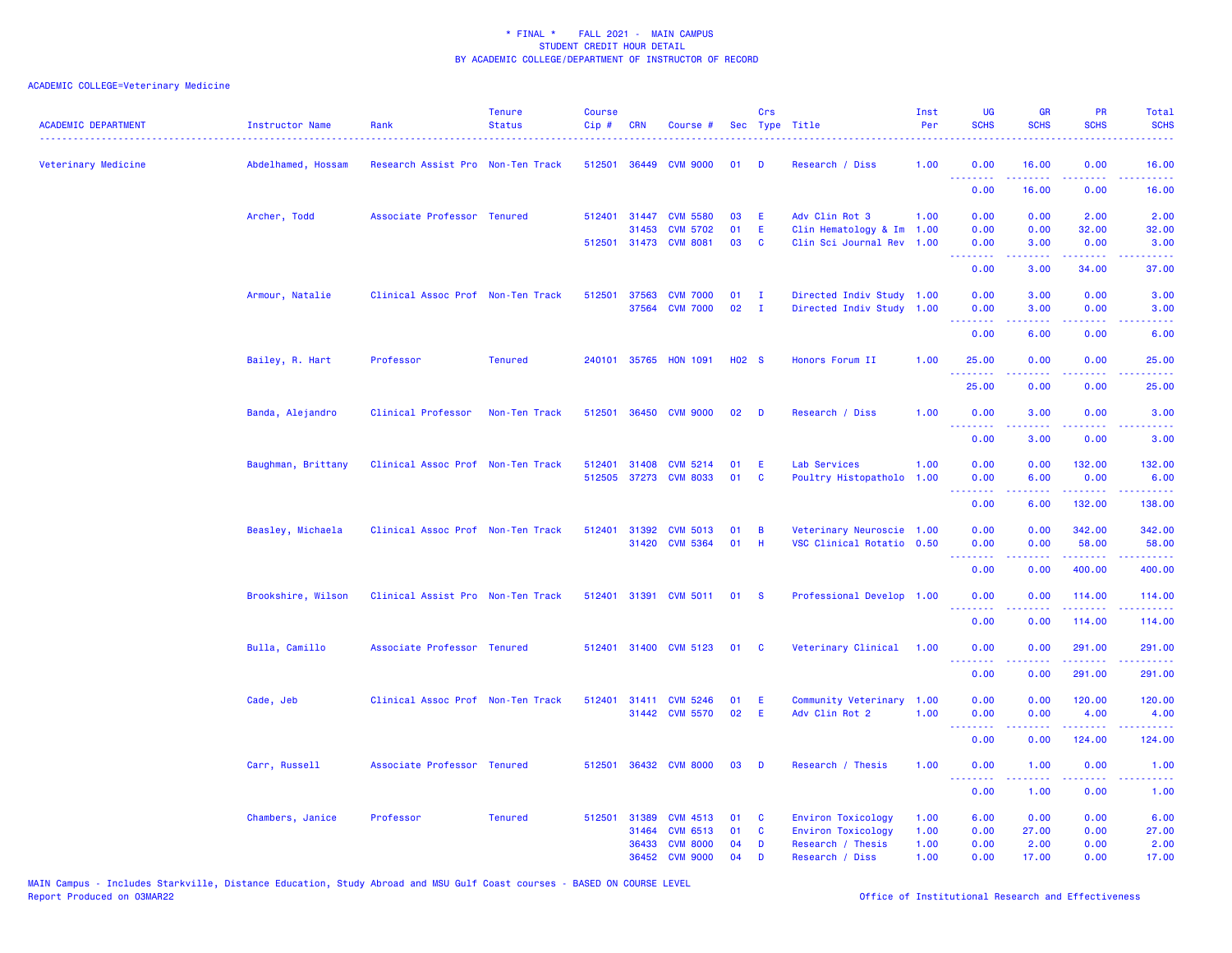| <b>ACADEMIC DEPARTMENT</b> | <b>Instructor Name</b> | Rank                              | <b>Tenure</b><br><b>Status</b> | <b>Course</b><br>Cip# | <b>CRN</b>   | Course #                                 |                   | Crs<br>Sec Type Title |                                                        | Inst<br>Per | UG<br><b>SCHS</b>                                    | <b>GR</b><br><b>SCHS</b> | PR<br><b>SCHS</b>                                                                                                     | Total<br><b>SCHS</b>                                                                                                                                         |
|----------------------------|------------------------|-----------------------------------|--------------------------------|-----------------------|--------------|------------------------------------------|-------------------|-----------------------|--------------------------------------------------------|-------------|------------------------------------------------------|--------------------------|-----------------------------------------------------------------------------------------------------------------------|--------------------------------------------------------------------------------------------------------------------------------------------------------------|
| Veterinary Medicine        | Abdelhamed, Hossam     | Research Assist Pro Non-Ten Track |                                | 512501                | 36449        | <b>CVM 9000</b>                          | 01                | D                     | Research / Diss                                        | 1.00        | 0.00<br>.                                            | 16.00<br>.               | 0.00<br>د د د د                                                                                                       | 16.00<br>وعاعاها                                                                                                                                             |
|                            |                        |                                   |                                |                       |              |                                          |                   |                       |                                                        |             | 0.00                                                 | 16.00                    | 0.00                                                                                                                  | 16.00                                                                                                                                                        |
|                            | Archer, Todd           | Associate Professor Tenured       |                                |                       | 512401 31447 | <b>CVM 5580</b>                          | 03                | E                     | Adv Clin Rot 3                                         | 1.00        | 0.00                                                 | 0.00                     | 2.00                                                                                                                  | 2.00                                                                                                                                                         |
|                            |                        |                                   |                                |                       | 31453        | <b>CVM 5702</b><br>512501 31473 CVM 8081 | 01<br>03          | E<br><b>C</b>         | Clin Hematology & Im 1.00<br>Clin Sci Journal Rev      |             | 0.00                                                 | 0.00                     | 32.00                                                                                                                 | 32.00                                                                                                                                                        |
|                            |                        |                                   |                                |                       |              |                                          |                   |                       |                                                        | 1.00        | 0.00<br><u>.</u>                                     | 3.00                     | 0.00<br>بالأباب                                                                                                       | 3.00<br>$\frac{1}{2} \left( \frac{1}{2} \right) \left( \frac{1}{2} \right) \left( \frac{1}{2} \right) \left( \frac{1}{2} \right) \left( \frac{1}{2} \right)$ |
|                            |                        |                                   |                                |                       |              |                                          |                   |                       |                                                        |             | 0.00                                                 | 3.00                     | 34.00                                                                                                                 | 37.00                                                                                                                                                        |
|                            | Armour, Natalie        | Clinical Assoc Prof Non-Ten Track |                                |                       | 512501 37563 | <b>CVM 7000</b>                          | 01                | $\mathbf{I}$          | Directed Indiv Study 1.00                              |             | 0.00                                                 | 3.00                     | 0.00                                                                                                                  | 3.00                                                                                                                                                         |
|                            |                        |                                   |                                |                       | 37564        | <b>CVM 7000</b>                          | 02                | $\mathbf{I}$          | Directed Indiv Study 1.00                              |             | 0.00<br><b><i><u>AAAAAAA</u></i></b>                 | 3.00<br>.                | 0.00<br>د د د د .                                                                                                     | 3.00<br>.                                                                                                                                                    |
|                            |                        |                                   |                                |                       |              |                                          |                   |                       |                                                        |             | 0.00                                                 | 6.00                     | 0.00                                                                                                                  | 6.00                                                                                                                                                         |
|                            | Bailey, R. Hart        | Professor                         | <b>Tenured</b>                 |                       |              | 240101 35765 HON 1091                    | H <sub>02</sub> S |                       | Honors Forum II                                        | 1.00        | 25.00                                                | 0.00                     | 0.00                                                                                                                  | 25.00                                                                                                                                                        |
|                            |                        |                                   |                                |                       |              |                                          |                   |                       |                                                        |             | <u> - - - - - - - -</u><br>25.00                     | .<br>0.00                | .<br>0.00                                                                                                             | $\frac{1}{2} \left( \frac{1}{2} \right) \left( \frac{1}{2} \right) \left( \frac{1}{2} \right) \left( \frac{1}{2} \right)$<br>25.00                           |
|                            | Banda, Alejandro       | Clinical Professor                | Non-Ten Track                  | 512501                |              | 36450 CVM 9000                           | 02                | D                     | Research / Diss                                        | 1.00        | 0.00                                                 | 3.00                     | 0.00                                                                                                                  | 3.00                                                                                                                                                         |
|                            |                        |                                   |                                |                       |              |                                          |                   |                       |                                                        |             | <b><i><u><u> - - - - - - -</u></u></i></b><br>0.00   | 22222<br>3.00            | .<br>0.00                                                                                                             | والمستحيل<br>3.00                                                                                                                                            |
|                            | Baughman, Brittany     | Clinical Assoc Prof Non-Ten Track |                                | 512401                |              | 31408 CVM 5214                           | 01                | E                     | Lab Services                                           | 1.00        | 0.00                                                 | 0.00                     | 132.00                                                                                                                | 132.00                                                                                                                                                       |
|                            |                        |                                   |                                |                       |              | 512505 37273 CVM 8033                    | 01                | <b>C</b>              | Poultry Histopatholo 1.00                              |             | 0.00                                                 | 6.00                     | 0.00                                                                                                                  | 6.00                                                                                                                                                         |
|                            |                        |                                   |                                |                       |              |                                          |                   |                       |                                                        |             | <b><i><u><u> - - - - - - - -</u></u></i></b><br>0.00 | .<br>6.00                | .<br>132.00                                                                                                           | .<br>138.00                                                                                                                                                  |
|                            |                        |                                   |                                |                       |              |                                          |                   |                       |                                                        |             |                                                      |                          |                                                                                                                       |                                                                                                                                                              |
|                            | Beasley, Michaela      | Clinical Assoc Prof Non-Ten Track |                                | 512401                | 31392        | <b>CVM 5013</b><br>31420 CVM 5364        | 01<br>01          | B<br>H                | Veterinary Neuroscie 1.00<br>VSC Clinical Rotatio 0.50 |             | 0.00<br>0.00                                         | 0.00<br>0.00             | 342.00<br>58.00                                                                                                       | 342.00<br>58.00                                                                                                                                              |
|                            |                        |                                   |                                |                       |              |                                          |                   |                       |                                                        |             | .                                                    | .                        | $\begin{array}{cccccccccc} \bullet & \bullet & \bullet & \bullet & \bullet & \bullet & \bullet & \bullet \end{array}$ | 222223                                                                                                                                                       |
|                            |                        |                                   |                                |                       |              |                                          |                   |                       |                                                        |             | 0.00                                                 | 0.00                     | 400.00                                                                                                                | 400.00                                                                                                                                                       |
|                            | Brookshire, Wilson     | Clinical Assist Pro Non-Ten Track |                                |                       |              | 512401 31391 CVM 5011                    | 01 S              |                       | Professional Develop 1.00                              |             | 0.00                                                 | 0.00                     | 114.00                                                                                                                | 114.00                                                                                                                                                       |
|                            |                        |                                   |                                |                       |              |                                          |                   |                       |                                                        |             | <b><i><u><u> - - - - - - -</u></u></i></b><br>0.00   | .<br>0.00                | <b><i><u>Listen</u></i></b><br>114.00                                                                                 | .<br>114.00                                                                                                                                                  |
|                            | Bulla, Camillo         | Associate Professor Tenured       |                                | 512401                |              | 31400 CVM 5123                           | 01                | <b>C</b>              | Veterinary Clinical                                    | 1.00        | 0.00                                                 | 0.00                     | 291.00                                                                                                                | 291.00                                                                                                                                                       |
|                            |                        |                                   |                                |                       |              |                                          |                   |                       |                                                        |             | .<br>0.00                                            | . <u>.</u> .<br>0.00     | .<br>291.00                                                                                                           | .<br>291.00                                                                                                                                                  |
|                            | Cade, Jeb              | Clinical Assoc Prof Non-Ten Track |                                | 512401                | 31411        | <b>CVM 5246</b>                          | 01                | E.                    | Community Veterinary                                   | 1.00        | 0.00                                                 | 0.00                     | 120.00                                                                                                                | 120.00                                                                                                                                                       |
|                            |                        |                                   |                                |                       |              | 31442 CVM 5570                           | 02                | Ε                     | Adv Clin Rot 2                                         | 1.00        | 0.00                                                 | 0.00                     | 4.00                                                                                                                  | 4.00                                                                                                                                                         |
|                            |                        |                                   |                                |                       |              |                                          |                   |                       |                                                        |             | .<br>0.00                                            | 0.00                     | 124.00                                                                                                                | المتمامين<br>124.00                                                                                                                                          |
|                            | Carr, Russell          | Associate Professor Tenured       |                                | 512501                |              | 36432 CVM 8000                           | 03                | D                     | Research / Thesis                                      | 1.00        | 0.00                                                 | 1.00                     | 0.00                                                                                                                  | 1.00                                                                                                                                                         |
|                            |                        |                                   |                                |                       |              |                                          |                   |                       |                                                        |             | .<br>0.00                                            | .<br>1.00                | د د د د<br>0.00                                                                                                       | والمستحدث<br>1.00                                                                                                                                            |
|                            |                        | Professor                         | <b>Tenured</b>                 | 512501                | 31389        | <b>CVM 4513</b>                          |                   | <b>C</b>              |                                                        | 1.00        | 6.00                                                 | 0.00                     | 0.00                                                                                                                  | 6.00                                                                                                                                                         |
|                            | Chambers, Janice       |                                   |                                |                       | 31464        | <b>CVM 6513</b>                          | 01<br>01          | C                     | Environ Toxicology<br>Environ Toxicology               | 1.00        | 0.00                                                 | 27.00                    | 0.00                                                                                                                  | 27.00                                                                                                                                                        |
|                            |                        |                                   |                                |                       | 36433        | <b>CVM 8000</b>                          | 04                | D                     | Research / Thesis                                      | 1.00        | 0.00                                                 | 2.00                     | 0.00                                                                                                                  | 2.00                                                                                                                                                         |
|                            |                        |                                   |                                |                       | 36452        | <b>CVM 9000</b>                          | 04                | D                     | Research / Diss                                        | 1.00        | 0.00                                                 | 17.00                    | 0.00                                                                                                                  | 17.00                                                                                                                                                        |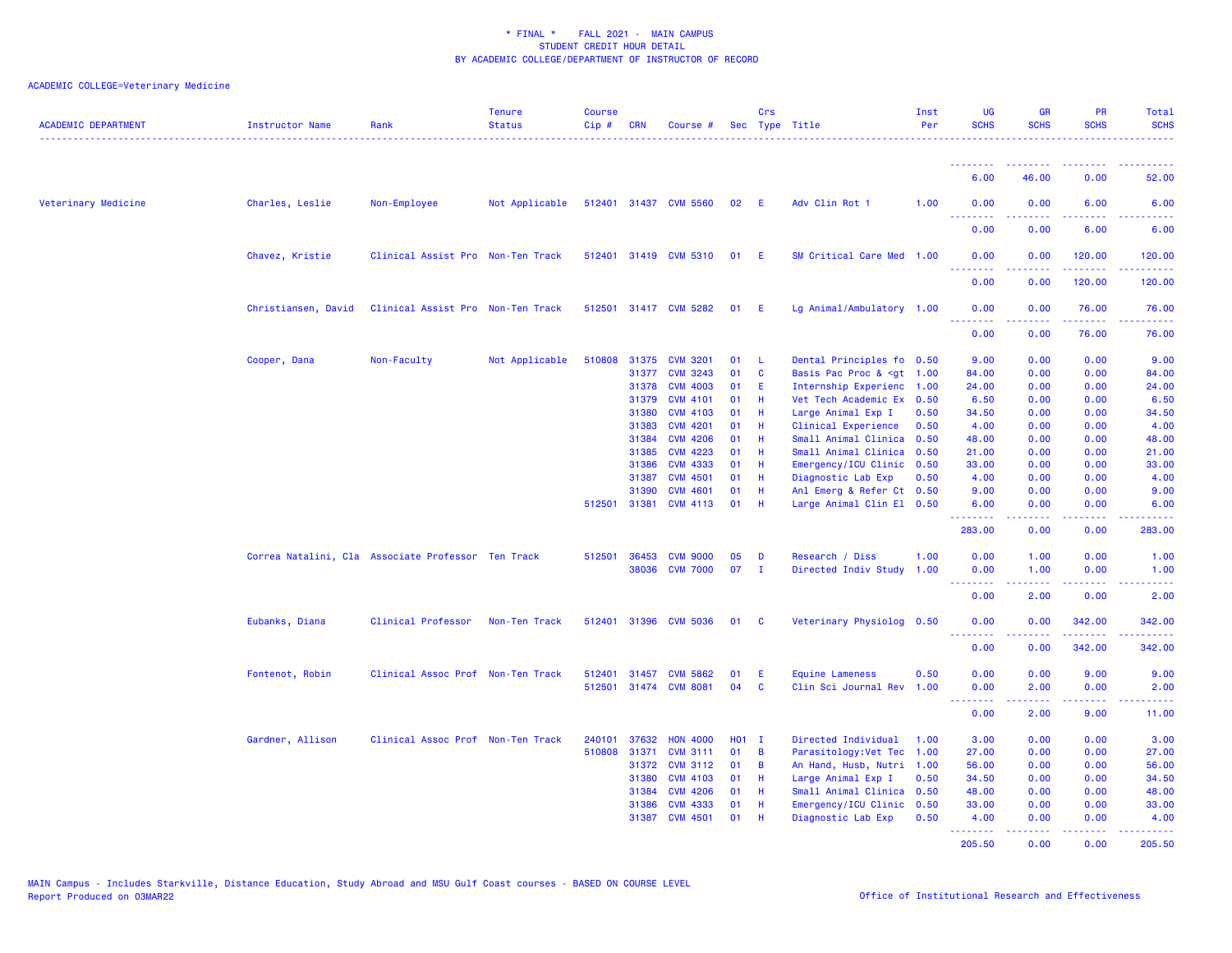| <b>ACADEMIC DEPARTMENT</b> | <b>Instructor Name</b>                             | Rank                              | <b>Tenure</b><br><b>Status</b> | <b>Course</b><br>Cip# | CRN          | Course #              |            | Crs            | Sec Type Title                                                                                           | Inst<br>Per | <b>UG</b><br><b>SCHS</b>        | <b>GR</b><br><b>SCHS</b> | <b>PR</b><br><b>SCHS</b>                                                                                                  | <b>Total</b><br><b>SCHS</b> |
|----------------------------|----------------------------------------------------|-----------------------------------|--------------------------------|-----------------------|--------------|-----------------------|------------|----------------|----------------------------------------------------------------------------------------------------------|-------------|---------------------------------|--------------------------|---------------------------------------------------------------------------------------------------------------------------|-----------------------------|
|                            |                                                    |                                   |                                |                       |              |                       |            |                |                                                                                                          |             | <u>.</u>                        |                          | $\frac{1}{2} \left( \frac{1}{2} \right) \left( \frac{1}{2} \right) \left( \frac{1}{2} \right) \left( \frac{1}{2} \right)$ |                             |
|                            |                                                    |                                   |                                |                       |              |                       |            |                |                                                                                                          |             | 6.00                            | 46.00                    | 0.00                                                                                                                      | 52.00                       |
| Veterinary Medicine        | Charles, Leslie                                    | Non-Employee                      | Not Applicable                 |                       |              | 512401 31437 CVM 5560 | 02         | - E            | Adv Clin Rot 1                                                                                           | 1.00        | 0.00<br><u>.</u>                | 0.00                     | 6.00<br>$\frac{1}{2} \left( \frac{1}{2} \right) \left( \frac{1}{2} \right) \left( \frac{1}{2} \right)$                    | 6.00<br>.                   |
|                            |                                                    |                                   |                                |                       |              |                       |            |                |                                                                                                          |             | 0.00                            | 0.00                     | 6.00                                                                                                                      | 6.00                        |
|                            | Chavez, Kristie                                    | Clinical Assist Pro Non-Ten Track |                                |                       |              | 512401 31419 CVM 5310 | 01 E       |                | SM Critical Care Med 1.00                                                                                |             | 0.00                            | 0.00                     | 120.00<br>.                                                                                                               | 120.00<br>.                 |
|                            |                                                    |                                   |                                |                       |              |                       |            |                |                                                                                                          |             | 0.00                            | 0.00                     | 120.00                                                                                                                    | 120.00                      |
|                            | Christiansen, David                                | Clinical Assist Pro Non-Ten Track |                                | 512501                |              | 31417 CVM 5282        | 01         | - E            | Lg Animal/Ambulatory 1.00                                                                                |             | 0.00                            | 0.00                     | 76.00<br>2.2.2.2                                                                                                          | 76.00<br>.                  |
|                            |                                                    |                                   |                                |                       |              |                       |            |                |                                                                                                          |             | 0.00                            | 0.00                     | 76.00                                                                                                                     | 76.00                       |
|                            | Cooper, Dana                                       | Non-Faculty                       | Not Applicable                 | 510808                |              | 31375 CVM 3201        | 01         | - L            | Dental Principles fo 0.50                                                                                |             | 9.00                            | 0.00                     | 0.00                                                                                                                      | 9.00                        |
|                            |                                                    |                                   |                                |                       | 31377        | <b>CVM 3243</b>       | 01         | $\mathbf{C}$   | Basis Pac Proc & <gt 1.00<="" td=""><td></td><td>84.00</td><td>0.00</td><td>0.00</td><td>84.00</td></gt> |             | 84.00                           | 0.00                     | 0.00                                                                                                                      | 84.00                       |
|                            |                                                    |                                   |                                |                       | 31378        | <b>CVM 4003</b>       | 01         | -E             | Internship Experienc 1.00                                                                                |             | 24.00                           | 0.00                     | 0.00                                                                                                                      | 24.00                       |
|                            |                                                    |                                   |                                |                       | 31379        | <b>CVM 4101</b>       | 01         | -H             | Vet Tech Academic Ex 0.50                                                                                |             | 6.50                            | 0.00                     | 0.00                                                                                                                      | 6.50                        |
|                            |                                                    |                                   |                                |                       | 31380        | <b>CVM 4103</b>       | 01         | -H             | Large Animal Exp I                                                                                       | 0.50        | 34.50                           | 0.00                     | 0.00                                                                                                                      | 34.50                       |
|                            |                                                    |                                   |                                |                       | 31383        | <b>CVM 4201</b>       | 01         | -H             | Clinical Experience                                                                                      | 0.50        | 4.00                            | 0.00                     | 0.00                                                                                                                      | 4.00                        |
|                            |                                                    |                                   |                                |                       | 31384        | <b>CVM 4206</b>       | 01         | H              | Small Animal Clinica                                                                                     | 0.50        | 48.00                           | 0.00                     | 0.00                                                                                                                      | 48.00                       |
|                            |                                                    |                                   |                                |                       | 31385        | <b>CVM 4223</b>       | 01         | H              | Small Animal Clinica 0.50                                                                                |             | 21.00                           | 0.00                     | 0.00                                                                                                                      | 21.00                       |
|                            |                                                    |                                   |                                |                       | 31386        | <b>CVM 4333</b>       | 01         | H              | Emergency/ICU Clinic 0.50                                                                                |             | 33.00                           | 0.00                     | 0.00                                                                                                                      | 33.00                       |
|                            |                                                    |                                   |                                |                       | 31387        | <b>CVM 4501</b>       | 01         | -H             | Diagnostic Lab Exp                                                                                       | 0.50        | 4.00                            | 0.00                     | 0.00                                                                                                                      | 4.00                        |
|                            |                                                    |                                   |                                |                       | 31390        | <b>CVM 4601</b>       | 01         | -H             | Anl Emerg & Refer Ct 0.50                                                                                |             | 9.00                            | 0.00                     | 0.00                                                                                                                      | 9.00                        |
|                            |                                                    |                                   |                                | 512501                |              | 31381 CVM 4113        | 01         | H              | Large Animal Clin El 0.50                                                                                |             | 6.00<br><u> - - - - - - - -</u> | 0.00<br>.                | 0.00<br>.                                                                                                                 | 6.00<br>.                   |
|                            |                                                    |                                   |                                |                       |              |                       |            |                |                                                                                                          |             | 283.00                          | 0.00                     | 0.00                                                                                                                      | 283.00                      |
|                            | Correa Natalini, Cla Associate Professor Ten Track |                                   |                                | 512501                | 36453        | <b>CVM 9000</b>       | 05         | D              | Research / Diss                                                                                          | 1.00        | 0.00                            | 1.00                     | 0.00                                                                                                                      | 1.00                        |
|                            |                                                    |                                   |                                |                       |              | 38036 CVM 7000        | 07         | $\mathbf{I}$   | Directed Indiv Study                                                                                     | 1.00        | 0.00<br>.                       | 1.00                     | 0.00<br>.                                                                                                                 | 1.00<br>د د د د د           |
|                            |                                                    |                                   |                                |                       |              |                       |            |                |                                                                                                          |             | 0.00                            | 2.00                     | 0.00                                                                                                                      | 2.00                        |
|                            | Eubanks, Diana                                     | Clinical Professor                | Non-Ten Track                  |                       |              | 512401 31396 CVM 5036 | 01         | <b>C</b>       | Veterinary Physiolog 0.50                                                                                |             | 0.00<br><u>.</u>                | 0.00                     | 342.00<br>.                                                                                                               | 342.00<br>.                 |
|                            |                                                    |                                   |                                |                       |              |                       |            |                |                                                                                                          |             | 0.00                            | 0.00                     | 342.00                                                                                                                    | 342.00                      |
|                            | Fontenot, Robin                                    | Clinical Assoc Prof Non-Ten Track |                                | 512401                |              | 31457 CVM 5862        | 01         | E              | <b>Equine Lameness</b>                                                                                   | 0.50        | 0.00                            | 0.00                     | 9.00                                                                                                                      | 9.00                        |
|                            |                                                    |                                   |                                | 512501                |              | 31474 CVM 8081        | 04         | <b>C</b>       | Clin Sci Journal Rev                                                                                     | 1.00        | 0.00                            | 2.00                     | 0.00                                                                                                                      | 2.00                        |
|                            |                                                    |                                   |                                |                       |              |                       |            |                |                                                                                                          |             | .<br>0.00                       | .<br>2.00                | .<br>9.00                                                                                                                 | بالمحامين<br>11.00          |
|                            | Gardner, Allison                                   | Clinical Assoc Prof Non-Ten Track |                                | 240101                | 37632        | <b>HON 4000</b>       | <b>HO1</b> | - I            | Directed Individual                                                                                      | 1.00        | 3.00                            | 0.00                     | 0.00                                                                                                                      | 3.00                        |
|                            |                                                    |                                   |                                |                       | 510808 31371 | <b>CVM 3111</b>       | 01         | $\overline{B}$ | Parasitology: Vet Tec 1.00                                                                               |             | 27.00                           | 0.00                     | 0.00                                                                                                                      | 27.00                       |
|                            |                                                    |                                   |                                |                       | 31372        | <b>CVM 3112</b>       | 01         | $\overline{B}$ | An Hand, Husb, Nutri                                                                                     | 1.00        | 56.00                           | 0.00                     | 0.00                                                                                                                      | 56.00                       |
|                            |                                                    |                                   |                                |                       | 31380        | <b>CVM 4103</b>       | 01         | -H             | Large Animal Exp I                                                                                       | 0.50        | 34.50                           | 0.00                     | 0.00                                                                                                                      | 34.50                       |
|                            |                                                    |                                   |                                |                       | 31384        | <b>CVM 4206</b>       | 01         | H              | Small Animal Clinica 0.50                                                                                |             | 48.00                           | 0.00                     | 0.00                                                                                                                      | 48.00                       |
|                            |                                                    |                                   |                                |                       | 31386        | <b>CVM 4333</b>       | 01         | - H            | Emergency/ICU Clinic 0.50                                                                                |             | 33.00                           | 0.00                     | 0.00                                                                                                                      | 33.00                       |
|                            |                                                    |                                   |                                |                       | 31387        | <b>CVM 4501</b>       | 01         | -H             | Diagnostic Lab Exp                                                                                       | 0.50        | 4.00<br><u>.</u> .              | 0.00<br><u>.</u>         | 0.00<br>.                                                                                                                 | 4.00<br><u>.</u>            |
|                            |                                                    |                                   |                                |                       |              |                       |            |                |                                                                                                          |             | 205.50                          | 0.00                     | 0.00                                                                                                                      | 205.50                      |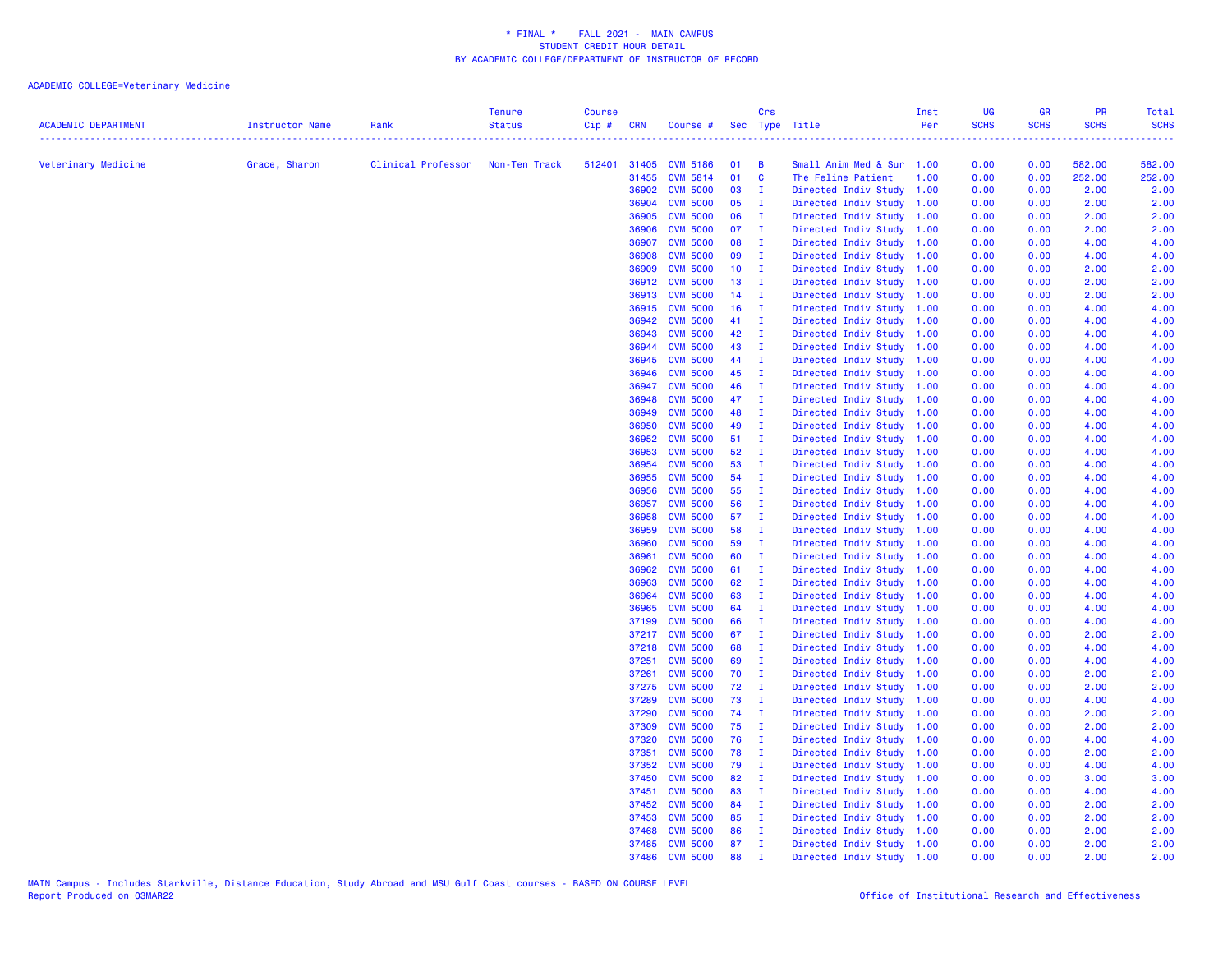| <b>ACADEMIC DEPARTMENT</b> | <b>Instructor Name</b> | Rank               | <b>Tenure</b><br><b>Status</b> | <b>Course</b><br>Cip# | <b>CRN</b>     | Course # Sec Type Title            |                 | Crs                            |                                                        | Inst<br>Per | UG<br><b>SCHS</b> | <b>GR</b><br><b>SCHS</b> | PR<br><b>SCHS</b> | <b>Total</b><br><b>SCHS</b>                                                                                                                                    |
|----------------------------|------------------------|--------------------|--------------------------------|-----------------------|----------------|------------------------------------|-----------------|--------------------------------|--------------------------------------------------------|-------------|-------------------|--------------------------|-------------------|----------------------------------------------------------------------------------------------------------------------------------------------------------------|
| Veterinary Medicine        | Grace, Sharon          | Clinical Professor | Non-Ten Track                  | .                     |                | 512401 31405 CVM 5186              | 01              | $\blacksquare$                 | Small Anim Med & Sur 1.00                              |             | .<br>0.00         | 0.00                     | 582.00            | $\frac{1}{2} \left( \frac{1}{2} \right) \left( \frac{1}{2} \right) \left( \frac{1}{2} \right) \left( \frac{1}{2} \right) \left( \frac{1}{2} \right)$<br>582.00 |
|                            |                        |                    |                                |                       | 31455          | <b>CVM 5814</b>                    | 01              | $\mathbf{C}$                   | The Feline Patient                                     | 1.00        | 0.00              | 0.00                     | 252.00            | 252.00                                                                                                                                                         |
|                            |                        |                    |                                |                       | 36902          | <b>CVM 5000</b>                    | 03              | $\mathbf{I}$                   | Directed Indiv Study 1.00                              |             | 0.00              | 0.00                     | 2.00              | 2.00                                                                                                                                                           |
|                            |                        |                    |                                |                       | 36904          | <b>CVM 5000</b>                    | 05              | $\mathbf{I}$                   | Directed Indiv Study                                   | 1.00        | 0.00              | 0.00                     | 2.00              | 2.00                                                                                                                                                           |
|                            |                        |                    |                                |                       | 36905          | <b>CVM 5000</b>                    | 06              | $\mathbf{I}$                   | Directed Indiv Study                                   | 1.00        | 0.00              | 0.00                     | 2.00              | 2.00                                                                                                                                                           |
|                            |                        |                    |                                |                       | 36906          | <b>CVM 5000</b>                    | 07              | $\blacksquare$                 | Directed Indiv Study                                   | 1.00        | 0.00              | 0.00                     | 2.00              | 2.00                                                                                                                                                           |
|                            |                        |                    |                                |                       | 36907          | <b>CVM 5000</b>                    | 08              | $\mathbf{I}$                   | Directed Indiv Study 1.00                              |             | 0.00              | 0.00                     | 4.00              | 4.00                                                                                                                                                           |
|                            |                        |                    |                                |                       | 36908          | <b>CVM 5000</b>                    | 09              | $\mathbf{I}$                   | Directed Indiv Study                                   | 1.00        | 0.00              | 0.00                     | 4.00              | 4.00                                                                                                                                                           |
|                            |                        |                    |                                |                       | 36909          | <b>CVM 5000</b>                    | 10 <sub>1</sub> | $\blacksquare$                 | Directed Indiv Study                                   | 1.00        | 0.00              | 0.00                     | 2.00              | 2.00                                                                                                                                                           |
|                            |                        |                    |                                |                       | 36912          | <b>CVM 5000</b>                    | 13              | $\mathbf{I}$                   | Directed Indiv Study                                   | 1.00        | 0.00              | 0.00                     | 2.00              | 2.00                                                                                                                                                           |
|                            |                        |                    |                                |                       | 36913          | <b>CVM 5000</b>                    | $14$ I          |                                | Directed Indiv Study                                   | 1.00        | 0.00              | 0.00                     | 2.00              | 2.00                                                                                                                                                           |
|                            |                        |                    |                                |                       | 36915          | <b>CVM 5000</b>                    | 16              | $\mathbf I$                    | Directed Indiv Study 1.00                              |             | 0.00              | 0.00                     | 4.00              | 4.00                                                                                                                                                           |
|                            |                        |                    |                                |                       | 36942          | <b>CVM 5000</b>                    | 41 I            |                                | Directed Indiv Study 1.00                              |             | 0.00              | 0.00                     | 4.00              | 4.00                                                                                                                                                           |
|                            |                        |                    |                                |                       | 36943          | <b>CVM 5000</b>                    | 42              | $\mathbf{I}$                   | Directed Indiv Study 1.00                              |             | 0.00              | 0.00                     | 4.00              | 4.00                                                                                                                                                           |
|                            |                        |                    |                                |                       | 36944          | <b>CVM 5000</b>                    | 43              | $\mathbf I$                    | Directed Indiv Study                                   | 1.00        | 0.00              | 0.00                     | 4.00              | 4.00                                                                                                                                                           |
|                            |                        |                    |                                |                       | 36945          | <b>CVM 5000</b>                    | 44              | $\mathbf{I}$                   | Directed Indiv Study                                   | 1.00        | 0.00              | 0.00                     | 4.00              | 4.00                                                                                                                                                           |
|                            |                        |                    |                                |                       | 36946<br>36947 | <b>CVM 5000</b><br><b>CVM 5000</b> | 45<br>46        | $\blacksquare$<br>$\mathbf{I}$ | Directed Indiv Study 1.00<br>Directed Indiv Study      |             | 0.00              | 0.00                     | 4.00              | 4.00                                                                                                                                                           |
|                            |                        |                    |                                |                       | 36948          | <b>CVM 5000</b>                    | 47              | $\mathbf{I}$                   |                                                        | 1.00        | 0.00<br>0.00      | 0.00<br>0.00             | 4.00<br>4.00      | 4.00<br>4.00                                                                                                                                                   |
|                            |                        |                    |                                |                       | 36949          | <b>CVM 5000</b>                    | 48              | $\mathbf{I}$                   | Directed Indiv Study 1.00<br>Directed Indiv Study 1.00 |             | 0.00              | 0.00                     | 4.00              | 4.00                                                                                                                                                           |
|                            |                        |                    |                                |                       | 36950          | <b>CVM 5000</b>                    | 49              | $\mathbf{I}$                   | Directed Indiv Study 1.00                              |             | 0.00              | 0.00                     | 4.00              | 4.00                                                                                                                                                           |
|                            |                        |                    |                                |                       | 36952          | <b>CVM 5000</b>                    | 51              | $\mathbf{I}$                   | Directed Indiv Study                                   | 1.00        | 0.00              | 0.00                     | 4.00              | 4.00                                                                                                                                                           |
|                            |                        |                    |                                |                       | 36953          | <b>CVM 5000</b>                    | 52              | $\blacksquare$                 | Directed Indiv Study                                   | 1.00        | 0.00              | 0.00                     | 4.00              | 4.00                                                                                                                                                           |
|                            |                        |                    |                                |                       | 36954          | <b>CVM 5000</b>                    | 53              | $\mathbf{I}$                   | Directed Indiv Study 1.00                              |             | 0.00              | 0.00                     | 4.00              | 4.00                                                                                                                                                           |
|                            |                        |                    |                                |                       | 36955          | <b>CVM 5000</b>                    | 54              | $\mathbf{I}$                   | Directed Indiv Study 1.00                              |             | 0.00              | 0.00                     | 4.00              | 4.00                                                                                                                                                           |
|                            |                        |                    |                                |                       | 36956          | <b>CVM 5000</b>                    | 55              | $\mathbf{I}$                   | Directed Indiv Study 1.00                              |             | 0.00              | 0.00                     | 4.00              | 4.00                                                                                                                                                           |
|                            |                        |                    |                                |                       | 36957          | <b>CVM 5000</b>                    | 56              | - I                            | Directed Indiv Study                                   | 1.00        | 0.00              | 0.00                     | 4.00              | 4.00                                                                                                                                                           |
|                            |                        |                    |                                |                       | 36958          | <b>CVM 5000</b>                    | 57              | $\mathbf{I}$                   | Directed Indiv Study                                   | 1.00        | 0.00              | 0.00                     | 4.00              | 4.00                                                                                                                                                           |
|                            |                        |                    |                                |                       | 36959          | <b>CVM 5000</b>                    | 58              | $\mathbf{I}$                   | Directed Indiv Study                                   | 1.00        | 0.00              | 0.00                     | 4.00              | 4.00                                                                                                                                                           |
|                            |                        |                    |                                |                       | 36960          | <b>CVM 5000</b>                    | 59              | $\mathbf{I}$                   | Directed Indiv Study                                   | 1.00        | 0.00              | 0.00                     | 4.00              | 4.00                                                                                                                                                           |
|                            |                        |                    |                                |                       | 36961          | <b>CVM 5000</b>                    | 60              | $\mathbf{I}$                   | Directed Indiv Study 1.00                              |             | 0.00              | 0.00                     | 4.00              | 4.00                                                                                                                                                           |
|                            |                        |                    |                                |                       | 36962          | <b>CVM 5000</b>                    | 61              | $\mathbf{I}$                   | Directed Indiv Study 1.00                              |             | 0.00              | 0.00                     | 4.00              | 4.00                                                                                                                                                           |
|                            |                        |                    |                                |                       | 36963          | <b>CVM 5000</b>                    | 62              | $\mathbf{I}$                   | Directed Indiv Study 1.00                              |             | 0.00              | 0.00                     | 4.00              | 4.00                                                                                                                                                           |
|                            |                        |                    |                                |                       | 36964          | <b>CVM 5000</b>                    | 63              | $\blacksquare$                 | Directed Indiv Study                                   | 1.00        | 0.00              | 0.00                     | 4.00              | 4.00                                                                                                                                                           |
|                            |                        |                    |                                |                       | 36965          | <b>CVM 5000</b>                    | 64              | $\blacksquare$                 | Directed Indiv Study                                   | 1.00        | 0.00              | 0.00                     | 4.00              | 4.00                                                                                                                                                           |
|                            |                        |                    |                                |                       | 37199          | <b>CVM 5000</b>                    | 66              | $\mathbf{I}$                   | Directed Indiv Study                                   | 1.00        | 0.00              | 0.00                     | 4.00              | 4.00                                                                                                                                                           |
|                            |                        |                    |                                |                       |                | 37217 CVM 5000                     | 67              | $\blacksquare$                 | Directed Indiv Study 1.00                              |             | 0.00              | 0.00                     | 2.00              | 2.00                                                                                                                                                           |
|                            |                        |                    |                                |                       | 37218<br>37251 | <b>CVM 5000</b><br><b>CVM 5000</b> | 68<br>69        | $\mathbf{I}$<br>$\mathbf I$    | Directed Indiv Study 1.00                              |             | 0.00              | 0.00<br>0.00             | 4.00              | 4.00                                                                                                                                                           |
|                            |                        |                    |                                |                       | 37261          | <b>CVM 5000</b>                    | 70              | $\mathbf{I}$                   | Directed Indiv Study 1.00<br>Directed Indiv Study      | 1.00        | 0.00<br>0.00      | 0.00                     | 4.00<br>2.00      | 4.00<br>2.00                                                                                                                                                   |
|                            |                        |                    |                                |                       | 37275          | <b>CVM 5000</b>                    | 72              | $\mathbf{I}$                   | Directed Indiv Study 1.00                              |             | 0.00              | 0.00                     | 2.00              | 2.00                                                                                                                                                           |
|                            |                        |                    |                                |                       | 37289          | <b>CVM 5000</b>                    | 73              | $\mathbf{I}$                   | Directed Indiv Study                                   | 1.00        | 0.00              | 0.00                     | 4.00              | 4.00                                                                                                                                                           |
|                            |                        |                    |                                |                       | 37290          | <b>CVM 5000</b>                    | 74              | $\mathbf{I}$                   | Directed Indiv Study                                   | 1.00        | 0.00              | 0.00                     | 2.00              | 2.00                                                                                                                                                           |
|                            |                        |                    |                                |                       | 37309          | <b>CVM 5000</b>                    | 75              | $\blacksquare$                 | Directed Indiv Study 1.00                              |             | 0.00              | 0.00                     | 2.00              | 2.00                                                                                                                                                           |
|                            |                        |                    |                                |                       | 37320          | <b>CVM 5000</b>                    | 76              | $\mathbf{I}$                   | Directed Indiv Study 1.00                              |             | 0.00              | 0.00                     | 4.00              | 4.00                                                                                                                                                           |
|                            |                        |                    |                                |                       | 37351          | <b>CVM 5000</b>                    | 78              | $\mathbf I$                    | Directed Indiv Study                                   | 1.00        | 0.00              | 0.00                     | 2.00              | 2.00                                                                                                                                                           |
|                            |                        |                    |                                |                       | 37352          | <b>CVM 5000</b>                    | 79              | $\mathbf{I}$                   | Directed Indiv Study                                   | 1.00        | 0.00              | 0.00                     | 4.00              | 4.00                                                                                                                                                           |
|                            |                        |                    |                                |                       | 37450          | <b>CVM 5000</b>                    | 82              | $\mathbf{I}$                   | Directed Indiv Study                                   | 1.00        | 0.00              | 0.00                     | 3.00              | 3.00                                                                                                                                                           |
|                            |                        |                    |                                |                       | 37451          | <b>CVM 5000</b>                    | 83              | $\mathbf{I}$                   | Directed Indiv Study 1.00                              |             | 0.00              | 0.00                     | 4.00              | 4.00                                                                                                                                                           |
|                            |                        |                    |                                |                       | 37452          | <b>CVM 5000</b>                    | 84              | $\mathbf{I}$                   | Directed Indiv Study 1.00                              |             | 0.00              | 0.00                     | 2.00              | 2.00                                                                                                                                                           |
|                            |                        |                    |                                |                       | 37453          | <b>CVM 5000</b>                    | 85              | $\mathbf{I}$                   | Directed Indiv Study 1.00                              |             | 0.00              | 0.00                     | 2.00              | 2.00                                                                                                                                                           |
|                            |                        |                    |                                |                       | 37468          | <b>CVM 5000</b>                    | 86              | $\mathbf{I}$                   | Directed Indiv Study 1.00                              |             | 0.00              | 0.00                     | 2.00              | 2.00                                                                                                                                                           |
|                            |                        |                    |                                |                       | 37485          | <b>CVM 5000</b>                    | 87              | - I                            | Directed Indiv Study 1.00                              |             | 0.00              | 0.00                     | 2.00              | 2.00                                                                                                                                                           |
|                            |                        |                    |                                |                       | 37486          | <b>CVM 5000</b>                    | 88              | $\mathbf{I}$                   | Directed Indiv Study 1.00                              |             | 0.00              | 0.00                     | 2.00              | 2.00                                                                                                                                                           |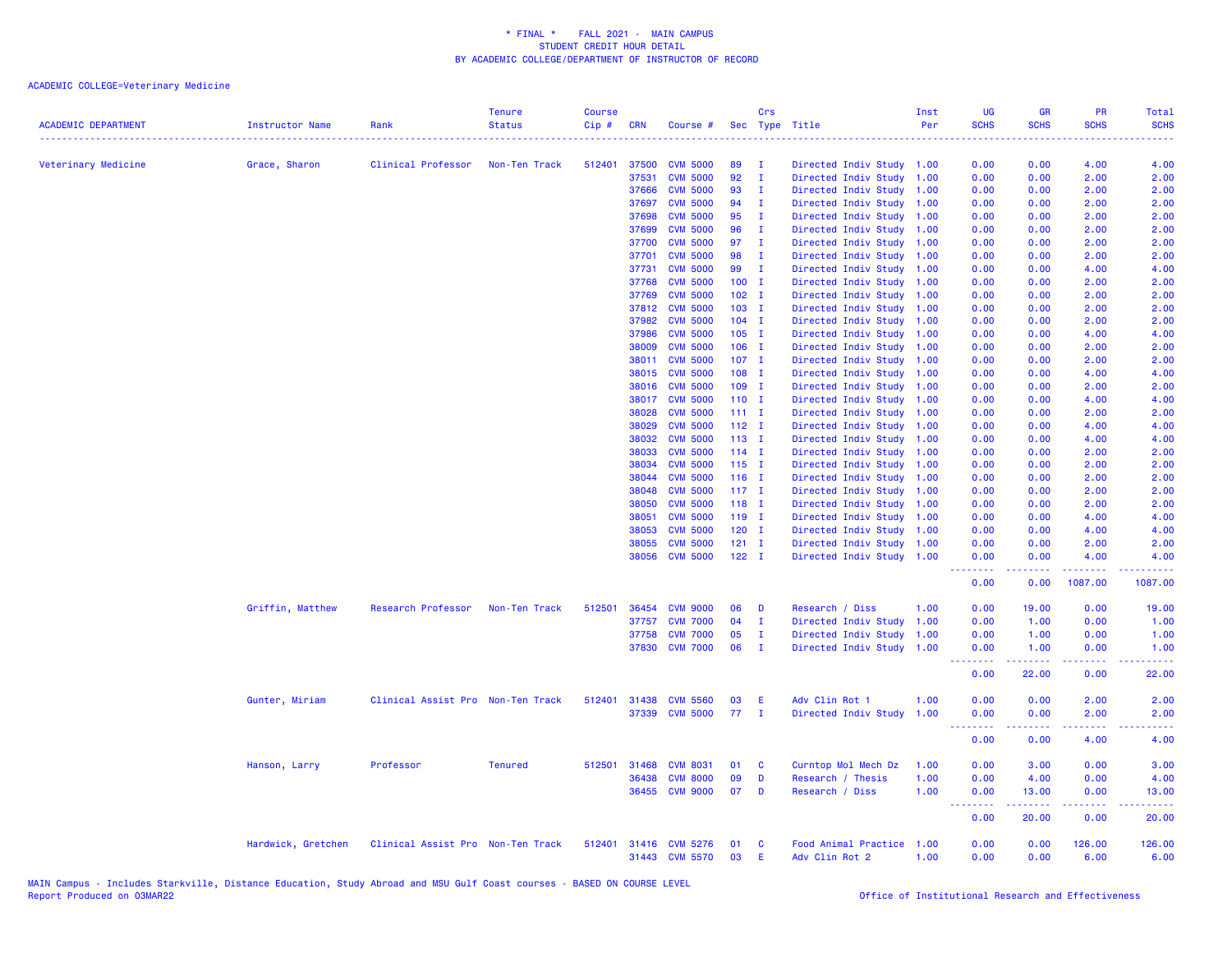| <b>ACADEMIC DEPARTMENT</b> | Instructor Name    | Rank                              | <b>Tenure</b><br><b>Status</b> | <b>Course</b><br>Cip# | <b>CRN</b> | Course #                         |               | Crs          | Sec Type Title                         | Inst<br>Per  | UG<br><b>SCHS</b>                                          | <b>GR</b><br><b>SCHS</b>                                                                                                                                      | PR<br><b>SCHS</b>                                                                                                                                            | Total<br><b>SCHS</b>                |
|----------------------------|--------------------|-----------------------------------|--------------------------------|-----------------------|------------|----------------------------------|---------------|--------------|----------------------------------------|--------------|------------------------------------------------------------|---------------------------------------------------------------------------------------------------------------------------------------------------------------|--------------------------------------------------------------------------------------------------------------------------------------------------------------|-------------------------------------|
| Veterinary Medicine        | Grace, Sharon      | Clinical Professor                | Non-Ten Track                  | 512401                | 37500      | <b>CVM 5000</b>                  | 89            | - 1          | Directed Indiv Study 1.00              |              | 0.00                                                       | 0.00                                                                                                                                                          | 4.00                                                                                                                                                         | 4.00                                |
|                            |                    |                                   |                                |                       | 37531      | <b>CVM 5000</b>                  | 92            | $\mathbf{I}$ | Directed Indiv Study                   | 1.00         | 0.00                                                       | 0.00                                                                                                                                                          | 2.00                                                                                                                                                         | 2.00                                |
|                            |                    |                                   |                                |                       | 37666      | <b>CVM 5000</b>                  | 93            | $\mathbf{I}$ | Directed Indiv Study                   | 1.00         | 0.00                                                       | 0.00                                                                                                                                                          | 2.00                                                                                                                                                         | 2.00                                |
|                            |                    |                                   |                                |                       | 37697      | <b>CVM 5000</b>                  | 94            | $\mathbf{I}$ | Directed Indiv Study                   | 1.00         | 0.00                                                       | 0.00                                                                                                                                                          | 2.00                                                                                                                                                         | 2.00                                |
|                            |                    |                                   |                                |                       | 37698      | <b>CVM 5000</b>                  | 95            | Ι.           | Directed Indiv Study                   | 1.00         | 0.00                                                       | 0.00                                                                                                                                                          | 2.00                                                                                                                                                         | 2.00                                |
|                            |                    |                                   |                                |                       | 37699      | <b>CVM 5000</b>                  | 96            | $\mathbf I$  | Directed Indiv Study                   | 1.00         | 0.00                                                       | 0.00                                                                                                                                                          | 2.00                                                                                                                                                         | 2.00                                |
|                            |                    |                                   |                                |                       | 37700      | <b>CVM 5000</b>                  | 97            | $\mathbf{I}$ | Directed Indiv Study                   | 1.00         | 0.00                                                       | 0.00                                                                                                                                                          | 2.00                                                                                                                                                         | 2.00                                |
|                            |                    |                                   |                                |                       | 37701      | <b>CVM 5000</b>                  | 98            | I            | Directed Indiv Study                   | 1.00         | 0.00                                                       | 0.00                                                                                                                                                          | 2.00                                                                                                                                                         | 2.00                                |
|                            |                    |                                   |                                |                       | 37731      | <b>CVM 5000</b>                  | 99            | $\mathbf I$  | Directed Indiv Study                   | 1.00         | 0.00                                                       | 0.00                                                                                                                                                          | 4.00                                                                                                                                                         | 4.00                                |
|                            |                    |                                   |                                |                       | 37768      | <b>CVM 5000</b>                  | $100$ I       |              | Directed Indiv Study                   | 1.00         | 0.00                                                       | 0.00                                                                                                                                                          | 2.00                                                                                                                                                         | 2.00                                |
|                            |                    |                                   |                                |                       | 37769      | <b>CVM 5000</b>                  | $102$ I       |              | Directed Indiv Study                   | 1.00         | 0.00                                                       | 0.00                                                                                                                                                          | 2.00                                                                                                                                                         | 2.00                                |
|                            |                    |                                   |                                |                       | 37812      | <b>CVM 5000</b>                  | $103$ I       |              | Directed Indiv Study                   | 1.00         | 0.00                                                       | 0.00                                                                                                                                                          | 2.00                                                                                                                                                         | 2.00                                |
|                            |                    |                                   |                                |                       | 37982      | <b>CVM 5000</b>                  | $104$ I       |              | Directed Indiv Study                   | 1.00         | 0.00                                                       | 0.00                                                                                                                                                          | 2.00                                                                                                                                                         | 2.00                                |
|                            |                    |                                   |                                |                       | 37986      | <b>CVM 5000</b>                  | $105$ I       |              | Directed Indiv Study                   | 1.00         | 0.00                                                       | 0.00                                                                                                                                                          | 4.00                                                                                                                                                         | 4.00                                |
|                            |                    |                                   |                                |                       | 38009      | <b>CVM 5000</b>                  | $106$ I       |              | Directed Indiv Study                   | 1.00         | 0.00                                                       | 0.00                                                                                                                                                          | 2.00                                                                                                                                                         | 2.00                                |
|                            |                    |                                   |                                |                       | 38011      | <b>CVM 5000</b>                  | $107$ I       |              | Directed Indiv Study                   | 1.00         | 0.00                                                       | 0.00                                                                                                                                                          | 2.00                                                                                                                                                         | 2.00                                |
|                            |                    |                                   |                                |                       | 38015      | <b>CVM 5000</b>                  | 108 I         |              | Directed Indiv Study                   | 1.00         | 0.00                                                       | 0.00                                                                                                                                                          | 4.00                                                                                                                                                         | 4.00                                |
|                            |                    |                                   |                                |                       | 38016      | <b>CVM 5000</b>                  | $109$ I       |              | Directed Indiv Study                   | 1.00         | 0.00                                                       | 0.00                                                                                                                                                          | 2.00                                                                                                                                                         | 2.00                                |
|                            |                    |                                   |                                |                       | 38017      | <b>CVM 5000</b>                  | $110$ I       |              | Directed Indiv Study                   | 1.00         | 0.00                                                       | 0.00                                                                                                                                                          | 4.00                                                                                                                                                         | 4.00                                |
|                            |                    |                                   |                                |                       | 38028      | <b>CVM 5000</b>                  | $111 \quad I$ |              | Directed Indiv Study                   | 1.00         | 0.00                                                       | 0.00                                                                                                                                                          | 2.00                                                                                                                                                         | 2.00                                |
|                            |                    |                                   |                                |                       | 38029      | <b>CVM 5000</b>                  | $112$ I       |              | Directed Indiv Study                   | 1.00         | 0.00                                                       | 0.00                                                                                                                                                          | 4.00                                                                                                                                                         | 4.00                                |
|                            |                    |                                   |                                |                       | 38032      | <b>CVM 5000</b>                  | $113$ I       |              | Directed Indiv Study                   | 1.00         | 0.00                                                       | 0.00                                                                                                                                                          | 4.00                                                                                                                                                         | 4.00                                |
|                            |                    |                                   |                                |                       | 38033      | <b>CVM 5000</b>                  | $114$ I       |              | Directed Indiv Study                   | 1.00         | 0.00                                                       | 0.00                                                                                                                                                          | 2.00                                                                                                                                                         | 2.00                                |
|                            |                    |                                   |                                |                       | 38034      | <b>CVM 5000</b>                  | $115$ I       |              | Directed Indiv Study                   | 1.00         | 0.00                                                       | 0.00                                                                                                                                                          | 2.00                                                                                                                                                         | 2.00                                |
|                            |                    |                                   |                                |                       | 38044      | <b>CVM 5000</b>                  | $116$ I       |              | Directed Indiv Study                   | 1.00         | 0.00                                                       | 0.00                                                                                                                                                          | 2.00                                                                                                                                                         | 2.00                                |
|                            |                    |                                   |                                |                       | 38048      | <b>CVM 5000</b>                  | $117$ I       |              | Directed Indiv Study                   | 1.00         | 0.00                                                       | 0.00                                                                                                                                                          | 2.00                                                                                                                                                         | 2.00                                |
|                            |                    |                                   |                                |                       | 38050      | <b>CVM 5000</b>                  | $118$ I       |              | Directed Indiv Study                   | 1.00         | 0.00                                                       | 0.00                                                                                                                                                          | 2.00                                                                                                                                                         | 2.00                                |
|                            |                    |                                   |                                |                       | 38051      | <b>CVM 5000</b>                  | 119 I         |              | Directed Indiv Study                   | 1.00         | 0.00                                                       | 0.00                                                                                                                                                          | 4.00                                                                                                                                                         | 4.00                                |
|                            |                    |                                   |                                |                       | 38053      | <b>CVM 5000</b>                  | $120$ I       |              | Directed Indiv Study                   | 1.00         | 0.00                                                       | 0.00                                                                                                                                                          | 4.00                                                                                                                                                         | 4.00                                |
|                            |                    |                                   |                                |                       | 38055      | <b>CVM 5000</b>                  | $121$ I       |              | Directed Indiv Study                   | 1.00         | 0.00                                                       | 0.00                                                                                                                                                          | 2.00                                                                                                                                                         | 2.00                                |
|                            |                    |                                   |                                |                       | 38056      | <b>CVM 5000</b>                  | $122$ I       |              | Directed Indiv Study 1.00              |              | 0.00<br>.                                                  | 0.00<br>$\frac{1}{2} \left( \frac{1}{2} \right) \left( \frac{1}{2} \right) \left( \frac{1}{2} \right) \left( \frac{1}{2} \right)$                             | 4.00<br>$\frac{1}{2} \left( \frac{1}{2} \right) \left( \frac{1}{2} \right) \left( \frac{1}{2} \right) \left( \frac{1}{2} \right) \left( \frac{1}{2} \right)$ | 4.00<br>2.2.2.2.2.                  |
|                            |                    |                                   |                                |                       |            |                                  |               |              |                                        |              | 0.00                                                       | 0.00                                                                                                                                                          | 1087.00                                                                                                                                                      | 1087.00                             |
|                            | Griffin, Matthew   | Research Professor                | Non-Ten Track                  | 512501                | 36454      | <b>CVM 9000</b>                  | 06            | D            | Research / Diss                        | 1.00         | 0.00                                                       | 19.00                                                                                                                                                         | 0.00                                                                                                                                                         | 19.00                               |
|                            |                    |                                   |                                |                       | 37757      | <b>CVM 7000</b>                  | 04            | п.           | Directed Indiv Study                   | 1.00         | 0.00                                                       | 1.00                                                                                                                                                          | 0.00                                                                                                                                                         | 1.00                                |
|                            |                    |                                   |                                |                       | 37758      | <b>CVM 7000</b>                  | 05            | Ι.           | Directed Indiv Study                   | 1.00         | 0.00                                                       | 1.00                                                                                                                                                          | 0.00                                                                                                                                                         | 1.00                                |
|                            |                    |                                   |                                |                       |            | 37830 CVM 7000                   | 06            | $\mathbf{I}$ | Directed Indiv Study                   | 1.00         | 0.00<br>.                                                  | 1.00<br>د د د د د                                                                                                                                             | 0.00<br>22222                                                                                                                                                | 1.00<br>.                           |
|                            |                    |                                   |                                |                       |            |                                  |               |              |                                        |              | 0.00                                                       | 22.00                                                                                                                                                         | 0.00                                                                                                                                                         | 22.00                               |
|                            | Gunter, Miriam     | Clinical Assist Pro Non-Ten Track |                                | 512401                | 31438      | <b>CVM 5560</b>                  | 03            | E            | Adv Clin Rot 1                         | 1.00         | 0.00                                                       | 0.00                                                                                                                                                          | 2.00                                                                                                                                                         | 2.00                                |
|                            |                    |                                   |                                |                       |            | 37339 CVM 5000                   | 77            | $\mathbf{I}$ | Directed Indiv Study                   | 1.00         | 0.00<br><b><i><u><u><b>a</b></u></u> a a a a a a a</i></b> | 0.00<br>.                                                                                                                                                     | 2.00<br>.                                                                                                                                                    | 2.00<br>$\sim$ $\sim$ $\sim$ $\sim$ |
|                            |                    |                                   |                                |                       |            |                                  |               |              |                                        |              | 0.00                                                       | 0.00                                                                                                                                                          | 4.00                                                                                                                                                         | 4.00                                |
|                            | Hanson, Larry      | Professor                         | <b>Tenured</b>                 | 512501                | 31468      | <b>CVM 8031</b>                  | 01            | C            | Curntop Mol Mech Dz                    | 1.00         | 0.00                                                       | 3.00                                                                                                                                                          | 0.00                                                                                                                                                         | 3.00                                |
|                            |                    |                                   |                                |                       | 36438      | <b>CVM 8000</b>                  | 09            | D            | Research / Thesis                      | 1.00         | 0.00                                                       | 4.00                                                                                                                                                          | 0.00                                                                                                                                                         | 4.00                                |
|                            |                    |                                   |                                |                       | 36455      | <b>CVM 9000</b>                  | 07            | D            | Research / Diss                        | 1.00         | 0.00<br>.                                                  | 13.00<br>$\frac{1}{2} \left( \frac{1}{2} \right) \left( \frac{1}{2} \right) \left( \frac{1}{2} \right) \left( \frac{1}{2} \right) \left( \frac{1}{2} \right)$ | 0.00<br>.                                                                                                                                                    | 13.00<br>وعاعاها                    |
|                            |                    |                                   |                                |                       |            |                                  |               |              |                                        |              | 0.00                                                       | 20.00                                                                                                                                                         | 0.00                                                                                                                                                         | 20.00                               |
|                            | Hardwick, Gretchen | Clinical Assist Pro Non-Ten Track |                                | 512401                |            | 31416 CVM 5276<br>31443 CVM 5570 | 01<br>03      | C<br>E       | Food Animal Practice<br>Adv Clin Rot 2 | 1.00<br>1.00 | 0.00<br>0.00                                               | 0.00<br>0.00                                                                                                                                                  | 126.00<br>6.00                                                                                                                                               | 126.00<br>6.00                      |
|                            |                    |                                   |                                |                       |            |                                  |               |              |                                        |              |                                                            |                                                                                                                                                               |                                                                                                                                                              |                                     |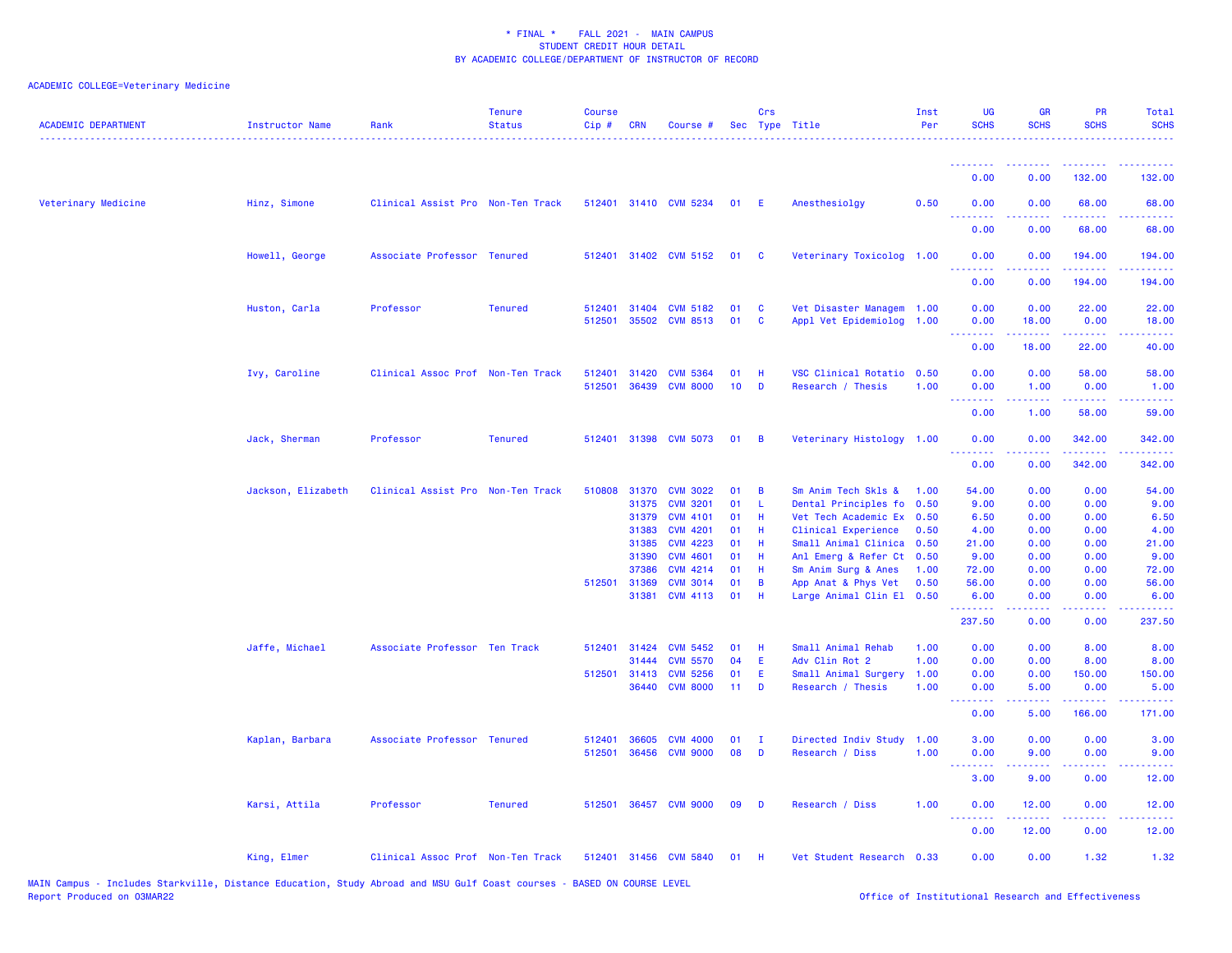| <b>ACADEMIC DEPARTMENT</b> | <b>Instructor Name</b> | Rank                              | <b>Tenure</b><br><b>Status</b> | <b>Course</b><br>Cip# | <b>CRN</b>     | Course #                           |                 | Crs            | Sec Type Title                              | Inst<br>Per  | UG<br><b>SCHS</b> | <b>GR</b><br><b>SCHS</b>                                                                                                                                      | <b>PR</b><br><b>SCHS</b>                    | Total<br><b>SCHS</b>                                                                                                                                           |
|----------------------------|------------------------|-----------------------------------|--------------------------------|-----------------------|----------------|------------------------------------|-----------------|----------------|---------------------------------------------|--------------|-------------------|---------------------------------------------------------------------------------------------------------------------------------------------------------------|---------------------------------------------|----------------------------------------------------------------------------------------------------------------------------------------------------------------|
|                            |                        |                                   |                                |                       |                |                                    |                 |                |                                             |              | <u>.</u>          |                                                                                                                                                               |                                             |                                                                                                                                                                |
|                            |                        |                                   |                                |                       |                |                                    |                 |                |                                             |              | 0.00              | 0.00                                                                                                                                                          | 132.00                                      | 132.00                                                                                                                                                         |
| Veterinary Medicine        | Hinz, Simone           | Clinical Assist Pro Non-Ten Track |                                |                       |                | 512401 31410 CVM 5234              | 01              | -E             | Anesthesiolgy                               | 0.50         | 0.00<br>.         | 0.00                                                                                                                                                          | 68.00                                       | 68.00                                                                                                                                                          |
|                            |                        |                                   |                                |                       |                |                                    |                 |                |                                             |              | 0.00              | 0.00                                                                                                                                                          | 68.00                                       | 68.00                                                                                                                                                          |
|                            | Howell, George         | Associate Professor Tenured       |                                |                       |                | 512401 31402 CVM 5152              | 01              | $\mathbf{C}$   | Veterinary Toxicolog 1.00                   |              | 0.00              | 0.00                                                                                                                                                          | 194.00                                      | 194.00                                                                                                                                                         |
|                            |                        |                                   |                                |                       |                |                                    |                 |                |                                             |              | <u>.</u><br>0.00  | 0.00                                                                                                                                                          | .<br>194.00                                 | $\frac{1}{2} \left( \frac{1}{2} \right) \left( \frac{1}{2} \right) \left( \frac{1}{2} \right) \left( \frac{1}{2} \right) \left( \frac{1}{2} \right)$<br>194.00 |
|                            | Huston, Carla          | Professor                         | <b>Tenured</b>                 | 512401                | 31404          | <b>CVM 5182</b>                    | 01              | <b>C</b>       | Vet Disaster Managem 1.00                   |              | 0.00              | 0.00                                                                                                                                                          | 22.00                                       | 22.00                                                                                                                                                          |
|                            |                        |                                   |                                | 512501                | 35502          | <b>CVM 8513</b>                    | 01              | C              | Appl Vet Epidemiolog 1.00                   |              | 0.00<br>.         | 18.00<br>$\frac{1}{2} \left( \frac{1}{2} \right) \left( \frac{1}{2} \right) \left( \frac{1}{2} \right) \left( \frac{1}{2} \right) \left( \frac{1}{2} \right)$ | 0.00<br>بالأنابات                           | 18.00<br>المتمامين                                                                                                                                             |
|                            |                        |                                   |                                |                       |                |                                    |                 |                |                                             |              | 0.00              | 18.00                                                                                                                                                         | 22.00                                       | 40.00                                                                                                                                                          |
|                            | Ivy, Caroline          | Clinical Assoc Prof Non-Ten Track |                                | 512401                | 31420          | <b>CVM 5364</b>                    | 01              | H              | VSC Clinical Rotatio                        | 0.50         | 0.00              | 0.00                                                                                                                                                          | 58.00                                       | 58.00                                                                                                                                                          |
|                            |                        |                                   |                                | 512501                | 36439          | <b>CVM 8000</b>                    | 10              | D              | Research / Thesis                           | 1.00         | 0.00<br>.         | 1.00<br>22222                                                                                                                                                 | 0.00<br>المتمام المتمار                     | 1.00<br>وعاعاها                                                                                                                                                |
|                            |                        |                                   |                                |                       |                |                                    |                 |                |                                             |              | 0.00              | 1.00                                                                                                                                                          | 58.00                                       | 59.00                                                                                                                                                          |
|                            | Jack, Sherman          | Professor                         | <b>Tenured</b>                 | 512401                | 31398          | <b>CVM 5073</b>                    | 01              | $\overline{B}$ | Veterinary Histology 1.00                   |              | 0.00              | 0.00                                                                                                                                                          | 342.00                                      | 342.00                                                                                                                                                         |
|                            |                        |                                   |                                |                       |                |                                    |                 |                |                                             |              | .<br>0.00         | 0.00                                                                                                                                                          | <b><i><u><u>AAAAA</u></u></i></b><br>342.00 | $- - - - - - -$<br>342.00                                                                                                                                      |
|                            | Jackson, Elizabeth     | Clinical Assist Pro Non-Ten Track |                                | 510808                | 31370          | <b>CVM 3022</b>                    | 01              | B              | Sm Anim Tech Skls &                         | 1.00         | 54.00             | 0.00                                                                                                                                                          | 0.00                                        | 54.00                                                                                                                                                          |
|                            |                        |                                   |                                |                       | 31375          | <b>CVM 3201</b>                    | 01              | L              | Dental Principles fo                        | 0.50         | 9.00              | 0.00                                                                                                                                                          | 0.00                                        | 9.00                                                                                                                                                           |
|                            |                        |                                   |                                |                       | 31379          | <b>CVM 4101</b>                    | 01              | Н              | Vet Tech Academic Ex                        | 0.50         | 6.50              | 0.00                                                                                                                                                          | 0.00                                        | 6.50                                                                                                                                                           |
|                            |                        |                                   |                                |                       | 31383          | <b>CVM 4201</b>                    | 01              | H              | Clinical Experience                         | 0.50         | 4.00              | 0.00                                                                                                                                                          | 0.00                                        | 4.00                                                                                                                                                           |
|                            |                        |                                   |                                |                       | 31385          | <b>CVM 4223</b><br><b>CVM 4601</b> | 01<br>01        | Н<br>H         | Small Animal Clinica                        | 0.50         | 21.00             | 0.00                                                                                                                                                          | 0.00<br>0.00                                | 21.00<br>9.00                                                                                                                                                  |
|                            |                        |                                   |                                |                       | 31390<br>37386 | <b>CVM 4214</b>                    | 01              | H              | Anl Emerg & Refer Ct<br>Sm Anim Surg & Anes | 0.50<br>1.00 | 9.00<br>72.00     | 0.00<br>0.00                                                                                                                                                  | 0.00                                        | 72.00                                                                                                                                                          |
|                            |                        |                                   |                                | 512501 31369          |                | <b>CVM 3014</b>                    | 01              | B              | App Anat & Phys Vet                         | 0.50         | 56.00             | 0.00                                                                                                                                                          | 0.00                                        | 56.00                                                                                                                                                          |
|                            |                        |                                   |                                |                       | 31381          | <b>CVM 4113</b>                    | 01              | Н              | Large Animal Clin El 0.50                   |              | 6.00              | 0.00                                                                                                                                                          | 0.00                                        | 6.00                                                                                                                                                           |
|                            |                        |                                   |                                |                       |                |                                    |                 |                |                                             |              | .<br>237.50       | 0.00                                                                                                                                                          | 0.00                                        | .<br>237.50                                                                                                                                                    |
|                            | Jaffe, Michael         | Associate Professor Ten Track     |                                |                       | 512401 31424   | <b>CVM 5452</b>                    | 01              | H              | Small Animal Rehab                          | 1.00         | 0.00              | 0.00                                                                                                                                                          | 8.00                                        | 8.00                                                                                                                                                           |
|                            |                        |                                   |                                |                       | 31444          | <b>CVM 5570</b>                    | 04              | E              | Adv Clin Rot 2                              | 1.00         | 0.00              | 0.00                                                                                                                                                          | 8.00                                        | 8.00                                                                                                                                                           |
|                            |                        |                                   |                                |                       | 512501 31413   | <b>CVM 5256</b>                    | 01              | E              | Small Animal Surgery                        | 1.00         | 0.00              | 0.00                                                                                                                                                          | 150.00                                      | 150.00                                                                                                                                                         |
|                            |                        |                                   |                                |                       | 36440          | <b>CVM 8000</b>                    | 11 <sub>1</sub> | D              | Research / Thesis                           | 1.00         | 0.00<br>.         | 5.00                                                                                                                                                          | 0.00<br>2.2.2.2                             | 5.00<br>.                                                                                                                                                      |
|                            |                        |                                   |                                |                       |                |                                    |                 |                |                                             |              | 0.00              | 5.00                                                                                                                                                          | 166.00                                      | 171.00                                                                                                                                                         |
|                            | Kaplan, Barbara        | Associate Professor Tenured       |                                | 512401                | 36605          | <b>CVM 4000</b>                    | 01              | п              | Directed Indiv Study                        | 1.00         | 3.00              | 0.00                                                                                                                                                          | 0.00                                        | 3.00                                                                                                                                                           |
|                            |                        |                                   |                                | 512501                | 36456          | <b>CVM 9000</b>                    | 08              | D              | Research / Diss                             | 1.00         | 0.00<br>.         | 9.00<br>22222                                                                                                                                                 | 0.00                                        | 9.00<br>$\omega$ is $\omega$ in .                                                                                                                              |
|                            |                        |                                   |                                |                       |                |                                    |                 |                |                                             |              | 3.00              | 9.00                                                                                                                                                          | 0.00                                        | 12.00                                                                                                                                                          |
|                            | Karsi, Attila          | Professor                         | <b>Tenured</b>                 |                       |                | 512501 36457 CVM 9000              | 09              | D              | Research / Diss                             | 1.00         | 0.00<br>.         | 12.00                                                                                                                                                         | 0.00                                        | 12.00<br>$\omega_{\rm{eff}}$ and $\omega_{\rm{eff}}$                                                                                                           |
|                            |                        |                                   |                                |                       |                |                                    |                 |                |                                             |              | 0.00              | 12.00                                                                                                                                                         | 0.00                                        | 12.00                                                                                                                                                          |
|                            | King, Elmer            | Clinical Assoc Prof Non-Ten Track |                                |                       |                | 512401 31456 CVM 5840              | 01              | -H             | Vet Student Research 0.33                   |              | 0.00              | 0.00                                                                                                                                                          | 1.32                                        | 1.32                                                                                                                                                           |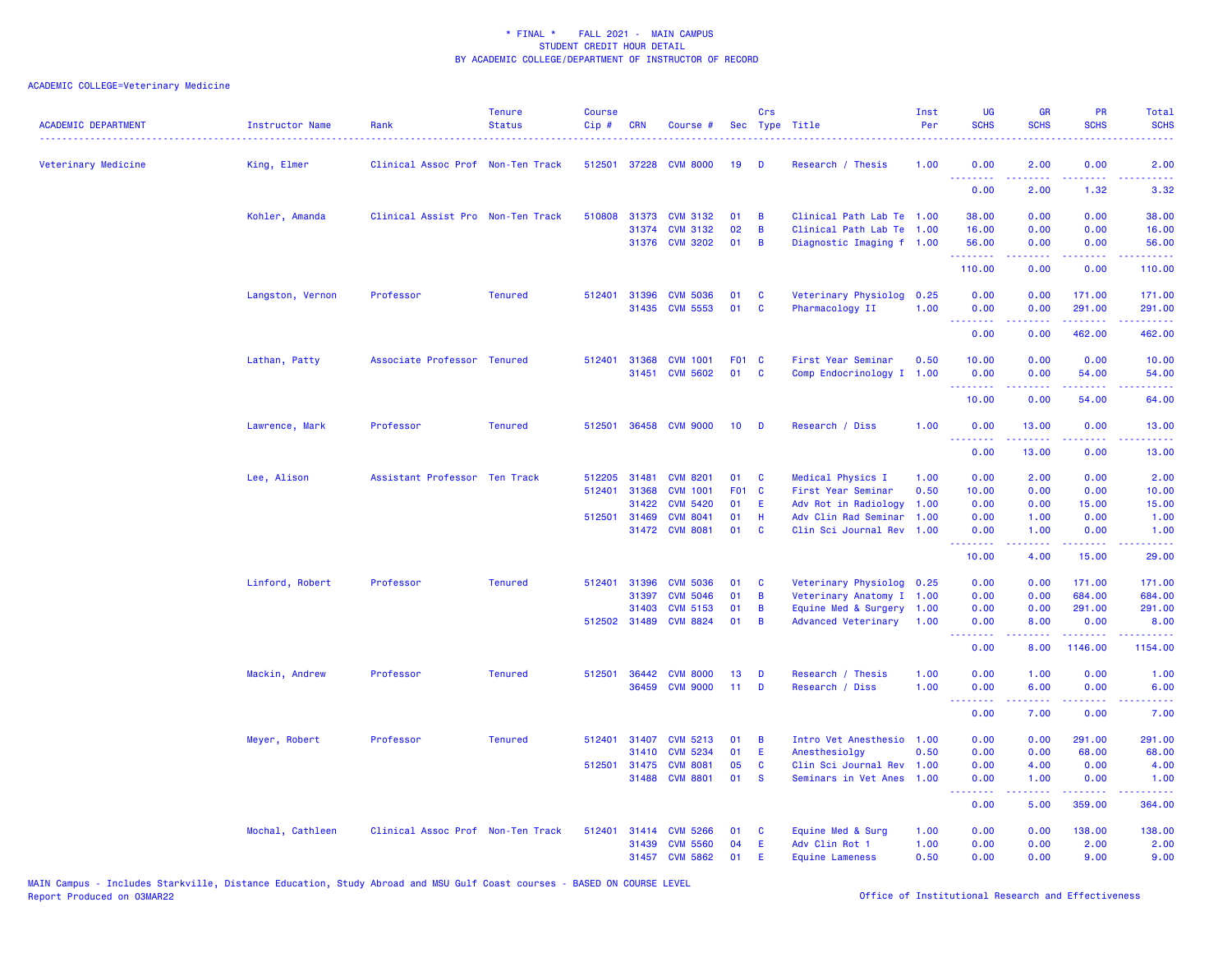| <b>ACADEMIC DEPARTMENT</b> | Instructor Name  | Rank                              | <b>Tenure</b><br><b>Status</b> | <b>Course</b><br>Cip# | <b>CRN</b>   | Course #                          |                  | Crs      | Sec Type Title                           | Inst<br>Per  | UG<br><b>SCHS</b>                                   | <b>GR</b><br><b>SCHS</b>      | PR<br><b>SCHS</b>                                                                                                                                                                                                                                                                                                                                                                                                                                                                              | Total<br><b>SCHS</b>                                                                                                                                         |
|----------------------------|------------------|-----------------------------------|--------------------------------|-----------------------|--------------|-----------------------------------|------------------|----------|------------------------------------------|--------------|-----------------------------------------------------|-------------------------------|------------------------------------------------------------------------------------------------------------------------------------------------------------------------------------------------------------------------------------------------------------------------------------------------------------------------------------------------------------------------------------------------------------------------------------------------------------------------------------------------|--------------------------------------------------------------------------------------------------------------------------------------------------------------|
| Veterinary Medicine        | King, Elmer      | Clinical Assoc Prof Non-Ten Track |                                |                       |              | 512501 37228 CVM 8000             | 19               | Ð        | Research / Thesis                        | 1.00         | 0.00                                                | 2.00                          | 0.00                                                                                                                                                                                                                                                                                                                                                                                                                                                                                           | 2.00                                                                                                                                                         |
|                            |                  |                                   |                                |                       |              |                                   |                  |          |                                          |              | <u>.</u><br>0.00                                    | .<br>2.00                     | $\sim$ $\sim$ $\sim$ $\sim$<br>1.32                                                                                                                                                                                                                                                                                                                                                                                                                                                            | 3.32                                                                                                                                                         |
|                            | Kohler, Amanda   | Clinical Assist Pro Non-Ten Track |                                |                       |              | 510808 31373 CVM 3132             | 01               | B        | Clinical Path Lab Te 1.00                |              | 38.00                                               | 0.00                          | 0.00                                                                                                                                                                                                                                                                                                                                                                                                                                                                                           | 38.00                                                                                                                                                        |
|                            |                  |                                   |                                |                       | 31374        | <b>CVM 3132</b>                   | 02               | B        | Clinical Path Lab Te 1.00                |              | 16.00                                               | 0.00                          | 0.00                                                                                                                                                                                                                                                                                                                                                                                                                                                                                           | 16.00                                                                                                                                                        |
|                            |                  |                                   |                                |                       |              | 31376 CVM 3202                    | 01               | B        | Diagnostic Imaging f 1.00                |              | 56.00<br><b><i><u><u> - - - - - - -</u></u></i></b> | 0.00<br>.                     | 0.00<br>.                                                                                                                                                                                                                                                                                                                                                                                                                                                                                      | 56.00<br>.                                                                                                                                                   |
|                            |                  |                                   |                                |                       |              |                                   |                  |          |                                          |              | 110.00                                              | 0.00                          | 0.00                                                                                                                                                                                                                                                                                                                                                                                                                                                                                           | 110.00                                                                                                                                                       |
|                            | Langston, Vernon | Professor                         | <b>Tenured</b>                 |                       | 512401 31396 | <b>CVM 5036</b>                   | 01               | C        | Veterinary Physiolog 0.25                |              | 0.00                                                | 0.00                          | 171.00                                                                                                                                                                                                                                                                                                                                                                                                                                                                                         | 171.00                                                                                                                                                       |
|                            |                  |                                   |                                |                       |              | 31435 CVM 5553                    | 01               | C        | Pharmacology II                          | 1.00         | 0.00<br><b>.</b>                                    | 0.00                          | 291.00<br>.                                                                                                                                                                                                                                                                                                                                                                                                                                                                                    | 291.00<br>والموالي بالموالي                                                                                                                                  |
|                            |                  |                                   |                                |                       |              |                                   |                  |          |                                          |              | 0.00                                                | 0.00                          | 462.00                                                                                                                                                                                                                                                                                                                                                                                                                                                                                         | 462.00                                                                                                                                                       |
|                            | Lathan, Patty    | Associate Professor Tenured       |                                |                       |              | 512401 31368 CVM 1001             | F01 C            |          | First Year Seminar                       | 0.50         | 10.00                                               | 0.00                          | 0.00                                                                                                                                                                                                                                                                                                                                                                                                                                                                                           | 10.00                                                                                                                                                        |
|                            |                  |                                   |                                |                       | 31451        | <b>CVM 5602</b>                   | 01               | <b>C</b> | Comp Endocrinology I                     | 1.00         | 0.00<br><b></b>                                     | 0.00<br><b><i><u></u></i></b> | 54.00<br>.                                                                                                                                                                                                                                                                                                                                                                                                                                                                                     | 54.00<br>.                                                                                                                                                   |
|                            |                  |                                   |                                |                       |              |                                   |                  |          |                                          |              | 10.00                                               | 0.00                          | 54.00                                                                                                                                                                                                                                                                                                                                                                                                                                                                                          | 64.00                                                                                                                                                        |
|                            | Lawrence, Mark   | Professor                         | <b>Tenured</b>                 | 512501                |              | 36458 CVM 9000                    | 10 <sup>°</sup>  | D        | Research / Diss                          | 1.00         | 0.00                                                | 13.00                         | 0.00                                                                                                                                                                                                                                                                                                                                                                                                                                                                                           | 13.00                                                                                                                                                        |
|                            |                  |                                   |                                |                       |              |                                   |                  |          |                                          |              | .<br>0.00                                           | 2222.<br>13.00                | د د د د<br>0.00                                                                                                                                                                                                                                                                                                                                                                                                                                                                                | المتمامين<br>13.00                                                                                                                                           |
|                            | Lee, Alison      | Assistant Professor Ten Track     |                                | 512205                | 31481        | <b>CVM 8201</b>                   | 01               | <b>C</b> | Medical Physics I                        | 1.00         | 0.00                                                | 2.00                          | 0.00                                                                                                                                                                                                                                                                                                                                                                                                                                                                                           | 2.00                                                                                                                                                         |
|                            |                  |                                   |                                | 512401                | 31368        | <b>CVM 1001</b>                   | F <sub>0</sub> 1 | <b>C</b> | First Year Seminar                       | 0.50         | 10.00                                               | 0.00                          | 0.00                                                                                                                                                                                                                                                                                                                                                                                                                                                                                           | 10.00                                                                                                                                                        |
|                            |                  |                                   |                                |                       | 31422        | <b>CVM 5420</b>                   | 01               | Ε        | Adv Rot in Radiology                     | 1.00         | 0.00                                                | 0.00                          | 15.00                                                                                                                                                                                                                                                                                                                                                                                                                                                                                          | 15.00                                                                                                                                                        |
|                            |                  |                                   |                                |                       | 512501 31469 | <b>CVM 8041</b>                   | 01               | н        | Adv Clin Rad Seminar                     | 1.00         | 0.00                                                | 1.00                          | 0.00                                                                                                                                                                                                                                                                                                                                                                                                                                                                                           | 1.00                                                                                                                                                         |
|                            |                  |                                   |                                |                       |              | 31472 CVM 8081                    | 01               | C        | Clin Sci Journal Rev 1.00                |              | 0.00<br><b></b>                                     | 1.00<br>22222                 | 0.00<br>.                                                                                                                                                                                                                                                                                                                                                                                                                                                                                      | 1.00<br>.                                                                                                                                                    |
|                            |                  |                                   |                                |                       |              |                                   |                  |          |                                          |              | 10.00                                               | 4.00                          | 15.00                                                                                                                                                                                                                                                                                                                                                                                                                                                                                          | 29.00                                                                                                                                                        |
|                            | Linford, Robert  | Professor                         | <b>Tenured</b>                 |                       | 512401 31396 | <b>CVM 5036</b>                   | 01               | C        | Veterinary Physiolog 0.25                |              | 0.00                                                | 0.00                          | 171.00                                                                                                                                                                                                                                                                                                                                                                                                                                                                                         | 171.00                                                                                                                                                       |
|                            |                  |                                   |                                |                       | 31397        | <b>CVM 5046</b>                   | 01               | B        | Veterinary Anatomy I 1.00                |              | 0.00                                                | 0.00                          | 684.00                                                                                                                                                                                                                                                                                                                                                                                                                                                                                         | 684.00                                                                                                                                                       |
|                            |                  |                                   |                                |                       | 31403        | <b>CVM 5153</b>                   | 01               | B        | Equine Med & Surgery 1.00                |              | 0.00                                                | 0.00                          | 291.00                                                                                                                                                                                                                                                                                                                                                                                                                                                                                         | 291.00                                                                                                                                                       |
|                            |                  |                                   |                                |                       | 512502 31489 | <b>CVM 8824</b>                   | 01               | B        | Advanced Veterinary                      | 1.00         | 0.00<br>.                                           | 8.00<br>.                     | 0.00<br><u>.</u>                                                                                                                                                                                                                                                                                                                                                                                                                                                                               | 8.00<br>.                                                                                                                                                    |
|                            |                  |                                   |                                |                       |              |                                   |                  |          |                                          |              | 0.00                                                | 8.00                          | 1146.00                                                                                                                                                                                                                                                                                                                                                                                                                                                                                        | 1154.00                                                                                                                                                      |
|                            | Mackin, Andrew   | Professor                         | <b>Tenured</b>                 | 512501                | 36442        | <b>CVM 8000</b>                   | 13               | D        | Research / Thesis                        | 1.00         | 0.00                                                | 1.00                          | 0.00                                                                                                                                                                                                                                                                                                                                                                                                                                                                                           | 1.00                                                                                                                                                         |
|                            |                  |                                   |                                |                       | 36459        | <b>CVM 9000</b>                   | 11               | D        | Research / Diss                          | 1.00         | 0.00<br>.                                           | 6.00<br>.                     | 0.00<br>د د د د                                                                                                                                                                                                                                                                                                                                                                                                                                                                                | 6.00<br>$\omega$ is $\omega$ .                                                                                                                               |
|                            |                  |                                   |                                |                       |              |                                   |                  |          |                                          |              | 0.00                                                | 7.00                          | 0.00                                                                                                                                                                                                                                                                                                                                                                                                                                                                                           | 7.00                                                                                                                                                         |
|                            | Meyer, Robert    | Professor                         | <b>Tenured</b>                 | 512401                | 31407        | <b>CVM 5213</b>                   | 01               | B        | Intro Vet Anesthesio                     | 1.00         | 0.00                                                | 0.00                          | 291.00                                                                                                                                                                                                                                                                                                                                                                                                                                                                                         | 291.00                                                                                                                                                       |
|                            |                  |                                   |                                |                       | 31410        | <b>CVM 5234</b>                   | 01               | Ε        | Anesthesiolgy                            | 0.50         | 0.00                                                | 0.00                          | 68.00                                                                                                                                                                                                                                                                                                                                                                                                                                                                                          | 68.00                                                                                                                                                        |
|                            |                  |                                   |                                |                       | 512501 31475 | <b>CVM 8081</b>                   | 05               | C        | Clin Sci Journal Rev 1.00                |              | 0.00                                                | 4.00                          | 0.00                                                                                                                                                                                                                                                                                                                                                                                                                                                                                           | 4.00                                                                                                                                                         |
|                            |                  |                                   |                                |                       | 31488        | <b>CVM 8801</b>                   | 01               | <b>S</b> | Seminars in Vet Anes                     | 1.00         | 0.00<br>.                                           | 1.00<br>22222                 | 0.00<br>$\begin{array}{cccccccccc} \multicolumn{2}{c}{} & \multicolumn{2}{c}{} & \multicolumn{2}{c}{} & \multicolumn{2}{c}{} & \multicolumn{2}{c}{} & \multicolumn{2}{c}{} & \multicolumn{2}{c}{} & \multicolumn{2}{c}{} & \multicolumn{2}{c}{} & \multicolumn{2}{c}{} & \multicolumn{2}{c}{} & \multicolumn{2}{c}{} & \multicolumn{2}{c}{} & \multicolumn{2}{c}{} & \multicolumn{2}{c}{} & \multicolumn{2}{c}{} & \multicolumn{2}{c}{} & \multicolumn{2}{c}{} & \multicolumn{2}{c}{} & \mult$ | 1.00<br>$\frac{1}{2} \left( \frac{1}{2} \right) \left( \frac{1}{2} \right) \left( \frac{1}{2} \right) \left( \frac{1}{2} \right) \left( \frac{1}{2} \right)$ |
|                            |                  |                                   |                                |                       |              |                                   |                  |          |                                          |              | 0.00                                                | 5.00                          | 359.00                                                                                                                                                                                                                                                                                                                                                                                                                                                                                         | 364.00                                                                                                                                                       |
|                            | Mochal, Cathleen | Clinical Assoc Prof Non-Ten Track |                                | 512401                | 31414        | <b>CVM 5266</b>                   | 01<br>04         | C        | Equine Med & Surg                        | 1.00         | 0.00                                                | 0.00                          | 138.00                                                                                                                                                                                                                                                                                                                                                                                                                                                                                         | 138.00                                                                                                                                                       |
|                            |                  |                                   |                                |                       | 31457        | 31439 CVM 5560<br><b>CVM 5862</b> | 01               | Ε<br>Æ   | Adv Clin Rot 1<br><b>Equine Lameness</b> | 1.00<br>0.50 | 0.00<br>0.00                                        | 0.00<br>0.00                  | 2.00<br>9.00                                                                                                                                                                                                                                                                                                                                                                                                                                                                                   | 2.00<br>9.00                                                                                                                                                 |
|                            |                  |                                   |                                |                       |              |                                   |                  |          |                                          |              |                                                     |                               |                                                                                                                                                                                                                                                                                                                                                                                                                                                                                                |                                                                                                                                                              |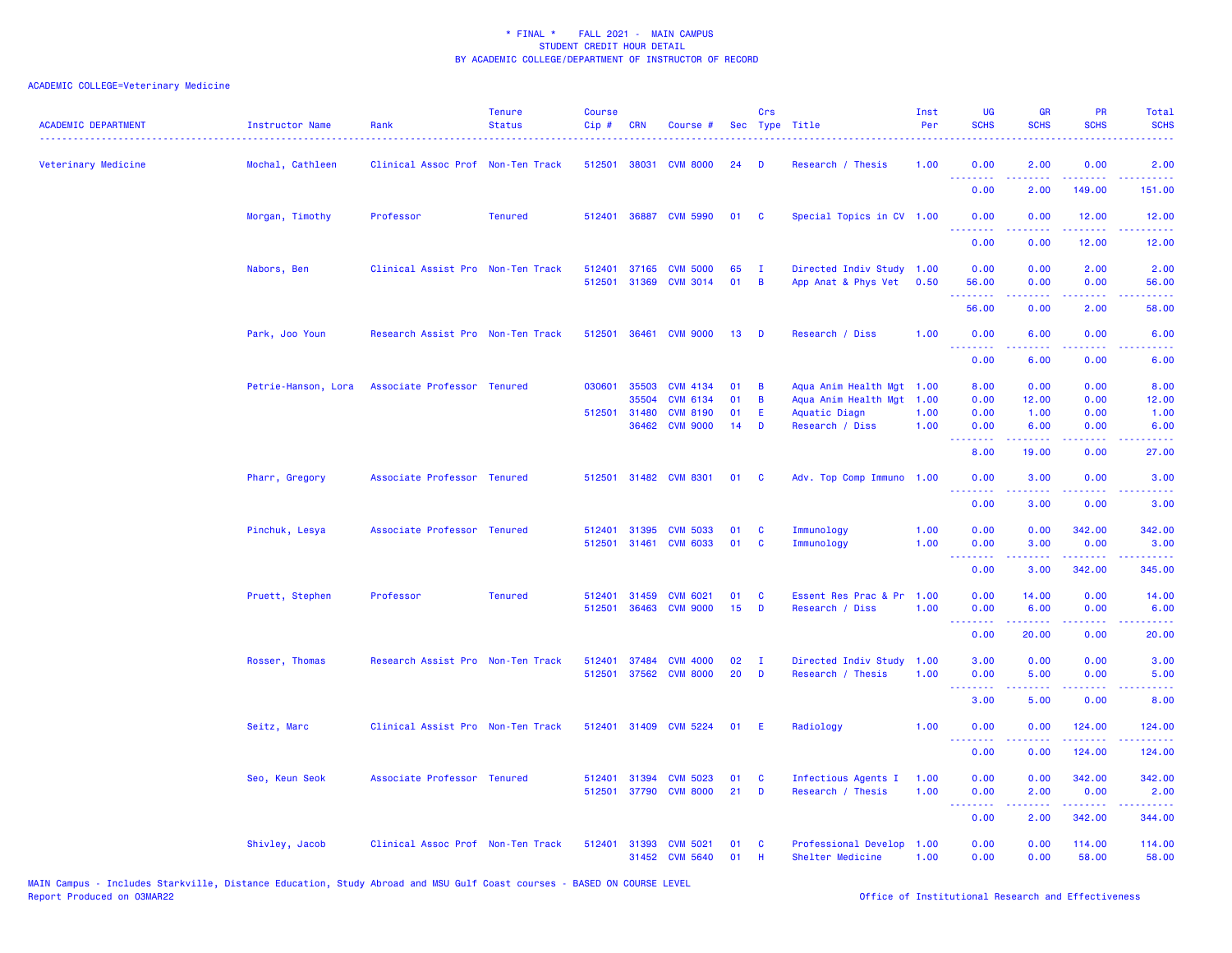| <b>ACADEMIC DEPARTMENT</b> | <b>Instructor Name</b><br>. | Rank                              | <b>Tenure</b><br><b>Status</b> | <b>Course</b><br>Cip# | <b>CRN</b>                              | Course #                                                                 |                      | Crs              | Sec Type Title                                                                   | Inst<br>Per                  | UG<br><b>SCHS</b>            | <b>GR</b><br><b>SCHS</b>                                                                                                                                              | <b>PR</b><br><b>SCHS</b>                                                                                                                                      | Total<br><b>SCHS</b>                                                                                                                                           |
|----------------------------|-----------------------------|-----------------------------------|--------------------------------|-----------------------|-----------------------------------------|--------------------------------------------------------------------------|----------------------|------------------|----------------------------------------------------------------------------------|------------------------------|------------------------------|-----------------------------------------------------------------------------------------------------------------------------------------------------------------------|---------------------------------------------------------------------------------------------------------------------------------------------------------------|----------------------------------------------------------------------------------------------------------------------------------------------------------------|
| Veterinary Medicine        | Mochal, Cathleen            | Clinical Assoc Prof Non-Ten Track |                                | 512501                | 38031                                   | <b>CVM 8000</b>                                                          | 24                   | D                | Research / Thesis                                                                | 1.00                         | 0.00<br>.                    | 2.00                                                                                                                                                                  | 0.00                                                                                                                                                          | 2.00                                                                                                                                                           |
|                            |                             |                                   |                                |                       |                                         |                                                                          |                      |                  |                                                                                  |                              | 0.00                         | 2.00                                                                                                                                                                  | 149.00                                                                                                                                                        | 151.00                                                                                                                                                         |
|                            | Morgan, Timothy             | Professor                         | <b>Tenured</b>                 |                       |                                         | 512401 36887 CVM 5990                                                    | 01                   | <b>C</b>         | Special Topics in CV 1.00                                                        |                              | 0.00<br>.                    | 0.00<br>.                                                                                                                                                             | 12.00<br>$\frac{1}{2} \left( \frac{1}{2} \right) \left( \frac{1}{2} \right) \left( \frac{1}{2} \right) \left( \frac{1}{2} \right) \left( \frac{1}{2} \right)$ | 12.00<br>.                                                                                                                                                     |
|                            |                             |                                   |                                |                       |                                         |                                                                          |                      |                  |                                                                                  |                              | 0.00                         | 0.00                                                                                                                                                                  | 12.00                                                                                                                                                         | 12.00                                                                                                                                                          |
|                            | Nabors, Ben                 | Clinical Assist Pro Non-Ten Track |                                | 512401<br>512501      | 37165<br>31369                          | <b>CVM 5000</b><br><b>CVM 3014</b>                                       | 65<br>01             | $\mathbf I$<br>B | Directed Indiv Study<br>App Anat & Phys Vet                                      | 1.00<br>0.50                 | 0.00<br>56.00                | 0.00<br>0.00                                                                                                                                                          | 2.00<br>0.00                                                                                                                                                  | 2.00<br>56.00                                                                                                                                                  |
|                            |                             |                                   |                                |                       |                                         |                                                                          |                      |                  |                                                                                  |                              | .<br>56.00                   | .<br>0.00                                                                                                                                                             | د د د د .<br>2.00                                                                                                                                             | $\frac{1}{2} \left( \frac{1}{2} \right) \left( \frac{1}{2} \right) \left( \frac{1}{2} \right) \left( \frac{1}{2} \right)$<br>58.00                             |
|                            | Park, Joo Youn              | Research Assist Pro Non-Ten Track |                                | 512501                | 36461                                   | <b>CVM 9000</b>                                                          | 13                   | D                | Research / Diss                                                                  | 1.00                         | 0.00<br>.                    | 6.00<br>2.2.2.2.2                                                                                                                                                     | 0.00<br>.                                                                                                                                                     | 6.00<br>$\frac{1}{2} \left( \frac{1}{2} \right) \left( \frac{1}{2} \right) \left( \frac{1}{2} \right) \left( \frac{1}{2} \right)$                              |
|                            |                             |                                   |                                |                       |                                         |                                                                          |                      |                  |                                                                                  |                              | 0.00                         | 6.00                                                                                                                                                                  | 0.00                                                                                                                                                          | 6.00                                                                                                                                                           |
|                            | Petrie-Hanson, Lora         | Associate Professor Tenured       |                                | 030601                | 35503<br>35504<br>512501 31480<br>36462 | <b>CVM 4134</b><br><b>CVM 6134</b><br><b>CVM 8190</b><br><b>CVM 9000</b> | 01<br>01<br>01<br>14 | B<br>B<br>E<br>D | Aqua Anim Health Mgt<br>Aqua Anim Health Mgt<br>Aquatic Diagn<br>Research / Diss | 1.00<br>1.00<br>1.00<br>1.00 | 8.00<br>0.00<br>0.00<br>0.00 | 0.00<br>12.00<br>1.00<br>6.00                                                                                                                                         | 0.00<br>0.00<br>0.00<br>0.00                                                                                                                                  | 8.00<br>12.00<br>1.00<br>6.00                                                                                                                                  |
|                            |                             |                                   |                                |                       |                                         |                                                                          |                      |                  |                                                                                  |                              | <u>.</u><br>8.00             | <b><i><u><u>AAAAA</u></u></i></b><br>19.00                                                                                                                            | $\frac{1}{2} \left( \frac{1}{2} \right) \left( \frac{1}{2} \right) \left( \frac{1}{2} \right) \left( \frac{1}{2} \right)$<br>0.00                             | $\frac{1}{2} \left( \frac{1}{2} \right) \left( \frac{1}{2} \right) \left( \frac{1}{2} \right) \left( \frac{1}{2} \right)$<br>27.00                             |
|                            | Pharr, Gregory              | Associate Professor Tenured       |                                |                       |                                         | 512501 31482 CVM 8301                                                    | 01                   | <b>C</b>         | Adv. Top Comp Immuno 1.00                                                        |                              | 0.00                         | 3.00                                                                                                                                                                  | 0.00                                                                                                                                                          | 3.00                                                                                                                                                           |
|                            |                             |                                   |                                |                       |                                         |                                                                          |                      |                  |                                                                                  |                              | .<br>0.00                    | 3.00                                                                                                                                                                  | 0.00                                                                                                                                                          | 3.00                                                                                                                                                           |
|                            | Pinchuk, Lesya              | Associate Professor Tenured       |                                | 512401                | 31395<br>512501 31461                   | <b>CVM 5033</b><br><b>CVM 6033</b>                                       | 01<br>01             | C<br>C           | Immunology<br>Immunology                                                         | 1.00<br>1.00                 | 0.00<br>0.00                 | 0.00<br>3.00<br>$- - - - -$                                                                                                                                           | 342.00<br>0.00<br>.                                                                                                                                           | 342.00<br>3.00<br>.                                                                                                                                            |
|                            |                             |                                   |                                |                       |                                         |                                                                          |                      |                  |                                                                                  |                              | --------<br>0.00             | 3.00                                                                                                                                                                  | 342.00                                                                                                                                                        | 345.00                                                                                                                                                         |
|                            | Pruett, Stephen             | Professor                         | <b>Tenured</b>                 | 512401<br>512501      | 31459<br>36463                          | <b>CVM 6021</b><br><b>CVM 9000</b>                                       | 01<br>15             | C<br>D           | Essent Res Prac & Pr<br>Research / Diss                                          | 1.00<br>1.00                 | 0.00<br>0.00<br><u>.</u>     | 14.00<br>6.00<br>$\frac{1}{2} \left( \frac{1}{2} \right) \left( \frac{1}{2} \right) \left( \frac{1}{2} \right) \left( \frac{1}{2} \right) \left( \frac{1}{2} \right)$ | 0.00<br>0.00<br>د د د د .                                                                                                                                     | 14.00<br>6.00<br>$\omega_{\rm c}$ and $\omega_{\rm c}$                                                                                                         |
|                            |                             |                                   |                                |                       |                                         |                                                                          |                      |                  |                                                                                  |                              | 0.00                         | 20.00                                                                                                                                                                 | 0.00                                                                                                                                                          | 20.00                                                                                                                                                          |
|                            | Rosser, Thomas              | Research Assist Pro Non-Ten Track |                                | 512401<br>512501      | 37484<br>37562                          | <b>CVM 4000</b><br><b>CVM 8000</b>                                       | 02<br>20             | $\mathbf I$<br>D | Directed Indiv Study<br>Research / Thesis                                        | 1.00<br>1.00                 | 3.00<br>0.00                 | 0.00<br>5.00                                                                                                                                                          | 0.00<br>0.00                                                                                                                                                  | 3.00<br>5.00                                                                                                                                                   |
|                            |                             |                                   |                                |                       |                                         |                                                                          |                      |                  |                                                                                  |                              | 3.00                         | 5.00                                                                                                                                                                  | 0.00                                                                                                                                                          | 8.00                                                                                                                                                           |
|                            | Seitz, Marc                 | Clinical Assist Pro Non-Ten Track |                                |                       |                                         | 512401 31409 CVM 5224                                                    | 01                   | E                | Radiology                                                                        | 1.00                         | 0.00<br>. <b>.</b>           | 0.00                                                                                                                                                                  | 124.00<br>. <u>.</u>                                                                                                                                          | 124.00<br>$\frac{1}{2} \left( \frac{1}{2} \right) \left( \frac{1}{2} \right) \left( \frac{1}{2} \right) \left( \frac{1}{2} \right) \left( \frac{1}{2} \right)$ |
|                            |                             |                                   |                                |                       |                                         |                                                                          |                      |                  |                                                                                  |                              | 0.00                         | 0.00                                                                                                                                                                  | 124.00                                                                                                                                                        | 124.00                                                                                                                                                         |
|                            | Seo, Keun Seok              | Associate Professor Tenured       |                                | 512401<br>512501      | 31394<br>37790                          | <b>CVM 5023</b><br><b>CVM 8000</b>                                       | 01<br>21             | C<br>D           | Infectious Agents I<br>Research / Thesis                                         | 1.00<br>1.00                 | 0.00<br>0.00                 | 0.00<br>2.00                                                                                                                                                          | 342.00<br>0.00                                                                                                                                                | 342.00<br>2.00                                                                                                                                                 |
|                            |                             |                                   |                                |                       |                                         |                                                                          |                      |                  |                                                                                  |                              | .<br>0.00                    | 2.00                                                                                                                                                                  | 22222<br>342.00                                                                                                                                               | 344.00                                                                                                                                                         |
|                            | Shivley, Jacob              | Clinical Assoc Prof Non-Ten Track |                                | 512401 31393          |                                         | <b>CVM 5021</b><br>31452 CVM 5640                                        | 01<br>01             | C<br>H           | Professional Develop<br>Shelter Medicine                                         | 1.00<br>1.00                 | 0.00<br>0.00                 | 0.00<br>0.00                                                                                                                                                          | 114.00<br>58.00                                                                                                                                               | 114.00<br>58.00                                                                                                                                                |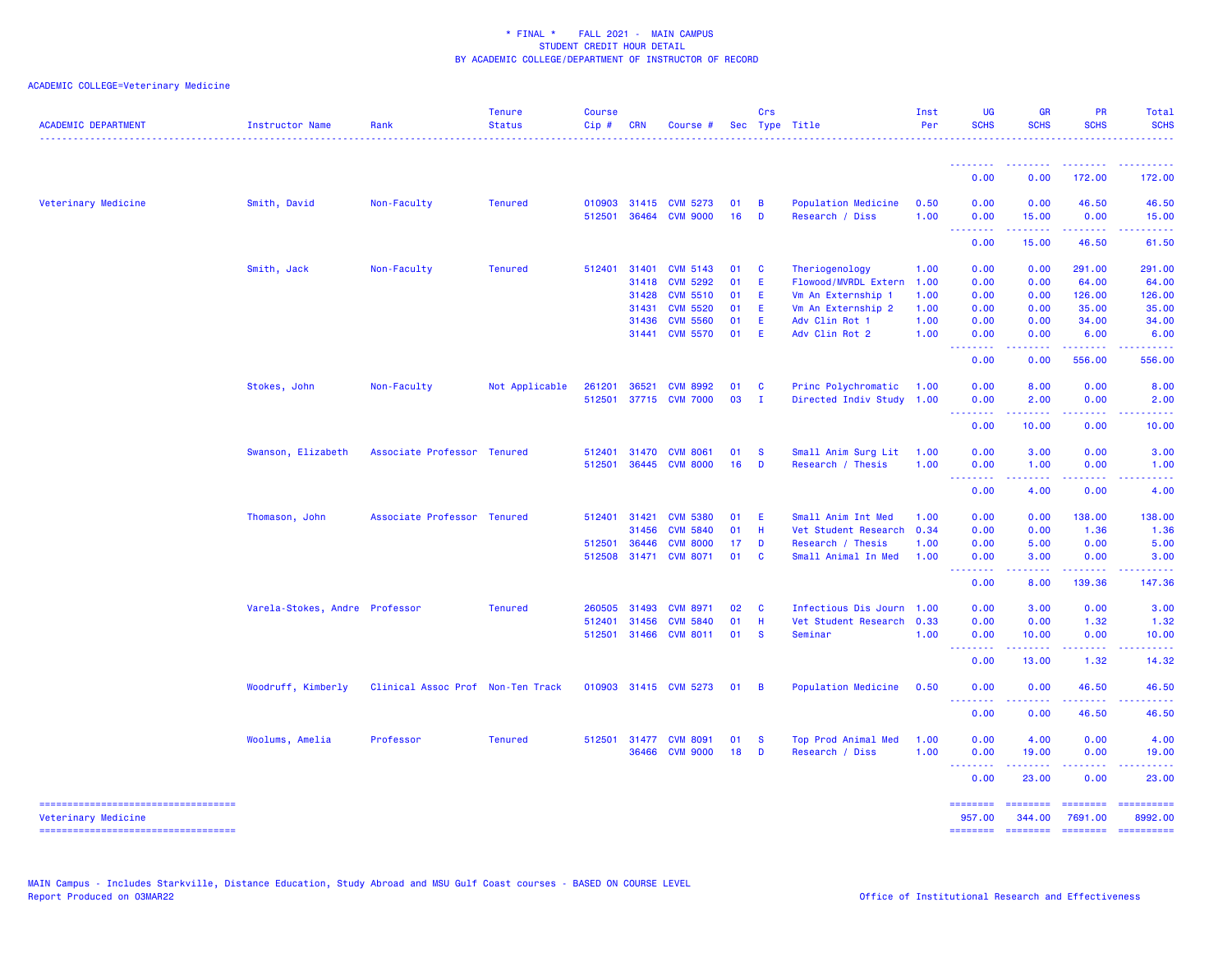| <b>ACADEMIC DEPARTMENT</b>                                | <b>Instructor Name</b>         | Rank                              | <b>Tenure</b><br><b>Status</b> | <b>Course</b><br>Cip# | <b>CRN</b> | Course #        |    | Crs            | Sec Type Title            | Inst<br>Per | <b>UG</b><br><b>SCHS</b>                                                                                                          | <b>GR</b><br><b>SCHS</b> | PR<br><b>SCHS</b>          | Total<br><b>SCHS</b>                                                                                                                                                                                                                                                                                                                                                                                                                                                                   |
|-----------------------------------------------------------|--------------------------------|-----------------------------------|--------------------------------|-----------------------|------------|-----------------|----|----------------|---------------------------|-------------|-----------------------------------------------------------------------------------------------------------------------------------|--------------------------|----------------------------|----------------------------------------------------------------------------------------------------------------------------------------------------------------------------------------------------------------------------------------------------------------------------------------------------------------------------------------------------------------------------------------------------------------------------------------------------------------------------------------|
|                                                           |                                |                                   |                                |                       |            |                 |    |                |                           |             | <u> - - - - - - - -</u>                                                                                                           |                          |                            |                                                                                                                                                                                                                                                                                                                                                                                                                                                                                        |
|                                                           |                                |                                   |                                |                       |            |                 |    |                |                           |             | 0.00                                                                                                                              | 0.00                     | 172.00                     | 172.00                                                                                                                                                                                                                                                                                                                                                                                                                                                                                 |
| Veterinary Medicine                                       | Smith, David                   | Non-Faculty                       | <b>Tenured</b>                 | 010903                | 31415      | <b>CVM 5273</b> | 01 | $\overline{B}$ | Population Medicine       | 0.50        | 0.00                                                                                                                              | 0.00                     | 46.50                      | 46.50                                                                                                                                                                                                                                                                                                                                                                                                                                                                                  |
|                                                           |                                |                                   |                                | 512501                | 36464      | <b>CVM 9000</b> | 16 | $\mathbf{D}$   | Research / Diss           | 1.00        | 0.00<br>.                                                                                                                         | 15.00<br>-----           | 0.00<br>.                  | 15.00                                                                                                                                                                                                                                                                                                                                                                                                                                                                                  |
|                                                           |                                |                                   |                                |                       |            |                 |    |                |                           |             | 0.00                                                                                                                              | 15.00                    | 46.50                      | 61.50                                                                                                                                                                                                                                                                                                                                                                                                                                                                                  |
|                                                           | Smith, Jack                    | Non-Faculty                       | <b>Tenured</b>                 | 512401                | 31401      | <b>CVM 5143</b> | 01 | <b>C</b>       | Theriogenology            | 1.00        | 0.00                                                                                                                              | 0.00                     | 291.00                     | 291.00                                                                                                                                                                                                                                                                                                                                                                                                                                                                                 |
|                                                           |                                |                                   |                                |                       | 31418      | <b>CVM 5292</b> | 01 | E              | Flowood/MVRDL Extern      | 1.00        | 0.00                                                                                                                              | 0.00                     | 64.00                      | 64.00                                                                                                                                                                                                                                                                                                                                                                                                                                                                                  |
|                                                           |                                |                                   |                                |                       | 31428      | <b>CVM 5510</b> | 01 | -E             | Vm An Externship 1        | 1.00        | 0.00                                                                                                                              | 0.00                     | 126.00                     | 126.00                                                                                                                                                                                                                                                                                                                                                                                                                                                                                 |
|                                                           |                                |                                   |                                |                       | 31431      | <b>CVM 5520</b> | 01 | E.             | Vm An Externship 2        | 1.00        | 0.00                                                                                                                              | 0.00                     | 35.00                      | 35.00                                                                                                                                                                                                                                                                                                                                                                                                                                                                                  |
|                                                           |                                |                                   |                                |                       | 31436      | <b>CVM 5560</b> | 01 | E              | Adv Clin Rot 1            | 1.00        | 0.00                                                                                                                              | 0.00                     | 34.00                      | 34.00                                                                                                                                                                                                                                                                                                                                                                                                                                                                                  |
|                                                           |                                |                                   |                                |                       |            | 31441 CVM 5570  | 01 | E.             | Adv Clin Rot 2            | 1.00        | 0.00<br>$\frac{1}{2} \left( \frac{1}{2} \right) \left( \frac{1}{2} \right) \left( \frac{1}{2} \right) \left( \frac{1}{2} \right)$ | 0.00<br>-----            | 6.00<br>.                  | 6.00                                                                                                                                                                                                                                                                                                                                                                                                                                                                                   |
|                                                           |                                |                                   |                                |                       |            |                 |    |                |                           |             | 0.00                                                                                                                              | 0.00                     | 556.00                     | 556.00                                                                                                                                                                                                                                                                                                                                                                                                                                                                                 |
|                                                           | Stokes, John                   | Non-Faculty                       | Not Applicable                 | 261201                | 36521      | <b>CVM 8992</b> | 01 | $\mathbf{C}$   | Princ Polychromatic       | 1.00        | 0.00                                                                                                                              | 8.00                     | 0.00                       | 8.00                                                                                                                                                                                                                                                                                                                                                                                                                                                                                   |
|                                                           |                                |                                   |                                | 512501                |            | 37715 CVM 7000  | 03 | $\mathbf{I}$   | Directed Indiv Study 1.00 |             | 0.00                                                                                                                              | 2.00                     | 0.00                       | 2.00                                                                                                                                                                                                                                                                                                                                                                                                                                                                                   |
|                                                           |                                |                                   |                                |                       |            |                 |    |                |                           |             | $\sim$ $\sim$ $\sim$<br>.<br>0.00                                                                                                 | 10.00                    | 0.00                       | 10.00                                                                                                                                                                                                                                                                                                                                                                                                                                                                                  |
|                                                           | Swanson, Elizabeth             | Associate Professor Tenured       |                                | 512401                | 31470      | <b>CVM 8061</b> | 01 | - S            | Small Anim Surg Lit       | 1.00        | 0.00                                                                                                                              | 3.00                     | 0.00                       | 3.00                                                                                                                                                                                                                                                                                                                                                                                                                                                                                   |
|                                                           |                                |                                   |                                | 512501                | 36445      | <b>CVM 8000</b> | 16 | D              | Research / Thesis         | 1.00        | 0.00                                                                                                                              | 1.00                     | 0.00                       | 1.00                                                                                                                                                                                                                                                                                                                                                                                                                                                                                   |
|                                                           |                                |                                   |                                |                       |            |                 |    |                |                           |             | الدالد الدالد<br>$  -$<br>0.00                                                                                                    | .<br>4.00                | .<br>0.00                  | .<br>4.00                                                                                                                                                                                                                                                                                                                                                                                                                                                                              |
|                                                           |                                |                                   |                                |                       |            |                 |    |                |                           |             |                                                                                                                                   |                          |                            |                                                                                                                                                                                                                                                                                                                                                                                                                                                                                        |
|                                                           | Thomason, John                 | Associate Professor Tenured       |                                | 512401                | 31421      | <b>CVM 5380</b> | 01 | -E             | Small Anim Int Med        | 1.00        | 0.00                                                                                                                              | 0.00                     | 138.00                     | 138.00                                                                                                                                                                                                                                                                                                                                                                                                                                                                                 |
|                                                           |                                |                                   |                                |                       | 31456      | <b>CVM 5840</b> | 01 | -H             | Vet Student Research      | 0.34        | 0.00                                                                                                                              | 0.00                     | 1.36                       | 1.36                                                                                                                                                                                                                                                                                                                                                                                                                                                                                   |
|                                                           |                                |                                   |                                | 512501                | 36446      | <b>CVM 8000</b> | 17 | D              | Research / Thesis         | 1.00        | 0.00                                                                                                                              | 5.00                     | 0.00                       | 5.00                                                                                                                                                                                                                                                                                                                                                                                                                                                                                   |
|                                                           |                                |                                   |                                | 512508                | 31471      | <b>CVM 8071</b> | 01 | <b>C</b>       | Small Animal In Med       | 1.00        | 0.00<br>$\sim$ $\sim$ $\sim$<br>.                                                                                                 | 3.00                     | 0.00                       | 3.00                                                                                                                                                                                                                                                                                                                                                                                                                                                                                   |
|                                                           |                                |                                   |                                |                       |            |                 |    |                |                           |             | 0.00                                                                                                                              | 8.00                     | 139.36                     | 147.36                                                                                                                                                                                                                                                                                                                                                                                                                                                                                 |
|                                                           | Varela-Stokes, Andre Professor |                                   | <b>Tenured</b>                 | 260505                | 31493      | <b>CVM 8971</b> | 02 | <b>C</b>       | Infectious Dis Journ 1.00 |             | 0.00                                                                                                                              | 3.00                     | 0.00                       | 3.00                                                                                                                                                                                                                                                                                                                                                                                                                                                                                   |
|                                                           |                                |                                   |                                | 512401                | 31456      | <b>CVM 5840</b> | 01 | H              | Vet Student Research 0.33 |             | 0.00                                                                                                                              | 0.00                     | 1.32                       | 1.32                                                                                                                                                                                                                                                                                                                                                                                                                                                                                   |
|                                                           |                                |                                   |                                | 512501                | 31466      | <b>CVM 8011</b> | 01 | $\mathbf{s}$   | Seminar                   | 1.00        | 0.00                                                                                                                              | 10.00                    | 0.00<br>والمحامر           | 10.00                                                                                                                                                                                                                                                                                                                                                                                                                                                                                  |
|                                                           |                                |                                   |                                |                       |            |                 |    |                |                           |             | <u>.</u><br>0.00                                                                                                                  | 13.00                    | 1.32                       | 14.32                                                                                                                                                                                                                                                                                                                                                                                                                                                                                  |
|                                                           | Woodruff, Kimberly             | Clinical Assoc Prof Non-Ten Track |                                | 010903                |            | 31415 CVM 5273  | 01 | $\overline{B}$ | Population Medicine       | 0.50        | 0.00                                                                                                                              | 0.00                     | 46.50                      | 46.50                                                                                                                                                                                                                                                                                                                                                                                                                                                                                  |
|                                                           |                                |                                   |                                |                       |            |                 |    |                |                           |             | $\omega$ is $\omega$<br>د د د د<br>0.00                                                                                           | 0.00                     | 46.50                      | 46.50                                                                                                                                                                                                                                                                                                                                                                                                                                                                                  |
|                                                           | Woolums, Amelia                | Professor                         | <b>Tenured</b>                 | 512501 31477          |            | <b>CVM 8091</b> | 01 | - S            | Top Prod Animal Med       | 1.00        | 0.00                                                                                                                              | 4.00                     | 0.00                       | 4.00                                                                                                                                                                                                                                                                                                                                                                                                                                                                                   |
|                                                           |                                |                                   |                                |                       | 36466      | <b>CVM 9000</b> | 18 | D              | Research / Diss           | 1.00        | 0.00<br>.                                                                                                                         | 19.00<br><u>.</u>        | 0.00<br>.                  | 19.00<br>$- - - - -$                                                                                                                                                                                                                                                                                                                                                                                                                                                                   |
|                                                           |                                |                                   |                                |                       |            |                 |    |                |                           |             | 0.00                                                                                                                              | 23.00                    | 0.00                       | 23.00                                                                                                                                                                                                                                                                                                                                                                                                                                                                                  |
| ----------------------------------<br>Veterinary Medicine |                                |                                   |                                |                       |            |                 |    |                |                           |             | ========<br>957.00                                                                                                                | ========<br>344.00       | <b>ESSESSES</b><br>7691.00 | $\begin{minipage}{0.9\linewidth} \hspace*{-0.2cm} \textbf{1} & \textbf{2} & \textbf{3} & \textbf{5} & \textbf{6} & \textbf{7} \\ \textbf{5} & \textbf{6} & \textbf{7} & \textbf{8} & \textbf{8} & \textbf{8} & \textbf{9} \\ \textbf{6} & \textbf{8} & \textbf{8} & \textbf{8} & \textbf{8} & \textbf{9} & \textbf{1} \\ \textbf{7} & \textbf{8} & \textbf{8} & \textbf{8} & \textbf{9} & \textbf{1} & \textbf{1} \\ \textbf{8} & \$<br>8992.00                                        |
|                                                           |                                |                                   |                                |                       |            |                 |    |                |                           |             |                                                                                                                                   | ======== ========        | ========                   | $\begin{array}{cccccccccc} \multicolumn{2}{c}{} & \multicolumn{2}{c}{} & \multicolumn{2}{c}{} & \multicolumn{2}{c}{} & \multicolumn{2}{c}{} & \multicolumn{2}{c}{} & \multicolumn{2}{c}{} & \multicolumn{2}{c}{} & \multicolumn{2}{c}{} & \multicolumn{2}{c}{} & \multicolumn{2}{c}{} & \multicolumn{2}{c}{} & \multicolumn{2}{c}{} & \multicolumn{2}{c}{} & \multicolumn{2}{c}{} & \multicolumn{2}{c}{} & \multicolumn{2}{c}{} & \multicolumn{2}{c}{} & \multicolumn{2}{c}{} & \mult$ |